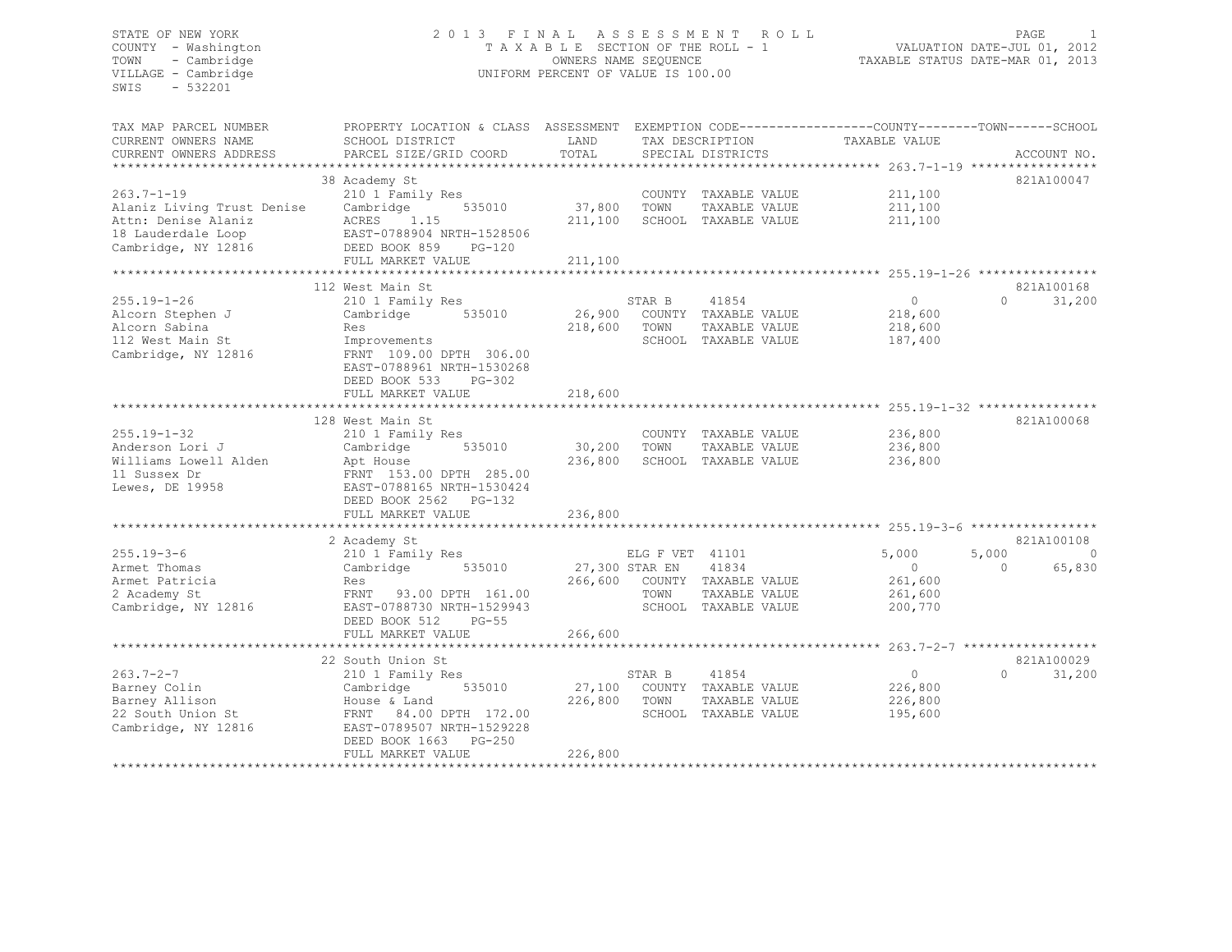# STATE OF NEW YORK 2013 FINAL ASSESSMENT ROLL<br>COUNTY - Washington 2012<br>COUNTY - Washington 2012 COUNTY - Washington T A X A B L E SECTION OF THE ROLL - 1<br>TOWN - Cambridge COUNTERS NAME SEQUENCE TOWN - Cambridge OWNERS NAME SEQUENCE TAXABLE STATUS DATE-MAR 01, 2013 UNIFORM PERCENT OF VALUE IS 100.00

| TAX MAP PARCEL NUMBER<br>CURRENT OWNERS NAME<br>CURRENT OWNERS ADDRESS                                                                       | PROPERTY LOCATION & CLASS ASSESSMENT<br>SCHOOL DISTRICT<br>PARCEL SIZE/GRID COORD                                                                                              | LAND<br>TOTAL                |                                           | TAX DESCRIPTION<br>SPECIAL DISTRICTS                                   | EXEMPTION CODE-----------------COUNTY-------TOWN------SCHOOL<br>TAXABLE VALUE | ACCOUNT NO.                                    |
|----------------------------------------------------------------------------------------------------------------------------------------------|--------------------------------------------------------------------------------------------------------------------------------------------------------------------------------|------------------------------|-------------------------------------------|------------------------------------------------------------------------|-------------------------------------------------------------------------------|------------------------------------------------|
| $263.7 - 1 - 19$<br>Alaniz Living Trust Denise<br>Attn: Denise Alaniz<br>18 Lauderdale Loop<br>Cambridge, NY 12816<br>********************** | 38 Academy St<br>210 1 Family Res<br>Cambridge<br>535010<br>ACRES<br>1.15<br>EAST-0788904 NRTH-1528506<br>DEED BOOK 859<br>$PG-120$<br>FULL MARKET VALUE                       | 37,800<br>211,100<br>211,100 | TOWN                                      | COUNTY TAXABLE VALUE<br>TAXABLE VALUE<br>SCHOOL TAXABLE VALUE          | 211,100<br>211,100<br>211,100                                                 | 821A100047                                     |
|                                                                                                                                              | 112 West Main St                                                                                                                                                               |                              |                                           |                                                                        |                                                                               | 821A100168                                     |
| $255.19 - 1 - 26$<br>Alcorn Stephen J<br>Alcorn Sabina<br>112 West Main St<br>Cambridge, NY 12816                                            | 210 1 Family Res<br>535010<br>Cambridge<br>Res<br>Improvements<br>FRNT 109.00 DPTH 306.00<br>EAST-0788961 NRTH-1530268<br>DEED BOOK 533<br>$PG-302$                            | 26,900<br>218,600            | STAR B<br>TOWN                            | 41854<br>COUNTY TAXABLE VALUE<br>TAXABLE VALUE<br>SCHOOL TAXABLE VALUE | $\circ$<br>218,600<br>218,600<br>187,400                                      | 31,200<br>$\Omega$                             |
|                                                                                                                                              | FULL MARKET VALUE                                                                                                                                                              | 218,600                      |                                           |                                                                        |                                                                               |                                                |
| $255.19 - 1 - 32$<br>Anderson Lori J<br>Williams Lowell Alden<br>11 Sussex Dr<br>Lewes, DE 19958                                             | 128 West Main St<br>210 1 Family Res<br>Cambridge<br>535010<br>Apt House<br>FRNT 153.00 DPTH 285.00<br>EAST-0788165 NRTH-1530424<br>DEED BOOK 2562 PG-132                      | 30,200<br>236,800            | TOWN                                      | COUNTY TAXABLE VALUE<br>TAXABLE VALUE<br>SCHOOL TAXABLE VALUE          | 236,800<br>236,800<br>236,800                                                 | 821A100068                                     |
|                                                                                                                                              | FULL MARKET VALUE                                                                                                                                                              | 236,800                      |                                           |                                                                        |                                                                               |                                                |
| $255.19 - 3 - 6$<br>Armet Thomas<br>Armet Patricia<br>2 Academy St<br>Cambridge, NY 12816                                                    | *************************<br>2 Academy St<br>210 1 Family Res<br>Cambridge<br>535010<br>Res<br>FRNT 93.00 DPTH 161.00<br>EAST-0788730 NRTH-1529943<br>DEED BOOK 512<br>$PG-55$ | **************<br>266,600    | ELG F VET 41101<br>27,300 STAR EN<br>TOWN | 41834<br>COUNTY TAXABLE VALUE<br>TAXABLE VALUE<br>SCHOOL TAXABLE VALUE | 5,000<br>$\circ$<br>261,600<br>261,600<br>200,770                             | 821A100108<br>5,000<br>C<br>65,830<br>$\Omega$ |
|                                                                                                                                              | FULL MARKET VALUE                                                                                                                                                              | 266,600                      |                                           |                                                                        |                                                                               |                                                |
|                                                                                                                                              | 22 South Union St                                                                                                                                                              |                              |                                           |                                                                        |                                                                               | 821A100029                                     |
| $263.7 - 2 - 7$<br>Barney Colin<br>Barney Allison<br>22 South Union St<br>Cambridge, NY 12816                                                | 210 1 Family Res<br>Cambridge<br>535010<br>House & Land<br>FRNT 84.00 DPTH 172.00<br>EAST-0789507 NRTH-1529228<br>DEED BOOK 1663<br><b>PG-250</b><br>FULL MARKET VALUE         | 27,100<br>226,800<br>226,800 | STAR B<br>TOWN                            | 41854<br>COUNTY TAXABLE VALUE<br>TAXABLE VALUE<br>SCHOOL TAXABLE VALUE | $\circ$<br>226,800<br>226,800<br>195,600                                      | $\Omega$<br>31,200                             |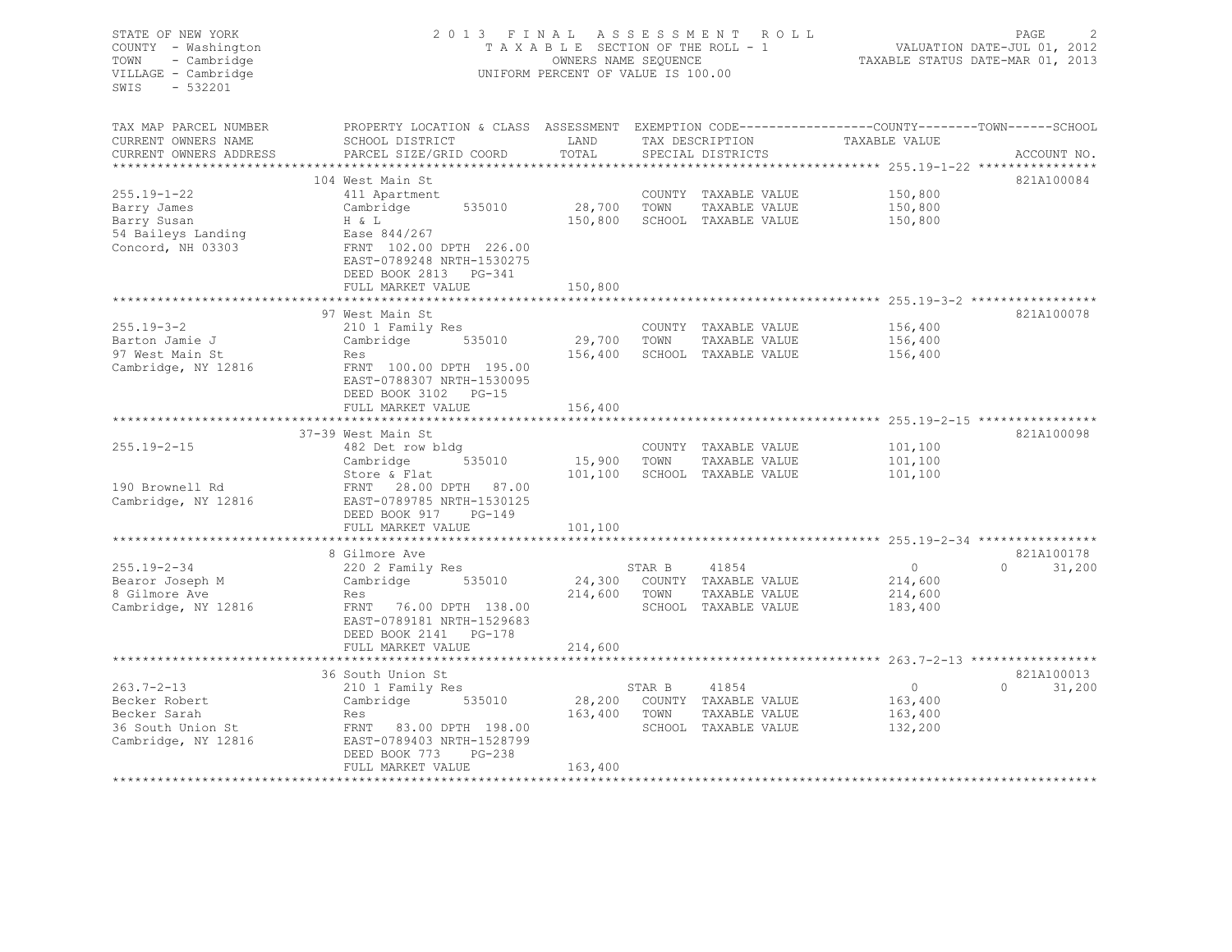| STATE OF NEW YORK<br>COUNTY - Washington<br>TOWN<br>- Cambridge<br>VILLAGE - Cambridge<br>SWIS<br>$-532201$ |                                                                                                                    | TAXABLE SECTION OF THE ROLL - 1<br>OWNERS NAME SEQUENCE<br>UNIFORM PERCENT OF VALUE IS 100.00 |              | 2013 FINAL ASSESSMENT ROLL   | PAGE<br>2<br>VALUATION DATE-JUL 01, 2012<br>TAXABLE STATUS DATE-MAR 01, 2013 |                   |  |
|-------------------------------------------------------------------------------------------------------------|--------------------------------------------------------------------------------------------------------------------|-----------------------------------------------------------------------------------------------|--------------|------------------------------|------------------------------------------------------------------------------|-------------------|--|
| TAX MAP PARCEL NUMBER<br>CURRENT OWNERS NAME                                                                | PROPERTY LOCATION & CLASS ASSESSMENT EXEMPTION CODE----------------COUNTY-------TOWN-----SCHOOL<br>SCHOOL DISTRICT | LAND                                                                                          |              | TAX DESCRIPTION              | TAXABLE VALUE                                                                |                   |  |
| CURRENT OWNERS ADDRESS<br>***********************                                                           | PARCEL SIZE/GRID COORD                                                                                             | TOTAL                                                                                         |              | SPECIAL DISTRICTS            |                                                                              | ACCOUNT NO.       |  |
|                                                                                                             |                                                                                                                    |                                                                                               |              |                              |                                                                              | 821A100084        |  |
| $255.19 - 1 - 22$                                                                                           | 104 West Main St<br>411 Apartment                                                                                  |                                                                                               |              | COUNTY TAXABLE VALUE         | 150,800                                                                      |                   |  |
| Barry James                                                                                                 | 535010<br>Cambridge                                                                                                | 28,700                                                                                        | TOWN         | TAXABLE VALUE                | 150,800                                                                      |                   |  |
| Barry Susan                                                                                                 | H & L                                                                                                              | 150,800                                                                                       |              | SCHOOL TAXABLE VALUE         | 150,800                                                                      |                   |  |
| 54 Baileys Landing                                                                                          | Ease 844/267                                                                                                       |                                                                                               |              |                              |                                                                              |                   |  |
| Concord, NH 03303                                                                                           | FRNT 102.00 DPTH 226.00<br>EAST-0789248 NRTH-1530275<br>DEED BOOK 2813 PG-341                                      |                                                                                               |              |                              |                                                                              |                   |  |
|                                                                                                             | FULL MARKET VALUE                                                                                                  | 150,800<br>**********                                                                         |              |                              | ********************* 255.19-3-2 ******************                          |                   |  |
|                                                                                                             | 97 West Main St                                                                                                    |                                                                                               |              |                              |                                                                              | 821A100078        |  |
| $255.19 - 3 - 2$                                                                                            | 210 1 Family Res                                                                                                   |                                                                                               |              | COUNTY TAXABLE VALUE         | 156,400                                                                      |                   |  |
| Barton Jamie J                                                                                              | Cambridge 535010                                                                                                   | 29,700                                                                                        | TOWN         | TAXABLE VALUE                | 156,400                                                                      |                   |  |
| 97 West Main St                                                                                             | Res                                                                                                                | 156,400                                                                                       |              | SCHOOL TAXABLE VALUE         | 156,400                                                                      |                   |  |
| Cambridge, NY 12816                                                                                         | FRNT 100.00 DPTH 195.00<br>EAST-0788307 NRTH-1530095<br>DEED BOOK 3102 PG-15                                       |                                                                                               |              |                              |                                                                              |                   |  |
|                                                                                                             | FULL MARKET VALUE<br>***********************                                                                       | 156,400<br>*************                                                                      |              |                              | ************************************* 255.19-2-15 *****************          |                   |  |
|                                                                                                             | 37-39 West Main St                                                                                                 |                                                                                               |              |                              |                                                                              | 821A100098        |  |
| $255.19 - 2 - 15$                                                                                           | 482 Det row bldg                                                                                                   |                                                                                               |              | COUNTY TAXABLE VALUE         | 101,100                                                                      |                   |  |
|                                                                                                             | 535010<br>Cambridge                                                                                                | 15,900 TOWN                                                                                   |              | TAXABLE VALUE                | 101,100                                                                      |                   |  |
|                                                                                                             | Store & Flat                                                                                                       |                                                                                               |              | 101,100 SCHOOL TAXABLE VALUE | 101,100                                                                      |                   |  |
| 190 Brownell Rd                                                                                             | FRNT 28.00 DPTH 87.00                                                                                              |                                                                                               |              |                              |                                                                              |                   |  |
| Cambridge, NY 12816                                                                                         | EAST-0789785 NRTH-1530125                                                                                          |                                                                                               |              |                              |                                                                              |                   |  |
|                                                                                                             | DEED BOOK 917<br>$PG-149$                                                                                          |                                                                                               |              |                              |                                                                              |                   |  |
|                                                                                                             | FULL MARKET VALUE                                                                                                  | 101,100                                                                                       |              |                              |                                                                              |                   |  |
|                                                                                                             |                                                                                                                    |                                                                                               |              |                              |                                                                              |                   |  |
|                                                                                                             | 8 Gilmore Ave                                                                                                      |                                                                                               |              |                              |                                                                              | 821A100178        |  |
| $255.19 - 2 - 34$                                                                                           | 220 2 Family Res                                                                                                   |                                                                                               | STAR B       | 41854                        | $\circ$                                                                      | $0 \t 31,200$     |  |
| Bearor Joseph M                                                                                             | Cambridge 535010                                                                                                   |                                                                                               |              | 24,300 COUNTY TAXABLE VALUE  | 214,600                                                                      |                   |  |
| 8 Gilmore Ave                                                                                               | Res                                                                                                                |                                                                                               | 214,600 TOWN | TAXABLE VALUE                | 214,600                                                                      |                   |  |
| Cambridge, NY 12816                                                                                         | FRNT<br>76.00 DPTH 138.00<br>EAST-0789181 NRTH-1529683<br>DEED BOOK 2141   PG-178<br>FULL MARKET VALUE             |                                                                                               |              | SCHOOL TAXABLE VALUE         | 183,400                                                                      |                   |  |
|                                                                                                             |                                                                                                                    | 214,600                                                                                       |              |                              |                                                                              |                   |  |
|                                                                                                             | 36 South Union St                                                                                                  |                                                                                               |              |                              |                                                                              | 821A100013        |  |
| $263.7 - 2 - 13$                                                                                            | 210 1 Family Res                                                                                                   |                                                                                               | STAR B       | 41854                        | $\overline{0}$                                                               | $\circ$<br>31,200 |  |
| Becker Robert                                                                                               | 535010<br>Cambridge                                                                                                |                                                                                               |              | 28,200 COUNTY TAXABLE VALUE  | 163,400                                                                      |                   |  |
| Becker Sarah                                                                                                | Res                                                                                                                | 163,400 TOWN                                                                                  |              | TAXABLE VALUE                | 163,400                                                                      |                   |  |
| 36 South Union St                                                                                           | FRNT 83.00 DPTH 198.00                                                                                             |                                                                                               |              | SCHOOL TAXABLE VALUE         | 132,200                                                                      |                   |  |
| Cambridge, NY 12816                                                                                         | EAST-0789403 NRTH-1528799<br>DEED BOOK 773<br>$PG-238$<br>FULL MARKET VALUE                                        | 163,400                                                                                       |              |                              |                                                                              |                   |  |
|                                                                                                             |                                                                                                                    |                                                                                               |              |                              |                                                                              |                   |  |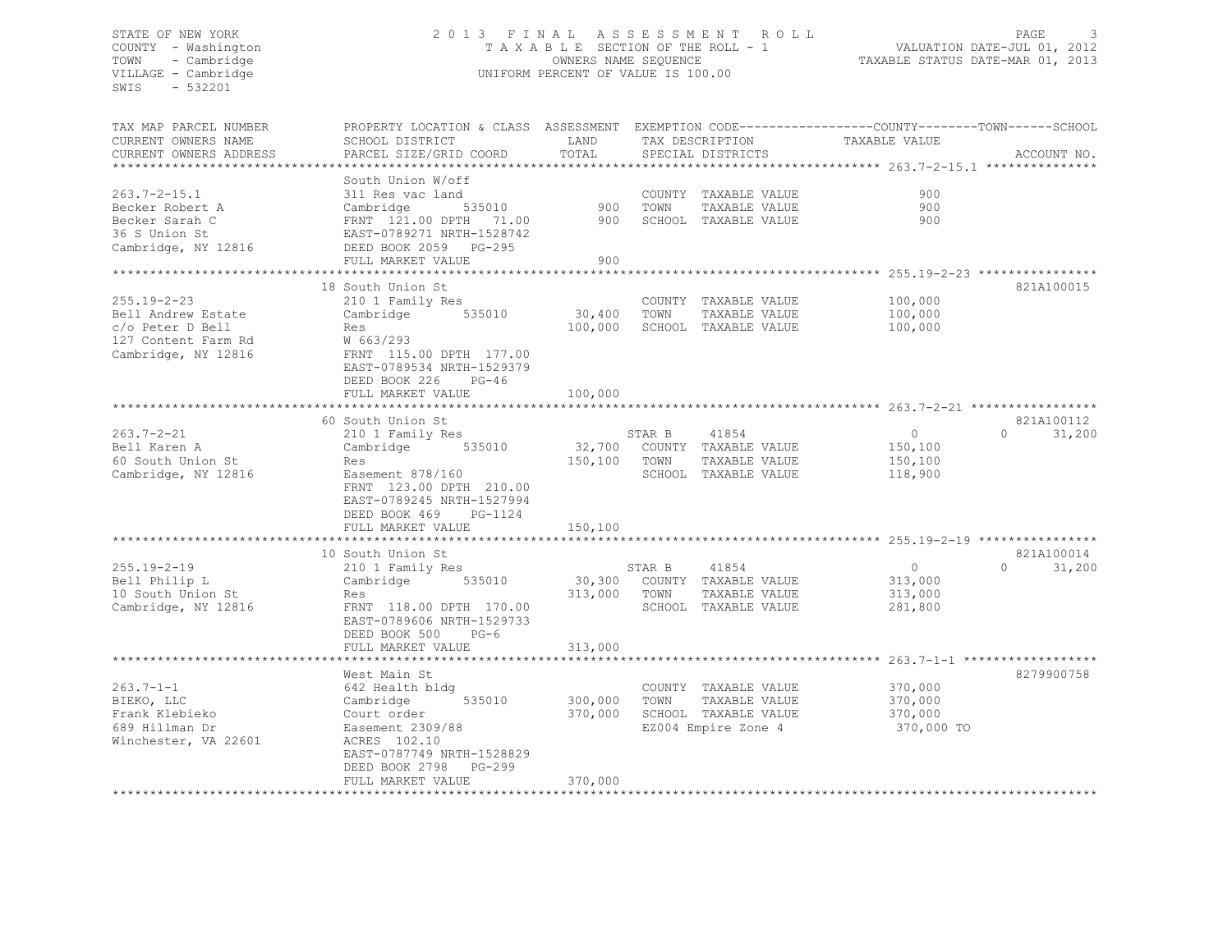# STATE OF NEW YORK 2 0 1 3 F I N A L A S S E S S M E N T R O L L PAGE 3 COUNTY - Washington T A X A B L E SECTION OF THE ROLL - 1 VALUATION DATE-JUL 01, 2012 TOWN - Cambridge OWNERS NAME SEQUENCE TAXABLE STATUS DATE-MAR 01, 2013 VILLAGE - Cambridge UNIFORM PERCENT OF VALUE IS 100.00

| TAX MAP PARCEL NUMBER  | PROPERTY LOCATION & CLASS ASSESSMENT EXEMPTION CODE----------------COUNTY-------TOWN------SCHOOL |              |              |                               |                |                    |
|------------------------|--------------------------------------------------------------------------------------------------|--------------|--------------|-------------------------------|----------------|--------------------|
| CURRENT OWNERS NAME    | SCHOOL DISTRICT                                                                                  | LAND         |              | TAX DESCRIPTION               | TAXABLE VALUE  |                    |
| CURRENT OWNERS ADDRESS | PARCEL SIZE/GRID COORD                                                                           | TOTAL        |              | SPECIAL DISTRICTS             |                | ACCOUNT NO.        |
|                        |                                                                                                  |              |              |                               |                |                    |
|                        |                                                                                                  |              |              |                               |                |                    |
|                        | South Union W/off                                                                                |              |              |                               |                |                    |
| $263.7 - 2 - 15.1$     | 311 Res vac land                                                                                 |              |              | COUNTY TAXABLE VALUE          | 900            |                    |
| Becker Robert A        | 535010<br>Cambridge                                                                              | 900          | TOWN         | TAXABLE VALUE                 | 900            |                    |
| Becker Sarah C         | FRNT 121.00 DPTH 71.00                                                                           | 900          |              | SCHOOL TAXABLE VALUE          | 900            |                    |
| 36 S Union St          | EAST-0789271 NRTH-1528742                                                                        |              |              |                               |                |                    |
| Cambridge, NY 12816    | DEED BOOK 2059 PG-295                                                                            |              |              |                               |                |                    |
|                        | FULL MARKET VALUE                                                                                | 900          |              |                               |                |                    |
|                        |                                                                                                  |              |              |                               |                |                    |
|                        |                                                                                                  |              |              |                               |                |                    |
|                        | 18 South Union St                                                                                |              |              |                               |                | 821A100015         |
| $255.19 - 2 - 23$      | 210 1 Family Res                                                                                 |              |              | COUNTY TAXABLE VALUE          | 100,000        |                    |
| Bell Andrew Estate     | 535010<br>Cambridge                                                                              | 30,400 TOWN  |              | TAXABLE VALUE                 | 100,000        |                    |
| c/o Peter D Bell       | Res                                                                                              |              |              | 100,000 SCHOOL TAXABLE VALUE  | 100,000        |                    |
| 127 Content Farm Rd    | W 663/293                                                                                        |              |              |                               |                |                    |
| Cambridge, NY 12816    | FRNT 115.00 DPTH 177.00                                                                          |              |              |                               |                |                    |
|                        |                                                                                                  |              |              |                               |                |                    |
|                        | EAST-0789534 NRTH-1529379                                                                        |              |              |                               |                |                    |
|                        | DEED BOOK 226<br>PG-46                                                                           |              |              |                               |                |                    |
|                        | FULL MARKET VALUE                                                                                | 100,000      |              |                               |                |                    |
|                        |                                                                                                  |              |              |                               |                |                    |
|                        | 60 South Union St                                                                                |              |              |                               |                | 821A100112         |
| $263.7 - 2 - 21$       | 210 1 Family Res                                                                                 |              | STAR B       | 41854                         | $\overline{0}$ | $\Omega$<br>31,200 |
| Bell Karen A           | Cambridge 535010                                                                                 |              |              | 32,700 COUNTY TAXABLE VALUE   | 150,100        |                    |
|                        |                                                                                                  |              |              |                               |                |                    |
| 60 South Union St      | Res                                                                                              | 150,100 TOWN |              | TAXABLE VALUE                 | 150,100        |                    |
| Cambridge, NY 12816    | Easement 878/160                                                                                 |              |              | SCHOOL TAXABLE VALUE          | 118,900        |                    |
|                        | FRNT 123.00 DPTH 210.00                                                                          |              |              |                               |                |                    |
|                        | EAST-0789245 NRTH-1527994                                                                        |              |              |                               |                |                    |
|                        | DEED BOOK 469<br>PG-1124                                                                         |              |              |                               |                |                    |
|                        | FULL MARKET VALUE                                                                                | 150,100      |              |                               |                |                    |
|                        |                                                                                                  |              |              |                               |                |                    |
|                        |                                                                                                  |              |              |                               |                |                    |
|                        | 10 South Union St                                                                                |              |              |                               |                | 821A100014         |
| $255.19 - 2 - 19$      | 210 1 Family Res                                                                                 |              | STAR B       | 41854                         | 0              | $\Omega$<br>31,200 |
| Bell Philip L          | 535010<br>Cambridge                                                                              |              |              | 30,300 COUNTY TAXABLE VALUE   | 313,000        |                    |
| 10 South Union St      | Res                                                                                              |              | 313,000 TOWN | TAXABLE VALUE                 | 313,000        |                    |
| Cambridge, NY 12816    | FRNT 118.00 DPTH 170.00                                                                          |              |              | SCHOOL TAXABLE VALUE          | 281,800        |                    |
|                        | EAST-0789606 NRTH-1529733                                                                        |              |              |                               |                |                    |
|                        |                                                                                                  |              |              |                               |                |                    |
|                        | DEED BOOK 500<br>$PG-6$                                                                          |              |              |                               |                |                    |
|                        | FULL MARKET VALUE                                                                                | 313,000      |              |                               |                |                    |
|                        |                                                                                                  |              |              |                               |                |                    |
|                        | West Main St                                                                                     |              |              |                               |                | 8279900758         |
| $263.7 - 1 - 1$        | 642 Health bldg                                                                                  |              |              | COUNTY TAXABLE VALUE          | 370,000        |                    |
| BIEKO, LLC             | 535010<br>Cambridge                                                                              | 300,000 TOWN |              | TAXABLE VALUE                 | 370,000        |                    |
|                        |                                                                                                  |              |              |                               |                |                    |
| Frank Klebieko         | Court order                                                                                      |              |              | 370,000 SCHOOL TAXABLE VALUE  | 370,000        |                    |
| 689 Hillman Dr         | Easement 2309/88                                                                                 |              |              | EZ004 Empire Zone 4           | 370,000 TO     |                    |
| Winchester, VA 22601   | ACRES 102.10                                                                                     |              |              |                               |                |                    |
|                        | EAST-0787749 NRTH-1528829                                                                        |              |              |                               |                |                    |
|                        | DEED BOOK 2798 PG-299                                                                            |              |              |                               |                |                    |
|                        | FULL MARKET VALUE                                                                                | 370,000      |              |                               |                |                    |
|                        |                                                                                                  |              |              | ***************************** |                |                    |
|                        |                                                                                                  |              |              |                               |                |                    |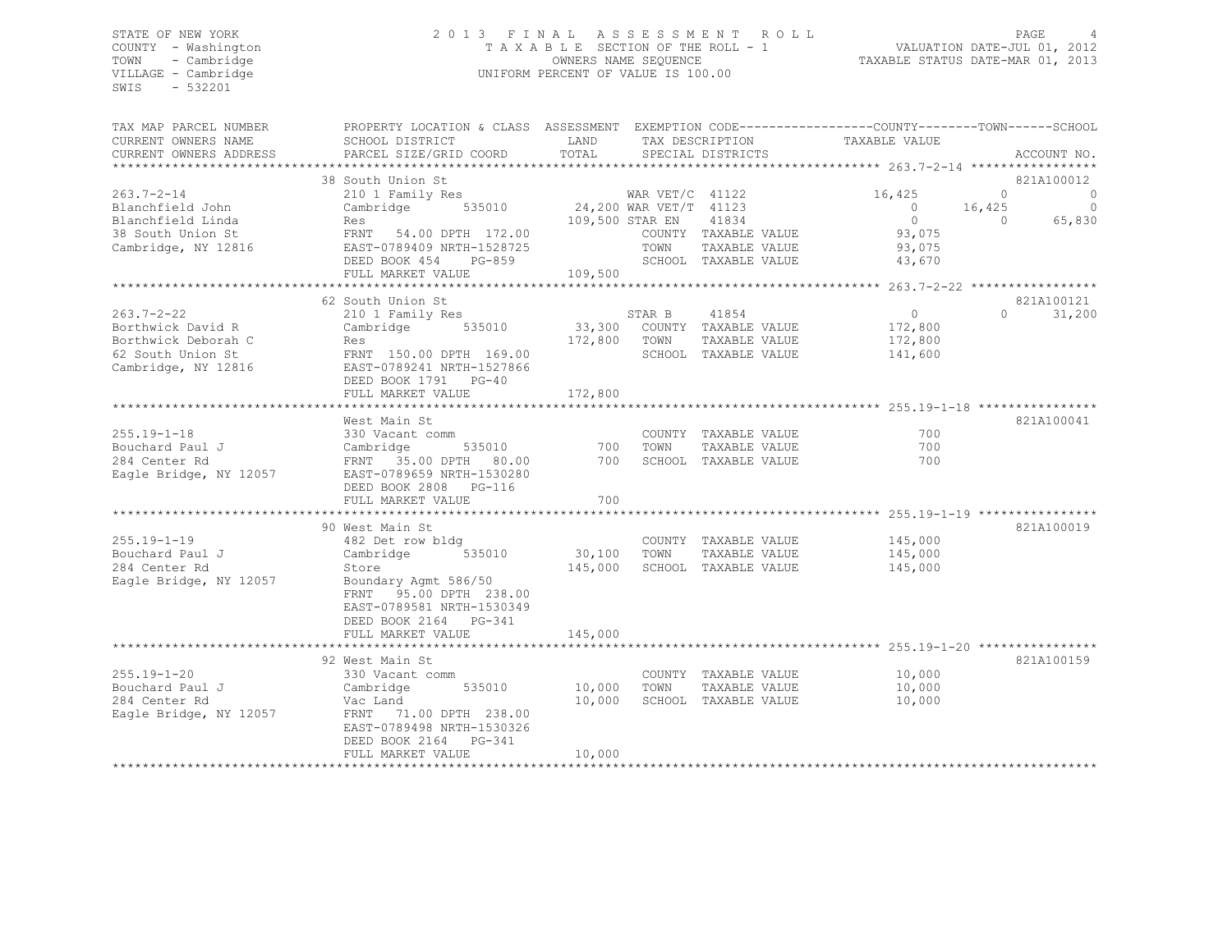# STATE OF NEW YORK 2 0 1 3 F I N A L A S S E S S M E N T R O L L PAGE 4 COUNTY - Washington T A X A B L E SECTION OF THE ROLL - 1 VALUATION DATE-JUL 01, 2012 TOWN - Cambridge OWNERS NAME SEQUENCE TAXABLE STATUS DATE-MAR 01, 2013 VILLAGE - Cambridge **UNIFORM PERCENT OF VALUE IS 100.00**

| TAX MAP PARCEL NUMBER<br>CURRENT OWNERS NAME<br>CURRENT OWNERS ADDRESS                                   | PROPERTY LOCATION & CLASS ASSESSMENT EXEMPTION CODE----------------COUNTY-------TOWN------SCHOOI<br>SCHOOL DISTRICT<br>PARCEL SIZE/GRID COORD                                                            | LAND<br>TOTAL                |                                                                        | TAX DESCRIPTION<br>SPECIAL DISTRICTS                                          | TAXABLE VALUE                                                            | ACCOUNT NO.                                                            |
|----------------------------------------------------------------------------------------------------------|----------------------------------------------------------------------------------------------------------------------------------------------------------------------------------------------------------|------------------------------|------------------------------------------------------------------------|-------------------------------------------------------------------------------|--------------------------------------------------------------------------|------------------------------------------------------------------------|
| $263.7 - 2 - 14$<br>Blanchfield John<br>Blanchfield Linda<br>38 South Union St<br>Cambridge, NY 12816    | 38 South Union St<br>210 1 Family Res<br>Cambridge<br>535010<br>Res<br>FRNT 54.00 DPTH 172.00<br>EAST-0789409 NRTH-1528725<br>DEED BOOK 454<br>PG-859<br>FULL MARKET VALUE<br>************************** | 109,500                      | WAR $VET/C$ 41122<br>24,200 WAR VET/T 41123<br>109,500 STAR EN<br>TOWN | 41834<br>COUNTY TAXABLE VALUE<br>TAXABLE VALUE<br>SCHOOL TAXABLE VALUE        | 16,425<br>$\overline{0}$<br>$\overline{0}$<br>93,075<br>93,075<br>43,670 | 821A100012<br>$\Omega$<br>0<br>$\circ$<br>16,425<br>65,830<br>$\Omega$ |
| $263.7 - 2 - 22$<br>Borthwick David R<br>Borthwick Deborah C<br>62 South Union St<br>Cambridge, NY 12816 | 62 South Union St<br>210 1 Family Res<br>535010<br>Cambridge<br>Res<br>FRNT 150.00 DPTH 169.00<br>EAST-0789241 NRTH-1527866<br>DEED BOOK 1791 PG-40<br>FULL MARKET VALUE                                 | 172,800<br>172,800           | STAR B<br>TOWN                                                         | 41854<br>33,300 COUNTY TAXABLE VALUE<br>TAXABLE VALUE<br>SCHOOL TAXABLE VALUE | $\overline{0}$<br>172,800<br>172,800<br>141,600                          | 821A100121<br>$\Omega$<br>31,200                                       |
| $255.19 - 1 - 18$<br>Bouchard Paul J<br>284 Center Rd<br>Eagle Bridge, NY 12057                          | West Main St<br>330 Vacant comm<br>Cambridge<br>535010<br>FRNT 35.00 DPTH 80.00<br>EAST-0789659 NRTH-1530280<br>DEED BOOK 2808<br>$PG-116$<br>FULL MARKET VALUE                                          | 700<br>700<br>700            | TOWN                                                                   | COUNTY TAXABLE VALUE<br>TAXABLE VALUE<br>SCHOOL TAXABLE VALUE                 | 700<br>700<br>700                                                        | 821A100041                                                             |
| $255.19 - 1 - 19$<br>Bouchard Paul J<br>284 Center Rd<br>Eagle Bridge, NY 12057                          | 90 West Main St<br>482 Det row bldg<br>535010<br>Cambridge<br>Store<br>Boundary Agmt 586/50<br>FRNT 95.00 DPTH 238.00<br>EAST-0789581 NRTH-1530349<br>DEED BOOK 2164 PG-341<br>FULL MARKET VALUE         | 30,100<br>145,000<br>145,000 | TOWN                                                                   | COUNTY TAXABLE VALUE<br>TAXABLE VALUE<br>SCHOOL TAXABLE VALUE                 | 145,000<br>145,000<br>145,000                                            | 821A100019                                                             |
| $255.19 - 1 - 20$<br>Bouchard Paul J<br>284 Center Rd<br>Eagle Bridge, NY 12057                          | 92 West Main St<br>330 Vacant comm<br>Cambridge<br>535010<br>Vac Land<br>71.00 DPTH 238.00<br>FRNT<br>EAST-0789498 NRTH-1530326<br>DEED BOOK 2164<br>$PG-341$<br>FULL MARKET VALUE                       | 10,000<br>10,000<br>10,000   | TOWN                                                                   | COUNTY TAXABLE VALUE<br>TAXABLE VALUE<br>SCHOOL TAXABLE VALUE                 | 10,000<br>10,000<br>10,000                                               | 821A100159                                                             |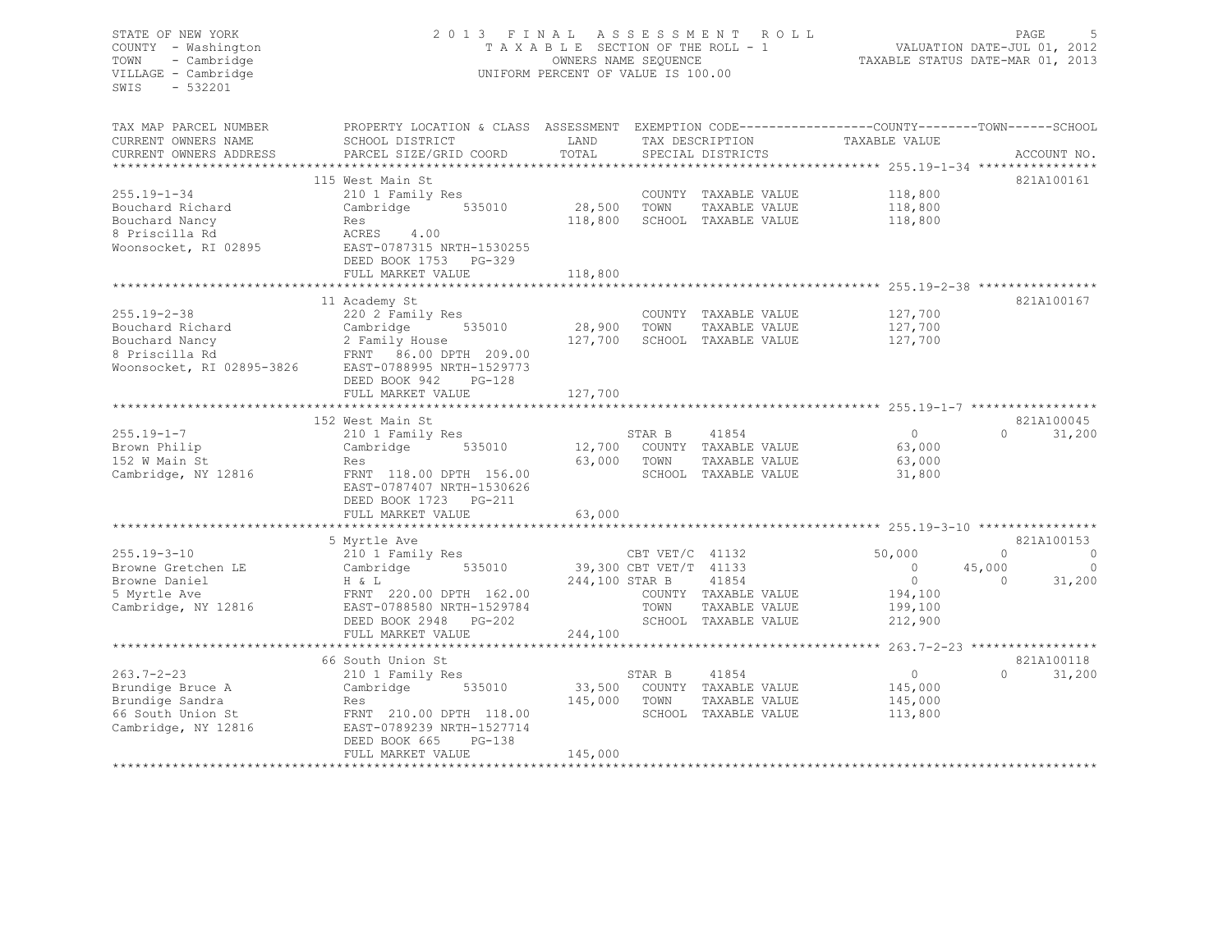# STATE OF NEW YORK 2 0 1 3 F I N A L A S S E S S M E N T R O L L PAGE 5 COUNTY - Washington T A X A B L E SECTION OF THE ROLL - 1 VALUATION DATE-JUL 01, 2012 TOWN - Cambridge OWNERS NAME SEQUENCE TAXABLE STATUS DATE-MAR 01, 2013 VILLAGE - Cambridge **UNIFORM PERCENT OF VALUE IS 100.00**

| TAX MAP PARCEL NUMBER<br>CURRENT OWNERS NAME<br>CURRENT OWNERS ADDRESS<br>*************************    | PROPERTY LOCATION & CLASS ASSESSMENT<br>SCHOOL DISTRICT<br>PARCEL SIZE/GRID COORD                                                                                                                    | LAND<br>TOTAL                |                                                   | TAX DESCRIPTION<br>SPECIAL DISTRICTS                                   | EXEMPTION CODE-----------------COUNTY-------TOWN------SCHOOL<br>TAXABLE VALUE | ACCOUNT NO.                                                              |
|--------------------------------------------------------------------------------------------------------|------------------------------------------------------------------------------------------------------------------------------------------------------------------------------------------------------|------------------------------|---------------------------------------------------|------------------------------------------------------------------------|-------------------------------------------------------------------------------|--------------------------------------------------------------------------|
| $255.19 - 1 - 34$<br>Bouchard Richard<br>Bouchard Nancy<br>8 Priscilla Rd<br>Woonsocket, RI 02895      | 115 West Main St<br>210 1 Family Res<br>Cambridge<br>535010<br>Res<br>ACRES<br>4.00<br>EAST-0787315 NRTH-1530255<br>DEED BOOK 1753<br>$PG-329$<br>FULL MARKET VALUE<br>***************************** | 28,500<br>118,800<br>118,800 | TOWN                                              | COUNTY TAXABLE VALUE<br>TAXABLE VALUE<br>SCHOOL TAXABLE VALUE          | 118,800<br>118,800<br>118,800                                                 | 821A100161                                                               |
| $255.19 - 2 - 38$<br>Bouchard Richard<br>Bouchard Nancy<br>8 Priscilla Rd<br>Woonsocket, RI 02895-3826 | 11 Academy St<br>220 2 Family Res<br>Cambridge<br>535010<br>2 Family House<br>FRNT 86.00 DPTH 209.00<br>EAST-0788995 NRTH-1529773<br>DEED BOOK 942<br>$PG-128$<br>FULL MARKET VALUE                  | 28,900<br>127,700<br>127,700 | TOWN                                              | COUNTY TAXABLE VALUE<br>TAXABLE VALUE<br>SCHOOL TAXABLE VALUE          | 127,700<br>127,700<br>127,700                                                 | 821A100167                                                               |
| $255.19 - 1 - 7$<br>Brown Philip<br>152 W Main St<br>Cambridge, NY 12816                               | 152 West Main St<br>210 1 Family Res<br>Cambridge<br>535010<br>Res<br>FRNT 118.00 DPTH 156.00<br>EAST-0787407 NRTH-1530626<br>DEED BOOK 1723 PG-211                                                  | 12,700<br>63,000             | STAR B<br>TOWN                                    | 41854<br>COUNTY TAXABLE VALUE<br>TAXABLE VALUE<br>SCHOOL TAXABLE VALUE | $\circ$<br>63,000<br>63,000<br>31,800                                         | 821A100045<br>$\Omega$<br>31,200                                         |
|                                                                                                        | FULL MARKET VALUE                                                                                                                                                                                    | 63,000                       |                                                   |                                                                        |                                                                               |                                                                          |
| $255.19 - 3 - 10$<br>Browne Gretchen LE<br>Browne Daniel<br>5 Myrtle Ave<br>Cambridge, NY 12816        | 5 Myrtle Ave<br>210 1 Family Res<br>Cambridge<br>535010<br>H & L<br>FRNT 220.00 DPTH 162.00<br>EAST-0788580 NRTH-1529784<br>$PG-202$<br>DEED BOOK 2948                                               | 244,100 STAR B               | CBT VET/C 41132<br>39,300 CBT VET/T 41133<br>TOWN | 41854<br>COUNTY TAXABLE VALUE<br>TAXABLE VALUE<br>SCHOOL TAXABLE VALUE | 50,000<br>$\circ$<br>$\circ$<br>194,100<br>199,100<br>212,900                 | 821A100153<br>$\Omega$<br>$\circ$<br>- 0<br>45,000<br>31,200<br>$\Omega$ |
|                                                                                                        | FULL MARKET VALUE                                                                                                                                                                                    | 244,100                      |                                                   |                                                                        |                                                                               |                                                                          |
| $263.7 - 2 - 23$<br>Brundige Bruce A<br>Brundige Sandra<br>66 South Union St<br>Cambridge, NY 12816    | 66 South Union St<br>210 1 Family Res<br>Cambridge<br>535010<br>Res<br>FRNT 210.00 DPTH 118.00<br>EAST-0789239 NRTH-1527714<br>$PG-138$<br>DEED BOOK 665<br>FULL MARKET VALUE                        | 33,500<br>145,000<br>145,000 | STAR B<br>TOWN                                    | 41854<br>COUNTY TAXABLE VALUE<br>TAXABLE VALUE<br>SCHOOL TAXABLE VALUE | $\circ$<br>145,000<br>145,000<br>113,800                                      | 821A100118<br>$\Omega$<br>31,200                                         |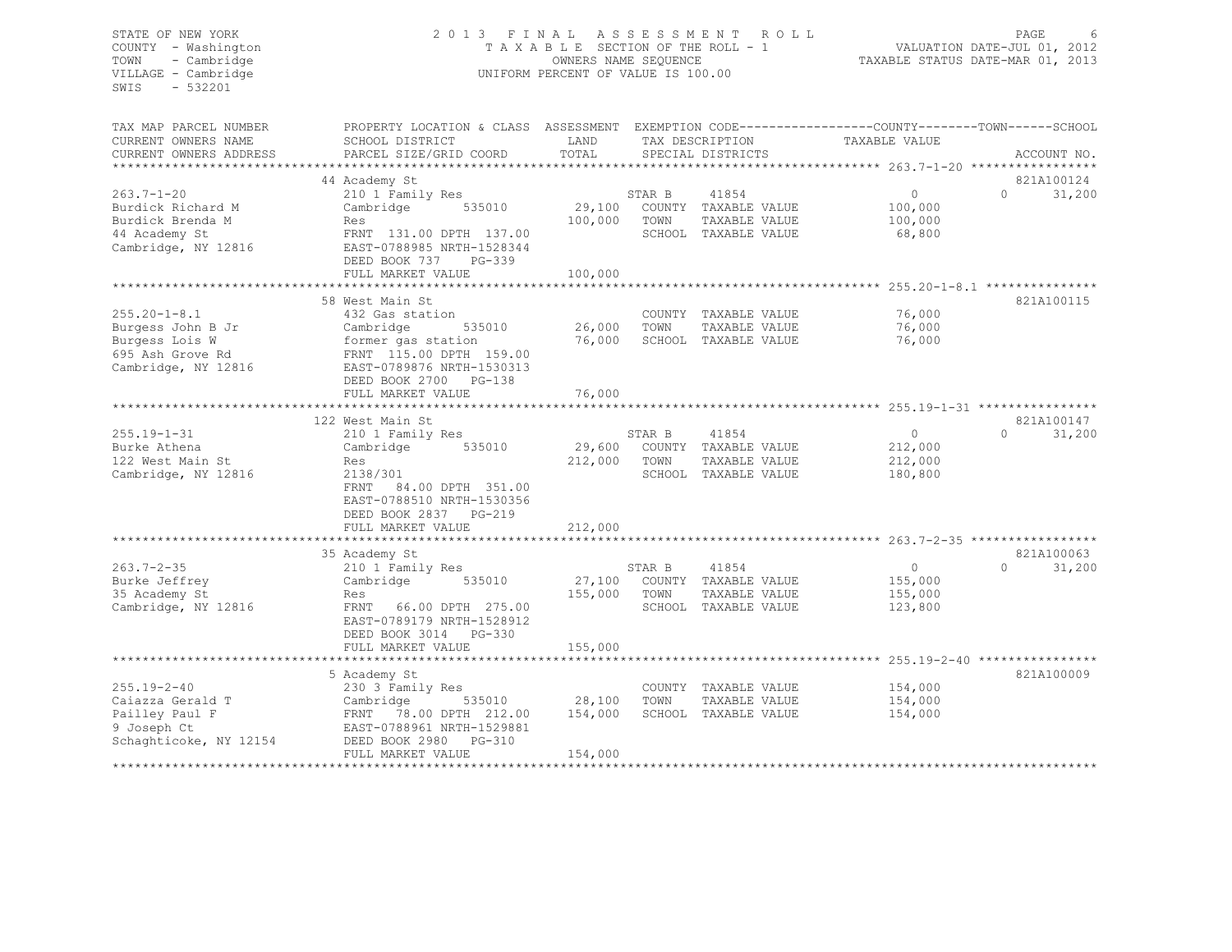# STATE OF NEW YORK 2 0 1 3 F I N A L A S S E S S M E N T R O L L PAGE 6 COUNTY - Washington T A X A B L E SECTION OF THE ROLL - 1 VALUATION DATE-JUL 01, 2012 TOWN - Cambridge OWNERS NAME SEQUENCE TAXABLE STATUS DATE-MAR 01, 2013 UNIFORM PERCENT OF VALUE IS 100.00

| TAX MAP PARCEL NUMBER<br>CURRENT OWNERS NAME           | PROPERTY LOCATION & CLASS ASSESSMENT<br>SCHOOL DISTRICT | LAND         |        | TAX DESCRIPTION                       | EXEMPTION CODE-----------------COUNTY-------TOWN------SCHOOL<br>TAXABLE VALUE |                    |
|--------------------------------------------------------|---------------------------------------------------------|--------------|--------|---------------------------------------|-------------------------------------------------------------------------------|--------------------|
| CURRENT OWNERS ADDRESS<br>**************************** | PARCEL SIZE/GRID COORD                                  | TOTAL        |        | SPECIAL DISTRICTS                     |                                                                               | ACCOUNT NO.        |
|                                                        | 44 Academy St                                           |              |        |                                       |                                                                               | 821A100124         |
| $263.7 - 1 - 20$                                       | 210 1 Family Res                                        |              | STAR B | 41854                                 | $\circ$                                                                       | $\Omega$<br>31,200 |
| Burdick Richard M                                      | 535010<br>Cambridge                                     | 29,100       |        | COUNTY TAXABLE VALUE                  | 100,000                                                                       |                    |
| Burdick Brenda M                                       | Res                                                     | 100,000      | TOWN   | TAXABLE VALUE                         | 100,000                                                                       |                    |
| 44 Academy St                                          | FRNT 131.00 DPTH 137.00                                 |              |        | SCHOOL TAXABLE VALUE                  | 68,800                                                                        |                    |
| Cambridge, NY 12816                                    | EAST-0788985 NRTH-1528344                               |              |        |                                       |                                                                               |                    |
|                                                        | DEED BOOK 737<br>PG-339                                 |              |        |                                       |                                                                               |                    |
|                                                        | FULL MARKET VALUE                                       | 100,000      |        |                                       |                                                                               |                    |
|                                                        | ***************************                             | ************ |        |                                       | ************************* 255.20-1-8.1 ***************                        |                    |
| $255.20 - 1 - 8.1$                                     | 58 West Main St                                         |              |        |                                       | 76,000                                                                        | 821A100115         |
| Burgess John B Jr                                      | 432 Gas station<br>Cambridge<br>535010                  | 26,000       | TOWN   | COUNTY TAXABLE VALUE<br>TAXABLE VALUE | 76,000                                                                        |                    |
| Burgess Lois W                                         | former gas station                                      | 76,000       |        | SCHOOL TAXABLE VALUE                  | 76,000                                                                        |                    |
| 695 Ash Grove Rd                                       | FRNT 115.00 DPTH 159.00                                 |              |        |                                       |                                                                               |                    |
| Cambridge, NY 12816                                    | EAST-0789876 NRTH-1530313                               |              |        |                                       |                                                                               |                    |
|                                                        | DEED BOOK 2700<br>$PG-138$                              |              |        |                                       |                                                                               |                    |
|                                                        | FULL MARKET VALUE                                       | 76,000       |        |                                       |                                                                               |                    |
|                                                        | *****************************                           |              |        |                                       |                                                                               |                    |
|                                                        | 122 West Main St                                        |              |        |                                       |                                                                               | 821A100147         |
| $255.19 - 1 - 31$                                      | 210 1 Family Res                                        |              | STAR B | 41854                                 | $\circ$                                                                       | 31,200<br>$\Omega$ |
| Burke Athena                                           | 535010<br>Cambridge                                     | 29,600       |        | COUNTY TAXABLE VALUE                  | 212,000                                                                       |                    |
| 122 West Main St                                       | Res                                                     | 212,000      | TOWN   | TAXABLE VALUE                         | 212,000                                                                       |                    |
| Cambridge, NY 12816                                    | 2138/301<br>FRNT                                        |              |        | SCHOOL TAXABLE VALUE                  | 180,800                                                                       |                    |
|                                                        | 84.00 DPTH 351.00<br>EAST-0788510 NRTH-1530356          |              |        |                                       |                                                                               |                    |
|                                                        | DEED BOOK 2837 PG-219                                   |              |        |                                       |                                                                               |                    |
|                                                        | FULL MARKET VALUE                                       | 212,000      |        |                                       |                                                                               |                    |
|                                                        |                                                         |              |        |                                       | ********** 263.7-2-35 ******************                                      |                    |
|                                                        | 35 Academy St                                           |              |        |                                       |                                                                               | 821A100063         |
| $263.7 - 2 - 35$                                       | 210 1 Family Res                                        |              | STAR B | 41854                                 | $\circ$                                                                       | $\Omega$<br>31,200 |
| Burke Jeffrey                                          | Cambridge<br>535010                                     | 27,100       |        | COUNTY TAXABLE VALUE                  | 155,000                                                                       |                    |
| 35 Academy St                                          | Res                                                     | 155,000      | TOWN   | TAXABLE VALUE                         | 155,000                                                                       |                    |
| Cambridge, NY 12816                                    | FRNT 66.00 DPTH 275.00                                  |              |        | SCHOOL TAXABLE VALUE                  | 123,800                                                                       |                    |
|                                                        | EAST-0789179 NRTH-1528912                               |              |        |                                       |                                                                               |                    |
|                                                        | DEED BOOK 3014<br>PG-330<br>FULL MARKET VALUE           | 155,000      |        |                                       |                                                                               |                    |
|                                                        |                                                         |              |        |                                       |                                                                               |                    |
|                                                        | 5 Academy St                                            |              |        |                                       |                                                                               | 821A100009         |
| $255.19 - 2 - 40$                                      | 230 3 Family Res                                        |              |        | COUNTY TAXABLE VALUE                  | 154,000                                                                       |                    |
| Caiazza Gerald T                                       | 535010<br>Cambridge                                     | 28,100       | TOWN   | TAXABLE VALUE                         | 154,000                                                                       |                    |
| Pailley Paul F                                         | FRNT 78.00 DPTH 212.00                                  | 154,000      |        | SCHOOL TAXABLE VALUE                  | 154,000                                                                       |                    |
| 9 Joseph Ct                                            | EAST-0788961 NRTH-1529881                               |              |        |                                       |                                                                               |                    |
| Schaghticoke, NY 12154                                 | DEED BOOK 2980<br>PG-310                                |              |        |                                       |                                                                               |                    |
|                                                        | FULL MARKET VALUE                                       | 154,000      |        |                                       |                                                                               |                    |
|                                                        |                                                         |              |        |                                       |                                                                               |                    |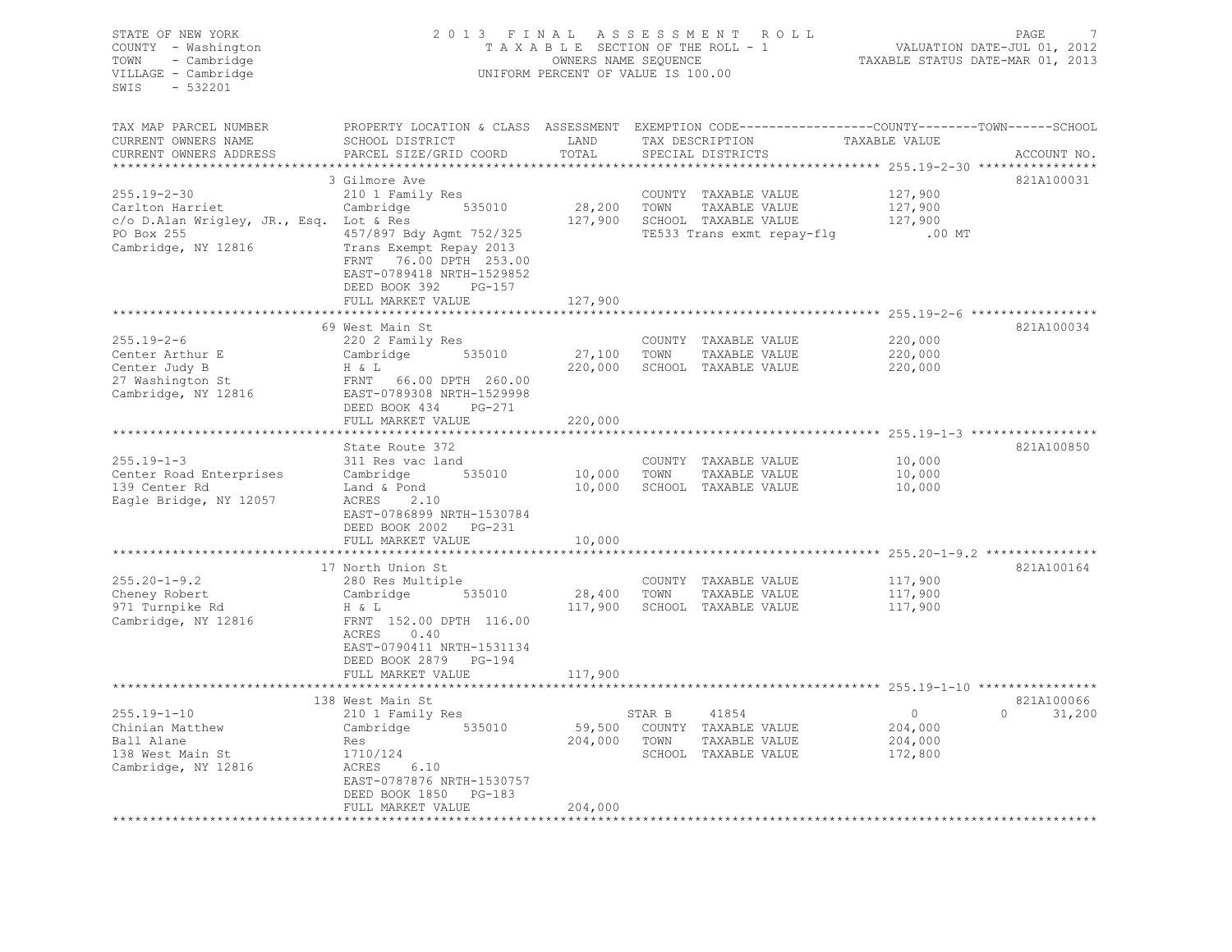| STATE OF NEW YORK<br>COUNTY - Washington<br>- Cambridge<br>TOWN<br>VILLAGE - Cambridge<br>SWIS - 532201 | UNIFORM PERCENT OF VALUE IS 100.00 | 2013 FINAL ASSESSMENT ROLL<br>TAXABLE SECTION OF THE ROLL - 1<br>OWNERS NAME SEQUENCE |                                                                                                 | PAGE<br>7<br>VALUATION DATE-JUL 01, 2012<br>TAXABLE STATUS DATE-MAR 01, 2013 |
|---------------------------------------------------------------------------------------------------------|------------------------------------|---------------------------------------------------------------------------------------|-------------------------------------------------------------------------------------------------|------------------------------------------------------------------------------|
| TAX MAP PARCEL NUMBER                                                                                   |                                    |                                                                                       | PROPERTY LOCATION & CLASS ASSESSMENT EXEMPTION CODE----------------COUNTY-------TOWN-----SCHOOL |                                                                              |
| CURRENT OWNERS NAME<br>CURRENT OWNERS ADDRESS<br>PARCEL SIZE/GRID COORD                                 | SCHOOL DISTRICT LAND<br>TOTAL      | TAX DESCRIPTION<br>SPECIAL DISTRICTS                                                  | TAXABLE VALUE                                                                                   | ACCOUNT NO.                                                                  |
| ************************                                                                                |                                    |                                                                                       |                                                                                                 |                                                                              |
| 3 Gilmore Ave                                                                                           |                                    |                                                                                       |                                                                                                 | 821A100031                                                                   |
| $255.19 - 2 - 30$<br>210 1 Family Res                                                                   |                                    | COUNTY TAXABLE VALUE                                                                  | 127,900                                                                                         |                                                                              |
| Carlton Harriet Cambridge 535010<br>c/o D.Alan Wrigley, JR., Esq. Lot & Res                             | 28,200                             | TOWN<br>TAXABLE VALUE                                                                 | 127,900                                                                                         |                                                                              |
|                                                                                                         |                                    | 127,900 SCHOOL TAXABLE VALUE                                                          | 127,900                                                                                         |                                                                              |
| 457/897 Bdy Agmt 752/325<br>PO Box 255                                                                  |                                    | TE533 Trans exmt repay-flg                                                            | $.00$ MT                                                                                        |                                                                              |
| Cambridge, NY 12816<br>Trans Exempt Repay 2013                                                          |                                    |                                                                                       |                                                                                                 |                                                                              |
| FRNT 76.00 DPTH 253.00                                                                                  |                                    |                                                                                       |                                                                                                 |                                                                              |
| EAST-0789418 NRTH-1529852                                                                               |                                    |                                                                                       |                                                                                                 |                                                                              |
| DEED BOOK 392                                                                                           | $PG-157$                           |                                                                                       |                                                                                                 |                                                                              |
| FULL MARKET VALUE                                                                                       | 127,900                            |                                                                                       |                                                                                                 |                                                                              |
| 69 West Main St                                                                                         |                                    |                                                                                       |                                                                                                 | 821A100034                                                                   |
| $255.19 - 2 - 6$<br>220 2 Family Res                                                                    |                                    | COUNTY TAXABLE VALUE                                                                  | 220,000                                                                                         |                                                                              |
|                                                                                                         | 27,100                             | TOWN                                                                                  | 220,000                                                                                         |                                                                              |
| Cambridge 535010<br>Center Arthur E<br>H & L                                                            |                                    | TAXABLE VALUE<br>220,000 SCHOOL TAXABLE VALUE                                         | 220,000                                                                                         |                                                                              |
| Center Judy B<br>FRNT 66.00 DPTH 260.00                                                                 |                                    |                                                                                       |                                                                                                 |                                                                              |
| 27 Washington St<br>Cambridge, NY 12816<br>EAST-0789308 NRTH-1529998                                    |                                    |                                                                                       |                                                                                                 |                                                                              |
| DEED BOOK 434 PG-271                                                                                    |                                    |                                                                                       |                                                                                                 |                                                                              |
| FULL MARKET VALUE                                                                                       | 220,000                            |                                                                                       |                                                                                                 |                                                                              |
|                                                                                                         |                                    |                                                                                       | ************************ 255.19-1-3 *****************                                           |                                                                              |
| State Route 372                                                                                         |                                    |                                                                                       |                                                                                                 | 821A100850                                                                   |
| $255.19 - 1 - 3$<br>311 Res vac land                                                                    |                                    | COUNTY TAXABLE VALUE                                                                  | 10,000                                                                                          |                                                                              |
| Cambridge 535010<br>Center Road Enterprises                                                             | 10,000 TOWN                        | TAXABLE VALUE                                                                         | 10,000                                                                                          |                                                                              |
| 139 Center Rd                                                                                           |                                    | 10,000 SCHOOL TAXABLE VALUE                                                           | 10,000                                                                                          |                                                                              |
| Land & Pond<br>ACRES 2.10<br>Eagle Bridge, NY 12057                                                     |                                    |                                                                                       |                                                                                                 |                                                                              |
| EAST-0786899 NRTH-1530784                                                                               |                                    |                                                                                       |                                                                                                 |                                                                              |
| DEED BOOK 2002 PG-231                                                                                   |                                    |                                                                                       |                                                                                                 |                                                                              |
| FULL MARKET VALUE                                                                                       | 10,000                             |                                                                                       |                                                                                                 |                                                                              |
|                                                                                                         | * * * * * * * * * * *              |                                                                                       |                                                                                                 |                                                                              |
| 17 North Union St                                                                                       |                                    |                                                                                       |                                                                                                 | 821A100164                                                                   |
| $255.20 - 1 - 9.2$<br>280 Res Multiple                                                                  |                                    | COUNTY TAXABLE VALUE                                                                  | 117,900                                                                                         |                                                                              |
| Cambridge 535010<br>Cheney Robert                                                                       | 28,400                             | TOWN<br>TAXABLE VALUE                                                                 | 117,900                                                                                         |                                                                              |
| 971 Turnpike Rd<br>H & L                                                                                | 117,900                            | SCHOOL TAXABLE VALUE                                                                  | 117,900                                                                                         |                                                                              |
| FRNT 152.00 DPTH 116.00<br>Cambridge, NY 12816                                                          |                                    |                                                                                       |                                                                                                 |                                                                              |
| ACRES 0.40                                                                                              |                                    |                                                                                       |                                                                                                 |                                                                              |
| EAST-0790411 NRTH-1531134                                                                               |                                    |                                                                                       |                                                                                                 |                                                                              |
| DEED BOOK 2879 PG-194                                                                                   |                                    |                                                                                       |                                                                                                 |                                                                              |
| FULL MARKET VALUE                                                                                       | 117,900                            |                                                                                       |                                                                                                 |                                                                              |
|                                                                                                         |                                    |                                                                                       | ********************** 255.19-1-10 *****************                                            |                                                                              |
| 138 West Main St                                                                                        |                                    |                                                                                       |                                                                                                 | 821A100066                                                                   |
| $255.19 - 1 - 10$<br>210 1 Family Res                                                                   |                                    | 41854<br>STAR B                                                                       | $\overline{0}$                                                                                  | 31,200<br>$\Omega$                                                           |
| Chinian Matthew<br>Cambridge 535010                                                                     |                                    | 59,500 COUNTY TAXABLE VALUE                                                           | 204,000                                                                                         |                                                                              |
| Ball Alane<br>Res                                                                                       |                                    | 204,000 TOWN<br>TAXABLE VALUE                                                         | 204,000                                                                                         |                                                                              |
| 138 West Main St<br>1710/124                                                                            |                                    | SCHOOL TAXABLE VALUE                                                                  | 172,800                                                                                         |                                                                              |
| Cambridge, NY 12816<br>ACRES 6.10                                                                       |                                    |                                                                                       |                                                                                                 |                                                                              |
| EAST-0787876 NRTH-1530757                                                                               |                                    |                                                                                       |                                                                                                 |                                                                              |
|                                                                                                         |                                    |                                                                                       |                                                                                                 |                                                                              |
|                                                                                                         |                                    |                                                                                       |                                                                                                 |                                                                              |
| DEED BOOK 1850 PG-183<br>FULL MARKET VALUE                                                              | 204,000                            |                                                                                       |                                                                                                 |                                                                              |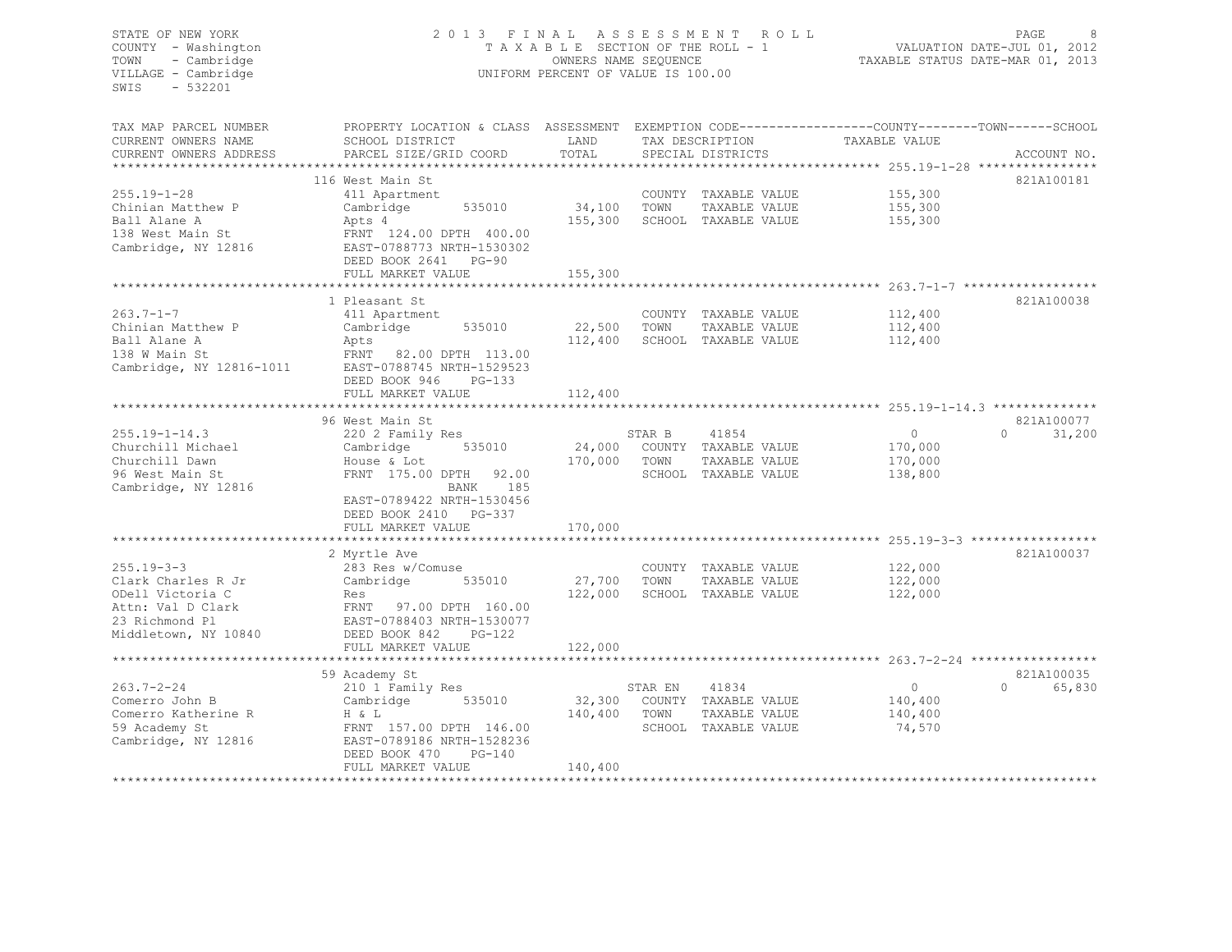# STATE OF NEW YORK 2 0 1 3 F I N A L A S S E S S M E N T R O L L PAGE 8 COUNTY - Washington T A X A B L E SECTION OF THE ROLL - 1 VALUATION DATE-JUL 01, 2012 TOWN - Cambridge OWNERS NAME SEQUENCE TAXABLE STATUS DATE-MAR 01, 2013 VILLAGE - Cambridge **UNIFORM PERCENT OF VALUE IS 100.00**

| TAX MAP PARCEL NUMBER    | PROPERTY LOCATION & CLASS ASSESSMENT EXEMPTION CODE----------------COUNTY-------TOWN------SCHOOL |             |         |                             |               |                    |
|--------------------------|--------------------------------------------------------------------------------------------------|-------------|---------|-----------------------------|---------------|--------------------|
| CURRENT OWNERS NAME      | SCHOOL DISTRICT                                                                                  | LAND        |         | TAX DESCRIPTION             | TAXABLE VALUE |                    |
| CURRENT OWNERS ADDRESS   | PARCEL SIZE/GRID COORD                                                                           | TOTAL       |         | SPECIAL DISTRICTS           |               | ACCOUNT NO.        |
|                          |                                                                                                  |             |         |                             |               |                    |
|                          | 116 West Main St                                                                                 |             |         |                             |               | 821A100181         |
| $255.19 - 1 - 28$        | 411 Apartment                                                                                    |             |         | COUNTY TAXABLE VALUE        | 155,300       |                    |
| Chinian Matthew P        | 535010<br>Cambridge                                                                              | 34,100 TOWN |         | TAXABLE VALUE               | 155,300       |                    |
| Ball Alane A             | Apts 4                                                                                           | 155,300     |         | SCHOOL TAXABLE VALUE        | 155,300       |                    |
| 138 West Main St         | FRNT 124.00 DPTH 400.00                                                                          |             |         |                             |               |                    |
| Cambridge, NY 12816      | EAST-0788773 NRTH-1530302                                                                        |             |         |                             |               |                    |
|                          | DEED BOOK 2641 PG-90                                                                             |             |         |                             |               |                    |
|                          | FULL MARKET VALUE                                                                                | 155,300     |         |                             |               |                    |
|                          |                                                                                                  |             |         |                             |               |                    |
|                          | 1 Pleasant St                                                                                    |             |         |                             |               | 821A100038         |
| $263.7 - 1 - 7$          | 411 Apartment                                                                                    |             |         | COUNTY TAXABLE VALUE        | 112,400       |                    |
| Chinian Matthew P        | 535010<br>Cambridge                                                                              | 22,500      | TOWN    | TAXABLE VALUE               | 112,400       |                    |
| Ball Alane A             | Apts                                                                                             | 112,400     |         | SCHOOL TAXABLE VALUE        | 112,400       |                    |
| 138 W Main St            | FRNT 82.00 DPTH 113.00                                                                           |             |         |                             |               |                    |
| Cambridge, NY 12816-1011 | EAST-0788745 NRTH-1529523                                                                        |             |         |                             |               |                    |
|                          | DEED BOOK 946<br>$PG-133$                                                                        |             |         |                             |               |                    |
|                          | FULL MARKET VALUE                                                                                | 112,400     |         |                             |               |                    |
|                          |                                                                                                  |             |         |                             |               |                    |
|                          | 96 West Main St                                                                                  |             |         |                             |               | 821A100077         |
| $255.19 - 1 - 14.3$      | 220 2 Family Res                                                                                 |             | STAR B  | 41854                       | $\Omega$      | $\Omega$<br>31,200 |
| Churchill Michael        | Cambridge 535010                                                                                 |             |         | 24,000 COUNTY TAXABLE VALUE | 170,000       |                    |
| Churchill Dawn           | House & Lot                                                                                      | 170,000     | TOWN    | TAXABLE VALUE               | 170,000       |                    |
| 96 West Main St          | FRNT 175.00 DPTH 92.00                                                                           |             |         | SCHOOL TAXABLE VALUE        | 138,800       |                    |
| Cambridge, NY 12816      | 185<br>BANK                                                                                      |             |         |                             |               |                    |
|                          | EAST-0789422 NRTH-1530456                                                                        |             |         |                             |               |                    |
|                          | DEED BOOK 2410 PG-337                                                                            |             |         |                             |               |                    |
|                          | FULL MARKET VALUE                                                                                | 170,000     |         |                             |               |                    |
|                          |                                                                                                  |             |         |                             |               |                    |
|                          | 2 Myrtle Ave                                                                                     |             |         |                             |               | 821A100037         |
| $255.19 - 3 - 3$         | 283 Res w/Comuse                                                                                 |             |         | COUNTY TAXABLE VALUE        | 122,000       |                    |
| Clark Charles R Jr       | Cambridge<br>535010                                                                              | 27,700 TOWN |         | TAXABLE VALUE               | 122,000       |                    |
| ODell Victoria C         | Res                                                                                              | 122,000     |         | SCHOOL TAXABLE VALUE        | 122,000       |                    |
| Attn: Val D Clark        | FRNT 97.00 DPTH 160.00                                                                           |             |         |                             |               |                    |
| 23 Richmond Pl           | EAST-0788403 NRTH-1530077                                                                        |             |         |                             |               |                    |
| Middletown, NY 10840     | DEED BOOK 842<br>$PG-122$                                                                        |             |         |                             |               |                    |
|                          | FULL MARKET VALUE                                                                                | 122,000     |         |                             |               |                    |
|                          |                                                                                                  |             |         |                             |               |                    |
|                          | 59 Academy St                                                                                    |             |         |                             |               | 821A100035         |
| $263.7 - 2 - 24$         | 210 1 Family Res                                                                                 |             | STAR EN | 41834                       | $\circ$       | $\cap$<br>65,830   |
| Comerro John B           | 535010<br>Cambridge                                                                              | 32,300      |         | COUNTY TAXABLE VALUE        | 140,400       |                    |
| Comerro Katherine R      | H & L                                                                                            | 140,400     | TOWN    | TAXABLE VALUE               | 140,400       |                    |
| 59 Academy St            | FRNT 157.00 DPTH 146.00                                                                          |             |         | SCHOOL TAXABLE VALUE        | 74,570        |                    |
| Cambridge, NY 12816      | EAST-0789186 NRTH-1528236                                                                        |             |         |                             |               |                    |
|                          | DEED BOOK 470<br>PG-140                                                                          |             |         |                             |               |                    |
|                          | FULL MARKET VALUE                                                                                | 140,400     |         |                             |               |                    |
|                          |                                                                                                  |             |         |                             |               |                    |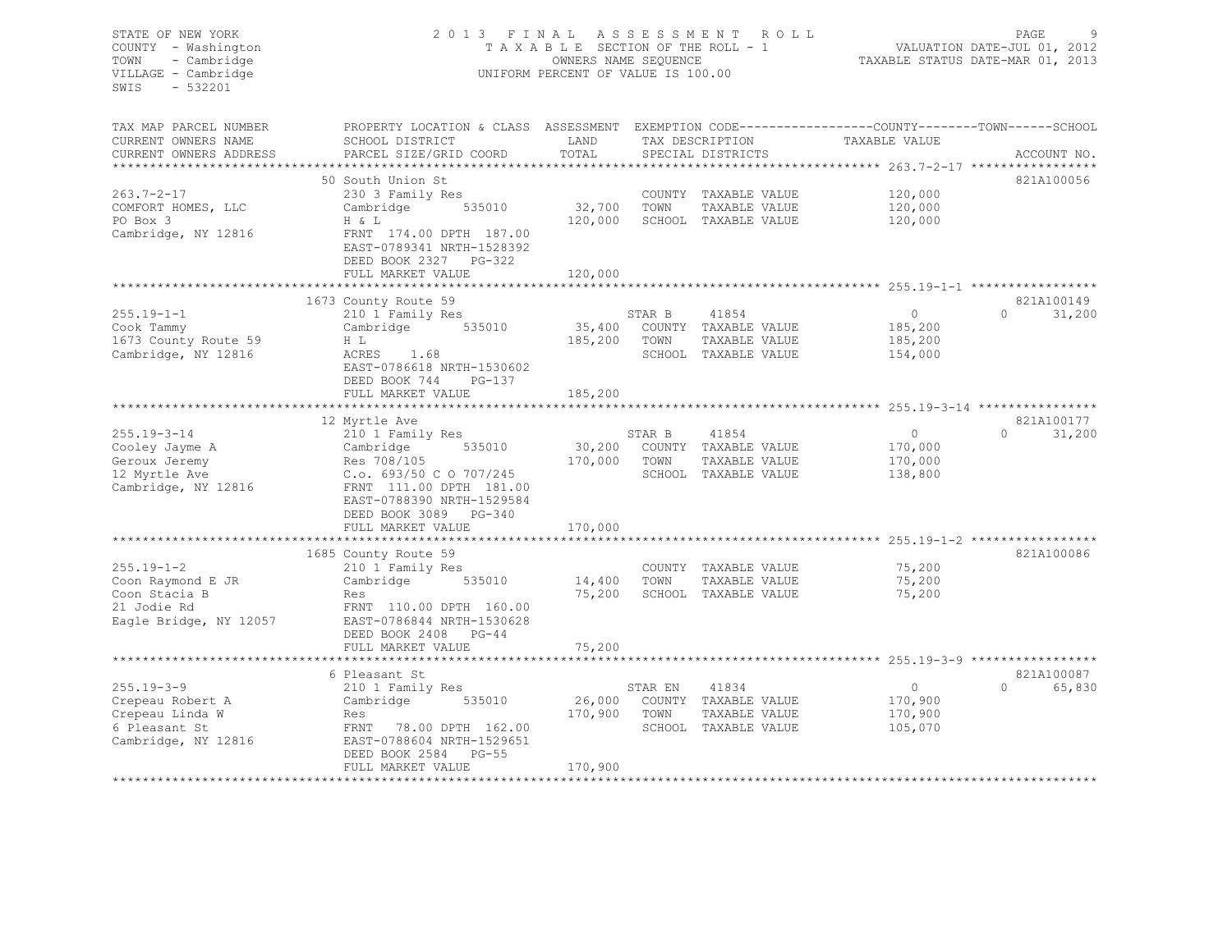# STATE OF NEW YORK 2 0 1 3 F I N A L A S S E S S M E N T R O L L PAGE 9 COUNTY - Washington T A X A B L E SECTION OF THE ROLL - 1 VALUATION DATE-JUL 01, 2012 TOWN - Cambridge OWNERS NAME SEQUENCE TAXABLE STATUS DATE-MAR 01, 2013 UNIFORM PERCENT OF VALUE IS 100.00

| TAX MAP PARCEL NUMBER<br>CURRENT OWNERS NAME<br>CURRENT OWNERS ADDRESS | PROPERTY LOCATION & CLASS ASSESSMENT EXEMPTION CODE---------------COUNTY-------TOWN------SCHOOL<br>SCHOOL DISTRICT<br>PARCEL SIZE/GRID COORD | LAND<br>TOTAL         |         | TAX DESCRIPTION<br>SPECIAL DISTRICTS  | TAXABLE VALUE      | ACCOUNT NO.        |
|------------------------------------------------------------------------|----------------------------------------------------------------------------------------------------------------------------------------------|-----------------------|---------|---------------------------------------|--------------------|--------------------|
|                                                                        |                                                                                                                                              |                       |         |                                       |                    |                    |
| $263.7 - 2 - 17$<br>COMFORT HOMES, LLC                                 | 50 South Union St<br>230 3 Family Res<br>Cambridge<br>535010                                                                                 | 32,700                | TOWN    | COUNTY TAXABLE VALUE<br>TAXABLE VALUE | 120,000<br>120,000 | 821A100056         |
| PO Box 3<br>Cambridge, NY 12816                                        | H & L<br>FRNT 174.00 DPTH 187.00<br>EAST-0789341 NRTH-1528392<br>DEED BOOK 2327 PG-322<br>FULL MARKET VALUE                                  | 120,000<br>120,000    |         | SCHOOL TAXABLE VALUE                  | 120,000            |                    |
|                                                                        |                                                                                                                                              |                       |         |                                       |                    |                    |
|                                                                        | 1673 County Route 59                                                                                                                         |                       |         |                                       |                    | 821A100149         |
| $255.19 - 1 - 1$                                                       | 210 1 Family Res                                                                                                                             |                       | STAR B  | 41854                                 | $\circ$            | $\Omega$<br>31,200 |
| Cook Tammy                                                             | 535010<br>Cambridge                                                                                                                          | 35,400                |         | COUNTY TAXABLE VALUE                  | 185,200            |                    |
| 1673 County Route 59                                                   | H L                                                                                                                                          | 185,200               | TOWN    | TAXABLE VALUE                         | 185,200            |                    |
| Cambridge, NY 12816                                                    | ACRES<br>1.68<br>EAST-0786618 NRTH-1530602<br>DEED BOOK 744<br>PG-137<br>FULL MARKET VALUE                                                   | 185,200               |         | SCHOOL TAXABLE VALUE                  | 154,000            |                    |
|                                                                        | ********************                                                                                                                         | ********************* |         |                                       |                    |                    |
|                                                                        | 12 Myrtle Ave                                                                                                                                |                       |         |                                       |                    | 821A100177         |
| $255.19 - 3 - 14$                                                      | 210 1 Family Res                                                                                                                             |                       | STAR B  | 41854                                 | $\circ$            | $\Omega$<br>31,200 |
| Cooley Jayme A                                                         | Cambridge<br>535010                                                                                                                          | 30,200                | COUNTY  | TAXABLE VALUE                         | 170,000            |                    |
| Geroux Jeremy                                                          | Res 708/105                                                                                                                                  | 170,000               | TOWN    | TAXABLE VALUE                         | 170,000            |                    |
| 12 Myrtle Ave                                                          | C.o. 693/50 C O 707/245                                                                                                                      |                       |         | SCHOOL TAXABLE VALUE                  | 138,800            |                    |
| Cambridge, NY 12816                                                    | FRNT 111.00 DPTH 181.00<br>EAST-0788390 NRTH-1529584<br>DEED BOOK 3089<br>PG-340                                                             |                       |         |                                       |                    |                    |
|                                                                        | FULL MARKET VALUE                                                                                                                            | 170,000               |         |                                       |                    |                    |
|                                                                        |                                                                                                                                              |                       |         |                                       |                    |                    |
|                                                                        | 1685 County Route 59                                                                                                                         |                       |         |                                       |                    | 821A100086         |
| $255.19 - 1 - 2$                                                       | 210 1 Family Res                                                                                                                             |                       |         | COUNTY TAXABLE VALUE                  | 75,200             |                    |
| Coon Raymond E JR                                                      | 535010<br>Cambridge                                                                                                                          | 14,400                | TOWN    | TAXABLE VALUE                         | 75,200             |                    |
| Coon Stacia B                                                          | Res                                                                                                                                          | 75,200                |         | SCHOOL TAXABLE VALUE                  | 75,200             |                    |
| 21 Jodie Rd                                                            | FRNT 110.00 DPTH 160.00                                                                                                                      |                       |         |                                       |                    |                    |
| Eagle Bridge, NY 12057                                                 | EAST-0786844 NRTH-1530628<br>DEED BOOK 2408<br>$PG-44$<br>FULL MARKET VALUE                                                                  | 75,200                |         |                                       |                    |                    |
|                                                                        | *********************                                                                                                                        | *************         |         |                                       |                    |                    |
|                                                                        | 6 Pleasant St                                                                                                                                |                       |         |                                       |                    | 821A100087         |
| $255.19 - 3 - 9$                                                       | 210 1 Family Res                                                                                                                             |                       | STAR EN | 41834                                 | 0                  | $\Omega$<br>65,830 |
| Crepeau Robert A                                                       | Cambridge<br>535010                                                                                                                          | 26,000                |         | COUNTY TAXABLE VALUE                  | 170,900            |                    |
| Crepeau Linda W                                                        | Res                                                                                                                                          | 170,900               | TOWN    | TAXABLE VALUE                         | 170,900            |                    |
| 6 Pleasant St                                                          | FRNT<br>78.00 DPTH 162.00                                                                                                                    |                       |         | SCHOOL TAXABLE VALUE                  | 105,070            |                    |
| Cambridge, NY 12816                                                    | EAST-0788604 NRTH-1529651<br>DEED BOOK 2584<br>PG-55                                                                                         |                       |         |                                       |                    |                    |
|                                                                        | FULL MARKET VALUE                                                                                                                            | 170,900               |         |                                       |                    |                    |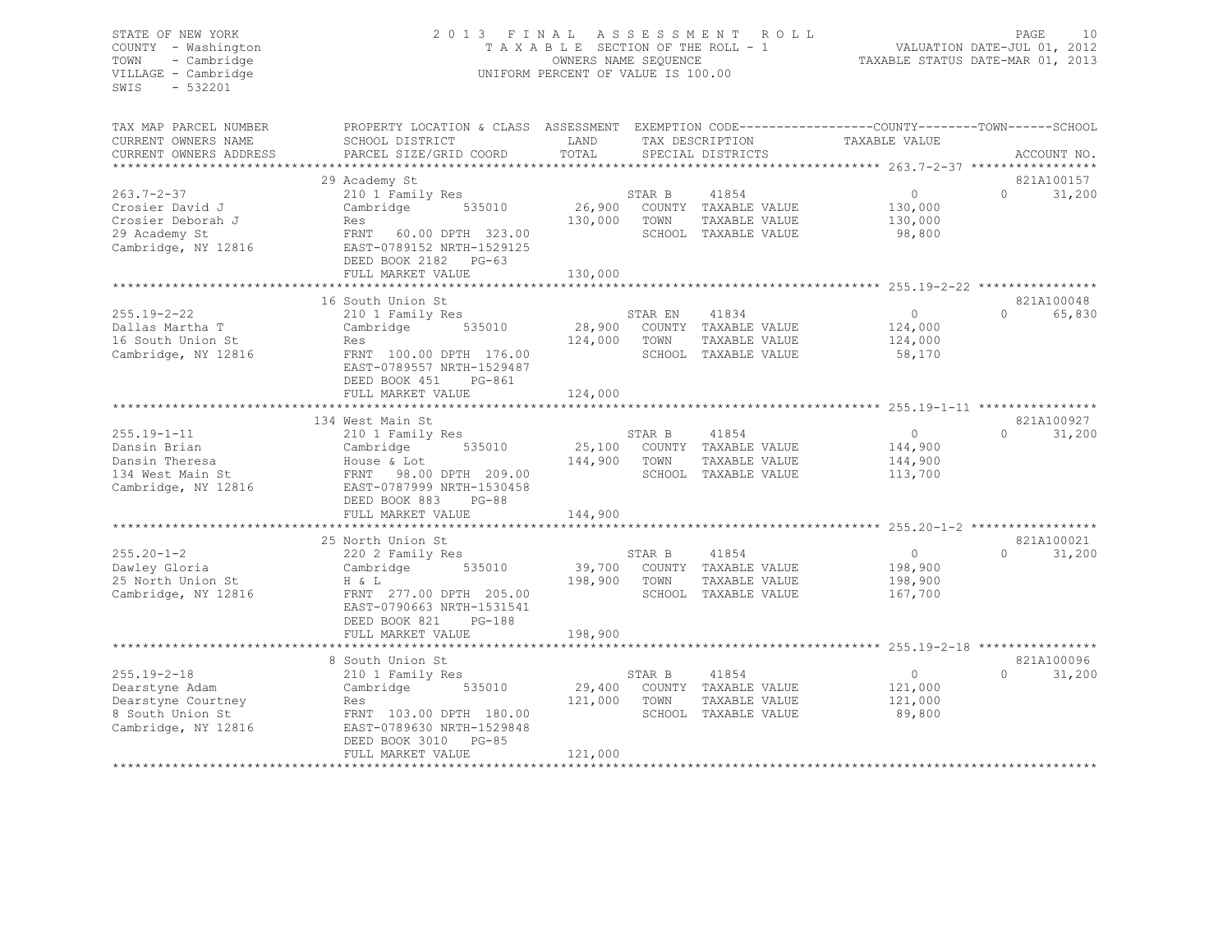# STATE OF NEW YORK 2 0 1 3 F I N A L A S S E S S M E N T R O L L PAGE 10 COUNTY - Washington T A X A B L E SECTION OF THE ROLL - 1 VALUATION DATE-JUL 01, 2012 TOWN - Cambridge OWNERS NAME SEQUENCE TAXABLE STATUS DATE-MAR 01, 2013 VILLAGE - Cambridge **UNIFORM PERCENT OF VALUE IS 100.00**

| TAX MAP PARCEL NUMBER<br>CURRENT OWNERS NAME                                                         | PROPERTY LOCATION & CLASS ASSESSMENT EXEMPTION CODE---------------COUNTY-------TOWN------SCHOOL<br>SCHOOL DISTRICT                                                      | LAND                         |                 | TAX DESCRIPTION                                                        | TAXABLE VALUE                             |          |                      |
|------------------------------------------------------------------------------------------------------|-------------------------------------------------------------------------------------------------------------------------------------------------------------------------|------------------------------|-----------------|------------------------------------------------------------------------|-------------------------------------------|----------|----------------------|
| CURRENT OWNERS ADDRESS                                                                               | PARCEL SIZE/GRID COORD                                                                                                                                                  | TOTAL                        |                 | SPECIAL DISTRICTS                                                      |                                           |          | ACCOUNT NO.          |
|                                                                                                      | 29 Academy St                                                                                                                                                           |                              |                 |                                                                        |                                           |          | 821A100157           |
| $263.7 - 2 - 37$<br>Crosier David J<br>Crosier Deborah J<br>29 Academy St<br>Cambridge, NY 12816     | 210 1 Family Res<br>535010<br>Cambridge<br>Res<br>60.00 DPTH 323.00<br>FRNT<br>EAST-0789152 NRTH-1529125<br>DEED BOOK 2182 PG-63<br>FULL MARKET VALUE                   | 26,900<br>130,000<br>130,000 | STAR B<br>TOWN  | 41854<br>COUNTY TAXABLE VALUE<br>TAXABLE VALUE<br>SCHOOL TAXABLE VALUE | $\circ$<br>130,000<br>130,000<br>98,800   | $\cap$   | 31,200               |
|                                                                                                      |                                                                                                                                                                         |                              |                 |                                                                        |                                           |          |                      |
| $255.19 - 2 - 22$<br>Dallas Martha T<br>16 South Union St<br>Cambridge, NY 12816                     | 16 South Union St<br>210 1 Family Res<br>535010<br>Cambridge<br>Res<br>FRNT 100.00 DPTH 176.00<br>EAST-0789557 NRTH-1529487<br>DEED BOOK 451<br>PG-861                  | 28,900<br>124,000            | STAR EN<br>TOWN | 41834<br>COUNTY TAXABLE VALUE<br>TAXABLE VALUE<br>SCHOOL TAXABLE VALUE | $\circ$<br>124,000<br>124,000<br>58,170   | $\Omega$ | 821A100048<br>65,830 |
|                                                                                                      | FULL MARKET VALUE                                                                                                                                                       | 124,000                      |                 |                                                                        |                                           |          |                      |
|                                                                                                      |                                                                                                                                                                         |                              |                 |                                                                        |                                           |          |                      |
|                                                                                                      | 134 West Main St                                                                                                                                                        |                              |                 |                                                                        |                                           |          | 821A100927           |
| $255.19 - 1 - 11$<br>Dansin Brian<br>Dansin Theresa<br>134 West Main St<br>Cambridge, NY 12816       | 210 1 Family Res<br>535010<br>Cambridge<br>House & Lot<br>FRNT 98.00 DPTH 209.00<br>EAST-0787999 NRTH-1530458<br>DEED BOOK 883<br>$PG-88$                               | 25,100<br>144,900            | STAR B<br>TOWN  | 41854<br>COUNTY TAXABLE VALUE<br>TAXABLE VALUE<br>SCHOOL TAXABLE VALUE | $\Omega$<br>144,900<br>144,900<br>113,700 | $\Omega$ | 31,200               |
|                                                                                                      | FULL MARKET VALUE                                                                                                                                                       | 144,900                      |                 |                                                                        |                                           |          |                      |
|                                                                                                      |                                                                                                                                                                         |                              |                 |                                                                        |                                           |          |                      |
| $255.20 - 1 - 2$<br>Dawley Gloria<br>25 North Union St<br>Cambridge, NY 12816                        | 25 North Union St<br>220 2 Family Res<br>535010<br>Cambridge<br>H & L<br>FRNT 277.00 DPTH 205.00<br>EAST-0790663 NRTH-1531541<br>DEED BOOK 821<br>PG-188                | 39,700<br>198,900            | STAR B<br>TOWN  | 41854<br>COUNTY TAXABLE VALUE<br>TAXABLE VALUE<br>SCHOOL TAXABLE VALUE | $\circ$<br>198,900<br>198,900<br>167,700  | $\Omega$ | 821A100021<br>31,200 |
|                                                                                                      | FULL MARKET VALUE                                                                                                                                                       | 198,900                      |                 |                                                                        |                                           |          |                      |
| $255.19 - 2 - 18$<br>Dearstyne Adam<br>Dearstyne Courtney<br>8 South Union St<br>Cambridge, NY 12816 | 8 South Union St<br>210 1 Family Res<br>535010<br>Cambridge<br>Res<br>FRNT 103.00 DPTH 180.00<br>EAST-0789630 NRTH-1529848<br>DEED BOOK 3010 PG-85<br>FULL MARKET VALUE | 29,400<br>121,000<br>121,000 | STAR B<br>TOWN  | 41854<br>COUNTY TAXABLE VALUE<br>TAXABLE VALUE<br>SCHOOL TAXABLE VALUE | $\circ$<br>121,000<br>121,000<br>89,800   | $\Omega$ | 821A100096<br>31,200 |
|                                                                                                      |                                                                                                                                                                         |                              |                 |                                                                        |                                           |          |                      |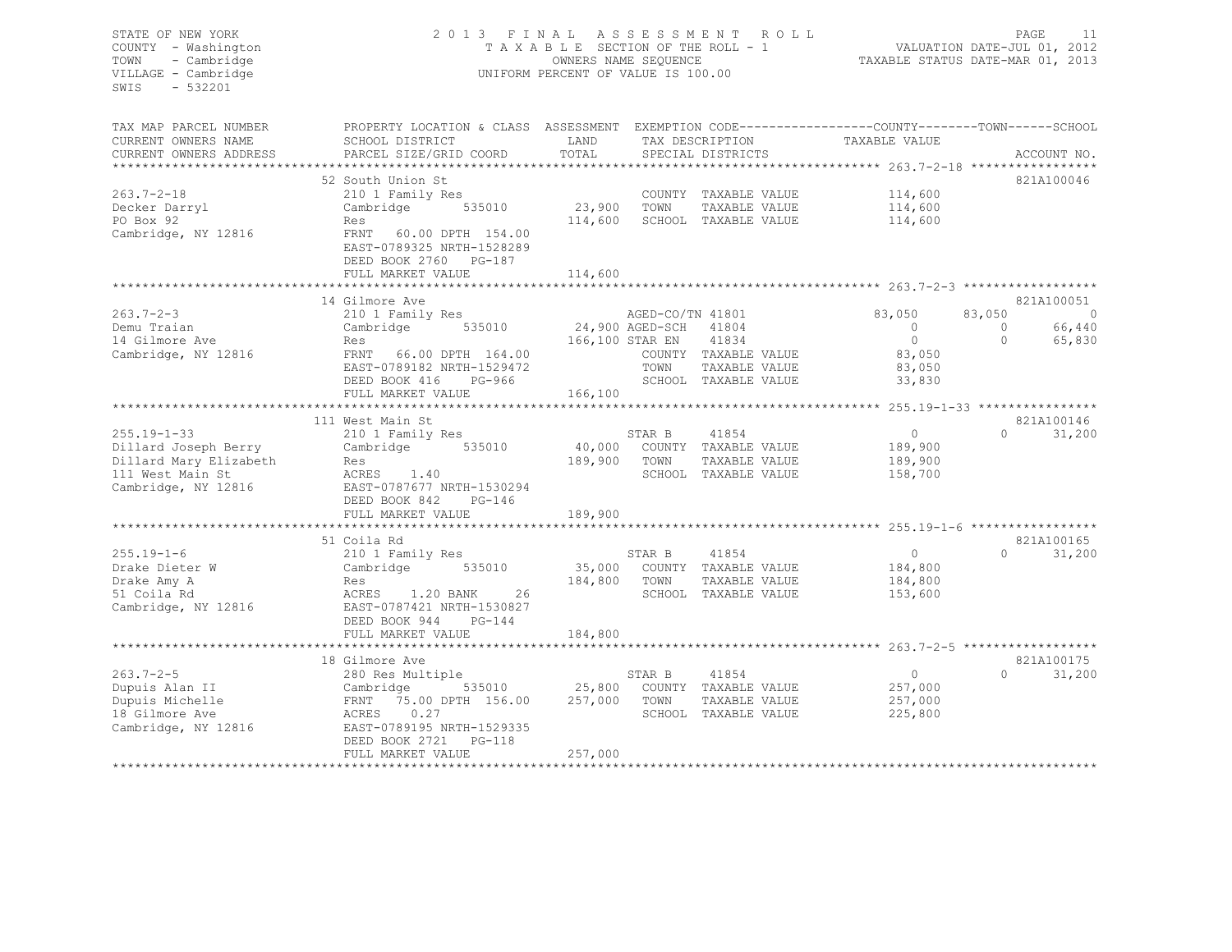# STATE OF NEW YORK 2 0 1 3 F I N A L A S S E S S M E N T R O L L PAGE 11 COUNTY - Washington T A X A B L E SECTION OF THE ROLL - 1 VALUATION DATE-JUL 01, 2012 TOWN - Cambridge OWNERS NAME SEQUENCE TAXABLE STATUS DATE-MAR 01, 2013 VILLAGE - Cambridge **UNIFORM PERCENT OF VALUE IS 100.00**

TAX MAP PARCEL NUMBER PROPERTY LOCATION & CLASS ASSESSMENT EXEMPTION CODE------------------------------TOWN-------SCHOOL

| CURRENT OWNERS NAME    | SCHOOL DISTRICT                  | LAND            |                  | TAX DESCRIPTION      | TAXABLE VALUE |          |             |
|------------------------|----------------------------------|-----------------|------------------|----------------------|---------------|----------|-------------|
| CURRENT OWNERS ADDRESS | PARCEL SIZE/GRID COORD           | TOTAL           |                  | SPECIAL DISTRICTS    |               |          | ACCOUNT NO. |
|                        |                                  |                 |                  |                      |               |          |             |
|                        | 52 South Union St                |                 |                  |                      |               |          | 821A100046  |
| $263.7 - 2 - 18$       | 210 1 Family Res                 |                 |                  | COUNTY TAXABLE VALUE | 114,600       |          |             |
| Decker Darryl          | Cambridge<br>535010              | 23,900          | TOWN             | TAXABLE VALUE        | 114,600       |          |             |
| PO Box 92              | Res                              | 114,600         |                  | SCHOOL TAXABLE VALUE | 114,600       |          |             |
| Cambridge, NY 12816    | <b>FRNT</b><br>60.00 DPTH 154.00 |                 |                  |                      |               |          |             |
|                        | EAST-0789325 NRTH-1528289        |                 |                  |                      |               |          |             |
|                        | DEED BOOK 2760 PG-187            |                 |                  |                      |               |          |             |
|                        | FULL MARKET VALUE                | 114,600         |                  |                      |               |          |             |
|                        |                                  |                 |                  |                      |               |          |             |
|                        | 14 Gilmore Ave                   |                 |                  |                      |               |          | 821A100051  |
| $263.7 - 2 - 3$        | 210 1 Family Res                 |                 | AGED-CO/TN 41801 |                      | 83,050        | 83,050   | $\circ$     |
| Demu Traian            | 535010<br>Cambridge              |                 | 24,900 AGED-SCH  | 41804                | $\Omega$      | $\Omega$ | 66,440      |
| 14 Gilmore Ave         | Res                              | 166,100 STAR EN |                  | 41834                | $\Omega$      | $\Omega$ | 65,830      |
| Cambridge, NY 12816    | FRNT<br>66.00 DPTH 164.00        |                 |                  | COUNTY TAXABLE VALUE | 83,050        |          |             |
|                        | EAST-0789182 NRTH-1529472        |                 | TOWN             | TAXABLE VALUE        | 83,050        |          |             |
|                        | DEED BOOK 416<br>PG-966          |                 |                  | SCHOOL TAXABLE VALUE | 33,830        |          |             |
|                        | FULL MARKET VALUE                | 166,100         |                  |                      |               |          |             |
|                        |                                  |                 |                  |                      |               |          |             |
|                        | 111 West Main St                 |                 |                  |                      |               |          | 821A100146  |
| $255.19 - 1 - 33$      | 210 1 Family Res                 |                 | STAR B           | 41854                | $\circ$       | $\Omega$ | 31,200      |
| Dillard Joseph Berry   | Cambridge<br>535010              | 40,000          |                  | COUNTY TAXABLE VALUE | 189,900       |          |             |
| Dillard Mary Elizabeth | Res                              | 189,900         | TOWN             | TAXABLE VALUE        | 189,900       |          |             |
| 111 West Main St       | ACRES<br>1.40                    |                 |                  | SCHOOL TAXABLE VALUE | 158,700       |          |             |
| Cambridge, NY 12816    | EAST-0787677 NRTH-1530294        |                 |                  |                      |               |          |             |
|                        | DEED BOOK 842<br>$PG-146$        |                 |                  |                      |               |          |             |
|                        | FULL MARKET VALUE                | 189,900         |                  |                      |               |          |             |
|                        |                                  |                 |                  |                      |               |          |             |
|                        | 51 Coila Rd                      |                 |                  |                      |               |          | 821A100165  |
| $255.19 - 1 - 6$       | 210 1 Family Res                 |                 | STAR B           | 41854                | $\circ$       | $\Omega$ | 31,200      |
| Drake Dieter W         | 535010<br>Cambridge              | 35,000          |                  | COUNTY TAXABLE VALUE | 184,800       |          |             |
| Drake Amy A            | Res                              | 184,800         | TOWN             | TAXABLE VALUE        | 184,800       |          |             |
| 51 Coila Rd            | 1.20 BANK<br>26<br>ACRES         |                 |                  | SCHOOL TAXABLE VALUE | 153,600       |          |             |
| Cambridge, NY 12816    | EAST-0787421 NRTH-1530827        |                 |                  |                      |               |          |             |
|                        | DEED BOOK 944<br>$PG-144$        |                 |                  |                      |               |          |             |
|                        |                                  | 184,800         |                  |                      |               |          |             |
|                        | FULL MARKET VALUE                |                 |                  |                      |               |          |             |
|                        | 18 Gilmore Ave                   |                 |                  |                      |               |          | 821A100175  |
| $263.7 - 2 - 5$        |                                  |                 | STAR B           | 41854                | $\Omega$      | $\Omega$ | 31,200      |
|                        | 280 Res Multiple                 | 25,800          |                  |                      |               |          |             |
| Dupuis Alan II         | 535010<br>Cambridge              |                 |                  | COUNTY TAXABLE VALUE | 257,000       |          |             |
| Dupuis Michelle        | 75.00 DPTH 156.00<br>FRNT        | 257,000         | TOWN             | TAXABLE VALUE        | 257,000       |          |             |
| 18 Gilmore Ave         | ACRES<br>0.27                    |                 |                  | SCHOOL TAXABLE VALUE | 225,800       |          |             |
| Cambridge, NY 12816    | EAST-0789195 NRTH-1529335        |                 |                  |                      |               |          |             |
|                        | DEED BOOK 2721<br>PG-118         |                 |                  |                      |               |          |             |
|                        | FULL MARKET VALUE                | 257,000         |                  |                      |               |          |             |
|                        |                                  |                 |                  |                      |               |          |             |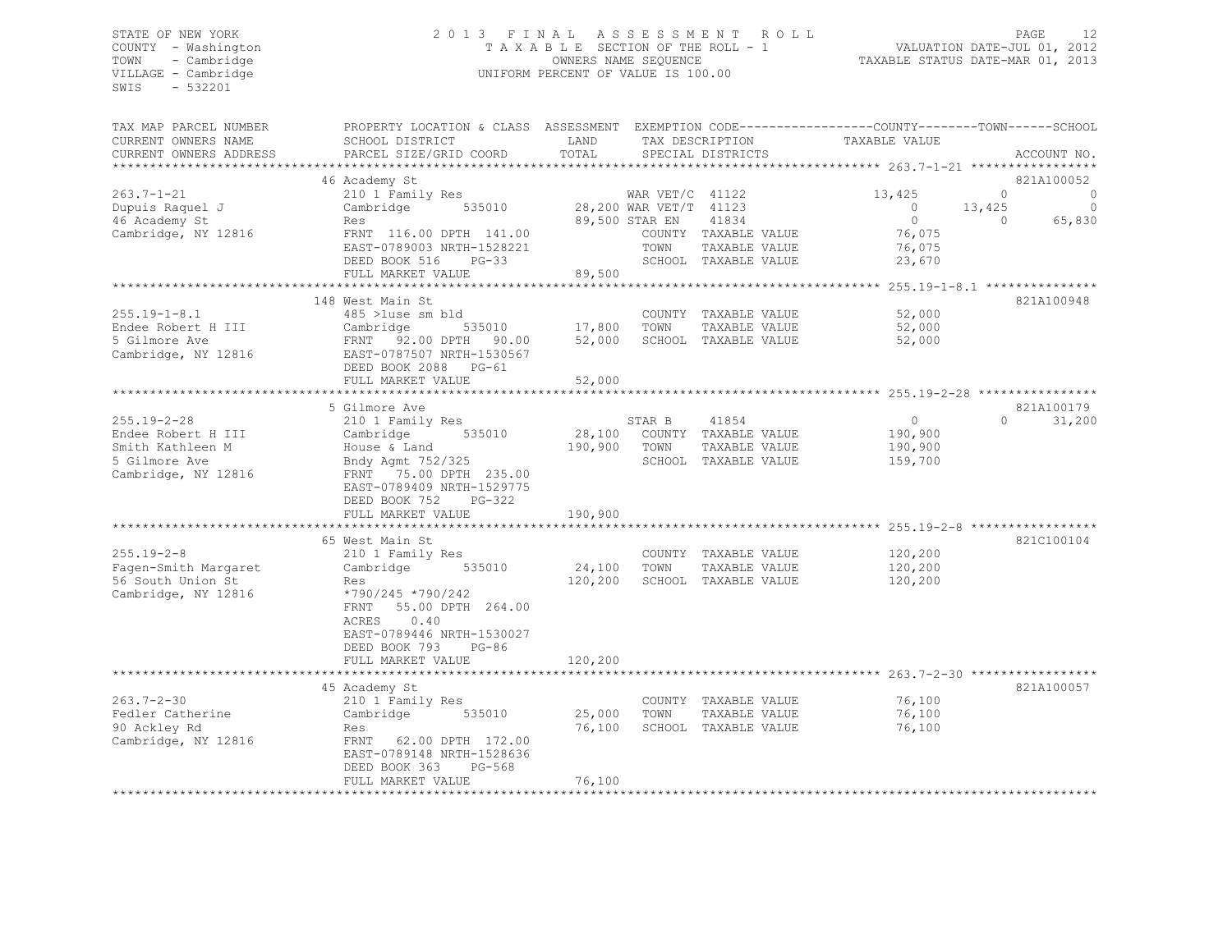# STATE OF NEW YORK<br>COUNTY - Washington 2012 2013 FINAL ASSESSMENT ROLL 2011<br>COUNTY - Washington 2012 COUNTY - Washington T A X A B L E SECTION OF THE ROLL - 1<br>TOWN - Cambridge COUNTY - CAMBRIDGE TOWN - Cambridge OWNERS NAME SEQUENCE TAXABLE STATUS DATE-MAR 01, 2013 UNIFORM PERCENT OF VALUE IS 100.00

| TAX MAP PARCEL NUMBER  | PROPERTY LOCATION & CLASS ASSESSMENT EXEMPTION CODE---------------COUNTY-------TOWN------SCHOOL |                        |              |                             |                   |                |             |
|------------------------|-------------------------------------------------------------------------------------------------|------------------------|--------------|-----------------------------|-------------------|----------------|-------------|
| CURRENT OWNERS NAME    | SCHOOL DISTRICT                                                                                 | LAND                   |              | TAX DESCRIPTION             | TAXABLE VALUE     |                |             |
| CURRENT OWNERS ADDRESS | PARCEL SIZE/GRID COORD                                                                          | TOTAL                  |              | SPECIAL DISTRICTS           |                   |                | ACCOUNT NO. |
|                        |                                                                                                 |                        |              |                             |                   |                |             |
|                        | 46 Academy St                                                                                   |                        |              |                             |                   |                | 821A100052  |
| 263.7-1-21             | 210 1 Family Res                                                                                |                        |              | WAR VET/C $41122$           | 13,425            | $\circ$        | 0           |
| Dupuis Raquel J        | Cambridge 535010                                                                                | 28,200 WAR VET/T 41123 |              |                             | $\overline{0}$    | 13,425         | $\circ$     |
| 46 Academy St          | Res                                                                                             |                        |              | 89,500 STAR EN 41834        | $\bigcirc$        | $\overline{0}$ | 65,830      |
| Cambridge, NY 12816    | FRNT 116.00 DPTH 141.00                                                                         |                        |              | COUNTY TAXABLE VALUE        | 76,075            |                |             |
|                        | EAST-0789003 NRTH-1528221                                                                       |                        | TOWN         | TAXABLE VALUE               | 76,075            |                |             |
|                        | DEED BOOK 516 PG-33                                                                             |                        |              | SCHOOL TAXABLE VALUE        | 23,670            |                |             |
|                        | FULL MARKET VALUE                                                                               | 89,500                 |              |                             |                   |                |             |
|                        |                                                                                                 |                        |              |                             |                   |                |             |
|                        | 148 West Main St                                                                                |                        |              |                             |                   |                | 821A100948  |
| $255.19 - 1 - 8.1$     | 485 >1use sm bld                                                                                |                        |              | COUNTY TAXABLE VALUE        | 52,000            |                |             |
| Endee Robert H III     |                                                                                                 | 17,800 TOWN            |              | TAXABLE VALUE               | 52,000            |                |             |
| 5 Gilmore Ave          |                                                                                                 |                        |              | SCHOOL TAXABLE VALUE        | 52,000            |                |             |
| Cambridge, NY 12816    | Cambridge 535010 17,800<br>FRNT 92.00DPTH 90.00 52,000<br>EAST-0787507NRTH-1530567              |                        |              |                             |                   |                |             |
|                        | DEED BOOK 2088 PG-61                                                                            |                        |              |                             |                   |                |             |
|                        | FULL MARKET VALUE                                                                               | 52,000                 |              |                             |                   |                |             |
|                        |                                                                                                 |                        |              |                             |                   |                |             |
|                        | 5 Gilmore Ave                                                                                   |                        |              |                             |                   |                | 821A100179  |
| 255.19-2-28            | 210 1 Family Res                                                                                |                        | STAR B 41854 |                             | $0 \qquad \qquad$ | $\Omega$       | 31,200      |
| Endee Robert H III     | Cambridge<br>535010                                                                             |                        |              | 28,100 COUNTY TAXABLE VALUE | 190,900           |                |             |
| Smith Kathleen M       |                                                                                                 | 190,900 TOWN           |              | TAXABLE VALUE               | 190,900           |                |             |
| 5 Gilmore Ave          |                                                                                                 |                        |              | SCHOOL TAXABLE VALUE        | 159,700           |                |             |
| Cambridge, NY 12816    | House & Land<br>Bndy Agmt 752/325<br>FRNT   75.00 DPTH  235.00                                  |                        |              |                             |                   |                |             |
|                        | EAST-0789409 NRTH-1529775                                                                       |                        |              |                             |                   |                |             |
|                        | DEED BOOK 752<br>$PG-322$                                                                       |                        |              |                             |                   |                |             |
|                        | FULL MARKET VALUE                                                                               | 190,900                |              |                             |                   |                |             |
|                        |                                                                                                 |                        |              |                             |                   |                |             |
|                        | 65 West Main St                                                                                 |                        |              |                             |                   |                | 821C100104  |
| 255.19-2-8             |                                                                                                 |                        |              |                             | 120,200           |                |             |
|                        | 210 1 Family Res<br>535010                                                                      |                        |              | COUNTY TAXABLE VALUE        |                   |                |             |
| Fagen-Smith Margaret   | Cambridge                                                                                       | 24,100                 | TOWN         | TAXABLE VALUE               | 120,200           |                |             |
| 56 South Union St      | Res                                                                                             | 120,200                |              | SCHOOL TAXABLE VALUE        | 120,200           |                |             |
| Cambridge, NY 12816    | *790/245 *790/242                                                                               |                        |              |                             |                   |                |             |
|                        | FRNT 55.00 DPTH 264.00                                                                          |                        |              |                             |                   |                |             |
|                        | ACRES<br>0.40                                                                                   |                        |              |                             |                   |                |             |
|                        | EAST-0789446 NRTH-1530027                                                                       |                        |              |                             |                   |                |             |
|                        | DEED BOOK 793<br>$PG-86$                                                                        |                        |              |                             |                   |                |             |
|                        | FULL MARKET VALUE                                                                               | 120,200                |              |                             |                   |                |             |
|                        |                                                                                                 |                        |              |                             |                   |                |             |
|                        | 45 Academy St                                                                                   |                        |              |                             |                   |                | 821A100057  |
| 263.7-2-30             | 210 1 Family Res                                                                                |                        |              | COUNTY TAXABLE VALUE        | 76,100            |                |             |
| Fedler Catherine       | Cambridge<br>535010                                                                             | 25,000 TOWN            |              | TAXABLE VALUE               | 76,100            |                |             |
| 90 Ackley Rd           | Res                                                                                             | 76,100                 |              | SCHOOL TAXABLE VALUE        | 76,100            |                |             |
| Cambridge, NY 12816    | FRNT 62.00 DPTH 172.00                                                                          |                        |              |                             |                   |                |             |
|                        | EAST-0789148 NRTH-1528636                                                                       |                        |              |                             |                   |                |             |
|                        | DEED BOOK 363<br>PG-568                                                                         |                        |              |                             |                   |                |             |
|                        | FULL MARKET VALUE                                                                               | 76,100                 |              |                             |                   |                |             |
|                        |                                                                                                 |                        |              |                             |                   |                |             |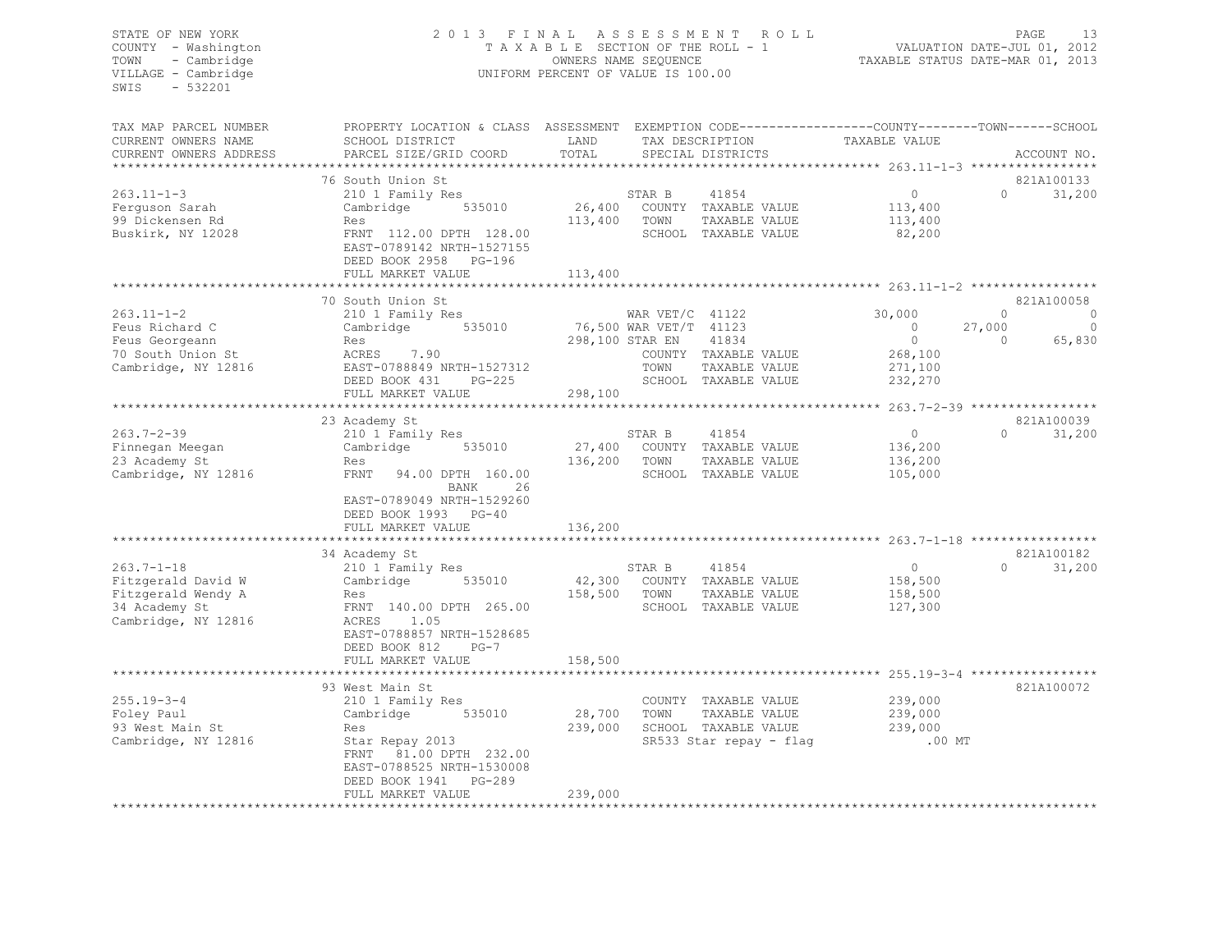# STATE OF NEW YORK PAGE 13<br>COUNTY - Washington 1 2013 FINAL ASSESSMENT ROLL - 1 VALUATION DATE-JUL 01, 2012<br>2013 - 2013 PAGE 13 2013 TAXABLE SECTION OF THE ROLL - 1 2013 COUNTY - Washington T A X A B L E SECTION OF THE ROLL - 1 TOWN - Cambridge OWNERS NAME SEQUENCE TAXABLE STATUS DATE-MAR 01, 2013 UNIFORM PERCENT OF VALUE IS 100.00

| TAX MAP PARCEL NUMBER  | PROPERTY LOCATION & CLASS ASSESSMENT EXEMPTION CODE---------------COUNTY-------TOWN------SCHOOL |                        |                       |                               |                                                     |                   |             |
|------------------------|-------------------------------------------------------------------------------------------------|------------------------|-----------------------|-------------------------------|-----------------------------------------------------|-------------------|-------------|
| CURRENT OWNERS NAME    | SCHOOL DISTRICT                                                                                 | LAND                   |                       | TAX DESCRIPTION TAXABLE VALUE |                                                     |                   |             |
| CURRENT OWNERS ADDRESS | PARCEL SIZE/GRID COORD                                                                          | TOTAL                  |                       | SPECIAL DISTRICTS             |                                                     |                   | ACCOUNT NO. |
|                        |                                                                                                 |                        |                       |                               |                                                     |                   |             |
|                        | 76 South Union St                                                                               |                        |                       |                               |                                                     |                   | 821A100133  |
| $263.11 - 1 - 3$       | 210 1 Family Res                                                                                |                        | STAR B                | 41854                         | $\Omega$                                            | $0 \qquad \qquad$ | 31,200      |
| Ferquson Sarah         | 535010<br>Cambridge                                                                             | 26,400                 |                       | COUNTY TAXABLE VALUE          | 113,400                                             |                   |             |
| 99 Dickensen Rd        | Res                                                                                             | 113,400                | TOWN                  | TAXABLE VALUE                 | 113,400                                             |                   |             |
| Buskirk, NY 12028      | FRNT 112.00 DPTH 128.00                                                                         |                        |                       | SCHOOL TAXABLE VALUE          | 82,200                                              |                   |             |
|                        | EAST-0789142 NRTH-1527155                                                                       |                        |                       |                               |                                                     |                   |             |
|                        | DEED BOOK 2958 PG-196                                                                           | 113,400                |                       |                               |                                                     |                   |             |
|                        | FULL MARKET VALUE                                                                               |                        |                       |                               |                                                     |                   |             |
|                        | 70 South Union St                                                                               |                        |                       |                               |                                                     |                   | 821A100058  |
| $263.11 - 1 - 2$       | 210 1 Family Res                                                                                |                        | WAR $VET/C$ 41122     |                               | 30,000                                              | $\Omega$          | C           |
| Feus Richard C         | 535010<br>Cambridge                                                                             | 76,500 WAR VET/T 41123 |                       |                               | $\overline{0}$                                      | 27,000            | $\Omega$    |
| Feus Georgeann         | Res                                                                                             |                        | 298,100 STAR EN 41834 |                               | $\bigcirc$                                          | $\Omega$          | 65,830      |
| 70 South Union St      | ACRES 7.90                                                                                      |                        |                       | COUNTY TAXABLE VALUE          | 268,100                                             |                   |             |
| Cambridge, NY 12816    | EAST-0788849 NRTH-1527312                                                                       |                        | TOWN                  | TAXABLE VALUE                 | 271,100                                             |                   |             |
|                        | DEED BOOK 431<br>PG-225                                                                         |                        |                       | SCHOOL TAXABLE VALUE          | 232,270                                             |                   |             |
|                        | FULL MARKET VALUE                                                                               | 298,100                |                       |                               |                                                     |                   |             |
|                        |                                                                                                 |                        |                       |                               | ********************* 263.7-2-39 ****************** |                   |             |
|                        | 23 Academy St                                                                                   |                        |                       |                               |                                                     |                   | 821A100039  |
| 263.7-2-39             | 210 1 Family Res                                                                                |                        | STAR B                | 41854                         | $\overline{0}$                                      | $\Omega$          | 31,200      |
| Finnegan Meegan        | 535010<br>Cambridge                                                                             |                        |                       | 27,400 COUNTY TAXABLE VALUE   | 136,200                                             |                   |             |
| 23 Academy St          | Res                                                                                             | 136,200                | TOWN                  | TAXABLE VALUE                 | 136,200                                             |                   |             |
| Cambridge, NY 12816    | FRNT 94.00 DPTH 160.00                                                                          |                        |                       | SCHOOL TAXABLE VALUE          | 105,000                                             |                   |             |
|                        | BANK<br>26                                                                                      |                        |                       |                               |                                                     |                   |             |
|                        | EAST-0789049 NRTH-1529260                                                                       |                        |                       |                               |                                                     |                   |             |
|                        | DEED BOOK 1993 PG-40                                                                            |                        |                       |                               |                                                     |                   |             |
|                        | FULL MARKET VALUE                                                                               | 136,200                |                       |                               |                                                     |                   |             |
|                        |                                                                                                 |                        |                       |                               |                                                     |                   |             |
|                        | 34 Academy St                                                                                   |                        |                       |                               |                                                     |                   | 821A100182  |
| $263.7 - 1 - 18$       | 210 1 Family Res                                                                                |                        | STAR B                | 41854                         | $\circ$                                             | $\Omega$          | 31,200      |
| Fitzgerald David W     | Cambridge<br>535010                                                                             |                        |                       | 42,300 COUNTY TAXABLE VALUE   | 158,500                                             |                   |             |
| Fitzgerald Wendy A     | Res                                                                                             | 158,500                | TOWN                  | TAXABLE VALUE                 | 158,500                                             |                   |             |
| 34 Academy St          | FRNT 140.00 DPTH 265.00                                                                         |                        |                       | SCHOOL TAXABLE VALUE          | 127,300                                             |                   |             |
| Cambridge, NY 12816    | 1.05<br>ACRES                                                                                   |                        |                       |                               |                                                     |                   |             |
|                        | EAST-0788857 NRTH-1528685<br>DEED BOOK 812<br>$PG-7$                                            |                        |                       |                               |                                                     |                   |             |
|                        | FULL MARKET VALUE                                                                               | 158,500                |                       |                               |                                                     |                   |             |
|                        |                                                                                                 |                        |                       |                               |                                                     |                   |             |
|                        |                                                                                                 |                        |                       |                               |                                                     |                   |             |

93 West Main St 821A100072 255.19-3-4 210 1 Family Res COUNTY TAXABLE VALUE 239,000 Foley Paul Cambridge 535010 28,700 TOWN TAXABLE VALUE 239,000 Res 239,000 SCHOOL TAXABLE VALUE Cambridge, NY 12816 Star Repay 2013 SR533 Star repay - flag .00 MT FRNT 81.00 DPTH 232.00 EAST-0788525 NRTH-1530008 DEED BOOK 1941 PG-289 FULL MARKET VALUE 239,000

\*\*\*\*\*\*\*\*\*\*\*\*\*\*\*\*\*\*\*\*\*\*\*\*\*\*\*\*\*\*\*\*\*\*\*\*\*\*\*\*\*\*\*\*\*\*\*\*\*\*\*\*\*\*\*\*\*\*\*\*\*\*\*\*\*\*\*\*\*\*\*\*\*\*\*\*\*\*\*\*\*\*\*\*\*\*\*\*\*\*\*\*\*\*\*\*\*\*\*\*\*\*\*\*\*\*\*\*\*\*\*\*\*\*\*\*\*\*\*\*\*\*\*\*\*\*\*\*\*\*\*\*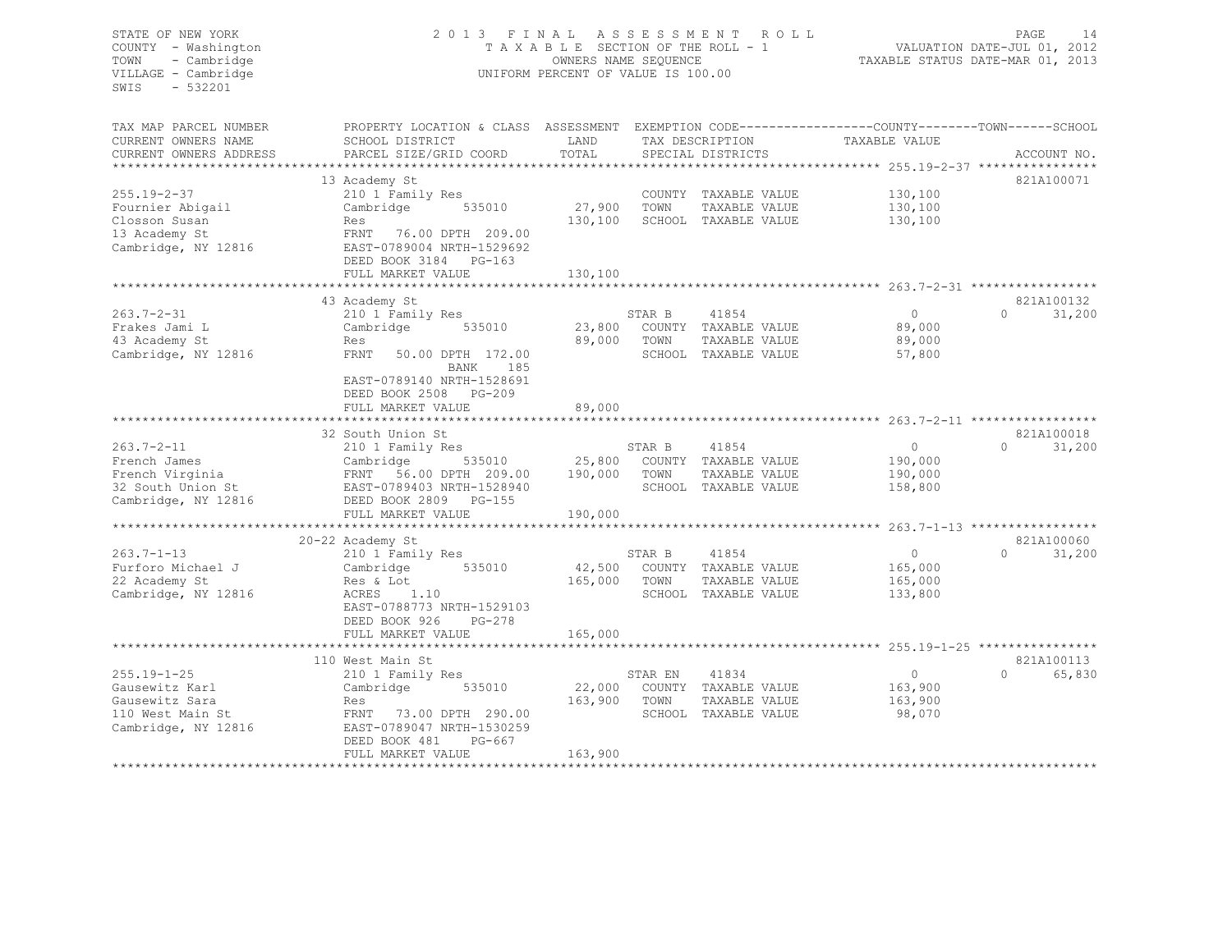| TOWN<br>- Cambridge<br>VILLAGE - Cambridge<br>$-532201$<br>SWIS |                                                                                                                                                                              | UNIFORM PERCENT OF VALUE IS 100.00 |              | 2013 FINAL ASSESSMENT ROLL                    | T A X A B L E SECTION OF THE ROLL - 1 WALUATION DATE-JUL 01, 2012<br>OWNERS NAME SEQUENCE TAXABLE STATUS DATE-MAR 01, 2013 | PAGE<br>14    |
|-----------------------------------------------------------------|------------------------------------------------------------------------------------------------------------------------------------------------------------------------------|------------------------------------|--------------|-----------------------------------------------|----------------------------------------------------------------------------------------------------------------------------|---------------|
| TAX MAP PARCEL NUMBER                                           | PROPERTY LOCATION & CLASS ASSESSMENT EXEMPTION CODE---------------COUNTY-------TOWN-----SCHOOL                                                                               |                                    |              |                                               |                                                                                                                            |               |
| CURRENT OWNERS NAME                                             | SCHOOL DISTRICT                                                                                                                                                              | LAND                               |              | TAX DESCRIPTION                               | TAXABLE VALUE                                                                                                              |               |
| CURRENT OWNERS ADDRESS                                          | PARCEL SIZE/GRID COORD                                                                                                                                                       | TOTAL                              |              | SPECIAL DISTRICTS                             |                                                                                                                            | ACCOUNT NO.   |
|                                                                 |                                                                                                                                                                              |                                    |              |                                               |                                                                                                                            |               |
|                                                                 | 13 Academy St                                                                                                                                                                |                                    |              |                                               |                                                                                                                            | 821A100071    |
| $255.19 - 2 - 37$                                               | 210 1 Family Res<br>Cambridge 535010                                                                                                                                         |                                    |              | COUNTY TAXABLE VALUE                          | 130,100                                                                                                                    |               |
| Fournier Abigail<br>Closson Susan                               |                                                                                                                                                                              | 27,900 TOWN                        |              | TAXABLE VALUE<br>130,100 SCHOOL TAXABLE VALUE | 130,100<br>130,100                                                                                                         |               |
| 13 Academy St                                                   | Res                                                                                                                                                                          |                                    |              |                                               |                                                                                                                            |               |
| Cambridge, NY 12816                                             | FRNT 76.00 DPTH 209.00<br>EAST-0789004 NRTH-1529692                                                                                                                          |                                    |              |                                               |                                                                                                                            |               |
|                                                                 | DEED BOOK 3184 PG-163                                                                                                                                                        |                                    |              |                                               |                                                                                                                            |               |
|                                                                 | FULL MARKET VALUE                                                                                                                                                            | 130,100                            |              |                                               |                                                                                                                            |               |
|                                                                 |                                                                                                                                                                              |                                    |              |                                               |                                                                                                                            |               |
|                                                                 | 43 Academy St                                                                                                                                                                |                                    |              |                                               |                                                                                                                            | 821A100132    |
| $263.7 - 2 - 31$                                                | 210 1 Family Res                                                                                                                                                             |                                    |              | STAR B 41854                                  | $\overline{0}$                                                                                                             | $0 \t 31,200$ |
| Frakes Jami L                                                   | Cambridge 535010                                                                                                                                                             |                                    |              | 23,800 COUNTY TAXABLE VALUE                   | 89,000                                                                                                                     |               |
| 43 Academy St                                                   | Res                                                                                                                                                                          |                                    |              | 89,000 TOWN TAXABLE VALUE                     | 89,000                                                                                                                     |               |
| Cambridge, NY 12816                                             | FRNT 50.00 DPTH 172.00                                                                                                                                                       |                                    |              | SCHOOL TAXABLE VALUE                          | 57,800                                                                                                                     |               |
|                                                                 | BANK 185<br>EAST-0789140 NRTH-1528691<br>DEED BOOK 2508 PG-209<br>FULL MARKET VALUE                                                                                          | 89,000                             |              |                                               |                                                                                                                            |               |
|                                                                 |                                                                                                                                                                              |                                    |              |                                               |                                                                                                                            |               |
|                                                                 |                                                                                                                                                                              |                                    |              |                                               |                                                                                                                            |               |
|                                                                 | 32 South Union St                                                                                                                                                            |                                    |              |                                               |                                                                                                                            | 821A100018    |
| $263.7 - 2 - 11$                                                | 210 1 Family Res                                                                                                                                                             |                                    | STAR B 41854 |                                               | $\overline{0}$                                                                                                             | $0 \t 31,200$ |
| French James                                                    |                                                                                                                                                                              |                                    |              |                                               | 190,000                                                                                                                    |               |
|                                                                 |                                                                                                                                                                              |                                    |              |                                               | 190,000                                                                                                                    |               |
|                                                                 |                                                                                                                                                                              |                                    |              |                                               | 158,800                                                                                                                    |               |
| French Virginia<br>32 South Union St<br>Cambridge, NY 12816     | Cambridge 535010 25,800 COUNTY TAXABLE VALUE<br>FRNT 56.00 DPTH 209.00 190,000 TOWN TAXABLE VALUE<br>EAST-0789403 NRTH-1528940 SCHOOL TAXABLE VALUE<br>DEED BOOK 2809 PG-155 |                                    |              |                                               |                                                                                                                            |               |
|                                                                 | FULL MARKET VALUE                                                                                                                                                            | 190,000                            |              |                                               |                                                                                                                            |               |
|                                                                 |                                                                                                                                                                              |                                    |              |                                               |                                                                                                                            |               |
|                                                                 | 20-22 Academy St                                                                                                                                                             |                                    |              |                                               |                                                                                                                            | 821A100060    |
| $263.7 - 1 - 13$                                                | 210 1 Family Res                                                                                                                                                             |                                    |              | STAR B 41854                                  | $\overline{0}$                                                                                                             | $0 \t 31,200$ |
| Furforo Michael J                                               | Cambridge 535010                                                                                                                                                             |                                    |              | 42,500 COUNTY TAXABLE VALUE                   | 165,000                                                                                                                    |               |
| 22 Academy St                                                   | Res & Lot                                                                                                                                                                    |                                    |              | 165,000 TOWN TAXABLE VALUE                    | 165,000                                                                                                                    |               |
| Cambridge, NY 12816                                             | ACRES 1.10                                                                                                                                                                   |                                    |              | SCHOOL TAXABLE VALUE                          | 133,800                                                                                                                    |               |
|                                                                 | EAST-0788773 NRTH-1529103                                                                                                                                                    |                                    |              |                                               |                                                                                                                            |               |
|                                                                 | DEED BOOK 926 PG-278                                                                                                                                                         |                                    |              |                                               |                                                                                                                            |               |
|                                                                 | FULL MARKET VALUE                                                                                                                                                            | 165,000                            |              |                                               |                                                                                                                            |               |
|                                                                 |                                                                                                                                                                              |                                    |              |                                               |                                                                                                                            |               |
|                                                                 | 110 West Main St                                                                                                                                                             |                                    |              |                                               |                                                                                                                            | 821A100113    |
| $255.19 - 1 - 25$                                               | 210 1 Family Res                                                                                                                                                             |                                    |              | STAR EN 41834                                 | $\overline{0}$                                                                                                             | 0 65,830      |
| Gausewitz Karl                                                  | Cambridge 535010                                                                                                                                                             |                                    |              | 22,000 COUNTY TAXABLE VALUE                   | 163,900                                                                                                                    |               |
| Gausewitz Sara                                                  | Res                                                                                                                                                                          |                                    |              | 163,900 TOWN TAXABLE VALUE                    | 163,900                                                                                                                    |               |
| 110 West Main St                                                | FRNT 73.00 DPTH 290.00                                                                                                                                                       |                                    |              | SCHOOL TAXABLE VALUE                          | 98,070                                                                                                                     |               |
| Cambridge, NY 12816                                             | EAST-0789047 NRTH-1530259<br>DEED BOOK 481<br>PG-667                                                                                                                         |                                    |              |                                               |                                                                                                                            |               |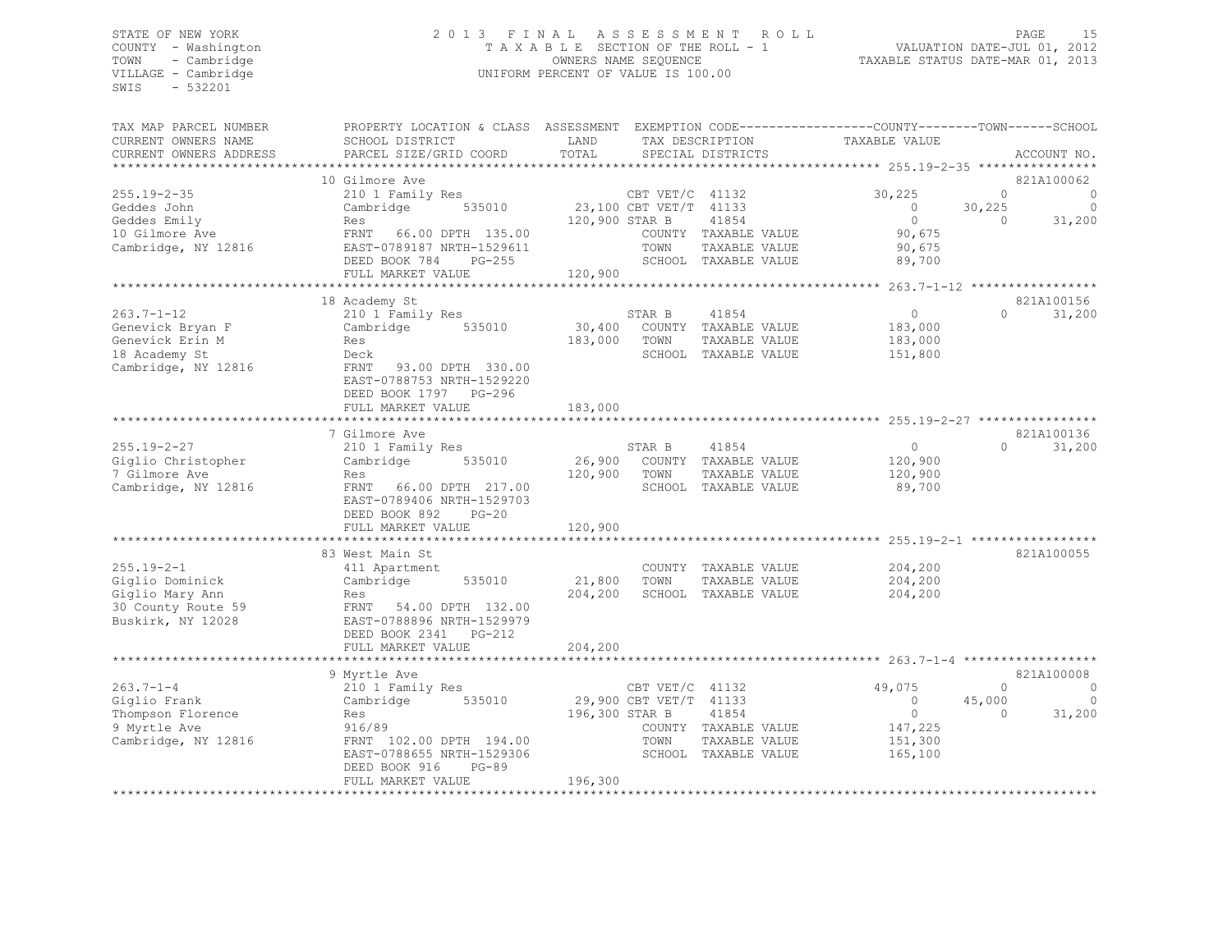# STATE OF NEW YORK 2 0 1 3 F I N A L A S S E S S M E N T R O L L PAGE 15 COUNTY - Washington T A X A B L E SECTION OF THE ROLL - 1 VALUATION DATE-JUL 01, 2012 TOWN - Cambridge OWNERS NAME SEQUENCE TAXABLE STATUS DATE-MAR 01, 2013 VILLAGE - Cambridge UNIFORM PERCENT OF VALUE IS 100.00

| TAX MAP PARCEL NUMBER  | PROPERTY LOCATION & CLASS ASSESSMENT EXEMPTION CODE----------------COUNTY-------TOWN------SCHOOL |                |                        |                      |                                                       |          |             |
|------------------------|--------------------------------------------------------------------------------------------------|----------------|------------------------|----------------------|-------------------------------------------------------|----------|-------------|
| CURRENT OWNERS NAME    | SCHOOL DISTRICT                                                                                  | LAND           |                        | TAX DESCRIPTION      | TAXABLE VALUE                                         |          |             |
| CURRENT OWNERS ADDRESS | PARCEL SIZE/GRID COORD                                                                           | TOTAL          |                        | SPECIAL DISTRICTS    |                                                       |          | ACCOUNT NO. |
|                        |                                                                                                  |                |                        |                      |                                                       |          |             |
|                        | 10 Gilmore Ave                                                                                   |                |                        |                      |                                                       |          | 821A100062  |
| $255.19 - 2 - 35$      | 210 1 Family Res                                                                                 |                | CBT VET/C 41132        |                      | 30,225                                                | $\Omega$ | 0           |
| Geddes John            | Cambridge<br>535010                                                                              |                | 23,100 CBT VET/T 41133 |                      | $\circ$                                               | 30,225   | 0           |
| Geddes Emily           | Res                                                                                              | 120,900 STAR B |                        | 41854                | $\circ$                                               | $\Omega$ | 31,200      |
| 10 Gilmore Ave         | FRNT 66.00 DPTH 135.00                                                                           |                |                        | COUNTY TAXABLE VALUE | 90,675                                                |          |             |
| Cambridge, NY 12816    | EAST-0789187 NRTH-1529611                                                                        |                | TOWN                   | TAXABLE VALUE        | 90,675                                                |          |             |
|                        | DEED BOOK 784<br>$PG-255$                                                                        |                |                        | SCHOOL TAXABLE VALUE | 89,700                                                |          |             |
|                        | FULL MARKET VALUE                                                                                | 120,900        |                        |                      |                                                       |          |             |
|                        |                                                                                                  |                |                        |                      |                                                       |          |             |
|                        | 18 Academy St                                                                                    |                |                        |                      |                                                       |          | 821A100156  |
| $263.7 - 1 - 12$       | 210 1 Family Res                                                                                 |                | STAR B                 | 41854                | $\circ$                                               | $\Omega$ | 31,200      |
| Genevick Bryan F       | 535010<br>Cambridge                                                                              | 30,400         |                        | COUNTY TAXABLE VALUE | 183,000                                               |          |             |
| Genevick Erin M        | Res                                                                                              | 183,000        | TOWN                   | TAXABLE VALUE        | 183,000                                               |          |             |
| 18 Academy St          | Deck                                                                                             |                |                        | SCHOOL TAXABLE VALUE | 151,800                                               |          |             |
| Cambridge, NY 12816    | FRNT<br>93.00 DPTH 330.00                                                                        |                |                        |                      |                                                       |          |             |
|                        | EAST-0788753 NRTH-1529220                                                                        |                |                        |                      |                                                       |          |             |
|                        | DEED BOOK 1797 PG-296                                                                            |                |                        |                      |                                                       |          |             |
|                        | FULL MARKET VALUE                                                                                | 183,000        |                        |                      |                                                       |          |             |
|                        |                                                                                                  |                |                        |                      | ************************ 255.19-2-27 **************** |          |             |
|                        | 7 Gilmore Ave                                                                                    |                |                        |                      |                                                       |          | 821A100136  |
| $255.19 - 2 - 27$      | 210 1 Family Res                                                                                 |                | STAR B                 | 41854                | $\circ$                                               | $\Omega$ | 31,200      |
| Giglio Christopher     | Cambridge<br>535010                                                                              | 26,900         |                        | COUNTY TAXABLE VALUE | 120,900                                               |          |             |
| 7 Gilmore Ave          | Res                                                                                              | 120,900        | TOWN                   | TAXABLE VALUE        | 120,900                                               |          |             |
| Cambridge, NY 12816    | FRNT 66.00 DPTH 217.00                                                                           |                |                        | SCHOOL TAXABLE VALUE | 89,700                                                |          |             |
|                        | EAST-0789406 NRTH-1529703                                                                        |                |                        |                      |                                                       |          |             |
|                        | DEED BOOK 892<br>$PG-20$                                                                         |                |                        |                      |                                                       |          |             |
|                        | FULL MARKET VALUE                                                                                | 120,900        |                        |                      |                                                       |          |             |
|                        |                                                                                                  |                |                        |                      |                                                       |          |             |
|                        | 83 West Main St                                                                                  |                |                        |                      |                                                       |          | 821A100055  |
| $255.19 - 2 - 1$       | 411 Apartment                                                                                    |                |                        | COUNTY TAXABLE VALUE | 204,200                                               |          |             |
| Giglio Dominick        | 535010<br>Cambridge                                                                              | 21,800         | TOWN                   | TAXABLE VALUE        | 204,200                                               |          |             |
| Giglio Mary Ann        | Res                                                                                              | 204,200        |                        | SCHOOL TAXABLE VALUE | 204,200                                               |          |             |
| 30 County Route 59     | FRNT 54.00 DPTH 132.00                                                                           |                |                        |                      |                                                       |          |             |
| Buskirk, NY 12028      | EAST-0788896 NRTH-1529979                                                                        |                |                        |                      |                                                       |          |             |
|                        | DEED BOOK 2341<br>PG-212                                                                         |                |                        |                      |                                                       |          |             |
|                        | FULL MARKET VALUE                                                                                | 204,200        |                        |                      |                                                       |          |             |
|                        |                                                                                                  |                |                        |                      |                                                       |          |             |
|                        | 9 Myrtle Ave                                                                                     |                |                        |                      |                                                       |          | 821A100008  |
| $263.7 - 1 - 4$        | 210 1 Family Res                                                                                 |                | CBT VET/C 41132        |                      | 49,075                                                | $\Omega$ | C           |
| Giglio Frank           | 535010<br>Cambridge                                                                              |                | 29,900 CBT VET/T 41133 |                      | $\Omega$                                              | 45,000   |             |
| Thompson Florence      | Res                                                                                              | 196,300 STAR B |                        | 41854                | $\overline{0}$                                        | $\Omega$ | 31,200      |
| 9 Myrtle Ave           | 916/89                                                                                           |                |                        | COUNTY TAXABLE VALUE | 147,225                                               |          |             |
| Cambridge, NY 12816    | FRNT 102.00 DPTH 194.00                                                                          |                | TOWN                   | TAXABLE VALUE        | 151,300                                               |          |             |
|                        | EAST-0788655 NRTH-1529306                                                                        |                |                        | SCHOOL TAXABLE VALUE | 165,100                                               |          |             |
|                        | DEED BOOK 916<br>$PG-89$                                                                         |                |                        |                      |                                                       |          |             |
|                        | FULL MARKET VALUE                                                                                | 196,300        |                        |                      |                                                       |          |             |
|                        |                                                                                                  |                |                        |                      |                                                       |          |             |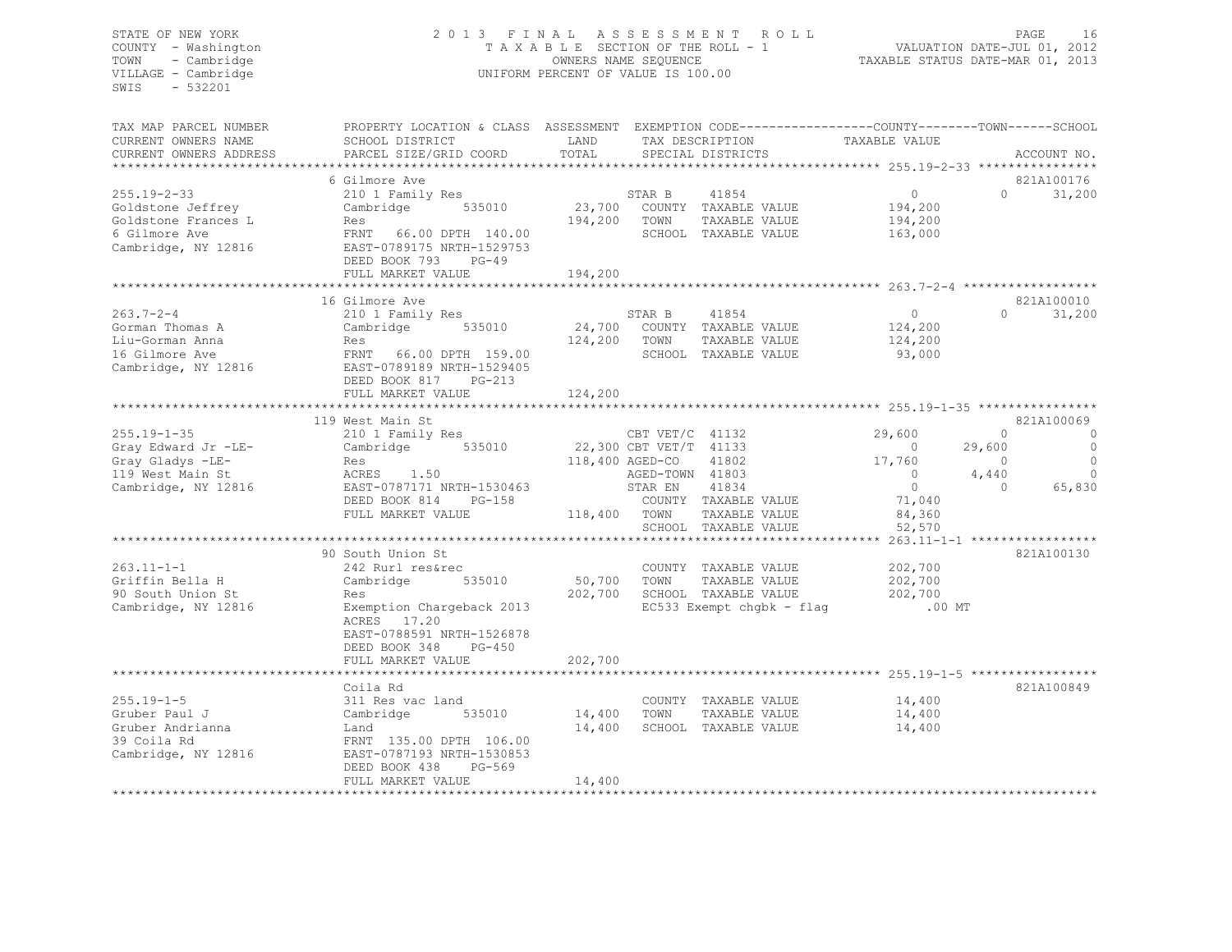# STATE OF NEW YORK 2 0 1 3 F I N A L A S S E S S M E N T R O L L PAGE 16 COUNTY - Washington T A X A B L E SECTION OF THE ROLL - 1 VALUATION DATE-JUL 01, 2012 TOWN - Cambridge OWNERS NAME SEQUENCE TAXABLE STATUS DATE-MAR 01, 2013 VILLAGE - Cambridge UNIFORM PERCENT OF VALUE IS 100.00

TAX MAP PARCEL NUMBER PROPERTY LOCATION & CLASS ASSESSMENT EXEMPTION CODE-----------------------------TOWN------SCHOOL

| CURRENT OWNERS NAME    | SCHOOL DISTRICT           | LAND         |                        | TAX DESCRIPTION              | TAXABLE VALUE  |          |             |
|------------------------|---------------------------|--------------|------------------------|------------------------------|----------------|----------|-------------|
| CURRENT OWNERS ADDRESS | PARCEL SIZE/GRID COORD    | TOTAL        |                        | SPECIAL DISTRICTS            |                |          | ACCOUNT NO. |
|                        |                           |              |                        |                              |                |          |             |
|                        | 6 Gilmore Ave             |              |                        |                              |                |          | 821A100176  |
| $255.19 - 2 - 33$      | 210 1 Family Res          |              | STAR B                 | 41854                        | $\overline{0}$ | $\Omega$ | 31,200      |
| Goldstone Jeffrey      | 535010<br>Cambridge       |              |                        | 23,700 COUNTY TAXABLE VALUE  | 194,200        |          |             |
| Goldstone Frances L    | Res                       | 194,200 TOWN |                        | TAXABLE VALUE                | 194,200        |          |             |
| 6 Gilmore Ave          | FRNT 66.00 DPTH 140.00    |              |                        | SCHOOL TAXABLE VALUE         | 163,000        |          |             |
| Cambridge, NY 12816    | EAST-0789175 NRTH-1529753 |              |                        |                              |                |          |             |
|                        | DEED BOOK 793<br>$PG-49$  |              |                        |                              |                |          |             |
|                        | FULL MARKET VALUE         | 194,200      |                        |                              |                |          |             |
|                        |                           |              |                        |                              |                |          |             |
|                        | 16 Gilmore Ave            |              |                        |                              |                |          | 821A100010  |
| $263.7 - 2 - 4$        | 210 1 Family Res          |              | STAR B                 | 41854                        | $\overline{0}$ | $\Omega$ | 31,200      |
| Gorman Thomas A        | Cambridge 535010          |              |                        | 24,700 COUNTY TAXABLE VALUE  | 124,200        |          |             |
| Liu-Gorman Anna        | Res                       | 124,200      | TOWN                   | TAXABLE VALUE                | 124,200        |          |             |
|                        |                           |              |                        |                              |                |          |             |
| 16 Gilmore Ave         | FRNT 66.00 DPTH 159.00    |              |                        | SCHOOL TAXABLE VALUE         | 93,000         |          |             |
| Cambridge, NY 12816    | EAST-0789189 NRTH-1529405 |              |                        |                              |                |          |             |
|                        | DEED BOOK 817 PG-213      |              |                        |                              |                |          |             |
|                        | FULL MARKET VALUE         | 124,200      |                        |                              |                |          |             |
|                        |                           |              |                        |                              |                |          |             |
|                        | 119 West Main St          |              |                        |                              |                |          | 821A100069  |
| $255.19 - 1 - 35$      | 210 1 Family Res          |              | CBT VET/C 41132        |                              | 29,600         | $\Omega$ | $\circ$     |
| Gray Edward Jr -LE-    | Cambridge 535010          |              | 22,300 CBT VET/T 41133 |                              | $\bigcirc$     | 29,600   | $\circ$     |
| Gray Gladys -LE-       | Res                       |              | 118,400 AGED-CO        | 41802                        | 17,760         | $\Omega$ | $\circ$     |
| 119 West Main St       | ACRES 1.50                |              | AGED-TOWN 41803        |                              | $\overline{0}$ | 4,440    | $\circ$     |
| Cambridge, NY 12816    | EAST-0787171 NRTH-1530463 |              | STAR EN                | 41834                        | $\overline{0}$ | $\Omega$ | 65,830      |
|                        | DEED BOOK 814<br>PG-158   |              |                        | COUNTY TAXABLE VALUE         | 71,040         |          |             |
|                        | FULL MARKET VALUE         | 118,400 TOWN |                        | TAXABLE VALUE                | 84,360         |          |             |
|                        |                           |              |                        | SCHOOL TAXABLE VALUE         | 52,570         |          |             |
|                        |                           |              |                        |                              |                |          |             |
|                        | 90 South Union St         |              |                        |                              |                |          | 821A100130  |
| $263.11 - 1 - 1$       | 242 Rurl res&rec          |              |                        | COUNTY TAXABLE VALUE         | 202,700        |          |             |
| Griffin Bella H        | Cambridge<br>535010       | 50,700 TOWN  |                        | TAXABLE VALUE                | 202,700        |          |             |
| 90 South Union St      | Res                       |              |                        | 202,700 SCHOOL TAXABLE VALUE | 202,700        |          |             |
| Cambridge, NY 12816    | Exemption Chargeback 2013 |              |                        | EC533 Exempt chqbk - flaq    | $.00$ MT       |          |             |
|                        | ACRES 17.20               |              |                        |                              |                |          |             |
|                        | EAST-0788591 NRTH-1526878 |              |                        |                              |                |          |             |
|                        | DEED BOOK 348<br>$PG-450$ |              |                        |                              |                |          |             |
|                        | FULL MARKET VALUE         | 202,700      |                        |                              |                |          |             |
|                        |                           |              |                        |                              |                |          |             |
|                        |                           |              |                        |                              |                |          | 821A100849  |
|                        | Coila Rd                  |              |                        |                              |                |          |             |
| $255.19 - 1 - 5$       | 311 Res vac land          |              |                        | COUNTY TAXABLE VALUE         | 14,400         |          |             |
| Gruber Paul J          | Cambridge<br>535010       | 14,400 TOWN  |                        | TAXABLE VALUE                | 14,400         |          |             |
| Gruber Andrianna       | Land                      | 14,400       |                        | SCHOOL TAXABLE VALUE         | 14,400         |          |             |
| 39 Coila Rd            | FRNT 135.00 DPTH 106.00   |              |                        |                              |                |          |             |
| Cambridge, NY 12816    | EAST-0787193 NRTH-1530853 |              |                        |                              |                |          |             |
|                        | DEED BOOK 438<br>$PG-569$ |              |                        |                              |                |          |             |
|                        | FULL MARKET VALUE         | 14,400       |                        |                              |                |          |             |
|                        |                           |              |                        |                              |                |          |             |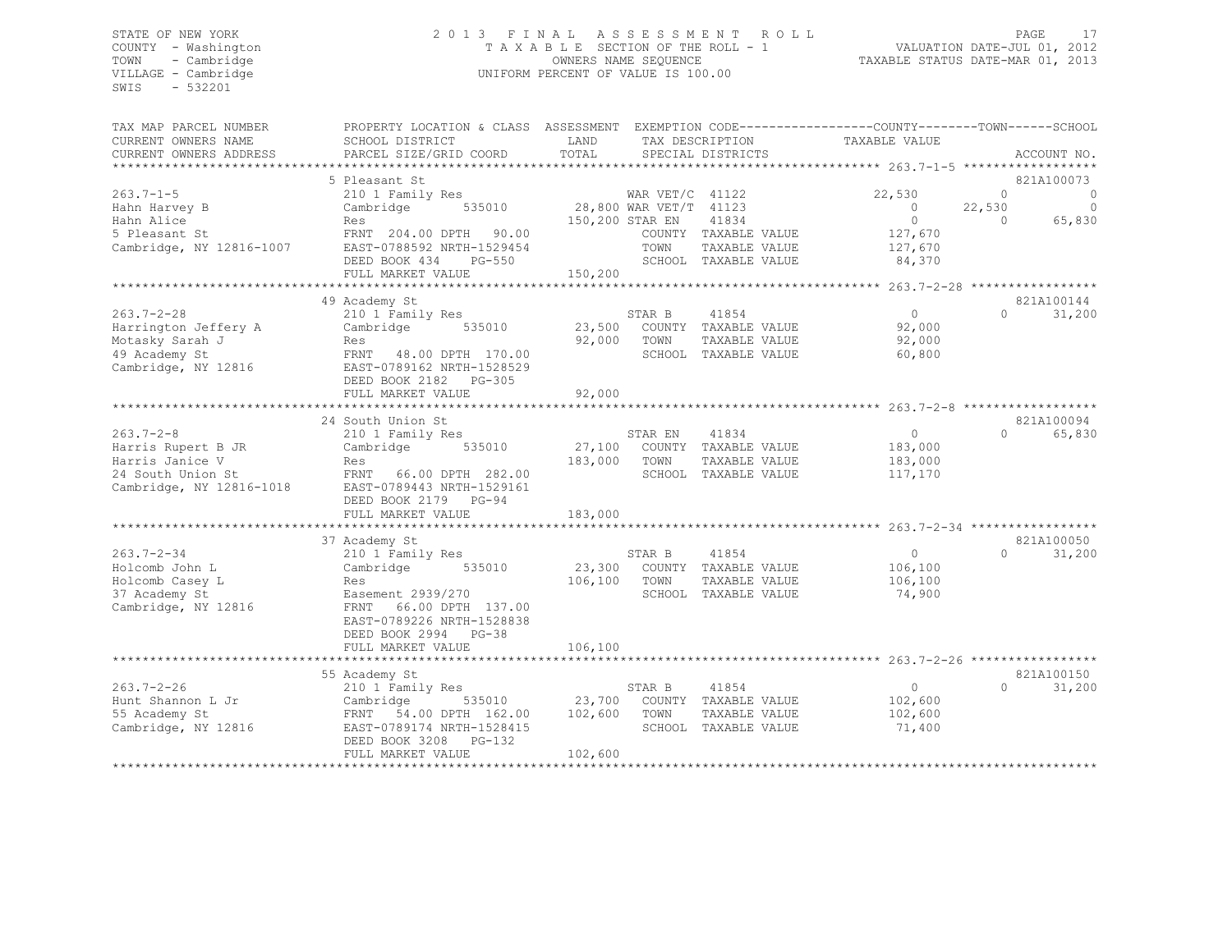# STATE OF NEW YORK 2 0 1 3 F I N A L A S S E S S M E N T R O L L PAGE 17 COUNTY - Washington T A X A B L E SECTION OF THE ROLL - 1 VALUATION DATE-JUL 01, 2012 TOWN - Cambridge OWNERS NAME SEQUENCE TAXABLE STATUS DATE-MAR 01, 2013 VILLAGE - Cambridge UNIFORM PERCENT OF VALUE IS 100.00

| TAX MAP PARCEL NUMBER       | PROPERTY LOCATION & CLASS ASSESSMENT EXEMPTION CODE----------------COUNTY-------TOWN-----SCHOOL   |                 |              |                                      |                          |                       |                                  |
|-----------------------------|---------------------------------------------------------------------------------------------------|-----------------|--------------|--------------------------------------|--------------------------|-----------------------|----------------------------------|
| CURRENT OWNERS NAME         | SCHOOL DISTRICT                                                                                   | LAND            |              | TAX DESCRIPTION                      | TAXABLE VALUE            |                       |                                  |
| CURRENT OWNERS ADDRESS      | PARCEL SIZE/GRID COORD                                                                            | TOTAL           |              | SPECIAL DISTRICTS                    |                          |                       | ACCOUNT NO.                      |
| ***********************     |                                                                                                   |                 |              |                                      |                          |                       |                                  |
|                             | 5 Pleasant St                                                                                     |                 |              |                                      |                          |                       | 821A100073                       |
| $263.7 - 1 - 5$             | 210 1 Family Res MAR VET/C 41122<br>Cambridge 535010 28,800 WAR VET/T 41123                       |                 |              |                                      | 22,530<br>$\overline{0}$ | $\Omega$              | $\overline{0}$<br>$\overline{0}$ |
| Hahn Harvey B<br>Hahn Alice | Res                                                                                               | 150,200 STAR EN |              | 41834                                | $\overline{0}$           | 22,530<br>$\Omega$    | 65,830                           |
| 5 Pleasant St               | FRNT 204.00 DPTH 90.00                                                                            |                 |              | COUNTY TAXABLE VALUE                 | 127,670                  |                       |                                  |
| Cambridge, NY 12816-1007    | EAST-0788592 NRTH-1529454                                                                         |                 | TOWN         | TAXABLE VALUE                        | 127,670                  |                       |                                  |
|                             | DEED BOOK 434 PG-550                                                                              |                 |              | SCHOOL TAXABLE VALUE                 | 84,370                   |                       |                                  |
|                             | FULL MARKET VALUE                                                                                 | 150,200         |              |                                      |                          |                       |                                  |
|                             |                                                                                                   |                 |              |                                      |                          |                       |                                  |
|                             | 49 Academy St                                                                                     |                 |              |                                      |                          |                       | 821A100144                       |
| $263.7 - 2 - 28$            | 210 1 Family Res                                                                                  |                 | STAR B       | 41854                                | 0                        | $\Omega$              | 31,200                           |
| Harrington Jeffery A        | Cambridge 535010                                                                                  |                 |              | 23,500 COUNTY TAXABLE VALUE          | 92,000                   |                       |                                  |
| Motasky Sarah J             | Res                                                                                               | 92,000          | TOWN         | TAXABLE VALUE                        | 92,000                   |                       |                                  |
| 49 Academy St               | FRNT 48.00 DPTH 170.00                                                                            |                 |              | SCHOOL TAXABLE VALUE                 | 60,800                   |                       |                                  |
| Cambridge, NY 12816         | EAST-0789162 NRTH-1528529                                                                         |                 |              |                                      |                          |                       |                                  |
|                             | DEED BOOK 2182 PG-305                                                                             |                 |              |                                      |                          |                       |                                  |
|                             | FULL MARKET VALUE                                                                                 | 92,000          |              |                                      |                          |                       |                                  |
|                             |                                                                                                   |                 |              |                                      |                          |                       |                                  |
|                             | 24 South Union St                                                                                 |                 |              |                                      |                          |                       | 821A100094                       |
| $263.7 - 2 - 8$             | 210 1 Family Res                                                                                  |                 | STAR EN      | 41834                                | $\overline{0}$           |                       | 0 65,830                         |
| Harris Rupert B JR          | Cambridge 535010 27,100 COUNTY TAXABLE VALUE                                                      |                 |              |                                      | 183,000                  |                       |                                  |
| Harris Janice V             | Res                                                                                               | 183,000         | TOWN         | TAXABLE VALUE                        | 183,000                  |                       |                                  |
| 24 South Union St           | FRNT 66.00 DPTH 282.00                                                                            |                 |              | SCHOOL TAXABLE VALUE                 | 117,170                  |                       |                                  |
| Cambridge, NY 12816-1018    | EAST-0789443 NRTH-1529161                                                                         |                 |              |                                      |                          |                       |                                  |
|                             | DEED BOOK 2179 PG-94                                                                              |                 |              |                                      |                          |                       |                                  |
|                             | FULL MARKET VALUE                                                                                 | 183,000         |              |                                      |                          |                       |                                  |
|                             |                                                                                                   |                 |              |                                      |                          |                       |                                  |
| $263.7 - 2 - 34$            | 37 Academy St                                                                                     |                 |              |                                      | $\overline{0}$           | $\Omega$ and $\Omega$ | 821A100050<br>31,200             |
| Holcomb John L              | 210 1 Family Res<br>Cambridge 535010                                                              |                 | STAR B       | 41854<br>23,300 COUNTY TAXABLE VALUE | 106,100                  |                       |                                  |
| Holcomb Casey L             | Res                                                                                               | 106,100         | TOWN         | TAXABLE VALUE                        | 106,100                  |                       |                                  |
| 37 Academy St               | Easement 2939/270                                                                                 |                 |              | SCHOOL TAXABLE VALUE                 | 74,900                   |                       |                                  |
| Cambridge, NY 12816         | 66.00 DPTH 137.00<br>FRNT                                                                         |                 |              |                                      |                          |                       |                                  |
|                             | EAST-0789226 NRTH-1528838                                                                         |                 |              |                                      |                          |                       |                                  |
|                             | DEED BOOK 2994 PG-38                                                                              |                 |              |                                      |                          |                       |                                  |
|                             | FULL MARKET VALUE                                                                                 | 106,100         |              |                                      |                          |                       |                                  |
|                             |                                                                                                   |                 |              |                                      |                          |                       |                                  |
|                             | 55 Academy St                                                                                     |                 |              |                                      |                          |                       | 821A100150                       |
| $263.7 - 2 - 26$            | 210 1 Family Res                                                                                  |                 | STAR B 41854 |                                      | $\overline{0}$           | $\Omega$ and $\Omega$ | 31,200                           |
| Hunt Shannon L Jr           | Cambridge 535010 23,700 COUNTY TAXABLE VALUE<br>FRNT 54.00 DPTH 162.00 102,600 TOWN TAXABLE VALUE |                 |              |                                      | 102,600                  |                       |                                  |
| 55 Academy St               |                                                                                                   |                 |              |                                      | 102,600                  |                       |                                  |
| Cambridge, NY 12816         | EAST-0789174 NRTH-1528415                                                                         |                 |              | SCHOOL TAXABLE VALUE                 | 71,400                   |                       |                                  |
|                             | DEED BOOK 3208 PG-132                                                                             |                 |              |                                      |                          |                       |                                  |
|                             | FULL MARKET VALUE                                                                                 | 102,600         |              |                                      |                          |                       |                                  |
|                             |                                                                                                   |                 |              |                                      |                          |                       |                                  |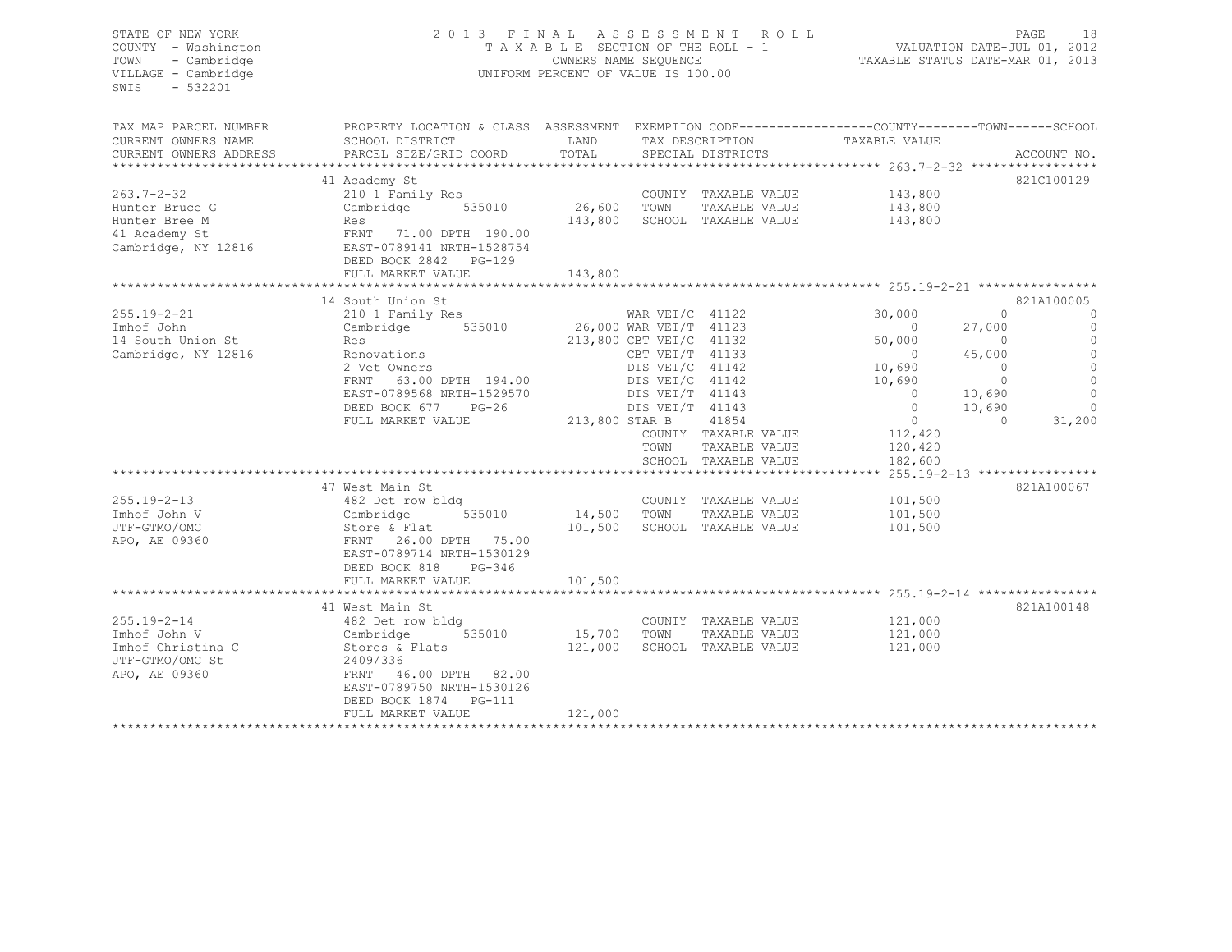| STATE OF NEW YORK<br>COUNTY - Washington<br>TOWN<br>- Cambridge<br>VILLAGE - Cambridge<br>SWIS<br>$-532201$ | 2013 FINAL ASSESSMENT ROLL<br>TAXABLE SECTION OF THE ROLL - 1<br>UNIFORM PERCENT OF VALUE IS 100.00 | VALUATION DATE-JUL 01, 2012<br>TAXABLE STATUS DATE-MAR 01, 2013 |                         | 18<br>PAGE                            |                |                |             |
|-------------------------------------------------------------------------------------------------------------|-----------------------------------------------------------------------------------------------------|-----------------------------------------------------------------|-------------------------|---------------------------------------|----------------|----------------|-------------|
| TAX MAP PARCEL NUMBER                                                                                       | PROPERTY LOCATION & CLASS ASSESSMENT EXEMPTION CODE----------------COUNTY-------TOWN-----SCHOOL     |                                                                 |                         |                                       |                |                |             |
| CURRENT OWNERS NAME                                                                                         | SCHOOL DISTRICT                                                                                     | LAND                                                            |                         | TAX DESCRIPTION                       | TAXABLE VALUE  |                |             |
| CURRENT OWNERS ADDRESS                                                                                      | PARCEL SIZE/GRID COORD                                                                              | TOTAL                                                           |                         | SPECIAL DISTRICTS                     |                |                | ACCOUNT NO. |
|                                                                                                             |                                                                                                     |                                                                 |                         |                                       |                |                | 821C100129  |
| 263.7-2-32                                                                                                  | 41 Academy St<br>210 1 Family Res                                                                   |                                                                 |                         |                                       | 143,800        |                |             |
| Hunter Bruce G                                                                                              | Cambridge 535010                                                                                    | 26,600                                                          | TOWN                    | COUNTY TAXABLE VALUE<br>TAXABLE VALUE | 143,800        |                |             |
| Hunter Bree M                                                                                               | Res                                                                                                 | 143,800                                                         |                         | SCHOOL TAXABLE VALUE                  | 143,800        |                |             |
| 41 Academy St                                                                                               | FRNT 71.00 DPTH 190.00                                                                              |                                                                 |                         |                                       |                |                |             |
| Cambridge, NY 12816                                                                                         | EAST-0789141 NRTH-1528754                                                                           |                                                                 |                         |                                       |                |                |             |
|                                                                                                             | DEED BOOK 2842 PG-129                                                                               |                                                                 |                         |                                       |                |                |             |
|                                                                                                             | FULL MARKET VALUE                                                                                   | 143,800                                                         |                         |                                       |                |                |             |
|                                                                                                             |                                                                                                     |                                                                 |                         |                                       |                |                |             |
|                                                                                                             | 14 South Union St                                                                                   |                                                                 |                         |                                       |                |                | 821A100005  |
| $255.19 - 2 - 21$                                                                                           | 210 1 Family Res                                                                                    |                                                                 | WAR $VET/C$ 41122       |                                       | 30,000         | $\Omega$       | $\circ$     |
| Imhof John                                                                                                  | Cambridge 535010                                                                                    | 26,000 WAR VET/T 41123                                          |                         |                                       | $\sim$ 0       | 27,000         | $\circ$     |
| 14 South Union St                                                                                           | Res                                                                                                 |                                                                 | 213,800 CBT VET/C 41132 |                                       | 50,000         | $\Omega$       | $\bigcap$   |
| Cambridge, NY 12816                                                                                         | Renovations                                                                                         |                                                                 | CBT VET/T 41133         |                                       | $\overline{0}$ | 45,000         | $\Omega$    |
|                                                                                                             | 2 Vet Owners                                                                                        |                                                                 | DIS VET/C 41142         |                                       | 10,690         | $\overline{0}$ | $\circ$     |
|                                                                                                             | FRNT 63.00 DPTH 194.00                                                                              |                                                                 | DIS VET/C 41142         |                                       | 10,690         | $\Omega$       | $\Omega$    |
|                                                                                                             | EAST-0789568 NRTH-1529570                                                                           |                                                                 | DIS VET/T 41143         |                                       | $\overline{0}$ | 10,690         | $\circ$     |
|                                                                                                             | DEED BOOK 677 PG-26                                                                                 |                                                                 | DIS VET/T 41143         |                                       | $\circ$        | 10,690         | $\circ$     |
|                                                                                                             | FULL MARKET VALUE                                                                                   | 213,800 STAR B                                                  |                         | 41854                                 | $\Omega$       | $\Omega$       | 31,200      |
|                                                                                                             |                                                                                                     |                                                                 |                         | COUNTY TAXABLE VALUE                  | 112,420        |                |             |
|                                                                                                             |                                                                                                     |                                                                 | TOWN                    | TAXABLE VALUE                         | 120,420        |                |             |
|                                                                                                             |                                                                                                     |                                                                 |                         | SCHOOL TAXABLE VALUE                  | 182,600        |                |             |
|                                                                                                             | 47 West Main St                                                                                     |                                                                 |                         |                                       |                |                | 821A100067  |
| $255.19 - 2 - 13$                                                                                           | 482 Det row bldg                                                                                    |                                                                 |                         | COUNTY TAXABLE VALUE                  | 101,500        |                |             |
| Imhof John V                                                                                                | Cambridge<br>535010                                                                                 | 14,500                                                          | TOWN                    | TAXABLE VALUE                         | 101,500        |                |             |
| JTF-GTMO/OMC                                                                                                | Store & Flat                                                                                        | 101,500                                                         |                         | SCHOOL TAXABLE VALUE                  | 101,500        |                |             |
| APO, AE 09360                                                                                               | FRNT 26.00 DPTH 75.00                                                                               |                                                                 |                         |                                       |                |                |             |
|                                                                                                             | EAST-0789714 NRTH-1530129                                                                           |                                                                 |                         |                                       |                |                |             |
|                                                                                                             | DEED BOOK 818<br>PG-346                                                                             |                                                                 |                         |                                       |                |                |             |
|                                                                                                             | FULL MARKET VALUE                                                                                   | 101,500                                                         |                         |                                       |                |                |             |
|                                                                                                             | ************************                                                                            | ***************                                                 |                         |                                       |                |                |             |
|                                                                                                             | 41 West Main St                                                                                     |                                                                 |                         |                                       |                |                | 821A100148  |
| $255.19 - 2 - 14$                                                                                           | 482 Det row bldg                                                                                    |                                                                 |                         | COUNTY TAXABLE VALUE                  | 121,000        |                |             |
| Imhof John V                                                                                                | 535010<br>Cambridge                                                                                 | 15,700                                                          | TOWN                    | TAXABLE VALUE                         | 121,000        |                |             |
| Imhof Christina C                                                                                           | Stores & Flats                                                                                      | 121,000                                                         |                         | SCHOOL TAXABLE VALUE                  | 121,000        |                |             |
| JTF-GTMO/OMC St                                                                                             | 2409/336                                                                                            |                                                                 |                         |                                       |                |                |             |
| APO, AE 09360                                                                                               | FRNT 46.00 DPTH 82.00                                                                               |                                                                 |                         |                                       |                |                |             |
|                                                                                                             | EAST-0789750 NRTH-1530126                                                                           |                                                                 |                         |                                       |                |                |             |
|                                                                                                             | DEED BOOK 1874 PG-111                                                                               |                                                                 |                         |                                       |                |                |             |
| *************************                                                                                   | FULL MARKET VALUE                                                                                   | 121,000<br>****************                                     |                         |                                       |                |                |             |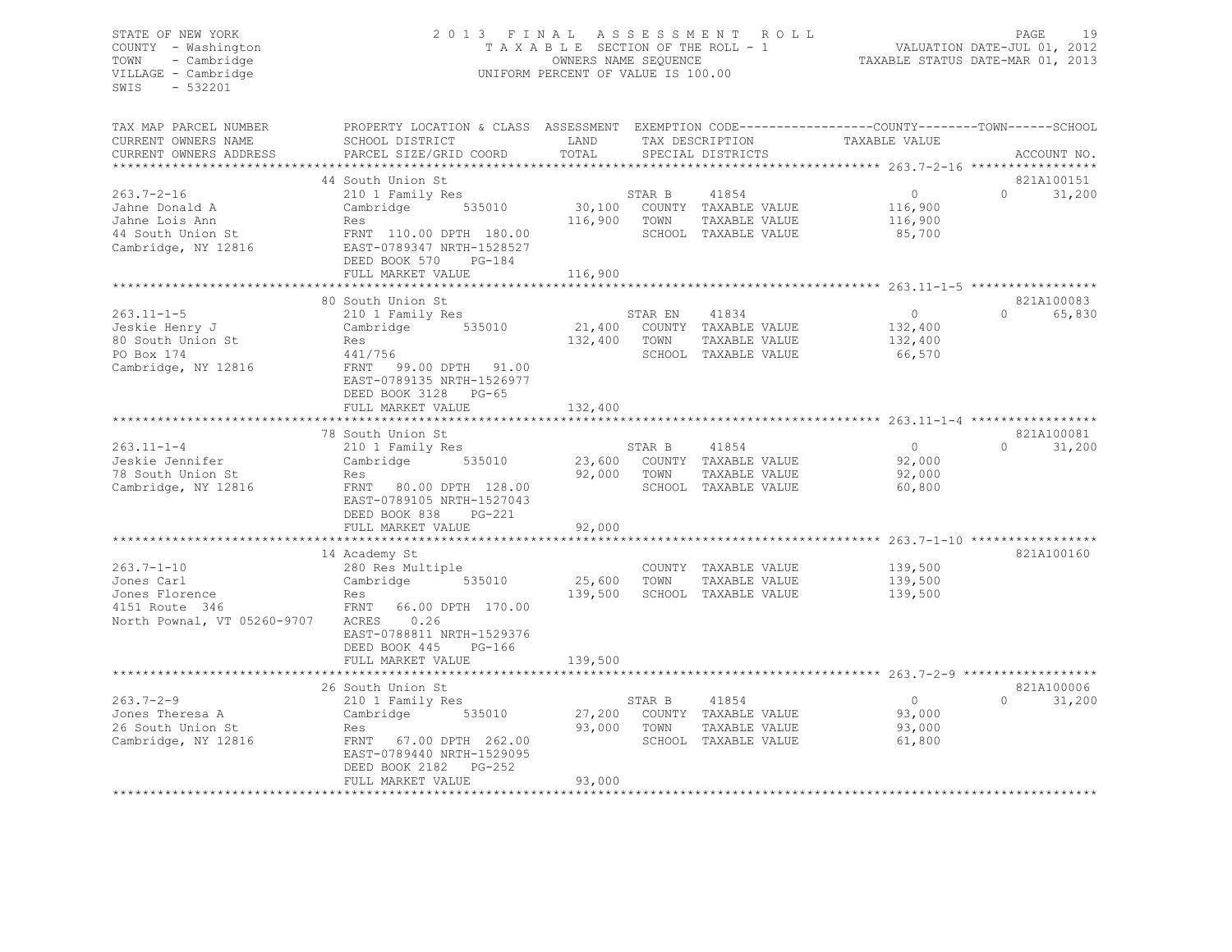# STATE OF NEW YORK 2 0 1 3 F I N A L A S S E S S M E N T R O L L PAGE 19 COUNTY - Washington T A X A B L E SECTION OF THE ROLL - 1 VALUATION DATE-JUL 01, 2012 TOWN - Cambridge OWNERS NAME SEQUENCE TAXABLE STATUS DATE-MAR 01, 2013 VILLAGE - Cambridge UNIFORM PERCENT OF VALUE IS 100.00

TAX MAP PARCEL NUMBER PROPERTY LOCATION & CLASS ASSESSMENT EXEMPTION CODE------------------COUNTY--------TOWN------SCHOOL

| CURRENT OWNERS NAME         | SCHOOL DISTRICT           | LAND           |             | TAX DESCRIPTION             | TAXABLE VALUE                |                             |
|-----------------------------|---------------------------|----------------|-------------|-----------------------------|------------------------------|-----------------------------|
| CURRENT OWNERS ADDRESS      | PARCEL SIZE/GRID COORD    | TOTAL          |             | SPECIAL DISTRICTS           |                              | ACCOUNT NO.                 |
|                             |                           | ************** |             |                             | ********** 263.7-2-16 ****** |                             |
|                             | 44 South Union St         |                |             |                             |                              | 821A100151                  |
| $263.7 - 2 - 16$            | 210 1 Family Res          |                | STAR B      | 41854                       | $\circ$                      | $\Omega$<br>31,200          |
|                             |                           |                |             |                             |                              |                             |
| Jahne Donald A              | Cambridge<br>535010       | 30,100         |             | COUNTY TAXABLE VALUE        | 116,900                      |                             |
| Jahne Lois Ann              | Res                       | 116,900        | TOWN        | TAXABLE VALUE               | 116,900                      |                             |
| 44 South Union St           | FRNT 110.00 DPTH 180.00   |                |             | SCHOOL TAXABLE VALUE        | 85,700                       |                             |
| Cambridge, NY 12816         | EAST-0789347 NRTH-1528527 |                |             |                             |                              |                             |
|                             | DEED BOOK 570<br>$PG-184$ |                |             |                             |                              |                             |
|                             | FULL MARKET VALUE         | 116,900        |             |                             |                              |                             |
|                             |                           |                |             |                             |                              |                             |
|                             | 80 South Union St         |                |             |                             |                              | 821A100083                  |
| $263.11 - 1 - 5$            | 210 1 Family Res          |                | STAR EN     | 41834                       | $\Omega$                     | $0 \qquad \qquad$<br>65,830 |
| Jeskie Henry J              | Cambridge 535010          | 21,400         |             | COUNTY TAXABLE VALUE        | 132,400                      |                             |
| 80 South Union St           |                           |                |             |                             |                              |                             |
|                             | Res                       | 132,400        | TOWN        | TAXABLE VALUE               | 132,400                      |                             |
| PO Box 174                  | 441/756                   |                |             | SCHOOL TAXABLE VALUE        | 66,570                       |                             |
| Cambridge, NY 12816         | FRNT<br>99.00 DPTH 91.00  |                |             |                             |                              |                             |
|                             | EAST-0789135 NRTH-1526977 |                |             |                             |                              |                             |
|                             | DEED BOOK 3128 PG-65      |                |             |                             |                              |                             |
|                             | FULL MARKET VALUE         | 132,400        |             |                             |                              |                             |
|                             |                           |                |             |                             |                              |                             |
|                             | 78 South Union St         |                |             |                             |                              | 821A100081                  |
| $263.11 - 1 - 4$            | 210 1 Family Res          |                | STAR B      | 41854                       | 0                            | $0 \qquad \qquad$<br>31,200 |
| Jeskie Jennifer             | Cambridge<br>535010       |                |             | 23,600 COUNTY TAXABLE VALUE | 92,000                       |                             |
|                             |                           |                |             |                             |                              |                             |
| 78 South Union St           | Res                       |                | 92,000 TOWN | TAXABLE VALUE               | 92,000                       |                             |
| Cambridge, NY 12816         | FRNT<br>80.00 DPTH 128.00 |                |             | SCHOOL TAXABLE VALUE        | 60,800                       |                             |
|                             | EAST-0789105 NRTH-1527043 |                |             |                             |                              |                             |
|                             | DEED BOOK 838<br>PG-221   |                |             |                             |                              |                             |
|                             | FULL MARKET VALUE         | 92,000         |             |                             |                              |                             |
|                             |                           |                |             |                             |                              |                             |
|                             | 14 Academy St             |                |             |                             |                              | 821A100160                  |
| $263.7 - 1 - 10$            | 280 Res Multiple          |                |             | COUNTY TAXABLE VALUE        | 139,500                      |                             |
| Jones Carl                  | Cambridge<br>535010       | 25,600 TOWN    |             | TAXABLE VALUE               | 139,500                      |                             |
| Jones Florence              | Res                       | 139,500        |             | SCHOOL TAXABLE VALUE        | 139,500                      |                             |
| 4151 Route 346              | FRNT<br>66.00 DPTH 170.00 |                |             |                             |                              |                             |
|                             |                           |                |             |                             |                              |                             |
| North Pownal, VT 05260-9707 | 0.26<br>ACRES             |                |             |                             |                              |                             |
|                             | EAST-0788811 NRTH-1529376 |                |             |                             |                              |                             |
|                             | DEED BOOK 445<br>$PG-166$ |                |             |                             |                              |                             |
|                             | FULL MARKET VALUE         | 139,500        |             |                             |                              |                             |
|                             |                           |                |             |                             |                              |                             |
|                             | 26 South Union St         |                |             |                             |                              | 821A100006                  |
| $263.7 - 2 - 9$             | 210 1 Family Res          |                | STAR B      | 41854                       | $\circ$                      | $\Omega$<br>31,200          |
| Jones Theresa A             | Cambridge<br>535010       |                |             | 27,200 COUNTY TAXABLE VALUE | 93,000                       |                             |
| 26 South Union St           | Res                       | 93,000         | TOWN        | TAXABLE VALUE               | 93,000                       |                             |
|                             |                           |                |             |                             |                              |                             |
| Cambridge, NY 12816         | 67.00 DPTH 262.00<br>FRNT |                |             | SCHOOL TAXABLE VALUE        | 61,800                       |                             |
|                             | EAST-0789440 NRTH-1529095 |                |             |                             |                              |                             |
|                             | DEED BOOK 2182 PG-252     |                |             |                             |                              |                             |
|                             | FULL MARKET VALUE         | 93,000         |             |                             |                              |                             |
|                             |                           |                |             |                             |                              |                             |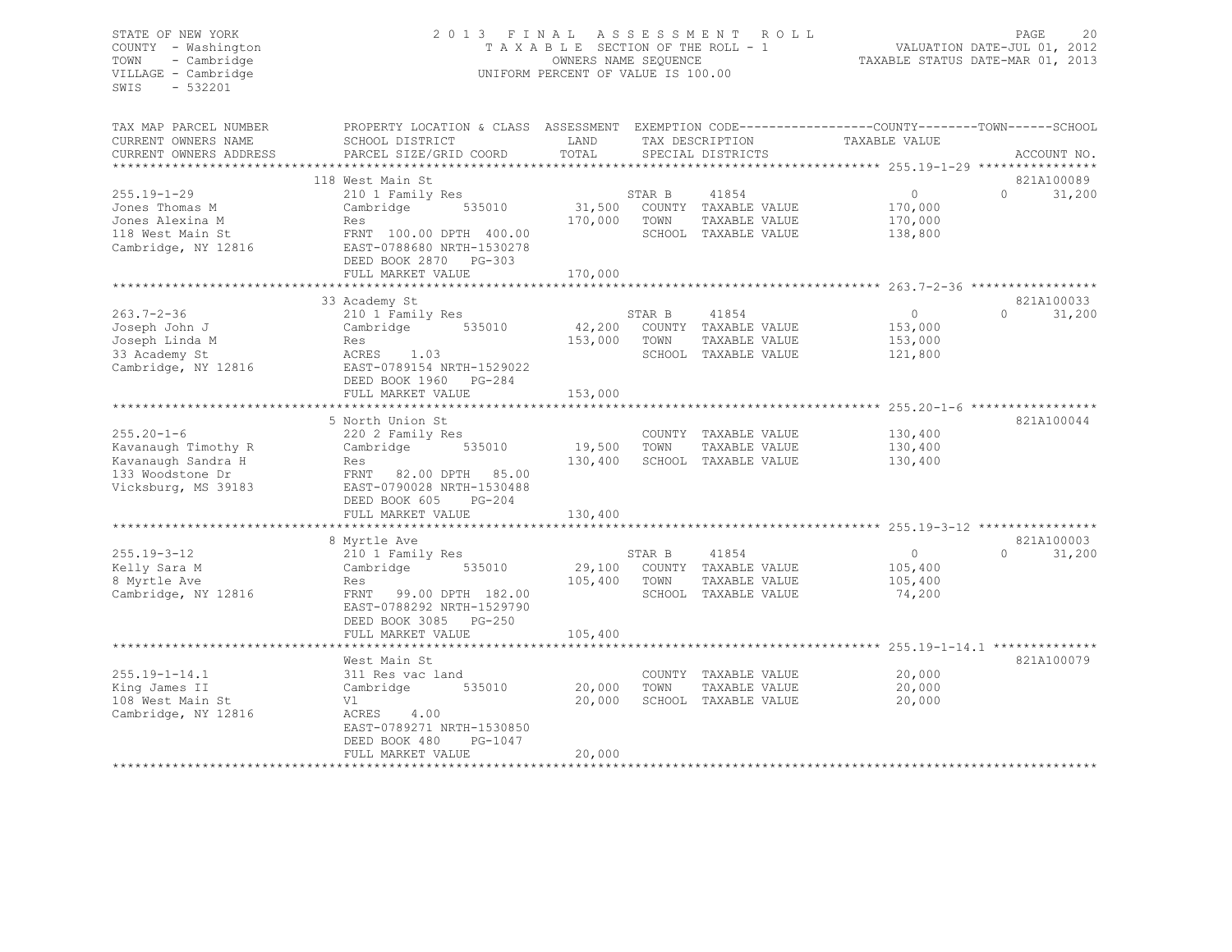# STATE OF NEW YORK 2 0 1 3 F I N A L A S S E S S M E N T R O L L PAGE 20 COUNTY - Washington T A X A B L E SECTION OF THE ROLL - 1 VALUATION DATE-JUL 01, 2012 TOWN - Cambridge OWNERS NAME SEQUENCE TAXABLE STATUS DATE-MAR 01, 2013 VILLAGE - Cambridge UNIFORM PERCENT OF VALUE IS 100.00

| 118 West Main St<br>821A100089<br>210 1 Family Res<br>STAR B<br>41854<br>$\circ$<br>$\Omega$<br>31,200<br>31,500<br>Cambridge<br>535010<br>COUNTY TAXABLE VALUE<br>170,000<br>170,000<br>TOWN<br>TAXABLE VALUE<br>170,000<br>Res<br>118 West Main St<br>FRNT 100.00 DPTH 400.00<br>SCHOOL TAXABLE VALUE<br>138,800<br>Cambridge, NY 12816<br>EAST-0788680 NRTH-1530278<br>DEED BOOK 2870 PG-303<br>170,000<br>FULL MARKET VALUE<br>821A100033<br>33 Academy St<br>STAR B<br>$\circ$<br>$\Omega$<br>31,200<br>210 1 Family Res<br>41854<br>42,200<br>535010<br>COUNTY TAXABLE VALUE<br>153,000<br>Cambridge<br>153,000<br>TOWN<br>TAXABLE VALUE<br>153,000<br>Res<br>ACRES 1.03<br>SCHOOL TAXABLE VALUE<br>121,800<br>EAST-0789154 NRTH-1529022<br>DEED BOOK 1960<br>PG-284<br>153,000<br>FULL MARKET VALUE<br>821A100044<br>5 North Union St<br>$255.20 - 1 - 6$<br>130,400<br>220 2 Family Res<br>COUNTY TAXABLE VALUE<br>Kavanaugh Timothy R<br>535010<br>19,500<br>TOWN<br>TAXABLE VALUE<br>130,400<br>Cambridge<br>SCHOOL TAXABLE VALUE<br>Kavanaugh Sandra H<br>130,400<br>130,400<br>Res<br>FRNT 82.00 DPTH 85.00<br>EAST-0790028 NRTH-1530488<br>DEED BOOK 605<br>$PG-204$<br>FULL MARKET VALUE<br>130,400<br>821A100003<br>8 Myrtle Ave<br>$\Omega$<br>31,200<br>$255.19 - 3 - 12$<br>210 1 Family Res<br>41854<br>$\circ$<br>STAR B<br>Kelly Sara M<br>29,100<br>COUNTY TAXABLE VALUE<br>Cambridge<br>535010<br>105,400<br>8 Myrtle Ave<br>105,400<br>TOWN<br>TAXABLE VALUE<br>105,400<br>Res<br>Cambridge, NY 12816<br>FRNT<br>99.00 DPTH 182.00<br>74,200<br>SCHOOL TAXABLE VALUE<br>EAST-0788292 NRTH-1529790<br>DEED BOOK 3085<br>PG-250<br>105,400<br>FULL MARKET VALUE<br>821A100079<br>West Main St<br>20,000<br>311 Res vac land<br>COUNTY TAXABLE VALUE<br>535010<br>20,000<br>TOWN<br>20,000<br>Cambridge<br>TAXABLE VALUE<br>108 West Main St<br>Vl<br>20,000<br>SCHOOL TAXABLE VALUE<br>20,000<br>Cambridge, NY 12816<br>ACRES<br>4.00<br>EAST-0789271 NRTH-1530850<br>DEED BOOK 480<br>PG-1047<br>20,000<br>FULL MARKET VALUE | TAX MAP PARCEL NUMBER<br>CURRENT OWNERS NAME<br>CURRENT OWNERS ADDRESS | PROPERTY LOCATION & CLASS ASSESSMENT<br>SCHOOL DISTRICT<br>PARCEL SIZE/GRID COORD | LAND<br>TOTAL | TAX DESCRIPTION<br>SPECIAL DISTRICTS | EXEMPTION CODE-----------------COUNTY-------TOWN------SCHOOL<br>TAXABLE VALUE | ACCOUNT NO. |
|-----------------------------------------------------------------------------------------------------------------------------------------------------------------------------------------------------------------------------------------------------------------------------------------------------------------------------------------------------------------------------------------------------------------------------------------------------------------------------------------------------------------------------------------------------------------------------------------------------------------------------------------------------------------------------------------------------------------------------------------------------------------------------------------------------------------------------------------------------------------------------------------------------------------------------------------------------------------------------------------------------------------------------------------------------------------------------------------------------------------------------------------------------------------------------------------------------------------------------------------------------------------------------------------------------------------------------------------------------------------------------------------------------------------------------------------------------------------------------------------------------------------------------------------------------------------------------------------------------------------------------------------------------------------------------------------------------------------------------------------------------------------------------------------------------------------------------------------------------------------------------------------------------------------------------------------------------------------------------------------------------------------------------------------------------|------------------------------------------------------------------------|-----------------------------------------------------------------------------------|---------------|--------------------------------------|-------------------------------------------------------------------------------|-------------|
|                                                                                                                                                                                                                                                                                                                                                                                                                                                                                                                                                                                                                                                                                                                                                                                                                                                                                                                                                                                                                                                                                                                                                                                                                                                                                                                                                                                                                                                                                                                                                                                                                                                                                                                                                                                                                                                                                                                                                                                                                                                     |                                                                        |                                                                                   |               |                                      |                                                                               |             |
|                                                                                                                                                                                                                                                                                                                                                                                                                                                                                                                                                                                                                                                                                                                                                                                                                                                                                                                                                                                                                                                                                                                                                                                                                                                                                                                                                                                                                                                                                                                                                                                                                                                                                                                                                                                                                                                                                                                                                                                                                                                     |                                                                        |                                                                                   |               |                                      |                                                                               |             |
|                                                                                                                                                                                                                                                                                                                                                                                                                                                                                                                                                                                                                                                                                                                                                                                                                                                                                                                                                                                                                                                                                                                                                                                                                                                                                                                                                                                                                                                                                                                                                                                                                                                                                                                                                                                                                                                                                                                                                                                                                                                     | $255.19 - 1 - 29$                                                      |                                                                                   |               |                                      |                                                                               |             |
|                                                                                                                                                                                                                                                                                                                                                                                                                                                                                                                                                                                                                                                                                                                                                                                                                                                                                                                                                                                                                                                                                                                                                                                                                                                                                                                                                                                                                                                                                                                                                                                                                                                                                                                                                                                                                                                                                                                                                                                                                                                     | Jones Thomas M                                                         |                                                                                   |               |                                      |                                                                               |             |
|                                                                                                                                                                                                                                                                                                                                                                                                                                                                                                                                                                                                                                                                                                                                                                                                                                                                                                                                                                                                                                                                                                                                                                                                                                                                                                                                                                                                                                                                                                                                                                                                                                                                                                                                                                                                                                                                                                                                                                                                                                                     | Jones Alexina M                                                        |                                                                                   |               |                                      |                                                                               |             |
|                                                                                                                                                                                                                                                                                                                                                                                                                                                                                                                                                                                                                                                                                                                                                                                                                                                                                                                                                                                                                                                                                                                                                                                                                                                                                                                                                                                                                                                                                                                                                                                                                                                                                                                                                                                                                                                                                                                                                                                                                                                     |                                                                        |                                                                                   |               |                                      |                                                                               |             |
|                                                                                                                                                                                                                                                                                                                                                                                                                                                                                                                                                                                                                                                                                                                                                                                                                                                                                                                                                                                                                                                                                                                                                                                                                                                                                                                                                                                                                                                                                                                                                                                                                                                                                                                                                                                                                                                                                                                                                                                                                                                     |                                                                        |                                                                                   |               |                                      |                                                                               |             |
|                                                                                                                                                                                                                                                                                                                                                                                                                                                                                                                                                                                                                                                                                                                                                                                                                                                                                                                                                                                                                                                                                                                                                                                                                                                                                                                                                                                                                                                                                                                                                                                                                                                                                                                                                                                                                                                                                                                                                                                                                                                     |                                                                        |                                                                                   |               |                                      |                                                                               |             |
|                                                                                                                                                                                                                                                                                                                                                                                                                                                                                                                                                                                                                                                                                                                                                                                                                                                                                                                                                                                                                                                                                                                                                                                                                                                                                                                                                                                                                                                                                                                                                                                                                                                                                                                                                                                                                                                                                                                                                                                                                                                     |                                                                        |                                                                                   |               |                                      |                                                                               |             |
|                                                                                                                                                                                                                                                                                                                                                                                                                                                                                                                                                                                                                                                                                                                                                                                                                                                                                                                                                                                                                                                                                                                                                                                                                                                                                                                                                                                                                                                                                                                                                                                                                                                                                                                                                                                                                                                                                                                                                                                                                                                     |                                                                        |                                                                                   |               |                                      |                                                                               |             |
|                                                                                                                                                                                                                                                                                                                                                                                                                                                                                                                                                                                                                                                                                                                                                                                                                                                                                                                                                                                                                                                                                                                                                                                                                                                                                                                                                                                                                                                                                                                                                                                                                                                                                                                                                                                                                                                                                                                                                                                                                                                     | $263.7 - 2 - 36$                                                       |                                                                                   |               |                                      |                                                                               |             |
|                                                                                                                                                                                                                                                                                                                                                                                                                                                                                                                                                                                                                                                                                                                                                                                                                                                                                                                                                                                                                                                                                                                                                                                                                                                                                                                                                                                                                                                                                                                                                                                                                                                                                                                                                                                                                                                                                                                                                                                                                                                     | Joseph John J                                                          |                                                                                   |               |                                      |                                                                               |             |
|                                                                                                                                                                                                                                                                                                                                                                                                                                                                                                                                                                                                                                                                                                                                                                                                                                                                                                                                                                                                                                                                                                                                                                                                                                                                                                                                                                                                                                                                                                                                                                                                                                                                                                                                                                                                                                                                                                                                                                                                                                                     | Joseph Linda M                                                         |                                                                                   |               |                                      |                                                                               |             |
|                                                                                                                                                                                                                                                                                                                                                                                                                                                                                                                                                                                                                                                                                                                                                                                                                                                                                                                                                                                                                                                                                                                                                                                                                                                                                                                                                                                                                                                                                                                                                                                                                                                                                                                                                                                                                                                                                                                                                                                                                                                     | 33 Academy St                                                          |                                                                                   |               |                                      |                                                                               |             |
|                                                                                                                                                                                                                                                                                                                                                                                                                                                                                                                                                                                                                                                                                                                                                                                                                                                                                                                                                                                                                                                                                                                                                                                                                                                                                                                                                                                                                                                                                                                                                                                                                                                                                                                                                                                                                                                                                                                                                                                                                                                     | Cambridge, NY 12816                                                    |                                                                                   |               |                                      |                                                                               |             |
|                                                                                                                                                                                                                                                                                                                                                                                                                                                                                                                                                                                                                                                                                                                                                                                                                                                                                                                                                                                                                                                                                                                                                                                                                                                                                                                                                                                                                                                                                                                                                                                                                                                                                                                                                                                                                                                                                                                                                                                                                                                     |                                                                        |                                                                                   |               |                                      |                                                                               |             |
|                                                                                                                                                                                                                                                                                                                                                                                                                                                                                                                                                                                                                                                                                                                                                                                                                                                                                                                                                                                                                                                                                                                                                                                                                                                                                                                                                                                                                                                                                                                                                                                                                                                                                                                                                                                                                                                                                                                                                                                                                                                     |                                                                        |                                                                                   |               |                                      |                                                                               |             |
|                                                                                                                                                                                                                                                                                                                                                                                                                                                                                                                                                                                                                                                                                                                                                                                                                                                                                                                                                                                                                                                                                                                                                                                                                                                                                                                                                                                                                                                                                                                                                                                                                                                                                                                                                                                                                                                                                                                                                                                                                                                     |                                                                        |                                                                                   |               |                                      |                                                                               |             |
|                                                                                                                                                                                                                                                                                                                                                                                                                                                                                                                                                                                                                                                                                                                                                                                                                                                                                                                                                                                                                                                                                                                                                                                                                                                                                                                                                                                                                                                                                                                                                                                                                                                                                                                                                                                                                                                                                                                                                                                                                                                     |                                                                        |                                                                                   |               |                                      |                                                                               |             |
|                                                                                                                                                                                                                                                                                                                                                                                                                                                                                                                                                                                                                                                                                                                                                                                                                                                                                                                                                                                                                                                                                                                                                                                                                                                                                                                                                                                                                                                                                                                                                                                                                                                                                                                                                                                                                                                                                                                                                                                                                                                     |                                                                        |                                                                                   |               |                                      |                                                                               |             |
|                                                                                                                                                                                                                                                                                                                                                                                                                                                                                                                                                                                                                                                                                                                                                                                                                                                                                                                                                                                                                                                                                                                                                                                                                                                                                                                                                                                                                                                                                                                                                                                                                                                                                                                                                                                                                                                                                                                                                                                                                                                     |                                                                        |                                                                                   |               |                                      |                                                                               |             |
|                                                                                                                                                                                                                                                                                                                                                                                                                                                                                                                                                                                                                                                                                                                                                                                                                                                                                                                                                                                                                                                                                                                                                                                                                                                                                                                                                                                                                                                                                                                                                                                                                                                                                                                                                                                                                                                                                                                                                                                                                                                     | 133 Woodstone Dr                                                       |                                                                                   |               |                                      |                                                                               |             |
|                                                                                                                                                                                                                                                                                                                                                                                                                                                                                                                                                                                                                                                                                                                                                                                                                                                                                                                                                                                                                                                                                                                                                                                                                                                                                                                                                                                                                                                                                                                                                                                                                                                                                                                                                                                                                                                                                                                                                                                                                                                     | Vicksburg, MS 39183                                                    |                                                                                   |               |                                      |                                                                               |             |
|                                                                                                                                                                                                                                                                                                                                                                                                                                                                                                                                                                                                                                                                                                                                                                                                                                                                                                                                                                                                                                                                                                                                                                                                                                                                                                                                                                                                                                                                                                                                                                                                                                                                                                                                                                                                                                                                                                                                                                                                                                                     |                                                                        |                                                                                   |               |                                      |                                                                               |             |
|                                                                                                                                                                                                                                                                                                                                                                                                                                                                                                                                                                                                                                                                                                                                                                                                                                                                                                                                                                                                                                                                                                                                                                                                                                                                                                                                                                                                                                                                                                                                                                                                                                                                                                                                                                                                                                                                                                                                                                                                                                                     |                                                                        |                                                                                   |               |                                      |                                                                               |             |
|                                                                                                                                                                                                                                                                                                                                                                                                                                                                                                                                                                                                                                                                                                                                                                                                                                                                                                                                                                                                                                                                                                                                                                                                                                                                                                                                                                                                                                                                                                                                                                                                                                                                                                                                                                                                                                                                                                                                                                                                                                                     |                                                                        |                                                                                   |               |                                      |                                                                               |             |
|                                                                                                                                                                                                                                                                                                                                                                                                                                                                                                                                                                                                                                                                                                                                                                                                                                                                                                                                                                                                                                                                                                                                                                                                                                                                                                                                                                                                                                                                                                                                                                                                                                                                                                                                                                                                                                                                                                                                                                                                                                                     |                                                                        |                                                                                   |               |                                      |                                                                               |             |
|                                                                                                                                                                                                                                                                                                                                                                                                                                                                                                                                                                                                                                                                                                                                                                                                                                                                                                                                                                                                                                                                                                                                                                                                                                                                                                                                                                                                                                                                                                                                                                                                                                                                                                                                                                                                                                                                                                                                                                                                                                                     |                                                                        |                                                                                   |               |                                      |                                                                               |             |
|                                                                                                                                                                                                                                                                                                                                                                                                                                                                                                                                                                                                                                                                                                                                                                                                                                                                                                                                                                                                                                                                                                                                                                                                                                                                                                                                                                                                                                                                                                                                                                                                                                                                                                                                                                                                                                                                                                                                                                                                                                                     |                                                                        |                                                                                   |               |                                      |                                                                               |             |
|                                                                                                                                                                                                                                                                                                                                                                                                                                                                                                                                                                                                                                                                                                                                                                                                                                                                                                                                                                                                                                                                                                                                                                                                                                                                                                                                                                                                                                                                                                                                                                                                                                                                                                                                                                                                                                                                                                                                                                                                                                                     |                                                                        |                                                                                   |               |                                      |                                                                               |             |
|                                                                                                                                                                                                                                                                                                                                                                                                                                                                                                                                                                                                                                                                                                                                                                                                                                                                                                                                                                                                                                                                                                                                                                                                                                                                                                                                                                                                                                                                                                                                                                                                                                                                                                                                                                                                                                                                                                                                                                                                                                                     |                                                                        |                                                                                   |               |                                      |                                                                               |             |
|                                                                                                                                                                                                                                                                                                                                                                                                                                                                                                                                                                                                                                                                                                                                                                                                                                                                                                                                                                                                                                                                                                                                                                                                                                                                                                                                                                                                                                                                                                                                                                                                                                                                                                                                                                                                                                                                                                                                                                                                                                                     |                                                                        |                                                                                   |               |                                      |                                                                               |             |
|                                                                                                                                                                                                                                                                                                                                                                                                                                                                                                                                                                                                                                                                                                                                                                                                                                                                                                                                                                                                                                                                                                                                                                                                                                                                                                                                                                                                                                                                                                                                                                                                                                                                                                                                                                                                                                                                                                                                                                                                                                                     |                                                                        |                                                                                   |               |                                      |                                                                               |             |
|                                                                                                                                                                                                                                                                                                                                                                                                                                                                                                                                                                                                                                                                                                                                                                                                                                                                                                                                                                                                                                                                                                                                                                                                                                                                                                                                                                                                                                                                                                                                                                                                                                                                                                                                                                                                                                                                                                                                                                                                                                                     |                                                                        |                                                                                   |               |                                      |                                                                               |             |
|                                                                                                                                                                                                                                                                                                                                                                                                                                                                                                                                                                                                                                                                                                                                                                                                                                                                                                                                                                                                                                                                                                                                                                                                                                                                                                                                                                                                                                                                                                                                                                                                                                                                                                                                                                                                                                                                                                                                                                                                                                                     |                                                                        |                                                                                   |               |                                      |                                                                               |             |
|                                                                                                                                                                                                                                                                                                                                                                                                                                                                                                                                                                                                                                                                                                                                                                                                                                                                                                                                                                                                                                                                                                                                                                                                                                                                                                                                                                                                                                                                                                                                                                                                                                                                                                                                                                                                                                                                                                                                                                                                                                                     | $255.19 - 1 - 14.1$                                                    |                                                                                   |               |                                      |                                                                               |             |
|                                                                                                                                                                                                                                                                                                                                                                                                                                                                                                                                                                                                                                                                                                                                                                                                                                                                                                                                                                                                                                                                                                                                                                                                                                                                                                                                                                                                                                                                                                                                                                                                                                                                                                                                                                                                                                                                                                                                                                                                                                                     | King James II                                                          |                                                                                   |               |                                      |                                                                               |             |
|                                                                                                                                                                                                                                                                                                                                                                                                                                                                                                                                                                                                                                                                                                                                                                                                                                                                                                                                                                                                                                                                                                                                                                                                                                                                                                                                                                                                                                                                                                                                                                                                                                                                                                                                                                                                                                                                                                                                                                                                                                                     |                                                                        |                                                                                   |               |                                      |                                                                               |             |
|                                                                                                                                                                                                                                                                                                                                                                                                                                                                                                                                                                                                                                                                                                                                                                                                                                                                                                                                                                                                                                                                                                                                                                                                                                                                                                                                                                                                                                                                                                                                                                                                                                                                                                                                                                                                                                                                                                                                                                                                                                                     |                                                                        |                                                                                   |               |                                      |                                                                               |             |
|                                                                                                                                                                                                                                                                                                                                                                                                                                                                                                                                                                                                                                                                                                                                                                                                                                                                                                                                                                                                                                                                                                                                                                                                                                                                                                                                                                                                                                                                                                                                                                                                                                                                                                                                                                                                                                                                                                                                                                                                                                                     |                                                                        |                                                                                   |               |                                      |                                                                               |             |
|                                                                                                                                                                                                                                                                                                                                                                                                                                                                                                                                                                                                                                                                                                                                                                                                                                                                                                                                                                                                                                                                                                                                                                                                                                                                                                                                                                                                                                                                                                                                                                                                                                                                                                                                                                                                                                                                                                                                                                                                                                                     |                                                                        |                                                                                   |               |                                      |                                                                               |             |
|                                                                                                                                                                                                                                                                                                                                                                                                                                                                                                                                                                                                                                                                                                                                                                                                                                                                                                                                                                                                                                                                                                                                                                                                                                                                                                                                                                                                                                                                                                                                                                                                                                                                                                                                                                                                                                                                                                                                                                                                                                                     |                                                                        |                                                                                   |               |                                      |                                                                               |             |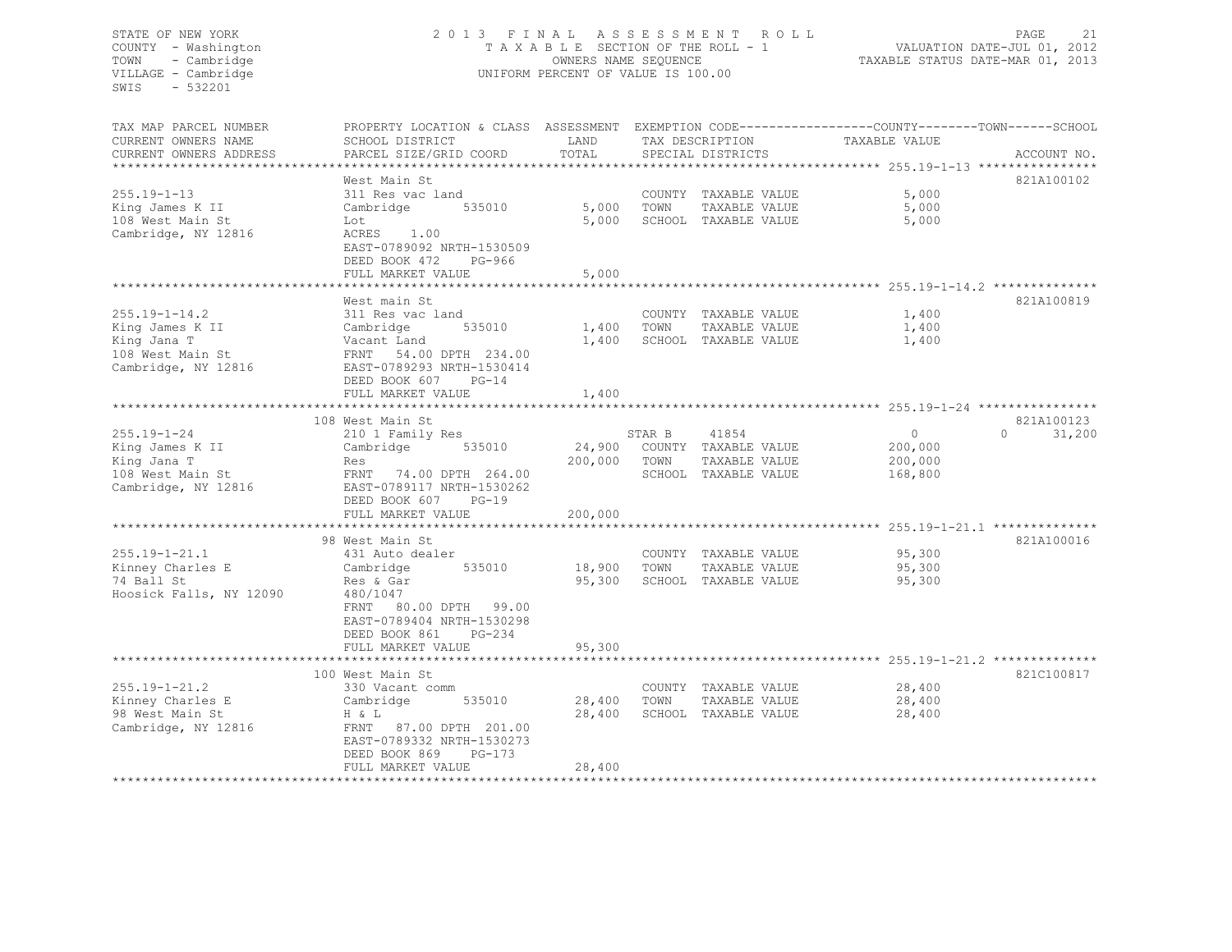# STATE OF NEW YORK 2 0 1 3 F I N A L A S S E S S M E N T R O L L PAGE 21 COUNTY - Washington T A X A B L E SECTION OF THE ROLL - 1 VALUATION DATE-JUL 01, 2012 TOWN - Cambridge OWNERS NAME SEQUENCE TAXABLE STATUS DATE-MAR 01, 2013 VILLAGE - Cambridge UNIFORM PERCENT OF VALUE IS 100.00

| TAX MAP PARCEL NUMBER<br>CURRENT OWNERS NAME<br>CURRENT OWNERS ADDRESS<br>*******************    | PROPERTY LOCATION & CLASS ASSESSMENT<br>SCHOOL DISTRICT<br>PARCEL SIZE/GRID COORD                                                                                                                       | LAND<br>TOTAL                               |                | TAX DESCRIPTION<br>SPECIAL DISTRICTS                                   | EXEMPTION CODE-----------------COUNTY-------TOWN------SCHOOL<br>TAXABLE VALUE | ACCOUNT NO.                      |
|--------------------------------------------------------------------------------------------------|---------------------------------------------------------------------------------------------------------------------------------------------------------------------------------------------------------|---------------------------------------------|----------------|------------------------------------------------------------------------|-------------------------------------------------------------------------------|----------------------------------|
| $255.19 - 1 - 13$<br>King James K II<br>108 West Main St<br>Cambridge, NY 12816                  | West Main St<br>311 Res vac land<br>535010<br>Cambridge<br>Lot<br>ACRES<br>1.00<br>EAST-0789092 NRTH-1530509<br>DEED BOOK 472<br>PG-966<br>FULL MARKET VALUE                                            | 5,000<br>5,000<br>5,000<br>************     | TOWN           | COUNTY TAXABLE VALUE<br>TAXABLE VALUE<br>SCHOOL TAXABLE VALUE          | 5,000<br>5,000<br>5,000                                                       | 821A100102                       |
| $255.19 - 1 - 14.2$<br>King James K II<br>King Jana T<br>108 West Main St<br>Cambridge, NY 12816 | West main St<br>311 Res vac land<br>535010<br>Cambridge<br>Vacant Land<br>FRNT 54.00 DPTH 234.00<br>EAST-0789293 NRTH-1530414<br>$PG-14$<br>DEED BOOK 607<br>FULL MARKET VALUE                          | 1,400<br>1,400<br>1,400                     | TOWN           | COUNTY TAXABLE VALUE<br>TAXABLE VALUE<br>SCHOOL TAXABLE VALUE          | 1,400<br>1,400<br>1,400                                                       | 821A100819                       |
| $255.19 - 1 - 24$<br>King James K II<br>King Jana T<br>108 West Main St<br>Cambridge, NY 12816   | 108 West Main St<br>210 1 Family Res<br>535010<br>Cambridge<br>Res<br>FRNT 74.00 DPTH 264.00<br>EAST-0789117 NRTH-1530262<br>DEED BOOK 607<br>$PG-19$<br>FULL MARKET VALUE                              | 24,900<br>200,000<br>200,000                | STAR B<br>TOWN | 41854<br>COUNTY TAXABLE VALUE<br>TAXABLE VALUE<br>SCHOOL TAXABLE VALUE | $\Omega$<br>200,000<br>200,000<br>168,800                                     | 821A100123<br>31,200<br>$\Omega$ |
| $255.19 - 1 - 21.1$<br>Kinney Charles E<br>74 Ball St<br>Hoosick Falls, NY 12090                 | 98 West Main St<br>431 Auto dealer<br>535010<br>Cambridge<br>Res & Gar<br>480/1047<br>FRNT<br>80.00 DPTH 99.00<br>EAST-0789404 NRTH-1530298<br>DEED BOOK 861<br>$PG-234$<br>FULL MARKET VALUE           | 18,900<br>95,300<br>95,300                  | TOWN           | COUNTY TAXABLE VALUE<br>TAXABLE VALUE<br>SCHOOL TAXABLE VALUE          | 95,300<br>95,300<br>95,300                                                    | 821A100016                       |
| $255.19 - 1 - 21.2$<br>Kinney Charles E<br>98 West Main St<br>Cambridge, NY 12816                | ***********************<br>100 West Main St<br>330 Vacant comm<br>Cambridge<br>535010<br>H & L<br>FRNT 87.00 DPTH 201.00<br>EAST-0789332 NRTH-1530273<br>DEED BOOK 869<br>$PG-173$<br>FULL MARKET VALUE | *************<br>28,400<br>28,400<br>28,400 | TOWN           | COUNTY TAXABLE VALUE<br>TAXABLE VALUE<br>SCHOOL TAXABLE VALUE          | 28,400<br>28,400<br>28,400                                                    | 821C100817                       |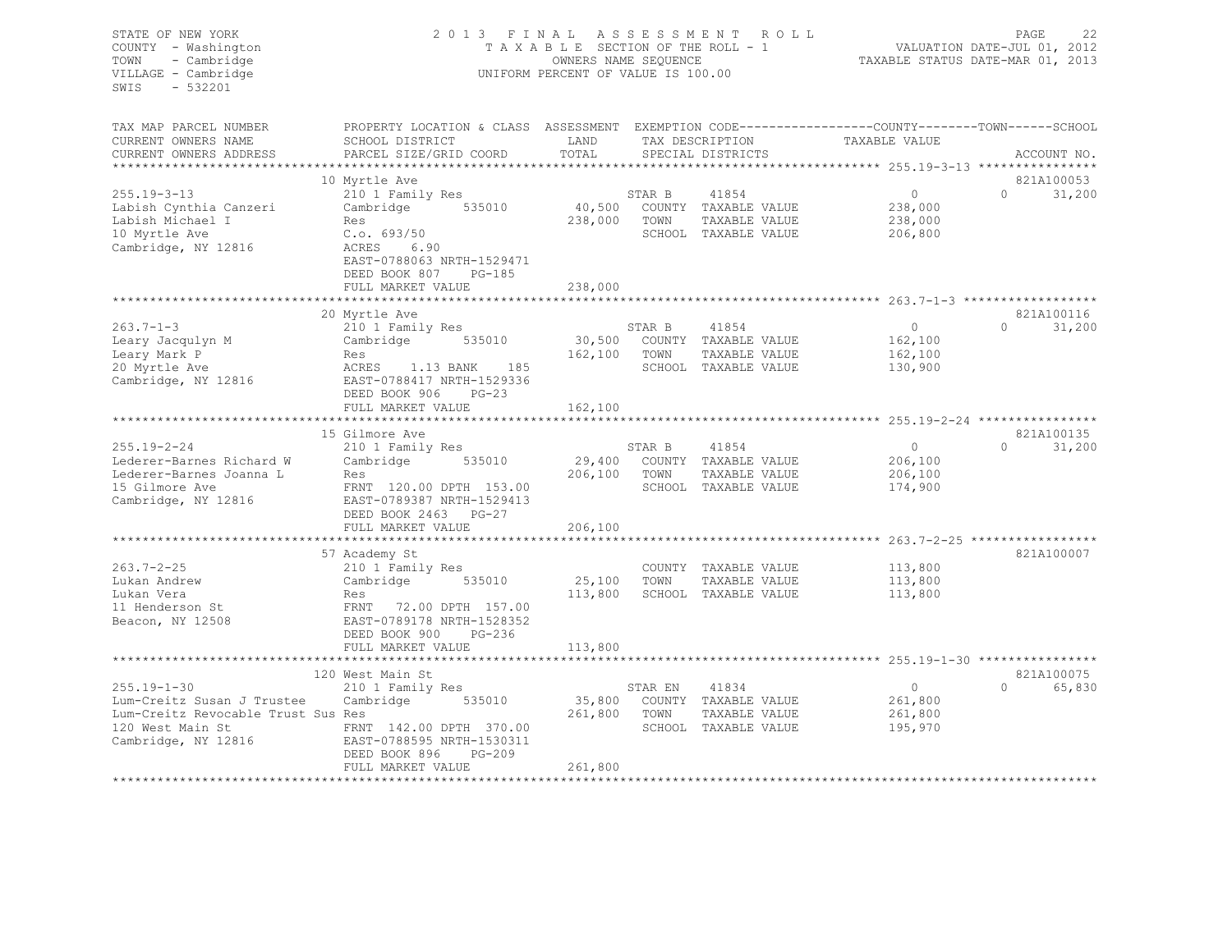| STATE OF NEW YORK<br>COUNTY - Washington<br>TOWN<br>- Cambridge<br>VILLAGE - Cambridge<br>$-532201$<br>SWIS | 2 0 1 3<br>FINAL<br>TAXABLE SECTION OF THE ROLL - 1<br>UNIFORM PERCENT OF VALUE IS 100.00                          | 22<br>PAGE<br>R O L L<br>VALUATION DATE-JUL 01, 2012<br>TAXABLE STATUS DATE-MAR 01, 2013 |         |                      |               |                                 |
|-------------------------------------------------------------------------------------------------------------|--------------------------------------------------------------------------------------------------------------------|------------------------------------------------------------------------------------------|---------|----------------------|---------------|---------------------------------|
| TAX MAP PARCEL NUMBER<br>CURRENT OWNERS NAME                                                                | PROPERTY LOCATION & CLASS ASSESSMENT EXEMPTION CODE----------------COUNTY-------TOWN-----SCHOOL<br>SCHOOL DISTRICT | LAND                                                                                     |         | TAX DESCRIPTION      | TAXABLE VALUE |                                 |
| CURRENT OWNERS ADDRESS                                                                                      | PARCEL SIZE/GRID COORD                                                                                             | TOTAL                                                                                    |         | SPECIAL DISTRICTS    |               | ACCOUNT NO.                     |
|                                                                                                             |                                                                                                                    |                                                                                          |         |                      |               |                                 |
|                                                                                                             | 10 Myrtle Ave                                                                                                      |                                                                                          |         |                      |               | 821A100053                      |
| $255.19 - 3 - 13$                                                                                           | 210 1 Family Res                                                                                                   |                                                                                          | STAR B  | 41854                | $\circ$       | $\circ$<br>31,200               |
| Labish Cynthia Canzeri                                                                                      | Cambridge 535010                                                                                                   | 40,500                                                                                   |         | COUNTY TAXABLE VALUE | 238,000       |                                 |
| Labish Michael I                                                                                            | Res                                                                                                                | 238,000                                                                                  | TOWN    | TAXABLE VALUE        | 238,000       |                                 |
| 10 Myrtle Ave                                                                                               | C.o. 693/50                                                                                                        |                                                                                          |         | SCHOOL TAXABLE VALUE | 206,800       |                                 |
| Cambridge, NY 12816                                                                                         | ACRES<br>6.90                                                                                                      |                                                                                          |         |                      |               |                                 |
|                                                                                                             | EAST-0788063 NRTH-1529471<br>DEED BOOK 807 PG-185                                                                  |                                                                                          |         |                      |               |                                 |
|                                                                                                             | FULL MARKET VALUE                                                                                                  | 238,000                                                                                  |         |                      |               |                                 |
|                                                                                                             |                                                                                                                    |                                                                                          |         |                      |               |                                 |
|                                                                                                             | 20 Myrtle Ave                                                                                                      |                                                                                          |         |                      |               | 821A100116                      |
| $263.7 - 1 - 3$                                                                                             | 210 1 Family Res                                                                                                   |                                                                                          | STAR B  | 41854                | $\circ$       | $0 \t 31,200$                   |
| Leary Jacqulyn M                                                                                            | Cambridge 535010                                                                                                   | 30,500                                                                                   |         | COUNTY TAXABLE VALUE | 162,100       |                                 |
| Leary Mark P                                                                                                | Res                                                                                                                | 162,100                                                                                  | TOWN    | TAXABLE VALUE        | 162,100       |                                 |
| 20 Myrtle Ave                                                                                               | ACRES 1.13 BANK<br>185                                                                                             |                                                                                          |         | SCHOOL TAXABLE VALUE | 130,900       |                                 |
| Cambridge, NY 12816                                                                                         | EAST-0788417 NRTH-1529336                                                                                          |                                                                                          |         |                      |               |                                 |
|                                                                                                             | DEED BOOK 906 PG-23                                                                                                |                                                                                          |         |                      |               |                                 |
|                                                                                                             | FULL MARKET VALUE                                                                                                  | 162,100                                                                                  |         |                      |               |                                 |
|                                                                                                             |                                                                                                                    |                                                                                          |         |                      |               |                                 |
|                                                                                                             | 15 Gilmore Ave                                                                                                     |                                                                                          |         |                      |               | 821A100135                      |
| $255.19 - 2 - 24$                                                                                           | 210 1 Family Res                                                                                                   |                                                                                          | STAR B  | 41854                | $\circ$       | $\Omega$ and $\Omega$<br>31,200 |
| Lederer-Barnes Richard W                                                                                    | Cambridge 535010                                                                                                   | 29,400                                                                                   |         | COUNTY TAXABLE VALUE | 206,100       |                                 |
| Lederer-Barnes Joanna L                                                                                     | Res                                                                                                                | 206,100                                                                                  | TOWN    | TAXABLE VALUE        | 206,100       |                                 |
| 15 Gilmore Ave                                                                                              | FRNT 120.00 DPTH 153.00                                                                                            |                                                                                          |         | SCHOOL TAXABLE VALUE | 174,900       |                                 |
| Cambridge, NY 12816                                                                                         | EAST-0789387 NRTH-1529413<br>DEED BOOK 2463 PG-27                                                                  |                                                                                          |         |                      |               |                                 |
|                                                                                                             | FULL MARKET VALUE                                                                                                  | 206,100                                                                                  |         |                      |               |                                 |
|                                                                                                             |                                                                                                                    |                                                                                          |         |                      |               |                                 |
|                                                                                                             | 57 Academy St                                                                                                      |                                                                                          |         |                      |               | 821A100007                      |
| $263.7 - 2 - 25$                                                                                            | 210 1 Family Res                                                                                                   |                                                                                          |         | COUNTY TAXABLE VALUE | 113,800       |                                 |
| Lukan Andrew                                                                                                | 535010<br>Cambridge                                                                                                | 25,100                                                                                   | TOWN    | TAXABLE VALUE        | 113,800       |                                 |
| Lukan Vera                                                                                                  | Res                                                                                                                | 113,800                                                                                  |         | SCHOOL TAXABLE VALUE | 113,800       |                                 |
| 11 Henderson St                                                                                             | FRNT 72.00 DPTH 157.00                                                                                             |                                                                                          |         |                      |               |                                 |
| Beacon, NY 12508                                                                                            | EAST-0789178 NRTH-1528352                                                                                          |                                                                                          |         |                      |               |                                 |
|                                                                                                             | DEED BOOK 900<br>PG-236                                                                                            |                                                                                          |         |                      |               |                                 |
|                                                                                                             | FULL MARKET VALUE                                                                                                  | 113,800                                                                                  |         |                      |               |                                 |
|                                                                                                             |                                                                                                                    |                                                                                          |         |                      |               |                                 |
|                                                                                                             | 120 West Main St                                                                                                   |                                                                                          |         |                      |               | 821A100075                      |
| $255.19 - 1 - 30$                                                                                           | 210 1 Family Res                                                                                                   |                                                                                          | STAR EN | 41834                | $\circ$       | $\Omega$ and $\Omega$<br>65,830 |
| Lum-Creitz Susan J Trustee                                                                                  | 535010<br>Cambridge                                                                                                | 35,800                                                                                   |         | COUNTY TAXABLE VALUE | 261,800       |                                 |
| Lum-Creitz Revocable Trust Sus Res                                                                          |                                                                                                                    | 261,800                                                                                  | TOWN    | TAXABLE VALUE        | 261,800       |                                 |
| 120 West Main St                                                                                            | FRNT 142.00 DPTH 370.00                                                                                            |                                                                                          |         | SCHOOL TAXABLE VALUE | 195,970       |                                 |
| Cambridge, NY 12816                                                                                         | EAST-0788595 NRTH-1530311                                                                                          |                                                                                          |         |                      |               |                                 |
|                                                                                                             | DEED BOOK 896<br>PG-209                                                                                            |                                                                                          |         |                      |               |                                 |
|                                                                                                             | FULL MARKET VALUE                                                                                                  | 261,800                                                                                  |         |                      |               |                                 |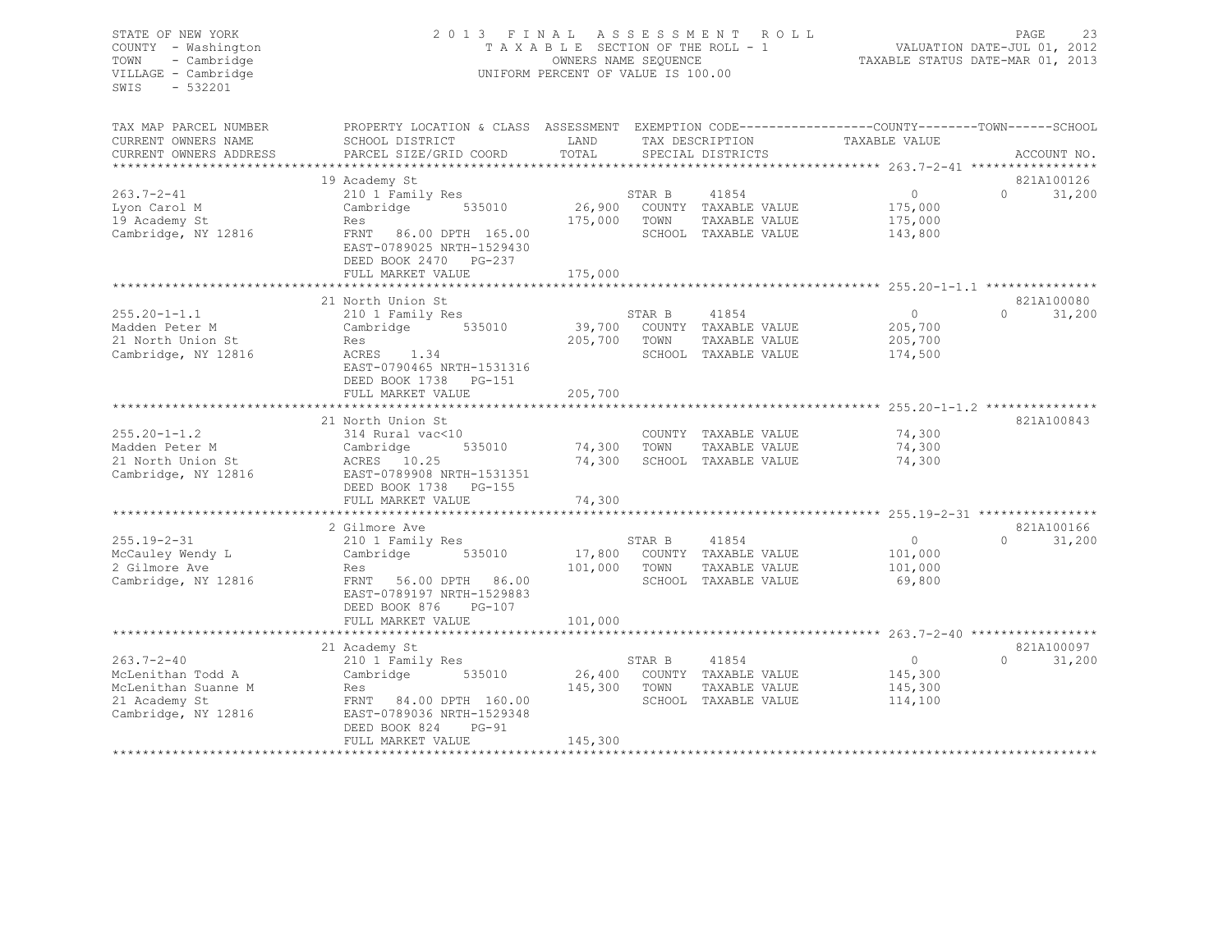# STATE OF NEW YORK 2 0 1 3 F I N A L A S S E S S M E N T R O L L PAGE 23 COUNTY - Washington T A X A B L E SECTION OF THE ROLL - 1 VALUATION DATE-JUL 01, 2012 TOWN - Cambridge OWNERS NAME SEQUENCE TAXABLE STATUS DATE-MAR 01, 2013 VILLAGE - Cambridge **UNIFORM PERCENT OF VALUE IS 100.00**

| TAX MAP PARCEL NUMBER<br>CURRENT OWNERS NAME<br>CURRENT OWNERS ADDRESS                               | PROPERTY LOCATION & CLASS ASSESSMENT<br>SCHOOL DISTRICT<br>PARCEL SIZE/GRID COORD                                                                                                                    | LAND<br>TOTAL                |                | TAX DESCRIPTION<br>SPECIAL DISTRICTS                                          | EXEMPTION CODE-----------------COUNTY-------TOWN------SCHOOL<br>TAXABLE VALUE | ACCOUNT NO.                      |
|------------------------------------------------------------------------------------------------------|------------------------------------------------------------------------------------------------------------------------------------------------------------------------------------------------------|------------------------------|----------------|-------------------------------------------------------------------------------|-------------------------------------------------------------------------------|----------------------------------|
| $263.7 - 2 - 41$<br>Lyon Carol M<br>19 Academy St<br>Cambridge, NY 12816                             | 19 Academy St<br>210 1 Family Res<br>Cambridge<br>535010<br>Res<br>FRNT<br>86.00 DPTH 165.00<br>EAST-0789025 NRTH-1529430<br>DEED BOOK 2470 PG-237<br>FULL MARKET VALUE<br>************************* | 26,900<br>175,000<br>175,000 | STAR B<br>TOWN | 41854<br>COUNTY TAXABLE VALUE<br>TAXABLE VALUE<br>SCHOOL TAXABLE VALUE        | $\Omega$<br>175,000<br>175,000<br>143,800                                     | 821A100126<br>$\Omega$<br>31,200 |
| $255.20 - 1 - 1.1$<br>Madden Peter M<br>21 North Union St<br>Cambridge, NY 12816                     | 21 North Union St<br>210 1 Family Res<br>535010<br>Cambridge<br>Res<br>ACRES 1.34<br>EAST-0790465 NRTH-1531316<br>DEED BOOK 1738 PG-151<br>FULL MARKET VALUE                                         | 39,700<br>205,700<br>205,700 | STAR B<br>TOWN | 41854<br>COUNTY TAXABLE VALUE<br>TAXABLE VALUE<br>SCHOOL TAXABLE VALUE        | $\Omega$<br>205,700<br>205,700<br>174,500                                     | 821A100080<br>$\Omega$<br>31,200 |
| $255.20 - 1 - 1.2$<br>Madden Peter M<br>21 North Union St<br>Cambridge, NY 12816                     | 21 North Union St<br>314 Rural vac<10<br>535010<br>Cambridge<br>ACRES 10.25<br>EAST-0789908 NRTH-1531351<br>DEED BOOK 1738 PG-155<br>FULL MARKET VALUE                                               | 74,300<br>74,300<br>74,300   | TOWN           | COUNTY TAXABLE VALUE<br>TAXABLE VALUE<br>SCHOOL TAXABLE VALUE                 | ********* 255.20-1-1.2 ****************<br>74,300<br>74,300<br>74,300         | 821A100843                       |
| $255.19 - 2 - 31$<br>McCauley Wendy L<br>2 Gilmore Ave<br>Cambridge, NY 12816                        | 2 Gilmore Ave<br>210 1 Family Res<br>Cambridge<br>535010<br>Res<br>FRNT 56.00 DPTH 86.00<br>EAST-0789197 NRTH-1529883<br>DEED BOOK 876<br>$PG-107$<br>FULL MARKET VALUE                              | 101,000<br>101,000           | STAR B<br>TOWN | 41854<br>17,800 COUNTY TAXABLE VALUE<br>TAXABLE VALUE<br>SCHOOL TAXABLE VALUE | $\overline{0}$<br>101,000<br>101,000<br>69,800                                | 821A100166<br>$\Omega$<br>31,200 |
| $263.7 - 2 - 40$<br>McLenithan Todd A<br>McLenithan Suanne M<br>21 Academy St<br>Cambridge, NY 12816 | 21 Academy St<br>210 1 Family Res<br>Cambridge<br>535010<br>Res<br>FRNT 84.00 DPTH 160.00<br>EAST-0789036 NRTH-1529348<br>DEED BOOK 824<br>$PG-91$<br>FULL MARKET VALUE                              | 145,300<br>145,300           | STAR B<br>TOWN | 41854<br>26,400 COUNTY TAXABLE VALUE<br>TAXABLE VALUE<br>SCHOOL TAXABLE VALUE | $\circ$<br>145,300<br>145,300<br>114,100                                      | 821A100097<br>$\Omega$<br>31,200 |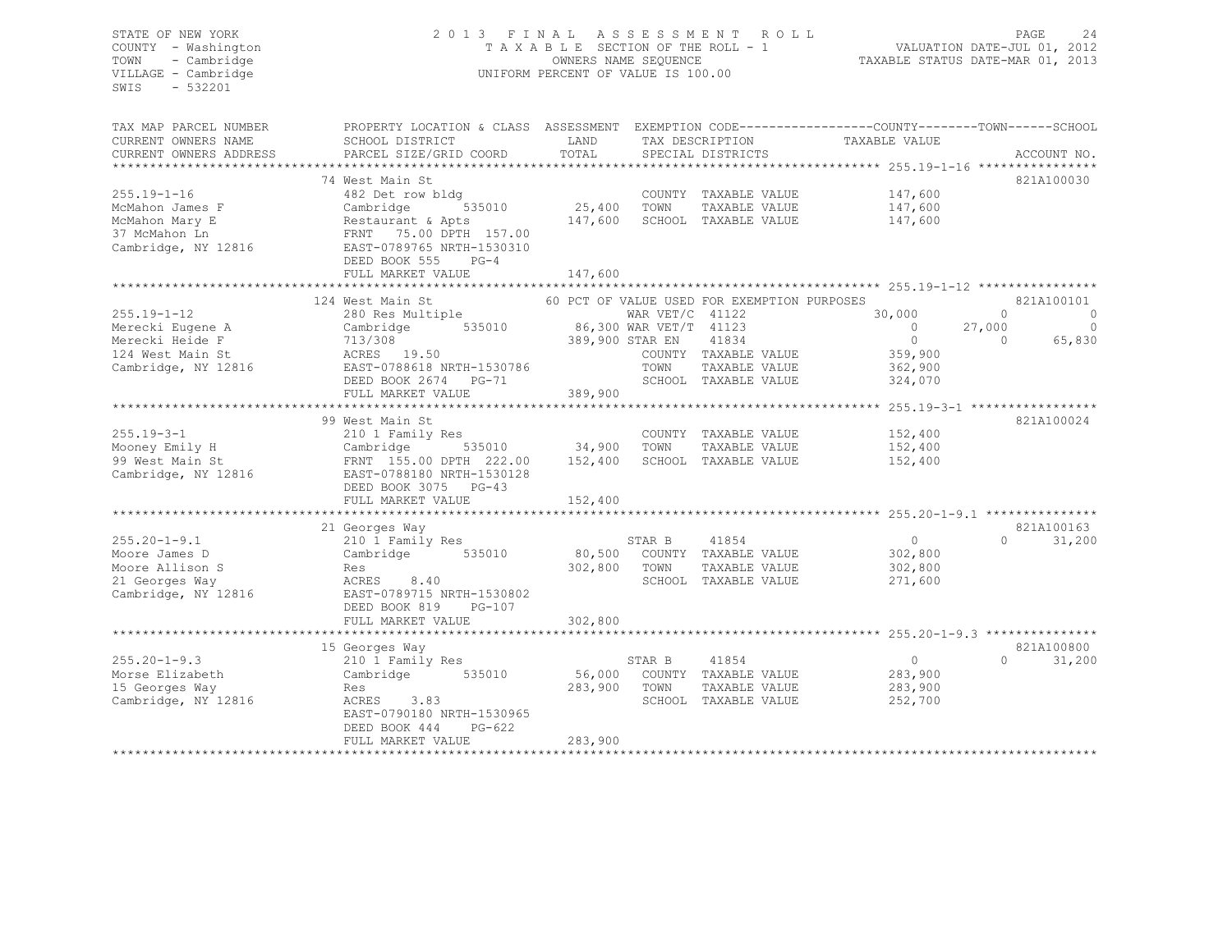# STATE OF NEW YORK 2 0 1 3 F I N A L A S S E S S M E N T R O L L PAGE 24 COUNTY - Washington T A X A B L E SECTION OF THE ROLL - 1 VALUATION DATE-JUL 01, 2012 TOWN - Cambridge OWNERS NAME SEQUENCE TAXABLE STATUS DATE-MAR 01, 2013 VILLAGE - Cambridge  $U = U \cup U$  UNIFORM PERCENT OF VALUE IS 100.00

| TAX MAP PARCEL NUMBER<br>CURRENT OWNERS NAME<br>CURRENT OWNERS ADDRESS<br>************************* | PROPERTY LOCATION & CLASS ASSESSMENT<br>SCHOOL DISTRICT<br>PARCEL SIZE/GRID COORD                                                                                                                                   | LAND<br>TOTAL                                        |                           | TAX DESCRIPTION<br>SPECIAL DISTRICTS                                                                                  | EXEMPTION CODE-----------------COUNTY-------TOWN------SCHOOL<br>TAXABLE VALUE   | ACCOUNT NO.                                                                          |
|-----------------------------------------------------------------------------------------------------|---------------------------------------------------------------------------------------------------------------------------------------------------------------------------------------------------------------------|------------------------------------------------------|---------------------------|-----------------------------------------------------------------------------------------------------------------------|---------------------------------------------------------------------------------|--------------------------------------------------------------------------------------|
| $255.19 - 1 - 16$<br>McMahon James F<br>McMahon Mary E<br>37 McMahon Ln<br>Cambridge, NY 12816      | 74 West Main St<br>482 Det row bldg<br>Cambridge<br>535010<br>Restaurant & Apts<br>FRNT 75.00 DPTH 157.00<br>EAST-0789765 NRTH-1530310<br>DEED BOOK 555<br>$PG-4$<br>FULL MARKET VALUE<br>************************* | 25,400<br>147,600<br>147,600                         | TOWN                      | COUNTY TAXABLE VALUE<br>TAXABLE VALUE<br>SCHOOL TAXABLE VALUE                                                         | 147,600<br>147,600<br>147,600                                                   | 821A100030                                                                           |
| $255.19 - 1 - 12$<br>Merecki Eugene A<br>Merecki Heide F<br>124 West Main St<br>Cambridge, NY 12816 | 124 West Main St<br>280 Res Multiple<br>535010<br>Cambridge<br>713/308<br>ACRES 19.50<br>EAST-0788618 NRTH-1530786<br>DEED BOOK 2674 PG-71<br>FULL MARKET VALUE                                                     | 86,300 WAR VET/T 41123<br>389,900 STAR EN<br>389,900 | WAR $VET/C$ 41122<br>TOWN | 60 PCT OF VALUE USED FOR EXEMPTION PURPOSES<br>41834<br>COUNTY TAXABLE VALUE<br>TAXABLE VALUE<br>SCHOOL TAXABLE VALUE | 30,000<br>$\overline{0}$<br>$\overline{0}$<br>359,900<br>362,900<br>324,070     | 821A100101<br>$\Omega$<br>$\Omega$<br>27,000<br>$\overline{0}$<br>$\Omega$<br>65,830 |
| $255.19 - 3 - 1$<br>Mooney Emily H<br>99 West Main St<br>Cambridge, NY 12816                        | 99 West Main St<br>210 1 Family Res<br>Cambridge<br>FRNT 155.00 DPTH 222.00<br>EAST-0788180 NRTH-1530128<br>DEED BOOK 3075 PG-43<br>FULL MARKET VALUE                                                               | 535010 34,900<br>152,400<br>152,400                  | TOWN                      | COUNTY TAXABLE VALUE<br>TAXABLE VALUE<br>SCHOOL TAXABLE VALUE                                                         | ********** 255.19-3-1 ******************<br>152,400<br>152,400<br>152,400       | 821A100024                                                                           |
| $255.20 - 1 - 9.1$<br>Moore James D<br>Moore Allison S<br>21 Georges Way<br>Cambridge, NY 12816     | ********************<br>21 Georges Way<br>210 1 Family Res<br>535010<br>Cambridge<br>Res<br>ACRES<br>8.40<br>EAST-0789715 NRTH-1530802<br>DEED BOOK 819<br>PG-107<br>FULL MARKET VALUE                              | 80,500<br>302,800<br>302,800                         | STAR B<br>TOWN            | 41854<br>COUNTY TAXABLE VALUE<br>TAXABLE VALUE<br>SCHOOL TAXABLE VALUE                                                | *********** 255.20-1-9.1 **********<br>$\circ$<br>302,800<br>302,800<br>271,600 | 821A100163<br>$\cap$<br>31,200                                                       |
| $255.20 - 1 - 9.3$<br>Morse Elizabeth<br>15 Georges Way<br>Cambridge, NY 12816                      | 15 Georges Way<br>210 1 Family Res<br>Cambridge<br>535010<br>Res<br>3.83<br>ACRES<br>EAST-0790180 NRTH-1530965<br>DEED BOOK 444<br>$PG-622$<br>FULL MARKET VALUE                                                    | 56,000<br>283,900<br>283,900                         | STAR B<br>TOWN            | 41854<br>COUNTY TAXABLE VALUE<br>TAXABLE VALUE<br>SCHOOL TAXABLE VALUE                                                | $\circ$<br>283,900<br>283,900<br>252,700                                        | 821A100800<br>$\cap$<br>31,200                                                       |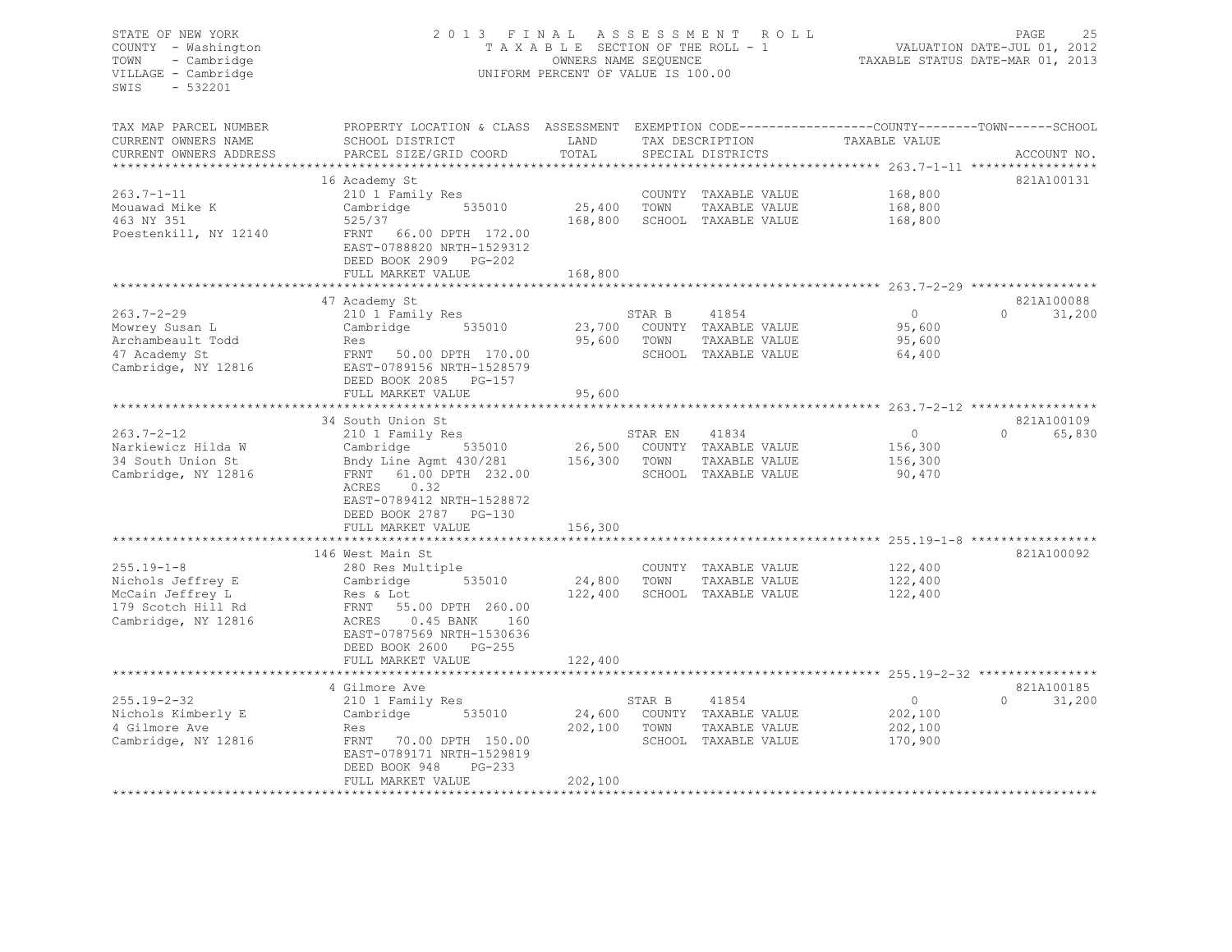| STATE OF NEW YORK<br>COUNTY - Washington<br>- Cambridge<br>TOWN<br>VILLAGE - Cambridge<br>SWIS<br>- 532201 | 2013 FINAL<br>TAXABLE SECTION OF THE ROLL - 1<br>UNIFORM PERCENT OF VALUE IS 100.00             | ROLL ROLL    | 25<br>PAGE<br>VALUATION DATE-JUL 01, 2012<br>TAXABLE STATUS DATE-MAR 01, 2013 |                                      |                           |                                               |
|------------------------------------------------------------------------------------------------------------|-------------------------------------------------------------------------------------------------|--------------|-------------------------------------------------------------------------------|--------------------------------------|---------------------------|-----------------------------------------------|
| TAX MAP PARCEL NUMBER                                                                                      | PROPERTY LOCATION & CLASS ASSESSMENT EXEMPTION CODE---------------COUNTY-------TOWN------SCHOOL |              |                                                                               |                                      |                           |                                               |
| CURRENT OWNERS NAME                                                                                        | SCHOOL DISTRICT                                                                                 | LAND         |                                                                               | TAX DESCRIPTION                      | TAXABLE VALUE             |                                               |
| CURRENT OWNERS ADDRESS                                                                                     | PARCEL SIZE/GRID COORD                                                                          | TOTAL        |                                                                               | SPECIAL DISTRICTS                    |                           | ACCOUNT NO.                                   |
|                                                                                                            | 16 Academy St                                                                                   |              |                                                                               |                                      |                           | 821A100131                                    |
| $263.7 - 1 - 11$                                                                                           | 210 1 Family Res                                                                                |              |                                                                               | COUNTY TAXABLE VALUE                 | 168,800                   |                                               |
| Mouawad Mike K                                                                                             | Cambridge 535010                                                                                | 25,400 TOWN  |                                                                               | TAXABLE VALUE                        | 168,800                   |                                               |
| 463 NY 351                                                                                                 | 525/37                                                                                          |              |                                                                               | 168,800 SCHOOL TAXABLE VALUE         | 168,800                   |                                               |
| Poestenkill, NY 12140                                                                                      | FRNT 66.00 DPTH 172.00<br>EAST-0788820 NRTH-1529312<br>DEED BOOK 2909 PG-202                    |              |                                                                               |                                      |                           |                                               |
|                                                                                                            | FULL MARKET VALUE<br>***********************                                                    | 168,800      |                                                                               |                                      |                           |                                               |
|                                                                                                            |                                                                                                 | ************ |                                                                               |                                      |                           |                                               |
| $263.7 - 2 - 29$                                                                                           | 47 Academy St<br>210 1 Family Res                                                               |              | STAR B                                                                        | 41854                                | $\overline{0}$            | 821A100088<br>$\Omega$ and $\Omega$<br>31,200 |
| Mowrey Susan L                                                                                             | Cambridge 535010                                                                                |              |                                                                               | 23,700 COUNTY TAXABLE VALUE          | 95,600                    |                                               |
| Archambeault Todd                                                                                          | Res                                                                                             |              | 95,600 TOWN                                                                   | TAXABLE VALUE                        | 95,600                    |                                               |
| 47 Academy St                                                                                              | FRNT 50.00 DPTH 170.00                                                                          |              |                                                                               | SCHOOL TAXABLE VALUE                 | 64,400                    |                                               |
| Cambridge, NY 12816                                                                                        | EAST-0789156 NRTH-1528579<br>DEED BOOK 2085 PG-157                                              |              |                                                                               |                                      |                           |                                               |
|                                                                                                            | FULL MARKET VALUE                                                                               | 95,600       |                                                                               |                                      |                           |                                               |
|                                                                                                            | **************************                                                                      |              |                                                                               |                                      |                           |                                               |
| $263.7 - 2 - 12$                                                                                           | 34 South Union St<br>210 1 Family Res                                                           |              | STAR EN                                                                       | 41834                                | $\overline{0}$            | 821A100109<br>$\Omega$<br>65,830              |
| Narkiewicz Hilda W                                                                                         | Cambridge 535010                                                                                |              |                                                                               | 26,500 COUNTY TAXABLE VALUE          | 156,300                   |                                               |
| 34 South Union St                                                                                          | Bndy Line Agmt 430/281 156,300 TOWN                                                             |              |                                                                               | TAXABLE VALUE                        | 156,300                   |                                               |
| Cambridge, NY 12816                                                                                        | FRNT 61.00 DPTH 232.00                                                                          |              |                                                                               | SCHOOL TAXABLE VALUE                 | 90,470                    |                                               |
|                                                                                                            | ACRES 0.32                                                                                      |              |                                                                               |                                      |                           |                                               |
|                                                                                                            | EAST-0789412 NRTH-1528872                                                                       |              |                                                                               |                                      |                           |                                               |
|                                                                                                            | DEED BOOK 2787 PG-130                                                                           |              |                                                                               |                                      |                           |                                               |
|                                                                                                            | FULL MARKET VALUE                                                                               | 156,300      |                                                                               |                                      |                           |                                               |
|                                                                                                            |                                                                                                 |              |                                                                               |                                      |                           | 821A100092                                    |
| $255.19 - 1 - 8$                                                                                           | 146 West Main St<br>280 Res Multiple                                                            |              |                                                                               | COUNTY TAXABLE VALUE                 | 122,400                   |                                               |
| Nichols Jeffrey E                                                                                          | 535010<br>Cambridge                                                                             | 24,800 TOWN  |                                                                               | TAXABLE VALUE                        | 122,400                   |                                               |
| McCain Jeffrey L                                                                                           | Res & Lot                                                                                       |              |                                                                               | 122,400 SCHOOL TAXABLE VALUE         | 122,400                   |                                               |
| 179 Scotch Hill Rd                                                                                         | FRNT 55.00 DPTH 260.00                                                                          |              |                                                                               |                                      |                           |                                               |
| Cambridge, NY 12816                                                                                        | ACRES   0.45 BANK   160                                                                         |              |                                                                               |                                      |                           |                                               |
|                                                                                                            | EAST-0787569 NRTH-1530636                                                                       |              |                                                                               |                                      |                           |                                               |
|                                                                                                            | DEED BOOK 2600 PG-255                                                                           |              |                                                                               |                                      |                           |                                               |
|                                                                                                            | FULL MARKET VALUE                                                                               | 122,400      |                                                                               |                                      |                           |                                               |
|                                                                                                            |                                                                                                 |              |                                                                               |                                      |                           |                                               |
|                                                                                                            | 4 Gilmore Ave                                                                                   |              |                                                                               |                                      |                           | 821A100185<br>$\Omega$                        |
| 255.19-2-32<br>Nichols Kimberly E                                                                          | 210 1 Family Res<br>Cambridge 535010                                                            |              | STAR B                                                                        | 41854<br>24,600 COUNTY TAXABLE VALUE | $\overline{0}$<br>202,100 | 31,200                                        |
| 4 Gilmore Ave                                                                                              | Res                                                                                             |              | 202,100 TOWN                                                                  | TAXABLE VALUE                        | 202,100                   |                                               |
| Cambridge, NY 12816                                                                                        | FRNT 70.00 DPTH 150.00                                                                          |              |                                                                               | SCHOOL TAXABLE VALUE                 | 170,900                   |                                               |
|                                                                                                            | EAST-0789171 NRTH-1529819                                                                       |              |                                                                               |                                      |                           |                                               |
|                                                                                                            | DEED BOOK 948<br>PG-233                                                                         |              |                                                                               |                                      |                           |                                               |
|                                                                                                            | FULL MARKET VALUE                                                                               | 202,100      |                                                                               |                                      |                           |                                               |
| *************************                                                                                  |                                                                                                 |              |                                                                               |                                      |                           |                                               |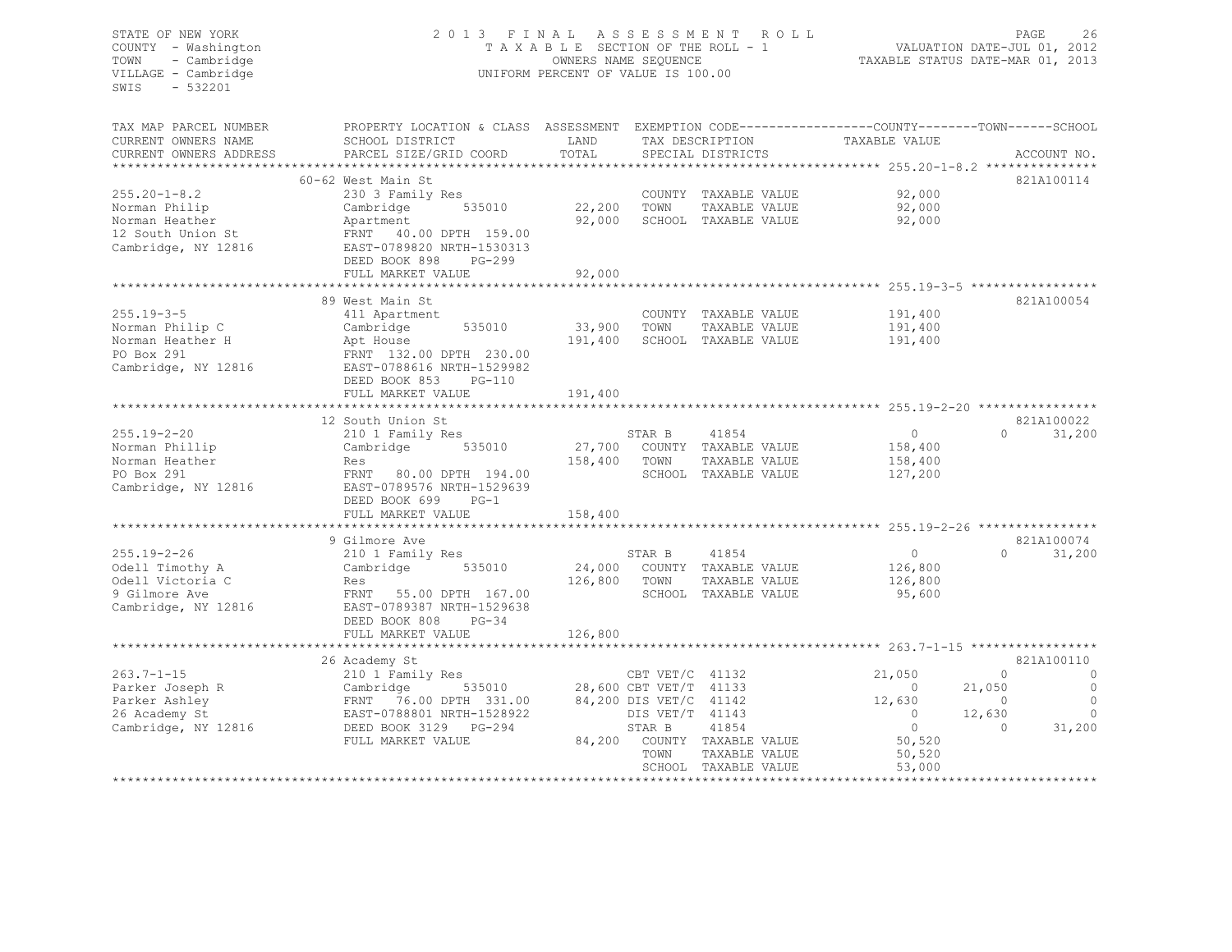# STATE OF NEW YORK 2 0 1 3 F I N A L A S S E S S M E N T R O L L PAGE 26 COUNTY - Washington T A X A B L E SECTION OF THE ROLL - 1 VALUATION DATE-JUL 01, 2012 TOWN - Cambridge COWNERS NAME SEQUENCE OWNERS NAME SEQUENCE TAXABLE STATUS DATE-MAR 01, 2013 UNIFORM PERCENT OF VALUE IS 100.00

| TAX MAP PARCEL NUMBER                | PROPERTY LOCATION & CLASS ASSESSMENT                |         |                                           |                               | EXEMPTION CODE-----------------COUNTY-------TOWN------SCHOOL |                                               |
|--------------------------------------|-----------------------------------------------------|---------|-------------------------------------------|-------------------------------|--------------------------------------------------------------|-----------------------------------------------|
| CURRENT OWNERS NAME                  | SCHOOL DISTRICT                                     | LAND    |                                           | TAX DESCRIPTION               | TAXABLE VALUE                                                |                                               |
| CURRENT OWNERS ADDRESS               | PARCEL SIZE/GRID COORD                              | TOTAL   |                                           | SPECIAL DISTRICTS             |                                                              | ACCOUNT NO.                                   |
|                                      | 60-62 West Main St                                  |         |                                           |                               |                                                              | 821A100114                                    |
| $255.20 - 1 - 8.2$                   | 230 3 Family Res                                    |         |                                           | COUNTY TAXABLE VALUE          | 92,000                                                       |                                               |
| Norman Philip                        | 535010<br>Cambridge                                 | 22,200  | TOWN                                      | TAXABLE VALUE                 | 92,000                                                       |                                               |
| Norman Heather                       | Apartment                                           | 92,000  |                                           | SCHOOL TAXABLE VALUE          | 92,000                                                       |                                               |
| 12 South Union St                    | FRNT 40.00 DPTH 159.00                              |         |                                           |                               |                                                              |                                               |
| Cambridge, NY 12816                  | EAST-0789820 NRTH-1530313                           |         |                                           |                               |                                                              |                                               |
|                                      | DEED BOOK 898<br>$PG-299$                           |         |                                           |                               |                                                              |                                               |
|                                      | FULL MARKET VALUE                                   | 92,000  |                                           |                               |                                                              |                                               |
|                                      |                                                     |         |                                           |                               |                                                              |                                               |
|                                      | 89 West Main St                                     |         |                                           |                               |                                                              | 821A100054                                    |
| $255.19 - 3 - 5$                     | 411 Apartment                                       |         |                                           | COUNTY TAXABLE VALUE          | 191,400                                                      |                                               |
| Norman Philip C                      | 535010<br>Cambridge                                 | 33,900  | TOWN                                      | TAXABLE VALUE                 | 191,400                                                      |                                               |
| Norman Heather H                     | Apt House                                           | 191,400 |                                           | SCHOOL TAXABLE VALUE          | 191,400                                                      |                                               |
| PO Box 291                           | FRNT 132.00 DPTH 230.00                             |         |                                           |                               |                                                              |                                               |
| Cambridge, NY 12816                  | EAST-0788616 NRTH-1529982                           |         |                                           |                               |                                                              |                                               |
|                                      | DEED BOOK 853<br>$PG-110$                           |         |                                           |                               |                                                              |                                               |
|                                      | FULL MARKET VALUE                                   | 191,400 |                                           |                               |                                                              |                                               |
|                                      |                                                     |         |                                           |                               |                                                              |                                               |
|                                      | 12 South Union St                                   |         |                                           |                               |                                                              | 821A100022<br>$\Omega$                        |
| $255.19 - 2 - 20$<br>Norman Phillip  | 210 1 Family Res<br>535010                          | 27,700  | STAR B                                    | 41854<br>COUNTY TAXABLE VALUE | $\circ$<br>158,400                                           | 31,200                                        |
| Norman Heather                       | Cambridge<br>Res                                    | 158,400 | TOWN                                      | TAXABLE VALUE                 | 158,400                                                      |                                               |
| PO Box 291                           | 80.00 DPTH 194.00<br>FRNT                           |         |                                           | SCHOOL TAXABLE VALUE          | 127,200                                                      |                                               |
| Cambridge, NY 12816                  | EAST-0789576 NRTH-1529639                           |         |                                           |                               |                                                              |                                               |
|                                      | DEED BOOK 699<br>$PG-1$                             |         |                                           |                               |                                                              |                                               |
|                                      | FULL MARKET VALUE                                   | 158,400 |                                           |                               |                                                              |                                               |
|                                      | **********************                              |         |                                           |                               |                                                              |                                               |
|                                      | 9 Gilmore Ave                                       |         |                                           |                               |                                                              | 821A100074                                    |
| $255.19 - 2 - 26$                    | 210 1 Family Res                                    |         | STAR B                                    | 41854                         | $\circ$                                                      | 31,200<br>$\Omega$                            |
| Odell Timothy A                      | 535010<br>Cambridge                                 | 24,000  |                                           | COUNTY TAXABLE VALUE          | 126,800                                                      |                                               |
| Odell Victoria C                     | Res                                                 | 126,800 | TOWN                                      | TAXABLE VALUE                 | 126,800                                                      |                                               |
| 9 Gilmore Ave                        | FRNT<br>55.00 DPTH 167.00                           |         |                                           | SCHOOL TAXABLE VALUE          | 95,600                                                       |                                               |
| Cambridge, NY 12816                  | EAST-0789387 NRTH-1529638                           |         |                                           |                               |                                                              |                                               |
|                                      | DEED BOOK 808<br>$PG-34$                            |         |                                           |                               |                                                              |                                               |
|                                      | FULL MARKET VALUE                                   | 126,800 |                                           |                               |                                                              |                                               |
|                                      | ******************************                      |         |                                           |                               |                                                              |                                               |
|                                      | 26 Academy St                                       |         |                                           |                               |                                                              | 821A100110                                    |
| $263.7 - 1 - 15$                     | 210 1 Family Res                                    |         | CBT VET/C 41132                           |                               | 21,050                                                       | $\circ$<br>$\circ$                            |
| Parker Joseph R                      | Cambridge<br>535010                                 |         | 28,600 CBT VET/T 41133                    |                               | $\circ$                                                      | 21,050<br>$\circ$                             |
| Parker Ashley                        | FRNT 76.00 DPTH 331.00<br>EAST-0788801 NRTH-1528922 |         | 84,200 DIS VET/C 41142<br>DIS VET/T 41143 |                               | 12,630<br>$\circ$                                            | $\mathbf{0}$<br>$\circ$<br>12,630<br>$\Omega$ |
| 26 Academy St<br>Cambridge, NY 12816 | DEED BOOK 3129<br>PG-294                            |         | STAR B                                    | 41854                         | $\circ$                                                      | $\Omega$<br>31,200                            |
|                                      | FULL MARKET VALUE                                   | 84,200  |                                           | COUNTY TAXABLE VALUE          | 50,520                                                       |                                               |
|                                      |                                                     |         | TOWN                                      | TAXABLE VALUE                 | 50,520                                                       |                                               |
|                                      |                                                     |         |                                           | SCHOOL TAXABLE VALUE          | 53,000                                                       |                                               |
|                                      |                                                     |         |                                           | ***********************       | *****************************                                |                                               |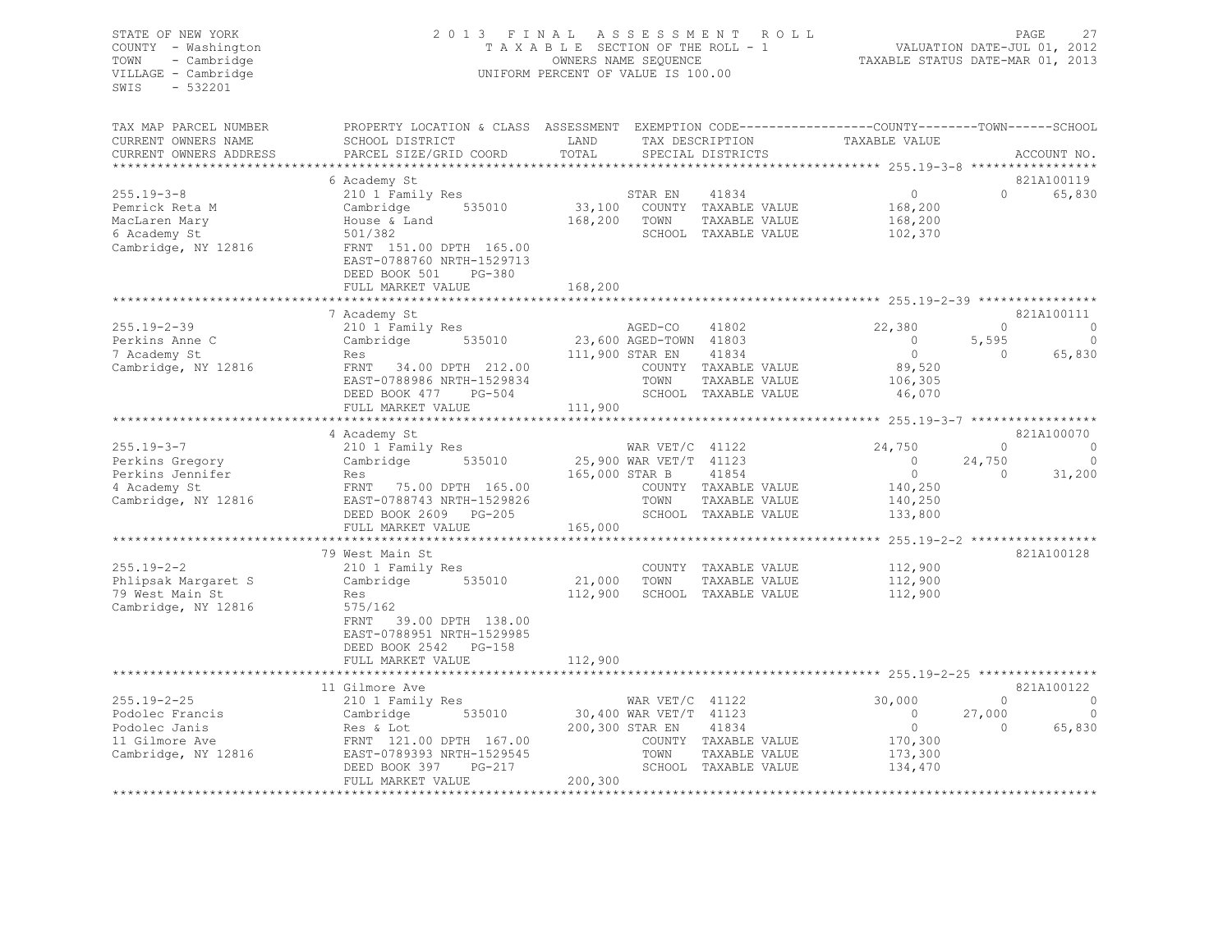| STATE OF NEW YORK<br>COUNTY - Washington<br>- Cambridge<br>TOWN<br>VILLAGE - Cambridge<br>$-532201$<br>SWIS | 2 0 1 3<br>FINAL<br>TAXABLE SECTION OF THE ROLL - 1<br>UNIFORM PERCENT OF VALUE IS 100.00 | PAGE<br>27<br>VALUATION DATE-JUL 01, 2012<br>TAXABLE STATUS DATE-MAR 01, 2013                  |                                                  |                          |  |
|-------------------------------------------------------------------------------------------------------------|-------------------------------------------------------------------------------------------|------------------------------------------------------------------------------------------------|--------------------------------------------------|--------------------------|--|
| TAX MAP PARCEL NUMBER                                                                                       |                                                                                           | PROPERTY LOCATION & CLASS ASSESSMENT EXEMPTION CODE---------------COUNTY-------TOWN-----SCHOOL |                                                  |                          |  |
| CURRENT OWNERS NAME<br>CURRENT OWNERS ADDRESS                                                               | SCHOOL DISTRICT<br>PARCEL SIZE/GRID COORD                                                 | LAND<br>TAX DESCRIPTION<br>TOTAL<br>SPECIAL DISTRICTS                                          | TAXABLE VALUE                                    | ACCOUNT NO.              |  |
| ***********************                                                                                     |                                                                                           |                                                                                                |                                                  |                          |  |
|                                                                                                             | 6 Academy St                                                                              |                                                                                                |                                                  | 821A100119               |  |
| $255.19 - 3 - 8$                                                                                            | 210 1 Family Res<br>535010                                                                | STAR EN<br>41834<br>33,100<br>COUNTY TAXABLE VALUE                                             | $\circ$<br>$\Omega$<br>168,200                   | 65,830                   |  |
| Pemrick Reta M<br>MacLaren Mary                                                                             | Cambridge<br>House & Land                                                                 | 168,200<br>TOWN<br>TAXABLE VALUE                                                               | 168,200                                          |                          |  |
| 6 Academy St                                                                                                | 501/382                                                                                   | SCHOOL TAXABLE VALUE                                                                           | 102,370                                          |                          |  |
| Cambridge, NY 12816                                                                                         | FRNT 151.00 DPTH 165.00<br>EAST-0788760 NRTH-1529713<br>DEED BOOK 501<br>PG-380           |                                                                                                |                                                  |                          |  |
|                                                                                                             | FULL MARKET VALUE                                                                         | 168,200                                                                                        |                                                  |                          |  |
|                                                                                                             | 7 Academy St                                                                              |                                                                                                |                                                  | 821A100111               |  |
| $255.19 - 2 - 39$                                                                                           | 210 1 Family Res                                                                          | AGED-CO<br>41802                                                                               | 22,380<br>$\Omega$                               | $\overline{0}$           |  |
| Perkins Anne C                                                                                              | Cambridge<br>535010                                                                       | 23,600 AGED-TOWN 41803                                                                         | $\bigcirc$<br>5,595                              | $\bigcirc$               |  |
| 7 Academy St                                                                                                | Res                                                                                       | 111,900 STAR EN<br>41834                                                                       | $\overline{0}$<br>$\Omega$                       | 65,830                   |  |
| Cambridge, NY 12816                                                                                         | FRNT 34.00 DPTH 212.00<br>EAST-0788986 NRTH-1529834                                       | COUNTY TAXABLE VALUE<br>TOWN<br>TAXABLE VALUE                                                  | 89,520<br>106,305                                |                          |  |
|                                                                                                             | DEED BOOK 477 PG-504                                                                      | SCHOOL TAXABLE VALUE                                                                           | 46,070                                           |                          |  |
|                                                                                                             | FULL MARKET VALUE                                                                         | 111,900                                                                                        |                                                  |                          |  |
|                                                                                                             |                                                                                           |                                                                                                | ******************* 255.19-3-7 ***************** |                          |  |
|                                                                                                             | 4 Academy St                                                                              |                                                                                                |                                                  | 821A100070               |  |
| $255.19 - 3 - 7$                                                                                            | 210 1 Family Res                                                                          | WAR $VET/C$ 41122                                                                              | 24,750<br>$\Omega$                               | $\Omega$                 |  |
| Perkins Gregory<br>Perkins Jennifer                                                                         | 535010<br>Cambridge                                                                       | 25,900 WAR VET/T 41123<br>165,000 STAR B<br>41854                                              | $\overline{0}$<br>24,750<br>$\circ$<br>$\Omega$  | $\overline{0}$<br>31,200 |  |
| 4 Academy St                                                                                                | Res<br>FRNT 75.00 DPTH 165.00                                                             | COUNTY TAXABLE VALUE                                                                           | 140,250                                          |                          |  |
| Cambridge, NY 12816                                                                                         | EAST-0788743 NRTH-1529826                                                                 | TOWN<br>TAXABLE VALUE                                                                          | 140,250                                          |                          |  |
|                                                                                                             | DEED BOOK 2609 PG-205                                                                     | SCHOOL TAXABLE VALUE                                                                           | 133,800                                          |                          |  |
|                                                                                                             | FULL MARKET VALUE                                                                         | 165,000                                                                                        |                                                  |                          |  |
|                                                                                                             | ************************                                                                  |                                                                                                |                                                  |                          |  |
| $255.19 - 2 - 2$                                                                                            | 79 West Main St                                                                           |                                                                                                |                                                  | 821A100128               |  |
| Phlipsak Margaret S                                                                                         | 210 1 Family Res<br>Cambridge 535010                                                      | COUNTY TAXABLE VALUE<br>21,000<br>TOWN<br>TAXABLE VALUE                                        | 112,900<br>112,900                               |                          |  |
| 79 West Main St                                                                                             | Res                                                                                       | 112,900<br>SCHOOL TAXABLE VALUE                                                                | 112,900                                          |                          |  |
| Cambridge, NY 12816                                                                                         | 575/162                                                                                   |                                                                                                |                                                  |                          |  |
|                                                                                                             | FRNT<br>39.00 DPTH 138.00                                                                 |                                                                                                |                                                  |                          |  |
|                                                                                                             | EAST-0788951 NRTH-1529985                                                                 |                                                                                                |                                                  |                          |  |
|                                                                                                             | DEED BOOK 2542 PG-158                                                                     |                                                                                                |                                                  |                          |  |
|                                                                                                             | FULL MARKET VALUE<br>*************************                                            | 112,900                                                                                        |                                                  |                          |  |
|                                                                                                             | 11 Gilmore Ave                                                                            |                                                                                                |                                                  | 821A100122               |  |
| $255.19 - 2 - 25$                                                                                           | 210 1 Family Res                                                                          | WAR $VET/C$ 41122                                                                              | 30,000<br>$\Omega$                               | $\sim$ 0                 |  |
| Podolec Francis                                                                                             | Cambridge<br>535010                                                                       | 30,400 WAR VET/T 41123                                                                         | $\circ$<br>27,000                                | $\overline{0}$           |  |
| Podolec Janis                                                                                               | Res & Lot                                                                                 | 200,300 STAR EN<br>41834                                                                       | $\circ$<br>$\cap$                                | 65,830                   |  |
| 11 Gilmore Ave                                                                                              | FRNT 121.00 DPTH 167.00                                                                   | COUNTY TAXABLE VALUE                                                                           | 170,300                                          |                          |  |
| Cambridge, NY 12816                                                                                         | EAST-0789393 NRTH-1529545                                                                 | TAXABLE VALUE<br>TOWN                                                                          | 173,300                                          |                          |  |
|                                                                                                             | $PG-217$<br>DEED BOOK 397                                                                 | SCHOOL TAXABLE VALUE                                                                           | 134,470                                          |                          |  |
|                                                                                                             | FULL MARKET VALUE                                                                         | 200,300<br>*******************                                                                 |                                                  |                          |  |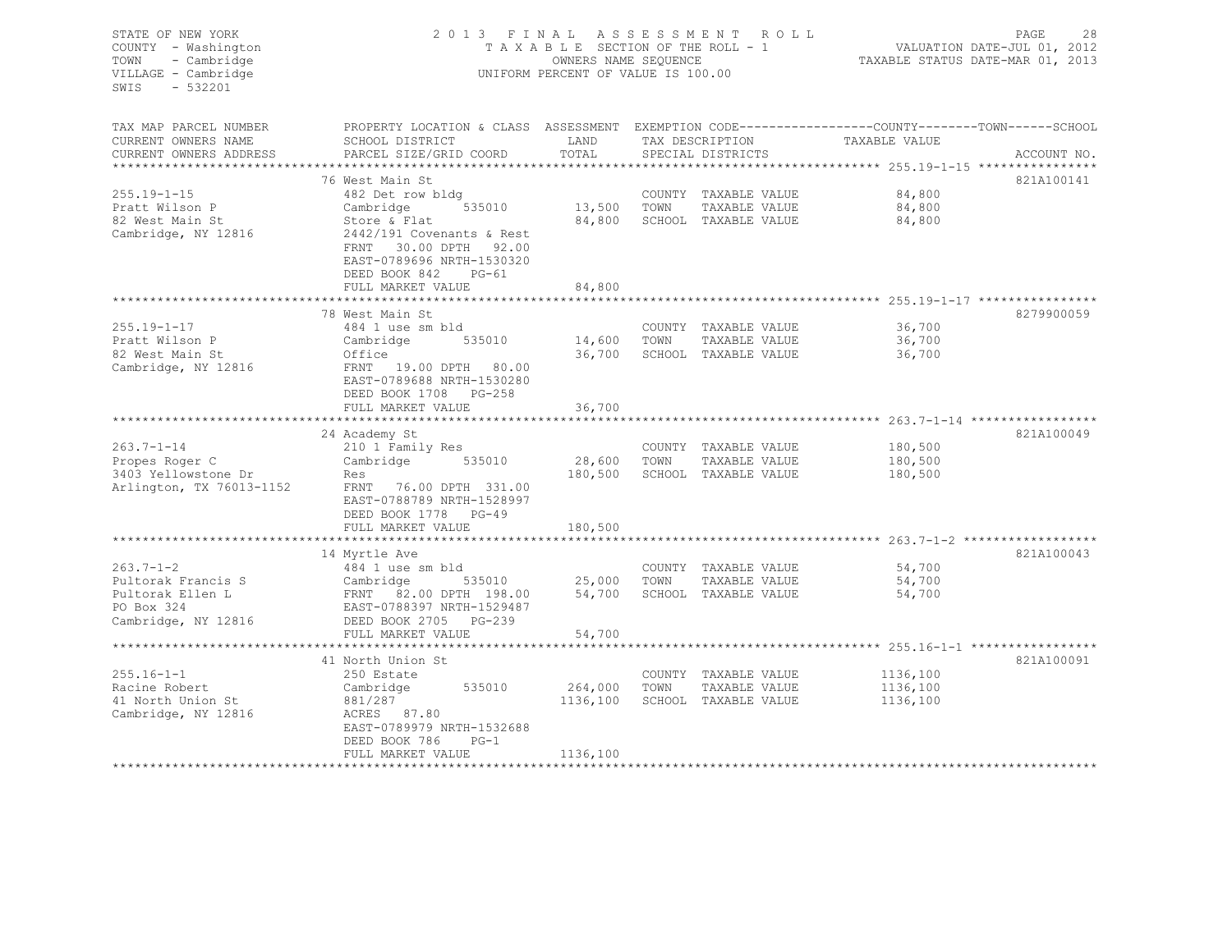| STATE OF NEW YORK<br>COUNTY - Washington<br>TOWN<br>- Cambridge<br>VILLAGE - Cambridge<br>SWIS<br>$-532201$ | 2013 FINAL ASSESSMENT                                                                                                                                                                | TAXABLE SECTION OF THE ROLL - 1<br>OWNERS NAME SEQUENCE<br>UNIFORM PERCENT OF VALUE IS 100.00 | ROLL                                                                 |                                                      | PAGE<br>28<br>VALUATION DATE-JUL 01, 2012<br>TAXABLE STATUS DATE-MAR 01, 2013 |
|-------------------------------------------------------------------------------------------------------------|--------------------------------------------------------------------------------------------------------------------------------------------------------------------------------------|-----------------------------------------------------------------------------------------------|----------------------------------------------------------------------|------------------------------------------------------|-------------------------------------------------------------------------------|
| TAX MAP PARCEL NUMBER<br>CURRENT OWNERS NAME<br>CURRENT OWNERS ADDRESS                                      | PROPERTY LOCATION & CLASS ASSESSMENT EXEMPTION CODE-----------------COUNTY-------TOWN------SCHOOL<br>SCHOOL DISTRICT<br>PARCEL SIZE/GRID COORD                                       | LAND<br>TOTAL                                                                                 | TAX DESCRIPTION<br>SPECIAL DISTRICTS                                 | TAXABLE VALUE                                        | ACCOUNT NO.                                                                   |
| ********************                                                                                        |                                                                                                                                                                                      |                                                                                               |                                                                      |                                                      |                                                                               |
| $255.19 - 1 - 15$<br>Pratt Wilson P<br>82 West Main St<br>Cambridge, NY 12816                               | 76 West Main St<br>482 Det row bldg<br>535010<br>Cambridge<br>Store & Flat<br>2442/191 Covenants & Rest<br>FRNT 30.00 DPTH 92.00<br>EAST-0789696 NRTH-1530320<br>DEED BOOK 842 PG-61 | 13,500 TOWN                                                                                   | COUNTY TAXABLE VALUE<br>TAXABLE VALUE<br>84,800 SCHOOL TAXABLE VALUE | 84,800<br>84,800<br>84,800                           | 821A100141                                                                    |
|                                                                                                             | FULL MARKET VALUE                                                                                                                                                                    | 84,800                                                                                        |                                                                      |                                                      |                                                                               |
|                                                                                                             |                                                                                                                                                                                      |                                                                                               |                                                                      | *********** 255.19-1-17 *****************            |                                                                               |
| $255.19 - 1 - 17$<br>Pratt Wilson P                                                                         | 78 West Main St<br>484 1 use sm bld<br>Cambridge 535010                                                                                                                              | 14,600 TOWN                                                                                   | COUNTY TAXABLE VALUE<br>TAXABLE VALUE                                | 36,700<br>36,700                                     | 8279900059                                                                    |
| 82 West Main St<br>Cambridge, NY 12816                                                                      | Office<br>FRNT 19.00 DPTH 80.00<br>EAST-0789688 NRTH-1530280<br>DEED BOOK 1708 PG-258<br>FULL MARKET VALUE                                                                           | 36,700<br>36,700                                                                              | SCHOOL TAXABLE VALUE                                                 | 36,700                                               |                                                                               |
|                                                                                                             |                                                                                                                                                                                      |                                                                                               |                                                                      | *********************** 263.7-1-14 ***************** |                                                                               |
|                                                                                                             | 24 Academy St                                                                                                                                                                        |                                                                                               |                                                                      |                                                      | 821A100049                                                                    |
| $263.7 - 1 - 14$<br>Propes Roger C<br>3403 Yellowstone Dr<br>Arlington, TX 76013-1152                       | 210 1 Family Res<br>Cambridge 535010<br>Res<br>FRNT 76.00 DPTH 331.00<br>EAST-0788789 NRTH-1528997<br>DEED BOOK 1778 PG-49                                                           | 28,600 TOWN<br>180,500                                                                        | COUNTY TAXABLE VALUE<br>TAXABLE VALUE<br>SCHOOL TAXABLE VALUE        | 180,500<br>180,500<br>180,500                        |                                                                               |
|                                                                                                             | FULL MARKET VALUE                                                                                                                                                                    | 180,500                                                                                       |                                                                      |                                                      |                                                                               |
|                                                                                                             | *********************                                                                                                                                                                |                                                                                               |                                                                      | **************** 263.7-1-2 ******************        |                                                                               |
| $263.7 - 1 - 2$<br>Pultorak Francis S<br>Pultorak Ellen L<br>PO Box 324<br>Cambridge, NY 12816              | 14 Myrtle Ave<br>484 1 use sm bld<br>Cambridge 535010<br>FRNT 82.00 DPTH 198.00<br>EAST-0788397 NRTH-1529487<br>DEED BOOK 2705 PG-239                                                | 25,000 TOWN<br>54,700                                                                         | COUNTY TAXABLE VALUE<br>TAXABLE VALUE<br>SCHOOL TAXABLE VALUE        | 54,700<br>54,700<br>54,700                           | 821A100043                                                                    |
|                                                                                                             | FULL MARKET VALUE                                                                                                                                                                    | 54,700                                                                                        |                                                                      |                                                      |                                                                               |
|                                                                                                             | ***********************                                                                                                                                                              |                                                                                               |                                                                      |                                                      |                                                                               |
|                                                                                                             | 41 North Union St                                                                                                                                                                    |                                                                                               |                                                                      |                                                      | 821A100091                                                                    |
| $255.16 - 1 - 1$                                                                                            | 250 Estate                                                                                                                                                                           |                                                                                               | COUNTY TAXABLE VALUE                                                 | 1136,100                                             |                                                                               |
| Racine Robert<br>41 North Union St<br>Cambridge, NY 12816                                                   | Cambridge<br>535010<br>881/287<br>ACRES 87.80<br>EAST-0789979 NRTH-1532688<br>DEED BOOK 786<br>$PG-1$                                                                                | 264,000 TOWN                                                                                  | TAXABLE VALUE<br>1136,100 SCHOOL TAXABLE VALUE                       | 1136,100<br>1136,100                                 |                                                                               |
|                                                                                                             | FULL MARKET VALUE                                                                                                                                                                    | 1136,100                                                                                      |                                                                      |                                                      |                                                                               |
|                                                                                                             |                                                                                                                                                                                      |                                                                                               |                                                                      |                                                      |                                                                               |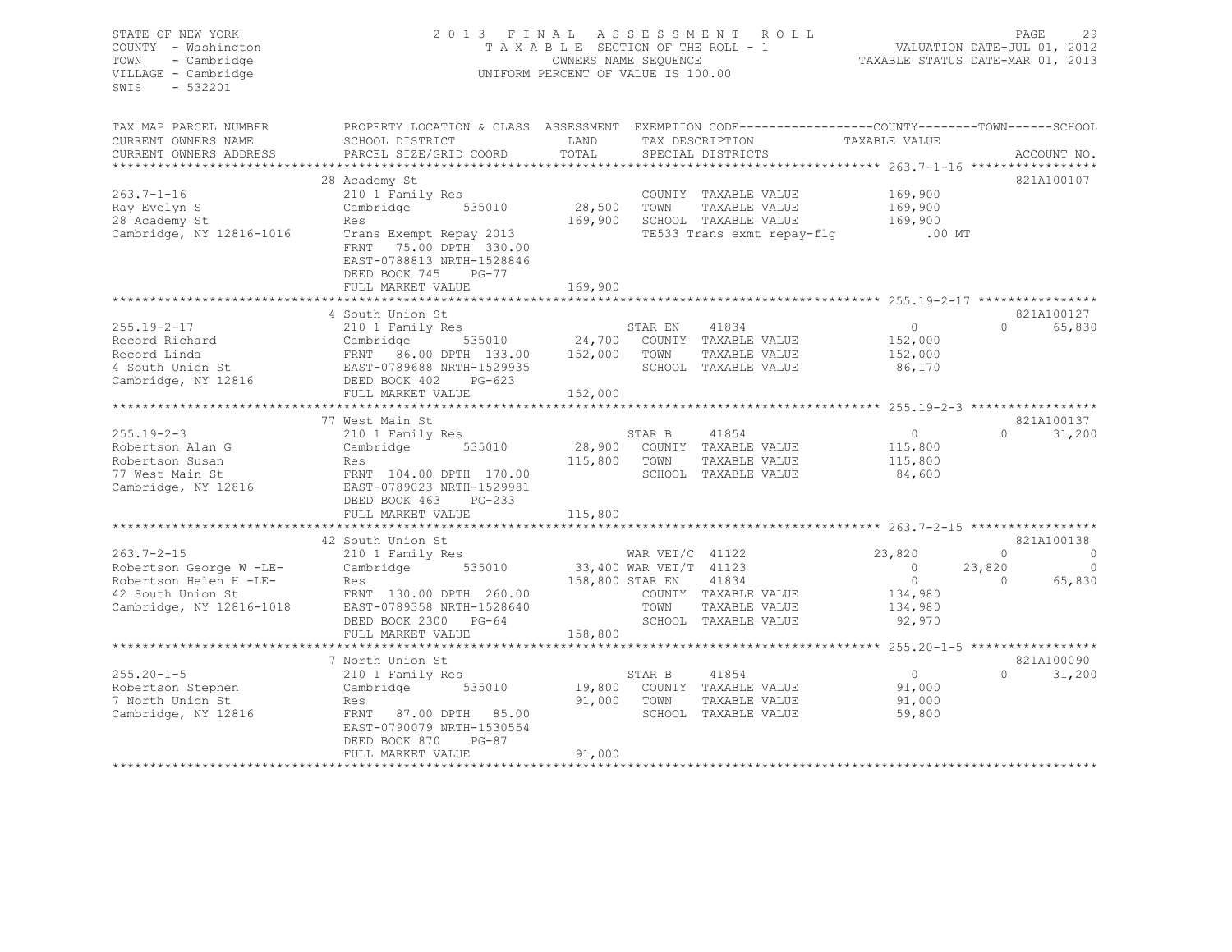| STATE OF NEW YORK<br>COUNTY - Washington<br>TOWN<br>- Cambridge<br>VILLAGE - Cambridge<br>$-532201$<br>SWIS | 2013 FINAL                                                                                                                                                                                                                                                                                                     |                       | A S S E S S M E N T R O L L<br>T A X A B L E SECTION OF THE ROLL - 1<br>OWNERS NAME SEQUENCE<br>UNIFORM PERCENT OF VALUE IS 100.00 | 29 PAGE 29<br>VALUATION DATE-JUL 01, 2012<br>TAXABLE STATUS DATE-MAR 01, 2013 |                                                            |             |
|-------------------------------------------------------------------------------------------------------------|----------------------------------------------------------------------------------------------------------------------------------------------------------------------------------------------------------------------------------------------------------------------------------------------------------------|-----------------------|------------------------------------------------------------------------------------------------------------------------------------|-------------------------------------------------------------------------------|------------------------------------------------------------|-------------|
| TAX MAP PARCEL NUMBER<br>CURRENT OWNERS NAME                                                                |                                                                                                                                                                                                                                                                                                                | TOTAL                 |                                                                                                                                    |                                                                               |                                                            |             |
| CURRENT OWNERS ADDRESS                                                                                      | PARCEL SIZE/GRID COORD                                                                                                                                                                                                                                                                                         |                       | SPECIAL DISTRICTS                                                                                                                  |                                                                               |                                                            | ACCOUNT NO. |
|                                                                                                             | 28 Academy St                                                                                                                                                                                                                                                                                                  |                       |                                                                                                                                    |                                                                               | 821A100107                                                 |             |
| $263.7 - 1 - 16$                                                                                            | 210 1 Family Res                                                                                                                                                                                                                                                                                               | COUNTY<br>28,500 TOWN | COUNTY TAXABLE VALUE                                                                                                               | 169,900                                                                       |                                                            |             |
| Ray Evelyn S                                                                                                | Cambridge 535010                                                                                                                                                                                                                                                                                               |                       | TAXABLE VALUE                                                                                                                      | 169,900                                                                       |                                                            |             |
| 28 Academy St                                                                                               | Res                                                                                                                                                                                                                                                                                                            |                       | 169,900 SCHOOL TAXABLE VALUE                                                                                                       | 169,900                                                                       |                                                            |             |
| Cambridge, NY 12816-1016                                                                                    | Exercise of the series of the series of the series of the series of the series of the series of the series of the series of the series of the series of the series of the series of the series of the series of the series of<br>FRNT 75.00 DPTH 330.00<br>EAST-0788813 NRTH-1528846<br>DEED BOOK 745<br>PG-77 |                       | SCHOOL TAXABLE VALUE 169,900<br>TE533 Trans exmt repay-flg .00 MT                                                                  |                                                                               |                                                            |             |
|                                                                                                             | FULL MARKET VALUE                                                                                                                                                                                                                                                                                              | 169,900               |                                                                                                                                    |                                                                               |                                                            |             |
|                                                                                                             |                                                                                                                                                                                                                                                                                                                |                       |                                                                                                                                    |                                                                               |                                                            |             |
|                                                                                                             | 4 South Union St                                                                                                                                                                                                                                                                                               |                       |                                                                                                                                    |                                                                               | 821A100127                                                 |             |
|                                                                                                             |                                                                                                                                                                                                                                                                                                                |                       |                                                                                                                                    | $\overline{0}$                                                                | 0 65,830                                                   |             |
|                                                                                                             |                                                                                                                                                                                                                                                                                                                |                       | TAXABLE VALUE                                                                                                                      | 152,000<br>152,000                                                            |                                                            |             |
|                                                                                                             |                                                                                                                                                                                                                                                                                                                |                       |                                                                                                                                    | 86,170                                                                        |                                                            |             |
|                                                                                                             |                                                                                                                                                                                                                                                                                                                |                       |                                                                                                                                    |                                                                               |                                                            |             |
|                                                                                                             | FULL MARKET VALUE                                                                                                                                                                                                                                                                                              | 152,000               |                                                                                                                                    |                                                                               |                                                            |             |
|                                                                                                             |                                                                                                                                                                                                                                                                                                                |                       |                                                                                                                                    |                                                                               |                                                            |             |
|                                                                                                             | 77 West Main St                                                                                                                                                                                                                                                                                                |                       |                                                                                                                                    |                                                                               | 821A100137                                                 |             |
| $255.19 - 2 - 3$                                                                                            |                                                                                                                                                                                                                                                                                                                |                       | 41854<br>STAR B                                                                                                                    | $\overline{0}$                                                                | $0 \t 31,200$                                              |             |
| Robertson Alan G                                                                                            |                                                                                                                                                                                                                                                                                                                |                       | 28,900 COUNTY TAXABLE VALUE                                                                                                        | 115,800                                                                       |                                                            |             |
|                                                                                                             |                                                                                                                                                                                                                                                                                                                | 115,800 TOWN          | TAXABLE VALUE                                                                                                                      | 115,800                                                                       |                                                            |             |
| Robertson Susan<br>77 West Main St<br>Cambridge, NY 12816                                                   | 7 West Fain St<br>210 1 Family Res<br>Cambridge 535010 28,900<br>Res<br>FRNT 104.00 DPTH 170.00<br>EAST-0789023 NRTH-1529981<br>RETE 7789023 NRTH-1529981<br>DEED BOOK 463<br>$PG-233$                                                                                                                         |                       | SCHOOL TAXABLE VALUE                                                                                                               | 84,600                                                                        |                                                            |             |
|                                                                                                             | FULL MARKET VALUE                                                                                                                                                                                                                                                                                              | 115,800               |                                                                                                                                    |                                                                               |                                                            |             |
|                                                                                                             |                                                                                                                                                                                                                                                                                                                |                       |                                                                                                                                    |                                                                               |                                                            |             |
|                                                                                                             | 42 South Union St<br>Douth Official St<br>210 1 Family Res                                                                                                                                                                                                                                                     |                       |                                                                                                                                    |                                                                               | 821A100138<br>$\begin{matrix} 0 & 0 \\ 0 & 0 \end{matrix}$ |             |
| $263.7 - 2 - 15$                                                                                            | Cambridge 535010 33,400 WAR VET/T 41123                                                                                                                                                                                                                                                                        |                       | WAR $VET/C$ 41122                                                                                                                  | 23,820<br>$\sim$ 0                                                            | 23,820                                                     | $\circ$     |
|                                                                                                             |                                                                                                                                                                                                                                                                                                                | 158,800 STAR EN       | 41834                                                                                                                              | $\overline{0}$                                                                | $\overline{0}$                                             | 65,830      |
|                                                                                                             |                                                                                                                                                                                                                                                                                                                |                       | COUNTY TAXABLE VALUE                                                                                                               | 134,980                                                                       |                                                            |             |
|                                                                                                             | Robertson George W -LE-<br>Robertson Helen H -LE-<br>Robertson Helen H -LE-<br>Res<br>158,800 S<br>Cambridge, NY 12816-1018<br>EAST-0789368 NRTH-1528640<br>PERNT 130.00 DPTH 260.00<br>Cambridge, NY 12816-1018<br>EAST-0789368 NRTH-1528640                                                                  |                       | TOWN<br>TAXABLE VALUE                                                                                                              | 134,980                                                                       |                                                            |             |
|                                                                                                             | DEED BOOK 2300 PG-64                                                                                                                                                                                                                                                                                           |                       | SCHOOL TAXABLE VALUE                                                                                                               | 92,970                                                                        |                                                            |             |
|                                                                                                             | FULL MARKET VALUE                                                                                                                                                                                                                                                                                              | 158,800               |                                                                                                                                    |                                                                               |                                                            |             |
|                                                                                                             |                                                                                                                                                                                                                                                                                                                |                       |                                                                                                                                    |                                                                               |                                                            |             |
|                                                                                                             | 7 North Union St                                                                                                                                                                                                                                                                                               |                       |                                                                                                                                    |                                                                               | 821A100090                                                 |             |
| $255.20 - 1 - 5$                                                                                            | worth union st<br>210 1 Family Res                                                                                                                                                                                                                                                                             |                       | 41854<br>STAR B                                                                                                                    | $\overline{0}$                                                                | $0 \t 31,200$                                              |             |
| Robertson Stephen<br>7 North Union St                                                                       | Cambridge 535010<br>Res                                                                                                                                                                                                                                                                                        |                       | 19,800 COUNTY TAXABLE VALUE                                                                                                        | 91,000                                                                        |                                                            |             |
| 7 North Union St                                                                                            |                                                                                                                                                                                                                                                                                                                | 91,000 TOWN           | TAXABLE VALUE                                                                                                                      | 91,000                                                                        |                                                            |             |
| Cambridge, NY 12816                                                                                         | FRNT 87.00 DPTH 85.00<br>EAST-0790079 NRTH-1530554<br>DEED BOOK 870<br>PG-87                                                                                                                                                                                                                                   |                       | SCHOOL TAXABLE VALUE                                                                                                               | 59,800                                                                        |                                                            |             |
|                                                                                                             | FULL MARKET VALUE                                                                                                                                                                                                                                                                                              | 91,000                |                                                                                                                                    |                                                                               |                                                            |             |
|                                                                                                             |                                                                                                                                                                                                                                                                                                                |                       |                                                                                                                                    |                                                                               |                                                            |             |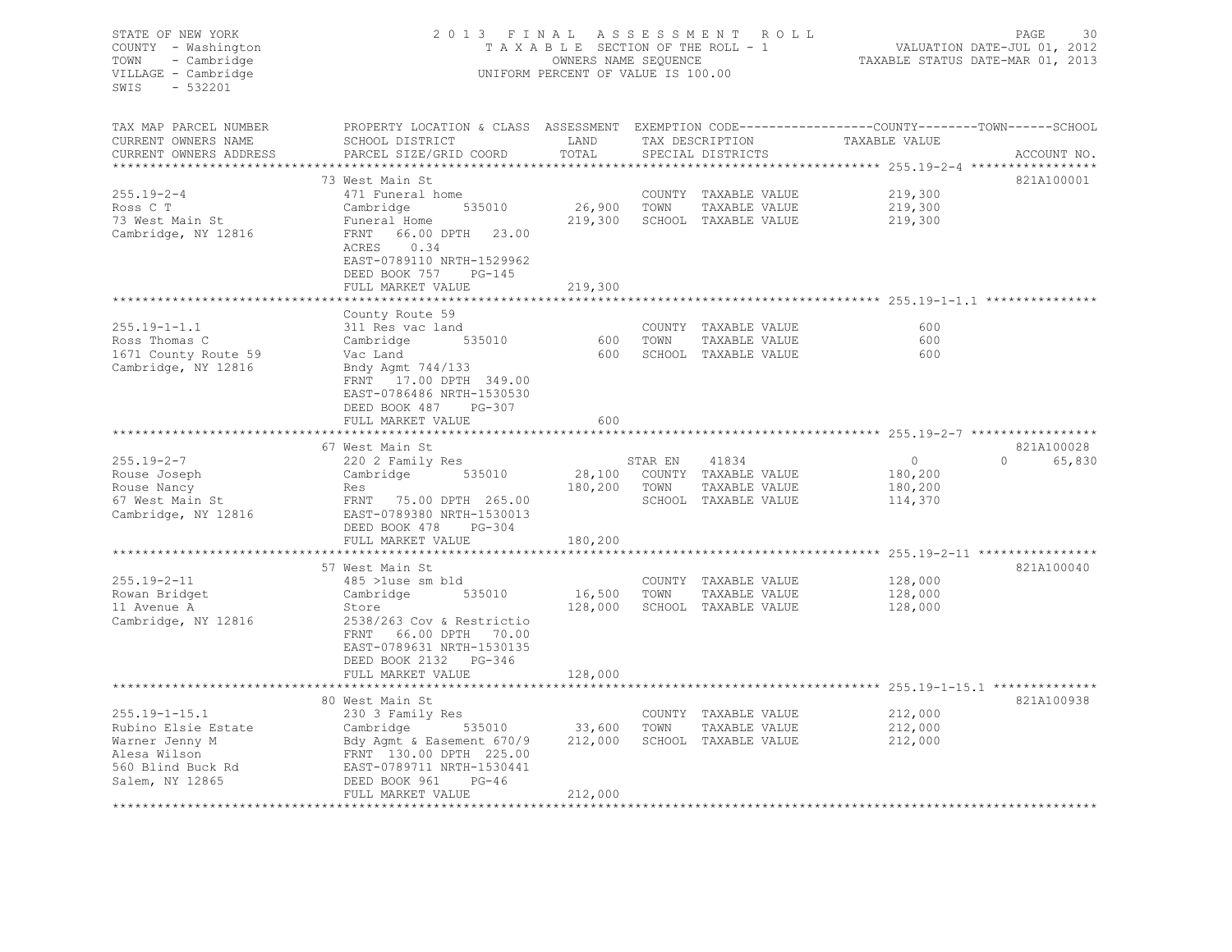| STATE OF NEW YORK<br>COUNTY - Washington<br>- Cambridge<br>TOWN<br>VILLAGE - Cambridge<br>$-532201$<br>SWIS          | 2013 FINAL ASSESSMENT ROLL<br>TAXABLE SECTION OF THE ROLL - 1<br>UNIFORM PERCENT OF VALUE IS 100.00                                                                                              | 30<br>PAGE<br>VALUATION DATE-JUL 01, 2012<br>TAXABLE STATUS DATE-MAR 01, 2013 |         |                                                                               |                                                                                                   |                                  |
|----------------------------------------------------------------------------------------------------------------------|--------------------------------------------------------------------------------------------------------------------------------------------------------------------------------------------------|-------------------------------------------------------------------------------|---------|-------------------------------------------------------------------------------|---------------------------------------------------------------------------------------------------|----------------------------------|
| TAX MAP PARCEL NUMBER                                                                                                | PROPERTY LOCATION & CLASS ASSESSMENT EXEMPTION CODE----------------COUNTY-------TOWN-----SCHOOL                                                                                                  |                                                                               |         |                                                                               |                                                                                                   |                                  |
| CURRENT OWNERS NAME<br>CURRENT OWNERS ADDRESS<br>***********************                                             | SCHOOL DISTRICT<br>PARCEL SIZE/GRID COORD                                                                                                                                                        | LAND<br>TOTAL                                                                 |         | TAX DESCRIPTION<br>SPECIAL DISTRICTS                                          | TAXABLE VALUE                                                                                     | ACCOUNT NO.                      |
|                                                                                                                      | 73 West Main St                                                                                                                                                                                  |                                                                               |         |                                                                               |                                                                                                   | 821A100001                       |
| $255.19 - 2 - 4$<br>Ross C T<br>73 West Main St<br>Cambridge, NY 12816                                               | 471 Funeral home<br>535010<br>Cambridge<br>Funeral Home<br>FRNT<br>66.00 DPTH 23.00<br>ACRES<br>0.34<br>EAST-0789110 NRTH-1529962                                                                | 26,900<br>219,300                                                             | TOWN    | COUNTY TAXABLE VALUE<br>TAXABLE VALUE<br>SCHOOL TAXABLE VALUE                 | 219,300<br>219,300<br>219,300                                                                     |                                  |
|                                                                                                                      | DEED BOOK 757<br>PG-145<br>FULL MARKET VALUE                                                                                                                                                     | 219,300                                                                       |         |                                                                               |                                                                                                   |                                  |
|                                                                                                                      |                                                                                                                                                                                                  |                                                                               |         |                                                                               | ************************ 255.19-1-1.1                                                             |                                  |
| $255.19 - 1 - 1.1$<br>Ross Thomas C<br>1671 County Route 59<br>Cambridge, NY 12816                                   | County Route 59<br>311 Res vac land<br>535010<br>Cambridge<br>Vac Land<br>Bndy Agmt 744/133                                                                                                      | 600<br>600                                                                    | TOWN    | COUNTY TAXABLE VALUE<br>TAXABLE VALUE<br>SCHOOL TAXABLE VALUE                 | 600<br>600<br>600                                                                                 |                                  |
|                                                                                                                      | FRNT 17.00 DPTH 349.00<br>EAST-0786486 NRTH-1530530<br>DEED BOOK 487<br>PG-307<br>FULL MARKET VALUE                                                                                              | 600                                                                           |         |                                                                               |                                                                                                   |                                  |
|                                                                                                                      |                                                                                                                                                                                                  |                                                                               |         |                                                                               |                                                                                                   |                                  |
| $255.19 - 2 - 7$<br>Rouse Joseph<br>Rouse Nancy<br>67 West Main St<br>Cambridge, NY 12816                            | 67 West Main St<br>220 2 Family Res<br>Cambridge 535010<br>Res<br>FRNT 75.00 DPTH 265.00<br>EAST-0789380 NRTH-1530013<br>DEED BOOK 478<br>PG-304                                                 | 180,200 TOWN                                                                  | STAR EN | 41834<br>28,100 COUNTY TAXABLE VALUE<br>TAXABLE VALUE<br>SCHOOL TAXABLE VALUE | $\circ$<br>180,200<br>180,200<br>114,370                                                          | 821A100028<br>$\Omega$<br>65,830 |
|                                                                                                                      | FULL MARKET VALUE                                                                                                                                                                                | 180,200                                                                       |         |                                                                               |                                                                                                   |                                  |
|                                                                                                                      | 57 West Main St                                                                                                                                                                                  |                                                                               |         |                                                                               |                                                                                                   | 821A100040                       |
| $255.19 - 2 - 11$<br>Rowan Bridget<br>11 Avenue A<br>Cambridge, NY 12816                                             | 485 >luse sm bld<br>535010<br>Cambridge<br>Store<br>2538/263 Cov & Restrictio<br>66.00 DPTH 70.00<br>FRNT<br>EAST-0789631 NRTH-1530135<br>DEED BOOK 2132 PG-346                                  | 16,500 TOWN                                                                   |         | COUNTY TAXABLE VALUE<br>TAXABLE VALUE<br>128,000 SCHOOL TAXABLE VALUE         | 128,000<br>128,000<br>128,000                                                                     |                                  |
|                                                                                                                      | FULL MARKET VALUE                                                                                                                                                                                | 128,000                                                                       |         |                                                                               |                                                                                                   |                                  |
| $255.19 - 1 - 15.1$<br>Rubino Elsie Estate<br>Warner Jenny M<br>Alesa Wilson<br>560 Blind Buck Rd<br>Salem, NY 12865 | 80 West Main St<br>230 3 Family Res<br>Cambridge<br>535010<br>Bdy Agmt & Easement 670/9<br>FRNT 130.00 DPTH 225.00<br>EAST-0789711 NRTH-1530441<br>DEED BOOK 961<br>$PG-46$<br>FULL MARKET VALUE | 33,600<br>212,000<br>212,000<br>***************                               | TOWN    | COUNTY TAXABLE VALUE<br>TAXABLE VALUE<br>SCHOOL TAXABLE VALUE                 | *********************************** 255.19-1-15.1 **************<br>212,000<br>212,000<br>212,000 | 821A100938                       |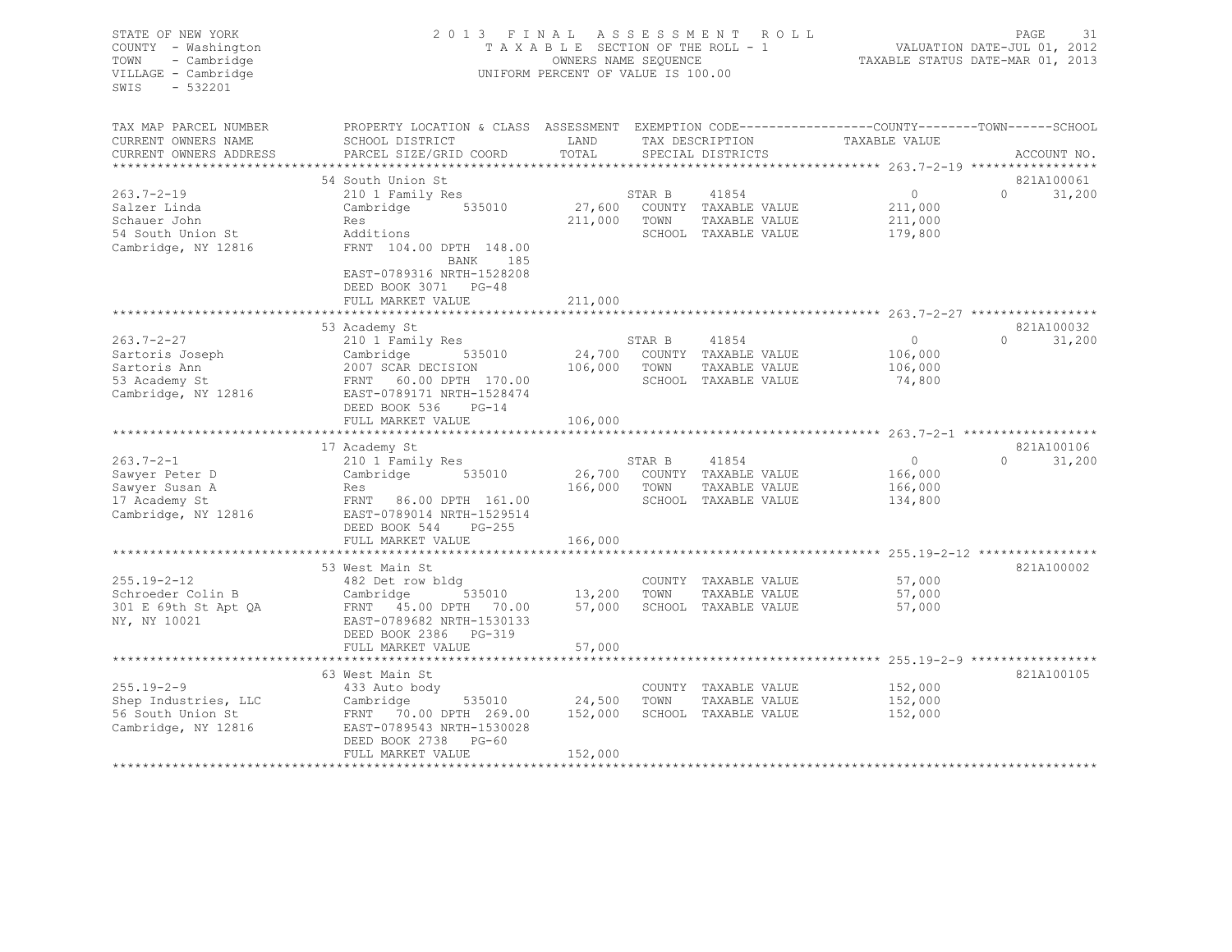| STATE OF NEW YORK      | 2013 FINAL                                                                                     |                                    |              | ASSESSMENT ROLL             |                                                 | PAGE<br>31                  |
|------------------------|------------------------------------------------------------------------------------------------|------------------------------------|--------------|-----------------------------|-------------------------------------------------|-----------------------------|
| COUNTY - Washington    |                                                                                                | TAXABLE SECTION OF THE ROLL - 1    |              |                             |                                                 | VALUATION DATE-JUL 01, 2012 |
| TOWN<br>- Cambridge    |                                                                                                | OWNERS NAME SEQUENCE               |              |                             | TAXABLE STATUS DATE-MAR 01, 2013                |                             |
| VILLAGE - Cambridge    |                                                                                                | UNIFORM PERCENT OF VALUE IS 100.00 |              |                             |                                                 |                             |
| SWIS<br>$-532201$      |                                                                                                |                                    |              |                             |                                                 |                             |
|                        |                                                                                                |                                    |              |                             |                                                 |                             |
|                        |                                                                                                |                                    |              |                             |                                                 |                             |
| TAX MAP PARCEL NUMBER  | PROPERTY LOCATION & CLASS ASSESSMENT EXEMPTION CODE---------------COUNTY-------TOWN-----SCHOOL |                                    |              |                             |                                                 |                             |
| CURRENT OWNERS NAME    | SCHOOL DISTRICT                                                                                | LAND                               |              | TAX DESCRIPTION             | TAXABLE VALUE                                   |                             |
| CURRENT OWNERS ADDRESS | PARCEL SIZE/GRID COORD                                                                         | TOTAL                              |              | SPECIAL DISTRICTS           |                                                 | ACCOUNT NO.                 |
| ********************** |                                                                                                |                                    |              |                             |                                                 |                             |
|                        | 54 South Union St                                                                              |                                    |              |                             |                                                 | 821A100061                  |
| $263.7 - 2 - 19$       | 210 1 Family Res                                                                               |                                    | STAR B       | 41854                       | $\overline{0}$                                  | $\Omega$<br>31,200          |
| Salzer Linda           | Cambridge 535010                                                                               |                                    |              | 27,600 COUNTY TAXABLE VALUE | 211,000                                         |                             |
| Schauer John           | Res                                                                                            |                                    | 211,000 TOWN | TAXABLE VALUE               | 211,000                                         |                             |
| 54 South Union St      | Additions                                                                                      |                                    |              | SCHOOL TAXABLE VALUE        | 179,800                                         |                             |
| Cambridge, NY 12816    | FRNT 104.00 DPTH 148.00                                                                        |                                    |              |                             |                                                 |                             |
|                        | BANK 185                                                                                       |                                    |              |                             |                                                 |                             |
|                        | EAST-0789316 NRTH-1528208                                                                      |                                    |              |                             |                                                 |                             |
|                        | DEED BOOK 3071 PG-48                                                                           |                                    |              |                             |                                                 |                             |
|                        | FULL MARKET VALUE                                                                              | 211,000                            |              |                             |                                                 |                             |
|                        |                                                                                                |                                    |              |                             |                                                 |                             |
|                        | 53 Academy St                                                                                  |                                    |              |                             |                                                 | 821A100032                  |
| 263.7-2-27             | 210 1 Family Res                                                                               |                                    | STAR B       | 41854                       | $\overline{0}$                                  | 31,200<br>$\Omega$          |
| Sartoris Joseph        | Cambridge 535010                                                                               |                                    |              | 24,700 COUNTY TAXABLE VALUE | 106,000                                         |                             |
| Sartoris Ann           | 2007 SCAR DECISION 106,000                                                                     |                                    | TOWN         | TAXABLE VALUE               |                                                 |                             |
|                        |                                                                                                |                                    |              |                             | 106,000                                         |                             |
| 53 Academy St          |                                                                                                |                                    |              | SCHOOL TAXABLE VALUE        | 74,800                                          |                             |
| Cambridge, NY 12816    | EAST-0789171 NRTH-1528474                                                                      |                                    |              |                             |                                                 |                             |
|                        | DEED BOOK 536<br>$PG-14$                                                                       |                                    |              |                             |                                                 |                             |
|                        | FULL MARKET VALUE                                                                              | 106,000                            |              |                             |                                                 |                             |
|                        |                                                                                                |                                    |              |                             |                                                 |                             |
|                        | 17 Academy St                                                                                  |                                    |              |                             |                                                 | 821A100106                  |
| $263.7 - 2 - 1$        | 210 1 Family Res                                                                               |                                    | STAR B       | 41854                       | $\overline{0}$                                  | $\Omega$<br>31,200          |
| Sawyer Peter D         | Cambridge 535010                                                                               |                                    |              | 26,700 COUNTY TAXABLE VALUE | 166,000                                         |                             |
| Sawyer Susan A         | Res                                                                                            | 166,000 TOWN                       |              | TAXABLE VALUE               | 166,000                                         |                             |
| 17 Academy St          | FRNT 86.00 DPTH 161.00                                                                         |                                    |              | SCHOOL TAXABLE VALUE        | 134,800                                         |                             |
| Cambridge, NY 12816    | EAST-0789014 NRTH-1529514                                                                      |                                    |              |                             |                                                 |                             |
|                        | DEED BOOK 544<br>$PG-255$                                                                      |                                    |              |                             |                                                 |                             |
|                        | FULL MARKET VALUE                                                                              | 166,000                            |              |                             |                                                 |                             |
|                        |                                                                                                |                                    |              |                             |                                                 |                             |
|                        | 53 West Main St                                                                                |                                    |              |                             |                                                 | 821A100002                  |
| $255.19 - 2 - 12$      | 482 Det row bldg                                                                               |                                    |              | COUNTY TAXABLE VALUE        | 57,000                                          |                             |
| Schroeder Colin B      | 535010<br>Cambridge                                                                            | 13,200                             | TOWN         | TAXABLE VALUE               | 57,000                                          |                             |
| 301 E 69th St Apt QA   | FRNT 45.00 DPTH 70.00                                                                          | 57,000                             |              | SCHOOL TAXABLE VALUE        | 57,000                                          |                             |
| NY, NY 10021           | EAST-0789682 NRTH-1530133                                                                      |                                    |              |                             |                                                 |                             |
|                        | DEED BOOK 2386 PG-319                                                                          |                                    |              |                             |                                                 |                             |
|                        | FULL MARKET VALUE                                                                              | 57,000                             |              |                             |                                                 |                             |
|                        | ************************                                                                       | **********************             |              |                             | ****************** 255.19-2-9 ***************** |                             |
|                        | 63 West Main St                                                                                |                                    |              |                             |                                                 | 821A100105                  |
| $255.19 - 2 - 9$       | 433 Auto body                                                                                  |                                    |              | COUNTY TAXABLE VALUE        | 152,000                                         |                             |
| Shep Industries, LLC   | Cambridge                                                                                      | 535010 24,500                      | TOWN         | TAXABLE VALUE               | 152,000                                         |                             |
| 56 South Union St      | FRNT 70.00 DPTH 269.00                                                                         | 152,000                            |              | SCHOOL TAXABLE VALUE        | 152,000                                         |                             |
| Cambridge, NY 12816    | EAST-0789543 NRTH-1530028                                                                      |                                    |              |                             |                                                 |                             |
|                        | DEED BOOK 2738 PG-60                                                                           |                                    |              |                             |                                                 |                             |

\*\*\*\*\*\*\*\*\*\*\*\*\*\*\*\*\*\*\*\*\*\*\*\*\*\*\*\*\*\*\*\*\*\*\*\*\*\*\*\*\*\*\*\*\*\*\*\*\*\*\*\*\*\*\*\*\*\*\*\*\*\*\*\*\*\*\*\*\*\*\*\*\*\*\*\*\*\*\*\*\*\*\*\*\*\*\*\*\*\*\*\*\*\*\*\*\*\*\*\*\*\*\*\*\*\*\*\*\*\*\*\*\*\*\*\*\*\*\*\*\*\*\*\*\*\*\*\*\*\*\*\*

FULL MARKET VALUE 152,000

31,200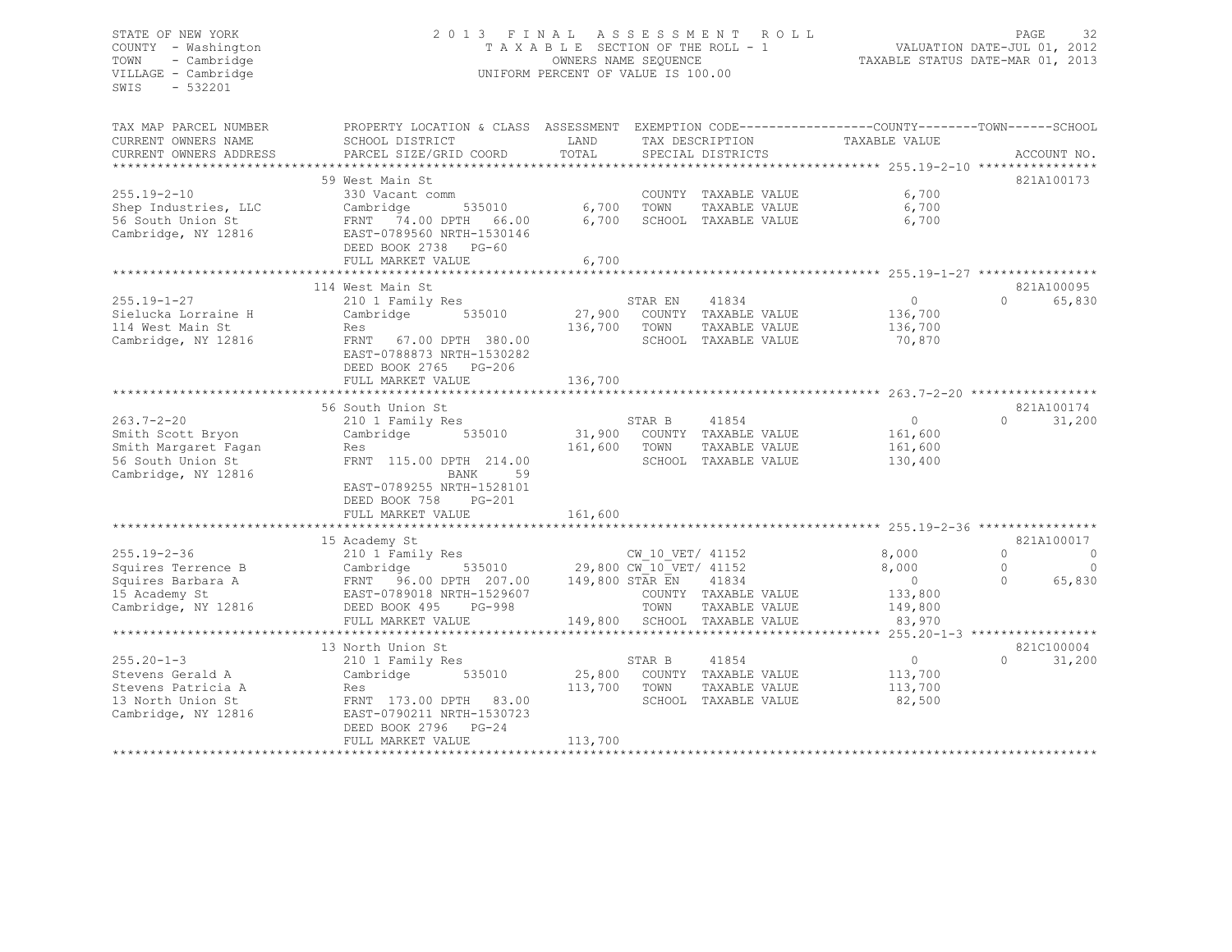# STATE OF NEW YORK 2 0 1 3 F I N A L A S S E S S M E N T R O L L PAGE 32 COUNTY - Washington T A X A B L E SECTION OF THE ROLL - 1 VALUATION DATE-JUL 01, 2012 TOWN - Cambridge OWNERS NAME SEQUENCE TAXABLE STATUS DATE-MAR 01, 2013 VILLAGE - Cambridge **UNIFORM PERCENT OF VALUE IS 100.00**

| TAX MAP PARCEL NUMBER<br>CURRENT OWNERS NAME<br>CURRENT OWNERS ADDRESS                                    | PROPERTY LOCATION & CLASS ASSESSMENT<br>SCHOOL DISTRICT<br>PARCEL SIZE/GRID COORD                                                                                               | LAND<br>TOTAL                | TAX DESCRIPTION<br>SPECIAL DISTRICTS                                                                                          | EXEMPTION CODE-----------------COUNTY-------TOWN------SCHOOL<br>TAXABLE VALUE | ACCOUNT NO.                                                                  |
|-----------------------------------------------------------------------------------------------------------|---------------------------------------------------------------------------------------------------------------------------------------------------------------------------------|------------------------------|-------------------------------------------------------------------------------------------------------------------------------|-------------------------------------------------------------------------------|------------------------------------------------------------------------------|
|                                                                                                           |                                                                                                                                                                                 |                              |                                                                                                                               |                                                                               |                                                                              |
| $255.19 - 2 - 10$<br>Shep Industries, LLC<br>56 South Union St<br>Cambridge, NY 12816                     | 59 West Main St<br>330 Vacant comm<br>Cambridge<br>535010<br>FRNT 74.00 DPTH 66.00<br>EAST-0789560 NRTH-1530146<br>DEED BOOK 2738 PG-60<br>FULL MARKET VALUE                    | 6,700<br>6,700<br>6,700      | COUNTY TAXABLE VALUE<br>TOWN<br>TAXABLE VALUE<br>SCHOOL TAXABLE VALUE                                                         | 6,700<br>6,700<br>6,700                                                       | 821A100173                                                                   |
|                                                                                                           | **********************                                                                                                                                                          |                              |                                                                                                                               |                                                                               |                                                                              |
| $255.19 - 1 - 27$<br>Sielucka Lorraine H<br>114 West Main St<br>Cambridge, NY 12816                       | 114 West Main St<br>210 1 Family Res<br>535010<br>Cambridge<br>Res<br>FRNT 67.00 DPTH 380.00<br>EAST-0788873 NRTH-1530282<br>DEED BOOK 2765 PG-206<br>FULL MARKET VALUE         | 27,900<br>136,700<br>136,700 | 41834<br>STAR EN<br>COUNTY TAXABLE VALUE<br>TOWN<br>TAXABLE VALUE<br>SCHOOL TAXABLE VALUE                                     | $\circ$<br>136,700<br>136,700<br>70,870                                       | 821A100095<br>$\Omega$<br>65,830                                             |
|                                                                                                           | 56 South Union St                                                                                                                                                               |                              |                                                                                                                               |                                                                               | 821A100174                                                                   |
| $263.7 - 2 - 20$<br>Smith Scott Bryon<br>Smith Margaret Fagan<br>56 South Union St<br>Cambridge, NY 12816 | 210 1 Family Res<br>535010<br>Cambridge<br>Res<br>FRNT 115.00 DPTH 214.00<br>59<br>BANK<br>EAST-0789255 NRTH-1528101<br>DEED BOOK 758<br><b>PG-201</b><br>FULL MARKET VALUE     | 31,900<br>161,600<br>161,600 | STAR B<br>41854<br>COUNTY TAXABLE VALUE<br>TOWN<br>TAXABLE VALUE<br>SCHOOL TAXABLE VALUE                                      | $\circ$<br>161,600<br>161,600<br>130,400                                      | 31,200<br>$\Omega$                                                           |
|                                                                                                           | *********************                                                                                                                                                           |                              |                                                                                                                               |                                                                               |                                                                              |
| $255.19 - 2 - 36$<br>Squires Terrence B<br>Squires Barbara A<br>15 Academy St<br>Cambridge, NY 12816      | 15 Academy St<br>210 1 Family Res<br>535010<br>Cambridge<br>96.00 DPTH 207.00<br>FRNT<br>EAST-0789018 NRTH-1529607<br>DEED BOOK 495<br>PG-998<br>FULL MARKET VALUE              | 149,800 STAR EN<br>149,800   | CW 10 VET/ 41152<br>29,800 CW_10_VET/ 41152<br>41834<br>COUNTY TAXABLE VALUE<br>TOWN<br>TAXABLE VALUE<br>SCHOOL TAXABLE VALUE | 8,000<br>8,000<br>$\overline{0}$<br>133,800<br>149,800<br>83,970              | 821A100017<br>$\circ$<br>0<br>$\mathbf{0}$<br>$\Omega$<br>65,830<br>$\Omega$ |
|                                                                                                           |                                                                                                                                                                                 |                              |                                                                                                                               |                                                                               |                                                                              |
| $255.20 - 1 - 3$<br>Stevens Gerald A<br>Stevens Patricia A<br>13 North Union St<br>Cambridge, NY 12816    | 13 North Union St<br>210 1 Family Res<br>Cambridge<br>535010<br>Res<br>FRNT 173.00 DPTH<br>83.00<br>EAST-0790211 NRTH-1530723<br>DEED BOOK 2796<br>$PG-24$<br>FULL MARKET VALUE | 25,800<br>113,700<br>113,700 | 41854<br>STAR B<br>COUNTY TAXABLE VALUE<br>TOWN<br>TAXABLE VALUE<br>SCHOOL TAXABLE VALUE                                      | $\circ$<br>113,700<br>113,700<br>82,500                                       | 821C100004<br>$\Omega$<br>31,200                                             |
|                                                                                                           |                                                                                                                                                                                 |                              |                                                                                                                               |                                                                               |                                                                              |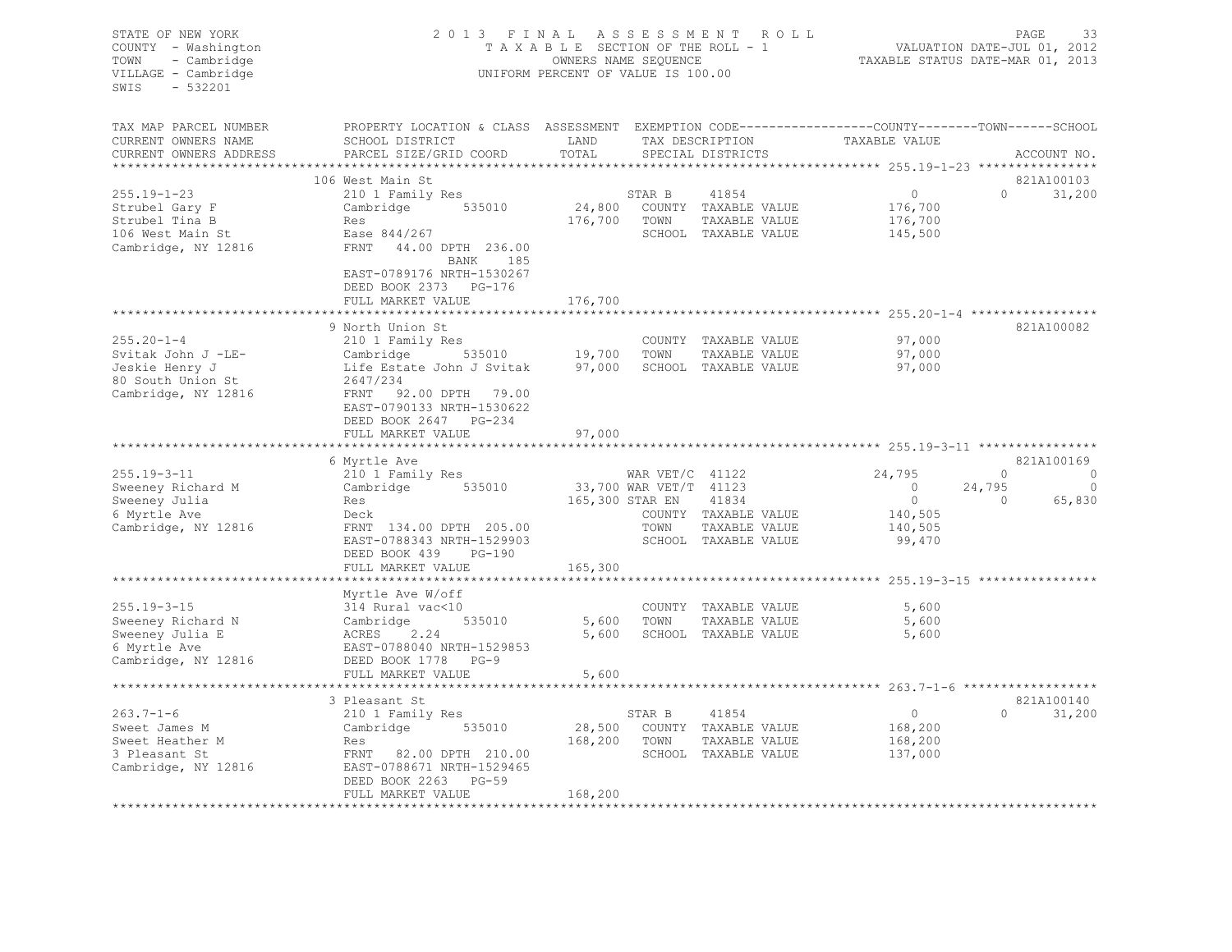| STATE OF NEW YORK<br>COUNTY - Washington<br>TOWN<br>- Cambridge<br>VILLAGE - Cambridge<br>SWIS<br>$-532201$ | 2013 FINAL                                                                                                                                                                                                                                   | ASSESSMENT ROLL<br>TAXABLE SECTION OF THE ROLL - 1<br>OWNERS NAME SEQUENCE<br>UNIFORM PERCENT OF VALUE IS 100.00 |              | 33<br>PAGE<br>VALUATION DATE-JUL 01, 2012<br>TAXABLE STATUS DATE-MAR 01, 2013 |                                                 |          |                                                                                                                                                                                                                                                                                                                                                   |
|-------------------------------------------------------------------------------------------------------------|----------------------------------------------------------------------------------------------------------------------------------------------------------------------------------------------------------------------------------------------|------------------------------------------------------------------------------------------------------------------|--------------|-------------------------------------------------------------------------------|-------------------------------------------------|----------|---------------------------------------------------------------------------------------------------------------------------------------------------------------------------------------------------------------------------------------------------------------------------------------------------------------------------------------------------|
| TAX MAP PARCEL NUMBER<br>CURRENT OWNERS NAME                                                                | PROPERTY LOCATION & CLASS ASSESSMENT EXEMPTION CODE----------------COUNTY-------TOWN-----SCHOOL<br><b>EXAMPLE SERVICE SERVICE SERVICE SERVICE SERVICE SERVICE SERVICE SERVICE SERVICE SERVICE SERVICE SERVICE SERVICE</b><br>SCHOOL DISTRICT |                                                                                                                  |              |                                                                               |                                                 |          |                                                                                                                                                                                                                                                                                                                                                   |
| CURRENT OWNERS ADDRESS                                                                                      | PARCEL SIZE/GRID COORD                                                                                                                                                                                                                       | TOTAL                                                                                                            |              |                                                                               | TAX DESCRIPTION TAXABLE VALUE SPECIAL DISTRICTS |          | ACCOUNT NO.                                                                                                                                                                                                                                                                                                                                       |
| **************************                                                                                  |                                                                                                                                                                                                                                              |                                                                                                                  |              |                                                                               |                                                 |          |                                                                                                                                                                                                                                                                                                                                                   |
|                                                                                                             | 106 West Main St                                                                                                                                                                                                                             |                                                                                                                  |              |                                                                               |                                                 |          | 821A100103                                                                                                                                                                                                                                                                                                                                        |
| $255.19 - 1 - 23$                                                                                           | 210 1 Family Res<br>Cambridge 535010                                                                                                                                                                                                         |                                                                                                                  | STAR B       | 41854<br>24,800 COUNTY TAXABLE VALUE                                          | $\overline{0}$                                  |          | $0 \t 31,200$                                                                                                                                                                                                                                                                                                                                     |
| Strubel Gary F<br>Strubel Tina B                                                                            | Res                                                                                                                                                                                                                                          | 176,700 TOWN                                                                                                     |              | TAXABLE VALUE                                                                 | 176,700<br>176,700                              |          |                                                                                                                                                                                                                                                                                                                                                   |
| $106$ West Main St                                                                                          | Ease 844/267                                                                                                                                                                                                                                 |                                                                                                                  |              | SCHOOL TAXABLE VALUE                                                          | 145,500                                         |          |                                                                                                                                                                                                                                                                                                                                                   |
| Cambridge, NY 12816                                                                                         | FRNT 44.00 DPTH 236.00<br>BANK 185                                                                                                                                                                                                           |                                                                                                                  |              |                                                                               |                                                 |          |                                                                                                                                                                                                                                                                                                                                                   |
|                                                                                                             | EAST-0789176 NRTH-1530267<br>DEED BOOK 2373 PG-176                                                                                                                                                                                           |                                                                                                                  |              |                                                                               |                                                 |          |                                                                                                                                                                                                                                                                                                                                                   |
|                                                                                                             | FULL MARKET VALUE                                                                                                                                                                                                                            | 176,700                                                                                                          |              |                                                                               |                                                 |          |                                                                                                                                                                                                                                                                                                                                                   |
|                                                                                                             |                                                                                                                                                                                                                                              | ************                                                                                                     |              |                                                                               |                                                 |          |                                                                                                                                                                                                                                                                                                                                                   |
|                                                                                                             | 9 North Union St                                                                                                                                                                                                                             |                                                                                                                  |              |                                                                               |                                                 |          | 821A100082                                                                                                                                                                                                                                                                                                                                        |
| $255.20 - 1 - 4$                                                                                            |                                                                                                                                                                                                                                              |                                                                                                                  |              | COUNTY TAXABLE VALUE                                                          | 97,000                                          |          |                                                                                                                                                                                                                                                                                                                                                   |
| Svitak John J -LE-                                                                                          |                                                                                                                                                                                                                                              |                                                                                                                  |              |                                                                               | 97,000                                          |          |                                                                                                                                                                                                                                                                                                                                                   |
| Jeskie Henry J<br>80 South Union St                                                                         | 2647/234                                                                                                                                                                                                                                     |                                                                                                                  |              |                                                                               | 97,000                                          |          |                                                                                                                                                                                                                                                                                                                                                   |
| Cambridge, NY 12816                                                                                         | FRNT 92.00 DPTH 79.00                                                                                                                                                                                                                        |                                                                                                                  |              |                                                                               |                                                 |          |                                                                                                                                                                                                                                                                                                                                                   |
|                                                                                                             | EAST-0790133 NRTH-1530622                                                                                                                                                                                                                    |                                                                                                                  |              |                                                                               |                                                 |          |                                                                                                                                                                                                                                                                                                                                                   |
|                                                                                                             | DEED BOOK 2647 PG-234                                                                                                                                                                                                                        |                                                                                                                  |              |                                                                               |                                                 |          |                                                                                                                                                                                                                                                                                                                                                   |
|                                                                                                             | FULL MARKET VALUE                                                                                                                                                                                                                            | 97,000                                                                                                           |              |                                                                               |                                                 |          |                                                                                                                                                                                                                                                                                                                                                   |
|                                                                                                             |                                                                                                                                                                                                                                              |                                                                                                                  |              |                                                                               |                                                 |          |                                                                                                                                                                                                                                                                                                                                                   |
|                                                                                                             | 6 Myrtle Ave                                                                                                                                                                                                                                 |                                                                                                                  |              | WAR VET/C 41122                                                               |                                                 |          | 821A100169                                                                                                                                                                                                                                                                                                                                        |
| 255.19-3-11<br>Sweeney Richard M                                                                            | 210 1 Family Res<br>Cambridge 535010                                                                                                                                                                                                         | 33,700 WAR VET/T 41123                                                                                           |              |                                                                               | 24,795<br>$\overline{0}$                        | 24,795   | $\begin{matrix} 0 & 0 & 0 \\ 0 & 0 & 0 \\ 0 & 0 & 0 \\ 0 & 0 & 0 \\ 0 & 0 & 0 \\ 0 & 0 & 0 \\ 0 & 0 & 0 \\ 0 & 0 & 0 \\ 0 & 0 & 0 & 0 \\ 0 & 0 & 0 & 0 \\ 0 & 0 & 0 & 0 \\ 0 & 0 & 0 & 0 \\ 0 & 0 & 0 & 0 & 0 \\ 0 & 0 & 0 & 0 & 0 \\ 0 & 0 & 0 & 0 & 0 \\ 0 & 0 & 0 & 0 & 0 & 0 \\ 0 & 0 & 0 & 0 & 0 & 0 \\ 0 & 0 & 0 & 0 & 0$<br>$\overline{0}$ |
| Sweeney Julia                                                                                               |                                                                                                                                                                                                                                              | 165,300 STAR EN                                                                                                  |              | 41834                                                                         | $\overline{0}$                                  | $\sim$ 0 | 65,830                                                                                                                                                                                                                                                                                                                                            |
| 6 Myrtle Ave                                                                                                | Res<br>Deck                                                                                                                                                                                                                                  |                                                                                                                  |              | COUNTY TAXABLE VALUE                                                          | 140,505                                         |          |                                                                                                                                                                                                                                                                                                                                                   |
| Cambridge, NY 12816                                                                                         | FRNT 134.00 DPTH 205.00                                                                                                                                                                                                                      |                                                                                                                  | TOWN         | TAXABLE VALUE                                                                 | 140,505                                         |          |                                                                                                                                                                                                                                                                                                                                                   |
|                                                                                                             | EAST-0788343 NRTH-1529903                                                                                                                                                                                                                    |                                                                                                                  |              | SCHOOL TAXABLE VALUE                                                          | 99,470                                          |          |                                                                                                                                                                                                                                                                                                                                                   |
|                                                                                                             | DEED BOOK 439<br>PG-190                                                                                                                                                                                                                      |                                                                                                                  |              |                                                                               |                                                 |          |                                                                                                                                                                                                                                                                                                                                                   |
|                                                                                                             | FULL MARKET VALUE                                                                                                                                                                                                                            | 165,300                                                                                                          |              |                                                                               |                                                 |          |                                                                                                                                                                                                                                                                                                                                                   |
|                                                                                                             | Myrtle Ave W/off                                                                                                                                                                                                                             |                                                                                                                  |              |                                                                               |                                                 |          |                                                                                                                                                                                                                                                                                                                                                   |
| $255.19 - 3 - 15$                                                                                           | 314 Rural vac<10                                                                                                                                                                                                                             |                                                                                                                  |              | COUNTY TAXABLE VALUE                                                          | 5,600                                           |          |                                                                                                                                                                                                                                                                                                                                                   |
| Sweeney Richard N                                                                                           | Cambridge 535010                                                                                                                                                                                                                             | 5,600 TOWN                                                                                                       |              | TAXABLE VALUE                                                                 | 5,600                                           |          |                                                                                                                                                                                                                                                                                                                                                   |
| Sweeney Julia E                                                                                             | ACRES 2.24                                                                                                                                                                                                                                   |                                                                                                                  |              | 5,600 SCHOOL TAXABLE VALUE                                                    | 5,600                                           |          |                                                                                                                                                                                                                                                                                                                                                   |
| 6 Myrtle Ave                                                                                                | EAST-0788040 NRTH-1529853                                                                                                                                                                                                                    |                                                                                                                  |              |                                                                               |                                                 |          |                                                                                                                                                                                                                                                                                                                                                   |
| Cambridge, NY 12816                                                                                         | DEED BOOK 1778 PG-9                                                                                                                                                                                                                          |                                                                                                                  |              |                                                                               |                                                 |          |                                                                                                                                                                                                                                                                                                                                                   |
|                                                                                                             | FULL MARKET VALUE                                                                                                                                                                                                                            | 5,600                                                                                                            |              |                                                                               |                                                 |          |                                                                                                                                                                                                                                                                                                                                                   |
|                                                                                                             |                                                                                                                                                                                                                                              |                                                                                                                  |              |                                                                               |                                                 |          | 821A100140                                                                                                                                                                                                                                                                                                                                        |
| $263.7 - 1 - 6$                                                                                             | 3 Pleasant St<br>210 1 Family Res                                                                                                                                                                                                            |                                                                                                                  | STAR B       | 41854                                                                         | $\overline{0}$                                  |          | $0 \t 31,200$                                                                                                                                                                                                                                                                                                                                     |
| Sweet James M                                                                                               |                                                                                                                                                                                                                                              |                                                                                                                  |              | 28,500 COUNTY TAXABLE VALUE                                                   | 168,200                                         |          |                                                                                                                                                                                                                                                                                                                                                   |
| Sweet Heather M                                                                                             | Cambridge 535010<br>Res<br>Res                                                                                                                                                                                                               |                                                                                                                  | 168,200 TOWN | TAXABLE VALUE                                                                 | 168,200                                         |          |                                                                                                                                                                                                                                                                                                                                                   |
| 3 Pleasant St                                                                                               | FRNT 82.00 DPTH 210.00                                                                                                                                                                                                                       |                                                                                                                  |              | SCHOOL TAXABLE VALUE                                                          | 137,000                                         |          |                                                                                                                                                                                                                                                                                                                                                   |
| Cambridge, NY 12816                                                                                         | EAST-0788671 NRTH-1529465                                                                                                                                                                                                                    |                                                                                                                  |              |                                                                               |                                                 |          |                                                                                                                                                                                                                                                                                                                                                   |
|                                                                                                             | DEED BOOK 2263<br>$PG-59$                                                                                                                                                                                                                    |                                                                                                                  |              |                                                                               |                                                 |          |                                                                                                                                                                                                                                                                                                                                                   |
|                                                                                                             | FULL MARKET VALUE                                                                                                                                                                                                                            | 168,200                                                                                                          |              |                                                                               |                                                 |          |                                                                                                                                                                                                                                                                                                                                                   |
|                                                                                                             |                                                                                                                                                                                                                                              |                                                                                                                  |              |                                                                               |                                                 |          |                                                                                                                                                                                                                                                                                                                                                   |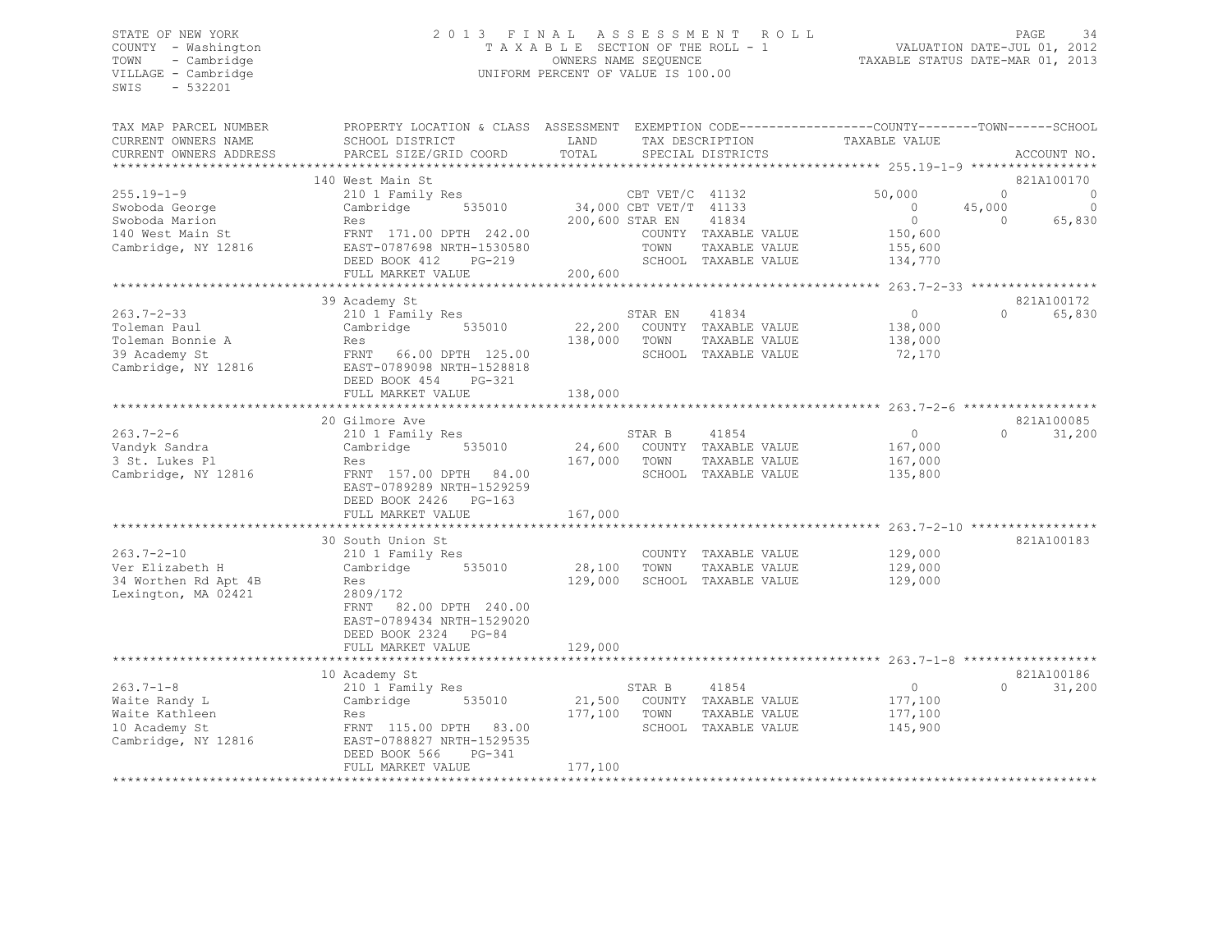# STATE OF NEW YORK 2 0 1 3 F I N A L A S S E S S M E N T R O L L PAGE 34 COUNTY - Washington T A X A B L E SECTION OF THE ROLL - 1 VALUATION DATE-JUL 01, 2012 TOWN - Cambridge OWNERS NAME SEQUENCE TAXABLE STATUS DATE-MAR 01, 2013 VILLAGE - Cambridge **UNIFORM PERCENT OF VALUE IS 100.00**

| TAX MAP PARCEL NUMBER<br>CURRENT OWNERS NAME<br>CURRENT OWNERS ADDRESS                          | PROPERTY LOCATION & CLASS ASSESSMENT EXEMPTION CODE----------------COUNTY-------TOWN-----SCHOOL<br>SCHOOL DISTRICT<br>PARCEL SIZE/GRID COORD                                 | LAND<br>TOTAL                |                                                                      | TAX DESCRIPTION<br>SPECIAL DISTRICTS                                   | TAXABLE VALUE                                                  |                                | ACCOUNT NO.                                     |
|-------------------------------------------------------------------------------------------------|------------------------------------------------------------------------------------------------------------------------------------------------------------------------------|------------------------------|----------------------------------------------------------------------|------------------------------------------------------------------------|----------------------------------------------------------------|--------------------------------|-------------------------------------------------|
|                                                                                                 |                                                                                                                                                                              |                              |                                                                      |                                                                        |                                                                |                                |                                                 |
| $255.19 - 1 - 9$<br>Swoboda George<br>Swoboda Marion<br>140 West Main St<br>Cambridge, NY 12816 | 140 West Main St<br>210 1 Family Res<br>535010<br>Cambridge<br>Res<br>FRNT 171.00 DPTH 242.00<br>EAST-0787698 NRTH-1530580<br>DEED BOOK 412<br>$PG-219$<br>FULL MARKET VALUE | 200,600                      | CBT VET/C 41132<br>34,000 CBT VET/T 41133<br>200,600 STAR EN<br>TOWN | 41834<br>COUNTY TAXABLE VALUE<br>TAXABLE VALUE<br>SCHOOL TAXABLE VALUE | 50,000<br>$\Omega$<br>$\circ$<br>150,600<br>155,600<br>134,770 | $\Omega$<br>45,000<br>$\Omega$ | 821A100170<br>$\mathbf 0$<br>$\Omega$<br>65,830 |
|                                                                                                 |                                                                                                                                                                              |                              |                                                                      |                                                                        |                                                                |                                |                                                 |
| $263.7 - 2 - 33$<br>Toleman Paul<br>Toleman Bonnie A<br>39 Academy St<br>Cambridge, NY 12816    | 39 Academy St<br>210 1 Family Res<br>535010<br>Cambridge<br>Res<br>FRNT 66.00 DPTH 125.00<br>EAST-0789098 NRTH-1528818<br>DEED BOOK 454<br>PG-321                            | 22,200<br>138,000            | STAR EN<br>TOWN                                                      | 41834<br>COUNTY TAXABLE VALUE<br>TAXABLE VALUE<br>SCHOOL TAXABLE VALUE | $\circ$<br>138,000<br>138,000<br>72,170                        | $\Omega$                       | 821A100172<br>65,830                            |
|                                                                                                 | FULL MARKET VALUE                                                                                                                                                            | 138,000                      |                                                                      |                                                                        |                                                                |                                |                                                 |
| $263.7 - 2 - 6$<br>Vandyk Sandra<br>3 St. Lukes Pl<br>Cambridge, NY 12816                       | 20 Gilmore Ave<br>210 1 Family Res<br>535010<br>Cambridge<br>Res<br>FRNT 157.00 DPTH 84.00<br>EAST-0789289 NRTH-1529259                                                      | 24,600<br>167,000            | STAR B<br>TOWN                                                       | 41854<br>COUNTY TAXABLE VALUE<br>TAXABLE VALUE<br>SCHOOL TAXABLE VALUE | $\circ$<br>167,000<br>167,000<br>135,800                       | $\Omega$                       | 821A100085<br>31,200                            |
|                                                                                                 | DEED BOOK 2426 PG-163<br>FULL MARKET VALUE                                                                                                                                   | 167,000                      |                                                                      |                                                                        |                                                                |                                |                                                 |
|                                                                                                 |                                                                                                                                                                              |                              |                                                                      |                                                                        |                                                                |                                | 821A100183                                      |
| $263.7 - 2 - 10$<br>Ver Elizabeth H<br>34 Worthen Rd Apt 4B<br>Lexington, MA 02421              | 30 South Union St<br>210 1 Family Res<br>535010<br>Cambridge<br>Res<br>2809/172<br>82.00 DPTH 240.00<br>FRNT<br>EAST-0789434 NRTH-1529020<br>DEED BOOK 2324 PG-84            | 28,100<br>129,000            | TOWN                                                                 | COUNTY TAXABLE VALUE<br>TAXABLE VALUE<br>SCHOOL TAXABLE VALUE          | 129,000<br>129,000<br>129,000                                  |                                |                                                 |
|                                                                                                 | FULL MARKET VALUE                                                                                                                                                            | 129,000                      |                                                                      |                                                                        |                                                                |                                |                                                 |
|                                                                                                 |                                                                                                                                                                              |                              |                                                                      |                                                                        |                                                                |                                |                                                 |
| $263.7 - 1 - 8$<br>Waite Randy L<br>Waite Kathleen<br>10 Academy St<br>Cambridge, NY 12816      | 10 Academy St<br>210 1 Family Res<br>Cambridge<br>535010<br>Res<br>FRNT 115.00 DPTH 83.00<br>EAST-0788827 NRTH-1529535<br>PG-341<br>DEED BOOK 566<br>FULL MARKET VALUE       | 21,500<br>177,100<br>177,100 | STAR B<br>TOWN                                                       | 41854<br>COUNTY TAXABLE VALUE<br>TAXABLE VALUE<br>SCHOOL TAXABLE VALUE | $\circ$<br>177,100<br>177,100<br>145,900                       | $\Omega$                       | 821A100186<br>31,200                            |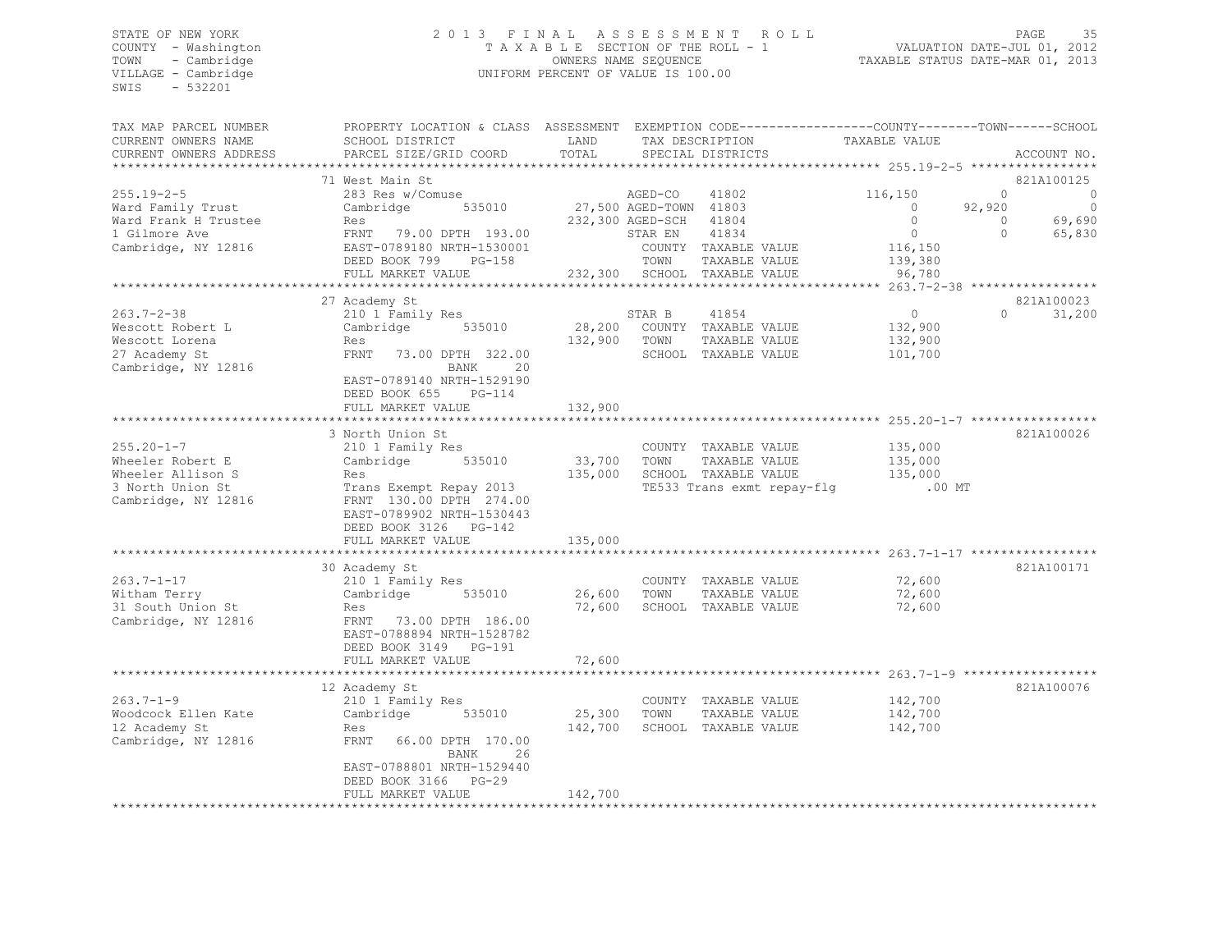# STATE OF NEW YORK 2 0 1 3 F I N A L A S S E S S M E N T R O L L PAGE 35 COUNTY - Washington T A X A B L E SECTION OF THE ROLL - 1 VALUATION DATE-JUL 01, 2012 TOWN - Cambridge OWNERS NAME SEQUENCE TAXABLE STATUS DATE-MAR 01, 2013 VILLAGE - Cambridge UNIFORM PERCENT OF VALUE IS 100.00

| TAX MAP PARCEL NUMBER                            | PROPERTY LOCATION & CLASS ASSESSMENT      |               |                        |                                      | EXEMPTION CODE-----------------COUNTY-------TOWN------SCHOOL |          |             |
|--------------------------------------------------|-------------------------------------------|---------------|------------------------|--------------------------------------|--------------------------------------------------------------|----------|-------------|
| CURRENT OWNERS NAME                              | SCHOOL DISTRICT<br>PARCEL SIZE/GRID COORD | LAND<br>TOTAL |                        | TAX DESCRIPTION<br>SPECIAL DISTRICTS | TAXABLE VALUE                                                |          | ACCOUNT NO. |
| CURRENT OWNERS ADDRESS<br>********************** |                                           |               |                        |                                      |                                                              |          |             |
|                                                  | 71 West Main St                           |               |                        |                                      |                                                              |          | 821A100125  |
| $255.19 - 2 - 5$                                 | 283 Res w/Comuse                          |               | AGED-CO                | 41802                                | 116,150                                                      | $\circ$  | 0           |
| Ward Family Trust                                | 535010<br>Cambridge                       |               | 27,500 AGED-TOWN 41803 |                                      | $\circ$                                                      | 92,920   | 0           |
| Ward Frank H Trustee                             | Res                                       |               | 232,300 AGED-SCH 41804 |                                      | $\Omega$                                                     | $\Omega$ | 69,690      |
| 1 Gilmore Ave                                    | FRNT 79.00 DPTH 193.00                    |               | STAR EN                | 41834                                | $\circ$                                                      | $\Omega$ | 65,830      |
| Cambridge, NY 12816                              | EAST-0789180 NRTH-1530001                 |               |                        | COUNTY TAXABLE VALUE                 | 116,150                                                      |          |             |
|                                                  | DEED BOOK 799<br>$PG-158$                 |               | TOWN                   | TAXABLE VALUE                        | 139,380                                                      |          |             |
|                                                  | FULL MARKET VALUE                         |               |                        | 232,300 SCHOOL TAXABLE VALUE         | 96,780                                                       |          |             |
|                                                  |                                           |               |                        |                                      |                                                              |          |             |
|                                                  | 27 Academy St                             |               |                        |                                      |                                                              |          | 821A100023  |
| $263.7 - 2 - 38$                                 | 210 1 Family Res                          |               | STAR B                 | 41854                                | $\circ$                                                      | $\cap$   | 31,200      |
| Wescott Robert L                                 | 535010<br>Cambridge                       | 28,200        |                        | COUNTY TAXABLE VALUE                 | 132,900                                                      |          |             |
| Wescott Lorena                                   | Res                                       | 132,900       | TOWN                   | TAXABLE VALUE                        | 132,900                                                      |          |             |
| 27 Academy St                                    | FRNT<br>73.00 DPTH 322.00                 |               |                        | SCHOOL TAXABLE VALUE                 | 101,700                                                      |          |             |
| Cambridge, NY 12816                              | BANK<br>20                                |               |                        |                                      |                                                              |          |             |
|                                                  | EAST-0789140 NRTH-1529190                 |               |                        |                                      |                                                              |          |             |
|                                                  | DEED BOOK 655<br>$PG-114$                 |               |                        |                                      |                                                              |          |             |
|                                                  | FULL MARKET VALUE                         | 132,900       |                        |                                      |                                                              |          |             |
|                                                  |                                           |               |                        |                                      |                                                              |          |             |
|                                                  | 3 North Union St                          |               |                        |                                      |                                                              |          | 821A100026  |
| $255.20 - 1 - 7$                                 | 210 1 Family Res                          |               |                        | COUNTY TAXABLE VALUE                 | 135,000                                                      |          |             |
| Wheeler Robert E                                 | Cambridge<br>535010                       | 33,700        | TOWN                   | TAXABLE VALUE                        | 135,000                                                      |          |             |
| Wheeler Allison S                                | Res                                       | 135,000       |                        | SCHOOL TAXABLE VALUE                 | 135,000                                                      |          |             |
| 3 North Union St                                 | Trans Exempt Repay 2013                   |               |                        | TE533 Trans exmt repay-flg           | $.00$ MT                                                     |          |             |
| Cambridge, NY 12816                              | FRNT 130.00 DPTH 274.00                   |               |                        |                                      |                                                              |          |             |
|                                                  | EAST-0789902 NRTH-1530443                 |               |                        |                                      |                                                              |          |             |
|                                                  | DEED BOOK 3126 PG-142                     |               |                        |                                      |                                                              |          |             |
|                                                  | FULL MARKET VALUE                         | 135,000       |                        |                                      |                                                              |          |             |
|                                                  | 30 Academy St                             |               |                        |                                      |                                                              |          | 821A100171  |
| $263.7 - 1 - 17$                                 |                                           |               |                        | COUNTY TAXABLE VALUE                 | 72,600                                                       |          |             |
| Witham Terry                                     | 210 1 Family Res<br>Cambridge<br>535010   | 26,600        | TOWN                   | TAXABLE VALUE                        | 72,600                                                       |          |             |
| 31 South Union St                                | Res                                       | 72,600        |                        | SCHOOL TAXABLE VALUE                 | 72,600                                                       |          |             |
| Cambridge, NY 12816                              | FRNT 73.00 DPTH 186.00                    |               |                        |                                      |                                                              |          |             |
|                                                  | EAST-0788894 NRTH-1528782                 |               |                        |                                      |                                                              |          |             |
|                                                  | DEED BOOK 3149 PG-191                     |               |                        |                                      |                                                              |          |             |
|                                                  | FULL MARKET VALUE                         | 72,600        |                        |                                      |                                                              |          |             |
|                                                  |                                           |               |                        |                                      |                                                              |          |             |
|                                                  | 12 Academy St                             |               |                        |                                      |                                                              |          | 821A100076  |
| $263.7 - 1 - 9$                                  | 210 1 Family Res                          |               |                        | COUNTY TAXABLE VALUE                 | 142,700                                                      |          |             |
| Woodcock Ellen Kate                              | Cambridge<br>535010                       | 25,300        | TOWN                   | TAXABLE VALUE                        | 142,700                                                      |          |             |
| 12 Academy St                                    | Res                                       | 142,700       |                        | SCHOOL TAXABLE VALUE                 | 142,700                                                      |          |             |
| Cambridge, NY 12816                              | FRNT<br>66.00 DPTH 170.00                 |               |                        |                                      |                                                              |          |             |
|                                                  | BANK<br>26                                |               |                        |                                      |                                                              |          |             |
|                                                  | EAST-0788801 NRTH-1529440                 |               |                        |                                      |                                                              |          |             |
|                                                  | DEED BOOK 3166<br>$PG-29$                 |               |                        |                                      |                                                              |          |             |
|                                                  | FULL MARKET VALUE                         | 142,700       |                        |                                      |                                                              |          |             |
|                                                  |                                           |               |                        |                                      |                                                              |          |             |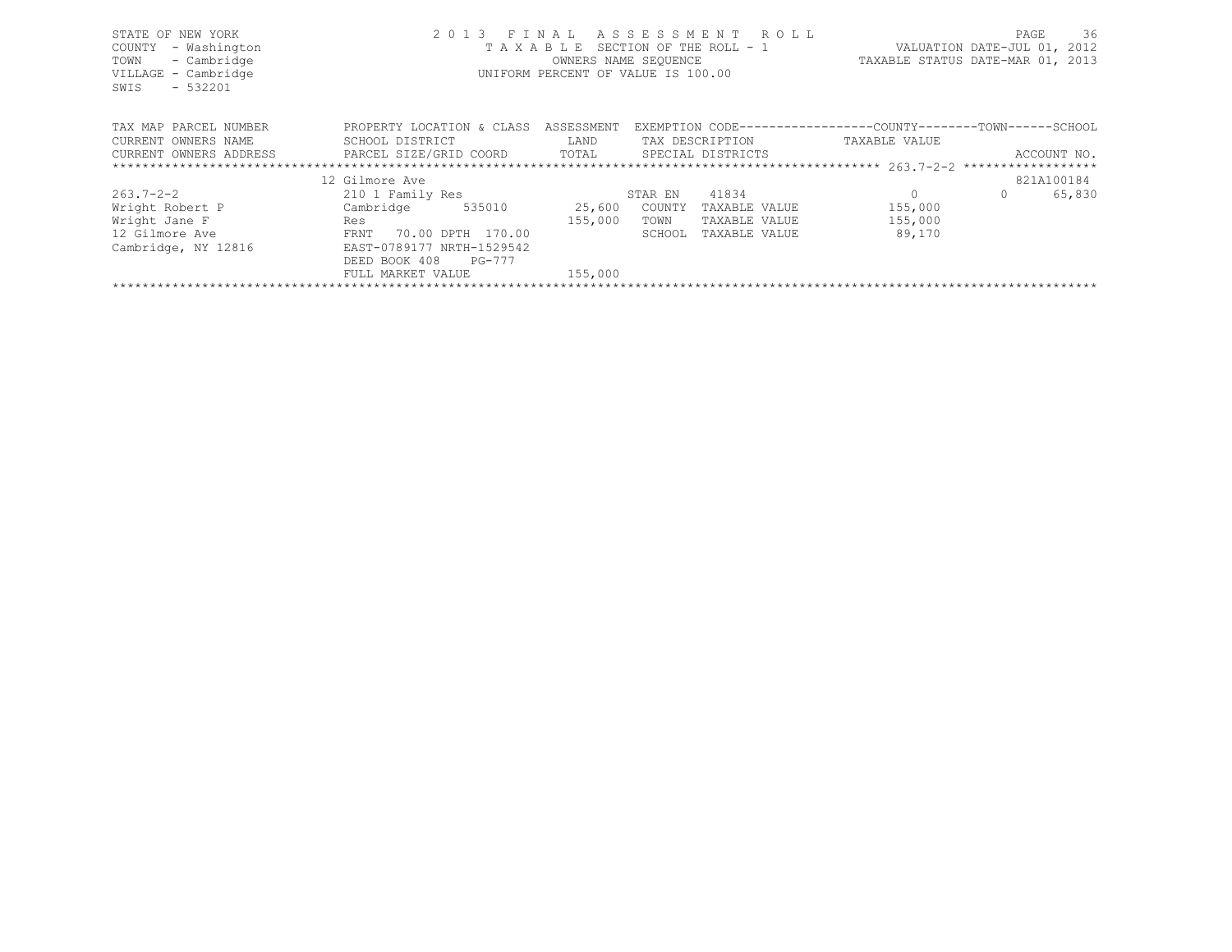| STATE OF NEW YORK<br>COUNTY<br>- Washington                           |                           |                      | 2013 FINAL ASSESSMENT ROLL<br>TAXABLE SECTION OF THE ROLL - 1 |                                  | PAGE<br>VALUATION DATE-JUL 01, 2012 | 36     |
|-----------------------------------------------------------------------|---------------------------|----------------------|---------------------------------------------------------------|----------------------------------|-------------------------------------|--------|
| - Cambridge<br>TOWN                                                   |                           | OWNERS NAME SEQUENCE |                                                               | TAXABLE STATUS DATE-MAR 01, 2013 |                                     |        |
| VILLAGE - Cambridge<br>$-532201$<br>SWIS                              |                           |                      | UNIFORM PERCENT OF VALUE IS 100.00                            |                                  |                                     |        |
| TAX MAP PARCEL NUMBER                                                 | PROPERTY LOCATION & CLASS | ASSESSMENT           | EXEMPTION CODE-----------------COUNTY-------TOWN------SCHOOL  |                                  |                                     |        |
| CURRENT OWNERS NAME                                                   | SCHOOL DISTRICT           | LAND                 | TAX DESCRIPTION                                               | TAXABLE VALUE                    |                                     |        |
| CURRENT OWNERS ADDRESS FARCEL SIZE/GRID COORD TOTAL SPECIAL DISTRICTS |                           |                      |                                                               |                                  | ACCOUNT NO.                         |        |
|                                                                       |                           |                      |                                                               |                                  |                                     |        |
|                                                                       | 12 Gilmore Ave            |                      |                                                               |                                  | 821A100184                          |        |
| $263.7 - 2 - 2$                                                       | 210 1 Family Res          |                      | 41834<br>STAR EN                                              | $\circ$                          | $\Omega$                            | 65,830 |
| Wright Robert P                                                       | Cambridge 535010          | 25,600               | COUNTY<br>TAXABLE VALUE                                       | 155,000                          |                                     |        |
| Wright Jane F                                                         | Res                       | 155,000              | TOWN<br>TAXABLE VALUE                                         | 155,000                          |                                     |        |
| 12 Gilmore Ave                                                        | 70.00 DPTH 170.00<br>FRNT |                      | SCHOOL<br>TAXABLE VALUE                                       | 89,170                           |                                     |        |
| Cambridge, NY 12816                                                   | EAST-0789177 NRTH-1529542 |                      |                                                               |                                  |                                     |        |
|                                                                       | DEED BOOK 408<br>PG-777   |                      |                                                               |                                  |                                     |        |
|                                                                       | FULL MARKET VALUE         | 155,000              |                                                               |                                  |                                     |        |
|                                                                       |                           |                      |                                                               |                                  |                                     |        |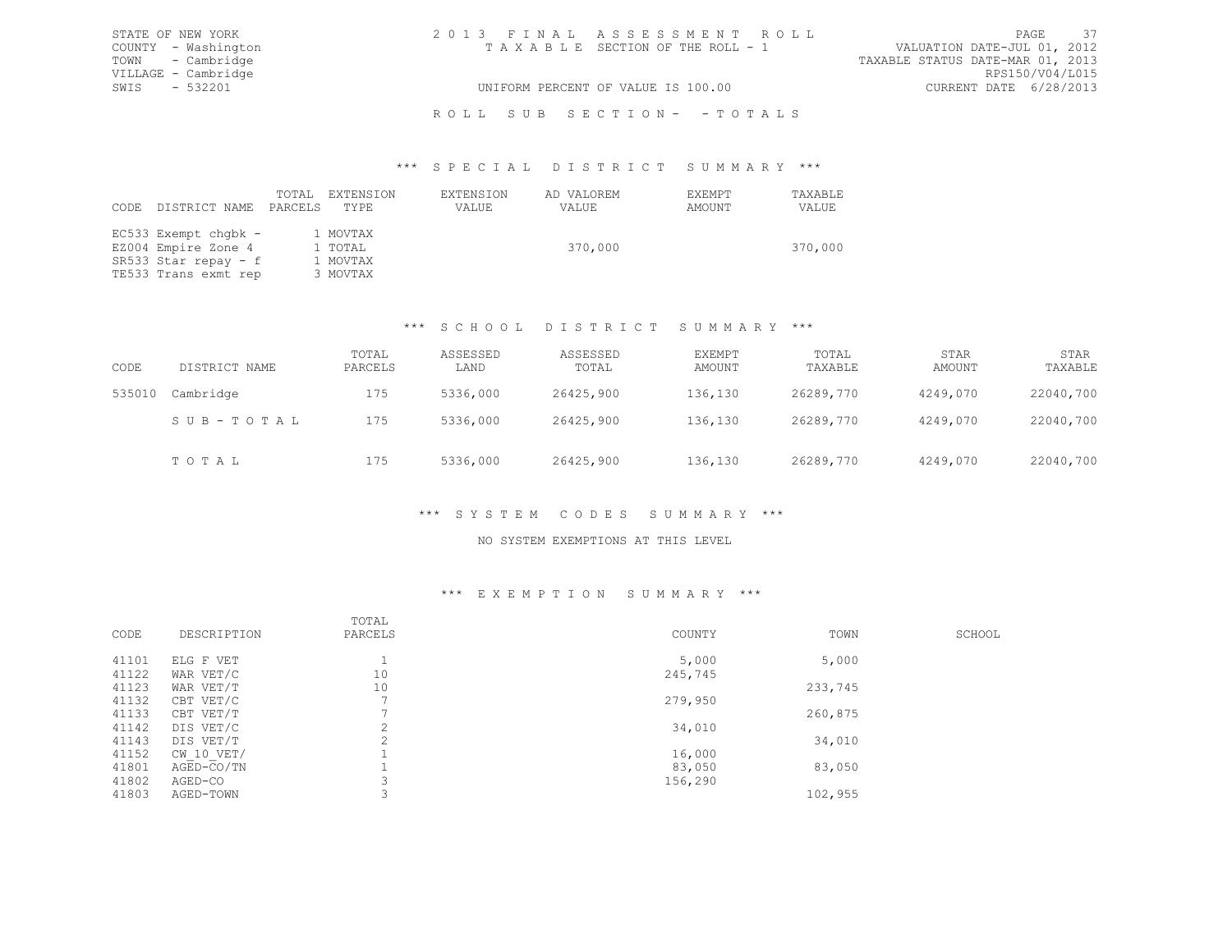| STATE OF NEW YORK   | 2013 FINAL ASSESSMENT ROLL         | - 37<br>PAGE                     |
|---------------------|------------------------------------|----------------------------------|
| COUNTY - Washington | TAXABLE SECTION OF THE ROLL - 1    | VALUATION DATE-JUL 01, 2012      |
| TOWN - Cambridge    |                                    | TAXABLE STATUS DATE-MAR 01, 2013 |
| VILLAGE - Cambridge |                                    | RPS150/V04/L015                  |
| SWIS - 532201       | UNIFORM PERCENT OF VALUE IS 100.00 | CURRENT DATE 6/28/2013           |
|                     |                                    |                                  |

# ROLL SUB SECTION- - TOTALS

#### \*\*\* S P E C I A L D I S T R I C T S U M M A R Y \*\*\*

| CODE | DISTRICT NAME                                                                               | TOTAL<br>PARCELS | EXTENSION<br>TYPE                           | EXTENSION<br>VALUE | AD VALOREM<br>VALUE | EXEMPT<br>AMOUNT | TAXABLE<br>VALUE |
|------|---------------------------------------------------------------------------------------------|------------------|---------------------------------------------|--------------------|---------------------|------------------|------------------|
|      | EC533 Exempt chqbk -<br>EZ004 Empire Zone 4<br>SR533 Star repay - f<br>TE533 Trans exmt rep |                  | 1 MOVTAX<br>1 TOTAL<br>1 MOVTAX<br>3 MOVTAX |                    | 370,000             |                  | 370,000          |

# \*\*\* S C H O O L D I S T R I C T S U M M A R Y \*\*\*

| CODE   | DISTRICT NAME | TOTAL<br>PARCELS | ASSESSED<br>LAND | ASSESSED<br>TOTAL | EXEMPT<br>AMOUNT | TOTAL<br>TAXABLE | STAR<br>AMOUNT | STAR<br>TAXABLE |
|--------|---------------|------------------|------------------|-------------------|------------------|------------------|----------------|-----------------|
| 535010 | Cambridge     | 175              | 5336,000         | 26425,900         | 136,130          | 26289,770        | 4249,070       | 22040,700       |
|        | SUB-TOTAL     | 175              | 5336,000         | 26425,900         | 136,130          | 26289,770        | 4249,070       | 22040,700       |
|        | TOTAL         | 175              | 5336,000         | 26425,900         | 136,130          | 26289,770        | 4249,070       | 22040,700       |

# \*\*\* S Y S T E M C O D E S S U M M A R Y \*\*\*

#### NO SYSTEM EXEMPTIONS AT THIS LEVEL

### \*\*\* E X E M P T I O N S U M M A R Y \*\*\*

| CODE  | DESCRIPTION    | TOTAL<br>PARCELS | COUNTY  | TOWN    | SCHOOL |
|-------|----------------|------------------|---------|---------|--------|
| 41101 | ELG F VET      |                  | 5,000   | 5,000   |        |
| 41122 | WAR VET/C      | 10               | 245,745 |         |        |
| 41123 | WAR VET/T      | 10               |         | 233,745 |        |
| 41132 | CBT VET/C      |                  | 279,950 |         |        |
| 41133 | CBT VET/T      |                  |         | 260,875 |        |
| 41142 | DIS VET/C      | $\sim$           | 34,010  |         |        |
| 41143 | DIS VET/T      | $\sim$           |         | 34,010  |        |
| 41152 | $CW$ 10 $VET/$ |                  | 16,000  |         |        |
| 41801 | AGED-CO/TN     |                  | 83,050  | 83,050  |        |
| 41802 | AGED-CO        |                  | 156,290 |         |        |
| 41803 | AGED-TOWN      |                  |         | 102,955 |        |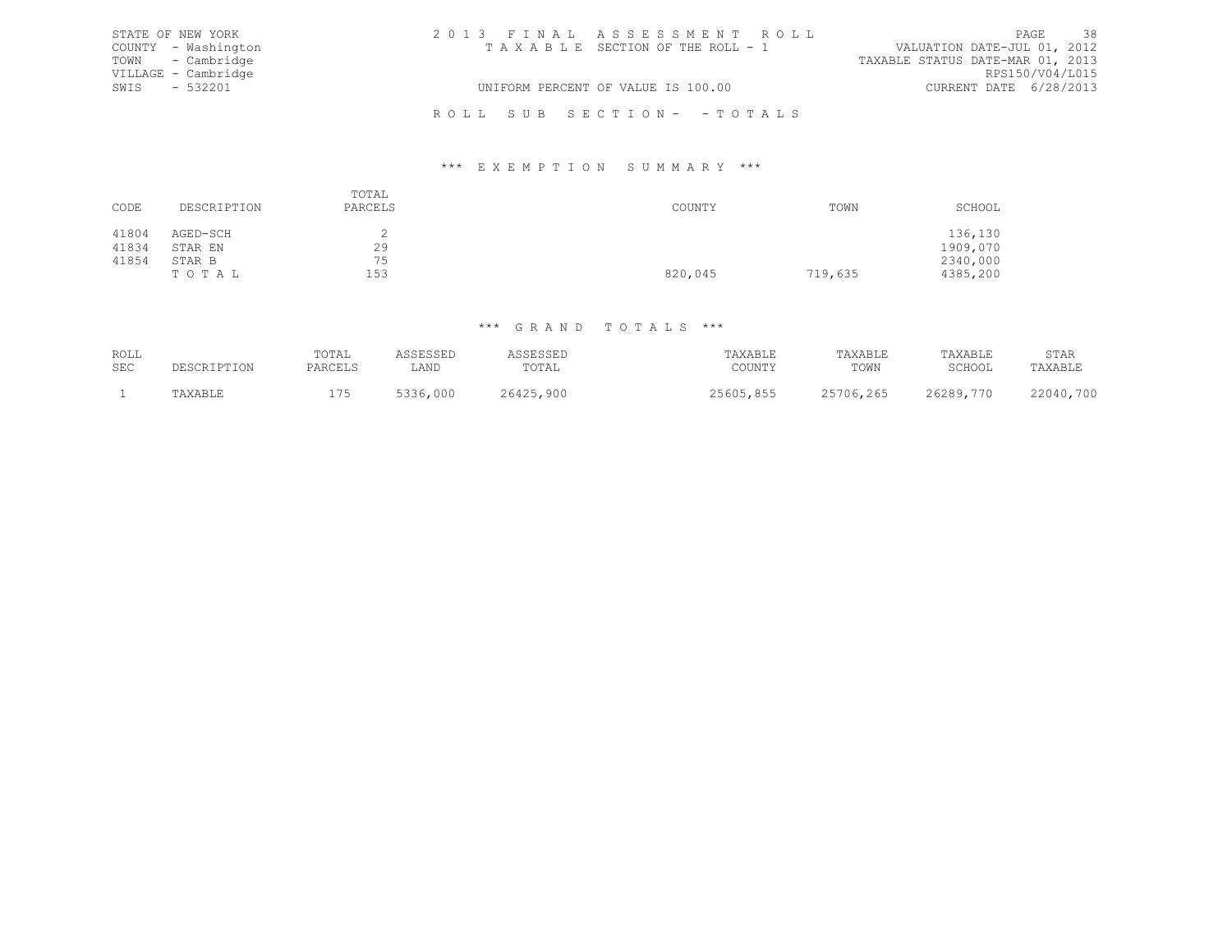| STATE OF NEW YORK   | 2013 FINAL ASSESSMENT ROLL         |                             | PAGE 38 |  |
|---------------------|------------------------------------|-----------------------------|---------|--|
| COUNTY - Washington | TAXABLE SECTION OF THE ROLL - 1    | VALUATION DATE-JUL 01, 2012 |         |  |
| TOWN - Cambridge    | TAXABLE STATUS DATE-MAR 01, 2013   |                             |         |  |
| VILLAGE - Cambridge |                                    | RPS150/V04/L015             |         |  |
| SWIS - 532201       | UNIFORM PERCENT OF VALUE IS 100.00 | CURRENT DATE 6/28/2013      |         |  |
|                     | ROLL SUB SECTION- - TOTALS         |                             |         |  |

### \*\*\* E X E M P T I O N S U M M A R Y \*\*\*

| CODE  | DESCRIPTION | TOTAL<br>PARCELS | COUNTY  | TOWN    | SCHOOL   |
|-------|-------------|------------------|---------|---------|----------|
| 41804 | AGED-SCH    |                  |         |         | 136,130  |
| 41834 | STAR EN     | 29               |         |         | 1909,070 |
| 41854 | STAR B      | 75               |         |         | 2340,000 |
|       | TOTAL       | 153              | 820,045 | 719,635 | 4385,200 |

| ROLL<br><b>SEC</b> | ≀יה הדר | rotal<br>PARCELS | LAND     | <b>CORCORD</b><br>. سىنال بى سىر<br>TOTAI | TAXABLE<br>COUNTY | TAXABLE<br>TOWN | TAXABLE<br>SCHOOL | STAR<br>TAXABLE |
|--------------------|---------|------------------|----------|-------------------------------------------|-------------------|-----------------|-------------------|-----------------|
|                    | "AXABLE | 75               | 5336,000 | 26425,900                                 | 25605,855         | 25706,265       | 26289,770         | 22040,700       |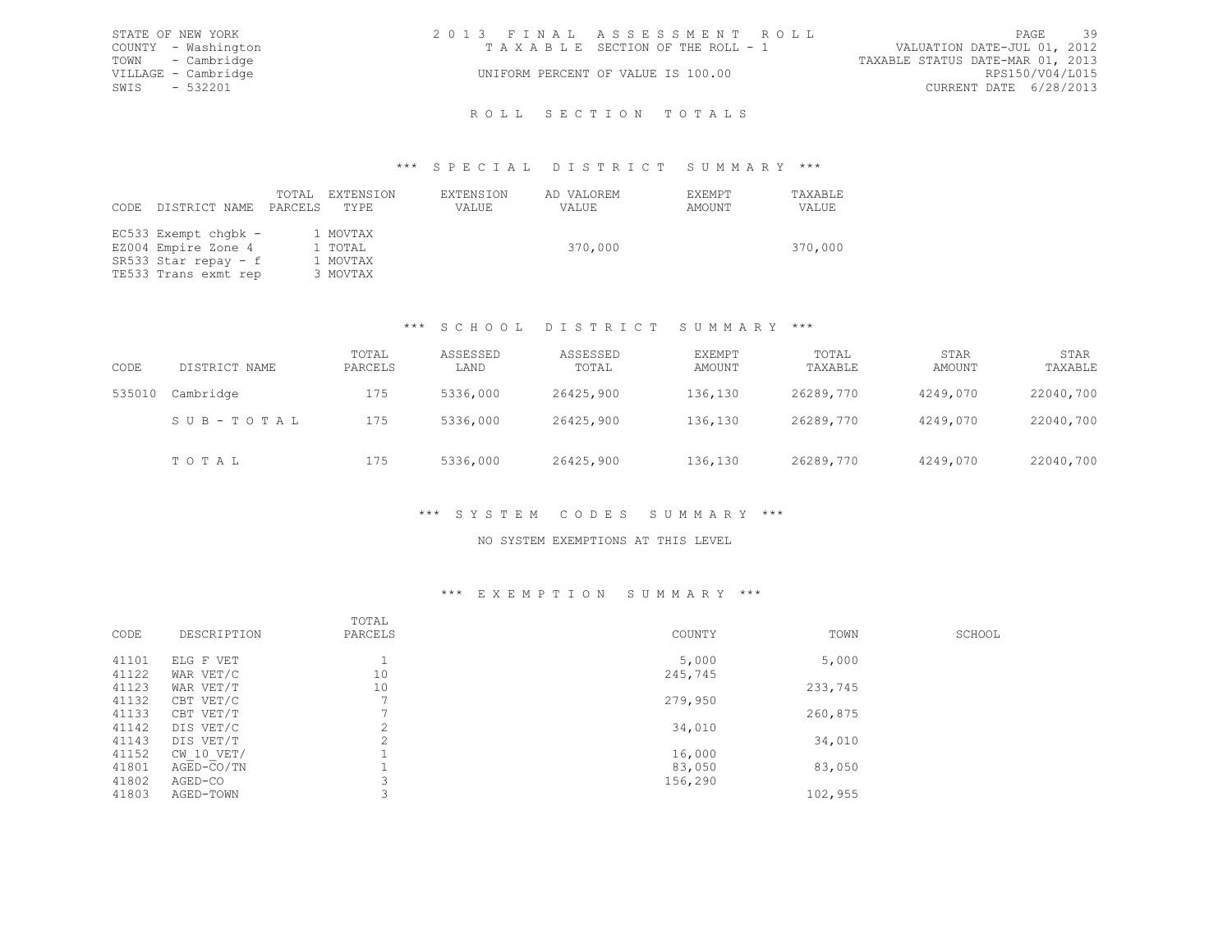|      | STATE OF NEW YORK   | 2013 FINAL ASSESSMENT ROLL         |                                  | PAGE | 39 |
|------|---------------------|------------------------------------|----------------------------------|------|----|
|      | COUNTY - Washington | TAXABLE SECTION OF THE ROLL - 1    | VALUATION DATE-JUL 01, 2012      |      |    |
|      | TOWN - Cambridge    |                                    | TAXABLE STATUS DATE-MAR 01, 2013 |      |    |
|      | VILLAGE - Cambridge | UNIFORM PERCENT OF VALUE IS 100.00 | RPS150/V04/L015                  |      |    |
| SWIS | $-532201$           |                                    | CURRENT DATE 6/28/2013           |      |    |
|      |                     |                                    |                                  |      |    |
|      |                     | ROLL SECTION TOTALS                |                                  |      |    |

# \*\*\* S P E C I A L D I S T R I C T S U M M A R Y \*\*\*

| CODE | DISTRICT NAME                                                                               | TOTAL<br>PARCELS | EXTENSION<br>TYPE                           | EXTENSION<br>VALUE | AD VALOREM<br>VALUE | EXEMPT<br>AMOUNT | TAXABLE<br>VALUE |
|------|---------------------------------------------------------------------------------------------|------------------|---------------------------------------------|--------------------|---------------------|------------------|------------------|
|      | EC533 Exempt chgbk -<br>EZ004 Empire Zone 4<br>SR533 Star repay - f<br>TE533 Trans exmt rep |                  | 1 MOVTAX<br>1 TOTAL<br>1 MOVTAX<br>3 MOVTAX |                    | 370,000             |                  | 370,000          |

## \*\*\* S C H O O L D I S T R I C T S U M M A R Y \*\*\*

| CODE   | DISTRICT NAME | TOTAL<br>PARCELS | ASSESSED<br>LAND | ASSESSED<br>TOTAL | EXEMPT<br>AMOUNT | TOTAL<br>TAXABLE | STAR<br>AMOUNT | STAR<br>TAXABLE |
|--------|---------------|------------------|------------------|-------------------|------------------|------------------|----------------|-----------------|
| 535010 | Cambridge     | 175              | 5336,000         | 26425,900         | 136,130          | 26289,770        | 4249,070       | 22040,700       |
|        | SUB-TOTAL     | 175              | 5336,000         | 26425,900         | 136,130          | 26289,770        | 4249,070       | 22040,700       |
|        | TOTAL         | 175              | 5336,000         | 26425,900         | 136,130          | 26289,770        | 4249,070       | 22040,700       |

# \*\*\* S Y S T E M C O D E S S U M M A R Y \*\*\*

#### NO SYSTEM EXEMPTIONS AT THIS LEVEL

#### \*\*\* E X E M P T I O N S U M M A R Y \*\*\*

| CODE  | DESCRIPTION  | TOTAL<br>PARCELS | COUNTY  | TOWN    | SCHOOL |
|-------|--------------|------------------|---------|---------|--------|
| 41101 | ELG F VET    |                  | 5,000   | 5,000   |        |
| 41122 | WAR VET/C    | 10               | 245,745 |         |        |
| 41123 | WAR VET/T    | 10               |         | 233,745 |        |
| 41132 | CBT VET/C    |                  | 279,950 |         |        |
| 41133 | CBT VET/T    |                  |         | 260,875 |        |
| 41142 | DIS VET/C    | $\gamma$         | 34,010  |         |        |
| 41143 | DIS VET/T    | $\sim$           |         | 34,010  |        |
| 41152 | CW 10 VET/   |                  | 16,000  |         |        |
| 41801 | $AGED-CO/TN$ |                  | 83,050  | 83,050  |        |
| 41802 | AGED-CO      |                  | 156,290 |         |        |
| 41803 | AGED-TOWN    |                  |         | 102,955 |        |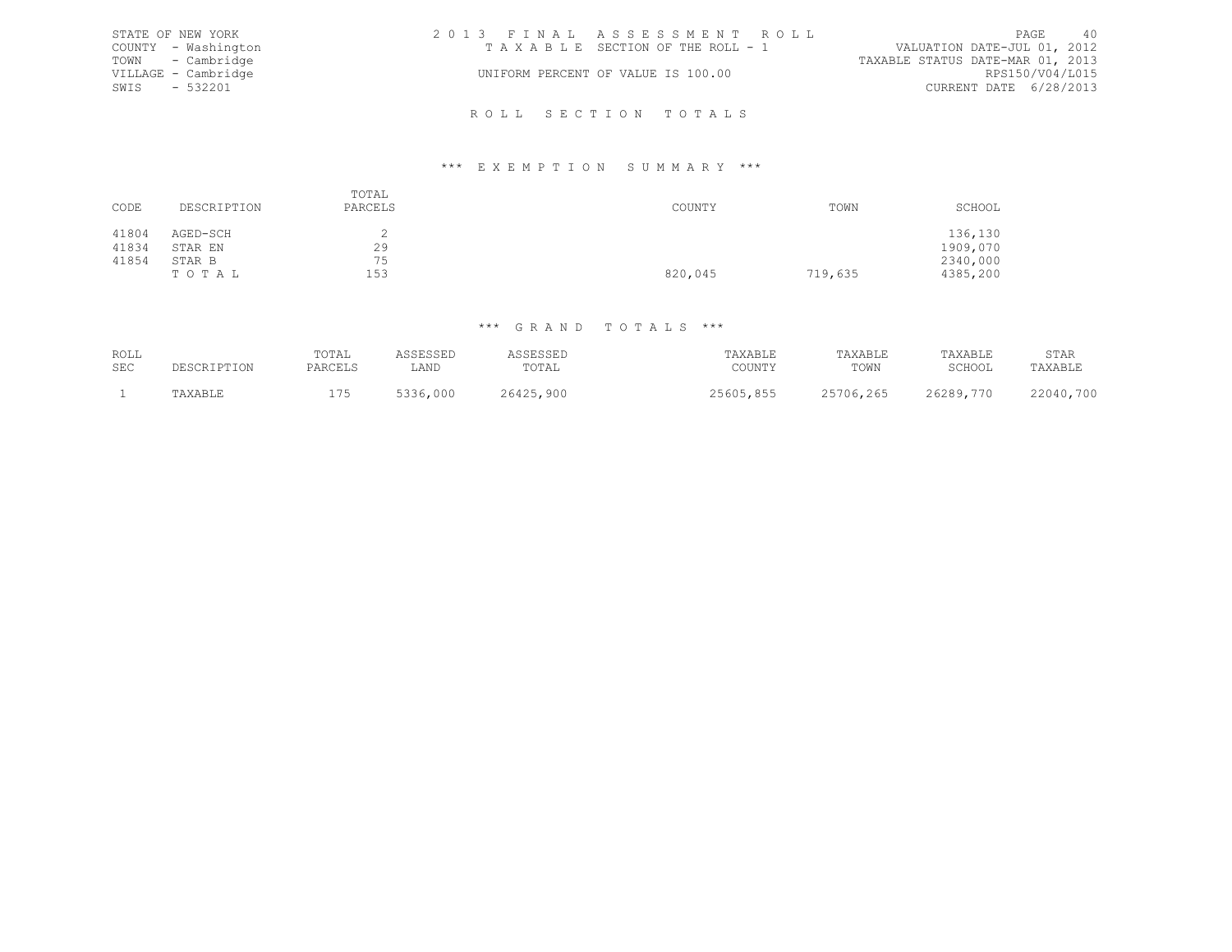|      | STATE OF NEW YORK   | 2013 FINAL ASSESSMENT ROLL         |                                  | PAGE | 40 |
|------|---------------------|------------------------------------|----------------------------------|------|----|
|      | COUNTY - Washington | TAXABLE SECTION OF THE ROLL - 1    | VALUATION DATE-JUL 01, 2012      |      |    |
|      | TOWN - Cambridge    |                                    | TAXABLE STATUS DATE-MAR 01, 2013 |      |    |
|      | VILLAGE - Cambridge | UNIFORM PERCENT OF VALUE IS 100.00 | RPS150/V04/L015                  |      |    |
| SWIS | $-532201$           |                                    | CURRENT DATE 6/28/2013           |      |    |
|      |                     |                                    |                                  |      |    |
|      |                     | ROLL SECTION TOTALS                |                                  |      |    |

### \*\*\* E X E M P T I O N S U M M A R Y \*\*\*

| CODE  | DESCRIPTION | TOTAL<br>PARCELS | COUNTY  | TOWN    | SCHOOL   |
|-------|-------------|------------------|---------|---------|----------|
| 41804 | AGED-SCH    |                  |         |         | 136,130  |
| 41834 | STAR EN     | 29               |         |         | 1909,070 |
| 41854 | STAR B      | 75               |         |         | 2340,000 |
|       | TOTAL       | 153              | 820,045 | 719,635 | 4385,200 |

| ROLL<br>SEC | PESCRIPTION | TOTAL<br>PARCELS | <i>I</i> CCLCCLL<br>カウウロウウロエ<br>LAND | <b>ASSESSED</b><br>TOTAL | TAXABLE<br>COUNTY | TAXABLE<br>TOWN | TAXABLE<br>SCHOOL | STAR<br>TAXABLE |
|-------------|-------------|------------------|--------------------------------------|--------------------------|-------------------|-----------------|-------------------|-----------------|
|             | TAXABLE     | 175              | 5336.<br>,000                        | 26425,900                | 25605,855         | 25706,265       | 26289,770         | 22040,700       |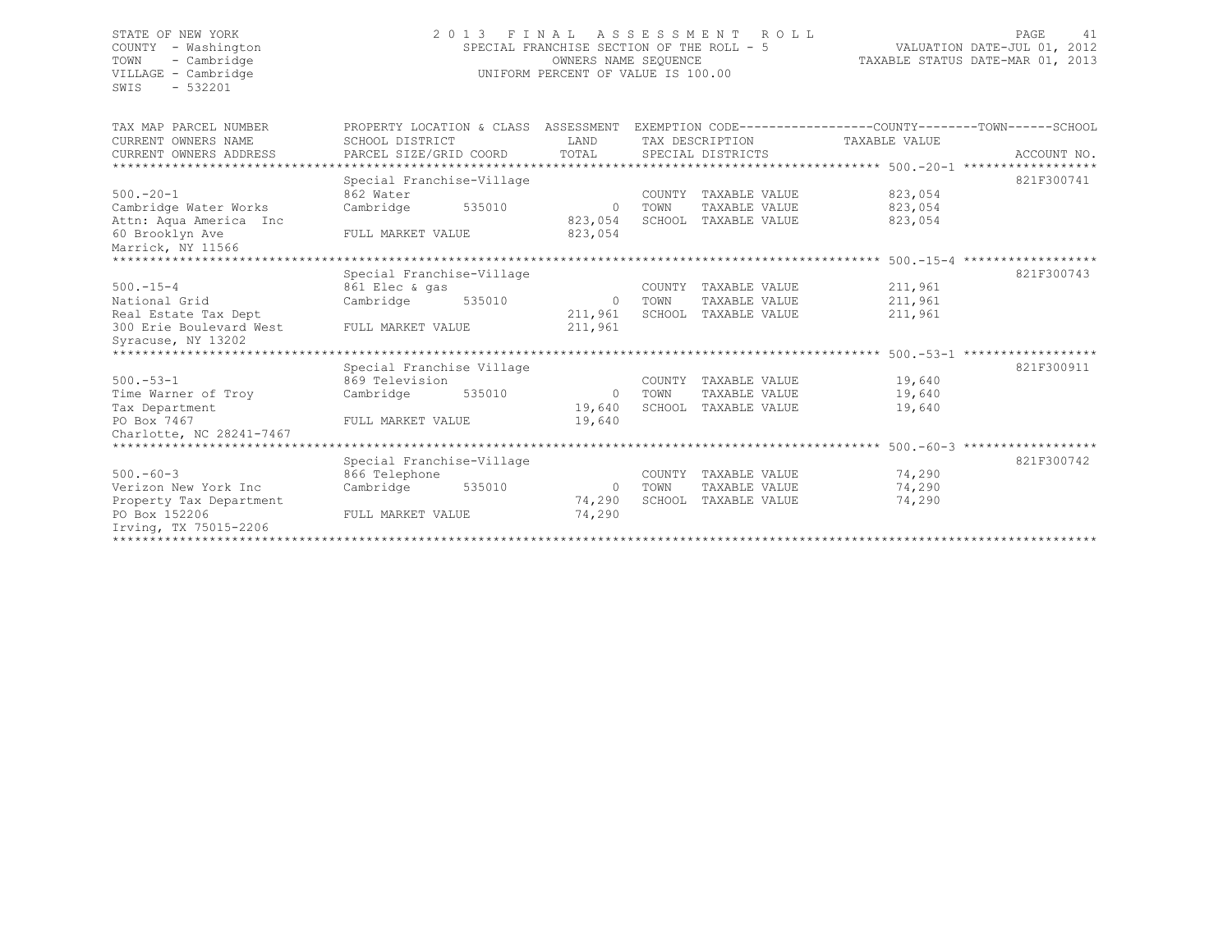SWIS - 532201

# STATE OF NEW YORK 2 0 1 3 F I N A L A S S E S S M E N T R O L L PAGE 41 COUNTY - Washington SPECIAL FRANCHISE SECTION OF THE ROLL - 5 VALUATION DATE-JUL 01, 2012 TOWN - Cambridge OWNERS NAME SEQUENCE TAXABLE STATUS DATE-MAR 01, 2013 VILLAGE - Cambridge **UNIFORM PERCENT OF VALUE IS 100.00**

| TAX MAP PARCEL NUMBER<br>CURRENT OWNERS NAME<br>CURRENT OWNERS ADDRESS | PROPERTY LOCATION & CLASS ASSESSMENT<br>SCHOOL DISTRICT<br>PARCEL SIZE/GRID COORD |        | LAND<br>TOTAL      |        | EXEMPTION CODE-----------------COUNTY-------TOWN------SCHOOL<br>TAX DESCRIPTION<br>SPECIAL DISTRICTS | TAXABLE VALUE |                    | ACCOUNT NO.        |
|------------------------------------------------------------------------|-----------------------------------------------------------------------------------|--------|--------------------|--------|------------------------------------------------------------------------------------------------------|---------------|--------------------|--------------------|
|                                                                        |                                                                                   |        |                    |        |                                                                                                      |               |                    |                    |
|                                                                        | Special Franchise-Village                                                         |        |                    |        |                                                                                                      |               |                    | 821F300741         |
| $500. - 20 - 1$                                                        | 862 Water                                                                         |        |                    | COUNTY | TAXABLE VALUE                                                                                        |               | 823,054            |                    |
|                                                                        |                                                                                   |        |                    | TOWN   | TAXABLE VALUE                                                                                        |               |                    |                    |
| Cambridge Water Works                                                  | Cambridge                                                                         | 535010 | $\circ$<br>823,054 |        | SCHOOL TAXABLE VALUE                                                                                 |               | 823,054<br>823,054 |                    |
| Attn: Aqua America Inc                                                 |                                                                                   |        | 823,054            |        |                                                                                                      |               |                    |                    |
| 60 Brooklyn Ave                                                        | FULL MARKET VALUE                                                                 |        |                    |        |                                                                                                      |               |                    |                    |
| Marrick, NY 11566                                                      |                                                                                   |        |                    |        |                                                                                                      |               |                    | ****************** |
|                                                                        |                                                                                   |        |                    |        |                                                                                                      |               |                    |                    |
|                                                                        | Special Franchise-Village                                                         |        |                    |        |                                                                                                      |               |                    | 821F300743         |
| $500. - 15 - 4$                                                        | 861 Elec & gas                                                                    |        |                    | COUNTY | TAXABLE VALUE                                                                                        |               | 211,961            |                    |
| National Grid                                                          | Cambridge                                                                         | 535010 | $\circ$            | TOWN   | TAXABLE VALUE                                                                                        |               | 211,961            |                    |
| Real Estate Tax Dept                                                   |                                                                                   |        | 211,961            |        | SCHOOL TAXABLE VALUE                                                                                 |               | 211,961            |                    |
| 300 Erie Boulevard West                                                | FULL MARKET VALUE                                                                 |        | 211,961            |        |                                                                                                      |               |                    |                    |
| Syracuse, NY 13202                                                     |                                                                                   |        |                    |        |                                                                                                      |               |                    |                    |
|                                                                        |                                                                                   |        |                    |        |                                                                                                      |               |                    |                    |
|                                                                        | Special Franchise Village                                                         |        |                    |        |                                                                                                      |               |                    | 821F300911         |
| $500. - 53 - 1$                                                        | 869 Television                                                                    |        |                    | COUNTY | TAXABLE VALUE                                                                                        |               | 19,640             |                    |
| Time Warner of Troy                                                    | Cambridge                                                                         | 535010 | $\Omega$           | TOWN   | TAXABLE VALUE                                                                                        |               | 19,640             |                    |
| Tax Department                                                         |                                                                                   |        | 19,640             | SCHOOL | TAXABLE VALUE                                                                                        |               | 19,640             |                    |
| PO Box 7467                                                            | FULL MARKET VALUE                                                                 |        | 19,640             |        |                                                                                                      |               |                    |                    |
| Charlotte, NC 28241-7467                                               |                                                                                   |        |                    |        |                                                                                                      |               |                    |                    |
|                                                                        |                                                                                   |        |                    |        |                                                                                                      |               |                    |                    |
|                                                                        | Special Franchise-Village                                                         |        |                    |        |                                                                                                      |               |                    | 821F300742         |
| $500 - 60 - 3$                                                         | 866 Telephone                                                                     |        |                    | COUNTY | TAXABLE VALUE                                                                                        |               | 74,290             |                    |
| Verizon New York Inc                                                   | Cambridge                                                                         | 535010 | $\circ$            | TOWN   | TAXABLE VALUE                                                                                        |               | 74,290             |                    |
| Property Tax Department                                                |                                                                                   |        | 74,290             | SCHOOL | TAXABLE VALUE                                                                                        |               | 74,290             |                    |
| PO Box 152206<br>Irving, TX 75015-2206                                 | FULL MARKET VALUE                                                                 |        | 74,290             |        |                                                                                                      |               |                    |                    |
| ****************************                                           |                                                                                   |        |                    |        |                                                                                                      |               |                    |                    |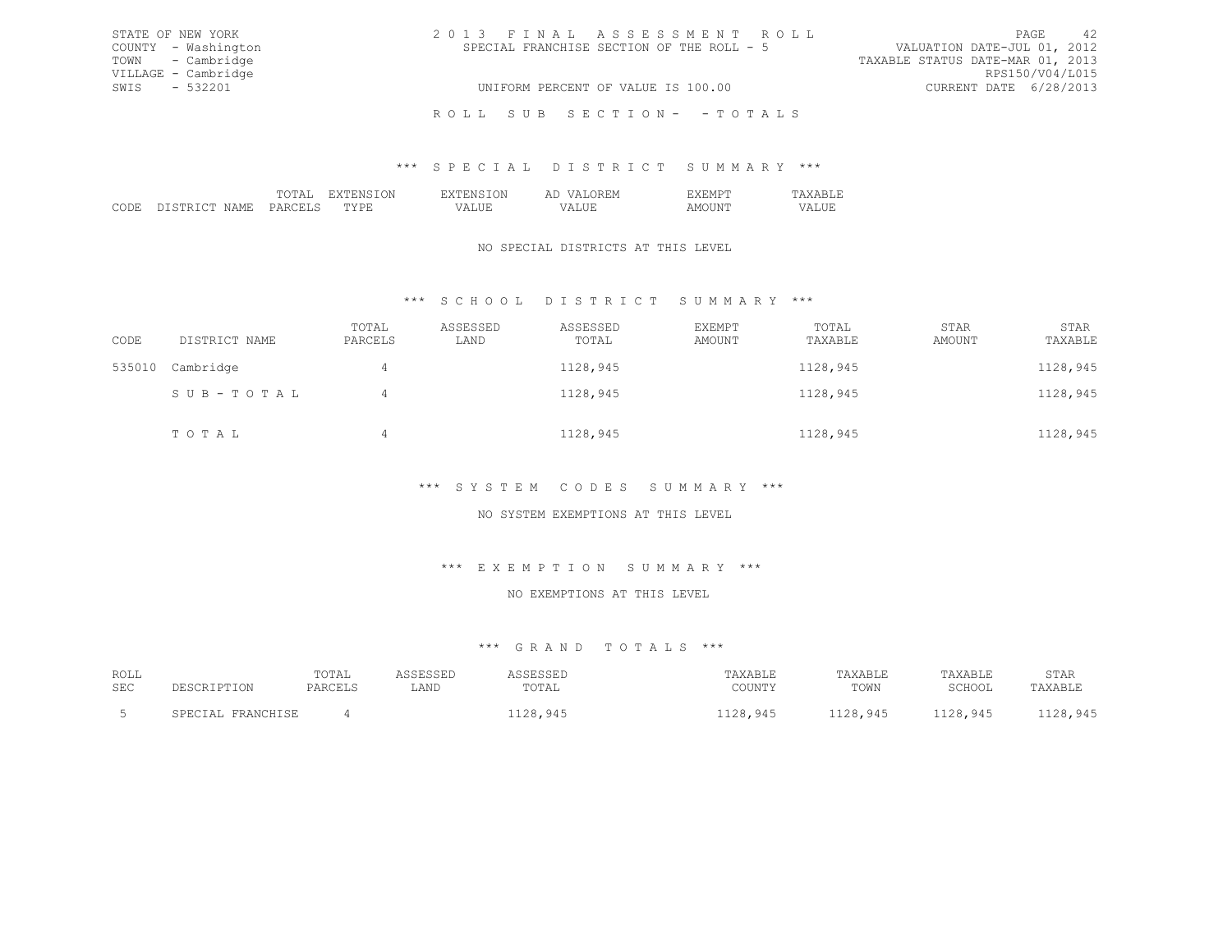| STATE OF NEW YORK   | 2013 FINAL ASSESSMENT ROLL                | -42<br>PAGE                      |
|---------------------|-------------------------------------------|----------------------------------|
| COUNTY - Washington | SPECIAL FRANCHISE SECTION OF THE ROLL - 5 | VALUATION DATE-JUL 01, 2012      |
| TOWN - Cambridge    |                                           | TAXABLE STATUS DATE-MAR 01, 2013 |
| VILLAGE - Cambridge |                                           | RPS150/V04/L015                  |
| SWIS - 532201       | UNIFORM PERCENT OF VALUE IS 100.00        | CURRENT DATE 6/28/2013           |
|                     | ROLL SUB SECTION- - TOTALS                |                                  |

### \*\*\* S P E C I A L D I S T R I C T S U M M A R Y \*\*\*

|  |  | . |  |
|--|--|---|--|
|  |  |   |  |
|  |  |   |  |

## NO SPECIAL DISTRICTS AT THIS LEVEL

# \*\*\* S C H O O L D I S T R I C T S U M M A R Y \*\*\*

| CODE   | DISTRICT NAME | TOTAL<br>PARCELS | ASSESSED<br>LAND | ASSESSED<br>TOTAL | EXEMPT<br>AMOUNT | TOTAL<br>TAXABLE | STAR<br>AMOUNT | STAR<br>TAXABLE |
|--------|---------------|------------------|------------------|-------------------|------------------|------------------|----------------|-----------------|
| 535010 | Cambridge     | $\overline{4}$   |                  | 1128,945          |                  | 1128,945         |                | 1128,945        |
|        | SUB-TOTAL     | 4                |                  | 1128,945          |                  | 1128,945         |                | 1128,945        |
|        | TOTAL         | 4                |                  | 1128,945          |                  | 1128,945         |                | 1128,945        |

# \*\*\* S Y S T E M C O D E S S U M M A R Y \*\*\*

# NO SYSTEM EXEMPTIONS AT THIS LEVEL

# \*\*\* E X E M P T I O N S U M M A R Y \*\*\*

#### NO EXEMPTIONS AT THIS LEVEL

| ROLL       |                   | TOTAL   | ASSESSED | ASSESSED | TAXABLE  | TAXABLE  | TAXABLE  | STAR     |
|------------|-------------------|---------|----------|----------|----------|----------|----------|----------|
| <b>SEC</b> | DESCRIPTION       | PARCELS | LAND     | TOTAL    | COUNTY   | TOWN     | SCHOOL   | TAXABLE  |
|            | SPECIAL FRANCHISE |         |          | 1128,945 | 1128,945 | 1128,945 | 1128,945 | 1128,945 |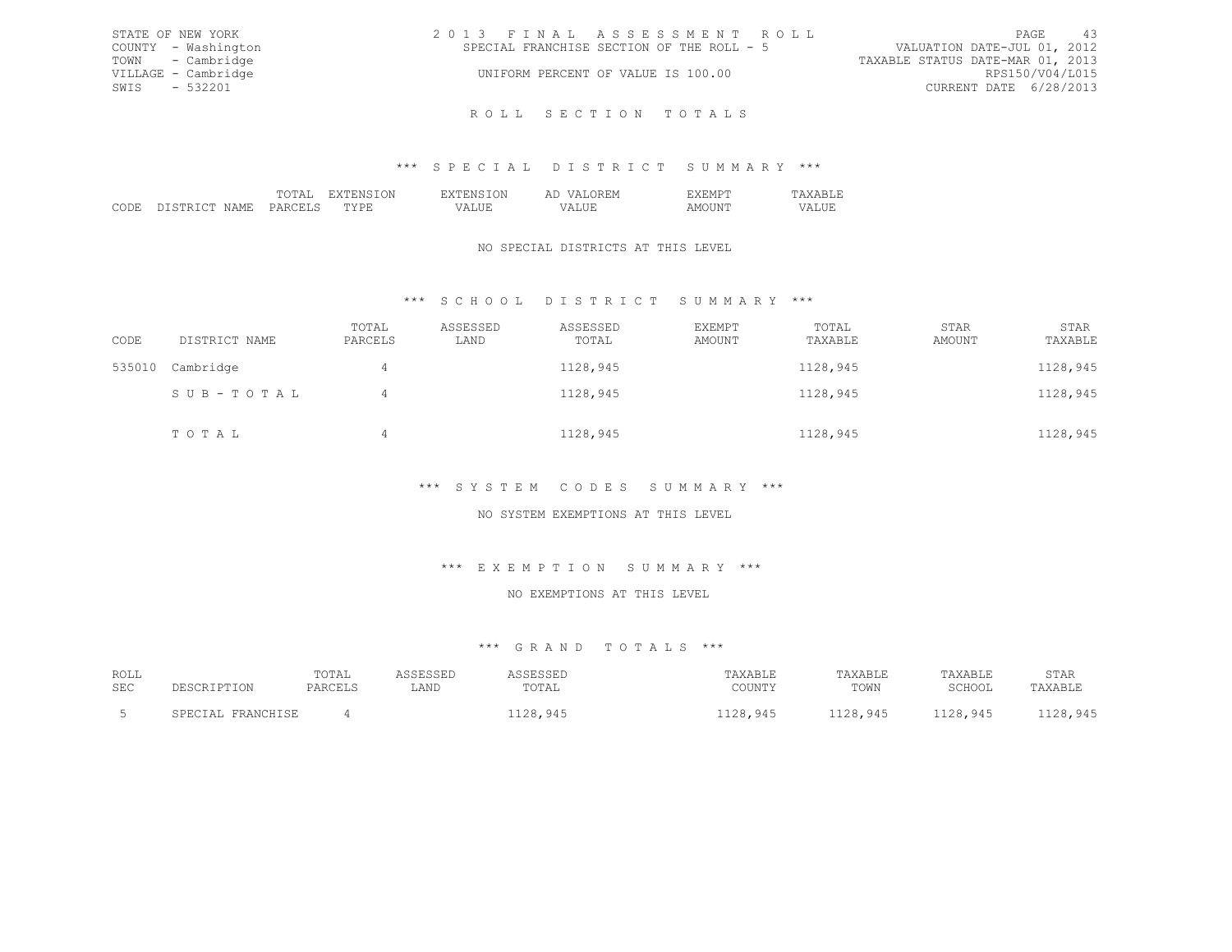| STATE OF NEW YORK   | 2013 FINAL ASSESSMENT ROLL                | -43<br>PAGE                      |
|---------------------|-------------------------------------------|----------------------------------|
| COUNTY - Washington | SPECIAL FRANCHISE SECTION OF THE ROLL - 5 | VALUATION DATE-JUL 01, 2012      |
| TOWN - Cambridge    |                                           | TAXABLE STATUS DATE-MAR 01, 2013 |
| VILLAGE - Cambridge | UNIFORM PERCENT OF VALUE IS 100.00        | RPS150/V04/L015                  |
| SWIS - 532201       |                                           | CURRENT DATE 6/28/2013           |
|                     |                                           |                                  |

R O L L S E C T I O N T O T A L S

## \*\*\* S P E C I A L D I S T R I C T S U M M A R Y \*\*\*

|  | the contract of the contract of the contract of the contract of the contract of the contract of the contract of | $\sim$ |  |
|--|-----------------------------------------------------------------------------------------------------------------|--------|--|
|  |                                                                                                                 |        |  |
|  |                                                                                                                 |        |  |

# NO SPECIAL DISTRICTS AT THIS LEVEL

# \*\*\* S C H O O L D I S T R I C T S U M M A R Y \*\*\*

| CODE   | DISTRICT NAME | TOTAL<br>PARCELS | ASSESSED<br>LAND | ASSESSED<br>TOTAL | EXEMPT<br>AMOUNT | TOTAL<br>TAXABLE | STAR<br>AMOUNT | STAR<br>TAXABLE |
|--------|---------------|------------------|------------------|-------------------|------------------|------------------|----------------|-----------------|
| 535010 | Cambridge     | 4                |                  | 1128,945          |                  | 1128,945         |                | 1128,945        |
|        | SUB-TOTAL     | $\overline{4}$   |                  | 1128,945          |                  | 1128,945         |                | 1128,945        |
|        | TOTAL         | $\overline{4}$   |                  | 1128,945          |                  | 1128,945         |                | 1128,945        |

# \*\*\* S Y S T E M C O D E S S U M M A R Y \*\*\*

# NO SYSTEM EXEMPTIONS AT THIS LEVEL

### \*\*\* E X E M P T I O N S U M M A R Y \*\*\*

#### NO EXEMPTIONS AT THIS LEVEL

| ROLL       |                    | TOTAL   | ASSESSED | ASSESSED | TAXABLE  | TAXABLE  | TAXABLE  | STAR     |
|------------|--------------------|---------|----------|----------|----------|----------|----------|----------|
| <b>SEC</b> | <b>DESCRIPTION</b> | PARCELS | LAND     | TOTAL    | COUNTY   | TOWN     | SCHOOL   | TAXABLE  |
|            | SPECIAL FRANCHISE  |         |          | 1128,945 | 1128,945 | 1128,945 | 1128,945 | 1128,945 |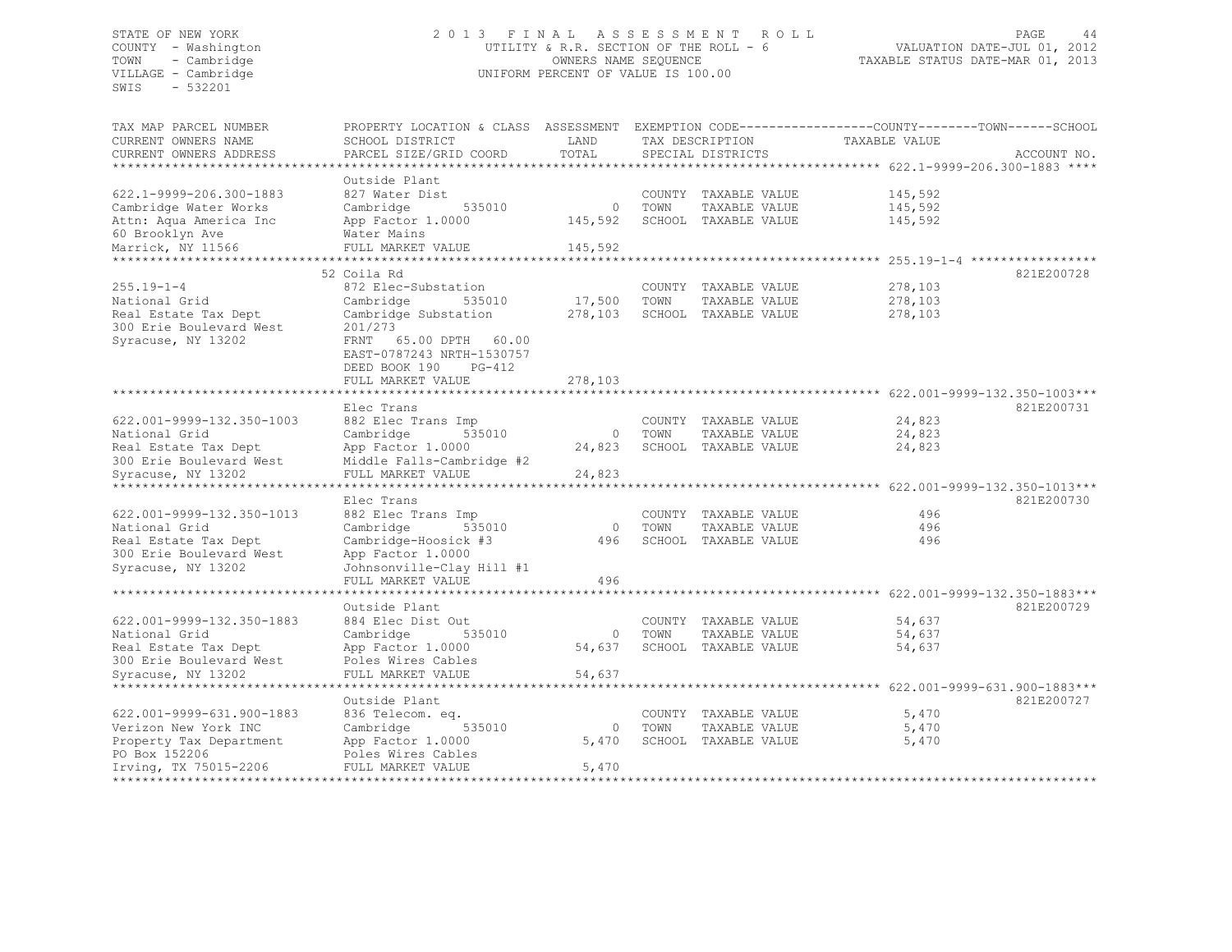SWIS - 532201

# STATE OF NEW YORK 2 0 1 3 F I N A L A S S E S S M E N T R O L L PAGE 44 COUNTY - Washington UTILITY & R.R. SECTION OF THE ROLL - 6 VALUATION DATE-JUL 01, 2012 TOWN - Cambridge OWNERS NAME SEQUENCE TAXABLE STATUS DATE-MAR 01, 2013 UNIFORM PERCENT OF VALUE IS 100.00

| TAX MAP PARCEL NUMBER     | PROPERTY LOCATION & CLASS ASSESSMENT EXEMPTION CODE----------------COUNTY-------TOWN-----SCHOOL |         |      |                      |                                                                 |             |
|---------------------------|-------------------------------------------------------------------------------------------------|---------|------|----------------------|-----------------------------------------------------------------|-------------|
| CURRENT OWNERS NAME       | SCHOOL DISTRICT                                                                                 | LAND    |      | TAX DESCRIPTION      | TAXABLE VALUE                                                   |             |
| CURRENT OWNERS ADDRESS    | PARCEL SIZE/GRID COORD                                                                          | TOTAL   |      | SPECIAL DISTRICTS    |                                                                 | ACCOUNT NO. |
|                           |                                                                                                 |         |      |                      | ***************** 622.1-9999-206.300-1883 ****                  |             |
|                           | Outside Plant                                                                                   |         |      |                      |                                                                 |             |
|                           |                                                                                                 |         |      |                      |                                                                 |             |
| 622.1-9999-206.300-1883   | 827 Water Dist                                                                                  |         |      | COUNTY TAXABLE VALUE | 145,592                                                         |             |
| Cambridge Water Works     | Cambridge<br>535010                                                                             | $\circ$ | TOWN | TAXABLE VALUE        | 145,592                                                         |             |
| Attn: Aqua America Inc    | App Factor 1.0000                                                                               | 145,592 |      | SCHOOL TAXABLE VALUE | 145,592                                                         |             |
| 60 Brooklyn Ave           | Water Mains                                                                                     |         |      |                      |                                                                 |             |
| Marrick, NY 11566         | FULL MARKET VALUE                                                                               | 145,592 |      |                      |                                                                 |             |
|                           |                                                                                                 |         |      |                      |                                                                 |             |
|                           | 52 Coila Rd                                                                                     |         |      |                      |                                                                 | 821E200728  |
| $255.19 - 1 - 4$          | 872 Elec-Substation                                                                             |         |      | COUNTY TAXABLE VALUE | 278,103                                                         |             |
| National Grid             | 535010<br>Cambridge                                                                             | 17,500  | TOWN | TAXABLE VALUE        | 278,103                                                         |             |
|                           |                                                                                                 |         |      |                      |                                                                 |             |
| Real Estate Tax Dept      | Cambridge Substation                                                                            | 278,103 |      | SCHOOL TAXABLE VALUE | 278,103                                                         |             |
| 300 Erie Boulevard West   | 201/273                                                                                         |         |      |                      |                                                                 |             |
| Syracuse, NY 13202        | FRNT 65.00 DPTH 60.00                                                                           |         |      |                      |                                                                 |             |
|                           | EAST-0787243 NRTH-1530757                                                                       |         |      |                      |                                                                 |             |
|                           | DEED BOOK 190<br>$PG-412$                                                                       |         |      |                      |                                                                 |             |
|                           | FULL MARKET VALUE                                                                               | 278,103 |      |                      |                                                                 |             |
|                           |                                                                                                 |         |      |                      | ********** 622.001-9999-132.350-1003***                         |             |
|                           | Elec Trans                                                                                      |         |      |                      |                                                                 | 821E200731  |
| 622.001-9999-132.350-1003 | 882 Elec Trans Imp                                                                              |         |      | COUNTY TAXABLE VALUE | 24,823                                                          |             |
| National Grid             | 535010<br>Cambridge                                                                             | $\circ$ | TOWN | TAXABLE VALUE        | 24,823                                                          |             |
|                           |                                                                                                 |         |      |                      |                                                                 |             |
| Real Estate Tax Dept      | App Factor 1.0000                                                                               | 24,823  |      | SCHOOL TAXABLE VALUE | 24,823                                                          |             |
| 300 Erie Boulevard West   | Middle Falls-Cambridge #2                                                                       |         |      |                      |                                                                 |             |
| Syracuse, NY 13202        | FULL MARKET VALUE                                                                               | 24,823  |      |                      |                                                                 |             |
|                           |                                                                                                 |         |      |                      | ******* 622.001-9999-132.350-1013***                            |             |
|                           | Elec Trans                                                                                      |         |      |                      |                                                                 | 821E200730  |
| 622.001-9999-132.350-1013 | 882 Elec Trans Imp                                                                              |         |      | COUNTY TAXABLE VALUE | 496                                                             |             |
| National Grid             | Cambridge<br>535010                                                                             | $\circ$ | TOWN | TAXABLE VALUE        | 496                                                             |             |
| Real Estate Tax Dept      | Cambridge-Hoosick #3                                                                            | 496     |      | SCHOOL TAXABLE VALUE | 496                                                             |             |
| 300 Erie Boulevard West   | App Factor 1.0000                                                                               |         |      |                      |                                                                 |             |
| Syracuse, NY 13202        | Johnsonville-Clay Hill #1                                                                       |         |      |                      |                                                                 |             |
|                           |                                                                                                 | 496     |      |                      |                                                                 |             |
|                           | FULL MARKET VALUE                                                                               |         |      |                      |                                                                 |             |
|                           |                                                                                                 |         |      |                      | ********************************** 622.001-9999-132.350-1883*** |             |
|                           | Outside Plant                                                                                   |         |      |                      |                                                                 | 821E200729  |
| 622.001-9999-132.350-1883 | 884 Elec Dist Out                                                                               |         |      | COUNTY TAXABLE VALUE | 54,637                                                          |             |
| National Grid             | Cambridge<br>535010                                                                             | $\circ$ | TOWN | TAXABLE VALUE        | 54,637                                                          |             |
| Real Estate Tax Dept      | App Factor 1.0000                                                                               | 54,637  |      | SCHOOL TAXABLE VALUE | 54,637                                                          |             |
| 300 Erie Boulevard West   | Poles Wires Cables                                                                              |         |      |                      |                                                                 |             |
| Syracuse, NY 13202        | FULL MARKET VALUE                                                                               | 54,637  |      |                      |                                                                 |             |
|                           | *****************                                                                               |         |      |                      | ********************* 622.001-9999-631.900-1883***              |             |
|                           |                                                                                                 |         |      |                      |                                                                 |             |
|                           | Outside Plant                                                                                   |         |      |                      |                                                                 | 821E200727  |
| 622.001-9999-631.900-1883 | 836 Telecom. eq.                                                                                |         |      | COUNTY TAXABLE VALUE | 5,470                                                           |             |
| Verizon New York INC      | Cambridge<br>535010                                                                             | $\circ$ | TOWN | TAXABLE VALUE        | 5,470                                                           |             |
| Property Tax Department   | App Factor 1.0000                                                                               | 5,470   |      | SCHOOL TAXABLE VALUE | 5,470                                                           |             |
| PO Box 152206             | Poles Wires Cables                                                                              |         |      |                      |                                                                 |             |
| Irving, TX 75015-2206     | FULL MARKET VALUE                                                                               | 5,470   |      |                      |                                                                 |             |
|                           |                                                                                                 |         |      |                      |                                                                 |             |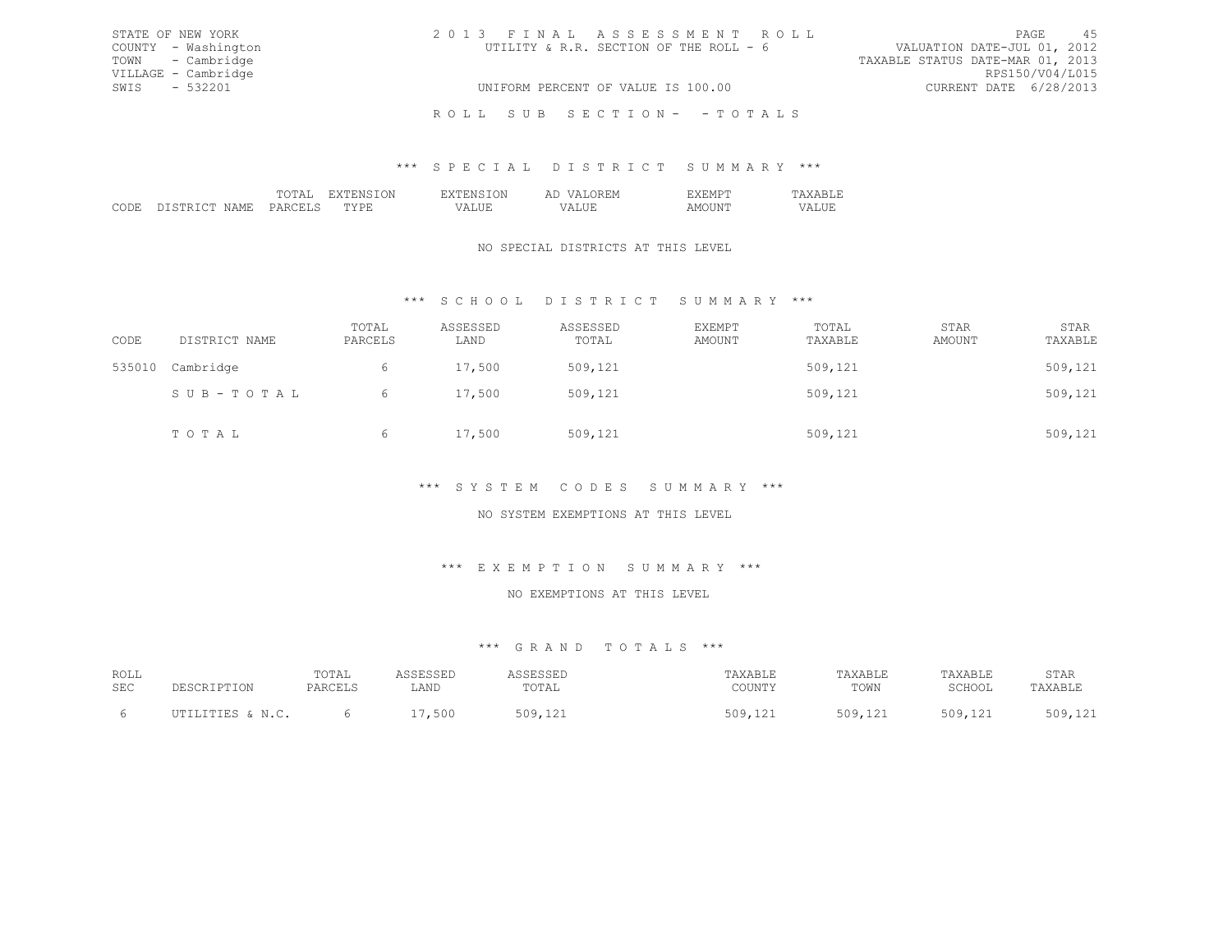| STATE OF NEW YORK   | 2013 FINAL ASSESSMENT ROLL             | 45<br>PAGE                       |
|---------------------|----------------------------------------|----------------------------------|
| COUNTY - Washington | UTILITY & R.R. SECTION OF THE ROLL - 6 | VALUATION DATE-JUL 01, 2012      |
| TOWN - Cambridge    |                                        | TAXABLE STATUS DATE-MAR 01, 2013 |
| VILLAGE - Cambridge |                                        | RPS150/V04/L015                  |
| SWIS - 532201       | UNIFORM PERCENT OF VALUE IS 100.00     | CURRENT DATE 6/28/2013           |
|                     | ROLL SUB SECTION- - TOTALS             |                                  |

# \*\*\* S P E C I A L D I S T R I C T S U M M A R Y \*\*\*

|  |   | $\mathbf{N}$<br>_____ | .<br>. |  |
|--|---|-----------------------|--------|--|
|  | ◡ |                       |        |  |

## NO SPECIAL DISTRICTS AT THIS LEVEL

# \*\*\* S C H O O L D I S T R I C T S U M M A R Y \*\*\*

| CODE   | DISTRICT NAME | TOTAL<br>PARCELS | ASSESSED<br>LAND | ASSESSED<br>TOTAL | EXEMPT<br>AMOUNT | TOTAL<br>TAXABLE | STAR<br>AMOUNT | STAR<br>TAXABLE |
|--------|---------------|------------------|------------------|-------------------|------------------|------------------|----------------|-----------------|
| 535010 | Cambridge     | 6                | 17,500           | 509,121           |                  | 509,121          |                | 509,121         |
|        | SUB-TOTAL     | 6                | 17,500           | 509,121           |                  | 509,121          |                | 509,121         |
|        | TOTAL         | 6                | 17,500           | 509,121           |                  | 509,121          |                | 509,121         |

## \*\*\* S Y S T E M C O D E S S U M M A R Y \*\*\*

# NO SYSTEM EXEMPTIONS AT THIS LEVEL

# \*\*\* E X E M P T I O N S U M M A R Y \*\*\*

#### NO EXEMPTIONS AT THIS LEVEL

| ROLL |                  | TOTAL   | <b>\CCFCCFF</b><br>. | שבטטבטס | TAXABLE | TAXABLE       | "AXABLE | STAR    |
|------|------------------|---------|----------------------|---------|---------|---------------|---------|---------|
| SEC  |                  | PARCELS | LAND                 | TOTAL   | COUNTY  | TOWN          | SCHOOL  | TAXABLI |
|      |                  |         |                      | 509     |         | 509 121       | 509 121 | 509.121 |
|      | UTILITIES & N.C. |         | ,500                 |         | 509,121 | J V J J L L L | -----   | .71122  |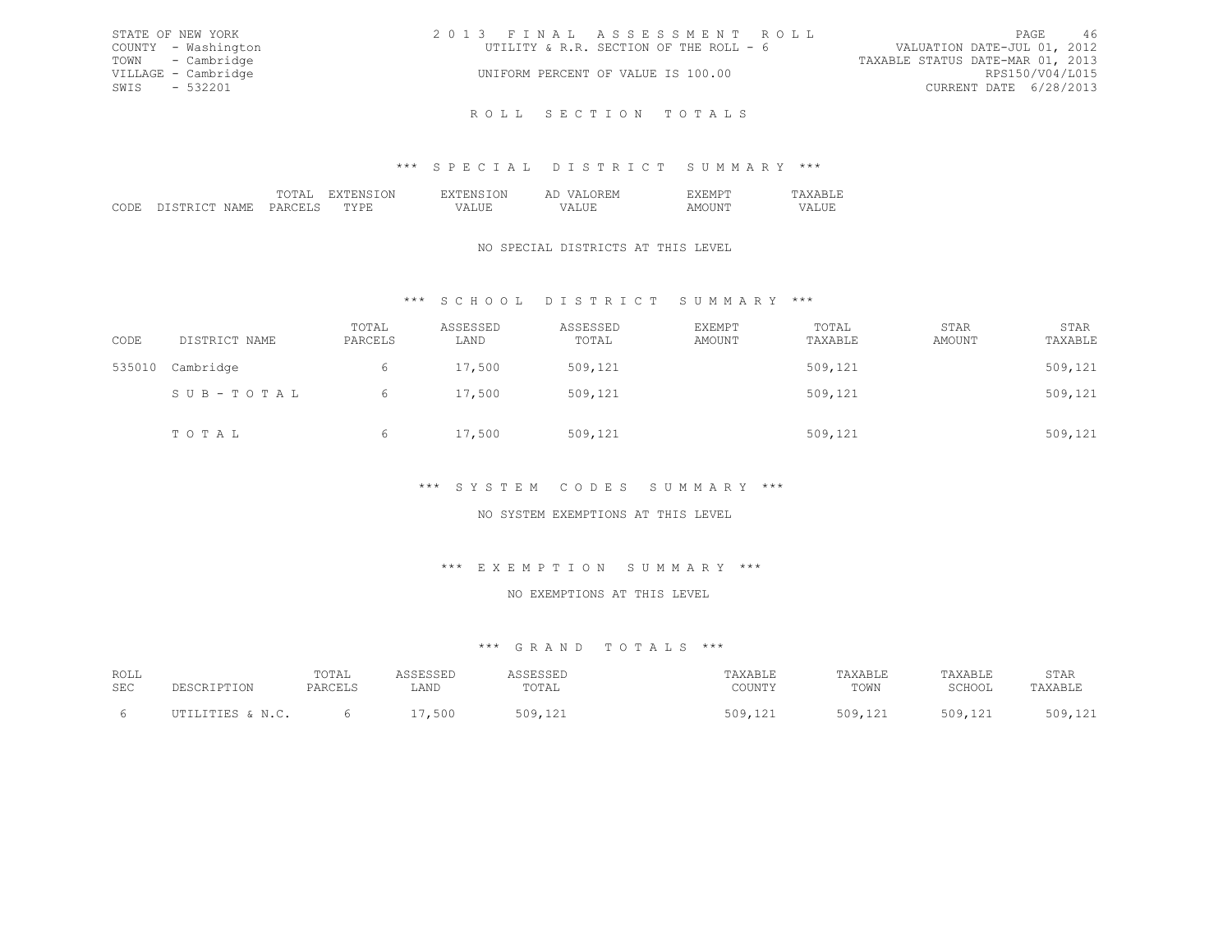| STATE OF NEW YORK   | 2013 FINAL ASSESSMENT ROLL             | 46<br>PAGE                       |
|---------------------|----------------------------------------|----------------------------------|
| COUNTY - Washington | UTILITY & R.R. SECTION OF THE ROLL - 6 | VALUATION DATE-JUL 01, 2012      |
| TOWN - Cambridge    |                                        | TAXABLE STATUS DATE-MAR 01, 2013 |
| VILLAGE - Cambridge | UNIFORM PERCENT OF VALUE IS 100.00     | RPS150/V04/L015                  |
| SWIS - 532201       |                                        | CURRENT DATE 6/28/2013           |
|                     |                                        |                                  |

R O L L S E C T I O N T O T A L S

# \*\*\* S P E C I A L D I S T R I C T S U M M A R Y \*\*\*

|  |  | $\sim$<br>. |  |
|--|--|-------------|--|
|  |  |             |  |
|  |  |             |  |

# NO SPECIAL DISTRICTS AT THIS LEVEL

# \*\*\* S C H O O L D I S T R I C T S U M M A R Y \*\*\*

| CODE   | DISTRICT NAME | TOTAL<br>PARCELS | ASSESSED<br>LAND | ASSESSED<br>TOTAL | EXEMPT<br>AMOUNT | TOTAL<br>TAXABLE | STAR<br>AMOUNT | STAR<br>TAXABLE |
|--------|---------------|------------------|------------------|-------------------|------------------|------------------|----------------|-----------------|
| 535010 | Cambridge     | 6                | 17,500           | 509,121           |                  | 509,121          |                | 509,121         |
|        | SUB-TOTAL     | 6.               | 17,500           | 509,121           |                  | 509,121          |                | 509,121         |
|        | TOTAL         | 6                | 17,500           | 509,121           |                  | 509,121          |                | 509,121         |

# \*\*\* S Y S T E M C O D E S S U M M A R Y \*\*\*

# NO SYSTEM EXEMPTIONS AT THIS LEVEL

### \*\*\* E X E M P T I O N S U M M A R Y \*\*\*

#### NO EXEMPTIONS AT THIS LEVEL

| ROLL |                       | TOTAL   | 1 C C F C C F F | <b>ASSESSED</b> | TAXABLE | TAXABLE | TAXABLE                     | STAR    |
|------|-----------------------|---------|-----------------|-----------------|---------|---------|-----------------------------|---------|
| SEC  | <b>DESCRIPTION</b>    | PARCELS | ".AND           | TOTAI           | COUNTY  | TOWN    | SCHOOL                      | TAXABLE |
|      | $IITTI.TTITRS \& M C$ |         | 500<br>$ -$     | 509             | 509,121 | 509,121 | 509.1<br>' <i>' + ' + '</i> | 509,121 |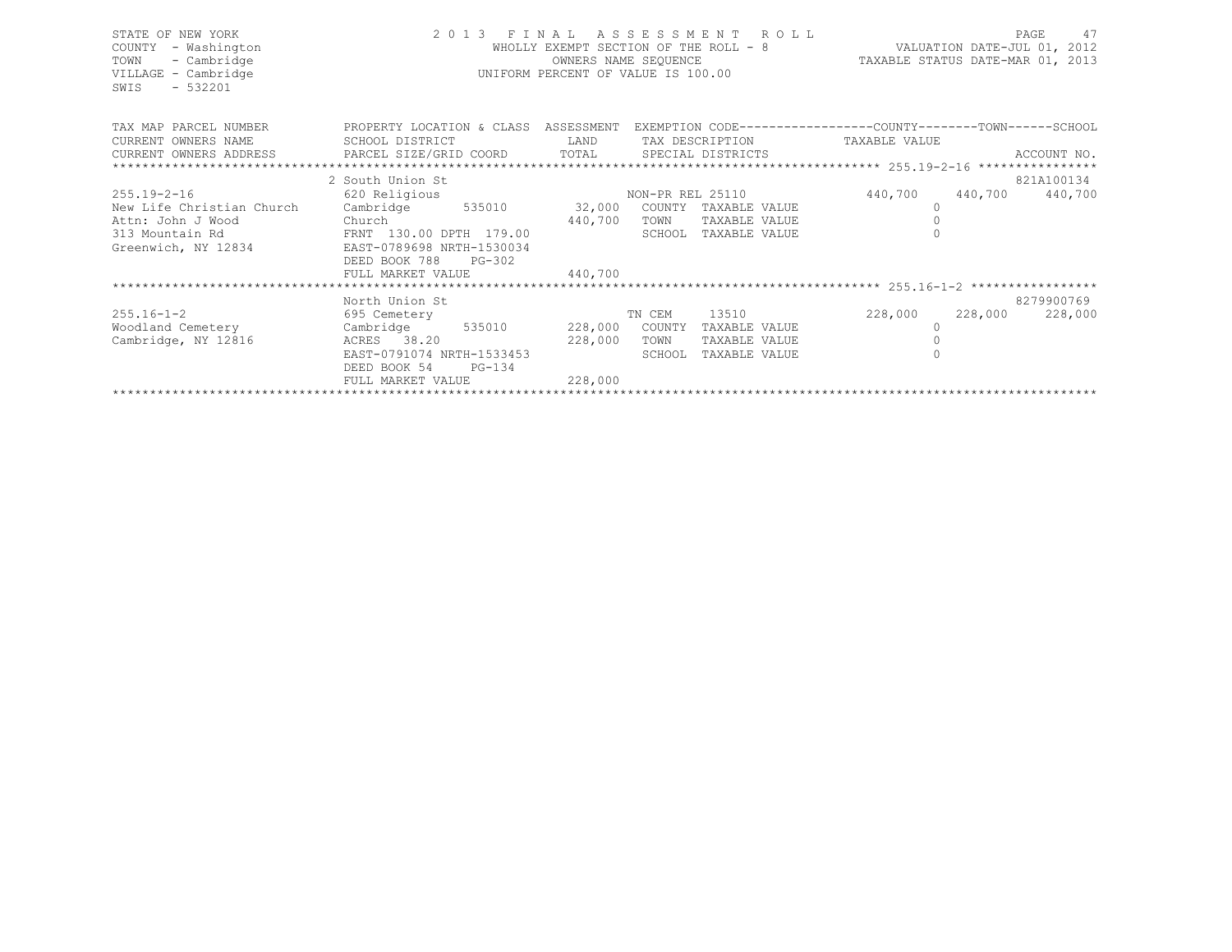| STATE OF NEW YORK<br>- Washington<br>COUNTY<br>TOWN<br>- Cambridge<br>VILLAGE - Cambridge<br>$-532201$<br>SWIS | 2013 FINAL ASSESSMENT ROLL<br>WHOLLY EXEMPT SECTION OF THE ROOM.<br>OWNERS NAME SEQUENCE<br>UNIFORM PERCENT OF VALUE IS 100.00<br>WHOLLY EXEMPT SECTION OF THE ROLL - 8 |         |        |                                                              | 47<br>PAGE<br>VALUATION DATE-JUL 01, 2012<br>TAXABLE STATUS DATE-MAR 01, 2013 |         |             |
|----------------------------------------------------------------------------------------------------------------|-------------------------------------------------------------------------------------------------------------------------------------------------------------------------|---------|--------|--------------------------------------------------------------|-------------------------------------------------------------------------------|---------|-------------|
| TAX MAP PARCEL NUMBER                                                                                          | PROPERTY LOCATION & CLASS ASSESSMENT                                                                                                                                    |         |        | EXEMPTION CODE-----------------COUNTY-------TOWN------SCHOOL |                                                                               |         |             |
| CURRENT OWNERS NAME SCHOOL DISTRICT                                                                            |                                                                                                                                                                         | LAND    |        | TAX DESCRIPTION TAXABLE VALUE                                |                                                                               |         |             |
| CURRENT OWNERS ADDRESS BARCEL SIZE/GRID COORD TOTAL SPECIAL DISTRICTS                                          |                                                                                                                                                                         |         |        |                                                              |                                                                               |         | ACCOUNT NO. |
|                                                                                                                |                                                                                                                                                                         |         |        |                                                              |                                                                               |         |             |
|                                                                                                                | 2 South Union St                                                                                                                                                        |         |        | 821A100134                                                   |                                                                               |         |             |
| $255.19 - 2 - 16$                                                                                              | 620 Religious                                                                                                                                                           |         |        | NON-PR REL 25110                                             | 440,700 440,700 440,700                                                       |         |             |
| New Life Christian Church                                                                                      | Cambridge 535010 32,000                                                                                                                                                 |         |        | COUNTY TAXABLE VALUE                                         | 0                                                                             |         |             |
| Attn: John J Wood                                                                                              | od 140,700<br>FRNT 130.00 DPTH 179.00 440,700                                                                                                                           |         | TOWN   | TAXABLE VALUE                                                |                                                                               |         |             |
| 313 Mountain Rd                                                                                                |                                                                                                                                                                         |         |        | SCHOOL TAXABLE VALUE                                         |                                                                               |         |             |
| Greenwich, NY 12834 EAST-0789698 NRTH-1530034                                                                  |                                                                                                                                                                         |         |        |                                                              |                                                                               |         |             |
|                                                                                                                | DEED BOOK 788<br>$PG-302$                                                                                                                                               |         |        |                                                              |                                                                               |         |             |
|                                                                                                                | FULL MARKET VALUE                                                                                                                                                       | 440,700 |        |                                                              |                                                                               |         |             |
|                                                                                                                |                                                                                                                                                                         |         |        |                                                              |                                                                               |         |             |
|                                                                                                                | North Union St                                                                                                                                                          |         |        |                                                              |                                                                               |         | 8279900769  |
| $255.16 - 1 - 2$                                                                                               | 695 Cemetery                                                                                                                                                            |         | TN CEM | 13510                                                        | 228,000                                                                       | 228,000 | 228,000     |
| Woodland Cemetery Cambridge 535010 228,000 COUNTY                                                              |                                                                                                                                                                         |         |        | TAXABLE VALUE                                                | $\Omega$                                                                      |         |             |
| Cambridge, NY 12816                                                                                            | ACRES 38.20                                                                                                                                                             | 228,000 | TOWN   | TAXABLE VALUE                                                |                                                                               |         |             |
|                                                                                                                | EAST-0791074 NRTH-1533453<br>PG-134<br>DEED BOOK 54                                                                                                                     |         | SCHOOL | TAXABLE VALUE                                                |                                                                               |         |             |
|                                                                                                                | FULL MARKET VALUE                                                                                                                                                       | 228,000 |        |                                                              |                                                                               |         |             |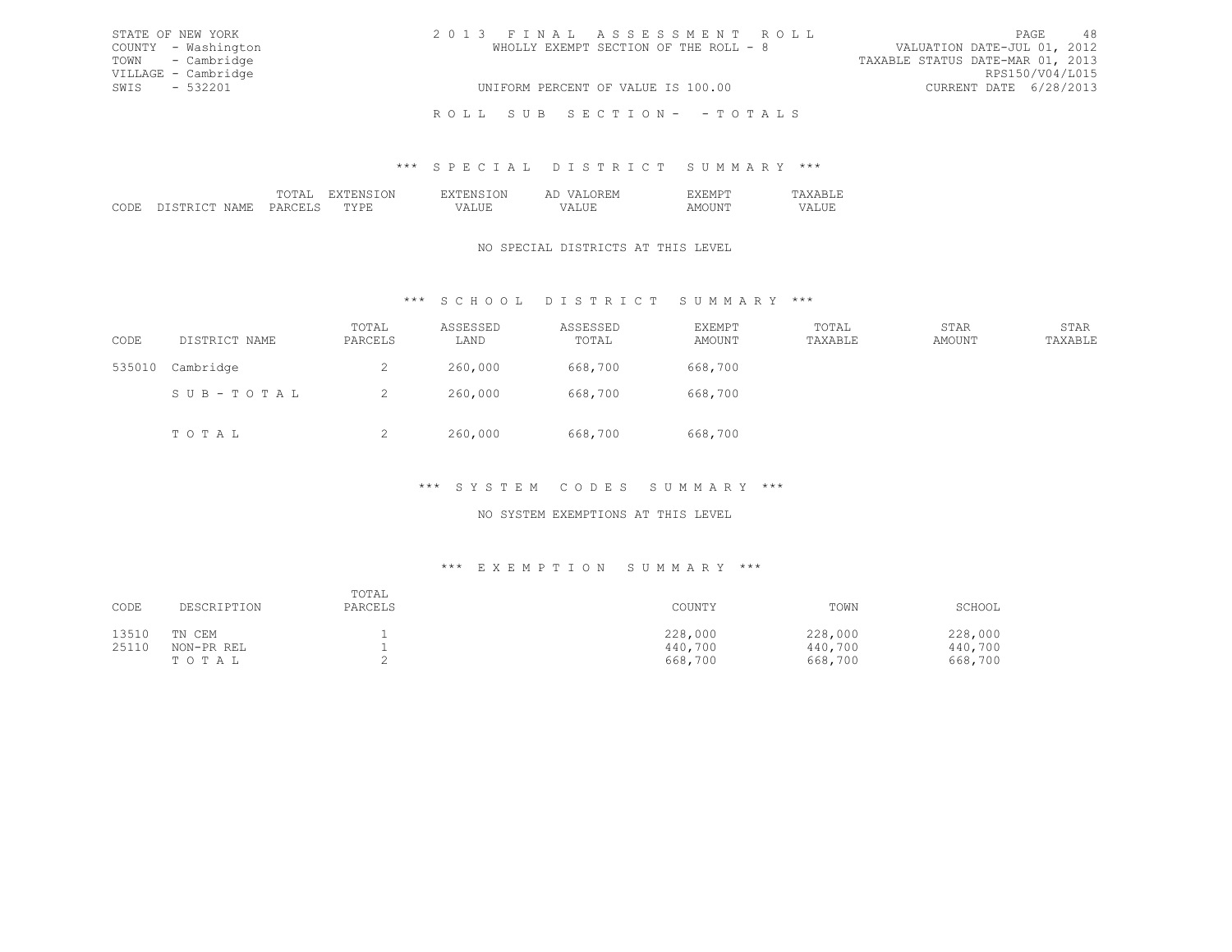| STATE OF NEW YORK   | 2013 FINAL ASSESSMENT ROLL            | - 48<br>PAGE                     |
|---------------------|---------------------------------------|----------------------------------|
| COUNTY - Washington | WHOLLY EXEMPT SECTION OF THE ROLL - 8 | VALUATION DATE-JUL 01, 2012      |
| TOWN - Cambridge    |                                       | TAXABLE STATUS DATE-MAR 01, 2013 |
| VILLAGE - Cambridge |                                       | RPS150/V04/L015                  |
| SWIS - 532201       | UNIFORM PERCENT OF VALUE IS 100.00    | CURRENT DATE 6/28/2013           |
|                     | ROLL SUB SECTION- - TOTALS            |                                  |

### \*\*\* S P E C I A L D I S T R I C T S U M M A R Y \*\*\*

|   |  | . . |  |
|---|--|-----|--|
| . |  |     |  |

# NO SPECIAL DISTRICTS AT THIS LEVEL

# \*\*\* S C H O O L D I S T R I C T S U M M A R Y \*\*\*

| CODE   | DISTRICT NAME | TOTAL<br>PARCELS | ASSESSED<br>LAND | ASSESSED<br>TOTAL | <b>EXEMPT</b><br>AMOUNT | TOTAL<br>TAXABLE | STAR<br>AMOUNT | STAR<br>TAXABLE |
|--------|---------------|------------------|------------------|-------------------|-------------------------|------------------|----------------|-----------------|
| 535010 | Cambridge     | ∠                | 260,000          | 668,700           | 668,700                 |                  |                |                 |
|        | SUB-TOTAL     | ∼                | 260,000          | 668,700           | 668,700                 |                  |                |                 |
|        | TOTAL         | ∼                | 260,000          | 668,700           | 668,700                 |                  |                |                 |

# \*\*\* S Y S T E M C O D E S S U M M A R Y \*\*\*

# NO SYSTEM EXEMPTIONS AT THIS LEVEL

## \*\*\* E X E M P T I O N S U M M A R Y \*\*\*

| CODE  | DESCRIPTION | TOTAL<br>PARCELS | COUNTY  | TOWN    | SCHOOL  |
|-------|-------------|------------------|---------|---------|---------|
| 13510 | TN CEM      |                  | 228,000 | 228,000 | 228,000 |
| 25110 | NON-PR REL  |                  | 440,700 | 440,700 | 440,700 |
|       | TOTAL       |                  | 668,700 | 668,700 | 668,700 |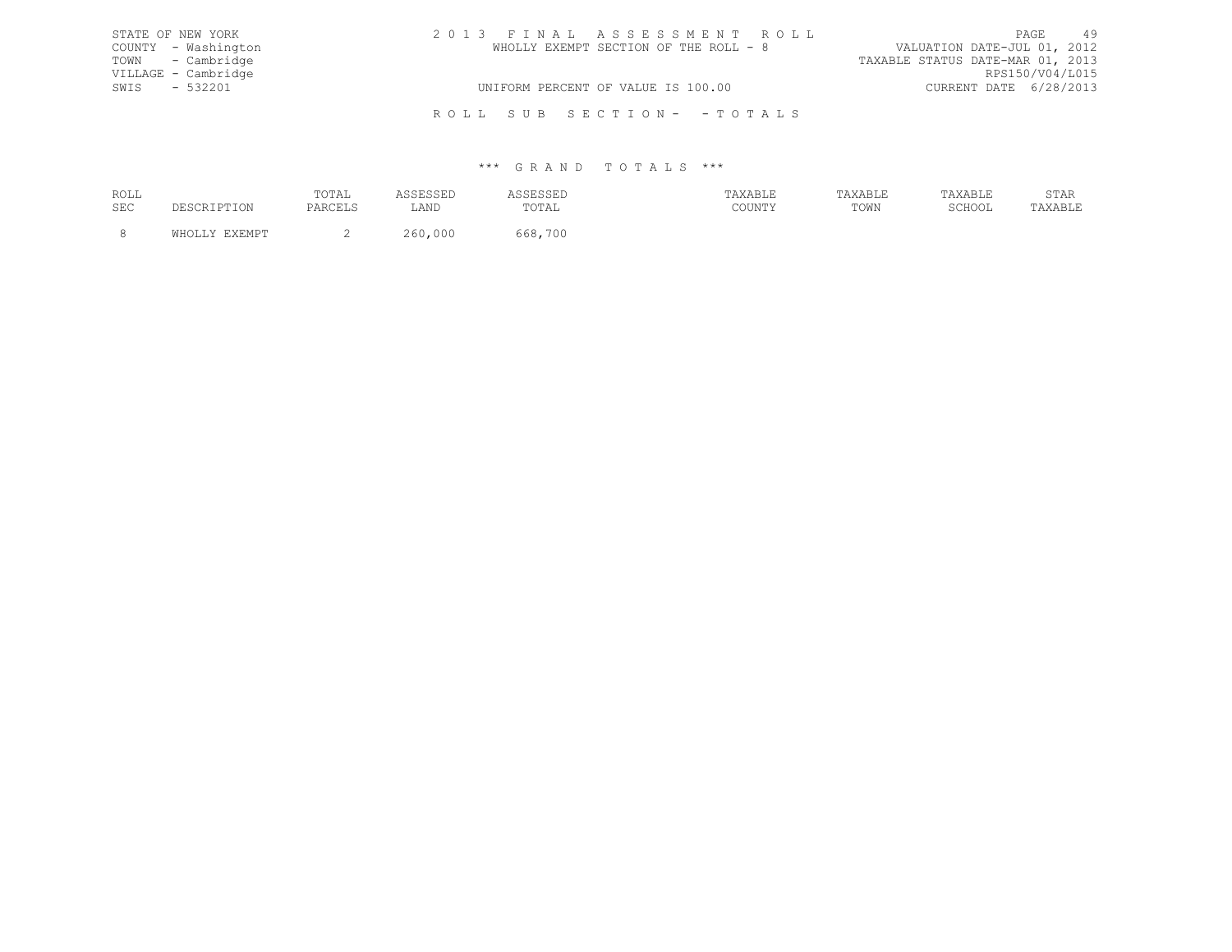| STATE OF NEW YORK   | 2013 FINAL ASSESSMENT ROLL            | PAGE                             | 49 |
|---------------------|---------------------------------------|----------------------------------|----|
| COUNTY - Washington | WHOLLY EXEMPT SECTION OF THE ROLL - 8 | VALUATION DATE-JUL 01, 2012      |    |
| TOWN - Cambridge    |                                       | TAXABLE STATUS DATE-MAR 01, 2013 |    |
| VILLAGE - Cambridge |                                       | RPS150/V04/L015                  |    |
| SWIS - 532201       | UNIFORM PERCENT OF VALUE IS 100.00    | CURRENT DATE 6/28/2013           |    |
|                     | ROLL SUB SECTION- - TOTALS            |                                  |    |

| ROLL       | TOTAL |      | .                            |                     |      |        | הגרחי<br><u>U 1 1 1 1</u> |
|------------|-------|------|------------------------------|---------------------|------|--------|---------------------------|
| <b>SEC</b> |       | ∟AND | $T \cap T \mathbb{Z}$<br>◡⊥ឹ | CCTATM<br>, JULY 1. | TOWN | SCHOOL | ـ ـ ـ ـ ـ                 |
|            |       |      |                              |                     |      |        |                           |
|            |       |      | 700                          |                     |      |        |                           |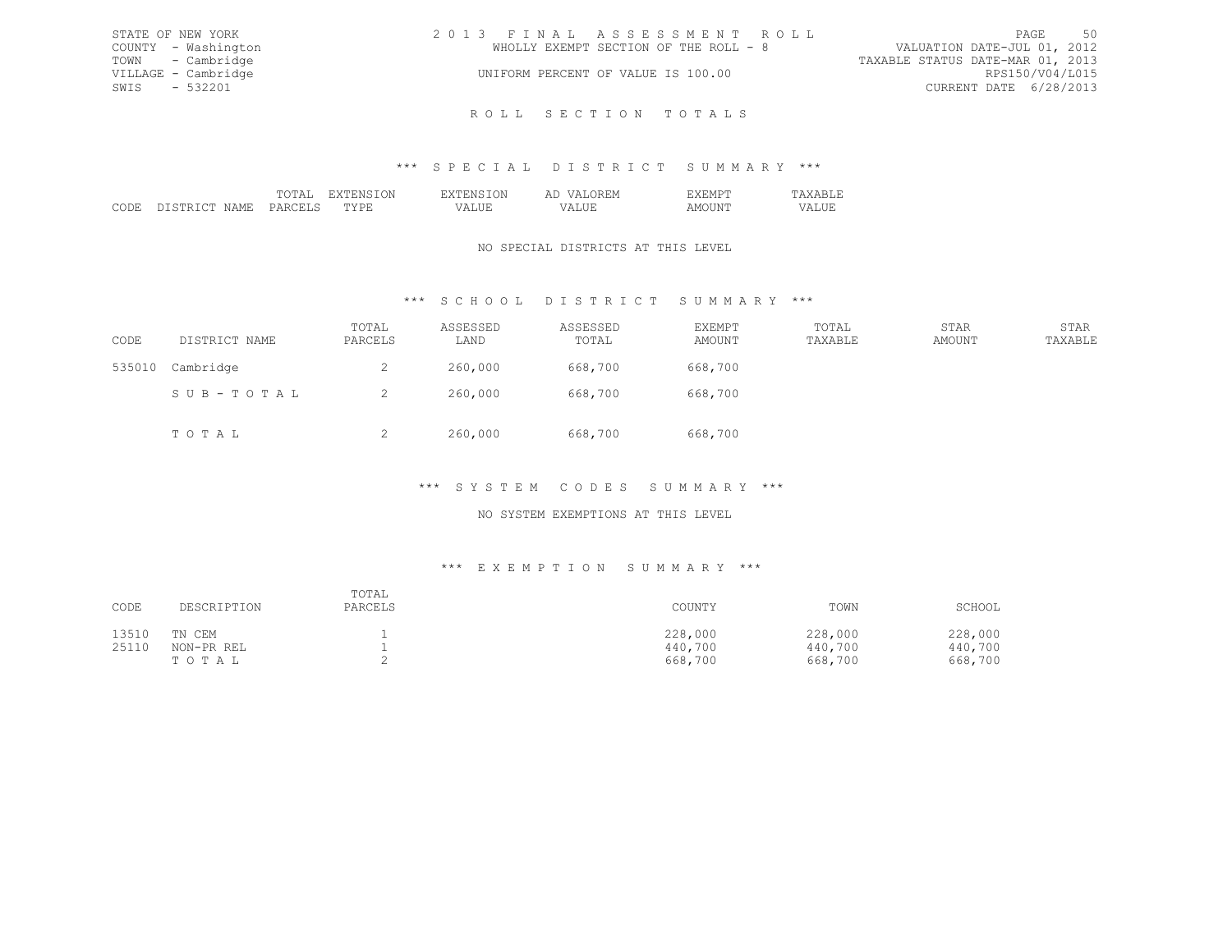| STATE OF NEW YORK |                     | 2013 FINAL ASSESSMENT ROLL                                           | PAGE                   | - 50 |
|-------------------|---------------------|----------------------------------------------------------------------|------------------------|------|
|                   | COUNTY - Washington | VALUATION DATE-JUL 01, 2012<br>WHOLLY EXEMPT SECTION OF THE ROLL - 8 |                        |      |
|                   | TOWN - Cambridge    | TAXABLE STATUS DATE-MAR 01, 2013                                     |                        |      |
|                   | VILLAGE - Cambridge | UNIFORM PERCENT OF VALUE IS 100.00                                   | RPS150/V04/L015        |      |
| SWIS - 532201     |                     |                                                                      | CURRENT DATE 6/28/2013 |      |
|                   |                     |                                                                      |                        |      |

# \*\*\* S P E C I A L D I S T R I C T S U M M A R Y \*\*\*

R O L L S E C T I O N T O T A L S

|  |  | ∸<br><b>A A</b> |  |
|--|--|-----------------|--|
|  |  |                 |  |
|  |  |                 |  |

# NO SPECIAL DISTRICTS AT THIS LEVEL

# \*\*\* S C H O O L D I S T R I C T S U M M A R Y \*\*\*

| CODE   | DISTRICT NAME | TOTAL<br>PARCELS | ASSESSED<br>LAND | ASSESSED<br>TOTAL | EXEMPT<br>AMOUNT | TOTAL<br>TAXABLE | STAR<br>AMOUNT | STAR<br>TAXABLE |
|--------|---------------|------------------|------------------|-------------------|------------------|------------------|----------------|-----------------|
| 535010 | Cambridge     | ∠                | 260,000          | 668,700           | 668,700          |                  |                |                 |
|        | SUB-TOTAL     |                  | 260,000          | 668,700           | 668,700          |                  |                |                 |
|        | TOTAL         | ∼                | 260,000          | 668,700           | 668,700          |                  |                |                 |

# \*\*\* S Y S T E M C O D E S S U M M A R Y \*\*\*

# NO SYSTEM EXEMPTIONS AT THIS LEVEL

## \*\*\* E X E M P T I O N S U M M A R Y \*\*\*

| CODE  | DESCRIPTION | TOTAL<br>PARCELS | COUNTY  | TOWN    | SCHOOL  |
|-------|-------------|------------------|---------|---------|---------|
| 13510 | TN CEM      |                  | 228,000 | 228,000 | 228,000 |
| 25110 | NON-PR REL  |                  | 440,700 | 440,700 | 440,700 |
|       | TOTAL       |                  | 668,700 | 668,700 | 668,700 |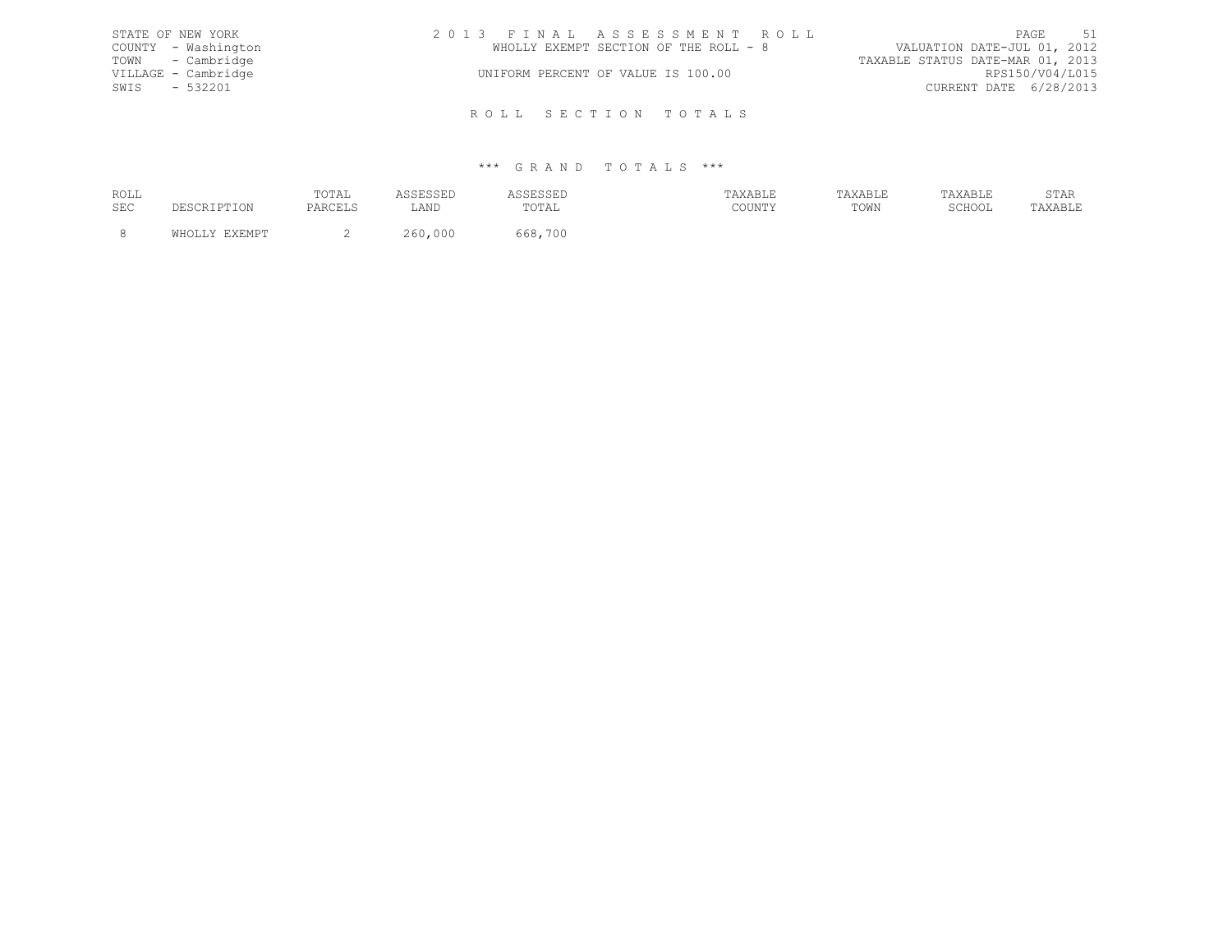| STATE OF NEW YORK   | 2013 FINAL ASSESSMENT ROLL            | PAGE 51                          |
|---------------------|---------------------------------------|----------------------------------|
| COUNTY - Washington | WHOLLY EXEMPT SECTION OF THE ROLL - 8 | VALUATION DATE-JUL 01, 2012      |
| TOWN - Cambridge    |                                       | TAXABLE STATUS DATE-MAR 01, 2013 |
| VILLAGE - Cambridge | UNIFORM PERCENT OF VALUE IS 100.00    | RPS150/V04/L015                  |
| SWIS - 532201       |                                       | CURRENT DATE 6/28/2013           |
|                     |                                       |                                  |
|                     | ROLL SECTION TOTALS                   |                                  |

| ROLL | TOTAL |      | .                      |                     |      |        | הגרחי<br><u>U 1 1 1 1</u> |
|------|-------|------|------------------------|---------------------|------|--------|---------------------------|
| SEC  |       | ∟AND | $P\cap T\Delta$<br>◡⊥ឹ | CCTATM<br>, JULY 1. | TOWN | SCHOOL | ـ ـ ـ ـ ـ                 |
|      |       |      |                        |                     |      |        |                           |
|      |       |      | 700                    |                     |      |        |                           |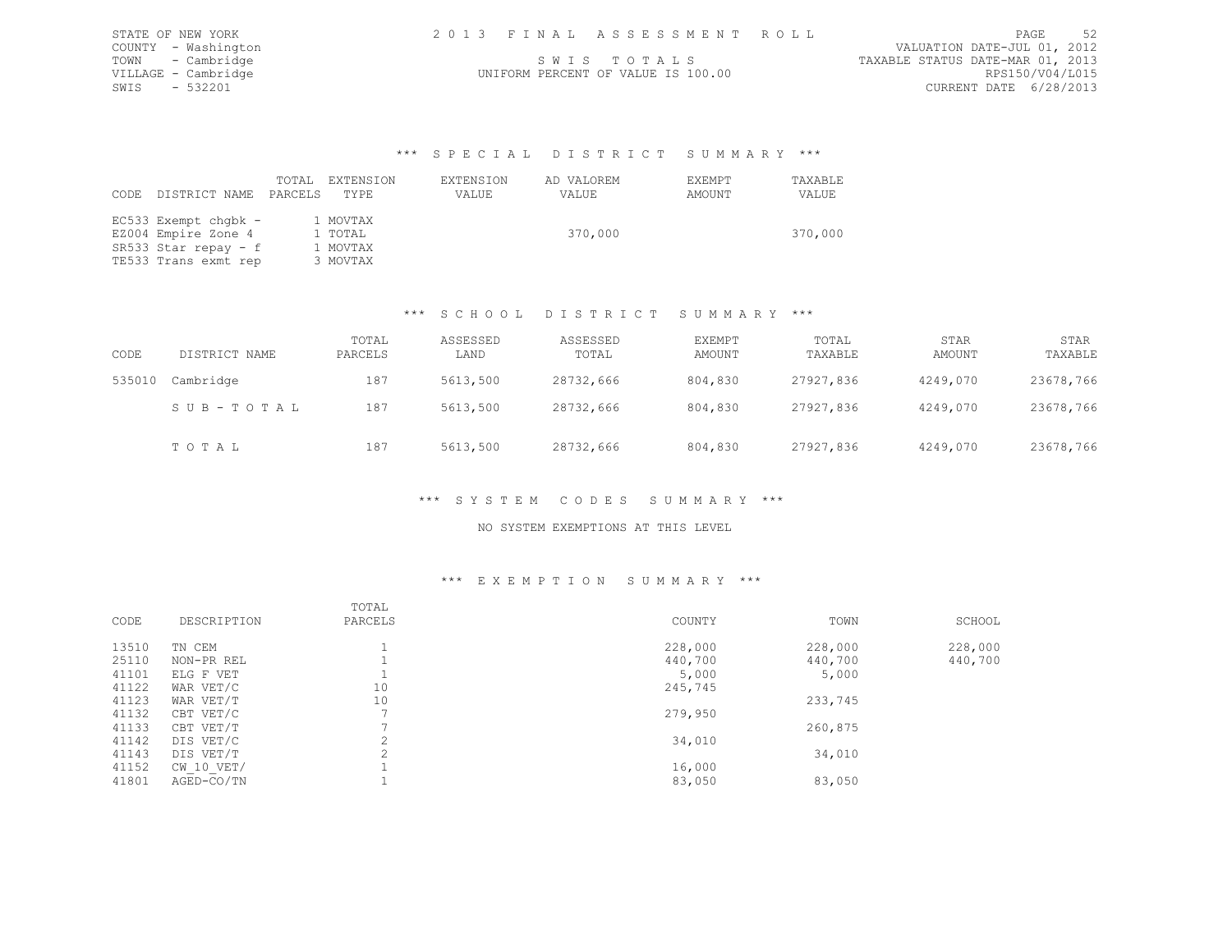| STATE OF NEW YORK   | 2013 FINAL ASSESSMENT ROLL         | - 52<br>PAGE                     |
|---------------------|------------------------------------|----------------------------------|
| COUNTY - Washington |                                    | VALUATION DATE-JUL 01, 2012      |
| TOWN - Cambridge    | SWIS TOTALS                        | TAXABLE STATUS DATE-MAR 01, 2013 |
| VILLAGE - Cambridge | UNIFORM PERCENT OF VALUE IS 100.00 | RPS150/V04/L015                  |
| SWIS - 532201       |                                    | CURRENT DATE 6/28/2013           |
|                     |                                    |                                  |

### \*\*\* S P E C I A L D I S T R I C T S U M M A R Y \*\*\*

| CODE | DISTRICT NAME PARCELS | TOTAL | EXTENSION<br>TYPE | EXTENSION<br>VALUE | AD VALOREM<br>VALUE | EXEMPT<br>AMOUNT | TAXABLE<br>VALUE |
|------|-----------------------|-------|-------------------|--------------------|---------------------|------------------|------------------|
|      | EC533 Exempt chqbk -  |       | 1 MOVTAX          |                    |                     |                  |                  |
|      | EZ004 Empire Zone 4   |       | 1 TOTAL           |                    | 370,000             |                  | 370,000          |
|      | SR533 Star repay - f  |       | 1 MOVTAX          |                    |                     |                  |                  |
|      | TE533 Trans exmt rep  |       | 3 MOVTAX          |                    |                     |                  |                  |

## \*\*\* S C H O O L D I S T R I C T S U M M A R Y \*\*\*

| CODE   | DISTRICT NAME | TOTAL<br>PARCELS | ASSESSED<br>LAND | ASSESSED<br>TOTAL | EXEMPT<br>AMOUNT | TOTAL<br>TAXABLE | STAR<br>AMOUNT | STAR<br>TAXABLE |
|--------|---------------|------------------|------------------|-------------------|------------------|------------------|----------------|-----------------|
| 535010 | Cambridge     | 187              | 5613,500         | 28732,666         | 804,830          | 27927,836        | 4249,070       | 23678,766       |
|        | SUB-TOTAL     | 187              | 5613,500         | 28732,666         | 804,830          | 27927,836        | 4249,070       | 23678,766       |
|        | TOTAL         | 187              | 5613,500         | 28732,666         | 804,830          | 27927,836        | 4249,070       | 23678,766       |

# \*\*\* S Y S T E M C O D E S S U M M A R Y \*\*\*

### NO SYSTEM EXEMPTIONS AT THIS LEVEL

### \*\*\* E X E M P T I O N S U M M A R Y \*\*\*

| CODE  | DESCRIPTION    | TOTAL<br>PARCELS | COUNTY  | TOWN    | SCHOOL  |
|-------|----------------|------------------|---------|---------|---------|
| 13510 | TN CEM         |                  | 228,000 | 228,000 | 228,000 |
| 25110 | NON-PR REL     |                  | 440,700 | 440,700 | 440,700 |
| 41101 | ELG F VET      |                  | 5,000   | 5,000   |         |
| 41122 | WAR VET/C      | 10               | 245,745 |         |         |
| 41123 | WAR VET/T      | 10               |         | 233,745 |         |
| 41132 | CBT VET/C      |                  | 279,950 |         |         |
| 41133 | CBT VET/T      |                  |         | 260,875 |         |
| 41142 | DIS VET/C      | $\bigcirc$<br>∠  | 34,010  |         |         |
| 41143 | DIS VET/T      |                  |         | 34,010  |         |
| 41152 | $CW$ 10 $VET/$ |                  | 16,000  |         |         |
| 41801 | AGED-CO/TN     |                  | 83,050  | 83,050  |         |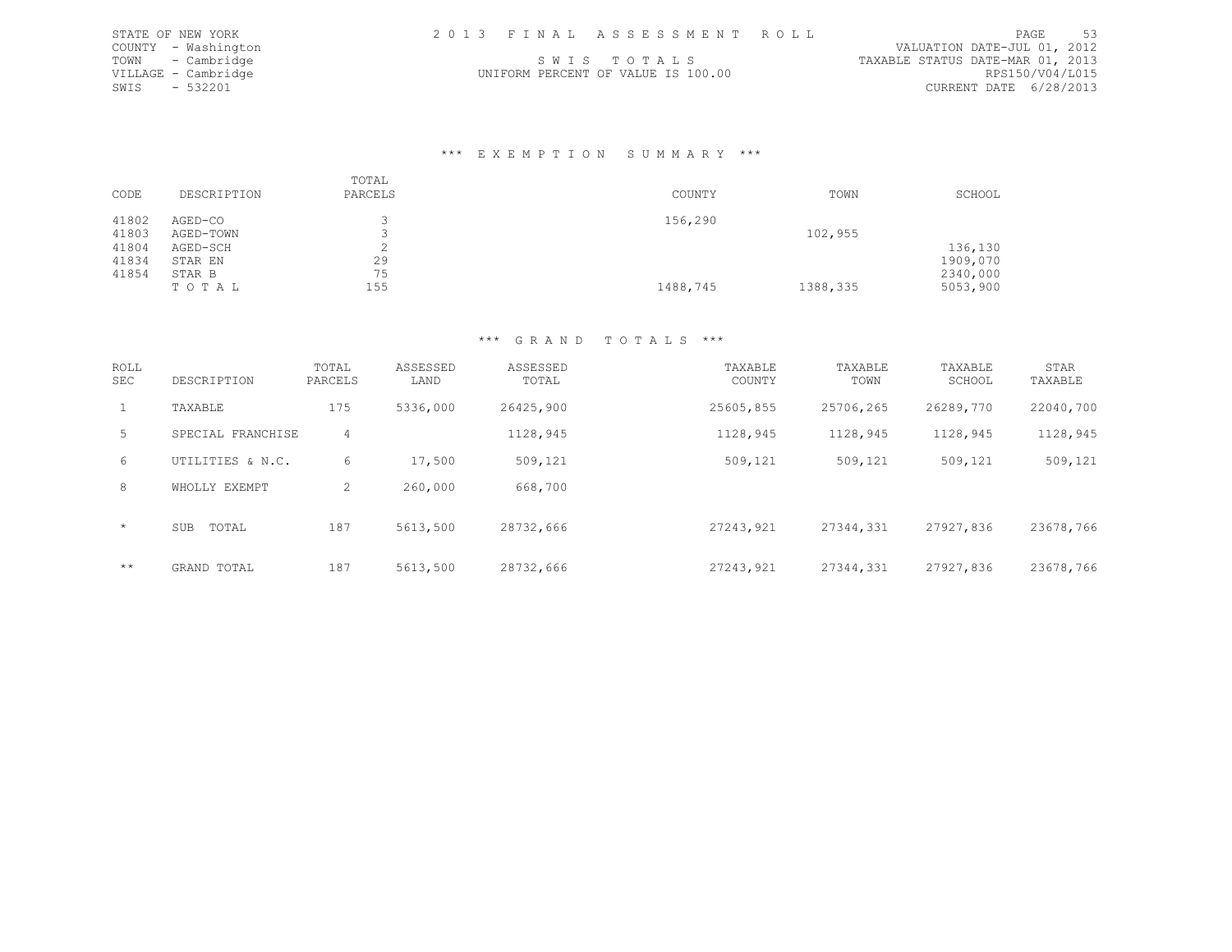| STATE OF NEW YORK   | 2013 FINAL ASSESSMENT ROLL         | -53<br>PAGE                      |
|---------------------|------------------------------------|----------------------------------|
| COUNTY - Washington |                                    | VALUATION DATE-JUL 01, 2012      |
| TOWN - Cambridge    | SWIS TOTALS                        | TAXABLE STATUS DATE-MAR 01, 2013 |
| VILLAGE - Cambridge | UNIFORM PERCENT OF VALUE IS 100.00 | RPS150/V04/L015                  |
| SWIS - 532201       |                                    | CURRENT DATE 6/28/2013           |

### \*\*\* E X E M P T I O N S U M M A R Y \*\*\*

| CODE  | DESCRIPTION | TOTAL<br>PARCELS | COUNTY   | TOWN     | SCHOOL   |
|-------|-------------|------------------|----------|----------|----------|
| 41802 | AGED-CO     |                  | 156,290  |          |          |
| 41803 | AGED-TOWN   |                  |          | 102,955  |          |
| 41804 | AGED-SCH    |                  |          |          | 136,130  |
| 41834 | STAR EN     | 29               |          |          | 1909,070 |
| 41854 | STAR B      | 75               |          |          | 2340,000 |
|       | TOTAL       | 155              | 1488,745 | 1388,335 | 5053,900 |

| ROLL<br><b>SEC</b> | DESCRIPTION         | TOTAL<br>PARCELS | ASSESSED<br>LAND | ASSESSED<br>TOTAL | TAXABLE<br>COUNTY | TAXABLE<br>TOWN | TAXABLE<br>SCHOOL | STAR<br>TAXABLE |
|--------------------|---------------------|------------------|------------------|-------------------|-------------------|-----------------|-------------------|-----------------|
| $\mathbf{1}$       | TAXABLE             | 175              | 5336,000         | 26425,900         | 25605,855         | 25706,265       | 26289,770         | 22040,700       |
| 5                  | SPECIAL FRANCHISE   | 4                |                  | 1128,945          | 1128,945          | 1128,945        | 1128,945          | 1128,945        |
| 6                  | UTILITIES & N.C.    | 6                | 17,500           | 509,121           | 509,121           | 509,121         | 509,121           | 509,121         |
| 8                  | WHOLLY EXEMPT       | 2                | 260,000          | 668,700           |                   |                 |                   |                 |
| $\star$            | <b>SUB</b><br>TOTAL | 187              | 5613,500         | 28732,666         | 27243,921         | 27344,331       | 27927,836         | 23678,766       |
| $***$              | GRAND TOTAL         | 187              | 5613,500         | 28732,666         | 27243,921         | 27344,331       | 27927,836         | 23678,766       |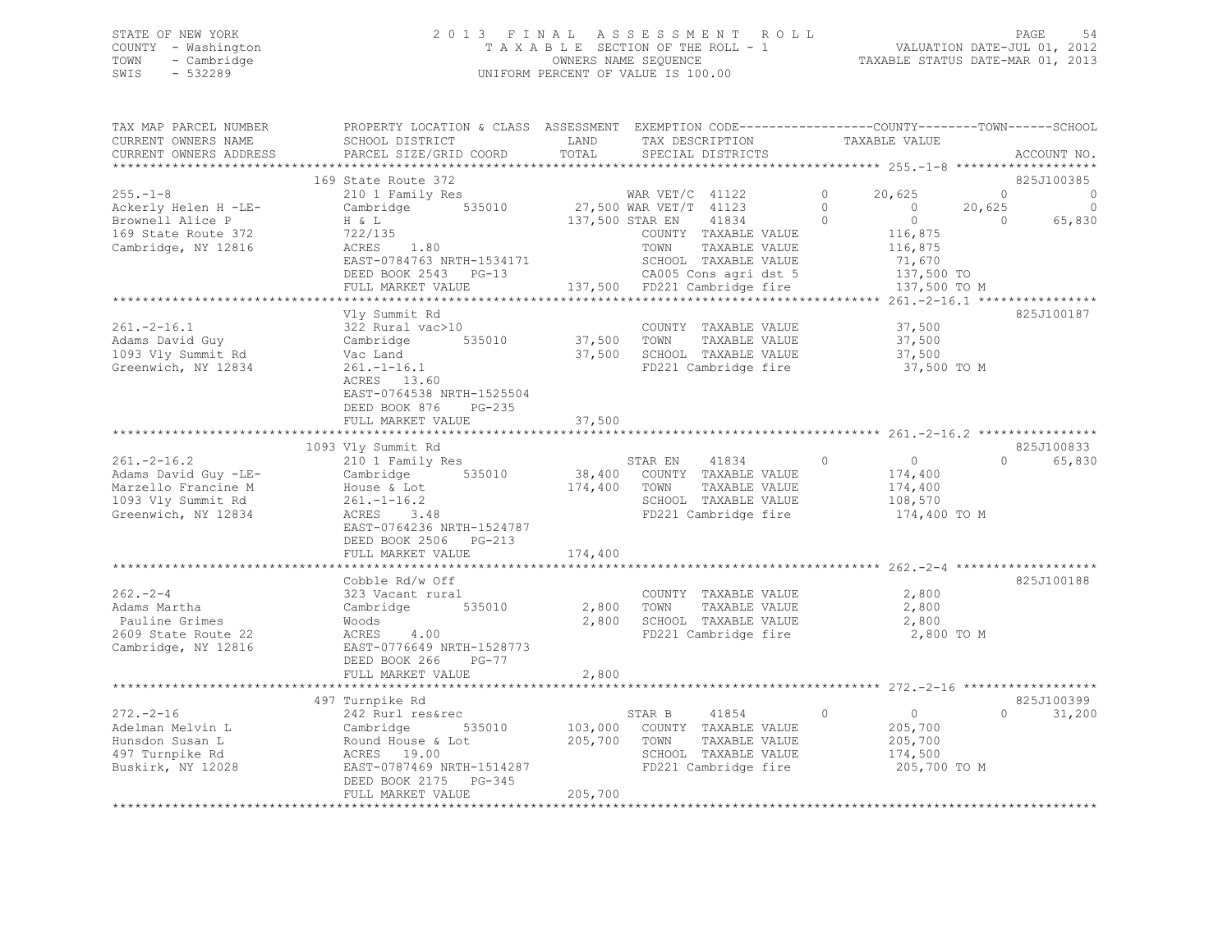# STATE OF NEW YORK 2 0 1 3 F I N A L A S S E S S M E N T R O L L PAGE 54 COUNTY - Washington T A X A B L E SECTION OF THE ROLL - 1 VALUATION DATE-JUL 01, 2012 TOWN - Cambridge OWNERS NAME SEQUENCE TAXABLE STATUS DATE-MAR 01, 2013 SWIS - 532289 UNIFORM PERCENT OF VALUE IS 100.00

| 169 State Route 372<br>825J100385<br>$\circ$<br>20,625<br>$255. - 1 - 8$<br>210 1 Family Res<br>WAR $VET/C$ 41122<br>$\circ$<br>0<br>$\circ$<br>Ackerly Helen H -LE-<br>535010<br>27,500 WAR VET/T 41123<br>0<br>$\circ$<br>20,625<br>Cambridge<br>$\circ$<br>137,500 STAR EN<br>41834<br>$\Omega$<br>65,830<br>Brownell Alice P<br>H & L<br>$\Omega$<br>169 State Route 372<br>722/135<br>COUNTY TAXABLE VALUE<br>116,875<br>Cambridge, NY 12816<br>ACRES<br>1.80<br>TOWN<br>TAXABLE VALUE<br>116,875<br>EAST-0784763 NRTH-1534171<br>SCHOOL TAXABLE VALUE<br>71,670<br>DEED BOOK 2543 PG-13<br>CA005 Cons agri dst 5<br>137,500 TO<br>137,500 FD221 Cambridge fire<br>FULL MARKET VALUE<br>137,500 TO M<br>*********************<br>******* 261.-2-16.1 ***************<br>Vly Summit Rd<br>825J100187<br>$261. -2 - 16.1$<br>COUNTY TAXABLE VALUE<br>37,500<br>322 Rural vac>10<br>37,500<br>535010<br>TOWN<br>TAXABLE VALUE<br>37,500<br>Cambridge<br>37,500<br>SCHOOL TAXABLE VALUE<br>Vac Land<br>37,500<br>FD221 Cambridge fire<br>$261. - 1 - 16.1$<br>37,500 TO M<br>ACRES 13.60<br>EAST-0764538 NRTH-1525504<br>DEED BOOK 876<br>$PG-235$<br>FULL MARKET VALUE<br>37,500<br>*****************************<br>1093 Vly Summit Rd<br>825J100833<br>$261. -2 - 16.2$<br>210 1 Family Res<br>STAR EN<br>41834<br>$\circ$<br>$\circ$<br>$\Omega$<br>65,830<br>Adams David Guy -LE-<br>535010<br>38,400<br>COUNTY TAXABLE VALUE<br>Cambridge<br>174,400<br>174,400<br>TAXABLE VALUE<br>Marzello Francine M<br>TOWN<br>174,400<br>House & Lot<br>1093 Vly Summit Rd<br>SCHOOL TAXABLE VALUE<br>$261. - 1 - 16.2$<br>108,570<br>Greenwich, NY 12834<br>FD221 Cambridge fire<br>ACRES 3.48<br>174,400 TO M<br>EAST-0764236 NRTH-1524787<br>DEED BOOK 2506 PG-213<br>174,400<br>FULL MARKET VALUE<br>Cobble Rd/w Off<br>825J100188<br>$262 - 2 - 4$<br>2,800<br>323 Vacant rural<br>COUNTY TAXABLE VALUE<br>Adams Martha<br>535010<br>2,800<br>TOWN<br>TAXABLE VALUE<br>2,800<br>Cambridge<br>Pauline Grimes<br>2,800<br>SCHOOL TAXABLE VALUE<br>Woods<br>2,800<br>2609 State Route 22<br>4.00<br>FD221 Cambridge fire<br>2,800 TO M<br>ACRES<br>EAST-0776649 NRTH-1528773<br>Cambridge, NY 12816<br>DEED BOOK 266<br>$PG-77$<br>2,800<br>FULL MARKET VALUE<br>497 Turnpike Rd<br>825J100399<br>242 Rurl res&rec<br>STAR B<br>41854<br>0<br>$\circ$<br>$\Omega$<br>31,200<br>Cambridge<br>535010<br>103,000<br>COUNTY TAXABLE VALUE<br>205,700<br>205,700<br>TOWN<br>TAXABLE VALUE<br>205,700<br>Round House & Lot<br>SCHOOL TAXABLE VALUE<br>174,500<br>ACRES<br>19.00<br>FD221 Cambridge fire<br>205,700 TO M<br>EAST-0787469 NRTH-1514287<br>DEED BOOK 2175<br>$PG-345$<br>205,700<br>FULL MARKET VALUE | TAX MAP PARCEL NUMBER<br>CURRENT OWNERS NAME<br>CURRENT OWNERS ADDRESS | PROPERTY LOCATION & CLASS ASSESSMENT EXEMPTION CODE----------------COUNTY-------TOWN------SCHOOL<br>SCHOOL DISTRICT<br>PARCEL SIZE/GRID COORD | LAND<br>TOTAL | TAX DESCRIPTION<br>SPECIAL DISTRICTS | TAXABLE VALUE | ACCOUNT NO. |
|------------------------------------------------------------------------------------------------------------------------------------------------------------------------------------------------------------------------------------------------------------------------------------------------------------------------------------------------------------------------------------------------------------------------------------------------------------------------------------------------------------------------------------------------------------------------------------------------------------------------------------------------------------------------------------------------------------------------------------------------------------------------------------------------------------------------------------------------------------------------------------------------------------------------------------------------------------------------------------------------------------------------------------------------------------------------------------------------------------------------------------------------------------------------------------------------------------------------------------------------------------------------------------------------------------------------------------------------------------------------------------------------------------------------------------------------------------------------------------------------------------------------------------------------------------------------------------------------------------------------------------------------------------------------------------------------------------------------------------------------------------------------------------------------------------------------------------------------------------------------------------------------------------------------------------------------------------------------------------------------------------------------------------------------------------------------------------------------------------------------------------------------------------------------------------------------------------------------------------------------------------------------------------------------------------------------------------------------------------------------------------------------------------------------------------------------------------------------------------------------------------------------------------------------------------------------------------------------------------------------------------------------------------------------------------------------------------|------------------------------------------------------------------------|-----------------------------------------------------------------------------------------------------------------------------------------------|---------------|--------------------------------------|---------------|-------------|
|                                                                                                                                                                                                                                                                                                                                                                                                                                                                                                                                                                                                                                                                                                                                                                                                                                                                                                                                                                                                                                                                                                                                                                                                                                                                                                                                                                                                                                                                                                                                                                                                                                                                                                                                                                                                                                                                                                                                                                                                                                                                                                                                                                                                                                                                                                                                                                                                                                                                                                                                                                                                                                                                                                            | ***********************                                                |                                                                                                                                               |               |                                      |               |             |
|                                                                                                                                                                                                                                                                                                                                                                                                                                                                                                                                                                                                                                                                                                                                                                                                                                                                                                                                                                                                                                                                                                                                                                                                                                                                                                                                                                                                                                                                                                                                                                                                                                                                                                                                                                                                                                                                                                                                                                                                                                                                                                                                                                                                                                                                                                                                                                                                                                                                                                                                                                                                                                                                                                            |                                                                        |                                                                                                                                               |               |                                      |               |             |
|                                                                                                                                                                                                                                                                                                                                                                                                                                                                                                                                                                                                                                                                                                                                                                                                                                                                                                                                                                                                                                                                                                                                                                                                                                                                                                                                                                                                                                                                                                                                                                                                                                                                                                                                                                                                                                                                                                                                                                                                                                                                                                                                                                                                                                                                                                                                                                                                                                                                                                                                                                                                                                                                                                            |                                                                        |                                                                                                                                               |               |                                      |               |             |
|                                                                                                                                                                                                                                                                                                                                                                                                                                                                                                                                                                                                                                                                                                                                                                                                                                                                                                                                                                                                                                                                                                                                                                                                                                                                                                                                                                                                                                                                                                                                                                                                                                                                                                                                                                                                                                                                                                                                                                                                                                                                                                                                                                                                                                                                                                                                                                                                                                                                                                                                                                                                                                                                                                            |                                                                        |                                                                                                                                               |               |                                      |               |             |
|                                                                                                                                                                                                                                                                                                                                                                                                                                                                                                                                                                                                                                                                                                                                                                                                                                                                                                                                                                                                                                                                                                                                                                                                                                                                                                                                                                                                                                                                                                                                                                                                                                                                                                                                                                                                                                                                                                                                                                                                                                                                                                                                                                                                                                                                                                                                                                                                                                                                                                                                                                                                                                                                                                            |                                                                        |                                                                                                                                               |               |                                      |               |             |
|                                                                                                                                                                                                                                                                                                                                                                                                                                                                                                                                                                                                                                                                                                                                                                                                                                                                                                                                                                                                                                                                                                                                                                                                                                                                                                                                                                                                                                                                                                                                                                                                                                                                                                                                                                                                                                                                                                                                                                                                                                                                                                                                                                                                                                                                                                                                                                                                                                                                                                                                                                                                                                                                                                            |                                                                        |                                                                                                                                               |               |                                      |               |             |
|                                                                                                                                                                                                                                                                                                                                                                                                                                                                                                                                                                                                                                                                                                                                                                                                                                                                                                                                                                                                                                                                                                                                                                                                                                                                                                                                                                                                                                                                                                                                                                                                                                                                                                                                                                                                                                                                                                                                                                                                                                                                                                                                                                                                                                                                                                                                                                                                                                                                                                                                                                                                                                                                                                            |                                                                        |                                                                                                                                               |               |                                      |               |             |
|                                                                                                                                                                                                                                                                                                                                                                                                                                                                                                                                                                                                                                                                                                                                                                                                                                                                                                                                                                                                                                                                                                                                                                                                                                                                                                                                                                                                                                                                                                                                                                                                                                                                                                                                                                                                                                                                                                                                                                                                                                                                                                                                                                                                                                                                                                                                                                                                                                                                                                                                                                                                                                                                                                            |                                                                        |                                                                                                                                               |               |                                      |               |             |
|                                                                                                                                                                                                                                                                                                                                                                                                                                                                                                                                                                                                                                                                                                                                                                                                                                                                                                                                                                                                                                                                                                                                                                                                                                                                                                                                                                                                                                                                                                                                                                                                                                                                                                                                                                                                                                                                                                                                                                                                                                                                                                                                                                                                                                                                                                                                                                                                                                                                                                                                                                                                                                                                                                            |                                                                        |                                                                                                                                               |               |                                      |               |             |
|                                                                                                                                                                                                                                                                                                                                                                                                                                                                                                                                                                                                                                                                                                                                                                                                                                                                                                                                                                                                                                                                                                                                                                                                                                                                                                                                                                                                                                                                                                                                                                                                                                                                                                                                                                                                                                                                                                                                                                                                                                                                                                                                                                                                                                                                                                                                                                                                                                                                                                                                                                                                                                                                                                            |                                                                        |                                                                                                                                               |               |                                      |               |             |
|                                                                                                                                                                                                                                                                                                                                                                                                                                                                                                                                                                                                                                                                                                                                                                                                                                                                                                                                                                                                                                                                                                                                                                                                                                                                                                                                                                                                                                                                                                                                                                                                                                                                                                                                                                                                                                                                                                                                                                                                                                                                                                                                                                                                                                                                                                                                                                                                                                                                                                                                                                                                                                                                                                            |                                                                        |                                                                                                                                               |               |                                      |               |             |
|                                                                                                                                                                                                                                                                                                                                                                                                                                                                                                                                                                                                                                                                                                                                                                                                                                                                                                                                                                                                                                                                                                                                                                                                                                                                                                                                                                                                                                                                                                                                                                                                                                                                                                                                                                                                                                                                                                                                                                                                                                                                                                                                                                                                                                                                                                                                                                                                                                                                                                                                                                                                                                                                                                            |                                                                        |                                                                                                                                               |               |                                      |               |             |
|                                                                                                                                                                                                                                                                                                                                                                                                                                                                                                                                                                                                                                                                                                                                                                                                                                                                                                                                                                                                                                                                                                                                                                                                                                                                                                                                                                                                                                                                                                                                                                                                                                                                                                                                                                                                                                                                                                                                                                                                                                                                                                                                                                                                                                                                                                                                                                                                                                                                                                                                                                                                                                                                                                            | Adams David Guy                                                        |                                                                                                                                               |               |                                      |               |             |
|                                                                                                                                                                                                                                                                                                                                                                                                                                                                                                                                                                                                                                                                                                                                                                                                                                                                                                                                                                                                                                                                                                                                                                                                                                                                                                                                                                                                                                                                                                                                                                                                                                                                                                                                                                                                                                                                                                                                                                                                                                                                                                                                                                                                                                                                                                                                                                                                                                                                                                                                                                                                                                                                                                            | 1093 Vly Summit Rd                                                     |                                                                                                                                               |               |                                      |               |             |
|                                                                                                                                                                                                                                                                                                                                                                                                                                                                                                                                                                                                                                                                                                                                                                                                                                                                                                                                                                                                                                                                                                                                                                                                                                                                                                                                                                                                                                                                                                                                                                                                                                                                                                                                                                                                                                                                                                                                                                                                                                                                                                                                                                                                                                                                                                                                                                                                                                                                                                                                                                                                                                                                                                            | Greenwich, NY 12834                                                    |                                                                                                                                               |               |                                      |               |             |
|                                                                                                                                                                                                                                                                                                                                                                                                                                                                                                                                                                                                                                                                                                                                                                                                                                                                                                                                                                                                                                                                                                                                                                                                                                                                                                                                                                                                                                                                                                                                                                                                                                                                                                                                                                                                                                                                                                                                                                                                                                                                                                                                                                                                                                                                                                                                                                                                                                                                                                                                                                                                                                                                                                            |                                                                        |                                                                                                                                               |               |                                      |               |             |
|                                                                                                                                                                                                                                                                                                                                                                                                                                                                                                                                                                                                                                                                                                                                                                                                                                                                                                                                                                                                                                                                                                                                                                                                                                                                                                                                                                                                                                                                                                                                                                                                                                                                                                                                                                                                                                                                                                                                                                                                                                                                                                                                                                                                                                                                                                                                                                                                                                                                                                                                                                                                                                                                                                            |                                                                        |                                                                                                                                               |               |                                      |               |             |
|                                                                                                                                                                                                                                                                                                                                                                                                                                                                                                                                                                                                                                                                                                                                                                                                                                                                                                                                                                                                                                                                                                                                                                                                                                                                                                                                                                                                                                                                                                                                                                                                                                                                                                                                                                                                                                                                                                                                                                                                                                                                                                                                                                                                                                                                                                                                                                                                                                                                                                                                                                                                                                                                                                            |                                                                        |                                                                                                                                               |               |                                      |               |             |
|                                                                                                                                                                                                                                                                                                                                                                                                                                                                                                                                                                                                                                                                                                                                                                                                                                                                                                                                                                                                                                                                                                                                                                                                                                                                                                                                                                                                                                                                                                                                                                                                                                                                                                                                                                                                                                                                                                                                                                                                                                                                                                                                                                                                                                                                                                                                                                                                                                                                                                                                                                                                                                                                                                            |                                                                        |                                                                                                                                               |               |                                      |               |             |
|                                                                                                                                                                                                                                                                                                                                                                                                                                                                                                                                                                                                                                                                                                                                                                                                                                                                                                                                                                                                                                                                                                                                                                                                                                                                                                                                                                                                                                                                                                                                                                                                                                                                                                                                                                                                                                                                                                                                                                                                                                                                                                                                                                                                                                                                                                                                                                                                                                                                                                                                                                                                                                                                                                            |                                                                        |                                                                                                                                               |               |                                      |               |             |
|                                                                                                                                                                                                                                                                                                                                                                                                                                                                                                                                                                                                                                                                                                                                                                                                                                                                                                                                                                                                                                                                                                                                                                                                                                                                                                                                                                                                                                                                                                                                                                                                                                                                                                                                                                                                                                                                                                                                                                                                                                                                                                                                                                                                                                                                                                                                                                                                                                                                                                                                                                                                                                                                                                            |                                                                        |                                                                                                                                               |               |                                      |               |             |
|                                                                                                                                                                                                                                                                                                                                                                                                                                                                                                                                                                                                                                                                                                                                                                                                                                                                                                                                                                                                                                                                                                                                                                                                                                                                                                                                                                                                                                                                                                                                                                                                                                                                                                                                                                                                                                                                                                                                                                                                                                                                                                                                                                                                                                                                                                                                                                                                                                                                                                                                                                                                                                                                                                            |                                                                        |                                                                                                                                               |               |                                      |               |             |
|                                                                                                                                                                                                                                                                                                                                                                                                                                                                                                                                                                                                                                                                                                                                                                                                                                                                                                                                                                                                                                                                                                                                                                                                                                                                                                                                                                                                                                                                                                                                                                                                                                                                                                                                                                                                                                                                                                                                                                                                                                                                                                                                                                                                                                                                                                                                                                                                                                                                                                                                                                                                                                                                                                            |                                                                        |                                                                                                                                               |               |                                      |               |             |
|                                                                                                                                                                                                                                                                                                                                                                                                                                                                                                                                                                                                                                                                                                                                                                                                                                                                                                                                                                                                                                                                                                                                                                                                                                                                                                                                                                                                                                                                                                                                                                                                                                                                                                                                                                                                                                                                                                                                                                                                                                                                                                                                                                                                                                                                                                                                                                                                                                                                                                                                                                                                                                                                                                            |                                                                        |                                                                                                                                               |               |                                      |               |             |
|                                                                                                                                                                                                                                                                                                                                                                                                                                                                                                                                                                                                                                                                                                                                                                                                                                                                                                                                                                                                                                                                                                                                                                                                                                                                                                                                                                                                                                                                                                                                                                                                                                                                                                                                                                                                                                                                                                                                                                                                                                                                                                                                                                                                                                                                                                                                                                                                                                                                                                                                                                                                                                                                                                            |                                                                        |                                                                                                                                               |               |                                      |               |             |
|                                                                                                                                                                                                                                                                                                                                                                                                                                                                                                                                                                                                                                                                                                                                                                                                                                                                                                                                                                                                                                                                                                                                                                                                                                                                                                                                                                                                                                                                                                                                                                                                                                                                                                                                                                                                                                                                                                                                                                                                                                                                                                                                                                                                                                                                                                                                                                                                                                                                                                                                                                                                                                                                                                            |                                                                        |                                                                                                                                               |               |                                      |               |             |
|                                                                                                                                                                                                                                                                                                                                                                                                                                                                                                                                                                                                                                                                                                                                                                                                                                                                                                                                                                                                                                                                                                                                                                                                                                                                                                                                                                                                                                                                                                                                                                                                                                                                                                                                                                                                                                                                                                                                                                                                                                                                                                                                                                                                                                                                                                                                                                                                                                                                                                                                                                                                                                                                                                            |                                                                        |                                                                                                                                               |               |                                      |               |             |
|                                                                                                                                                                                                                                                                                                                                                                                                                                                                                                                                                                                                                                                                                                                                                                                                                                                                                                                                                                                                                                                                                                                                                                                                                                                                                                                                                                                                                                                                                                                                                                                                                                                                                                                                                                                                                                                                                                                                                                                                                                                                                                                                                                                                                                                                                                                                                                                                                                                                                                                                                                                                                                                                                                            |                                                                        |                                                                                                                                               |               |                                      |               |             |
|                                                                                                                                                                                                                                                                                                                                                                                                                                                                                                                                                                                                                                                                                                                                                                                                                                                                                                                                                                                                                                                                                                                                                                                                                                                                                                                                                                                                                                                                                                                                                                                                                                                                                                                                                                                                                                                                                                                                                                                                                                                                                                                                                                                                                                                                                                                                                                                                                                                                                                                                                                                                                                                                                                            |                                                                        |                                                                                                                                               |               |                                      |               |             |
|                                                                                                                                                                                                                                                                                                                                                                                                                                                                                                                                                                                                                                                                                                                                                                                                                                                                                                                                                                                                                                                                                                                                                                                                                                                                                                                                                                                                                                                                                                                                                                                                                                                                                                                                                                                                                                                                                                                                                                                                                                                                                                                                                                                                                                                                                                                                                                                                                                                                                                                                                                                                                                                                                                            |                                                                        |                                                                                                                                               |               |                                      |               |             |
|                                                                                                                                                                                                                                                                                                                                                                                                                                                                                                                                                                                                                                                                                                                                                                                                                                                                                                                                                                                                                                                                                                                                                                                                                                                                                                                                                                                                                                                                                                                                                                                                                                                                                                                                                                                                                                                                                                                                                                                                                                                                                                                                                                                                                                                                                                                                                                                                                                                                                                                                                                                                                                                                                                            |                                                                        |                                                                                                                                               |               |                                      |               |             |
|                                                                                                                                                                                                                                                                                                                                                                                                                                                                                                                                                                                                                                                                                                                                                                                                                                                                                                                                                                                                                                                                                                                                                                                                                                                                                                                                                                                                                                                                                                                                                                                                                                                                                                                                                                                                                                                                                                                                                                                                                                                                                                                                                                                                                                                                                                                                                                                                                                                                                                                                                                                                                                                                                                            |                                                                        |                                                                                                                                               |               |                                      |               |             |
|                                                                                                                                                                                                                                                                                                                                                                                                                                                                                                                                                                                                                                                                                                                                                                                                                                                                                                                                                                                                                                                                                                                                                                                                                                                                                                                                                                                                                                                                                                                                                                                                                                                                                                                                                                                                                                                                                                                                                                                                                                                                                                                                                                                                                                                                                                                                                                                                                                                                                                                                                                                                                                                                                                            |                                                                        |                                                                                                                                               |               |                                      |               |             |
|                                                                                                                                                                                                                                                                                                                                                                                                                                                                                                                                                                                                                                                                                                                                                                                                                                                                                                                                                                                                                                                                                                                                                                                                                                                                                                                                                                                                                                                                                                                                                                                                                                                                                                                                                                                                                                                                                                                                                                                                                                                                                                                                                                                                                                                                                                                                                                                                                                                                                                                                                                                                                                                                                                            |                                                                        |                                                                                                                                               |               |                                      |               |             |
|                                                                                                                                                                                                                                                                                                                                                                                                                                                                                                                                                                                                                                                                                                                                                                                                                                                                                                                                                                                                                                                                                                                                                                                                                                                                                                                                                                                                                                                                                                                                                                                                                                                                                                                                                                                                                                                                                                                                                                                                                                                                                                                                                                                                                                                                                                                                                                                                                                                                                                                                                                                                                                                                                                            |                                                                        |                                                                                                                                               |               |                                      |               |             |
|                                                                                                                                                                                                                                                                                                                                                                                                                                                                                                                                                                                                                                                                                                                                                                                                                                                                                                                                                                                                                                                                                                                                                                                                                                                                                                                                                                                                                                                                                                                                                                                                                                                                                                                                                                                                                                                                                                                                                                                                                                                                                                                                                                                                                                                                                                                                                                                                                                                                                                                                                                                                                                                                                                            |                                                                        |                                                                                                                                               |               |                                      |               |             |
|                                                                                                                                                                                                                                                                                                                                                                                                                                                                                                                                                                                                                                                                                                                                                                                                                                                                                                                                                                                                                                                                                                                                                                                                                                                                                                                                                                                                                                                                                                                                                                                                                                                                                                                                                                                                                                                                                                                                                                                                                                                                                                                                                                                                                                                                                                                                                                                                                                                                                                                                                                                                                                                                                                            |                                                                        |                                                                                                                                               |               |                                      |               |             |
|                                                                                                                                                                                                                                                                                                                                                                                                                                                                                                                                                                                                                                                                                                                                                                                                                                                                                                                                                                                                                                                                                                                                                                                                                                                                                                                                                                                                                                                                                                                                                                                                                                                                                                                                                                                                                                                                                                                                                                                                                                                                                                                                                                                                                                                                                                                                                                                                                                                                                                                                                                                                                                                                                                            |                                                                        |                                                                                                                                               |               |                                      |               |             |
|                                                                                                                                                                                                                                                                                                                                                                                                                                                                                                                                                                                                                                                                                                                                                                                                                                                                                                                                                                                                                                                                                                                                                                                                                                                                                                                                                                                                                                                                                                                                                                                                                                                                                                                                                                                                                                                                                                                                                                                                                                                                                                                                                                                                                                                                                                                                                                                                                                                                                                                                                                                                                                                                                                            |                                                                        |                                                                                                                                               |               |                                      |               |             |
|                                                                                                                                                                                                                                                                                                                                                                                                                                                                                                                                                                                                                                                                                                                                                                                                                                                                                                                                                                                                                                                                                                                                                                                                                                                                                                                                                                                                                                                                                                                                                                                                                                                                                                                                                                                                                                                                                                                                                                                                                                                                                                                                                                                                                                                                                                                                                                                                                                                                                                                                                                                                                                                                                                            | $272. - 2 - 16$                                                        |                                                                                                                                               |               |                                      |               |             |
|                                                                                                                                                                                                                                                                                                                                                                                                                                                                                                                                                                                                                                                                                                                                                                                                                                                                                                                                                                                                                                                                                                                                                                                                                                                                                                                                                                                                                                                                                                                                                                                                                                                                                                                                                                                                                                                                                                                                                                                                                                                                                                                                                                                                                                                                                                                                                                                                                                                                                                                                                                                                                                                                                                            | Adelman Melvin L                                                       |                                                                                                                                               |               |                                      |               |             |
|                                                                                                                                                                                                                                                                                                                                                                                                                                                                                                                                                                                                                                                                                                                                                                                                                                                                                                                                                                                                                                                                                                                                                                                                                                                                                                                                                                                                                                                                                                                                                                                                                                                                                                                                                                                                                                                                                                                                                                                                                                                                                                                                                                                                                                                                                                                                                                                                                                                                                                                                                                                                                                                                                                            | Hunsdon Susan L                                                        |                                                                                                                                               |               |                                      |               |             |
|                                                                                                                                                                                                                                                                                                                                                                                                                                                                                                                                                                                                                                                                                                                                                                                                                                                                                                                                                                                                                                                                                                                                                                                                                                                                                                                                                                                                                                                                                                                                                                                                                                                                                                                                                                                                                                                                                                                                                                                                                                                                                                                                                                                                                                                                                                                                                                                                                                                                                                                                                                                                                                                                                                            | 497 Turnpike Rd                                                        |                                                                                                                                               |               |                                      |               |             |
|                                                                                                                                                                                                                                                                                                                                                                                                                                                                                                                                                                                                                                                                                                                                                                                                                                                                                                                                                                                                                                                                                                                                                                                                                                                                                                                                                                                                                                                                                                                                                                                                                                                                                                                                                                                                                                                                                                                                                                                                                                                                                                                                                                                                                                                                                                                                                                                                                                                                                                                                                                                                                                                                                                            | Buskirk, NY 12028                                                      |                                                                                                                                               |               |                                      |               |             |
|                                                                                                                                                                                                                                                                                                                                                                                                                                                                                                                                                                                                                                                                                                                                                                                                                                                                                                                                                                                                                                                                                                                                                                                                                                                                                                                                                                                                                                                                                                                                                                                                                                                                                                                                                                                                                                                                                                                                                                                                                                                                                                                                                                                                                                                                                                                                                                                                                                                                                                                                                                                                                                                                                                            |                                                                        |                                                                                                                                               |               |                                      |               |             |
|                                                                                                                                                                                                                                                                                                                                                                                                                                                                                                                                                                                                                                                                                                                                                                                                                                                                                                                                                                                                                                                                                                                                                                                                                                                                                                                                                                                                                                                                                                                                                                                                                                                                                                                                                                                                                                                                                                                                                                                                                                                                                                                                                                                                                                                                                                                                                                                                                                                                                                                                                                                                                                                                                                            |                                                                        |                                                                                                                                               |               |                                      |               |             |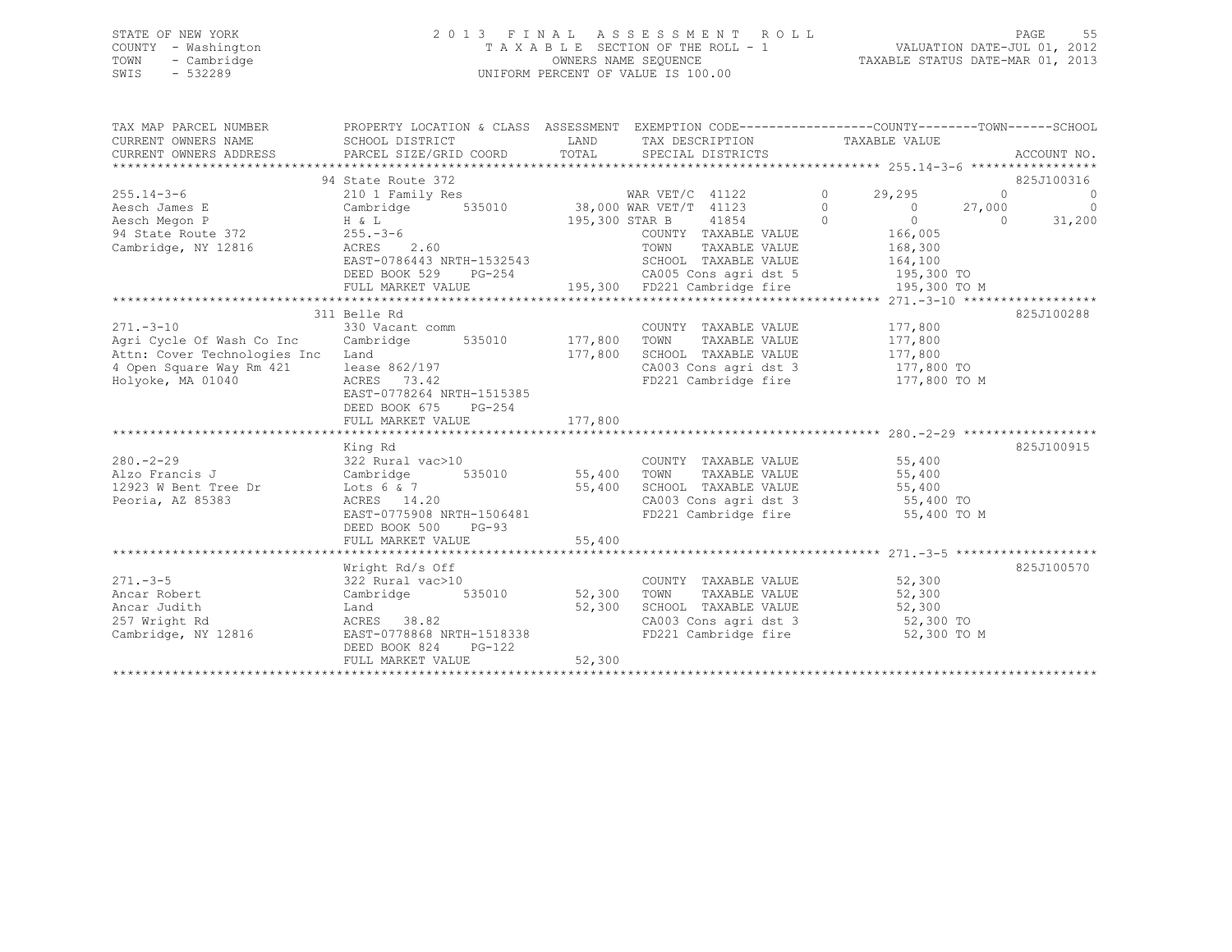# STATE OF NEW YORK 2 0 1 3 F I N A L A S S E S S M E N T R O L L PAGE 55 COUNTY - Washington T A X A B L E SECTION OF THE ROLL - 1 VALUATION DATE-JUL 01, 2012 TOWN - Cambridge OWNERS NAME SEQUENCE TAXABLE STATUS DATE-MAR 01, 2013 SWIS - 532289 UNIFORM PERCENT OF VALUE IS 100.00

| CURRENT OWNERS NAME<br>LAND TAX DESCRIPTION TAXABLE VALUE<br>SCHOOL DISTRICT<br>CURRENT OWNERS ADDRESS<br>825J100316<br>$\sim$ 0<br>$\overline{0}$<br>Aesch James E<br>Aesch Megon P<br>94 State Route 372<br>Cambridge, NY 12816<br>Packers 2.60<br>Cambridge, NY 12816<br>Packers 2.60<br>Packers 2.60<br>Packers 2.60<br>Packers 2.60<br>Packers 2.60<br>Packers 2.60<br>Packers 2.60<br>Packers 2.60<br>Pack<br>TAXABLE VALUE<br>168,300<br>164,100<br>DEED BOOK 529 PG-254 CA005 Cons agridst 5 195,300 TO<br>825J100288<br>311 Belle Rd<br>COUNTY TAXABLE VALUE 177,800<br>330 Vacant comm (COUNT Cambridge 535010 177,800 TOWN<br>$271. - 3 - 10$<br>TAXABLE VALUE 177,800<br>Agri Cycle Of Wash Co Inc<br>Attn: Cover Technologies Inc<br>177,800<br>SCHOOL TAXABLE VALUE 177,800<br>Land<br>lease $862/197$<br>ACRES 73.42<br>CA003 Cons agri dst 3 177,800 TO<br>FD221 Cambridge fire 177,800 TO M<br>4 Open Square Way Rm 421<br>Holyoke, MA 01040<br>EAST-0778264 NRTH-1515385<br>DEED BOOK 675 PG-254<br>825J100915<br>King Rd<br>$322$ Rural vac > 10<br>COUNTY TAXABLE VALUE<br>55,400<br>TAXABLE VALUE 55,400<br>12923 W Bent Tree Dr $25,400$<br>Peoria, AZ 85383 (EAST-0775908 NRTH-1506481 (EAST-0775908 NRTH-1506481 (EAST-0775908 NRTH-1506481 (EAST-0775908 NRTH-1506481 (EAST-0775908 NRTH-1506481 (EAST-0775908 NRTH-1506481 (EAST-07759<br>CA003 Cons agri dst 3 55,400 TO<br>FD221 Cambridge fire 55,400 TO M<br>DEED BOOK 500<br>$PG-93$<br>825J100570<br>Wright Rd/s Off<br>$322$ Rural vac>10<br>Cambridge 535010 52,300<br>$\begin{tabular}{lllllllll} \multicolumn{2}{c}{\text{COUNTY}} & \text{TAXABLE VALUE} & & & & 52,300 \\ \multicolumn{2}{c}{\text{TOWN}} & \text{TAXABLE VALUE} & & & 52,300 \\ \end{tabular}$<br>$271. - 3 - 5$<br>Ancar Robert<br>52,300<br>TOWN<br>SCHOOL TAXABLE VALUE 52,300<br>52,300<br>Ancar Judith<br>Land<br>ACRES 38.82<br>CA003 Cons agri dst 3 52,300 TO<br>257 Wright Rd<br>EAST-0778868 NRTH-1518338<br>Cambridge, NY 12816<br>FD221 Cambridge fire<br>52,300 TO M<br>DEED BOOK 824 PG-122<br>52,300<br>FULL MARKET VALUE | TAX MAP PARCEL NUMBER | PROPERTY LOCATION & CLASS ASSESSMENT EXEMPTION CODE---------------COUNTY-------TOWN------SCHOOI |  |  |  |        |
|-------------------------------------------------------------------------------------------------------------------------------------------------------------------------------------------------------------------------------------------------------------------------------------------------------------------------------------------------------------------------------------------------------------------------------------------------------------------------------------------------------------------------------------------------------------------------------------------------------------------------------------------------------------------------------------------------------------------------------------------------------------------------------------------------------------------------------------------------------------------------------------------------------------------------------------------------------------------------------------------------------------------------------------------------------------------------------------------------------------------------------------------------------------------------------------------------------------------------------------------------------------------------------------------------------------------------------------------------------------------------------------------------------------------------------------------------------------------------------------------------------------------------------------------------------------------------------------------------------------------------------------------------------------------------------------------------------------------------------------------------------------------------------------------------------------------------------------------------------------------------------------------------------------------------------------------------------------------------------------------------------------------------------------------------------------------------------------------------|-----------------------|-------------------------------------------------------------------------------------------------|--|--|--|--------|
|                                                                                                                                                                                                                                                                                                                                                                                                                                                                                                                                                                                                                                                                                                                                                                                                                                                                                                                                                                                                                                                                                                                                                                                                                                                                                                                                                                                                                                                                                                                                                                                                                                                                                                                                                                                                                                                                                                                                                                                                                                                                                                 |                       |                                                                                                 |  |  |  |        |
|                                                                                                                                                                                                                                                                                                                                                                                                                                                                                                                                                                                                                                                                                                                                                                                                                                                                                                                                                                                                                                                                                                                                                                                                                                                                                                                                                                                                                                                                                                                                                                                                                                                                                                                                                                                                                                                                                                                                                                                                                                                                                                 |                       |                                                                                                 |  |  |  |        |
|                                                                                                                                                                                                                                                                                                                                                                                                                                                                                                                                                                                                                                                                                                                                                                                                                                                                                                                                                                                                                                                                                                                                                                                                                                                                                                                                                                                                                                                                                                                                                                                                                                                                                                                                                                                                                                                                                                                                                                                                                                                                                                 |                       |                                                                                                 |  |  |  |        |
|                                                                                                                                                                                                                                                                                                                                                                                                                                                                                                                                                                                                                                                                                                                                                                                                                                                                                                                                                                                                                                                                                                                                                                                                                                                                                                                                                                                                                                                                                                                                                                                                                                                                                                                                                                                                                                                                                                                                                                                                                                                                                                 |                       |                                                                                                 |  |  |  |        |
|                                                                                                                                                                                                                                                                                                                                                                                                                                                                                                                                                                                                                                                                                                                                                                                                                                                                                                                                                                                                                                                                                                                                                                                                                                                                                                                                                                                                                                                                                                                                                                                                                                                                                                                                                                                                                                                                                                                                                                                                                                                                                                 |                       |                                                                                                 |  |  |  |        |
|                                                                                                                                                                                                                                                                                                                                                                                                                                                                                                                                                                                                                                                                                                                                                                                                                                                                                                                                                                                                                                                                                                                                                                                                                                                                                                                                                                                                                                                                                                                                                                                                                                                                                                                                                                                                                                                                                                                                                                                                                                                                                                 |                       |                                                                                                 |  |  |  |        |
|                                                                                                                                                                                                                                                                                                                                                                                                                                                                                                                                                                                                                                                                                                                                                                                                                                                                                                                                                                                                                                                                                                                                                                                                                                                                                                                                                                                                                                                                                                                                                                                                                                                                                                                                                                                                                                                                                                                                                                                                                                                                                                 |                       |                                                                                                 |  |  |  | 31,200 |
|                                                                                                                                                                                                                                                                                                                                                                                                                                                                                                                                                                                                                                                                                                                                                                                                                                                                                                                                                                                                                                                                                                                                                                                                                                                                                                                                                                                                                                                                                                                                                                                                                                                                                                                                                                                                                                                                                                                                                                                                                                                                                                 |                       |                                                                                                 |  |  |  |        |
|                                                                                                                                                                                                                                                                                                                                                                                                                                                                                                                                                                                                                                                                                                                                                                                                                                                                                                                                                                                                                                                                                                                                                                                                                                                                                                                                                                                                                                                                                                                                                                                                                                                                                                                                                                                                                                                                                                                                                                                                                                                                                                 |                       |                                                                                                 |  |  |  |        |
|                                                                                                                                                                                                                                                                                                                                                                                                                                                                                                                                                                                                                                                                                                                                                                                                                                                                                                                                                                                                                                                                                                                                                                                                                                                                                                                                                                                                                                                                                                                                                                                                                                                                                                                                                                                                                                                                                                                                                                                                                                                                                                 |                       |                                                                                                 |  |  |  |        |
|                                                                                                                                                                                                                                                                                                                                                                                                                                                                                                                                                                                                                                                                                                                                                                                                                                                                                                                                                                                                                                                                                                                                                                                                                                                                                                                                                                                                                                                                                                                                                                                                                                                                                                                                                                                                                                                                                                                                                                                                                                                                                                 |                       |                                                                                                 |  |  |  |        |
|                                                                                                                                                                                                                                                                                                                                                                                                                                                                                                                                                                                                                                                                                                                                                                                                                                                                                                                                                                                                                                                                                                                                                                                                                                                                                                                                                                                                                                                                                                                                                                                                                                                                                                                                                                                                                                                                                                                                                                                                                                                                                                 |                       |                                                                                                 |  |  |  |        |
|                                                                                                                                                                                                                                                                                                                                                                                                                                                                                                                                                                                                                                                                                                                                                                                                                                                                                                                                                                                                                                                                                                                                                                                                                                                                                                                                                                                                                                                                                                                                                                                                                                                                                                                                                                                                                                                                                                                                                                                                                                                                                                 |                       |                                                                                                 |  |  |  |        |
|                                                                                                                                                                                                                                                                                                                                                                                                                                                                                                                                                                                                                                                                                                                                                                                                                                                                                                                                                                                                                                                                                                                                                                                                                                                                                                                                                                                                                                                                                                                                                                                                                                                                                                                                                                                                                                                                                                                                                                                                                                                                                                 |                       |                                                                                                 |  |  |  |        |
|                                                                                                                                                                                                                                                                                                                                                                                                                                                                                                                                                                                                                                                                                                                                                                                                                                                                                                                                                                                                                                                                                                                                                                                                                                                                                                                                                                                                                                                                                                                                                                                                                                                                                                                                                                                                                                                                                                                                                                                                                                                                                                 |                       |                                                                                                 |  |  |  |        |
|                                                                                                                                                                                                                                                                                                                                                                                                                                                                                                                                                                                                                                                                                                                                                                                                                                                                                                                                                                                                                                                                                                                                                                                                                                                                                                                                                                                                                                                                                                                                                                                                                                                                                                                                                                                                                                                                                                                                                                                                                                                                                                 |                       |                                                                                                 |  |  |  |        |
|                                                                                                                                                                                                                                                                                                                                                                                                                                                                                                                                                                                                                                                                                                                                                                                                                                                                                                                                                                                                                                                                                                                                                                                                                                                                                                                                                                                                                                                                                                                                                                                                                                                                                                                                                                                                                                                                                                                                                                                                                                                                                                 |                       |                                                                                                 |  |  |  |        |
|                                                                                                                                                                                                                                                                                                                                                                                                                                                                                                                                                                                                                                                                                                                                                                                                                                                                                                                                                                                                                                                                                                                                                                                                                                                                                                                                                                                                                                                                                                                                                                                                                                                                                                                                                                                                                                                                                                                                                                                                                                                                                                 |                       |                                                                                                 |  |  |  |        |
|                                                                                                                                                                                                                                                                                                                                                                                                                                                                                                                                                                                                                                                                                                                                                                                                                                                                                                                                                                                                                                                                                                                                                                                                                                                                                                                                                                                                                                                                                                                                                                                                                                                                                                                                                                                                                                                                                                                                                                                                                                                                                                 |                       |                                                                                                 |  |  |  |        |
|                                                                                                                                                                                                                                                                                                                                                                                                                                                                                                                                                                                                                                                                                                                                                                                                                                                                                                                                                                                                                                                                                                                                                                                                                                                                                                                                                                                                                                                                                                                                                                                                                                                                                                                                                                                                                                                                                                                                                                                                                                                                                                 |                       |                                                                                                 |  |  |  |        |
|                                                                                                                                                                                                                                                                                                                                                                                                                                                                                                                                                                                                                                                                                                                                                                                                                                                                                                                                                                                                                                                                                                                                                                                                                                                                                                                                                                                                                                                                                                                                                                                                                                                                                                                                                                                                                                                                                                                                                                                                                                                                                                 |                       |                                                                                                 |  |  |  |        |
|                                                                                                                                                                                                                                                                                                                                                                                                                                                                                                                                                                                                                                                                                                                                                                                                                                                                                                                                                                                                                                                                                                                                                                                                                                                                                                                                                                                                                                                                                                                                                                                                                                                                                                                                                                                                                                                                                                                                                                                                                                                                                                 |                       |                                                                                                 |  |  |  |        |
|                                                                                                                                                                                                                                                                                                                                                                                                                                                                                                                                                                                                                                                                                                                                                                                                                                                                                                                                                                                                                                                                                                                                                                                                                                                                                                                                                                                                                                                                                                                                                                                                                                                                                                                                                                                                                                                                                                                                                                                                                                                                                                 |                       |                                                                                                 |  |  |  |        |
|                                                                                                                                                                                                                                                                                                                                                                                                                                                                                                                                                                                                                                                                                                                                                                                                                                                                                                                                                                                                                                                                                                                                                                                                                                                                                                                                                                                                                                                                                                                                                                                                                                                                                                                                                                                                                                                                                                                                                                                                                                                                                                 |                       |                                                                                                 |  |  |  |        |
|                                                                                                                                                                                                                                                                                                                                                                                                                                                                                                                                                                                                                                                                                                                                                                                                                                                                                                                                                                                                                                                                                                                                                                                                                                                                                                                                                                                                                                                                                                                                                                                                                                                                                                                                                                                                                                                                                                                                                                                                                                                                                                 |                       |                                                                                                 |  |  |  |        |
|                                                                                                                                                                                                                                                                                                                                                                                                                                                                                                                                                                                                                                                                                                                                                                                                                                                                                                                                                                                                                                                                                                                                                                                                                                                                                                                                                                                                                                                                                                                                                                                                                                                                                                                                                                                                                                                                                                                                                                                                                                                                                                 |                       |                                                                                                 |  |  |  |        |
|                                                                                                                                                                                                                                                                                                                                                                                                                                                                                                                                                                                                                                                                                                                                                                                                                                                                                                                                                                                                                                                                                                                                                                                                                                                                                                                                                                                                                                                                                                                                                                                                                                                                                                                                                                                                                                                                                                                                                                                                                                                                                                 |                       |                                                                                                 |  |  |  |        |
|                                                                                                                                                                                                                                                                                                                                                                                                                                                                                                                                                                                                                                                                                                                                                                                                                                                                                                                                                                                                                                                                                                                                                                                                                                                                                                                                                                                                                                                                                                                                                                                                                                                                                                                                                                                                                                                                                                                                                                                                                                                                                                 |                       |                                                                                                 |  |  |  |        |
|                                                                                                                                                                                                                                                                                                                                                                                                                                                                                                                                                                                                                                                                                                                                                                                                                                                                                                                                                                                                                                                                                                                                                                                                                                                                                                                                                                                                                                                                                                                                                                                                                                                                                                                                                                                                                                                                                                                                                                                                                                                                                                 |                       |                                                                                                 |  |  |  |        |
|                                                                                                                                                                                                                                                                                                                                                                                                                                                                                                                                                                                                                                                                                                                                                                                                                                                                                                                                                                                                                                                                                                                                                                                                                                                                                                                                                                                                                                                                                                                                                                                                                                                                                                                                                                                                                                                                                                                                                                                                                                                                                                 |                       |                                                                                                 |  |  |  |        |
|                                                                                                                                                                                                                                                                                                                                                                                                                                                                                                                                                                                                                                                                                                                                                                                                                                                                                                                                                                                                                                                                                                                                                                                                                                                                                                                                                                                                                                                                                                                                                                                                                                                                                                                                                                                                                                                                                                                                                                                                                                                                                                 |                       |                                                                                                 |  |  |  |        |
|                                                                                                                                                                                                                                                                                                                                                                                                                                                                                                                                                                                                                                                                                                                                                                                                                                                                                                                                                                                                                                                                                                                                                                                                                                                                                                                                                                                                                                                                                                                                                                                                                                                                                                                                                                                                                                                                                                                                                                                                                                                                                                 |                       |                                                                                                 |  |  |  |        |
|                                                                                                                                                                                                                                                                                                                                                                                                                                                                                                                                                                                                                                                                                                                                                                                                                                                                                                                                                                                                                                                                                                                                                                                                                                                                                                                                                                                                                                                                                                                                                                                                                                                                                                                                                                                                                                                                                                                                                                                                                                                                                                 |                       |                                                                                                 |  |  |  |        |
|                                                                                                                                                                                                                                                                                                                                                                                                                                                                                                                                                                                                                                                                                                                                                                                                                                                                                                                                                                                                                                                                                                                                                                                                                                                                                                                                                                                                                                                                                                                                                                                                                                                                                                                                                                                                                                                                                                                                                                                                                                                                                                 |                       |                                                                                                 |  |  |  |        |
|                                                                                                                                                                                                                                                                                                                                                                                                                                                                                                                                                                                                                                                                                                                                                                                                                                                                                                                                                                                                                                                                                                                                                                                                                                                                                                                                                                                                                                                                                                                                                                                                                                                                                                                                                                                                                                                                                                                                                                                                                                                                                                 |                       |                                                                                                 |  |  |  |        |
|                                                                                                                                                                                                                                                                                                                                                                                                                                                                                                                                                                                                                                                                                                                                                                                                                                                                                                                                                                                                                                                                                                                                                                                                                                                                                                                                                                                                                                                                                                                                                                                                                                                                                                                                                                                                                                                                                                                                                                                                                                                                                                 |                       |                                                                                                 |  |  |  |        |
|                                                                                                                                                                                                                                                                                                                                                                                                                                                                                                                                                                                                                                                                                                                                                                                                                                                                                                                                                                                                                                                                                                                                                                                                                                                                                                                                                                                                                                                                                                                                                                                                                                                                                                                                                                                                                                                                                                                                                                                                                                                                                                 |                       |                                                                                                 |  |  |  |        |
|                                                                                                                                                                                                                                                                                                                                                                                                                                                                                                                                                                                                                                                                                                                                                                                                                                                                                                                                                                                                                                                                                                                                                                                                                                                                                                                                                                                                                                                                                                                                                                                                                                                                                                                                                                                                                                                                                                                                                                                                                                                                                                 |                       |                                                                                                 |  |  |  |        |
|                                                                                                                                                                                                                                                                                                                                                                                                                                                                                                                                                                                                                                                                                                                                                                                                                                                                                                                                                                                                                                                                                                                                                                                                                                                                                                                                                                                                                                                                                                                                                                                                                                                                                                                                                                                                                                                                                                                                                                                                                                                                                                 |                       |                                                                                                 |  |  |  |        |
|                                                                                                                                                                                                                                                                                                                                                                                                                                                                                                                                                                                                                                                                                                                                                                                                                                                                                                                                                                                                                                                                                                                                                                                                                                                                                                                                                                                                                                                                                                                                                                                                                                                                                                                                                                                                                                                                                                                                                                                                                                                                                                 |                       |                                                                                                 |  |  |  |        |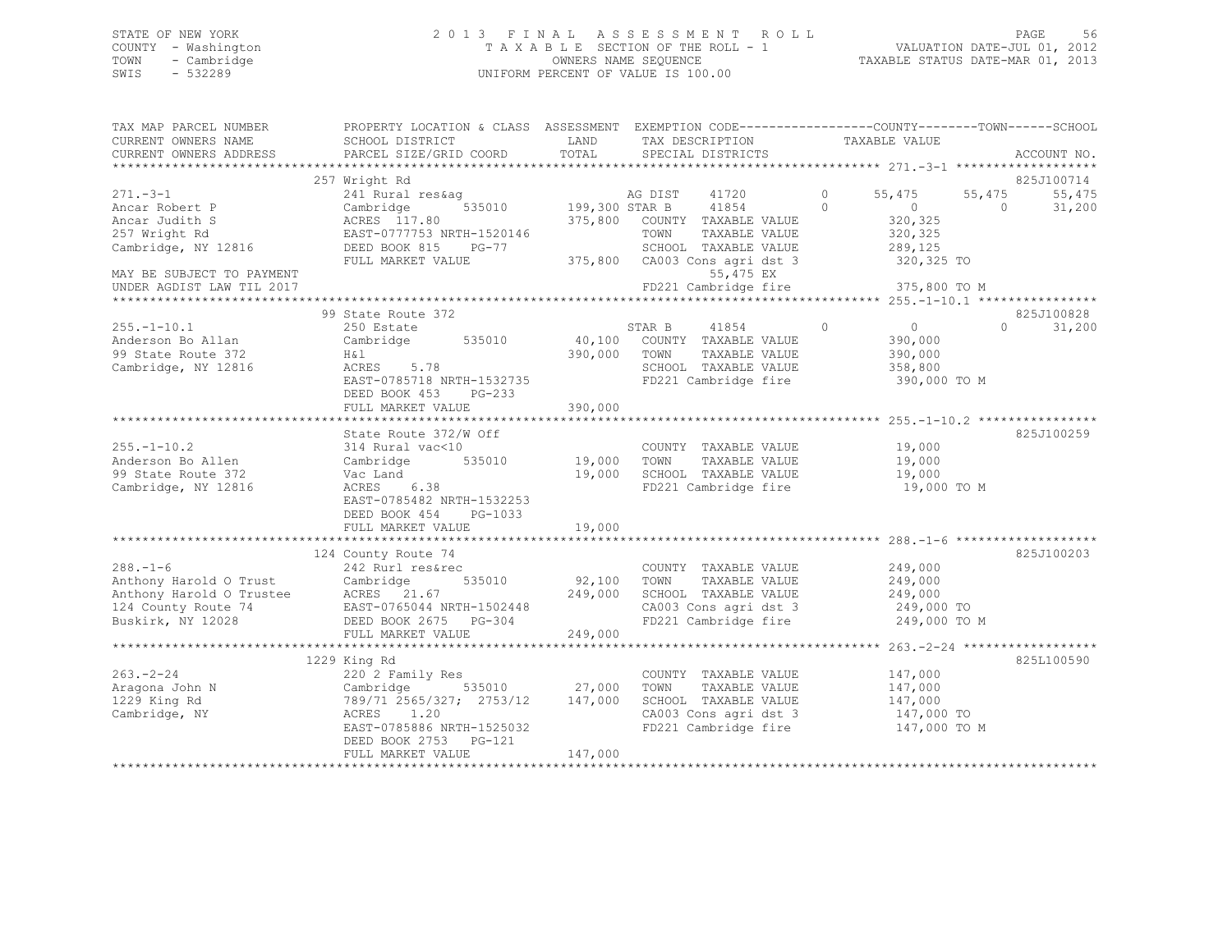# STATE OF NEW YORK 2 0 1 3 F I N A L A S S E S S M E N T R O L L PAGE 56 COUNTY - Washington T A X A B L E SECTION OF THE ROLL - 1 VALUATION DATE-JUL 01, 2012 TOWN - Cambridge OWNERS NAME SEQUENCE TAXABLE STATUS DATE-MAR 01, 2013 SWIS - 532289 UNIFORM PERCENT OF VALUE IS 100.00

| TAX MAP PARCEL NUMBER<br>CURRENT OWNERS NAME<br>CURRENT OWNERS ADDRESS                    | PROPERTY LOCATION & CLASS ASSESSMENT EXEMPTION CODE---------------COUNTY-------TOWN-----SCHOOL<br>SCHOOL DISTRICT<br>PARCEL SIZE/GRID COORD                                                                               | LAND<br>TOTAL                | TAX DESCRIPTION<br>SPECIAL DISTRICTS                                                                                                        | TAXABLE VALUE                                                                                  | ACCOUNT NO.                                          |
|-------------------------------------------------------------------------------------------|---------------------------------------------------------------------------------------------------------------------------------------------------------------------------------------------------------------------------|------------------------------|---------------------------------------------------------------------------------------------------------------------------------------------|------------------------------------------------------------------------------------------------|------------------------------------------------------|
|                                                                                           |                                                                                                                                                                                                                           |                              |                                                                                                                                             |                                                                                                |                                                      |
| $271 - 3 - 1$<br>Ancar Robert P<br>Ancar Judith S<br>257 Wright Rd<br>Cambridge, NY 12816 | 257 Wright Rd<br>241 Rural res&aq<br>Cambridge<br>ACRES 117.80<br>EAST-0777753 NRTH-1520146<br>DEED BOOK 815 PG-77<br>FULL MARKET VALUE                                                                                   | 535010 199,300 STAR B        | AG DIST<br>41720<br>41854<br>375,800 COUNTY TAXABLE VALUE<br>TOWN<br>TAXABLE VALUE<br>SCHOOL TAXABLE VALUE<br>375,800 CA003 Cons agri dst 3 | $\circ$<br>55,475<br>$\Omega$<br>$\overline{0}$<br>320,325<br>320,325<br>289,125<br>320,325 TO | 825J100714<br>55,475<br>55,475<br>31,200<br>$\Omega$ |
| MAY BE SUBJECT TO PAYMENT<br>UNDER AGDIST LAW TIL 2017                                    |                                                                                                                                                                                                                           |                              | 55,475 EX                                                                                                                                   | FD221 Cambridge fire 375,800 TO M                                                              |                                                      |
|                                                                                           | 99 State Route 372                                                                                                                                                                                                        |                              |                                                                                                                                             |                                                                                                | 825J100828                                           |
| $255. - 1 - 10.1$<br>Anderson Bo Allan<br>99 State Route 372<br>Cambridge, NY 12816       | 250 Estate<br>Cambridge<br>535010<br>H&l<br>ACRES 5.78<br>EAST-0785718 NRTH-1532735<br>DEED BOOK 453 PG-233<br>FULL MARKET VALUE                                                                                          | 390,000 TOWN<br>390,000      | 41854<br>STAR B<br>40,100 COUNTY TAXABLE VALUE<br>TAXABLE VALUE<br>SCHOOL TAXABLE VALUE<br>FD221 Cambridge fire                             | $\overline{0}$<br>$\circ$<br>390,000<br>390,000<br>358,800<br>390,000 TO M                     | $\Omega$<br>31,200                                   |
|                                                                                           |                                                                                                                                                                                                                           |                              |                                                                                                                                             |                                                                                                |                                                      |
| $255. - 1 - 10.2$<br>Anderson Bo Allen<br>99 State Route 372<br>Cambridge, NY 12816       | State Route 372/W Off<br>314 Rural vac<10<br>Cambridge<br>535010<br>Vac Land<br>ACRES 6.38<br>EAST-0785482 NRTH-1532253<br>DEED BOOK 454 PG-1033                                                                          | 19,000 TOWN<br>19,000        | COUNTY TAXABLE VALUE<br>TAXABLE VALUE<br>SCHOOL TAXABLE VALUE<br>FD221 Cambridge fire                                                       | 19,000<br>19,000<br>19,000<br>19,000 TO M                                                      | 825J100259                                           |
|                                                                                           | FULL MARKET VALUE                                                                                                                                                                                                         | 19,000                       |                                                                                                                                             |                                                                                                |                                                      |
| $288. - 1 - 6$<br>Buskirk, NY 12028                                                       | 124 County Route 74<br>242 Rurl res&rec<br>Anthony Harold O Trust Cambridge 535010<br>Anthony Harold O Trustee ACRES 21.67<br>124 County Route 74 EAST-0765044 NRTH-1502448<br>DEED BOOK 2675 PG-304<br>FULL MARKET VALUE | 92,100<br>249,000<br>249,000 | COUNTY TAXABLE VALUE<br>TOWN<br>TAXABLE VALUE<br>SCHOOL TAXABLE VALUE<br>CA003 Cons agri dst 3<br>FD221 Cambridge fire                      | 249,000<br>249,000<br>249,000<br>249,000 TO<br>249,000 TO M                                    | 825J100203                                           |
|                                                                                           |                                                                                                                                                                                                                           |                              |                                                                                                                                             |                                                                                                |                                                      |
| $263 - 2 - 24$<br>Aragona John N<br>1229 King Rd<br>Cambridge, NY                         | 1229 King Rd<br>220 2 Family Res<br>Cambridge 535010 27,000<br>789/71 2565/327; 2753/12 147,000<br>ACRES 1.20<br>EAST-0785886 NRTH-1525032<br>DEED BOOK 2753 PG-121                                                       |                              | COUNTY TAXABLE VALUE<br>TOWN<br>TAXABLE VALUE<br>SCHOOL TAXABLE VALUE<br>CA003 Cons agri dst 3                                              | 147,000<br>147,000<br>147,000<br>147,000 TO<br>FD221 Cambridge fire 147,000 TO M               | 825L100590                                           |
|                                                                                           | FULL MARKET VALUE                                                                                                                                                                                                         | 147,000                      |                                                                                                                                             |                                                                                                |                                                      |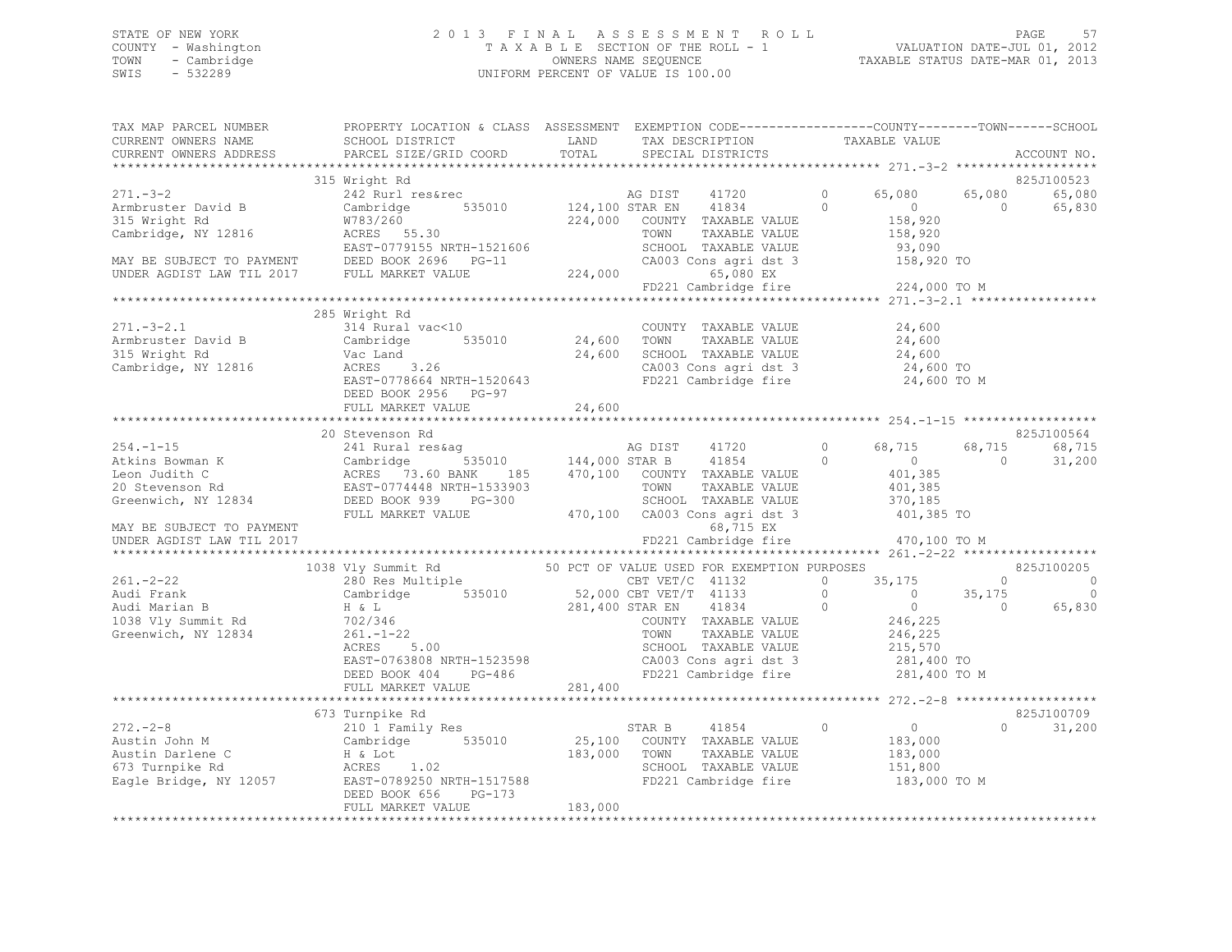# STATE OF NEW YORK 2 0 1 3 F I N A L A S S E S S M E N T R O L L PAGE 57 COUNTY - Washington T A X A B L E SECTION OF THE ROLL - 1 VALUATION DATE-JUL 01, 2012 TOWN - Cambridge OWNERS NAME SEQUENCE TAXABLE STATUS DATE-MAR 01, 2013 SWIS - 532289 UNIFORM PERCENT OF VALUE IS 100.00

| PARCEL SIZE/GRID COORD                         |                                                                                                                                                                               | SPECIAL DISTRICTS                          |                                                                                                                                                                                                                                                                                                                                                                  | ACCOUNT NO.                                                                                                                                                                                                                                                                                                                                                                                                                                                                                                                                                                                                                                                                                                                                                                                                                                                                                                                                                                                                                                                                                                                                                                                                                                                                                                                                                                                                                                                                                                                                                                                                                                                                                                                                                                                                                                                                                                                                                                                             |
|------------------------------------------------|-------------------------------------------------------------------------------------------------------------------------------------------------------------------------------|--------------------------------------------|------------------------------------------------------------------------------------------------------------------------------------------------------------------------------------------------------------------------------------------------------------------------------------------------------------------------------------------------------------------|---------------------------------------------------------------------------------------------------------------------------------------------------------------------------------------------------------------------------------------------------------------------------------------------------------------------------------------------------------------------------------------------------------------------------------------------------------------------------------------------------------------------------------------------------------------------------------------------------------------------------------------------------------------------------------------------------------------------------------------------------------------------------------------------------------------------------------------------------------------------------------------------------------------------------------------------------------------------------------------------------------------------------------------------------------------------------------------------------------------------------------------------------------------------------------------------------------------------------------------------------------------------------------------------------------------------------------------------------------------------------------------------------------------------------------------------------------------------------------------------------------------------------------------------------------------------------------------------------------------------------------------------------------------------------------------------------------------------------------------------------------------------------------------------------------------------------------------------------------------------------------------------------------------------------------------------------------------------------------------------------------|
|                                                |                                                                                                                                                                               |                                            |                                                                                                                                                                                                                                                                                                                                                                  |                                                                                                                                                                                                                                                                                                                                                                                                                                                                                                                                                                                                                                                                                                                                                                                                                                                                                                                                                                                                                                                                                                                                                                                                                                                                                                                                                                                                                                                                                                                                                                                                                                                                                                                                                                                                                                                                                                                                                                                                         |
| W783/260<br>ACRES 55.30                        |                                                                                                                                                                               |                                            | $\circ$<br>65,080<br>$\bigcirc$<br>$\overline{0}$<br>158,920<br>158,920                                                                                                                                                                                                                                                                                          | 825J100523<br>65,080<br>65,080<br>$\overline{0}$<br>65,830                                                                                                                                                                                                                                                                                                                                                                                                                                                                                                                                                                                                                                                                                                                                                                                                                                                                                                                                                                                                                                                                                                                                                                                                                                                                                                                                                                                                                                                                                                                                                                                                                                                                                                                                                                                                                                                                                                                                              |
|                                                |                                                                                                                                                                               |                                            |                                                                                                                                                                                                                                                                                                                                                                  |                                                                                                                                                                                                                                                                                                                                                                                                                                                                                                                                                                                                                                                                                                                                                                                                                                                                                                                                                                                                                                                                                                                                                                                                                                                                                                                                                                                                                                                                                                                                                                                                                                                                                                                                                                                                                                                                                                                                                                                                         |
|                                                |                                                                                                                                                                               |                                            | 24,600 TO M                                                                                                                                                                                                                                                                                                                                                      |                                                                                                                                                                                                                                                                                                                                                                                                                                                                                                                                                                                                                                                                                                                                                                                                                                                                                                                                                                                                                                                                                                                                                                                                                                                                                                                                                                                                                                                                                                                                                                                                                                                                                                                                                                                                                                                                                                                                                                                                         |
|                                                |                                                                                                                                                                               |                                            |                                                                                                                                                                                                                                                                                                                                                                  |                                                                                                                                                                                                                                                                                                                                                                                                                                                                                                                                                                                                                                                                                                                                                                                                                                                                                                                                                                                                                                                                                                                                                                                                                                                                                                                                                                                                                                                                                                                                                                                                                                                                                                                                                                                                                                                                                                                                                                                                         |
|                                                |                                                                                                                                                                               |                                            |                                                                                                                                                                                                                                                                                                                                                                  |                                                                                                                                                                                                                                                                                                                                                                                                                                                                                                                                                                                                                                                                                                                                                                                                                                                                                                                                                                                                                                                                                                                                                                                                                                                                                                                                                                                                                                                                                                                                                                                                                                                                                                                                                                                                                                                                                                                                                                                                         |
| $H \& L$                                       |                                                                                                                                                                               |                                            |                                                                                                                                                                                                                                                                                                                                                                  | 825J100564<br>68,715<br>68,715<br>$\bigcirc$<br>31,200<br>825J100205<br>0<br>$\circ$<br>65,830                                                                                                                                                                                                                                                                                                                                                                                                                                                                                                                                                                                                                                                                                                                                                                                                                                                                                                                                                                                                                                                                                                                                                                                                                                                                                                                                                                                                                                                                                                                                                                                                                                                                                                                                                                                                                                                                                                          |
| FULL MARKET VALUE                              |                                                                                                                                                                               |                                            |                                                                                                                                                                                                                                                                                                                                                                  |                                                                                                                                                                                                                                                                                                                                                                                                                                                                                                                                                                                                                                                                                                                                                                                                                                                                                                                                                                                                                                                                                                                                                                                                                                                                                                                                                                                                                                                                                                                                                                                                                                                                                                                                                                                                                                                                                                                                                                                                         |
|                                                |                                                                                                                                                                               |                                            |                                                                                                                                                                                                                                                                                                                                                                  |                                                                                                                                                                                                                                                                                                                                                                                                                                                                                                                                                                                                                                                                                                                                                                                                                                                                                                                                                                                                                                                                                                                                                                                                                                                                                                                                                                                                                                                                                                                                                                                                                                                                                                                                                                                                                                                                                                                                                                                                         |
| DEED BOOK 656<br>$PG-173$<br>FULL MARKET VALUE |                                                                                                                                                                               |                                            | $\begin{matrix} 0 & 0 & 0 \\ 0 & 0 & 0 \\ 0 & 0 & 0 \\ 0 & 0 & 0 \\ 0 & 0 & 0 \\ 0 & 0 & 0 \\ 0 & 0 & 0 \\ 0 & 0 & 0 \\ 0 & 0 & 0 & 0 \\ 0 & 0 & 0 & 0 \\ 0 & 0 & 0 & 0 \\ 0 & 0 & 0 & 0 \\ 0 & 0 & 0 & 0 & 0 \\ 0 & 0 & 0 & 0 & 0 \\ 0 & 0 & 0 & 0 & 0 \\ 0 & 0 & 0 & 0 & 0 & 0 \\ 0 & 0 & 0 & 0 & 0 & 0 \\ 0 & 0 & 0 & 0 & 0$<br>183,000<br>183,000<br>151,800 | 825J100709<br>$\Omega$<br>31,200                                                                                                                                                                                                                                                                                                                                                                                                                                                                                                                                                                                                                                                                                                                                                                                                                                                                                                                                                                                                                                                                                                                                                                                                                                                                                                                                                                                                                                                                                                                                                                                                                                                                                                                                                                                                                                                                                                                                                                        |
|                                                | CURRENT OWNERS ADDRESS<br>315 Wright Rd<br><br>315 Wright Rd<br>Cambridge, NY 12816<br>285 Wright Rd<br>DEED BOOK 2956 PG-97<br>1038 Vly Summit Rd 702/346<br>673 Turnpike Rd | $281,40$<br>$281,40$<br>$\overline{)}$ .00 | TOTAL<br>280 Res Multiple CBT VET/C 41132<br>Cambridge 535010 52,000 CBT VET/T 41133<br>281,400 STAR EN 41834<br>281,400<br>183,000                                                                                                                                                                                                                              | PROPERTY LOCATION & CLASS ASSESSMENT EXEMPTION CODE---------------COUNTY-------TOWN------SCHOOI<br>41720<br>41834<br>224,000 COUNTY TAXABLE VALUE<br>Cambridge, NY 12816<br>EAST-0779155 NRTH-1521606<br>MAY BE SUBJECT TO PAYMENT DEED BOOK 2696 PG-11 CA003 Cons agri dst 3 158,920 TO<br>UNDER AGDIST LAW TIL 2017 FULL MARKET VALUE 224,000 65,080 EX 65,080 EX<br>FD221 Cambridge fire 224,000 TO M<br>314 Rural vac<10<br>CoUNTY TAXABLE VALUE<br>Cambridge 535010<br>Vac Land 24,600 TOWN TAXABLE VALUE 24,600<br>ACRES 3.26<br>EAST-0778664 NRTH-1520643<br>PERD ROOK 2956 PG-97<br>24,600<br>PERD ROOK 2956<br>PERD ROOK 2956<br>PERD ROOK 2956<br>PERD<br>$\begin{tabular}{lcccc} 254.-1-15 & 20\hbox{ Stevenson Rd} & AG DIST & 41720 & 0 & 68,715 & 68 \\ \text{Atkins Bowman K} & Cambridge & 535010 & 144,000\hbox{ STAR B} & 41854 & 0 & 0 \\ \text{Leon Judith C} &ACRES & 73.60\hbox{BANK} & 185 & 470,100\hbox{COUNTY TAXABLE VALUE} & 401,385 \\ \text{20\hbox{Stevenson Rd} &EAST-0774448\hbox{ NRTH}-1533903 & TOWN & TAXABLE VALUE & 40$<br>68,715 EX<br>FD221 Cambridge fire 470,100 TO M<br>1038 Vly Summit Rd 50 PCT OF VALUE USED FOR EXEMPTION PURPOSES<br>280 Res Multiple 60 CBT VET/C 41132 0 35.175<br>102/346<br>261.-1-22<br>261.-1-22<br>246,225<br>246,225<br>26.225<br>26.225<br>26.225<br>26.225<br>26.225<br>26.225<br>26.225<br>26.225<br>27.570<br>281,400 TO<br>DEED BOOK 404<br>26-486<br>281,400 TO<br>281,400 TO<br>281,400 TO<br>281,400 TO<br>$\begin{array}{lllllllllllll} \text{272.-2--8} & \text{673 Turningike Rd} & \text{STAR B} & \text{41854} & \text{0} \\ \text{Austin John M} & \text{Cambridge} & \text{535010} & \text{25,100} & \text{COUNTY} & \text{TAXABLE VALUE} \\ \text{Austin Darlene C} & \text{H & \text{Lot} & \text{183,000} & \text{TOWN} & \text{TAXABLE VALUE} \\ \text{673 Turningike Rd} & \text{ACRES} & \text{1.02} & \text{SCHOOL TAXABLE VALUE} \\ \text{Eagle Bridge, NY 12057}$<br>FD221 Cambridge fire 183,000 TO M |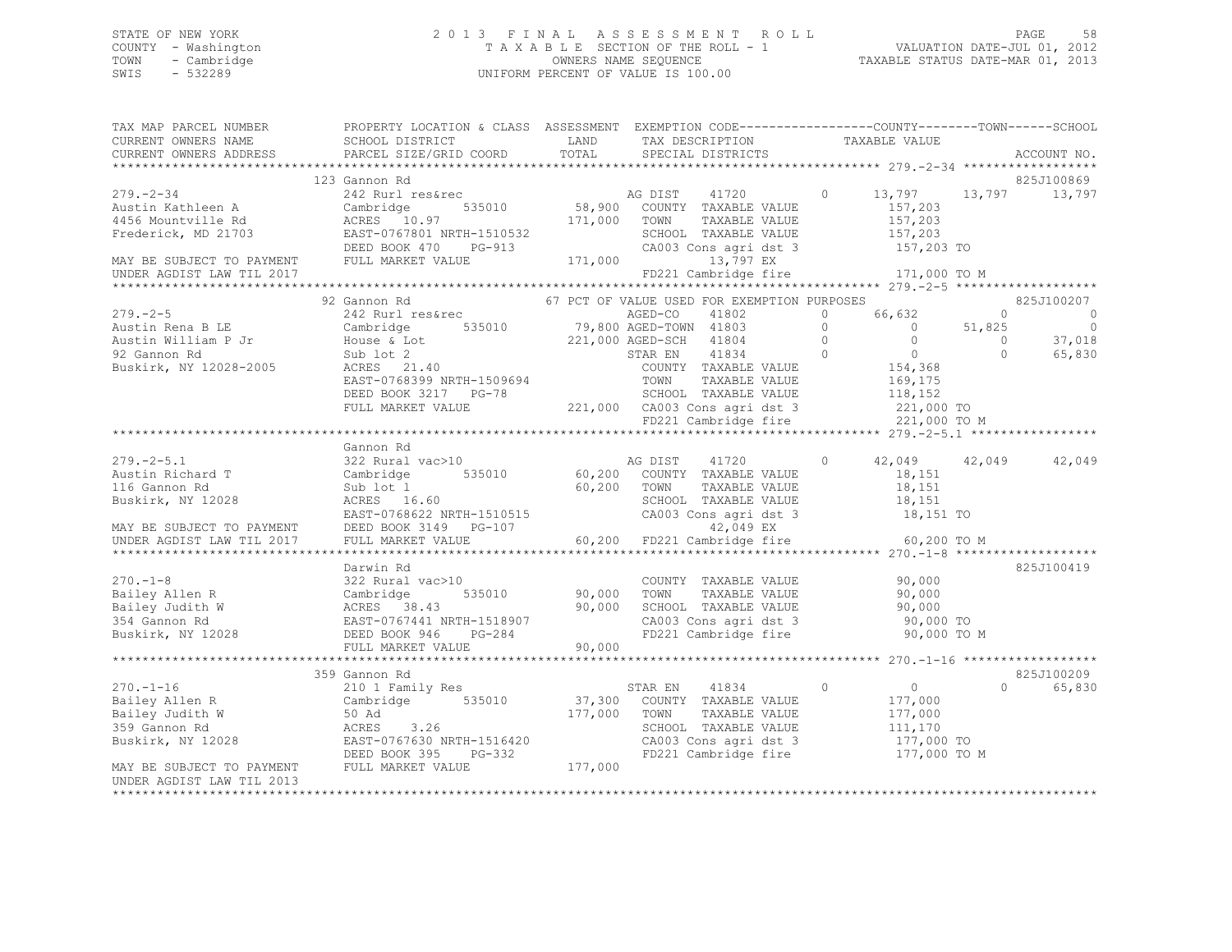# STATE OF NEW YORK 2 0 1 3 F I N A L A S S E S S M E N T R O L L PAGE 58 COUNTY - Washington T A X A B L E SECTION OF THE ROLL - 1 VALUATION DATE-JUL 01, 2012 TOWN - Cambridge OWNERS NAME SEQUENCE TAXABLE STATUS DATE-MAR 01, 2013 UNIFORM PERCENT OF VALUE IS 100.00

| TAX MAP PARCEL NUMBER THE PROPERTY LOCATION & CLASS ASSESSMENT EXEMPTION CODE--------------COUNTY-------TOWN------SCHOOL                                                                                                               |                  |  |                |                                                                       |                    |
|----------------------------------------------------------------------------------------------------------------------------------------------------------------------------------------------------------------------------------------|------------------|--|----------------|-----------------------------------------------------------------------|--------------------|
|                                                                                                                                                                                                                                        |                  |  |                |                                                                       |                    |
|                                                                                                                                                                                                                                        | 123 Gannon Rd    |  |                |                                                                       | 825J100869         |
|                                                                                                                                                                                                                                        |                  |  |                |                                                                       |                    |
|                                                                                                                                                                                                                                        |                  |  |                | 0 $13,797$ $13,797$ $13,797$                                          |                    |
|                                                                                                                                                                                                                                        |                  |  |                |                                                                       |                    |
|                                                                                                                                                                                                                                        |                  |  |                |                                                                       |                    |
|                                                                                                                                                                                                                                        |                  |  |                |                                                                       |                    |
|                                                                                                                                                                                                                                        |                  |  |                |                                                                       |                    |
| UNDER AGDIST LAW TIL 2017                                                                                                                                                                                                              |                  |  |                | FD221 Cambridge fire 171,000 TO M                                     |                    |
|                                                                                                                                                                                                                                        |                  |  |                |                                                                       |                    |
| 32 (30 AMP) REFORMATION PROSES (21,000 AGED-CO 41802 0 66,632 0<br>32 Gambridge 535010 79,800 AGED-CO 41802 0 66,632 0<br>32 Gambridge 535010 79,800 AGED-CO 41802 0 66,632 0<br>32 Gambridge 535010 79,800 AGED-TOWN 41803 0 66,632   |                  |  |                |                                                                       | 825J100207         |
|                                                                                                                                                                                                                                        |                  |  |                |                                                                       | - 0                |
|                                                                                                                                                                                                                                        |                  |  |                |                                                                       | $\circ$            |
|                                                                                                                                                                                                                                        |                  |  |                |                                                                       | 37,018             |
|                                                                                                                                                                                                                                        |                  |  |                |                                                                       | 65,830             |
|                                                                                                                                                                                                                                        |                  |  |                |                                                                       |                    |
|                                                                                                                                                                                                                                        |                  |  |                |                                                                       |                    |
|                                                                                                                                                                                                                                        |                  |  |                |                                                                       |                    |
|                                                                                                                                                                                                                                        |                  |  |                |                                                                       |                    |
|                                                                                                                                                                                                                                        |                  |  |                |                                                                       |                    |
|                                                                                                                                                                                                                                        |                  |  |                |                                                                       |                    |
|                                                                                                                                                                                                                                        | Gannon Rd        |  |                |                                                                       |                    |
|                                                                                                                                                                                                                                        |                  |  |                |                                                                       |                    |
|                                                                                                                                                                                                                                        |                  |  |                |                                                                       |                    |
|                                                                                                                                                                                                                                        |                  |  |                |                                                                       |                    |
|                                                                                                                                                                                                                                        |                  |  |                |                                                                       |                    |
|                                                                                                                                                                                                                                        |                  |  |                |                                                                       |                    |
|                                                                                                                                                                                                                                        |                  |  |                |                                                                       |                    |
|                                                                                                                                                                                                                                        |                  |  |                |                                                                       |                    |
|                                                                                                                                                                                                                                        |                  |  |                |                                                                       |                    |
|                                                                                                                                                                                                                                        | Darwin Rd        |  |                |                                                                       | 825J100419         |
|                                                                                                                                                                                                                                        |                  |  |                |                                                                       |                    |
|                                                                                                                                                                                                                                        |                  |  |                |                                                                       |                    |
|                                                                                                                                                                                                                                        |                  |  |                |                                                                       |                    |
|                                                                                                                                                                                                                                        |                  |  |                |                                                                       |                    |
|                                                                                                                                                                                                                                        |                  |  |                |                                                                       |                    |
|                                                                                                                                                                                                                                        |                  |  |                |                                                                       |                    |
|                                                                                                                                                                                                                                        | 359 Gannon Rd    |  |                |                                                                       | 825J100209         |
| $270. - 1 - 16$                                                                                                                                                                                                                        | 210 1 Family Res |  | $\overline{0}$ | $\overline{0}$                                                        | $\Omega$<br>65,830 |
|                                                                                                                                                                                                                                        |                  |  |                |                                                                       |                    |
|                                                                                                                                                                                                                                        |                  |  |                |                                                                       |                    |
|                                                                                                                                                                                                                                        |                  |  |                |                                                                       |                    |
|                                                                                                                                                                                                                                        |                  |  |                |                                                                       |                    |
|                                                                                                                                                                                                                                        |                  |  |                | CA003 Cons agri dst 3 177,000 TO<br>FD221 Cambridge fire 177,000 TO M |                    |
| 270.-1-16 210 1 Family Res<br>Bailey Allen R Cambridge 535010 37,300 COUNTY TAXABLE VALUE 177,000<br>Bailey Judith W 50 Ad 177,000 TOWN TAXABLE VALUE 177,000<br>359 Gannon Rd ACRES 3.26<br>Buskirk, NY 12028 EAST-0767630 NRTH-15164 |                  |  |                |                                                                       |                    |
| UNDER AGDIST LAW TIL 2013                                                                                                                                                                                                              |                  |  |                |                                                                       |                    |
|                                                                                                                                                                                                                                        |                  |  |                |                                                                       |                    |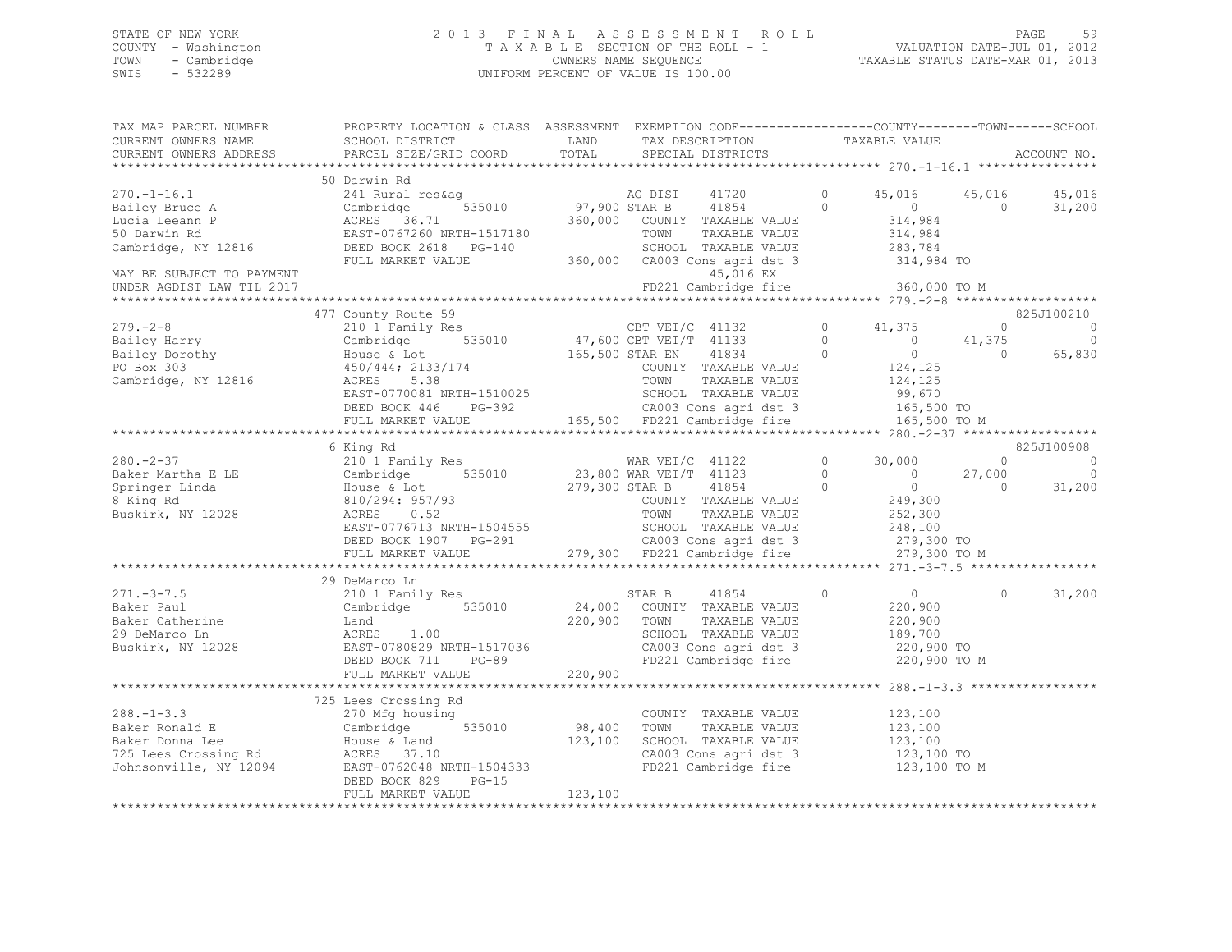# STATE OF NEW YORK 2 0 1 3 F I N A L A S S E S S M E N T R O L L PAGE 59 COUNTY - Washington T A X A B L E SECTION OF THE ROLL - 1 VALUATION DATE-JUL 01, 2012 TOWN - Cambridge OWNERS NAME SEQUENCE TAXABLE STATUS DATE-MAR 01, 2013 SWIS - 532289 UNIFORM PERCENT OF VALUE IS 100.00

| TAX MAP PARCEL NUMBER<br>CURRENT OWNERS NAME | PROPERTY LOCATION & CLASS ASSESSMENT EXEMPTION CODE----------------COUNTY-------TOWN------SCHOOL<br>SCHOOL DISTRICT                                                                                                                                                                                                                                                                                                         | LAND    | TAX DESCRIPTION                                                                                                        | TAXABLE VALUE                             |                |                                              |
|----------------------------------------------|-----------------------------------------------------------------------------------------------------------------------------------------------------------------------------------------------------------------------------------------------------------------------------------------------------------------------------------------------------------------------------------------------------------------------------|---------|------------------------------------------------------------------------------------------------------------------------|-------------------------------------------|----------------|----------------------------------------------|
| CURRENT OWNERS ADDRESS                       | PARCEL SIZE/GRID COORD TOTAL                                                                                                                                                                                                                                                                                                                                                                                                |         | SPECIAL DISTRICTS                                                                                                      |                                           |                | ACCOUNT NO.                                  |
|                                              |                                                                                                                                                                                                                                                                                                                                                                                                                             |         |                                                                                                                        |                                           |                |                                              |
|                                              | $\begin{tabular}{lllllllllllllllllll} \multicolumn{4}{c c c c c} \multicolumn{4}{c c c c} \multicolumn{4}{c c c} \multicolumn{4}{c c c} \multicolumn{4}{c c c} \multicolumn{4}{c c} \multicolumn{4}{c c} \multicolumn{4}{c c} \multicolumn{4}{c c} \multicolumn{4}{c c} \multicolumn{4}{c c} \multicolumn{4}{c c} \multicolumn{4}{c c} \multicolumn{4}{c c} \multicolumn{4}{c c} \multicolumn{4}{c c} \multicolumn{4}{c c}$ |         |                                                                                                                        | 45,016                                    | 45,016         | 45,016                                       |
|                                              |                                                                                                                                                                                                                                                                                                                                                                                                                             |         |                                                                                                                        | $\overline{0}$                            | $\sim$ 0       | 31,200                                       |
|                                              |                                                                                                                                                                                                                                                                                                                                                                                                                             |         |                                                                                                                        | 314,984<br>314,984                        |                |                                              |
|                                              |                                                                                                                                                                                                                                                                                                                                                                                                                             |         | -1517180 TOWN TAXABLE VALUE 314,984<br>PG-140 SCHOOL TAXABLE VALUE 283,784<br>360,000 CA003 Cons agri dst 3 314,984 TO |                                           |                |                                              |
|                                              |                                                                                                                                                                                                                                                                                                                                                                                                                             |         |                                                                                                                        |                                           |                |                                              |
|                                              | FULL MARKET VALUE                                                                                                                                                                                                                                                                                                                                                                                                           |         |                                                                                                                        |                                           |                |                                              |
| MAY BE SUBJECT TO PAYMENT                    |                                                                                                                                                                                                                                                                                                                                                                                                                             |         | 45,016 EX                                                                                                              |                                           |                |                                              |
| UNDER AGDIST LAW TIL 2017                    |                                                                                                                                                                                                                                                                                                                                                                                                                             |         | FD221 Cambridge fire 360,000 TO M                                                                                      |                                           |                |                                              |
|                                              |                                                                                                                                                                                                                                                                                                                                                                                                                             |         |                                                                                                                        |                                           |                |                                              |
|                                              | 4// COUNTY ROUND AND ROUND VIOLET VET 1132<br>279.-2-8<br>210 1 Family Res<br>210 1 Family Res<br>210 1 Family Res<br>210 1 Family Res<br>210 1 Family Res<br>210 1 Family Res<br>210 1 Family Res<br>210 21 Family Res<br>210 21 Family Res<br>210                                                                                                                                                                         |         |                                                                                                                        |                                           |                | 825J100210                                   |
|                                              |                                                                                                                                                                                                                                                                                                                                                                                                                             |         |                                                                                                                        |                                           |                | $\begin{matrix} 0 & 0 \\ 0 & 0 \end{matrix}$ |
|                                              |                                                                                                                                                                                                                                                                                                                                                                                                                             |         |                                                                                                                        |                                           | 41,375         | $\overline{0}$                               |
|                                              |                                                                                                                                                                                                                                                                                                                                                                                                                             |         |                                                                                                                        |                                           |                | 65,830                                       |
|                                              |                                                                                                                                                                                                                                                                                                                                                                                                                             |         |                                                                                                                        |                                           |                |                                              |
|                                              |                                                                                                                                                                                                                                                                                                                                                                                                                             |         |                                                                                                                        |                                           |                |                                              |
|                                              |                                                                                                                                                                                                                                                                                                                                                                                                                             |         |                                                                                                                        |                                           |                |                                              |
|                                              |                                                                                                                                                                                                                                                                                                                                                                                                                             |         |                                                                                                                        |                                           |                |                                              |
|                                              | Cambridge 535010 47,600 CBT VET/T 41133 0 41,375<br>House & Lot 165,500 STAR EN 41834 0 0 41,375<br>House & Lot 165,500 STAR EN 41834 0 0 0<br>450/444; 2133/174 COUNTY TAXABLE VALUE 124,125<br>ACRES 5.38 TOWN TAXABLE VALUE 124,12                                                                                                                                                                                       |         |                                                                                                                        |                                           |                |                                              |
|                                              |                                                                                                                                                                                                                                                                                                                                                                                                                             |         |                                                                                                                        |                                           |                |                                              |
|                                              | 6 King Rd                                                                                                                                                                                                                                                                                                                                                                                                                   |         |                                                                                                                        |                                           |                | 825J100908                                   |
| $280 - 2 - 37$                               | 210 1 Family Res                                                                                                                                                                                                                                                                                                                                                                                                            |         | WAR VET/C 41122 0                                                                                                      | 30,000                                    | $\overline{0}$ | $\sim$ 0                                     |
|                                              |                                                                                                                                                                                                                                                                                                                                                                                                                             |         |                                                                                                                        |                                           |                | $\overline{0}$                               |
|                                              |                                                                                                                                                                                                                                                                                                                                                                                                                             |         |                                                                                                                        |                                           |                | 31,200                                       |
|                                              |                                                                                                                                                                                                                                                                                                                                                                                                                             |         |                                                                                                                        |                                           |                |                                              |
|                                              |                                                                                                                                                                                                                                                                                                                                                                                                                             |         |                                                                                                                        |                                           |                |                                              |
|                                              |                                                                                                                                                                                                                                                                                                                                                                                                                             |         |                                                                                                                        |                                           |                |                                              |
|                                              |                                                                                                                                                                                                                                                                                                                                                                                                                             |         |                                                                                                                        |                                           |                |                                              |
|                                              |                                                                                                                                                                                                                                                                                                                                                                                                                             |         |                                                                                                                        |                                           |                |                                              |
|                                              |                                                                                                                                                                                                                                                                                                                                                                                                                             |         |                                                                                                                        |                                           |                |                                              |
|                                              | 29 DeMarco Ln                                                                                                                                                                                                                                                                                                                                                                                                               |         |                                                                                                                        | $\begin{array}{c}\n0 \\ 220\n\end{array}$ |                |                                              |
|                                              |                                                                                                                                                                                                                                                                                                                                                                                                                             |         |                                                                                                                        | $\circ$                                   | $\circ$        | 31,200                                       |
|                                              |                                                                                                                                                                                                                                                                                                                                                                                                                             |         |                                                                                                                        |                                           |                |                                              |
|                                              |                                                                                                                                                                                                                                                                                                                                                                                                                             |         | STAR B 41854<br>24,000 COUNTY TAXABLE VALUE<br>220,900 TOWN TAXABLE VALUE<br>TAXABLE VALUE                             | 220,900<br>189,700                        |                |                                              |
|                                              |                                                                                                                                                                                                                                                                                                                                                                                                                             |         | SCHOOL TAXABLE VALUE                                                                                                   |                                           |                |                                              |
|                                              |                                                                                                                                                                                                                                                                                                                                                                                                                             |         | CA003 Cons agri dst 3 220,900 TO<br>FD221 Cambridge fire 220,900 TO M                                                  |                                           |                |                                              |
|                                              | 271.-3-7.5<br>Baker Paul Cambridge 535010 24,000<br>Baker Catherine Land 220,900<br>29 DeMarco Ln ACRES 1.00<br>Buskirk, NY 12028 BAST-0780829 NRTH-1517036<br>DEED BOOK 711 PG-89                                                                                                                                                                                                                                          |         |                                                                                                                        |                                           |                |                                              |
|                                              | FULL MARKET VALUE                                                                                                                                                                                                                                                                                                                                                                                                           | 220,900 |                                                                                                                        |                                           |                |                                              |
|                                              |                                                                                                                                                                                                                                                                                                                                                                                                                             |         |                                                                                                                        |                                           |                |                                              |
|                                              | 725 Lees Crossing Rd                                                                                                                                                                                                                                                                                                                                                                                                        |         |                                                                                                                        |                                           |                |                                              |
|                                              |                                                                                                                                                                                                                                                                                                                                                                                                                             |         | COUNTY TAXABLE VALUE                                                                                                   | 123,100<br>123,100                        |                |                                              |
|                                              |                                                                                                                                                                                                                                                                                                                                                                                                                             |         |                                                                                                                        |                                           |                |                                              |
|                                              |                                                                                                                                                                                                                                                                                                                                                                                                                             |         | TOWN TAXABLE VALUE 123,100<br>SCHOOL TAXABLE VALUE 123,100<br>CA003 Cons agri dst 3 123,100 TO                         |                                           |                |                                              |
|                                              |                                                                                                                                                                                                                                                                                                                                                                                                                             |         |                                                                                                                        |                                           |                |                                              |
|                                              |                                                                                                                                                                                                                                                                                                                                                                                                                             |         | FD221 Cambridge fire 123,100 TO M                                                                                      |                                           |                |                                              |
|                                              | 288.-1-3.3<br>Baker Ronald E<br>Baker Donna Lee<br>725 Lees Crossing Rd<br>370 Mfg housing<br>725 Lees Crossing Rd<br>725 Lees Crossing Rd<br>37.10<br>38,400<br>88,400<br>88,400<br>23,100<br>23,100<br>23,100<br>23,100<br>23,100<br>23,100<br>23,100<br>23,100<br>                                                                                                                                                       |         |                                                                                                                        |                                           |                |                                              |
|                                              | FULL MARKET VALUE                                                                                                                                                                                                                                                                                                                                                                                                           | 123,100 |                                                                                                                        |                                           |                |                                              |
|                                              |                                                                                                                                                                                                                                                                                                                                                                                                                             |         |                                                                                                                        |                                           |                |                                              |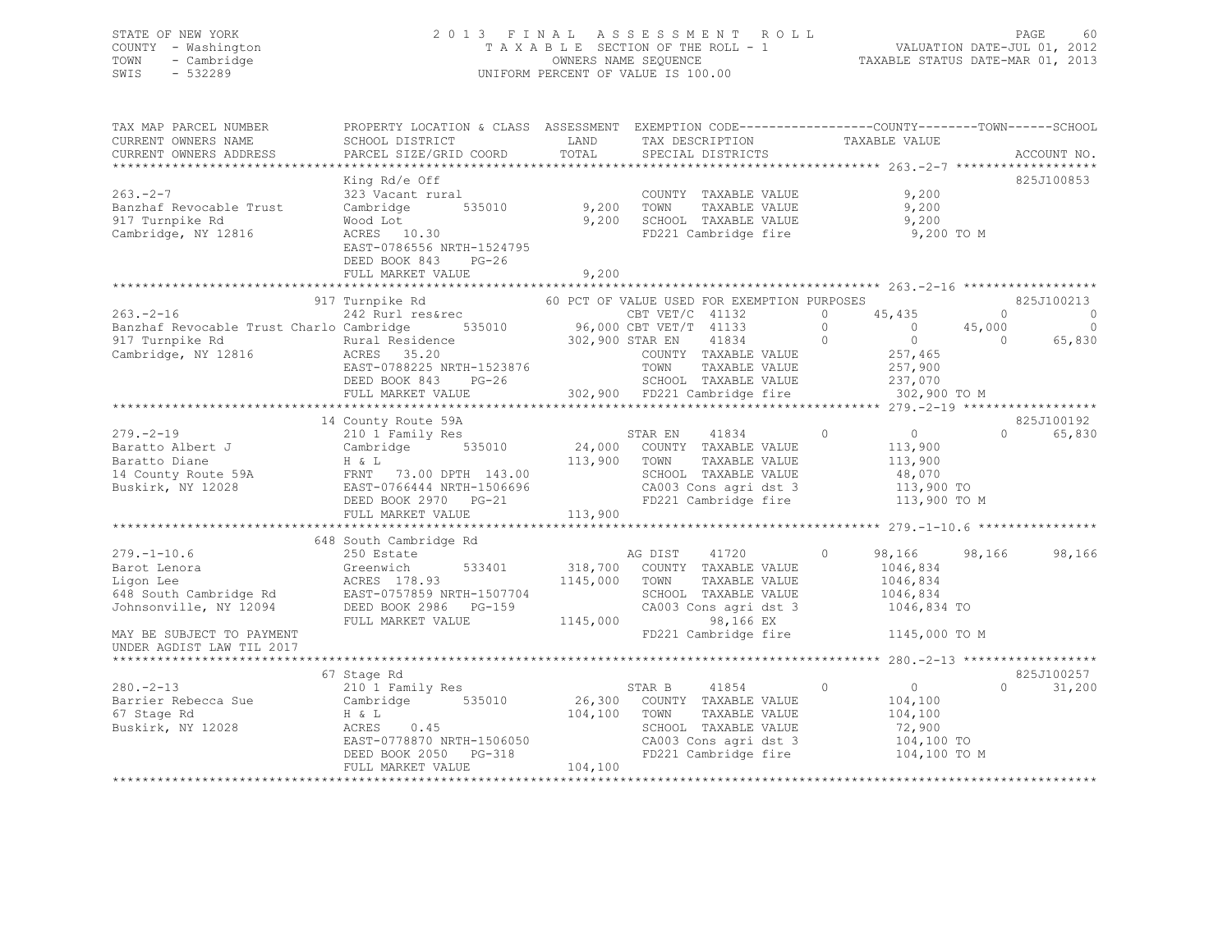# STATE OF NEW YORK 2 0 1 3 F I N A L A S S E S S M E N T R O L L PAGE 60 COUNTY - Washington T A X A B L E SECTION OF THE ROLL - 1 VALUATION DATE-JUL 01, 2012 TOWN - Cambridge OWNERS NAME SEQUENCE TAXABLE STATUS DATE-MAR 01, 2013 SWIS - 532289 UNIFORM PERCENT OF VALUE IS 100.00

| TAX MAP PARCEL NUMBER<br>CURRENT OWNERS NAME<br>CURRENT OWNERS ADDRESS                 | PROPERTY LOCATION & CLASS ASSESSMENT EXEMPTION CODE-----------------COUNTY-------TOWN------SCHOOL<br>SCHOOL DISTRICT<br>PARCEL SIZE/GRID COORD                                                                                                                                                                                                                                                                                                                                                                                               | <b>EXAMPLE EXAMPLE EXAMPLE EXAMPLE EXAMPLE EXAMPLE EXAMPLE EXAMPLE EXAMPLE EXAMPLE EXAMPLE EXAMPLE EXAMPLE EXAMPLE EXAMPLE EXAMPLE EXAMPLE EXAMPLE EXAMPLE EXAMPLE EXAMPLE EXAMPLE EXAMPLE EXAMPLE EXAMPLE EXAMPLE EXAMPLE EXAMP</b><br>TOTAL |                                                                                    | TAX DESCRIPTION TAXABLE VALUE<br>SPECIAL DISTRICTS                                                                                                                              | ACCOUNT NO.                                           |
|----------------------------------------------------------------------------------------|----------------------------------------------------------------------------------------------------------------------------------------------------------------------------------------------------------------------------------------------------------------------------------------------------------------------------------------------------------------------------------------------------------------------------------------------------------------------------------------------------------------------------------------------|-----------------------------------------------------------------------------------------------------------------------------------------------------------------------------------------------------------------------------------------------|------------------------------------------------------------------------------------|---------------------------------------------------------------------------------------------------------------------------------------------------------------------------------|-------------------------------------------------------|
| $263 - 2 - 7$<br>Banzhaf Revocable Trust<br>917 Turnpike Rd<br>Cambridge, NY 12816     | King Rd/e Off<br>323 Vacant rural<br>Cambridge 535010 9,200 TOWN<br>Wood Lot<br>ACRES 10.30<br>EAST-0786556 NRTH-1524795<br>DEED BOOK 843 PG-26                                                                                                                                                                                                                                                                                                                                                                                              |                                                                                                                                                                                                                                               | 9,200 SCHOOL TAXABLE VALUE                                                         | COUNTY TAXABLE VALUE 9,200<br>TAXABLE VALUE 9,200<br>9,200<br>FD221 Cambridge fire 9,200 TO M                                                                                   | 825J100853                                            |
|                                                                                        |                                                                                                                                                                                                                                                                                                                                                                                                                                                                                                                                              |                                                                                                                                                                                                                                               |                                                                                    |                                                                                                                                                                                 |                                                       |
|                                                                                        | 917 Turnpike Rd 60 PCT OF VALUE USED FOR EXEMPTION PURPOSES<br>263.-2-16<br>263.-2-16<br>263.-2-16<br>263.-2-16<br>263.-2-16<br>263.-2-16<br>263.-2-16<br>263.-2-16<br>263.-2-16<br>263.-2-16<br>263.-2-16<br>263.-2-16<br>263.-2-16<br>267.00<br>26,000 CBT VET/C 41133<br>26 0<br>257,000<br>257,000<br>257,000<br>257,000<br>257,0                                                                                                                                                                                                        |                                                                                                                                                                                                                                               |                                                                                    |                                                                                                                                                                                 | 825J100213<br>0<br>$\overline{\phantom{0}}$<br>65,830 |
|                                                                                        | 14 County Route 59A<br>$279.-2-19$<br>$2101 Family Res$<br>$2101 Family Res$<br>$2101 Family Res$<br>$24,000 COUNT TAXABLE VALUE$<br>$24,000 COUNT TAXABLE VALUE$<br>$24,000 COUNT TAXABLE VALUE$<br>$24,000 T. TAXABLE VALUE$<br>$24,000 T. TAXABLE VALUE$<br>$24,000 T. TAXABLE VALUE$<br>Paratto Diane<br>Paratto Diane<br>113,900<br>2008 FANT 73.00 DPTH 143.00<br>2008 FANT 73.00 DPTH 143.00<br>2008 EAST-0766444 NRTH-1506696<br>DEED BOOK 2970 PG-21<br>2013,900<br>2013 CA003 Cons agri dst 3<br>213,900 FONN TAXABLE VALUE<br>221 |                                                                                                                                                                                                                                               |                                                                                    |                                                                                                                                                                                 | 825J100192<br>$\Omega$<br>65,830                      |
| $279. - 1 - 10.6$<br>MAY BE SUBJECT TO PAYMENT<br>UNDER AGDIST LAW TIL 2017            | 648 South Cambridge Rd<br>250 Estate<br>279.-1-10.6 250 Estate and AG DIST 41720<br>Barot Lenora Greenwich 533401 318,700 COUNTY TAXABLE VALUE<br>Ligon Lee ACRES 178.93 ACRES 178.93 EAST-0757859 NRTH-1507704 SCHOOL TAXABLE VALUE<br>Johnsonville, NY 12094 DEED BOOK 298                                                                                                                                                                                                                                                                 |                                                                                                                                                                                                                                               | AG DIST 41720                                                                      | $\circ$<br>1046,834<br>1046,834<br>1046,834<br>1046,834 TO<br>FD221 Cambridge fire 1145,000 TO M                                                                                | 98,166<br>98,166 98,166                               |
| $280 - 2 - 13$<br>280.-2-15<br>Barrier Rebecca Sue<br>67 Stage Rd<br>Buskirk, NY 12028 | 67 Stage Rd<br>210 <sup>1</sup> Family Res<br>Cambridge 535010<br>H & L<br>ACRES 0.45<br>H & L<br>EAST-0778870 NRTH-1506050<br>EAST-0778870 NRTH-1506050<br>DEED BOOK 2050 PG-318<br>FULL MARKET VALUE                                                                                                                                                                                                                                                                                                                                       | 104,100 TOWN<br>104, 100                                                                                                                                                                                                                      | STAR B 41854 (26,300 COUNTY TAXABLE VALUE<br>TAXABLE VALUE<br>SCHOOL TAXABLE VALUE | $\overline{0}$<br>$\circ$<br>104,100<br>104,100<br>72,900<br>SCHOOL TAXABLE VALUE 72,900<br>CA003 Cons agri dst 3 104,100 TO<br>FD221 Cambridge fire 104,100 TO<br>104,100 TO M | 825J100257<br>$\Omega$<br>31,200                      |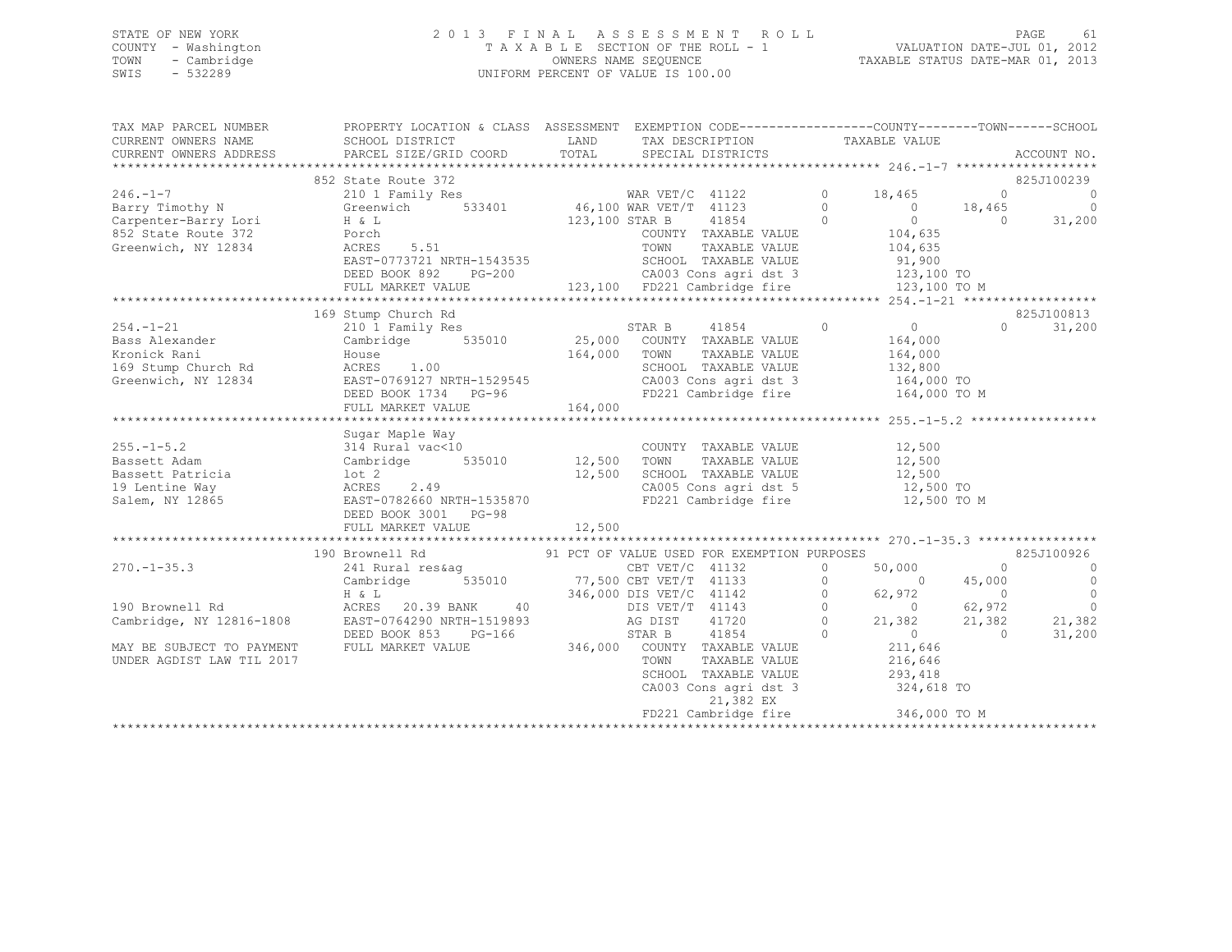# STATE OF NEW YORK 2 0 1 3 F I N A L A S S E S S M E N T R O L L PAGE 61 COUNTY - Washington T A X A B L E SECTION OF THE ROLL - 1 VALUATION DATE-JUL 01, 2012 TOWN - Cambridge OWNERS NAME SEQUENCE TAXABLE STATUS DATE-MAR 01, 2013 SWIS - 532289 UNIFORM PERCENT OF VALUE IS 100.00

| TAX MAP PARCEL NUMBER<br>CURRENT OWNERS NAME           | CURRENT OWNERS ADDRESS PARCEL SIZE/GRID COORD                                                                                                                                                                                                              | LAND TAX DESCRIPTION TAXABLE VALUE COORD TOTAL SPECIAL DISTRICTS                                                                                                                                  |                                  |                                                                                                | ACCOUNT NO.              |
|--------------------------------------------------------|------------------------------------------------------------------------------------------------------------------------------------------------------------------------------------------------------------------------------------------------------------|---------------------------------------------------------------------------------------------------------------------------------------------------------------------------------------------------|----------------------------------|------------------------------------------------------------------------------------------------|--------------------------|
|                                                        |                                                                                                                                                                                                                                                            |                                                                                                                                                                                                   |                                  |                                                                                                |                          |
|                                                        | 852 State Route 372                                                                                                                                                                                                                                        |                                                                                                                                                                                                   |                                  |                                                                                                | 825J100239               |
| 246.-1-7<br>Barry Timothy N                            |                                                                                                                                                                                                                                                            |                                                                                                                                                                                                   |                                  |                                                                                                | $\overline{\phantom{0}}$ |
|                                                        |                                                                                                                                                                                                                                                            |                                                                                                                                                                                                   |                                  |                                                                                                | $\overline{0}$           |
| Carpenter-Barry Lori M & L                             | 852 State Route 372<br>210 1 Family Res MAR VET/C 41122 0 18,465<br>Greenwich 533401 46,100 WAR VET/T 41123 0 0 18,465<br>H & L 123,100 STAR B 41854 0 0 0 0                                                                                               |                                                                                                                                                                                                   |                                  |                                                                                                | 31,200                   |
| 852 State Route 372 Porch<br>Greenwich, NY 12834 ACRES | $5.51$                                                                                                                                                                                                                                                     | $\begin{tabular}{lllllllllll} \multicolumn{2}{c}{\textbf{COUNTY}} & \textbf{TAXABLE VALUE} & & & 104,635 \\ \multicolumn{2}{c}{\textbf{TOWN}} & \textbf{TAXABLE VALUE} & & 104,635 \end{tabular}$ |                                  |                                                                                                |                          |
| Greenwich, NY 12834                                    | ACRES                                                                                                                                                                                                                                                      | TOWN                                                                                                                                                                                              |                                  |                                                                                                |                          |
|                                                        |                                                                                                                                                                                                                                                            |                                                                                                                                                                                                   |                                  |                                                                                                |                          |
|                                                        |                                                                                                                                                                                                                                                            |                                                                                                                                                                                                   |                                  |                                                                                                |                          |
|                                                        |                                                                                                                                                                                                                                                            |                                                                                                                                                                                                   |                                  |                                                                                                |                          |
|                                                        |                                                                                                                                                                                                                                                            |                                                                                                                                                                                                   |                                  |                                                                                                |                          |
|                                                        | 169 Stump Church Rd                                                                                                                                                                                                                                        |                                                                                                                                                                                                   |                                  |                                                                                                | 825J100813               |
| $254. - 1 - 21$                                        | 210 1 Family Res                                                                                                                                                                                                                                           | STAR B 41854 0 0                                                                                                                                                                                  |                                  | $\Omega$                                                                                       | 31,200                   |
|                                                        | EXAMPLE VALUE<br>EXAMPLE VALUE<br>EXAMPLE VALUE<br>EXAMPLE VALUE<br>EXAMPLE VALUE<br>EXAMPLE VALUE<br>EXAMPLE VALUE<br>EXAMPLE VALUE<br>EXAMPLE VALUE<br>EXAMPLE VALUE<br>EXAMPLE VALUE<br>EXAMPLE VALUE<br>EXAMPLE VALUE<br>EXAMPLE VALUE<br>EXAMPLE VALU |                                                                                                                                                                                                   | $164,000$<br>$164,000$           |                                                                                                |                          |
|                                                        |                                                                                                                                                                                                                                                            | TAXABLE VALUE                                                                                                                                                                                     |                                  |                                                                                                |                          |
|                                                        |                                                                                                                                                                                                                                                            | SCHOOL TAXABLE VALUE 132,800                                                                                                                                                                      |                                  |                                                                                                |                          |
|                                                        |                                                                                                                                                                                                                                                            | CA003 Cons agri dst 3 164,000 TO<br>FD221 Cambridge fire 164,000 TO M                                                                                                                             |                                  |                                                                                                |                          |
|                                                        |                                                                                                                                                                                                                                                            |                                                                                                                                                                                                   |                                  |                                                                                                |                          |
|                                                        |                                                                                                                                                                                                                                                            |                                                                                                                                                                                                   |                                  |                                                                                                |                          |
|                                                        |                                                                                                                                                                                                                                                            |                                                                                                                                                                                                   |                                  |                                                                                                |                          |
|                                                        | Bassett Adam Cambridge 535010 (2)<br>Bassett Patricia (12,500 country TAXABLE VALUE<br>Bassett Patricia (12,500 com TAXABLE VALUE<br>12,500 com TAXABLE VALUE<br>12,500 com TAXABLE VALUE<br>12,500 com agri dat 5<br>Salem, NY 12865 EAST                 |                                                                                                                                                                                                   |                                  |                                                                                                |                          |
|                                                        |                                                                                                                                                                                                                                                            |                                                                                                                                                                                                   |                                  |                                                                                                |                          |
|                                                        |                                                                                                                                                                                                                                                            |                                                                                                                                                                                                   |                                  |                                                                                                |                          |
|                                                        |                                                                                                                                                                                                                                                            |                                                                                                                                                                                                   |                                  |                                                                                                |                          |
|                                                        |                                                                                                                                                                                                                                                            | CA005 Cons agri dst 5 12,500 TO<br>FD221 Cambridge fire 12,500 TO                                                                                                                                 |                                  |                                                                                                |                          |
|                                                        |                                                                                                                                                                                                                                                            |                                                                                                                                                                                                   |                                  | 12,500 TO M                                                                                    |                          |
|                                                        |                                                                                                                                                                                                                                                            |                                                                                                                                                                                                   |                                  |                                                                                                |                          |
|                                                        |                                                                                                                                                                                                                                                            |                                                                                                                                                                                                   |                                  |                                                                                                |                          |
|                                                        |                                                                                                                                                                                                                                                            |                                                                                                                                                                                                   |                                  |                                                                                                |                          |
|                                                        | 190 Brownell Rd                                                                                                                                                                                                                                            |                                                                                                                                                                                                   |                                  | $\overline{0}$                                                                                 | 825J100926               |
| $270. - 1 - 35.3$                                      |                                                                                                                                                                                                                                                            |                                                                                                                                                                                                   | $0 \t 50,000$                    |                                                                                                | $\overline{0}$           |
|                                                        | Cambridge 535010 77,500 CBT VET/T 41133 0 0 0                                                                                                                                                                                                              |                                                                                                                                                                                                   |                                  | 45,000                                                                                         | $\overline{a}$           |
|                                                        | 0 1142 1 142<br>H & L 20.39 BANK 40 115 VET/C 41142 0<br>EAST-0764290 NRTH-1519893 AG DIST 41720 0                                                                                                                                                         |                                                                                                                                                                                                   |                                  | $\begin{array}{cccc} 62,972 & 0 & 0 \\ 0 & 62,972 & 0 \\ 21,382 & 21,382 & 21,382 \end{array}$ |                          |
| 190 Brownell Rd                                        |                                                                                                                                                                                                                                                            |                                                                                                                                                                                                   |                                  |                                                                                                |                          |
|                                                        | Cambridge, NY 12816-1808 EAST-0764290 NRTH-1519893 AG DIST                                                                                                                                                                                                 |                                                                                                                                                                                                   |                                  |                                                                                                |                          |
|                                                        | DEED BOOK 853 PG-166                                                                                                                                                                                                                                       | 41854<br>STAR B                                                                                                                                                                                   | $0$<br>211,646<br>$\overline{0}$ | $\overline{0}$                                                                                 | 31,200                   |
| MAY BE SUBJECT TO PAYMENT FULL MARKET VALUE            |                                                                                                                                                                                                                                                            |                                                                                                                                                                                                   |                                  |                                                                                                |                          |
| UNDER AGDIST LAW TIL 2017                              |                                                                                                                                                                                                                                                            | TOWN                                                                                                                                                                                              | TAXABLE VALUE 216,646            |                                                                                                |                          |
|                                                        |                                                                                                                                                                                                                                                            | SCHOOL TAXABLE VALUE 293,418<br>CA003 Cons agri dst 3 324,618 TO                                                                                                                                  |                                  |                                                                                                |                          |
|                                                        |                                                                                                                                                                                                                                                            |                                                                                                                                                                                                   |                                  |                                                                                                |                          |
|                                                        |                                                                                                                                                                                                                                                            | 21,382 EX                                                                                                                                                                                         |                                  |                                                                                                |                          |
|                                                        |                                                                                                                                                                                                                                                            |                                                                                                                                                                                                   |                                  |                                                                                                |                          |
|                                                        |                                                                                                                                                                                                                                                            |                                                                                                                                                                                                   |                                  |                                                                                                |                          |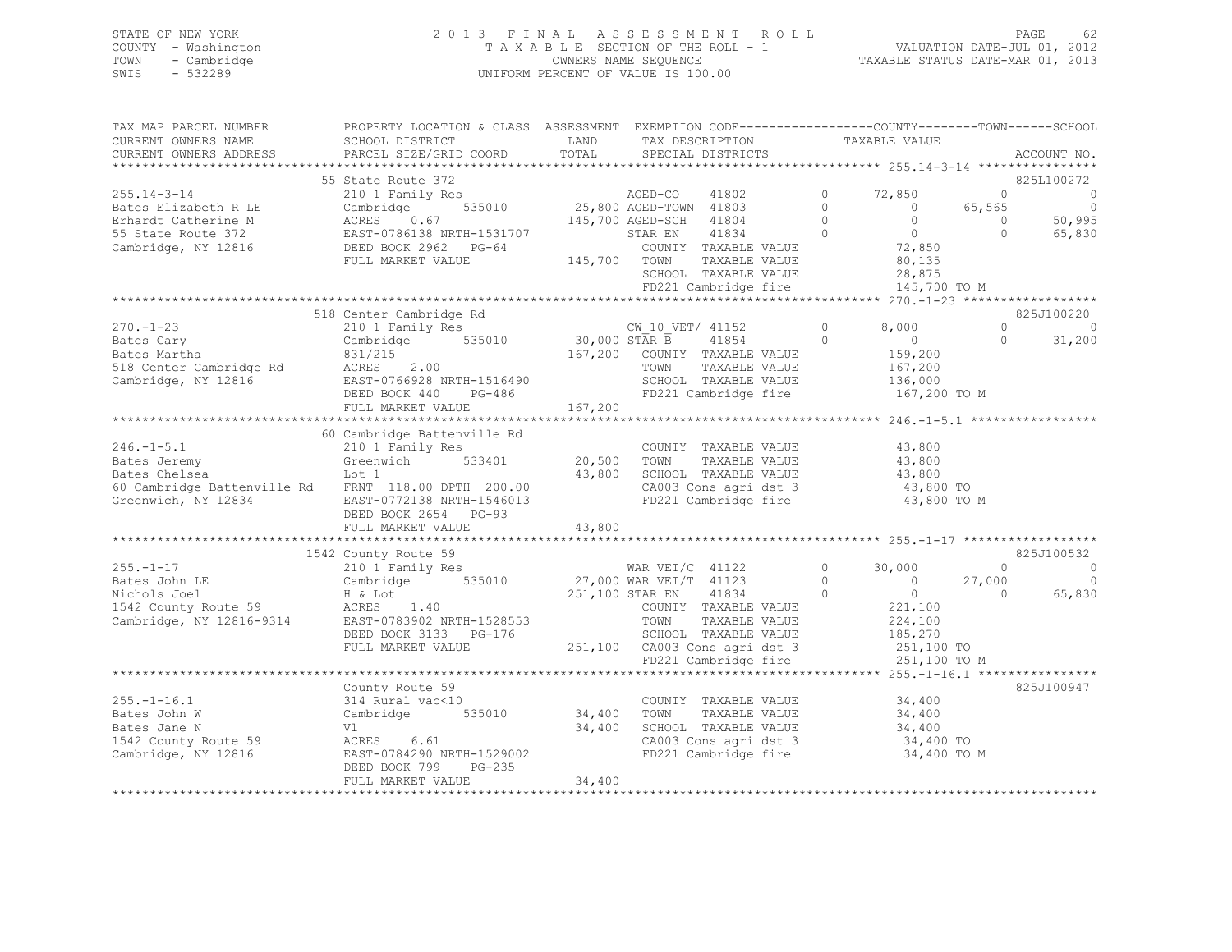# STATE OF NEW YORK 2 0 1 3 F I N A L A S S E S S M E N T R O L L PAGE 62 COUNTY - Washington T A X A B L E SECTION OF THE ROLL - 1 VALUATION DATE-JUL 01, 2012 TOWN - Cambridge OWNERS NAME SEQUENCE TAXABLE STATUS DATE-MAR 01, 2013 SWIS - 532289 UNIFORM PERCENT OF VALUE IS 100.00

| TAX MAP PARCEL NUMBER<br>CURRENT OWNERS NAME                                 | PROPERTY LOCATION & CLASS ASSESSMENT EXEMPTION CODE----------------COUNTY-------TOWN-----SCHOOL<br>SCHOOL DISTRICT<br>PARCEL SIZE/GRID COORD | LAND<br>TOTAL | TAX DESCRIPTION                                    |                    | TAXABLE VALUE                    |                    | ACCOUNT NO.         |
|------------------------------------------------------------------------------|----------------------------------------------------------------------------------------------------------------------------------------------|---------------|----------------------------------------------------|--------------------|----------------------------------|--------------------|---------------------|
| CURRENT OWNERS ADDRESS                                                       |                                                                                                                                              |               | SPECIAL DISTRICTS                                  |                    |                                  |                    |                     |
|                                                                              | 55 State Route 372                                                                                                                           |               |                                                    |                    |                                  |                    | 825L100272          |
| $255.14 - 3 - 14$                                                            | 210 1 Family Res                                                                                                                             |               | AGED-CO<br>41802                                   | $\circ$            | 72,850                           | $\circ$            | $\circ$             |
| Bates Elizabeth R LE                                                         | 535010<br>Cambridge                                                                                                                          |               | 25,800 AGED-TOWN 41803                             | $\Omega$           | $\overline{0}$                   | 65,565             | $\overline{0}$      |
| Erhardt Catherine M                                                          | ACRES<br>0.67                                                                                                                                |               | 145,700 AGED-SCH 41804                             | $\Omega$           | $\Omega$                         | $\circ$            | 50,995              |
| 55 State Route 372                                                           | EAST-0786138 NRTH-1531707                                                                                                                    |               | 41834<br>STAR EN                                   | $\Omega$           | $\overline{0}$                   | $\Omega$           | 65,830              |
| Cambridge, NY 12816                                                          | DEED BOOK 2962 PG-64                                                                                                                         |               | COUNTY TAXABLE VALUE                               |                    | 72,850                           |                    |                     |
|                                                                              | FULL MARKET VALUE                                                                                                                            | 145,700 TOWN  | TAXABLE VALUE                                      |                    | 80,135                           |                    |                     |
|                                                                              |                                                                                                                                              |               | SCHOOL TAXABLE VALUE                               |                    | 28,875                           |                    |                     |
|                                                                              |                                                                                                                                              |               | FD221 Cambridge fire                               |                    | 145,700 TO M                     |                    |                     |
|                                                                              | 518 Center Cambridge Rd                                                                                                                      |               |                                                    |                    |                                  |                    | 825J100220          |
| $270. - 1 - 23$                                                              | 210 1 Family Res                                                                                                                             |               |                                                    | $\circ$            | 8,000                            | $\Omega$           | $\circ$             |
| Bates Gary                                                                   | Cambridge 535010                                                                                                                             |               | CW_10_VET/ 41152<br>30,000 STAR B 41854<br>41854   | $\Omega$           | $\overline{0}$                   | $\Omega$           | 31,200              |
| Bates Martha                                                                 | 831/215                                                                                                                                      |               | 167,200 COUNTY TAXABLE VALUE                       |                    | 159,200                          |                    |                     |
| 518 Center Cambridge Rd                                                      | ACRES 2.00                                                                                                                                   |               | TOWN<br>TAXABLE VALUE                              |                    | 167,200                          |                    |                     |
| Cambridge, NY 12816                                                          | EAST-0766928 NRTH-1516490                                                                                                                    |               | SCHOOL TAXABLE VALUE                               |                    | 136,000                          |                    |                     |
|                                                                              | DEED BOOK 440<br>PG-486                                                                                                                      |               | FD221 Cambridge fire                               |                    | 167,200 TO M                     |                    |                     |
|                                                                              | FULL MARKET VALUE                                                                                                                            | 167,200       |                                                    |                    |                                  |                    |                     |
|                                                                              |                                                                                                                                              |               |                                                    |                    |                                  |                    |                     |
|                                                                              | 60 Cambridge Battenville Rd                                                                                                                  |               |                                                    |                    |                                  |                    |                     |
| $246. - 1 - 5.1$                                                             | 210 1 Family Res                                                                                                                             |               | COUNTY TAXABLE VALUE                               |                    | 43,800                           |                    |                     |
| Bates Jeremy                                                                 | Greenwich 533401                                                                                                                             | 20,500        | TOWN<br>TAXABLE VALUE                              |                    | 43,800                           |                    |                     |
| Bates Chelsea                                                                | Lot 1                                                                                                                                        | 43,800        | SCHOOL TAXABLE VALUE                               |                    | 43,800                           |                    |                     |
| 60 Cambridge Battenville Rd FRNT 118.00 DPTH 200.00                          |                                                                                                                                              |               | CA003 Cons agri dst 3                              |                    | 43,800 TO                        |                    |                     |
| Greenwich, NY 12834                                                          | EAST-0772138 NRTH-1546013                                                                                                                    |               | FD221 Cambridge fire                               |                    | 43,800 TO M                      |                    |                     |
|                                                                              | DEED BOOK 2654 PG-93                                                                                                                         |               |                                                    |                    |                                  |                    |                     |
|                                                                              | FULL MARKET VALUE                                                                                                                            | 43,800        |                                                    |                    |                                  |                    |                     |
|                                                                              |                                                                                                                                              |               |                                                    |                    |                                  |                    |                     |
|                                                                              | 1542 County Route 59                                                                                                                         |               |                                                    |                    |                                  |                    | 825J100532          |
| $255. - 1 - 17$                                                              | 210 1 Family Res<br>535010                                                                                                                   |               | WAR $VET/C$ 41122                                  | $\circ$            | 30,000                           | $\Omega$           | $\circ$<br>$\Omega$ |
| Bates John LE<br>Nichols Joel                                                | Cambridge<br>H & Lot                                                                                                                         |               | 27,000 WAR VET/T 41123<br>251,100 STAR EN<br>41834 | $\circ$<br>$\circ$ | $\overline{0}$<br>$\overline{0}$ | 27,000<br>$\Omega$ | 65,830              |
|                                                                              | ACRES 1.40                                                                                                                                   |               | COUNTY TAXABLE VALUE                               |                    | 221,100                          |                    |                     |
| 1542 County Route 59<br>Cambridge. NY 12816-9314<br>Cambridge, NY 12816-9314 | EAST-0783902 NRTH-1528553                                                                                                                    |               | TOWN<br>TAXABLE VALUE                              |                    | 224,100                          |                    |                     |
|                                                                              | DEED BOOK 3133 PG-176                                                                                                                        |               | SCHOOL TAXABLE VALUE                               |                    | 185,270                          |                    |                     |
|                                                                              | FULL MARKET VALUE                                                                                                                            |               | 251,100 CA003 Cons agri dst 3                      |                    | 251,100 TO                       |                    |                     |
|                                                                              |                                                                                                                                              |               | FD221 Cambridge fire                               |                    | 251,100 TO M                     |                    |                     |
|                                                                              |                                                                                                                                              |               |                                                    |                    |                                  |                    |                     |
|                                                                              | County Route 59                                                                                                                              |               |                                                    |                    |                                  |                    | 825J100947          |
| $255. - 1 - 16.1$                                                            | 314 Rural vac<10                                                                                                                             |               | COUNTY TAXABLE VALUE                               |                    | 34,400                           |                    |                     |
| Bates John W                                                                 | Cambridge 535010                                                                                                                             | 34,400        | TOWN<br>TAXABLE VALUE                              |                    | 34,400                           |                    |                     |
| Bates Jane N                                                                 | Vl                                                                                                                                           | 34,400        | SCHOOL TAXABLE VALUE                               |                    | 34,400                           |                    |                     |
| 1542 County Route 59                                                         | ACRES 6.61                                                                                                                                   |               | CA003 Cons agri dst 3                              |                    | 34,400 TO                        |                    |                     |
| Cambridge, NY 12816                                                          | EAST-0784290 NRTH-1529002                                                                                                                    |               | FD221 Cambridge fire                               |                    | 34,400 TO M                      |                    |                     |
|                                                                              | DEED BOOK 799<br>PG-235                                                                                                                      |               |                                                    |                    |                                  |                    |                     |
|                                                                              | FULL MARKET VALUE                                                                                                                            | 34,400        |                                                    |                    |                                  |                    |                     |
|                                                                              |                                                                                                                                              |               |                                                    |                    |                                  |                    |                     |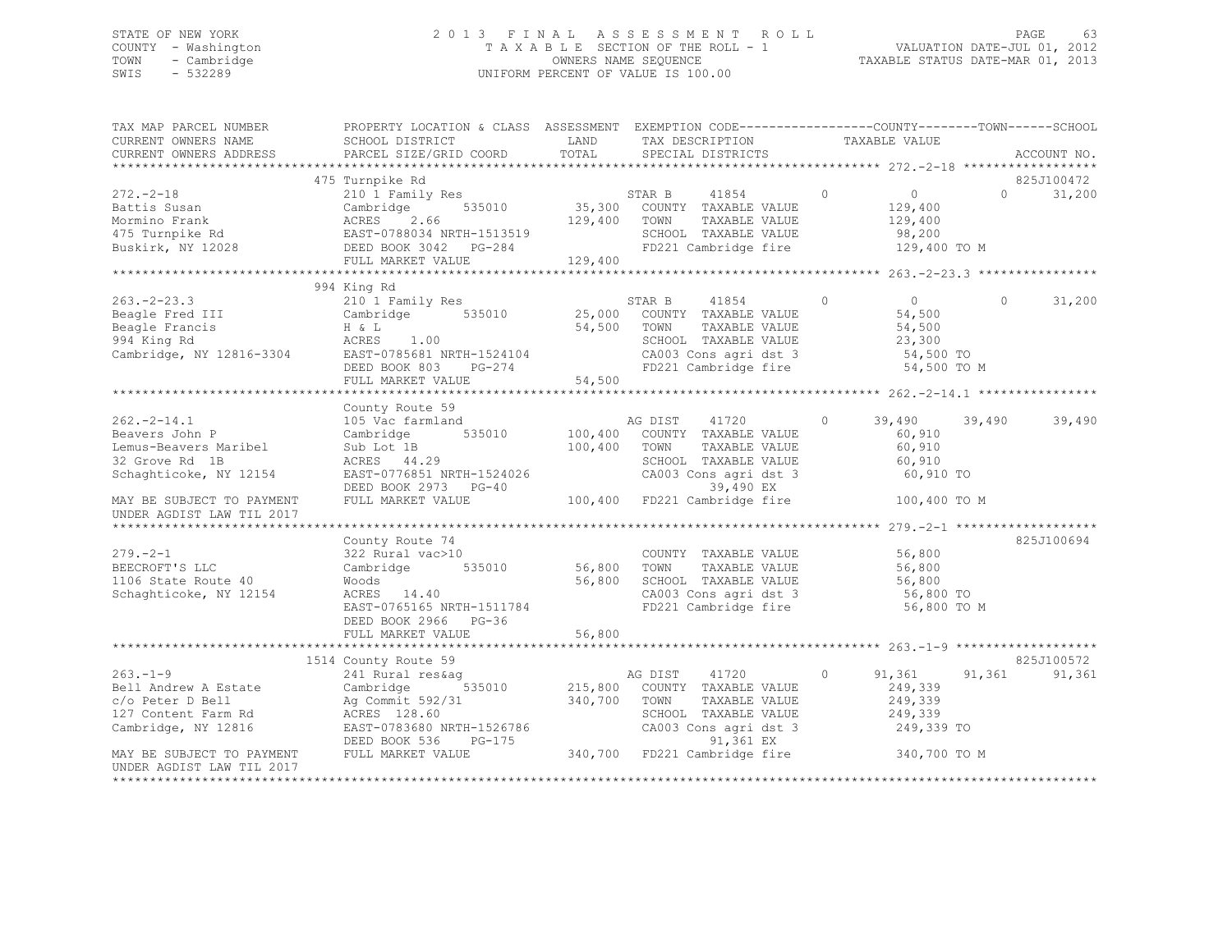# STATE OF NEW YORK 2 0 1 3 F I N A L A S S E S S M E N T R O L L PAGE 63 COUNTY - Washington T A X A B L E SECTION OF THE ROLL - 1 VALUATION DATE-JUL 01, 2012 TOWN - Cambridge OWNERS NAME SEQUENCE TAXABLE STATUS DATE-MAR 01, 2013 SWIS - 532289 UNIFORM PERCENT OF VALUE IS 100.00

| TAX MAP PARCEL NUMBER<br>CURRENT OWNERS NAME<br>CURRENT OWNERS ADDRESS                                                               | PROPERTY LOCATION & CLASS ASSESSMENT EXEMPTION CODE---------------COUNTY-------TOWN------SCHOOL<br>SCHOOL DISTRICT<br>PARCEL SIZE/GRID COORD                  | LAND<br>TOTAL      | TAX DESCRIPTION<br>SPECIAL DISTRICTS                                                                                                                            | TAXABLE VALUE                                                                       | ACCOUNT NO.                      |
|--------------------------------------------------------------------------------------------------------------------------------------|---------------------------------------------------------------------------------------------------------------------------------------------------------------|--------------------|-----------------------------------------------------------------------------------------------------------------------------------------------------------------|-------------------------------------------------------------------------------------|----------------------------------|
|                                                                                                                                      |                                                                                                                                                               |                    |                                                                                                                                                                 |                                                                                     |                                  |
| $272. - 2 - 18$<br>Battis Susan<br>Mormino Frank<br>475 Turnpike Rd<br>Buskirk, NY 12028                                             | 475 Turnpike Rd<br>210 1 Family Res<br>535010<br>Cambridge<br>2.66<br>ACRES<br>EAST-0788034 NRTH-1513519<br>DEED BOOK 3042 PG-284<br>FULL MARKET VALUE        | 129,400<br>129,400 | STAR B<br>41854<br>35,300 COUNTY TAXABLE VALUE<br>TOWN<br>TAXABLE VALUE<br>SCHOOL TAXABLE VALUE<br>FD221 Cambridge fire                                         | $\circ$<br>$\overline{0}$<br>129,400<br>129,400<br>98,200<br>129,400 TO M           | 825J100472<br>31,200<br>$\Omega$ |
|                                                                                                                                      |                                                                                                                                                               |                    |                                                                                                                                                                 |                                                                                     |                                  |
| $263 - 2 - 23.3$<br>Beagle Fred III<br>Beagle Francis<br>994 King Rd<br>Cambridge, NY 12816-3304                                     | 994 King Rd<br>210 1 Family Res<br>535010<br>Cambridge<br>H & L<br>ACRES<br>1.00<br>EAST-0785681 NRTH-1524104<br>DEED BOOK 803<br>PG-274<br>FULL MARKET VALUE | 54,500<br>54,500   | 41854<br>STAR B<br>25,000 COUNTY TAXABLE VALUE<br>TAXABLE VALUE<br>TOWN<br>SCHOOL TAXABLE VALUE<br>CA003 Cons agri dst 3<br>FD221 Cambridge fire                | $\circ$<br>$\overline{0}$<br>54,500<br>54,500<br>23,300<br>54,500 TO<br>54,500 TO M | 31,200<br>$\circ$                |
|                                                                                                                                      | County Route 59                                                                                                                                               |                    |                                                                                                                                                                 |                                                                                     |                                  |
| $262 - 2 - 14.1$<br>Beavers John P<br>Lemus-Beavers Maribel<br>32 Grove Rd 1B<br>Schaghticoke, NY 12154                              | 105 Vac farmland<br>535010<br>Cambridge<br>Sub Lot 1B<br>ACRES 44.29<br>EAST-0776851 NRTH-1524026<br>DEED BOOK 2973 PG-40                                     | 100,400<br>100,400 | AG DIST<br>41720<br>COUNTY TAXABLE VALUE<br>TOWN<br>TAXABLE VALUE<br>SCHOOL TAXABLE VALUE<br>CA003 Cons agri dst 3<br>39,490 EX                                 | 39,490<br>$\circ$<br>60,910<br>60,910<br>60,910<br>60,910 TO                        | 39,490<br>39,490                 |
| MAY BE SUBJECT TO PAYMENT<br>UNDER AGDIST LAW TIL 2017                                                                               | FULL MARKET VALUE                                                                                                                                             |                    | 100,400 FD221 Cambridge fire                                                                                                                                    | 100,400 TO M                                                                        |                                  |
| $279. - 2 - 1$<br>BEECROFT'S LLC<br>1106 State Route 40<br>Schaghticoke, NY 12154                                                    | County Route 74<br>322 Rural vac>10<br>Cambridge<br>535010<br>Woods<br>ACRES 14.40<br>EAST-0765165 NRTH-1511784<br>DEED BOOK 2966 PG-36                       | 56,800<br>56,800   | COUNTY TAXABLE VALUE<br>TOWN<br>TAXABLE VALUE<br>SCHOOL TAXABLE VALUE<br>CA003 Cons agri dst 3<br>FD221 Cambridge fire                                          | 56,800<br>56,800<br>56,800<br>56,800 TO<br>56,800 TO M                              | 825J100694                       |
|                                                                                                                                      | FULL MARKET VALUE                                                                                                                                             | 56,800             |                                                                                                                                                                 |                                                                                     |                                  |
|                                                                                                                                      | 1514 County Route 59                                                                                                                                          |                    |                                                                                                                                                                 |                                                                                     | 825J100572                       |
| $263 - 1 - 9$<br>Bell Andrew A Estate<br>c/o Peter D Bell<br>127 Content Farm Rd<br>Cambridge, NY 12816<br>MAY BE SUBJECT TO PAYMENT | 241 Rural res&aq<br>535010<br>Cambridge<br>Ag Commit 592/31<br>ACRES 128.60<br>EAST-0783680 NRTH-1526786<br>PG-175<br>DEED BOOK 536<br>FULL MARKET VALUE      | 215,800<br>340,700 | AG DIST<br>41720<br>COUNTY TAXABLE VALUE<br>TOWN<br>TAXABLE VALUE<br>SCHOOL TAXABLE VALUE<br>CA003 Cons agri dst 3<br>91,361 EX<br>340,700 FD221 Cambridge fire | $\circ$<br>91,361<br>249,339<br>249,339<br>249,339<br>249,339 TO<br>340,700 TO M    | 91,361<br>91,361                 |
| UNDER AGDIST LAW TIL 2017                                                                                                            |                                                                                                                                                               |                    |                                                                                                                                                                 |                                                                                     |                                  |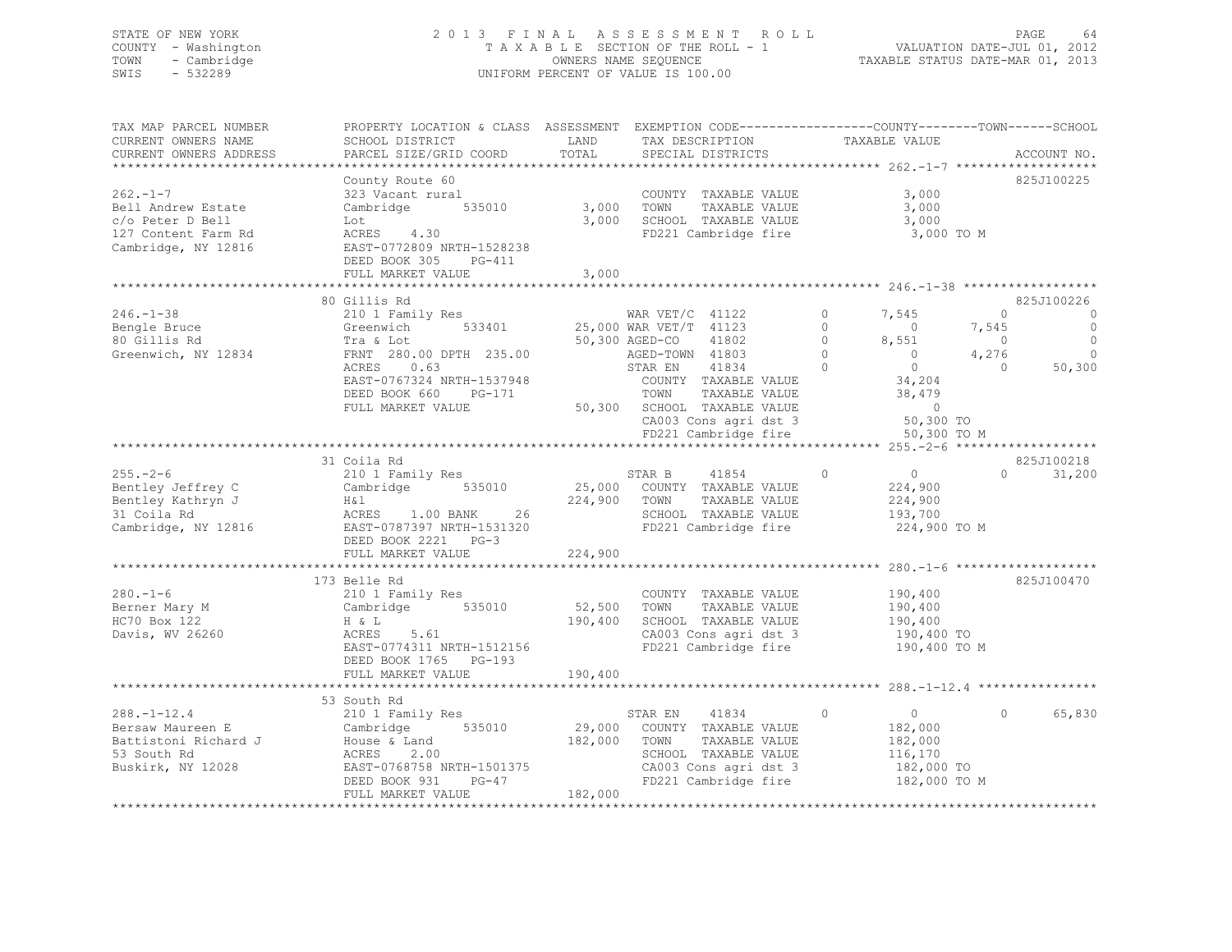# STATE OF NEW YORK 2 0 1 3 F I N A L A S S E S S M E N T R O L L PAGE 64 COUNTY - Washington T A X A B L E SECTION OF THE ROLL - 1 VALUATION DATE-JUL 01, 2012 TOWN - Cambridge OWNERS NAME SEQUENCE TAXABLE STATUS DATE-MAR 01, 2013 SWIS - 532289 UNIFORM PERCENT OF VALUE IS 100.00

| TAX MAP PARCEL NUMBER<br>CURRENT OWNERS NAME<br>CURRENT OWNERS ADDRESS                                | PROPERTY LOCATION & CLASS ASSESSMENT EXEMPTION CODE----------------COUNTY-------TOWN-----SCHOOL<br>SCHOOL DISTRICT<br>PARCEL SIZE/GRID COORD                                  | LAND<br>TOTAL                | TAX DESCRIPTION<br>SPECIAL DISTRICTS                                                                                                                                                                                                           | TAXABLE VALUE                                                                                                                                                                                      | ACCOUNT NO.                                                                                                                  |
|-------------------------------------------------------------------------------------------------------|-------------------------------------------------------------------------------------------------------------------------------------------------------------------------------|------------------------------|------------------------------------------------------------------------------------------------------------------------------------------------------------------------------------------------------------------------------------------------|----------------------------------------------------------------------------------------------------------------------------------------------------------------------------------------------------|------------------------------------------------------------------------------------------------------------------------------|
|                                                                                                       | County Route 60                                                                                                                                                               |                              |                                                                                                                                                                                                                                                |                                                                                                                                                                                                    | 825J100225                                                                                                                   |
| $262 - 1 - 7$<br>Bell Andrew Estate<br>c/o Peter D Bell<br>127 Content Farm Rd<br>Cambridge, NY 12816 | 323 Vacant rural<br>Cambridge 535010<br>Lot<br>ACRES 4.30<br>EAST-0772809 NRTH-1528238                                                                                        | 3,000<br>3,000               | COUNTY TAXABLE VALUE<br>TOWN<br>TAXABLE VALUE<br>SCHOOL TAXABLE VALUE<br>FD221 Cambridge fire                                                                                                                                                  | 3,000<br>3,000<br>3,000<br>3,000 TO M                                                                                                                                                              |                                                                                                                              |
|                                                                                                       | DEED BOOK 305<br>$PG-411$<br>FULL MARKET VALUE                                                                                                                                | 3,000                        |                                                                                                                                                                                                                                                |                                                                                                                                                                                                    |                                                                                                                              |
|                                                                                                       | 80 Gillis Rd                                                                                                                                                                  |                              |                                                                                                                                                                                                                                                |                                                                                                                                                                                                    | 825J100226                                                                                                                   |
| $246. - 1 - 38$<br>Bengle Bruce<br>80 Gillis Rd<br>Greenwich, NY 12834                                | 210 1 Family Res<br>533401<br>Greenwich<br>Tra & Lot<br>FRNT 280.00 DPTH 235.00<br>ACRES<br>0.63<br>EAST-0767324 NRTH-1537948<br>DEED BOOK 660<br>PG-171<br>FULL MARKET VALUE |                              | WAR $VET/C$ 41122<br>25,000 WAR VET/T 41123<br>50,300 AGED-CO<br>41802<br>AGED-TOWN 41803<br>41834<br>STAR EN<br>COUNTY TAXABLE VALUE<br>TOWN<br>TAXABLE VALUE<br>50,300 SCHOOL TAXABLE VALUE<br>CA003 Cons agri dst 3<br>FD221 Cambridge fire | $\Omega$<br>7,545<br>$\Omega$<br>$\overline{0}$<br>$\Omega$<br>8,551<br>$\Omega$<br>$\overline{0}$<br>$\Omega$<br>$\overline{0}$<br>34,204<br>38,479<br>$\overline{0}$<br>50,300 TO<br>50,300 TO M | $\Omega$<br>$\overline{0}$<br>7,545<br>$\circ$<br>$\circ$<br>$\overline{0}$<br>4,276<br>$\mathbf{0}$<br>$\bigcirc$<br>50,300 |
|                                                                                                       |                                                                                                                                                                               |                              |                                                                                                                                                                                                                                                |                                                                                                                                                                                                    |                                                                                                                              |
| $255 - 2 - 6$<br>Bentley Jeffrey C<br>Bentley Kathryn J<br>31 Coila Rd<br>Cambridge, NY 12816         | 31 Coila Rd<br>210 1 Family Res<br>535010<br>Cambridge<br>H&l<br>ACRES 1.00 BANK 26<br>EAST-0787397 NRTH-1531320<br>DEED BOOK 2221 PG-3<br>FULL MARKET VALUE                  | 224,900 TOWN<br>224,900      | 41854<br>STAR B<br>25,000 COUNTY TAXABLE VALUE<br>TAXABLE VALUE<br>SCHOOL TAXABLE VALUE<br>FD221 Cambridge fire                                                                                                                                | $\circ$<br>$\overline{0}$<br>224,900<br>224,900<br>193,700<br>224,900 TO M                                                                                                                         | 825J100218<br>31,200<br>$\circ$                                                                                              |
|                                                                                                       |                                                                                                                                                                               |                              |                                                                                                                                                                                                                                                |                                                                                                                                                                                                    |                                                                                                                              |
| $280. - 1 - 6$<br>Berner Mary M<br>HC70 Box 122<br>Davis, WV 26260                                    | 173 Belle Rd<br>210 1 Family Res<br>535010<br>Cambridge<br>H & L<br>ACRES<br>5.61<br>EAST-0774311 NRTH-1512156<br>DEED BOOK 1765 PG-193<br>FULL MARKET VALUE                  | 52,500<br>190,400<br>190,400 | COUNTY TAXABLE VALUE<br>TOWN<br>TAXABLE VALUE<br>SCHOOL TAXABLE VALUE<br>CA003 Cons agri dst 3<br>FD221 Cambridge fire                                                                                                                         | 190,400<br>190,400<br>190,400<br>190,400 TO<br>190,400 TO M                                                                                                                                        | 825J100470                                                                                                                   |
|                                                                                                       |                                                                                                                                                                               |                              |                                                                                                                                                                                                                                                |                                                                                                                                                                                                    |                                                                                                                              |
| $288. - 1 - 12.4$<br>Bersaw Maureen E<br>Battistoni Richard J<br>53 South Rd<br>Buskirk, NY 12028     | 53 South Rd<br>210 1 Family Res<br>535010<br>Cambridge<br>House & Land<br>ACRES<br>2.00<br>EAST-0768758 NRTH-1501375<br>PG-47<br>DEED BOOK 931<br>FULL MARKET VALUE           | 182,000<br>182,000           | 41834<br>STAR EN<br>29,000 COUNTY TAXABLE VALUE<br>TAXABLE VALUE<br>TOWN<br>SCHOOL TAXABLE VALUE<br>CA003 Cons agri dst 3<br>FD221 Cambridge fire                                                                                              | $\Omega$<br>$\overline{0}$<br>182,000<br>182,000<br>116,170<br>182,000 TO<br>182,000 TO M                                                                                                          | 65,830<br>$\Omega$                                                                                                           |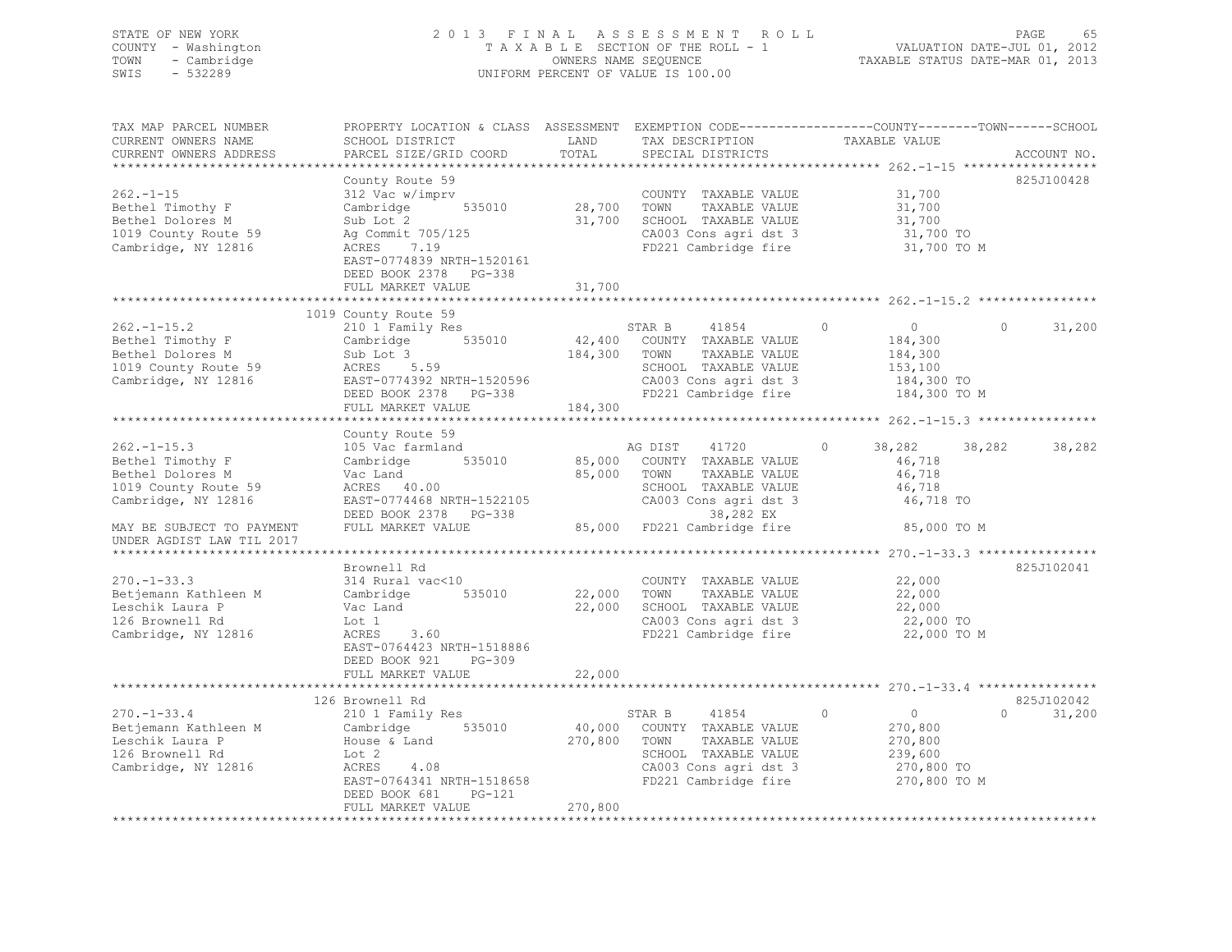# STATE OF NEW YORK 2 0 1 3 F I N A L A S S E S S M E N T R O L L PAGE 65 COUNTY - Washington T A X A B L E SECTION OF THE ROLL - 1 VALUATION DATE-JUL 01, 2012 TOWN - Cambridge OWNERS NAME SEQUENCE TAXABLE STATUS DATE-MAR 01, 2013 SWIS - 532289 UNIFORM PERCENT OF VALUE IS 100.00

| TAX MAP PARCEL NUMBER<br>CURRENT OWNERS NAME                                                             | PROPERTY LOCATION & CLASS ASSESSMENT EXEMPTION CODE----------------COUNTY-------TOWN------SCHOOL<br>SCHOOL DISTRICT                                                                     | LAND                 | TAX DESCRIPTION                                                                                                                                                  | TAXABLE VALUE                                                                      |                    |
|----------------------------------------------------------------------------------------------------------|-----------------------------------------------------------------------------------------------------------------------------------------------------------------------------------------|----------------------|------------------------------------------------------------------------------------------------------------------------------------------------------------------|------------------------------------------------------------------------------------|--------------------|
| CURRENT OWNERS ADDRESS                                                                                   | PARCEL SIZE/GRID COORD                                                                                                                                                                  | TOTAL                | SPECIAL DISTRICTS                                                                                                                                                |                                                                                    | ACCOUNT NO.        |
|                                                                                                          | County Route 59                                                                                                                                                                         |                      |                                                                                                                                                                  |                                                                                    | 825J100428         |
| $262. -1 - 15$<br>Bethel Timothy F<br>Bethel Dolores M<br>1019 County Route 59<br>Cambridge, NY 12816    | 312 Vac w/imprv<br>$535010$ 28,700<br>Cambridge<br>Sub Lot 2<br>Ag Commit 705/125<br>ACRES 7.19<br>ACRES 7.19<br>EAST-0774839 NRTH-1520161                                              | 31,700               | COUNTY TAXABLE VALUE<br>TAXABLE VALUE<br>TOWN<br>SCHOOL TAXABLE VALUE<br>$CA003$ Cons agri dst 3<br>FD221 Cambridge fire                                         | 31,700<br>31,700<br>31,700<br>31,700 TO<br>31,700 TO M                             |                    |
|                                                                                                          | DEED BOOK 2378 PG-338<br>FULL MARKET VALUE<br>************************                                                                                                                  | 31,700<br>********** |                                                                                                                                                                  | ********************* 262.-1-15.2 ****                                             |                    |
|                                                                                                          | 1019 County Route 59                                                                                                                                                                    |                      |                                                                                                                                                                  |                                                                                    |                    |
| $262. - 1 - 15.2$<br>Bethel Timothy F<br>Bethel Dolores M<br>1019 County Route 59<br>Cambridge, NY 12816 | 210 1 Family Res<br>Cambridge 535010<br>Sub Lot 3<br>ACRES 5.59<br>EAST-0774392 NRTH-1520596<br>DEED BOOK 2378 PG-338                                                                   | 184,300 TOWN         | STAR B<br>41854<br>42,400 COUNTY TAXABLE VALUE<br>TAXABLE VALUE<br>SCHOOL TAXABLE VALUE<br>CA003 Cons agri dst 3 184,300 TO<br>FD221 Cambridge fire 184,300 TO M | $\overline{0}$<br>$\circ$<br>184,300<br>184,300<br>153,100                         | $\circ$<br>31,200  |
|                                                                                                          | FULL MARKET VALUE                                                                                                                                                                       | 184,300              |                                                                                                                                                                  |                                                                                    |                    |
|                                                                                                          |                                                                                                                                                                                         |                      |                                                                                                                                                                  |                                                                                    |                    |
| $262 - 1 - 15.3$                                                                                         | County Route 59<br>105 Vac farmland                                                                                                                                                     |                      | AG DIST 41720                                                                                                                                                    | $\circ$<br>38,282 38,282                                                           | 38,282             |
| Bethel Timothy F<br>Bethel Dolores M<br>1019 County Route 59<br>Cambridge, NY 12816                      | Cambridge 535010<br>vac Land<br>ACRES 40.00<br>FLOT 255<br>EAST-0774468 NRTH-1522105<br>DEED BOOK 2378 PG-338                                                                           | 85,000 TOWN          | 85,000 COUNTY TAXABLE VALUE<br>TAXABLE VALUE<br>SCHOOL TAXABLE VALUE<br>CA003 Cons agri dst 3<br>38,282 EX                                                       | 46,718<br>46,718<br>46,718<br>46,718 TO                                            |                    |
| MAY BE SUBJECT TO PAYMENT<br>UNDER AGDIST LAW TIL 2017                                                   | FULL MARKET VALUE                                                                                                                                                                       |                      |                                                                                                                                                                  |                                                                                    |                    |
|                                                                                                          |                                                                                                                                                                                         |                      |                                                                                                                                                                  |                                                                                    |                    |
| $270. - 1 - 33.3$<br>Betjemann Kathleen M<br>Leschik Laura P<br>126 Brownell Rd<br>Cambridge, NY 12816   | Brownell Rd<br>314 Rural vac<10<br>Cambridge<br>535010<br>Vac Land<br>Lot 1<br>3.60<br>ACRES<br>EAST-0764423 NRTH-1518886<br>DEED BOOK 921<br>PG-309                                    | 22,000<br>22,000     | COUNTY TAXABLE VALUE<br>TOWN<br>TAXABLE VALUE<br>SCHOOL TAXABLE VALUE<br>CA003 Cons agri dst 3<br>FD221 Cambridge fire                                           | 22,000<br>22,000<br>22,000<br>22,000<br>22,000 TO<br>22,000 TO M                   | 825J102041         |
|                                                                                                          | FULL MARKET VALUE                                                                                                                                                                       | 22,000               |                                                                                                                                                                  |                                                                                    |                    |
|                                                                                                          | 126 Brownell Rd                                                                                                                                                                         |                      |                                                                                                                                                                  |                                                                                    | 825J102042         |
| $270. - 1 - 33.4$<br>Betjemann Kathleen M<br>Leschik Laura P<br>126 Brownell Rd<br>Cambridge, NY 12816   | wrowneil Rd<br>210 1 Family Res<br>Cambri<br>Cambridge<br>535010<br>House & Land<br>Lot 2<br>4.08<br>ACRES<br>EAST-0764341 NRTH-1518658<br>DEED BOOK 681<br>PG-121<br>FULL MARKET VALUE | 270,800              | STAR B<br>41854<br>40,000 COUNTY TAXABLE VALUE<br>270,800 TOWN<br>TAXABLE VALUE<br>SCHOOL TAXABLE VALUE<br>CA003 Cons agri dst 3<br>FD221 Cambridge fire         | $\sim$ 0<br>$\circ$<br>270,800<br>270,800<br>239,600<br>270,800 TO<br>270,800 TO M | 31,200<br>$\Omega$ |
|                                                                                                          |                                                                                                                                                                                         |                      |                                                                                                                                                                  |                                                                                    |                    |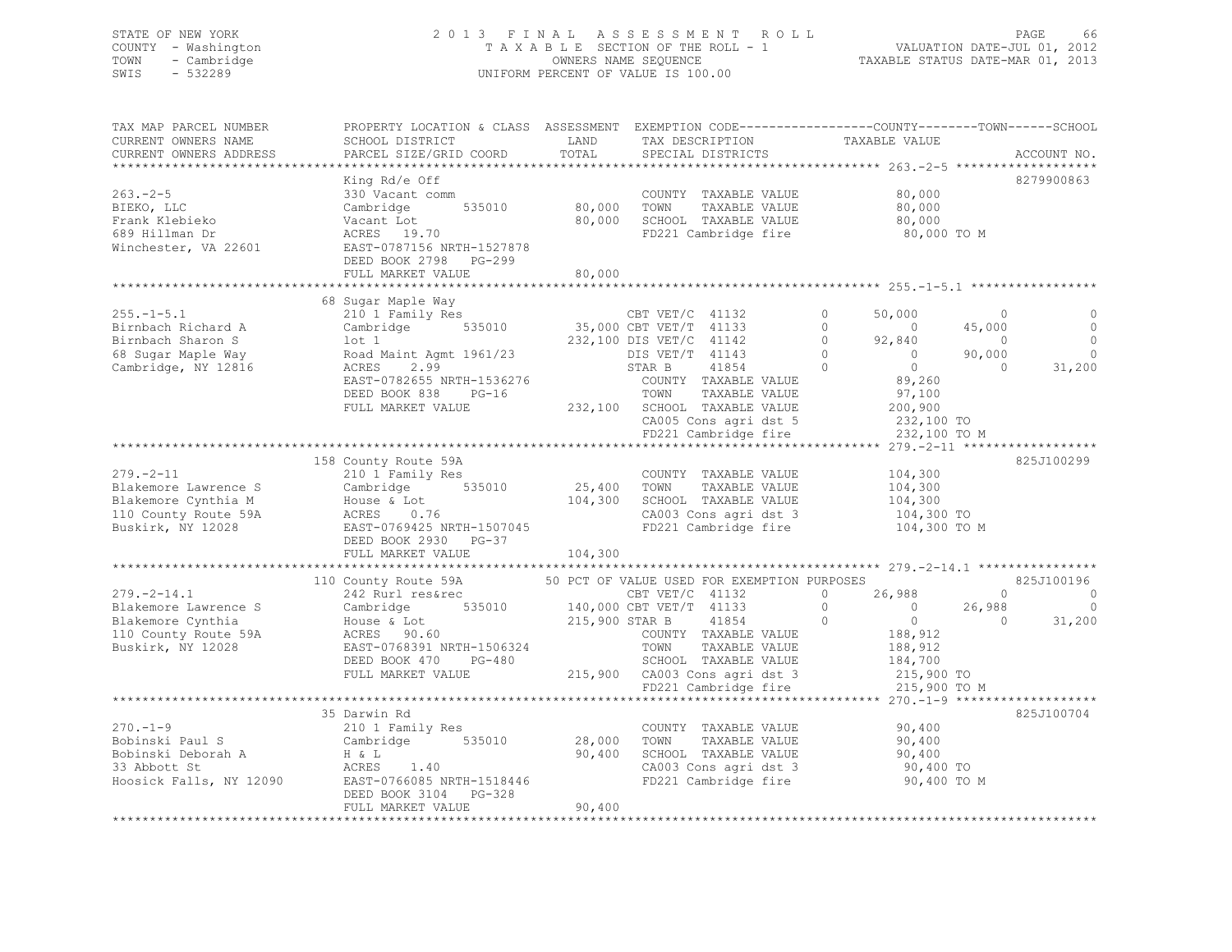# STATE OF NEW YORK 2 0 1 3 F I N A L A S S E S S M E N T R O L L PAGE 66 COUNTY - Washington T A X A B L E SECTION OF THE ROLL - 1 VALUATION DATE-JUL 01, 2012 TOWN - Cambridge OWNERS NAME SEQUENCE TAXABLE STATUS DATE-MAR 01, 2013 SWIS - 532289 UNIFORM PERCENT OF VALUE IS 100.00

| TAX MAP PARCEL NUMBER<br>CURRENT OWNERS NAME<br>CURRENT OWNERS ADDRESS                                                                      | PROPERTY LOCATION & CLASS ASSESSMENT EXEMPTION CODE---------------COUNTY-------TOWN-----SCHOOL<br>SCHOOL DISTRICT TAND TAX DESCRIPTION<br>PARCEL SIZE/GRID COORD                                                                                                                                                                                | TOTAL   | SPECIAL DISTRICTS                                                                                                                | TAXABLE VALUE                                                                                                                                                                       |                                                            | ACCOUNT NO.                                       |
|---------------------------------------------------------------------------------------------------------------------------------------------|-------------------------------------------------------------------------------------------------------------------------------------------------------------------------------------------------------------------------------------------------------------------------------------------------------------------------------------------------|---------|----------------------------------------------------------------------------------------------------------------------------------|-------------------------------------------------------------------------------------------------------------------------------------------------------------------------------------|------------------------------------------------------------|---------------------------------------------------|
| $263 - 2 - 5$<br>BIEKO, LLC<br>Frank Klebieko<br>689 Hillman Dr<br>Winchester, VA 22601                                                     | King Rd/e Off<br>330 Vacant comm<br>Cambridge 535010<br>ACRES 19.70<br>ACRES 19.70<br>EAST-0787156 NRTH-1527878<br>DEED BOOK 2798 PG-299<br>FULL MARKET VALUE                                                                                                                                                                                   | 80,000  | COUNTY TAXABLE VALUE<br>80,000 TOWN TAXABLE VALUE<br>COUNTY TAXABLE VALUE<br>80,000 SCHOOL TAXABLE VALUE<br>FD221 Cambridge fire | 80,000<br>80,000<br>80,000<br>80,000 TO M                                                                                                                                           |                                                            | 8279900863                                        |
|                                                                                                                                             |                                                                                                                                                                                                                                                                                                                                                 |         |                                                                                                                                  |                                                                                                                                                                                     |                                                            |                                                   |
| $255. - 1 - 5.1$<br>Birnbach Richard A<br>Birnbach Sharon S<br>68 Sugar Maple Way<br>Cambridge, NY 12816                                    | 68 Sugar Maple Way<br>Sugar Maple Way<br>210 1 Family Res<br>Cambridge 535010 35,000 CBT VET/T 41133<br>236,000 CBT VET/T 41133<br>100 1 232,100 DIS VET/C 41142<br>Road Maint Agmt 1961/23 DIS VET/T 41143<br>ACRES 2.99 STAR B 41854<br>EAST-0782655 NRTH-1536276<br>DEED BOOK 838 PG-16<br>FULL MARKET VALUE 232,100 SCHOOL TAXABLE VALUE    |         | COUNTY TAXABLE VALUE<br>TOWN<br>TAXABLE VALUE<br>CA005 Cons agri dst 5 $232,100$ TO<br>FD221 Cambridge fire $232,100$ TO         | 50,000<br>$\circ$<br>$\begin{bmatrix} 0 && 0 \\ 0 && 92,840 \\ 0 && 0 \end{bmatrix}$<br>$\overline{a}$<br>$\Omega$<br>$\overline{0}$<br>89,260<br>97,100<br>200,900<br>232,100 TO M | $\Omega$<br>45,000<br>$\sim$ 0<br>90,000<br>$\overline{0}$ | $\circ$<br>$\mathbf 0$<br>31,200                  |
|                                                                                                                                             |                                                                                                                                                                                                                                                                                                                                                 |         |                                                                                                                                  |                                                                                                                                                                                     |                                                            |                                                   |
| $279. - 2 - 11$<br>Blakemore Lawrence S<br>Blakemore Cynthia M<br>110 County Route 59A<br>Buskirk, NY 12028                                 | 158 County Route 59A<br>210 1 Family Res<br>Cooking Cooking Cooking Cooking Cooking Cooking Cooking Cooking Cooking Cooking Cooking Cooking Cooking Cookin<br>House & Lot 104,300 SCHOOL TAXABLE VALUE<br>ACRES 0.76 CA003 Cons agri dst 3<br>EAST-0769425 NRTH-1507045 FD221 Cambridge fire<br>DEED BOOK 2930 PG-37<br>FULL MARKET VALUE       | 104,300 | COUNTY TAXABLE VALUE<br>TAXABLE VALUE<br>104,300 SCHOOL TAXABLE VALUE<br>CA003 Cons agri dst 3                                   | 104,300<br>104,300<br>104,300<br>104,300 TO<br>104,300 TO M                                                                                                                         |                                                            | 825J100299                                        |
|                                                                                                                                             |                                                                                                                                                                                                                                                                                                                                                 |         |                                                                                                                                  |                                                                                                                                                                                     |                                                            |                                                   |
| $279. - 2 - 14.1$<br>Blakemore Lawrence S<br>Blakemore Cynthia<br>110 County Route 59A<br>Buskirk, NY 12028                                 | 110 County Route 59A 50 PCT OF VALUE USED FOR EXEMPTION PURPOSES 242 Rurl restrec CBT VET/C 41132 0 26,988<br>Cambridge 535010 140,000 CBT VET/T 41133<br>House & Lot 215,900 STAR B 41854<br>ACRES 90.60 COUNTY TAXABLE VA<br>EAST-0768391 NRTH-1506324<br>DEED BOOK 470 PG-480                                                                |         | COUNTY TAXABLE VALUE<br>TOWN     TAXABLE VALUE                                                                                   | 0 $26,988$<br>$\begin{array}{c} 0 \\ 0 \end{array}$<br>$\begin{matrix} 0 \\ 0 \end{matrix}$<br>188,912<br>$\frac{188,912}{184,700}$                                                 | 26,988<br>$\bigcirc$                                       | 825J100196<br>$\Omega$<br>0<br>$\sim$ 0<br>31,200 |
|                                                                                                                                             |                                                                                                                                                                                                                                                                                                                                                 |         |                                                                                                                                  | 215,900 TO M                                                                                                                                                                        |                                                            |                                                   |
| $270. -1 - 9$<br>Bobinski Paul S<br>Bobinski Deborah A<br>33 Abbott St<br>33 Abbott St<br>Hoosick Falls, NY 12090 EAST-0766085 NRTH-1518446 | 35 Darwin Rd<br>$\begin{array}{llll}\n & \text{COUNI} \\  \text{Cambridge} & \text{535010} & \text{28,000} & \text{TOWN} \\  \text{H & L} & \text{L} & \text{CONDI} & \text{AOPF} \\  \text{MOPF} & \text{MOPF} & \text{AOPF} & \text{AOPF} & \text{AOPF} \\  \end{array}$<br>H & L<br>ACRES 1.40<br>DEED BOOK 3104 PG-328<br>FULL MARKET VALUE | 90,400  | COUNTY TAXABLE VALUE<br>TAXABLE VALUE<br>90,400 SCHOOL TAXABLE VALUE<br>CA003 Cons agri dst 3<br>FD221 Cambridge fire            | 90,400<br>90,400<br>90,400<br>90,400<br>90,400 TO<br>90,400 TO M                                                                                                                    |                                                            | 825J100704                                        |
|                                                                                                                                             |                                                                                                                                                                                                                                                                                                                                                 |         |                                                                                                                                  |                                                                                                                                                                                     |                                                            |                                                   |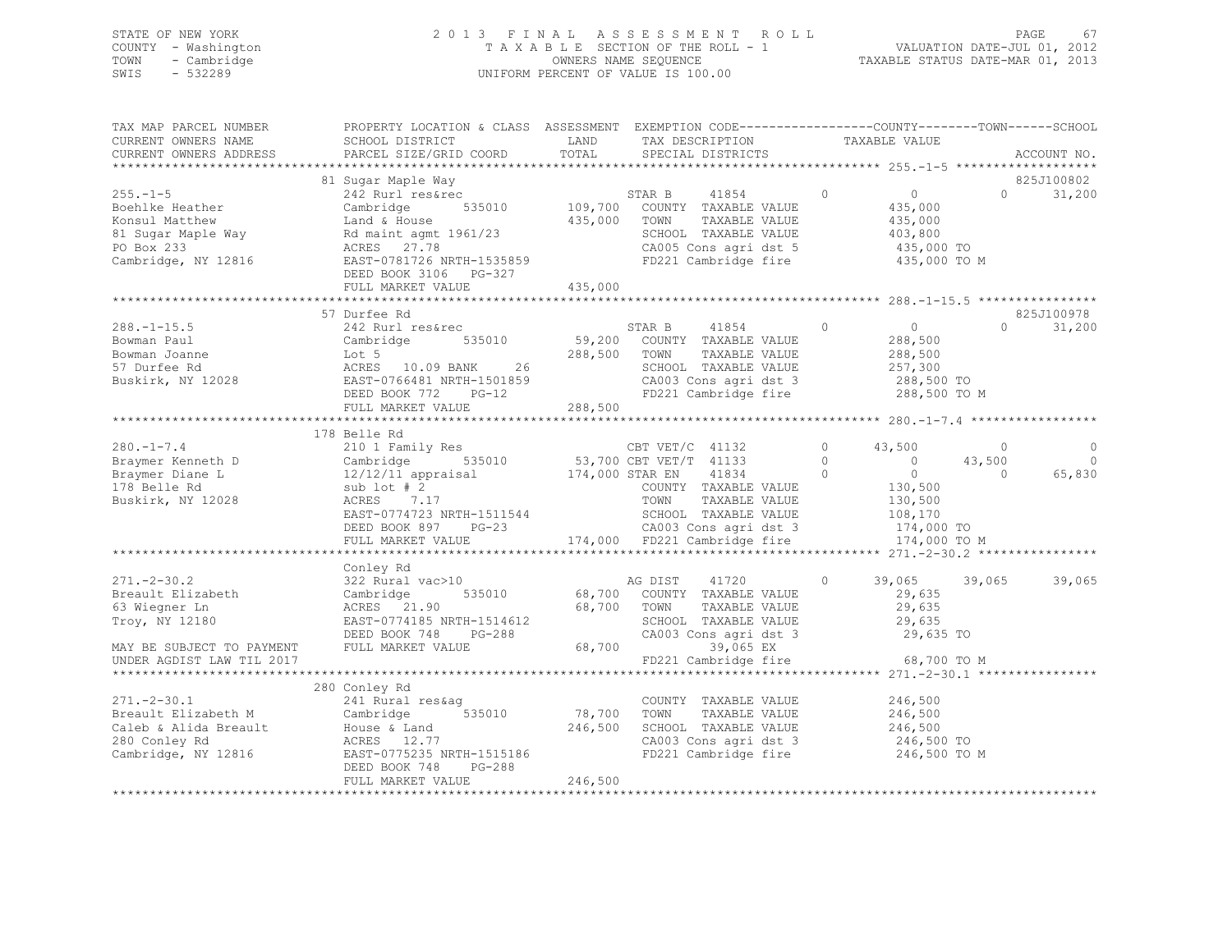# STATE OF NEW YORK 2 0 1 3 F I N A L A S S E S S M E N T R O L L PAGE 67 COUNTY - Washington T A X A B L E SECTION OF THE ROLL - 1 VALUATION DATE-JUL 01, 2012 TOWN - Cambridge OWNERS NAME SEQUENCE TAXABLE STATUS DATE-MAR 01, 2013 SWIS - 532289 UNIFORM PERCENT OF VALUE IS 100.00

| TAX MAP PARCEL NUMBER<br>CURRENT OWNERS NAME<br>CURRENT OWNERS ADDRESS                                   | PROPERTY LOCATION & CLASS ASSESSMENT EXEMPTION CODE---------------COUNTY-------TOWN-----SCHOOL<br>SCHOOL DISTRICT<br>PARCEL SIZE/GRID COORD                                            | LAND<br>TOTAL           | TAX DESCRIPTION<br>SPECIAL DISTRICTS                                                                                                                                                                                                        | TAXABLE VALUE                                                                                                | ACCOUNT NO.                   |                              |
|----------------------------------------------------------------------------------------------------------|----------------------------------------------------------------------------------------------------------------------------------------------------------------------------------------|-------------------------|---------------------------------------------------------------------------------------------------------------------------------------------------------------------------------------------------------------------------------------------|--------------------------------------------------------------------------------------------------------------|-------------------------------|------------------------------|
|                                                                                                          |                                                                                                                                                                                        |                         |                                                                                                                                                                                                                                             |                                                                                                              |                               |                              |
| $255. - 1 - 5$<br>Boehlke Heather<br>Konsul Matthew<br>Cambridge, NY 12816                               | 81 Sugar Maple Way<br>242 Rurl res&rec<br>Cambridge<br>535010<br>Land & House<br>EAST-0781726 NRTH-1535859<br>DEED BOOK 3106 PG-327                                                    | 435,000 TOWN            | 41854<br>STAR B<br>109,700 COUNTY TAXABLE VALUE<br>TAXABLE VALUE<br>SCHOOL TAXABLE VALUE<br>CA005 Cons agri dst 5<br>FD221 Cambridge fire                                                                                                   | $\circ$<br>$\overline{0}$<br>435,000<br>435,000<br>403,800<br>435,000 TO<br>435,000 TO M                     | 825J100802<br>$\Omega$        | 31,200                       |
|                                                                                                          |                                                                                                                                                                                        |                         |                                                                                                                                                                                                                                             |                                                                                                              |                               |                              |
|                                                                                                          |                                                                                                                                                                                        |                         |                                                                                                                                                                                                                                             |                                                                                                              |                               |                              |
| $288. - 1 - 15.5$<br>Bowman Paul<br>Bowman Joanne<br>57 Durfee Rd                                        | 57 Durfee Rd<br>242 Rurl res&rec<br>535010<br>Cambridge<br>Lot 5<br>ACRES 10.09 BANK<br>26<br>Buskirk, NY 12028 EAST-0766481 NRTH-1501859<br>DEED BOOK 772 PG-12<br>FULL MARKET VALUE  | 288,500 TOWN<br>288,500 | STAR B<br>41854<br>- ס אמצע STAR<br>59,200 COUNTY TAXABLE VALUE<br>הווא של הפיטוחים<br>TAXABLE VALUE<br>SCHOOL TAXABLE VALUE<br>CA003 Cons agri dst 3<br>FD221 Cambridge fire                                                               | $\circ$<br>0<br>288,500<br>288,500<br>257,300<br>288,500 TO<br>288,500 TO M                                  | 825J100978<br>$\Omega$        | 31,200                       |
|                                                                                                          |                                                                                                                                                                                        |                         |                                                                                                                                                                                                                                             |                                                                                                              |                               |                              |
|                                                                                                          | 178 Belle Rd                                                                                                                                                                           |                         |                                                                                                                                                                                                                                             |                                                                                                              |                               |                              |
| $280. -1 - 7.4$<br>-<br>Braymer Kenneth D<br>Bravmer Diane L<br>178 Belle Rd<br>Buskirk, NY 12028        | 210 1 Family Res<br>Cambridge 535010<br>$12/12/11$ appraisal $174,000$ STAR EN<br>sub lot $# 2$<br>ACRES 7.17<br>EAST-0774723 NRTH-1511544<br>DEED BOOK 897 PG-23<br>FULL MARKET VALUE |                         | CBT VET/C 41132<br>35010 53,700 CBT VET/T 41133<br>CBT VET/C 41132<br>41834<br>COUNTY TAXABLE VALUE<br>TOWN<br>TAXABLE VALUE<br>SCHOOL TAXABLE VALUE 108,170<br>CA003 Cons agri dst 3 174,000 TO<br>174,000 FD221 Cambridge fire 174,000 TO | $\circ$<br>43,500<br>$\Omega$<br>$\circ$<br>$\overline{0}$<br>$\Omega$<br>130,500<br>130,500<br>174,000 TO M | $\circ$<br>43,500<br>$\Omega$ | $\circ$<br>$\circ$<br>65,830 |
|                                                                                                          |                                                                                                                                                                                        |                         |                                                                                                                                                                                                                                             |                                                                                                              |                               |                              |
| $271 - 2 - 30.2$<br>Breault Elizabeth<br>63 Wieqner Ln<br>Troy, NY 12180<br>MAY BE SUBJECT TO PAYMENT    | Conley Rd<br>322 Rural vac>10<br>535010<br>Cambridge<br>ACRES 21.90<br>EAST-0774185 NRTH-1514612<br>DEED BOOK 748 PG-288<br>FULL MARKET VALUE                                          | 68,700 TOWN<br>68,700   | AG DIST<br>41720<br>68,700 COUNTY TAXABLE VALUE<br>TAXABLE VALUE<br>SCHOOL TAXABLE VALUE<br>CA003 Cons agri dst 3<br>39,065 EX                                                                                                              | $\circ$<br>39,065<br>29,635<br>29,635<br>29,635<br>29,635 TO                                                 | 39,065<br>39,065              |                              |
| UNDER AGDIST LAW TIL 2017                                                                                |                                                                                                                                                                                        |                         | FD221 Cambridge fire                                                                                                                                                                                                                        | 68,700 TO M                                                                                                  |                               |                              |
|                                                                                                          |                                                                                                                                                                                        |                         |                                                                                                                                                                                                                                             |                                                                                                              |                               |                              |
| $271 - 2 - 30.1$<br>Breault Elizabeth M<br>Caleb & Alida Breault<br>280 Conley Rd<br>Cambridge, NY 12816 | 280 Conley Rd<br>241 Rural res&aq<br>535010<br>Cambridge<br>$House \& Land$<br>ACRES 12.77<br>EAST-0775235 NRTH-1515186<br>DEED BOOK 748<br>PG-288<br>FULL MARKET VALUE                | 246,500<br>246,500      | COUNTY TAXABLE VALUE<br>78,700 TOWN<br>TAXABLE VALUE<br>SCHOOL TAXABLE VALUE<br>CA003 Cons agri dst 3<br>FD221 Cambridge fire                                                                                                               | 246,500<br>246,500<br>246,500<br>246,500 TO<br>246,500 TO M                                                  |                               |                              |
|                                                                                                          |                                                                                                                                                                                        |                         |                                                                                                                                                                                                                                             |                                                                                                              |                               |                              |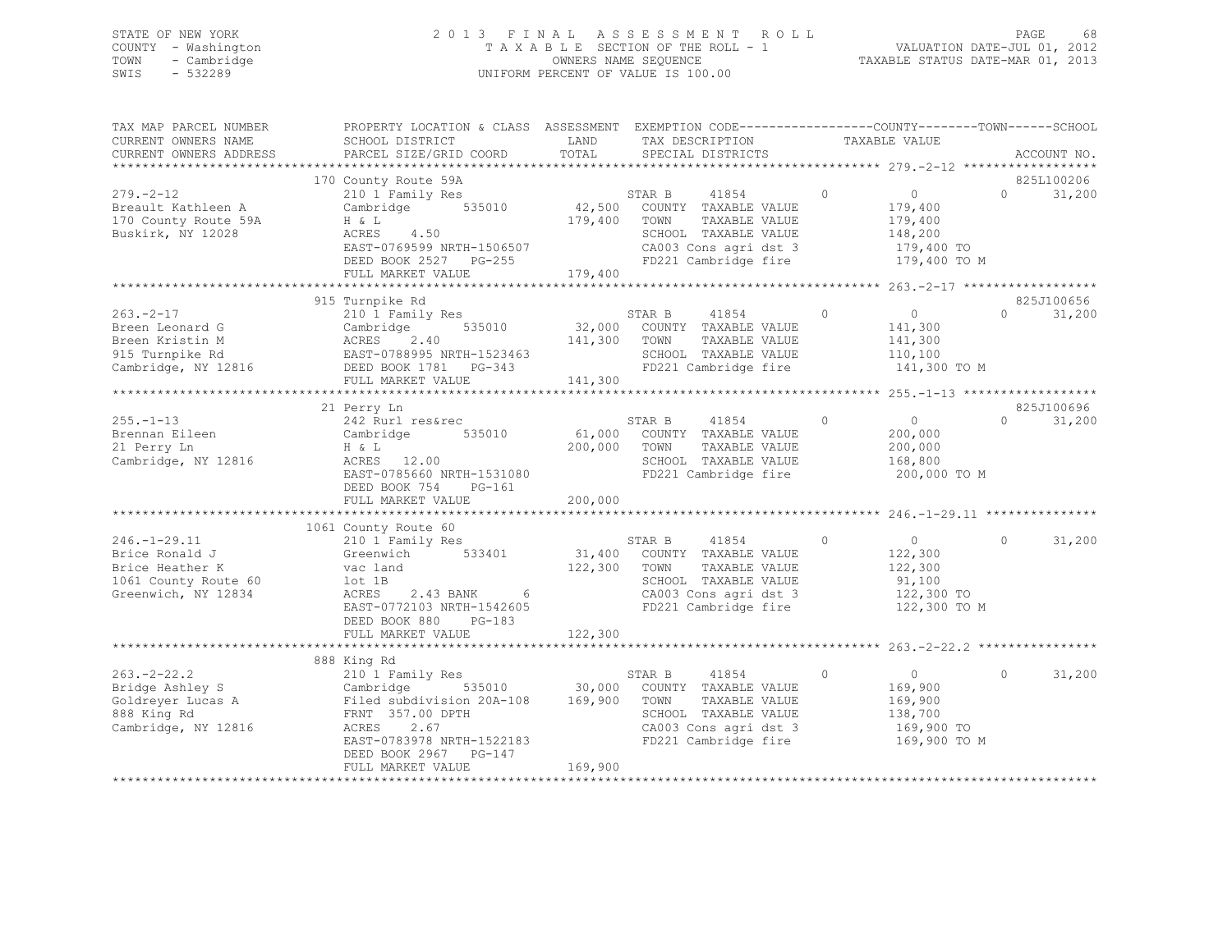# STATE OF NEW YORK 2 0 1 3 F I N A L A S S E S S M E N T R O L L PAGE 68 COUNTY - Washington T A X A B L E SECTION OF THE ROLL - 1 VALUATION DATE-JUL 01, 2012 TOWN - Cambridge OWNERS NAME SEQUENCE TAXABLE STATUS DATE-MAR 01, 2013 SWIS - 532289 UNIFORM PERCENT OF VALUE IS 100.00

| TAX MAP PARCEL NUMBER<br>CURRENT OWNERS NAME<br>CURRENT OWNERS ADDRESS                                 | PROPERTY LOCATION & CLASS ASSESSMENT<br>SCHOOL DISTRICT<br>PARCEL SIZE/GRID COORD                                                                                                         | LAND<br>TOTAL                       | EXEMPTION CODE-----------------COUNTY-------TOWN------SCHOOL<br>TAX DESCRIPTION<br>SPECIAL DISTRICTS                                      | TAXABLE VALUE                                                                            | ACCOUNT NO.                      |
|--------------------------------------------------------------------------------------------------------|-------------------------------------------------------------------------------------------------------------------------------------------------------------------------------------------|-------------------------------------|-------------------------------------------------------------------------------------------------------------------------------------------|------------------------------------------------------------------------------------------|----------------------------------|
|                                                                                                        | 170 County Route 59A                                                                                                                                                                      |                                     |                                                                                                                                           |                                                                                          | 825L100206                       |
| $279. - 2 - 12$<br>Breault Kathleen A<br>170 County Route 59A<br>Buskirk, NY 12028                     | 210 1 Family Res<br>535010<br>Cambridge<br>H & L<br>ACRES<br>4.50<br>EAST-0769599 NRTH-1506507<br>DEED BOOK 2527 PG-255<br>FULL MARKET VALUE                                              | 42,500<br>179,400<br>179,400        | 41854<br>STAR B<br>COUNTY TAXABLE VALUE<br>TOWN<br>TAXABLE VALUE<br>SCHOOL TAXABLE VALUE<br>CA003 Cons agri dst 3<br>FD221 Cambridge fire | $\circ$<br>$\overline{0}$<br>179,400<br>179,400<br>148,200<br>179,400 TO<br>179,400 TO M | $\Omega$<br>31,200               |
|                                                                                                        | ************************                                                                                                                                                                  |                                     | **********************                                                                                                                    | **************** 263.-2-17 ******************                                            |                                  |
| $263 - 2 - 17$<br>Breen Leonard G<br>Breen Kristin M<br>915 Turnpike Rd<br>Cambridge, NY 12816         | 915 Turnpike Rd<br>210 1 Family Res<br>535010<br>Cambridge<br>ACRES<br>2.40<br>EAST-0788995 NRTH-1523463<br>DEED BOOK 1781 PG-343<br>FULL MARKET VALUE                                    | 32,000<br>141,300<br>141,300        | 41854<br>STAR B<br>COUNTY TAXABLE VALUE<br>TOWN<br>TAXABLE VALUE<br>SCHOOL TAXABLE VALUE<br>FD221 Cambridge fire                          | $\circ$<br>$\overline{0}$<br>141,300<br>141,300<br>110,100<br>141,300 TO M               | 825J100656<br>$\Omega$<br>31,200 |
|                                                                                                        | ***********************                                                                                                                                                                   |                                     |                                                                                                                                           | ************* 255.-1-13 *******************                                              |                                  |
| $255. - 1 - 13$<br>Brennan Eileen<br>21 Perry Ln<br>Cambridge, NY 12816                                | 21 Perry Ln<br>242 Rurl res&rec<br>Cambridge<br>535010<br>H & L<br>ACRES 12.00<br>EAST-0785660 NRTH-1531080<br>DEED BOOK 754<br>PG-161<br>FULL MARKET VALUE                               | 61,000<br>200,000<br>200,000        | 41854<br>STAR B<br>COUNTY TAXABLE VALUE<br>TOWN<br>TAXABLE VALUE<br>SCHOOL TAXABLE VALUE<br>FD221 Cambridge fire                          | $\circ$<br>$\overline{0}$<br>200,000<br>200,000<br>168,800<br>200,000 TO M               | 825J100696<br>$\circ$<br>31,200  |
|                                                                                                        | 1061 County Route 60                                                                                                                                                                      |                                     |                                                                                                                                           |                                                                                          |                                  |
| $246. - 1 - 29.11$<br>Brice Ronald J<br>Brice Heather K<br>1061 County Route 60<br>Greenwich, NY 12834 | 210 1 Family Res<br>533401<br>Greenwich<br>vac land<br>lot 1B<br>ACRES<br>2.43 BANK<br>$6\overline{6}$<br>EAST-0772103 NRTH-1542605<br>DEED BOOK 880<br>$PG-183$                          | 31,400<br>122,300                   | 41854<br>STAR B<br>COUNTY TAXABLE VALUE<br>TOWN<br>TAXABLE VALUE<br>SCHOOL TAXABLE VALUE<br>CA003 Cons agri dst 3<br>FD221 Cambridge fire | $\overline{0}$<br>$\Omega$<br>122,300<br>122,300<br>91,100<br>122,300 TO<br>122,300 TO M | $\Omega$<br>31,200               |
|                                                                                                        | FULL MARKET VALUE                                                                                                                                                                         | 122,300                             |                                                                                                                                           |                                                                                          |                                  |
|                                                                                                        |                                                                                                                                                                                           |                                     |                                                                                                                                           |                                                                                          |                                  |
| $263. -2 - 22.2$<br>Bridge Ashley S<br>Goldreyer Lucas A<br>888 King Rd<br>Cambridge, NY 12816         | 888 King Rd<br>210 1 Family Res<br>Cambridge<br>Filed subdivision 20A-108<br>FRNT 357.00 DPTH<br>2.67<br>ACRES<br>EAST-0783978 NRTH-1522183<br>DEED BOOK 2967 PG-147<br>FULL MARKET VALUE | 535010 30,000<br>169,900<br>169,900 | STAR B<br>41854<br>COUNTY TAXABLE VALUE<br>TOWN<br>TAXABLE VALUE<br>SCHOOL TAXABLE VALUE<br>CA003 Cons agri dst 3<br>FD221 Cambridge fire | $\overline{0}$<br>$\circ$<br>169,900<br>169,900<br>138,700<br>169,900 TO<br>169,900 TO M | $\Omega$<br>31,200               |
|                                                                                                        |                                                                                                                                                                                           |                                     |                                                                                                                                           |                                                                                          |                                  |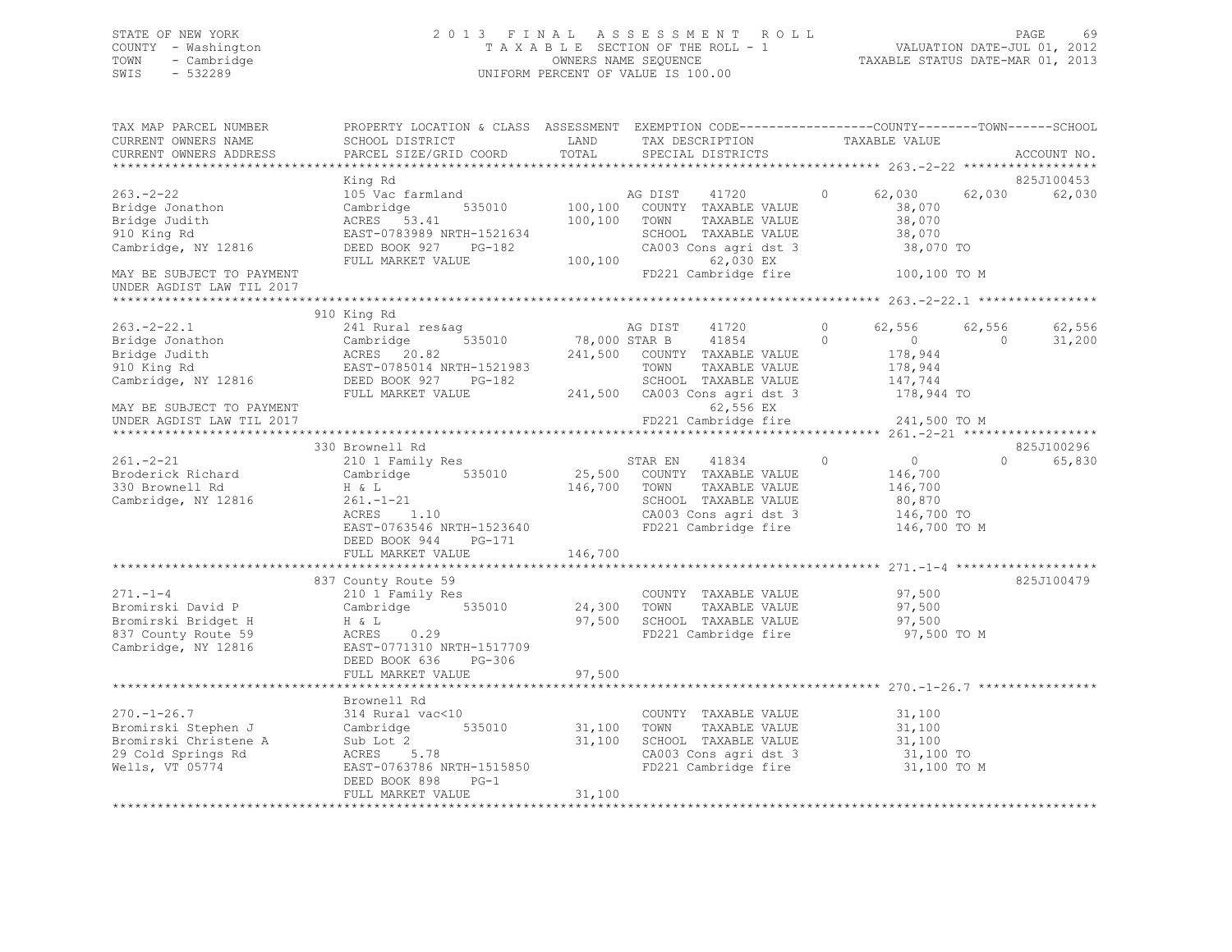# STATE OF NEW YORK 2 0 1 3 F I N A L A S S E S S M E N T R O L L PAGE 69 COUNTY - Washington T A X A B L E SECTION OF THE ROLL - 1 VALUATION DATE-JUL 01, 2012 TOWN - Cambridge OWNERS NAME SEQUENCE TAXABLE STATUS DATE-MAR 01, 2013 SWIS - 532289 UNIFORM PERCENT OF VALUE IS 100.00

| TAX MAP PARCEL NUMBER<br>CURRENT OWNERS NAME                                                               | PROPERTY LOCATION & CLASS ASSESSMENT EXEMPTION CODE----------------COUNTY-------TOWN------SCHOOL<br>SCHOOL DISTRICT                               | LAND                          | TAX DESCRIPTION                                                                                                                          | TAXABLE VALUE                                                                    |            |                         |
|------------------------------------------------------------------------------------------------------------|---------------------------------------------------------------------------------------------------------------------------------------------------|-------------------------------|------------------------------------------------------------------------------------------------------------------------------------------|----------------------------------------------------------------------------------|------------|-------------------------|
| CURRENT OWNERS ADDRESS                                                                                     | PARCEL SIZE/GRID COORD                                                                                                                            | TOTAL                         | SPECIAL DISTRICTS                                                                                                                        |                                                                                  |            | ACCOUNT NO.             |
|                                                                                                            |                                                                                                                                                   |                               |                                                                                                                                          |                                                                                  |            | 825J100453              |
| $263 - 2 - 22$<br>Bridge Jonathon<br>Bridge Judith<br>910 King Rd<br>Cambridge, NY 12816                   | King Rd<br>105 Vac farmland<br>Cambridge<br>535010<br>ACRES 53.41<br>EAST-0783989 NRTH-1521634<br>DEED BOOK 927 PG-182<br>FULL MARKET VALUE       | 100,100<br>100,100<br>100,100 | AG DIST<br>41720<br>COUNTY TAXABLE VALUE<br>TOWN<br>TAXABLE VALUE<br>SCHOOL TAXABLE VALUE<br>CA003 Cons agri dst 3<br>62,030 EX          | 62,030<br>$\circ$<br>38,070<br>38,070<br>38,070<br>38,070 TO                     | 62,030     | 62,030                  |
| MAY BE SUBJECT TO PAYMENT<br>UNDER AGDIST LAW TIL 2017                                                     |                                                                                                                                                   |                               | FD221 Cambridge fire                                                                                                                     | 100,100 TO M                                                                     |            |                         |
|                                                                                                            |                                                                                                                                                   |                               |                                                                                                                                          |                                                                                  |            |                         |
| $263 - 2 - 22.1$<br>200. 2 11.<br>Bridge Jonathon<br>Bridge Judith<br>910 King Rd<br>Cambridge, NY 12816   | 910 King Rd<br>241 Rural res&ag<br>535010<br>Cambridge<br>ACRES 20.82<br>EAST-0785014 NRTH-1521983<br>DEED BOOK 927                               | 78,000 STAR B                 | AG DIST<br>41720<br>41854<br>241,500 COUNTY TAXABLE VALUE<br>TOWN<br>TAXABLE VALUE                                                       | $\circ$<br>62,556<br>$\Omega$<br>$\overline{0}$<br>178,944<br>178,944<br>147,744 | $\bigcirc$ | 62,556 62,556<br>31,200 |
| MAY BE SUBJECT TO PAYMENT<br>UNDER AGDIST LAW TIL 2017                                                     | FULL MARKET VALUE                                                                                                                                 |                               | PG-182<br>PG-182 241,500 CA003 Cons agridst 3<br>ALUE 241,500 CA003 Cons agridst 3<br>62,556 EX<br>FD221 Cambridge fire                  | 178,944 TO<br>241,500 TO M                                                       |            |                         |
|                                                                                                            |                                                                                                                                                   |                               |                                                                                                                                          |                                                                                  |            |                         |
| $261 - 2 - 21$<br>Broderick Richard<br>330 Brownell Rd<br>Cambridge, NY 12816                              | 330 Brownell Rd<br>210 1 Family Res<br>Cambridge 535010<br>H & L<br>$-21$<br>1.10<br>$261. - 1 - 21$<br>ACRES<br>EAST-0763546 NRTH-1523640        | 146,700 TOWN                  | STAR EN 41834 0<br>25,500 COUNTY TAXABLE VALUE<br>TAXABLE VALUE<br>SCHOOL TAXABLE VALUE<br>CA003 Cons agri dst 3<br>FD221 Cambridge fire | $\overline{0}$<br>146,700<br>146,700<br>80,870<br>146,700 TO<br>146,700 TO M     | $\Omega$   | 825J100296<br>65,830    |
|                                                                                                            | DEED BOOK 944 PG-171<br>FULL MARKET VALUE                                                                                                         | 146,700                       |                                                                                                                                          |                                                                                  |            |                         |
|                                                                                                            | 837 County Route 59                                                                                                                               |                               |                                                                                                                                          |                                                                                  |            | 825J100479              |
| $271. - 1 - 4$<br>Bromirski David P<br>Bromirski Bridget H<br>837 County Route 59<br>Cambridge, NY 12816   | 210 1 Family Res<br>--<br>Cambridge 535010<br>H & L<br>0.29<br>ACRES<br>EAST-0771310 NRTH-1517709<br>DEED BOOK 636<br>PG-306<br>FULL MARKET VALUE | 24,300<br>97,500<br>97,500    | COUNTY TAXABLE VALUE<br>TAXABLE VALUE<br>TOWN<br>SCHOOL TAXABLE VALUE<br>FD221 Cambridge fire                                            | 97,500<br>97,500<br>97,500<br>97,500 TO M                                        |            |                         |
|                                                                                                            |                                                                                                                                                   |                               |                                                                                                                                          |                                                                                  |            |                         |
| $270. - 1 - 26.7$<br>Bromirski Stephen J<br>Bromirski Christene A<br>29 Cold Springs Rd<br>Wells, VT 05774 | Brownell Rd<br>314 Rural vac<10<br>Cambridge 535010<br>Sub Lot 2<br>$-$ 5.78<br>ACRES<br>EAST-0763786 NRTH-1515850<br>DEED BOOK 898<br>$PG-1$     | 31,100<br>31,100              | COUNTY TAXABLE VALUE<br>TOWN<br>TAXABLE VALUE<br>SCHOOL TAXABLE VALUE<br>CA003 Cons agri dst 3<br>FD221 Cambridge fire                   | 31,100<br>31,100<br>31,100<br>31,100 TO<br>31,100 TO M                           |            |                         |
|                                                                                                            | FULL MARKET VALUE                                                                                                                                 | 31,100                        |                                                                                                                                          |                                                                                  |            |                         |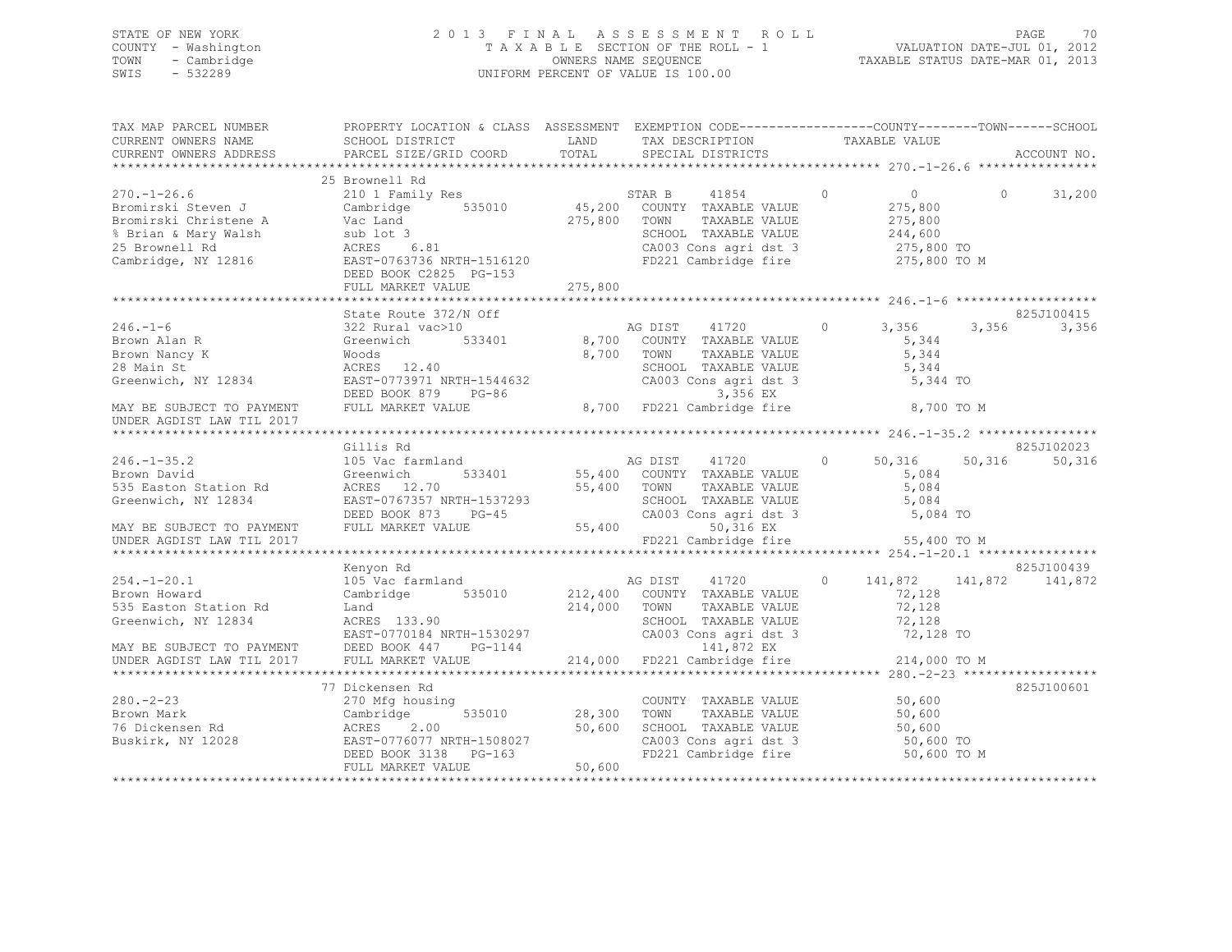# STATE OF NEW YORK 2 0 1 3 F I N A L A S S E S S M E N T R O L L PAGE 70 COUNTY - Washington T A X A B L E SECTION OF THE ROLL - 1 VALUATION DATE-JUL 01, 2012 TOWN - Cambridge OWNERS NAME SEQUENCE TAXABLE STATUS DATE-MAR 01, 2013 SWIS - 532289 UNIFORM PERCENT OF VALUE IS 100.00

| TAX MAP PARCEL NUMBER                                                                                                                                                                                                                                                                                                                                                                                                                       | PROPERTY LOCATION & CLASS ASSESSMENT EXEMPTION CODE-----------------COUNTY-------TOWN------SCHOOL |                                                                                                       |                                                                           |                           |
|---------------------------------------------------------------------------------------------------------------------------------------------------------------------------------------------------------------------------------------------------------------------------------------------------------------------------------------------------------------------------------------------------------------------------------------------|---------------------------------------------------------------------------------------------------|-------------------------------------------------------------------------------------------------------|---------------------------------------------------------------------------|---------------------------|
|                                                                                                                                                                                                                                                                                                                                                                                                                                             |                                                                                                   |                                                                                                       |                                                                           |                           |
| $\begin{tabular}{lllllllllllllllllllll} \multicolumn{3}{c }{270.-1-26.6} & \multicolumn{3}{c }{210} & \multicolumn{3}{c }{Family Res} & \multicolumn{3}{c }{STRR B} & 41854 & 0 \\ \multicolumn{3}{c }{Bromirski Steven J} & \multicolumn{3}{c }{Cambridge} & 535010 & 45,200 & \multicolumn{3}{c }{COWITY} & TAXABLE VALUE \\ \multicolumn{3}{c }{Bromirski Christene A} & \multicolumn{3}{c }{Vac Land} & \multicolumn{3}{c }{35010} & 4$ | 25 Brownell Rd<br>DEED BOOK C2825 PG-153                                                          | SCHOOL TAXABLE VALUE 244,600<br>CA003 Cons agri dst 3 275,800 TO<br>FD221 Cambridge fire 275,800 TO M | $\begin{array}{ccc} & & 0 & \hline \end{array}$<br>$275,800$<br>$275,800$ | 31,200                    |
|                                                                                                                                                                                                                                                                                                                                                                                                                                             |                                                                                                   |                                                                                                       |                                                                           |                           |
|                                                                                                                                                                                                                                                                                                                                                                                                                                             | State Route 372/N Off                                                                             | AG DIST 41720 0 3,356                                                                                 | 5,344 TO                                                                  | 825J100415<br>3,356 3,356 |
|                                                                                                                                                                                                                                                                                                                                                                                                                                             |                                                                                                   |                                                                                                       | 8,700 TO M                                                                |                           |
|                                                                                                                                                                                                                                                                                                                                                                                                                                             |                                                                                                   |                                                                                                       |                                                                           |                           |
|                                                                                                                                                                                                                                                                                                                                                                                                                                             | Gillis Rd                                                                                         |                                                                                                       |                                                                           | 825J102023                |
| UNDER AGDIST LAW TIL 2017                                                                                                                                                                                                                                                                                                                                                                                                                   |                                                                                                   | FD221 Cambridge fire 55,400 TO M                                                                      |                                                                           |                           |
|                                                                                                                                                                                                                                                                                                                                                                                                                                             |                                                                                                   |                                                                                                       |                                                                           |                           |
| $254. - 1 - 20.1$<br>Brown Howard<br>Brown Howard<br>335 Easton Station Rd  335 Easton Station Rd  335 Easton Station Rd  335 Easton Station Rd  335 Easton Station Rd  335 Easton Station Rd  335 Easton Station Rd  335 Easton Station Rd  335 Easton Station Rd  3                                                                                                                                                                       | Kenyon Rd                                                                                         |                                                                                                       |                                                                           | 825J100439                |
|                                                                                                                                                                                                                                                                                                                                                                                                                                             |                                                                                                   |                                                                                                       |                                                                           |                           |
|                                                                                                                                                                                                                                                                                                                                                                                                                                             | 77 Dickensen Rd                                                                                   |                                                                                                       |                                                                           | 825J100601                |
| 280.-2-23<br>Brown Mark<br>76 Dickensen Rd<br>280.-2-23<br>Brown Mark Cambridge 535010 28,300 TOWN TAXABLE VALUE 50,600<br>76 Dickensen Rd ACRES 2.00 50,600 SCHOOL TAXABLE VALUE 50,600<br>Buskirk, NY 12028 EAST-0776077 NRTH-1508027 CA003 Cons agri dst 3 50,600 TOWN PAXABLE                                                                                                                                                           |                                                                                                   |                                                                                                       | 50,600 TO M                                                               |                           |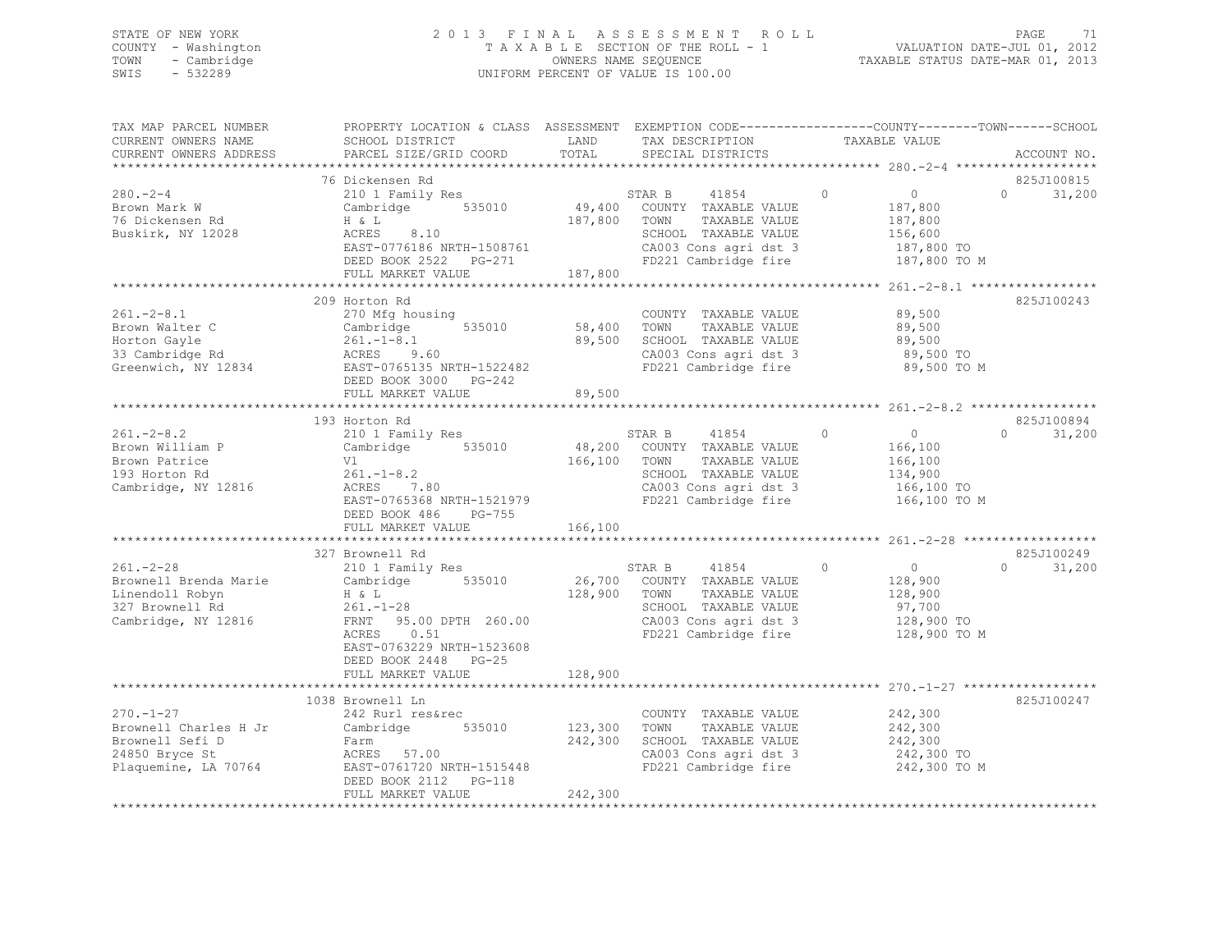# STATE OF NEW YORK 2 0 1 3 F I N A L A S S E S S M E N T R O L L PAGE 71 COUNTY - Washington T A X A B L E SECTION OF THE ROLL - 1 VALUATION DATE-JUL 01, 2012 TOWN - Cambridge OWNERS NAME SEQUENCE TAXABLE STATUS DATE-MAR 01, 2013 SWIS - 532289 UNIFORM PERCENT OF VALUE IS 100.00

| TAX MAP PARCEL NUMBER<br>CURRENT OWNERS NAME<br>CURRENT OWNERS ADDRESS                                | PROPERTY LOCATION & CLASS ASSESSMENT<br>SCHOOL DISTRICT<br>PARCEL SIZE/GRID COORD                                                                                                                           | LAND<br>TOTAL                | TAX DESCRIPTION<br>SPECIAL DISTRICTS                                                                                                             | EXEMPTION CODE-----------------COUNTY-------TOWN------SCHOOL<br>TAXABLE VALUE      | ACCOUNT NO.                      |
|-------------------------------------------------------------------------------------------------------|-------------------------------------------------------------------------------------------------------------------------------------------------------------------------------------------------------------|------------------------------|--------------------------------------------------------------------------------------------------------------------------------------------------|------------------------------------------------------------------------------------|----------------------------------|
|                                                                                                       |                                                                                                                                                                                                             |                              |                                                                                                                                                  |                                                                                    |                                  |
| $280 - 2 - 4$<br>Brown Mark W<br>76 Dickensen Rd<br>Buskirk, NY 12028                                 | 76 Dickensen Rd<br>210 1 Family Res<br>535010<br>Cambridge<br>H & L<br>8.10<br>ACRES<br>EAST-0776186 NRTH-1508761<br>DEED BOOK 2522 PG-271<br>FULL MARKET VALUE                                             | 49,400<br>187,800<br>187,800 | STAR B<br>41854<br>COUNTY TAXABLE VALUE<br>TOWN<br>TAXABLE VALUE<br>SCHOOL TAXABLE VALUE<br>CA003 Cons agri dst 3<br>FD221 Cambridge fire        | $\circ$<br>$\circ$<br>187,800<br>187,800<br>156,600<br>187,800 TO<br>187,800 TO M  | 825J100815<br>$\Omega$<br>31,200 |
|                                                                                                       |                                                                                                                                                                                                             |                              |                                                                                                                                                  |                                                                                    |                                  |
| $261. - 2 - 8.1$<br>Brown Walter C<br>Horton Gayle<br>33 Cambridge Rd<br>Greenwich, NY 12834          | 209 Horton Rd<br>270 Mfg housing<br>Cambridge<br>535010<br>$261. - 1 - 8.1$<br>ACRES<br>9.60<br>EAST-0765135 NRTH-1522482<br>DEED BOOK 3000 PG-242                                                          | 58,400<br>89,500             | COUNTY TAXABLE VALUE<br>TOWN<br>TAXABLE VALUE<br>SCHOOL TAXABLE VALUE<br>CA003 Cons agri dst 3<br>FD221 Cambridge fire                           | 89,500<br>89,500<br>89,500<br>89,500 TO<br>89,500 TO M                             | 825J100243                       |
|                                                                                                       | FULL MARKET VALUE                                                                                                                                                                                           | 89,500                       |                                                                                                                                                  |                                                                                    |                                  |
|                                                                                                       |                                                                                                                                                                                                             |                              |                                                                                                                                                  |                                                                                    |                                  |
| $261. - 2 - 8.2$<br>Brown William P<br>Brown Patrice<br>193 Horton Rd<br>Cambridge, NY 12816          | 193 Horton Rd<br>210 1 Family Res<br>535010<br>Cambridge<br>Vl<br>$261. - 1 - 8.2$<br>ACRES 7.80<br>EAST-0765368 NRTH-1521979<br>DEED BOOK 486<br>PG-755<br>FULL MARKET VALUE                               | 48,200<br>166,100<br>166,100 | STAR B<br>41854<br>COUNTY TAXABLE VALUE<br>TAXABLE VALUE<br>TOWN<br>SCHOOL TAXABLE VALUE<br>CA003 Cons agri dst 3<br>FD221 Cambridge fire        | 0<br>$\overline{0}$<br>166,100<br>166,100<br>134,900<br>166,100 TO<br>166,100 TO M | 825J100894<br>$\Omega$<br>31,200 |
|                                                                                                       |                                                                                                                                                                                                             |                              |                                                                                                                                                  |                                                                                    | 825J100249                       |
| $261. -2 - 28$<br>Brownell Brenda Marie<br>Linendoll Robyn<br>327 Brownell Rd<br>Cambridge, NY 12816  | 327 Brownell Rd<br>210 1 Family Res<br>535010<br>Cambridge<br>H & L<br>$261. - 1 - 28$<br>FRNT 95.00 DPTH 260.00<br>ACRES<br>0.51<br>EAST-0763229 NRTH-1523608<br>DEED BOOK 2448 PG-25<br>FULL MARKET VALUE | 128,900<br>128,900           | 41854<br>STAR B<br>26,700 COUNTY TAXABLE VALUE<br>TOWN<br>TAXABLE VALUE<br>SCHOOL TAXABLE VALUE<br>CA003 Cons agri dst 3<br>FD221 Cambridge fire | $\Omega$<br>$\circ$<br>128,900<br>128,900<br>97,700<br>128,900 TO<br>128,900 TO M  | $\Omega$<br>31,200               |
|                                                                                                       |                                                                                                                                                                                                             |                              |                                                                                                                                                  |                                                                                    |                                  |
| $270. - 1 - 27$<br>Brownell Charles H Jr<br>Brownell Sefi D<br>24850 Bryce St<br>Plaquemine, LA 70764 | 1038 Brownell Ln<br>242 Rurl res&rec<br>535010<br>Cambridge<br>Farm<br>ACRES 57.00<br>EAST-0761720 NRTH-1515448<br>DEED BOOK 2112<br>$PG-118$                                                               | 123,300<br>242,300           | COUNTY TAXABLE VALUE<br>TAXABLE VALUE<br>TOWN<br>SCHOOL TAXABLE VALUE<br>CA003 Cons agri dst 3<br>FD221 Cambridge fire                           | 242,300<br>242,300<br>242,300<br>242,300 TO<br>242,300 TO M                        | 825J100247                       |
|                                                                                                       | FULL MARKET VALUE                                                                                                                                                                                           | 242,300                      |                                                                                                                                                  |                                                                                    |                                  |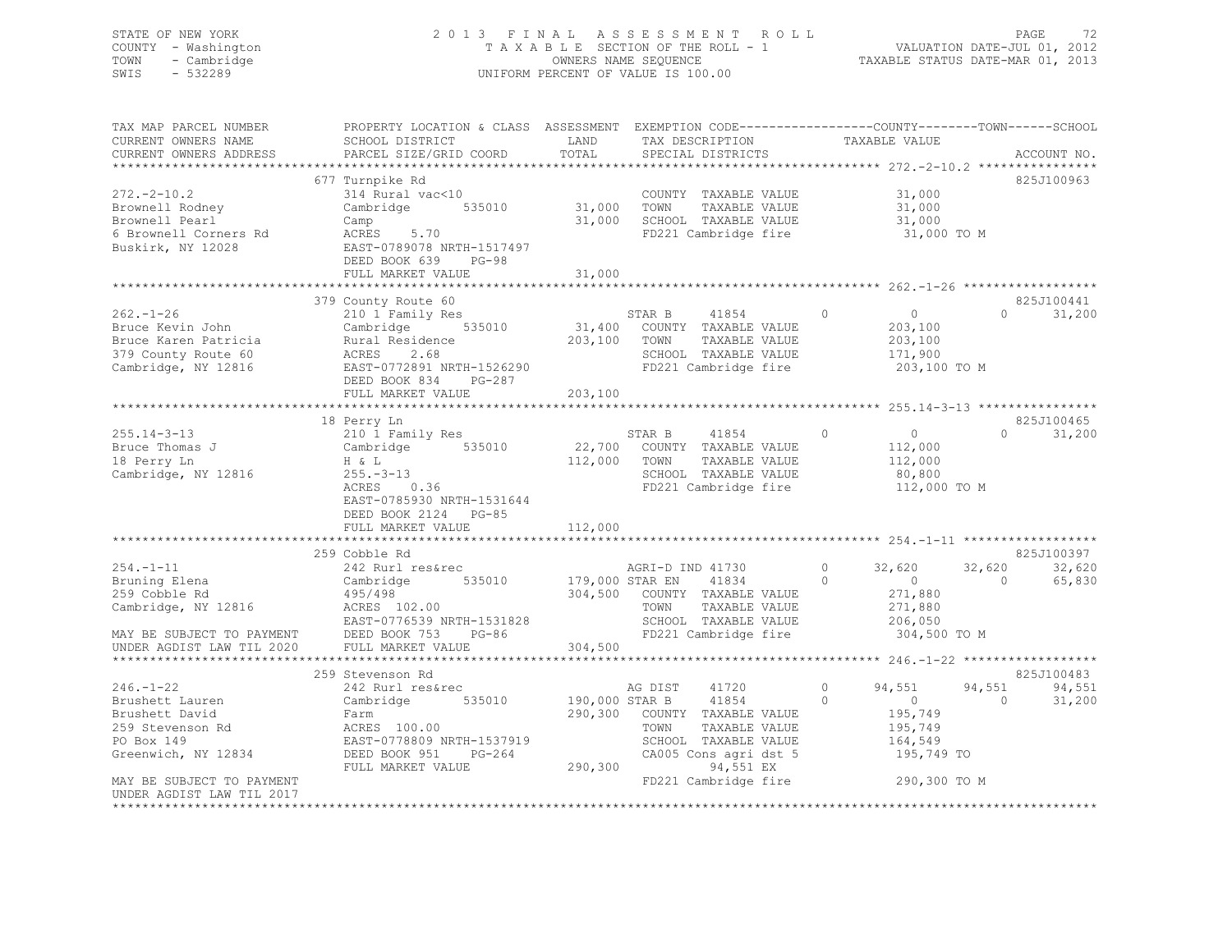# STATE OF NEW YORK 2 0 1 3 F I N A L A S S E S S M E N T R O L L PAGE 72 COUNTY - Washington T A X A B L E SECTION OF THE ROLL - 1 VALUATION DATE-JUL 01, 2012 TOWN - Cambridge OWNERS NAME SEQUENCE TAXABLE STATUS DATE-MAR 01, 2013 SWIS - 532289 UNIFORM PERCENT OF VALUE IS 100.00

| TAX MAP PARCEL NUMBER<br>CURRENT OWNERS NAME<br>CURRENT OWNERS ADDRESS                                                                     | PROPERTY LOCATION & CLASS ASSESSMENT EXEMPTION CODE----------------COUNTY-------TOWN------SCHOOL<br>SCHOOL DISTRICT<br>PARCEL SIZE/GRID COORD                              | LAND<br>TOTAL                        | TAX DESCRIPTION<br>SPECIAL DISTRICTS                                                                                                                             | COUNTY---<br>TAXABLE VALUE                                                                                     | ACCOUNT NO.                                           |
|--------------------------------------------------------------------------------------------------------------------------------------------|----------------------------------------------------------------------------------------------------------------------------------------------------------------------------|--------------------------------------|------------------------------------------------------------------------------------------------------------------------------------------------------------------|----------------------------------------------------------------------------------------------------------------|-------------------------------------------------------|
|                                                                                                                                            |                                                                                                                                                                            |                                      |                                                                                                                                                                  |                                                                                                                |                                                       |
| $272 - 2 - 10.2$<br>Brownell Rodney<br>Brownell Pearl<br>6 Brownell Corners Rd                                                             | 677 Turnpike Rd<br>314 Rural vac<10<br>Cambridge 535010<br>Camp<br>ACRES<br>5.70                                                                                           | 31,000 TOWN                          | COUNTY TAXABLE VALUE<br>TAXABLE VALUE<br>31,000 SCHOOL TAXABLE VALUE<br>FD221 Cambridge fire                                                                     | 31,000<br>31,000<br>31,000<br>31,000 TO M                                                                      | 825J100963                                            |
| Buskirk, NY 12028                                                                                                                          | EAST-0789078 NRTH-1517497<br>DEED BOOK 639 PG-98<br>FULL MARKET VALUE                                                                                                      | 31,000                               |                                                                                                                                                                  |                                                                                                                |                                                       |
|                                                                                                                                            |                                                                                                                                                                            |                                      |                                                                                                                                                                  |                                                                                                                |                                                       |
|                                                                                                                                            | 379 County Route 60                                                                                                                                                        |                                      |                                                                                                                                                                  |                                                                                                                | 825J100441                                            |
| $262 - 1 - 26$<br>Bruce Kevin John<br>Bruce Karen Patricia<br>379 County Route 60<br>Cambridge, NY 12816                                   | 210 1 Family Res<br>Cambridge 535010<br>Rural Residence<br>2.68<br>ACRES<br>EAST-0772891 NRTH-1526290<br>DEED BOOK 834 PG-287                                              | 203,100                              | STAR B<br>41854<br>31,400 COUNTY TAXABLE VALUE<br>TOWN<br>TAXABLE VALUE<br>SCHOOL TAXABLE VALUE<br>FD221 Cambridge fire                                          | $\Omega$<br>$\circ$<br>203,100<br>203,100<br>171,900<br>203,100 TO M                                           | $\Omega$<br>31,200                                    |
|                                                                                                                                            | FULL MARKET VALUE                                                                                                                                                          | 203,100                              |                                                                                                                                                                  |                                                                                                                |                                                       |
|                                                                                                                                            |                                                                                                                                                                            |                                      |                                                                                                                                                                  |                                                                                                                |                                                       |
| $255.14 - 3 - 13$<br>Bruce Thomas J<br>18 Perry Ln<br>Cambridge, NY 12816                                                                  | 18 Perry Ln<br>210 1 Family Res<br>Cambridge 535010<br>H & L<br>$255. - 3 - 13$<br>ACRES<br>0.36<br>EAST-0785930 NRTH-1531644<br>DEED BOOK 2124 PG-85<br>FULL MARKET VALUE | 112,000<br>112,000                   | STAR B<br>41854<br>22,700 COUNTY TAXABLE VALUE<br>TOWN<br>TAXABLE VALUE<br>SCHOOL TAXABLE VALUE<br>FD221 Cambridge fire                                          | $\circ$<br>$\overline{0}$<br>112,000<br>112,000<br>80,800<br>112,000 TO M                                      | 825J100465<br>$\Omega$<br>31,200                      |
|                                                                                                                                            |                                                                                                                                                                            |                                      |                                                                                                                                                                  |                                                                                                                |                                                       |
| $254. -1 - 11$<br>Bruning Elena<br>259 Cobble Rd<br>Cambridge, NY 12816<br>MAY BE SUBJECT TO PAYMENT<br>UNDER AGDIST LAW TIL 2020          | 259 Cobble Rd<br>242 Rurl res&rec<br>535010<br>Cambridge<br>495/498<br>ACRES 102.00<br>EAST-0776539 NRTH-1531828<br>DEED BOOK 753<br>PG-86<br>FULL MARKET VALUE            | 179,000 STAR EN<br>304,500           | AGRI-D IND 41730<br>41834<br>304,500 COUNTY TAXABLE VALUE<br>TAXABLE VALUE<br>TOWN<br>SCHOOL TAXABLE VALUE<br>FD221 Cambridge fire                               | $\circ$<br>32,620<br>$\Omega$<br>$\overline{0}$<br>271,880<br>271,880<br>206,050<br>304,500 TO M               | 825J100397<br>32,620<br>32,620<br>$\bigcap$<br>65,830 |
|                                                                                                                                            |                                                                                                                                                                            |                                      |                                                                                                                                                                  |                                                                                                                |                                                       |
| $246. - 1 - 22$<br>Brushett Lauren<br>Brushett David<br>259 Stevenson Rd<br>PO Box 149<br>Greenwich, NY 12834<br>MAY BE SUBJECT TO PAYMENT | 259 Stevenson Rd<br>242 Rurl res&rec<br>535010<br>Cambridge<br>Farm<br>ACRES 100.00<br>EAST-0778809 NRTH-1537919<br>DEED BOOK 951<br>PG-264<br>FULL MARKET VALUE           | 190,000 STAR B<br>290,300<br>290,300 | AG DIST<br>41720<br>41854<br>COUNTY TAXABLE VALUE<br>TOWN<br>TAXABLE VALUE<br>SCHOOL TAXABLE VALUE<br>CA005 Cons agri dst 5<br>94,551 EX<br>FD221 Cambridge fire | $\circ$<br>94,551<br>$\Omega$<br>$\overline{0}$<br>195,749<br>195,749<br>164,549<br>195,749 TO<br>290,300 TO M | 825J100483<br>94,551<br>94,551<br>$\bigcap$<br>31,200 |
| UNDER AGDIST LAW TIL 2017                                                                                                                  |                                                                                                                                                                            |                                      |                                                                                                                                                                  |                                                                                                                |                                                       |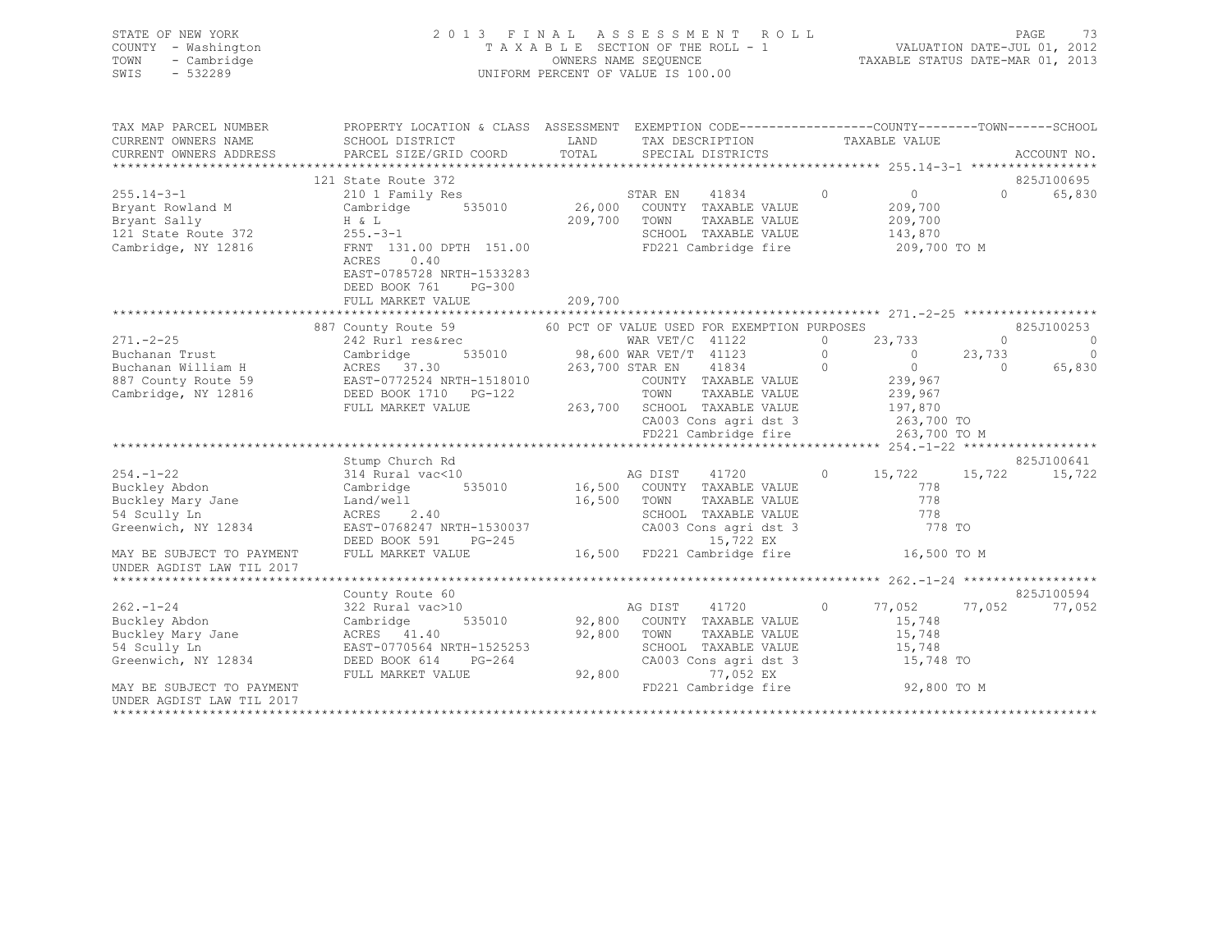| STATE OF NEW YORK<br>COUNTY - Washington<br>TOWN<br>- Cambridge                                                                                                                                                                |                                                                                                                                                                                                                                                                                                                         |                                                  |             | 2013 FINAL ASSESSMENT ROLL<br>TAXABLE SECTION OF THE ROLL - 1 VALUATION DATE-JUL 01, 2012<br>OWNERS NAME SEQUENCE<br>UNIFORM PERCENT OF VALUE IS 100.00     |                             |                | PAGE<br>-73              |
|--------------------------------------------------------------------------------------------------------------------------------------------------------------------------------------------------------------------------------|-------------------------------------------------------------------------------------------------------------------------------------------------------------------------------------------------------------------------------------------------------------------------------------------------------------------------|--------------------------------------------------|-------------|-------------------------------------------------------------------------------------------------------------------------------------------------------------|-----------------------------|----------------|--------------------------|
| SWIS<br>$-532289$                                                                                                                                                                                                              |                                                                                                                                                                                                                                                                                                                         |                                                  |             |                                                                                                                                                             |                             |                |                          |
| TAX MAP PARCEL NUMBER                                                                                                                                                                                                          | PROPERTY LOCATION & CLASS ASSESSMENT EXEMPTION CODE-----------------COUNTY-------TOWN------SCHOOL<br>SCHOOL DISTRICT TAND TAND TAND TECHNOLOGY                                                                                                                                                                          |                                                  |             | LAND TAX DESCRIPTION TAXABLE VALUE                                                                                                                          |                             |                |                          |
| CURRENT OWNERS NAME<br>CURRENT OWNERS ADDRESS                                                                                                                                                                                  | SCHOOL DISTRICT<br>PARCEL SIZE/GRID COORD                                                                                                                                                                                                                                                                               | TOTAL                                            |             | SPECIAL DISTRICTS                                                                                                                                           |                             |                | ACCOUNT NO.              |
|                                                                                                                                                                                                                                | 121 State Route 372                                                                                                                                                                                                                                                                                                     |                                                  |             |                                                                                                                                                             |                             |                | 825J100695               |
| $255.14 - 3 - 1$                                                                                                                                                                                                               |                                                                                                                                                                                                                                                                                                                         |                                                  |             | $\sim$ 0                                                                                                                                                    |                             | $\Omega$       | 65,830                   |
|                                                                                                                                                                                                                                | 210 1 Family Res STAR EN 41834<br>Cambridge 535010 26,000 COUNTY TAXABLE VALUE<br>Bryant Rowland M Cambridge 535010 26,000 COUNTY TAXABLE VALUE<br>Bryant Sally H & L<br>121 State Route 372 255.-3-1 209,700 TOWN TAXABLE VALUE<br>Cambridge, NY 12816 FRNT 131.00 DPTH 151.00 FD221 Cambridge fire<br>FRNT 131.00 PTH |                                                  |             |                                                                                                                                                             | $0$ 0<br>209,700<br>209,700 |                |                          |
|                                                                                                                                                                                                                                | ACRES<br>0.40<br>EAST-0785728 NRTH-1533283<br>DEED BOOK 761 PG-300                                                                                                                                                                                                                                                      |                                                  |             |                                                                                                                                                             | 143,870<br>209,700 TO M     |                |                          |
|                                                                                                                                                                                                                                | FULL MARKET VALUE                                                                                                                                                                                                                                                                                                       | 209,700                                          |             |                                                                                                                                                             |                             |                |                          |
|                                                                                                                                                                                                                                |                                                                                                                                                                                                                                                                                                                         |                                                  |             |                                                                                                                                                             |                             |                | 825J100253               |
| $271. - 2 - 25$                                                                                                                                                                                                                | 887 County Route 59 60 PCT OF VALUE USED FOR EXEMPTION PURPOSES<br>242 Rurl res&rec                                                                                                                                                                                                                                     |                                                  |             |                                                                                                                                                             | 0 $23,733$                  | $\sim$ 0       | $\overline{\phantom{0}}$ |
| Buchanan Trust                                                                                                                                                                                                                 | 242 Rurl res&re<br>Cambridge                                                                                                                                                                                                                                                                                            | WAR VET/C 41122<br>535010 98,600 WAR VET/T 41123 |             |                                                                                                                                                             |                             | 23,733         | $\circ$                  |
| Example and the community of the community of the season of the season of the season of the season of the season of the season of the season of the season of the season of the season of the season of the season of the seas |                                                                                                                                                                                                                                                                                                                         |                                                  |             |                                                                                                                                                             |                             | $\overline{0}$ | 65,830                   |
|                                                                                                                                                                                                                                |                                                                                                                                                                                                                                                                                                                         |                                                  |             |                                                                                                                                                             |                             |                |                          |
| Cambridge, NY 12816                                                                                                                                                                                                            |                                                                                                                                                                                                                                                                                                                         |                                                  |             |                                                                                                                                                             |                             |                |                          |
|                                                                                                                                                                                                                                |                                                                                                                                                                                                                                                                                                                         |                                                  |             |                                                                                                                                                             |                             |                |                          |
|                                                                                                                                                                                                                                |                                                                                                                                                                                                                                                                                                                         |                                                  |             |                                                                                                                                                             |                             |                |                          |
|                                                                                                                                                                                                                                |                                                                                                                                                                                                                                                                                                                         |                                                  |             | CA003 Cons agri dst 3 263,700 TO<br>FD221 Cambridge fire 263,700 TO M                                                                                       |                             |                |                          |
|                                                                                                                                                                                                                                |                                                                                                                                                                                                                                                                                                                         |                                                  |             |                                                                                                                                                             |                             |                |                          |
|                                                                                                                                                                                                                                | Stump Church Rd                                                                                                                                                                                                                                                                                                         |                                                  |             |                                                                                                                                                             |                             |                | 825J100641               |
| $254. - 1 - 22$                                                                                                                                                                                                                | 314 Rural vac<10                                                                                                                                                                                                                                                                                                        | AG DIST 41720                                    |             |                                                                                                                                                             | 0 $15,722$ $15,722$         |                | 15,722                   |
| Buckley Abdon                                                                                                                                                                                                                  | Cambridge 535010 16,500 COUNTY TAXABLE VALUE                                                                                                                                                                                                                                                                            |                                                  |             | No Learn The Taxable Value<br>TOWN TAXABLE VALUE<br>SCHOOL TAXABLE VALUE 778<br>COUNTY TAXABLE VALUE 778<br>COUNTY TAXABLE VALUE 778<br>COUNTY CONSINUE 778 |                             |                |                          |
| Buckley Mary Jane<br>54 Scully Ln                                                                                                                                                                                              | Land/well                                                                                                                                                                                                                                                                                                               |                                                  | 16,500 TOWN |                                                                                                                                                             |                             |                |                          |
|                                                                                                                                                                                                                                | ACRES 2.40                                                                                                                                                                                                                                                                                                              |                                                  |             |                                                                                                                                                             |                             |                |                          |
| Greenwich, NY 12834                                                                                                                                                                                                            | EAST-0768247 NRTH-1530037                                                                                                                                                                                                                                                                                               |                                                  |             | IRTH-1530037 CA003 Cons agridst 3<br>PG-245 15,722 EX                                                                                                       | 778 TO                      |                |                          |
| MAY BE SUBJECT TO PAYMENT                                                                                                                                                                                                      | DEED BOOK 591<br>FULL MARKET VALUE                                                                                                                                                                                                                                                                                      |                                                  |             | 16,500 FD221 Cambridge fire 16,500 TO M                                                                                                                     |                             |                |                          |
| UNDER AGDIST LAW TIL 2017                                                                                                                                                                                                      |                                                                                                                                                                                                                                                                                                                         |                                                  |             |                                                                                                                                                             |                             |                |                          |
|                                                                                                                                                                                                                                |                                                                                                                                                                                                                                                                                                                         |                                                  |             |                                                                                                                                                             |                             |                |                          |
| $262 - 1 - 24$                                                                                                                                                                                                                 | County Route 60                                                                                                                                                                                                                                                                                                         | AG DIST 41720                                    |             |                                                                                                                                                             | $0 \t 77,052$               |                | 825J100594               |
|                                                                                                                                                                                                                                | 322 Rural vac>10                                                                                                                                                                                                                                                                                                        |                                                  |             | 535010 92,800 COUNTY TAXABLE VALUE                                                                                                                          | 15,748                      | 77,052         | 77,052                   |
| Buckley Abdon<br>Buckley Mary Jane                                                                                                                                                                                             | Cambridge<br>ACRES 41.40                                                                                                                                                                                                                                                                                                | 92,800 TOWN                                      |             | TAXABLE VALUE                                                                                                                                               | 15,748                      |                |                          |
|                                                                                                                                                                                                                                |                                                                                                                                                                                                                                                                                                                         |                                                  |             |                                                                                                                                                             |                             |                |                          |

\*\*\*\*\*\*\*\*\*\*\*\*\*\*\*\*\*\*\*\*\*\*\*\*\*\*\*\*\*\*\*\*\*\*\*\*\*\*\*\*\*\*\*\*\*\*\*\*\*\*\*\*\*\*\*\*\*\*\*\*\*\*\*\*\*\*\*\*\*\*\*\*\*\*\*\*\*\*\*\*\*\*\*\*\*\*\*\*\*\*\*\*\*\*\*\*\*\*\*\*\*\*\*\*\*\*\*\*\*\*\*\*\*\*\*\*\*\*\*\*\*\*\*\*\*\*\*\*\*\*\*\*

54 Scully Ln EAST-0770564 NRTH-1525253 SCHOOL TAXABLE VALUE 15,748 Greenwich, NY 12834 DEED BOOK 614 PG-264 CA003 Cons agri dst 3 15,748 TO FULL MARKET VALUE 92,800 77,052 EX MAY BE SUBJECT TO PAYMENT **FULL ASSAULT AS A CONSUMING THE SUBJECT** TO PAYMENT **FULL ASSAULT ASSAULT ASSAULT** FOR M

UNDER AGDIST LAW TIL 2017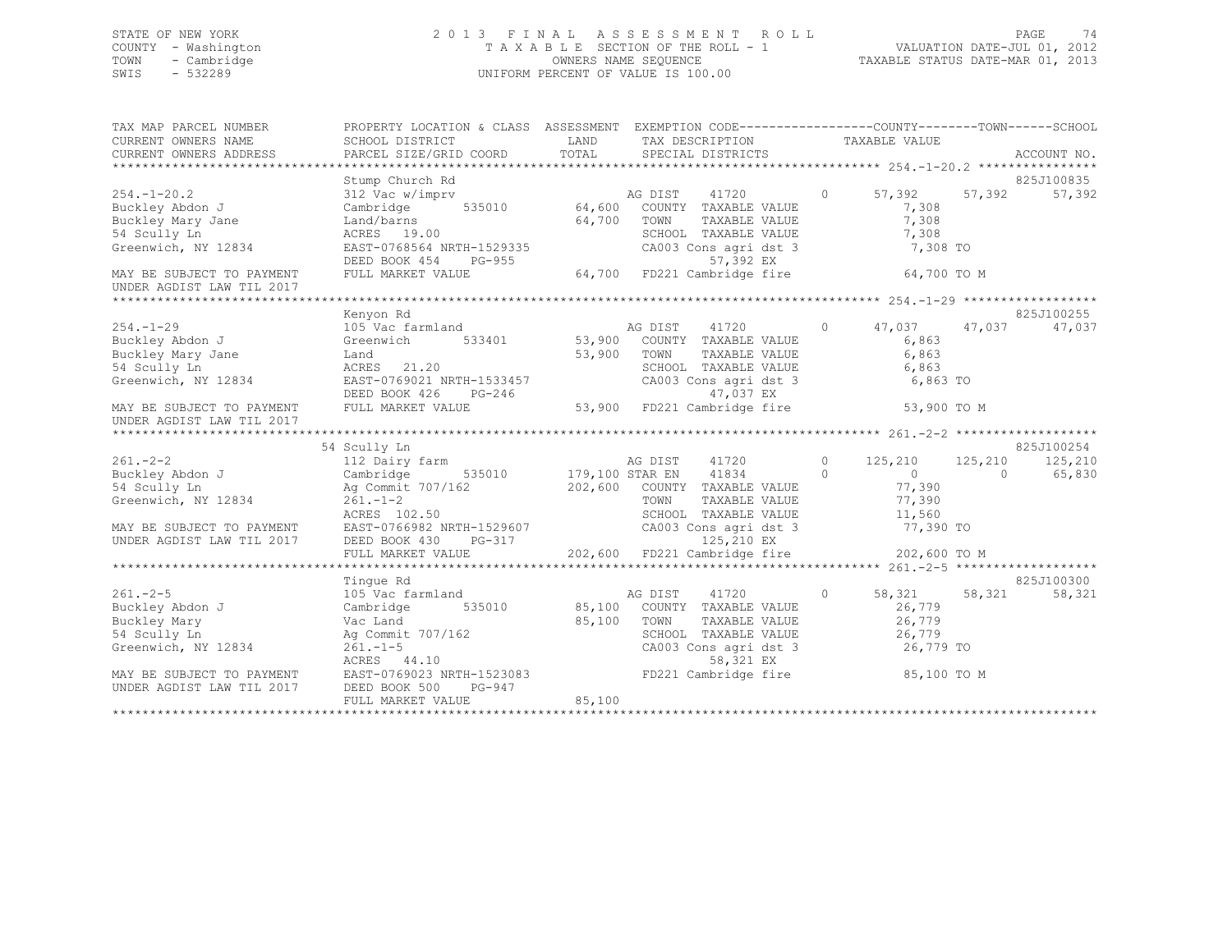## STATE OF NEW YORK 2 0 1 3 F I N A L A S S E S S M E N T R O L L PAGE 74 COUNTY - Washington T A X A B L E SECTION OF THE ROLL - 1 VALUATION DATE-JUL 01, 2012 TOWN - Cambridge OWNERS NAME SEQUENCE TAXABLE STATUS DATE-MAR 01, 2013 SWIS - 532289 UNIFORM PERCENT OF VALUE IS 100.00

| TAX MAP PARCEL NUMBER<br>CURRENT OWNERS NAME<br>CURRENT OWNERS ADDRESS | SCHOOL DISTRICT<br>PARCEL SIZE/GRID COORD         | LAND<br>TAX DESCRIPTION<br>TOTAL<br>SPECIAL DISTRICTS                                                                          | PROPERTY LOCATION & CLASS ASSESSMENT EXEMPTION CODE---------------COUNTY-------TOWN-----SCHOOL<br>TAXABLE VALUE<br>ACCOUNT NO. |
|------------------------------------------------------------------------|---------------------------------------------------|--------------------------------------------------------------------------------------------------------------------------------|--------------------------------------------------------------------------------------------------------------------------------|
|                                                                        | Stump Church Rd                                   |                                                                                                                                | 825J100835                                                                                                                     |
| $254. - 1 - 20.2$                                                      | 312 Vac w/imprv                                   | 41720<br>AG DIST                                                                                                               | $\circ$<br>57,392<br>57,392<br>57,392                                                                                          |
| Buckley Abdon J                                                        | 535010 64,600<br>Cambridge                        | COUNTY TAXABLE VALUE                                                                                                           | 7,308                                                                                                                          |
| Buckley Mary Jane                                                      | Land/barns                                        | 64,700<br>TOWN<br>TAXABLE VALUE                                                                                                | 7,308                                                                                                                          |
| 54 Scully Ln                                                           | ACRES 19.00                                       | SCHOOL TAXABLE VALUE                                                                                                           | 7,308                                                                                                                          |
| Greenwich, NY 12834                                                    |                                                   |                                                                                                                                | 7,308 TO                                                                                                                       |
|                                                                        |                                                   |                                                                                                                                |                                                                                                                                |
| MAY BE SUBJECT TO PAYMENT<br>UNDER AGDIST LAW TIL 2017                 |                                                   | EAST-0768564 NRTH-1529335<br>DEED BOOK 454 PG-955 64,700 FD221 Cambridge fire<br>FULL MARKET VALUE 64,700 FD221 Cambridge fire | 64,700 TO M                                                                                                                    |
|                                                                        |                                                   |                                                                                                                                |                                                                                                                                |
|                                                                        | Kenyon Rd                                         |                                                                                                                                | 825J100255                                                                                                                     |
| $254. - 1 - 29$                                                        | 105 Vac farmland                                  | AG DIST 41720<br>53,900 COUNTY TAXABLE VALUE<br>FRIME TAXABLE VALUE                                                            | $\circ$<br>47,037<br>47,037<br>47,037                                                                                          |
| Buckley Abdon J                                                        | Greenwich<br>533401                               |                                                                                                                                | 6,863                                                                                                                          |
| Buckley Mary Jane                                                      | Land                                              | 53,900                                                                                                                         | 6,863                                                                                                                          |
| 54 Scully Ln                                                           | ACRES 21.20                                       | SCHOOL TAXABLE VALUE                                                                                                           | 6,863                                                                                                                          |
| Greenwich, NY 12834                                                    | EAST-0769021 NRTH-1533457                         | SCHOOL TAXABLE VALUE<br>CA003 Cons agri dst 3                                                                                  | 6,863 TO                                                                                                                       |
|                                                                        | DEED BOOK 426<br>PG-246                           | 47,037 EX                                                                                                                      |                                                                                                                                |
| MAY BE SUBJECT TO PAYMENT                                              | FULL MARKET VALUE                                 | 53,900 FD221 Cambridge fire                                                                                                    | 53,900 TO M                                                                                                                    |
| UNDER AGDIST LAW TIL 2017                                              |                                                   |                                                                                                                                |                                                                                                                                |
|                                                                        |                                                   |                                                                                                                                |                                                                                                                                |
|                                                                        | 54 Scully Ln                                      |                                                                                                                                | 825J100254                                                                                                                     |
| $261 - 2 - 2$                                                          | 112 Dairy farm                                    | 41720 0<br>AG DIST                                                                                                             | 125,210<br>125,210<br>125,210                                                                                                  |
| Buckley Abdon J                                                        | Cambridge                                         | 535010 179,100 STAR EN<br>41834                                                                                                | $\overline{0}$<br>65,830<br>$\circ$<br>$\cap$                                                                                  |
| 54 Scully Ln                                                           |                                                   | Ag Commit 707/162 202,600 COUNTY TAXABLE VALUE                                                                                 | 77,390                                                                                                                         |
| Greenwich, NY 12834                                                    | $261. - 1 - 2$                                    | TOWN<br>TAXABLE VALUE                                                                                                          | 77,390                                                                                                                         |
|                                                                        | ACRES 102.50                                      | SCHOOL TAXABLE VALUE                                                                                                           | 11,560                                                                                                                         |
|                                                                        | EAST-0766982 NRTH-1529607<br>DEED BOOK 430 PG-317 | CA003 Cons agri dst 3<br>125,210 EX                                                                                            | 77,390 TO                                                                                                                      |
| MAY BE SUBJECT TO PAYMENT<br>UNDER AGDIST LAW TIL 2017                 |                                                   |                                                                                                                                |                                                                                                                                |
|                                                                        |                                                   |                                                                                                                                |                                                                                                                                |
|                                                                        | Tinque Rd                                         |                                                                                                                                | 825J100300                                                                                                                     |
| $261. -2 - 5$                                                          | 105 Vac farmland                                  | AG DIST<br>41720                                                                                                               | $\circ$<br>58,321<br>58,321<br>58,321                                                                                          |
| Buckley Abdon J                                                        | 535010 85,100<br>Cambridge                        | COUNTY TAXABLE VALUE                                                                                                           | 26,779                                                                                                                         |
| Buckley Mary                                                           | Vac Land                                          | 85,100<br>TOWN<br>TAXABLE VALUE                                                                                                | 26,779                                                                                                                         |
| 54 Scully Ln                                                           | Ag Commit 707/162                                 | SCHOOL TAXABLE VALUE                                                                                                           | 26,779                                                                                                                         |
| Greenwich, NY 12834                                                    | $261. - 1 - 5$                                    | CA003 Cons agri dst 3                                                                                                          | 26,779 TO                                                                                                                      |
|                                                                        | ACRES 44.10                                       | 58,321 EX                                                                                                                      |                                                                                                                                |
| MAY BE SUBJECT TO PAYMENT                                              | EAST-0769023 NRTH-1523083                         | FD221 Cambridge fire                                                                                                           | 85,100 TO M                                                                                                                    |
| UNDER AGDIST LAW TIL 2017                                              | DEED BOOK 500<br>PG-947                           |                                                                                                                                |                                                                                                                                |
|                                                                        | FULL MARKET VALUE                                 | 85,100                                                                                                                         |                                                                                                                                |
|                                                                        |                                                   |                                                                                                                                |                                                                                                                                |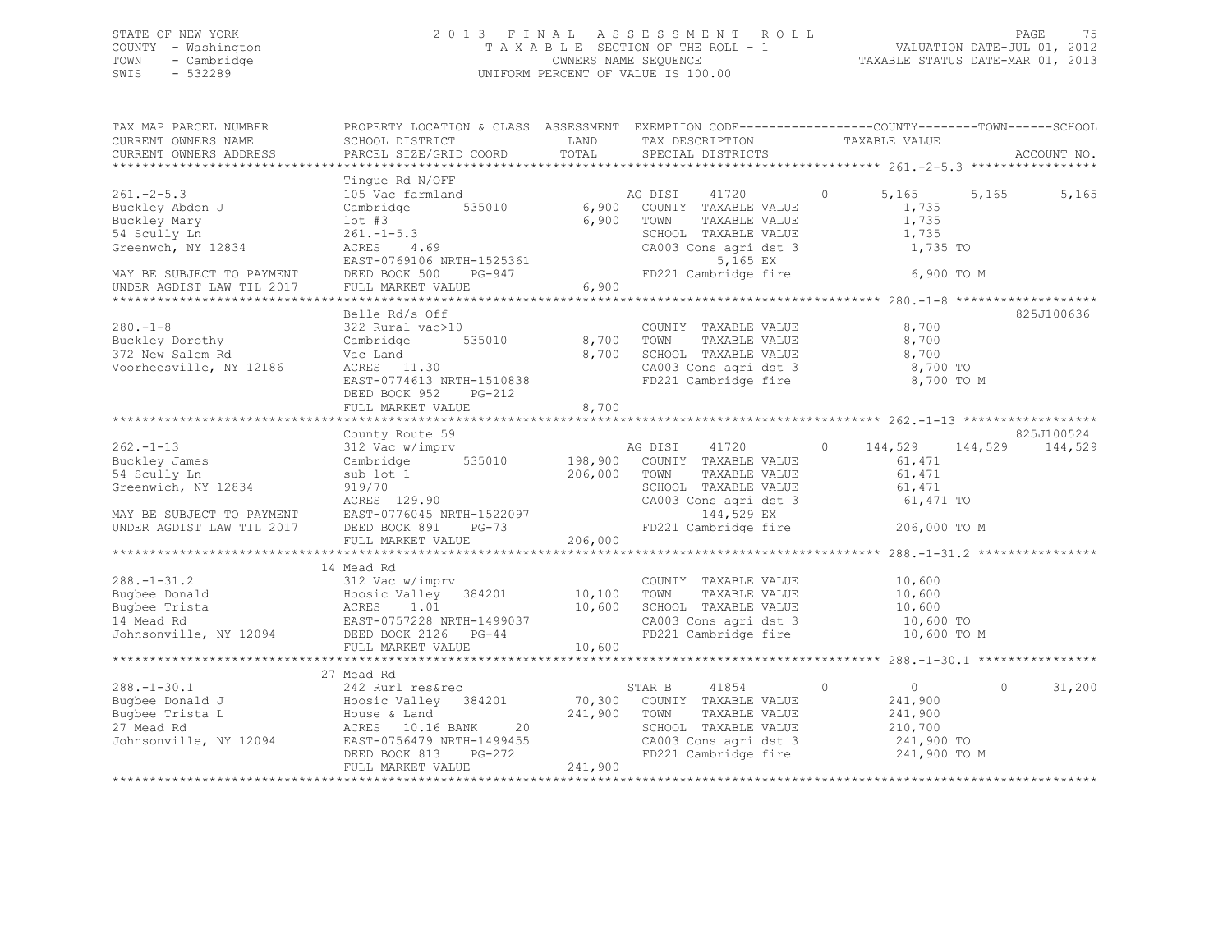## STATE OF NEW YORK 2 0 1 3 F I N A L A S S E S S M E N T R O L L PAGE 75 COUNTY - Washington T A X A B L E SECTION OF THE ROLL - 1 VALUATION DATE-JUL 01, 2012 TOWN - Cambridge OWNERS NAME SEQUENCE TAXABLE STATUS DATE-MAR 01, 2013 SWIS - 532289 UNIFORM PERCENT OF VALUE IS 100.00

| TAX MAP PARCEL NUMBER<br>CURRENT OWNERS NAME<br>CURRENT OWNERS ADDRESS                                                           | PROPERTY LOCATION & CLASS ASSESSMENT EXEMPTION CODE----------------COUNTY-------TOWN------SCHOOL<br>SCHOOL DISTRICT<br>PARCEL SIZE/GRID COORD                                                                                                | LAND<br>TOTAL                      | TAX DESCRIPTION TAXABLE VALUE<br>SPECIAL DISTRICTS TAXABLE VALUE                                                                                         |                                                                                           | ACCOUNT NO.        |
|----------------------------------------------------------------------------------------------------------------------------------|----------------------------------------------------------------------------------------------------------------------------------------------------------------------------------------------------------------------------------------------|------------------------------------|----------------------------------------------------------------------------------------------------------------------------------------------------------|-------------------------------------------------------------------------------------------|--------------------|
|                                                                                                                                  |                                                                                                                                                                                                                                              |                                    |                                                                                                                                                          |                                                                                           |                    |
| $261 - 2 - 5.3$<br>Buckley Abdon J<br>Buckley Mary                                                                               | Tinque Rd N/OFF<br>105 Vac farmland<br>535010<br>Cambridge                                                                                                                                                                                   |                                    | AG DIST 41720<br>6,900 COUNTY TAXABLE VALUE<br>6,900 TOWN<br>TAXABLE VALUE                                                                               | $\circ$<br>5,165<br>1,735<br>1,735                                                        | 5,165<br>5,165     |
| 54 Scully Ln<br>Greenwch, NY 12834                                                                                               | 1ot #3<br>261.-1-5.3<br>ACRES 4.69<br>EAST-0769106 NRTH-1525361                                                                                                                                                                              |                                    | SCHOOL TAXABLE VALUE<br>$CA003$ Cons agri dst 3<br>5,165 EX                                                                                              | 1,735<br>1,735 TO                                                                         |                    |
| MAY BE SUBJECT TO PAYMENT<br>UNDER AGDIST LAW TIL 2017                                                                           | DEED BOOK 500 PG-947<br>FULL MARKET VALUE                                                                                                                                                                                                    | 6,900                              | FD221 Cambridge fire                                                                                                                                     | 6,900 TO M                                                                                |                    |
|                                                                                                                                  |                                                                                                                                                                                                                                              | *********************              |                                                                                                                                                          | **************** 280.-1-8 ******************                                              |                    |
| $280. - 1 - 8$<br>Buckley Dorothy<br>372 New Salem Rd<br>372 New Salem Rd<br>Voorheesville, NY 12186                             | Belle Rd/s Off<br>322 Rural vac>10<br>Cambridge<br>535010<br>Vac Land<br>ACRES 11.30<br>EAST-0774613 NRTH-1510838<br>DEED BOOK 952<br>$PG-212$                                                                                               | 8,700<br>8,700<br>8,700            | COUNTY TAXABLE VALUE<br>TOWN<br>TAXABLE VALUE<br>SCHOOL TAXABLE VALUE<br>FD221 Cambridge fire                                                            | 8,700<br>8,700<br>8,700<br>CA003 Cons agri dst 3 8,700 TO<br>8,700 TO M                   | 825J100636         |
|                                                                                                                                  | FULL MARKET VALUE                                                                                                                                                                                                                            |                                    |                                                                                                                                                          |                                                                                           |                    |
|                                                                                                                                  | County Route 59                                                                                                                                                                                                                              |                                    |                                                                                                                                                          |                                                                                           | 825J100524         |
| $262 - 1 - 13$<br>Buckley James<br>54 Scully Ln<br>Greenwich, NY 12834<br>MAY BE SUBJECT TO PAYMENT<br>UNDER AGDIST LAW TIL 2017 | 312 Vac w/imprv<br>Cambridge<br>535010<br>sub lot 1<br>919/70<br>ACRES 129.90<br>EAST-0776045 NRTH-1522097<br>DEED BOOK 891<br>$PG-73$                                                                                                       | 198,900<br>206,000                 | AG DIST<br>41720<br>COUNTY TAXABLE VALUE<br>TOWN<br>TAXABLE VALUE<br>SCHOOL TAXABLE VALUE<br>CA003 Cons agri dst 3<br>144,529 EX<br>FD221 Cambridge fire | $\Omega$<br>144,529<br>144,529<br>61,471<br>61,471<br>61,471<br>61,471 TO<br>206,000 TO M | 144,529            |
|                                                                                                                                  | FULL MARKET VALUE                                                                                                                                                                                                                            | 206,000                            |                                                                                                                                                          |                                                                                           |                    |
|                                                                                                                                  |                                                                                                                                                                                                                                              | *************                      |                                                                                                                                                          |                                                                                           |                    |
|                                                                                                                                  | 14 Mead Rd                                                                                                                                                                                                                                   |                                    |                                                                                                                                                          |                                                                                           |                    |
| $288. - 1 - 31.2$<br>Johnsonville, NY 12094 DEED BOOK 2126 PG-44                                                                 | 312 Vac w/imprv<br>Eughee Donald<br>Bugbee Trista<br>14 Mead Rd<br>14 Mead Rd<br>20037<br>20037<br>20037<br>20037<br>20037<br>20037<br>FULL MARKET VALUE                                                                                     | $10, 100$ TOWN<br>10,600<br>10,600 | COUNTY TAXABLE VALUE<br>TAXABLE VALUE<br>SCHOOL TAXABLE VALUE<br>CA003 Cons agri dst 3<br>FD221 Cambridge fire                                           | 10,600<br>10,600<br>$10,600$<br>$10,600$<br>10,600 TO<br>10,600 TO M                      |                    |
|                                                                                                                                  |                                                                                                                                                                                                                                              |                                    |                                                                                                                                                          |                                                                                           |                    |
| $288. - 1 - 30.1$<br>Bugbee Donald J<br>Bugbee Trista L<br>27 Mead Rd                                                            | 27 Mead Rd<br>242 Rurl res&rec<br>242 Rurl res&rec<br>Hoosic Valley 384201<br>House & Land<br>ACRES 10.16 BANK 20<br>20<br>ACRES 10.16 BANK<br>Johnsonville, NY 12094 EAST-0756479 NRTH-1499455<br>DEED BOOK 813 PG-272<br>FULL MARKET VALUE | 241,900 TOWN<br>241,900            | STAR B<br>41854<br>70,300 COUNTY TAXABLE VALUE<br>TAXABLE VALUE<br>SCHOOL TAXABLE VALUE<br>CA003 Cons agri dst 3<br>FD221 Cambridge fire                 | $\circ$<br>$\overline{0}$<br>241,900<br>241,900<br>210,700<br>241,900 TO<br>241,900 TO M  | 31,200<br>$\Omega$ |
|                                                                                                                                  |                                                                                                                                                                                                                                              |                                    |                                                                                                                                                          |                                                                                           |                    |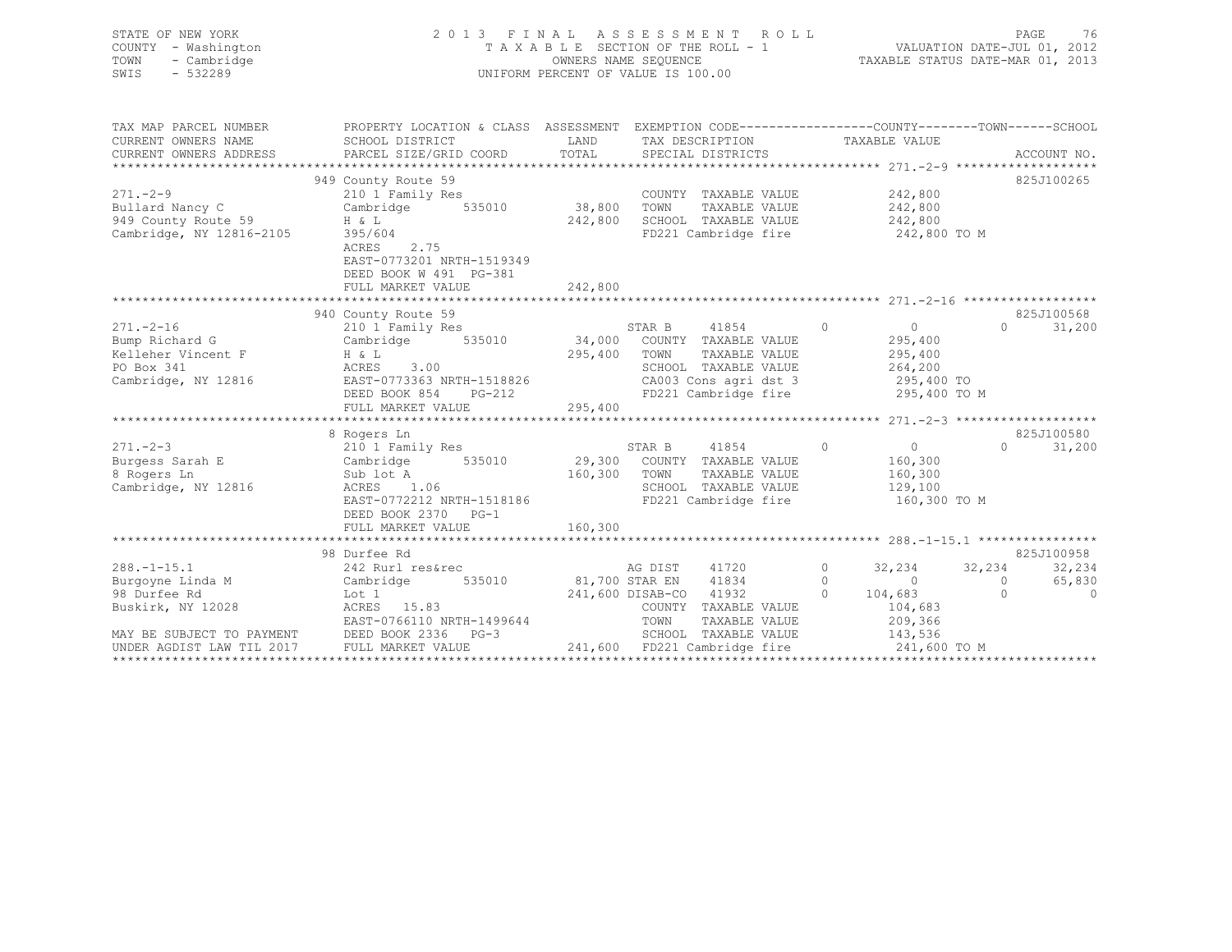| STATE OF NEW YORK<br>- Washington<br>COUNTY<br>- Cambridge<br>TOWN<br>$-532289$<br>SWIS | 2013 FINAL                           |         | ASSESSMENT ROLL<br>TAXABLE SECTION OF THE ROLL - 1<br>OWNERS NAME SEQUENCE<br>UNIFORM PERCENT OF VALUE IS 100.00 | 76<br>PAGE<br>VALUATION DATE-JUL 01, 2012<br>TAXABLE STATUS DATE-MAR 01, 2013 |
|-----------------------------------------------------------------------------------------|--------------------------------------|---------|------------------------------------------------------------------------------------------------------------------|-------------------------------------------------------------------------------|
| TAX MAP PARCEL NUMBER                                                                   | PROPERTY LOCATION & CLASS ASSESSMENT |         |                                                                                                                  | EXEMPTION CODE-----------------COUNTY-------TOWN------SCHOOL                  |
| CURRENT OWNERS NAME                                                                     | SCHOOL DISTRICT                      | LAND    | TAX DESCRIPTION                                                                                                  | TAXABLE VALUE                                                                 |
| CURRENT OWNERS ADDRESS                                                                  | PARCEL SIZE/GRID COORD               |         | TOTAL SPECIAL DISTRICTS                                                                                          | ACCOUNT NO.                                                                   |
| **************************                                                              |                                      |         |                                                                                                                  |                                                                               |
|                                                                                         | 949 County Route 59                  |         |                                                                                                                  | 825J100265                                                                    |
| $271 - -2 - 9$                                                                          | 210 1 Family Res                     |         | COUNTY<br>TAXABLE VALUE                                                                                          | 242,800                                                                       |
| Bullard Nancy C                                                                         | Cambridge<br>535010                  | 38,800  | TOWN<br>TAXABLE VALUE                                                                                            | 242,800                                                                       |
| 949 County Route 59                                                                     | $H \& L$                             | 242,800 | SCHOOL<br>TAXABLE VALUE                                                                                          | 242,800                                                                       |
| Cambridge, NY 12816-2105                                                                | 395/604                              |         | FD221 Cambridge fire                                                                                             | 242,800 TO M                                                                  |
|                                                                                         | 2.75<br>ACRES                        |         |                                                                                                                  |                                                                               |
|                                                                                         | EAST-0773201 NRTH-1519349            |         |                                                                                                                  |                                                                               |
|                                                                                         | DEED BOOK W 491 PG-381               |         |                                                                                                                  |                                                                               |
|                                                                                         | FULL MARKET VALUE                    | 242,800 |                                                                                                                  |                                                                               |
|                                                                                         |                                      |         |                                                                                                                  |                                                                               |

|                           | 940 County Route 59       |         |                  |                       |          |              |          | 825J100568 |
|---------------------------|---------------------------|---------|------------------|-----------------------|----------|--------------|----------|------------|
| $271. - 2 - 16$           | 210 1 Family Res          |         | STAR B           | 41854                 | $\Omega$ | $\Omega$     | $\Omega$ | 31,200     |
| Bump Richard G            | Cambridge<br>535010       | 34,000  | COUNTY           | TAXABLE VALUE         |          | 295,400      |          |            |
| Kelleher Vincent F        | H & L                     | 295,400 | TOWN             | TAXABLE VALUE         |          | 295,400      |          |            |
| PO Box 341                | 3.00<br>ACRES             |         | SCHOOL           | TAXABLE VALUE         |          | 264,200      |          |            |
| Cambridge, NY 12816       | EAST-0773363 NRTH-1518826 |         |                  | CA003 Cons agri dst 3 |          | 295,400 TO   |          |            |
|                           | DEED BOOK 854<br>$PG-212$ |         |                  | FD221 Cambridge fire  |          | 295,400 TO M |          |            |
|                           | FULL MARKET VALUE         | 295,400 |                  |                       |          |              |          |            |
|                           |                           |         |                  |                       |          |              |          |            |
|                           | 8 Rogers Ln               |         |                  |                       |          |              |          | 825J100580 |
| $271. - 2 - 3$            | 210 1 Family Res          |         | STAR B           | 41854                 | $\Omega$ | $\Omega$     | $\Omega$ | 31,200     |
| Burgess Sarah E           | Cambridge<br>535010       | 29,300  | COUNTY           | TAXABLE VALUE         |          | 160,300      |          |            |
| 8 Rogers Ln               | Sub lot A                 | 160,300 | TOWN             | TAXABLE VALUE         |          | 160,300      |          |            |
| Cambridge, NY 12816       | ACRES<br>1.06             |         | SCHOOL           | TAXABLE VALUE         |          | 129,100      |          |            |
|                           | EAST-0772212 NRTH-1518186 |         |                  | FD221 Cambridge fire  |          | 160,300 TO M |          |            |
|                           | DEED BOOK 2370<br>$PG-1$  |         |                  |                       |          |              |          |            |
|                           | FULL MARKET VALUE         | 160,300 |                  |                       |          |              |          |            |
|                           |                           |         |                  |                       |          |              |          |            |
|                           | 98 Durfee Rd              |         |                  |                       |          |              |          | 825J100958 |
| $288. - 1 - 15.1$         | 242 Rurl res&rec          |         | AG DIST          | 41720                 |          | 32,234       | 32,234   | 32,234     |
| Burgoyne Linda M          | 535010<br>Cambridge       |         | 81,700 STAR EN   | 41834                 | 0        | $\Omega$     | $\Omega$ | 65,830     |
| 98 Durfee Rd              | Lot 1                     |         | 241,600 DISAB-CO | 41932                 |          | 104,683      |          |            |
| Buskirk, NY 12028         | 15.83<br>ACRES            |         | COUNTY           | TAXABLE VALUE         |          | 104,683      |          |            |
|                           | EAST-0766110 NRTH-1499644 |         | TOWN             | TAXABLE VALUE         |          | 209,366      |          |            |
| MAY BE SUBJECT TO PAYMENT | DEED BOOK 2336<br>$PG-3$  |         | SCHOOL           | TAXABLE VALUE         |          | 143,536      |          |            |
| UNDER AGDIST LAW TIL 2017 | FULL MARKET VALUE         | 241,600 |                  | FD221 Cambridge fire  |          | 241,600 TO M |          |            |
|                           |                           |         |                  |                       |          |              |          |            |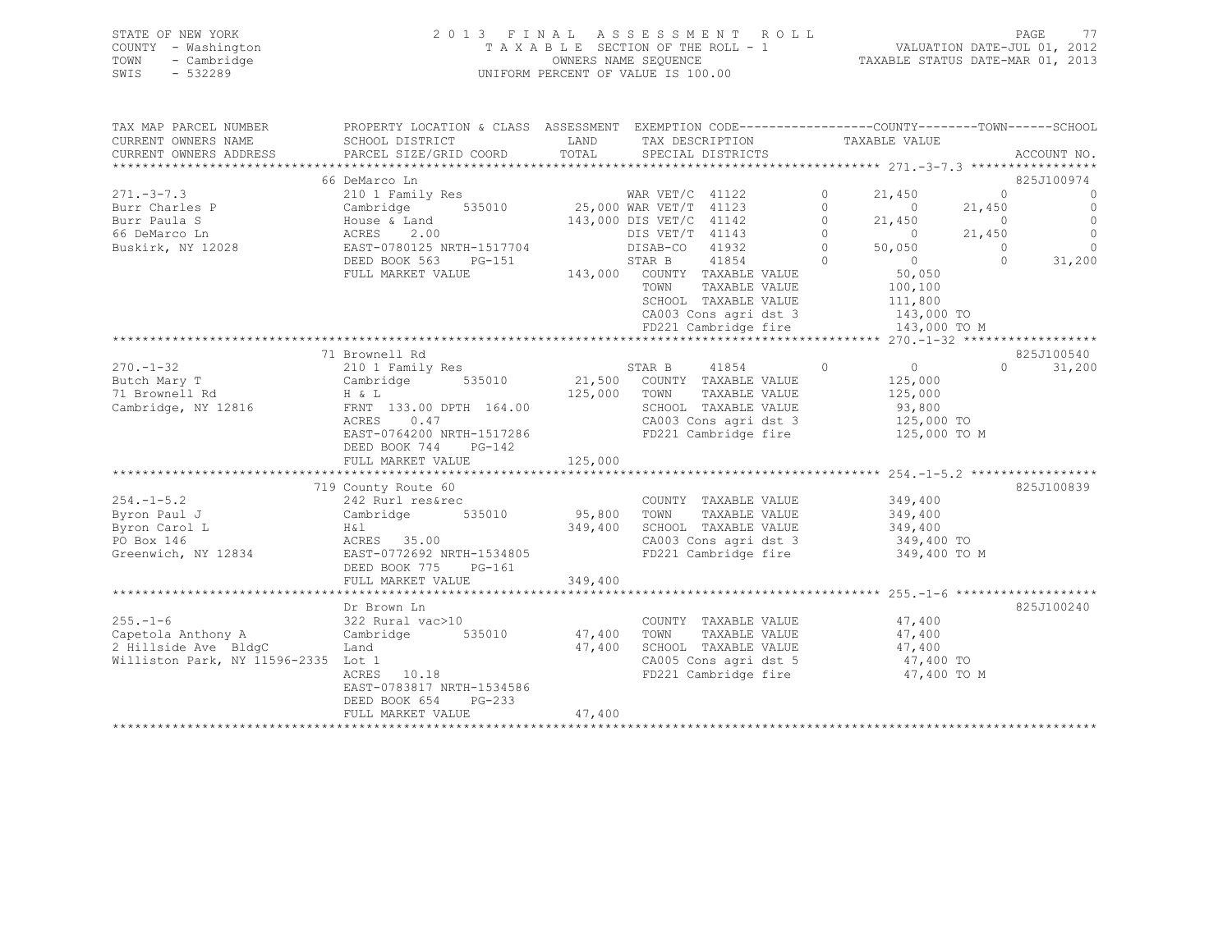| STATE OF NEW YORK   | 2013 FINAL ASSESSMENT ROLL         | PAGE                             | 77 |
|---------------------|------------------------------------|----------------------------------|----|
| COUNTY - Washington | TAXABLE SECTION OF THE ROLL - 1    | VALUATION DATE-JUL 01, 2012      |    |
| TOWN<br>- Cambridge | OWNERS NAME SEOUENCE               | TAXABLE STATUS DATE-MAR 01, 2013 |    |
| - 532289<br>SWIS    | UNIFORM PERCENT OF VALUE IS 100.00 |                                  |    |
|                     |                                    |                                  |    |

| TAX MAP PARCEL NUMBER<br>CURRENT OWNERS NAME | PROPERTY LOCATION & CLASS ASSESSMENT EXEMPTION CODE---------------COUNTY-------TOWN-----SCHOOL<br>SCHOOL DISTRICT | LAND         | TAX DESCRIPTION               |                                               |          | TAXABLE VALUE        |            |             |
|----------------------------------------------|-------------------------------------------------------------------------------------------------------------------|--------------|-------------------------------|-----------------------------------------------|----------|----------------------|------------|-------------|
| CURRENT OWNERS ADDRESS                       | PARCEL SIZE/GRID COORD                                                                                            | TOTAL        | SPECIAL DISTRICTS             |                                               |          |                      |            | ACCOUNT NO. |
| **************************                   | 66 DeMarco Ln                                                                                                     |              |                               |                                               |          |                      |            | 825J100974  |
| $271 - 3 - 7.3$                              | 210 1 Family Res                                                                                                  |              | WAR VET/C 41122               |                                               | $\Omega$ | 21,450               | $\Omega$   | $\circ$     |
| Burr Charles P                               | Cambridge                                                                                                         |              | 535010 25,000 WAR VET/T 41123 |                                               | $\Omega$ | $\bigcirc$           | 21,450     | $\circ$     |
| Burr Paula S                                 | House & Land                                                                                                      |              | 143,000 DIS VET/C 41142       |                                               | $\circ$  | 21,450               | $\circ$    | $\circ$     |
| 66 DeMarco Ln                                | ACRES<br>2.00                                                                                                     |              | DIS VET/T 41143               |                                               | $\Omega$ | $\sim$ 0             | 21,450     | $\circ$     |
| Buskirk, NY 12028                            | EAST-0780125 NRTH-1517704                                                                                         |              | DISAB-CO                      | 41932                                         | $\Omega$ | 50,050               | $\bigcirc$ | $\Omega$    |
|                                              | DEED BOOK 563<br>PG-151                                                                                           |              | STAR B                        | 41854                                         | $\Omega$ | $\overline{0}$       | $\Omega$   | 31,200      |
|                                              | FULL MARKET VALUE                                                                                                 |              |                               | 143,000 COUNTY TAXABLE VALUE                  |          | 50,050               |            |             |
|                                              |                                                                                                                   |              | TOWN                          | TAXABLE VALUE                                 |          | 100,100              |            |             |
|                                              |                                                                                                                   |              |                               | SCHOOL TAXABLE VALUE                          |          | 111,800              |            |             |
|                                              |                                                                                                                   |              |                               | CA003 Cons agri dst 3                         |          | 143,000 TO           |            |             |
|                                              |                                                                                                                   |              |                               | FD221 Cambridge fire                          |          | 143,000 TO M         |            |             |
|                                              |                                                                                                                   |              |                               |                                               |          |                      |            |             |
|                                              | 71 Brownell Rd                                                                                                    |              |                               |                                               |          |                      |            | 825J100540  |
| $270. - 1 - 32$                              | 210 1 Family Res                                                                                                  |              | STAR B                        | 41854                                         | $\circ$  | $\overline{0}$       | $\cap$     | 31,200      |
| Butch Mary T                                 | 535010<br>Cambridge                                                                                               |              |                               | 21,500 COUNTY TAXABLE VALUE                   |          | 125,000              |            |             |
| 71 Brownell Rd                               | H & L                                                                                                             | 125,000 TOWN |                               | TAXABLE VALUE                                 |          | 125,000              |            |             |
| Cambridge, NY 12816                          | FRNT 133.00 DPTH 164.00<br>ACRES<br>0.47                                                                          |              |                               | SCHOOL TAXABLE VALUE<br>CA003 Cons agri dst 3 |          | 93,800<br>125,000 TO |            |             |
|                                              | EAST-0764200 NRTH-1517286                                                                                         |              |                               | FD221 Cambridge fire                          |          | 125,000 TO M         |            |             |
|                                              | DEED BOOK 744<br>$PG-142$                                                                                         |              |                               |                                               |          |                      |            |             |
|                                              | FULL MARKET VALUE                                                                                                 | 125,000      |                               |                                               |          |                      |            |             |
|                                              |                                                                                                                   |              |                               |                                               |          |                      |            |             |
|                                              | 719 County Route 60                                                                                               |              |                               |                                               |          |                      |            | 825J100839  |
| $254. -1 - 5.2$                              | 242 Rurl res&rec                                                                                                  |              |                               | COUNTY TAXABLE VALUE                          |          | 349,400              |            |             |
| Byron Paul J                                 | 535010<br>Cambridge                                                                                               | 95,800 TOWN  |                               | TAXABLE VALUE                                 |          | 349,400              |            |             |
| Byron Carol L                                | H & l                                                                                                             |              |                               | 349,400 SCHOOL TAXABLE VALUE                  |          | 349,400              |            |             |
| PO Box 146                                   | ACRES 35.00                                                                                                       |              |                               | CA003 Cons agri dst 3                         |          | 349,400 TO           |            |             |
| Greenwich, NY 12834                          | EAST-0772692 NRTH-1534805                                                                                         |              |                               | FD221 Cambridge fire                          |          | 349,400 TO M         |            |             |
|                                              | DEED BOOK 775<br>$PG-161$                                                                                         |              |                               |                                               |          |                      |            |             |
|                                              | FULL MARKET VALUE                                                                                                 | 349,400      |                               |                                               |          |                      |            |             |
|                                              |                                                                                                                   |              |                               |                                               |          |                      |            |             |
|                                              | Dr Brown Ln                                                                                                       |              |                               |                                               |          |                      |            | 825J100240  |
| $255. - 1 - 6$                               | 322 Rural vac>10                                                                                                  |              |                               | COUNTY TAXABLE VALUE                          |          | 47,400               |            |             |
| Capetola Anthony A                           | 535010<br>Cambridge                                                                                               | 47,400       | TOWN                          | TAXABLE VALUE                                 |          | 47,400               |            |             |
| 2 Hillside Ave BldgC                         | Land                                                                                                              | 47,400       |                               | SCHOOL TAXABLE VALUE                          |          | 47,400               |            |             |
| Williston Park, NY 11596-2335 Lot 1          |                                                                                                                   |              |                               | CA005 Cons agri dst 5                         |          | 47,400 TO            |            |             |
|                                              | ACRES 10.18                                                                                                       |              |                               | FD221 Cambridge fire                          |          | 47,400 TO M          |            |             |
|                                              | EAST-0783817 NRTH-1534586                                                                                         |              |                               |                                               |          |                      |            |             |
|                                              | DEED BOOK 654<br>$PG-233$                                                                                         |              |                               |                                               |          |                      |            |             |
|                                              | FULL MARKET VALUE                                                                                                 | 47,400       |                               |                                               |          |                      |            |             |
|                                              |                                                                                                                   |              |                               |                                               |          |                      |            |             |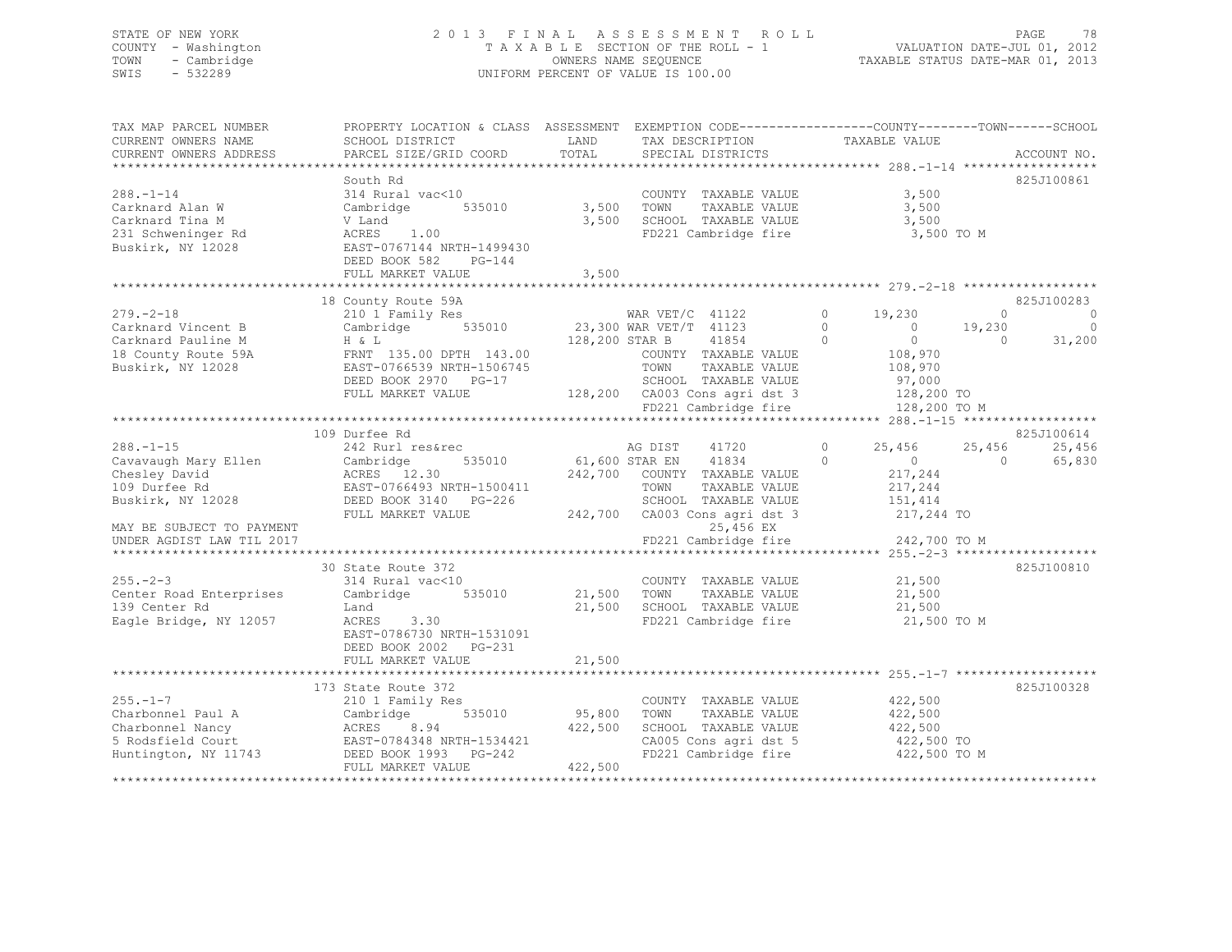## STATE OF NEW YORK 2 0 1 3 F I N A L A S S E S S M E N T R O L L PAGE 78 COUNTY - Washington T A X A B L E SECTION OF THE ROLL - 1 VALUATION DATE-JUL 01, 2012 TOWN - Cambridge OWNERS NAME SEQUENCE TAXABLE STATUS DATE-MAR 01, 2013 UNIFORM PERCENT OF VALUE IS 100.00

| TAX MAP PARCEL NUMBER<br>CURRENT OWNERS NAME                                         | PROPERTY LOCATION & CLASS ASSESSMENT EXEMPTION CODE-----------------COUNTY-------TOWN------SCHOOL<br>SCHOOL DISTRICT                      | LAND              | TAX DESCRIPTION                                                                                                              | TAXABLE VALUE                                                                                                                        |                                |
|--------------------------------------------------------------------------------------|-------------------------------------------------------------------------------------------------------------------------------------------|-------------------|------------------------------------------------------------------------------------------------------------------------------|--------------------------------------------------------------------------------------------------------------------------------------|--------------------------------|
| CURRENT OWNERS ADDRESS                                                               | PARCEL SIZE/GRID COORD                                                                                                                    | TOTAL             | SPECIAL DISTRICTS                                                                                                            |                                                                                                                                      | ACCOUNT NO.                    |
|                                                                                      | South Rd                                                                                                                                  |                   |                                                                                                                              |                                                                                                                                      | 825J100861                     |
| $288. -1 - 14$<br>Carknard Alan W<br>Carknard Tina M                                 | 314 Rural vac<10<br>Cambridge 535010<br>V Land                                                                                            | 3,500             | COUNTY TAXABLE VALUE<br>TOWN<br>TAXABLE VALUE<br>3,500 SCHOOL TAXABLE VALUE<br>FD221 Cambridge fire                          | 3,500<br>3,500<br>3,500<br>3,500 TO M                                                                                                |                                |
|                                                                                      | DEED BOOK 582<br>PG-144<br>FULL MARKET VALUE                                                                                              | 3,500             |                                                                                                                              |                                                                                                                                      |                                |
|                                                                                      |                                                                                                                                           |                   |                                                                                                                              |                                                                                                                                      | 825J100283                     |
| $279. - 2 - 18$<br>Carknard Vincent B<br>Carknard Pauline M<br>18 County Route 59A   | 18 County Route 59A<br>210 1 Family Res<br>535010<br>Cambridge<br>H & L<br>FRNT 135.00 DPTH 143.00                                        |                   | WAR VET/C 41122<br>23,300 WAR VET/T 41123<br>41854<br>128,200 STAR B<br>COUNTY TAXABLE VALUE                                 | $0 \t 19,230$<br>$\bigcirc$<br>$\overline{0}$<br>$\overline{0}$<br>19,230<br>$\overline{0}$<br>$\Omega$<br>$\overline{0}$<br>108,970 | 0<br>$\circ$<br>31,200         |
| Buskirk, NY 12028                                                                    | EAST-0766539 NRTH-1506745<br>DEED BOOK 2970 PG-17<br>FULL MARKET VALUE                                                                    |                   | TOWN<br>TAXABLE VALUE<br>SCHOOL TAXABLE VALUE<br>128,200 CA003 Cons agri dst 3 128,200 TO<br>FD221 Cambridge fire 128,200 TO | 108,970<br>97,000<br>128,200 TO M                                                                                                    |                                |
|                                                                                      |                                                                                                                                           |                   |                                                                                                                              |                                                                                                                                      |                                |
| $288. - 1 - 15$<br>Cavavaugh Mary Ellen<br>Chesley David                             | 109 Durfee Rd<br>242 Rurl res&rec<br>535010<br>Cambridge                                                                                  |                   | AG DIST<br>41720<br>61,600 STAR EN<br>41834<br>242,700 COUNTY TAXABLE VALUE                                                  | 25,456<br>25,456<br>$\circ$<br>$\Omega$<br>$\overline{0}$<br>$\overline{0}$<br>217,244                                               | 825J100614<br>25,456<br>65,830 |
| 109 Durfee Rd<br>Buskirk, NY 12028                                                   | ACRES 12.30<br>EAST-0766493 NRTH-1500411<br>DEED BOOK 3140 PG-226<br>FULL MARKET VALUE                                                    |                   | TOWN<br>TAXABLE VALUE<br>SCHOOL TAXABLE VALUE<br>242,700 CA003 Cons agri dst 3                                               | 217,244<br>151,414<br>217,244 TO                                                                                                     |                                |
| MAY BE SUBJECT TO PAYMENT<br>UNDER AGDIST LAW TIL 2017                               |                                                                                                                                           |                   | 25,456 EX<br>FD221 Cambridge fire                                                                                            | 242,700 TO M                                                                                                                         |                                |
|                                                                                      |                                                                                                                                           |                   |                                                                                                                              |                                                                                                                                      |                                |
| $255. - 2 - 3$<br>Center Road Enterprises<br>139 Center Rd<br>Eagle Bridge, NY 12057 | 30 State Route 372<br>314 Rural vac<10<br>Cambridge 535010<br>Land<br>ACRES<br>3.30<br>EAST-0786730 NRTH-1531091<br>DEED BOOK 2002 PG-231 |                   | COUNTY<br>21,500 TOWN<br>COUNTY TAXABLE VALUE<br>TAXABLE VALUE<br>21,500 SCHOOL TAXABLE VALUE<br>FD221 Cambridge fire        | 21,500<br>21,500<br>21,500<br>21,500 TO M                                                                                            | 825J100810                     |
|                                                                                      | FULL MARKET VALUE                                                                                                                         | 21,500            |                                                                                                                              |                                                                                                                                      |                                |
|                                                                                      | 173 State Route 372                                                                                                                       |                   |                                                                                                                              |                                                                                                                                      | 825J100328                     |
| $255. - 1 - 7$<br>Charbonnel Paul A<br>Charbonnel Nancy                              | 210 1 Family Res<br>535010<br>Cambridge<br>ACRES 8.94                                                                                     | 95,800<br>422,500 | COUNTY TAXABLE VALUE<br>TAXABLE VALUE<br>TOWN<br>SCHOOL TAXABLE VALUE                                                        | 422,500<br>422,500<br>422,500                                                                                                        |                                |
|                                                                                      | 5 Rodsfield Court<br>5 Rodsfield Court<br>Huntington, NY 11743<br>DEED BOOK 1993 PG-242<br>FULL MARKET VALUE                              | 422,500           | CA005 Cons agri dst 5<br>FD221 Cambridge fire                                                                                | 422,500 TO<br>422,500 TO M                                                                                                           |                                |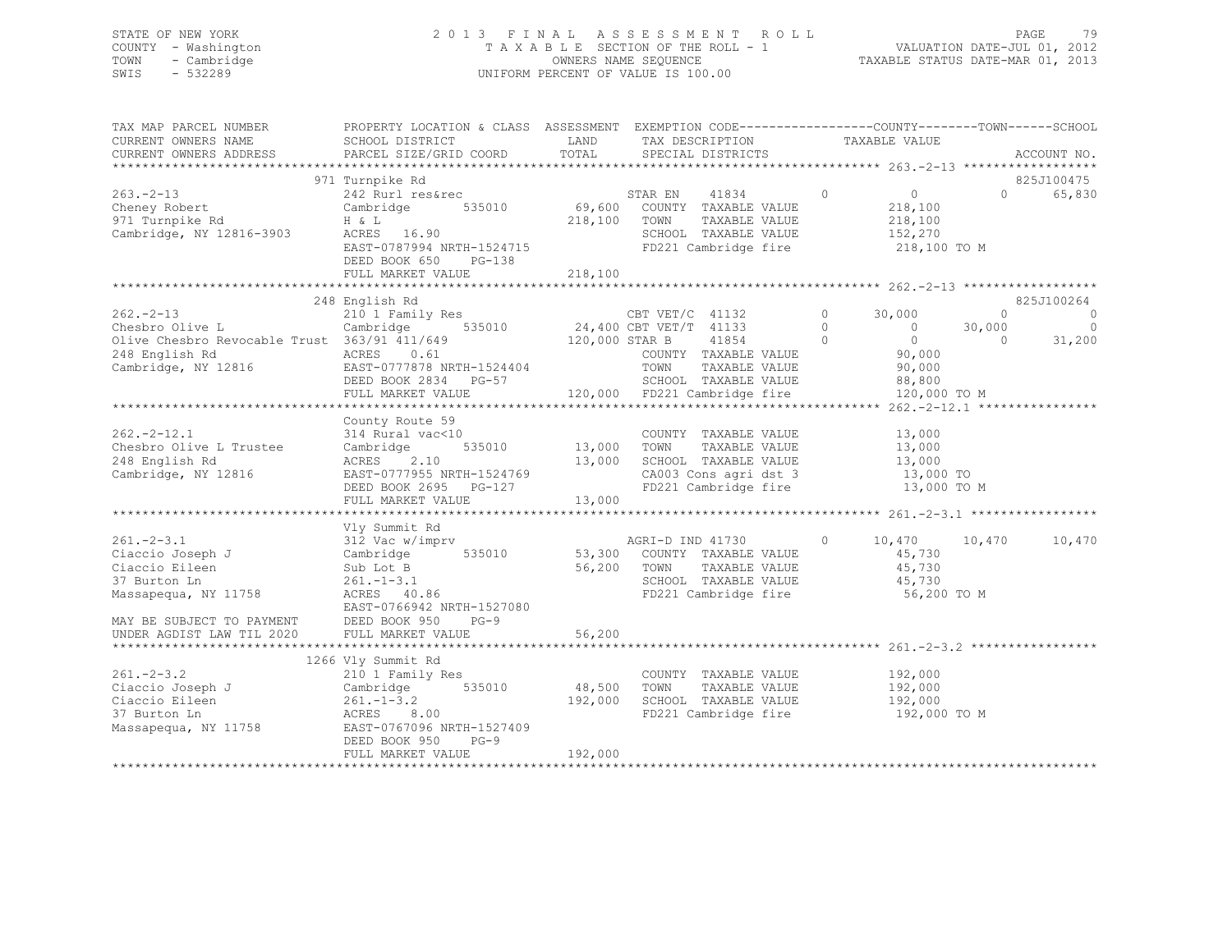## STATE OF NEW YORK 2 0 1 3 F I N A L A S S E S S M E N T R O L L PAGE 79 COUNTY - Washington T A X A B L E SECTION OF THE ROLL - 1 VALUATION DATE-JUL 01, 2012 TOWN - Cambridge OWNERS NAME SEQUENCE TAXABLE STATUS DATE-MAR 01, 2013 SWIS - 532289 UNIFORM PERCENT OF VALUE IS 100.00

| TAX MAP PARCEL NUMBER<br>CURRENT OWNERS NAME                                                                                              | PROPERTY LOCATION & CLASS ASSESSMENT EXEMPTION CODE----------------COUNTY-------TOWN------SCHOOL<br>SCHOOL DISTRICT                                       | LAND                            | TAX DESCRIPTION                                                                                                                                                            |                                | TAXABLE VALUE                                                                  |                                 |                                     |
|-------------------------------------------------------------------------------------------------------------------------------------------|-----------------------------------------------------------------------------------------------------------------------------------------------------------|---------------------------------|----------------------------------------------------------------------------------------------------------------------------------------------------------------------------|--------------------------------|--------------------------------------------------------------------------------|---------------------------------|-------------------------------------|
| CURRENT OWNERS ADDRESS                                                                                                                    | PARCEL SIZE/GRID COORD                                                                                                                                    | TOTAL                           | SPECIAL DISTRICTS                                                                                                                                                          |                                |                                                                                |                                 | ACCOUNT NO.                         |
|                                                                                                                                           | 971 Turnpike Rd                                                                                                                                           |                                 |                                                                                                                                                                            |                                |                                                                                |                                 | 825J100475                          |
| $263 - 2 - 13$<br>Cheney Robert<br>971 Turnpike Rd<br>Cambridge, NY 12816-3903                                                            | 242 Rurl res&rec<br>535010<br>Cambridge<br>H & L<br>ACRES 16.90<br>EAST-0787994 NRTH-1524715<br>DEED BOOK 650<br>PG-138<br>FULL MARKET VALUE              | 218,100                         | STAR EN 41834<br>69,600 COUNTY TAXABLE VALUE<br>218,100 TOWN<br>TAXABLE VALUE<br>SCHOOL TAXABLE VALUE<br>FD221 Cambridge fire                                              | $\overline{0}$                 | $\overline{0}$<br>218,100<br>218,100<br>152,270<br>218,100 TO M                | $\Omega$                        | 65,830                              |
|                                                                                                                                           | 248 English Rd                                                                                                                                            |                                 |                                                                                                                                                                            |                                |                                                                                |                                 | 825J100264                          |
| $262 - 2 - 13$<br>Chesbro Olive L<br>Olive Chesbro Revocable Trust 363/91 411/649<br>248 English Rd<br>Cambridge, NY 12816                | 210 1 Family Res<br>Cambridge 535010<br>ACRES 0.61<br>EAST-0777878 NRTH-1524404<br>DEED BOOK 2834 PG-57<br>FULL MARKET VALUE                              |                                 | CBT VET/C 41132<br>24,400 CBT VET/T 41133<br>120,000 STAR B 41854<br>COUNTY TAXABLE VALUE<br>TOWN<br>TAXABLE VALUE<br>SCHOOL TAXABLE VALUE<br>120,000 FD221 Cambridge fire | $\circ$<br>$\circ$<br>$\Omega$ | 30,000<br>$\sim$ 0<br>$\bigcirc$<br>90,000<br>90,000<br>88,800<br>120,000 TO M | $\circ$<br>30,000<br>$\bigcirc$ | $\circ$<br>$\overline{0}$<br>31,200 |
|                                                                                                                                           |                                                                                                                                                           |                                 |                                                                                                                                                                            |                                |                                                                                |                                 |                                     |
| $262 - 2 - 12.1$<br>Chesbro Olive L Trustee<br>248 English Rd<br>Cambridge, NY 12816                                                      | County Route 59<br>314 Rural vac<10<br>535010<br>Cambridge<br>ACRES<br>2.10<br>EAST-0777955 NRTH-1524769<br>DEED BOOK 2695 PG-127<br>FULL MARKET VALUE    | 13,000 TOWN<br>13,000<br>13,000 | COUNTY TAXABLE VALUE<br>TAXABLE VALUE<br>SCHOOL TAXABLE VALUE<br>CA003 Cons agri dst 3<br>FD221 Cambridge fire                                                             |                                | 13,000<br>13,000<br>13,000<br>13,000 TO<br>13,000 TO M                         |                                 |                                     |
|                                                                                                                                           | Vly Summit Rd                                                                                                                                             |                                 |                                                                                                                                                                            |                                |                                                                                |                                 |                                     |
| $261. - 2 - 3.1$<br>Ciaccio Joseph J<br>Ciaccio Eileen<br>37 Burton Ln<br>Massapequa, NY 11758<br>MAY BE SUBJECT TO PAYMENT DEED BOOK 950 | 312 Vac w/imprv<br>535010<br>Cambridge<br>Sub Lot B<br>$261. - 1 - 3.1$<br>ACRES 40.86<br>EAST-0766942 NRTH-1527080<br>$PG-9$                             | 56,200                          | AGRI-D IND 41730<br>53,300 COUNTY TAXABLE VALUE<br>TOWN<br>TAXABLE VALUE<br>SCHOOL TAXABLE VALUE<br>FD221 Cambridge fire                                                   | $\circ$                        | 10,470 10,470<br>45,730<br>45,730<br>45,730<br>56,200 TO M                     |                                 | 10,470                              |
| UNDER AGDIST LAW TIL 2020                                                                                                                 | FULL MARKET VALUE                                                                                                                                         | 56,200                          |                                                                                                                                                                            |                                |                                                                                |                                 |                                     |
| **********************<br>$261 - 2 - 3.2$                                                                                                 | 1266 Vly Summit Rd                                                                                                                                        |                                 |                                                                                                                                                                            |                                | 192,000                                                                        |                                 |                                     |
| Ciaccio Joseph J<br>Ciaccio Eileen<br>37 Burton Ln<br>Massapequa, NY 11758                                                                | 210 1 Family Res<br>Cambridge<br>535010<br>$261. - 1 - 3.2$<br>ACRES<br>8.00<br>EAST-0767096 NRTH-1527409<br>DEED BOOK 950<br>$PG-9$<br>FULL MARKET VALUE | 48,500<br>192,000<br>192,000    | COUNTY TAXABLE VALUE<br>TOWN<br>TAXABLE VALUE<br>SCHOOL TAXABLE VALUE<br>FD221 Cambridge fire                                                                              |                                | 192,000<br>192,000<br>192,000 TO M                                             |                                 |                                     |
|                                                                                                                                           |                                                                                                                                                           |                                 | **********************************                                                                                                                                         |                                |                                                                                |                                 |                                     |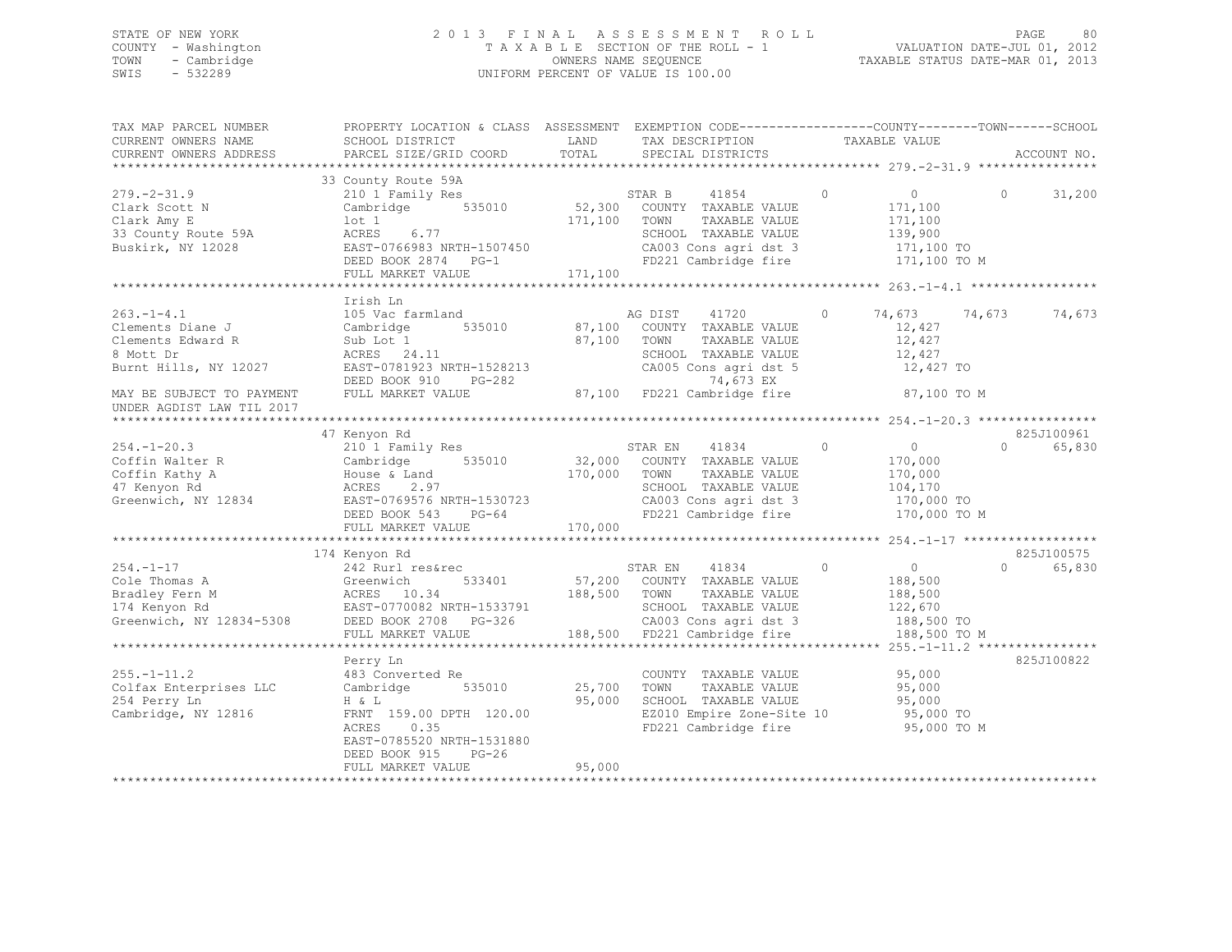## STATE OF NEW YORK 2 0 1 3 F I N A L A S S E S S M E N T R O L L PAGE 80 COUNTY - Washington T A X A B L E SECTION OF THE ROLL - 1 VALUATION DATE-JUL 01, 2012 TOWN - Cambridge OWNERS NAME SEQUENCE TAXABLE STATUS DATE-MAR 01, 2013 SWIS - 532289 UNIFORM PERCENT OF VALUE IS 100.00

| TAX MAP PARCEL NUMBER<br>CURRENT OWNERS NAME<br>CURRENT OWNERS ADDRESS                                                                                   | PROPERTY LOCATION & CLASS ASSESSMENT<br>SCHOOL DISTRICT<br>PARCEL SIZE/GRID COORD                                                                                 | LAND<br>TOTAL      | EXEMPTION CODE-----------------COUNTY-------TOWN------SCHOOL<br>TAX DESCRIPTION<br>SPECIAL DISTRICTS                                                                       | TAXABLE VALUE                                                                   | ACCOUNT NO.                                                    |
|----------------------------------------------------------------------------------------------------------------------------------------------------------|-------------------------------------------------------------------------------------------------------------------------------------------------------------------|--------------------|----------------------------------------------------------------------------------------------------------------------------------------------------------------------------|---------------------------------------------------------------------------------|----------------------------------------------------------------|
|                                                                                                                                                          |                                                                                                                                                                   |                    |                                                                                                                                                                            |                                                                                 |                                                                |
| $279. - 2 - 31.9$<br>Clark Scott N<br>Clark Amy E<br>33 County Route 59A<br>Buskirk, NY 12028                                                            | 33 County Route 59A<br>210 1 Family Res<br>Cambridge 535010<br>lot 1<br>6.77<br>ACRES<br>EAST-0766983 NRTH-1507450<br>DEED BOOK 2874 PG-1<br>FULL MARKET VALUE    | 171,100<br>171,100 | 41854<br>STAR B<br>52,300 COUNTY TAXABLE VALUE<br>TOWN<br>TAXABLE VALUE<br>SCHOOL TAXABLE VALUE<br>CA003 Cons agri dst 3<br>FD221 Cambridge fire                           | $\circledcirc$<br>$\overline{0}$<br>171,100<br>171,100<br>139,900<br>171,100 TO | $\Omega$<br>31,200<br>171,100 TO M                             |
|                                                                                                                                                          |                                                                                                                                                                   |                    |                                                                                                                                                                            |                                                                                 |                                                                |
| $263. -1 - 4.1$<br>Clements Diane J<br>Clements Edward R<br>8 Mott Dr<br>Burnt Hills, NY 12027<br>MAY BE SUBJECT TO PAYMENT<br>UNDER AGDIST LAW TIL 2017 | Irish Ln<br>105 Vac farmland<br>535010<br>Cambridge<br>Sub Lot 1<br>ACRES 24.11<br>EAST-0781923 NRTH-1528213<br>DEED BOOK 910 PG-282<br>FULL MARKET VALUE         | 87,100<br>87,100   | AG DIST<br>41720<br>COUNTY TAXABLE VALUE<br>TOWN<br>TAXABLE VALUE<br>SCHOOL TAXABLE VALUE<br>CA005 Cons agri dst 5<br>74,673 EX<br>87,100 FD221 Cambridge fire 87,100 TO M | 74,673<br>$\circ$<br>12,427<br>12,427<br>12,427                                 | 74,673<br>74,673<br>12,427 TO                                  |
|                                                                                                                                                          |                                                                                                                                                                   |                    |                                                                                                                                                                            |                                                                                 |                                                                |
| $254. - 1 - 20.3$<br>Coffin Walter R<br>Coffin Kathy A<br>47 Kenyon Rd<br>Greenwich, NY 12834                                                            | 47 Kenyon Rd<br>210 1 Family Res<br>Cambridge 535010<br>House & Land<br>2.97<br>ACRES<br>EAST-0769576 NRTH-1530723<br>DEED BOOK 543 PG-64<br>FULL MARKET VALUE    | 170,000<br>170,000 | STAR EN<br>41834<br>32,000 COUNTY TAXABLE VALUE<br>TOWN<br>TAXABLE VALUE<br>SCHOOL TAXABLE VALUE<br>CA003 Cons agri dst 3<br>FD221 Cambridge fire                          | $\circ$<br>$\overline{0}$<br>170,000<br>170,000<br>104,170                      | 825J100961<br>$\Omega$<br>65,830<br>170,000 TO<br>170,000 TO M |
|                                                                                                                                                          | 174 Kenyon Rd                                                                                                                                                     |                    |                                                                                                                                                                            |                                                                                 | 825J100575                                                     |
| $254. - 1 - 17$<br>Cole Thomas A<br>Bradley Fern M<br>174 Kenyon Rd<br>Greenwich, NY 12834-5308                                                          | 242 Rurl res&rec<br>533401<br>Greenwich<br>ACRES 10.34<br>EAST-0770082 NRTH-1533791<br>DEED BOOK 2708 PG-326                                                      | 188,500 TOWN       | STAR EN 41834<br>57,200 COUNTY TAXABLE VALUE<br>TAXABLE VALUE<br>SCHOOL TAXABLE VALUE<br>CA003 Cons agri dst 3                                                             | $\circ$<br>$\overline{0}$<br>188,500<br>188,500<br>122,670<br>188,500 TO        | $\Omega$<br>65,830                                             |
|                                                                                                                                                          | FULL MARKET VALUE                                                                                                                                                 |                    | 188,500 FD221 Cambridge fire                                                                                                                                               |                                                                                 | 188,500 TO M                                                   |
| $255. - 1 - 11.2$<br>Colfax Enterprises LLC<br>254 Perry Ln<br>Cambridge, NY 12816                                                                       | Perry Ln<br>483 Converted Re<br>535010<br>Cambridge<br>H & L<br>FRNT 159.00 DPTH 120.00<br>ACRES<br>0.35<br>EAST-0785520 NRTH-1531880<br>DEED BOOK 915<br>$PG-26$ | 25,700<br>95,000   | COUNTY TAXABLE VALUE<br>TAXABLE VALUE<br>TOWN<br>SCHOOL TAXABLE VALUE<br>EZ010 Empire Zone-Site 10<br>FD221 Cambridge fire                                                 | 95,000<br>95,000<br>95,000<br>95,000 TO                                         | 825J100822<br>95,000 TO M                                      |
|                                                                                                                                                          | FULL MARKET VALUE                                                                                                                                                 | 95,000             | ******************************                                                                                                                                             |                                                                                 |                                                                |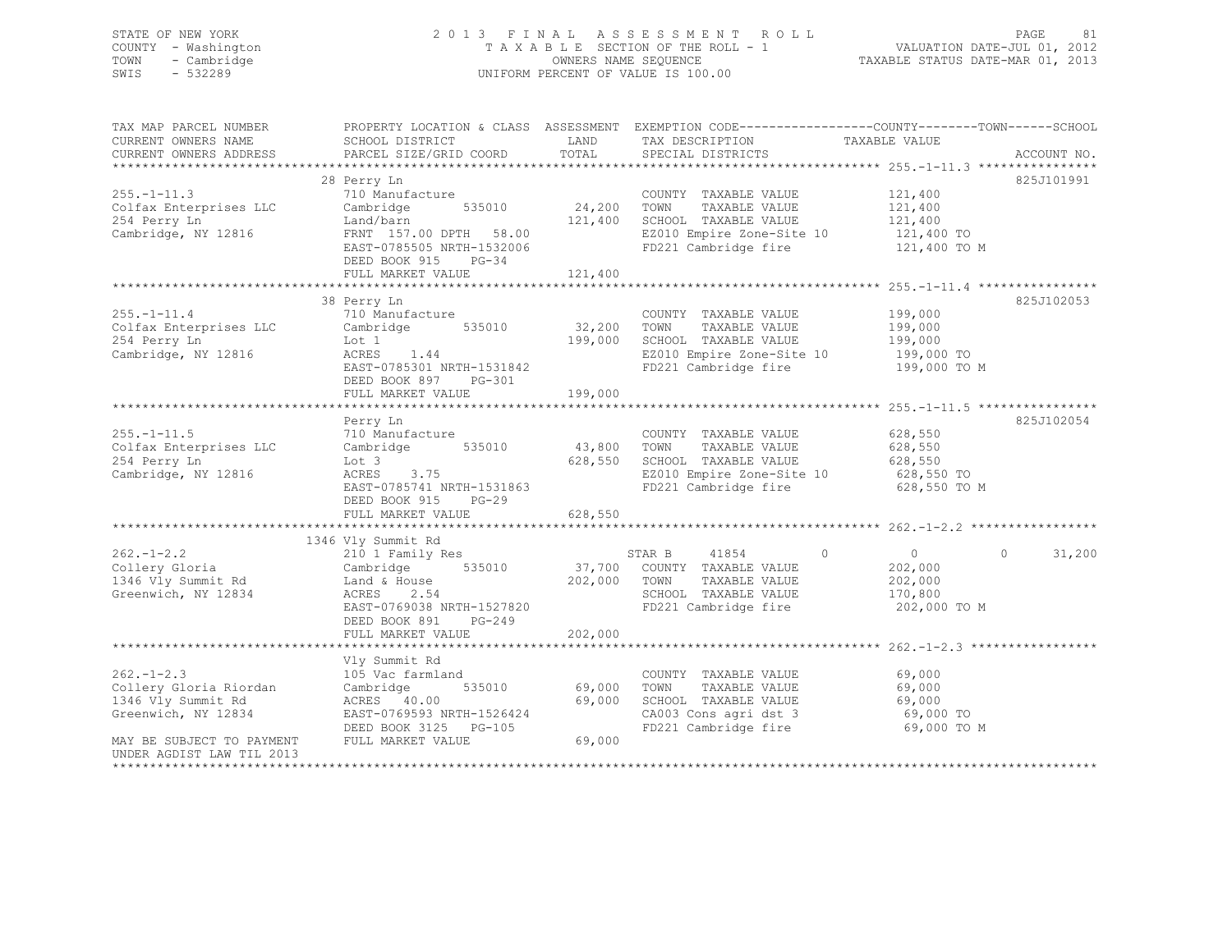# STATE OF NEW YORK 2 0 1 3 F I N A L A S S E S S M E N T R O L L PAGE 81 COUNTY - Washington  $T A X A B L E$  SECTION OF THE ROLL - 1<br>TOWN - Cambridge and the computation of the COUNERS NAME SEQUENCE TOWN - Cambridge OWNERS NAME SEQUENCE TAXABLE STATUS DATE-MAR 01, 2013 UNIFORM PERCENT OF VALUE IS 100.00

| TAX MAP PARCEL NUMBER<br>CURRENT OWNERS NAME<br>CURRENT OWNERS ADDRESS                 | SCHOOL DISTRICT<br>PARCEL SIZE/GRID COORD                                                                                                                                                              | LAND<br>TOTAL                | TAX DESCRIPTION<br>SPECIAL DISTRICTS                                                                                       | PROPERTY LOCATION & CLASS ASSESSMENT EXEMPTION CODE---------------COUNTY-------TOWN------SCHOOL<br>TAXABLE VALUE<br>ACCOUNT NO. |
|----------------------------------------------------------------------------------------|--------------------------------------------------------------------------------------------------------------------------------------------------------------------------------------------------------|------------------------------|----------------------------------------------------------------------------------------------------------------------------|---------------------------------------------------------------------------------------------------------------------------------|
| $255. - 1 - 11.3$<br>Colfax Enterprises LLC<br>254 Perry Ln<br>Cambridge, NY 12816     | 28 Perry Ln<br>710 Manufacture<br>Cambridge<br>535010<br>Land/barn<br>FRNT 157.00 DPTH 58.00<br>EAST-0785505 NRTH-1532006<br>DEED BOOK 915 PG-34<br>FULL MARKET VALUE<br>***************************** | 24,200<br>121,400<br>121,400 | COUNTY TAXABLE VALUE<br>TAXABLE VALUE<br>TOWN<br>SCHOOL TAXABLE VALUE<br>EZ010 Empire Zone-Site 10<br>FD221 Cambridge fire | 825J101991<br>121,400<br>121,400<br>121,400<br>121,400 TO<br>121,400 TO M                                                       |
|                                                                                        | 38 Perry Ln                                                                                                                                                                                            |                              |                                                                                                                            | 825J102053                                                                                                                      |
| $255. - 1 - 11.4$<br>Colfax Enterprises LLC<br>254 Perry Ln<br>Cambridge, NY 12816     | 710 Manufacture<br>Cambridge<br>535010<br>Lot 1<br>ACRES<br>1.44<br>EAST-0785301 NRTH-1531842<br>DEED BOOK 897<br>PG-301<br>FULL MARKET VALUE                                                          | 32,200<br>199,000<br>199,000 | COUNTY TAXABLE VALUE<br>TOWN<br>TAXABLE VALUE<br>SCHOOL TAXABLE VALUE<br>EZ010 Empire Zone-Site 10<br>FD221 Cambridge fire | 199,000<br>199,000<br>199,000<br>199,000 TO<br>199,000 TO M                                                                     |
|                                                                                        |                                                                                                                                                                                                        |                              |                                                                                                                            |                                                                                                                                 |
| $255. - 1 - 11.5$<br>Colfax Enterprises LLC<br>254 Perry Ln<br>Cambridge, NY 12816     | Perry Ln<br>710 Manufacture<br>535010<br>Cambridge<br>Lot 3<br>ACRES 3.75<br>EAST-0785741 NRTH-1531863<br>DEED BOOK 915<br>$PG-29$                                                                     | 43,800<br>628,550            | COUNTY TAXABLE VALUE<br>TOWN<br>TAXABLE VALUE<br>SCHOOL TAXABLE VALUE<br>EZ010 Empire Zone-Site 10<br>FD221 Cambridge fire | 825J102054<br>628,550<br>628,550<br>628,550<br>628,550 TO<br>628,550 TO M                                                       |
|                                                                                        | FULL MARKET VALUE                                                                                                                                                                                      | 628,550                      |                                                                                                                            |                                                                                                                                 |
|                                                                                        | 1346 Vly Summit Rd                                                                                                                                                                                     |                              |                                                                                                                            |                                                                                                                                 |
| $262 - 1 - 2.2$<br>Collery Gloria<br>1346 Vly Summit Rd<br>Greenwich, NY 12834         | 210 1 Family Res<br>535010<br>Cambridge<br>Land & House<br>ACRES<br>2.54<br>EAST-0769038 NRTH-1527820<br>DEED BOOK 891<br>PG-249                                                                       | 37,700<br>202,000            | 41854<br>STAR B<br>COUNTY TAXABLE VALUE<br>TOWN<br>TAXABLE VALUE<br>SCHOOL TAXABLE VALUE<br>FD221 Cambridge fire           | $\Omega$<br>$\overline{0}$<br>31,200<br>$\Omega$<br>202,000<br>202,000<br>170,800<br>202,000 TO M                               |
|                                                                                        | FULL MARKET VALUE                                                                                                                                                                                      | 202,000                      |                                                                                                                            |                                                                                                                                 |
|                                                                                        | Vly Summit Rd                                                                                                                                                                                          |                              |                                                                                                                            |                                                                                                                                 |
| $262 - 1 - 2.3$<br>Collery Gloria Riordan<br>1346 Vly Summit Rd<br>Greenwich, NY 12834 | 105 Vac farmland<br>Cambridge<br>535010<br>ACRES 40.00<br>EAST-0769593 NRTH-1526424<br>DEED BOOK 3125 PG-105                                                                                           | 69,000<br>69,000             | COUNTY TAXABLE VALUE<br>TOWN<br>TAXABLE VALUE<br>SCHOOL TAXABLE VALUE<br>CA003 Cons agri dst 3<br>FD221 Cambridge fire     | 69,000<br>69,000<br>69,000<br>69,000 TO<br>69,000 TO M                                                                          |
| MAY BE SUBJECT TO PAYMENT<br>UNDER AGDIST LAW TIL 2013                                 | FULL MARKET VALUE                                                                                                                                                                                      | 69,000                       |                                                                                                                            |                                                                                                                                 |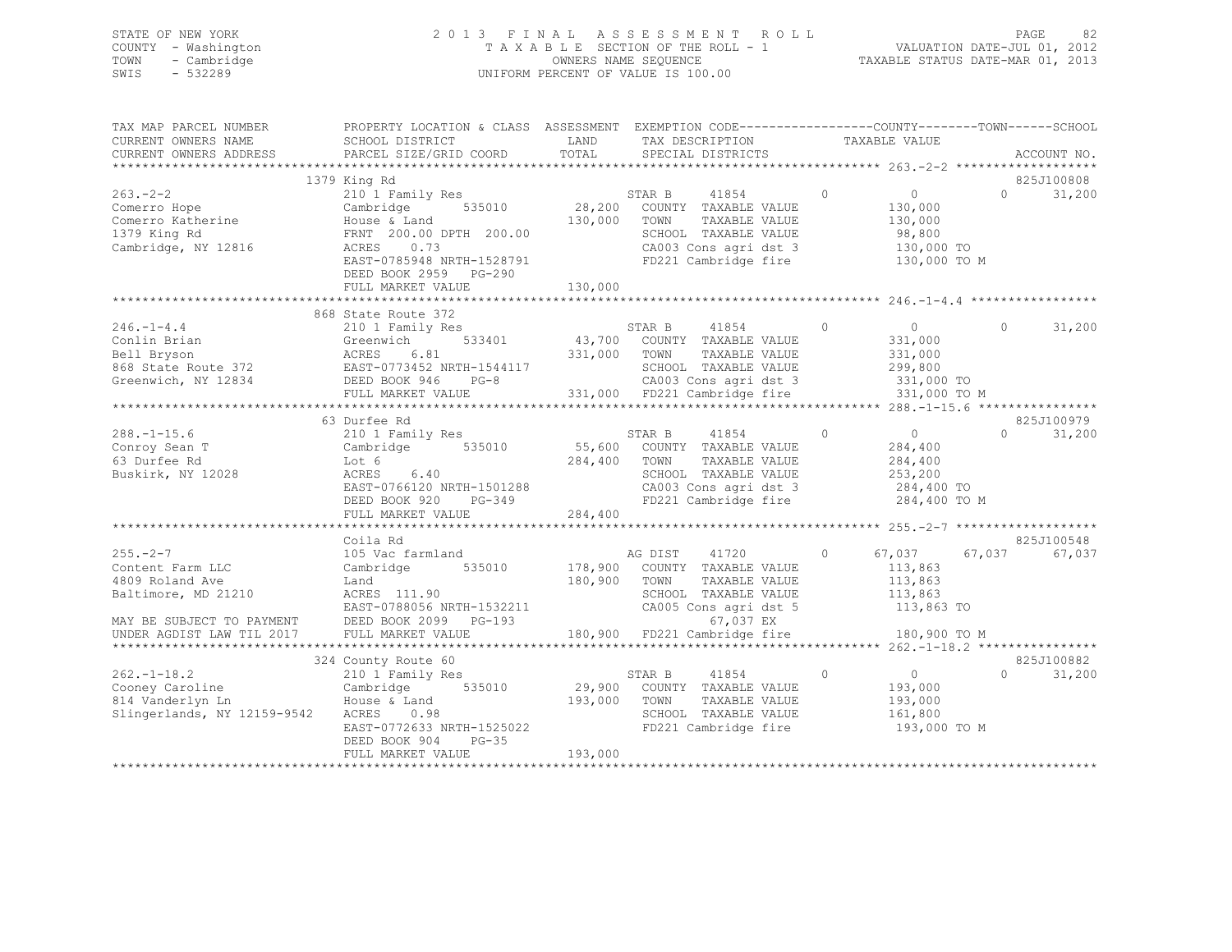## STATE OF NEW YORK 2 0 1 3 F I N A L A S S E S S M E N T R O L L PAGE 82 COUNTY - Washington T A X A B L E SECTION OF THE ROLL - 1 VALUATION DATE-JUL 01, 2012 TOWN - Cambridge OWNERS NAME SEQUENCE TAXABLE STATUS DATE-MAR 01, 2013 SWIS - 532289 UNIFORM PERCENT OF VALUE IS 100.00

| TAX MAP PARCEL NUMBER<br>CURRENT OWNERS NAME                                                                                    | PROPERTY LOCATION & CLASS ASSESSMENT EXEMPTION CODE-----------------COUNTY-------TOWN------SCHOOL<br>SCHOOL DISTRICT                                                        | LAND               | TAX DESCRIPTION                                                                                                                                               | TAXABLE VALUE                                                                            |                                  |
|---------------------------------------------------------------------------------------------------------------------------------|-----------------------------------------------------------------------------------------------------------------------------------------------------------------------------|--------------------|---------------------------------------------------------------------------------------------------------------------------------------------------------------|------------------------------------------------------------------------------------------|----------------------------------|
| CURRENT OWNERS ADDRESS                                                                                                          | PARCEL SIZE/GRID COORD                                                                                                                                                      | TOTAL              | SPECIAL DISTRICTS                                                                                                                                             |                                                                                          | ACCOUNT NO.                      |
|                                                                                                                                 | 1379 King Rd                                                                                                                                                                |                    |                                                                                                                                                               |                                                                                          | 825J100808                       |
| $263 - 2 - 2$<br>Comerro Hope<br>Comerro Katherine<br>1379 King Rd<br>Cambridge, NY 12816                                       | 210 1 Family Res<br>535010<br>Cambridge<br>House & Land<br>FRNT 200.00 DPTH 200.00<br>ACRES 0.73<br>EAST-0785948 NRTH-1528791<br>DEED BOOK 2959 PG-290<br>FULL MARKET VALUE | 130,000<br>130,000 | STAR B<br>41854<br>28,200 COUNTY TAXABLE VALUE<br>TOWN<br>TAXABLE VALUE<br>SCHOOL TAXABLE VALUE<br>CA003 Cons agri dst 3<br>FD221 Cambridge fire 130,000 TO M | $\circ$<br>$\overline{0}$<br>130,000<br>130,000<br>98,800<br>130,000 TO                  | 31,200<br>$\Omega$               |
|                                                                                                                                 |                                                                                                                                                                             |                    |                                                                                                                                                               |                                                                                          |                                  |
| $246. - 1 - 4.4$<br>Conlin Brian<br>Greenwich, NY 12834                                                                         | 868 State Route 372<br>210 1 Family Res<br>DEED BOOK 946<br>$PG-8$<br>FULL MARKET VALUE                                                                                     | 331,000 TOWN       | STAR B<br>41854<br>533401 43,700 COUNTY TAXABLE VALUE<br>TAXABLE VALUE<br>SCHOOL TAXABLE VALUE<br>CA003 Cons agri dst 3<br>331,000 FD221 Cambridge fire       | $\circ$<br>$\overline{0}$<br>331,000<br>331,000<br>299,800<br>331,000 TO<br>331,000 TO M | $\Omega$<br>31,200               |
|                                                                                                                                 |                                                                                                                                                                             |                    |                                                                                                                                                               |                                                                                          |                                  |
| $288. - 1 - 15.6$<br>Conroy Sean T<br>63 Durfee Rd<br>Buskirk, NY 12028                                                         | 63 Durfee Rd<br>210 1 Family Res<br>Cambridge 535010<br>Lot 6<br>ACRES 6.40<br>EAST-0766120 NRTH-1501288<br>DEED BOOK 920 PG-349                                            | 284,400 TOWN       | STAR B 41004<br>55,600 COUNTY TAXABLE VALUE<br>TAXABLE VALUE<br>SCHOOL TAXABLE VALUE<br>CA003 Cons agri dst 3<br>FD221 Cambridge fire                         | $\circ$<br>$\overline{0}$<br>284,400<br>284,400<br>253,200<br>284,400 TO<br>284,400 TO M | 825J100979<br>$\Omega$<br>31,200 |
|                                                                                                                                 | FULL MARKET VALUE                                                                                                                                                           | 284,400            |                                                                                                                                                               |                                                                                          |                                  |
| $255. - 2 - 7$<br>Content Farm LLC<br>4809 Roland Ave<br>Baltimore, MD 21210<br>MAY BE SUBJECT TO PAYMENT DEED BOOK 2099 PG-193 | Coila Rd<br>105 Vac farmland<br>Cambridge 535010<br>Land<br>ACRES 111.90<br>EAST-0788056 NRTH-1532211                                                                       | 180,900 TOWN       | AG DIST<br>41720<br>178,900 COUNTY TAXABLE VALUE<br>TAXABLE VALUE<br>SCHOOL TAXABLE VALUE<br>CA005 Cons agri dst 5<br>67,037 EX                               | 67,037<br>$\circ$<br>113,863<br>113,863<br>113,863<br>113,863 TO                         | 825J100548<br>67,037<br>67,037   |
|                                                                                                                                 | 324 County Route 60                                                                                                                                                         |                    |                                                                                                                                                               |                                                                                          | 825J100882                       |
| $262. -1 - 18.2$<br>Cooney Caroline Cambridge<br>814 Vanderlyn In Mouse & La<br>814 Vanderlyn Ln<br>Slingerlands, NY 12159-9542 | 210 1 Family Res<br>535010<br>House & Land<br>ACRES<br>0.98<br>EAST-0772633 NRTH-1525022<br>DEED BOOK 904<br>PG-35<br>FULL MARKET VALUE                                     | 193,000<br>193,000 | STAR B<br>41854<br>29,900 COUNTY TAXABLE VALUE<br>TOWN<br>TAXABLE VALUE<br>SCHOOL TAXABLE VALUE<br>FD221 Cambridge fire                                       | $\circ$<br>$\overline{0}$<br>193,000<br>193,000<br>161,800<br>193,000 TO M               | $\Omega$<br>31,200               |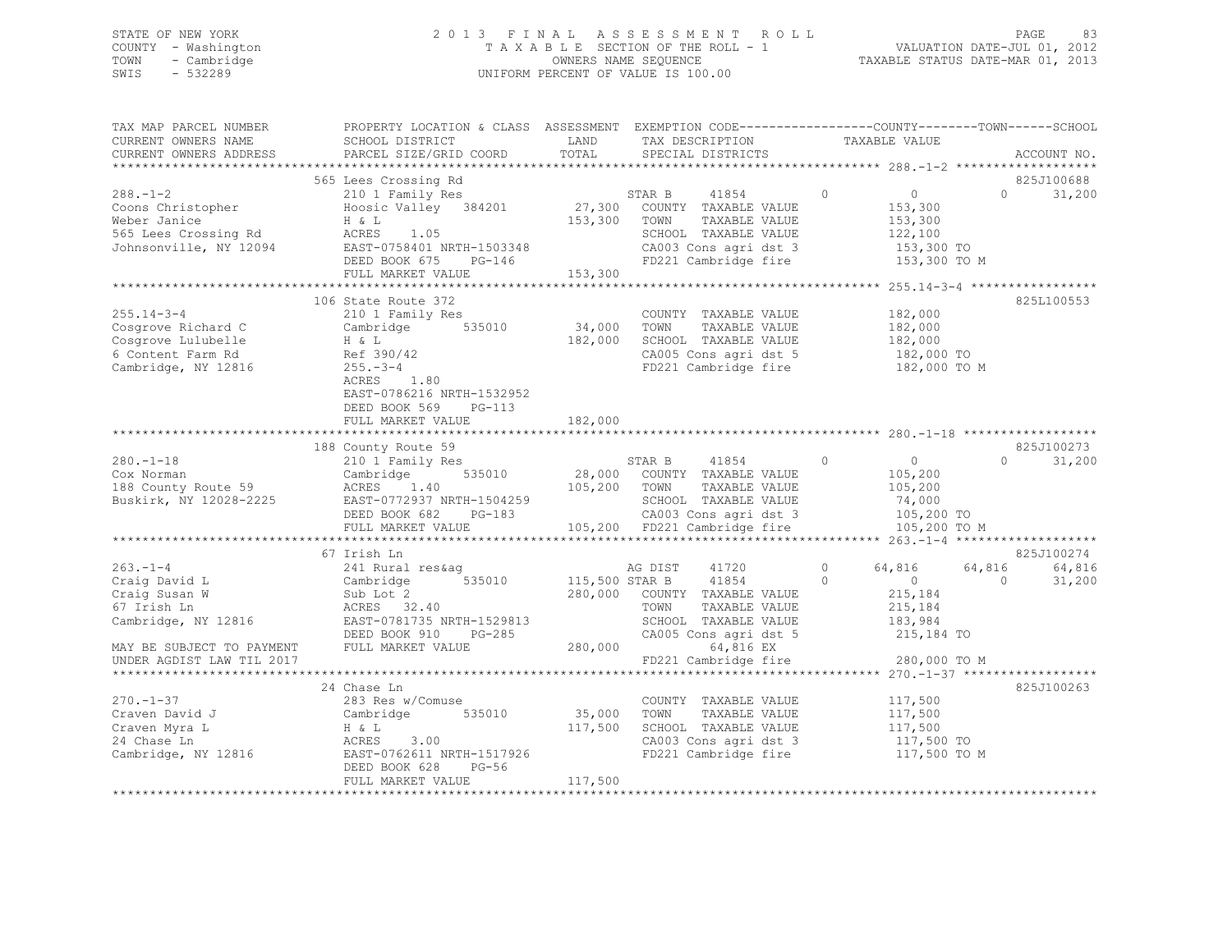## STATE OF NEW YORK 2 0 1 3 F I N A L A S S E S S M E N T R O L L PAGE 83 COUNTY - Washington T A X A B L E SECTION OF THE ROLL - 1 VALUATION DATE-JUL 01, 2012 TOWN - Cambridge OWNERS NAME SEQUENCE TAXABLE STATUS DATE-MAR 01, 2013 SWIS - 532289 UNIFORM PERCENT OF VALUE IS 100.00

| TAX MAP PARCEL NUMBER<br>CURRENT OWNERS NAME<br>CURRENT OWNERS ADDRESS                                             | PROPERTY LOCATION & CLASS ASSESSMENT EXEMPTION CODE----------------COUNTY-------TOWN-----SCHOOL<br>SCHOOL DISTRICT<br>PARCEL SIZE/GRID COORD                                   | LAND<br>TOTAL                        | TAX DESCRIPTION<br>SPECIAL DISTRICTS                                                                                                             | TAXABLE VALUE                                                                                              | ACCOUNT NO.                            |
|--------------------------------------------------------------------------------------------------------------------|--------------------------------------------------------------------------------------------------------------------------------------------------------------------------------|--------------------------------------|--------------------------------------------------------------------------------------------------------------------------------------------------|------------------------------------------------------------------------------------------------------------|----------------------------------------|
|                                                                                                                    |                                                                                                                                                                                |                                      |                                                                                                                                                  |                                                                                                            |                                        |
| $288. - 1 - 2$<br>Coons Christopher<br>Weber Janice<br>565 Lees Crossing Rd<br>Johnsonville, NY 12094              | 565 Lees Crossing Rd<br>210 1 Family Res<br>Hoosic Valley 384201<br>H & L<br>ACRES 1.05<br>EAST-0758401 NRTH-1503348<br>DEED BOOK 675 PG-146                                   | 153,300                              | STAR B<br>41854<br>27,300 COUNTY TAXABLE VALUE<br>TAXABLE VALUE<br>TOWN<br>SCHOOL TAXABLE VALUE<br>CA003 Cons agri dst 3<br>FD221 Cambridge fire | $\circ$<br>$\overline{0}$<br>153,300<br>153,300<br>122,100<br>153,300 TO<br>153,300 TO M                   | 825J100688<br>31,200<br>$\Omega$       |
|                                                                                                                    | FULL MARKET VALUE                                                                                                                                                              | 153,300                              |                                                                                                                                                  |                                                                                                            |                                        |
| $255.14 - 3 - 4$<br>Cosgrove Richard C<br>Cosgrove Lulubelle<br>6 Content Farm Rd<br>Cambridge, NY 12816           | 106 State Route 372<br>210 1 Family Res<br>535010<br>Cambridge<br>H & L<br>Ref 390/42<br>$255 - 3 - 4$<br>ACRES 1.80<br>EAST-0786216 NRTH-1532952<br>DEED BOOK 569<br>$PG-113$ | 34,000<br>182,000                    | COUNTY TAXABLE VALUE<br>TOWN<br>TAXABLE VALUE<br>SCHOOL TAXABLE VALUE<br>CA005 Cons agri dst 5<br>FD221 Cambridge fire                           | ************** 255.14-3-4 *****************<br>182,000<br>182,000<br>182,000<br>182,000 TO<br>182,000 TO M | 825L100553                             |
|                                                                                                                    | FULL MARKET VALUE                                                                                                                                                              | 182,000                              |                                                                                                                                                  |                                                                                                            |                                        |
| $280. - 1 - 18$<br>Cox Norman<br>188 County Route 59<br>Buskirk, NY 12028-2225                                     | 188 County Route 59<br>210 1 Family Res<br>535010<br>Cambridge<br>ACRES 1.40<br>EAST-0772937 NRTH-1504259<br>DEED BOOK 682<br>$PG-183$<br>FULL MARKET VALUE                    | 105,200 TOWN                         | STAR B<br>41854<br>28,000 COUNTY TAXABLE VALUE<br>TAXABLE VALUE<br>SCHOOL TAXABLE VALUE<br>CA003 Cons agri dst 3<br>105,200 FD221 Cambridge fire | $\circ$<br>$\overline{0}$<br>105,200<br>105,200<br>74,000<br>105,200 TO<br>105,200 TO M                    | 825J100273<br>31,200<br>$\cap$         |
|                                                                                                                    | 67 Irish Ln                                                                                                                                                                    |                                      |                                                                                                                                                  |                                                                                                            | 825J100274                             |
| $263 - 1 - 4$<br>Craig David L<br>Craig Susan W<br>67 Irish Ln<br>Cambridge, NY 12816<br>MAY BE SUBJECT TO PAYMENT | 241 Rural res&aq<br>535010<br>Cambridge<br>Sub Lot 2<br>ACRES 32.40<br>EAST-0781735 NRTH-1529813<br>DEED BOOK 910<br>PG-285<br>FULL MARKET VALUE                               | 115,500 STAR B<br>280,000<br>280,000 | AG DIST<br>41720<br>41854<br>COUNTY TAXABLE VALUE<br>TAXABLE VALUE<br>TOWN<br>SCHOOL TAXABLE VALUE<br>CA005 Cons agri dst 5<br>64,816 EX         | $\circ$<br>64,816<br>$\Omega$<br>$\overline{0}$<br>215,184<br>215,184<br>183,984<br>215,184 TO             | 64,816<br>64,816<br>31,200<br>$\Omega$ |
| UNDER AGDIST LAW TIL 2017                                                                                          |                                                                                                                                                                                |                                      | FD221 Cambridge fire                                                                                                                             | 280,000 TO M                                                                                               |                                        |
| $270. - 1 - 37$<br>Craven David J<br>Craven Myra L<br>24 Chase Ln                                                  | 24 Chase Ln<br>283 Res w/Comuse<br>Cambridge 535010<br>H & L<br>3.00<br>ACRES<br>Cambridge, NY 12816 EAST-0762611 NRTH-1517926<br>$PG-56$<br>DEED BOOK 628                     | 35,000<br>117,500                    | COUNTY TAXABLE VALUE<br>TOWN<br>TAXABLE VALUE<br>SCHOOL TAXABLE VALUE<br>CA003 Cons agri dst 3<br>FD221 Cambridge fire                           | 117,500<br>117,500<br>117,500<br>117,500 TO<br>117,500 TO M                                                | 825J100263                             |
|                                                                                                                    | FULL MARKET VALUE                                                                                                                                                              | 117,500                              |                                                                                                                                                  |                                                                                                            |                                        |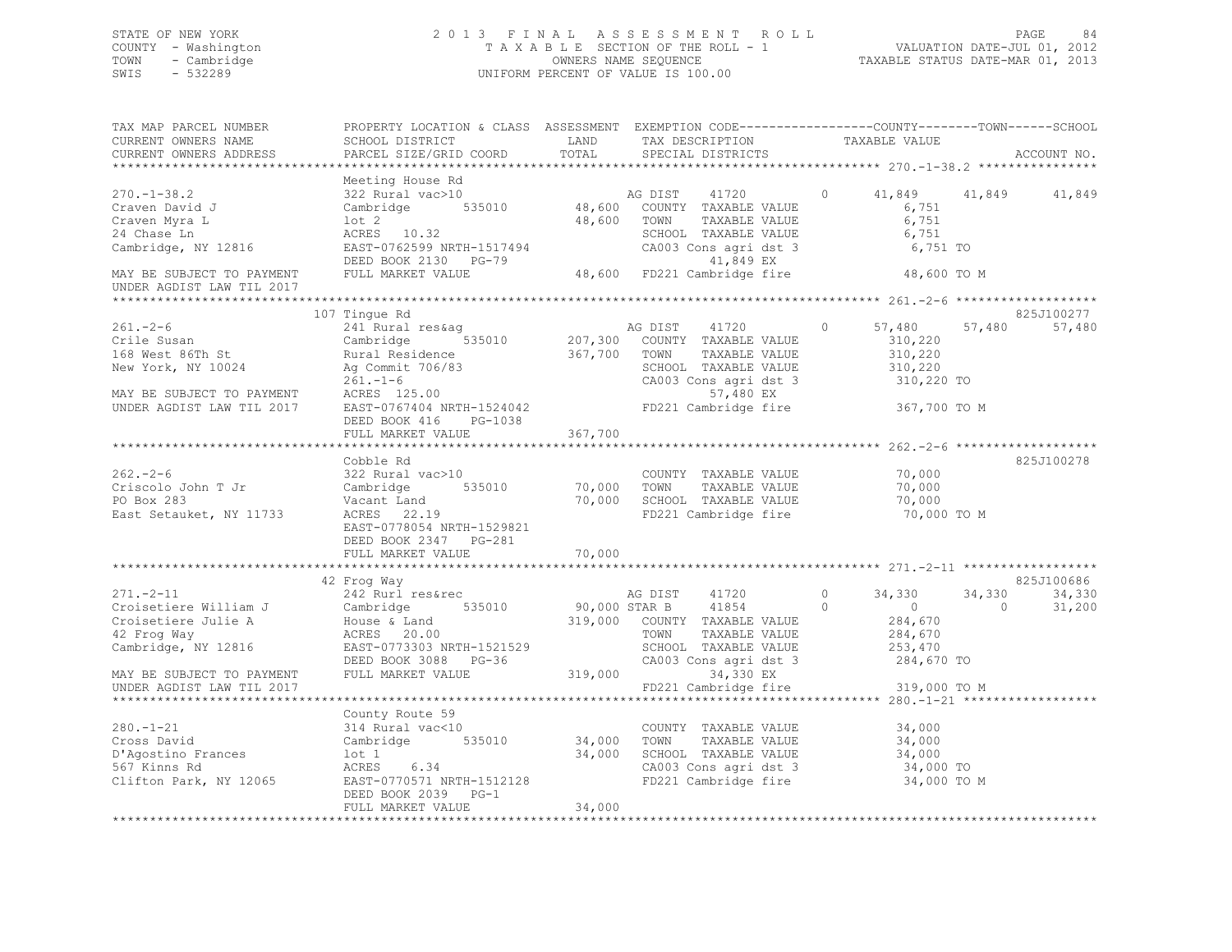## STATE OF NEW YORK 2 0 1 3 F I N A L A S S E S S M E N T R O L L PAGE 84 COUNTY - Washington T A X A B L E SECTION OF THE ROLL - 1 VALUATION DATE-JUL 01, 2012 TOWN - Cambridge OWNERS NAME SEQUENCE TAXABLE STATUS DATE-MAR 01, 2013 SWIS - 532289 UNIFORM PERCENT OF VALUE IS 100.00

| TAX MAP PARCEL NUMBER<br>CURRENT OWNERS NAME                                                                                                              | PROPERTY LOCATION & CLASS ASSESSMENT EXEMPTION CODE----------------COUNTY-------TOWN------SCHOOL<br>SCHOOL DISTRICT                                                 | LAND<br>TOTAL           | TAX DESCRIPTION                                                                                                                                                    | TAXABLE VALUE                                                                    |                                                     |
|-----------------------------------------------------------------------------------------------------------------------------------------------------------|---------------------------------------------------------------------------------------------------------------------------------------------------------------------|-------------------------|--------------------------------------------------------------------------------------------------------------------------------------------------------------------|----------------------------------------------------------------------------------|-----------------------------------------------------|
| CURRENT OWNERS ADDRESS                                                                                                                                    | PARCEL SIZE/GRID COORD                                                                                                                                              |                         | SPECIAL DISTRICTS                                                                                                                                                  |                                                                                  | ACCOUNT NO.                                         |
| $270. - 1 - 38.2$<br>Craven David J<br>Craven Myra L<br>24 Chase Ln<br>Cambridge, NY 12816                                                                | Meeting House Rd<br>$322$ Rural vac $>10$<br>Cambridge 535010<br>$1$ ot $2$<br>ACRES 10.32<br>EAST-0762599 NRTH-1517494                                             | 48,600 TOWN             | AG DIST<br>41720<br>48,600 COUNTY TAXABLE VALUE<br>TAXABLE VALUE<br>SCHOOL TAXABLE VALUE<br>CA003 Cons agri dst 3                                                  | $\circ$<br>6,751<br>6,751<br>6,751<br>6,751 TO                                   | 41,849 41,849<br>41,849                             |
| MAY BE SUBJECT TO PAYMENT<br>UNDER AGDIST LAW TIL 2017                                                                                                    | DEED BOOK 2130 PG-79<br>FULL MARKET VALUE                                                                                                                           |                         | 41,849 EX<br>48,600 FD221 Cambridge fire                                                                                                                           | 48,600 TO M                                                                      |                                                     |
|                                                                                                                                                           | 107 Tinque Rd                                                                                                                                                       |                         |                                                                                                                                                                    |                                                                                  | 825J100277                                          |
| $261 - 2 - 6$<br>Crile Susan<br>168 West 86Th St<br>New York, NY 10024<br>MAY BE SUBJECT TO PAYMENT<br>UNDER AGDIST LAW TIL 2017                          | 241 Rural res&ag<br>535010<br>Cambridge<br>Rural Residence<br>Ag Commit 706/83<br>261.-1-6<br>ACRES 125.00<br>EAST-0767404 NRTH-1524042<br>DEED BOOK 416<br>PG-1038 | 367,700                 | 41720<br>AG DIST<br>207,300 COUNTY TAXABLE VALUE<br>TOWN<br>TAXABLE VALUE<br>SCHOOL TAXABLE VALUE<br>CA003 Cons agri dst 3<br>57,480 EX<br>FD221 Cambridge fire    | $\circ$<br>57,480<br>310,220<br>310,220<br>310,220<br>310,220 TO<br>367,700 TO M | 57,480<br>57,480                                    |
|                                                                                                                                                           | FULL MARKET VALUE                                                                                                                                                   | 367,700                 |                                                                                                                                                                    |                                                                                  |                                                     |
|                                                                                                                                                           | **********************<br>Cobble Rd                                                                                                                                 | * * * * * * * * * * * * |                                                                                                                                                                    |                                                                                  | 825J100278                                          |
| $262 - 2 - 6$<br>Criscolo John T Jr<br>PO Box 283<br>East Setauket, NY 11733                                                                              | 322 Rural vac>10<br>Cambridge<br>535010<br>Vacant Land<br>ACRES 22.19<br>EAST-0778054 NRTH-1529821<br>DEED BOOK 2347 PG-281                                         | 70,000 TOWN<br>70,000   | COUNTY TAXABLE VALUE<br>TAXABLE VALUE<br>SCHOOL TAXABLE VALUE<br>FD221 Cambridge fire                                                                              | 70,000<br>70,000<br>70,000<br>70,000 TO M                                        |                                                     |
|                                                                                                                                                           | FULL MARKET VALUE                                                                                                                                                   | 70,000                  |                                                                                                                                                                    |                                                                                  |                                                     |
| $271 - 2 - 11$                                                                                                                                            | 42 Froq Way<br>242 Rurl res&rec                                                                                                                                     |                         | 41720<br>AG DIST                                                                                                                                                   | $\circ$<br>34,330<br>$\circ$<br>$\overline{0}$                                   | 825J100686<br>34,330<br>34,330<br>$\circ$<br>31,200 |
| Croisetiere William J Cambridge 535010<br>Croisetiere Julie A House & Land<br>42 Frog Way ACRES 20.00<br>Cambridge, NY 12816<br>MAY BE SUBJECT TO PAYMENT | EAST-0773303 NRTH-1521529<br>DEED BOOK 3088 PG-36<br>FULL MARKET VALUE                                                                                              | 319,000                 | 90,000 STAR B 41854<br>319,000 COUNTY TAXABLE VALUE<br>TOWN<br>TAXABLE VALUE<br>SCHOOL TAXABLE VALUE<br>CA003 Cons agri dst 3<br>34,330 EX<br>FD221 Cambridge fire | 284,670<br>284,670<br>253,470<br>284,670 TO                                      |                                                     |
| UNDER AGDIST LAW TIL 2017                                                                                                                                 |                                                                                                                                                                     |                         |                                                                                                                                                                    | 319,000 TO M                                                                     |                                                     |
|                                                                                                                                                           |                                                                                                                                                                     |                         |                                                                                                                                                                    |                                                                                  |                                                     |
| $280. - 1 - 21$<br>Cross David<br>D'Agostino Frances<br>567 Kinns Rd<br>Clifton Park, NY 12065                                                            | County Route 59<br>314 Rural vac<10<br>Cambridge<br>lot 1<br>6.34<br>ACRES<br>EAST-0770571 NRTH-1512128                                                             | 535010 34,000<br>34,000 | COUNTY TAXABLE VALUE<br>TOWN<br>TAXABLE VALUE<br>SCHOOL TAXABLE VALUE<br>CA003 Cons agri dst 3<br>FD221 Cambridge fire                                             | 34,000<br>34,000<br>34,000<br>34,000 TO<br>34,000 TO M                           |                                                     |
| *************************                                                                                                                                 | DEED BOOK 2039 PG-1<br>FULL MARKET VALUE                                                                                                                            | 34,000                  |                                                                                                                                                                    |                                                                                  |                                                     |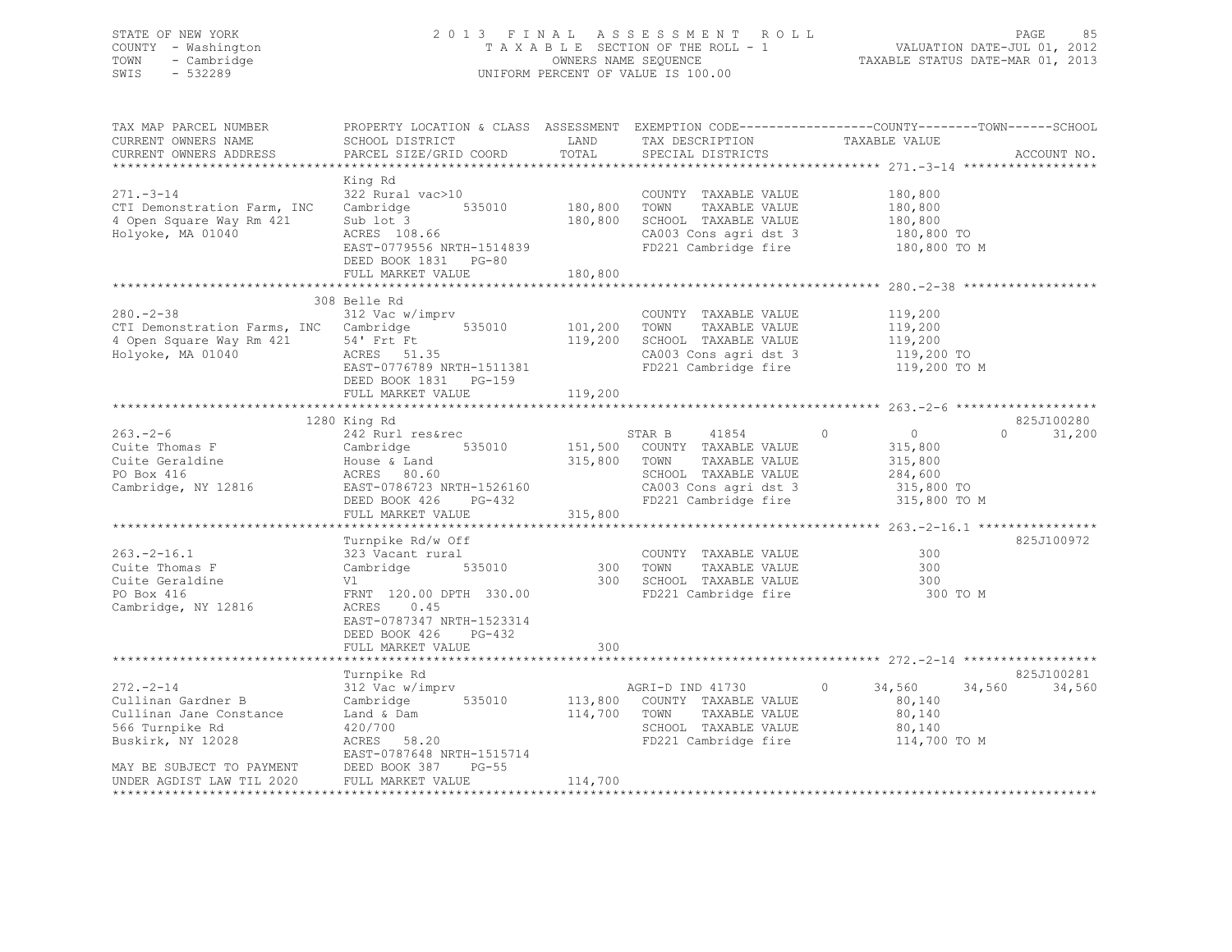## STATE OF NEW YORK 2 0 1 3 F I N A L A S S E S S M E N T R O L L PAGE 85 COUNTY - Washington T A X A B L E SECTION OF THE ROLL - 1 VALUATION DATE-JUL 01, 2012 TOWN - Cambridge OWNERS NAME SEQUENCE TAXABLE STATUS DATE-MAR 01, 2013 SWIS - 532289 UNIFORM PERCENT OF VALUE IS 100.00

| TAX MAP PARCEL NUMBER<br>CURRENT OWNERS NAME<br>CURRENT OWNERS ADDRESS                                                               | PROPERTY LOCATION & CLASS ASSESSMENT EXEMPTION CODE----------------COUNTY-------TOWN-----SCHOOL<br>SCHOOL DISTRICT<br>PARCEL SIZE/GRID COORD                             | LAND<br>TOTAL                 | TAX DESCRIPTION<br>SPECIAL DISTRICTS                                                                                                      | TAXABLE VALUE                                                                            | ACCOUNT NO.                    |
|--------------------------------------------------------------------------------------------------------------------------------------|--------------------------------------------------------------------------------------------------------------------------------------------------------------------------|-------------------------------|-------------------------------------------------------------------------------------------------------------------------------------------|------------------------------------------------------------------------------------------|--------------------------------|
| $271 - 3 - 14$<br>CTI Demonstration Farm, INC<br>4 Open Square Way Rm 421<br>Holyoke, MA 01040                                       | King Rd<br>322 Rural vac>10<br>535010<br>Cambridge<br>Sub lot 3<br>ACRES 108.66<br>EAST-0779556 NRTH-1514839<br>DEED BOOK 1831 PG-80<br>FULL MARKET VALUE                | 180,800<br>180,800<br>180,800 | COUNTY TAXABLE VALUE<br>TOWN<br>TAXABLE VALUE<br>SCHOOL TAXABLE VALUE<br>CA003 Cons agri dst 3<br>FD221 Cambridge fire                    | 180,800<br>180,800<br>180,800<br>180,800 TO<br>180,800 TO M                              |                                |
|                                                                                                                                      |                                                                                                                                                                          |                               |                                                                                                                                           |                                                                                          |                                |
| $280 - 2 - 38$<br>CTI Demonstration Farms, INC Cambridge<br>4 Open Square Way Rm 421<br>Holyoke, MA 01040                            | 308 Belle Rd<br>312 Vac w/imprv<br>54' Frt Ft<br>ACRES 51.35<br>EAST-0776789 NRTH-1511381<br>DEED BOOK 1831 PG-159                                                       | 535010 101,200<br>119,200     | COUNTY TAXABLE VALUE<br>TOWN<br>TAXABLE VALUE<br>SCHOOL TAXABLE VALUE<br>CA003 Cons agri dst 3<br>FD221 Cambridge fire                    | 119,200<br>119,200<br>119,200<br>119,200 TO<br>119,200 TO M                              |                                |
|                                                                                                                                      | FULL MARKET VALUE                                                                                                                                                        | 119,200                       |                                                                                                                                           |                                                                                          |                                |
|                                                                                                                                      | 1280 King Rd                                                                                                                                                             |                               |                                                                                                                                           |                                                                                          | 825J100280                     |
| $263 - 2 - 6$<br>Cuite Thomas F<br>Cuite Geraldine<br>PO Box 416<br>Cambridge, NY 12816                                              | 242 Rurl res&rec<br>Cambridge<br>535010<br>House & Land<br>ACRES 80.60<br>EAST-0786723 NRTH-1526160<br>DEED BOOK 426<br>PG-432<br>FULL MARKET VALUE                      | 315,800 TOWN<br>315,800       | STAR B<br>41854<br>151,500 COUNTY TAXABLE VALUE<br>TAXABLE VALUE<br>SCHOOL TAXABLE VALUE<br>CA003 Cons agri dst 3<br>FD221 Cambridge fire | $\circ$<br>$\overline{0}$<br>315,800<br>315,800<br>284,600<br>315,800 TO<br>315,800 TO M | $\Omega$<br>31,200             |
|                                                                                                                                      |                                                                                                                                                                          |                               |                                                                                                                                           |                                                                                          |                                |
| $263. -2 - 16.1$<br>Cuite Thomas F<br>Cuite Geraldine<br>PO Box 416<br>Cambridge, NY 12816                                           | Turnpike Rd/w Off<br>323 Vacant rural<br>Cambridge<br>535010<br>Vl<br>FRNT 120.00 DPTH 330.00<br>ACRES<br>0.45<br>EAST-0787347 NRTH-1523314<br>DEED BOOK 426<br>$PG-432$ | 300<br>300                    | COUNTY TAXABLE VALUE<br>TOWN<br>TAXABLE VALUE<br>SCHOOL TAXABLE VALUE<br>FD221 Cambridge fire                                             | 300<br>300<br>300<br>300 TO M                                                            | 825J100972                     |
|                                                                                                                                      | FULL MARKET VALUE                                                                                                                                                        | 300                           |                                                                                                                                           |                                                                                          |                                |
|                                                                                                                                      |                                                                                                                                                                          |                               |                                                                                                                                           |                                                                                          |                                |
| $272 - 2 - 14$<br>Cullinan Gardner B<br>Cullinan Jane Constance<br>566 Turnpike Rd<br>Buskirk, NY 12028<br>MAY BE SUBJECT TO PAYMENT | Turnpike Rd<br>312 Vac w/imprv<br>Cambridge<br>535010<br>Land & Dam<br>420/700<br>ACRES 58.20<br>EAST-0787648 NRTH-1515714<br>DEED BOOK 387<br>$PG-55$                   |                               | AGRI-D IND 41730<br>113,800 COUNTY TAXABLE VALUE<br>114,700 TOWN<br>TAXABLE VALUE<br>SCHOOL TAXABLE VALUE<br>FD221 Cambridge fire         | $\circ$<br>34,560<br>80,140<br>80,140<br>80,140<br>114,700 TO M                          | 825J100281<br>34,560<br>34,560 |
| UNDER AGDIST LAW TIL 2020                                                                                                            | FULL MARKET VALUE                                                                                                                                                        | 114,700                       |                                                                                                                                           |                                                                                          |                                |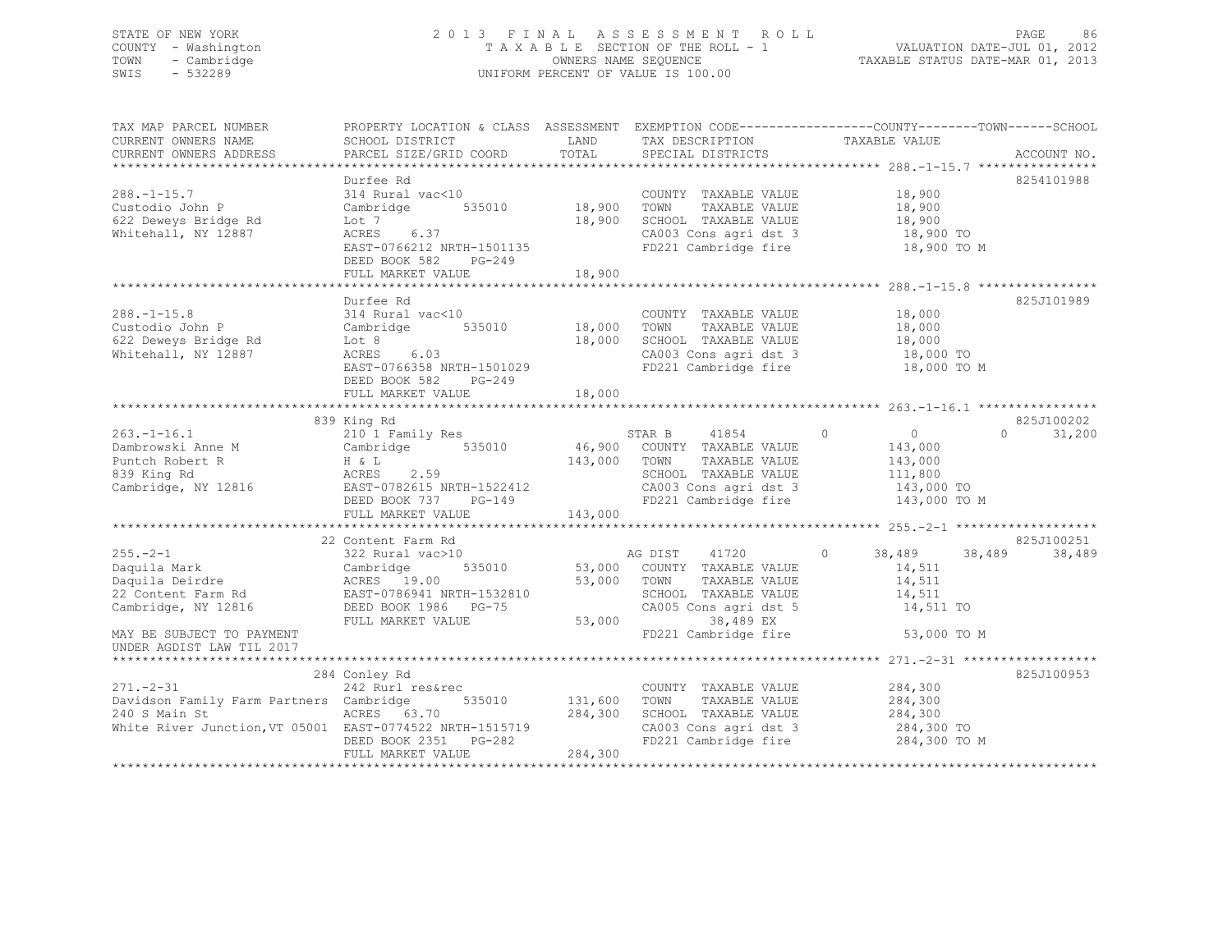## STATE OF NEW YORK 2 0 1 3 F I N A L A S S E S S M E N T R O L L PAGE 86 COUNTY - Washington T A X A B L E SECTION OF THE ROLL - 1 VALUATION DATE-JUL 01, 2012 TOWN - Cambridge OWNERS NAME SEQUENCE TAXABLE STATUS DATE-MAR 01, 2013 SWIS - 532289 UNIFORM PERCENT OF VALUE IS 100.00

| TAX MAP PARCEL NUMBER<br>CURRENT OWNERS NAME                                                                                                                     | SCHOOL DISTRICT                                                                                                                                      | LAND                      | TAX DESCRIPTION                                                                                                                                          | PROPERTY LOCATION & CLASS ASSESSMENT EXEMPTION CODE---------------COUNTY-------TOWN-----SCHOOL<br>TAXABLE VALUE |             |
|------------------------------------------------------------------------------------------------------------------------------------------------------------------|------------------------------------------------------------------------------------------------------------------------------------------------------|---------------------------|----------------------------------------------------------------------------------------------------------------------------------------------------------|-----------------------------------------------------------------------------------------------------------------|-------------|
| CURRENT OWNERS ADDRESS                                                                                                                                           | PARCEL SIZE/GRID COORD                                                                                                                               | TOTAL                     | SPECIAL DISTRICTS                                                                                                                                        |                                                                                                                 | ACCOUNT NO. |
|                                                                                                                                                                  | Durfee Rd                                                                                                                                            |                           |                                                                                                                                                          |                                                                                                                 | 8254101988  |
| $288. - 1 - 15.7$<br>Custodio John P<br>622 Deweys Bridge Rd<br>Whitehall, NY 12887                                                                              | 314 Rural vac<10<br>Cambridge<br>Lot 7<br>ACRES<br>6.37<br>EAST-0766212 NRTH-1501135                                                                 | 535010 18,900<br>18,900   | COUNTY TAXABLE VALUE<br>TOWN<br>TAXABLE VALUE<br>SCHOOL TAXABLE VALUE<br>CA003 Cons agri dst 3<br>FD221 Cambridge fire                                   | 18,900<br>18,900<br>18,900<br>18,900 TO<br>18,900 TO M                                                          |             |
|                                                                                                                                                                  | DEED BOOK 582<br>PG-249<br>FULL MARKET VALUE                                                                                                         | 18,900                    |                                                                                                                                                          |                                                                                                                 |             |
|                                                                                                                                                                  | Durfee Rd                                                                                                                                            |                           |                                                                                                                                                          |                                                                                                                 | 825J101989  |
| $288. - 1 - 15.8$<br>Custodio John P<br>622 Deweys Bridge Rd<br>Whitehall, NY 12887                                                                              | 314 Rural vac<10<br>Cambridge 535010<br>Lot 8<br>ACRES 6.03<br>EAST-0766358 NRTH-1501029<br>DEED BOOK 582<br>PG-249                                  | 18,000                    | COUNTY TAXABLE VALUE<br>18,000 TOWN<br>TAXABLE VALUE<br>SCHOOL TAXABLE VALUE<br>CA003 Cons agri dst 3<br>FD221 Cambridge fire                            | 18,000<br>18,000<br>18,000<br>18,000 TO<br>18,000 TO M                                                          |             |
|                                                                                                                                                                  | FULL MARKET VALUE                                                                                                                                    | 18,000<br>**************  |                                                                                                                                                          |                                                                                                                 |             |
|                                                                                                                                                                  | 839 King Rd                                                                                                                                          |                           |                                                                                                                                                          |                                                                                                                 | 825J100202  |
| $263.-1-16.1$<br>200. – – – – – –<br>Dambrowski Anne M<br>Puntch Robert R<br>839 King Rd<br>Cambridge, NY 12816 EAST-0782615 NRTH-1522412                        | 210 1 Family Res<br>$210 + \text{ram} + \text{at}$<br>Cambridge 535010<br>$\hfill \Box$ H $\hfill \& \Delta$<br>$ACRES$ 2.59<br>DEED BOOK 737 PG-149 | 143,000 TOWN              | $\sim$ 0<br>STAR B 41854 (1854)<br>46,900 COUNTY TAXABLE VALUE<br>TAXABLE VALUE<br>SCHOOL TAXABLE VALUE<br>CA003 Cons agri dst 3<br>FD221 Cambridge fire | $\overline{0}$<br>$\Omega$<br>143,000<br>143,000<br>111,800<br>143,000 TO<br>143,000 TO M                       | 31,200      |
|                                                                                                                                                                  | FULL MARKET VALUE                                                                                                                                    | 143,000                   |                                                                                                                                                          |                                                                                                                 |             |
|                                                                                                                                                                  | 22 Content Farm Rd                                                                                                                                   |                           |                                                                                                                                                          |                                                                                                                 | 825J100251  |
| $255. - 2 - 1$<br>Daquila Mark<br>Daquila Deirdre<br>22 Content Farm Rd<br>Cambridge, NY 12816                                                                   | 322 Rural vac>10<br>cambridge<br>ACRES 19.00<br>EAST-0786941 NRTH-1532810<br>DEED BOOK 1986 PG-75                                                    |                           | )<br>535010 53,000 COUNTY TAXABLE VALUE<br>53,000 TOWN<br>TAXABLE VALUE<br>SCHOOL TAXABLE VALUE<br>CA005 Cons agri dst 5                                 | 38,489<br>38,489<br>$\circ$<br>14,511<br>14,511<br>14,511<br>14,511 TO                                          | 38,489      |
| MAY BE SUBJECT TO PAYMENT<br>UNDER AGDIST LAW TIL 2017                                                                                                           | FULL MARKET VALUE                                                                                                                                    | 53,000                    | 38,489 EX<br>FD221 Cambridge fire                                                                                                                        | 53,000 TO M                                                                                                     |             |
|                                                                                                                                                                  |                                                                                                                                                      |                           |                                                                                                                                                          |                                                                                                                 |             |
| $271. - 2 - 31$<br>Davidson Family Farm Partners Cambridge<br>240 S Main St<br>White River Junction, VT 05001 EAST-0774522 NRTH-1515719<br>DEED BOOK 2351 PG-282 | 284 Conley Rd<br>242 Rurl res&rec<br>ACRES 63.70                                                                                                     | 535010 131,600<br>284,300 | COUNTY TAXABLE VALUE<br>TAXABLE VALUE<br>TOWN<br>SCHOOL TAXABLE VALUE<br>CA003 Cons agri dst 3<br>FD221 Cambridge fire                                   | 284,300<br>284,300<br>284,300<br>284,300 TO                                                                     | 825J100953  |
|                                                                                                                                                                  | FULL MARKET VALUE                                                                                                                                    | 284,300                   |                                                                                                                                                          | 284,300 TO M                                                                                                    |             |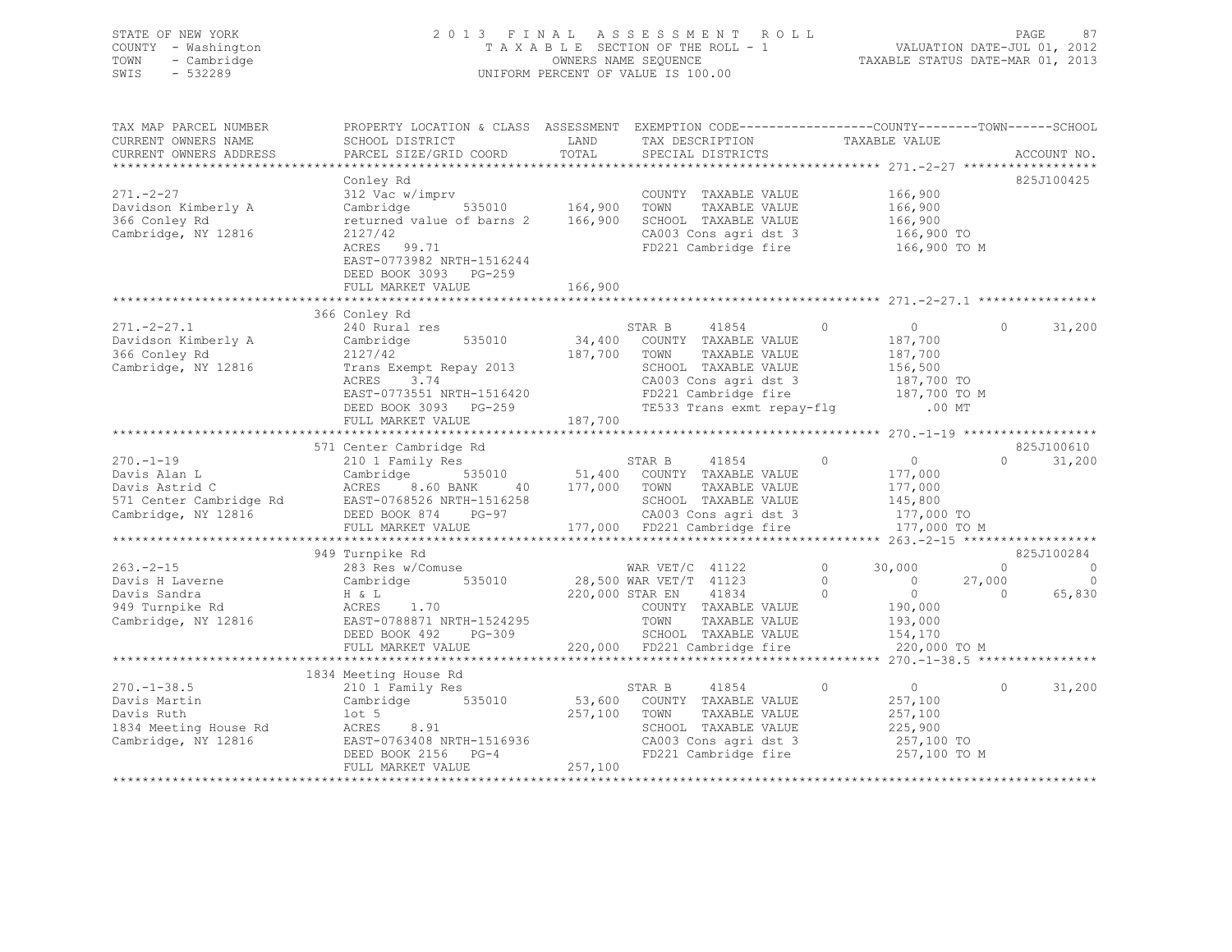## STATE OF NEW YORK 2 0 1 3 F I N A L A S S E S S M E N T R O L L PAGE 87 COUNTY - Washington T A X A B L E SECTION OF THE ROLL - 1 VALUATION DATE-JUL 01, 2012 TOWN - Cambridge OWNERS NAME SEQUENCE TAXABLE STATUS DATE-MAR 01, 2013 SWIS - 532289 UNIFORM PERCENT OF VALUE IS 100.00

| TAX MAP PARCEL NUMBER<br>CURRENT OWNERS NAME<br>CURRENT OWNERS ADDRESS | PROPERTY LOCATION & CLASS ASSESSMENT<br>SCHOOL DISTRICT<br>PARCEL SIZE/GRID COORD      | LAND<br>TOTAL | EXEMPTION CODE-----------------COUNTY-------TOWN------SCHOOL<br>TAX DESCRIPTION<br>SPECIAL DISTRICTS       | TAXABLE VALUE              | ACCOUNT NO.                              |
|------------------------------------------------------------------------|----------------------------------------------------------------------------------------|---------------|------------------------------------------------------------------------------------------------------------|----------------------------|------------------------------------------|
|                                                                        |                                                                                        |               |                                                                                                            |                            |                                          |
|                                                                        | Conley Rd                                                                              |               |                                                                                                            |                            | 825J100425                               |
| $271 - 2 - 27$                                                         | 312 Vac w/imprv                                                                        |               | COUNTY TAXABLE VALUE                                                                                       | 166,900                    |                                          |
| Davidson Kimberly A                                                    | 535010 164,900<br>Cambridge                                                            |               | TOWN<br>TAXABLE VALUE                                                                                      | 166,900                    |                                          |
| 366 Conley Rd                                                          | returned value of barns 2                                                              | 166,900       | SCHOOL TAXABLE VALUE                                                                                       | 166,900                    |                                          |
| Cambridge, NY 12816                                                    | 2127/42                                                                                |               | CA003 Cons agri dst 3                                                                                      | 166,900 TO                 |                                          |
|                                                                        | ACRES 99.71<br>EAST-0773982 NRTH-1516244<br>DEED BOOK 3093 PG-259<br>FULL MARKET VALUE | 166,900       | FD221 Cambridge fire                                                                                       |                            | 166,900 то м                             |
|                                                                        |                                                                                        |               |                                                                                                            |                            |                                          |
|                                                                        | 366 Conley Rd                                                                          |               |                                                                                                            |                            |                                          |
| $271. - 2 - 27.1$                                                      | 240 Rural res                                                                          |               | STAR B<br>41854                                                                                            | $\Omega$<br>$\overline{0}$ | $\Omega$<br>31,200                       |
| Davidson Kimberly A                                                    | Cambridge<br>535010                                                                    | 34,400        | COUNTY TAXABLE VALUE                                                                                       | 187,700                    |                                          |
| 366 Conley Rd                                                          | 2127/42                                                                                | 187,700       | TOWN<br>TAXABLE VALUE                                                                                      | 187,700                    |                                          |
| Cambridge, NY 12816                                                    | Trans Exempt Repay 2013                                                                |               | SCHOOL TAXABLE VALUE                                                                                       | 156,500                    |                                          |
|                                                                        | ACRES<br>3.74                                                                          |               |                                                                                                            |                            |                                          |
|                                                                        | EAST-0773551 NRTH-1516420                                                              |               |                                                                                                            |                            |                                          |
|                                                                        | DEED BOOK 3093 PG-259                                                                  |               | CA003 Cons agri dst 3 187,700 TO<br>FD221 Cambridge fire 187,700 TO M<br>TE533 Trans exmt repay-flg .00 MT |                            |                                          |
|                                                                        | FULL MARKET VALUE                                                                      | 187,700       |                                                                                                            |                            |                                          |
|                                                                        |                                                                                        |               |                                                                                                            |                            |                                          |
|                                                                        | 571 Center Cambridge Rd                                                                |               |                                                                                                            |                            | 825J100610                               |
| $270. - 1 - 19$                                                        | 210 1 Family Res                                                                       |               | STAR B<br>41854                                                                                            | $\circ$<br>$\overline{0}$  | $\cap$<br>31,200                         |
| Davis Alan L                                                           | Cambridge                                                                              |               | 535010 51,400 COUNTY TAXABLE VALUE                                                                         | 177,000                    |                                          |
| Davis Astrid C                                                         | ACRES<br>8.60 BANK<br>40                                                               | 177,000 TOWN  | TAXABLE VALUE                                                                                              | 177,000                    |                                          |
| 571 Center Cambridge Rd                                                | EAST-0768526 NRTH-1516258                                                              |               | SCHOOL TAXABLE VALUE                                                                                       | 145,800                    |                                          |
| Cambridge, NY 12816                                                    | DEED BOOK 874 PG-97                                                                    |               | CA003 Cons agri dst 3                                                                                      | 177,000 TO                 |                                          |
|                                                                        | FULL MARKET VALUE                                                                      |               | 177,000 FD221 Cambridge fire                                                                               |                            | 177,000 TO M                             |
|                                                                        | 949 Turnpike Rd                                                                        |               |                                                                                                            |                            | 825J100284                               |
| $263 - 2 - 15$                                                         | 283 Res w/Comuse                                                                       |               | WAR $VET/C$ 41122                                                                                          | $\circ$<br>30,000          | $\overline{0}$<br>$\overline{0}$         |
| Davis H Laverne                                                        | 535010<br>Cambridge                                                                    |               | 28,500 WAR VET/T 41123                                                                                     | $\Omega$<br>$\sim$ 0       | 27,000<br>$\circ$                        |
| Davis Sandra                                                           | H & L                                                                                  |               | 220,000 STAR EN<br>41834                                                                                   | $\Omega$<br>$\overline{0}$ | $\bigcirc$<br>65,830                     |
| 949 Turnpike Rd                                                        | ACRES<br>1.70                                                                          |               | COUNTY TAXABLE VALUE                                                                                       | 190,000                    |                                          |
| Cambridge, NY 12816                                                    | EAST-0788871 NRTH-1524295                                                              |               | TOWN<br>TAXABLE VALUE                                                                                      | 193,000                    |                                          |
|                                                                        | DEED BOOK 492<br>PG-309                                                                |               | SCHOOL TAXABLE VALUE                                                                                       | 154,170                    |                                          |
|                                                                        | FULL MARKET VALUE                                                                      |               | 220,000 FD221 Cambridge fire                                                                               |                            | 220,000 TO M                             |
|                                                                        |                                                                                        |               | ************************************                                                                       |                            | ********* 270. -1-38.5 ***************** |
|                                                                        | 1834 Meeting House Rd                                                                  |               |                                                                                                            |                            |                                          |
| $270. - 1 - 38.5$                                                      | 210 1 Family Res                                                                       |               | 41854<br>STAR B                                                                                            | $\circ$<br>$\overline{0}$  | 31,200<br>$\circ$                        |
| Davis Martin                                                           | Cambridge 535010                                                                       | 53,600        | COUNTY TAXABLE VALUE                                                                                       | 257,100                    |                                          |
| Davis Ruth                                                             | $1$ ot 5                                                                               | 257,100       | TAXABLE VALUE<br>TOWN                                                                                      | 257,100                    |                                          |
| 1834 Meeting House Rd                                                  | 8.91<br>ACRES                                                                          |               | SCHOOL TAXABLE VALUE                                                                                       | 225,900                    |                                          |
| Cambridge, NY 12816                                                    | EAST-0763408 NRTH-1516936                                                              |               | CA003 Cons agri dst 3                                                                                      | 257,100 TO                 |                                          |
|                                                                        | DEED BOOK 2156 PG-4                                                                    |               | FD221 Cambridge fire                                                                                       |                            | 257,100 TO M                             |
|                                                                        | FULL MARKET VALUE                                                                      | 257,100       |                                                                                                            |                            |                                          |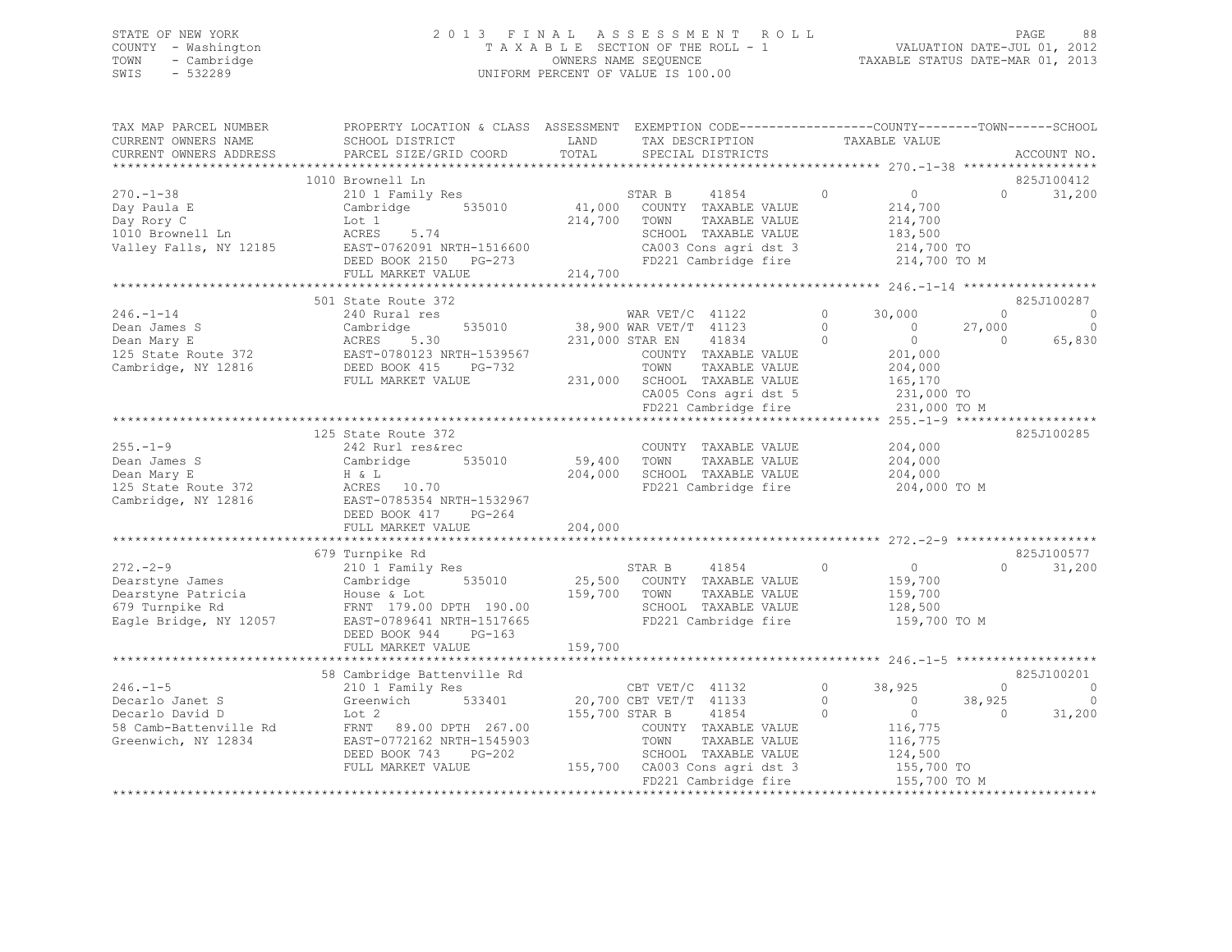## STATE OF NEW YORK 2 0 1 3 F I N A L A S S E S S M E N T R O L L PAGE 88 COUNTY - Washington T A X A B L E SECTION OF THE ROLL - 1 VALUATION DATE-JUL 01, 2012 TOWN - Cambridge OWNERS NAME SEQUENCE TAXABLE STATUS DATE-MAR 01, 2013 UNIFORM PERCENT OF VALUE IS 100.00

| TAX MAP PARCEL NUMBER<br>CURRENT OWNERS NAME<br>CURRENT OWNERS ADDRESS                       | PROPERTY LOCATION & CLASS ASSESSMENT EXEMPTION CODE---------------COUNTY-------TOWN-----SCHOOL<br>SCHOOL DISTRICT<br>PARCEL SIZE/GRID COORD  | LAND<br>TOTAL           | TAX DESCRIPTION<br>SPECIAL DISTRICTS                                                                                                                                                                    |                               | TAXABLE VALUE                                                                                             |                                  | ACCOUNT NO.            |
|----------------------------------------------------------------------------------------------|----------------------------------------------------------------------------------------------------------------------------------------------|-------------------------|---------------------------------------------------------------------------------------------------------------------------------------------------------------------------------------------------------|-------------------------------|-----------------------------------------------------------------------------------------------------------|----------------------------------|------------------------|
|                                                                                              |                                                                                                                                              |                         |                                                                                                                                                                                                         |                               |                                                                                                           |                                  |                        |
|                                                                                              | 1010 Brownell Ln                                                                                                                             |                         |                                                                                                                                                                                                         |                               |                                                                                                           |                                  | 825J100412             |
| $270. - 1 - 38$<br>Day Paula E<br>Day Rory C<br>1010 Brownell Ln<br>Valley Falls, NY 12185   | 210 1 Family Res<br>535010<br>Cambridge<br>Lot 1<br>5.74<br>ACRES<br>EAST-0762091 NRTH-1516600<br>DEED BOOK 2150 PG-273<br>FULL MARKET VALUE | 214,700 TOWN<br>214,700 | 41854<br>STAR B<br>41,000 COUNTY TAXABLE VALUE<br>TAXABLE VALUE<br>SCHOOL TAXABLE VALUE<br>CA003 Cons agri dst 3<br>FD221 Cambridge fire                                                                | $\circ$                       | $\overline{0}$<br>214,700<br>214,700<br>183,500<br>214,700 TO<br>214,700 TO M                             | $\Omega$                         | 31,200                 |
|                                                                                              |                                                                                                                                              |                         |                                                                                                                                                                                                         |                               |                                                                                                           |                                  |                        |
|                                                                                              | 501 State Route 372                                                                                                                          |                         |                                                                                                                                                                                                         |                               |                                                                                                           |                                  | 825J100287             |
| $246. - 1 - 14$<br>Dean James S<br>Dean Mary E<br>125 State Route 372<br>Cambridge, NY 12816 | 240 Rural res<br>Cambridge<br>535010<br>ACRES<br>5.30<br>EAST-0780123 NRTH-1539567<br>DEED BOOK 415<br>PG-732<br>FULL MARKET VALUE           |                         | WAR VET/C 41122<br>38,900 WAR VET/T 41123<br>231,000 STAR EN<br>41834<br>COUNTY TAXABLE VALUE<br>TOWN<br>TAXABLE VALUE<br>231,000 SCHOOL TAXABLE VALUE<br>CA005 Cons agri dst 5<br>FD221 Cambridge fire | $\circ$<br>$\circ$<br>$\circ$ | 30,000<br>$\overline{0}$<br>$\overline{0}$<br>201,000<br>204,000<br>165,170<br>231,000 TO<br>231,000 TO M | $\Omega$<br>27,000<br>$\bigcirc$ | $\circ$<br>0<br>65,830 |
|                                                                                              |                                                                                                                                              |                         |                                                                                                                                                                                                         |                               |                                                                                                           |                                  |                        |
| $255. - 1 - 9$<br>Dean James S<br>Dean Mary E<br>125 State Route 372<br>Cambridge, NY 12816  | 125 State Route 372<br>242 Rurl res&rec<br>535010<br>Cambridge<br>H & L<br>ACRES 10.70<br>EAST-0785354 NRTH-1532967<br>DEED BOOK 417 PG-264  | 59,400 TOWN<br>204,000  | COUNTY TAXABLE VALUE<br>TAXABLE VALUE<br>SCHOOL TAXABLE VALUE<br>FD221 Cambridge fire                                                                                                                   |                               | 204,000<br>204,000<br>204,000<br>204,000 TO M                                                             |                                  | 825J100285             |
|                                                                                              | FULL MARKET VALUE                                                                                                                            | 204,000                 |                                                                                                                                                                                                         |                               |                                                                                                           |                                  |                        |
| $272 - 2 - 9$                                                                                | 679 Turnpike Rd<br>210 1 Family Res                                                                                                          |                         | 41854<br>STAR B                                                                                                                                                                                         | $\circ$                       | $\overline{0}$                                                                                            | $\Omega$                         | 825J100577<br>31,200   |
| Dearstyne James<br>Dearstyne Patricia<br>679 Turnpike Rd<br>Eagle Bridge, NY 12057           | Cambridge<br>535010<br>House & Lot<br>FRNT 179.00 DPTH 190.00<br>EAST-0789641 NRTH-1517665<br>DEED BOOK 944<br>$PG-163$                      | 25,500<br>159,700       | COUNTY TAXABLE VALUE<br>TOWN<br>TAXABLE VALUE<br>SCHOOL TAXABLE VALUE<br>FD221 Cambridge fire                                                                                                           |                               | 159,700<br>159,700<br>128,500<br>159,700 TO M                                                             |                                  |                        |
|                                                                                              | FULL MARKET VALUE                                                                                                                            | 159,700                 |                                                                                                                                                                                                         |                               |                                                                                                           |                                  |                        |
|                                                                                              |                                                                                                                                              |                         |                                                                                                                                                                                                         |                               |                                                                                                           |                                  |                        |
| $246. - 1 - 5$                                                                               | 58 Cambridge Battenville Rd                                                                                                                  |                         |                                                                                                                                                                                                         | $\circ$                       |                                                                                                           | $\Omega$                         | 825J100201             |
| Decarlo Janet S<br>Decarlo David D<br>58 Camb-Battenville Rd<br>Greenwich, NY 12834          | 210 1 Family Res<br>533401<br>Greenwich<br>Lot 2<br>FRNT 89.00 DPTH 267.00<br>EAST-0772162 NRTH-1545903<br>DEED BOOK 743<br>PG-202           |                         | CBT $VET/C$ 41132<br>20,700 CBT VET/T 41133<br>155,700 STAR B<br>41854<br>COUNTY TAXABLE VALUE<br>TOWN<br>TAXABLE VALUE<br>SCHOOL TAXABLE VALUE                                                         | $\Omega$<br>$\Omega$          | 38,925<br>$\sim$ 0<br>$\overline{0}$<br>116,775<br>116,775<br>124,500                                     | 38,925<br>$\Omega$               | $\circ$<br>31,200      |
|                                                                                              | FULL MARKET VALUE                                                                                                                            |                         | 155,700 CA003 Cons agri dst 3<br>FD221 Cambridge fire                                                                                                                                                   |                               | 155,700 TO<br>155,700 TO M                                                                                |                                  |                        |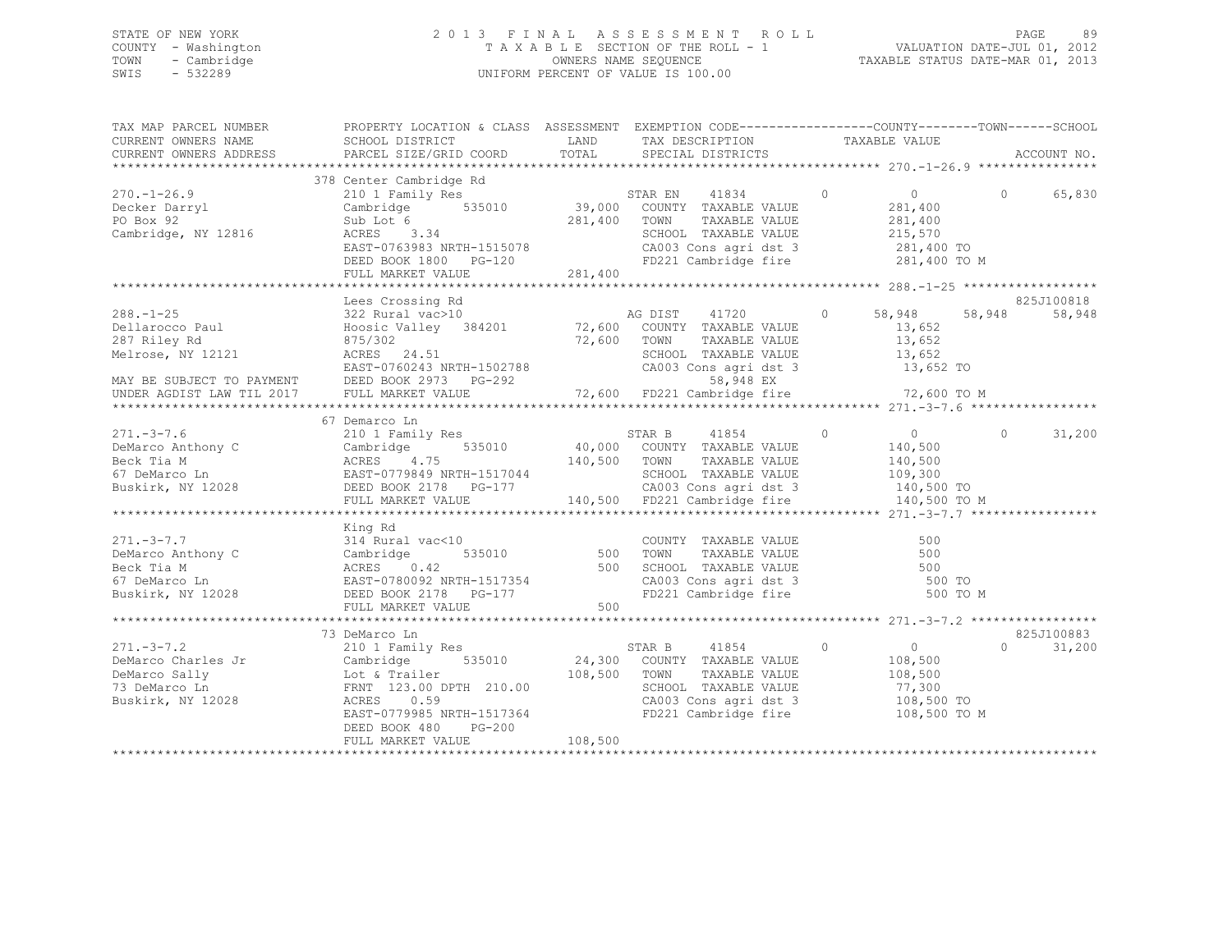## STATE OF NEW YORK 2 0 1 3 F I N A L A S S E S S M E N T R O L L PAGE 89 COUNTY - Washington T A X A B L E SECTION OF THE ROLL - 1 VALUATION DATE-JUL 01, 2012 TOWN - Cambridge OWNERS NAME SEQUENCE TAXABLE STATUS DATE-MAR 01, 2013 SWIS - 532289 UNIFORM PERCENT OF VALUE IS 100.00

| TAX MAP PARCEL NUMBER<br>CURRENT OWNERS NAME<br>CURRENT OWNERS ADDRESS                  | PROPERTY LOCATION & CLASS ASSESSMENT EXEMPTION CODE-----------------COUNTY-------TOWN------SCHOOL<br>SCHOOL DISTRICT                         LAND         TAX DESCRIPTION           TAXABLE VALUE<br>PARCEL SIZE/GRID COORD                                                                                                                              | TOTAL   | TAX DESCRIPTION TAXABLE VALUE<br>SPECIAL DISTRICTS TAXABLE VALUE                        |                                                                                      | ACCOUNT NO.                      |
|-----------------------------------------------------------------------------------------|----------------------------------------------------------------------------------------------------------------------------------------------------------------------------------------------------------------------------------------------------------------------------------------------------------------------------------------------------------|---------|-----------------------------------------------------------------------------------------|--------------------------------------------------------------------------------------|----------------------------------|
|                                                                                         |                                                                                                                                                                                                                                                                                                                                                          |         |                                                                                         |                                                                                      |                                  |
| $270. - 1 - 26.9$<br>Decker Darryl<br>Decker Darryl<br>PO Box 92<br>Cambridge, NY 12816 | 378 Center Cambridge Rd<br>Sub Lot 6<br>Sub Lot 6<br>281,400 TOWN<br>RACES 3.34<br>RACE CLOSS:<br>300 Lot 6 281,400 TOWN TAXABLE VALUE 281,400<br>ACRES 3.34 SCHOOL TAXABLE VALUE 281,400<br>EAST-0763983 NRTH-1515078 CA003 Cons agri dst 3 281,400 TO<br>DEED BOOK 1800 PG-120 FD221 Cambridge fire 281,400 TO M                                       | 281,400 | STAR EN 41834 0                                                                         | $\overline{0}$<br>281,400                                                            | 0 65,830                         |
|                                                                                         | FULL MARKET VALUE                                                                                                                                                                                                                                                                                                                                        |         |                                                                                         |                                                                                      |                                  |
|                                                                                         | Lees Crossing Rd<br>011arocco Paul (287 Riley Rd and Hoosic Valley 384201 (287 Riley Rd and an Expective Country TAXABLE VALUE 13,652<br>287 Riley Rd 875/302 72,600 TOWN TAXABLE VALUE 13,652<br>287 Riley Rd and 2017 2015 24.51 2017 DEED BOOK 2973                                                                                                   |         | AG DIST 41720 0                                                                         | 58,948<br>13,652                                                                     | 825J100818<br>58,948<br>58,948   |
|                                                                                         |                                                                                                                                                                                                                                                                                                                                                          |         |                                                                                         |                                                                                      |                                  |
|                                                                                         | 67 Demarco Ln<br>271.-3-7.6<br>271.-3-7.6<br>271.-3-7.6<br>271.-3-7.6<br>271.-3-7.6<br>271.-3-7.6<br>271.-3-7.6<br>271.-3-7.6<br>271.-3-7.6<br>271.-3-7.6<br>271.-3-7.6<br>271.-3-7.6<br>271.-3-7.9849 NRTH-1517044<br>271.-3-7.9849 NRTH-1517044<br>271.-3-                                                                                             |         |                                                                                         | 140,500 TO M                                                                         | 31,200<br>$\Omega$               |
|                                                                                         | King Rd<br>271.-3-7.7<br>$D\in M$ Extra details and $D\in M$ and $D\in M$ and $D\in M$ and $D\in M$ and $D\in M$ and $D\in M$ and $D\in M$ and $D\in M$ and $D\in M$ and $D\in M$ are $D\in M$ and $D\in M$ are $D\in M$ and $D\in M$ are $D\in M$ and $D\in M$ are $D\in M$ a                                                                           |         |                                                                                         | 500 TO M                                                                             |                                  |
|                                                                                         |                                                                                                                                                                                                                                                                                                                                                          |         |                                                                                         |                                                                                      |                                  |
|                                                                                         | 73 DeMarco Ln<br>271.-3-7.2<br>DeMarco Charles Jr<br>DeMarco Charles Jr<br>DeMarco Sally<br>DeMarco Ln<br>Cambridge 535010<br>Lot & Trailer<br>TaxaBLE VALUE<br>TaxaBLE VALUE<br>TaxaBLE VALUE<br>TaxaBLE VALUE<br>TaxaBLE VALUE<br>TaxaBLE VALUE<br>TaxaBLE VALUE<br>TaxaB<br>EAST-0779985 NRTH-1517364<br>DEED BOOK 480<br>PG-200<br>FULL MARKET VALUE | 108,500 | SCHOOL TAXABLE VALUE 77,300<br>CA003 Cons agri dst 3 108,500 TO<br>FD221 Cambridge fire | $\begin{array}{c} 0 \\ 108,500 \end{array}$<br>TAXABLE VALUE 108,500<br>108,500 TO M | 825J100883<br>$\Omega$<br>31,200 |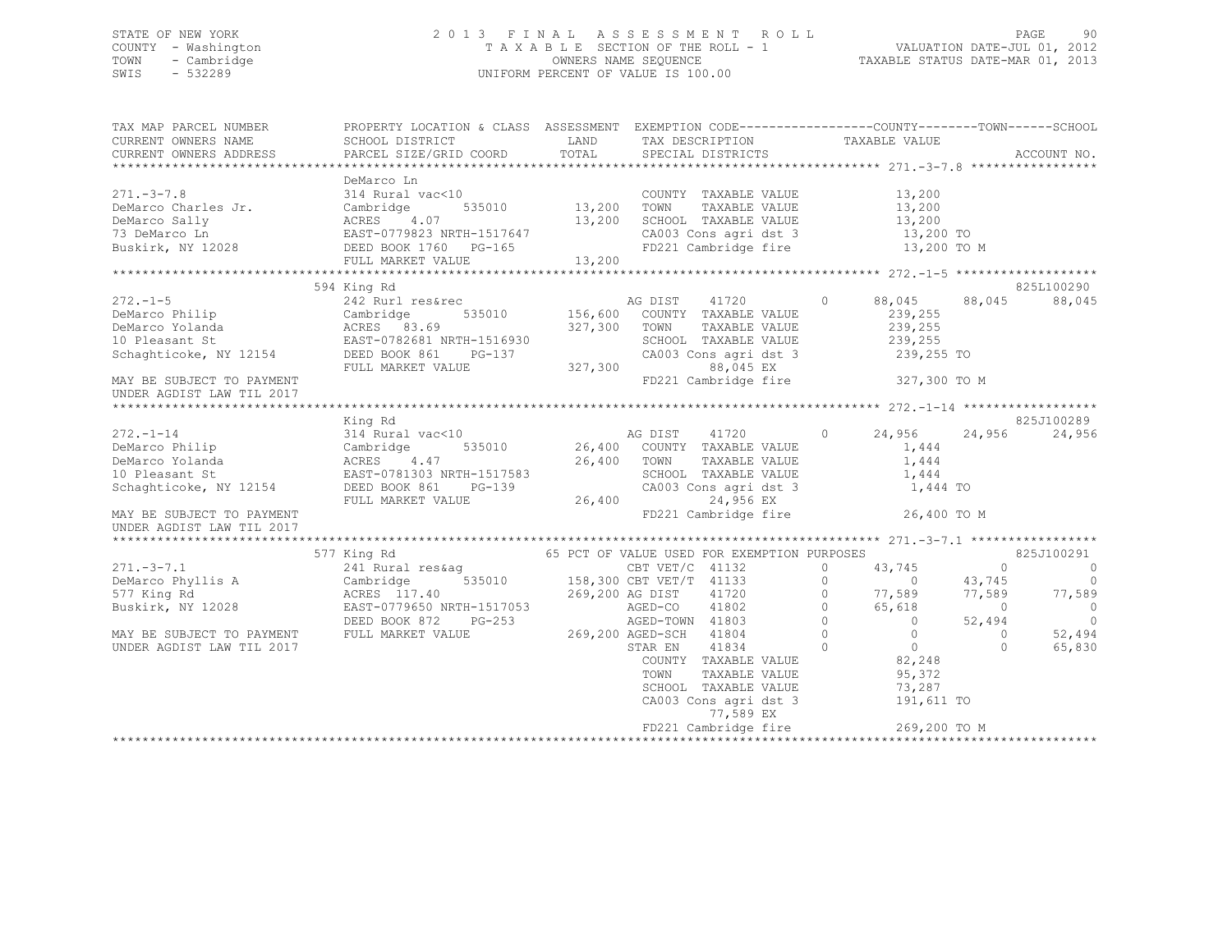## STATE OF NEW YORK 2 0 1 3 F I N A L A S S E S S M E N T R O L L PAGE 90 COUNTY - Washington T A X A B L E SECTION OF THE ROLL - 1 VALUATION DATE-JUL 01, 2012 TOWN - Cambridge OWNERS NAME SEQUENCE TAXABLE STATUS DATE-MAR 01, 2013 SWIS - 532289 UNIFORM PERCENT OF VALUE IS 100.00

| TAX MAP PARCEL NUMBER<br>CURRENT OWNERS NAME<br>CURRENT OWNERS ADDRESS                                                                                                                                                                                                     | PROPERTY LOCATION & CLASS ASSESSMENT EXEMPTION CODE---------------COUNTY-------TOWN-----SCHOOL<br>SCHOOL DISTRICT<br>PARCEL SIZE/GRID COORD |                            | LAND TAX DESCRIPTION TAXABLE VALUE COORD TOTAL SPECIAL DISTRICTS                                                                                                                                                |               |                |                                                                |                | ACCOUNT NO.    |
|----------------------------------------------------------------------------------------------------------------------------------------------------------------------------------------------------------------------------------------------------------------------------|---------------------------------------------------------------------------------------------------------------------------------------------|----------------------------|-----------------------------------------------------------------------------------------------------------------------------------------------------------------------------------------------------------------|---------------|----------------|----------------------------------------------------------------|----------------|----------------|
|                                                                                                                                                                                                                                                                            |                                                                                                                                             |                            |                                                                                                                                                                                                                 |               |                |                                                                |                |                |
|                                                                                                                                                                                                                                                                            | DeMarco Ln                                                                                                                                  |                            |                                                                                                                                                                                                                 |               |                |                                                                |                |                |
| $271 - 3 - 7.8$                                                                                                                                                                                                                                                            | 314 Rural vac<10                                                                                                                            | COUNT<br>35010 13,200 TOWN | COUNTY TAXABLE VALUE                                                                                                                                                                                            |               |                | 13,200                                                         |                |                |
|                                                                                                                                                                                                                                                                            |                                                                                                                                             |                            |                                                                                                                                                                                                                 | TAXABLE VALUE |                | 13,200                                                         |                |                |
|                                                                                                                                                                                                                                                                            |                                                                                                                                             |                            | 13,200 SCHOOL TAXABLE VALUE                                                                                                                                                                                     |               |                | 13,200                                                         |                |                |
|                                                                                                                                                                                                                                                                            |                                                                                                                                             |                            | CA003 Cons agri dst 3                                                                                                                                                                                           |               |                | 13,200 TO<br>13,200 TO M                                       |                |                |
| 09 13,200<br>DeMarco Charles Jr. Cambridge 535010 13,200<br>DeMarco Sally ACRES 4.07 13,200<br>73 DeMarco Ln EAST-0779823 NRTH-1517647<br>Buskirk, NY 12028 DEED BOOK 1760 PG-165<br>Marco Ln Charles DeMarco PG-165<br>Demail Dally<br>73 DeMarco Ln<br>Buskirk, NY 12028 |                                                                                                                                             |                            | FD221 Cambridge fire                                                                                                                                                                                            |               |                |                                                                |                |                |
|                                                                                                                                                                                                                                                                            | FULL MARKET VALUE                                                                                                                           | 13,200                     |                                                                                                                                                                                                                 |               |                |                                                                |                |                |
|                                                                                                                                                                                                                                                                            |                                                                                                                                             |                            |                                                                                                                                                                                                                 |               |                |                                                                |                |                |
|                                                                                                                                                                                                                                                                            | 594 King Rd                                                                                                                                 |                            |                                                                                                                                                                                                                 |               |                |                                                                |                | 825L100290     |
| $272. - 1 - 5$                                                                                                                                                                                                                                                             | 242 Rurl res&rec                                                                                                                            |                            | AG DIST 41720<br>156,600 COUNTY TAXABLE VALUE                                                                                                                                                                   |               | $\circ$        | 88,045                                                         | 88,045         | 88,045         |
| 272.-1-5<br>DeMarco Philip<br>DeMarco Yolanda<br>10 Pleasant St<br>242 Rurl res&rec<br>Cambridge 535010<br>242 Rurl res&rec<br>242 Rurl res&rec<br>255010<br>2685-0782681 NRTH-1516930                                                                                     |                                                                                                                                             |                            |                                                                                                                                                                                                                 |               |                | 239,255                                                        |                |                |
|                                                                                                                                                                                                                                                                            |                                                                                                                                             | 327,300 TOWN               |                                                                                                                                                                                                                 | TAXABLE VALUE |                | 239,255                                                        |                |                |
|                                                                                                                                                                                                                                                                            |                                                                                                                                             |                            | SCHOOL TAXABLE VALUE                                                                                                                                                                                            |               |                | 239,255                                                        |                |                |
| Schaghticoke, NY 12154 DEED BOOK 861                                                                                                                                                                                                                                       | $PG-137$                                                                                                                                    |                            | CA003 Cons agri dst 3 239,255 TO                                                                                                                                                                                |               |                |                                                                |                |                |
|                                                                                                                                                                                                                                                                            | FULL MARKET VALUE                                                                                                                           | 327,300                    |                                                                                                                                                                                                                 | 88,045 EX     |                |                                                                |                |                |
| MAY BE SUBJECT TO PAYMENT<br>UNDER AGDIST LAW TIL 2017                                                                                                                                                                                                                     |                                                                                                                                             |                            |                                                                                                                                                                                                                 |               |                | FD221 Cambridge fire 327,300 TO M                              |                |                |
|                                                                                                                                                                                                                                                                            |                                                                                                                                             |                            |                                                                                                                                                                                                                 |               |                |                                                                |                |                |
|                                                                                                                                                                                                                                                                            | King Rd                                                                                                                                     |                            |                                                                                                                                                                                                                 |               |                |                                                                |                | 825J100289     |
| $272, -1 - 14$                                                                                                                                                                                                                                                             | 314 Rural vac<10                                                                                                                            |                            | AG DIST 41720                                                                                                                                                                                                   |               | $\circ$        | 24,956                                                         | 24,956         | 24,956         |
| DeMarco Philip                                                                                                                                                                                                                                                             | 314 Rural vac<10<br>Cambridge 535010<br>ACRES 4.47<br>EAST-0781303 NRTH-1517583                                                             |                            | 535010 26,400 COUNTY TAXABLE VALUE                                                                                                                                                                              |               |                | 1,444                                                          |                |                |
| DeMarco Yolanda                                                                                                                                                                                                                                                            |                                                                                                                                             | 26,400 TOWN                |                                                                                                                                                                                                                 |               |                | 1,444                                                          |                |                |
| 10 Pleasant St                                                                                                                                                                                                                                                             |                                                                                                                                             |                            | TOWN TAXABLE VALUE<br>SCHOOL TAXABLE VALUE<br>CA003 Cons agri dst 3                                                                                                                                             |               |                |                                                                |                |                |
|                                                                                                                                                                                                                                                                            |                                                                                                                                             |                            |                                                                                                                                                                                                                 |               |                | 1,444                                                          |                |                |
| Schaghticoke, NY 12154 DEED BOOK 861                                                                                                                                                                                                                                       | $PG-139$                                                                                                                                    | 26,400                     |                                                                                                                                                                                                                 |               |                | 1,444 TO                                                       |                |                |
|                                                                                                                                                                                                                                                                            | FULL MARKET VALUE                                                                                                                           |                            |                                                                                                                                                                                                                 |               |                | 24,956 EX<br>FD221 Cambridge fire 26,400 TO M                  |                |                |
| MAY BE SUBJECT TO PAYMENT<br>UNDER AGDIST LAW TIL 2017                                                                                                                                                                                                                     |                                                                                                                                             |                            |                                                                                                                                                                                                                 |               |                |                                                                |                |                |
|                                                                                                                                                                                                                                                                            |                                                                                                                                             |                            |                                                                                                                                                                                                                 |               |                |                                                                |                |                |
|                                                                                                                                                                                                                                                                            | 577 King Rd                                                                                                                                 |                            | 65 PCT OF VALUE USED FOR EXEMPTION PURPOSES<br>CBT VET/C 41132                                                                                                                                                  |               |                |                                                                |                | 825J100291     |
| 271.-3-7.1<br>DeMarco Phyllis A Cambridge 535010 158,300 CBI VEI, 1<br>577 King Rd ACRES 117.40 269,200 AG DIST 41720<br>Buskirk, NY 12028 EAST-0779650 NRTH-1517053 AGED-CO 41802<br>DEED BOOK 872 PG-253 AGED-TOWN 41803<br>FULL MARKE                                   |                                                                                                                                             |                            |                                                                                                                                                                                                                 |               |                | 43,745                                                         | $\circ$        | $\overline{0}$ |
|                                                                                                                                                                                                                                                                            |                                                                                                                                             |                            |                                                                                                                                                                                                                 |               | $\circ$        |                                                                | 43,745         | $\circ$        |
|                                                                                                                                                                                                                                                                            |                                                                                                                                             |                            |                                                                                                                                                                                                                 |               | $\circ$        | $\begin{array}{c} 0 \\ 77,589 \\ 65,618 \end{array}$<br>77,589 | 77,589         | 77,589         |
|                                                                                                                                                                                                                                                                            |                                                                                                                                             |                            |                                                                                                                                                                                                                 |               | $\Omega$       |                                                                | $\overline{a}$ | $\overline{0}$ |
| NAY BE SUBJECT TO PAYMENT DEED BOOK 872 IN THE UNDER AGDIST LAW TIL 2017                                                                                                                                                                                                   |                                                                                                                                             |                            |                                                                                                                                                                                                                 |               | $\overline{0}$ | $\overline{0}$                                                 | 52,494         | $\bigcirc$     |
|                                                                                                                                                                                                                                                                            |                                                                                                                                             |                            |                                                                                                                                                                                                                 |               | $\Omega$       | $\overline{0}$                                                 | $\overline{0}$ | 52,494         |
|                                                                                                                                                                                                                                                                            |                                                                                                                                             |                            |                                                                                                                                                                                                                 |               | $\Omega$       |                                                                | $\Omega$       | 65,830         |
|                                                                                                                                                                                                                                                                            |                                                                                                                                             |                            |                                                                                                                                                                                                                 |               |                | $\begin{array}{c}0\\82,248\end{array}$                         |                |                |
|                                                                                                                                                                                                                                                                            |                                                                                                                                             |                            | $\begin{tabular}{lllllllll} \multicolumn{2}{c}{\text{COUNTY}} & \text{TAXABLE} & \text{VALUE} & \text{82,248} \\ \multicolumn{2}{c}{\text{TOWN}} & \text{TAXABLE} & \text{VALUE} & \text{95,372} \end{tabular}$ |               |                |                                                                |                |                |
|                                                                                                                                                                                                                                                                            |                                                                                                                                             |                            |                                                                                                                                                                                                                 |               |                |                                                                |                |                |
|                                                                                                                                                                                                                                                                            |                                                                                                                                             |                            | SCHOOL TAXABLE VALUE<br>CA003 Cons agri dst 3                                                                                                                                                                   |               |                | 73,287                                                         |                |                |
|                                                                                                                                                                                                                                                                            |                                                                                                                                             |                            |                                                                                                                                                                                                                 | 77,589 EX     |                | 191,611 TO                                                     |                |                |
|                                                                                                                                                                                                                                                                            |                                                                                                                                             |                            | FD221 Cambridge fire                                                                                                                                                                                            |               |                | 269,200 TO M                                                   |                |                |
|                                                                                                                                                                                                                                                                            |                                                                                                                                             |                            |                                                                                                                                                                                                                 |               |                |                                                                |                |                |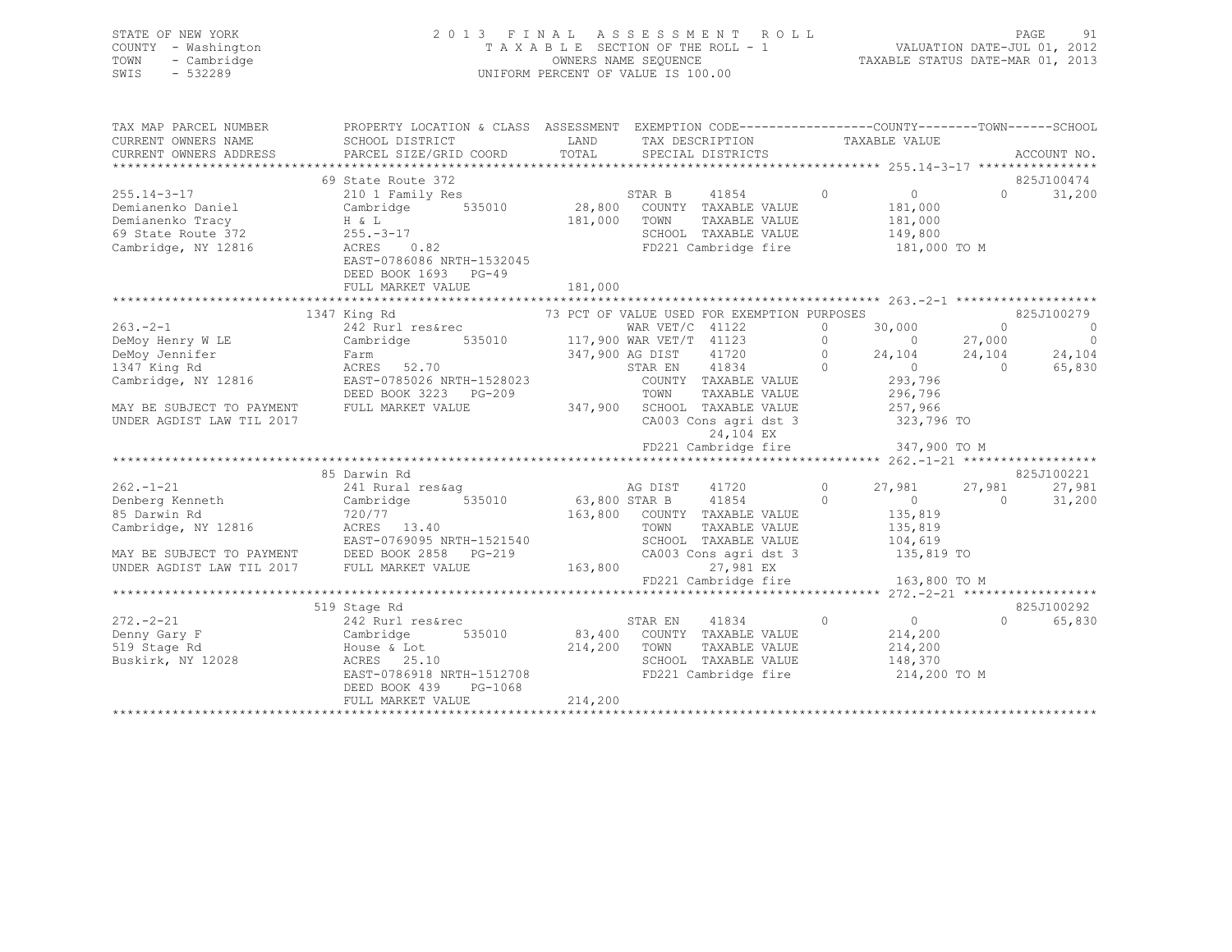| STATE OF NEW YORK<br>COUNTY - Washington<br>- Cambridge<br>TOWN<br>$-532289$<br>SWIS | 2 0 1 3<br>FINAL                                                                                                                                                                                                                       | UNIFORM PERCENT OF VALUE IS 100.00 | A S S E S S M E N T |                                                       |                | ROLL NOT           |                | PAGE<br>91         |
|--------------------------------------------------------------------------------------|----------------------------------------------------------------------------------------------------------------------------------------------------------------------------------------------------------------------------------------|------------------------------------|---------------------|-------------------------------------------------------|----------------|--------------------|----------------|--------------------|
| TAX MAP PARCEL NUMBER                                                                | PROPERTY LOCATION & CLASS ASSESSMENT EXEMPTION CODE-----------------COUNTY-------TOWN------SCHOOL                                                                                                                                      |                                    |                     |                                                       |                |                    |                |                    |
| CURRENT OWNERS NAME                                                                  | SCHOOL DISTRICT                                                                                                                                                                                                                        | LAND TAX DESCRIPTION               |                     |                                                       |                | TAXABLE VALUE      |                |                    |
| CURRENT OWNERS ADDRESS                                                               | PARCEL SIZE/GRID COORD TOTAL SPECIAL DISTRICTS                                                                                                                                                                                         |                                    |                     |                                                       |                |                    |                | ACCOUNT NO.        |
|                                                                                      | 69 State Route 372                                                                                                                                                                                                                     |                                    |                     |                                                       |                |                    |                | 825J100474         |
| $255.14 - 3 - 17$                                                                    |                                                                                                                                                                                                                                        |                                    |                     |                                                       |                |                    |                | $\Omega$<br>31,200 |
| Demianenko Daniel                                                                    |                                                                                                                                                                                                                                        |                                    |                     |                                                       |                |                    |                |                    |
|                                                                                      |                                                                                                                                                                                                                                        | 181,000 TOWN                       |                     |                                                       |                |                    |                |                    |
|                                                                                      |                                                                                                                                                                                                                                        |                                    |                     |                                                       |                |                    |                |                    |
|                                                                                      | 9 Demianenko Tracy and H & L (181,000 TOWN TAXABLE VALUE 181,000 TOWN 7AXABLE VALUE 181,000 TOWN 7AXABLE VALUE 181,000 TOWN 7AXABLE VALUE 181,000 12 181,000 TOWN 5CHOOL TAXABLE VALUE 149,800 State Route 372 255.-3-17<br>Ca         |                                    |                     |                                                       |                |                    |                |                    |
|                                                                                      | EAST-0786086 NRTH-1532045                                                                                                                                                                                                              |                                    |                     |                                                       |                |                    |                |                    |
|                                                                                      | DEED BOOK 1693 PG-49                                                                                                                                                                                                                   |                                    |                     |                                                       |                |                    |                |                    |
|                                                                                      | FULL MARKET VALUE                                                                                                                                                                                                                      | 181,000                            |                     |                                                       |                |                    |                |                    |
|                                                                                      | 1347 King Rd                                                                                                                                                                                                                           |                                    |                     |                                                       |                |                    |                |                    |
| $263 - 2 - 1$                                                                        |                                                                                                                                                                                                                                        |                                    |                     |                                                       |                |                    |                |                    |
| Lou. 2-1<br>DeMoy Henry W LE<br>DeMoy Janui 2                                        |                                                                                                                                                                                                                                        |                                    |                     |                                                       |                |                    |                |                    |
|                                                                                      |                                                                                                                                                                                                                                        |                                    |                     |                                                       |                |                    |                |                    |
|                                                                                      | 73 PCT OF VALUE USED FOR EXEMPTION PURPOSES<br>242 Rurl resérec 73 PCT OF VALUE USED FOR EXEMPTION PURPOSES<br>242 Rurl resérec WAR VET/C 41122 0 30,000 0<br>Cambridge 535010 117,900 WAR VET/T 41123 0 0 27,000 0<br>Farm 347,900 AG |                                    |                     |                                                       |                |                    |                |                    |
| Cambridge, NY 12816                                                                  |                                                                                                                                                                                                                                        |                                    |                     |                                                       |                |                    |                |                    |
|                                                                                      |                                                                                                                                                                                                                                        |                                    |                     |                                                       |                |                    |                |                    |
| MAY BE SUBJECT TO PAYMENT                                                            | FULL MARKET VALUE 347,900 SCHOOL TAXABLE VALUE 257,966                                                                                                                                                                                 |                                    |                     |                                                       |                |                    |                |                    |
| UNDER AGDIST LAW TIL 2017                                                            |                                                                                                                                                                                                                                        |                                    |                     | CA003 Cons agri dst 3                                 |                | 323,796 TO         |                |                    |
|                                                                                      |                                                                                                                                                                                                                                        |                                    |                     | 24,104 EX<br>FD221 Cambridge fire                     |                | 347,900 TO M       |                |                    |
|                                                                                      |                                                                                                                                                                                                                                        |                                    |                     |                                                       |                |                    |                |                    |
|                                                                                      | 85 Darwin Rd                                                                                                                                                                                                                           |                                    |                     |                                                       |                |                    |                | 825J100221         |
| $262. - 1 - 21$                                                                      | 241 Rural res&ag and Manuscript AG DIST                                                                                                                                                                                                |                                    |                     | 41720                                                 |                | 0 $27,981$         | 27,981         | 27,981             |
| Denberg Kenneth<br>85 Darwin Rd                                                      | Cambridge 535010                                                                                                                                                                                                                       |                                    |                     | 63,800 STAR B 11854 0<br>163,800 COUNTY TAXABLE VALUE |                | $0$<br>135,819     | $\overline{0}$ | 31,200             |
|                                                                                      | 720/77                                                                                                                                                                                                                                 |                                    |                     |                                                       |                |                    |                |                    |
|                                                                                      | Cambridge, NY 12816<br>Cambridge, NY 12816<br>EAST-0769095 NRTH-1521540                                                                                                                                                                |                                    | TOWN                | TAXABLE VALUE                                         |                | 135,819<br>104,619 |                |                    |
|                                                                                      |                                                                                                                                                                                                                                        |                                    |                     | SCHOOL TAXABLE VALUE                                  |                |                    |                |                    |
|                                                                                      | MAY BE SUBJECT TO PAYMENT DEED BOOK 2858 PG-219 CA003 Cons agri dst 3 135,819 TO<br>UNDER AGDIST LAW TIL 2017 FULL MARKET VALUE 163,800 27,981 EX                                                                                      |                                    |                     |                                                       |                |                    |                |                    |
|                                                                                      |                                                                                                                                                                                                                                        |                                    |                     | FD221 Cambridge fire 163,800 TO M                     |                |                    |                |                    |
|                                                                                      |                                                                                                                                                                                                                                        |                                    |                     |                                                       |                |                    |                |                    |
|                                                                                      | 519 Stage Rd                                                                                                                                                                                                                           |                                    |                     |                                                       |                |                    |                | 825J100292         |
|                                                                                      | 2/2.-2-21<br>Denny Gary F 242 Rurl res&rec<br>519 Stage Rd 2028<br>Buskirk, NY 12028<br>Buskirk, NY 12028<br>CHERES 25.10                                                                                                              |                                    | STAR EN             | 41834                                                 | $\overline{0}$ | $\overline{0}$     |                | $\Omega$<br>65,830 |
|                                                                                      |                                                                                                                                                                                                                                        |                                    |                     | 535010 83,400 COUNTY TAXABLE VALUE                    |                | 214,200            |                |                    |
|                                                                                      |                                                                                                                                                                                                                                        | 214,200 TOWN                       |                     | TAXABLE VALUE                                         |                | 214,200            |                |                    |
|                                                                                      |                                                                                                                                                                                                                                        |                                    |                     | SCHOOL TAXABLE VALUE                                  |                | 148,370            |                |                    |
|                                                                                      |                                                                                                                                                                                                                                        |                                    |                     | FD221 Cambridge fire                                  |                | 214,200 TO M       |                |                    |

\*\*\*\*\*\*\*\*\*\*\*\*\*\*\*\*\*\*\*\*\*\*\*\*\*\*\*\*\*\*\*\*\*\*\*\*\*\*\*\*\*\*\*\*\*\*\*\*\*\*\*\*\*\*\*\*\*\*\*\*\*\*\*\*\*\*\*\*\*\*\*\*\*\*\*\*\*\*\*\*\*\*\*\*\*\*\*\*\*\*\*\*\*\*\*\*\*\*\*\*\*\*\*\*\*\*\*\*\*\*\*\*\*\*\*\*\*\*\*\*\*\*\*\*\*\*\*\*\*\*\*\*

DEED BOOK 439 PG-1068

FULL MARKET VALUE 214,200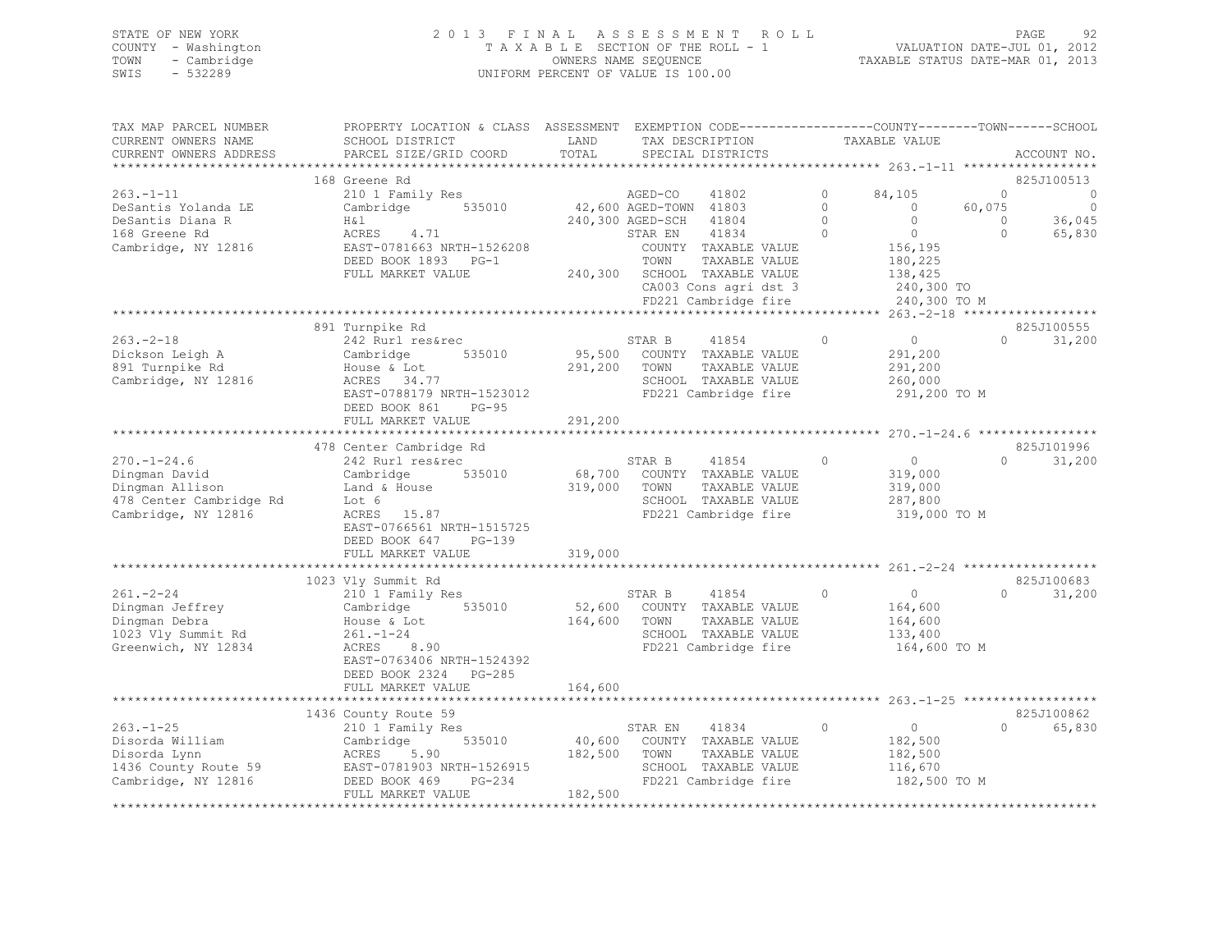| STATE OF NEW YORK   | 2013 FINAL ASSESSMENT ROLL         | 92<br><b>PAGE</b>                |
|---------------------|------------------------------------|----------------------------------|
| COUNTY - Washington | TAXABLE SECTION OF THE ROLL - 1    | VALUATION DATE-JUL 01, 2012      |
| TOWN<br>- Cambridge | OWNERS NAME SEOUENCE               | TAXABLE STATUS DATE-MAR 01, 2013 |
| SWIS<br>- 532289    | UNIFORM PERCENT OF VALUE IS 100.00 |                                  |

| TAX MAP PARCEL NUMBER   | PROPERTY LOCATION & CLASS ASSESSMENT EXEMPTION CODE---------------COUNTY-------TOWN------SCHOOL |         |                        |                              |          |               |          |             |
|-------------------------|-------------------------------------------------------------------------------------------------|---------|------------------------|------------------------------|----------|---------------|----------|-------------|
| CURRENT OWNERS NAME     | SCHOOL DISTRICT                                                                                 | LAND    |                        | TAX DESCRIPTION              |          | TAXABLE VALUE |          |             |
| CURRENT OWNERS ADDRESS  | PARCEL SIZE/GRID COORD                                                                          | TOTAL   |                        | SPECIAL DISTRICTS            |          |               |          | ACCOUNT NO. |
|                         |                                                                                                 |         |                        |                              |          |               |          |             |
|                         | 168 Greene Rd                                                                                   |         |                        |                              |          |               |          | 825J100513  |
| $263. -1 - 11$          | 210 1 Family Res                                                                                |         | AGED-CO                | 41802                        | $\Omega$ | 84,105        | $\Omega$ | $\bigcirc$  |
| DeSantis Yolanda LE     | Cambridge<br>535010                                                                             |         | 42,600 AGED-TOWN 41803 |                              | $\Omega$ | $\Omega$      | 60,075   | $\Omega$    |
| DeSantis Diana R        | H&l                                                                                             |         | 240,300 AGED-SCH       | 41804                        | $\circ$  | $\Omega$      | $\Omega$ | 36,045      |
| 168 Greene Rd           | ACRES<br>4.71                                                                                   |         | STAR EN                | 41834                        | $\Omega$ | $\Omega$      | $\Omega$ | 65,830      |
| Cambridge, NY 12816     | EAST-0781663 NRTH-1526208                                                                       |         |                        | COUNTY TAXABLE VALUE         |          | 156,195       |          |             |
|                         | DEED BOOK 1893 PG-1                                                                             |         | TOWN                   | TAXABLE VALUE                |          | 180,225       |          |             |
|                         | FULL MARKET VALUE                                                                               |         |                        | 240,300 SCHOOL TAXABLE VALUE |          | 138,425       |          |             |
|                         |                                                                                                 |         |                        | CA003 Cons agri dst 3        |          | 240,300 TO    |          |             |
|                         |                                                                                                 |         |                        | FD221 Cambridge fire         |          | 240,300 TO M  |          |             |
|                         |                                                                                                 |         |                        |                              |          |               |          |             |
|                         | 891 Turnpike Rd                                                                                 |         |                        |                              |          |               |          | 825J100555  |
| $263 - 2 - 18$          | 242 Rurl res&rec                                                                                |         | STAR B                 | 41854                        | $\circ$  | $\circ$       | $\Omega$ | 31,200      |
| Dickson Leigh A         | Cambridge<br>535010                                                                             | 95,500  |                        | COUNTY TAXABLE VALUE         |          | 291,200       |          |             |
| 891 Turnpike Rd         | House & Lot                                                                                     | 291,200 | TOWN                   | TAXABLE VALUE                |          | 291,200       |          |             |
| Cambridge, NY 12816     | ACRES 34.77                                                                                     |         |                        | SCHOOL TAXABLE VALUE         |          | 260,000       |          |             |
|                         | EAST-0788179 NRTH-1523012                                                                       |         |                        | FD221 Cambridge fire         |          | 291,200 TO M  |          |             |
|                         | DEED BOOK 861<br>$PG-95$                                                                        |         |                        |                              |          |               |          |             |
|                         | FULL MARKET VALUE                                                                               | 291,200 |                        |                              |          |               |          |             |
|                         |                                                                                                 |         |                        |                              |          |               |          |             |
|                         | 478 Center Cambridge Rd                                                                         |         |                        |                              |          |               |          | 825J101996  |
| $270. - 1 - 24.6$       | 242 Rurl res&rec                                                                                |         | STAR B                 | 41854                        | $\circ$  | $\circ$       | $\Omega$ | 31,200      |
| Dingman David           | Cambridge<br>535010                                                                             |         |                        | 68,700 COUNTY TAXABLE VALUE  |          | 319,000       |          |             |
| Dingman Allison         | Land & House                                                                                    | 319,000 | TOWN                   | TAXABLE VALUE                |          | 319,000       |          |             |
| 478 Center Cambridge Rd | Lot 6                                                                                           |         |                        | SCHOOL TAXABLE VALUE         |          | 287,800       |          |             |
| Cambridge, NY 12816     | ACRES 15.87                                                                                     |         |                        | FD221 Cambridge fire         |          | 319,000 TO M  |          |             |
|                         | EAST-0766561 NRTH-1515725                                                                       |         |                        |                              |          |               |          |             |
|                         | DEED BOOK 647<br>PG-139                                                                         |         |                        |                              |          |               |          |             |
|                         | FULL MARKET VALUE                                                                               | 319,000 |                        |                              |          |               |          |             |
|                         |                                                                                                 |         |                        |                              |          |               |          |             |
|                         | 1023 Vly Summit Rd                                                                              |         |                        |                              |          |               |          | 825J100683  |
| $261. - 2 - 24$         | 210 1 Family Res                                                                                |         | STAR B                 | 41854                        | $\Omega$ | $\circ$       | $\Omega$ | 31,200      |
| Dingman Jeffrey         | 535010<br>Cambridge                                                                             | 52,600  |                        | COUNTY TAXABLE VALUE         |          | 164,600       |          |             |
| Dingman Debra           | House & Lot                                                                                     | 164,600 | TOWN                   | TAXABLE VALUE                |          | 164,600       |          |             |
| 1023 Vly Summit Rd      | $261. - 1 - 24$                                                                                 |         |                        | SCHOOL TAXABLE VALUE         |          | 133,400       |          |             |
| Greenwich, NY 12834     | 8.90<br>ACRES                                                                                   |         |                        | FD221 Cambridge fire         |          | 164,600 TO M  |          |             |
|                         | EAST-0763406 NRTH-1524392                                                                       |         |                        |                              |          |               |          |             |
|                         | DEED BOOK 2324<br>$PG-285$                                                                      |         |                        |                              |          |               |          |             |
|                         | FULL MARKET VALUE                                                                               | 164,600 |                        |                              |          |               |          |             |
|                         |                                                                                                 |         |                        |                              |          |               |          |             |
|                         | 1436 County Route 59                                                                            |         |                        |                              |          |               |          | 825J100862  |
| $263. - 1 - 25$         | 210 1 Family Res                                                                                |         | STAR EN                | 41834                        | $\circ$  | $\circ$       | $\Omega$ | 65,830      |
| Disorda William         | 535010<br>Cambridge                                                                             | 40,600  |                        | COUNTY TAXABLE VALUE         |          | 182,500       |          |             |
| Disorda Lynn            | ACRES<br>5.90                                                                                   | 182,500 | TOWN                   | TAXABLE VALUE                |          | 182,500       |          |             |
| 1436 County Route 59    | EAST-0781903 NRTH-1526915                                                                       |         |                        | SCHOOL TAXABLE VALUE         |          | 116,670       |          |             |
| Cambridge, NY 12816     | DEED BOOK 469<br>PG-234                                                                         |         |                        | FD221 Cambridge fire         |          | 182,500 TO M  |          |             |
|                         | FULL MARKET VALUE                                                                               | 182,500 |                        |                              |          |               |          |             |
|                         |                                                                                                 |         |                        |                              |          |               |          |             |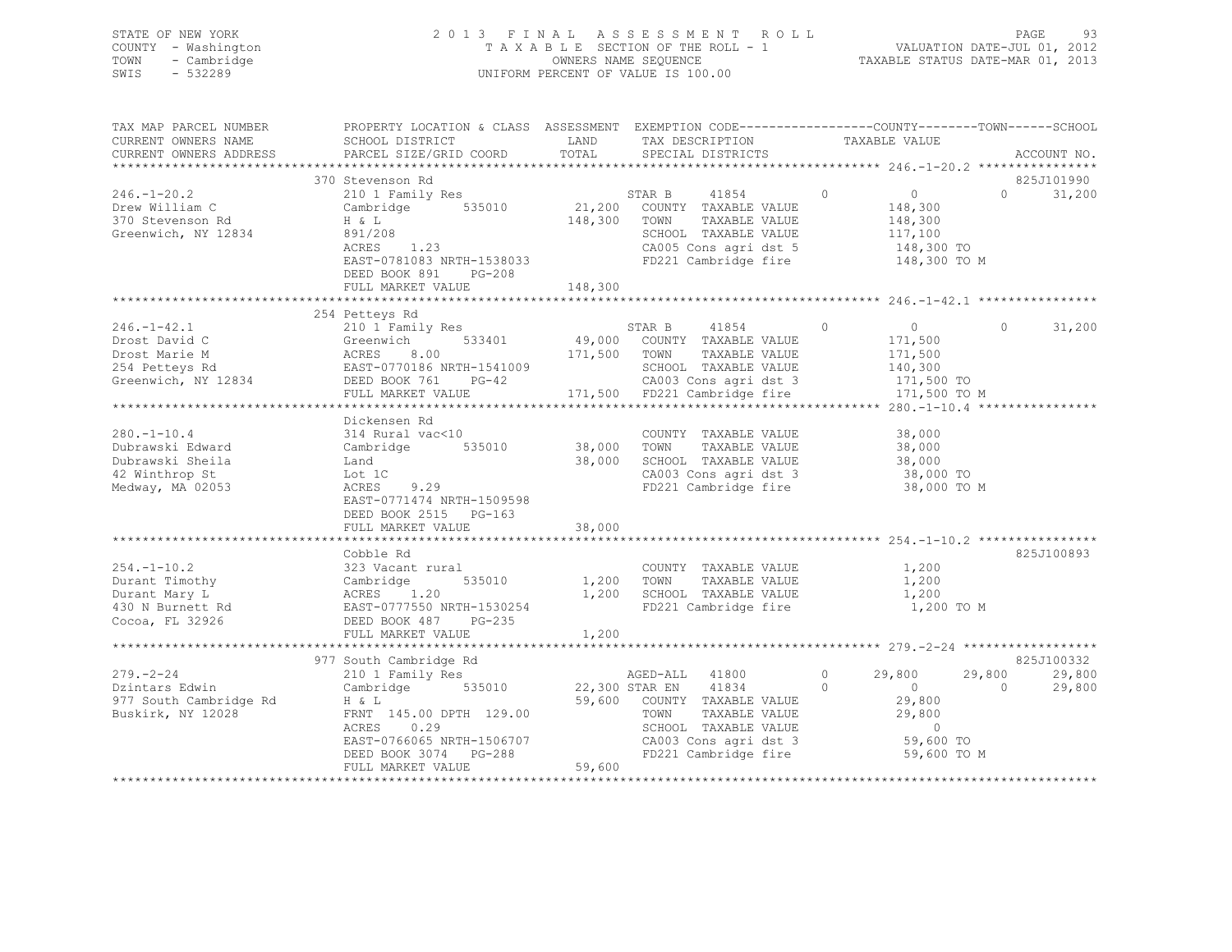| SWIS | STATE OF NEW YORK<br>COUNTY - Washington<br>TOWN - Cambridge<br>$-532289$ | 2013 FINAL ASSESSMENT ROLL<br>TAXABLE SECTION OF THE ROLL - 1<br>OWNERS NAME SEOUENCE<br>UNIFORM PERCENT OF VALUE IS 100.00 | TAXABLE STATUS DATE-MAR 01, 2013 | PAGE<br>VALUATION DATE-JUL 01, 2012 | -93 |
|------|---------------------------------------------------------------------------|-----------------------------------------------------------------------------------------------------------------------------|----------------------------------|-------------------------------------|-----|
|      | TAX MAP PARCEL NUMBER                                                     | PROPERTY LOCATION & CLASS ASSESSMENT EXEMPTION CODE---------------COUNTY-------TOWN------SCHOOL                             |                                  |                                     |     |

| CURRENT OWNERS NAME    | SCHOOL DISTRICT                                                              | LAND    | TAX DESCRIPTION                               |          | TAXABLE VALUE    |                    |
|------------------------|------------------------------------------------------------------------------|---------|-----------------------------------------------|----------|------------------|--------------------|
| CURRENT OWNERS ADDRESS | PARCEL SIZE/GRID COORD                                                       | TOTAL   | SPECIAL DISTRICTS                             |          |                  | ACCOUNT NO.        |
|                        |                                                                              |         |                                               |          |                  |                    |
|                        | 370 Stevenson Rd                                                             |         |                                               |          |                  | 825J101990         |
| $246. - 1 - 20.2$      | 210 1 Family Res                                                             |         | 41854<br>STAR B                               | $\circ$  | $\overline{0}$   | $\Omega$<br>31,200 |
| Drew William C         | Cambridge 535010                                                             |         | 21,200 COUNTY TAXABLE VALUE                   |          | 148,300          |                    |
| 370 Stevenson Rd       | H & L                                                                        | 148,300 | TOWN<br>TAXABLE VALUE                         |          | 148,300          |                    |
| Greenwich, NY 12834    | 891/208                                                                      |         | SCHOOL TAXABLE VALUE                          |          | 117,100          |                    |
|                        | ACRES 1.23                                                                   |         |                                               |          |                  |                    |
|                        |                                                                              |         | CA005 Cons agri dst 5                         |          | $148,300$ TO     |                    |
|                        | EAST-0781083 NRTH-1538033                                                    |         | FD221 Cambridge fire                          |          | 148,300 TO M     |                    |
|                        | DEED BOOK 891 PG-208                                                         |         |                                               |          |                  |                    |
|                        | FULL MARKET VALUE                                                            | 148,300 |                                               |          |                  |                    |
|                        |                                                                              |         |                                               |          |                  |                    |
|                        | 254 Petteys Rd                                                               |         |                                               |          |                  |                    |
| $246. - 1 - 42.1$      | 210 1 Family Res                                                             |         | STAR B 41854                                  | $\circ$  | $\overline{0}$   | $\Omega$<br>31,200 |
| Drost David C          | 533401<br>Greenwich                                                          |         | 49,000 COUNTY TAXABLE VALUE                   |          | 171,500          |                    |
| Drost Marie M          |                                                                              | 171,500 | TOWN<br>TAXABLE VALUE                         |          | 171,500          |                    |
| 254 Petteys Rd         | ACRES 8.00<br>EAST-0770186 NRTH-1541009                                      |         | SCHOOL TAXABLE VALUE                          |          | 140,300          |                    |
| Greenwich, NY 12834    | $PG-42$<br>DEED BOOK 761                                                     |         | CA003 Cons agri dst 3                         |          | 171,500 TO       |                    |
|                        | FULL MARKET VALUE                                                            |         | 171,500 FD221 Cambridge fire                  |          | 171,500 TO M     |                    |
|                        |                                                                              |         |                                               |          |                  |                    |
|                        |                                                                              |         |                                               |          |                  |                    |
|                        | Dickensen Rd                                                                 |         |                                               |          |                  |                    |
| $280. - 1 - 10.4$      | 314 Rural vac<10                                                             |         | COUNTY TAXABLE VALUE                          |          | 38,000           |                    |
| Dubrawski Edward       | Cambridge 535010                                                             | 38,000  | TOWN<br>TAXABLE VALUE                         |          | 38,000           |                    |
| Dubrawski Sheila       | Land                                                                         | 38,000  | SCHOOL TAXABLE VALUE                          |          | 38,000           |                    |
| 42 Winthrop St         | Lot 1C                                                                       |         | CA003 Cons agri dst 3                         |          | 38,000 TO        |                    |
| Medway, MA 02053       | 9.29<br>ACRES                                                                |         | FD221 Cambridge fire                          |          | 38,000 TO M      |                    |
|                        | EAST-0771474 NRTH-1509598                                                    |         |                                               |          |                  |                    |
|                        | DEED BOOK 2515 PG-163                                                        |         |                                               |          |                  |                    |
|                        | FULL MARKET VALUE                                                            | 38,000  |                                               |          |                  |                    |
|                        |                                                                              |         |                                               |          |                  |                    |
|                        | Cobble Rd                                                                    |         |                                               |          |                  | 825J100893         |
| $254. - 1 - 10.2$      | 323 Vacant rural                                                             |         | COUNTY TAXABLE VALUE                          |          | 1,200            |                    |
| Durant Timothy         |                                                                              |         | 1,200 TOWN<br>TAXABLE VALUE                   |          | 1,200            |                    |
| Durant Mary L          |                                                                              | 1,200   | SCHOOL TAXABLE VALUE                          |          | 1,200            |                    |
| 430 N Burnett Rd       |                                                                              |         | FD221 Cambridge fire                          |          | 1,200 TO M       |                    |
|                        | Cambridge<br>ACRES 1.20<br>EAST-0777550 NRTH-1530254<br>DERD BOOK 487 PG-235 |         |                                               |          |                  |                    |
| Cocoa, FL 32926        |                                                                              |         |                                               |          |                  |                    |
|                        |                                                                              | 1,200   |                                               |          |                  |                    |
|                        |                                                                              |         |                                               |          |                  |                    |
|                        | 977 South Cambridge Rd                                                       |         |                                               |          |                  | 825J100332         |
| $279. - 2 - 24$        | 210 1 Family Res                                                             |         | AGED-ALL 41800                                | $\circ$  | 29,800<br>29,800 | 29,800             |
| Dzintars Edwin         | Cambridge 535010                                                             |         | 22,300 STAR EN 41834                          | $\Omega$ | $\overline{0}$   | $\Omega$<br>29,800 |
| 977 South Cambridge Rd | H & L                                                                        |         | 59,600 COUNTY TAXABLE VALUE                   |          | 29,800           |                    |
| Buskirk, NY 12028      | FRNT 145.00 DPTH 129.00                                                      |         | TOWN<br>TAXABLE VALUE                         |          | 29,800           |                    |
|                        | 0.29<br>ACRES                                                                |         | SCHOOL TAXABLE VALUE                          |          | $\circ$          |                    |
|                        | EAST-0766065 NRTH-1506707                                                    |         |                                               |          | 59,600 TO        |                    |
|                        | DEED BOOK 3074 PG-288                                                        |         | CA003 Cons agri dst 3<br>FD221 Cambridge fire |          | 59,600 TO M      |                    |
|                        | FULL MARKET VALUE                                                            | 59,600  |                                               |          |                  |                    |
|                        |                                                                              |         |                                               |          |                  |                    |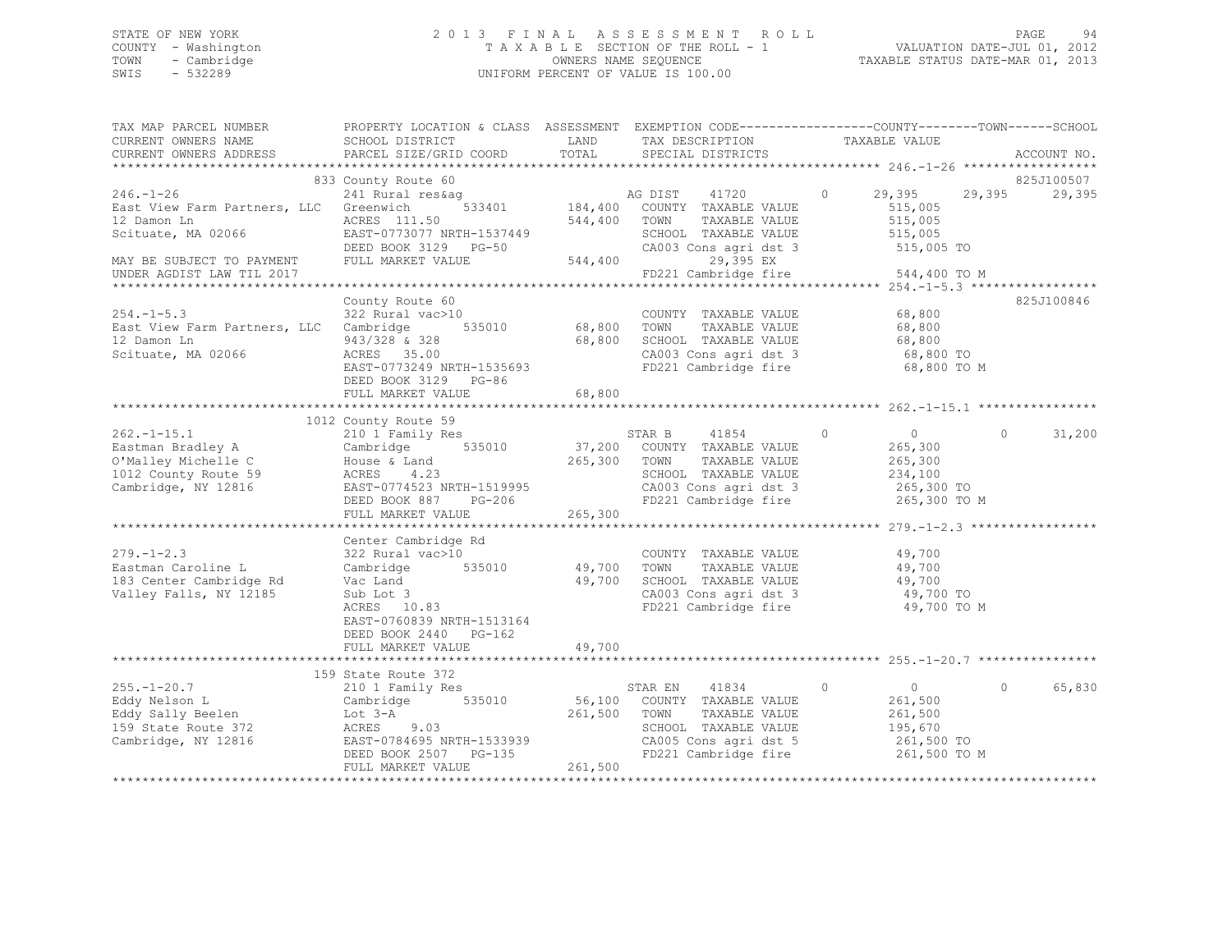## STATE OF NEW YORK 2 0 1 3 F I N A L A S S E S S M E N T R O L L PAGE 94 COUNTY - Washington T A X A B L E SECTION OF THE ROLL - 1 VALUATION DATE-JUL 01, 2012 TOWN - Cambridge OWNERS NAME SEQUENCE TAXABLE STATUS DATE-MAR 01, 2013 SWIS - 532289 UNIFORM PERCENT OF VALUE IS 100.00

| TAX MAP PARCEL NUMBER<br>CURRENT OWNERS NAME<br>CURRENT OWNERS ADDRESS                                      | PROPERTY LOCATION & CLASS ASSESSMENT EXEMPTION CODE----------------COUNTY-------TOWN-----SCHOOL<br>SCHOOL DISTRICT<br>PARCEL SIZE/GRID COORD          | LAND<br>TOTAL                | TAX DESCRIPTION<br>SPECIAL DISTRICTS                                                                                                              | TAXABLE VALUE                                                                                                  | ACCOUNT NO.                    |
|-------------------------------------------------------------------------------------------------------------|-------------------------------------------------------------------------------------------------------------------------------------------------------|------------------------------|---------------------------------------------------------------------------------------------------------------------------------------------------|----------------------------------------------------------------------------------------------------------------|--------------------------------|
|                                                                                                             |                                                                                                                                                       |                              |                                                                                                                                                   |                                                                                                                |                                |
| $246. - 1 - 26$                                                                                             | 833 County Route 60<br>241 Rural res&ag                                                                                                               |                              | AG DIST 41720                                                                                                                                     | 29,395<br>$\Omega$                                                                                             | 825J100507<br>29,395<br>29,395 |
| East View Farm Partners, LLC<br>12 Damon Ln<br>Scituate, MA 02066                                           | 533401<br>Greenwich<br>ACRES 111.50<br>EAST-0773077 NRTH-1537449<br>DEED BOOK 3129 PG-50                                                              | 544,400                      | 184,400 COUNTY TAXABLE VALUE<br>TOWN<br>TAXABLE VALUE<br>SCHOOL TAXABLE VALUE<br>CA003 Cons agri dst 3                                            | 515,005<br>515,005<br>515,005<br>515,005 TO                                                                    |                                |
| MAY BE SUBJECT TO PAYMENT<br>UNDER AGDIST LAW TIL 2017                                                      | FULL MARKET VALUE                                                                                                                                     | 544,400                      | 29,395 EX<br>FD221 Cambridge fire                                                                                                                 | 544,400 TO M                                                                                                   |                                |
|                                                                                                             |                                                                                                                                                       |                              |                                                                                                                                                   |                                                                                                                |                                |
| $254. -1 - 5.3$<br>East View Farm Partners, LLC Cambridge<br>12 Damon Ln<br>Scituate, MA 02066              | County Route 60<br>322 Rural vac>10<br>535010<br>943/328 & 328<br>ACRES 35.00<br>EAST-0773249 NRTH-1535693<br>DEED BOOK 3129 PG-86                    | 68,800                       | COUNTY TAXABLE VALUE<br>TAXABLE VALUE<br>SCHOOL TAXABLE VALUE<br>SUHOOL TAXABLE VALUE<br>CA003 Cons agri dst 3<br>FD221 Cambridge fire            | 68,800<br>68,800<br>68,800<br>68,800 TO<br>68,800 TO M                                                         | 825J100846                     |
|                                                                                                             | FULL MARKET VALUE                                                                                                                                     | 68,800                       |                                                                                                                                                   |                                                                                                                |                                |
|                                                                                                             |                                                                                                                                                       |                              |                                                                                                                                                   |                                                                                                                |                                |
|                                                                                                             | 1012 County Route 59                                                                                                                                  |                              |                                                                                                                                                   |                                                                                                                |                                |
| $262. -1 - 15.1$<br>Eastman Bradley A<br>O'Malley Michelle C<br>1012 County Route 59<br>Cambridge, NY 12816 | 210 1 Family Res<br>535010<br>Cambridge<br>House & Land<br>4.23<br>ACRES<br>EAST-0774523 NRTH-1519995<br>PG-206<br>DEED BOOK 887<br>FULL MARKET VALUE | 37,200<br>265,300<br>265,300 | STAR B<br>41854<br>COUNTY TAXABLE VALUE<br>TOWN<br>TAXABLE VALUE<br>SCHOOL TAXABLE VALUE<br>CA003 Cons agri dst 3                                 | $\overline{0}$<br>$\Omega$<br>265,300<br>265,300<br>234,100<br>265,300 TO<br>FD221 Cambridge fire 265,300 TO M | $\Omega$<br>31,200             |
|                                                                                                             |                                                                                                                                                       |                              |                                                                                                                                                   |                                                                                                                |                                |
| $279. - 1 - 2.3$<br>Eastman Caroline L<br>183 Center Cambridge Rd<br>Valley Falls, NY 12185                 | Center Cambridge Rd<br>322 Rural vac>10<br>Cambridge 535010<br>Vac Land<br>Sub Lot 3<br>ACRES 10.83<br>EAST-0760839 NRTH-1513164                      | 49,700<br>49,700             | COUNTY TAXABLE VALUE<br>TAXABLE VALUE<br>TOWN<br>SCHOOL TAXABLE VALUE<br>CA003 Cons agri dst 3<br>FD221 Cambridge fire                            | 49,700<br>49,700<br>49,700<br>49,700 TO<br>49,700 TO M                                                         |                                |
|                                                                                                             | DEED BOOK 2440 PG-162<br>FULL MARKET VALUE                                                                                                            | 49,700                       |                                                                                                                                                   |                                                                                                                |                                |
|                                                                                                             |                                                                                                                                                       |                              |                                                                                                                                                   |                                                                                                                |                                |
| $255. - 1 - 20.7$<br>Eddy Nelson L<br>Eddy Sally Beelen<br>159 State Route 372<br>Cambridge, NY 12816       | 159 State Route 372<br>210 1 Family Res<br>Cambridge 535010<br>Lot 3-A<br>ACRES 9.03<br>EAST-0784695 NRTH-1533939<br>DEED BOOK 2507 PG-135            | 261,500                      | STAR EN<br>41834<br>56,100 COUNTY TAXABLE VALUE<br>TOWN<br>TAXABLE VALUE<br>SCHOOL TAXABLE VALUE<br>CA005 Cons agri dst 5<br>FD221 Cambridge fire | $\overline{0}$<br>0<br>261,500<br>261,500<br>195,670<br>261,500 TO<br>261,500 TO M                             | 65,830<br>$\circ$              |
|                                                                                                             | FULL MARKET VALUE                                                                                                                                     | 261,500                      |                                                                                                                                                   |                                                                                                                |                                |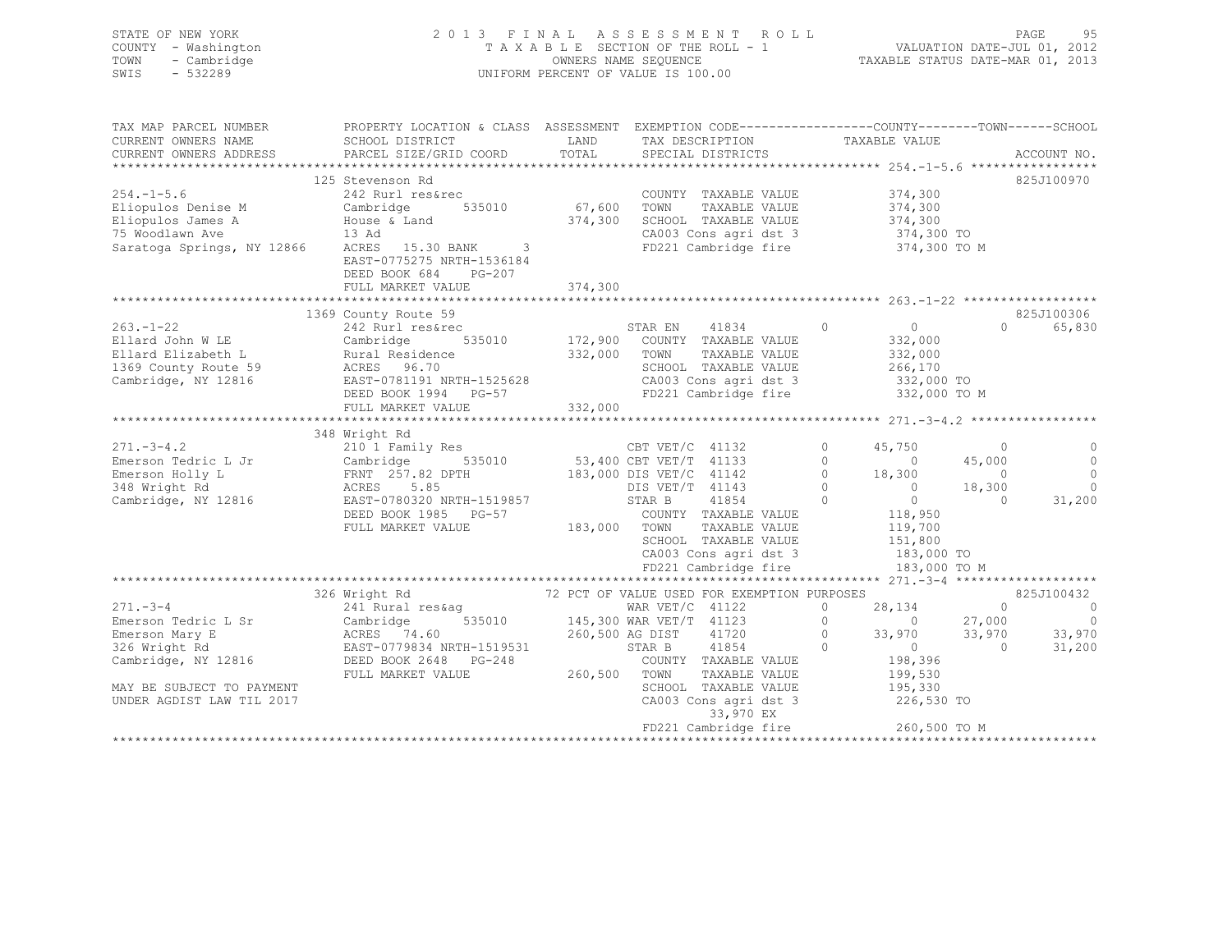| STATE OF NEW YORK<br>COUNTY - Washington<br>- Cambridge<br>TOWN<br>$-532289$<br>SWIS |                                                                                                                                                                                                                                                                                                                                                                                                                                                                  |              | 2013 FINAL ASSESSMENT ROLL<br>TAXABLE SECTION OF THE ROLL - 1<br>TAXABLE SECTION OF THE ROLL - 1<br>OWNERS NAME SEQUENCE TAXABLE STATUS DATE-MAR 01, 2013<br>UNIFORM PERCENT OF VALUE IS 100.00 |                                                                                                                                               |                                      | PAGE<br>95                                          |
|--------------------------------------------------------------------------------------|------------------------------------------------------------------------------------------------------------------------------------------------------------------------------------------------------------------------------------------------------------------------------------------------------------------------------------------------------------------------------------------------------------------------------------------------------------------|--------------|-------------------------------------------------------------------------------------------------------------------------------------------------------------------------------------------------|-----------------------------------------------------------------------------------------------------------------------------------------------|--------------------------------------|-----------------------------------------------------|
| CURRENT OWNERS NAME<br>CURRENT OWNERS ADDRESS                                        | TAX MAP PARCEL NUMBER THE PROPERTY LOCATION & CLASS ASSESSMENT EXEMPTION CODE---------------COUNTY-------TOWN-----SCHOOL<br>SCHOOL DISTRICT<br>PARCEL SIZE/GRID COORD                                                                                                                                                                                                                                                                                            |              | LAND TAX DESCRIPTION TAXABLE VALUE COORD TOTAL SPECIAL DISTRICTS                                                                                                                                |                                                                                                                                               |                                      | ACCOUNT NO.                                         |
|                                                                                      |                                                                                                                                                                                                                                                                                                                                                                                                                                                                  |              |                                                                                                                                                                                                 |                                                                                                                                               |                                      |                                                     |
| $254. - 1 - 5.6$                                                                     | 125 Stevenson Rd<br>242 Rurl res&rec<br>Eliopulos Denise M<br>Eliopulos James A House & Land<br>75 Woodlawn Ave 13 Ad 374,300 SCHOO<br>Saratoga Springs, NY 12866 ACRES 15.30 BANK 3 FD221<br>EAST-0775275 NRTH-1536184<br>DEED BOOK 684 PG-207                                                                                                                                                                                                                  | 374,300      | COUNTY TAXABLE VALUE<br>TAXABLE VALUE<br>SCHOOL TAXABLE VALUE<br>CA003 Cons agri dst 3 374,300 TO<br>FD221 Cambridge fire 374,300 TO M                                                          | 374,300<br>374,300<br>374,300                                                                                                                 |                                      | 825J100970                                          |
|                                                                                      | FULL MARKET VALUE                                                                                                                                                                                                                                                                                                                                                                                                                                                |              |                                                                                                                                                                                                 |                                                                                                                                               |                                      |                                                     |
| $263. - 1 - 22$<br>Ellard John W LE<br>Ellard Elizabeth L                            | 1369 County Route 59<br>242 Rurl res&rec<br>Cambridge<br>Rural Residence<br>ACRES 96.70<br>ACRES 96.70<br>Eliard Elizabeth B<br>1369 County Route 59 ACRES 96.70<br>Cambridge, NY 12816 EAST-0781191 NRTH-1525628<br>DEED BOOK 1994 PG-57<br>FULL MARKET VALUE                                                                                                                                                                                                   | 332,000      | STAR EN 41834<br>535010 172,900 COUNTY TAXABLE VALUE<br>332,000 TOWN<br>TAXABLE VALUE<br>SCHOOL TAXABLE VADOL<br>CA003 Cons agri dst 3<br>FD221 Cambridge fire                                  | $\overline{0}$<br>$\overline{0}$<br>$332,000$<br>$332,000$<br>266,170<br>332,000 TO<br>332,000 TO M                                           | $\sim$ 0<br>45,000                   | 825J100306<br>0 65,830<br>$\circ$<br>$\overline{0}$ |
|                                                                                      | 348 Wright Rd<br>271.-3-4.2 210 1 Family Res<br>Emerson Tedric L Jr Cambridge 535010 53,400 CBT VET/T 41132 0 45,750<br>Emerson Holly L FRNT 257.82 DPTH 183,000 DIS VET/T 41142 0 18,300<br>348 Wright Rd ACRES 5.85<br>Cambridge, NY 1<br>FULL MARKET VALUE                                                                                                                                                                                                    | 183,000 TOWN | TAXABLE VALUE<br>SCHOOL TAXABLE VALUE<br>CA003 Cons agri dst 3<br>FD221 Cambridge fire                                                                                                          | 119,700<br>151,800<br>183,000 TO<br>183,000 TO M                                                                                              | $\overline{0}$<br>18,300<br>$\sim$ 0 | $\bigcirc$<br>$\circ$<br>31,200                     |
|                                                                                      |                                                                                                                                                                                                                                                                                                                                                                                                                                                                  |              |                                                                                                                                                                                                 |                                                                                                                                               |                                      | 825J100432                                          |
| MAY BE SUBJECT TO PAYMENT<br>UNDER AGDIST LAW TIL 2017                               | $\begin{tabular}{lllllllllllllllllllll} \multicolumn{4}{c }{326\text{ Wright Rd}} & 72\text{ PCT OF VALUE USED FOR EXEMENTION PURPOSES} \\ & 326\text{ Wright Rd} & 72\text{ PCT OF VALUE USED FOR EXEMENTION PURPOSES} \\ \multicolumn{4}{c }{E}{\text{E}{\text{merson Tedric L Sr}} & \text{Cambridge} & 535010 & 145,300\text{ WAR VET/T} & 41123 & 0 \\ \multicolumn{4}{c }{E}{\text{merson Mary E}} & \text{ACRES} & 74.60 & 260,500\text{ AG DIST} & 4172$ |              | SCHOOL TAXABLE VALUE<br>CA003 Cons agri dst 3<br>33,970 EX<br>FD221 Cambridge fire                                                                                                              | 28,134<br>$41123$ 0 0<br>41720 0 33,970<br>$33,970$ $33,970$<br>$\overline{0}$<br>198,396<br>199,530<br>195,330<br>226,530 TO<br>260,500 TO M | $\Omega$<br>27,000<br>$\overline{0}$ | $\sim$ 0<br>$\overline{0}$<br>33,970<br>31,200      |

\*\*\*\*\*\*\*\*\*\*\*\*\*\*\*\*\*\*\*\*\*\*\*\*\*\*\*\*\*\*\*\*\*\*\*\*\*\*\*\*\*\*\*\*\*\*\*\*\*\*\*\*\*\*\*\*\*\*\*\*\*\*\*\*\*\*\*\*\*\*\*\*\*\*\*\*\*\*\*\*\*\*\*\*\*\*\*\*\*\*\*\*\*\*\*\*\*\*\*\*\*\*\*\*\*\*\*\*\*\*\*\*\*\*\*\*\*\*\*\*\*\*\*\*\*\*\*\*\*\*\*\*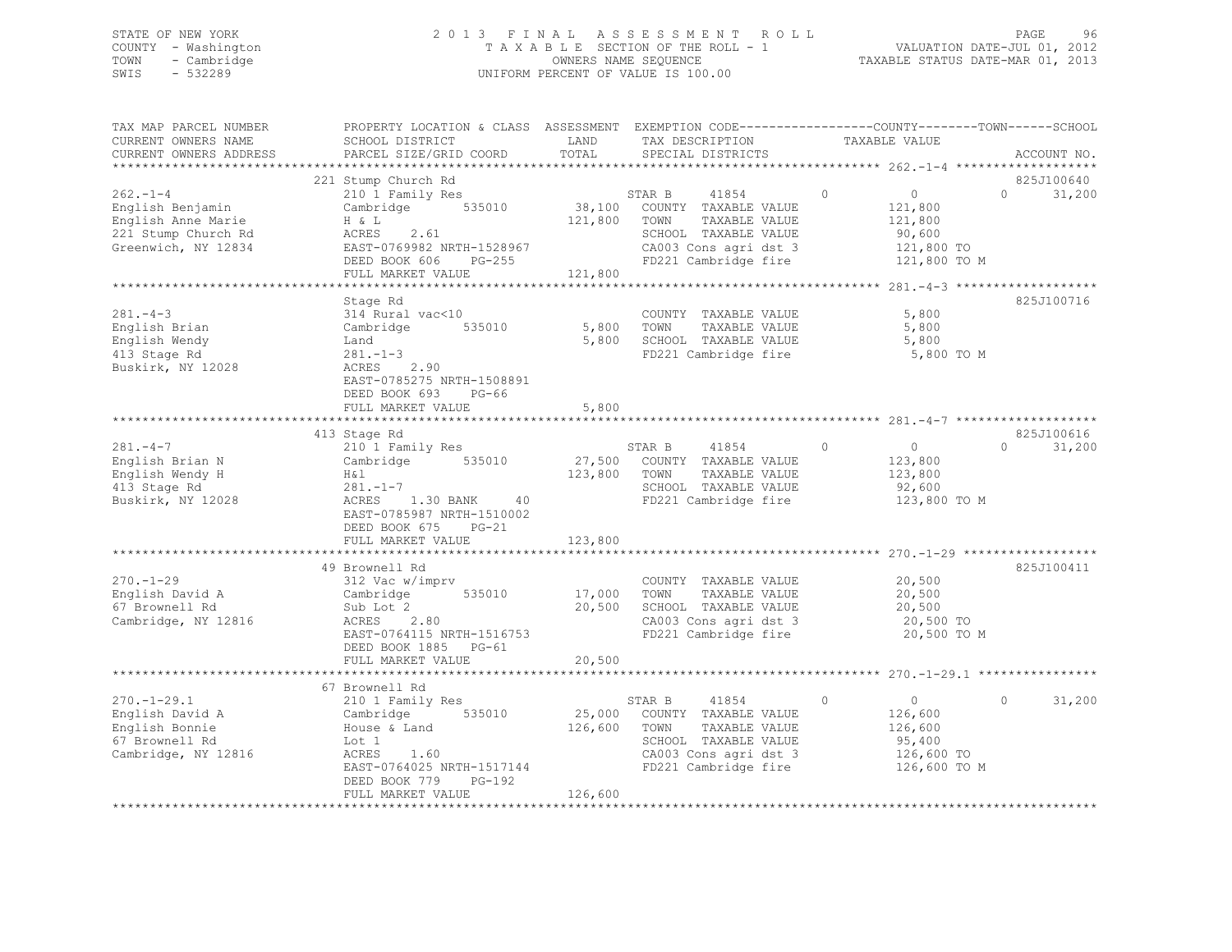## STATE OF NEW YORK 2 0 1 3 F I N A L A S S E S S M E N T R O L L PAGE 96 COUNTY - Washington T A X A B L E SECTION OF THE ROLL - 1 VALUATION DATE-JUL 01, 2012 TOWN - Cambridge OWNERS NAME SEQUENCE TAXABLE STATUS DATE-MAR 01, 2013 SWIS - 532289 UNIFORM PERCENT OF VALUE IS 100.00

| TAX MAP PARCEL NUMBER<br>CURRENT OWNERS NAME<br>CURRENT OWNERS ADDRESS                                | PROPERTY LOCATION & CLASS ASSESSMENT EXEMPTION CODE----------------COUNTY-------TOWN------SCHOOL<br>SCHOOL DISTRICT<br>PARCEL SIZE/GRID COORD                                                     | LAND<br>TOTAL           | TAX DESCRIPTION<br>SPECIAL DISTRICTS                                                                                                                                  | TAXABLE VALUE                                                             | ACCOUNT NO.                      |
|-------------------------------------------------------------------------------------------------------|---------------------------------------------------------------------------------------------------------------------------------------------------------------------------------------------------|-------------------------|-----------------------------------------------------------------------------------------------------------------------------------------------------------------------|---------------------------------------------------------------------------|----------------------------------|
| $262 - 1 - 4$<br>English Benjamin<br>English Anne Marie<br>221 Stump Church Rd<br>Greenwich, NY 12834 | 221 Stump Church Rd<br>210 1 Family Res<br>Cambridge 535010<br>H & L<br>ACRES 2.61<br>EAST-0769982 NRTH-1528967<br>DEED BOOK 606 PG-255<br>FIILI MAREE WAY<br>FULL MARKET VALUE                   | 121,800<br>121,800      | STAR B 41854<br>38,100 COUNTY TAXABLE VALUE<br>TOWN<br>TAXABLE VALUE<br>SCHOOL TAXABLE VALUE<br>CA003 Cons agri dst 3 121,800 TO<br>FD221 Cambridge fire 121,800 TO M | 0<br>$\circ$<br>121,800<br>121,800<br>90,600                              | 825J100640<br>$\Omega$<br>31,200 |
| $281 - 4 - 3$<br>English Brian<br>English Wendy<br>413 Stage Rd<br>Buskirk, NY 12028                  | Stage Rd<br>314 Rural vac<10<br>Cambridge 535010<br>281.-1-3<br>ACRES 2.90<br>EASE 2.90<br>EAST-0785275 NRTH-1508891<br>DEED BOOK 693 PG-66<br>FULL MARKET VALUE                                  | 5,800 TOWN<br>5,800     | COUNTY TAXABLE VALUE<br>TAXABLE VALUE<br>5,800 SCHOOL TAXABLE VALUE<br>FD221 Cambridge fire                                                                           | 5,800<br>5,800<br>5,800<br>5,800 TO M                                     | 825J100716                       |
| $281 - 4 - 7$<br>English Brian N<br>English Wendy H<br>413 Stage Rd<br>Buskirk, NY 12028              | 413 Stage Rd<br>210 <sup>1</sup> Family Res<br>Cambridge 535010<br>H & l<br>$281. - 1 - 7$<br>1.30 BANK 40<br>ACRES<br>EAST-0785987 NRTH-1510002<br>DEED BOOK 675<br>$PG-21$<br>FULL MARKET VALUE | 123,800 TOWN<br>123,800 | STAR B<br>41854<br>27,500 COUNTY TAXABLE VALUE<br>TAXABLE VALUE<br>SCHOOL TAXABLE VALUE<br>FD221 Cambridge fire                                                       | $\circ$<br>$\overline{0}$<br>123,800<br>123,800<br>92,600<br>123,800 TO M | 825J100616<br>$\Omega$<br>31,200 |
| $270. - 1 - 29$<br>English David A<br>67 Brownell Rd<br>Cambridge, NY 12816                           | 49 Brownell Rd<br>312 Vac w/imprv<br>$312$ vac w/impi.<br>Cambridge 535010<br>Sub Lot 2<br>ACRES 2.80<br>EAST-0764115 NRTH-1516753<br>DEED BOOK 1885 PG-61                                        | 17,000 TOWN<br>20,500   | COUNTY TAXABLE VALUE<br>TAXABLE VALUE<br>SCHOOL TAXABLE VALUE<br>CA003 Cons agri dst 3<br>FD221 Cambridge fire                                                        | 20,500<br>20,500<br>20,500<br>20,500 TO<br>20,500 TO M                    | 825J100411                       |
| $270. - 1 - 29.1$<br>English David A<br>English Bonnie<br>67 Brownell Rd<br>Cambridge, NY 12816       | 67 Brownell Rd<br>210 1 Family Res<br>Cambridge 535010<br>House & Land<br>Lot 1<br>ACRES 1.60<br>EAST-0764025 NRTH-1517144<br>DEED BOOK 779 PG-192<br>FULL MARKET VALUE                           | 126,600                 | STAR B 41854<br>25,000 COUNTY TAXABLE VALUE<br>126,600 TOWN<br>TAXABLE VALUE<br>SCHOOL TAXABLE VALUE<br>CA003 Cons agri dst 3<br>FD221 Cambridge fire 126,600 TO M    | $\circ$<br>$\overline{0}$<br>126,600<br>126,600<br>95,400<br>126,600 TO   | 31,200<br>$\Omega$               |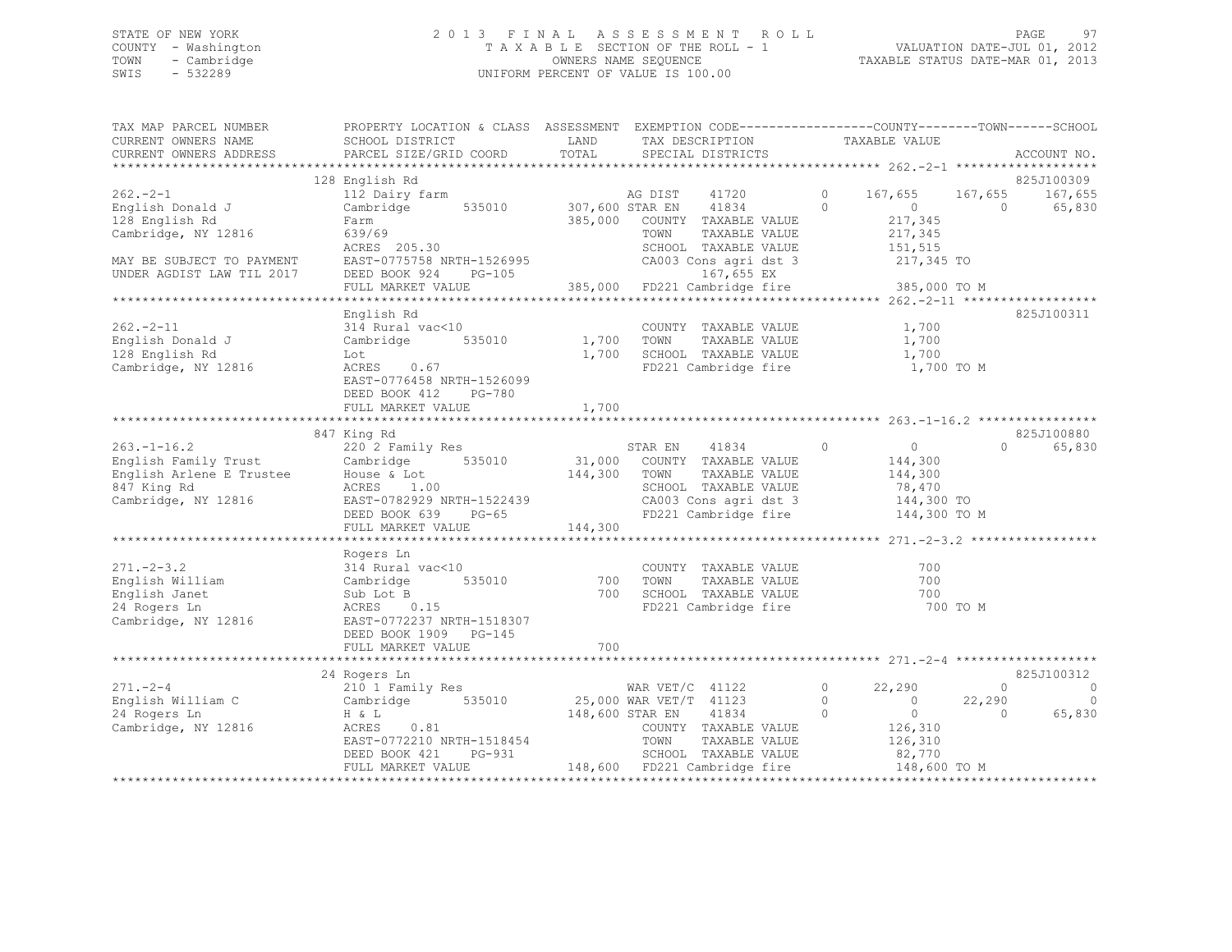## STATE OF NEW YORK 2 0 1 3 F I N A L A S S E S S M E N T R O L L PAGE 97 COUNTY - Washington T A X A B L E SECTION OF THE ROLL - 1 VALUATION DATE-JUL 01, 2012 TOWN - Cambridge OWNERS NAME SEQUENCE TAXABLE STATUS DATE-MAR 01, 2013 SWIS - 532289 UNIFORM PERCENT OF VALUE IS 100.00

|                                          | TOTAL                                                                                                                                                                                                                                                                                                                                                                                                                                                                                                                                                                                  |                                                                                                                                                                              | TAX DESCRIPTION TAXABLE VALUE SPECIAL DISTRICTS                                                                 |                                                                                                                                                                                                                                                                                          |                                                                                                                                                                                                                                   |                                                                    | ACCOUNT NO.                                                                                                                                                   |
|------------------------------------------|----------------------------------------------------------------------------------------------------------------------------------------------------------------------------------------------------------------------------------------------------------------------------------------------------------------------------------------------------------------------------------------------------------------------------------------------------------------------------------------------------------------------------------------------------------------------------------------|------------------------------------------------------------------------------------------------------------------------------------------------------------------------------|-----------------------------------------------------------------------------------------------------------------|------------------------------------------------------------------------------------------------------------------------------------------------------------------------------------------------------------------------------------------------------------------------------------------|-----------------------------------------------------------------------------------------------------------------------------------------------------------------------------------------------------------------------------------|--------------------------------------------------------------------|---------------------------------------------------------------------------------------------------------------------------------------------------------------|
| 128 English Rd                           |                                                                                                                                                                                                                                                                                                                                                                                                                                                                                                                                                                                        |                                                                                                                                                                              |                                                                                                                 |                                                                                                                                                                                                                                                                                          |                                                                                                                                                                                                                                   |                                                                    | 825J100309                                                                                                                                                    |
| Farm                                     |                                                                                                                                                                                                                                                                                                                                                                                                                                                                                                                                                                                        | TOWN                                                                                                                                                                         | 41720<br>41834<br>TAXABLE VALUE                                                                                 | $\circ$                                                                                                                                                                                                                                                                                  | $\overline{0}$<br>217,345<br>217,345<br>151,515                                                                                                                                                                                   | $\Omega$                                                           | 167,655 167,655<br>65,830                                                                                                                                     |
|                                          |                                                                                                                                                                                                                                                                                                                                                                                                                                                                                                                                                                                        |                                                                                                                                                                              | 167,655 EX                                                                                                      |                                                                                                                                                                                                                                                                                          |                                                                                                                                                                                                                                   |                                                                    |                                                                                                                                                               |
|                                          |                                                                                                                                                                                                                                                                                                                                                                                                                                                                                                                                                                                        |                                                                                                                                                                              |                                                                                                                 |                                                                                                                                                                                                                                                                                          |                                                                                                                                                                                                                                   |                                                                    |                                                                                                                                                               |
| English Rd<br>314 Rural vac<10<br>PG-780 |                                                                                                                                                                                                                                                                                                                                                                                                                                                                                                                                                                                        | TOWN                                                                                                                                                                         |                                                                                                                 |                                                                                                                                                                                                                                                                                          | 1,700<br>1,700<br>1,700                                                                                                                                                                                                           |                                                                    | 825J100311                                                                                                                                                    |
|                                          |                                                                                                                                                                                                                                                                                                                                                                                                                                                                                                                                                                                        |                                                                                                                                                                              |                                                                                                                 |                                                                                                                                                                                                                                                                                          |                                                                                                                                                                                                                                   |                                                                    |                                                                                                                                                               |
| FULL MARKET VALUE                        |                                                                                                                                                                                                                                                                                                                                                                                                                                                                                                                                                                                        |                                                                                                                                                                              | TAXABLE VALUE                                                                                                   | $\circ$                                                                                                                                                                                                                                                                                  | $\overline{0}$<br>144,300<br>144,300<br>78,470                                                                                                                                                                                    |                                                                    | 825J100880<br>65,830                                                                                                                                          |
|                                          |                                                                                                                                                                                                                                                                                                                                                                                                                                                                                                                                                                                        |                                                                                                                                                                              |                                                                                                                 |                                                                                                                                                                                                                                                                                          |                                                                                                                                                                                                                                   |                                                                    |                                                                                                                                                               |
| 314 Rural vac<10<br>535010<br>0.15       | 700<br>700                                                                                                                                                                                                                                                                                                                                                                                                                                                                                                                                                                             | TOWN                                                                                                                                                                         | TAXABLE VALUE                                                                                                   |                                                                                                                                                                                                                                                                                          | 700<br>700<br>700                                                                                                                                                                                                                 |                                                                    |                                                                                                                                                               |
|                                          |                                                                                                                                                                                                                                                                                                                                                                                                                                                                                                                                                                                        |                                                                                                                                                                              |                                                                                                                 |                                                                                                                                                                                                                                                                                          |                                                                                                                                                                                                                                   |                                                                    |                                                                                                                                                               |
|                                          |                                                                                                                                                                                                                                                                                                                                                                                                                                                                                                                                                                                        |                                                                                                                                                                              |                                                                                                                 |                                                                                                                                                                                                                                                                                          |                                                                                                                                                                                                                                   |                                                                    | 825J100312                                                                                                                                                    |
| 0.81<br>FULL MARKET VALUE                |                                                                                                                                                                                                                                                                                                                                                                                                                                                                                                                                                                                        | TOWN                                                                                                                                                                         | 41834<br>TAXABLE VALUE                                                                                          | $\circ$<br>$\circ$<br>$\circ$                                                                                                                                                                                                                                                            | 22,290<br>$\overline{0}$<br>$\overline{0}$<br>126,310<br>82,770                                                                                                                                                                   | 22,290<br>$\overline{0}$                                           | 0<br>$\overline{0}$<br>65,830                                                                                                                                 |
|                                          | 112 Dairy farm<br>639/69<br>ACRES 205.30<br>DEED BOOK 924 PG-105<br>FULL MARKET VALUE<br>Cambridge<br>Lot<br>ACRES 0.67<br>EAST-0776458 NRTH-1526099<br>DEED BOOK 412<br>FULL MARKET VALUE<br>847 King Rd<br>220 2 Family Res<br>English Family Trust Cambridge 535010<br>House & Lot<br>ACRES 1.00<br>DEED BOOK 639 PG-65<br>Rogers Ln<br>Cambridge<br>Sub Lot B<br>ACRES<br>EAST-0772237 NRTH-1518307<br>DEED BOOK 1909 PG-145<br>FULL MARKET VALUE<br>*******************************<br>24 Rogers Ln<br>210 1 Family Res<br>Cambridge 535010<br>$H \& L$<br>ACRES<br>DEED BOOK 421 | MAY BE SUBJECT TO PAYMENT EAST-0775758 NRTH-1526995<br>UNDER AGDIST LAW TIL 2017 DEED BOOK 924 PG-105<br>1,700<br>700<br>EAST-0772210 NRTH-1518454<br>NRTH-1518454<br>PG-931 | AG DIST<br>535010 1,700<br>1,700<br>144,300 TOWN<br>EAST-0782929 NRTH-1522439<br>DEED BOOK 639 PG-65<br>144,300 | Cambridge 535010 307,600 STAR EN<br>385,000 COUNTY TAXABLE VALUE<br>SCHOOL TAXABLE VALUE<br>STAR EN 41834<br>31,000 COUNTY TAXABLE VALUE<br>SCHOOL TAXABLE VALUE<br>WAR VET/C 41122<br>25,000 WAR VET/T 41123<br>148,600 STAR EN<br>SCHOOL TAXABLE VALUE<br>148,600 FD221 Cambridge fire | $\overline{0}$<br>CA003 Cons agri dst 3<br>COUNTY TAXABLE VALUE<br>TAXABLE VALUE<br>SCHOOL TAXABLE VALUE<br>CA003 Cons agri dst 3<br>FD221 Cambridge fire<br>COUNTY TAXABLE VALUE<br>SCHOOL TAXABLE VALUE<br>COUNTY TAXABLE VALUE | 167,655<br>FD221 Cambridge fire<br>FD221 Cambridge fire<br>126,310 | 217,345 TO<br>385,000 FD221 Cambridge fire 385,000 TO M<br>1,700 TO M<br>$\Omega$<br>144,300 TO<br>144,300 TO M<br>700 TO M<br>$\overline{0}$<br>148,600 TO M |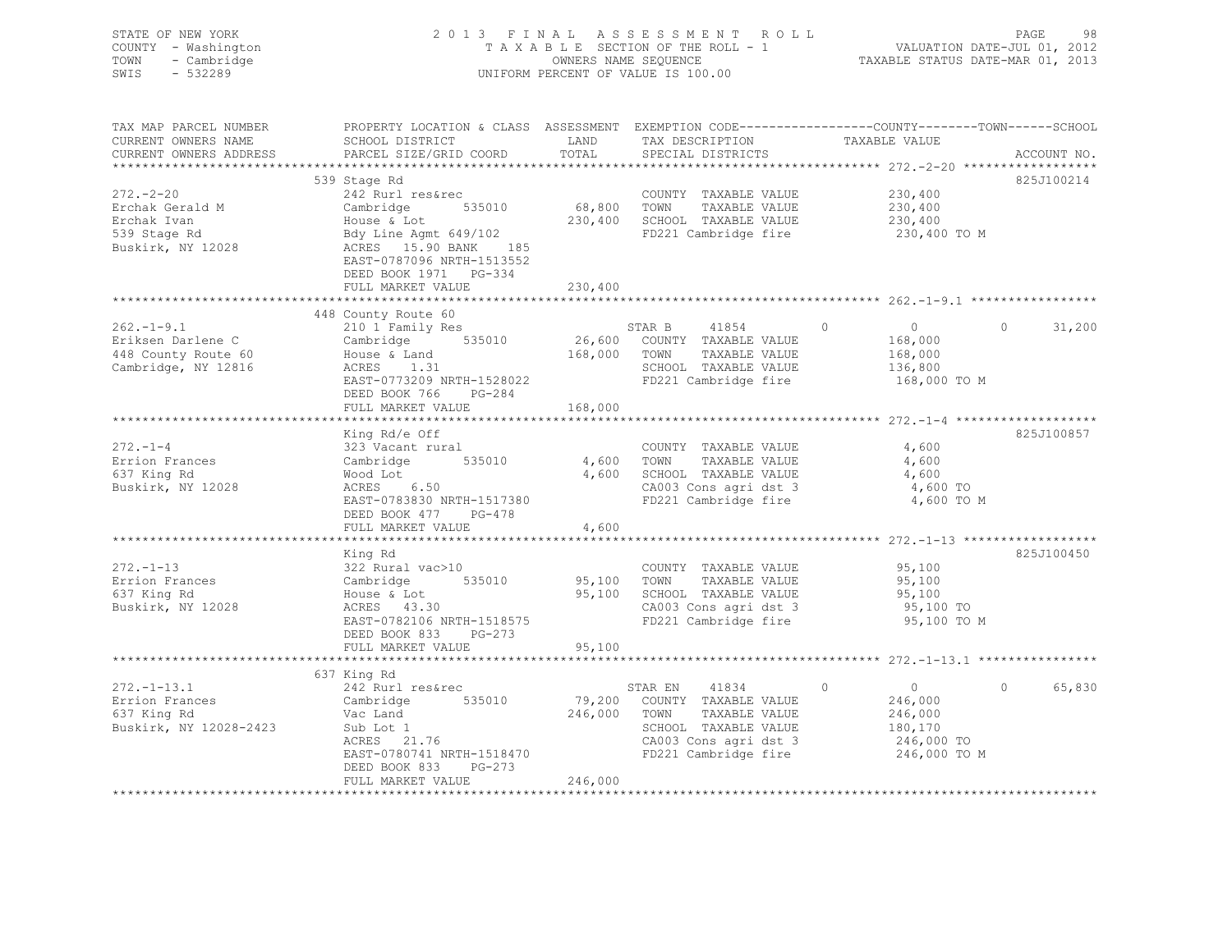| STATE OF NEW YORK<br>COUNTY - Washington<br>TOWN<br>- Cambridge<br>SWIS<br>$-532289$ |                                                                                                                                                                                                                                                         |             | 2013 FINAL ASSESSMENT ROLL<br>TAXABLE SECTION OF THE ROLL - 1<br>OWNERS NAME SEQUENCE<br>UNIFORM PERCENT OF VALUE IS 100.00 | VALUATION DATE-JUL 01, 2012<br>TAXABLE STATUS DATE-MAR 01, 2013 | PAGE<br>98         |
|--------------------------------------------------------------------------------------|---------------------------------------------------------------------------------------------------------------------------------------------------------------------------------------------------------------------------------------------------------|-------------|-----------------------------------------------------------------------------------------------------------------------------|-----------------------------------------------------------------|--------------------|
| TAX MAP PARCEL NUMBER<br>CURRENT OWNERS NAME<br>CURRENT OWNERS ADDRESS               | PROPERTY LOCATION & CLASS ASSESSMENT EXEMPTION CODE------------------COUNTY-------TOWN------SCHOOL<br>SCHOOL DISTRICT LAND TAX DESCRIPTION TAXABLE VALUE<br>PARCEL SIZE/CRID COOPD TOTAL SPECIAL DISTRICTS ARCHIVE ACCOUNTINO<br>PARCEL SIZE/GRID COORD | TOTAL       | SPECIAL DISTRICTS                                                                                                           |                                                                 | ACCOUNT NO.        |
|                                                                                      | 539 Stage Rd                                                                                                                                                                                                                                            |             |                                                                                                                             |                                                                 | 825J100214         |
| $272 - 2 - 20$                                                                       | 242 Rurl res&rec                                                                                                                                                                                                                                        |             | COUNTY TAXABLE VALUE                                                                                                        | 230,400                                                         |                    |
| Erchak Gerald M                                                                      | 535010<br>Cambridge                                                                                                                                                                                                                                     | 68,800 TOWN | TAXABLE VALUE                                                                                                               | 230,400                                                         |                    |
| Erchak Ivan                                                                          | House & Lot                                                                                                                                                                                                                                             |             | 230,400 SCHOOL TAXABLE VALUE                                                                                                | 230,400                                                         |                    |
| 539 Stage Rd                                                                         | Bdy Line Agmt 649/102<br>ACRES 15.90 BANK 185                                                                                                                                                                                                           |             |                                                                                                                             | FD221 Cambridge fire 230,400 TO M                               |                    |
| Buskirk, NY 12028                                                                    | EAST-0787096 NRTH-1513552<br>DEED BOOK 1971 PG-334                                                                                                                                                                                                      |             |                                                                                                                             |                                                                 |                    |
|                                                                                      | FULL MARKET VALUE                                                                                                                                                                                                                                       | 230,400     |                                                                                                                             |                                                                 |                    |
|                                                                                      | 448 County Route 60                                                                                                                                                                                                                                     |             |                                                                                                                             |                                                                 |                    |
| $262. -1 - 9.1$                                                                      | 210 1 Family Res                                                                                                                                                                                                                                        |             | STAR B 41854                                                                                                                | $\circ$<br>$\overline{0}$                                       | $\circ$<br>31,200  |
| Eriksen Darlene C                                                                    | Cambridge 535010                                                                                                                                                                                                                                        |             | 26,600 COUNTY TAXABLE VALUE                                                                                                 | 168,000                                                         |                    |
| 448 County Route 60                                                                  | House & Land                                                                                                                                                                                                                                            | 168,000     | TOWN TAXABLE VALUE                                                                                                          | 168,000                                                         |                    |
| Cambridge, NY 12816                                                                  | ACRES 1.31                                                                                                                                                                                                                                              |             | SCHOOL TAXABLE VALUE                                                                                                        | 136,800                                                         |                    |
|                                                                                      | EAST-0773209 NRTH-1528022<br>DEED BOOK 766 PG-284                                                                                                                                                                                                       |             | FD221 Cambridge fire                                                                                                        | 168,000 TO M                                                    |                    |
|                                                                                      | FULL MARKET VALUE                                                                                                                                                                                                                                       | 168,000     |                                                                                                                             |                                                                 |                    |
|                                                                                      | King Rd/e Off                                                                                                                                                                                                                                           |             |                                                                                                                             |                                                                 | 825J100857         |
| $272 - 1 - 4$                                                                        | 323 Vacant rural                                                                                                                                                                                                                                        |             | COUNTY TAXABLE VALUE                                                                                                        | 4,600                                                           |                    |
| Errion Frances                                                                       | Cambridge 535010                                                                                                                                                                                                                                        | 4,600       | TOWN TAXABLE VALUE                                                                                                          | 4,600                                                           |                    |
| 637 King Rd                                                                          |                                                                                                                                                                                                                                                         |             | 4,600 SCHOOL TAXABLE VALUE                                                                                                  | 4,600                                                           |                    |
| Buskirk, NY 12028                                                                    | - المسر - -<br>ACRES 6.50<br>EAST-078221                                                                                                                                                                                                                |             | CA003 Cons agri dst 3                                                                                                       | 4,600 TO                                                        |                    |
|                                                                                      | EAST-0783830 NRTH-1517380<br>DEED BOOK 477 PG-478                                                                                                                                                                                                       |             | FD221 Cambridge fire                                                                                                        | 4,600 TO M                                                      |                    |
|                                                                                      | FULL MARKET VALUE                                                                                                                                                                                                                                       | 4,600       |                                                                                                                             |                                                                 |                    |
|                                                                                      | King Rd                                                                                                                                                                                                                                                 |             |                                                                                                                             |                                                                 | 825J100450         |
| $272. -1 - 13$                                                                       | 322 Rural vac>10                                                                                                                                                                                                                                        |             | COUNTY TAXABLE VALUE                                                                                                        | 95,100                                                          |                    |
| Errion Frances                                                                       |                                                                                                                                                                                                                                                         | 95,100      | TOWN TAXABLE VALUE                                                                                                          | 95,100                                                          |                    |
| 637 King Rd                                                                          | Cambridge 535010<br>House & Lot                                                                                                                                                                                                                         | 95,100      | SCHOOL TAXABLE VALUE                                                                                                        | 95,100                                                          |                    |
| Buskirk, NY 12028                                                                    | $\begin{array}{ll}\text{arcsec }\alpha & \text{hot} \\ \text{ACRES} & 43.30 \\ \text{FART} & \text{CT} & \text{C} \\ \end{array}$                                                                                                                       |             | CA003 Cons agri dst 3                                                                                                       | 95,100 TO                                                       |                    |
|                                                                                      | EAST-0782106 NRTH-1518575                                                                                                                                                                                                                               |             | FD221 Cambridge fire                                                                                                        | 95,100 TO M                                                     |                    |
|                                                                                      | DEED BOOK 833 PG-273<br>FULL MARKET VALUE                                                                                                                                                                                                               | 95,100      |                                                                                                                             |                                                                 |                    |
|                                                                                      |                                                                                                                                                                                                                                                         |             |                                                                                                                             |                                                                 |                    |
|                                                                                      | 637 King Rd                                                                                                                                                                                                                                             |             |                                                                                                                             |                                                                 |                    |
| $272. - 1 - 13.1$                                                                    | 242 Rurl res&rec                                                                                                                                                                                                                                        |             | STAR EN 41834                                                                                                               | $\Omega$<br>$\overline{0}$                                      | 65,830<br>$\Omega$ |
| Errion Frances                                                                       | Cambridge 535010                                                                                                                                                                                                                                        |             | 79,200 COUNTY TAXABLE VALUE                                                                                                 | 246,000                                                         |                    |
| 637 King Rd                                                                          | Vac Land                                                                                                                                                                                                                                                | 246,000     | TAXABLE VALUE<br>TOWN                                                                                                       | 246,000                                                         |                    |
| Buskirk, NY 12028-2423                                                               | Sub Lot 1                                                                                                                                                                                                                                               |             | SCHOOL TAXABLE VALUE                                                                                                        | 180,170                                                         |                    |
|                                                                                      | ACRES 21.76                                                                                                                                                                                                                                             |             | CA003 Cons agri dst 3                                                                                                       | 246,000 TO                                                      |                    |
|                                                                                      | EAST-0780741 NRTH-1518470<br>DEED BOOK 833<br>PG-273                                                                                                                                                                                                    |             | FD221 Cambridge fire                                                                                                        | 246,000 TO M                                                    |                    |
|                                                                                      | FULL MARKET VALUE                                                                                                                                                                                                                                       | 246,000     |                                                                                                                             |                                                                 |                    |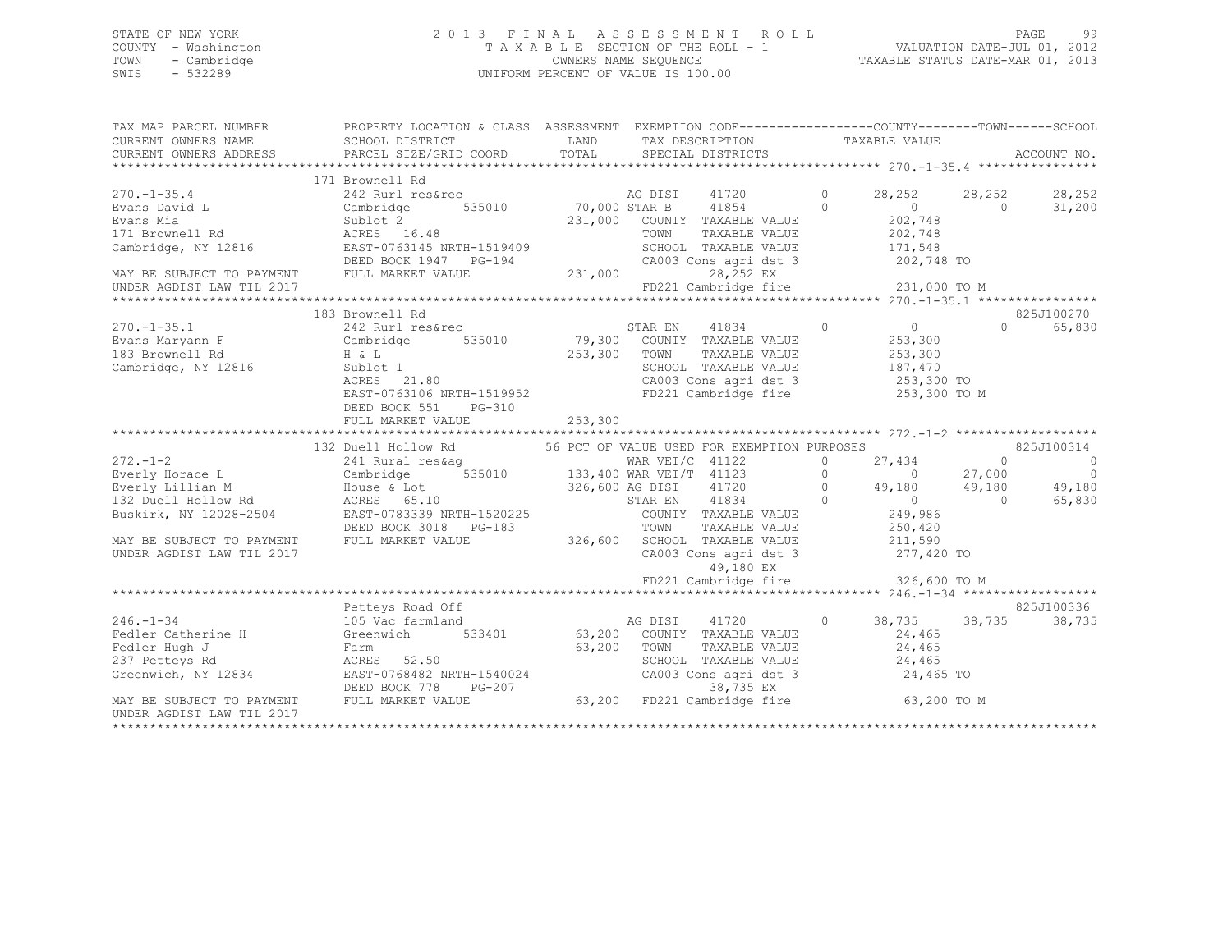## STATE OF NEW YORK 2 0 1 3 F I N A L A S S E S S M E N T R O L L PAGE 99 COUNTY - Washington T A X A B L E SECTION OF THE ROLL - 1 VALUATION DATE-JUL 01, 2012 TOWN - Cambridge OWNERS NAME SEQUENCE TAXABLE STATUS DATE-MAR 01, 2013 SWIS - 532289 UNIFORM PERCENT OF VALUE IS 100.00

| TAX MAP PARCEL NUMBER     | PROPERTY LOCATION & CLASS ASSESSMENT EXEMPTION CODE---------------COUNTY-------TOWN-----SCHOOL                                                                                                                                                                                                                          |                                                                                                               |                             |                  |                    |
|---------------------------|-------------------------------------------------------------------------------------------------------------------------------------------------------------------------------------------------------------------------------------------------------------------------------------------------------------------------|---------------------------------------------------------------------------------------------------------------|-----------------------------|------------------|--------------------|
|                           | 171 Brownell Rd                                                                                                                                                                                                                                                                                                         |                                                                                                               |                             |                  |                    |
| $270. -1 - 35.4$          |                                                                                                                                                                                                                                                                                                                         |                                                                                                               |                             | 28,252 28,252    | 28,252             |
|                           |                                                                                                                                                                                                                                                                                                                         |                                                                                                               |                             | $0$ 0<br>202,748 | 31,200             |
|                           |                                                                                                                                                                                                                                                                                                                         |                                                                                                               |                             |                  |                    |
|                           |                                                                                                                                                                                                                                                                                                                         |                                                                                                               |                             |                  |                    |
|                           |                                                                                                                                                                                                                                                                                                                         |                                                                                                               |                             |                  |                    |
|                           |                                                                                                                                                                                                                                                                                                                         |                                                                                                               |                             |                  |                    |
|                           |                                                                                                                                                                                                                                                                                                                         |                                                                                                               |                             |                  |                    |
|                           |                                                                                                                                                                                                                                                                                                                         |                                                                                                               |                             |                  |                    |
|                           | Evans Mia<br>Example 1 Represented the State of School of the TAXABLE VALUE<br>EXAMPLE VALUE<br>The Subset of School of TaxaBLE VALUE<br>Cambridge, NY 12816<br>MAY BE SUBJECT TO PAYMENT<br>MAY BE SUBJECT TO PAYMENT<br>MAY BE SUBJECT TO                                                                             |                                                                                                               |                             |                  |                    |
|                           | 183 Brownell Rd                                                                                                                                                                                                                                                                                                         |                                                                                                               |                             |                  | 825J100270         |
|                           |                                                                                                                                                                                                                                                                                                                         |                                                                                                               |                             |                  | 65,830<br>$\Omega$ |
|                           |                                                                                                                                                                                                                                                                                                                         |                                                                                                               |                             |                  |                    |
|                           |                                                                                                                                                                                                                                                                                                                         |                                                                                                               |                             |                  |                    |
|                           |                                                                                                                                                                                                                                                                                                                         |                                                                                                               |                             |                  |                    |
|                           |                                                                                                                                                                                                                                                                                                                         |                                                                                                               |                             |                  |                    |
|                           |                                                                                                                                                                                                                                                                                                                         |                                                                                                               |                             |                  |                    |
|                           |                                                                                                                                                                                                                                                                                                                         |                                                                                                               |                             |                  |                    |
|                           |                                                                                                                                                                                                                                                                                                                         |                                                                                                               |                             |                  |                    |
|                           | $[272.-1-2] \put(0,0) {\bf 132 {\bf 100}} \put(10,0) {\bf 133} \put(20,0) {\bf 134} \put(20,0) {\bf 135} \put(20,0) {\bf 136} \put(20,0) {\bf 137} \put(20,0) {\bf 138} \put(20,0) {\bf 139} \put(20,0) {\bf 139} \put(20,0) {\bf 139} \put(20,0) {\bf 139} \put(20,0) {\bf 139} \put(20,0) {\bf 139} \put(20,0) {\bf $ |                                                                                                               |                             |                  |                    |
|                           |                                                                                                                                                                                                                                                                                                                         |                                                                                                               |                             |                  |                    |
|                           |                                                                                                                                                                                                                                                                                                                         |                                                                                                               |                             |                  |                    |
|                           |                                                                                                                                                                                                                                                                                                                         |                                                                                                               |                             |                  |                    |
|                           |                                                                                                                                                                                                                                                                                                                         |                                                                                                               |                             |                  |                    |
|                           |                                                                                                                                                                                                                                                                                                                         |                                                                                                               |                             |                  |                    |
|                           |                                                                                                                                                                                                                                                                                                                         |                                                                                                               |                             |                  |                    |
|                           |                                                                                                                                                                                                                                                                                                                         |                                                                                                               |                             |                  |                    |
|                           |                                                                                                                                                                                                                                                                                                                         |                                                                                                               |                             |                  |                    |
|                           |                                                                                                                                                                                                                                                                                                                         |                                                                                                               |                             |                  |                    |
|                           |                                                                                                                                                                                                                                                                                                                         | 49,180 EX<br>FD221 Cambridge fire 326,600 TO M                                                                |                             |                  |                    |
|                           |                                                                                                                                                                                                                                                                                                                         |                                                                                                               |                             |                  |                    |
|                           | Petteys Road Off                                                                                                                                                                                                                                                                                                        |                                                                                                               |                             |                  | 825J100336         |
|                           | 246.-1-34 105 Vac farmland ag DIST 41720<br>Fedler Catherine H Greenwich 533401 63,200 COUNTY TAXABLE VALUE                                                                                                                                                                                                             |                                                                                                               | $0$ 38, 735 38, 735 38, 735 |                  |                    |
|                           |                                                                                                                                                                                                                                                                                                                         |                                                                                                               | 24,465                      |                  |                    |
|                           |                                                                                                                                                                                                                                                                                                                         |                                                                                                               |                             |                  |                    |
|                           |                                                                                                                                                                                                                                                                                                                         |                                                                                                               |                             |                  |                    |
|                           |                                                                                                                                                                                                                                                                                                                         | TOWN TAXABLE VALUE<br>SCHOOL TAXABLE VALUE<br>CA003 Cons agri dst 3 24,465<br>CA003 Cons agri dst 3 24,465 TO |                             |                  |                    |
|                           |                                                                                                                                                                                                                                                                                                                         |                                                                                                               |                             |                  |                    |
|                           | Feder Hugh J<br>Fact Caller Hugh J<br>Starm FaxABLE VALUE<br>Creenwich, NY 12834<br>CRES 52.50<br>Greenwich, NY 12834<br>DEED BOOK 778 PG-207<br>MAY BE SUBJECT TO PAYMENT FULL MARKET VALUE<br>MAY BE SUBJECT TO PAYMENT FULL MARKET VALUE<br>M                                                                        |                                                                                                               |                             |                  |                    |
| UNDER AGDIST LAW TIL 2017 |                                                                                                                                                                                                                                                                                                                         |                                                                                                               |                             |                  |                    |
|                           |                                                                                                                                                                                                                                                                                                                         |                                                                                                               |                             |                  |                    |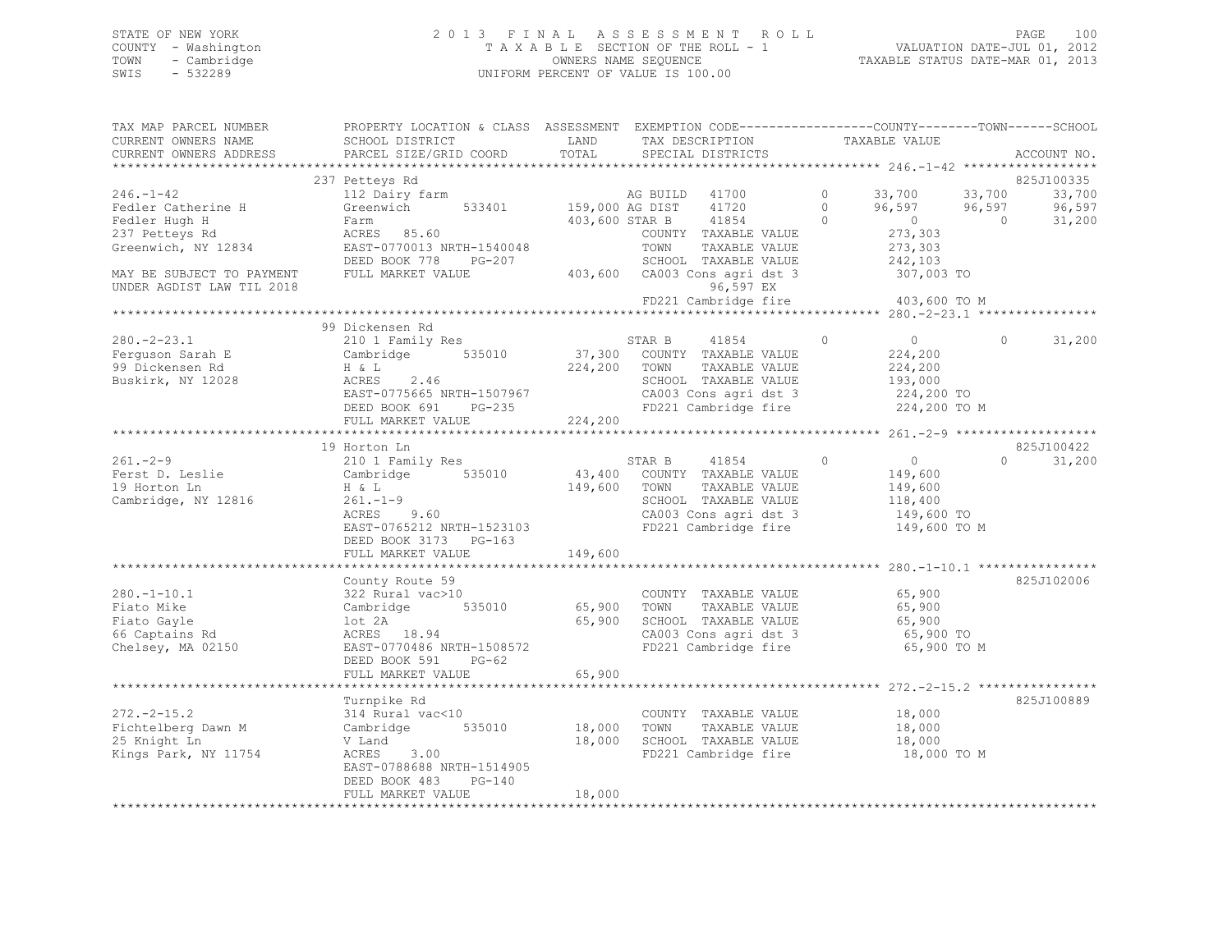## STATE OF NEW YORK 2 0 1 3 F I N A L A S S E S S M E N T R O L L PAGE 100 COUNTY - Washington T A X A B L E SECTION OF THE ROLL - 1 VALUATION DATE-JUL 01, 2012 TOWN - Cambridge OWNERS NAME SEQUENCE TAXABLE STATUS DATE-MAR 01, 2013 SWIS - 532289 UNIFORM PERCENT OF VALUE IS 100.00

| TAX MAP PARCEL NUMBER<br>CURRENT OWNERS NAME<br>CURRENT OWNERS ADDRESS               | PROPERTY LOCATION & CLASS ASSESSMENT EXEMPTION CODE----------------COUNTY-------TOWN-----SCHOOL<br>SCHOOL DISTRICT<br>PARCEL SIZE/GRID COORD                      | LAND<br>TOTAL                | TAX DESCRIPTION<br>SPECIAL DISTRICTS                                                                                                          | TAXABLE VALUE                                                                            | ACCOUNT NO.                                                              |
|--------------------------------------------------------------------------------------|-------------------------------------------------------------------------------------------------------------------------------------------------------------------|------------------------------|-----------------------------------------------------------------------------------------------------------------------------------------------|------------------------------------------------------------------------------------------|--------------------------------------------------------------------------|
|                                                                                      |                                                                                                                                                                   |                              |                                                                                                                                               |                                                                                          |                                                                          |
| $246. - 1 - 42$<br>Fedler Catherine H<br>Fedler Hugh H<br>237 Petteys Rd             | 237 Petteys Rd<br>112 Dairy farm<br>Greenwich 533401<br>Farm<br>ACRES 85.60                                                                                       | 159,000 AG DIST              | AG BUILD 41700<br>41720<br>41854<br>403,600 STAR B<br>COUNTY TAXABLE VALUE                                                                    | $\circ$<br>33,700<br>$\Omega$<br>96,597<br>$\overline{0}$<br>$\Omega$<br>273,303         | 825J100335<br>33,700<br>33,700<br>96,597<br>96,597<br>$\Omega$<br>31,200 |
| Greenwich, NY 12834<br>MAY BE SUBJECT TO PAYMENT<br>UNDER AGDIST LAW TIL 2018        | EAST-0770013 NRTH-1540048<br>DEED BOOK 778<br>PG-207<br>FULL MARKET VALUE                                                                                         |                              | TOWN<br>TAXABLE VALUE<br>SCHOOL TAXABLE VALUE<br>403,600 CA003 Cons agri dst 3<br>96,597 EX<br>FD221 Cambridge fire                           | 273,303<br>242,103<br>307,003 TO<br>403,600 TO M                                         |                                                                          |
|                                                                                      |                                                                                                                                                                   |                              |                                                                                                                                               |                                                                                          |                                                                          |
| $280 - 2 - 23.1$<br>Ferguson Sarah E<br>99 Dickensen Rd<br>Buskirk, NY 12028         | 99 Dickensen Rd<br>210 1 Family Res<br>Cambridge 535010<br>H & L<br>ACRES 2.46<br>EAST-0775665 NRTH-1507967<br>$PG-235$<br>DEED BOOK 691                          | 224,200                      | STAR B 41854<br>37,300 COUNTY TAXABLE VALUE<br>TOWN<br>TAXABLE VALUE<br>SCHOOL TAXABLE VALUE<br>CA003 Cons agri dst 3<br>FD221 Cambridge fire | $\circ$<br>$\overline{0}$<br>224,200<br>224,200<br>193,000<br>224,200 TO<br>224,200 TO M | 31,200<br>$\circ$                                                        |
|                                                                                      | FULL MARKET VALUE                                                                                                                                                 | 224,200                      |                                                                                                                                               |                                                                                          |                                                                          |
|                                                                                      |                                                                                                                                                                   |                              |                                                                                                                                               |                                                                                          |                                                                          |
|                                                                                      | 19 Horton Ln                                                                                                                                                      |                              |                                                                                                                                               |                                                                                          | 825J100422                                                               |
| $261 - 2 - 9$<br>Ferst D. Leslie<br>19 Horton Ln<br>Cambridge, NY 12816              | 210 1 Family Res<br>Cambridge 535010<br>H & L<br>$261. - 1 - 9$<br>ACRES 9.60<br>EAST-0765212 NRTH-1523103<br>DEED BOOK 3173 PG-163<br>FULL MARKET VALUE          | 43,400<br>149,600<br>149,600 | STAR B<br>41854<br>COUNTY TAXABLE VALUE<br>TOWN<br>TAXABLE VALUE<br>SCHOOL TAXABLE VALUE<br>CA003 Cons agri dst 3<br>FD221 Cambridge fire     | $\circ$<br>$\overline{0}$<br>149,600<br>149,600<br>118,400<br>149,600 TO<br>149,600 TO M | $\Omega$<br>31,200                                                       |
|                                                                                      |                                                                                                                                                                   |                              |                                                                                                                                               |                                                                                          |                                                                          |
| $280. -1 - 10.1$<br>Fiato Mike<br>Fiato Gayle<br>66 Captains Rd<br>Chelsey, MA 02150 | County Route 59<br>322 Rural vac>10<br>535010<br>Cambridge<br>lot 2A<br>ACRES 18.94<br>EAST-0770486 NRTH-1508572<br>DEED BOOK 591<br>$PG-62$<br>FULL MARKET VALUE | 65,900<br>65,900<br>65,900   | COUNTY TAXABLE VALUE<br>TAXABLE VALUE<br>TOWN<br>SCHOOL TAXABLE VALUE<br>CA003 Cons agri dst 3<br>FD221 Cambridge fire                        | 65,900<br>65,900<br>65,900<br>65,900 TO<br>65,900 TO M                                   | 825J102006                                                               |
|                                                                                      |                                                                                                                                                                   |                              |                                                                                                                                               |                                                                                          |                                                                          |
| $272. - 2 - 15.2$<br>Fichtelberg Dawn M<br>25 Knight Ln<br>Kings Park, NY 11754      | Turnpike Rd<br>314 Rural vac<10<br>Cambridge 535010<br>V Land<br>3.00<br>ACRES<br>EAST-0788688 NRTH-1514905<br>DEED BOOK 483<br>$PG-140$                          | 18,000<br>18,000             | COUNTY TAXABLE VALUE<br>TAXABLE VALUE<br>TOWN<br>SCHOOL TAXABLE VALUE<br>FD221 Cambridge fire                                                 | 18,000<br>18,000<br>18,000<br>18,000 TO M                                                | 825J100889                                                               |
|                                                                                      | FULL MARKET VALUE                                                                                                                                                 | 18,000                       |                                                                                                                                               |                                                                                          |                                                                          |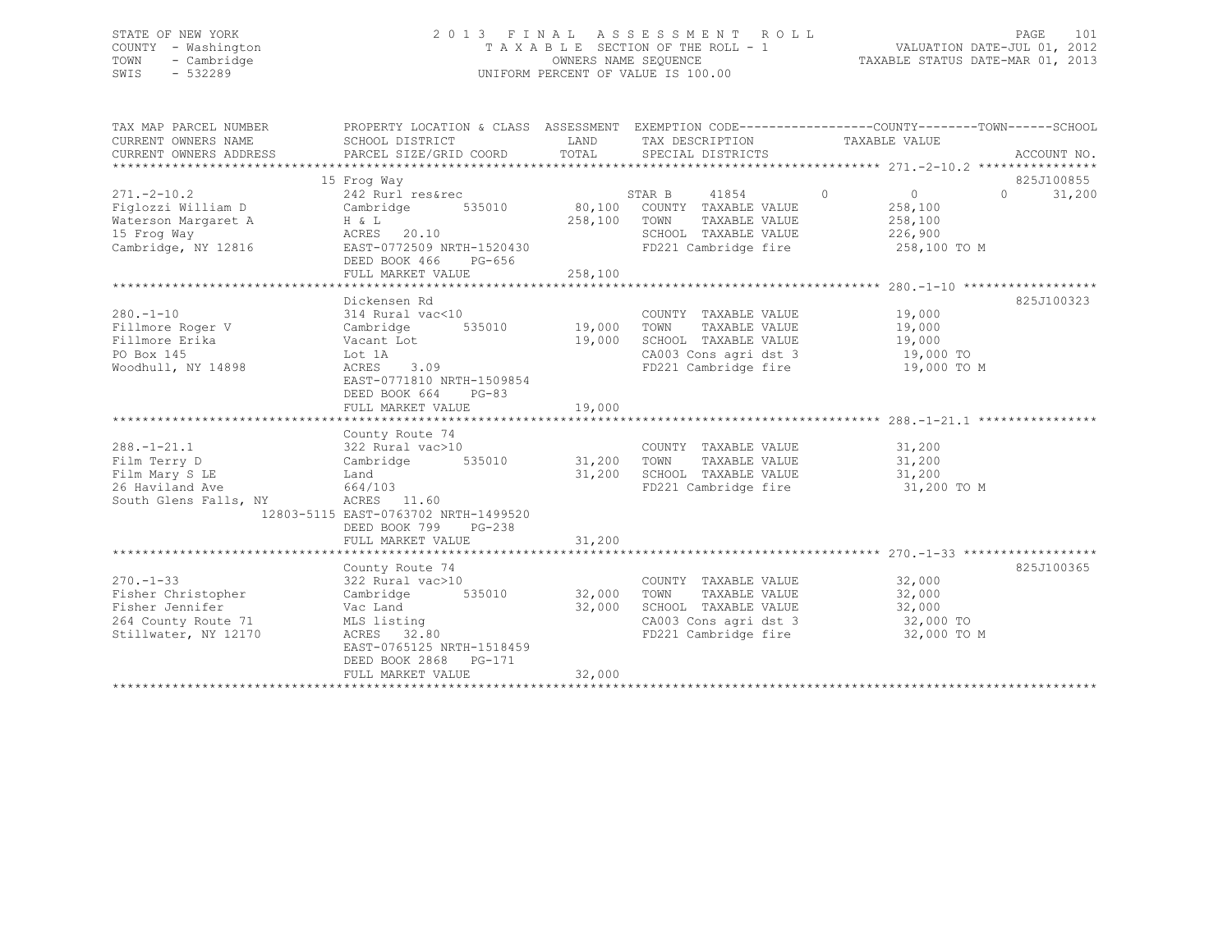## STATE OF NEW YORK 2 0 1 3 F I N A L A S S E S S M E N T R O L L PAGE 101 COUNTY - Washington T A X A B L E SECTION OF THE ROLL - 1 VALUATION DATE-JUL 01, 2012 TOWN - Cambridge OWNERS NAME SEQUENCE TAXABLE STATUS DATE-MAR 01, 2013 SWIS - 532289 UNIFORM PERCENT OF VALUE IS 100.00

| SCHOOL DISTRICT<br>LAND<br>TAX DESCRIPTION<br>TAXABLE VALUE<br>CURRENT OWNERS ADDRESS<br>825J100855<br>15 Frog Way<br>$\sim$ 0<br>$271, -2 - 10.2$<br>242 Rurl res&rec<br>STAR B 41854<br>$\overline{0}$<br>31,200<br>$\Omega$<br>258,100<br>Figlozzi William D Cambridge 535010 80,100 COUNTY TAXABLE VALUE<br>Waterson Margaret A<br>258,100 TOWN<br>TAXABLE VALUE<br>258,100<br>H & L<br>ACRES 20.10<br>SCHOOL TAXABLE VALUE<br>226,900<br>15 Froq Way<br>EAST-0772509 NRTH-1520430<br>FD221 Cambridge fire<br>258,100 TO M<br>Cambridge, NY 12816<br>DEED BOOK 466<br>PG-656<br>258,100<br>FULL MARKET VALUE<br>825J100323<br>Dickensen Rd<br>$280. -1 - 10$<br>COUNTY TAXABLE VALUE 19,000<br>314 Rural vac<10<br>535010 19,000<br>Fillmore Roger V Cambridge<br>TAXABLE VALUE 19,000<br>TOWN<br>19,000<br>SCHOOL TAXABLE VALUE 19,000<br>CA003 Cons agri dst 3 19,000 TO<br>Fillmore Erika<br>Vacant Lot<br>PO Box 145<br>Lot 1A<br>ACRES 3.09<br>FD221 Cambridge fire 19,000 TO M<br>Woodhull, NY 14898<br>EAST-0771810 NRTH-1509854<br>DEED BOOK 664 PG-83<br>19,000<br>FULL MARKET VALUE<br>County Route 74<br>$288. - 1 - 21.1$<br>31,200<br>322 Rural vac>10<br>COUNTY TAXABLE VALUE<br>322 Rural vac>iv<br>Cambridge 535010 31,200 TOWN<br>31 200 SCHOC<br>31,200<br>Film Terry D<br>TAXABLE VALUE<br>SCHOOL TAXABLE VALUE<br>31,200<br>Film Mary S LE<br>31,200<br>Land<br>26 Haviland Ave<br>664/103<br>FD221 Cambridge fire<br>31,200 TO M<br>South Glens Falls, NY<br>ACRES 11.60<br>12803-5115 EAST-0763702 NRTH-1499520<br>DEED BOOK 799 PG-238<br>31,200<br>FULL MARKET VALUE<br>825J100365<br>County Route 74<br>COUNTY TAXABLE VALUE 32,000<br>322 Rural vac>10<br>Fisher Christopher Cambridge 535010 32,000 TOWN<br>TAXABLE VALUE 32,000<br>Fisher Jennifer<br>32,000<br>SCHOOL TAXABLE VALUE 32,000<br>CA003 Cons agri dst 3 32,000 TO<br>er<br>Vac Land<br>MLS listing<br>The 32.80<br>CA003 Cons agri dst 3<br>FD221 Cambridge fire<br>264 County Route 71<br>32,000 TO M<br>Stillwater, NY 12170<br>EAST-0765125 NRTH-1518459<br>DEED BOOK 2868 PG-171<br>32,000<br>FULL MARKET VALUE | TAX MAP PARCEL NUMBER | PROPERTY LOCATION & CLASS ASSESSMENT EXEMPTION CODE---------------COUNTY-------TOWN-----SCHOOL |  |  |
|------------------------------------------------------------------------------------------------------------------------------------------------------------------------------------------------------------------------------------------------------------------------------------------------------------------------------------------------------------------------------------------------------------------------------------------------------------------------------------------------------------------------------------------------------------------------------------------------------------------------------------------------------------------------------------------------------------------------------------------------------------------------------------------------------------------------------------------------------------------------------------------------------------------------------------------------------------------------------------------------------------------------------------------------------------------------------------------------------------------------------------------------------------------------------------------------------------------------------------------------------------------------------------------------------------------------------------------------------------------------------------------------------------------------------------------------------------------------------------------------------------------------------------------------------------------------------------------------------------------------------------------------------------------------------------------------------------------------------------------------------------------------------------------------------------------------------------------------------------------------------------------------------------------------------------------------------------------------------------------------------------------------------------------------------------------------------------------------------------------|-----------------------|------------------------------------------------------------------------------------------------|--|--|
|                                                                                                                                                                                                                                                                                                                                                                                                                                                                                                                                                                                                                                                                                                                                                                                                                                                                                                                                                                                                                                                                                                                                                                                                                                                                                                                                                                                                                                                                                                                                                                                                                                                                                                                                                                                                                                                                                                                                                                                                                                                                                                                  | CURRENT OWNERS NAME   |                                                                                                |  |  |
|                                                                                                                                                                                                                                                                                                                                                                                                                                                                                                                                                                                                                                                                                                                                                                                                                                                                                                                                                                                                                                                                                                                                                                                                                                                                                                                                                                                                                                                                                                                                                                                                                                                                                                                                                                                                                                                                                                                                                                                                                                                                                                                  |                       |                                                                                                |  |  |
|                                                                                                                                                                                                                                                                                                                                                                                                                                                                                                                                                                                                                                                                                                                                                                                                                                                                                                                                                                                                                                                                                                                                                                                                                                                                                                                                                                                                                                                                                                                                                                                                                                                                                                                                                                                                                                                                                                                                                                                                                                                                                                                  |                       |                                                                                                |  |  |
|                                                                                                                                                                                                                                                                                                                                                                                                                                                                                                                                                                                                                                                                                                                                                                                                                                                                                                                                                                                                                                                                                                                                                                                                                                                                                                                                                                                                                                                                                                                                                                                                                                                                                                                                                                                                                                                                                                                                                                                                                                                                                                                  |                       |                                                                                                |  |  |
|                                                                                                                                                                                                                                                                                                                                                                                                                                                                                                                                                                                                                                                                                                                                                                                                                                                                                                                                                                                                                                                                                                                                                                                                                                                                                                                                                                                                                                                                                                                                                                                                                                                                                                                                                                                                                                                                                                                                                                                                                                                                                                                  |                       |                                                                                                |  |  |
|                                                                                                                                                                                                                                                                                                                                                                                                                                                                                                                                                                                                                                                                                                                                                                                                                                                                                                                                                                                                                                                                                                                                                                                                                                                                                                                                                                                                                                                                                                                                                                                                                                                                                                                                                                                                                                                                                                                                                                                                                                                                                                                  |                       |                                                                                                |  |  |
|                                                                                                                                                                                                                                                                                                                                                                                                                                                                                                                                                                                                                                                                                                                                                                                                                                                                                                                                                                                                                                                                                                                                                                                                                                                                                                                                                                                                                                                                                                                                                                                                                                                                                                                                                                                                                                                                                                                                                                                                                                                                                                                  |                       |                                                                                                |  |  |
|                                                                                                                                                                                                                                                                                                                                                                                                                                                                                                                                                                                                                                                                                                                                                                                                                                                                                                                                                                                                                                                                                                                                                                                                                                                                                                                                                                                                                                                                                                                                                                                                                                                                                                                                                                                                                                                                                                                                                                                                                                                                                                                  |                       |                                                                                                |  |  |
|                                                                                                                                                                                                                                                                                                                                                                                                                                                                                                                                                                                                                                                                                                                                                                                                                                                                                                                                                                                                                                                                                                                                                                                                                                                                                                                                                                                                                                                                                                                                                                                                                                                                                                                                                                                                                                                                                                                                                                                                                                                                                                                  |                       |                                                                                                |  |  |
|                                                                                                                                                                                                                                                                                                                                                                                                                                                                                                                                                                                                                                                                                                                                                                                                                                                                                                                                                                                                                                                                                                                                                                                                                                                                                                                                                                                                                                                                                                                                                                                                                                                                                                                                                                                                                                                                                                                                                                                                                                                                                                                  |                       |                                                                                                |  |  |
|                                                                                                                                                                                                                                                                                                                                                                                                                                                                                                                                                                                                                                                                                                                                                                                                                                                                                                                                                                                                                                                                                                                                                                                                                                                                                                                                                                                                                                                                                                                                                                                                                                                                                                                                                                                                                                                                                                                                                                                                                                                                                                                  |                       |                                                                                                |  |  |
|                                                                                                                                                                                                                                                                                                                                                                                                                                                                                                                                                                                                                                                                                                                                                                                                                                                                                                                                                                                                                                                                                                                                                                                                                                                                                                                                                                                                                                                                                                                                                                                                                                                                                                                                                                                                                                                                                                                                                                                                                                                                                                                  |                       |                                                                                                |  |  |
|                                                                                                                                                                                                                                                                                                                                                                                                                                                                                                                                                                                                                                                                                                                                                                                                                                                                                                                                                                                                                                                                                                                                                                                                                                                                                                                                                                                                                                                                                                                                                                                                                                                                                                                                                                                                                                                                                                                                                                                                                                                                                                                  |                       |                                                                                                |  |  |
|                                                                                                                                                                                                                                                                                                                                                                                                                                                                                                                                                                                                                                                                                                                                                                                                                                                                                                                                                                                                                                                                                                                                                                                                                                                                                                                                                                                                                                                                                                                                                                                                                                                                                                                                                                                                                                                                                                                                                                                                                                                                                                                  |                       |                                                                                                |  |  |
|                                                                                                                                                                                                                                                                                                                                                                                                                                                                                                                                                                                                                                                                                                                                                                                                                                                                                                                                                                                                                                                                                                                                                                                                                                                                                                                                                                                                                                                                                                                                                                                                                                                                                                                                                                                                                                                                                                                                                                                                                                                                                                                  |                       |                                                                                                |  |  |
|                                                                                                                                                                                                                                                                                                                                                                                                                                                                                                                                                                                                                                                                                                                                                                                                                                                                                                                                                                                                                                                                                                                                                                                                                                                                                                                                                                                                                                                                                                                                                                                                                                                                                                                                                                                                                                                                                                                                                                                                                                                                                                                  |                       |                                                                                                |  |  |
|                                                                                                                                                                                                                                                                                                                                                                                                                                                                                                                                                                                                                                                                                                                                                                                                                                                                                                                                                                                                                                                                                                                                                                                                                                                                                                                                                                                                                                                                                                                                                                                                                                                                                                                                                                                                                                                                                                                                                                                                                                                                                                                  |                       |                                                                                                |  |  |
|                                                                                                                                                                                                                                                                                                                                                                                                                                                                                                                                                                                                                                                                                                                                                                                                                                                                                                                                                                                                                                                                                                                                                                                                                                                                                                                                                                                                                                                                                                                                                                                                                                                                                                                                                                                                                                                                                                                                                                                                                                                                                                                  |                       |                                                                                                |  |  |
|                                                                                                                                                                                                                                                                                                                                                                                                                                                                                                                                                                                                                                                                                                                                                                                                                                                                                                                                                                                                                                                                                                                                                                                                                                                                                                                                                                                                                                                                                                                                                                                                                                                                                                                                                                                                                                                                                                                                                                                                                                                                                                                  |                       |                                                                                                |  |  |
|                                                                                                                                                                                                                                                                                                                                                                                                                                                                                                                                                                                                                                                                                                                                                                                                                                                                                                                                                                                                                                                                                                                                                                                                                                                                                                                                                                                                                                                                                                                                                                                                                                                                                                                                                                                                                                                                                                                                                                                                                                                                                                                  |                       |                                                                                                |  |  |
|                                                                                                                                                                                                                                                                                                                                                                                                                                                                                                                                                                                                                                                                                                                                                                                                                                                                                                                                                                                                                                                                                                                                                                                                                                                                                                                                                                                                                                                                                                                                                                                                                                                                                                                                                                                                                                                                                                                                                                                                                                                                                                                  |                       |                                                                                                |  |  |
|                                                                                                                                                                                                                                                                                                                                                                                                                                                                                                                                                                                                                                                                                                                                                                                                                                                                                                                                                                                                                                                                                                                                                                                                                                                                                                                                                                                                                                                                                                                                                                                                                                                                                                                                                                                                                                                                                                                                                                                                                                                                                                                  |                       |                                                                                                |  |  |
|                                                                                                                                                                                                                                                                                                                                                                                                                                                                                                                                                                                                                                                                                                                                                                                                                                                                                                                                                                                                                                                                                                                                                                                                                                                                                                                                                                                                                                                                                                                                                                                                                                                                                                                                                                                                                                                                                                                                                                                                                                                                                                                  |                       |                                                                                                |  |  |
|                                                                                                                                                                                                                                                                                                                                                                                                                                                                                                                                                                                                                                                                                                                                                                                                                                                                                                                                                                                                                                                                                                                                                                                                                                                                                                                                                                                                                                                                                                                                                                                                                                                                                                                                                                                                                                                                                                                                                                                                                                                                                                                  |                       |                                                                                                |  |  |
|                                                                                                                                                                                                                                                                                                                                                                                                                                                                                                                                                                                                                                                                                                                                                                                                                                                                                                                                                                                                                                                                                                                                                                                                                                                                                                                                                                                                                                                                                                                                                                                                                                                                                                                                                                                                                                                                                                                                                                                                                                                                                                                  |                       |                                                                                                |  |  |
|                                                                                                                                                                                                                                                                                                                                                                                                                                                                                                                                                                                                                                                                                                                                                                                                                                                                                                                                                                                                                                                                                                                                                                                                                                                                                                                                                                                                                                                                                                                                                                                                                                                                                                                                                                                                                                                                                                                                                                                                                                                                                                                  |                       |                                                                                                |  |  |
|                                                                                                                                                                                                                                                                                                                                                                                                                                                                                                                                                                                                                                                                                                                                                                                                                                                                                                                                                                                                                                                                                                                                                                                                                                                                                                                                                                                                                                                                                                                                                                                                                                                                                                                                                                                                                                                                                                                                                                                                                                                                                                                  |                       |                                                                                                |  |  |
|                                                                                                                                                                                                                                                                                                                                                                                                                                                                                                                                                                                                                                                                                                                                                                                                                                                                                                                                                                                                                                                                                                                                                                                                                                                                                                                                                                                                                                                                                                                                                                                                                                                                                                                                                                                                                                                                                                                                                                                                                                                                                                                  |                       |                                                                                                |  |  |
|                                                                                                                                                                                                                                                                                                                                                                                                                                                                                                                                                                                                                                                                                                                                                                                                                                                                                                                                                                                                                                                                                                                                                                                                                                                                                                                                                                                                                                                                                                                                                                                                                                                                                                                                                                                                                                                                                                                                                                                                                                                                                                                  |                       |                                                                                                |  |  |
|                                                                                                                                                                                                                                                                                                                                                                                                                                                                                                                                                                                                                                                                                                                                                                                                                                                                                                                                                                                                                                                                                                                                                                                                                                                                                                                                                                                                                                                                                                                                                                                                                                                                                                                                                                                                                                                                                                                                                                                                                                                                                                                  |                       |                                                                                                |  |  |
|                                                                                                                                                                                                                                                                                                                                                                                                                                                                                                                                                                                                                                                                                                                                                                                                                                                                                                                                                                                                                                                                                                                                                                                                                                                                                                                                                                                                                                                                                                                                                                                                                                                                                                                                                                                                                                                                                                                                                                                                                                                                                                                  |                       |                                                                                                |  |  |
|                                                                                                                                                                                                                                                                                                                                                                                                                                                                                                                                                                                                                                                                                                                                                                                                                                                                                                                                                                                                                                                                                                                                                                                                                                                                                                                                                                                                                                                                                                                                                                                                                                                                                                                                                                                                                                                                                                                                                                                                                                                                                                                  |                       |                                                                                                |  |  |
|                                                                                                                                                                                                                                                                                                                                                                                                                                                                                                                                                                                                                                                                                                                                                                                                                                                                                                                                                                                                                                                                                                                                                                                                                                                                                                                                                                                                                                                                                                                                                                                                                                                                                                                                                                                                                                                                                                                                                                                                                                                                                                                  | $270. - 1 - 33$       |                                                                                                |  |  |
|                                                                                                                                                                                                                                                                                                                                                                                                                                                                                                                                                                                                                                                                                                                                                                                                                                                                                                                                                                                                                                                                                                                                                                                                                                                                                                                                                                                                                                                                                                                                                                                                                                                                                                                                                                                                                                                                                                                                                                                                                                                                                                                  |                       |                                                                                                |  |  |
|                                                                                                                                                                                                                                                                                                                                                                                                                                                                                                                                                                                                                                                                                                                                                                                                                                                                                                                                                                                                                                                                                                                                                                                                                                                                                                                                                                                                                                                                                                                                                                                                                                                                                                                                                                                                                                                                                                                                                                                                                                                                                                                  |                       |                                                                                                |  |  |
|                                                                                                                                                                                                                                                                                                                                                                                                                                                                                                                                                                                                                                                                                                                                                                                                                                                                                                                                                                                                                                                                                                                                                                                                                                                                                                                                                                                                                                                                                                                                                                                                                                                                                                                                                                                                                                                                                                                                                                                                                                                                                                                  |                       |                                                                                                |  |  |
|                                                                                                                                                                                                                                                                                                                                                                                                                                                                                                                                                                                                                                                                                                                                                                                                                                                                                                                                                                                                                                                                                                                                                                                                                                                                                                                                                                                                                                                                                                                                                                                                                                                                                                                                                                                                                                                                                                                                                                                                                                                                                                                  |                       |                                                                                                |  |  |
|                                                                                                                                                                                                                                                                                                                                                                                                                                                                                                                                                                                                                                                                                                                                                                                                                                                                                                                                                                                                                                                                                                                                                                                                                                                                                                                                                                                                                                                                                                                                                                                                                                                                                                                                                                                                                                                                                                                                                                                                                                                                                                                  |                       |                                                                                                |  |  |
|                                                                                                                                                                                                                                                                                                                                                                                                                                                                                                                                                                                                                                                                                                                                                                                                                                                                                                                                                                                                                                                                                                                                                                                                                                                                                                                                                                                                                                                                                                                                                                                                                                                                                                                                                                                                                                                                                                                                                                                                                                                                                                                  |                       |                                                                                                |  |  |
|                                                                                                                                                                                                                                                                                                                                                                                                                                                                                                                                                                                                                                                                                                                                                                                                                                                                                                                                                                                                                                                                                                                                                                                                                                                                                                                                                                                                                                                                                                                                                                                                                                                                                                                                                                                                                                                                                                                                                                                                                                                                                                                  |                       |                                                                                                |  |  |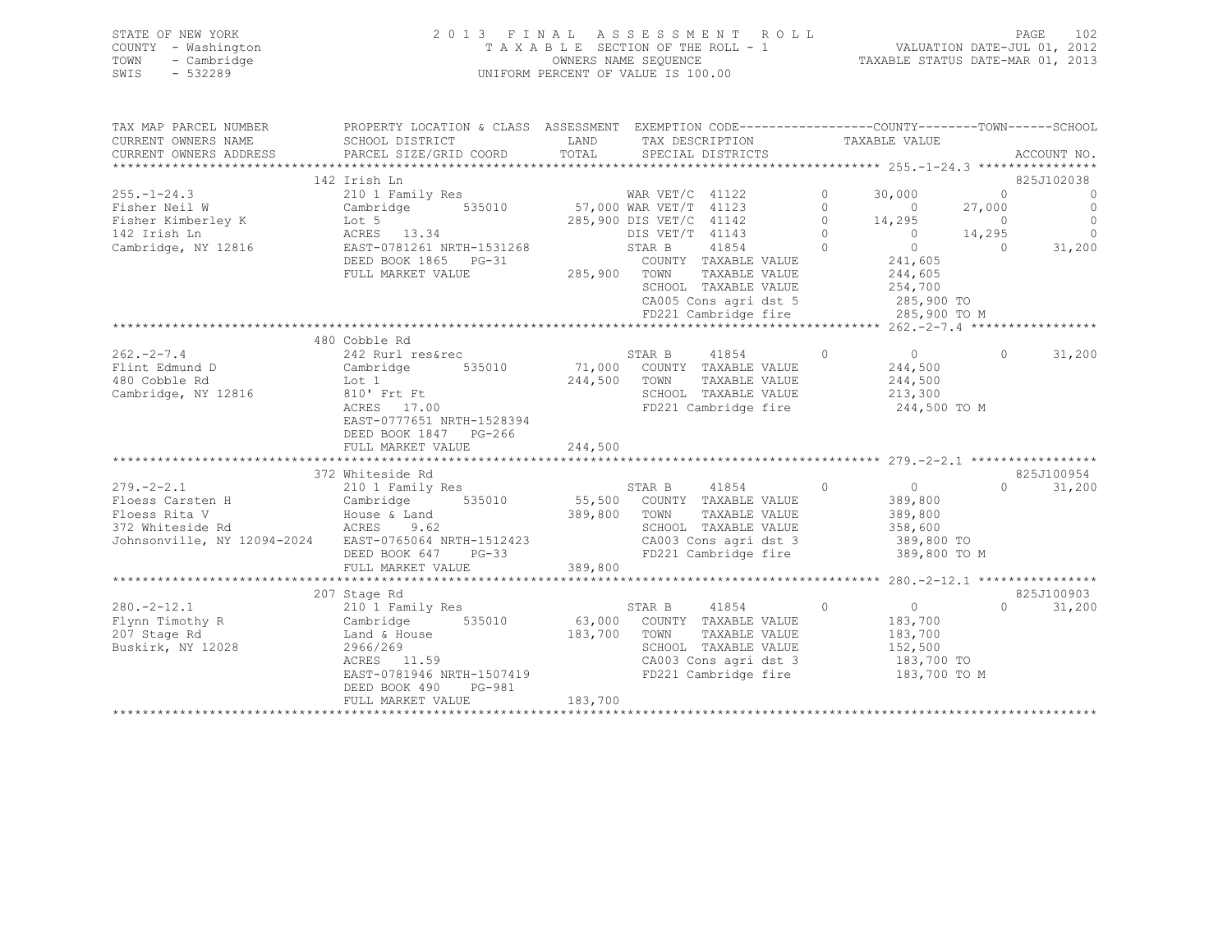|      | STATE OF NEW YORK   | 2013 FINAL ASSESSMENT ROLL            | PAGE                             | 102 |
|------|---------------------|---------------------------------------|----------------------------------|-----|
|      | COUNTY - Washington | T A X A B L E SECTION OF THE ROLL - 1 | VALUATION DATE-JUL 01, 2012      |     |
|      | TOWN - Cambridge    | OWNERS NAME SEQUENCE                  | TAXABLE STATUS DATE-MAR 01, 2013 |     |
| SWIS | - 532289            | UNIFORM PERCENT OF VALUE IS 100.00    |                                  |     |

| TAX MAP PARCEL NUMBER                                 | PROPERTY LOCATION & CLASS ASSESSMENT EXEMPTION CODE----------------COUNTY-------TOWN------SCHOOL |                                                 |                 |                                    |            |                    |            |                |
|-------------------------------------------------------|--------------------------------------------------------------------------------------------------|-------------------------------------------------|-----------------|------------------------------------|------------|--------------------|------------|----------------|
| CURRENT OWNERS NAME                                   | SCHOOL DISTRICT                                                                                  | LAND                                            |                 | TAX DESCRIPTION                    |            | TAXABLE VALUE      |            |                |
| CURRENT OWNERS ADDRESS                                | PARCEL SIZE/GRID COORD                                                                           | TOTAL                                           |                 | SPECIAL DISTRICTS                  |            |                    |            | ACCOUNT NO.    |
|                                                       |                                                                                                  |                                                 |                 |                                    |            |                    |            |                |
|                                                       | 142 Irish Ln                                                                                     |                                                 |                 |                                    |            |                    |            | 825J102038     |
| $255. - 1 - 24.3$                                     | 210 1 Family Res                                                                                 |                                                 |                 |                                    | $\circ$    | 30,000             | $\Omega$   | $\overline{0}$ |
| Fisher Neil W                                         | 535010<br>Cambridge                                                                              | WAR VET/C 41122<br>35010 57,000 WAR VET/T 41123 |                 |                                    | $\Omega$   | $\sim$ 0           | 27,000     | $\overline{0}$ |
| Fisher Kimberley K                                    | Lot 5<br>Lot 5<br>ACRES 13.34                                                                    | 285,900 DIS VET/C 41142                         |                 |                                    | $\circ$    | 14,295             | $\bigcirc$ | $\circ$        |
| 142 Irish Ln                                          |                                                                                                  |                                                 | DIS VET/T 41143 |                                    | $\Omega$   | $\overline{0}$     | 14,295     | $\overline{0}$ |
| Cambridge, NY 12816                                   | EAST-0781261 NRTH-1531268                                                                        |                                                 | STAR B          | 41854                              | $\bigcirc$ | $\overline{0}$     | $\bigcirc$ | 31,200         |
|                                                       | DEED BOOK 1865 PG-31                                                                             |                                                 |                 | COUNTY TAXABLE VALUE               |            | 241,605            |            |                |
|                                                       | FULL MARKET VALUE                                                                                | 285,900 TOWN                                    |                 | TAXABLE VALUE                      |            | 244,605            |            |                |
|                                                       |                                                                                                  |                                                 |                 | SCHOOL TAXABLE VALUE               |            | 254,700            |            |                |
|                                                       |                                                                                                  |                                                 |                 | CA005 Cons agri dst 5              |            | 285,900 TO         |            |                |
|                                                       |                                                                                                  |                                                 |                 | FD221 Cambridge fire               |            | 285,900 TO M       |            |                |
|                                                       |                                                                                                  |                                                 |                 |                                    |            |                    |            |                |
|                                                       | 480 Cobble Rd                                                                                    |                                                 |                 |                                    |            |                    |            |                |
| $262 - 2 - 7.4$                                       | 242 Rurl res&rec                                                                                 |                                                 |                 | STAR B 41854                       | $\circ$    | $\overline{0}$     | $\Omega$   | 31,200         |
| Flint Edmund D                                        | Cambridge<br>535010                                                                              |                                                 |                 | 71,000 COUNTY TAXABLE VALUE        |            | 244,500            |            |                |
| 480 Cobble Rd                                         | Lot 1                                                                                            | 244,500 TOWN                                    |                 | TAXABLE VALUE                      |            | 244,500            |            |                |
| Cambridge, NY 12816                                   | 810' Frt Ft<br>ACRES 17.00                                                                       |                                                 |                 | SCHOOL TAXABLE VALUE               |            | 213,300            |            |                |
|                                                       |                                                                                                  |                                                 |                 | FD221 Cambridge fire               |            | 244,500 TO M       |            |                |
|                                                       | EAST-0777651 NRTH-1528394                                                                        |                                                 |                 |                                    |            |                    |            |                |
|                                                       | DEED BOOK 1847 PG-266                                                                            |                                                 |                 |                                    |            |                    |            |                |
|                                                       | FULL MARKET VALUE                                                                                | 244,500                                         |                 |                                    |            |                    |            |                |
|                                                       | 372 Whiteside Rd                                                                                 |                                                 |                 |                                    |            |                    |            |                |
| $279. - 2 - 2.1$                                      |                                                                                                  |                                                 | STAR B          |                                    | $\bigcirc$ | $\overline{0}$     | $\cap$     | 825J100954     |
| Floess Carsten H                                      | 210 1 Family Res<br>Cambridge 535010 55,500 COUNTY TAXABLE VALUE                                 |                                                 |                 | 41854                              |            |                    |            | 31,200         |
| Floess Rita V                                         |                                                                                                  | 389,800 TOWN                                    |                 | TAXABLE VALUE                      |            | 389,800<br>389,800 |            |                |
| 372 Whiteside Rd                                      | House & Land<br>ACRES 9.62                                                                       |                                                 |                 | SCHOOL TAXABLE VALUE               |            | 358,600            |            |                |
| Johnsonville, NY 12094-2024 EAST-0765064 NRTH-1512423 |                                                                                                  |                                                 |                 | CA003 Cons agri dst 3 389,800 TO   |            |                    |            |                |
|                                                       | DEED BOOK 647 PG-33                                                                              |                                                 |                 | FD221 Cambridge fire               |            | 389,800 TO M       |            |                |
|                                                       | FULL MARKET VALUE                                                                                | 389,800                                         |                 |                                    |            |                    |            |                |
|                                                       |                                                                                                  |                                                 |                 |                                    |            |                    |            |                |
|                                                       | 207 Stage Rd                                                                                     |                                                 |                 |                                    |            |                    |            | 825J100903     |
| $280. -2 - 12.1$                                      | 210 <sup>1</sup> Family Res                                                                      |                                                 | STAR B          | 41854<br>$\sim$ 0                  |            | $\overline{0}$     | $\cap$     | 31,200         |
| Flynn Timothy R                                       | Cambridge                                                                                        |                                                 |                 | 535010 63,000 COUNTY TAXABLE VALUE |            | 183,700            |            |                |
| 207 Stage Rd                                          | Land & House                                                                                     | 183,700                                         | TOWN            | TAXABLE VALUE                      |            | 183,700            |            |                |
| Buskirk, NY 12028                                     | 2966/269                                                                                         |                                                 |                 | SCHOOL TAXABLE VALUE               |            | 152,500            |            |                |
|                                                       | ACRES 11.59                                                                                      |                                                 |                 | CA003 Cons agri dst 3              |            | 183,700 TO         |            |                |
|                                                       | EAST-0781946 NRTH-1507419                                                                        |                                                 |                 | FD221 Cambridge fire               |            | 183,700 TO M       |            |                |
|                                                       | DEED BOOK 490<br>PG-981                                                                          |                                                 |                 |                                    |            |                    |            |                |
|                                                       | FULL MARKET VALUE                                                                                | 183,700                                         |                 |                                    |            |                    |            |                |
|                                                       |                                                                                                  |                                                 |                 |                                    |            |                    |            |                |
|                                                       |                                                                                                  |                                                 |                 |                                    |            |                    |            |                |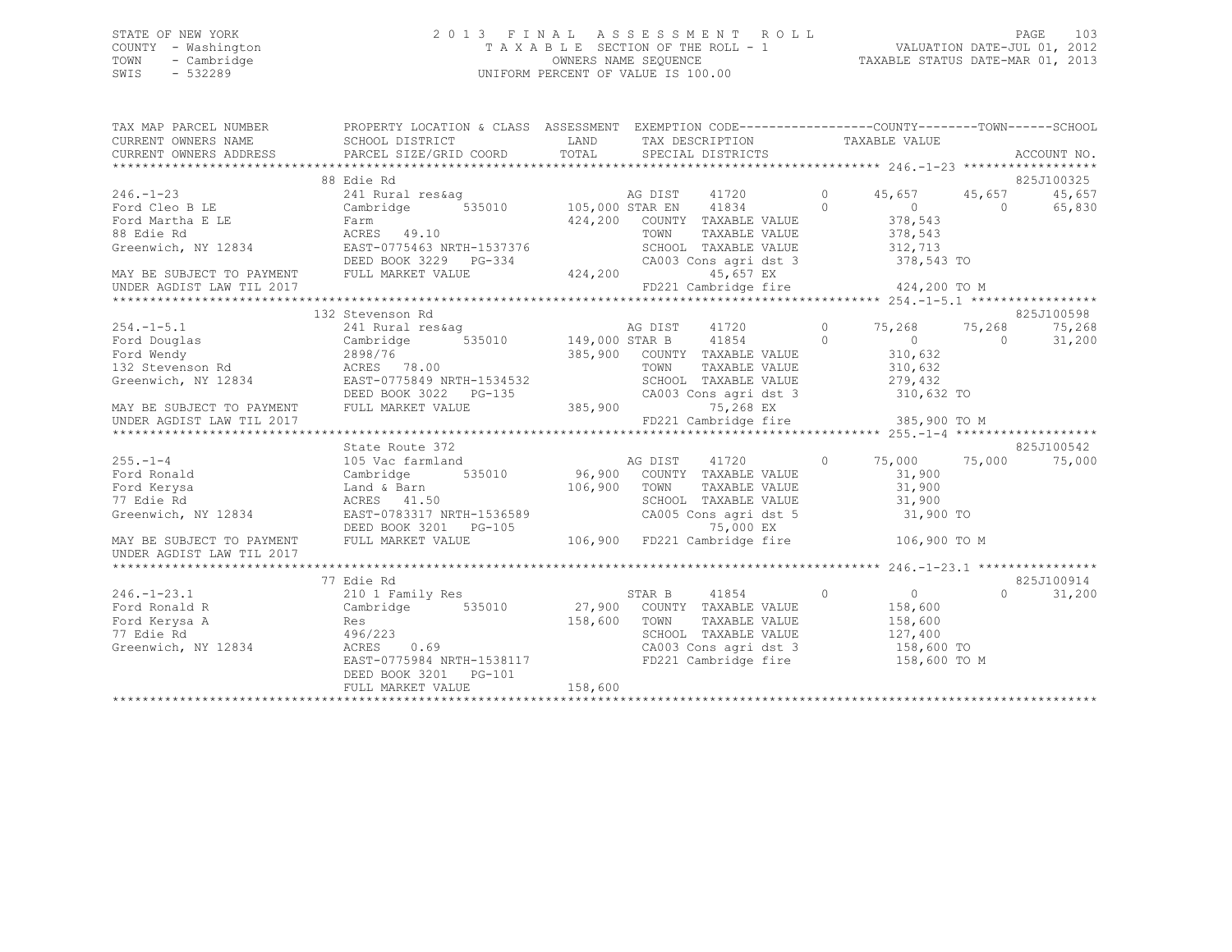## STATE OF NEW YORK 2 0 1 3 F I N A L A S S E S S M E N T R O L L PAGE 103 COUNTY - Washington T A X A B L E SECTION OF THE ROLL - 1 VALUATION DATE-JUL 01, 2012 TOWN - Cambridge OWNERS NAME SEQUENCE TAXABLE STATUS DATE-MAR 01, 2013 SWIS - 532289 UNIFORM PERCENT OF VALUE IS 100.00

| TAX MAP PARCEL NUMBER               | PROPERTY LOCATION & CLASS ASSESSMENT EXEMPTION CODE----------------COUNTY-------TOWN------SCHOOI                                                                                                                                                                               |              |                                                                  |                              |            |                    |
|-------------------------------------|--------------------------------------------------------------------------------------------------------------------------------------------------------------------------------------------------------------------------------------------------------------------------------|--------------|------------------------------------------------------------------|------------------------------|------------|--------------------|
| CURRENT OWNERS NAME SCHOOL DISTRICT |                                                                                                                                                                                                                                                                                | LAND         | TAX DESCRIPTION                                                  | TAXABLE VALUE                |            |                    |
|                                     |                                                                                                                                                                                                                                                                                |              |                                                                  |                              |            |                    |
|                                     |                                                                                                                                                                                                                                                                                |              |                                                                  |                              |            |                    |
|                                     | 88 Edie Rd                                                                                                                                                                                                                                                                     |              |                                                                  |                              |            | 825J100325         |
|                                     |                                                                                                                                                                                                                                                                                |              |                                                                  |                              |            | 45,657             |
|                                     |                                                                                                                                                                                                                                                                                |              |                                                                  |                              |            | 65,830             |
|                                     |                                                                                                                                                                                                                                                                                |              |                                                                  |                              |            |                    |
|                                     | 346.-1-23<br>Ford Cleo BLE 24.200<br>Ford Martha ELE Farm 424,200 COUNTY TAXABLE VALUE<br>SEE FAN ACRES 49.10<br>SEED BOOK 3229 PG-334<br>NAY BE SUBJECT TO PAYMENT DEED BOOK 3229 PG-334<br>TOWN TAXABLE VALUE 378,543<br>MAY BE SUBJECT TO                                   |              |                                                                  |                              |            |                    |
|                                     |                                                                                                                                                                                                                                                                                |              |                                                                  |                              |            |                    |
|                                     |                                                                                                                                                                                                                                                                                |              |                                                                  |                              |            |                    |
|                                     |                                                                                                                                                                                                                                                                                |              |                                                                  |                              |            |                    |
| UNDER AGDIST LAW TIL 2017           |                                                                                                                                                                                                                                                                                |              | FD221 Cambridge fire 424,200 TO M                                |                              |            |                    |
|                                     |                                                                                                                                                                                                                                                                                |              |                                                                  |                              |            |                    |
|                                     | 132 Stevenson Rd                                                                                                                                                                                                                                                               |              |                                                                  |                              |            | 825J100598         |
| $254. -1 - 5.1$                     | 241 Rural res&ag 6 6 3 3 3 4 4 4 4 4 4 4 5, 268 5, 268 5, 268 5, 268 5, 268 5, 268 5, 268 5, 268 5, 268 5, 26                                                                                                                                                                  |              |                                                                  |                              |            | 75,268             |
|                                     |                                                                                                                                                                                                                                                                                |              |                                                                  | $0$<br>310,632               | $\bigcirc$ | 31,200             |
|                                     |                                                                                                                                                                                                                                                                                |              | 385,900 COUNTY TAXABLE VALUE                                     |                              |            |                    |
|                                     |                                                                                                                                                                                                                                                                                |              |                                                                  | TAXABLE VALUE 310,632        |            |                    |
|                                     |                                                                                                                                                                                                                                                                                |              | SCHOOL TAXABLE VALUE 279,432                                     |                              |            |                    |
|                                     |                                                                                                                                                                                                                                                                                |              | CA003 Cons agri dst 3 310,632 TO                                 |                              |            |                    |
|                                     |                                                                                                                                                                                                                                                                                |              |                                                                  |                              |            |                    |
|                                     | Ford Douglas<br>Ford Mendy<br>Ford Douglas<br>Ford Mendy<br>2898/76<br>2898/76<br>2898/76<br>2898/76<br>2898/76<br>2898/76<br>2898/76<br>2898/76<br>2898/76<br>2898/76<br>2898/76<br>2898/76<br>28976<br>2898/76<br>2898/76<br>28976<br>28976<br>28976<br>28976<br>28976<br>28 |              |                                                                  |                              |            |                    |
|                                     |                                                                                                                                                                                                                                                                                |              |                                                                  |                              |            |                    |
|                                     | State Route 372                                                                                                                                                                                                                                                                |              | AG DIST 41720 0 75,000 75,000                                    |                              |            | 825J100542         |
| $255. - 1 - 4$                      | 105 Vac farmland                                                                                                                                                                                                                                                               |              | 535010 96,900 COUNTY TAXABLE VALUE                               |                              |            | 75,000             |
| Ford Ronald Cambridge               |                                                                                                                                                                                                                                                                                |              |                                                                  | 31,900<br>$31,900$<br>31,900 |            |                    |
| Ford Kerysa<br>77 Edie Rd           |                                                                                                                                                                                                                                                                                |              | TAXABLE VALUE                                                    |                              |            |                    |
|                                     |                                                                                                                                                                                                                                                                                |              | SCHOOL TAXABLE VALUE 31,900<br>CA005 Cons agri dst 5 31,900 TO   |                              |            |                    |
|                                     | Greenwich, NY 12834<br>EAST-0783317 NRTH-1536589<br>DEED BOOK 3201 PG-105<br>MAY BE SUBJECT TO PAYMENT FULL MARKET VALUE 106,900 FD221 Cambridge fire 106,900 TO M<br>INNER ACRIST IAM TIL 2017                                                                                |              |                                                                  |                              |            |                    |
|                                     |                                                                                                                                                                                                                                                                                |              |                                                                  |                              |            |                    |
| UNDER AGDIST LAW TIL 2017           |                                                                                                                                                                                                                                                                                |              |                                                                  |                              |            |                    |
|                                     |                                                                                                                                                                                                                                                                                |              |                                                                  |                              |            |                    |
|                                     | 77 Edie Rd                                                                                                                                                                                                                                                                     |              |                                                                  |                              |            | 825J100914         |
| $246. - 1 - 23.1$                   | 210 1 Family Res 6 8 8 8 8 9 1854                                                                                                                                                                                                                                              |              |                                                                  | $\overline{0}$               |            | 31,200<br>$\Omega$ |
| Ford Ronald R                       | Cambridge 535010 27,900 COUNTY TAXABLE VALUE                                                                                                                                                                                                                                   |              |                                                                  | 158,600                      |            |                    |
|                                     |                                                                                                                                                                                                                                                                                | 158,600 TOWN |                                                                  | TAXABLE VALUE 158,600        |            |                    |
|                                     |                                                                                                                                                                                                                                                                                |              |                                                                  |                              |            |                    |
|                                     |                                                                                                                                                                                                                                                                                |              | SCHOOL TAXABLE VALUE 127,400<br>CA003 Cons agri dst 3 158,600 TO |                              |            |                    |
|                                     | EAST-0775984 NRTH-1538117                                                                                                                                                                                                                                                      |              | FD221 Cambridge fire 158,600 TO M                                |                              |            |                    |
|                                     |                                                                                                                                                                                                                                                                                |              |                                                                  |                              |            |                    |
|                                     | FULL MARKET VALUE                                                                                                                                                                                                                                                              | 158,600      |                                                                  |                              |            |                    |
|                                     |                                                                                                                                                                                                                                                                                |              |                                                                  |                              |            |                    |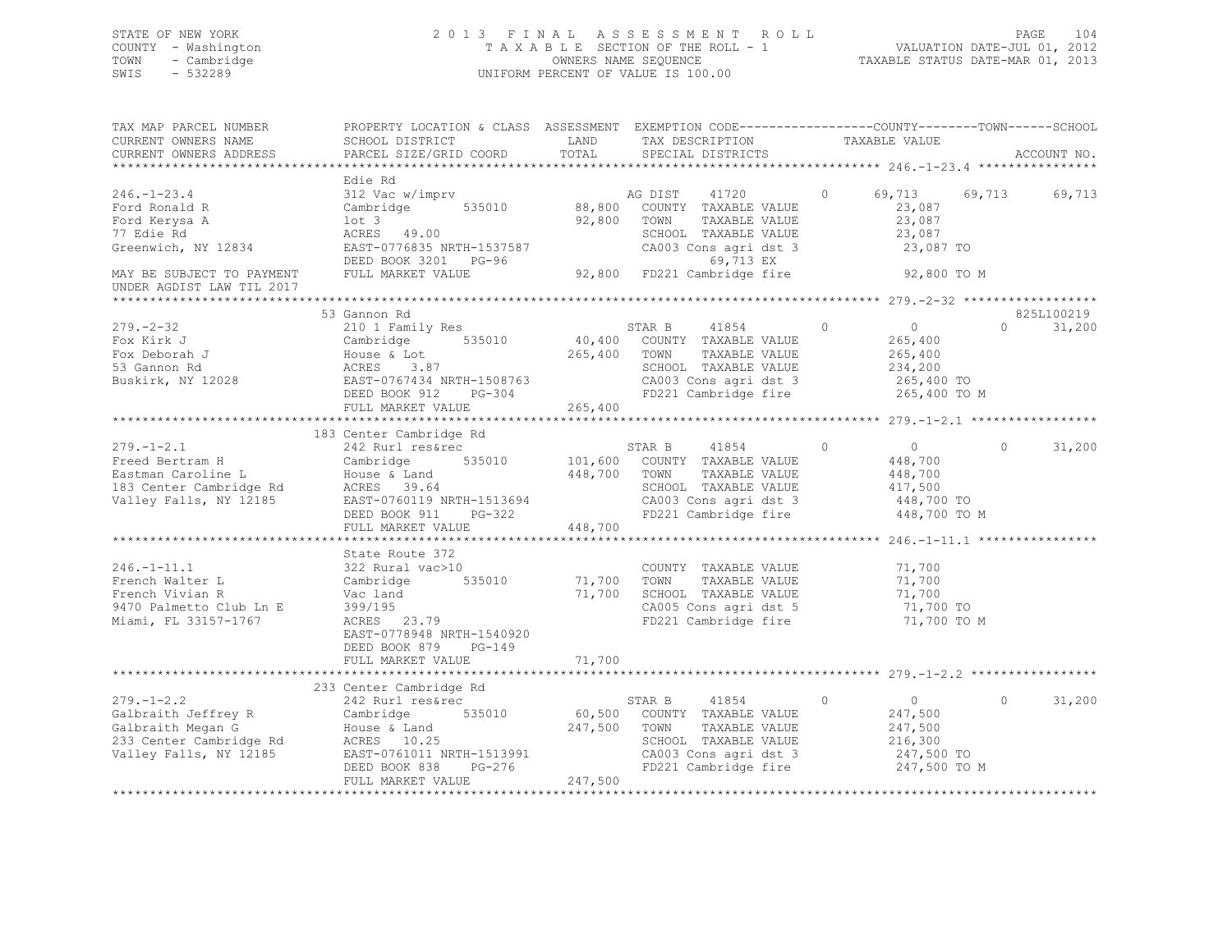## STATE OF NEW YORK 2 0 1 3 F I N A L A S S E S S M E N T R O L L PAGE 104 COUNTY - Washington T A X A B L E SECTION OF THE ROLL - 1 VALUATION DATE-JUL 01, 2012 TOWN - Cambridge OWNERS NAME SEQUENCE TAXABLE STATUS DATE-MAR 01, 2013 SWIS - 532289 UNIFORM PERCENT OF VALUE IS 100.00

| TAX MAP PARCEL NUMBER<br>CURRENT OWNERS NAME<br>CURRENT OWNERS ADDRESS                                                                                                                                                                                   | PROPERTY LOCATION & CLASS ASSESSMENT EXEMPTION CODE---------------COUNTY-------TOWN------SCHOOL<br>SCHOOL DISTRICT LAND<br>PARCEL SIZE/GRID COORD        | TOTAL              | TAX DESCRIPTION<br>SPECIAL DISTRICTS                                                                                                            | TAXABLE VALUE                                                                             | ACCOUNT NO.                      |
|----------------------------------------------------------------------------------------------------------------------------------------------------------------------------------------------------------------------------------------------------------|----------------------------------------------------------------------------------------------------------------------------------------------------------|--------------------|-------------------------------------------------------------------------------------------------------------------------------------------------|-------------------------------------------------------------------------------------------|----------------------------------|
|                                                                                                                                                                                                                                                          |                                                                                                                                                          |                    |                                                                                                                                                 |                                                                                           |                                  |
| $246. - 1 - 23.4$<br>Ford Ronald R<br>Ford Kerysa A<br>77 Edie Rd<br>Greenwich, NY 12834                                                                                                                                                                 | Edie Rd<br>312 Vac w/imprv<br>Cambridge 535010<br>$1$ ot $3$<br>ACRES 49.00<br>EAST-0776835 NRTH-1537587<br>DEED BOOK 3201 PG-96                         |                    | AG DIST 41720<br>88,800 COUNTY TAXABLE VALUE<br>92,800 TOWN<br>TAXABLE VALUE<br>SCHOOL TAXABLE VALUE<br>CA003 Cons agri dst 3<br>69,713 EX      | $\circ$<br>69,713 69,713<br>23,087<br>23,087<br>23,087<br>23,087 TO                       | 69,713                           |
| MAY BE SUBJECT TO PAYMENT<br>UNDER AGDIST LAW TIL 2017                                                                                                                                                                                                   | FULL MARKET VALUE                                                                                                                                        |                    |                                                                                                                                                 | 92,800 TO M                                                                               |                                  |
|                                                                                                                                                                                                                                                          |                                                                                                                                                          |                    |                                                                                                                                                 |                                                                                           |                                  |
| $279. - 2 - 32$<br>Fox Kirk J<br>Fox Deborah J<br>53 Gannon Rd<br>Buskirk, NY 12028 EAST-0767434 NRTH-1508763                                                                                                                                            | 53 Gannon Rd<br>210 1 Family Res<br>Cambridge 535010<br>House & Lot<br>ACRES 3.87<br>House<br>ACRES<br>EAST-0767434 NRTH-1508763<br>DEED BOOK 912 PG-304 | 265,400 TOWN       | STAR B 41854<br>40,400 COUNTY TAXABLE VALUE<br>TAXABLE VALUE<br>SCHOOL TAXABLE VALUE<br>CA003 Cons agri dst 3<br>FD221 Cambridge fire           | $\Omega$<br>$\overline{0}$<br>265,400<br>265,400<br>234,200<br>265,400 TO<br>265,400 TO M | 825L100219<br>$\Omega$<br>31,200 |
|                                                                                                                                                                                                                                                          | FULL MARKET VALUE                                                                                                                                        | 265,400            |                                                                                                                                                 |                                                                                           |                                  |
|                                                                                                                                                                                                                                                          |                                                                                                                                                          |                    |                                                                                                                                                 |                                                                                           |                                  |
| $279. - 1 - 2.1$<br>Freed Bertram H Cambridge 535010 101,600 COUNTY TAXABLE VALUE<br>Eastman Caroline L House & Land 448,700 TOWN TAXABLE VALUE<br>183 Center Cambridge Rd ACRES 39.64 SCHOOL TAXABLE VALUE<br>Valley Falls, NY 12185 EAST-0760119 NRTH- | 183 Center Cambridge Rd<br>242 Rurl res&rec                                                                                                              |                    | STAR B 41854                                                                                                                                    | $\overline{0}$<br>$\circ$<br>448,700<br>448,700                                           | 31,200<br>$\circ$                |
|                                                                                                                                                                                                                                                          | DEED BOOK 911 PG-322<br>FULL MARKET VALUE                                                                                                                | 448,700            | CA003 Cons agri dst 3<br>FD221 Cambridge fire                                                                                                   | 417,500<br>448,700 TO<br>448,700 TO M                                                     |                                  |
|                                                                                                                                                                                                                                                          |                                                                                                                                                          |                    |                                                                                                                                                 |                                                                                           |                                  |
| $246. - 1 - 11.1$<br>French Walter L<br>French Vivian R<br>9470 Palmetto Club Ln E<br>Miami, FL 33157-1767                                                                                                                                               | State Route 372<br>322 Rural vac>10<br>Cambridge 535010<br>Vac land<br>399/195<br>ACRES 23.79<br>EAST-0778948 NRTH-1540920<br>DEED BOOK 879<br>PG-149    | 71,700<br>71,700   | COUNTY TAXABLE VALUE<br>TOWN<br>TAXABLE VALUE<br>SCHOOL TAXABLE VALUE<br>CA005 Cons agri dst 5<br>FD221 Cambridge fire                          | 71,700<br>71,700<br>71,700<br>71,700 TO<br>71,700 TO M                                    |                                  |
|                                                                                                                                                                                                                                                          | FULL MARKET VALUE                                                                                                                                        | 71,700             |                                                                                                                                                 |                                                                                           |                                  |
|                                                                                                                                                                                                                                                          | 233 Center Cambridge Rd                                                                                                                                  |                    |                                                                                                                                                 |                                                                                           |                                  |
| $279. - 1 - 2.2$<br>279.-1-2.2<br>Galbraith Jeffrey R Cambridge 535010<br>Galbraith Megan G House & Land<br>233 Center Cambridge Rd ACRES 10.25<br>Valley Falls, NY 12185<br>EAST-0761011 NRTH-1513991                                                   | 242 Rurl res&rec<br>DEED BOOK 838 PG-276<br>FULL MARKET VALUE                                                                                            | 247,500<br>247,500 | STAR B 41854 0<br>60,500 COUNTY TAXABLE VALUE<br>TAXABLE VALUE<br>TOWN<br>SCHOOL TAXABLE VALUE<br>CA003 Cons agri dst 3<br>FD221 Cambridge fire | $\overline{0}$<br>247,500<br>247,500<br>216,300<br>247,500 TO<br>247,500 TO M             | $\Omega$<br>31,200               |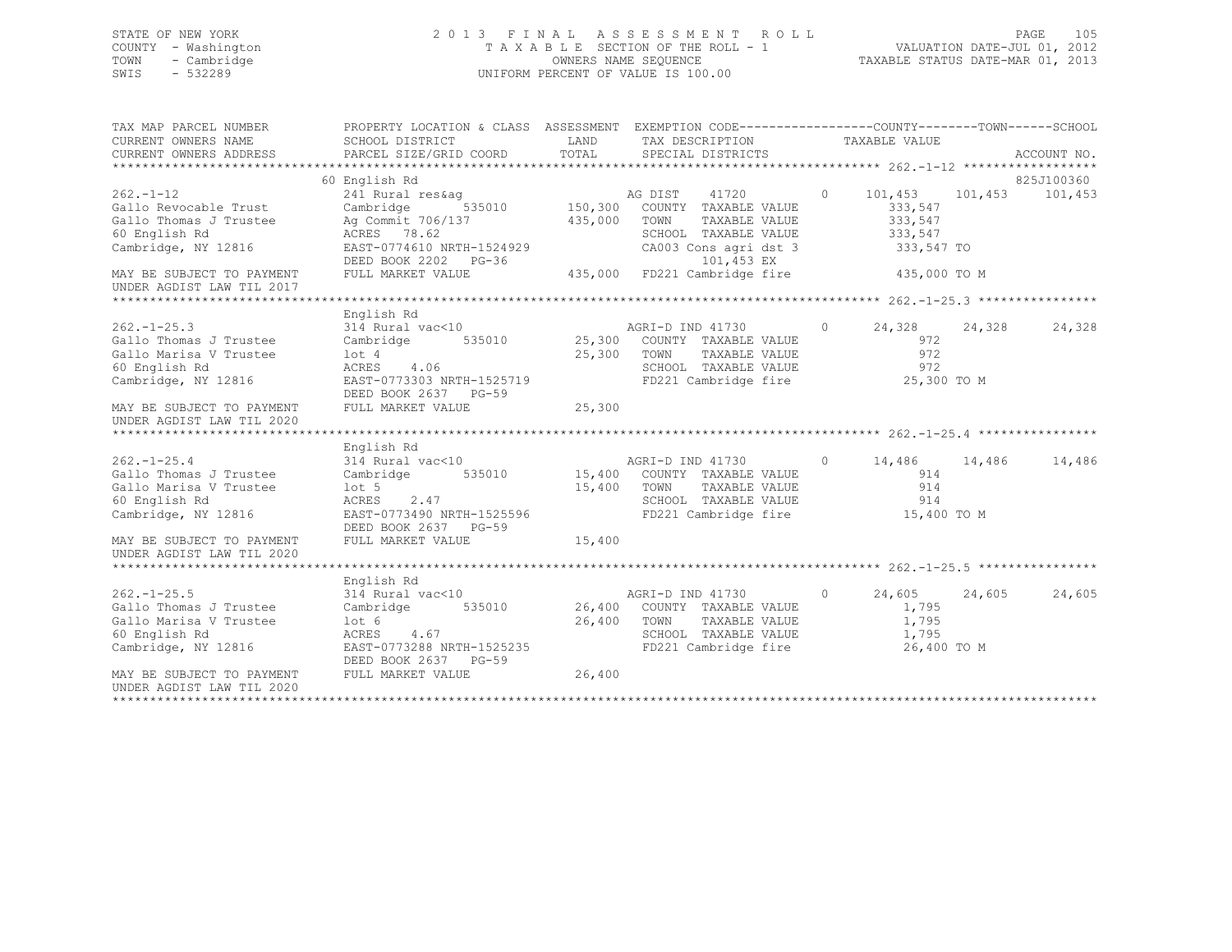## STATE OF NEW YORK 2 0 1 3 F I N A L A S S E S S M E N T R O L L PAGE 105 COUNTY - Washington T A X A B L E SECTION OF THE ROLL - 1 VALUATION DATE-JUL 01, 2012 TOWN - Cambridge OWNERS NAME SEQUENCE TAXABLE STATUS DATE-MAR 01, 2013 SWIS - 532289 UNIFORM PERCENT OF VALUE IS 100.00

| TAX MAP PARCEL NUMBER<br>CURRENT OWNERS NAME<br>CURRENT OWNERS ADDRESS                                        | PROPERTY LOCATION & CLASS ASSESSMENT EXEMPTION CODE----------------COUNTY-------TOWN-----SCHOOL<br>SCHOOL DISTRICT<br>PARCEL SIZE/GRID COORD                                                      | LAND<br>TOTAL | TAX DESCRIPTION TAXABLE VALUE<br>SPECIAL DISTRICTS                                                                                                       |         |                                                                        |        | ACCOUNT NO. |
|---------------------------------------------------------------------------------------------------------------|---------------------------------------------------------------------------------------------------------------------------------------------------------------------------------------------------|---------------|----------------------------------------------------------------------------------------------------------------------------------------------------------|---------|------------------------------------------------------------------------|--------|-------------|
| $262 - 1 - 12$<br>Gallo Revocable Trust<br>Gallo Thomas J Trustee<br>60 English Rd<br>Cambridge, NY 12816     | 60 English Rd<br>241 Rural res&ag<br>Cambridge<br>Ag Commit 706/137<br>ACRES 78.62<br>EAST-0774610 NRTH-1524929<br>DEED BOOK 2202 PG-36                                                           | 435,000       | 3<br>535010 150,300 COUNTY TAXABLE VALUE<br>TAXABLE VALUE<br>TOWN<br>SCHOOL TAXABLE VALUE<br>SCHOOL TAXABLE VALUE<br>CA003 Cons agri dst 3<br>101,453 EX | $\circ$ | 101,453 101,453 101,453<br>333,547<br>333,547<br>333,547<br>333,547 TO |        | 825J100360  |
| MAY BE SUBJECT TO PAYMENT<br>UNDER AGDIST LAW TIL 2017                                                        | FULL MARKET VALUE                                                                                                                                                                                 |               | 435,000 FD221 Cambridge fire                                                                                                                             |         | 435,000 TO M                                                           |        |             |
|                                                                                                               |                                                                                                                                                                                                   |               |                                                                                                                                                          |         |                                                                        |        |             |
| $262 - 1 - 25.3$<br>Gallo Thomas J Trustee<br>Gallo Marisa V Trustee<br>60 English Rd<br>Cambridge, NY 12816  | English Rd<br>25,300 CAMPIND 41730<br>214 Rural vac<10<br>Cambridge 535010 25,300 COUNTY TAXABLE VALUE<br>lot <sub>4</sub><br>ACRES<br>4.06<br>EAST-0773303 NRTH-1525719<br>DEED BOOK 2637 PG-59  | 25,300 TOWN   | TAXABLE VALUE<br>SCHOOL TAXABLE VALUE<br>FD221 Cambridge fire                                                                                            |         | 24,328 24,328<br>972<br>972<br>972<br>25,300 TO M                      |        | 24,328      |
| MAY BE SUBJECT TO PAYMENT<br>UNDER AGDIST LAW TIL 2020                                                        | FULL MARKET VALUE                                                                                                                                                                                 | 25,300        |                                                                                                                                                          |         |                                                                        |        |             |
|                                                                                                               | English Rd                                                                                                                                                                                        |               |                                                                                                                                                          |         |                                                                        |        |             |
| $262 - 1 - 25.4$<br>Gallo Thomas J Trustee<br>Gallo Marisa V Trustee<br>60 English Rd<br>Cambridge, NY 12816  | 314 Rural vac<10 $\overline{ABR1} - \overline{D}$ IND 41730 0<br>Cambridge 535010 15,400 COUNTY TAXABLE VALUE<br>$1$ ot $5$<br>ACRES<br>2.47<br>EAST-0773490 NRTH-1525596<br>DEED BOOK 2637 PG-59 | 15,400 TOWN   | TAXABLE VALUE<br>SCHOOL TAXABLE VALUE<br>FD221 Cambridge fire                                                                                            |         | 14,486<br>914<br>914<br>914<br>15,400 TO M                             | 14,486 | 14,486      |
| MAY BE SUBJECT TO PAYMENT<br>UNDER AGDIST LAW TIL 2020                                                        | FULL MARKET VALUE                                                                                                                                                                                 | 15,400        |                                                                                                                                                          |         |                                                                        |        |             |
|                                                                                                               |                                                                                                                                                                                                   |               |                                                                                                                                                          |         |                                                                        |        |             |
| $262. - 1 - 25.5$<br>Gallo Thomas J Trustee<br>Gallo Marisa V Trustee<br>60 English Rd<br>Cambridge, NY 12816 | English Rd<br>314 Rural vac<10<br>535010<br>Cambridge<br>lot <sub>6</sub><br>ACRES<br>4.67<br>EAST-0773288 NRTH-1525235<br>DEED BOOK 2637 PG-59                                                   | 26,400        | AGRI-D IND 41730<br>26,400 COUNTY TAXABLE VALUE<br>TOWN<br>TAXABLE VALUE<br>SCHOOL TAXABLE VALUE<br>FD221 Cambridge fire                                 | $\circ$ | 24,605<br>1,795<br>1,795<br>1,795<br>26,400 TO M                       | 24,605 | 24,605      |
| MAY BE SUBJECT TO PAYMENT<br>UNDER AGDIST LAW TIL 2020                                                        | FULL MARKET VALUE                                                                                                                                                                                 | 26,400        |                                                                                                                                                          |         |                                                                        |        |             |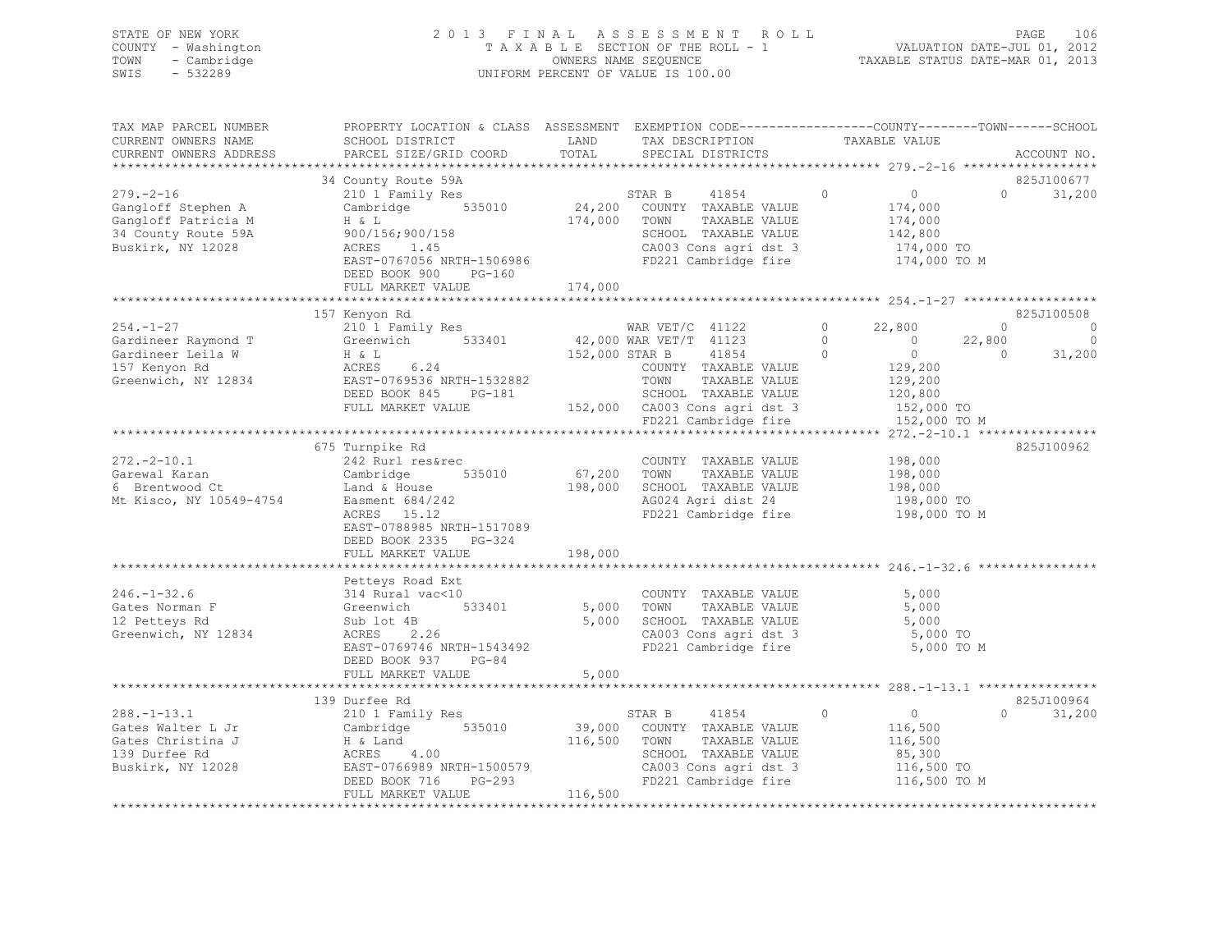| STATE OF NEW YORK   | 2013 FINAL ASSESSMENT ROLL         | 106<br>PAGE                      |
|---------------------|------------------------------------|----------------------------------|
| COUNTY - Washington | TAXABLE SECTION OF THE ROLL - 1    | VALUATION DATE-JUL 01, 2012      |
| TOWN - Cambridge    | OWNERS NAME SEOUENCE               | TAXABLE STATUS DATE-MAR 01, 2013 |
| SWIS<br>$-532289$   | UNIFORM PERCENT OF VALUE IS 100.00 |                                  |
|                     |                                    |                                  |

| TAX MAP PARCEL NUMBER   | PROPERTY LOCATION & CLASS ASSESSMENT EXEMPTION CODE-----------------COUNTY-------TOWN------SCHOOL |                                           |                |                                               |          |                            |                |             |
|-------------------------|---------------------------------------------------------------------------------------------------|-------------------------------------------|----------------|-----------------------------------------------|----------|----------------------------|----------------|-------------|
| CURRENT OWNERS NAME     | SCHOOL DISTRICT                                                                                   | LAND                                      |                | TAX DESCRIPTION                               |          | TAXABLE VALUE              |                |             |
| CURRENT OWNERS ADDRESS  | PARCEL SIZE/GRID COORD                                                                            | TOTAL                                     |                | SPECIAL DISTRICTS                             |          |                            |                | ACCOUNT NO. |
|                         |                                                                                                   |                                           |                |                                               |          |                            |                |             |
|                         | 34 County Route 59A                                                                               |                                           |                |                                               |          |                            |                | 825J100677  |
| $279. - 2 - 16$         | 210 1 Family Res                                                                                  |                                           | STAR B         | 41854                                         | $\Omega$ | $\overline{0}$             | $\Omega$       | 31,200      |
| Gangloff Stephen A      | Cambridge 535010                                                                                  |                                           |                | 24,200 COUNTY TAXABLE VALUE                   |          | 174,000                    |                |             |
| Gangloff Patricia M     | H & L                                                                                             | 174,000 TOWN                              |                | TAXABLE VALUE                                 |          | 174,000                    |                |             |
| 34 County Route 59A     | 900/156;900/158                                                                                   |                                           |                | SCHOOL TAXABLE VALUE                          |          | 142,800                    |                |             |
| Buskirk, NY 12028       | ACRES<br>1.45                                                                                     |                                           |                | CA003 Cons agri dst 3                         |          | 174,000 TO                 |                |             |
|                         |                                                                                                   |                                           |                |                                               |          |                            |                |             |
|                         | EAST-0767056 NRTH-1506986                                                                         |                                           |                | FD221 Cambridge fire                          |          | 174,000 TO M               |                |             |
|                         | DEED BOOK 900<br>$PG-160$                                                                         |                                           |                |                                               |          |                            |                |             |
|                         | FULL MARKET VALUE                                                                                 | 174,000                                   |                |                                               |          |                            |                |             |
|                         | **************************                                                                        | *********************                     |                |                                               |          |                            |                |             |
|                         | 157 Kenyon Rd                                                                                     |                                           |                |                                               |          |                            |                | 825J100508  |
| $254. - 1 - 27$         | 210 1 Family Res                                                                                  | WAR VET/C 41122<br>42,000 WAR VET/T 41123 |                |                                               | $\circ$  | 22,800                     | $\circ$        | $\circ$     |
| Gardineer Raymond T     | Greenwich 533401                                                                                  |                                           |                |                                               | $\Omega$ | $\overline{0}$             | 22,800         | $\circ$     |
| Gardineer Leila W       | H & L<br>ACRES                                                                                    |                                           | 152,000 STAR B | 41854                                         | $\circ$  | $\overline{0}$             | $\overline{0}$ | 31,200      |
| 157 Kenyon Rd           | 6.24                                                                                              |                                           |                | COUNTY TAXABLE VALUE                          |          | 129,200                    |                |             |
| Greenwich, NY 12834     | EAST-0769536 NRTH-1532882                                                                         |                                           | TOWN           | TAXABLE VALUE                                 |          | 129,200                    |                |             |
|                         | DEED BOOK 845 PG-181                                                                              |                                           |                | SCHOOL TAXABLE VALUE                          |          | 120,800                    |                |             |
|                         | FULL MARKET VALUE                                                                                 |                                           |                | 152,000 CA003 Cons agri dst 3                 |          | 152,000 TO                 |                |             |
|                         |                                                                                                   |                                           |                | FD221 Cambridge fire                          |          | 152,000 TO M               |                |             |
|                         |                                                                                                   |                                           |                |                                               |          |                            |                |             |
|                         |                                                                                                   |                                           |                |                                               |          |                            |                |             |
|                         | 675 Turnpike Rd                                                                                   |                                           |                |                                               |          |                            |                | 825J100962  |
| $272. - 2 - 10.1$       | 242 Rurl res&rec                                                                                  |                                           |                | COUNTY TAXABLE VALUE                          |          | 198,000                    |                |             |
| Garewal Karan           | Cambridge 535010                                                                                  |                                           | 67,200 TOWN    | TAXABLE VALUE                                 |          | 198,000<br>198,000         |                |             |
| 6 Brentwood Ct          | Land & House                                                                                      |                                           |                | 198,000 SCHOOL TAXABLE VALUE                  |          |                            |                |             |
| Mt Kisco, NY 10549-4754 | Easment 684/242<br>ACRES 15.12                                                                    |                                           |                | AG024 Agri dist 24                            |          | 198,000 TO                 |                |             |
|                         | ACRES 15.12                                                                                       |                                           |                | FD221 Cambridge fire                          |          | 198,000 TO M               |                |             |
|                         | EAST-0788985 NRTH-1517089                                                                         |                                           |                |                                               |          |                            |                |             |
|                         | DEED BOOK 2335 PG-324                                                                             |                                           |                |                                               |          |                            |                |             |
|                         | FULL MARKET VALUE                                                                                 | 198,000                                   |                |                                               |          |                            |                |             |
|                         |                                                                                                   |                                           |                |                                               |          |                            |                |             |
|                         | Petteys Road Ext                                                                                  |                                           |                |                                               |          |                            |                |             |
| $246. - 1 - 32.6$       | 314 Rural vac<10                                                                                  |                                           |                | COUNTY TAXABLE VALUE                          |          | 5,000                      |                |             |
| Gates Norman F          | Greenwich 533401                                                                                  | 5,000 TOWN                                |                | TAXABLE VALUE                                 |          | 5,000                      |                |             |
| 12 Petteys Rd           | Sub lot 4B                                                                                        |                                           |                | 5,000 SCHOOL TAXABLE VALUE                    |          | 5,000                      |                |             |
|                         | $\frac{4B}{2.26}$<br>ACRES                                                                        |                                           |                | CA003 Cons agri dst 3                         |          | 5,000 TO                   |                |             |
| Greenwich, NY 12834     |                                                                                                   |                                           |                |                                               |          |                            |                |             |
|                         | EAST-0769746 NRTH-1543492                                                                         |                                           |                | FD221 Cambridge fire                          |          | 5,000 TO M                 |                |             |
|                         | DEED BOOK 937 PG-84                                                                               |                                           |                |                                               |          |                            |                |             |
|                         | FULL MARKET VALUE                                                                                 | 5,000                                     |                |                                               |          |                            |                |             |
|                         |                                                                                                   |                                           |                |                                               |          |                            |                |             |
|                         | 139 Durfee Rd                                                                                     |                                           |                |                                               |          |                            |                | 825J100964  |
| $288. - 1 - 13.1$       | 210 1 Family Res                                                                                  |                                           | STAR B         | 41854                                         | $\circ$  | $\overline{0}$             | $\Omega$       | 31,200      |
| Gates Walter L Jr       | Cambridge 535010                                                                                  |                                           |                | 39,000 COUNTY TAXABLE VALUE                   |          | 116,500                    |                |             |
| Gates Christina J       | H & Land                                                                                          | 116,500 TOWN                              |                | TAXABLE VALUE                                 |          | 116,500                    |                |             |
| 139 Durfee Rd           | 4.00<br>ACRES                                                                                     |                                           |                | SCHOOL TAXABLE VALUE                          |          | 85,300                     |                |             |
| Buskirk, NY 12028       | EAST-0766989 NRTH-1500579                                                                         |                                           |                | CA003 Cons agri dst 3<br>FD221 Cambridge fire |          |                            |                |             |
|                         | DEED BOOK 716 PG-293                                                                              |                                           |                |                                               |          | 116,500 TO<br>116,500 TO M |                |             |
|                         | FULL MARKET VALUE                                                                                 | 116,500                                   |                |                                               |          |                            |                |             |
|                         |                                                                                                   |                                           |                |                                               |          |                            |                |             |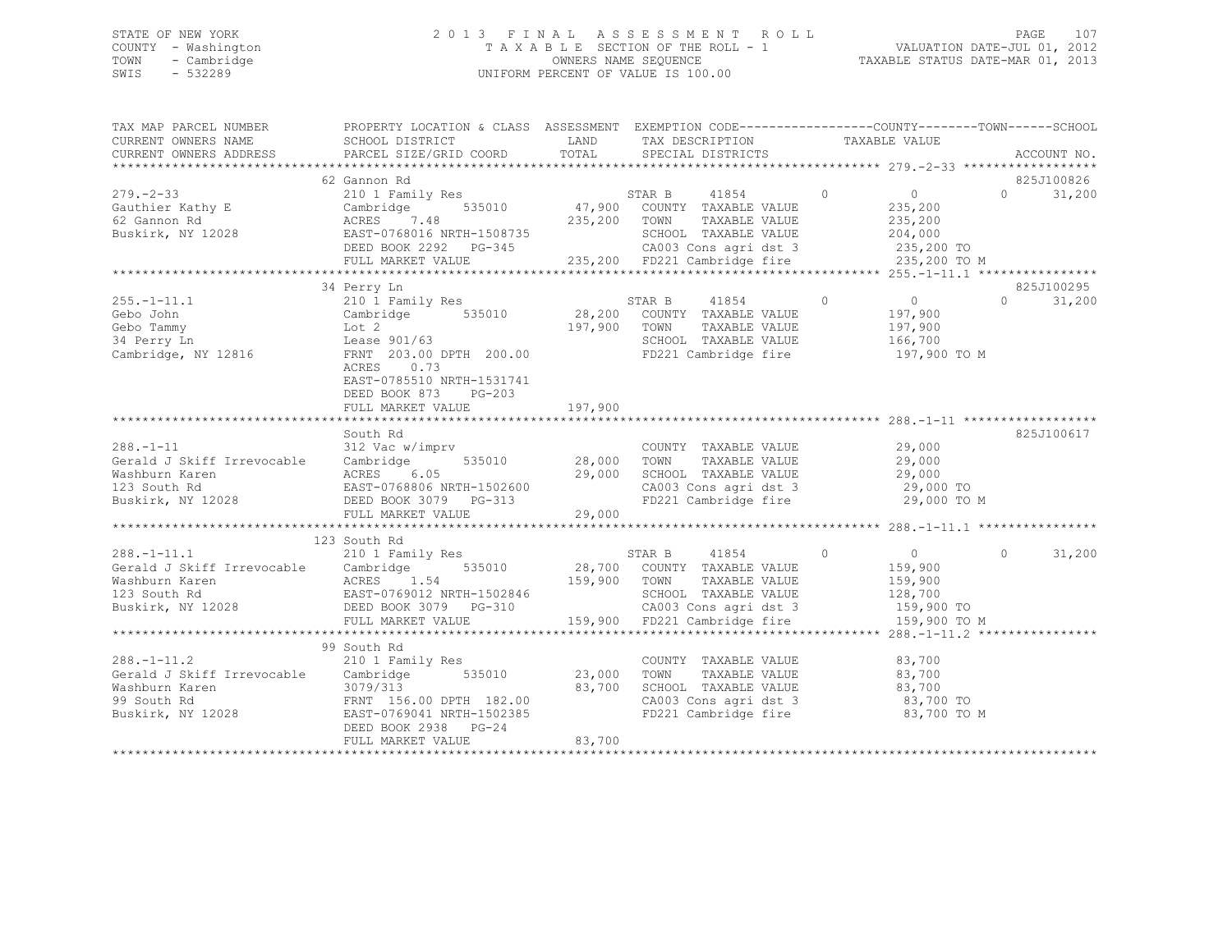## STATE OF NEW YORK 2 0 1 3 F I N A L A S S E S S M E N T R O L L PAGE 107 COUNTY - Washington T A X A B L E SECTION OF THE ROLL - 1 VALUATION DATE-JUL 01, 2012 TOWN - Cambridge OWNERS NAME SEQUENCE TAXABLE STATUS DATE-MAR 01, 2013 SWIS - 532289 UNIFORM PERCENT OF VALUE IS 100.00

| TAX MAP PARCEL NUMBER<br>CURRENT OWNERS NAME | PROPERTY LOCATION & CLASS ASSESSMENT EXEMPTION CODE----------------COUNTY-------TOWN------SCHOOL<br>SCHOOL DISTRICT TAND TAX DESCRIPTION                                                                                                                                                               |         | LAND TAX DESCRIPTION TAXABLE VALUE TOTAL SPECIAL DISTRICTS                                |                                                                                                                               |                                  |
|----------------------------------------------|--------------------------------------------------------------------------------------------------------------------------------------------------------------------------------------------------------------------------------------------------------------------------------------------------------|---------|-------------------------------------------------------------------------------------------|-------------------------------------------------------------------------------------------------------------------------------|----------------------------------|
| CURRENT OWNERS ADDRESS                       | PARCEL SIZE/GRID COORD                                                                                                                                                                                                                                                                                 |         |                                                                                           |                                                                                                                               | ACCOUNT NO.                      |
|                                              | 62 Gannon Rd                                                                                                                                                                                                                                                                                           |         |                                                                                           |                                                                                                                               | 825J100826<br>$\Omega$<br>31,200 |
|                                              |                                                                                                                                                                                                                                                                                                        |         |                                                                                           |                                                                                                                               | 825J100295                       |
|                                              | 910 1 Family Res<br>Cebo John Cambridge 535010 28,200 COUNTY TAXABLE VALUE<br>Gebo Tammy Lot 2<br>34 Perry Ln Lease 901/63 5010 197,900 TOWN TAXABLE VALUE<br>Cambridge, NY 12816 FRNT 203.00 DPTH 200.00 FD221 Cambridge fire<br>ACRES 0.73<br>EAST-0785510 NRTH-1531741<br>DEED BOOK 873<br>$PG-203$ |         | 41854 0<br>TAXABLE VALUE<br>TAXABLE VALUE<br>SCHOOL TAXABLE VALUE<br>FD221 Cambridge fire | $\overline{0}$<br>197,900<br>197,900<br>166,700<br>197,900 TO M                                                               | $0 \qquad \qquad$<br>31,200      |
|                                              | FULL MARKET VALUE                                                                                                                                                                                                                                                                                      | 197,900 |                                                                                           |                                                                                                                               |                                  |
| $288. - 1 - 11$                              | South Rd<br>312 Vac w/imprv<br>Correct Cambridge Cambridge 535010 28,000 TOWN TAXABLE VALUE<br>Washburn Karen ACRES 6.05 29,000 SCHOOL TAXABLE VALUE<br>123 South Rd EAST-0768806 NRTH-1502600 29,000 SCHOOL TAXABLE VALUE<br>Buskirk, NY 12028 DEED BOOK 3079 PG-3                                    |         | COUNTY TAXABLE VALUE 29,000                                                               | 29,000 TO M                                                                                                                   | 825J100617                       |
|                                              | 123 South Rd                                                                                                                                                                                                                                                                                           |         |                                                                                           |                                                                                                                               |                                  |
|                                              |                                                                                                                                                                                                                                                                                                        |         |                                                                                           |                                                                                                                               | $\circ$<br>31,200                |
|                                              | 99 South Rd                                                                                                                                                                                                                                                                                            |         |                                                                                           |                                                                                                                               |                                  |
| $288. - 1 - 11.2$                            | 210 1 Family Res<br>Gerald J Skiff Irrevocable Cambridge 535010 23,000<br>Washburn Karen and the 1979/313<br>99 South Rd FRNT 156.00 DPTH 182.00<br>Buskirk, NY 12028<br>EAST-0769041 NRTH-1502385<br>DEED BOOK 2938 PG-24                                                                             | 83,700  | COUNTY TAXABLE VALUE 83,700<br>TOWN<br>FD221 Cambridge fire                               | TAXABLE VALUE 83,700<br>TAXABLE VALUE 83,700<br>SCHOOL TAXABLE VALUE 83,700<br>CA003 Cons agri dst 3 63,700 TO<br>83,700 TO M |                                  |
|                                              | FULL MARKET VALUE                                                                                                                                                                                                                                                                                      | 83,700  |                                                                                           |                                                                                                                               |                                  |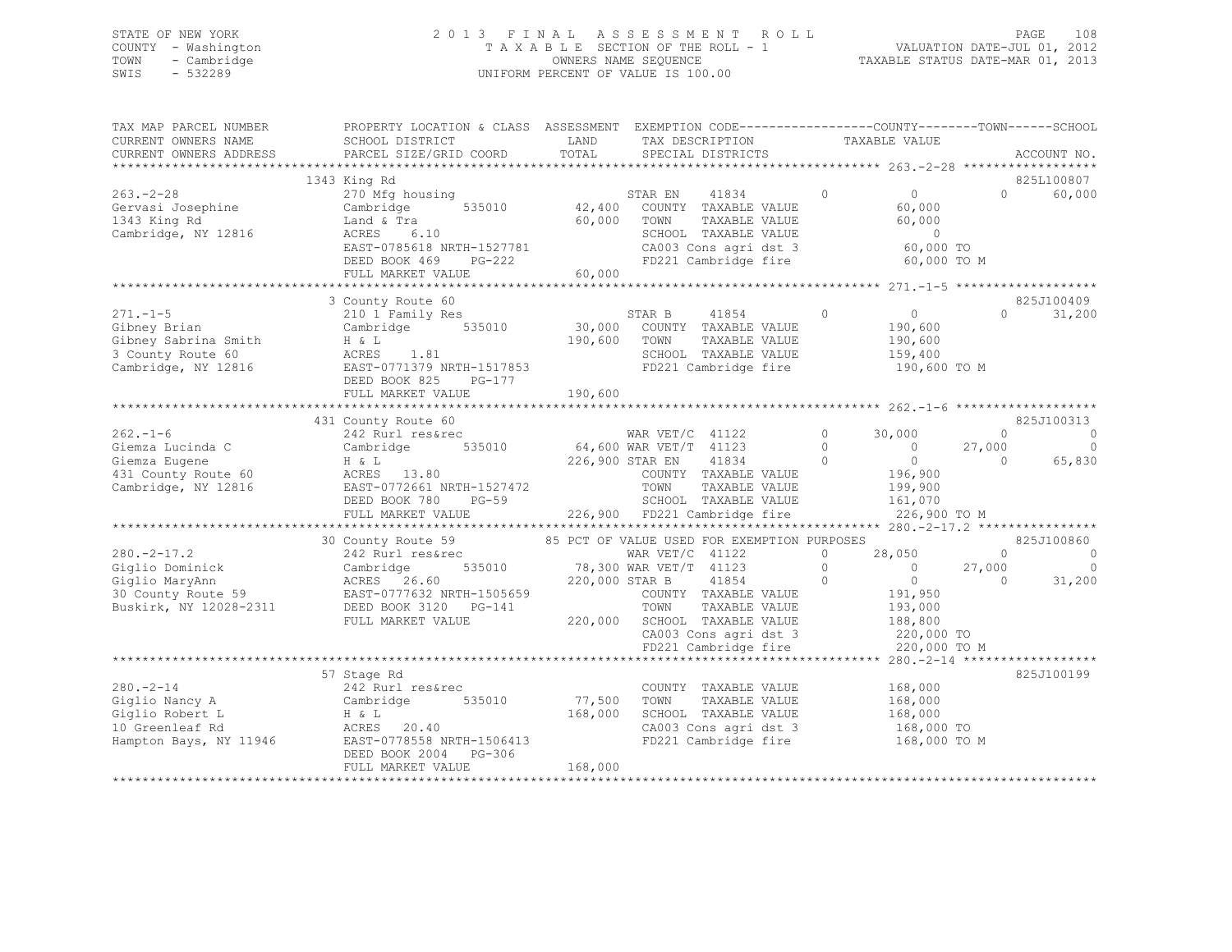## STATE OF NEW YORK 2 0 1 3 F I N A L A S S E S S M E N T R O L L PAGE 108 COUNTY - Washington T A X A B L E SECTION OF THE ROLL - 1 VALUATION DATE-JUL 01, 2012 TOWN - Cambridge OWNERS NAME SEQUENCE TAXABLE STATUS DATE-MAR 01, 2013 SWIS - 532289 UNIFORM PERCENT OF VALUE IS 100.00

| TAX MAP PARCEL NUMBER<br>CURRENT OWNERS NAME<br>CURRENT OWNERS ADDRESS                                | PROPERTY LOCATION & CLASS ASSESSMENT EXEMPTION CODE----------------COUNTY-------TOWN-----SCHOOL<br>SCHOOL DISTRICT<br>PARCEL SIZE/GRID COORD                                                    | LAND<br>TOTAL         | TAX DESCRIPTION<br>SPECIAL DISTRICTS                                                                                                                                                     | TAXABLE VALUE                                                                                                                                |                                  | ACCOUNT NO.                                 |
|-------------------------------------------------------------------------------------------------------|-------------------------------------------------------------------------------------------------------------------------------------------------------------------------------------------------|-----------------------|------------------------------------------------------------------------------------------------------------------------------------------------------------------------------------------|----------------------------------------------------------------------------------------------------------------------------------------------|----------------------------------|---------------------------------------------|
|                                                                                                       |                                                                                                                                                                                                 |                       |                                                                                                                                                                                          |                                                                                                                                              |                                  |                                             |
| $263 - 2 - 28$<br>Gervasi Josephine<br>1343 King Rd<br>Cambridge, NY 12816                            | 1343 King Rd<br>270 Mfg housing<br>535010<br>Cambridge<br>Land & Tra<br>ACRES 6.10<br>EAST-0785618 NRTH-1527781<br>PG-222<br>DEED BOOK 469<br>FULL MARKET VALUE                                 | 60,000 TOWN<br>60,000 | 41834<br>STAR EN<br>42,400 COUNTY TAXABLE VALUE<br>TAXABLE VALUE<br>SCHOOL TAXABLE VALUE<br>CA003 Cons agri dst 3<br>FD221 Cambridge fire                                                | $\Omega$<br>$\overline{0}$<br>60,000<br>60,000<br>$\sim$ 0<br>60,000 TO<br>60,000 TO M                                                       | $\cap$                           | 825L100807<br>60,000                        |
|                                                                                                       |                                                                                                                                                                                                 |                       |                                                                                                                                                                                          |                                                                                                                                              |                                  |                                             |
| $271. - 1 - 5$<br>Gibney Brian<br>Gibney Sabrina Smith<br>3 County Route 60<br>Cambridge, NY 12816    | 3 County Route 60<br>210 1 Family Res<br>Cambridge 535010<br>H & L<br>ACRES 1.81<br>EAST-0771379 NRTH-1517853<br>DEED BOOK 825 PG-177                                                           | 190,600               | STAR B 41854<br>30,000 COUNTY TAXABLE VALUE<br>TOWN<br>TAXABLE VALUE<br>SCHOOL TAXABLE VALUE<br>FD221 Cambridge fire                                                                     | $\overline{0}$<br>$\circ$<br>190,600<br>190,600<br>159,400<br>190,600 TO M                                                                   | $\Omega$                         | 825J100409<br>31,200                        |
|                                                                                                       | FULL MARKET VALUE                                                                                                                                                                               | 190,600               |                                                                                                                                                                                          |                                                                                                                                              |                                  |                                             |
|                                                                                                       |                                                                                                                                                                                                 |                       |                                                                                                                                                                                          |                                                                                                                                              |                                  |                                             |
| $262 - 1 - 6$<br>Giemza Lucinda C<br>Giemza Eugene<br>431 County Route 60<br>Cambridge, NY 12816      | 431 County Route 60<br>242 Rurl res&rec<br>Cambridge 535010 64,600 WAR VET/T 41123<br>H & L<br>ACRES 13.80<br>$PG-59$<br>DEED BOOK 780<br>FULL MARKET VALUE                                     |                       | WAR VET/C 41122<br>226,900 STAR EN<br>41834<br>COUNTY TAXABLE VALUE<br>TOWN<br>TAXABLE VALUE<br>SCHOOL TAXABLE VALUE<br>226,900 FD221 Cambridge fire                                     | 30,000<br>$0 \qquad \qquad$<br>$\bigcirc$<br>$\overline{0}$<br>$\overline{0}$<br>$\bigcirc$<br>196,900<br>199,900<br>161,070<br>226,900 TO M | $\circ$<br>27,000<br>$\bigcirc$  | 825J100313<br>$\circ$<br>$\Omega$<br>65,830 |
|                                                                                                       |                                                                                                                                                                                                 |                       | 85 PCT OF VALUE USED FOR EXEMPTION PURPOSES                                                                                                                                              |                                                                                                                                              |                                  |                                             |
| $280. -2 - 17.2$<br>Giglio Dominick<br>Giglio MaryAnn<br>30 County Route 59<br>Buskirk, NY 12028-2311 | 30 County Route 59<br>242 Rurl res&rec<br>Cambridge<br>220,000 STAR B<br>ACRES 26.60<br>EAST-0777632 NRTH-1505659<br>במשת המשת המדינות במראה השפח<br>DEED BOOK 3120 PG-141<br>FULL MARKET VALUE |                       | WAR $VET/C$ 41122<br>$78,300$ WAR VET/T 41123<br>41854<br>COUNTY TAXABLE VALUE<br>TOWN<br>TAXABLE VALUE<br>220,000 SCHOOL TAXABLE VALUE<br>CA003 Cons agri dst 3<br>FD221 Cambridge fire | 28,050<br>$\circ$<br>$\Omega$<br>$\overline{0}$<br>$\overline{0}$<br>$\Omega$<br>191,950<br>193,000<br>188,800<br>220,000 TO<br>220,000 TO M | $\bigcirc$<br>27,000<br>$\Omega$ | 825J100860<br>$\circ$<br>$\circ$<br>31,200  |
|                                                                                                       |                                                                                                                                                                                                 |                       |                                                                                                                                                                                          |                                                                                                                                              |                                  |                                             |
| $280. - 2 - 14$<br>Giglio Nancy A<br>Giglio Robert L<br>10 Greenleaf Rd                               | 57 Stage Rd<br>242 Rurl res&rec<br>Cambridge 535010<br>H & L<br>ACRES 20.40<br>Hampton Bays, NY 11946 EAST-0778558 NRTH-1506413<br>DEED BOOK 2004 PG-306                                        | 168,000               | COUNTY TAXABLE VALUE<br>77,500 TOWN<br>TAXABLE VALUE<br>SCHOOL TAXABLE VALUE<br>CA003 Cons agri dst 3<br>FD221 Cambridge fire 168,000 TO M                                               | 168,000<br>168,000<br>168,000<br>168,000 TO                                                                                                  |                                  | 825J100199                                  |
|                                                                                                       | FULL MARKET VALUE                                                                                                                                                                               | 168,000               |                                                                                                                                                                                          |                                                                                                                                              |                                  |                                             |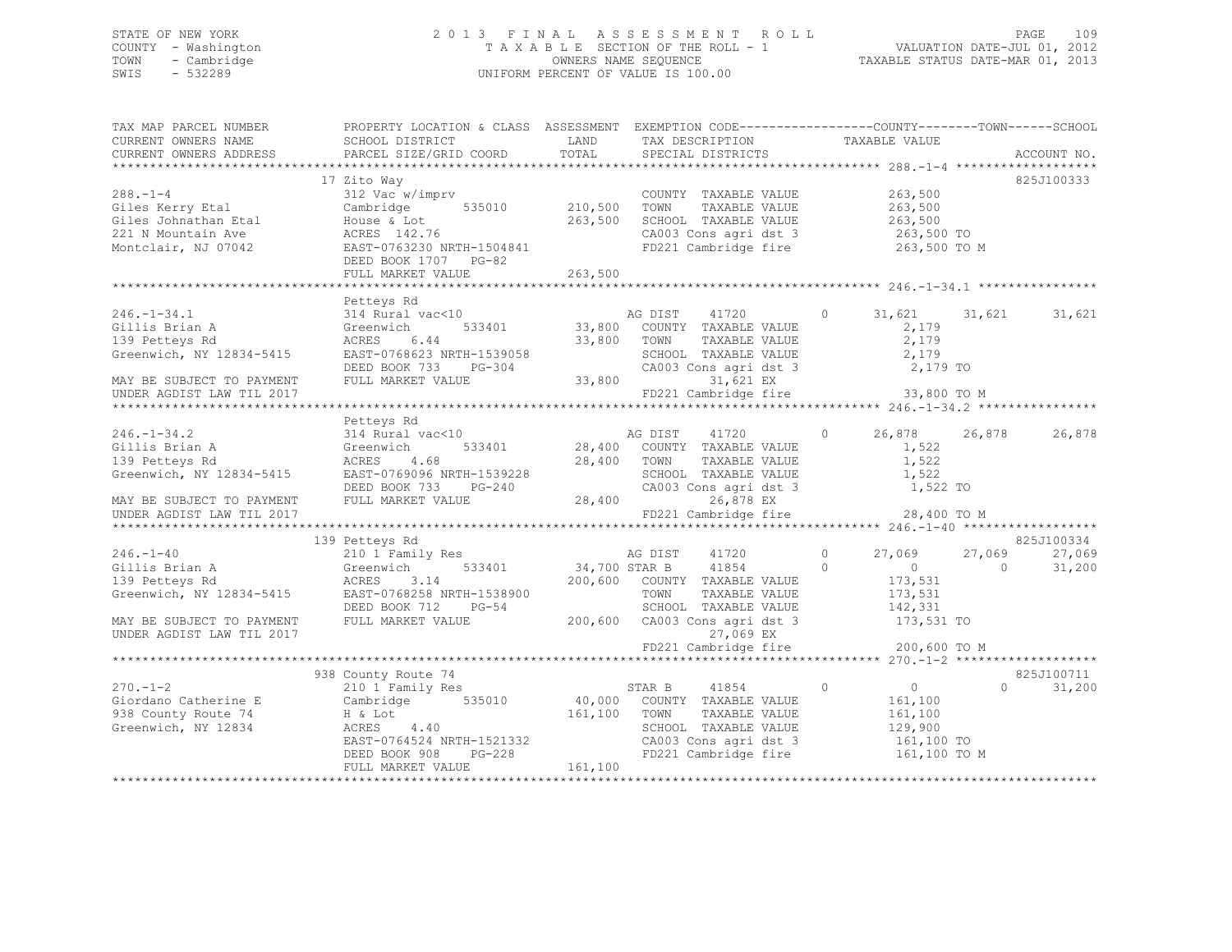### STATE OF NEW YORK 2 0 1 3 F I N A L A S S E S S M E N T R O L L PAGE 109 COUNTY - Washington T A X A B L E SECTION OF THE ROLL - 1 VALUATION DATE-JUL 01, 2012 TOWN - Cambridge OWNERS NAME SEQUENCE TAXABLE STATUS DATE-MAR 01, 2013 SWIS - 532289 UNIFORM PERCENT OF VALUE IS 100.00

| TAX MAP PARCEL NUMBER<br>CURRENT OWNERS NAME<br>CURRENT OWNERS ADDRESS                                                                      | PROPERTY LOCATION & CLASS ASSESSMENT EXEMPTION CODE---------------COUNTY-------TOWN-----SCHOOL<br>SCHOOL DISTRICT<br>PARCEL SIZE/GRID COORD                       | LAND<br>TOTAL                 | TAX DESCRIPTION<br>SPECIAL DISTRICTS                                                                                                                                                                                            | TAXABLE VALUE                                                                            | ACCOUNT NO.                                            |
|---------------------------------------------------------------------------------------------------------------------------------------------|-------------------------------------------------------------------------------------------------------------------------------------------------------------------|-------------------------------|---------------------------------------------------------------------------------------------------------------------------------------------------------------------------------------------------------------------------------|------------------------------------------------------------------------------------------|--------------------------------------------------------|
|                                                                                                                                             |                                                                                                                                                                   |                               |                                                                                                                                                                                                                                 |                                                                                          |                                                        |
| $288. - 1 - 4$<br>Giles Kerry Etal<br>Giles Johnathan Etal<br>221 N Mountain Ave<br>Montclair, NJ 07042                                     | 17 Zito Way<br>312 Vac w/imprv<br>535010<br>Cambridge<br>House & Lot<br>ACRES 142.76<br>EAST-0763230 NRTH-1504841<br>DEED BOOK 1707 PG-82<br>FULL MARKET VALUE    | 210,500<br>263,500<br>263,500 | COUNTY TAXABLE VALUE<br>TAXABLE VALUE<br>TOWN<br>SCHOOL TAXABLE VALUE<br>CA003 Cons agri dst 3<br>FD221 Cambridge fire                                                                                                          | 263,500<br>263,500<br>263,500<br>263,500 TO<br>263,500 TO M                              | 825J100333                                             |
|                                                                                                                                             |                                                                                                                                                                   |                               |                                                                                                                                                                                                                                 |                                                                                          |                                                        |
| $246. - 1 - 34.1$<br>Gillis Brian A<br>139 Petteys Rd<br>Greenwich, NY 12834-5415<br>MAY BE SUBJECT TO PAYMENT<br>UNDER AGDIST LAW TIL 2017 | Petteys Rd<br>314 Rural vac<10<br>533401<br>Greenwich<br>ACRES<br>6.44<br>EAST-0768623 NRTH-1539058<br>DEED BOOK 733<br>PG-304<br>FULL MARKET VALUE               | 33,800                        | AG DIST 41720<br>AG DIST 41720<br>33,800 COUNTY TAXABLE VALUE<br>TOWN<br>TAXABLE VALUE<br>TOWN      TAXABLE VALUE<br>SCHOOL   TAXABLE VALUE<br>CA003 Cons agri dst 3<br>33,800<br>31,621 EX<br>FD221 Cambridge fire 33,800 TO M | $\circ$<br>31,621 31,621<br>2,179<br>2,179<br>2,179<br>2,179 TO                          | 31,621                                                 |
|                                                                                                                                             | Petteys Rd                                                                                                                                                        |                               |                                                                                                                                                                                                                                 |                                                                                          |                                                        |
| $246. - 1 - 34.2$<br>Gillis Brian A<br>139 Petteys Rd<br>Greenwich, NY 12834-5415                                                           | 314 Rural vac<10<br>533401<br>Greenwich<br>ACRES<br>4.68<br>EAST-0769096 NRTH-1539228<br>DEED BOOK 733 PG-240                                                     | 28,400                        | AG DIST 41720<br>28,400 COUNTY TAXABLE VALUE<br>TOWN<br>TAXABLE VALUE<br>SCHOOL TAXABLE VALUE<br>CA003 Cons agri dst 3                                                                                                          | 26,878<br>$\Omega$<br>1,522<br>1,522<br>1,522<br>1,522 TO                                | 26,878<br>26,878                                       |
| MAY BE SUBJECT TO PAYMENT<br>UNDER AGDIST LAW TIL 2017                                                                                      | FULL MARKET VALUE                                                                                                                                                 | $28,400$ FD22                 | 26,878 EX<br>FD221 Cambridge fire                                                                                                                                                                                               | 28,400 TO M                                                                              |                                                        |
|                                                                                                                                             |                                                                                                                                                                   |                               |                                                                                                                                                                                                                                 |                                                                                          |                                                        |
| $246. - 1 - 40$<br>Gillis Brian A<br>139 Petteys Rd<br>Greenwich, NY 12834-5415<br>MAY BE SUBJECT TO PAYMENT<br>UNDER AGDIST LAW TIL 2017   | 139 Petteys Rd<br>210 1 Family Res<br>533401<br>Greenwich<br>ACRES 3.14<br>EAST-0768258 NRTH-1538900<br>DEED BOOK 712<br>$PG-54$<br>FULL MARKET VALUE             | 34,700 STAR B                 | AG DIST<br>41720<br>41854<br>200,600 COUNTY TAXABLE VALUE<br>TOWN<br>TAXABLE VALUE<br>SCHOOL TAXABLE VALUE<br>200,600 CA003 Cons agri dst 3<br>27,069 EX                                                                        | $\circ$<br>27,069<br>$\sim$ 0<br>$\circ$<br>173,531<br>173,531<br>142,331<br>173,531 TO  | 825J100334<br>27,069<br>27,069<br>$\bigcirc$<br>31,200 |
|                                                                                                                                             |                                                                                                                                                                   |                               | FD221 Cambridge fire                                                                                                                                                                                                            | 200,600 TO M                                                                             |                                                        |
|                                                                                                                                             |                                                                                                                                                                   |                               |                                                                                                                                                                                                                                 |                                                                                          |                                                        |
| $270. - 1 - 2$<br>Giordano Catherine E<br>938 County Route 74<br>Greenwich, NY 12834                                                        | 938 County Route 74<br>210 1 Family Res<br>Cambridge 535010<br>H & Lot<br>ACRES 4.40<br>EAST-0764524 NRTH-1521332<br>DEED BOOK 908<br>PG-228<br>FULL MARKET VALUE | 161,100<br>161,100            | STAR B 41004<br>40,000 COUNTY TAXABLE VALUE<br>TOWN<br>TAXABLE VALUE<br>SCHOOL TAXABLE VALUE<br>CA003 Cons agri dst 3<br>FD221 Cambridge fire                                                                                   | $\circ$<br>$\overline{0}$<br>161,100<br>161,100<br>129,900<br>161,100 TO<br>161,100 TO M | 825J100711<br>$\Omega$<br>31,200                       |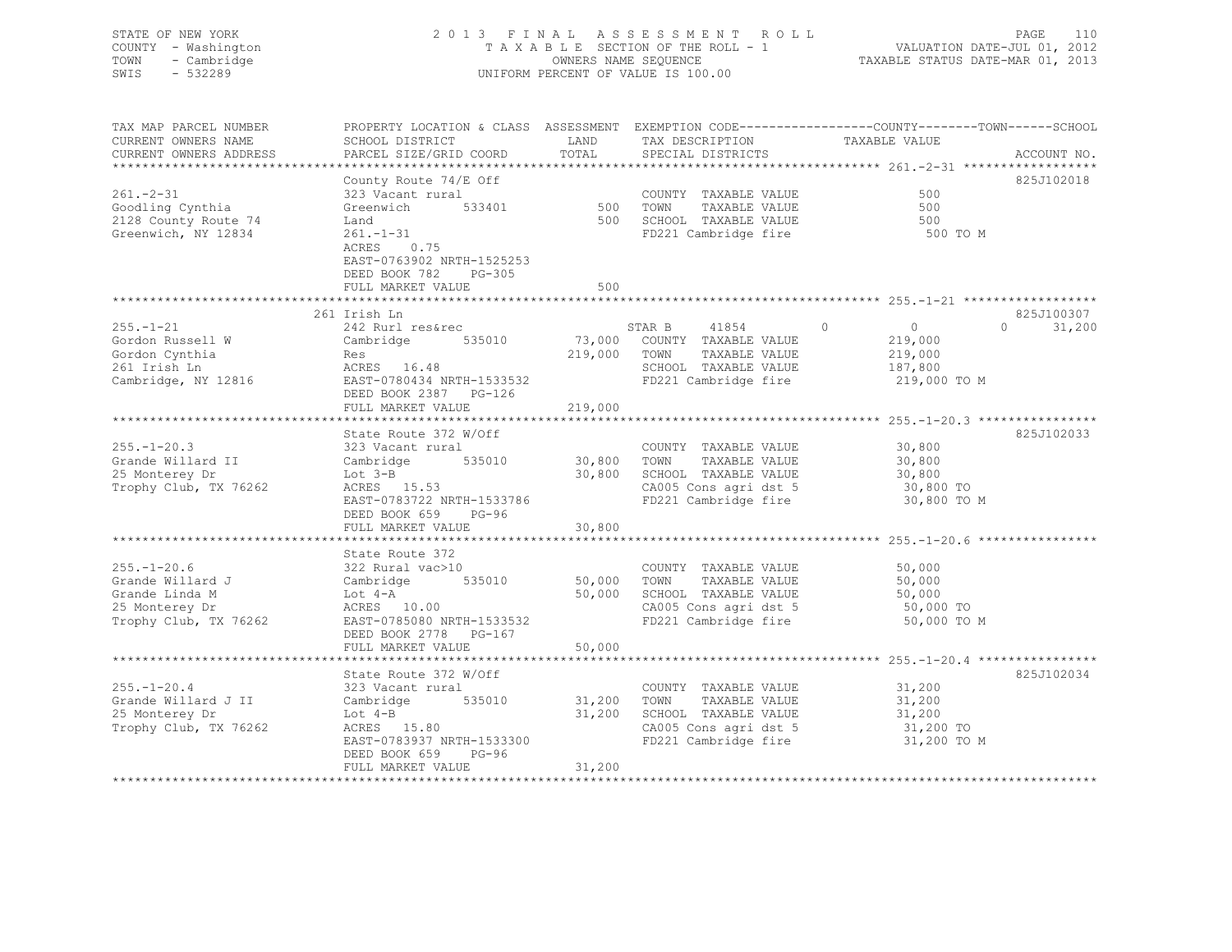### STATE OF NEW YORK 2 0 1 3 F I N A L A S S E S S M E N T R O L L PAGE 110 COUNTY - Washington T A X A B L E SECTION OF THE ROLL - 1 VALUATION DATE-JUL 01, 2012 TOWN - Cambridge OWNERS NAME SEQUENCE TAXABLE STATUS DATE-MAR 01, 2013 SWIS - 532289 UNIFORM PERCENT OF VALUE IS 100.00

| TAX MAP PARCEL NUMBER<br>CURRENT OWNERS NAME                                                                           | PROPERTY LOCATION & CLASS ASSESSMENT EXEMPTION CODE----------------COUNTY-------TOWN------SCHOOL<br>SCHOOL DISTRICT                                      | LAND                  | TAX DESCRIPTION                                                                                                                 | TAXABLE VALUE                                                               |                    |
|------------------------------------------------------------------------------------------------------------------------|----------------------------------------------------------------------------------------------------------------------------------------------------------|-----------------------|---------------------------------------------------------------------------------------------------------------------------------|-----------------------------------------------------------------------------|--------------------|
| CURRENT OWNERS ADDRESS                                                                                                 | PARCEL SIZE/GRID COORD                                                                                                                                   | TOTAL                 | SPECIAL DISTRICTS                                                                                                               |                                                                             | ACCOUNT NO.        |
|                                                                                                                        | County Route 74/E Off                                                                                                                                    |                       |                                                                                                                                 |                                                                             | 825J102018         |
| $261 - 2 - 31$<br>Goodling Cynthia<br>2128 County Route 74                                                             | 323 Vacant rural<br>Greenwich 533401<br>Land                                                                                                             | COUNT<br>500 TOWN     | COUNTY TAXABLE VALUE<br>TAXABLE VALUE<br>500 SCHOOL TAXABLE VALUE                                                               | 500<br>500<br>500                                                           |                    |
| Greenwich, NY 12834                                                                                                    | $261. - 1 - 31$<br>0.75<br>ACRES<br>EAST-0763902 NRTH-1525253<br>DEED BOOK 782 PG-305<br>FULL MARKET VALUE                                               | 500                   | FD221 Cambridge fire                                                                                                            | 500 TO M                                                                    |                    |
|                                                                                                                        |                                                                                                                                                          |                       |                                                                                                                                 |                                                                             |                    |
|                                                                                                                        | 261 Irish Ln                                                                                                                                             |                       |                                                                                                                                 |                                                                             | 825J100307         |
| $255. - 1 - 21$<br>Gordon Russell W<br>Gordon Cynthia<br>261 Irish Ln<br>Cambridge, NY 12816 EAST-0780434 NRTH-1533532 | 242 Rurl res&rec<br>535010<br>Cambridge<br>Res<br>ACRES 16.48<br>DEED BOOK 2387 PG-126<br>FULL MARKET VALUE                                              | 219,000               | STAR B<br>41854<br>73,000 COUNTY TAXABLE VALUE<br>219,000 TOWN<br>TAXABLE VALUE<br>SCHOOL TAXABLE VALUE<br>FD221 Cambridge fire | $\Omega$<br>$\overline{0}$<br>219,000<br>219,000<br>187,800<br>219,000 TO M | $\Omega$<br>31,200 |
|                                                                                                                        |                                                                                                                                                          |                       |                                                                                                                                 |                                                                             |                    |
| $255. - 1 - 20.3$<br>Grande Willard II<br>25 Monterey Dr<br>Trophy Club, TX 76262                                      | State Route 372 W/Off<br>323 Vacant rural<br>Cambridge<br>$\text{LOU } 3-\text{B}$<br>ACRES 15.53<br>EAST-0783722 NRTH-1533786<br>DEED BOOK 659<br>PG-96 | 535010 30,800 TOWN    | COUNTY TAXABLE VALUE<br>TAXABLE VALUE<br>30,800 SCHOOL TAXABLE VALUE<br>CA005 Cons agri dst 5<br>FD221 Cambridge fire           | 30,800<br>30,800<br>30,800<br>30,800 TO<br>30,800 TO M                      | 825J102033         |
|                                                                                                                        | FULL MARKET VALUE                                                                                                                                        | 30,800                |                                                                                                                                 |                                                                             |                    |
| $255. - 1 - 20.6$<br>Grande Willard J<br>Grande Linda M                                                                | State Route 372<br>322 Rural vac>10<br>Cambridge 535010<br>Lot 4-A                                                                                       |                       | COUNTY TAXABLE VALUE<br>50,000 TOWN TAXABLE VALUE<br>50,000 SCHOOL TAXABLE VALUE                                                | 50,000<br>50,000<br>50,000                                                  |                    |
| 25 Monterey Dr<br>Trophy Club, TX 76262                                                                                | ACRES 10.00<br>EAST-0785080 NRTH-1533532<br>DEED BOOK 2778 PG-167<br>FULL MARKET VALUE                                                                   | 50,000                | CA005 Cons agri dst 5<br>FD221 Cambridge fire                                                                                   | 50,000 TO<br>50,000 TO M                                                    |                    |
|                                                                                                                        |                                                                                                                                                          |                       |                                                                                                                                 |                                                                             |                    |
| $255. - 1 - 20.4$<br>Grande Willard J II<br>25 Monterey Dr<br>Trophy Club, TX 76262                                    | State Route 372 W/Off<br>323 Vacant rural<br>cambridge 535010<br>ACRES 15.80<br>EAST-0783937 NRTH-1533300<br>DEED BOOK 659 PG-96                         | 31,200 TOWN<br>31,200 | COUNTY TAXABLE VALUE<br>TAXABLE VALUE<br>SCHOOL TAXABLE VALUE<br>CA005 Cons agri dst 5<br>FD221 Cambridge fire                  | 31,200<br>31,200<br>$31, 200$ TO<br>$31, 200$ TO<br>31,200 TO M             | 825J102034         |
|                                                                                                                        | FULL MARKET VALUE                                                                                                                                        | 31,200                |                                                                                                                                 |                                                                             |                    |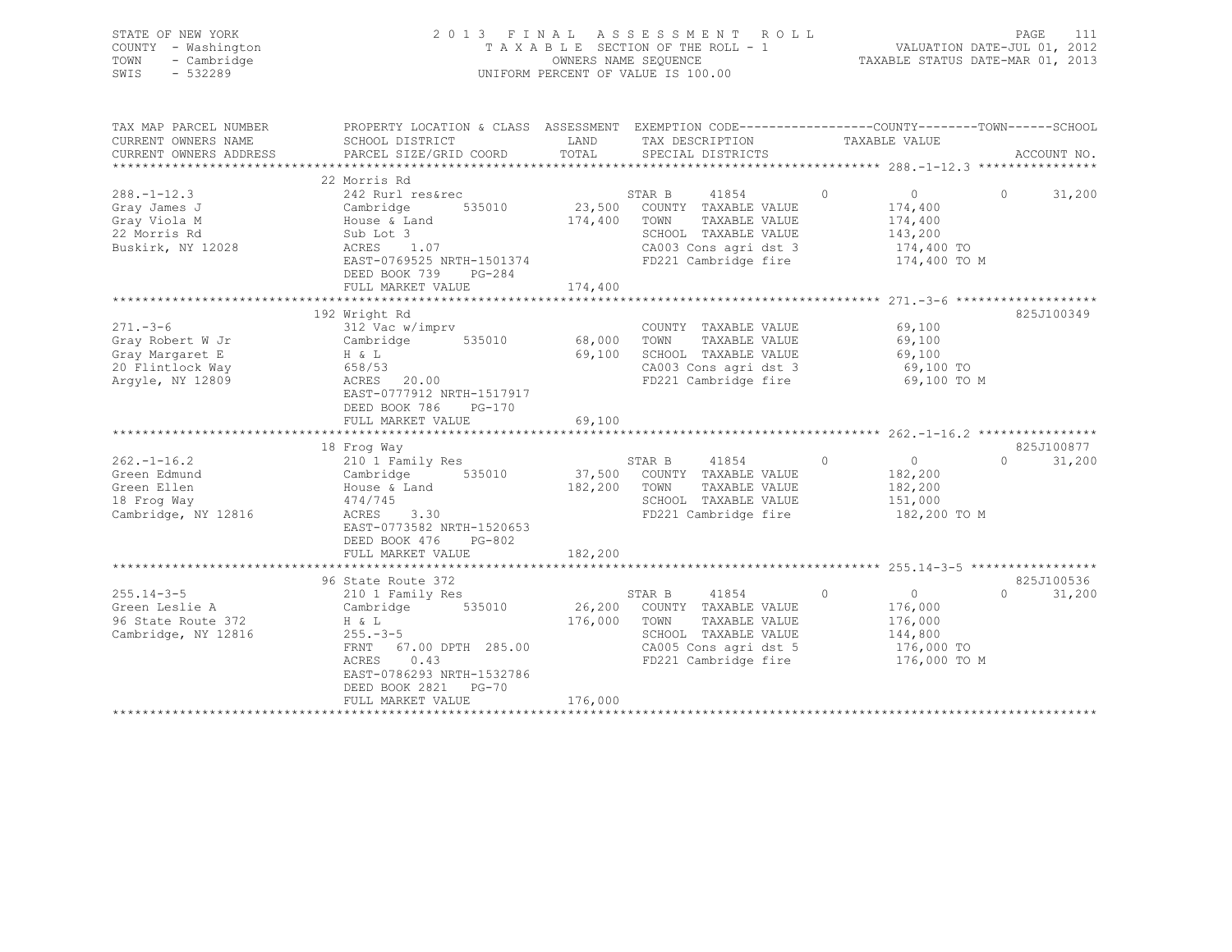| STATE OF NEW YORK<br>COUNTY - Washington<br>- Cambridge<br>TOWN<br>SWIS<br>$-532289$         | 2013 FINAL                                                                                                                                                                                                            |                              | A S S E S S M E N T<br>ROLL<br>TAXABLE SECTION OF THE ROLL - 1<br>OWNERS NAME SEQUENCE<br>UNIFORM PERCENT OF VALUE IS 100.00              |                                                                                   | PAGE<br>111<br>VALUATION DATE-JUL 01, 2012<br>TAXABLE STATUS DATE-MAR 01, 2013 |
|----------------------------------------------------------------------------------------------|-----------------------------------------------------------------------------------------------------------------------------------------------------------------------------------------------------------------------|------------------------------|-------------------------------------------------------------------------------------------------------------------------------------------|-----------------------------------------------------------------------------------|--------------------------------------------------------------------------------|
| TAX MAP PARCEL NUMBER<br>CURRENT OWNERS NAME<br>CURRENT OWNERS ADDRESS                       | PROPERTY LOCATION & CLASS ASSESSMENT EXEMPTION CODE----------------COUNTY-------TOWN-----SCHOOL<br>SCHOOL DISTRICT<br>PARCEL SIZE/GRID COORD                                                                          | LAND<br>TOTAL                | TAX DESCRIPTION<br>SPECIAL DISTRICTS                                                                                                      | TAXABLE VALUE                                                                     | ACCOUNT NO.                                                                    |
| $288. - 1 - 12.3$<br>Gray James J<br>Gray Viola M<br>22 Morris Rd<br>Buskirk, NY 12028       | 22 Morris Rd<br>242 Rurl res&rec<br>535010<br>Cambridge<br>House & Land<br>Sub Lot 3<br>ACRES<br>1.07<br>EAST-0769525 NRTH-1501374<br>DEED BOOK 739<br>PG-284<br>FULL MARKET VALUE                                    | 23,500<br>174,400<br>174,400 | STAR B<br>41854<br>COUNTY TAXABLE VALUE<br>TAXABLE VALUE<br>TOWN<br>SCHOOL TAXABLE VALUE<br>CA003 Cons agri dst 3<br>FD221 Cambridge fire | $\circ$<br>$\circ$<br>174,400<br>174,400<br>143,200<br>174,400 TO<br>174,400 TO M | $\circ$<br>31,200                                                              |
| $271 - 3 - 6$<br>Gray Robert W Jr<br>Gray Margaret E<br>20 Flintlock Way<br>Argyle, NY 12809 | 192 Wright Rd<br>312 Vac w/imprv<br>Cambridge<br>535010<br>H & L<br>658/53<br>20.00<br>ACRES<br>EAST-0777912 NRTH-1517917<br>DEED BOOK 786<br>PG-170<br>FULL MARKET VALUE                                             | 68,000<br>69,100<br>69,100   | COUNTY TAXABLE VALUE<br>TOWN<br>TAXABLE VALUE<br>SCHOOL TAXABLE VALUE<br>CA003 Cons agri dst 3<br>FD221 Cambridge fire                    | 69,100<br>69,100<br>69,100<br>69,100 TO<br>69,100 TO M                            | 825J100349                                                                     |
| $262, -1 - 16.2$<br>Green Edmund<br>Green Ellen<br>18 Frog Way<br>Cambridge, NY 12816        | 18 Froq Way<br>210 1 Family Res<br>535010<br>Cambridge<br>House & Land<br>474/745<br>3.30<br>ACRES<br>EAST-0773582 NRTH-1520653<br>DEED BOOK 476<br>PG-802<br>FULL MARKET VALUE                                       | 37,500<br>182,200<br>182,200 | STAR B<br>41854<br>COUNTY TAXABLE VALUE<br>TOWN<br>TAXABLE VALUE<br>SCHOOL TAXABLE VALUE<br>FD221 Cambridge fire                          | $\circ$<br>0<br>182,200<br>182,200<br>151,000<br>182,200 TO M                     | 825J100877<br>$\Omega$<br>31,200                                               |
| $255.14 - 3 - 5$<br>Green Leslie A<br>96 State Route 372<br>Cambridge, NY 12816              | 96 State Route 372<br>210 1 Family Res<br>535010<br>Cambridge<br>H & L<br>$255. - 3 - 5$<br>FRNT<br>67.00 DPTH 285.00<br>ACRES<br>0.43<br>EAST-0786293 NRTH-1532786<br>DEED BOOK 2821<br>$PG-70$<br>FULL MARKET VALUE | 26,200<br>176,000<br>176,000 | 41854<br>STAR B<br>COUNTY TAXABLE VALUE<br>TOWN<br>TAXABLE VALUE<br>SCHOOL TAXABLE VALUE<br>CA005 Cons agri dst 5<br>FD221 Cambridge fire | $\circ$<br>$\circ$<br>176,000<br>176,000<br>144,800<br>176,000 TO<br>176,000 TO M | 825J100536<br>$\Omega$<br>31,200                                               |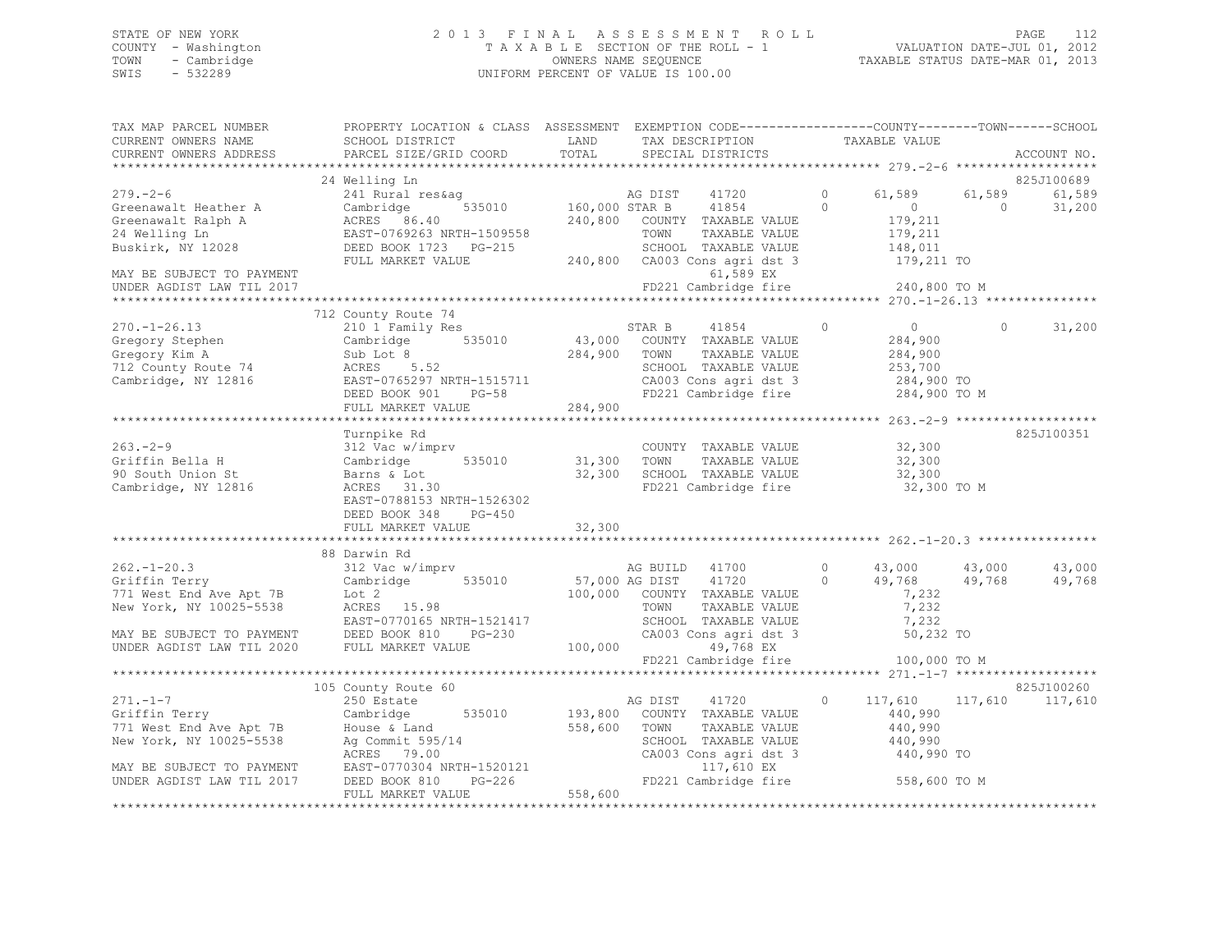# STATE OF NEW YORK<br>COUNTY - Washington 2012 2013 FINAL ASSESSMENT ROLL 2011<br>COUNTY - Washington 2012 COUNTY - Washington  $T A X A B L E$  SECTION OF THE ROLL - 1<br>TOWN - Cambridge  $\sim$  000NERS NAME SEQUENCE TOWN - Cambridge OWNERS NAME SEQUENCE TAXABLE STATUS DATE-MAR 01, 2013 UNIFORM PERCENT OF VALUE IS 100.00

| TAX MAP PARCEL NUMBER<br>CURRENT OWNERS NAME                                                                                                          | PROPERTY LOCATION & CLASS ASSESSMENT EXEMPTION CODE-----------------COUNTY-------TOWN------SCHOOL                                                                                                                                                  | LAND                        | TAX DESCRIPTION TAXABLE VALUE                                                                                                                                  |                                                                            |                         |                  |
|-------------------------------------------------------------------------------------------------------------------------------------------------------|----------------------------------------------------------------------------------------------------------------------------------------------------------------------------------------------------------------------------------------------------|-----------------------------|----------------------------------------------------------------------------------------------------------------------------------------------------------------|----------------------------------------------------------------------------|-------------------------|------------------|
| CURRENT OWNERS ADDRESS                                                                                                                                |                                                                                                                                                                                                                                                    | TOTAL                       | SPECIAL DISTRICTS                                                                                                                                              |                                                                            |                         | ACCOUNT NO.      |
|                                                                                                                                                       | 24 Welling Ln                                                                                                                                                                                                                                      |                             |                                                                                                                                                                |                                                                            |                         | 825J100689       |
| $279. - 2 - 6$                                                                                                                                        | 279.-2-6<br>Greenawalt Heather A Cambridge 535010<br>Greenawalt Ralph A ACRES 86.40<br>24 Welling Ln EAST-0769263 NRTH-1509558<br>Buskirk, NY 12028 DEED BOOK 1723 PG-215                                                                          |                             | 240,800 COUNTY TAXABLE VALUE<br>TOWN<br>TAXABLE VALUE<br>SCHOOL TAXABLE VALUE                                                                                  | $\circ$<br>61,589<br>$\Omega$<br>$\sim$ 0<br>179,211<br>179,211<br>148,011 | 61,589<br>$\bigcirc$    | 61,589<br>31,200 |
| MAY BE SUBJECT TO PAYMENT                                                                                                                             | FULL MARKET VALUE                                                                                                                                                                                                                                  |                             | 240,800 CA003 Cons agri dst 3 179,211 TO<br>61,589 EX                                                                                                          |                                                                            |                         |                  |
| UNDER AGDIST LAW TIL 2017                                                                                                                             |                                                                                                                                                                                                                                                    |                             | FD221 Cambridge fire 240,800 TO M                                                                                                                              |                                                                            |                         |                  |
|                                                                                                                                                       |                                                                                                                                                                                                                                                    |                             |                                                                                                                                                                |                                                                            |                         |                  |
| $270. - 1 - 26.13$                                                                                                                                    | 712 County Route 74<br>210 1 Family Res                                                                                                                                                                                                            | STAR B                      | 41854                                                                                                                                                          | $\circ$<br>$\overline{0}$<br>284,900                                       | $\circ$                 | 31,200           |
|                                                                                                                                                       | 270.-1-26.13<br>Gregory Stephen Cambridge 530010<br>Cambridge, NY 12816<br>Cambridge, NY 12816<br>PEED BOOK 901 PG-58<br>PEED BOOK 901 PG-58<br>PEED BOOK 901 PG-58<br>PEED BOOK 901 PG-58<br>PEED BOOK 901 PG-58<br>PEED BOOK 901 PG-58<br>PEED B |                             | 43,000 COUNTY TAXABLE VALUE<br>284,900 TOWN TAXABLE VALUE<br>TAXABLE VALUE<br>SCHOOL TAXABLE VALUE<br>CA003 Cons agri dst 3 284,900 TO<br>FD221 Cambridge fire | 284,900<br>253,700                                                         | 284,900 TO M            |                  |
|                                                                                                                                                       |                                                                                                                                                                                                                                                    |                             |                                                                                                                                                                |                                                                            |                         |                  |
|                                                                                                                                                       |                                                                                                                                                                                                                                                    |                             |                                                                                                                                                                |                                                                            |                         |                  |
| $263 - 2 - 9$<br>Griffin Bella H<br>90 South Union St<br>Cambridge, NY 12816                                                                          | Turnpike Rd<br>312 Vac w/imprv<br>Jiz vac w/imp<br>Cambridge<br>Barns & Lot<br>535010<br>ACRES 31.30<br>EAST-0788153 NRTH-1526302                                                                                                                  | 31,300 TOWN<br>32,300 SCHOO | COUNTY TAXABLE VALUE 32,300<br>TOWN      TAXABLE VALUE<br>SCHOOL   TAXABLE VALUE<br>FD221 Cambridge fire                                                       | 32,300<br>32,300                                                           | 32,300 TO M             | 825J100351       |
|                                                                                                                                                       | DEED BOOK 348 PG-450<br>FULL MARKET VALUE                                                                                                                                                                                                          | 32,300                      |                                                                                                                                                                |                                                                            |                         |                  |
|                                                                                                                                                       | 88 Darwin Rd                                                                                                                                                                                                                                       |                             |                                                                                                                                                                |                                                                            |                         |                  |
| $262 - 1 - 20.3$<br>$\frac{64.1}{100}$<br>$\frac{1}{2}$ Tot 2<br>$\frac{1}{2}$<br>Griffin Terry<br>771 West End Ave Apt 7B<br>New York, NY 10025-5538 | 312 Vac w/imprv<br>Cambridge 535010<br>$ACRES$ 15.98<br>EAST-0770165 NRTH-1521417 SCHOON<br>MAY BE SUBJECT TO PAYMENT DEED BOOK 810 PG-230 CA003<br>UNDER AGDIST LAW TIL 2020 FULL MARKET VALUE 100,000                                            |                             | AG BUILD 41700<br>57,000 AG DIST 41720 0<br>100,000 COUNTY TAXABLE VALUE<br>TOWN TAXABLE VALUE<br>SCHOOL TAXABLE VALUE<br>CA003 Cons agri dst 3<br>49,768 EX   | $0 \t 43,000 \t 43,000$<br>49,768<br>7,232<br>7,232<br>7,232               | 49,768<br>50,232 TO     | 43,000<br>49,768 |
|                                                                                                                                                       |                                                                                                                                                                                                                                                    |                             | $FD221$ Cambridge fire $100,000$ TO M                                                                                                                          |                                                                            |                         |                  |
|                                                                                                                                                       | 105 County Route 60                                                                                                                                                                                                                                |                             |                                                                                                                                                                |                                                                            |                         | 825J100260       |
| $271. - 1 - 7$                                                                                                                                        | 250 Estate                                                                                                                                                                                                                                         |                             | AG DIST 41720<br>TAXABLE VALUE<br>SCHOOL TAXABLE VALUE<br>CA003 Cons agri dst 3<br>117,610 EX<br>FD221 Cambridge fire 558,600 TO M                             | $\circ$<br>440,990<br>440,990<br>440,990<br>440,990 TO                     | 117,610 117,610 117,610 |                  |
|                                                                                                                                                       | FULL MARKET VALUE                                                                                                                                                                                                                                  | 558,600                     |                                                                                                                                                                |                                                                            |                         |                  |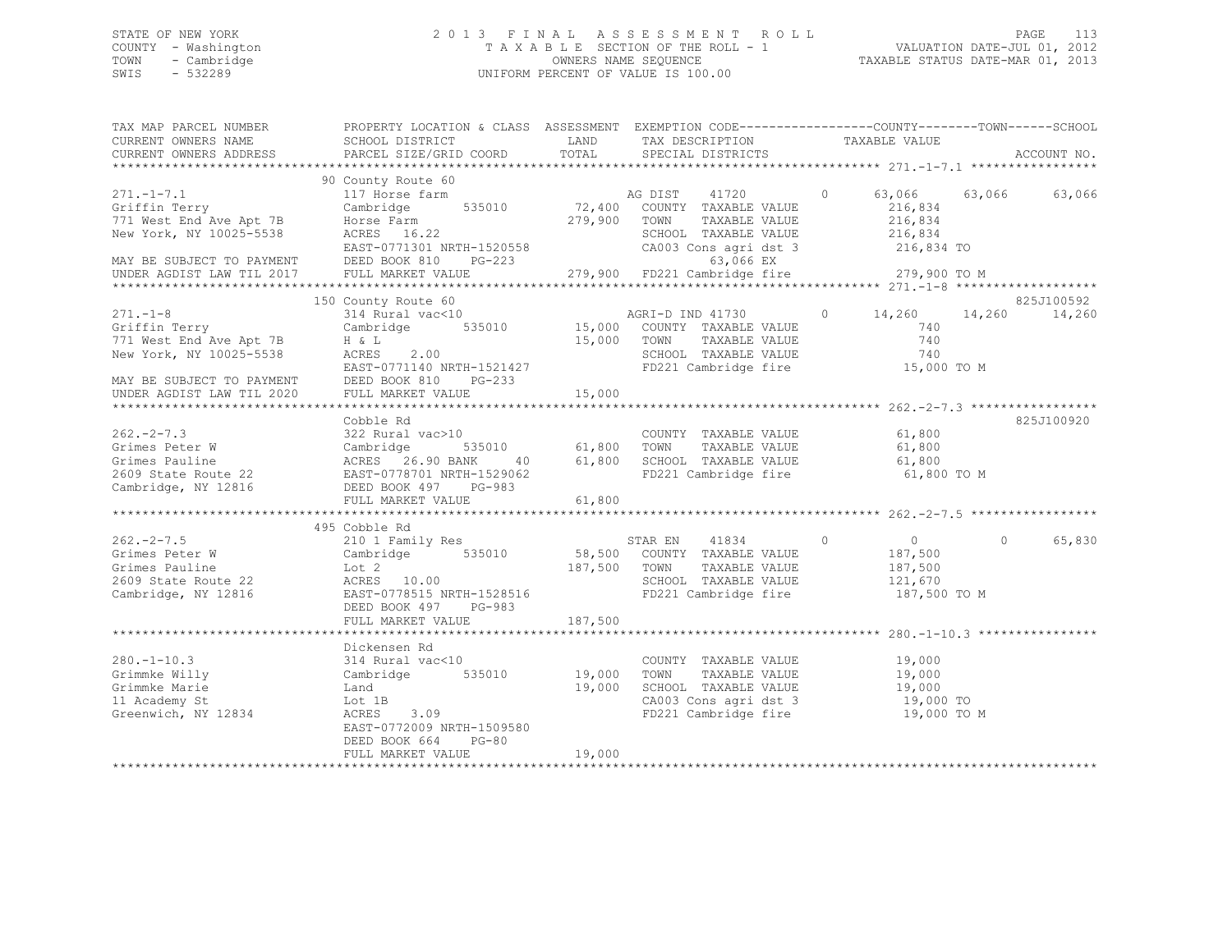### STATE OF NEW YORK 2 0 1 3 F I N A L A S S E S S M E N T R O L L PAGE 113 COUNTY - Washington T A X A B L E SECTION OF THE ROLL - 1 VALUATION DATE-JUL 01, 2012 TOWN - Cambridge OWNERS NAME SEQUENCE TAXABLE STATUS DATE-MAR 01, 2013 SWIS - 532289 UNIFORM PERCENT OF VALUE IS 100.00

| TAX MAP PARCEL NUMBER<br>CURRENT OWNERS NAME<br>CURRENT OWNERS ADDRESS                                                                           | PROPERTY LOCATION & CLASS ASSESSMENT EXEMPTION CODE----------------COUNTY-------TOWN-----SCHOOL<br>SCHOOL DISTRICT<br>PARCEL SIZE/GRID COORD                                                                           | LAND<br>TOTAL              | TAX DESCRIPTION TAXABLE VALUE SPECIAL DISTRICTS                                                                                                      |                                                                 | ACCOUNT NO.          |
|--------------------------------------------------------------------------------------------------------------------------------------------------|------------------------------------------------------------------------------------------------------------------------------------------------------------------------------------------------------------------------|----------------------------|------------------------------------------------------------------------------------------------------------------------------------------------------|-----------------------------------------------------------------|----------------------|
| $271. -1 - 7.1$<br>Griffin Terry<br>771 West End Ave Apt 7B<br>New York, NY 10025-5538<br>MAY BE SUBJECT TO PAYMENT<br>UNDER AGDIST LAW TIL 2017 | 90 County Route 60<br>117 Horse farm<br>Cambridge 535010 72,400 COUNTY TAXABLE VALUE<br>Horse Farm<br>ACRES 16.22<br>EAST-0771301 NRTH-1520558<br>DEED BOOK 810 PG-223<br>FULL MARKET VALUE                            |                            | AG DIST 41720 0<br>279,900 TOWN<br>TAXABLE VALUE<br>SCHOOL TAXABLE VALUE<br>CA003 Cons agri dst 3<br>63,066 EX<br>279,900 FD221 Cambridge fire       | 216,834<br>216,834<br>216,834<br>216,834 TO<br>279,900 TO M     | 63,066 63,066 63,066 |
| $271. -1 - 8$<br>Griffin Terry<br>771 West End Ave Apt 7B<br>New York, NY 10025-5538<br>MAY BE SUBJECT TO PAYMENT<br>UNDER AGDIST LAW TIL 2020   | 150 County Route 60<br>314 Rural vac<10 AGRI-D IND 41730<br>Cambridge 535010 15,000 COUNTY TAXABLE VALUE<br>H & L<br>ACRES 2.00<br>EAST-0771140 NRTH-1521427<br>DEED BOOK 810 PG-233<br>FULL MARKET VALUE              | 15,000 TOWN<br>15,000      | TAXABLE VALUE<br>SCHOOL TAXABLE VALUE<br>SUNUUL TAXABLE VALUE<br>FD221 Cambridge fire                                                                | 0 $14,260$ $14,260$<br>740<br>740<br>740<br>15,000 TO M         | 825J100592<br>14,260 |
| 262.-2-7.3<br>Grimes Peter W<br>Grimes Pauline<br>2609 State Route 22<br>Cambridge, NY 12816                                                     | Cobble Rd<br>vac>10 COUNTY<br>535010 61,800 TOWN<br>322 Rural vac>10<br>Cambridge 535010<br>ACRES 26.90 BANK 40<br>EAST-0778701 NRTH-1529062<br>FAST-0778701 NRTH-1529062<br>DEED BOOK 497 PG-983<br>FULL MARKET VALUE | 61,800                     | COUNTY TAXABLE VALUE<br>TAXABLE VALUE<br>40 61,800 SCHOOL TAXABLE VALUE 61,800<br>FD221 Cambridge fire                                               | 61,800<br>61,800<br>61,800 TO M                                 | 825J100920           |
| $262 - 2 - 7.5$<br>Grimes Peter W<br>Grimes Pauline<br>2609 State Route 22<br>Cambridge, NY 12816                                                | 495 Cobble Rd<br>210 1 Family Res<br>Cambridge 535010<br>Lot 2<br>ACRES 10.00<br>EAST-0778515 NRTH-1528516<br>CAST 107 PG-983<br>FULL MARKET VALUE                                                                     | 187,500 TOWN<br>187,500    | STAR EN 41834 0<br>58,500 COUNTY TAXABLE VALUE<br>TAXABLE VALUE<br>SCHOOL TAXABLE VALUE<br>FD221 Cambridge fire                                      | $\overline{0}$<br>187,500<br>187,500<br>121,670<br>187,500 TO M | 65,830<br>$\Omega$   |
| $280. - 1 - 10.3$<br>Grimmke Willy<br>Grimmke Marie<br>11 Academy St<br>Greenwich, NY 12834                                                      | Dickensen Rd<br>314 Rural vac<10<br>Cambridge 535010<br>Land<br>Lot 1B<br>ACRES<br>3.09<br>EAST-0772009 NRTH-1509580<br>DEED BOOK 664<br>$PG-80$<br>FULL MARKET VALUE                                                  | 19,000<br>19,000<br>19,000 | COUNTY TAXABLE VALUE<br>TOWN     TAXABLE VALUE<br>SCHOOL TAXABLE VALUE 19,000<br>CA003 Cons agri dst 3 19,000 TO<br>FD221 Cambridge fire 19,000 TO M | 19,000<br>19,000                                                |                      |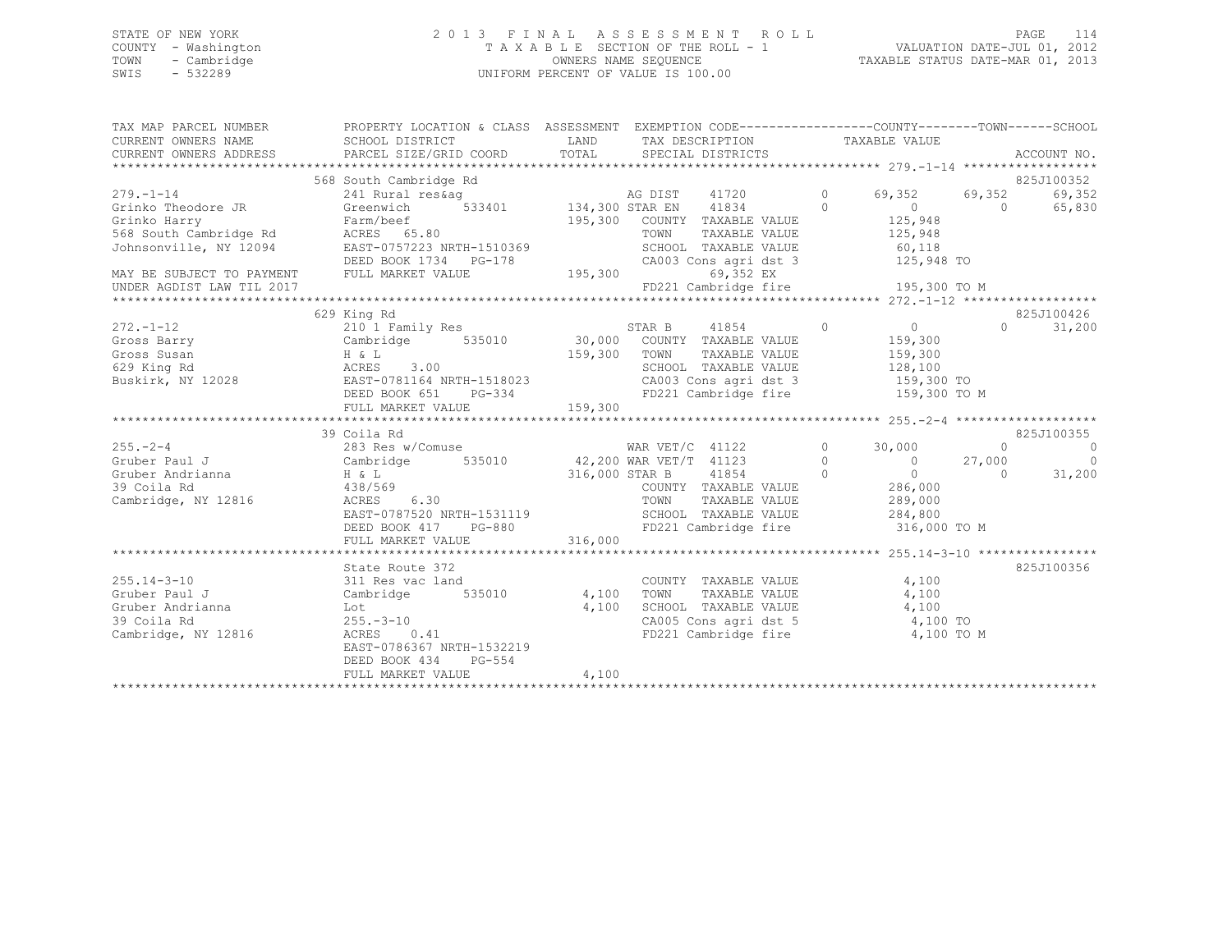### STATE OF NEW YORK 2 0 1 3 F I N A L A S S E S S M E N T R O L L PAGE 114 COUNTY - Washington T A X A B L E SECTION OF THE ROLL - 1 VALUATION DATE-JUL 01, 2012 TOWN - Cambridge OWNERS NAME SEQUENCE TAXABLE STATUS DATE-MAR 01, 2013 SWIS - 532289 UNIFORM PERCENT OF VALUE IS 100.00

| TAX MAP PARCEL NUMBER<br>CURRENT OWNERS NAME | PROPERTY LOCATION & CLASS ASSESSMENT EXEMPTION CODE-----------------COUNTY-------TOWN------SCHOOL<br>SCHOOL DISTRICT                                                                                                                                                 |       |                                                                 |                     |            |
|----------------------------------------------|----------------------------------------------------------------------------------------------------------------------------------------------------------------------------------------------------------------------------------------------------------------------|-------|-----------------------------------------------------------------|---------------------|------------|
| CURRENT OWNERS ADDRESS                       |                                                                                                                                                                                                                                                                      |       |                                                                 |                     |            |
|                                              |                                                                                                                                                                                                                                                                      |       |                                                                 |                     |            |
|                                              | 568 South Cambridge Rd                                                                                                                                                                                                                                               |       |                                                                 |                     | 825J100352 |
| $279. - 1 - 14$                              |                                                                                                                                                                                                                                                                      |       |                                                                 |                     | 69,352     |
|                                              | 279.-1-14 (241 Rural resagned 134,300 STAR EN 41720 (59,352 69,352 69,352 Crinko Theodore JR (321 Rural resagned 134,300 STAR EN 41834 0                                                                                                                             |       |                                                                 |                     | 65,830     |
|                                              | Grinko Harry<br>Starm/beef<br>S68 South Cambridge Rd<br>300 COUNTY TAXABLE VALUE<br>TAXABLE VALUE<br>S68 South Cambridge Rd<br>325,948<br>225,948<br>225,948<br>225,948<br>225,948<br>225,948<br>225,948<br>225,948<br>225,948<br>225,948<br>225,948<br>225,948<br>  |       |                                                                 |                     |            |
|                                              |                                                                                                                                                                                                                                                                      |       |                                                                 |                     |            |
|                                              |                                                                                                                                                                                                                                                                      |       |                                                                 |                     |            |
|                                              |                                                                                                                                                                                                                                                                      |       |                                                                 |                     |            |
|                                              |                                                                                                                                                                                                                                                                      |       |                                                                 |                     |            |
| UNDER AGDIST LAW TIL 2017                    |                                                                                                                                                                                                                                                                      |       |                                                                 |                     |            |
|                                              |                                                                                                                                                                                                                                                                      |       |                                                                 |                     |            |
|                                              | 629 King Rd                                                                                                                                                                                                                                                          |       |                                                                 |                     | 825J100426 |
|                                              |                                                                                                                                                                                                                                                                      |       | STAR B 41854 0 0 0 825J                                         |                     | 31,200     |
|                                              |                                                                                                                                                                                                                                                                      |       |                                                                 |                     |            |
|                                              |                                                                                                                                                                                                                                                                      |       |                                                                 |                     |            |
|                                              |                                                                                                                                                                                                                                                                      |       |                                                                 |                     |            |
|                                              |                                                                                                                                                                                                                                                                      |       |                                                                 |                     |            |
|                                              |                                                                                                                                                                                                                                                                      |       | FD221 Cambridge fire 159,300 TO M                               |                     |            |
|                                              |                                                                                                                                                                                                                                                                      |       |                                                                 |                     |            |
|                                              |                                                                                                                                                                                                                                                                      |       |                                                                 |                     |            |
|                                              |                                                                                                                                                                                                                                                                      |       |                                                                 |                     |            |
|                                              |                                                                                                                                                                                                                                                                      |       |                                                                 |                     |            |
|                                              |                                                                                                                                                                                                                                                                      |       |                                                                 |                     |            |
|                                              |                                                                                                                                                                                                                                                                      |       |                                                                 |                     |            |
|                                              |                                                                                                                                                                                                                                                                      |       |                                                                 |                     |            |
|                                              |                                                                                                                                                                                                                                                                      |       |                                                                 |                     |            |
|                                              |                                                                                                                                                                                                                                                                      |       |                                                                 |                     |            |
|                                              |                                                                                                                                                                                                                                                                      |       |                                                                 |                     |            |
|                                              | 39 Coila Rd<br>255.-2-4<br>265.-2-4<br>Gruber Andrianna and Cambridge 535010<br>316,000 STAR B<br>316,000 STAR B<br>286,000<br>27,000<br>27,000<br>27,000<br>286,000<br>286,000<br>286,000<br>286,000<br>286,000<br>286,000<br>286,000<br>286,000<br>286,000<br>286, |       |                                                                 |                     |            |
|                                              | State Route 372                                                                                                                                                                                                                                                      |       |                                                                 |                     | 825J100356 |
| $255.14 - 3 - 10$                            | 311 Res vac land                                                                                                                                                                                                                                                     |       | COUNTY TAXABLE VALUE 4,100                                      |                     |            |
| Gruber Paul J                                | Cambridge 535010 4,100 TOWN                                                                                                                                                                                                                                          |       |                                                                 | TAXABLE VALUE 4,100 |            |
|                                              |                                                                                                                                                                                                                                                                      | 4,100 | SCHOOL TAXABLE VALUE 4,100                                      |                     |            |
|                                              | Gruber Andrianna<br>39 Coila Rd<br>Cambridge, NY 12816<br>ACRES 0.41                                                                                                                                                                                                 |       |                                                                 |                     |            |
|                                              |                                                                                                                                                                                                                                                                      |       | CA005 Cons agri dst 5 4,100 TO<br>FD221 Cambridge fire 4,100 TO | 4,100 TO M          |            |
|                                              | EAST-0786367 NRTH-1532219                                                                                                                                                                                                                                            |       |                                                                 |                     |            |
|                                              | $PG-554$<br>DEED BOOK 434                                                                                                                                                                                                                                            |       |                                                                 |                     |            |
|                                              | FULL MARKET VALUE                                                                                                                                                                                                                                                    | 4,100 |                                                                 |                     |            |
|                                              |                                                                                                                                                                                                                                                                      |       |                                                                 |                     |            |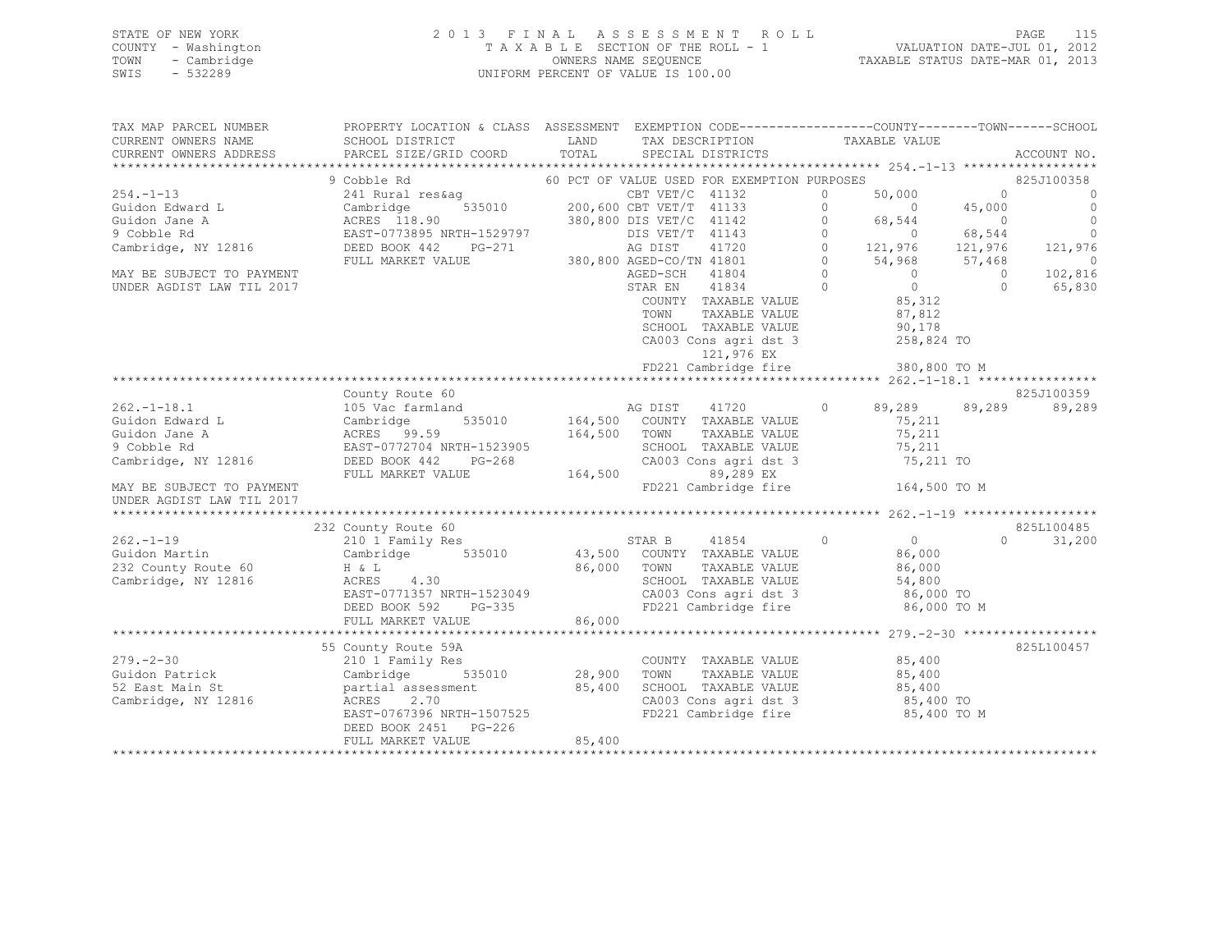### STATE OF NEW YORK 2 0 1 3 F I N A L A S S E S S M E N T R O L L PAGE 115 COUNTY - Washington T A X A B L E SECTION OF THE ROLL - 1 VALUATION DATE-JUL 01, 2012 TOWN - Cambridge OWNERS NAME SEQUENCE TAXABLE STATUS DATE-MAR 01, 2013 SWIS - 532289 UNIFORM PERCENT OF VALUE IS 100.00

| TAX MAP PARCEL NUMBER     | PROPERTY LOCATION & CLASS ASSESSMENT EXEMPTION CODE----------------COUNTY-------TOWN-----SCHOOL |         |                          |                                             |          |                |                |                          |
|---------------------------|-------------------------------------------------------------------------------------------------|---------|--------------------------|---------------------------------------------|----------|----------------|----------------|--------------------------|
| CURRENT OWNERS NAME       | SCHOOL DISTRICT                                                                                 | LAND    |                          | TAX DESCRIPTION                             |          | TAXABLE VALUE  |                |                          |
| CURRENT OWNERS ADDRESS    | PARCEL SIZE/GRID COORD                                                                          | TOTAL   |                          | SPECIAL DISTRICTS                           |          |                |                | ACCOUNT NO.              |
|                           |                                                                                                 |         |                          |                                             |          |                |                |                          |
|                           | 9 Cobble Rd                                                                                     |         |                          | 60 PCT OF VALUE USED FOR EXEMPTION PURPOSES |          |                |                | 825J100358               |
| 254.-1-13                 | 241 Rural res&aq                                                                                |         | CBT $VET/C$ 41132        |                                             | 0        | 50,000         | $\circ$        | $\circ$                  |
| Guidon Edward L           |                                                                                                 |         | 200,600 CBT VET/T 41133  |                                             | $\circ$  | $\overline{0}$ | 45,000         | $\overline{0}$           |
| Guidon Jane A             | Cambridge 535010<br>ACRES 118.90<br>EAST-0773895 NRTH-1529797<br>DEED BOOK 442 PG-271           |         | 380,800 DIS VET/C 41142  |                                             | $\circ$  | 68,544         | $\overline{0}$ | $\bigcirc$               |
| 9 Cobble Rd               |                                                                                                 |         | DIS VET/T 41143          |                                             | $\circ$  | $\overline{0}$ | 68,544         | $\cap$                   |
| Cambridge, NY 12816       |                                                                                                 |         | AG DIST                  | 41720                                       | $\circ$  | 121,976        | 121,976        | 121,976                  |
|                           | FULL MARKET VALUE                                                                               |         | 380,800 AGED-CO/TN 41801 |                                             | $\circ$  | 54,968         | 57,468         | $\overline{\phantom{0}}$ |
| MAY BE SUBJECT TO PAYMENT |                                                                                                 |         | AGED-SCH 41804           |                                             | $\circ$  | $\overline{0}$ | $\overline{0}$ | 102,816                  |
| UNDER AGDIST LAW TIL 2017 |                                                                                                 |         | STAR EN                  | 41834                                       | $\Omega$ | $\circ$        | $\Omega$       | 65,830                   |
|                           |                                                                                                 |         |                          | COUNTY TAXABLE VALUE                        |          | 85,312         |                |                          |
|                           |                                                                                                 |         | TOWN                     | TAXABLE VALUE                               |          | 87,812         |                |                          |
|                           |                                                                                                 |         |                          | SCHOOL TAXABLE VALUE                        |          | 90,178         |                |                          |
|                           |                                                                                                 |         |                          | CA003 Cons agri dst 3                       |          | 258,824 TO     |                |                          |
|                           |                                                                                                 |         |                          | 121,976 EX                                  |          |                |                |                          |
|                           |                                                                                                 |         |                          | FD221 Cambridge fire                        |          | 380,800 TO M   |                |                          |
|                           |                                                                                                 |         |                          |                                             |          |                |                |                          |
|                           | County Route 60                                                                                 |         |                          |                                             |          |                |                | 825J100359               |
| 262.-1-18.1               | 105 Vac farmland                                                                                |         | AG DIST                  | 41720                                       | $\circ$  | 89,289         | 89,289         | 89,289                   |
| Guidon Edward L           | Cambridge<br>535010                                                                             | 164,500 |                          | COUNTY TAXABLE VALUE                        |          | 75,211         |                |                          |
| Guidon Jane A             |                                                                                                 | 164,500 | TOWN                     | TAXABLE VALUE                               |          | 75,211         |                |                          |
| 9 Cobble Rd               | ACRES<br>ACRES 99.59<br>EAST-0772704 NRTH-1523905<br>-0011 142 PG-268                           |         |                          | SCHOOL TAXABLE VALUE                        |          | 75,211         |                |                          |
| Cambridge, NY 12816       | DEED BOOK 442<br>$PG-268$                                                                       |         |                          | CA003 Cons agri dst 3                       |          | 75,211 TO      |                |                          |
|                           | FULL MARKET VALUE                                                                               | 164,500 |                          | 89,289 EX                                   |          |                |                |                          |
| MAY BE SUBJECT TO PAYMENT |                                                                                                 |         |                          | FD221 Cambridge fire                        |          | 164,500 TO M   |                |                          |
| UNDER AGDIST LAW TIL 2017 |                                                                                                 |         |                          |                                             |          |                |                |                          |
|                           |                                                                                                 |         |                          |                                             |          |                |                |                          |
|                           | 232 County Route 60                                                                             |         |                          |                                             |          |                |                | 825L100485               |
| 262.-1-19                 | 210 1 Family Res                                                                                |         | STAR B                   | 41854                                       | $\circ$  | $\overline{0}$ |                | $\Omega$<br>31,200       |
| Guidon Martin             | 535010<br>Cambridge                                                                             | 43,500  |                          | COUNTY TAXABLE VALUE                        |          | 86,000         |                |                          |
| 232 County Route 60       | H & L                                                                                           | 86,000  | TOWN                     | TAXABLE VALUE                               |          | 86,000         |                |                          |
| Cambridge, NY 12816       | ACRES 4.30                                                                                      |         |                          | SCHOOL TAXABLE VALUE                        |          | 54,800         |                |                          |
|                           | EAST-0771357 NRTH-1523049                                                                       |         |                          | CA003 Cons agri dst 3                       |          | 86,000 TO      |                |                          |
|                           | DEED BOOK 592<br>PG-335                                                                         |         |                          | FD221 Cambridge fire                        |          | 86,000 TO M    |                |                          |
|                           | FULL MARKET VALUE                                                                               | 86,000  |                          |                                             |          |                |                |                          |
|                           |                                                                                                 |         |                          |                                             |          |                |                |                          |
|                           | 55 County Route 59A                                                                             |         |                          |                                             |          |                |                | 825L100457               |
| 279. - 2 - 30             | 210 1 Family Res                                                                                |         |                          | COUNTY TAXABLE VALUE                        |          | 85,400         |                |                          |
| Guidon Patrick            | 535010                                                                                          | 28,900  | TOWN                     | TAXABLE VALUE                               |          | 85,400         |                |                          |
| 52 East Main St           | Cambridge 535<br>partial assessment                                                             | 85,400  |                          | SCHOOL TAXABLE VALUE                        |          | 85,400         |                |                          |
| Cambridge, NY 12816       | ACRES 2.70                                                                                      |         |                          | CA003 Cons agri dst 3                       |          | 85,400 TO      |                |                          |
|                           | EAST-0767396 NRTH-1507525                                                                       |         |                          | FD221 Cambridge fire                        |          | 85,400 TO M    |                |                          |
|                           | DEED BOOK 2451<br>PG-226                                                                        |         |                          |                                             |          |                |                |                          |
|                           | FULL MARKET VALUE                                                                               | 85,400  |                          |                                             |          |                |                |                          |
|                           |                                                                                                 |         |                          |                                             |          |                |                |                          |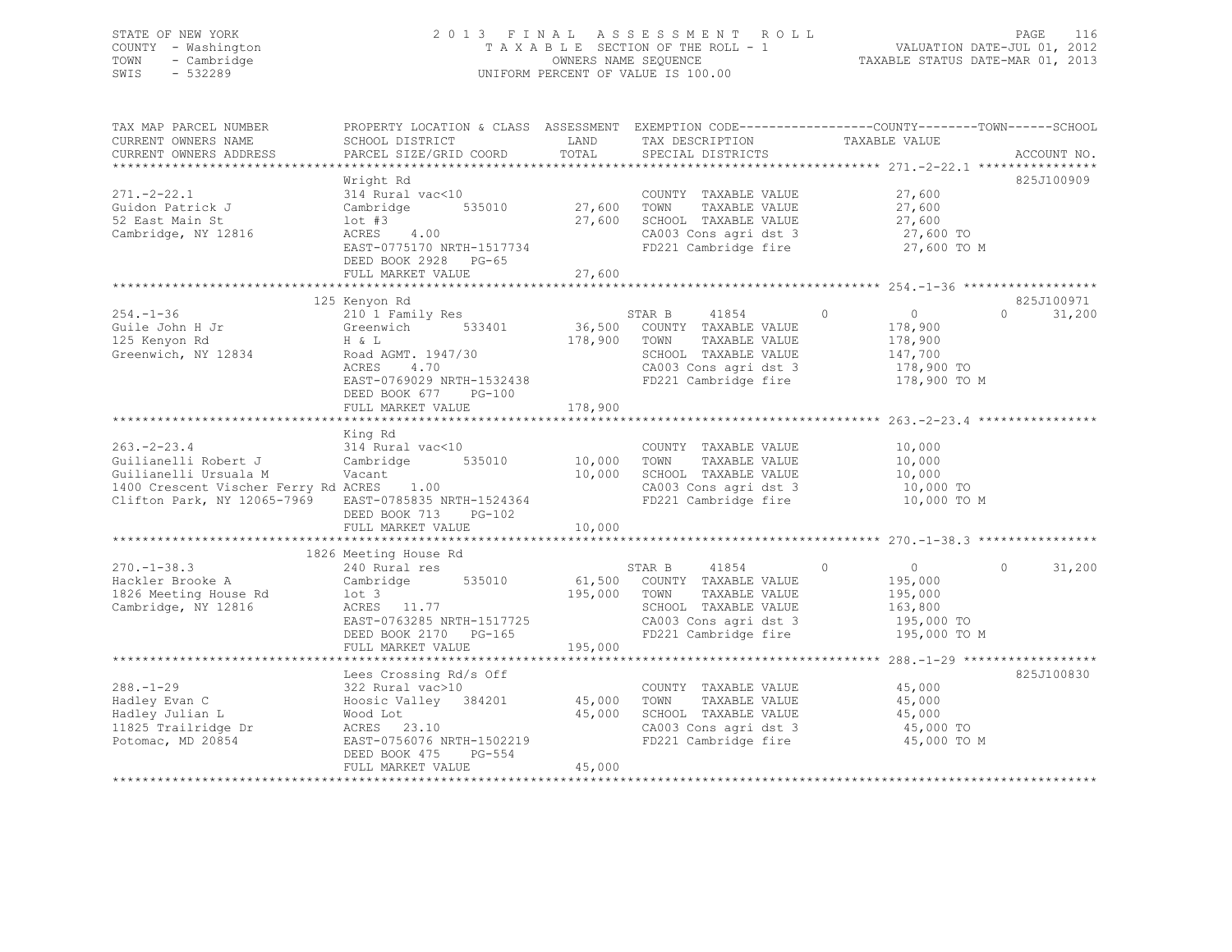### STATE OF NEW YORK 2 0 1 3 F I N A L A S S E S S M E N T R O L L PAGE 116 COUNTY - Washington T A X A B L E SECTION OF THE ROLL - 1 VALUATION DATE-JUL 01, 2012 TOWN - Cambridge OWNERS NAME SEQUENCE TAXABLE STATUS DATE-MAR 01, 2013 SWIS - 532289 UNIFORM PERCENT OF VALUE IS 100.00

| TAX MAP PARCEL NUMBER                                                                                                                          | PROPERTY LOCATION & CLASS ASSESSMENT EXEMPTION CODE---------------COUNTY-------TOWN-----SCHOOL<br>SCHOOL DISTRICT        | LAND                    | TAX DESCRIPTION                                                                                                                                                 | TAXABLE VALUE                                                                 |                                  |
|------------------------------------------------------------------------------------------------------------------------------------------------|--------------------------------------------------------------------------------------------------------------------------|-------------------------|-----------------------------------------------------------------------------------------------------------------------------------------------------------------|-------------------------------------------------------------------------------|----------------------------------|
| CURRENT OWNERS NAME<br>CURRENT OWNERS ADDRESS                                                                                                  | PARCEL SIZE/GRID COORD                                                                                                   | TOTAL                   | SPECIAL DISTRICTS                                                                                                                                               |                                                                               | ACCOUNT NO.                      |
|                                                                                                                                                | Wright Rd                                                                                                                |                         |                                                                                                                                                                 |                                                                               | 825J100909                       |
| $271. - 2 - 22.1$<br>Guidon Patrick J<br>52 East Main St<br>Cambridge, NY 12816                                                                | 314 Rural vac<10<br>Cambridge 535010<br>$1$ ot #3<br>ACRES 4.00<br>EAST-0775170 NRTH-1517734<br>DEED BOOK 2928 PG-65     | 27,600<br>27,600        | COUNTY TAXABLE VALUE 27,600<br>TOWN<br>TAXABLE VALUE<br>SCHOOL TAXABLE VALUE<br>CA003 Cons agri dst 3<br>FD221 Cambridge fire                                   | 27,600<br>27,600<br>27,600 TO<br>27,600 TO M                                  |                                  |
|                                                                                                                                                | FULL MARKET VALUE                                                                                                        | 27,600                  |                                                                                                                                                                 |                                                                               |                                  |
| $254. - 1 - 36$<br>Guile John H Jr<br>125 Kenyon Rd                                                                                            | 125 Kenyon Rd<br>210 1 Family Res<br>Greenwich 533401<br>H & L                                                           | 178,900                 | STAR B<br>41854<br>36,500 COUNTY TAXABLE VALUE<br>TOWN<br>TAXABLE VALUE                                                                                         | $\overline{0}$<br>$\circ$<br>178,900<br>178,900                               | 825J100971<br>$\Omega$<br>31,200 |
| Greenwich, NY 12834                                                                                                                            | Road AGMT. 1947/30<br>ACRES<br>4.70<br>EAST-0769029 NRTH-1532438<br>DEED BOOK 677 PG-100<br>FULL MARKET VALUE            | 178,900                 | SCHOOL TAXABLE VALUE<br>CA003 Cons agri dst 3<br>FD221 Cambridge fire                                                                                           | 147,700<br>178,900 TO<br>178,900 TO M                                         |                                  |
|                                                                                                                                                | King Rd                                                                                                                  |                         |                                                                                                                                                                 |                                                                               |                                  |
| $263. - 2 - 23.4$<br>Guilianelli Robert J<br>Guilianelli Ursuala M<br>1400 Crescent Vischer Ferry Rd ACRES 1.00<br>Clifton Park, NY 12065-7969 | 314 Rural vac<10<br>Cambridge<br>Vacant<br>EAST-0785835 NRTH-1524364<br>DEED BOOK 713<br>PG-102                          | 535010 10,000<br>10,000 | COUNTY TAXABLE VALUE<br>TOWN<br>TAXABLE VALUE<br>SCHOOL TAXABLE VALUE<br>$CAO03$ Cons agri dst $3$<br>FD221 Cambridge fire                                      | 10,000<br>10,000<br>10,000<br>10,000 TO<br>10,000 TO M                        |                                  |
|                                                                                                                                                | FULL MARKET VALUE                                                                                                        | 10,000                  |                                                                                                                                                                 |                                                                               |                                  |
|                                                                                                                                                | 1826 Meeting House Rd                                                                                                    |                         |                                                                                                                                                                 |                                                                               |                                  |
| $270. - 1 - 38.3$<br>Hackler Brooke A<br>1826 Meeting House Rd<br>Cambridge, NY 12816                                                          | 240 Rural res<br>Cambridge 535010<br>lot 3<br>lot 3<br>ACRES 11.77<br>EAST-0763285 NRTH-1517725<br>DEED BOOK 2170 PG-165 | 195,000 TOWN            | STAR B 41854 0<br>61,500 COUNTY TAXABLE VALUE<br>TAXABLE VALUE<br>SCHOOL TAXABLE VALUE<br>SUNDUL TAXABLE VALUE<br>CA003 Cons agri dst 3<br>FD221 Cambridge fire | $\overline{0}$<br>195,000<br>195,000<br>163,800<br>195,000 TO<br>195,000 TO M | 31,200<br>$\Omega$               |
|                                                                                                                                                | FULL MARKET VALUE                                                                                                        | 195,000                 |                                                                                                                                                                 |                                                                               |                                  |
|                                                                                                                                                | Lees Crossing Rd/s Off                                                                                                   |                         |                                                                                                                                                                 |                                                                               | 825J100830                       |
| $288. - 1 - 29$<br>Hadley Evan C<br>Hadley Julian L<br>11825 Trailridge Dr<br>Potomac, MD 20854                                                | 322 Rural vac>10<br>Hoosic Valley 384201<br>$ACRES$ 23.10<br>EAST-0756076 NRTH-1502219<br>DEED BOOK 475<br>PG-554        | 45,000<br>45,000        | COUNTY TAXABLE VALUE<br>TOWN<br>TAXABLE VALUE<br>SCHOOL TAXABLE VALUE<br>CAOO3 Cons agri dst 3<br>FD221 Cambridge fire                                          | 45,000<br>45,000<br>45,000<br>45,000 TO<br>45,000 TO M                        |                                  |
|                                                                                                                                                | FULL MARKET VALUE                                                                                                        | 45,000                  |                                                                                                                                                                 |                                                                               |                                  |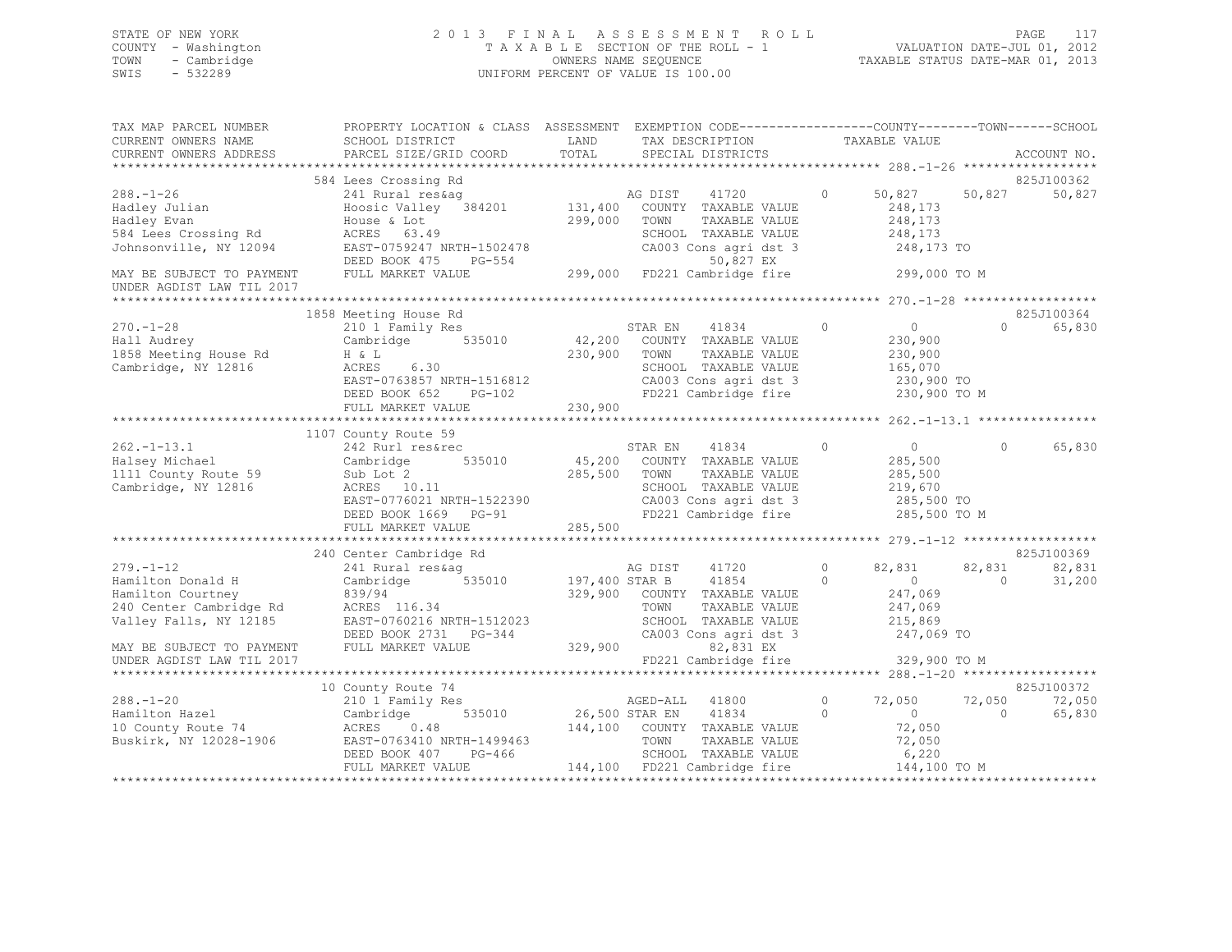### STATE OF NEW YORK 2 0 1 3 F I N A L A S S E S S M E N T R O L L PAGE 117 COUNTY - Washington T A X A B L E SECTION OF THE ROLL - 1 VALUATION DATE-JUL 01, 2012 TOWN - Cambridge OWNERS NAME SEQUENCE TAXABLE STATUS DATE-MAR 01, 2013 UNIFORM PERCENT OF VALUE IS 100.00

| TAX MAP PARCEL NUMBER<br>CURRENT OWNERS NAME                                                | PROPERTY LOCATION & CLASS ASSESSMENT EXEMPTION CODE----------------COUNTY-------TOWN------SCHOOL<br>SCHOOL DISTRICT                                                                                                                  | LAND          | TAX DESCRIPTION   |                                                                       |            | TAXABLE VALUE         |                   |             |
|---------------------------------------------------------------------------------------------|--------------------------------------------------------------------------------------------------------------------------------------------------------------------------------------------------------------------------------------|---------------|-------------------|-----------------------------------------------------------------------|------------|-----------------------|-------------------|-------------|
| CURRENT OWNERS ADDRESS                                                                      | PARCEL SIZE/GRID COORD                                                                                                                                                                                                               | TOTAL         | SPECIAL DISTRICTS |                                                                       |            |                       |                   | ACCOUNT NO. |
|                                                                                             |                                                                                                                                                                                                                                      |               |                   |                                                                       |            |                       |                   |             |
|                                                                                             | 584 Lees Crossing Rd                                                                                                                                                                                                                 |               |                   |                                                                       |            |                       |                   | 825J100362  |
| $288. - 1 - 26$<br>Hadley Julian                                                            | 241 Rural res&aq<br>Hoosic Valley 384201 131,400 COUNTY TAXABLE VALUE                                                                                                                                                                |               | AG DIST           | 41720 0 50,827                                                        |            | 248,173               | 50,827            | 50,827      |
| Hadley Evan                                                                                 | House & Lot<br>ACRES 63.49                                                                                                                                                                                                           | 299,000       | TOWN              | TAXABLE VALUE                                                         |            | 248,173               |                   |             |
| 584 Lees Crossing Rd<br>Johnsonville, NY 12094                                              | EAST-0759247 NRTH-1502478                                                                                                                                                                                                            |               |                   | SCHOOL TAXABLE VALUE<br>CA003 Cons agri dst 3                         |            | 248,173<br>248,173 TO |                   |             |
|                                                                                             | DEED BOOK 475                                                                                                                                                                                                                        |               |                   |                                                                       |            |                       |                   |             |
| MAY BE SUBJECT TO PAYMENT                                                                   | FULL MARKET VALUE                                                                                                                                                                                                                    |               |                   | PG-554 50,827 EX<br>ALUE 299,000 FD221 Cambridge fire 299,000 TO M    |            |                       |                   |             |
| UNDER AGDIST LAW TIL 2017                                                                   |                                                                                                                                                                                                                                      |               |                   |                                                                       |            |                       |                   |             |
|                                                                                             |                                                                                                                                                                                                                                      |               |                   |                                                                       |            |                       |                   |             |
|                                                                                             | 1858 Meeting House Rd                                                                                                                                                                                                                |               |                   |                                                                       |            |                       |                   | 825J100364  |
| $270. - 1 - 28$                                                                             | 210 1 Family Res                                                                                                                                                                                                                     |               | STAR EN           | 41834                                                                 | $\bigcirc$ | $\overline{0}$        | $0 \qquad \qquad$ | 65,830      |
| Hall Audrey                                                                                 | Extra framing Nest (200 COUNTY TAXABLE VALUE<br>Cambridge 535010 42,200 COUNTY TAXABLE VALUE<br>House Rd (230,900 TOWN TAXABLE VALUE                                                                                                 |               |                   |                                                                       |            | 230,900               |                   |             |
| 1858 Meeting House Rd                                                                       |                                                                                                                                                                                                                                      |               |                   | TAXABLE VALUE                                                         |            | 230,900               |                   |             |
| Cambridge, NY 12816                                                                         | ACRES 6.30                                                                                                                                                                                                                           |               |                   | SCHOOL TAXABLE VALUE                                                  |            | 165,070               |                   |             |
|                                                                                             | ACRES 6.30<br>EAST-0763857 NRTH-1516812<br>DEED BOOK 652 PG-102                                                                                                                                                                      |               |                   | $CAO03$ Cons agri dst $3$                                             |            | 230,900 TO            |                   |             |
|                                                                                             |                                                                                                                                                                                                                                      | 230,900       |                   | FD221 Cambridge fire 230,900 TO M                                     |            |                       |                   |             |
|                                                                                             | FULL MARKET VALUE                                                                                                                                                                                                                    |               |                   |                                                                       |            |                       |                   |             |
|                                                                                             | 1107 County Route 59                                                                                                                                                                                                                 |               |                   |                                                                       |            |                       |                   |             |
| $262. -1 - 13.1$                                                                            | 242 Rurl res&rec                                                                                                                                                                                                                     |               | STAR EN 41834     | $\sim$ 0                                                              |            | $\overline{0}$        | $\Omega$          | 65,830      |
|                                                                                             |                                                                                                                                                                                                                                      |               |                   |                                                                       |            | 285,500               |                   |             |
|                                                                                             |                                                                                                                                                                                                                                      |               |                   | TAXABLE VALUE                                                         |            | 285,500               |                   |             |
|                                                                                             |                                                                                                                                                                                                                                      |               |                   | SCHOOL TAXABLE VALUE                                                  |            | 219,670               |                   |             |
|                                                                                             |                                                                                                                                                                                                                                      |               |                   |                                                                       |            |                       |                   |             |
|                                                                                             | EAST-0776021 NRTH-1522390<br>DEED BOOK 1669 PG-91                                                                                                                                                                                    |               |                   | CA003 Cons agri dst 3 285,500 TO<br>FD221 Cambridge fire 285,500 TO M |            |                       |                   |             |
|                                                                                             | FULL MARKET VALUE                                                                                                                                                                                                                    | 285,500       |                   |                                                                       |            |                       |                   |             |
|                                                                                             |                                                                                                                                                                                                                                      |               |                   |                                                                       |            |                       |                   |             |
|                                                                                             | 240 Center Cambridge Rd                                                                                                                                                                                                              |               |                   |                                                                       |            |                       |                   | 825J100369  |
| $279. - 1 - 12$                                                                             | 241 Rural res&aq                                                                                                                                                                                                                     | $\frac{1}{2}$ |                   | AG DIST 41720 0                                                       |            | 82,831                | 82,831            | 82,831      |
|                                                                                             |                                                                                                                                                                                                                                      |               |                   |                                                                       | $\Omega$   | $\overline{0}$        | $\bigcap$         | 31,200      |
|                                                                                             |                                                                                                                                                                                                                                      |               |                   | 329,900 COUNTY TAXABLE VALUE                                          |            | 247,069               |                   |             |
|                                                                                             |                                                                                                                                                                                                                                      |               |                   | TAXABLE VALUE                                                         |            | 247,069<br>215,869    |                   |             |
|                                                                                             | Hamilton Donald H Cambridge 335010 197,400 STAR B 41854<br>Hamilton Courtney 839/94 329,900 COUNTY TAXABLE VALUE<br>240 Center Cambridge Rd ACRES 116.34 TOWN TAXABLE VALUE<br>Valley Falls, NY 12185 EAST-0760216 NRTH-1512023 SCHO |               |                   | SCHOOL TAXABLE VALUE                                                  |            |                       |                   |             |
|                                                                                             | DEED BOOK 2731 PG-344                                                                                                                                                                                                                | PG-344 CA003  |                   | CA003 Cons agri dst 3                                                 |            | 247,069 TO            |                   |             |
| MAY BE SUBJECT TO PAYMENT                                                                   | FULL MARKET VALUE                                                                                                                                                                                                                    |               |                   | 82,831 EX                                                             |            |                       |                   |             |
| UNDER AGDIST LAW TIL 2017                                                                   |                                                                                                                                                                                                                                      |               |                   | FD221 Cambridge fire                                                  |            | 329,900 TO M          |                   |             |
|                                                                                             | 10 County Route 74                                                                                                                                                                                                                   |               |                   |                                                                       |            |                       |                   | 825J100372  |
|                                                                                             |                                                                                                                                                                                                                                      |               | AGED-ALL 41800    |                                                                       | $\bigcirc$ | 72,050 72,050         |                   | 72,050      |
| 288.-1-20<br>Hamilton Hazel 210 1 Family Res<br>10 County Route 74<br>Ruskirk NY 10000 1006 |                                                                                                                                                                                                                                      |               |                   |                                                                       |            | $\overline{0}$        | $\overline{0}$    | 65,830      |
|                                                                                             | -1 1.000<br>535010 144,100 COUNTY TAXABLE VALUE                                                                                                                                                                                      |               |                   |                                                                       |            | 72,050                |                   |             |
| 10 County Route 1.<br>Buskirk, NY 12028-1906                                                |                                                                                                                                                                                                                                      |               |                   |                                                                       |            |                       |                   |             |
|                                                                                             |                                                                                                                                                                                                                                      |               |                   |                                                                       |            |                       |                   |             |
|                                                                                             | EAST-0763410 NRTH-1499463<br>DEED BOOK 407 PG-466 SCHOOL TAXABLE VALUE (220<br>FULL MARKET VALUE 144,100 FD221 Cambridge fire 144,100 TO M                                                                                           |               |                   |                                                                       |            |                       |                   |             |
|                                                                                             |                                                                                                                                                                                                                                      |               |                   |                                                                       |            |                       |                   |             |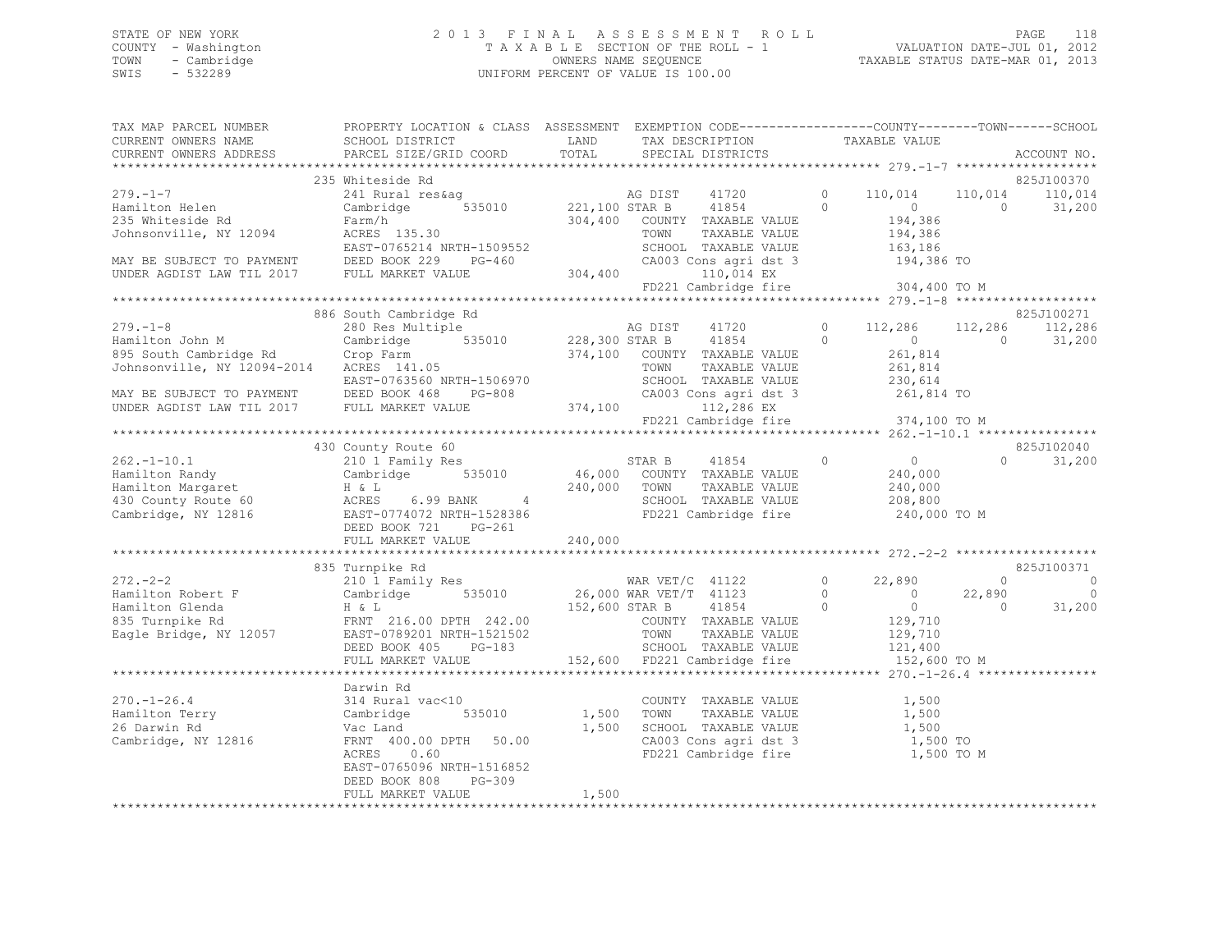### STATE OF NEW YORK 2 0 1 3 F I N A L A S S E S S M E N T R O L L PAGE 118 COUNTY - Washington T A X A B L E SECTION OF THE ROLL - 1 VALUATION DATE-JUL 01, 2012 TOWN - Cambridge OWNERS NAME SEQUENCE TAXABLE STATUS DATE-MAR 01, 2013 SWIS - 532289 UNIFORM PERCENT OF VALUE IS 100.00

| TAX MAP PARCEL NUMBER                                                                                                                                                                                                                               | PROPERTY LOCATION & CLASS ASSESSMENT EXEMPTION CODE-----------------COUNTY-------TOWN------SCHOOL |       |                                   |            |                                           |
|-----------------------------------------------------------------------------------------------------------------------------------------------------------------------------------------------------------------------------------------------------|---------------------------------------------------------------------------------------------------|-------|-----------------------------------|------------|-------------------------------------------|
|                                                                                                                                                                                                                                                     |                                                                                                   |       |                                   |            |                                           |
|                                                                                                                                                                                                                                                     |                                                                                                   |       |                                   |            |                                           |
|                                                                                                                                                                                                                                                     | 235 Whiteside Rd                                                                                  |       |                                   |            | 825J100370                                |
|                                                                                                                                                                                                                                                     |                                                                                                   |       |                                   |            |                                           |
| 279.-1-7<br>Hamilton Helen 235 Whitesiae Rd<br>235 Whiteside Rd<br>235 Whiteside Rd<br>235 Whiteside Rd<br>235 Whiteside Rd<br>235 Whiteside Rd<br>235 Whiteside Rd<br>235 Whiteside Rd<br>235 Whiteside Rd<br>235 Whiteside Rd<br>235 Whiteside Rd |                                                                                                   |       |                                   |            | $0$ 110,014 110,014 110,014<br>0 0 31,200 |
|                                                                                                                                                                                                                                                     |                                                                                                   |       |                                   |            |                                           |
|                                                                                                                                                                                                                                                     |                                                                                                   |       |                                   |            |                                           |
|                                                                                                                                                                                                                                                     |                                                                                                   |       |                                   |            |                                           |
|                                                                                                                                                                                                                                                     |                                                                                                   |       |                                   |            |                                           |
|                                                                                                                                                                                                                                                     |                                                                                                   |       |                                   |            |                                           |
|                                                                                                                                                                                                                                                     |                                                                                                   |       | FD221 Cambridge fire 304,400 TO M |            |                                           |
|                                                                                                                                                                                                                                                     |                                                                                                   |       |                                   |            |                                           |
|                                                                                                                                                                                                                                                     | 886 South Cambridge Rd                                                                            |       |                                   |            | 825J100271                                |
|                                                                                                                                                                                                                                                     |                                                                                                   |       |                                   |            |                                           |
|                                                                                                                                                                                                                                                     |                                                                                                   |       |                                   |            |                                           |
|                                                                                                                                                                                                                                                     |                                                                                                   |       |                                   |            |                                           |
|                                                                                                                                                                                                                                                     |                                                                                                   |       |                                   |            |                                           |
|                                                                                                                                                                                                                                                     |                                                                                                   |       |                                   |            |                                           |
|                                                                                                                                                                                                                                                     |                                                                                                   |       |                                   |            |                                           |
|                                                                                                                                                                                                                                                     |                                                                                                   |       |                                   |            |                                           |
|                                                                                                                                                                                                                                                     |                                                                                                   |       |                                   |            |                                           |
|                                                                                                                                                                                                                                                     |                                                                                                   |       |                                   |            |                                           |
|                                                                                                                                                                                                                                                     |                                                                                                   |       |                                   |            | 825J102040                                |
|                                                                                                                                                                                                                                                     |                                                                                                   |       |                                   |            | $0 \t 31,200$                             |
|                                                                                                                                                                                                                                                     |                                                                                                   |       |                                   |            |                                           |
|                                                                                                                                                                                                                                                     |                                                                                                   |       |                                   |            |                                           |
|                                                                                                                                                                                                                                                     |                                                                                                   |       |                                   |            |                                           |
|                                                                                                                                                                                                                                                     |                                                                                                   |       |                                   |            |                                           |
|                                                                                                                                                                                                                                                     |                                                                                                   |       |                                   |            |                                           |
|                                                                                                                                                                                                                                                     |                                                                                                   |       |                                   |            |                                           |
|                                                                                                                                                                                                                                                     |                                                                                                   |       |                                   |            |                                           |
|                                                                                                                                                                                                                                                     | 835 Turnpike Rd                                                                                   |       |                                   |            | 825J100371                                |
|                                                                                                                                                                                                                                                     |                                                                                                   |       |                                   |            | $\overline{0}$ 0                          |
|                                                                                                                                                                                                                                                     |                                                                                                   |       |                                   |            |                                           |
|                                                                                                                                                                                                                                                     |                                                                                                   |       |                                   |            |                                           |
|                                                                                                                                                                                                                                                     |                                                                                                   |       |                                   |            |                                           |
|                                                                                                                                                                                                                                                     |                                                                                                   |       |                                   |            |                                           |
|                                                                                                                                                                                                                                                     |                                                                                                   |       |                                   |            |                                           |
|                                                                                                                                                                                                                                                     |                                                                                                   |       |                                   |            |                                           |
|                                                                                                                                                                                                                                                     |                                                                                                   |       |                                   |            |                                           |
|                                                                                                                                                                                                                                                     | Darwin Rd                                                                                         |       |                                   |            |                                           |
|                                                                                                                                                                                                                                                     |                                                                                                   |       |                                   |            |                                           |
|                                                                                                                                                                                                                                                     |                                                                                                   |       |                                   |            |                                           |
|                                                                                                                                                                                                                                                     |                                                                                                   |       |                                   |            |                                           |
|                                                                                                                                                                                                                                                     |                                                                                                   |       |                                   |            |                                           |
|                                                                                                                                                                                                                                                     |                                                                                                   |       |                                   | 1,500 TO M |                                           |
|                                                                                                                                                                                                                                                     | EAST-0765096 NRTH-1516852                                                                         |       |                                   |            |                                           |
|                                                                                                                                                                                                                                                     | PG-309<br>DEED BOOK 808                                                                           |       |                                   |            |                                           |
|                                                                                                                                                                                                                                                     | FULL MARKET VALUE                                                                                 | 1,500 |                                   |            |                                           |
|                                                                                                                                                                                                                                                     |                                                                                                   |       |                                   |            |                                           |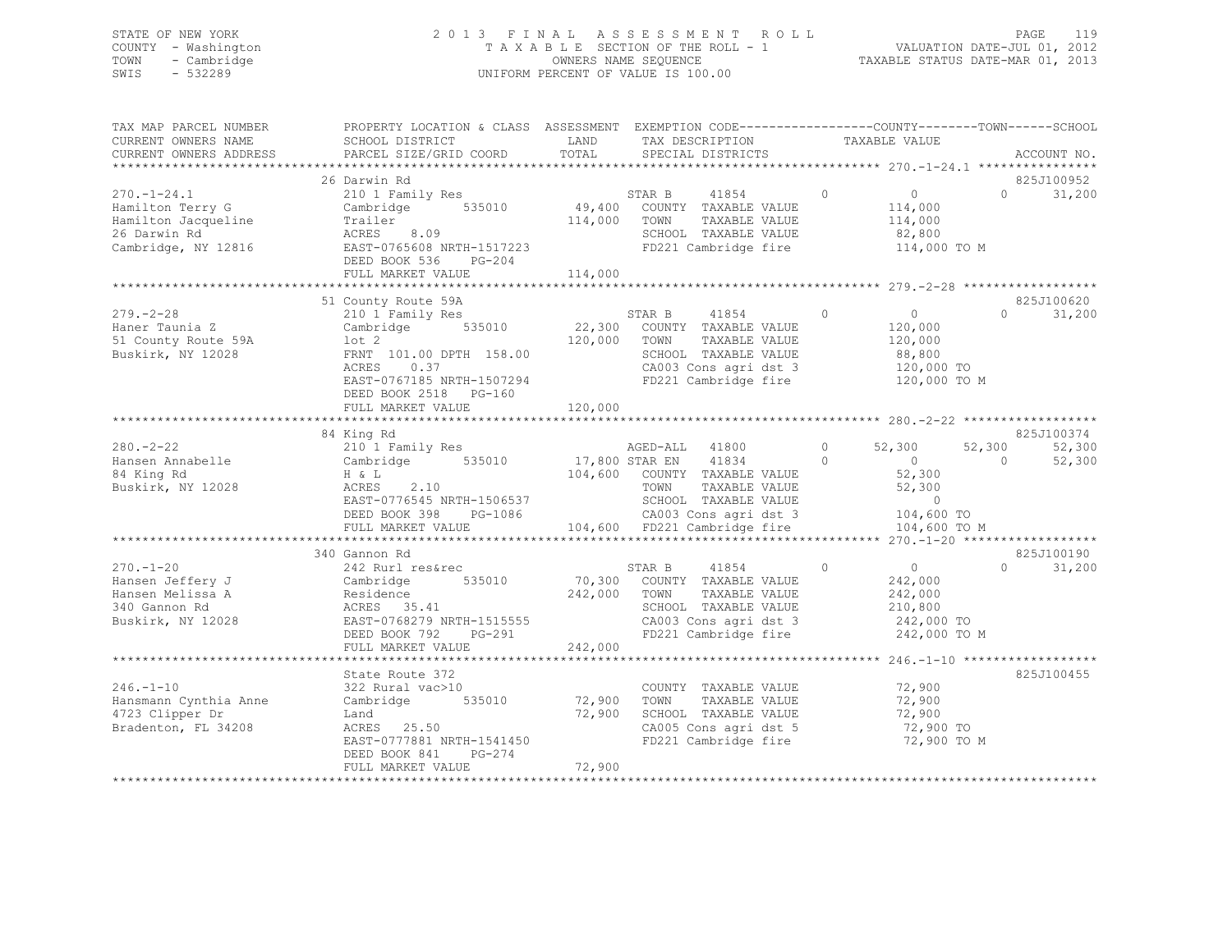# STATE OF NEW YORK<br>COUNTY - Washington 2012 2013 FINAL ASSESSMENT ROLL 2011<br>2012 2013 TAXABLE SECTION OF THE ROLL - 1 COUNTY - Washington  $T A X A B L E$  SECTION OF THE ROLL - 1<br>TOWN - Cambridge  $\sim$  000NERS NAME SEQUENCE TOWN - Cambridge OWNERS NAME SEQUENCE TAXABLE STATUS DATE-MAR 01, 2013 UNIFORM PERCENT OF VALUE IS 100.00

| TAX MAP PARCEL NUMBER<br>CURRENT OWNERS NAME<br>CURRENT OWNERS ADDRESS                              | PROPERTY LOCATION & CLASS ASSESSMENT EXEMPTION CODE----------------COUNTY-------TOWN------SCHOOL<br>SCHOOL DISTRICT<br>PARCEL SIZE/GRID COORD                                  | LAND<br>TOTAL                | TAX DESCRIPTION<br>SPECIAL DISTRICTS                                                                                                      | TAXABLE VALUE       |                                                                                             | ACCOUNT NO.                    |
|-----------------------------------------------------------------------------------------------------|--------------------------------------------------------------------------------------------------------------------------------------------------------------------------------|------------------------------|-------------------------------------------------------------------------------------------------------------------------------------------|---------------------|---------------------------------------------------------------------------------------------|--------------------------------|
|                                                                                                     |                                                                                                                                                                                |                              |                                                                                                                                           |                     |                                                                                             |                                |
| $270. - 1 - 24.1$<br>Hamilton Terry G<br>Hamilton Jacqueline<br>26 Darwin Rd<br>Cambridge, NY 12816 | 26 Darwin Rd<br>210 1 Family Res<br>535010<br>Cambridge<br>Trailer<br>ACRES 8.09<br>EAST-0765608 NRTH-1517223<br>DEED BOOK 536<br>PG-204<br>FULL MARKET VALUE                  | 49,400<br>114,000<br>114,000 | 41854<br>STAR B<br>COUNTY TAXABLE VALUE<br>TAXABLE VALUE<br>TOWN<br>SCHOOL TAXABLE VALUE<br>FD221 Cambridge fire                          | $\bigcirc$          | $\overline{0}$<br>$\Omega$<br>114,000<br>114,000<br>82,800<br>114,000 TO M                  | 825J100952<br>31,200           |
|                                                                                                     |                                                                                                                                                                                |                              |                                                                                                                                           |                     |                                                                                             |                                |
| $279. - 2 - 28$<br>Haner Taunia Z<br>51 County Route 59A<br>Buskirk, NY 12028                       | 51 County Route 59A<br>210 1 Family Res<br>535010<br>Cambridge<br>$1$ ot $2$<br>FRNT 101.00 DPTH 158.00<br>0.37<br>ACRES<br>EAST-0767185 NRTH-1507294<br>DEED BOOK 2518 PG-160 | 22,300<br>120,000            | STAR B<br>41854<br>COUNTY TAXABLE VALUE<br>TOWN<br>TAXABLE VALUE<br>SCHOOL TAXABLE VALUE<br>CA003 Cons agri dst 3<br>FD221 Cambridge fire | $\circ$             | $\overline{0}$<br>$\Omega$<br>120,000<br>120,000<br>88,800<br>120,000 TO<br>120,000 TO M    | 825J100620<br>31,200           |
|                                                                                                     | FULL MARKET VALUE                                                                                                                                                              | 120,000                      |                                                                                                                                           |                     |                                                                                             |                                |
|                                                                                                     |                                                                                                                                                                                |                              |                                                                                                                                           |                     |                                                                                             |                                |
| $280 - 2 - 22$<br>Hansen Annabelle<br>84 King Rd<br>Buskirk, NY 12028                               | 84 King Rd<br>210 1 Family Res<br>Cambridge 535010<br>H & L<br>2.10<br>ACRES<br>EAST-0776545 NRTH-1506537<br>DEED BOOK 398<br>PG-1086                                          | 17,800 STAR EN               | AGED-ALL 41800<br>41834<br>104,600 COUNTY TAXABLE VALUE<br>TOWN<br>TAXABLE VALUE<br>SCHOOL TAXABLE VALUE<br>CA003 Cons agri dst 3         | $\circ$<br>$\Omega$ | 52,300<br>52,300<br>$\overline{0}$<br>$\Omega$<br>52,300<br>52,300<br>$\circ$<br>104,600 TO | 825J100374<br>52,300<br>52,300 |
|                                                                                                     | FULL MARKET VALUE                                                                                                                                                              |                              | 104,600 FD221 Cambridge fire                                                                                                              |                     | 104,600 TO M                                                                                |                                |
|                                                                                                     |                                                                                                                                                                                |                              |                                                                                                                                           |                     |                                                                                             |                                |
| $270. - 1 - 20$<br>Hansen Jeffery J<br>Hansen Melissa A<br>340 Gannon Rd<br>Buskirk, NY 12028       | 340 Gannon Rd<br>242 Rurl res&rec<br>535010<br>Cambridge<br>Residence<br>ACRES 35.41<br>EAST-0768279 NRTH-1515555<br>DEED BOOK 792<br>PG-291<br>FULL MARKET VALUE              | 70,300<br>242,000<br>242,000 | 41854<br>STAR B<br>COUNTY TAXABLE VALUE<br>TOWN<br>TAXABLE VALUE<br>SCHOOL TAXABLE VALUE<br>CA003 Cons agri dst 3<br>FD221 Cambridge fire | $\circ$             | $\overline{0}$<br>$\bigcap$<br>242,000<br>242,000<br>210,800<br>242,000 TO<br>242,000 TO M  | 825J100190<br>31,200           |
|                                                                                                     | ***************************                                                                                                                                                    | ***************              |                                                                                                                                           |                     |                                                                                             |                                |
| $246. - 1 - 10$<br>Hansmann Cynthia Anne<br>4723 Clipper Dr<br>Bradenton, FL 34208                  | State Route 372<br>322 Rural vac>10<br>Cambridge<br>535010<br>Land<br>ACRES 25.50<br>EAST-0777881 NRTH-1541450<br>DEED BOOK 841<br>PG-274                                      | 72,900<br>72,900             | COUNTY TAXABLE VALUE<br>TOWN<br>TAXABLE VALUE<br>SCHOOL TAXABLE VALUE<br>CA005 Cons agri dst 5<br>FD221 Cambridge fire                    |                     | 72,900<br>72,900<br>72,900<br>72,900 TO<br>72,900 TO M                                      | 825J100455                     |
|                                                                                                     | FULL MARKET VALUE                                                                                                                                                              | 72,900                       |                                                                                                                                           |                     |                                                                                             |                                |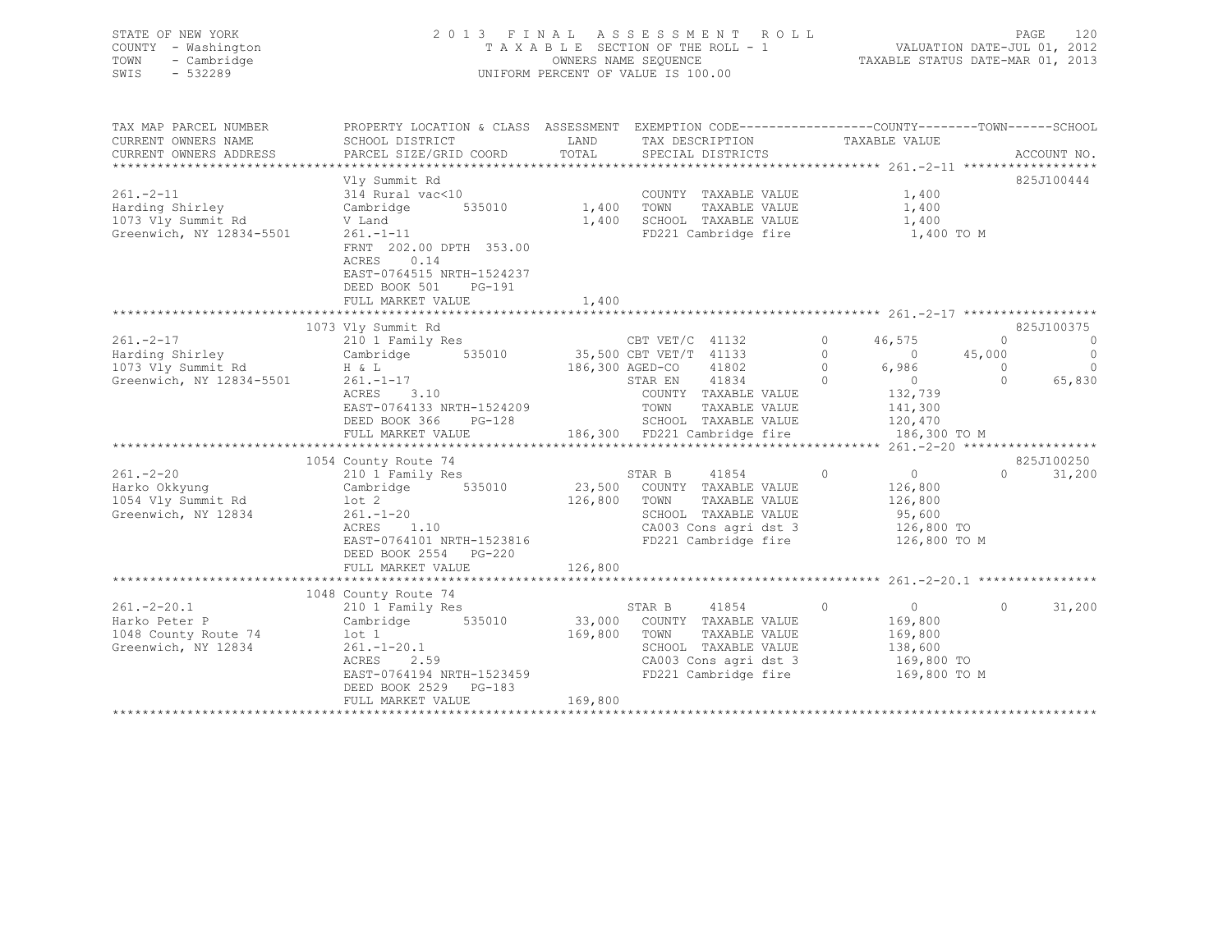| STATE OF NEW YORK<br>COUNTY - Washington<br>TOWN<br>- Cambridge<br>$-532289$<br>SWIS                                                                                                                                                                                                                                                                                                | 2013 FINAL ASSESSMENT ROLL<br>UNIFORM PERCENT OF VALUE IS 100.00                                                   |         | PAGE<br>120<br>FAGE 120<br>TAXABLE SECTION OF THE ROLL - 1 VALUATION DATE-JUL 01, 2012<br>OWNERS NAME STATUS DATE-MAR 01, 2013 |                                             |                                              |
|-------------------------------------------------------------------------------------------------------------------------------------------------------------------------------------------------------------------------------------------------------------------------------------------------------------------------------------------------------------------------------------|--------------------------------------------------------------------------------------------------------------------|---------|--------------------------------------------------------------------------------------------------------------------------------|---------------------------------------------|----------------------------------------------|
| TAX MAP PARCEL NUMBER                                                                                                                                                                                                                                                                                                                                                               | PROPERTY LOCATION & CLASS ASSESSMENT EXEMPTION CODE----------------COUNTY-------TOWN------SCHOOL                   | LAND    |                                                                                                                                |                                             |                                              |
| CURRENT OWNERS NAME<br>CURRENT OWNERS ADDRESS                                                                                                                                                                                                                                                                                                                                       | SCHOOL DISTRICT<br>PARCEL SIZE/GRID COORD                                                                          | TOTAL   | TAX DESCRIPTION TAXABLE VALUE<br>SPECIAL DISTRICTS                                                                             |                                             | ACCOUNT NO.                                  |
|                                                                                                                                                                                                                                                                                                                                                                                     |                                                                                                                    |         |                                                                                                                                |                                             | 825J100444                                   |
| $261. -2 - 11$                                                                                                                                                                                                                                                                                                                                                                      | Vly Summit Rd<br>314 Rural vac<10                                                                                  |         | COUNTY TAXABLE VALUE $1,400$                                                                                                   |                                             |                                              |
| zoi.-z-i1<br>Harding Shirley<br>1073 Vly Summit Rd                                                                                                                                                                                                                                                                                                                                  | Cambridge                                                                                                          |         |                                                                                                                                | 1,400                                       |                                              |
|                                                                                                                                                                                                                                                                                                                                                                                     | V Land                                                                                                             |         | 535010 1,400 TOWN TAXABLE VALUE<br>1,400 SCHOOL TAXABLE VALUE                                                                  | 1,400                                       |                                              |
| Greenwich, NY 12834-5501                                                                                                                                                                                                                                                                                                                                                            | $261. - 1 - 11$                                                                                                    |         | FD221 Cambridge fire                                                                                                           | 1,400 TO M                                  |                                              |
|                                                                                                                                                                                                                                                                                                                                                                                     | FRNT 202.00 DPTH 353.00<br>ACRES 0.14<br>EAST-0764515 NRTH-1524237<br>DEED BOOK 501<br>PG-191<br>FULL MARKET VALUE | 1,400   |                                                                                                                                |                                             |                                              |
| $\begin{array}{ccccccccc} 201. - Z - 1' & & & 210 & 1 & \text{Family Res} & & & & \text{CBT VET/C} & 41132 & 0 & 46,575 \\ & & & & & & & \text{Cambridge} & 535010 & & 35,500 & \text{CBT VET/T} & 41133 & 0 & & 46,575 \\ & & & & & & & & & \text{CBT VET/T} & 41133 & & 0 & & 46,575 \\ 1073 Vly Summit Rd & & & & H & L & & & 186,300 AGED-CO & & & & & 0 \\ 1080 V & & & & & &$ |                                                                                                                    |         |                                                                                                                                |                                             |                                              |
|                                                                                                                                                                                                                                                                                                                                                                                     |                                                                                                                    |         |                                                                                                                                |                                             | 825J100375                                   |
|                                                                                                                                                                                                                                                                                                                                                                                     |                                                                                                                    |         |                                                                                                                                |                                             | $\begin{matrix} 0 & 0 \\ 0 & 0 \end{matrix}$ |
|                                                                                                                                                                                                                                                                                                                                                                                     |                                                                                                                    |         |                                                                                                                                | $\begin{matrix}0&0\end{matrix}$             | 45,000<br>$\overline{0}$                     |
|                                                                                                                                                                                                                                                                                                                                                                                     |                                                                                                                    |         | 186,300 AGED-CO 41802 0 6,986<br>STAR EN 41834 0 0<br>COUNTY TAXABLE VALUE 132,739<br>TOWN TAXABLE VALUE 141,300               |                                             | $\overline{0}$<br>$\overline{0}$             |
|                                                                                                                                                                                                                                                                                                                                                                                     |                                                                                                                    |         |                                                                                                                                |                                             | 0 65,830                                     |
|                                                                                                                                                                                                                                                                                                                                                                                     | ACRES 3.10                                                                                                         |         |                                                                                                                                |                                             |                                              |
|                                                                                                                                                                                                                                                                                                                                                                                     |                                                                                                                    |         |                                                                                                                                |                                             |                                              |
|                                                                                                                                                                                                                                                                                                                                                                                     |                                                                                                                    |         |                                                                                                                                |                                             |                                              |
|                                                                                                                                                                                                                                                                                                                                                                                     |                                                                                                                    |         |                                                                                                                                |                                             |                                              |
|                                                                                                                                                                                                                                                                                                                                                                                     |                                                                                                                    |         |                                                                                                                                |                                             |                                              |
|                                                                                                                                                                                                                                                                                                                                                                                     | 1054 County Route 74                                                                                               |         |                                                                                                                                |                                             | 825J100250                                   |
| $261. - 2 - 20$                                                                                                                                                                                                                                                                                                                                                                     | County Route 74<br>210 1 Family Res                                                                                |         | STAR B 41854<br>23,500 COUNTY TAXABLE VALUE<br>STAR B 41854 0                                                                  | $\begin{array}{c} 0 \\ 126,800 \end{array}$ | $0 \t 31,200$                                |
| =--• = =-<br>Harko Okkyung                                                                                                                                                                                                                                                                                                                                                          | Cambridge 535010                                                                                                   |         |                                                                                                                                |                                             |                                              |
| 1054 Vly Summit Rd                                                                                                                                                                                                                                                                                                                                                                  | lot 2<br>261.-1-20<br>ACRES 1.10                                                                                   |         | 126,800 TOWN TAXABLE VALUE                                                                                                     | 126,800                                     |                                              |
| Greenwich, NY 12834                                                                                                                                                                                                                                                                                                                                                                 |                                                                                                                    |         | SCHOOL TAXABLE VALUE                                                                                                           | 95,600                                      |                                              |
|                                                                                                                                                                                                                                                                                                                                                                                     | ACRES 1.10<br>EAST-0764101 NRTH-1523816<br>EAST-0764101 NRTH-1523816 FD221 Cambridge fire 126,800 TO               |         |                                                                                                                                |                                             |                                              |
|                                                                                                                                                                                                                                                                                                                                                                                     |                                                                                                                    |         |                                                                                                                                | 126,800 TO M                                |                                              |
|                                                                                                                                                                                                                                                                                                                                                                                     | DEED BOOK 2554 PG-220<br>FULL MARKET VALUE                                                                         | 126,800 |                                                                                                                                |                                             |                                              |
|                                                                                                                                                                                                                                                                                                                                                                                     |                                                                                                                    |         |                                                                                                                                |                                             |                                              |
|                                                                                                                                                                                                                                                                                                                                                                                     | 1048 County Route 74                                                                                               |         |                                                                                                                                |                                             |                                              |
| $261. -2 - 20.1$                                                                                                                                                                                                                                                                                                                                                                    | 210 1 Family Res                                                                                                   |         | STAR B 41854<br>33,000 COUNTY TAXABLE VALUE<br>169,800 TOWN TAXABLE VALUE<br>41854 0                                           | $0 \qquad \qquad$                           | $\circ$<br>31,200                            |
| Harko Peter P                                                                                                                                                                                                                                                                                                                                                                       | Cambridge 535010                                                                                                   |         |                                                                                                                                | 169,800                                     |                                              |
| 1048 County Route 74                                                                                                                                                                                                                                                                                                                                                                | lot 1                                                                                                              |         |                                                                                                                                | 169,800                                     |                                              |
| Greenwich, NY 12834                                                                                                                                                                                                                                                                                                                                                                 | $261. - 1 - 20.1$                                                                                                  |         | SCHOOL TAXABLE VALUE                                                                                                           | 138,600                                     |                                              |
|                                                                                                                                                                                                                                                                                                                                                                                     | 2.59<br>ACRES                                                                                                      |         | CA003 Cons agri dst 3 169,800 TO<br>FD221 Cambridge fire 169,800 TO M                                                          |                                             |                                              |
|                                                                                                                                                                                                                                                                                                                                                                                     | EAST-0764194 NRTH-1523459                                                                                          |         |                                                                                                                                |                                             |                                              |

 FULL MARKET VALUE 169,800 \*\*\*\*\*\*\*\*\*\*\*\*\*\*\*\*\*\*\*\*\*\*\*\*\*\*\*\*\*\*\*\*\*\*\*\*\*\*\*\*\*\*\*\*\*\*\*\*\*\*\*\*\*\*\*\*\*\*\*\*\*\*\*\*\*\*\*\*\*\*\*\*\*\*\*\*\*\*\*\*\*\*\*\*\*\*\*\*\*\*\*\*\*\*\*\*\*\*\*\*\*\*\*\*\*\*\*\*\*\*\*\*\*\*\*\*\*\*\*\*\*\*\*\*\*\*\*\*\*\*\*\*

DEED BOOK 2529 PG-183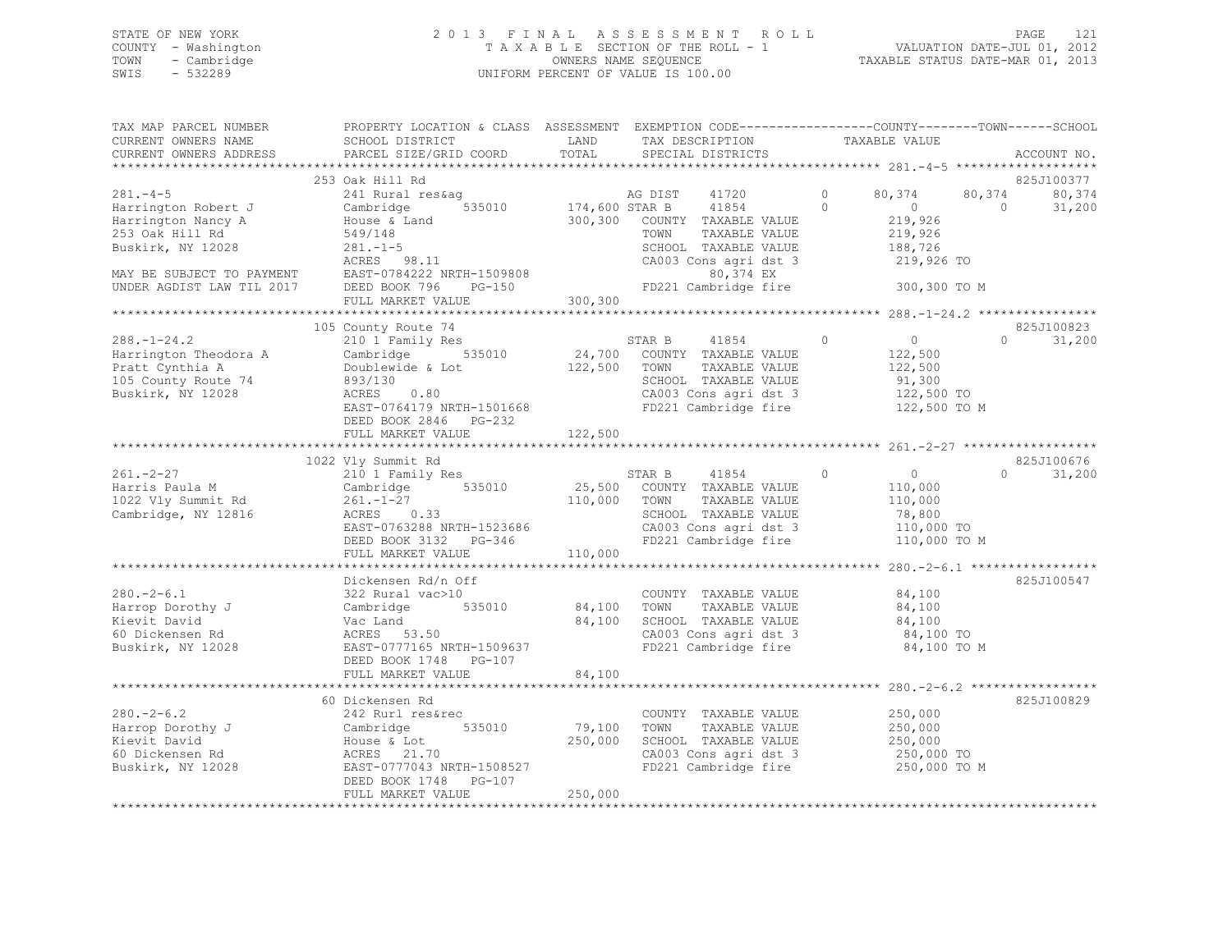### STATE OF NEW YORK 2 0 1 3 F I N A L A S S E S S M E N T R O L L PAGE 121 COUNTY - Washington T A X A B L E SECTION OF THE ROLL - 1 VALUATION DATE-JUL 01, 2012 TOWN - Cambridge OWNERS NAME SEQUENCE TAXABLE STATUS DATE-MAR 01, 2013 SWIS - 532289 UNIFORM PERCENT OF VALUE IS 100.00

| TAX MAP PARCEL NUMBER<br>CURRENT OWNERS NAME<br>CURRENT OWNERS ADDRESS                                                                                                                                                                                                                         | PROPERTY LOCATION & CLASS ASSESSMENT EXEMPTION CODE----------------COUNTY-------TOWN------SCHOOL<br>SCHOOL DISTRICT<br>PARCEL SIZE/GRID COORD TOTAL SPECIAL DISTRICTS                                                                                                                                                                               |         | LAND TAX DESCRIPTION                                                                                                                  | TAXABLE VALUE                                      | ACCOUNT NO.                                                     |
|------------------------------------------------------------------------------------------------------------------------------------------------------------------------------------------------------------------------------------------------------------------------------------------------|-----------------------------------------------------------------------------------------------------------------------------------------------------------------------------------------------------------------------------------------------------------------------------------------------------------------------------------------------------|---------|---------------------------------------------------------------------------------------------------------------------------------------|----------------------------------------------------|-----------------------------------------------------------------|
|                                                                                                                                                                                                                                                                                                |                                                                                                                                                                                                                                                                                                                                                     |         |                                                                                                                                       |                                                    |                                                                 |
|                                                                                                                                                                                                                                                                                                | 253 Oak Hill Rd                                                                                                                                                                                                                                                                                                                                     |         |                                                                                                                                       |                                                    | 825J100377                                                      |
| Admington Robert J<br>Harrington Robert J<br>Harrington Mancy A<br>House & Land<br>253 Oak Hill Rd<br>263 Oak Hill Rd<br>263 Oak Hill Rd<br>281.-1-5<br>281.-1-5<br>200,300 COUNTY TAXABLE VALUE<br>281.-1-5<br>200,300 COUNTY TAXABLE VALUE<br>281.-1                                         |                                                                                                                                                                                                                                                                                                                                                     |         | CA003 Cons agri dst 3 219,926 TO<br>80,374 EX<br>FD221 Cambridge fire 300,300 TO M                                                    | $\overline{0}$<br>219,926<br>219,926<br>188,726    | $80,374$ $80,374$ $80,374$ $80,374$<br>$\overline{0}$<br>31,200 |
|                                                                                                                                                                                                                                                                                                |                                                                                                                                                                                                                                                                                                                                                     |         |                                                                                                                                       |                                                    |                                                                 |
| $288. - 1 - 24.2$<br>Extra 1988 1892<br>Harrington Theodora A Cambridge 535010 24,700 COUNTY TAXABLE VALUE<br>Pratt Cynthia A Doublewide & Lot 122,500 TOWN TAXABLE VALUE<br>105 County Route 74 893/130 SCHOOL TAXABLE VALUE<br>Buskirk, NY 12028 ACRES 0.                                    | 105 County Route 74<br>210 1 Family Res<br>EAST-0764179 NRTH-1501668<br>DEED BOOK 2846 PG-232<br>FULL MARKET VALUE                                                                                                                                                                                                                                  | 122,500 | STAR B 41854<br>TAXABLE VALUE<br>SCHOOL TAXABLE VALUE 91,300<br>CA003 Cons agri dst 3 122,500 TO<br>FD221 Cambridge fire 122,500 TO M | $\overline{0}$<br>$\bigcirc$<br>122,500<br>122,500 | 825J100823<br>$\Omega$<br>31,200                                |
|                                                                                                                                                                                                                                                                                                |                                                                                                                                                                                                                                                                                                                                                     |         |                                                                                                                                       |                                                    |                                                                 |
| $261 - 2 - 27$<br>Harris Paula M<br>1022 Vly Summit Rd<br>Cambridge, NY 12816                                                                                                                                                                                                                  | 1022 Vly Summit Rd<br>210 1 Family Res STAR B 41854 0<br>Cambridge 535010 25,500 COUNTY TAXABLE VALUE<br>1022 *1<br>210 1 Family Res<br>Cambridge 535010 25,500 COUNT<br>261.-1-27 110,000 TOWN<br>ACRES 0.33 SCHOC<br>EED BOOK 3132 PG-346 110,000<br>DEED BOOK 3132 PG-346 110,000<br>TULL MARKET VALUE<br>TULL MARKET VALUE<br>TULL MARKET VALUE |         | TAXABLE VALUE<br>SCHOOL TAXABLE VALUE<br>CA003 Cons agri dst 3 $110,000$ TO<br>FD221 Cambridge fire $110,000$ TO M                    | $\overline{0}$<br>110,000<br>110,000<br>78,800     | 825J100676<br>$\Omega$<br>31,200                                |
|                                                                                                                                                                                                                                                                                                |                                                                                                                                                                                                                                                                                                                                                     |         |                                                                                                                                       |                                                    |                                                                 |
| $280 - 2 - 6.1$<br>Harrop Dorothy J<br>Kievit David<br>60 Dickensen Rd<br>Buskirk, NY 12028                                                                                                                                                                                                    | Dickensen Rd/n Off<br>322 Rural vac>10<br>322 Rural vac>10<br>Commoridge 535010 84,100 TOMN<br>Vac Land 84,100 SCHOOI<br>ACRES 53.50 CA003<br>EAST-0777165 NRTH-1509637 FD221<br>EAST-0777165 NRTH-1509637<br>DEED BOOK 1748 PG-107                                                                                                                 |         | COUNTY TAXABLE VALUE<br>TAXABLE VALUE<br>SCHOOL TAXABLE VALUE<br>CA003 Cons agri dst 3<br>FD221 Cambridge fire                        | 84,100<br>84,100<br>84,100                         | 825J100547<br>$84,100$ TO<br>84,100 TO M                        |
|                                                                                                                                                                                                                                                                                                | FULL MARKET VALUE                                                                                                                                                                                                                                                                                                                                   | 84,100  |                                                                                                                                       |                                                    |                                                                 |
|                                                                                                                                                                                                                                                                                                | 60 Dickensen Rd                                                                                                                                                                                                                                                                                                                                     |         |                                                                                                                                       |                                                    | 825J100829                                                      |
| $280 - 2 - 6.2$<br>Harrop Dorothy J<br>Harrop Dorothy J<br>Kievit David<br>60 Dickensen Rd<br>Buskirk, NY 12028<br>Buskirk, NY 12028<br>Buskirk, NY 12028<br>Buskirk, NY 12028<br>Buskirk, NY 12028<br>Buskirk, NY 12028<br>Buskirk, NY 12028<br>Buskirk, NY 12028<br>Bus<br>Buskirk, NY 12028 | 242 Rurl res&rec<br>DEED BOOK 1748 PG-107<br>FULL MARKET VALUE                                                                                                                                                                                                                                                                                      | 250,000 | COUNTY TAXABLE VALUE<br>TAXABLE VALUE<br>TOWN<br>SCHOOL TAXABLE VALUE<br>CA003 Cons agri dst 3<br>FD221 Cambridge fire                | 250,000<br>250,000<br>250,000<br>250,000 TO        | 250,000 TO M                                                    |
|                                                                                                                                                                                                                                                                                                |                                                                                                                                                                                                                                                                                                                                                     |         |                                                                                                                                       |                                                    |                                                                 |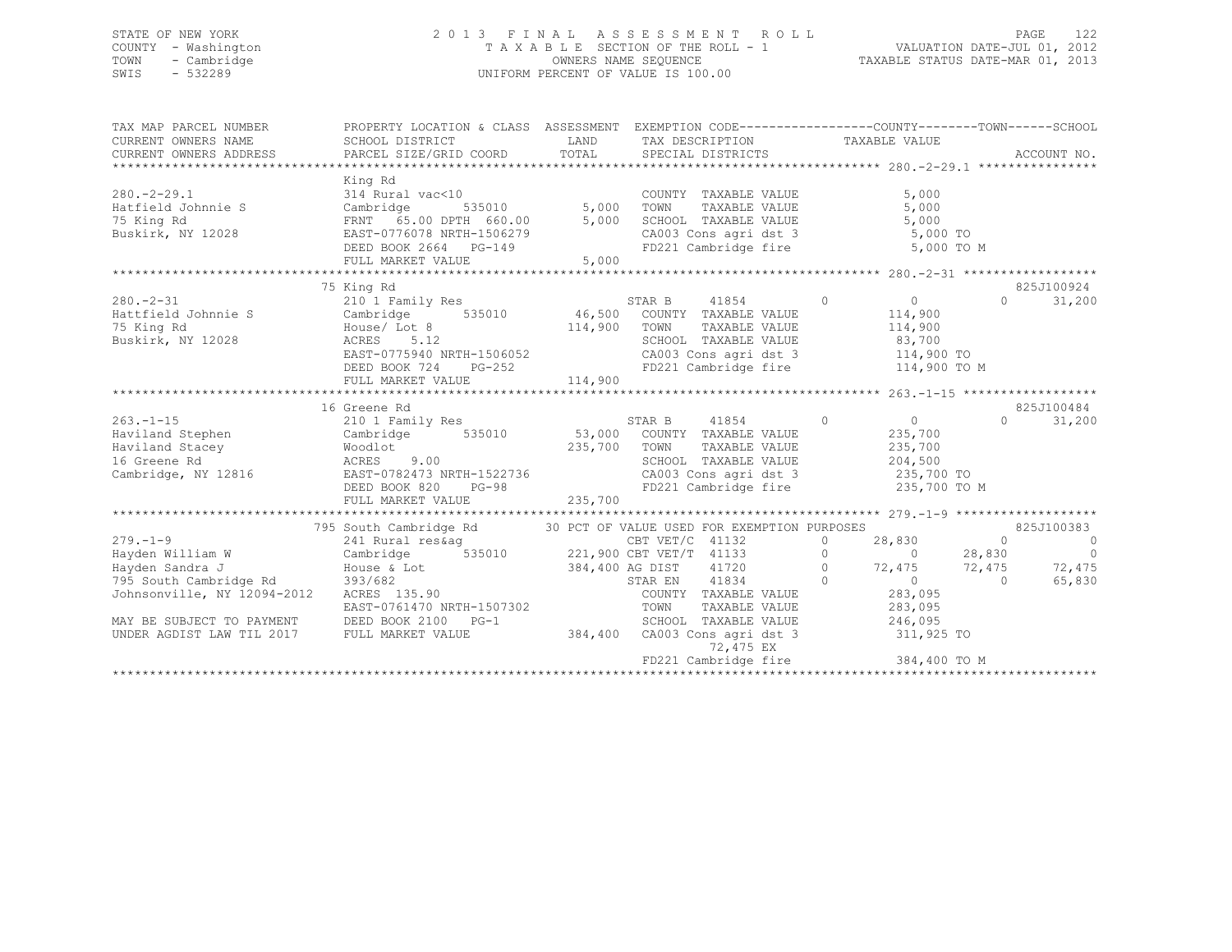### STATE OF NEW YORK 2 0 1 3 F I N A L A S S E S S M E N T R O L L PAGE 122 COUNTY - Washington T A X A B L E SECTION OF THE ROLL - 1 VALUATION DATE-JUL 01, 2012 TOWN - Cambridge OWNERS NAME SEQUENCE TAXABLE STATUS DATE-MAR 01, 2013 SWIS - 532289 UNIFORM PERCENT OF VALUE IS 100.00

| TAX MAP PARCEL NUMBER                                                                                                                                                                                                                                                                  | PROPERTY LOCATION & CLASS ASSESSMENT EXEMPTION CODE----------------COUNTY-------TOWN------SCHOOL                                                                                                             |              |                                                                                                                                                      |                                                            |                                |
|----------------------------------------------------------------------------------------------------------------------------------------------------------------------------------------------------------------------------------------------------------------------------------------|--------------------------------------------------------------------------------------------------------------------------------------------------------------------------------------------------------------|--------------|------------------------------------------------------------------------------------------------------------------------------------------------------|------------------------------------------------------------|--------------------------------|
| $280 - 2 - 29.1$<br>Hatfield Johnnie S<br>75 King Rd<br>Buskirk, NY 12028                                                                                                                                                                                                              | King Rd<br>314 Rural vac<10 COUNTY<br>Cambridge 535010 5,000 TOWN<br>FRNT 65.00 DPTH 660.00 5,000 SCHOOL<br>EAST-0776078 NRTH-1506279 CA003<br>DEED BOOK 2664 PG-149 FD221<br>Cambridge<br>FULL MARKET VALUE | 5,000        | COUNTY TAXABLE VALUE<br>TOWN TAXABLE VALUE 5,000<br>SCHOOL TAXABLE VALUE 5,000<br>CA003 Cons agri dst 3 5,000 TO                                     | 5,000<br>FD221 Cambridge fire 5,000 TO M                   |                                |
|                                                                                                                                                                                                                                                                                        |                                                                                                                                                                                                              |              |                                                                                                                                                      |                                                            |                                |
|                                                                                                                                                                                                                                                                                        | 75 King Rd                                                                                                                                                                                                   |              |                                                                                                                                                      |                                                            | 825J100924                     |
| $280 - 2 - 31$<br>Hattfield Johnnie S<br>75 King Rd<br>Buskirk, NY 12028                                                                                                                                                                                                               | 210 1 Family Res<br>Cambridge 535010 46,500 COUNTY TAXABLE VALUE<br>House/ Lot 8<br>ACRES 5.12<br>EAST-0775940 NRTH-1506052<br>$PG-252$<br>DEED BOOK 724                                                     | 114,900 TOWN | STAR B 41854 0<br>TOWN TAXABLE VALUE 114,900<br>SCHOOL TAXABLE VALUE 83,700<br>CA003 Cons agri dst 3 114,900 TO<br>FD221 Cambridge fire 114,900 TO M | $\overline{0}$<br>114,900                                  | $\Omega$<br>31,200             |
|                                                                                                                                                                                                                                                                                        |                                                                                                                                                                                                              |              |                                                                                                                                                      |                                                            |                                |
| $263. -1 - 15$                                                                                                                                                                                                                                                                         | 16 Greene Rd<br>210 1 Family Res                                                                                                                                                                             |              | STAR B 41854 0                                                                                                                                       | $\overline{0}$                                             | 825J100484<br>$\cap$<br>31,200 |
| Haviland Stephen Cambridge<br>Haviland Stacey<br>16 Greene Rd<br>Cambridge, NY 12816<br>Cambridge, NY 12816<br>Cambridge, NY 12816<br>CEED BOOK 820<br>DEED BOOK 820<br>PG-98<br>CAO03 Cons agri dst 3<br>FD221 Cambridge fire<br>235,700<br>FD221 Cambridge fire<br>235,700<br>235,70 |                                                                                                                                                                                                              |              | 535010 53,000 COUNTY TAXABLE VALUE                                                                                                                   | 235,700                                                    |                                |
|                                                                                                                                                                                                                                                                                        |                                                                                                                                                                                                              |              |                                                                                                                                                      |                                                            |                                |
|                                                                                                                                                                                                                                                                                        |                                                                                                                                                                                                              |              |                                                                                                                                                      |                                                            |                                |
|                                                                                                                                                                                                                                                                                        | 795 South Cambridge Rd 30 PCT OF VALUE USED FOR EXEMPTION PURPOSES                                                                                                                                           |              |                                                                                                                                                      |                                                            | 825J100383                     |
| $279. - 1 - 9$                                                                                                                                                                                                                                                                         | 241 Rural res&ag                                                                                                                                                                                             |              | CBT VET/C 41132                                                                                                                                      | 28,830 0<br>$\overline{0}$ and $\overline{0}$              | $\sim$ 0                       |
|                                                                                                                                                                                                                                                                                        |                                                                                                                                                                                                              |              |                                                                                                                                                      |                                                            |                                |
| 12094-2012<br>Hayden Sandra J<br>Hayden Sandra J<br>House & Lot<br>393/682<br>Johnsonville, NY 12094-2012<br>EAST-0761470 NRTH-1507302<br>EAST-0761470 NRTH-1507302<br>EAST-0761470 NRTH-1507302<br>FAST-0761470 NRTH-1507302<br>FAST-0761470 NRTH                                     |                                                                                                                                                                                                              |              |                                                                                                                                                      |                                                            |                                |
| MAY BE SUBJECT TO PAYMENT<br>UNDER AGDIST LAW TIL 2017                                                                                                                                                                                                                                 | DEED BOOK 2100 PG-1<br>FULL MARKET VALUE                                                                                                                                                                     | 384,400      | SCHOOL TAXABLE VALUE<br>CA003 Cons agri dst 3<br>72,475 EX                                                                                           | 246,095<br>311,925 TO<br>FD221 Cambridge fire 384,400 TO M |                                |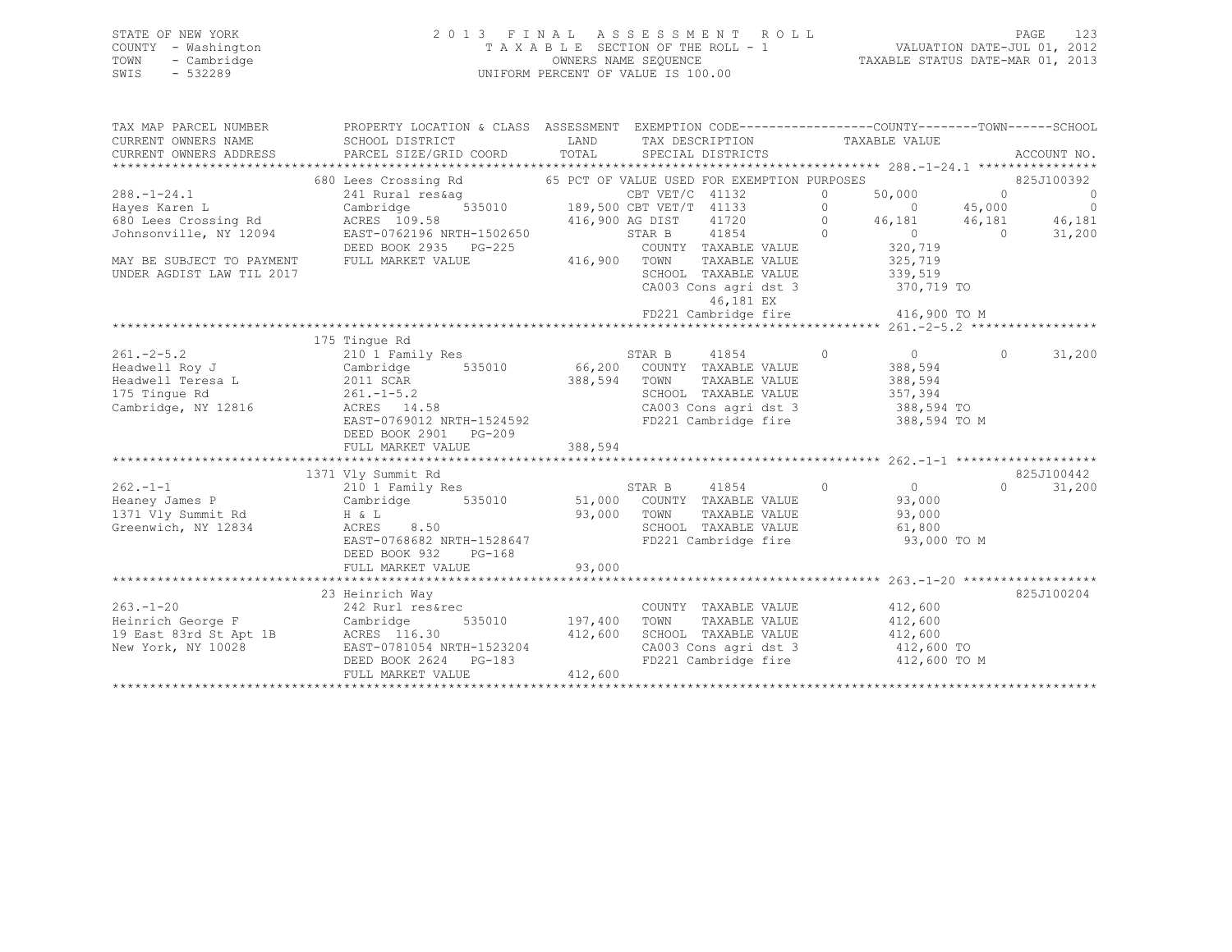### STATE OF NEW YORK 2 0 1 3 F I N A L A S S E S S M E N T R O L L PAGE 123 COUNTY - Washington T A X A B L E SECTION OF THE ROLL - 1 VALUATION DATE-JUL 01, 2012 TOWN - Cambridge OWNERS NAME SEQUENCE TAXABLE STATUS DATE-MAR 01, 2013 SWIS - 532289 UNIFORM PERCENT OF VALUE IS 100.00

| TAX MAP PARCEL NUMBER                                                                              | PROPERTY LOCATION & CLASS ASSESSMENT EXEMPTION CODE---------------COUNTY-------TOWN-----SCHOOL |                 |                 |                                               |                |                                                              |                |                |
|----------------------------------------------------------------------------------------------------|------------------------------------------------------------------------------------------------|-----------------|-----------------|-----------------------------------------------|----------------|--------------------------------------------------------------|----------------|----------------|
| CURRENT OWNERS NAME                                                                                | SCHOOL DISTRICT                                                                                | LAND<br>TOTAL   |                 | TAX DESCRIPTION                               |                | TAXABLE VALUE                                                |                |                |
| CURRENT OWNERS ADDRESS                                                                             | PARCEL SIZE/GRID COORD                                                                         |                 |                 | SPECIAL DISTRICTS                             |                |                                                              |                | ACCOUNT NO.    |
|                                                                                                    | 680 Lees Crossing Rd                                                                           |                 |                 | 65 PCT OF VALUE USED FOR EXEMPTION PURPOSES   |                |                                                              |                | 825J100392     |
| $288. - 1 - 24.1$                                                                                  | 241 Rural res&aq                                                                               |                 | CBT VET/C 41132 |                                               | $\Omega$       | 50,000                                                       | $\overline{0}$ | $\overline{0}$ |
| Hayes Karen L                                                                                      | Cambridge                                                                                      |                 |                 |                                               | $\circ$        | $\overline{0}$                                               | 45,000         | $\overline{0}$ |
| 680 Lees Crossing Rd                                                                               | ACRES 109.58                                                                                   | 416,900 AG DIST |                 | 41720<br>$\sim$ 0                             |                | 46,181                                                       | 46,181         | 46,181         |
| Johnsonville, NY 12094                                                                             | EAST-0762196 NRTH-1502650                                                                      |                 |                 | STAR B 41854                                  | $\circ$        | $\begin{array}{c}\n 0 \\  320 \overline{)710}\n \end{array}$ | $\overline{0}$ | 31,200         |
|                                                                                                    | DEED BOOK 2935 PG-225                                                                          |                 |                 | COUNTY TAXABLE VALUE                          |                |                                                              |                |                |
| MAY BE SUBJECT TO PAYMENT                                                                          | FULL MARKET VALUE                                                                              | 416,900         | TOWN            | TAXABLE VALUE                                 |                | 325,719                                                      |                |                |
| UNDER AGDIST LAW TIL 2017                                                                          |                                                                                                |                 |                 | SCHOOL TAXABLE VALUE                          |                | 339,519                                                      |                |                |
|                                                                                                    |                                                                                                |                 |                 | CA003 Cons agri dst 3                         |                | 370,719 TO                                                   |                |                |
|                                                                                                    |                                                                                                |                 |                 | 46,181 EX                                     |                |                                                              |                |                |
|                                                                                                    |                                                                                                |                 |                 | FD221 Cambridge fire 416,900 TO M             |                |                                                              |                |                |
|                                                                                                    |                                                                                                |                 |                 |                                               |                |                                                              |                |                |
|                                                                                                    | 175 Tingue Rd                                                                                  |                 |                 |                                               |                |                                                              |                |                |
| $261 - 2 - 5.2$                                                                                    | 210 <sup>1</sup> Family Res STAR B 41854                                                       |                 |                 |                                               | $\bigcirc$     | $\overline{0}$                                               | $\Omega$       | 31,200         |
| Headwell Roy J                                                                                     | Cambridge                                                                                      |                 |                 | 535010 66,200 COUNTY TAXABLE VALUE            |                | 388,594                                                      |                |                |
| Headwell Teresa L 2011 SCAR                                                                        |                                                                                                | 388,594 TOWN    |                 | TAXABLE VALUE                                 |                | 388,594                                                      |                |                |
| 175 Tingue Rd<br>$261 - 1 - 5.2$                                                                   |                                                                                                |                 |                 | SCHOOL TAXABLE VALUE                          |                | 357,394                                                      |                |                |
| Cambridge, NY 12816                                                                                | ACRES 14.58                                                                                    |                 |                 |                                               |                | 388,594 TO                                                   |                |                |
|                                                                                                    | EAST-0769012 NRTH-1524592                                                                      |                 |                 | CA003 Cons agri dst 3<br>FD221 Cambridge fire |                | 388,594 TO M                                                 |                |                |
|                                                                                                    | DEED BOOK 2901 PG-209                                                                          |                 |                 |                                               |                |                                                              |                |                |
|                                                                                                    | FULL MARKET VALUE                                                                              | 388,594         |                 |                                               |                |                                                              |                |                |
|                                                                                                    |                                                                                                |                 |                 |                                               |                |                                                              |                |                |
|                                                                                                    | 1371 Vly Summit Rd                                                                             |                 |                 |                                               |                |                                                              |                | 825J100442     |
| $262 - 1 - 1$                                                                                      | 210 1 Family Res                                                                               |                 | STAR B          | 41854                                         | $\overline{0}$ | $\overline{0}$                                               | $\cap$         | 31,200         |
| Heaney James P                                                                                     | 535010<br>Cambridge                                                                            |                 |                 | 51,000 COUNTY TAXABLE VALUE                   |                | 93,000                                                       |                |                |
| 1371 Vly Summit Rd                                                                                 | $H \& L$                                                                                       | 93,000 TOWN     |                 | TOWN TAXABLE VALUE<br>SCHOOL TAXABLE VALUE    |                | 93,000                                                       |                |                |
| Greenwich, NY 12834                                                                                | ACRES<br>8.50                                                                                  |                 |                 |                                               |                | 61,800                                                       |                |                |
|                                                                                                    | EAST-0768682 NRTH-1528647                                                                      |                 |                 | FD221 Cambridge fire                          |                | 93,000 TO M                                                  |                |                |
|                                                                                                    | DEED BOOK 932<br>$PG-168$                                                                      |                 |                 |                                               |                |                                                              |                |                |
|                                                                                                    | FULL MARKET VALUE                                                                              | 93,000          |                 |                                               |                |                                                              |                |                |
|                                                                                                    |                                                                                                |                 |                 |                                               |                |                                                              |                |                |
|                                                                                                    | 23 Heinrich Way                                                                                |                 |                 |                                               |                |                                                              |                | 825J100204     |
| 263.-1-20 242 Rurl res&rec<br>Heinrich George F Cambridge 5<br>19 East 83rd St Apt 1B ACRES 116.30 |                                                                                                |                 |                 | COUNTY TAXABLE VALUE                          |                | 412,600                                                      |                |                |
|                                                                                                    |                                                                                                | 535010 197,400  | TOWN            | TAXABLE VALUE                                 |                | 412,600                                                      |                |                |
|                                                                                                    |                                                                                                | 412,600         |                 | SCHOOL TAXABLE VALUE 412,600                  |                |                                                              |                |                |
| New York, NY 10028                                                                                 | EAST-0781054 NRTH-1523204                                                                      |                 |                 | CA003 Cons agri dst 3 412,600 TO              |                |                                                              |                |                |
|                                                                                                    | DEED BOOK 2624 PG-183                                                                          |                 |                 | FD221 Cambridge fire 412,600 TO M             |                |                                                              |                |                |
|                                                                                                    | FULL MARKET VALUE                                                                              | 412,600         |                 |                                               |                |                                                              |                |                |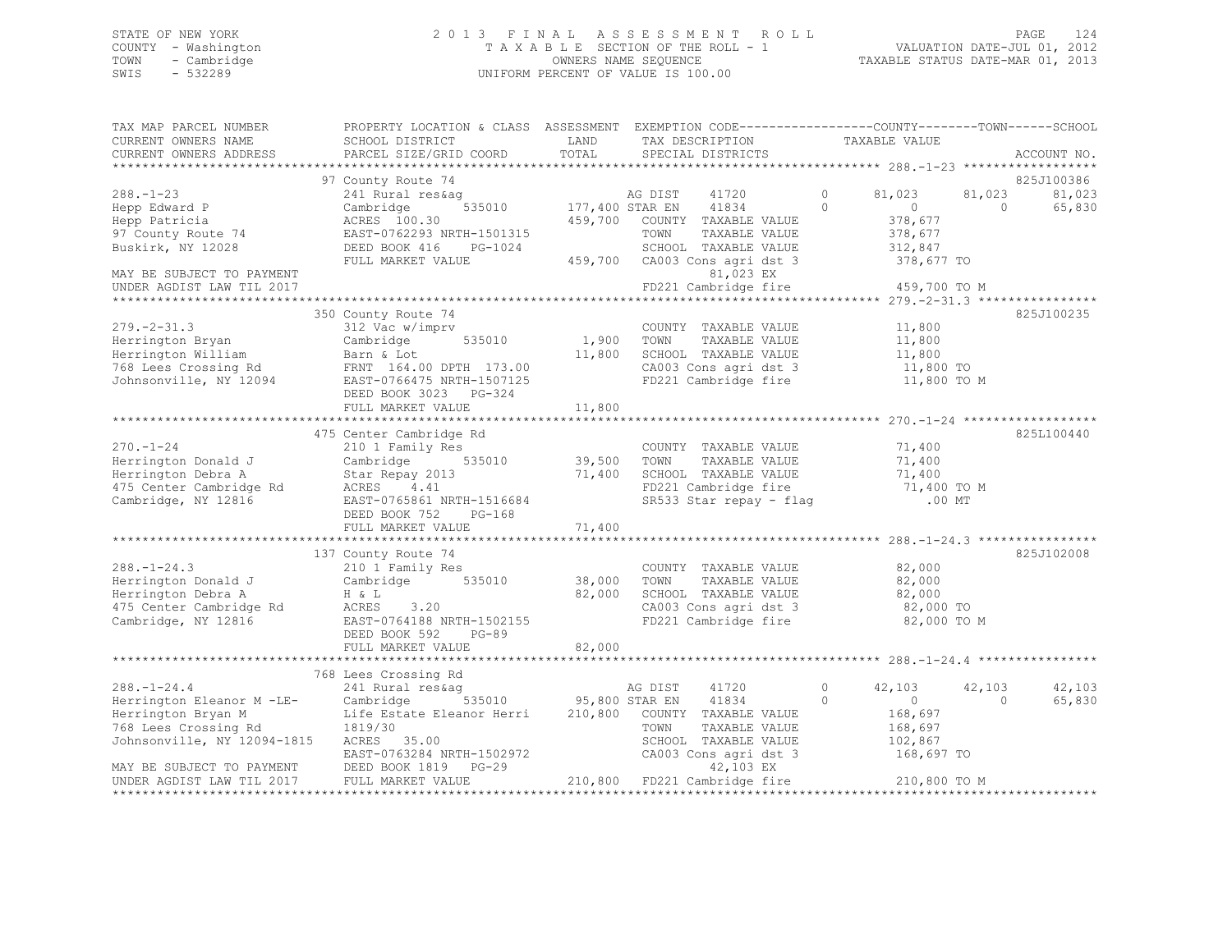## STATE OF NEW YORK PAGE 124<br>COUNTY - Washington 124 2013 FINAL ASSESSMENT ROLL - 1 [2012]<br>2012 - 2012 PAGE 12012 COUNTY - Washington T A X A B L E SECTION OF THE ROLL - 1 TOWN - Cambridge OWNERS NAME SEQUENCE TAXABLE STATUS DATE-MAR 01, 2013 UNIFORM PERCENT OF VALUE IS 100.00

| TAX MAP PARCEL NUMBER                                                                                                                        | PROPERTY LOCATION & CLASS ASSESSMENT EXEMPTION CODE----------------COUNTY-------TOWN------SCHOOL |         |                                                          |                            |          |             |
|----------------------------------------------------------------------------------------------------------------------------------------------|--------------------------------------------------------------------------------------------------|---------|----------------------------------------------------------|----------------------------|----------|-------------|
| CURRENT OWNERS NAME                                                                                                                          | SCHOOL DISTRICT                                                                                  | LAND    | TAX DESCRIPTION                                          | TAXABLE VALUE              |          |             |
| CURRENT OWNERS ADDRESS                                                                                                                       | PARCEL SIZE/GRID COORD                                                                           | TOTAL   | SPECIAL DISTRICTS                                        |                            |          | ACCOUNT NO. |
|                                                                                                                                              |                                                                                                  |         |                                                          |                            |          |             |
|                                                                                                                                              | 97 County Route 74                                                                               |         |                                                          |                            |          | 825J100386  |
| $288. - 1 - 23$                                                                                                                              | 241 Rural res&aq                                                                                 |         | AG DIST 41720<br>177,400 STAR EN 41834<br>41720          | $\circ$<br>81,023          | 81,023   | 81,023      |
| Hepp Edward P                                                                                                                                | 535010<br>Cambridge                                                                              |         |                                                          | $\Omega$<br>$\sim$ 0       | $\Omega$ | 65,830      |
| Hepp Patricia                                                                                                                                | ACRES 100.30                                                                                     | 459,700 | COUNTY TAXABLE VALUE                                     | 378,677                    |          |             |
| 97 County Route 74                                                                                                                           | EAST-0762293 NRTH-1501315                                                                        |         | TOWN<br>TAXABLE VALUE                                    | 378,677                    |          |             |
| Buskirk, NY 12028                                                                                                                            | DEED BOOK 416<br>PG-1024                                                                         |         | SCHOOL TAXABLE VALUE                                     | 312,847                    |          |             |
|                                                                                                                                              | FULL MARKET VALUE                                                                                |         | 459,700 CA003 Cons agri dst 3                            | 378,677 TO                 |          |             |
| MAY BE SUBJECT TO PAYMENT<br>UNDER AGDIST LAW TIL 2017                                                                                       |                                                                                                  |         | 81,023 EX<br>FD221 Cambridge fire                        | 459,700 TO M               |          |             |
|                                                                                                                                              |                                                                                                  |         |                                                          |                            |          |             |
|                                                                                                                                              | 350 County Route 74                                                                              |         |                                                          |                            |          | 825J100235  |
| $279. - 2 - 31.3$                                                                                                                            | 312 Vac w/imprv                                                                                  |         | COUNTY TAXABLE VALUE                                     | 11,800                     |          |             |
| Herrington Bryan                                                                                                                             | 535010<br>Cambridge                                                                              | 1,900   | TOWN<br>TAXABLE VALUE                                    | 11,800                     |          |             |
| Herrington William                                                                                                                           | Barn & Lot                                                                                       | 11,800  | SCHOOL TAXABLE VALUE                                     | 11,800                     |          |             |
|                                                                                                                                              |                                                                                                  |         | CA003 Cons agri dst 3                                    | 11,800 TO                  |          |             |
| 768 Lees Crossing Rd<br>768 Lees Crossing Rd<br>768 Lees Crossing Rd<br>768 Lees Crossing Rd<br>88T-0766475 NRTH-1507125                     |                                                                                                  |         | FD221 Cambridge fire                                     | 11,800 TO M                |          |             |
|                                                                                                                                              | DEED BOOK 3023 PG-324                                                                            |         |                                                          |                            |          |             |
|                                                                                                                                              | FULL MARKET VALUE                                                                                | 11,800  |                                                          |                            |          |             |
|                                                                                                                                              |                                                                                                  |         |                                                          |                            |          |             |
|                                                                                                                                              | 475 Center Cambridge Rd                                                                          |         |                                                          |                            |          | 825L100440  |
| $270. - 1 - 24$                                                                                                                              | 210 1 Family Res                                                                                 |         | COUNTY TAXABLE VALUE                                     | 71,400                     |          |             |
| Herrington Donald J                                                                                                                          | Cambridge                                                                                        |         | TOWN<br>TAXABLE VALUE                                    | 71,400                     |          |             |
| Herrington Debra A                                                                                                                           | Star Repay 2013                                                                                  | 71,400  | SCHOOL TAXABLE VALUE<br>FD221 Cambridge fire 51,400 TO M |                            |          |             |
| 475 Center Cambridge Rd                                                                                                                      | ACRES 4.41                                                                                       |         |                                                          |                            |          |             |
| Cambridge, NY 12816                                                                                                                          | EAST-0765861 NRTH-1516684                                                                        |         | SR533 Star repay - flag                                  | $.00$ MT                   |          |             |
|                                                                                                                                              | DEED BOOK 752 PG-168                                                                             |         |                                                          |                            |          |             |
|                                                                                                                                              | FULL MARKET VALUE                                                                                | 71,400  |                                                          |                            |          |             |
|                                                                                                                                              |                                                                                                  |         |                                                          |                            |          |             |
|                                                                                                                                              | 137 County Route 74                                                                              |         |                                                          |                            |          | 825J102008  |
| $288. - 1 - 24.3$                                                                                                                            | 210 1 Family Res                                                                                 |         | COUNTY TAXABLE VALUE                                     | 82,000                     |          |             |
| Herrington Donald J                                                                                                                          | 535010<br>Cambridge                                                                              | 38,000  | TAXABLE VALUE<br>TOWN                                    | 82,000                     |          |             |
| Herrington Debra A                                                                                                                           | H & L                                                                                            | 82,000  | SCHOOL TAXABLE VALUE                                     | 82,000                     |          |             |
| 475 Center Cambridge Rd                                                                                                                      | ACRES<br>3,20                                                                                    |         | CA003 Cons agri dst 3<br>FD221 Cambridge fire            | 82,000 TO                  |          |             |
| Cambridge, NY 12816                                                                                                                          | EAST-0764188 NRTH-1502155                                                                        |         |                                                          | 82,000 TO M                |          |             |
|                                                                                                                                              | DEED BOOK 592 PG-89                                                                              | 82,000  |                                                          |                            |          |             |
|                                                                                                                                              | FULL MARKET VALUE                                                                                |         |                                                          |                            |          |             |
|                                                                                                                                              | 768 Lees Crossing Rd                                                                             |         |                                                          |                            |          |             |
| $288. - 1 - 24.4$                                                                                                                            | 241 Rural res&ag                                                                                 |         | AG DIST<br>41720                                         | $\circ$<br>42,103          | 42,103   | 42,103      |
|                                                                                                                                              |                                                                                                  |         |                                                          | $\Omega$<br>$\overline{0}$ | $\Omega$ | 65,830      |
| Herrington Eleanor M -LE- Cambridge 535010 95,800 STAR EN 41834<br>Herrington Bryan M Life Estate Eleanor Herri 210,800 COUNTY TAXABLE VALUE |                                                                                                  |         |                                                          | 168,697                    |          |             |
| 768 Lees Crossing Rd                                                                                                                         | 1819/30                                                                                          |         | TOWN<br>TAXABLE VALUE                                    | 168,697                    |          |             |
| Johnsonville, NY 12094-1815                                                                                                                  | ACRES 35.00                                                                                      |         | SCHOOL TAXABLE VALUE                                     | 102,867                    |          |             |
|                                                                                                                                              | EAST-0763284 NRTH-1502972                                                                        |         | CA003 Cons agri dst 3                                    | 168,697 TO                 |          |             |
| MAY BE SUBJECT TO PAYMENT                                                                                                                    | DEED BOOK 1819 PG-29                                                                             |         | 42,103 EX                                                |                            |          |             |
| UNDER AGDIST LAW TIL 2017                                                                                                                    | FULL MARKET VALUE                                                                                |         | 210,800 FD221 Cambridge fire 210,800 TO M                |                            |          |             |
|                                                                                                                                              |                                                                                                  |         |                                                          |                            |          |             |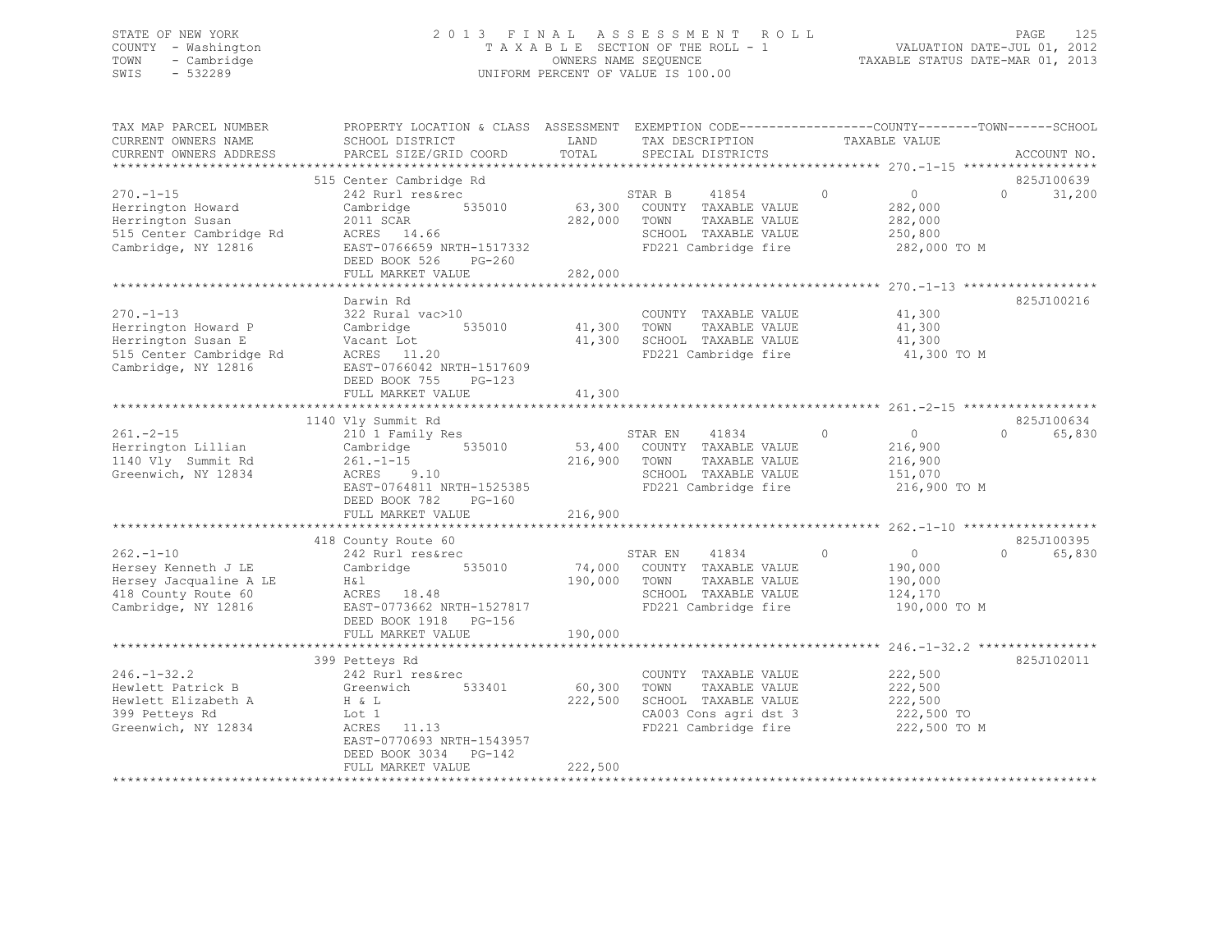### STATE OF NEW YORK 2 0 1 3 F I N A L A S S E S S M E N T R O L L PAGE 125 COUNTY - Washington T A X A B L E SECTION OF THE ROLL - 1 VALUATION DATE-JUL 01, 2012 TOWN - Cambridge OWNERS NAME SEQUENCE TAXABLE STATUS DATE-MAR 01, 2013 SWIS - 532289 UNIFORM PERCENT OF VALUE IS 100.00

| TAX MAP PARCEL NUMBER<br>CURRENT OWNERS NAME                                                                   | PROPERTY LOCATION & CLASS ASSESSMENT EXEMPTION CODE----------------COUNTY-------TOWN------SCHOOL<br>SCHOOL DISTRICT                                                        | LAND               | TAX DESCRIPTION                                                                                                                  | TAXABLE VALUE                                                              |                                  |
|----------------------------------------------------------------------------------------------------------------|----------------------------------------------------------------------------------------------------------------------------------------------------------------------------|--------------------|----------------------------------------------------------------------------------------------------------------------------------|----------------------------------------------------------------------------|----------------------------------|
| CURRENT OWNERS ADDRESS                                                                                         | PARCEL SIZE/GRID COORD                                                                                                                                                     | TOTAL              | SPECIAL DISTRICTS                                                                                                                |                                                                            | ACCOUNT NO.                      |
|                                                                                                                | 515 Center Cambridge Rd                                                                                                                                                    |                    |                                                                                                                                  |                                                                            | 825J100639                       |
| $270. - 1 - 15$<br>Herrington Howard<br>Herrington Susan<br>515 Center Cambridge Rd<br>Cambridge, NY 12816     | 242 Rurl res&rec<br>535010<br>Cambridge<br>2011 SCAR<br>ACRES 14.66<br>EAST-0766659 NRTH-1517332<br>DEED BOOK 526 PG-260<br>FULL MARKET VALUE                              | 282,000            | STAR B 41854<br>63,300 COUNTY TAXABLE VALUE<br>282,000 TOWN<br>TAXABLE VALUE<br>SCHOOL TAXABLE VALUE<br>FD221 Cambridge fire     | $\circ$<br>$\overline{0}$<br>282,000<br>282,000<br>250,800<br>282,000 TO M | $\Omega$<br>31,200               |
|                                                                                                                |                                                                                                                                                                            |                    |                                                                                                                                  |                                                                            |                                  |
| $270. - 1 - 13$<br>Herrington Howard P<br>Herrington Susan E<br>515 Center Cambridge Rd<br>Cambridge, NY 12816 | Darwin Rd<br>322 Rural vac>10<br>Cambridge<br>Vacant Lot<br>ACRES 11.20<br>EAST-0766042 NRTH-1517609<br>DEED BOOK 755 PG-123                                               | 535010 41,300 TOWN | COUNTY TAXABLE VALUE<br>TAXABLE VALUE<br>41,300 SCHOOL TAXABLE VALUE<br>FD221 Cambridge fire                                     | 41,300<br>41,300<br>41,300<br>41,300 TO M                                  | 825J100216                       |
|                                                                                                                | FULL MARKET VALUE                                                                                                                                                          | 41,300             |                                                                                                                                  |                                                                            |                                  |
| $261 - 2 - 15$<br>Herrington Lillian<br>1140 Vly Summit Rd<br>Greenwich, NY 12834                              | 1140 Vly Summit Rd<br>210 1 Family Res<br>Cambridge 535010<br>$261. - 1 - 15$<br>ACRES 9.10<br>EAST-0764811 NRTH-1525385<br>DEED BOOK 782<br>$PG-160$<br>FULL MARKET VALUE | 216,900            | STAR EN<br>41834<br>53,400 COUNTY TAXABLE VALUE<br>216,900 TOWN<br>TAXABLE VALUE<br>SCHOOL TAXABLE VALUE<br>FD221 Cambridge fire | $\circ$<br>$\overline{0}$<br>216,900<br>216,900<br>151,070<br>216,900 TO M | 825J100634<br>$\Omega$<br>65,830 |
|                                                                                                                | 418 County Route 60                                                                                                                                                        |                    |                                                                                                                                  |                                                                            | 825J100395                       |
| $262 - 1 - 10$<br>Hersey Kenneth J LE<br>Hersey Jacqualine A LE<br>418 County Route 60<br>Cambridge, NY 12816  | 242 Rurl res&rec<br>Cambridge 535010<br>H & l<br>ACRES 18.48<br>EAST-0773662 NRTH-1527817<br>DEED BOOK 1918 PG-156                                                         |                    | STAR EN 41834<br>74,000 COUNTY TAXABLE VALUE<br>190,000 TOWN<br>TAXABLE VALUE<br>SCHOOL TAXABLE VALUE<br>FD221 Cambridge fire    | $\circ$<br>$\overline{0}$<br>190,000<br>190,000<br>124,170<br>190,000 TO M | 65,830<br>$\Omega$               |
|                                                                                                                | FULL MARKET VALUE                                                                                                                                                          | 190,000            |                                                                                                                                  |                                                                            |                                  |
|                                                                                                                |                                                                                                                                                                            |                    |                                                                                                                                  |                                                                            |                                  |
| $246. - 1 - 32.2$<br>Hewlett Patrick B<br>Hewlett Elizabeth A<br>399 Petteys Rd<br>Greenwich, NY 12834         | 399 Petteys Rd<br>242 Rurl res&rec<br>533401<br>Greenwich<br>H & L<br>Lot 1<br>ACRES 11.13<br>EAST-0770693 NRTH-1543957<br>DEED BOOK 3034 PG-142                           | 60,300<br>222,500  | COUNTY TAXABLE VALUE<br>TOWN<br>TAXABLE VALUE<br>SCHOOL TAXABLE VALUE<br>CA003 Cons agri dst 3<br>FD221 Cambridge fire           | 222,500<br>222,500<br>222,500<br>222,500 TO<br>222,500 TO M                | 825J102011                       |
|                                                                                                                | FULL MARKET VALUE                                                                                                                                                          | 222,500            |                                                                                                                                  |                                                                            |                                  |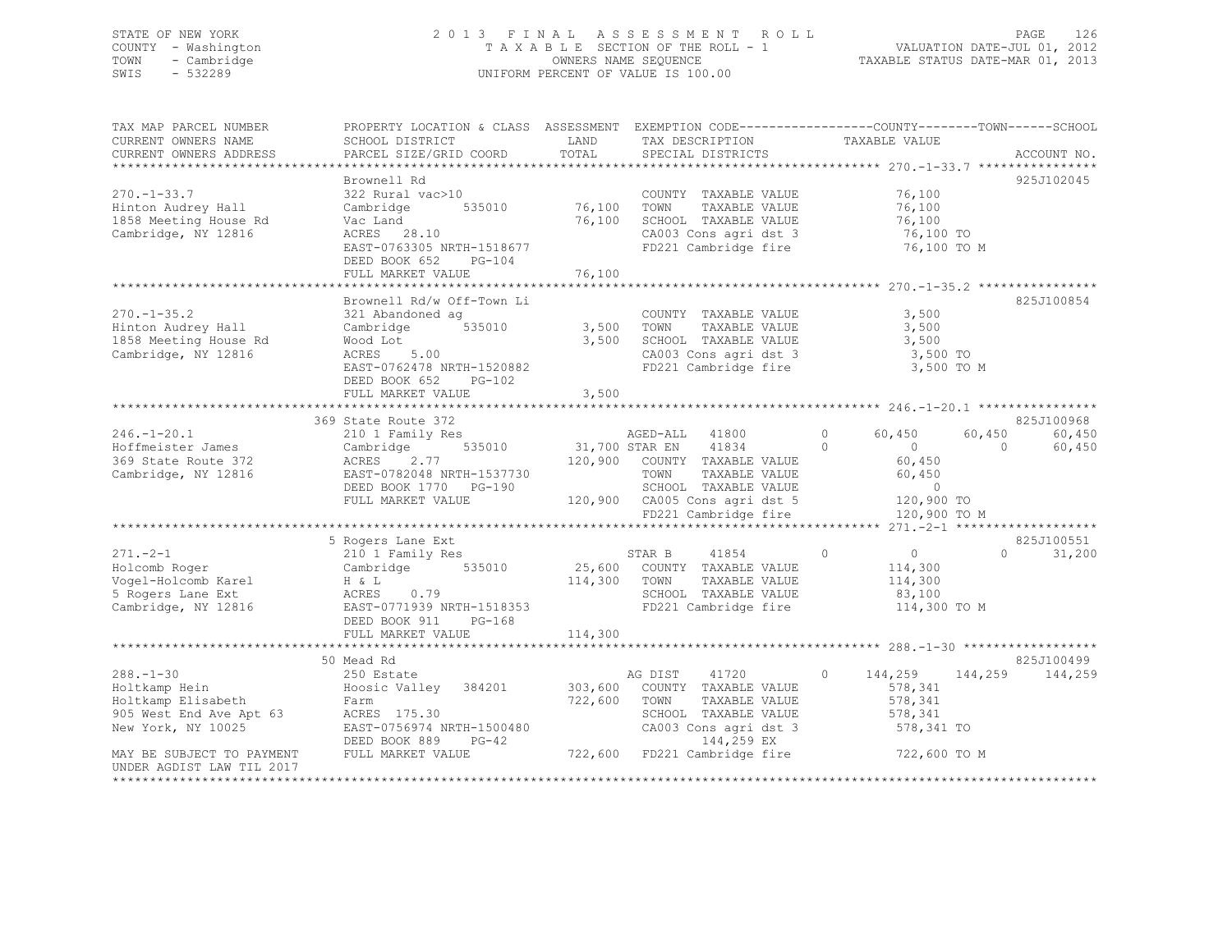### STATE OF NEW YORK 2 0 1 3 F I N A L A S S E S S M E N T R O L L PAGE 126 COUNTY - Washington T A X A B L E SECTION OF THE ROLL - 1 VALUATION DATE-JUL 01, 2012 TOWN - Cambridge OWNERS NAME SEQUENCE TAXABLE STATUS DATE-MAR 01, 2013 SWIS - 532289 UNIFORM PERCENT OF VALUE IS 100.00

| TAX MAP PARCEL NUMBER<br>CURRENT OWNERS NAME                                                                                                                                                                                                           | PROPERTY LOCATION & CLASS ASSESSMENT EXEMPTION CODE---------------COUNTY-------TOWN-----SCHOOL<br>SCHOOL DISTRICT                                                                                                                          |         | LAND TAX DESCRIPTION                                                | TAXABLE VALUE                              |                            |
|--------------------------------------------------------------------------------------------------------------------------------------------------------------------------------------------------------------------------------------------------------|--------------------------------------------------------------------------------------------------------------------------------------------------------------------------------------------------------------------------------------------|---------|---------------------------------------------------------------------|--------------------------------------------|----------------------------|
|                                                                                                                                                                                                                                                        |                                                                                                                                                                                                                                            |         |                                                                     |                                            |                            |
|                                                                                                                                                                                                                                                        |                                                                                                                                                                                                                                            |         |                                                                     |                                            |                            |
| $270. -1 - 33.7$<br>Hinton Audrey Hall<br>1858 Meeting House Rd<br>Cambridge, NY 12816                                                                                                                                                                 | 322 Kural vac>10<br>Cambridge 535010 76,100 TOWNY TAXABLE VALUE 76,100<br>Vac Land 76,100 TOWN TAXABLE VALUE 76,100<br>ACRES 28.10 76,100 SCHOOL TAXABLE VALUE 76,100<br>ACRES 28.10 CA003 Cons agri dst 3 76,100 TO<br>BAST-0763305 NRT   |         | CA003 Cons agri dst 3 76,100 TO<br>FD221 Cambridge fire 76,100 TO M |                                            | 925J102045                 |
|                                                                                                                                                                                                                                                        | DEED BOOK 652 PG-104                                                                                                                                                                                                                       |         |                                                                     |                                            |                            |
|                                                                                                                                                                                                                                                        |                                                                                                                                                                                                                                            |         |                                                                     |                                            |                            |
|                                                                                                                                                                                                                                                        |                                                                                                                                                                                                                                            |         |                                                                     |                                            |                            |
| $270. - 1 - 35.2$<br>z/v.-1-35.Z<br>Hinton Audrey Hall<br>1858 Meeting House Rd<br>Cambridge, NY 12816                                                                                                                                                 | Brownell Rd/w Off-Town Li<br>Wood Lot<br>ACRES 5.00<br>ACRES 5.00<br>EAST-0762478 NRTH-1520882<br>EAST-0762478 NRTH-1520882<br>CA003 Cons agri dst 3<br>FD221 Cambridge fire 3,500 TO<br>3,500 TO<br>DEED BOOK 652 PG-102                  |         | COUNTY TAXABLE VALUE                                                | 3,500<br>TAXABLE VALUE 3,500<br>3,500 TO M | 825J100854                 |
|                                                                                                                                                                                                                                                        |                                                                                                                                                                                                                                            |         |                                                                     |                                            |                            |
|                                                                                                                                                                                                                                                        |                                                                                                                                                                                                                                            |         |                                                                     |                                            |                            |
|                                                                                                                                                                                                                                                        |                                                                                                                                                                                                                                            |         |                                                                     |                                            | 825J100968                 |
| $246. - 1 - 20.1$<br>Hoffmeister James<br>369 State Route 372<br>Cambridge, NY 12816                                                                                                                                                                   | 369 State Route 372<br>210 1 Family Res 2.77<br>AGED-ALL 41800 0 60,450 ov,<br>Cambridge 535010 31,700 STAR EN 41834 0<br>ACRES 2.77 120,900 COUNTY TAXABLE VALUE 60,450<br>EAST-0782048 NRTH-1537730 TOWN TAXABLE VALUE 60,450<br>DEED BO |         |                                                                     | $\overline{0}$ 0<br>120,900 TO M           | 60,450<br>60,450<br>60,450 |
|                                                                                                                                                                                                                                                        |                                                                                                                                                                                                                                            |         |                                                                     |                                            |                            |
|                                                                                                                                                                                                                                                        | 5 Rogers Lane Ext                                                                                                                                                                                                                          |         |                                                                     |                                            | 825J100551                 |
|                                                                                                                                                                                                                                                        | DEED BOOK 911 PG-168                                                                                                                                                                                                                       |         |                                                                     |                                            | $\Omega$<br>31,200         |
|                                                                                                                                                                                                                                                        | FULL MARKET VALUE                                                                                                                                                                                                                          | 114,300 |                                                                     |                                            |                            |
|                                                                                                                                                                                                                                                        |                                                                                                                                                                                                                                            |         |                                                                     |                                            |                            |
| $288. - 1 - 30$<br>288.-1-30 250 Estate MG DIST 41720 0 144,259 144,2<br>Holtkamp Hein Hoosic Valley 384201 303,600 COUNTY TAXABLE VALUE 578,341<br>Holtkamp Elisabeth Farm 722,600 TOWN TAXABLE VALUE 578,341<br>905 West End Ave Apt 63 ACRES 175.30 | 50 Mead Rd<br>250 Estate                                                                                                                                                                                                                   |         | AG DIST                                                             | 41720 0 144,259 144,259                    | 825J100499<br>144,259      |
| UNDER AGDIST LAW TIL 2017                                                                                                                                                                                                                              |                                                                                                                                                                                                                                            |         |                                                                     |                                            |                            |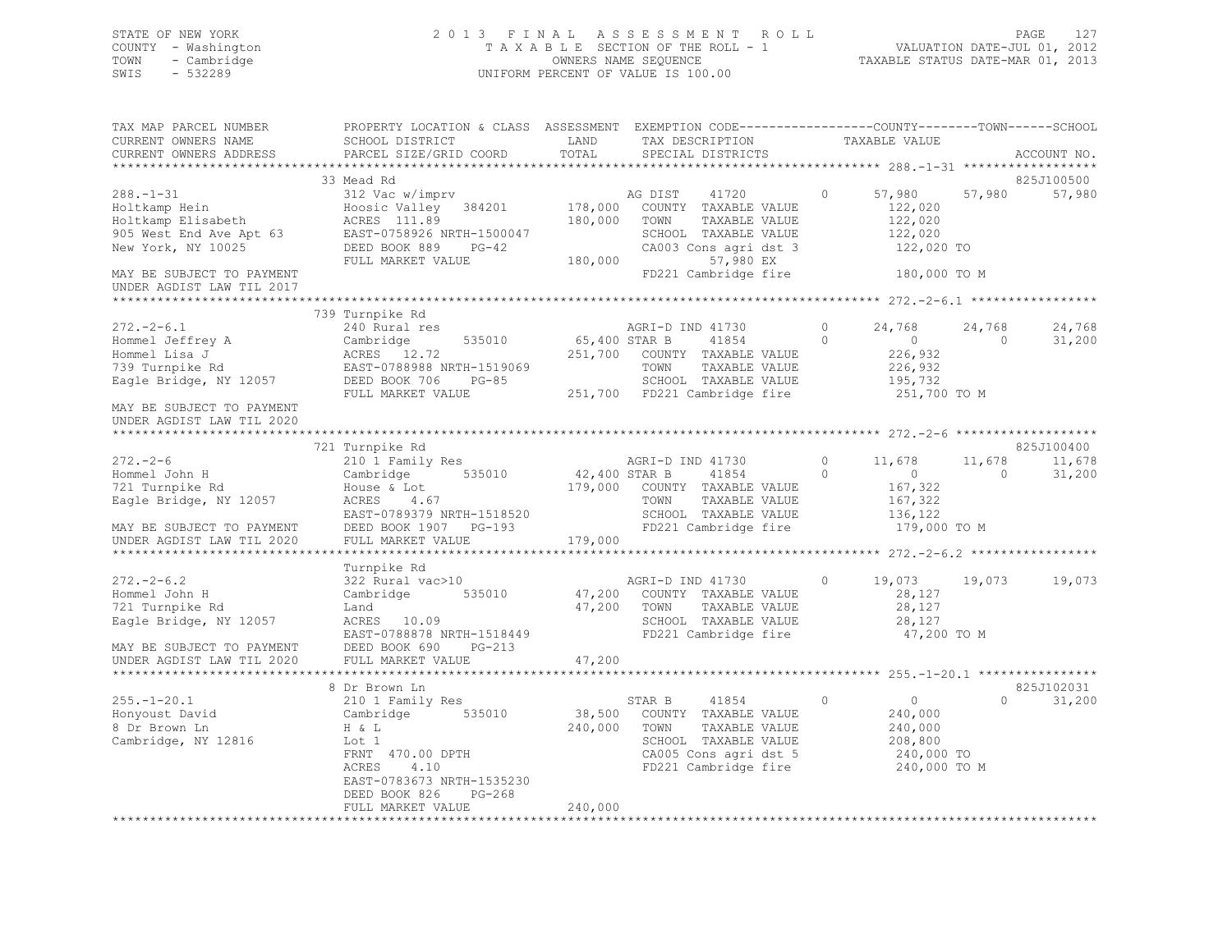### STATE OF NEW YORK 2 0 1 3 F I N A L A S S E S S M E N T R O L L PAGE 127 COUNTY - Washington T A X A B L E SECTION OF THE ROLL - 1 VALUATION DATE-JUL 01, 2012 TOWN - Cambridge OWNERS NAME SEQUENCE TAXABLE STATUS DATE-MAR 01, 2013 SWIS - 532289 UNIFORM PERCENT OF VALUE IS 100.00

| SCHOOL DISTRICT<br>PARCEL SIZE/GRID COORD                                                                                                                                  | LAND<br>TOTAL                                                                                                                                                    | TAX DESCRIPTION<br>SPECIAL DISTRICTS                                                                                 |                                                                                                                                                                                                                                            |                                                                                                                                                                                                                                                                                             |                         | ACCOUNT NO.                                                                                                                                                                                                                            |
|----------------------------------------------------------------------------------------------------------------------------------------------------------------------------|------------------------------------------------------------------------------------------------------------------------------------------------------------------|----------------------------------------------------------------------------------------------------------------------|--------------------------------------------------------------------------------------------------------------------------------------------------------------------------------------------------------------------------------------------|---------------------------------------------------------------------------------------------------------------------------------------------------------------------------------------------------------------------------------------------------------------------------------------------|-------------------------|----------------------------------------------------------------------------------------------------------------------------------------------------------------------------------------------------------------------------------------|
|                                                                                                                                                                            |                                                                                                                                                                  |                                                                                                                      |                                                                                                                                                                                                                                            |                                                                                                                                                                                                                                                                                             |                         |                                                                                                                                                                                                                                        |
| 312 Vac w/imprv<br>Hoosic Valley 384201<br>ACRES 111.89<br>EAST-0758926 NRTH-1500047<br>DEED BOOK 889<br>$PG-42$<br>FULL MARKET VALUE                                      | 180,000                                                                                                                                                          | 41720<br>COUNTY TAXABLE VALUE<br>TOWN<br>TAXABLE VALUE<br>SCHOOL TAXABLE VALUE<br>CA003 Cons agri dst 3<br>57,980 EX | $\circ$                                                                                                                                                                                                                                    | 57,980<br>122,020<br>122,020<br>122,020                                                                                                                                                                                                                                                     | 57,980                  | 825J100500<br>57,980                                                                                                                                                                                                                   |
|                                                                                                                                                                            |                                                                                                                                                                  |                                                                                                                      |                                                                                                                                                                                                                                            |                                                                                                                                                                                                                                                                                             |                         |                                                                                                                                                                                                                                        |
|                                                                                                                                                                            |                                                                                                                                                                  |                                                                                                                      |                                                                                                                                                                                                                                            |                                                                                                                                                                                                                                                                                             |                         |                                                                                                                                                                                                                                        |
| 240 Rural res<br>Cambridge<br>535010<br>ACRES 12.72<br>EAST-0788988 NRTH-1519069<br>DEED BOOK 706<br>$PG-85$<br>FULL MARKET VALUE                                          |                                                                                                                                                                  | AGRI-D IND 41730<br>41854<br>TOWN                                                                                    | $\circ$<br>$\Omega$                                                                                                                                                                                                                        | 24,768<br>$\overline{0}$<br>226,932<br>226,932<br>195,732                                                                                                                                                                                                                                   | 24,768<br>$\bigcirc$    | 24,768<br>31,200                                                                                                                                                                                                                       |
|                                                                                                                                                                            |                                                                                                                                                                  |                                                                                                                      |                                                                                                                                                                                                                                            |                                                                                                                                                                                                                                                                                             |                         |                                                                                                                                                                                                                                        |
|                                                                                                                                                                            |                                                                                                                                                                  |                                                                                                                      |                                                                                                                                                                                                                                            |                                                                                                                                                                                                                                                                                             |                         |                                                                                                                                                                                                                                        |
| 721 Turnpike Rd                                                                                                                                                            |                                                                                                                                                                  |                                                                                                                      |                                                                                                                                                                                                                                            |                                                                                                                                                                                                                                                                                             |                         | 825J100400                                                                                                                                                                                                                             |
| Cambridge 535010<br>House & Lot<br>$ACRES$ 4.67<br>DEED BOOK 1907 PG-193<br>FULL MARKET VALUE                                                                              |                                                                                                                                                                  | 41854<br>TOWN                                                                                                        | $\circ$                                                                                                                                                                                                                                    | $\sim$ 0<br>167,322<br>167,322<br>136,122                                                                                                                                                                                                                                                   | $\Omega$                | 11,678<br>31,200                                                                                                                                                                                                                       |
|                                                                                                                                                                            |                                                                                                                                                                  |                                                                                                                      |                                                                                                                                                                                                                                            |                                                                                                                                                                                                                                                                                             |                         |                                                                                                                                                                                                                                        |
| 322 Rural vac>10<br>Cambridge<br>535010<br>Land<br>ACRES 10.09<br>PG-213<br>DEED BOOK 690                                                                                  |                                                                                                                                                                  |                                                                                                                      | $\circ$                                                                                                                                                                                                                                    | 28,127<br>28,127<br>28,127                                                                                                                                                                                                                                                                  |                         | 19,073                                                                                                                                                                                                                                 |
|                                                                                                                                                                            |                                                                                                                                                                  |                                                                                                                      |                                                                                                                                                                                                                                            |                                                                                                                                                                                                                                                                                             |                         |                                                                                                                                                                                                                                        |
| 210 1 Family Res<br>Cambridge 535010<br>H & L<br>Lot 1<br>FRNT 470.00 DPTH<br>4.10<br>ACRES<br>EAST-0783673 NRTH-1535230<br>DEED BOOK 826<br>$PG-268$<br>FULL MARKET VALUE | 240,000<br>240,000                                                                                                                                               | 41854<br>STAR B<br>COUNTY TAXABLE VALUE<br>TOWN<br>TAXABLE VALUE<br>SCHOOL TAXABLE VALUE                             | $\circ$                                                                                                                                                                                                                                    | $\overline{0}$<br>240,000<br>240,000<br>208,800                                                                                                                                                                                                                                             | $\Omega$                | 825J102031<br>31,200                                                                                                                                                                                                                   |
|                                                                                                                                                                            | 33 Mead Rd<br>739 Turnpike Rd<br>210 1 Family Res<br>Turnpike Rd<br>MAY BE SUBJECT TO PAYMENT<br>UNDER AGDIST LAW TIL 2020<br>FULL MARKET VALUE<br>8 Dr Brown Ln | EAST-0789379 NRTH-1518520<br>EAST-0788878 NRTH-1518449<br>47,200                                                     | AG DIST<br>178,000<br>180,000<br>65,400 STAR B<br>251,700 COUNTY TAXABLE VALUE<br>AGRI-D IND 41730<br>42,400 STAR B<br>179,000 COUNTY TAXABLE VALUE<br>179,000<br>AGRI-D IND 41730<br>47,200 COUNTY TAXABLE VALUE<br>47,200 TOWN<br>38,500 | FD221 Cambridge fire<br>TAXABLE VALUE<br>SCHOOL TAXABLE VALUE<br>251,700 FD221 Cambridge fire<br>$\circ$<br>TAXABLE VALUE<br>SCHOOL TAXABLE VALUE<br>FD221 Cambridge fire<br>TAXABLE VALUE<br>SCHOOL TAXABLE VALUE<br>FD221 Cambridge fire<br>CA005 Cons agri dst 5<br>FD221 Cambridge fire | TAXABLE VALUE<br>11,678 | PROPERTY LOCATION & CLASS ASSESSMENT EXEMPTION CODE----------------COUNTY-------TOWN------SCHOOL<br>122,020 TO<br>180,000 TO M<br>251,700 TO M<br>11,678<br>179,000 TO M<br>19,073 19,073<br>47,200 TO M<br>240,000 TO<br>240,000 TO M |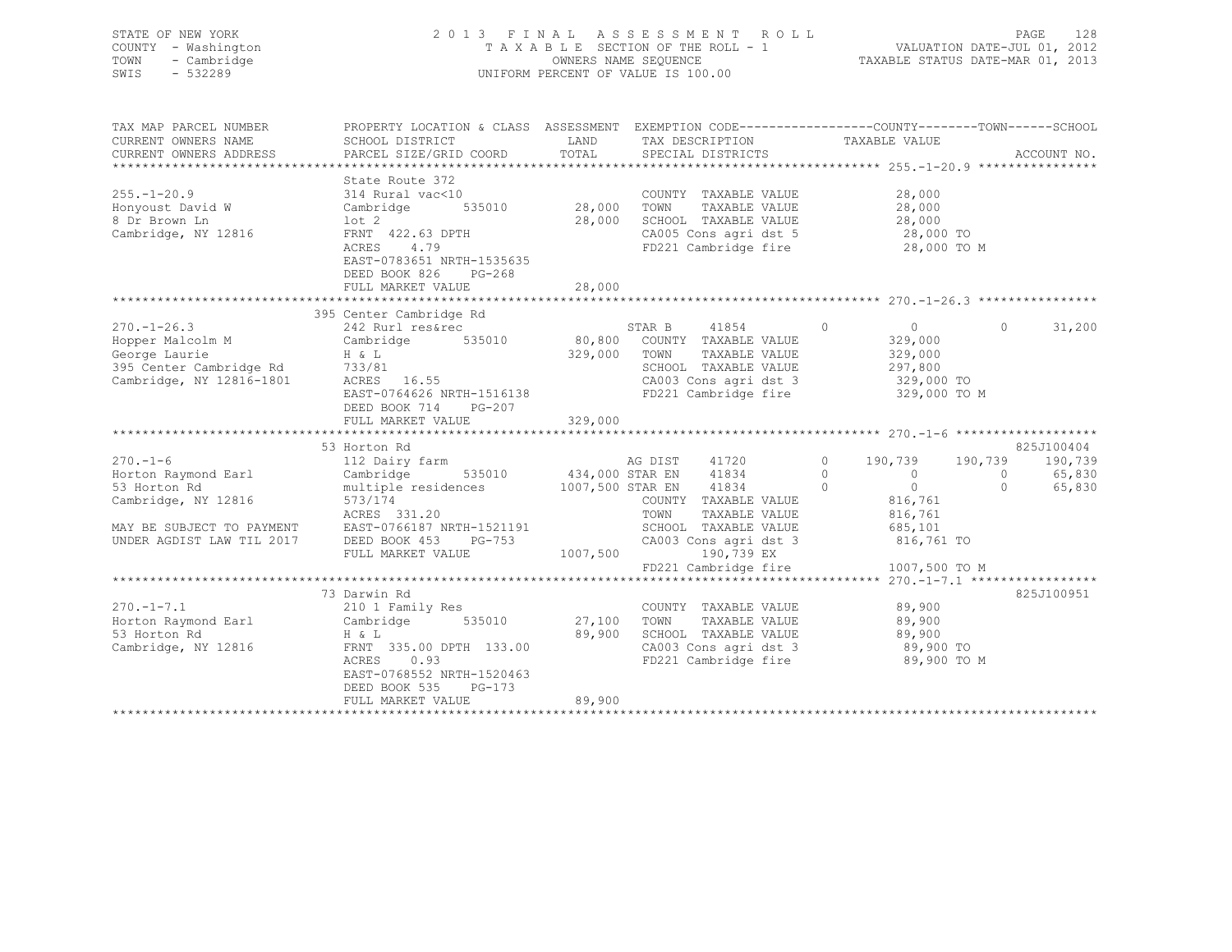### STATE OF NEW YORK 2 0 1 3 F I N A L A S S E S S M E N T R O L L PAGE 128 COUNTY - Washington T A X A B L E SECTION OF THE ROLL - 1 VALUATION DATE-JUL 01, 2012 TOWN - Cambridge OWNERS NAME SEQUENCE TAXABLE STATUS DATE-MAR 01, 2013 SWIS - 532289 UNIFORM PERCENT OF VALUE IS 100.00

| TAX MAP PARCEL NUMBER                                            | PROPERTY LOCATION & CLASS ASSESSMENT EXEMPTION CODE---------------COUNTY-------TOWN------SCHOOL |          |                                                |                            |          |                 |
|------------------------------------------------------------------|-------------------------------------------------------------------------------------------------|----------|------------------------------------------------|----------------------------|----------|-----------------|
| CURRENT OWNERS NAME                                              | SCHOOL DISTRICT                                                                                 | LAND     | TAX DESCRIPTION                                | TAXABLE VALUE              |          |                 |
| CURRENT OWNERS ADDRESS                                           | PARCEL SIZE/GRID COORD                                                                          | TOTAL    | SPECIAL DISTRICTS                              |                            |          | ACCOUNT NO.     |
|                                                                  |                                                                                                 |          |                                                |                            |          |                 |
|                                                                  | State Route 372                                                                                 |          |                                                |                            |          |                 |
| $255. - 1 - 20.9$                                                | 314 Rural vac<10                                                                                |          | COUNTY TAXABLE VALUE                           | 28,000                     |          |                 |
| Honyoust David W                                                 | 535010<br>Cambridge                                                                             | 28,000   | TOWN<br>TAXABLE VALUE                          | 28,000                     |          |                 |
| 8 Dr Brown Ln                                                    | lot 2                                                                                           | 28,000   | SCHOOL TAXABLE VALUE                           | 28,000                     |          |                 |
| Cambridge, NY 12816                                              | FRNT 422.63 DPTH                                                                                |          | CA005 Cons agri dst 5 28,000 TO                |                            |          |                 |
|                                                                  | 4.79<br>ACRES                                                                                   |          | FD221 Cambridge fire                           | 28,000 TO M                |          |                 |
|                                                                  | EAST-0783651 NRTH-1535635                                                                       |          |                                                |                            |          |                 |
|                                                                  | DEED BOOK 826<br>PG-268                                                                         |          |                                                |                            |          |                 |
|                                                                  | FULL MARKET VALUE                                                                               | 28,000   |                                                |                            |          |                 |
|                                                                  |                                                                                                 |          |                                                |                            |          |                 |
|                                                                  | 395 Center Cambridge Rd                                                                         |          |                                                |                            |          |                 |
| $270. - 1 - 26.3$                                                | 242 Rurl res&rec                                                                                |          | STAR B 41854                                   | $\circ$<br>$\overline{0}$  | $\Omega$ | 31,200          |
| Hopper Malcolm M                                                 | Cambridge 535010                                                                                |          | 80,800 COUNTY TAXABLE VALUE                    | 329,000                    |          |                 |
| George Laurie                                                    | $H \& L$                                                                                        | 329,000  | TOWN<br>TAXABLE VALUE                          | 329,000                    |          |                 |
| 395 Center Cambridge Rd 733/81<br>Cambridge. NY 12816-1801 ACRES |                                                                                                 |          | SCHOOL TAXABLE VALUE                           | 297,800                    |          |                 |
| Cambridge, NY 12816-1801                                         | ACRES 16.55                                                                                     |          | CA003 Cons agri dst 3<br>CA003 Cons agri dst 3 | $291,000$ TO<br>329,000 TO |          |                 |
|                                                                  | EAST-0764626 NRTH-1516138                                                                       |          | FD221 Cambridge fire 329,000 TO M              |                            |          |                 |
|                                                                  | DEED BOOK 714<br>PG-207                                                                         |          |                                                |                            |          |                 |
|                                                                  | FULL MARKET VALUE                                                                               | 329,000  |                                                |                            |          |                 |
|                                                                  |                                                                                                 |          |                                                |                            |          |                 |
|                                                                  | 53 Horton Rd                                                                                    |          |                                                |                            |          | 825J100404      |
| $270. - 1 - 6$                                                   | 112 Dairy farm                                                                                  |          | AG DIST 41720                                  | $\sim$ 0<br>190,739        |          | 190,739 190,739 |
| Horton Raymond Earl                                              | Cambridge                                                                                       |          | 535010 434,000 STAR EN 41834                   | $\Omega$<br>$\overline{0}$ | $\Omega$ | 65,830          |
| 53 Horton Rd                                                     | multiple residences 1007,500 STAR EN 41834                                                      |          |                                                | $\overline{0}$<br>$\sim$ 0 | $\Omega$ | 65,830          |
| Cambridge, NY 12816                                              | 573/174                                                                                         |          | COUNTY TAXABLE VALUE                           | 816,761                    |          |                 |
|                                                                  | ACRES 331.20                                                                                    |          | TOWN<br>TAXABLE VALUE                          | 816,761                    |          |                 |
| MAY BE SUBJECT TO PAYMENT<br>UNDER AGDIST LAW TIL 2017           | EAST-0766187 NRTH-1521191                                                                       |          | SCHOOL TAXABLE VALUE                           | 685,101                    |          |                 |
|                                                                  | PG-753<br>DEED BOOK 453                                                                         |          | CA003 Cons agri dst 3                          | 816,761 TO                 |          |                 |
|                                                                  | FULL MARKET VALUE                                                                               | 1007,500 | 190,739 EX                                     |                            |          |                 |
|                                                                  |                                                                                                 |          | FD221 Cambridge fire                           | 1007,500 TO M              |          |                 |
|                                                                  |                                                                                                 |          |                                                |                            |          |                 |
|                                                                  | 73 Darwin Rd                                                                                    |          |                                                |                            |          | 825J100951      |
| $270. -1 - 7.1$                                                  | 210 1 Family Res                                                                                |          | COUNTY TAXABLE VALUE                           | 89,900                     |          |                 |
| Horton Raymond Earl                                              | Cambridge<br>535010                                                                             | 27,100   | TOWN<br>TAXABLE VALUE                          | 89,900                     |          |                 |
| 53 Horton Rd                                                     | H & L                                                                                           | 89,900   | SCHOOL TAXABLE VALUE                           | 89,900                     |          |                 |
| Cambridge, NY 12816                                              | FRNT 335.00 DPTH 133.00                                                                         |          | CA003 Cons agri dst 3                          | 89,900 TO                  |          |                 |
|                                                                  | ACRES<br>0.93                                                                                   |          | FD221 Cambridge fire                           | 89,900 TO M                |          |                 |
|                                                                  | EAST-0768552 NRTH-1520463                                                                       |          |                                                |                            |          |                 |
|                                                                  | DEED BOOK 535<br>$PG-173$                                                                       |          |                                                |                            |          |                 |
|                                                                  | FULL MARKET VALUE                                                                               | 89,900   |                                                |                            |          |                 |
|                                                                  |                                                                                                 |          |                                                |                            |          |                 |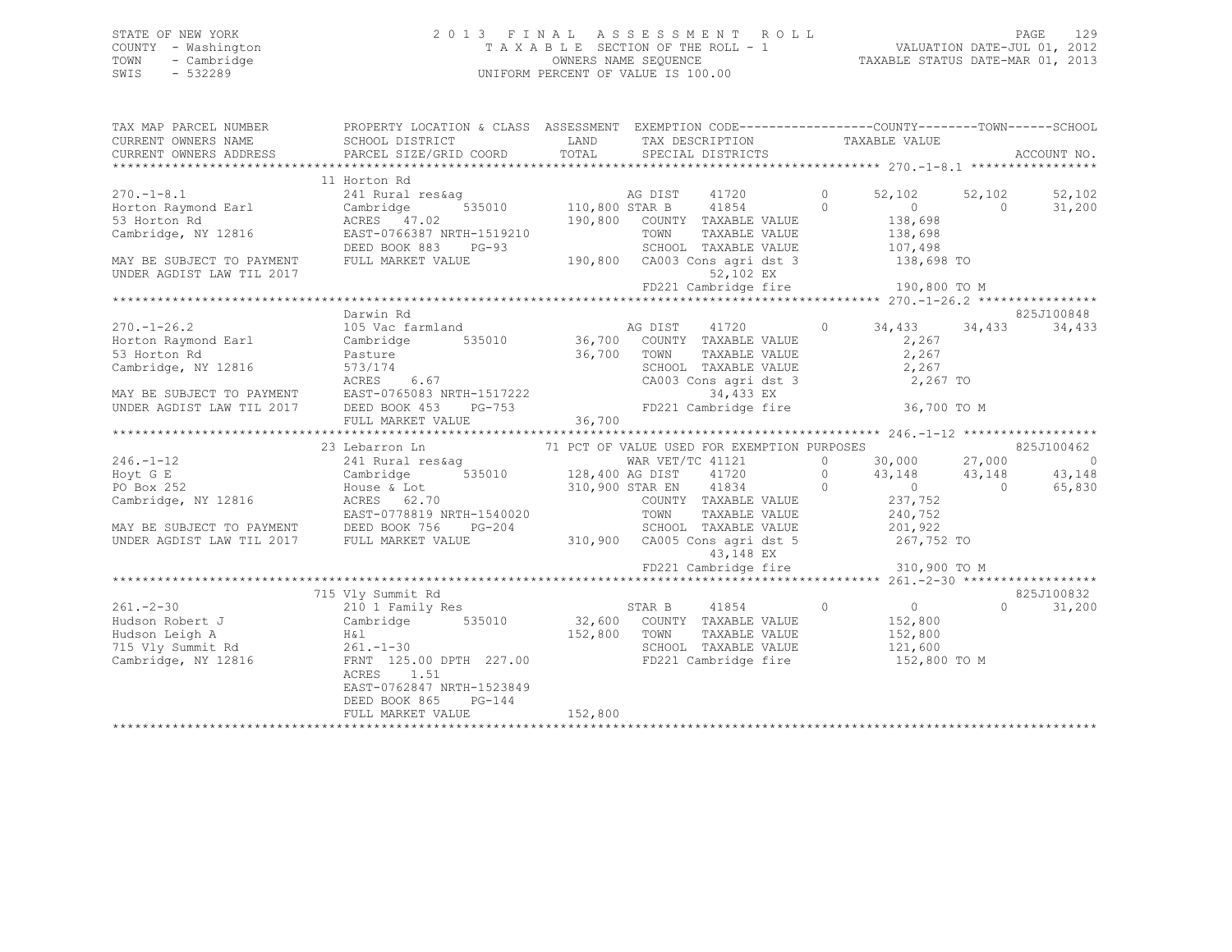### STATE OF NEW YORK 2 0 1 3 F I N A L A S S E S S M E N T R O L L PAGE 129 COUNTY - Washington T A X A B L E SECTION OF THE ROLL - 1 VALUATION DATE-JUL 01, 2012 TOWN - Cambridge OWNERS NAME SEQUENCE TAXABLE STATUS DATE-MAR 01, 2013 SWIS - 532289 UNIFORM PERCENT OF VALUE IS 100.00

| TAX MAP PARCEL NUMBER<br>CURRENT OWNERS NAME                                                      | PROPERTY LOCATION & CLASS ASSESSMENT EXEMPTION CODE---------------COUNTY-------TOWN-----SCHOOL<br>SCHOOL DISTRICT                                                                                                                                                                                                                                                                                                        |              | LAND TAX DESCRIPTION                                                                                                                                                                                                                              | TAXABLE VALUE             |                     |                |
|---------------------------------------------------------------------------------------------------|--------------------------------------------------------------------------------------------------------------------------------------------------------------------------------------------------------------------------------------------------------------------------------------------------------------------------------------------------------------------------------------------------------------------------|--------------|---------------------------------------------------------------------------------------------------------------------------------------------------------------------------------------------------------------------------------------------------|---------------------------|---------------------|----------------|
| CURRENT OWNERS ADDRESS                                                                            | PARCEL SIZE/GRID COORD                                                                                                                                                                                                                                                                                                                                                                                                   |              | TOTAL SPECIAL DISTRICTS                                                                                                                                                                                                                           |                           |                     | ACCOUNT NO.    |
|                                                                                                   | 11 Horton Rd                                                                                                                                                                                                                                                                                                                                                                                                             |              |                                                                                                                                                                                                                                                   |                           |                     |                |
| $270. - 1 - 8.1$                                                                                  | 241 Rural res&aq                                                                                                                                                                                                                                                                                                                                                                                                         |              | $\begin{tabular}{lllllllll} \texttt{res\&ag} & \texttt{AG DIST} & 41/zv \\ & 535010 & 110,800 \texttt{STAR B} & 41854 \\ & 190,800 & \texttt{COUNTY} & \texttt{TAXABLE VALUE} \\ \texttt{TAXABLE VALUE} & \texttt{TAXABLE VALUE} & \end{tabular}$ | $\circ$<br>52,102         | 52,102              | 52,102         |
| Horton Raymond Earl                                                                               |                                                                                                                                                                                                                                                                                                                                                                                                                          |              |                                                                                                                                                                                                                                                   | $\circ$                   |                     | 31,200         |
| 53 Horton Rd                                                                                      | Cambridge<br>ACRES 47<br>ACRES 47.02                                                                                                                                                                                                                                                                                                                                                                                     |              |                                                                                                                                                                                                                                                   | 138,698                   |                     |                |
| Cambridge, NY 12816                                                                               | EAST-0766387 NRTH-1519210                                                                                                                                                                                                                                                                                                                                                                                                |              | TAXABLE VALUE                                                                                                                                                                                                                                     |                           |                     |                |
|                                                                                                   | DEED BOOK 883 PG-93<br>FIILT MADYSE CO                                                                                                                                                                                                                                                                                                                                                                                   |              |                                                                                                                                                                                                                                                   | 138,698<br>107,498        |                     |                |
| MAY BE SUBJECT TO PAYMENT                                                                         | FULL MARKET VALUE                                                                                                                                                                                                                                                                                                                                                                                                        |              | $-93$ SCHOOL TAXABLE VALUE $107,498$<br>190,800 CA003 Cons agri dst 3 138,698 TO                                                                                                                                                                  |                           |                     |                |
| UNDER AGDIST LAW TIL 2017                                                                         |                                                                                                                                                                                                                                                                                                                                                                                                                          |              | 52,102 EX                                                                                                                                                                                                                                         |                           |                     |                |
|                                                                                                   |                                                                                                                                                                                                                                                                                                                                                                                                                          |              | 52,102 BA<br>FD221 Cambridge fire 190,800 TO M                                                                                                                                                                                                    |                           |                     |                |
|                                                                                                   | $\texttt{FD221} \texttt{Cambridge} \texttt{fire} \texttt{190,800} \texttt{TO} \texttt{M} \texttt{m} \texttt{m} \texttt{m} \texttt{m} \texttt{m} \texttt{m} \texttt{m} \texttt{m} \texttt{m} \texttt{m} \texttt{m} \texttt{m} \texttt{m} \texttt{m} \texttt{m} \texttt{m} \texttt{m} \texttt{m} \texttt{m} \texttt{m} \texttt{m} \texttt{m} \texttt{m} \texttt{m} \texttt{m} \texttt{m} \texttt{m} \texttt{m} \texttt{m}$ |              |                                                                                                                                                                                                                                                   |                           |                     |                |
|                                                                                                   | Darwin Rd                                                                                                                                                                                                                                                                                                                                                                                                                |              |                                                                                                                                                                                                                                                   |                           |                     | 825J100848     |
| $270. - 1 - 26.2$                                                                                 | 105 Vac farmland                                                                                                                                                                                                                                                                                                                                                                                                         |              | AG DIST<br>41720                                                                                                                                                                                                                                  | $\circ$<br>34,433         | 34,433              | 34,433         |
| Horton Raymond Earl                                                                               | Cambridge                                                                                                                                                                                                                                                                                                                                                                                                                |              | 535010 36,700 COUNTY TAXABLE VALUE                                                                                                                                                                                                                | 2,267                     |                     |                |
| 53 Horton Rd                                                                                      | Pasture                                                                                                                                                                                                                                                                                                                                                                                                                  | 36,700 TOWN  | TAXABLE VALUE                                                                                                                                                                                                                                     | 2,267                     |                     |                |
| Cambridge, NY 12816                                                                               | 573/174                                                                                                                                                                                                                                                                                                                                                                                                                  |              | SCHOOL TAXABLE VALUE 2,267                                                                                                                                                                                                                        |                           |                     |                |
|                                                                                                   | ACRES 6.67                                                                                                                                                                                                                                                                                                                                                                                                               |              | CA003 Cons agri dst 3                                                                                                                                                                                                                             | 2,267 TO                  |                     |                |
|                                                                                                   |                                                                                                                                                                                                                                                                                                                                                                                                                          |              | 34,433 EX                                                                                                                                                                                                                                         |                           |                     |                |
| ACRES 6.6/<br>MAY BE SUBJECT TO PAYMENT EAST-0765083 N<br>UNDER AGDIST LAW TIL 2017 DEED BOOK 453 | EAST-0765083 NRTH-1517222<br>DEED BOOK 453 PG-753<br>FUIJ MIRWER WILLER                                                                                                                                                                                                                                                                                                                                                  |              | FD221 Cambridge fire 36,700 TO M                                                                                                                                                                                                                  |                           |                     |                |
|                                                                                                   |                                                                                                                                                                                                                                                                                                                                                                                                                          |              |                                                                                                                                                                                                                                                   |                           |                     |                |
|                                                                                                   |                                                                                                                                                                                                                                                                                                                                                                                                                          |              |                                                                                                                                                                                                                                                   |                           |                     |                |
| $246. -1 - 12$                                                                                    | 23 Lebarron Ln                                                                                                                                                                                                                                                                                                                                                                                                           |              | 71 PCT OF VALUE USED FOR EXEMPTION PURPOSES                                                                                                                                                                                                       |                           |                     | 825J100462     |
|                                                                                                   |                                                                                                                                                                                                                                                                                                                                                                                                                          |              | WAR VET/TC 41121 0 30,000                                                                                                                                                                                                                         |                           | 27,000              | $\overline{0}$ |
|                                                                                                   |                                                                                                                                                                                                                                                                                                                                                                                                                          |              |                                                                                                                                                                                                                                                   | $\overline{0}$            | $43, 148$ $43, 148$ | 43,148         |
|                                                                                                   |                                                                                                                                                                                                                                                                                                                                                                                                                          |              | 310,900 STAR EN 41834<br>$\sim$ 0                                                                                                                                                                                                                 | $0$<br>237,752            | $\overline{0}$      | 65,830         |
|                                                                                                   |                                                                                                                                                                                                                                                                                                                                                                                                                          |              | COUNTY TAXABLE VALUE                                                                                                                                                                                                                              |                           |                     |                |
|                                                                                                   |                                                                                                                                                                                                                                                                                                                                                                                                                          |              | TOWN                                                                                                                                                                                                                                              | TAXABLE VALUE 240,752     |                     |                |
|                                                                                                   |                                                                                                                                                                                                                                                                                                                                                                                                                          |              |                                                                                                                                                                                                                                                   |                           |                     |                |
|                                                                                                   | PO Box 252<br>Cambridge, NY 12816<br>Cambridge, NY 12816<br>MAY BE SUBJECT TO PAYMENT<br>DEED BOOK 756 PG-204<br>UNDER AGDIST LAW TIL 2017<br>PULL MARKET VALUE                                                                                                                                                                                                                                                          |              | 310,900 SCHOOL TAXABLE VALUE 201,922<br>310,900 CA005 Cons agri dst 5 267,752 TO<br>43,148 EX                                                                                                                                                     |                           |                     |                |
|                                                                                                   |                                                                                                                                                                                                                                                                                                                                                                                                                          |              |                                                                                                                                                                                                                                                   |                           |                     |                |
|                                                                                                   |                                                                                                                                                                                                                                                                                                                                                                                                                          |              | FD221 Cambridge fire 310,900 TO M                                                                                                                                                                                                                 |                           |                     |                |
|                                                                                                   |                                                                                                                                                                                                                                                                                                                                                                                                                          |              |                                                                                                                                                                                                                                                   |                           |                     |                |
|                                                                                                   | 715 Vly Summit Rd                                                                                                                                                                                                                                                                                                                                                                                                        |              |                                                                                                                                                                                                                                                   |                           |                     | 825J100832     |
| $261 - 2 - 30$<br>Hudson Robert J                                                                 | 210 1 Family Res                                                                                                                                                                                                                                                                                                                                                                                                         |              | 41854<br>STAR B                                                                                                                                                                                                                                   | $\circ$<br>$\overline{0}$ | $\Omega$            | 31,200         |
|                                                                                                   | Cambridge 535010 32,600 COUNTY TAXABLE VALUE                                                                                                                                                                                                                                                                                                                                                                             |              |                                                                                                                                                                                                                                                   | 152,800                   |                     |                |
| Hudson Leigh A<br>715 Vly Summit Rd                                                               | H&l                                                                                                                                                                                                                                                                                                                                                                                                                      | 152,800 TOWN | TAXABLE VALUE                                                                                                                                                                                                                                     | 152,800                   |                     |                |
|                                                                                                   | $261. - 1 - 30$                                                                                                                                                                                                                                                                                                                                                                                                          |              | SCHOOL TAXABLE VALUE                                                                                                                                                                                                                              | 121,600                   |                     |                |
| Cambridge, NY 12816                                                                               | FRNT 125.00 DPTH 227.00<br>ACRES 1.51                                                                                                                                                                                                                                                                                                                                                                                    |              | FD221 Cambridge fire 152,800 TO M                                                                                                                                                                                                                 |                           |                     |                |
|                                                                                                   | EAST-0762847 NRTH-1523849                                                                                                                                                                                                                                                                                                                                                                                                |              |                                                                                                                                                                                                                                                   |                           |                     |                |
|                                                                                                   | DEED BOOK 865<br>$PG-144$                                                                                                                                                                                                                                                                                                                                                                                                |              |                                                                                                                                                                                                                                                   |                           |                     |                |
|                                                                                                   | FULL MARKET VALUE                                                                                                                                                                                                                                                                                                                                                                                                        | 152,800      |                                                                                                                                                                                                                                                   |                           |                     |                |
|                                                                                                   |                                                                                                                                                                                                                                                                                                                                                                                                                          |              |                                                                                                                                                                                                                                                   |                           |                     |                |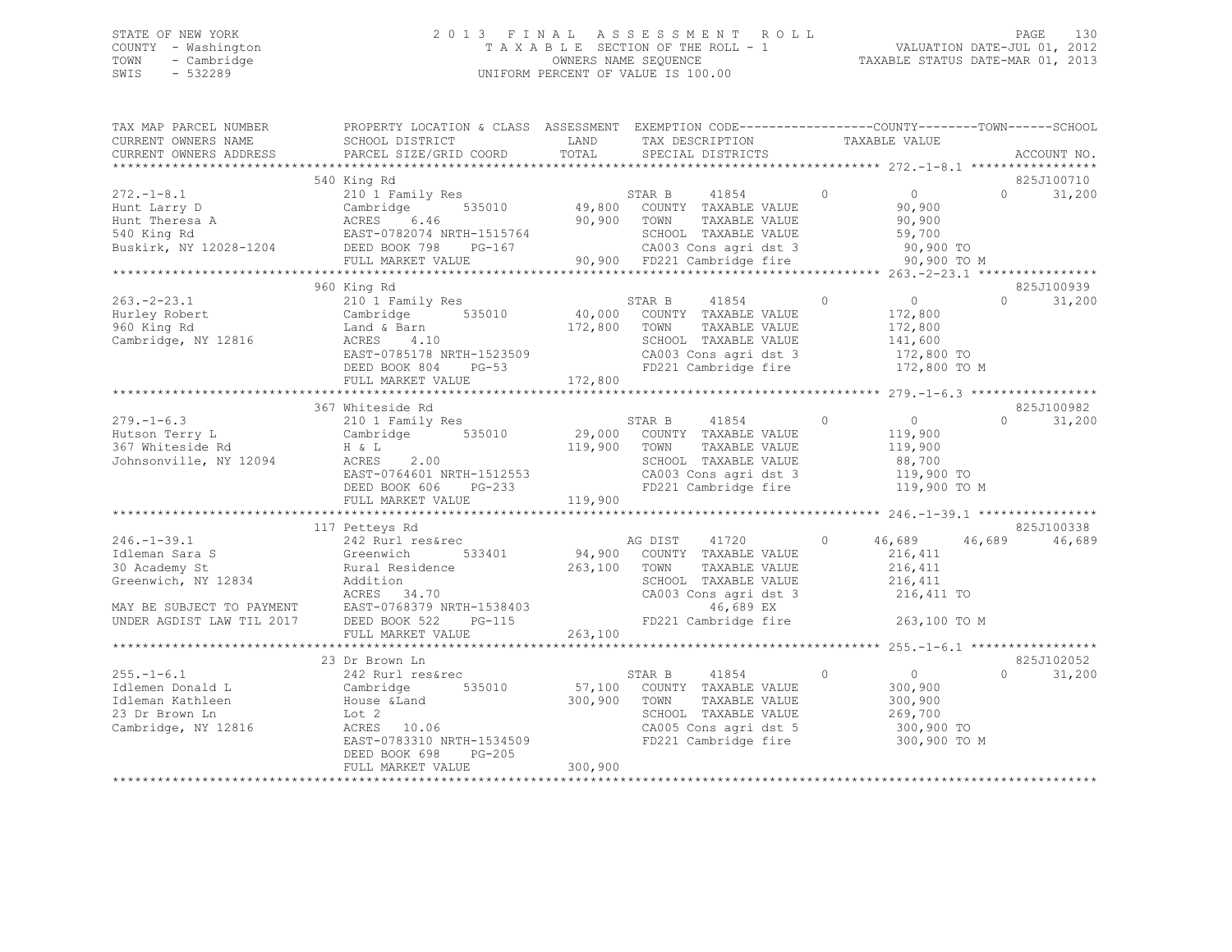### STATE OF NEW YORK 2 0 1 3 F I N A L A S S E S S M E N T R O L L PAGE 130 COUNTY - Washington T A X A B L E SECTION OF THE ROLL - 1 VALUATION DATE-JUL 01, 2012 TOWN - Cambridge OWNERS NAME SEQUENCE TAXABLE STATUS DATE-MAR 01, 2013 SWIS - 532289 UNIFORM PERCENT OF VALUE IS 100.00

| TAX MAP PARCEL NUMBER<br>CURRENT OWNERS NAME<br>CURRENT OWNERS ADDRESS                                                                | PROPERTY LOCATION & CLASS ASSESSMENT EXEMPTION CODE----------------COUNTY-------TOWN------SCHOOL<br>SCHOOL DISTRICT<br>PARCEL SIZE/GRID COORD                     | LAND<br>TOTAL                | TAX DESCRIPTION<br>SPECIAL DISTRICTS                                                                                                                    |         | TAXABLE VALUE                                                                 |          | ACCOUNT NO.          |
|---------------------------------------------------------------------------------------------------------------------------------------|-------------------------------------------------------------------------------------------------------------------------------------------------------------------|------------------------------|---------------------------------------------------------------------------------------------------------------------------------------------------------|---------|-------------------------------------------------------------------------------|----------|----------------------|
|                                                                                                                                       |                                                                                                                                                                   |                              |                                                                                                                                                         |         |                                                                               |          |                      |
| $272. - 1 - 8.1$<br>Hunt Larry D<br>Hunt marry<br>Hunt Theresa A<br>Buskirk, NY 12028-1204                                            | 540 King Rd<br>210 1 Family Res<br>535010<br>Cambridge<br>ACRES<br>6.46<br>EAST-0782074 NRTH-1515764<br>DEED BOOK 798<br>PG-167<br>FULL MARKET VALUE              | 90,900                       | STAR B<br>41854<br>49,800 COUNTY TAXABLE VALUE<br>TOWN<br>TAXABLE VALUE<br>SCHOOL TAXABLE VALUE<br>CA003 Cons agri dst 3<br>90,900 FD221 Cambridge fire | $\circ$ | $\overline{0}$<br>90,900<br>90,900<br>59,700<br>90,900 TO<br>90,900 TO M      | $\cap$   | 825J100710<br>31,200 |
|                                                                                                                                       |                                                                                                                                                                   |                              |                                                                                                                                                         |         |                                                                               |          | 825J100939           |
| $263 - 2 - 23.1$<br>Hurley Robert<br>960 King Rd<br>Cambridge, NY 12816                                                               | 960 King Rd<br>210 1 Family Res<br>535010<br>Cambridge<br>Land & Barn<br>ACRES<br>4.10<br>EAST-0785178 NRTH-1523509<br>DEED BOOK 804<br>$PG-53$                   | 40,000<br>172,800            | STAR B<br>41854<br>COUNTY TAXABLE VALUE<br>TOWN<br>TAXABLE VALUE<br>SCHOOL TAXABLE VALUE<br>CA003 Cons agri dst 3<br>FD221 Cambridge fire               | $\circ$ | $\sim$ 0<br>172,800<br>172,800<br>141,600<br>172,800 TO<br>172,800 TO M       | $\Omega$ | 31,200               |
|                                                                                                                                       | FULL MARKET VALUE                                                                                                                                                 | 172,800                      |                                                                                                                                                         |         |                                                                               |          |                      |
| $279. - 1 - 6.3$<br>Hutson Terry L<br>367 Whiteside Rd<br>Johnsonville, NY 12094                                                      | 367 Whiteside Rd<br>210 1 Family Res<br>535010<br>Cambridge<br>H & L<br>2.00<br>ACRES<br>EAST-0764601 NRTH-1512553<br>DEED BOOK 606 PG-233<br>FULL MARKET VALUE   | 29,000<br>119,900<br>119,900 | 41854<br>STAR B<br>COUNTY TAXABLE VALUE<br>TOWN<br>TAXABLE VALUE<br>SCHOOL TAXABLE VALUE<br>CA003 Cons agri dst 3<br>FD221 Cambridge fire               | $\circ$ | $\Omega$<br>119,900<br>119,900<br>88,700<br>119,900 TO<br>119,900 TO M        | $\Omega$ | 825J100982<br>31,200 |
|                                                                                                                                       | 117 Petteys Rd                                                                                                                                                    |                              |                                                                                                                                                         |         |                                                                               |          | 825J100338           |
| $246. - 1 - 39.1$<br>Idleman Sara S<br>30 Academy St<br>Greenwich, NY 12834<br>MAY BE SUBJECT TO PAYMENT<br>UNDER AGDIST LAW TIL 2017 | 242 Rurl res&rec<br>533401<br>Greenwich<br>Rural Residence<br>Addition<br>ACRES<br>34.70<br>EAST-0768379 NRTH-1538403<br>DEED BOOK 522<br>$PG-115$                | 94,900<br>263,100            | AG DIST<br>41720<br>COUNTY TAXABLE VALUE<br>TOWN<br>TAXABLE VALUE<br>SCHOOL TAXABLE VALUE<br>CA003 Cons agri dst 3<br>46,689 EX<br>FD221 Cambridge fire | $\circ$ | 46,689<br>216,411<br>216,411<br>216,411<br>216,411 TO<br>263,100 TO M         | 46,689   | 46,689               |
|                                                                                                                                       | FULL MARKET VALUE                                                                                                                                                 | 263,100                      |                                                                                                                                                         |         |                                                                               |          |                      |
|                                                                                                                                       | 23 Dr Brown Ln                                                                                                                                                    |                              |                                                                                                                                                         |         |                                                                               |          | 825J102052           |
| $255. - 1 - 6.1$<br>Idlemen Donald L<br>Idleman Kathleen<br>23 Dr Brown Ln<br>Cambridge, NY 12816                                     | 242 Rurl res&rec<br>Cambridge<br>535010<br>House & Land<br>Lot 2<br>10.06<br>ACRES<br>EAST-0783310 NRTH-1534509<br>DEED BOOK 698<br>$PG-205$<br>FULL MARKET VALUE | 57,100<br>300,900<br>300,900 | 41854<br>STAR B<br>COUNTY TAXABLE VALUE<br>TOWN<br>TAXABLE VALUE<br>SCHOOL TAXABLE VALUE<br>CA005 Cons agri dst 5<br>FD221 Cambridge fire               | $\circ$ | $\overline{0}$<br>300,900<br>300,900<br>269,700<br>300,900 TO<br>300,900 TO M | $\cap$   | 31,200               |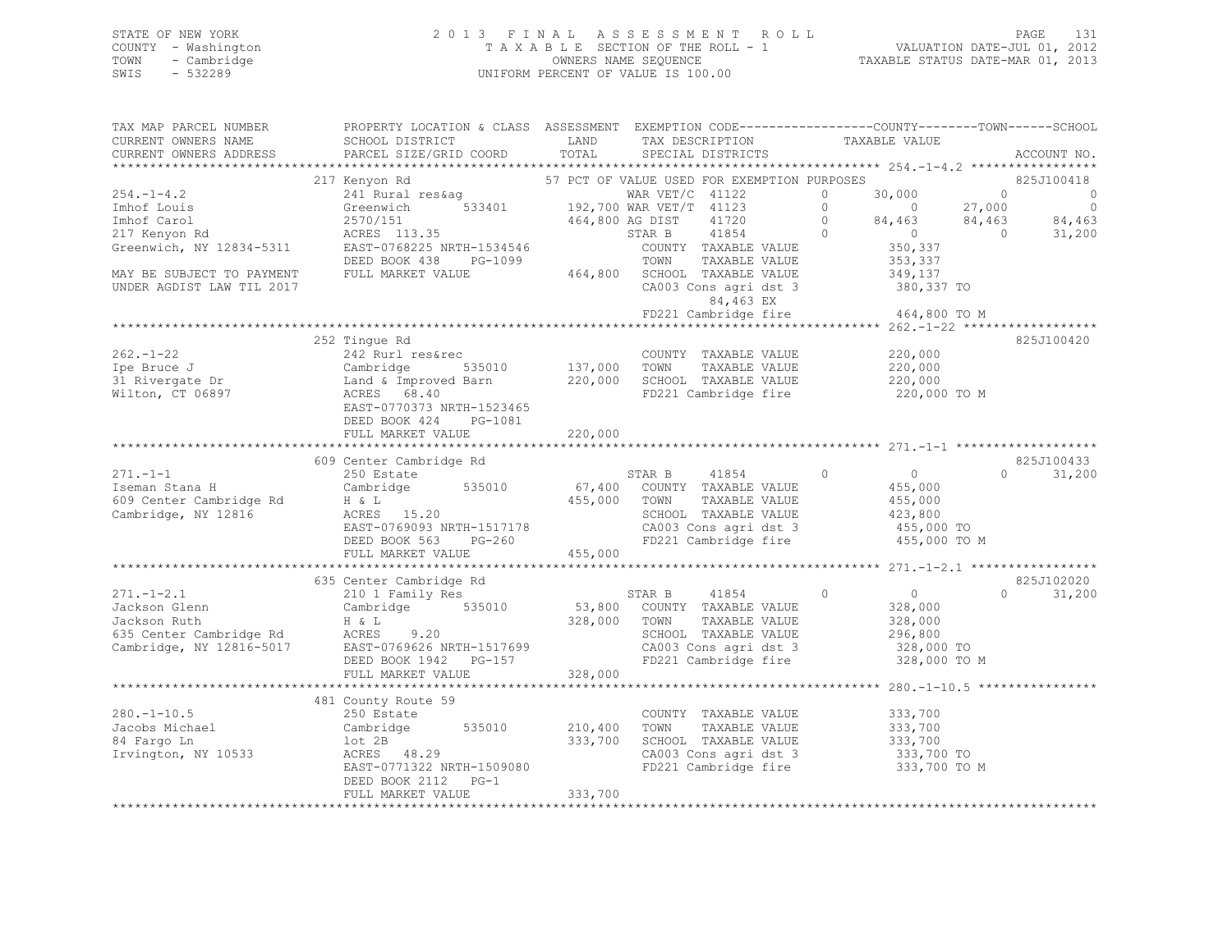### STATE OF NEW YORK 2 0 1 3 F I N A L A S S E S S M E N T R O L L PAGE 131 COUNTY - Washington T A X A B L E SECTION OF THE ROLL - 1 VALUATION DATE-JUL 01, 2012 TOWN - Cambridge OWNERS NAME SEQUENCE TAXABLE STATUS DATE-MAR 01, 2013 SWIS - 532289 UNIFORM PERCENT OF VALUE IS 100.00

| TAX MAP PARCEL NUMBER<br>CURRENT OWNERS NAME | PROPERTY LOCATION & CLASS ASSESSMENT EXEMPTION CODE----------------COUNTY-------TOWN------SCHOOL<br>SCHOOL DISTRICT                                 | LAND            | TAX DESCRIPTION                                            | TAXABLE VALUE                      |                |                |
|----------------------------------------------|-----------------------------------------------------------------------------------------------------------------------------------------------------|-----------------|------------------------------------------------------------|------------------------------------|----------------|----------------|
| CURRENT OWNERS ADDRESS                       | PARCEL SIZE/GRID COORD                                                                                                                              | TOTAL           | SPECIAL DISTRICTS                                          |                                    |                | ACCOUNT NO.    |
|                                              |                                                                                                                                                     |                 |                                                            |                                    |                |                |
|                                              | 217 Kenyon Rd                                                                                                                                       |                 | 57 PCT OF VALUE USED FOR EXEMPTION PURPOSES                |                                    |                | 825J100418     |
| $254. -1 - 4.2$                              | $241$ Rural res&ag WAR VET/C 41122<br>Greenwich 533401 192,700 WAR VET/T 41123                                                                      |                 |                                                            | 30,000<br>$\circ$                  | $\bigcirc$     | $\circ$        |
| Imhof Louis                                  |                                                                                                                                                     |                 |                                                            | $\bigcirc$<br>$\overline{0}$       | 27,000         | $\overline{0}$ |
| Imhof Carol                                  | 2570/151<br>ACRES 113.35                                                                                                                            | 464,800 AG DIST | 41720                                                      | $\circ$<br>84,463<br>$84,403$<br>0 | 84,463         | 84,463         |
| 217 Kenyon Rd                                |                                                                                                                                                     |                 | 41854<br>STAR B                                            | $\bigcirc$                         | $\overline{0}$ | 31,200         |
| Greenwich, NY 12834-5311                     | EAST-0768225 NRTH-1534546                                                                                                                           |                 | COUNTY TAXABLE VALUE                                       | 350,337                            |                |                |
|                                              | DEED BOOK 438<br>PG-1099                                                                                                                            |                 | TOWN<br>TAXABLE VALUE                                      | 353,337                            |                |                |
| MAY BE SUBJECT TO PAYMENT                    | FULL MARKET VALUE                                                                                                                                   |                 | 464,800 SCHOOL TAXABLE VALUE                               | 349,137                            |                |                |
| UNDER AGDIST LAW TIL 2017                    |                                                                                                                                                     |                 | CA003 Cons agri dst 3                                      | 380,337 TO                         |                |                |
|                                              |                                                                                                                                                     |                 | 84,463 EX<br>FD221 Cambridge fire 464,800 TO M             |                                    |                |                |
|                                              |                                                                                                                                                     |                 |                                                            |                                    |                |                |
|                                              | 252 Tingue Rd                                                                                                                                       |                 |                                                            |                                    |                | 825J100420     |
| $262 - 1 - 22$                               | 242 Rurl res&rec                                                                                                                                    |                 | COUNTY TAXABLE VALUE                                       | 220,000                            |                |                |
| Ipe Bruce J                                  |                                                                                                                                                     | 137,000 TOWN    |                                                            | 220,000                            |                |                |
| 31 Rivergate Dr                              |                                                                                                                                                     |                 |                                                            | 220,000                            |                |                |
| Wilton, CT 06897                             | Cambridge 535010 137,000 TOWN TAXABLE-VALUE<br>Land & Improved Barn 220,000 SCHOOL TAXABLE-VALUE<br>ACRES 68.40 FD221 Cambridge fire<br>ACRES 68.40 |                 | FD221 Cambridge fire                                       | 220,000 TO M                       |                |                |
|                                              | EAST-0770373 NRTH-1523465                                                                                                                           |                 |                                                            |                                    |                |                |
|                                              | DEED BOOK 424 PG-1081                                                                                                                               |                 |                                                            |                                    |                |                |
|                                              | FULL MARKET VALUE                                                                                                                                   | 220,000         |                                                            |                                    |                |                |
|                                              |                                                                                                                                                     |                 |                                                            |                                    |                |                |
|                                              | 609 Center Cambridge Rd                                                                                                                             |                 |                                                            |                                    |                | 825J100433     |
| $271 - 1 - 1$                                | 250 Estate                                                                                                                                          |                 | STAR B 41854 0                                             | $\overline{0}$                     | $\Omega$       | 31,200         |
| Iseman Stana H                               | Cambridge 535010                                                                                                                                    |                 | 67,400 COUNTY TAXABLE VALUE                                | 455,000                            |                |                |
| 609 Center Cambridge Rd                      | $\begin{array}{cccc}\n\text{H} & \& \text{L}\n\end{array}$                                                                                          | 455,000 TOWN    | TAXABLE VALUE                                              | 455,000                            |                |                |
| Cambridge, NY 12816                          | ACRES $15.20$                                                                                                                                       |                 | SCHOOL TAXABLE VALUE                                       | 423,800                            |                |                |
|                                              | EAST-0769093 NRTH-1517178                                                                                                                           |                 |                                                            |                                    |                |                |
|                                              | DEED BOOK 563 PG-260                                                                                                                                |                 | CA003 Cons agri dst 3<br>FD221 Cambridge fire 455,000 TO M |                                    |                |                |
|                                              | FULL MARKET VALUE                                                                                                                                   | 455,000         |                                                            |                                    |                |                |
|                                              |                                                                                                                                                     |                 |                                                            |                                    |                |                |
|                                              | 635 Center Cambridge Rd                                                                                                                             |                 |                                                            |                                    |                | 825J102020     |
| $271 - 1 - 2.1$                              | 210 1 Family Res                                                                                                                                    |                 | STAR B<br>41854                                            | $\overline{0}$<br>$\Omega$         | $\Omega$       | 31,200         |
| -<br>Jackson Glenn<br>Jackson Ruth           | Cambridge 535010                                                                                                                                    |                 | 53,800 COUNTY TAXABLE VALUE                                | 328,000                            |                |                |
|                                              | H & L<br>Jackson Ruth H & L<br>635 Center Cambridge Rd<br>Cambridge, NY 12816-5017 EAST-0769626 NRTH-1517699                                        | 328,000 TOWN    | TAXABLE VALUE                                              | 328,000                            |                |                |
|                                              |                                                                                                                                                     |                 | SCHOOL TAXABLE VALUE                                       | 296,800                            |                |                |
|                                              |                                                                                                                                                     |                 | CA003 Cons agri dst 3                                      | 328,000 TO                         |                |                |
|                                              | DEED BOOK 1942 PG-157                                                                                                                               |                 | FD221 Cambridge fire                                       | 328,000 TO M                       |                |                |
|                                              | FULL MARKET VALUE                                                                                                                                   | 328,000         |                                                            |                                    |                |                |
|                                              |                                                                                                                                                     |                 |                                                            |                                    |                |                |
|                                              | 481 County Route 59                                                                                                                                 |                 |                                                            |                                    |                |                |
| $280. - 1 - 10.5$                            | 250 Estate                                                                                                                                          |                 | COUNTY TAXABLE VALUE                                       | 333,700                            |                |                |
| Jacobs Michael                               | Cambridge 535010                                                                                                                                    | 210,400         | TAXABLE VALUE<br>TOWN                                      | 333,700                            |                |                |
| 84 Fargo Ln                                  | lot 2B                                                                                                                                              | 333,700         | SCHOOL TAXABLE VALUE                                       | 333,700                            |                |                |
| Irvington, NY 10533                          | ACRES 48.29                                                                                                                                         |                 | CA003 Cons agri dst 3<br>FD221 Cambridge fire              | 333,700 TO                         |                |                |
|                                              | EAST-0771322 NRTH-1509080                                                                                                                           |                 |                                                            | 333,700 TO M                       |                |                |
|                                              | DEED BOOK 2112 PG-1                                                                                                                                 | 333,700         |                                                            |                                    |                |                |
|                                              | FULL MARKET VALUE                                                                                                                                   |                 |                                                            |                                    |                |                |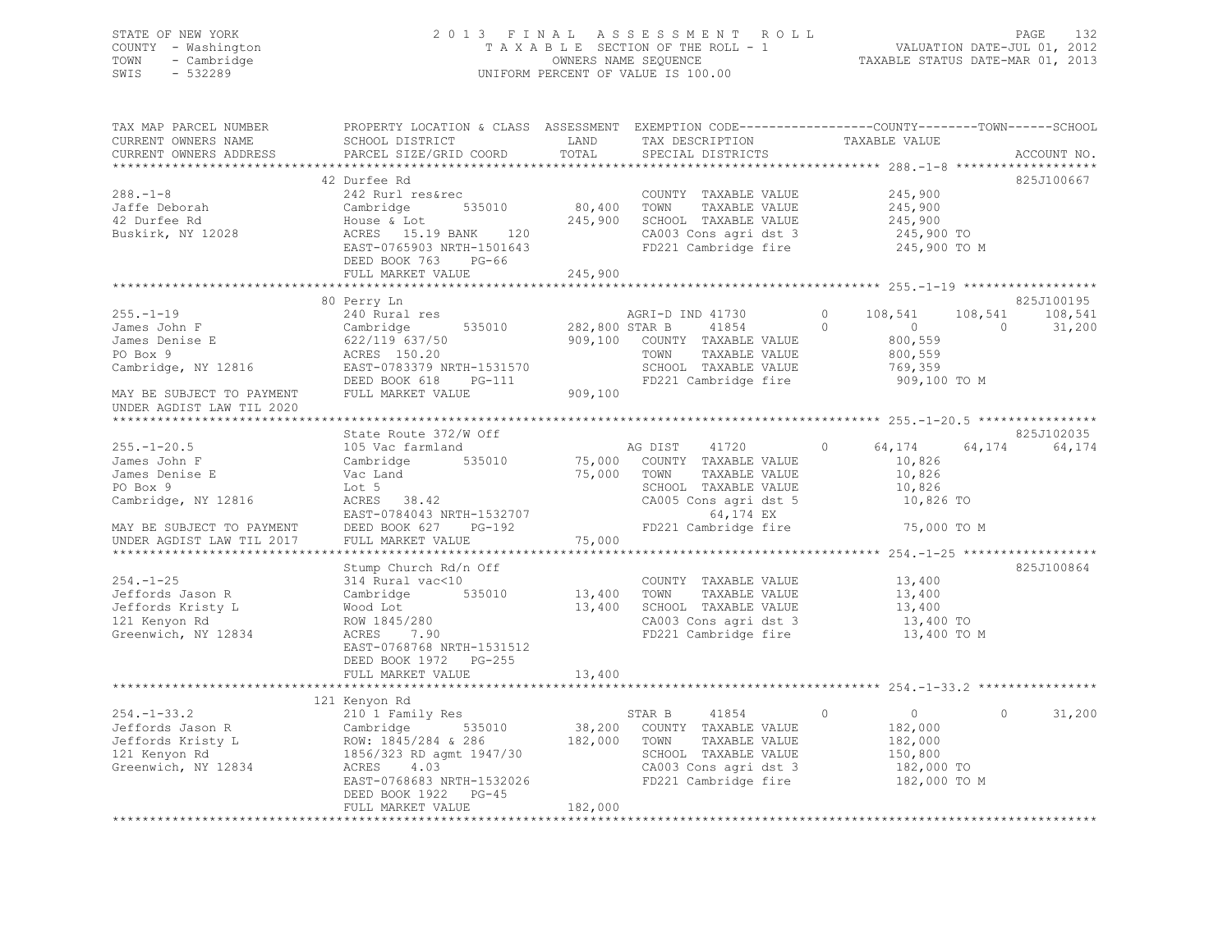### STATE OF NEW YORK 2 0 1 3 F I N A L A S S E S S M E N T R O L L PAGE 132 COUNTY - Washington T A X A B L E SECTION OF THE ROLL - 1 VALUATION DATE-JUL 01, 2012 TOWN - Cambridge OWNERS NAME SEQUENCE TAXABLE STATUS DATE-MAR 01, 2013 SWIS - 532289 UNIFORM PERCENT OF VALUE IS 100.00

| TAX MAP PARCEL NUMBER<br>CURRENT OWNERS NAME<br>CURRENT OWNERS ADDRESS                                              | PROPERTY LOCATION & CLASS ASSESSMENT EXEMPTION CODE---------------COUNTY-------TOWN-----SCHOOL<br>SCHOOL DISTRICT<br>PARCEL SIZE/GRID COORD                                                            | LAND<br>TOTAL                | TAX DESCRIPTION<br>SPECIAL DISTRICTS                                                                                                                 | TAXABLE VALUE                                                                                                | ACCOUNT NO.                                 |
|---------------------------------------------------------------------------------------------------------------------|--------------------------------------------------------------------------------------------------------------------------------------------------------------------------------------------------------|------------------------------|------------------------------------------------------------------------------------------------------------------------------------------------------|--------------------------------------------------------------------------------------------------------------|---------------------------------------------|
| *************************<br>$288. - 1 - 8$<br>Jaffe Deborah<br>42 Durfee Rd<br>Buskirk, NY 12028                   | 42 Durfee Rd<br>242 Rurl res&rec<br>535010<br>Cambridge<br>House & Lot<br>ACRES 15.19 BANK 120<br>EAST-0765903 NRTH-1501643<br>DEED BOOK 763<br>PG-66<br>FULL MARKET VALUE                             | 80,400<br>245,900<br>245,900 | COUNTY TAXABLE VALUE<br>TOWN<br>TAXABLE VALUE<br>SCHOOL TAXABLE VALUE<br>CA003 Cons agri dst 3<br>FD221 Cambridge fire                               | 245,900<br>245,900<br>245,900<br>245,900 TO<br>245,900 TO M                                                  | 825J100667                                  |
|                                                                                                                     |                                                                                                                                                                                                        |                              |                                                                                                                                                      |                                                                                                              |                                             |
| $255. - 1 - 19$<br>James John F<br>James Denise E<br>PO Box 9<br>Cambridge, NY 12816<br>MAY BE SUBJECT TO PAYMENT   | 80 Perry Ln<br>240 Rural res<br>535010<br>Cambridge<br>622/119 637/50<br>ACRES 150.20<br>EAST-0783379 NRTH-1531570<br>DEED BOOK 618<br>$PG-111$<br>FULL MARKET VALUE                                   | 282,800 STAR B<br>909,100    | AGRI-D IND 41730<br>41854<br>909,100 COUNTY TAXABLE VALUE<br>TAXABLE VALUE<br>TOWN<br>SCHOOL TAXABLE VALUE<br>FD221 Cambridge fire                   | $\circ$<br>108,541<br>108,541<br>$\Omega$<br>$\overline{0}$<br>800,559<br>800,559<br>769,359<br>909,100 TO M | 825J100195<br>108,541<br>$\Omega$<br>31,200 |
| UNDER AGDIST LAW TIL 2020                                                                                           |                                                                                                                                                                                                        |                              |                                                                                                                                                      |                                                                                                              |                                             |
|                                                                                                                     |                                                                                                                                                                                                        |                              |                                                                                                                                                      |                                                                                                              | 825J102035                                  |
| $255. - 1 - 20.5$<br>James John F<br>James Denise E<br>PO Box 9<br>Cambridge, NY 12816<br>MAY BE SUBJECT TO PAYMENT | State Route 372/W Off<br>105 Vac farmland<br>535010<br>Cambridge<br>Vac Land<br>Lot 5<br>ACRES 38.42<br>EAST-0784043 NRTH-1532707<br>$PG-192$<br>DEED BOOK 627                                         | 75,000<br>75,000<br>75,000   | AG DIST 41720<br>COUNTY TAXABLE VALUE<br>TOWN<br>TAXABLE VALUE<br>SCHOOL TAXABLE VALUE<br>CA005 Cons agri dst 5<br>64,174 EX<br>FD221 Cambridge fire | 64,174<br>$\circ$<br>64,174<br>10,826<br>10,826<br>10,826<br>10,826 TO<br>75,000 TO M                        | 64,174                                      |
| UNDER AGDIST LAW TIL 2017                                                                                           | FULL MARKET VALUE                                                                                                                                                                                      |                              |                                                                                                                                                      |                                                                                                              |                                             |
| $254. -1 - 25$<br>Jeffords Jason R<br>Jeffords Kristy L<br>121 Kenyon Rd<br>Greenwich, NY 12834                     | Stump Church Rd/n Off<br>314 Rural vac<10<br>535010<br>Cambridge<br>Wood Lot<br>ROW 1845/280<br>ACRES 7.90<br>EAST-0768768 NRTH-1531512<br>DEED BOOK 1972 PG-255                                       | 13,400<br>13,400             | COUNTY TAXABLE VALUE<br>TAXABLE VALUE<br>TOWN<br>SCHOOL TAXABLE VALUE<br>CA003 Cons agri dst 3<br>FD221 Cambridge fire                               | 13,400<br>13,400<br>13,400<br>13,400 TO<br>13,400 TO M                                                       | 825J100864                                  |
|                                                                                                                     | FULL MARKET VALUE                                                                                                                                                                                      | 13,400                       |                                                                                                                                                      |                                                                                                              |                                             |
|                                                                                                                     |                                                                                                                                                                                                        |                              |                                                                                                                                                      |                                                                                                              |                                             |
| $254. - 1 - 33.2$<br>Jeffords Jason R<br>Jeffords Kristy L<br>121 Kenyon Rd<br>Greenwich, NY 12834                  | 121 Kenyon Rd<br>210 1 Family Res<br>Cambridge<br>535010<br>ROW: 1845/284 & 286<br>1856/323 RD agmt 1947/30<br>ACRES<br>4.03<br>EAST-0768683 NRTH-1532026<br>DEED BOOK 1922 PG-45<br>FULL MARKET VALUE | 38,200<br>182,000<br>182,000 | STAR B<br>41854<br>COUNTY TAXABLE VALUE<br>TOWN<br>TAXABLE VALUE<br>SCHOOL TAXABLE VALUE<br>CA003 Cons agri dst 3<br>FD221 Cambridge fire            | $\circ$<br>$\overline{0}$<br>182,000<br>182,000<br>150,800<br>182,000 TO<br>182,000 TO M                     | 31,200<br>$\circ$                           |
|                                                                                                                     |                                                                                                                                                                                                        |                              |                                                                                                                                                      |                                                                                                              |                                             |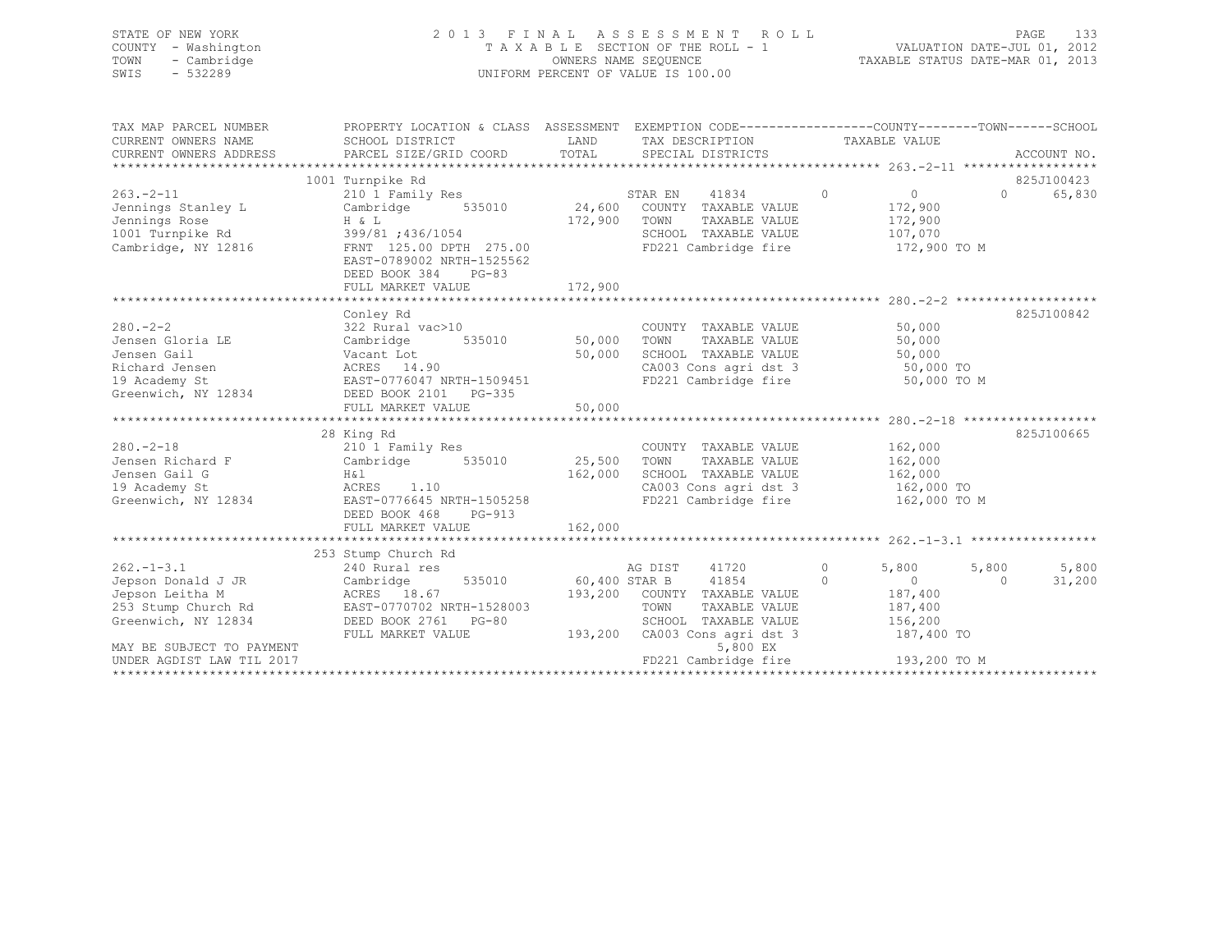| STATE OF NEW YORK<br>COUNTY - Washington<br>TOWN - Cambridge<br>SWIS<br>$-532289$ | 2013 FINAL ASSESSMENT ROLL<br>TAXABLE SECTION OF THE ROLL - 1<br>OWNERS NAME SEQUENCE<br>UNIFORM PERCENT OF VALUE IS 100.00 | VALUATION DATE-JUL 01, 2012<br>TAXABLE STATUS DATE-MAR 01, 2013 | 133<br>PAGE |  |
|-----------------------------------------------------------------------------------|-----------------------------------------------------------------------------------------------------------------------------|-----------------------------------------------------------------|-------------|--|
| TAX MAP PARCEL NUMBER                                                             | PROPERTY LOCATION & CLASS ASSESSMENT EXEMPTION CODE---------------COUNTY-------TOWN-----SCHOOL                              |                                                                 |             |  |

| CURRENT OWNERS NAME<br>CURRENT OWNERS ADDRESS                                                | SCHOOL DISTRICT<br>PARCEL SIZE/GRID COORD                                                                           | LAND<br>TOTAL      | TAX DESCRIPTION<br>SPECIAL DISTRICTS                                                                                              |                           | TAXABLE VALUE                                                 | ACCOUNT NO.        |
|----------------------------------------------------------------------------------------------|---------------------------------------------------------------------------------------------------------------------|--------------------|-----------------------------------------------------------------------------------------------------------------------------------|---------------------------|---------------------------------------------------------------|--------------------|
|                                                                                              |                                                                                                                     |                    |                                                                                                                                   |                           |                                                               |                    |
|                                                                                              | 1001 Turnpike Rd                                                                                                    |                    |                                                                                                                                   |                           |                                                               | 825J100423         |
| $263 - 2 - 11$<br>Jennings Stanley L<br>Jennings Rose<br>1001 Turnpike Rd                    | 210 1 Family Res<br>Cambridge 535010 24,600 COUNTY TAXABLE VALUE<br>$H \& L$<br>399/81 ;436/1054                    | 172,900            | STAR EN 41834<br>TOWN<br>TAXABLE VALUE<br>SCHOOL TAXABLE VALUE                                                                    | $\overline{0}$<br>107,070 | $\sim$ 0<br>172,900<br>172,900                                | $\Omega$<br>65,830 |
| Cambridge, NY 12816                                                                          | FRNT 125.00 DPTH 275.00<br>EAST-0789002 NRTH-1525562<br>DEED BOOK 384 PG-83<br>FULL MARKET VALUE                    | 172,900            | FD221 Cambridge fire 172,900 TO M                                                                                                 |                           |                                                               |                    |
|                                                                                              |                                                                                                                     |                    |                                                                                                                                   |                           |                                                               |                    |
| $280 - 2 - 2$<br>Jensen Gloria LE<br>Jensen Gail                                             | Conley Rd<br>322 Rural vac>10<br>535010 50,000<br>Cambridge                                                         | 50,000             | COUNTY TAXABLE VALUE<br>TOWN<br>TAXABLE VALUE<br>SCHOOL TAXABLE VALUE                                                             |                           | 50,000<br>50,000<br>50,000                                    | 825J100842         |
| Richard Jensen<br>19 Academy St<br>Greenwich, NY 12834                                       | Vacant Lot<br>ACRES 14.90<br>EAST-0776047 NRTH-1509451<br>DEED BOOK 2101    PG-335                                  |                    | CA003 Cons agri dst 3<br>FD221 Cambridge fire                                                                                     |                           | 50,000 TO<br>50,000 TO M                                      |                    |
|                                                                                              | FULL MARKET VALUE                                                                                                   | 50,000             |                                                                                                                                   |                           |                                                               |                    |
|                                                                                              | 28 King Rd                                                                                                          |                    |                                                                                                                                   |                           |                                                               | 825J100665         |
| $280. - 2 - 18$<br>Jensen Richard F<br>Jensen Gail G<br>19 Academy St<br>Greenwich, NY 12834 | 210 1 Family Res<br>Cambridge 535010<br>H&l<br>ACRES 1.10<br>EAST-0776645 NRTH-1505258<br>DEED BOOK 468<br>$PG-913$ | 25,500<br>162,000  | COUNTY TAXABLE VALUE<br>TAXABLE VALUE<br>TOWN<br>SCHOOL TAXABLE VALUE<br>CA003 Cons agri dst 3 162,000 TO<br>FD221 Cambridge fire |                           | 162,000<br>162,000<br>162,000<br>162,000 TO M                 |                    |
|                                                                                              |                                                                                                                     |                    |                                                                                                                                   |                           |                                                               |                    |
|                                                                                              |                                                                                                                     |                    |                                                                                                                                   |                           |                                                               |                    |
|                                                                                              | 253 Stump Church Rd                                                                                                 |                    |                                                                                                                                   |                           |                                                               |                    |
| $262 - 1 - 3.1$                                                                              | 240 Rural res                                                                                                       |                    | AG DIST 41720                                                                                                                     | $\Omega$                  | 5,800                                                         | 5,800<br>5,800     |
| Jepson Donald J JR<br>Jepson Leitha M<br>253 Stump Church Rd<br>Greenwich, NY 12834          | Cambridge<br>ACRES 18.67<br>EAST-0770702 NRTH-1528003<br>DEED BOOK 2761 PG-80<br>FULL MARKET VALUE                  | 193,200<br>193,200 | 535010 60,400 STAR B 41854<br>COUNTY TAXABLE VALUE<br>TOWN<br>TAXABLE VALUE<br>SCHOOL TAXABLE VALUE<br>CA003 Cons agri dst 3      | $\circ$                   | $\overline{0}$<br>187,400<br>187,400<br>156,200<br>187,400 TO | 31,200<br>$\Omega$ |
| MAY BE SUBJECT TO PAYMENT<br>UNDER AGDIST LAW TIL 2017                                       |                                                                                                                     |                    | 5,800 EX                                                                                                                          |                           |                                                               |                    |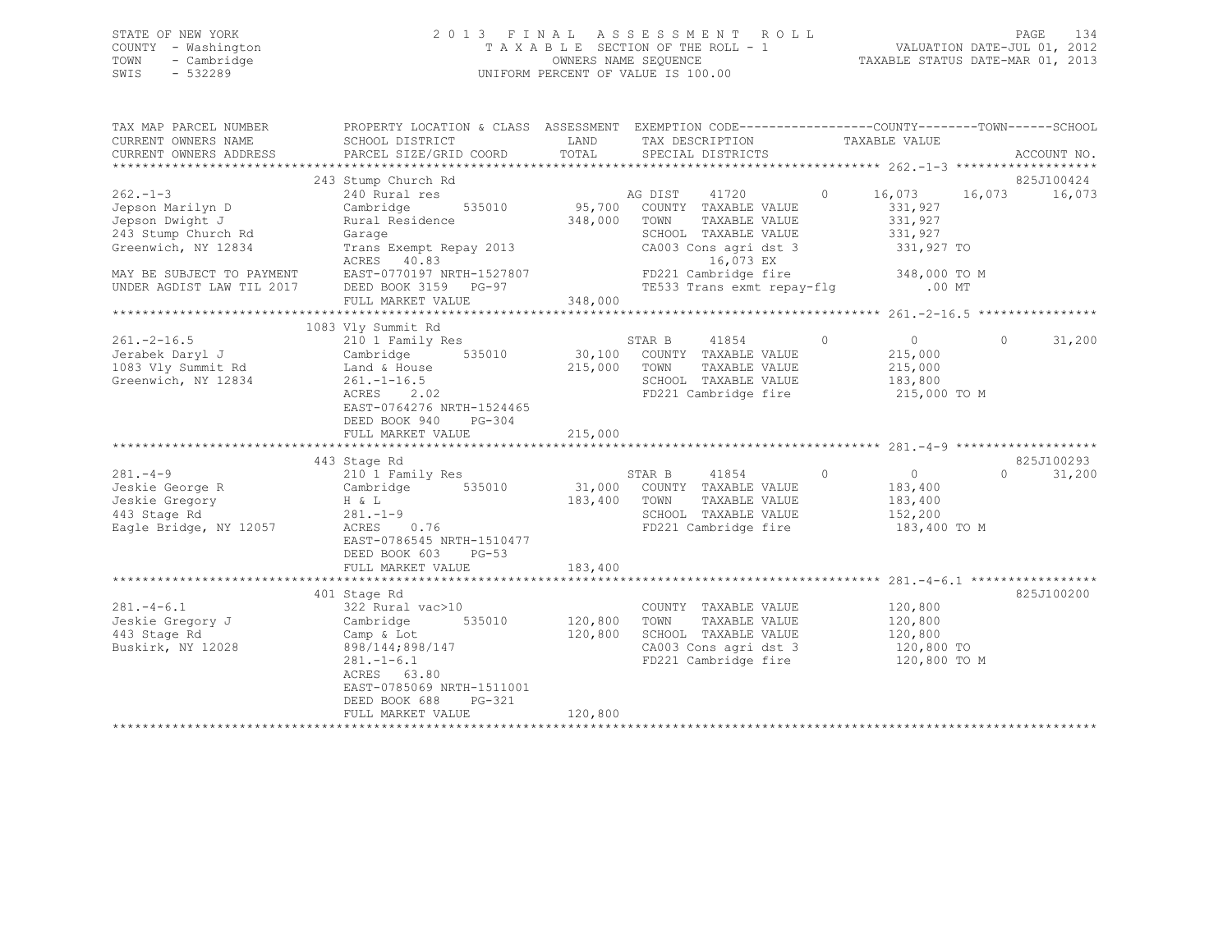STATE OF NEW YORK 2 0 1 3 F I N A L A S S E S S M E N T R O L L PAGE 134 COUNTY - Washington T A X A B L E SECTION OF THE ROLL - 1 VALUATION DATE-JUL 01, 2012 TOWN - Cambridge OWNERS NAME SEQUENCE TAXABLE STATUS DATE-MAR 01, 2013 SWIS - 532289 UNIFORM PERCENT OF VALUE IS 100.00

| TAX MAP PARCEL NUMBER<br>CURRENT OWNERS NAME                                                                                    | PROPERTY LOCATION & CLASS ASSESSMENT EXEMPTION CODE---------------COUNTY-------TOWN-----SCHOOL<br>SCHOOL DISTRICT                       LAND        TAX DESCRIPTION                 TAXABLE VALUE                                                                                                                  |         |                                                                                                                                                       |                                    |                             |
|---------------------------------------------------------------------------------------------------------------------------------|--------------------------------------------------------------------------------------------------------------------------------------------------------------------------------------------------------------------------------------------------------------------------------------------------------------------|---------|-------------------------------------------------------------------------------------------------------------------------------------------------------|------------------------------------|-----------------------------|
| CURRENT OWNERS ADDRESS                                                                                                          | PARCEL SIZE/GRID COORD TOTAL SPECIAL DISTRICTS                                                                                                                                                                                                                                                                     |         |                                                                                                                                                       |                                    | ACCOUNT NO.                 |
|                                                                                                                                 |                                                                                                                                                                                                                                                                                                                    |         |                                                                                                                                                       |                                    |                             |
| $262 - 1 - 3$<br>Jepson Marilyn D<br>Jepson Dwight J<br>243 Stump Church Rd<br>Greenwich, NY 12834<br>MAY BE SUBJECT TO PAYMENT | Garage SCHOOL TAXABLE VALUE 331,927<br>Trans Exempt Repay 2013 CA003 Cons agri dst 3 331,927 TO<br>ACRES 40.83<br>EAST-0770197 NRTH-1527807<br>DEED BOOK 3159 PG-97                                                                                                                                                |         | 16,073 EX<br>FD221 Cambridge fire 348,000 TO M<br>TE533 Trans exmt repay-flg .00 MT                                                                   |                                    |                             |
| UNDER AGDIST LAW TIL 2017                                                                                                       |                                                                                                                                                                                                                                                                                                                    |         |                                                                                                                                                       |                                    |                             |
|                                                                                                                                 | FULL MARKET VALUE                                                                                                                                                                                                                                                                                                  | 348,000 |                                                                                                                                                       |                                    |                             |
|                                                                                                                                 | 1083 Vly Summit Rd                                                                                                                                                                                                                                                                                                 |         |                                                                                                                                                       |                                    |                             |
| 1083 Vly Summit Rd<br>Greenwich, NY 12834                                                                                       | Land & House 215,000 TOWN<br>$261.-1-16.5$<br>ACRES 2.02<br>EAST-0764276 NRTH-1524465<br>DEED BOOK 940 PG-304<br>FULL MARKET VALUE                                                                                                                                                                                 | 215,000 | SCHOOL TAXABLE VALUE 183,800<br>FD221 Cambridge fire 215,000 TO M                                                                                     | TAXABLE VALUE 215,000              | $0$ 0 31,200<br>215,000     |
|                                                                                                                                 |                                                                                                                                                                                                                                                                                                                    |         |                                                                                                                                                       |                                    |                             |
|                                                                                                                                 | 443 Stage Rd<br>133 1995 AM STAR B 41854<br>183,400 COUNTY TAXABLE VALUE<br>183,400 TOWN TAXABLE VALUE<br>183,400 TOWN TAXABLE VALUE<br>183,400 TOWN TAXABLE VALUE<br>183,400 TOWN TAXABLE VALUE<br>183,400 TOWN TAXABLE VALUE<br>SCHOOL TAXABLE VALUE<br>Eagl<br>EAST-0786545 NRTH-1510477<br>DEED BOOK 603 PG-53 |         | STAR B 41854 0 0<br>SCHOOL TAXABLE VALUE 152,200                                                                                                      | 183,400<br>183,400<br>183,400 TO M | 825J100293<br>$0 \t 31,200$ |
|                                                                                                                                 | FULL MARKET VALUE                                                                                                                                                                                                                                                                                                  | 183,400 |                                                                                                                                                       |                                    |                             |
|                                                                                                                                 | 401 Stage Rd                                                                                                                                                                                                                                                                                                       |         |                                                                                                                                                       |                                    | 825J100200                  |
| $281 - 4 - 6.1$<br>Jeskie Gregory J Cambridge<br>443 Stage Rd<br>Buskirk, NY 12028                                              | 322 Rural vac>10<br>535010 120,800<br>Camp & Lot<br>898/144;898/147<br>$281 - 1 - 6.1$<br>ACRES 63.80<br>EAST-0785069 NRTH-1511001<br>DEED BOOK 688<br>PG-321                                                                                                                                                      | 120,800 | COUNTY TAXABLE VALUE 120,800<br>TOWN<br>120,800 SCHOOL TAXABLE VALUE 120,800<br>CA003 Cons agri dst 3 120,800 TO<br>FD221 Cambridge fire 120,800 TO M | TAXABLE VALUE 120,800              |                             |
|                                                                                                                                 | FULL MARKET VALUE                                                                                                                                                                                                                                                                                                  |         |                                                                                                                                                       |                                    |                             |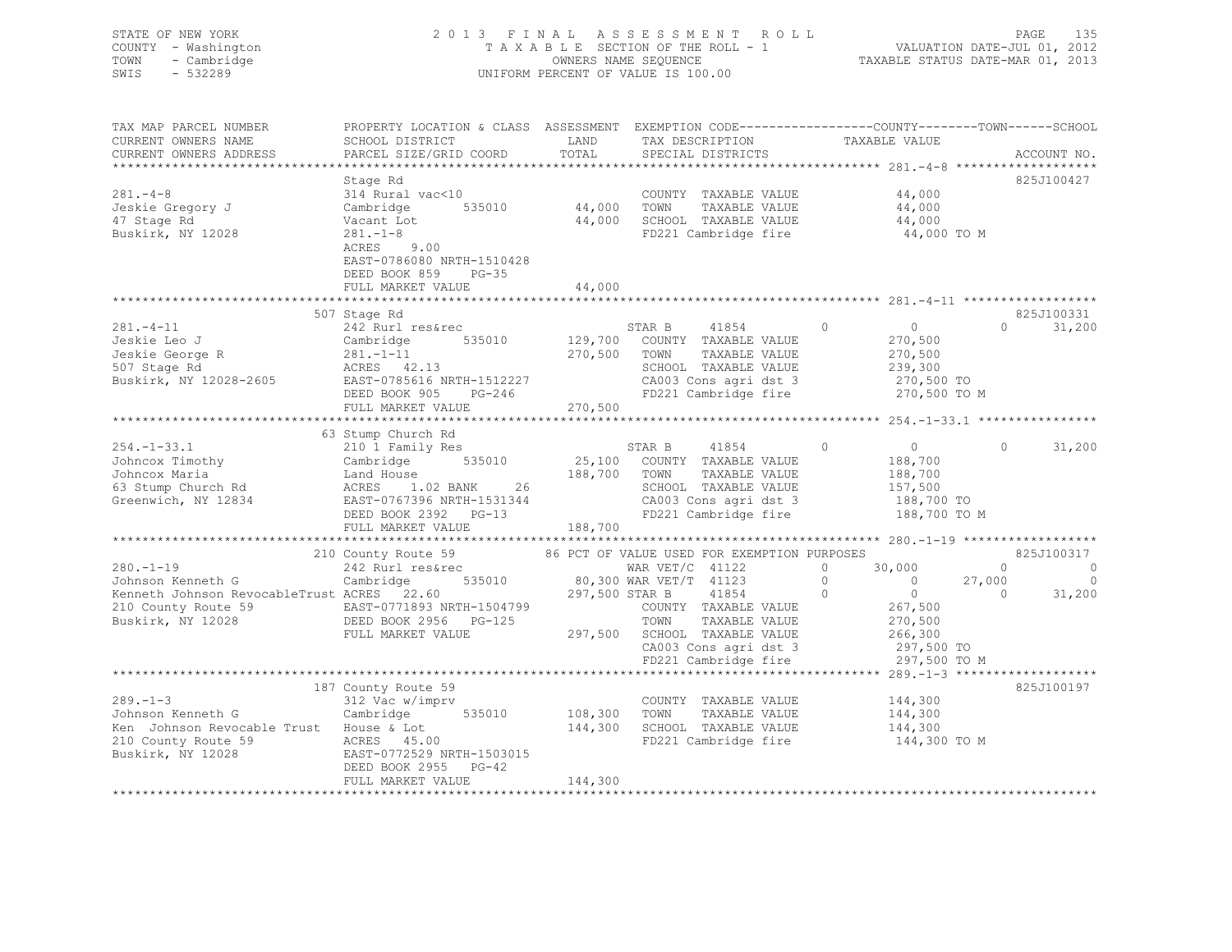STATE OF NEW YORK 2 0 1 3 F I N A L A S S E S S M E N T R O L L PAGE 135 COUNTY - Washington T A X A B L E SECTION OF THE ROLL - 1 VALUATION DATE-JUL 01, 2012 TOWN - Cambridge OWNERS NAME SEQUENCE TAXABLE STATUS DATE-MAR 01, 2013 SWIS - 532289 UNIFORM PERCENT OF VALUE IS 100.00

TAX MAP PARCEL NUMBER PROPERTY LOCATION & CLASS ASSESSMENT EXEMPTION CODE-----------------------------TOWN------SCHOOL

| CURRENT OWNERS NAME                                                                      | SCHOOL DISTRICT                                                       | LAND                          |                   | TAX DESCRIPTION                                                       |                            | TAXABLE VALUE    |          |                    |
|------------------------------------------------------------------------------------------|-----------------------------------------------------------------------|-------------------------------|-------------------|-----------------------------------------------------------------------|----------------------------|------------------|----------|--------------------|
| CURRENT OWNERS ADDRESS                                                                   | PARCEL SIZE/GRID COORD                                                | TOTAL                         |                   | SPECIAL DISTRICTS                                                     |                            |                  |          | ACCOUNT NO.        |
|                                                                                          |                                                                       |                               |                   |                                                                       |                            |                  |          |                    |
|                                                                                          | Stage Rd                                                              |                               |                   |                                                                       |                            |                  |          | 825J100427         |
| $281 - 4 - 8$                                                                            | 314 Rural vac<10                                                      |                               |                   | COUNTY TAXABLE VALUE                                                  |                            | 44,000           |          |                    |
| Jeskie Gregory J                                                                         | 535010<br>Cambridge                                                   | 44,000                        | TOWN              | TAXABLE VALUE                                                         |                            |                  |          |                    |
| 47 Stage Rd                                                                              | Vacant Lot                                                            | 44,000                        |                   | SCHOOL TAXABLE VALUE                                                  |                            | 44,000<br>44,000 |          |                    |
| Buskirk, NY 12028                                                                        | $281 - 1 - 8$                                                         |                               |                   | FD221 Cambridge fire 44,000 TO M                                      |                            |                  |          |                    |
|                                                                                          | 9.00<br>ACRES                                                         |                               |                   |                                                                       |                            |                  |          |                    |
|                                                                                          | EAST-0786080 NRTH-1510428                                             |                               |                   |                                                                       |                            |                  |          |                    |
|                                                                                          | DEED BOOK 859 PG-35                                                   |                               |                   |                                                                       |                            |                  |          |                    |
|                                                                                          | FULL MARKET VALUE                                                     | 44,000                        |                   |                                                                       |                            |                  |          |                    |
|                                                                                          |                                                                       |                               |                   |                                                                       |                            |                  |          |                    |
|                                                                                          | 507 Stage Rd                                                          |                               |                   |                                                                       |                            |                  |          | 825J100331         |
| $281 - 4 - 11$                                                                           | 242 Rurl res&rec                                                      |                               | STAR B            | 41854                                                                 | $\Omega$                   | $\Omega$         |          | 31,200<br>$\Omega$ |
| Jeskie Leo J                                                                             | Cambridge                                                             |                               |                   | 535010 129,700 COUNTY TAXABLE VALUE                                   |                            | 270,500          |          |                    |
| Jeskie Loo<br>Jeskie George R<br>101 Stage Rd                                            | $281. - 1 - 11$                                                       | 270,500                       | TOWN              | TAXABLE VALUE                                                         |                            | 270,500          |          |                    |
|                                                                                          | ACRES 42.13                                                           |                               |                   | SCHOOL TAXABLE VALUE                                                  |                            | 239,300          |          |                    |
| Buskirk, NY 12028-2605                                                                   | EAST-0785616 NRTH-1512227                                             |                               |                   |                                                                       |                            |                  |          |                    |
|                                                                                          | DEED BOOK 905<br>$PG-246$                                             |                               |                   | CA003 Cons agri dst 3 270,500 TO<br>FD221 Cambridge fire 270,500 TO M |                            |                  |          |                    |
|                                                                                          | FULL MARKET VALUE                                                     | 270,500                       |                   |                                                                       |                            |                  |          |                    |
|                                                                                          |                                                                       |                               |                   |                                                                       |                            |                  |          |                    |
|                                                                                          | 63 Stump Church Rd                                                    |                               |                   |                                                                       |                            |                  |          |                    |
| $254. - 1 - 33.1$                                                                        | 210 1 Family Res                                                      |                               | STAR B            | 41854                                                                 | $\Omega$                   | $\overline{0}$   | $\Omega$ | 31,200             |
| Johncox Timothy                                                                          | Cambridge 535010                                                      |                               |                   | 25,100 COUNTY TAXABLE VALUE                                           |                            | 188,700          |          |                    |
| Johncox Maria                                                                            |                                                                       | 188,700 TOWN                  |                   | TAXABLE VALUE                                                         |                            | 188,700          |          |                    |
| 63 Stump Church Rd                                                                       | Land House<br>ACRES 1.02 BANK 26<br>EAST-0767396 NRTH-1531344<br>26   |                               |                   | SCHOOL TAXABLE VALUE                                                  |                            | 157,500          |          |                    |
| Greenwich, NY 12834                                                                      |                                                                       |                               |                   | CA003 Cons agri dst 3                                                 |                            | 188,700 TO       |          |                    |
|                                                                                          | DEED BOOK 2392 PG-13                                                  |                               |                   | FD221 Cambridge fire                                                  |                            | 188,700 TO M     |          |                    |
|                                                                                          | FULL MARKET VALUE                                                     | 188,700                       |                   |                                                                       |                            |                  |          |                    |
|                                                                                          |                                                                       |                               |                   |                                                                       |                            |                  |          |                    |
|                                                                                          | 210 County Route 59                                                   |                               |                   | 86 PCT OF VALUE USED FOR EXEMPTION PURPOSES                           |                            |                  |          | 825J100317         |
| $280. -1 - 19$                                                                           | 242 Rurl res&rec                                                      |                               | WAR $VET/C$ 41122 |                                                                       | $\Omega$                   | 30,000           | $\Omega$ | $\sim$ 0           |
| Johnson Kenneth G                                                                        | Cambridge                                                             | 535010 80,300 WAR VET/T 41123 |                   |                                                                       | $\Omega$<br>$\overline{0}$ |                  | 27,000   | $\overline{0}$     |
| Kenneth Johnson RevocableTrust ACRES 22.60                                               |                                                                       | 297,500 STAR B 41854          |                   |                                                                       | $\bigcirc$                 | $\overline{0}$   | $\Omega$ | 31,200             |
|                                                                                          |                                                                       |                               |                   | COUNTY TAXABLE VALUE                                                  |                            | 267,500          |          |                    |
| 210 County Route 59 EAST-0771893 NRTH-1504799<br>Buskirk, NY 12028 DEED BOOK 2956 PG-125 |                                                                       |                               | TOWN              | TAXABLE VALUE                                                         |                            | 270,500          |          |                    |
|                                                                                          | FULL MARKET VALUE                                                     |                               |                   | 297,500 SCHOOL TAXABLE VALUE                                          |                            | 266,300          |          |                    |
|                                                                                          |                                                                       |                               |                   |                                                                       |                            | 297,500 TO       |          |                    |
|                                                                                          |                                                                       |                               |                   | CA003 Cons agri dst 3<br>FD221 Cambridge fire                         |                            | 297,500 TO M     |          |                    |
|                                                                                          |                                                                       |                               |                   |                                                                       |                            |                  |          |                    |
|                                                                                          | 187 County Route 59                                                   |                               |                   |                                                                       |                            |                  |          | 825J100197         |
| $289. - 1 - 3$                                                                           | 312 Vac w/imprv                                                       |                               |                   | COUNTY TAXABLE VALUE                                                  |                            | 144,300          |          |                    |
| Johnson Kenneth G                                                                        | Cambridge<br>535010                                                   | 108,300 TOWN                  |                   | TAXABLE VALUE                                                         |                            | 144,300          |          |                    |
| Ken Johnson Revocable Trust House & Lot                                                  |                                                                       | 144,300                       |                   | SCHOOL TAXABLE VALUE                                                  |                            | 144,300          |          |                    |
| 210 County Route 59                                                                      |                                                                       |                               |                   | FD221 Cambridge fire                                                  |                            | 144,300 TO M     |          |                    |
| Buskirk, NY 12028                                                                        | 9 ACRES 45.00 ACRES 45.00 EAST-0772529 N<br>EAST-0772529 NRTH-1503015 |                               |                   |                                                                       |                            |                  |          |                    |
|                                                                                          | DEED BOOK 2955 PG-42                                                  |                               |                   |                                                                       |                            |                  |          |                    |
|                                                                                          | FULL MARKET VALUE                                                     | 144,300                       |                   |                                                                       |                            |                  |          |                    |
|                                                                                          |                                                                       |                               |                   | ********************************                                      |                            |                  |          |                    |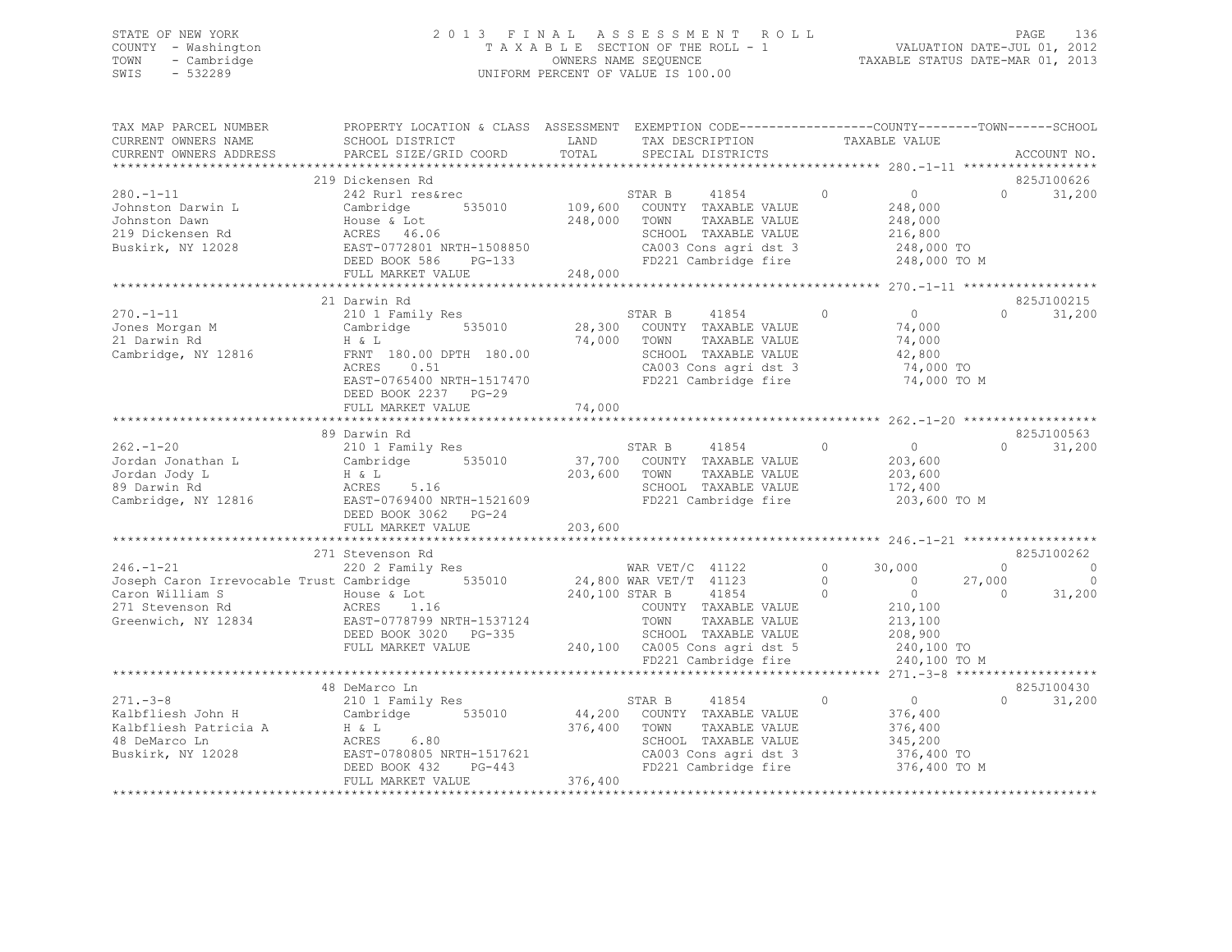### STATE OF NEW YORK 2 0 1 3 F I N A L A S S E S S M E N T R O L L PAGE 136 COUNTY - Washington T A X A B L E SECTION OF THE ROLL - 1 VALUATION DATE-JUL 01, 2012 TOWN - Cambridge OWNERS NAME SEQUENCE TAXABLE STATUS DATE-MAR 01, 2013 SWIS - 532289 UNIFORM PERCENT OF VALUE IS 100.00

| SCHOOL DISTRICT<br>PARCEL SIZE/GRID COORD                                                    | LAND<br>TOTAL                                                                                                                                                                                                                                                                                                                                                                                                                                                                                                                                                                                                                   | TAX DESCRIPTION<br>SPECIAL DISTRICTS                                                                                                      | TAXABLE VALUE                                                                                                                                                                                                                               | ACCOUNT NO.                                                                                                                                 |
|----------------------------------------------------------------------------------------------|---------------------------------------------------------------------------------------------------------------------------------------------------------------------------------------------------------------------------------------------------------------------------------------------------------------------------------------------------------------------------------------------------------------------------------------------------------------------------------------------------------------------------------------------------------------------------------------------------------------------------------|-------------------------------------------------------------------------------------------------------------------------------------------|---------------------------------------------------------------------------------------------------------------------------------------------------------------------------------------------------------------------------------------------|---------------------------------------------------------------------------------------------------------------------------------------------|
|                                                                                              |                                                                                                                                                                                                                                                                                                                                                                                                                                                                                                                                                                                                                                 |                                                                                                                                           |                                                                                                                                                                                                                                             |                                                                                                                                             |
| 242 Rurl res&rec<br>535010<br>Cambridge<br>House & Lot<br>$PG-133$<br>FULL MARKET VALUE      | 248,000<br>248,000                                                                                                                                                                                                                                                                                                                                                                                                                                                                                                                                                                                                              | 41854<br>STAR B<br>COUNTY TAXABLE VALUE<br>TAXABLE VALUE<br>TOWN<br>SCHOOL TAXABLE VALUE<br>CA003 Cons agri dst 3<br>FD221 Cambridge fire | $\Omega$<br>$\circ$<br>248,000<br>248,000<br>216,800<br>248,000 TO<br>248,000 TO M                                                                                                                                                          | 825J100626<br>$\cap$<br>31,200                                                                                                              |
|                                                                                              |                                                                                                                                                                                                                                                                                                                                                                                                                                                                                                                                                                                                                                 |                                                                                                                                           |                                                                                                                                                                                                                                             |                                                                                                                                             |
| 210 1 Family Res<br>535010<br>0.51<br>EAST-0765400 NRTH-1517470<br>DEED BOOK 2237<br>$PG-29$ | 74,000                                                                                                                                                                                                                                                                                                                                                                                                                                                                                                                                                                                                                          | 41854<br>COUNTY TAXABLE VALUE<br>TOWN<br>TAXABLE VALUE<br>SCHOOL TAXABLE VALUE<br>CA003 Cons agri dst 3<br>FD221 Cambridge fire           | $\overline{0}$<br>$\Omega$<br>74,000<br>74,000<br>42,800<br>74,000 TO<br>74,000 TO M                                                                                                                                                        | 825J100215<br>31,200<br>$\cap$                                                                                                              |
|                                                                                              |                                                                                                                                                                                                                                                                                                                                                                                                                                                                                                                                                                                                                                 |                                                                                                                                           |                                                                                                                                                                                                                                             |                                                                                                                                             |
|                                                                                              |                                                                                                                                                                                                                                                                                                                                                                                                                                                                                                                                                                                                                                 |                                                                                                                                           |                                                                                                                                                                                                                                             | 825J100563                                                                                                                                  |
| 5.16                                                                                         | 203,600                                                                                                                                                                                                                                                                                                                                                                                                                                                                                                                                                                                                                         | TOWN<br>TAXABLE VALUE<br>SCHOOL TAXABLE VALUE<br>FD221 Cambridge fire                                                                     | 203,600<br>203,600<br>172,400<br>203,600 TO M                                                                                                                                                                                               | $\Omega$<br>31,200                                                                                                                          |
| FULL MARKET VALUE                                                                            | 203,600                                                                                                                                                                                                                                                                                                                                                                                                                                                                                                                                                                                                                         |                                                                                                                                           |                                                                                                                                                                                                                                             |                                                                                                                                             |
|                                                                                              |                                                                                                                                                                                                                                                                                                                                                                                                                                                                                                                                                                                                                                 |                                                                                                                                           |                                                                                                                                                                                                                                             |                                                                                                                                             |
| 220 2 Family Res<br>535010<br>FULL MARKET VALUE                                              |                                                                                                                                                                                                                                                                                                                                                                                                                                                                                                                                                                                                                                 | 41854<br>COUNTY TAXABLE VALUE<br>TOWN<br>TAXABLE VALUE<br>SCHOOL TAXABLE VALUE<br>FD221 Cambridge fire                                    | 30,000<br>$\circ$<br>$\Omega$<br>$\overline{0}$<br>$\overline{0}$<br>$\Omega$<br>210,100<br>213,100<br>208,900<br>240,100 TO<br>240,100 TO M                                                                                                | 825J100262<br>$\Omega$<br>$\circ$<br>27,000<br>$\Omega$<br>31,200<br>$\Omega$                                                               |
|                                                                                              |                                                                                                                                                                                                                                                                                                                                                                                                                                                                                                                                                                                                                                 |                                                                                                                                           |                                                                                                                                                                                                                                             |                                                                                                                                             |
| 210 1 Family Res<br>6.80<br>PG-443<br>FULL MARKET VALUE                                      | 376,400<br>376,400                                                                                                                                                                                                                                                                                                                                                                                                                                                                                                                                                                                                              | 41854<br>COUNTY TAXABLE VALUE<br>TOWN<br>TAXABLE VALUE<br>SCHOOL TAXABLE VALUE                                                            | $\Omega$<br>$\circ$<br>376,400<br>376,400<br>345,200<br>376,400 TO<br>376,400 TO M                                                                                                                                                          | 825J100430<br>$\cap$<br>31,200                                                                                                              |
|                                                                                              | 219 Dickensen Rd<br>ACRES 46.06<br>EAST-0772801 NRTH-1508850<br>DEED BOOK 586<br>**************************<br>21 Darwin Rd<br>Cambridge<br>H & L<br>FRNT 180.00 DPTH 180.00<br>ACRES<br>FULL MARKET VALUE<br>89 Darwin Rd<br>210 1 Family Res<br>Cambridge 535010<br>H & L<br>ACRES<br>EAST-0769400 NRTH-1521609<br>DEED BOOK 3062 PG-24<br>**************************<br>271 Stevenson Rd<br>Joseph Caron Irrevocable Trust Cambridge<br>House & Lot<br>ACRES 1.16<br>EAST-0778799 NRTH-1537124<br>DEED BOOK 3020 PG-335<br>48 DeMarco Ln<br>Cambridge 535010<br>H & L<br>ACRES<br>EAST-0780805 NRTH-1517621<br>DEED BOOK 432 | 74,000                                                                                                                                    | PROPERTY LOCATION & CLASS ASSESSMENT<br>109,600<br>STAR B<br>28,300<br>STAR B<br>41854<br>37,700 COUNTY TAXABLE VALUE<br>WAR $VET/C$ 41122<br>24,800 WAR VET/T 41123<br>240,100 STAR B<br>240,100 CA005 Cons agri dst 5<br>STAR B<br>44,200 | EXEMPTION CODE-----------------COUNTY-------TOWN------SCHOOL<br>$\Omega$<br>$\overline{0}$<br>CA003 Cons agri dst 3<br>FD221 Cambridge fire |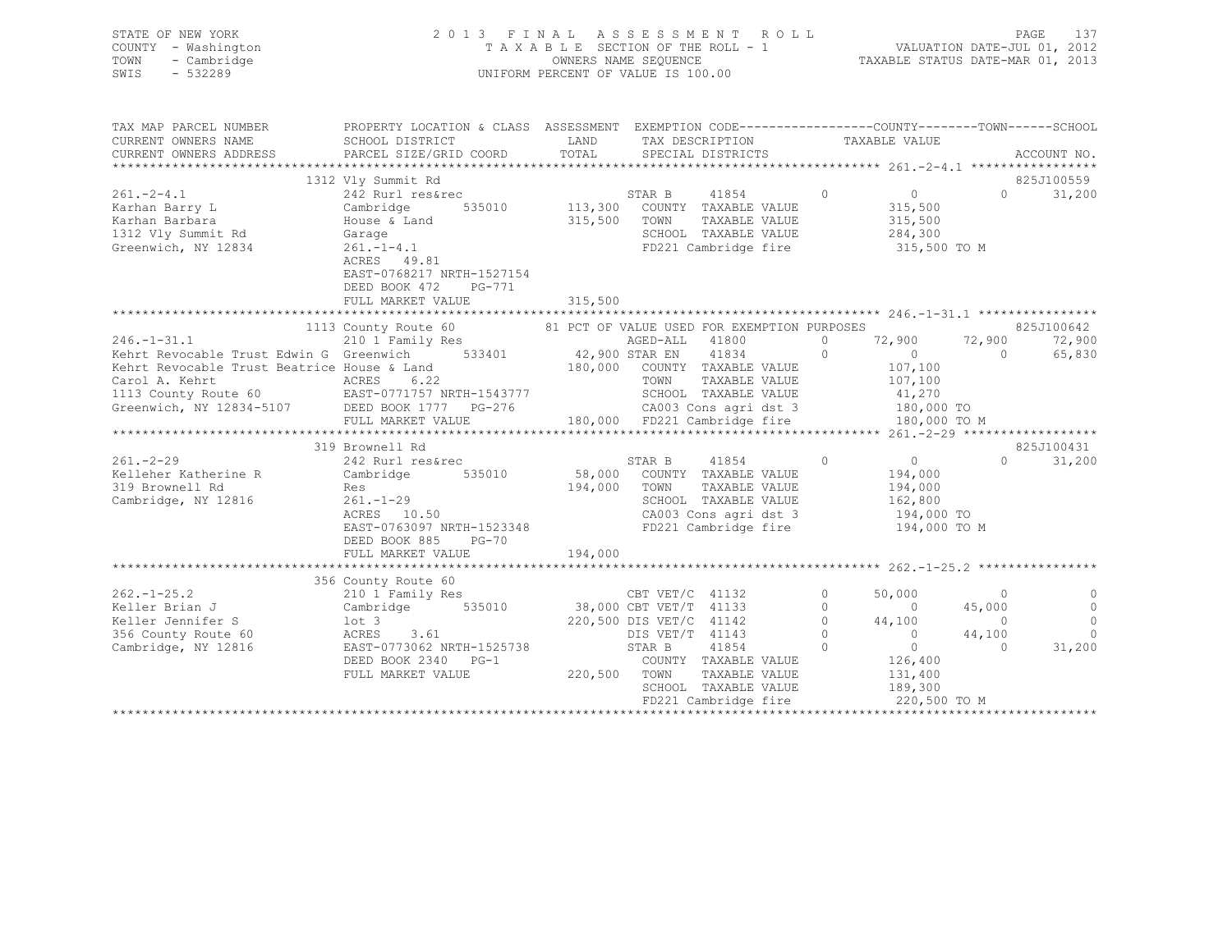| STATE OF NEW YORK<br>COUNTY - Washington<br>TOWN - Cambridge<br>$-532289$<br>SWIS                                                                                                                                                                             | 2013 FINAL ASSESSMENT ROLL                                                                                                                        |               | FINAL ASSESSMENT ROLL<br>TAXABLE SECTION OF THE ROLL - 1<br>OWNERS NAME SEQUENCE<br>TAXABLE STATUS DATE-MAR 01, 2012<br>TAXABLE STATUS DATE-MAR 01, 2013<br>UNIFORM PERCENT OF VALUE IS 100.00                                                                                                                                                                                                 |          |                                                                                                                                                              |                                                                  |                                                                            |
|---------------------------------------------------------------------------------------------------------------------------------------------------------------------------------------------------------------------------------------------------------------|---------------------------------------------------------------------------------------------------------------------------------------------------|---------------|------------------------------------------------------------------------------------------------------------------------------------------------------------------------------------------------------------------------------------------------------------------------------------------------------------------------------------------------------------------------------------------------|----------|--------------------------------------------------------------------------------------------------------------------------------------------------------------|------------------------------------------------------------------|----------------------------------------------------------------------------|
| TAX MAP PARCEL NUMBER THE PROPERTY LOCATION & CLASS ASSESSMENT EXEMPTION CODE--------------COUNTY-------TOWN------SCHOOL<br>CURRENT OWNERS NAME<br>CURRENT OWNERS ADDRESS                                                                                     | SCHOOL DISTRICT<br>PARCEL SIZE/GRID COORD                                                                                                         | LAND<br>TOTAL | TAX DESCRIPTION<br>SPECIAL DISTRICTS                                                                                                                                                                                                                                                                                                                                                           |          | TAXABLE VALUE                                                                                                                                                |                                                                  | ACCOUNT NO.                                                                |
| 261.-2-4.1 242 Rurl res&rec STAR B 41854 0<br>Karhan Barry L Cambridge 535010 113,300 COUNTY TAXABLE VALUE<br>Karhan Barbara House & Land 315,500 TOWN TAXABLE VALUE<br>Craenwich NY 19834 Carage SCHOOL TAXABLE VALUE<br>Craenwich NY<br>Greenwich, NY 12834 | 1312 Vly Summit Rd<br>261.-1-4.1<br>ACRES 49.81<br>EAST-0768217 NRTH-1527154<br>DEED BOOK 472<br>PG-771<br>FULL MARKET VALUE                      | 315,500       | $\begin{tabular}{llllll} \bf 41854 & 0 & 0 \\ \bf TAXABLE \,\,\, VALUE & 315,500 \\ \bf TAXABLE \,\,\, VALUE & 315,500 \\ \bf TAXABLE \,\,\, VALUE & 284,300 \\ \end{tabular}$<br>FD221 Cambridge fire 315,500 TO M                                                                                                                                                                            |          |                                                                                                                                                              |                                                                  | 825J100559<br>$0 \qquad \qquad$<br>31,200                                  |
|                                                                                                                                                                                                                                                               |                                                                                                                                                   |               |                                                                                                                                                                                                                                                                                                                                                                                                |          |                                                                                                                                                              |                                                                  |                                                                            |
| 113 County Route 60<br>Example Trust Edwin G Greenwich<br>210 1 Family Res<br>210 1 Family Res<br>21 1 For OF VALUE USED FOR STAR AND 11834 0<br>22,900 72,900 72,900 72,900<br>27,900 72,900 72,900 72,900<br>27,900 65,830<br>281 42,900 STA                | 1113 County Route 60 81 PCT OF VALUE USED FOR EXEMPTION PURPOSES 825J100642                                                                       |               |                                                                                                                                                                                                                                                                                                                                                                                                |          |                                                                                                                                                              |                                                                  |                                                                            |
|                                                                                                                                                                                                                                                               |                                                                                                                                                   |               |                                                                                                                                                                                                                                                                                                                                                                                                |          |                                                                                                                                                              |                                                                  |                                                                            |
| $261. - 2 - 29$<br>Kelleher Katherine R<br>319 Brownell Rd<br>Cambridge, NY 12816                                                                                                                                                                             | 319 Brownell Rd<br>242 Rurl res&rec<br>Res<br>261.-1-29<br>ACRES 10.50<br>EAST-0763097 NRTH-1523348<br>DEED BOOK 885 PG-70<br>FULL MARKET VALUE   | 194,000       | $\begin{tabular}{lcccc} \multicolumn{1}{c}{\text{STAR B}} & & & 41854 & & 0 & & 0 \\ & & & 58,000 & \multicolumn{1}{c}{\text{COUNTY}} & \text{TAXABLE VALUE} & & & 194,000 \\ & & 194,000 & \text{TOWN} & \text{TAXABLE VALUE} & & & 194,000 \\ & & & & \multicolumn{1}{c}{\text{SCHOOL}} & \text{TAXABLE VALUE} & & & 162,800 \end{tabular}$<br>CA003 Cons agri dst 3<br>FD221 Cambridge fire |          | 194,000 TO<br>194,000 TO M                                                                                                                                   |                                                                  | 825J100431<br>$0 \t 31,200$                                                |
|                                                                                                                                                                                                                                                               |                                                                                                                                                   |               |                                                                                                                                                                                                                                                                                                                                                                                                |          |                                                                                                                                                              |                                                                  |                                                                            |
| $262. - 1 - 25.2$<br>Keller Brian J<br>Exeric and the User of the Section 10 of 3 and 10 of 3 and 10 of 3 and 1142<br>220,500 DIS VET/C 41142<br>220,500 DIS VET/T 41143<br>Cambridge, NY 12816 EAST-0773062 NRTH-1525738 STAR B 41854                        | 356 County Route 60<br>210 1 Family Res<br>Cambridge 535010 38,000 CBT VET/T 41133<br>Cambri<br>lot 3<br>DEED BOOK 2340 PG-1<br>FULL MARKET VALUE |               | CBT VET/C 41132<br>5-1 COUNTY TAXABLE VALUE<br>220,500 TOWN TAXABLE VALUE<br>SCHOOL TAXABLE VALUE                                                                                                                                                                                                                                                                                              | $\Omega$ | 50,000<br>$\begin{bmatrix} 0 & 0 & 0 \ 0 & 0 & 0 \ 0 & 0 & 0 \ 0 & 0 & 0 \ \end{bmatrix}$<br>$\begin{bmatrix} 2 & 126,400 \ 131,400 \ 189,300 \end{bmatrix}$ | $\overline{0}$<br>45,000<br>$\sim$ 0<br>44,100<br>$\overline{0}$ | $\overline{0}$<br>$\overline{0}$<br>$\overline{0}$<br>$\bigcirc$<br>31,200 |
|                                                                                                                                                                                                                                                               |                                                                                                                                                   |               | FD221 Cambridge fire 320,500 TO M                                                                                                                                                                                                                                                                                                                                                              |          |                                                                                                                                                              |                                                                  |                                                                            |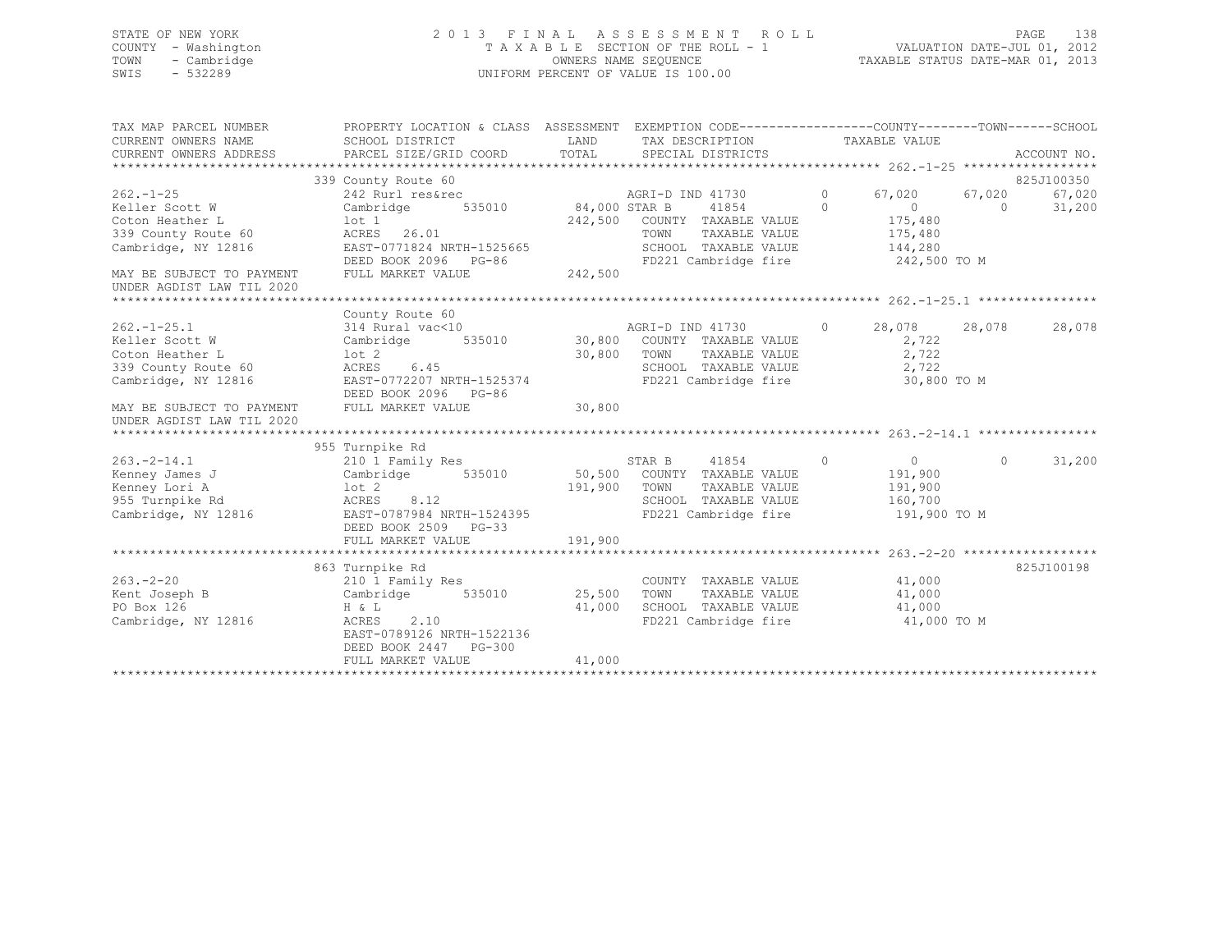### STATE OF NEW YORK 2 0 1 3 F I N A L A S S E S S M E N T R O L L PAGE 138 COUNTY - Washington T A X A B L E SECTION OF THE ROLL - 1 VALUATION DATE-JUL 01, 2012 TOWN - Cambridge OWNERS NAME SEQUENCE TAXABLE STATUS DATE-MAR 01, 2013 SWIS - 532289 UNIFORM PERCENT OF VALUE IS 100.00

| TAX MAP PARCEL NUMBER<br>CURRENT OWNERS NAME<br>CURRENT OWNERS ADDRESS | PROPERTY LOCATION & CLASS ASSESSMENT EXEMPTION CODE----------------COUNTY-------TOWN------SCHOOL<br>SCHOOL DISTRICT<br>PARCEL SIZE/GRID COORD | LAND<br>TOTAL       |                  | TAX DESCRIPTION TAXABLE VALUE<br>SPECIAL DISTRICTS |          |                |            | ACCOUNT NO. |
|------------------------------------------------------------------------|-----------------------------------------------------------------------------------------------------------------------------------------------|---------------------|------------------|----------------------------------------------------|----------|----------------|------------|-------------|
|                                                                        | 339 County Route 60                                                                                                                           |                     |                  |                                                    |          |                |            | 825J100350  |
| $262 - 1 - 25$                                                         | 242 Rurl res&rec                                                                                                                              |                     | AGRI-D IND 41730 |                                                    | $\circ$  | 67,020         | 67,020     | 67,020      |
| Keller Scott W                                                         | 535010<br>Cambridge                                                                                                                           | 84,000 STAR B       |                  | 41854                                              | $\Omega$ | $\sim$ 0       | $\bigcirc$ | 31,200      |
| Coton Heather L                                                        | lot 1                                                                                                                                         |                     |                  | 242,500 COUNTY TAXABLE VALUE                       |          | 175,480        |            |             |
| 339 County Route 60                                                    | ACRES 26.01                                                                                                                                   |                     | TOWN             | TAXABLE VALUE                                      |          | 175,480        |            |             |
| Cambridge, NY 12816                                                    | EAST-0771824 NRTH-1525665                                                                                                                     |                     |                  | SCHOOL TAXABLE VALUE                               |          | 144,280        |            |             |
|                                                                        | DEED BOOK 2096 PG-86                                                                                                                          |                     |                  | FD221 Cambridge fire 242,500 TO M                  |          |                |            |             |
| MAY BE SUBJECT TO PAYMENT                                              | FULL MARKET VALUE                                                                                                                             | $3 - 86$<br>242,500 |                  |                                                    |          |                |            |             |
| UNDER AGDIST LAW TIL 2020                                              |                                                                                                                                               |                     |                  |                                                    |          |                |            |             |
|                                                                        |                                                                                                                                               |                     |                  |                                                    |          |                |            |             |
|                                                                        | County Route 60                                                                                                                               |                     |                  |                                                    |          |                |            |             |
| $262. - 1 - 25.1$                                                      |                                                                                                                                               |                     |                  | AGRI-D IND 41730 0                                 |          | 28,078         | 28,078     | 28,078      |
| Keller Scott W                                                         | $314 \text{ Rural vac} \leq 10$ $30,800$ Cambridge 535010 30,800 COUNTY TAXABLE VALUE                                                         |                     |                  |                                                    |          | 2,722          |            |             |
| Coton Heather L                                                        | lot 2                                                                                                                                         | 30,800              | TOWN             | TAXABLE VALUE                                      |          | 2,722          |            |             |
| 339 County Route 60                                                    | ACRES<br>6.45                                                                                                                                 |                     |                  | SCHOOL TAXABLE VALUE                               |          | 2,722          |            |             |
| Cambridge, NY 12816                                                    | EAST-0772207 NRTH-1525374                                                                                                                     |                     |                  | FD221 Cambridge fire                               |          | 30,800 TO M    |            |             |
|                                                                        | DEED BOOK 2096 PG-86                                                                                                                          |                     |                  |                                                    |          |                |            |             |
| MAY BE SUBJECT TO PAYMENT<br>UNDER AGDIST LAW TIL 2020                 | FULL MARKET VALUE                                                                                                                             | 30,800              |                  |                                                    |          |                |            |             |
|                                                                        |                                                                                                                                               |                     |                  |                                                    |          |                |            |             |
|                                                                        | 955 Turnpike Rd                                                                                                                               |                     |                  |                                                    |          |                |            |             |
| $263 - 2 - 14.1$                                                       | 210 1 Family Res                                                                                                                              |                     | STAR B           | 41854<br>$\overline{0}$                            |          | $\overline{0}$ | $\Omega$   | 31,200      |
| Kenney James J                                                         | Cambridge 535010 50,500 COUNTY TAXABLE VALUE                                                                                                  |                     |                  |                                                    |          | 191,900        |            |             |
| Kenney Lori A                                                          | lot 2                                                                                                                                         | 191,900 TOWN        |                  | TAXABLE VALUE                                      |          | 191,900        |            |             |
| 955 Turnpike Rd                                                        | ACRES<br>8.12                                                                                                                                 |                     |                  | SCHOOL TAXABLE VALUE                               |          | 160,700        |            |             |
| Cambridge, NY 12816                                                    | EAST-0787984 NRTH-1524395<br>DEED BOOK 2500 - 2500 - 2500                                                                                     |                     |                  | FD221 Cambridge fire                               |          | 191,900 TO M   |            |             |
|                                                                        | DEED BOOK 2509 PG-33                                                                                                                          |                     |                  |                                                    |          |                |            |             |
|                                                                        | FULL MARKET VALUE                                                                                                                             | 191,900             |                  |                                                    |          |                |            |             |
|                                                                        |                                                                                                                                               |                     |                  |                                                    |          |                |            |             |
|                                                                        | 863 Turnpike Rd                                                                                                                               |                     |                  |                                                    |          |                |            | 825J100198  |
| $263 - 2 - 20$                                                         | 210 1 Family Res                                                                                                                              |                     |                  | COUNTY TAXABLE VALUE                               |          | 41,000         |            |             |
| Kent Joseph B                                                          | Cambridge 535010 25,500                                                                                                                       |                     | TOWN             | TAXABLE VALUE                                      |          | 41,000         |            |             |
| PO Box 126                                                             | $H \& L$                                                                                                                                      | 41,000              |                  | SCHOOL TAXABLE VALUE                               |          | 41,000         |            |             |
| Cambridge, NY 12816                                                    | ACRES<br>2.10                                                                                                                                 |                     |                  | FD221 Cambridge fire 41,000 TO M                   |          |                |            |             |
|                                                                        | EAST-0789126 NRTH-1522136                                                                                                                     |                     |                  |                                                    |          |                |            |             |
|                                                                        | DEED BOOK 2447 PG-300                                                                                                                         |                     |                  |                                                    |          |                |            |             |
|                                                                        | FULL MARKET VALUE                                                                                                                             | 41,000              |                  |                                                    |          |                |            |             |
|                                                                        |                                                                                                                                               |                     |                  |                                                    |          |                |            |             |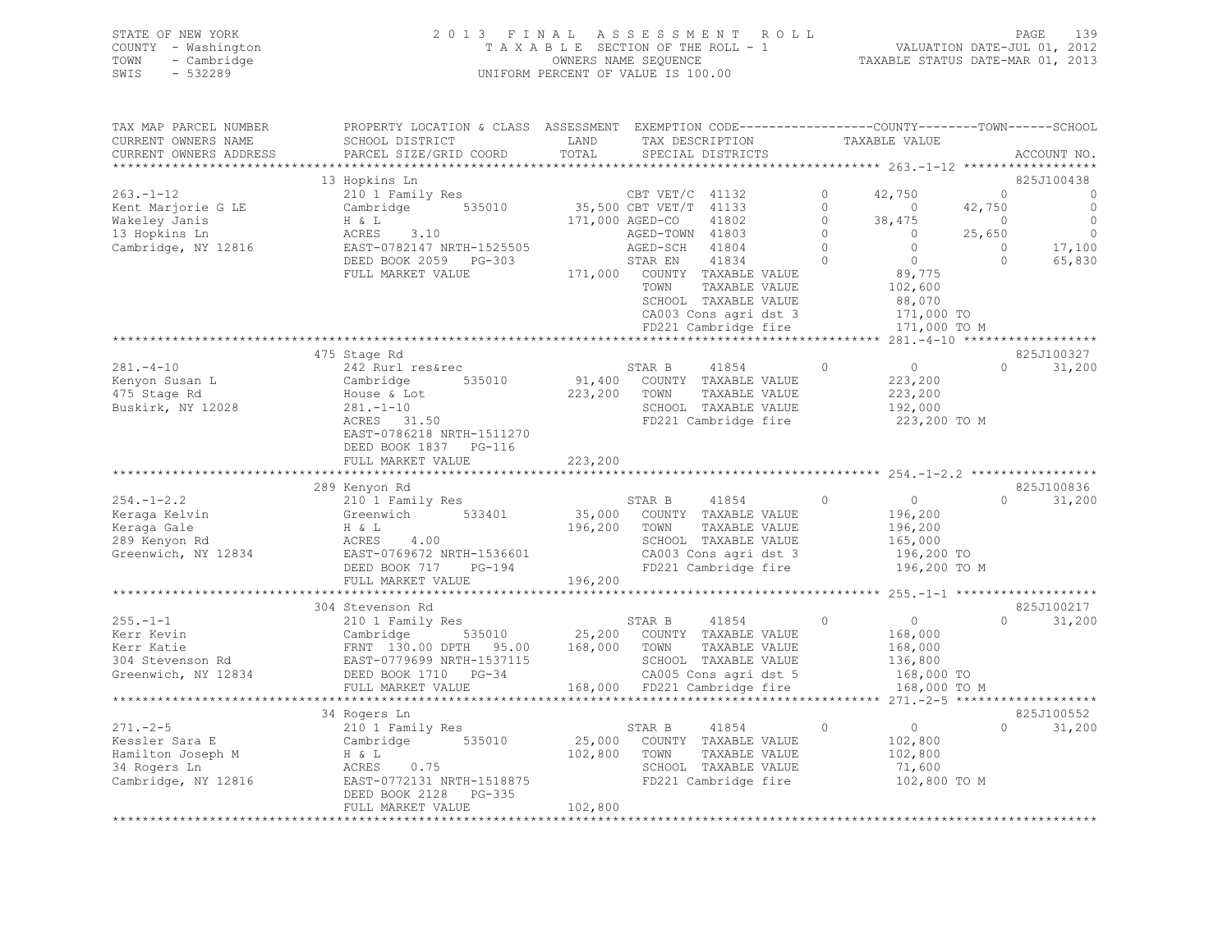| STATE OF NEW YORK   | 2013 FINAL ASSESSMENT ROLL         | 139<br>PAGE                      |
|---------------------|------------------------------------|----------------------------------|
| COUNTY - Washington | TAXABLE SECTION OF THE ROLL - 1    | VALUATION DATE-JUL 01, 2012      |
| TOWN<br>- Cambridge | OWNERS NAME SEQUENCE               | TAXABLE STATUS DATE-MAR 01, 2013 |
| SWIS - 532289       | UNIFORM PERCENT OF VALUE IS 100.00 |                                  |
|                     |                                    |                                  |

| TAX MAP PARCEL NUMBER                                                                                                                                                                                                                             | PROPERTY LOCATION & CLASS ASSESSMENT EXEMPTION CODE----------------COUNTY-------TOWN------SCHOOL                                                                                                   |              |        |                                                                                                      |               |                                             |                |                          |
|---------------------------------------------------------------------------------------------------------------------------------------------------------------------------------------------------------------------------------------------------|----------------------------------------------------------------------------------------------------------------------------------------------------------------------------------------------------|--------------|--------|------------------------------------------------------------------------------------------------------|---------------|---------------------------------------------|----------------|--------------------------|
| CURRENT OWNERS NAME                                                                                                                                                                                                                               | SCHOOL DISTRICT                                                                                                                                                                                    | LAND         |        | TAX DESCRIPTION                                                                                      | TAXABLE VALUE |                                             |                |                          |
| CURRENT OWNERS ADDRESS                                                                                                                                                                                                                            | PARCEL SIZE/GRID COORD                                                                                                                                                                             | TOTAL        |        | SPECIAL DISTRICTS                                                                                    |               |                                             |                | ACCOUNT NO.              |
|                                                                                                                                                                                                                                                   | 210 1 Family Res<br>Cambridge 535010 35,500 CBT VET/C 41132 0 42,750<br>H & L<br>ACRES 3.10 171,000 AGED-CO 41802 0 38,475<br>EAST-0782147 NRTH-1525505 AGED-TOWN 41803 0<br>DEED BOOK 2059 PC-303 |              |        |                                                                                                      |               |                                             |                |                          |
|                                                                                                                                                                                                                                                   |                                                                                                                                                                                                    |              |        |                                                                                                      |               |                                             |                | 825J100438               |
| $263. -1 - 12$                                                                                                                                                                                                                                    |                                                                                                                                                                                                    |              |        |                                                                                                      |               |                                             | $\overline{0}$ | $\sim$ 0                 |
| Kent Marjorie G LE                                                                                                                                                                                                                                |                                                                                                                                                                                                    |              |        |                                                                                                      |               |                                             | 42,750         | $\overline{0}$           |
| Wakeley Janis                                                                                                                                                                                                                                     |                                                                                                                                                                                                    |              |        |                                                                                                      |               |                                             | 25.650         | $\overline{\phantom{0}}$ |
| 13 Hopkins Ln                                                                                                                                                                                                                                     |                                                                                                                                                                                                    |              |        |                                                                                                      |               |                                             | 25,650         | $\overline{0}$           |
| Cambridge, NY 12816                                                                                                                                                                                                                               |                                                                                                                                                                                                    |              |        | 1900 AGED-TOWN 41803<br>AGED-SCH 41803<br>STAR EN 41834 0 0                                          |               |                                             | $\Omega$       | 17,100                   |
|                                                                                                                                                                                                                                                   |                                                                                                                                                                                                    |              |        |                                                                                                      |               | $0$<br>89,775<br>102,600                    | $\circ$        | 65,830                   |
|                                                                                                                                                                                                                                                   | FULL MARKET VALUE                                                                                                                                                                                  |              |        | 171,000 COUNTY TAXABLE VALUE                                                                         |               |                                             |                |                          |
|                                                                                                                                                                                                                                                   |                                                                                                                                                                                                    |              | TOWN   | TAXABLE VALUE                                                                                        |               |                                             |                |                          |
|                                                                                                                                                                                                                                                   |                                                                                                                                                                                                    |              |        | SCHOOL TAXABLE VALUE 88,070<br>CA003 Cons agri dst 3 171,000 TO<br>FD221 Cambridge fire 171,000 TO M |               |                                             |                |                          |
|                                                                                                                                                                                                                                                   |                                                                                                                                                                                                    |              |        |                                                                                                      |               |                                             |                |                          |
|                                                                                                                                                                                                                                                   |                                                                                                                                                                                                    |              |        |                                                                                                      |               |                                             |                |                          |
|                                                                                                                                                                                                                                                   |                                                                                                                                                                                                    |              |        |                                                                                                      |               |                                             |                |                          |
|                                                                                                                                                                                                                                                   | 475 Stage Rd                                                                                                                                                                                       |              |        |                                                                                                      |               |                                             |                | 825J100327               |
| $281 - 4 - 10$                                                                                                                                                                                                                                    | 242 Rurl res&rec<br>Cambridge 535010<br>House & Lot<br>281.-1-10<br>ACRES 31.50                                                                                                                    |              | STAR B | 41854                                                                                                | $\circ$       | $\begin{array}{c} 0 \\ 223,200 \end{array}$ | $\Omega$       | 31,200                   |
| Kenyon Susan L<br>475 Stage Rd<br>Buskirk, NY 12028                                                                                                                                                                                               |                                                                                                                                                                                                    |              |        |                                                                                                      |               |                                             |                |                          |
|                                                                                                                                                                                                                                                   |                                                                                                                                                                                                    | 223,200 TOWN |        | TAXABLE VALUE                                                                                        |               | 223,200<br>192,000                          |                |                          |
|                                                                                                                                                                                                                                                   |                                                                                                                                                                                                    |              |        | SCHOOL TAXABLE VALUE                                                                                 |               |                                             |                |                          |
|                                                                                                                                                                                                                                                   |                                                                                                                                                                                                    |              |        | FD221 Cambridge fire                                                                                 |               | 223,200 TO M                                |                |                          |
|                                                                                                                                                                                                                                                   | EAST-0786218 NRTH-1511270                                                                                                                                                                          |              |        |                                                                                                      |               |                                             |                |                          |
|                                                                                                                                                                                                                                                   | DEED BOOK 1837 PG-116                                                                                                                                                                              |              |        |                                                                                                      |               |                                             |                |                          |
|                                                                                                                                                                                                                                                   | FULL MARKET VALUE                                                                                                                                                                                  | 223,200      |        |                                                                                                      |               |                                             |                |                          |
|                                                                                                                                                                                                                                                   |                                                                                                                                                                                                    |              |        |                                                                                                      |               |                                             |                |                          |
|                                                                                                                                                                                                                                                   |                                                                                                                                                                                                    |              |        |                                                                                                      |               |                                             |                | 825J100836               |
|                                                                                                                                                                                                                                                   |                                                                                                                                                                                                    |              |        |                                                                                                      |               |                                             | $\Omega$       | 31,200                   |
|                                                                                                                                                                                                                                                   |                                                                                                                                                                                                    |              |        |                                                                                                      |               |                                             |                |                          |
|                                                                                                                                                                                                                                                   |                                                                                                                                                                                                    |              |        |                                                                                                      |               |                                             |                |                          |
|                                                                                                                                                                                                                                                   |                                                                                                                                                                                                    |              |        |                                                                                                      |               |                                             |                |                          |
|                                                                                                                                                                                                                                                   |                                                                                                                                                                                                    |              |        |                                                                                                      |               |                                             |                |                          |
|                                                                                                                                                                                                                                                   |                                                                                                                                                                                                    |              |        |                                                                                                      |               |                                             |                |                          |
|                                                                                                                                                                                                                                                   |                                                                                                                                                                                                    |              |        |                                                                                                      |               |                                             |                |                          |
|                                                                                                                                                                                                                                                   |                                                                                                                                                                                                    |              |        |                                                                                                      |               |                                             |                |                          |
|                                                                                                                                                                                                                                                   |                                                                                                                                                                                                    |              |        |                                                                                                      |               |                                             |                | 825J100217               |
|                                                                                                                                                                                                                                                   |                                                                                                                                                                                                    |              |        |                                                                                                      |               | $\begin{array}{c} 0 \\ 168,000 \end{array}$ |                | $\Omega$<br>31,200       |
|                                                                                                                                                                                                                                                   |                                                                                                                                                                                                    |              |        |                                                                                                      |               |                                             |                |                          |
|                                                                                                                                                                                                                                                   |                                                                                                                                                                                                    |              |        |                                                                                                      |               | 168,000                                     |                |                          |
| 255.-1-1<br>Exercise of the Markett Malue Cambridge S35010<br>Survey Cambridge S35010<br>ERNT 130.00 DPTH 95.00 168,000 TOWN TAXABLE VALUE<br>TRANEL VALUE<br>STAR B 41854 0<br>STAR B 41854 0<br>STAR B 41854 0<br>STAR B 41854 0<br>STAR B 418  |                                                                                                                                                                                                    |              |        |                                                                                                      |               | 136,800<br>168,000 TO                       |                |                          |
|                                                                                                                                                                                                                                                   |                                                                                                                                                                                                    |              |        |                                                                                                      |               |                                             |                |                          |
|                                                                                                                                                                                                                                                   |                                                                                                                                                                                                    |              |        |                                                                                                      |               | 168,000 TO M                                |                |                          |
|                                                                                                                                                                                                                                                   |                                                                                                                                                                                                    |              |        |                                                                                                      |               |                                             |                |                          |
|                                                                                                                                                                                                                                                   | 34 Rogers Ln                                                                                                                                                                                       |              |        |                                                                                                      |               |                                             |                | 825J100552               |
|                                                                                                                                                                                                                                                   |                                                                                                                                                                                                    |              |        | 41854 0                                                                                              |               | $\overline{0}$                              |                | $\Omega$<br>31,200       |
|                                                                                                                                                                                                                                                   |                                                                                                                                                                                                    |              |        |                                                                                                      |               | 102,800                                     |                |                          |
|                                                                                                                                                                                                                                                   |                                                                                                                                                                                                    |              |        | TAXABLE VALUE                                                                                        |               | 102,800                                     |                |                          |
| 271.-2-5<br>Kessler Sara E<br>Kessler Sara E<br>Cambridge 535010 25,000 COUNTY TAXABLE VALUE<br>Hamilton Joseph M<br>H & L<br>34 Rogers LD ACRES 0.75<br>ACRES 25,000 COUNTY TAXABLE VALUE<br>SCHOOL TAXABLE VALUE<br>SCHOOL TAXABLE VALUE<br>SCH |                                                                                                                                                                                                    |              |        |                                                                                                      |               | 71,600                                      |                |                          |
| Cambridge, NY 12816 EAST-0772131 NRTH-1518875 FD221 Cambridge fire 102,800 TO M                                                                                                                                                                   |                                                                                                                                                                                                    |              |        |                                                                                                      |               |                                             |                |                          |
|                                                                                                                                                                                                                                                   | DEED BOOK 2128 PG-335                                                                                                                                                                              |              |        |                                                                                                      |               |                                             |                |                          |
|                                                                                                                                                                                                                                                   | FULL MARKET VALUE                                                                                                                                                                                  | 102,800      |        |                                                                                                      |               |                                             |                |                          |
|                                                                                                                                                                                                                                                   |                                                                                                                                                                                                    |              |        |                                                                                                      |               |                                             |                |                          |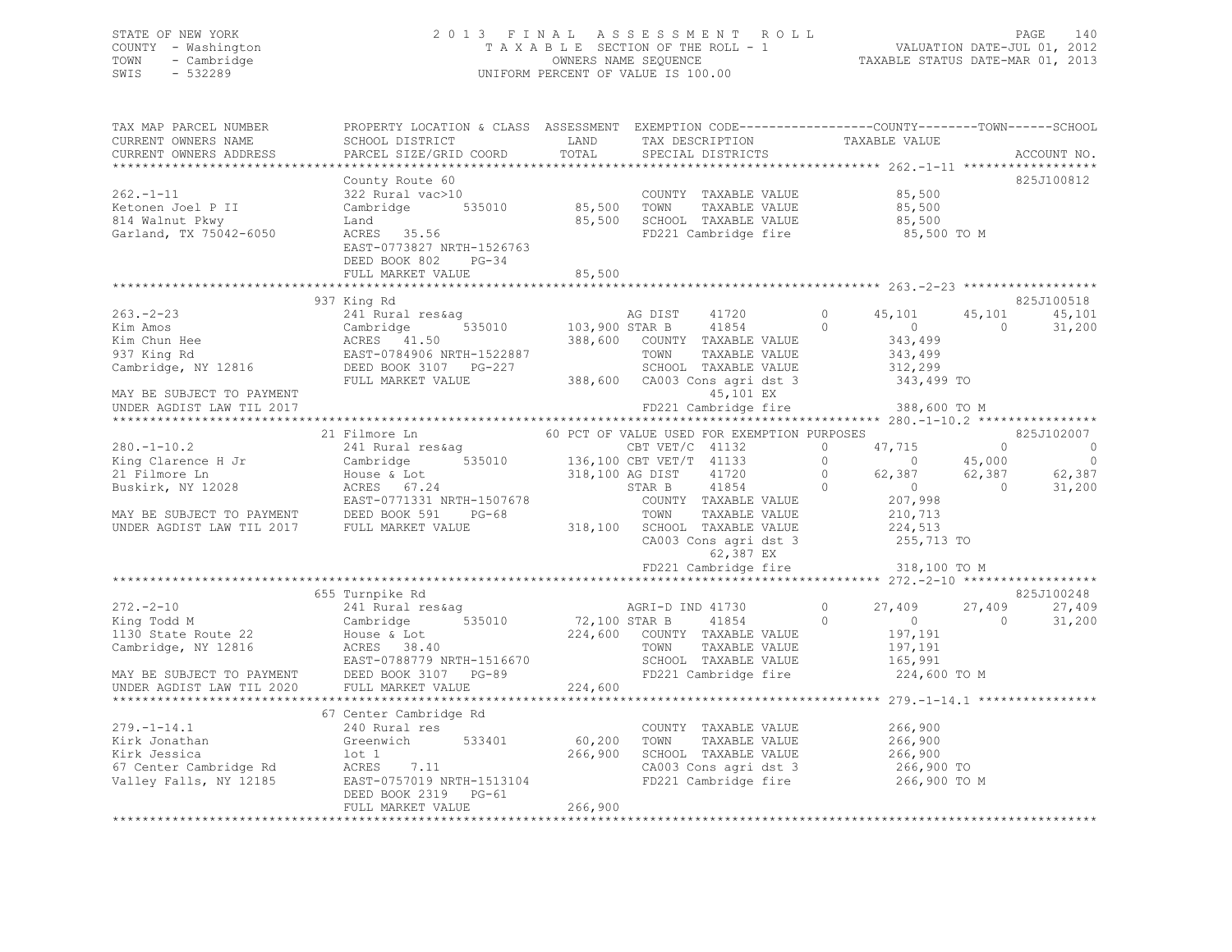### STATE OF NEW YORK 2 0 1 3 F I N A L A S S E S S M E N T R O L L PAGE 140 COUNTY - Washington T A X A B L E SECTION OF THE ROLL - 1 VALUATION DATE-JUL 01, 2012 TOWN - Cambridge OWNERS NAME SEQUENCE TAXABLE STATUS DATE-MAR 01, 2013 SWIS - 532289 UNIFORM PERCENT OF VALUE IS 100.00

| TAX MAP PARCEL NUMBER<br>CURRENT OWNERS NAME<br>CURRENT OWNERS ADDRESS                                                                                               | PROPERTY LOCATION & CLASS ASSESSMENT EXEMPTION CODE-----------------COUNTY-------TOWN-----SCHOOL<br>SCHOOL DISTRICT<br>PARCEL SIZE/GRID COORD                                               | LAND<br>TOTAL                | TAX DESCRIPTION<br>SPECIAL DISTRICTS                                                                                                                                                                                                                                                             |                                            | TAXABLE VALUE                                                                                           |                                            | ACCOUNT NO.                                                        |
|----------------------------------------------------------------------------------------------------------------------------------------------------------------------|---------------------------------------------------------------------------------------------------------------------------------------------------------------------------------------------|------------------------------|--------------------------------------------------------------------------------------------------------------------------------------------------------------------------------------------------------------------------------------------------------------------------------------------------|--------------------------------------------|---------------------------------------------------------------------------------------------------------|--------------------------------------------|--------------------------------------------------------------------|
| $262 - 1 - 11$<br>Ketonen Joel P II<br>814 Walnut Pkwy<br>Garland, TX 75042-6050                                                                                     | County Route 60<br>322 Rural vac>10<br>Cambridge 535010<br>Land<br>ACRES 35.56<br>EAST-0773827 NRTH-1526763<br>DEED BOOK 802<br>$PG-34$                                                     | 85,500<br>85,500             | COUNTY TAXABLE VALUE<br>TOWN<br>TAXABLE VALUE<br>SCHOOL TAXABLE VALUE<br>FD221 Cambridge fire                                                                                                                                                                                                    |                                            | 85,500<br>85,500<br>85,500<br>85,500 TO M                                                               |                                            | 825J100812                                                         |
|                                                                                                                                                                      | FULL MARKET VALUE                                                                                                                                                                           | 85,500                       |                                                                                                                                                                                                                                                                                                  |                                            |                                                                                                         |                                            |                                                                    |
|                                                                                                                                                                      |                                                                                                                                                                                             |                              |                                                                                                                                                                                                                                                                                                  |                                            |                                                                                                         |                                            |                                                                    |
| $263 - 2 - 23$<br>MAY BE SUBJECT TO PAYMENT<br>UNDER AGDIST LAW TIL 2017                                                                                             | 937 King Rd<br>241 Rural res&aq<br>Examples 1.50<br>Kim Chun Hee (ACRES 41.50)<br>937 King Rd (BAST-0784906 NRTH-1522887<br>Cambridge, NY 12816 (DEED BOOK 3107 PG-227<br>FULL MARKET VALUE | 535010 103,900 STAR B        | AG DIST<br>41720<br>41854<br>388,600 COUNTY TAXABLE VALUE<br>TOWN<br>TAXABLE VALUE<br>SCHOOL TAXABLE VALUE<br>388,600 CA003 Cons agri dst 3<br>45,101 EX<br>FD221 Cambridge fire                                                                                                                 | $\Omega$<br>$\Omega$                       | 45,101<br>$\overline{0}$<br>343,499<br>343,499<br>312,299<br>343,499 TO<br>388,600 TO M                 | 45,101<br>$\Omega$                         | 825J100518<br>45,101<br>31,200                                     |
|                                                                                                                                                                      |                                                                                                                                                                                             |                              |                                                                                                                                                                                                                                                                                                  |                                            |                                                                                                         |                                            |                                                                    |
| $280. - 1 - 10.2$<br>King Clarence H Jr<br>21 Filmore Ln<br>Buskirk, NY 12028<br>MAY BE SUBJECT TO PAYMENT DEED BOOK 591 INDER AGDIST LAW TIL 2017 FULL MARKET VALUE | 21 Filmore Ln<br>241 Rural res&aq<br>Cambridge<br>House & Lot<br>ACRES 67.24<br>EAST-0771331 NRTH-1507678<br>PG-68                                                                          |                              | 60 PCT OF VALUE USED FOR EXEMPTION PURPOSES<br>CBT $VET/C$ 41132<br>535010 136,100 CBT VET/T 41133<br>318,100 AG DIST<br>41720<br>STAR B<br>41854<br>COUNTY TAXABLE VALUE<br>TOWN<br>TAXABLE VALUE<br>318,100 SCHOOL TAXABLE VALUE<br>CA003 Cons agri dst 3<br>62,387 EX<br>FD221 Cambridge fire | $\circ$<br>$\Omega$<br>$\circ$<br>$\Omega$ | 47,715<br>$\Omega$<br>62,387<br>$\sim$ 0<br>207,998<br>210,713<br>224,513<br>255,713 TO<br>318,100 TO M | $\Omega$<br>45,000<br>62,387<br>$\bigcirc$ | 825J102007<br>$\overline{0}$<br>$\overline{0}$<br>62,387<br>31,200 |
|                                                                                                                                                                      |                                                                                                                                                                                             |                              |                                                                                                                                                                                                                                                                                                  |                                            |                                                                                                         |                                            |                                                                    |
| $272 - 2 - 10$<br>King Todd M<br>1130 State Route 22<br>Cambridge, NY 12816<br>MAY BE SUBJECT TO PAYMENT<br>UNDER AGDIST LAW TIL 2020                                | 655 Turnpike Rd<br>241 Rural res&ag<br>535010<br>Cambridge<br>House & Lot<br>ACRES 38.40<br>EAST-0788779 NRTH-1516670<br>DEED BOOK 3107 PG-89<br>FULL MARKET VALUE                          | 72,100 STAR B<br>224,600     | AGRI-D IND 41730<br>41854<br>224,600 COUNTY TAXABLE VALUE<br>TOWN<br>TAXABLE VALUE<br>SCHOOL TAXABLE VALUE<br>FD221 Cambridge fire                                                                                                                                                               | $\circ$<br>$\Omega$                        | 27,409<br>$\overline{0}$<br>197,191<br>197,191<br>165,991<br>224,600 TO M                               | 27,409<br>$\Omega$                         | 825J100248<br>27,409<br>31,200                                     |
|                                                                                                                                                                      |                                                                                                                                                                                             |                              | ************************************ 279.-1-14.1                                                                                                                                                                                                                                                 |                                            |                                                                                                         |                                            |                                                                    |
| $279. - 1 - 14.1$<br>Kirk Jonathan<br>Kirk Jessica<br>67 Center Cambridge Rd<br>Valley Falls, NY 12185                                                               | 67 Center Cambridge Rd<br>240 Rural res<br>533401<br>Greenwich<br>lot 1<br>ACRES 7.11<br>EAST-0757019 NRTH-1513104<br>DEED BOOK 2319 PG-61<br>FULL MARKET VALUE                             | 60,200<br>266,900<br>266,900 | COUNTY TAXABLE VALUE<br>TOWN<br>TAXABLE VALUE<br>SCHOOL TAXABLE VALUE<br>CA003 Cons agri dst 3<br>FD221 Cambridge fire                                                                                                                                                                           |                                            | 266,900<br>266,900<br>266,900<br>266,900 TO<br>266,900 TO M                                             |                                            |                                                                    |
|                                                                                                                                                                      |                                                                                                                                                                                             |                              |                                                                                                                                                                                                                                                                                                  |                                            |                                                                                                         |                                            |                                                                    |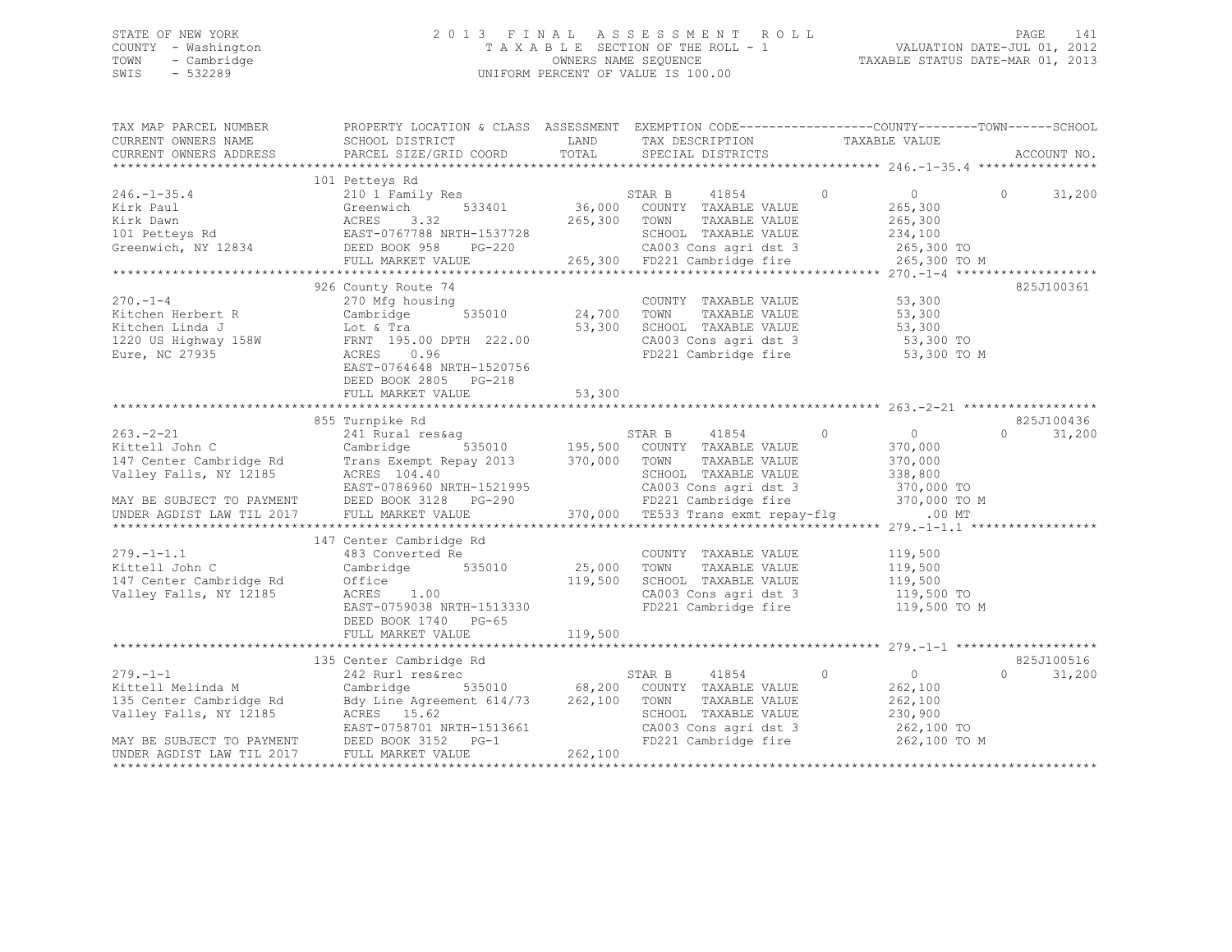### STATE OF NEW YORK 2 0 1 3 F I N A L A S S E S S M E N T R O L L PAGE 141 COUNTY - Washington T A X A B L E SECTION OF THE ROLL - 1 VALUATION DATE-JUL 01, 2012 TOWN - Cambridge OWNERS NAME SEQUENCE TAXABLE STATUS DATE-MAR 01, 2013 SWIS - 532289 UNIFORM PERCENT OF VALUE IS 100.00

| TAX MAP PARCEL NUMBER   | PROPERTY LOCATION & CLASS ASSESSMENT EXEMPTION CODE----------------COUNTY-------TOWN------SCHOOL<br>CURRENT OWNERS NAME SCHOOL DISTRICT                                                                                                                                         | LAND    | TAX DESCRIPTION TAXABLE VALUE                                                                                                                                                                                                                                                                                                    |                      |                                 |
|-------------------------|---------------------------------------------------------------------------------------------------------------------------------------------------------------------------------------------------------------------------------------------------------------------------------|---------|----------------------------------------------------------------------------------------------------------------------------------------------------------------------------------------------------------------------------------------------------------------------------------------------------------------------------------|----------------------|---------------------------------|
| CURRENT OWNERS ADDRESS  | PARCEL SIZE/GRID COORD                                                                                                                                                                                                                                                          |         | TOTAL SPECIAL DISTRICTS                                                                                                                                                                                                                                                                                                          |                      | ACCOUNT NO.                     |
|                         |                                                                                                                                                                                                                                                                                 |         |                                                                                                                                                                                                                                                                                                                                  |                      |                                 |
|                         | 101 Petteys Rd                                                                                                                                                                                                                                                                  |         |                                                                                                                                                                                                                                                                                                                                  |                      |                                 |
| $246. - 1 - 35.4$       | 210 $\overline{1}$ Family Res STAR B 41854 0 0 0                                                                                                                                                                                                                                |         |                                                                                                                                                                                                                                                                                                                                  |                      | 31,200<br>$\Omega$ and $\Omega$ |
|                         | 246.-1-35.4<br>266.-1-35.4<br>265.300<br>265.300<br>265.300<br>265.300<br>265.300<br>265.300<br>265.300<br>265.300<br>265.300<br>265.300<br>265.300<br>265.300<br>265.300<br>265.300<br>265.300<br>265.300<br>265.300<br>265.300<br>265.300<br>265.                             |         | $\begin{array}{ccccccccc}\n\text{Ly Res} & & & & & \text{STAK B} & & & \text{410J}\text{m} & & & & \text{265,300} \\ \text{Jy Res} & & & & & 36,000 & & \text{COUNTY} & \text{TAXABLE VALUE} & & & & 265,300 \\ \text{Jy Res} & & & & & & \text{36,000} & & \text{COUNTY} & & \text{TAXABLE VALUE} & & & & 265,300\n\end{array}$ |                      |                                 |
|                         |                                                                                                                                                                                                                                                                                 |         |                                                                                                                                                                                                                                                                                                                                  |                      |                                 |
|                         |                                                                                                                                                                                                                                                                                 |         |                                                                                                                                                                                                                                                                                                                                  |                      |                                 |
|                         |                                                                                                                                                                                                                                                                                 |         |                                                                                                                                                                                                                                                                                                                                  |                      |                                 |
|                         |                                                                                                                                                                                                                                                                                 |         |                                                                                                                                                                                                                                                                                                                                  |                      |                                 |
|                         |                                                                                                                                                                                                                                                                                 |         |                                                                                                                                                                                                                                                                                                                                  |                      |                                 |
|                         | 926 County Route 74                                                                                                                                                                                                                                                             |         |                                                                                                                                                                                                                                                                                                                                  |                      | 825J100361                      |
| $270 - 1 - 4$           | 270 Mfg housing                                                                                                                                                                                                                                                                 |         | COUNTY TAXABLE VALUE 53,300                                                                                                                                                                                                                                                                                                      |                      |                                 |
|                         | 535010 24,700 TOWN                                                                                                                                                                                                                                                              |         |                                                                                                                                                                                                                                                                                                                                  | TAXABLE VALUE 53,300 |                                 |
|                         |                                                                                                                                                                                                                                                                                 |         |                                                                                                                                                                                                                                                                                                                                  |                      |                                 |
|                         | Xitchen Herbert R<br>Xitchen Linda J<br>Xitchen Linda J<br>1220 US Highway 158W<br>Eure, NC 27935<br>235010<br>24,700<br>24,700<br>25,300<br>25,300<br>27935<br>27935<br>27935<br>27935<br>27935<br>27935<br>27935<br>27935<br>2795<br>2795<br>2796<br>2796<br>2796<br>2796<br> |         | SCHOOL TAXABLE VALUE 53,300<br>CA003 Cons agri dst 3 53,300 TO                                                                                                                                                                                                                                                                   |                      |                                 |
|                         |                                                                                                                                                                                                                                                                                 |         | FD221 Cambridge fire 53,300 TO M                                                                                                                                                                                                                                                                                                 |                      |                                 |
|                         | EAST-0764648 NRTH-1520756                                                                                                                                                                                                                                                       |         |                                                                                                                                                                                                                                                                                                                                  |                      |                                 |
|                         | DEED BOOK 2805 PG-218                                                                                                                                                                                                                                                           |         |                                                                                                                                                                                                                                                                                                                                  |                      |                                 |
|                         | FULL MARKET VALUE                                                                                                                                                                                                                                                               | 53,300  |                                                                                                                                                                                                                                                                                                                                  |                      |                                 |
|                         |                                                                                                                                                                                                                                                                                 |         |                                                                                                                                                                                                                                                                                                                                  |                      |                                 |
|                         | 855 Turnpike Rd                                                                                                                                                                                                                                                                 |         |                                                                                                                                                                                                                                                                                                                                  |                      | 825J100436                      |
|                         | 963.-2-21<br>Xittell John C 241 Rural res&ag<br>Xittell John C Cambridge Rd Cambridge 535010<br>147 Center Cambridge Rd Trans Exempt Repay 2013<br>Xalley Falls, NY 12185<br>Xacres 104.40<br>MAY BE SUBJECT TO PAYMENT DEED BOOK 3128 PG-                                      |         | STAR B 41854 0                                                                                                                                                                                                                                                                                                                   | $\overline{0}$       | $\Omega$<br>31,200              |
|                         |                                                                                                                                                                                                                                                                                 |         |                                                                                                                                                                                                                                                                                                                                  | 370,000              |                                 |
|                         |                                                                                                                                                                                                                                                                                 |         | TAXABLE VALUE                                                                                                                                                                                                                                                                                                                    | 370,000              |                                 |
|                         |                                                                                                                                                                                                                                                                                 |         |                                                                                                                                                                                                                                                                                                                                  |                      |                                 |
|                         |                                                                                                                                                                                                                                                                                 |         |                                                                                                                                                                                                                                                                                                                                  |                      |                                 |
|                         |                                                                                                                                                                                                                                                                                 |         | SCHOOL TAXABLE VALUE 338,800<br>-1521995 CA003 Cons agri dst 3 370,000 TO<br>-290 FD221 Cambridge fire 370,000 TO M<br>370,000 TE533 Trans exmt repay-flg .00 MT                                                                                                                                                                 |                      |                                 |
|                         |                                                                                                                                                                                                                                                                                 |         |                                                                                                                                                                                                                                                                                                                                  |                      |                                 |
|                         |                                                                                                                                                                                                                                                                                 |         |                                                                                                                                                                                                                                                                                                                                  |                      |                                 |
|                         | 147 Center Cambridge Rd                                                                                                                                                                                                                                                         |         |                                                                                                                                                                                                                                                                                                                                  |                      |                                 |
| $279. - 1 - 1.1$        |                                                                                                                                                                                                                                                                                 |         | COUNTY TAXABLE VALUE 119,500<br>TOWN TAXABLE VALUE 119,500                                                                                                                                                                                                                                                                       |                      |                                 |
| Kittell John C          |                                                                                                                                                                                                                                                                                 |         | TAXABLE VALUE                                                                                                                                                                                                                                                                                                                    |                      |                                 |
| 147 Center Cambridge Rd | $1.00$ $119,500$<br>Office                                                                                                                                                                                                                                                      |         | SCHOOL TAXABLE VALUE 119,500<br>CA003 Cons agri dst 3 119,500 TO                                                                                                                                                                                                                                                                 |                      |                                 |
| Valley Falls, NY 12185  | ACRES 1.00                                                                                                                                                                                                                                                                      |         |                                                                                                                                                                                                                                                                                                                                  |                      |                                 |
|                         | EAST-0759038 NRTH-1513330                                                                                                                                                                                                                                                       |         | FD221 Cambridge fire 119,500 TO M                                                                                                                                                                                                                                                                                                |                      |                                 |
|                         | DEED BOOK 1740 PG-65                                                                                                                                                                                                                                                            |         |                                                                                                                                                                                                                                                                                                                                  |                      |                                 |
|                         | FULL MARKET VALUE                                                                                                                                                                                                                                                               | 119,500 |                                                                                                                                                                                                                                                                                                                                  |                      |                                 |
|                         |                                                                                                                                                                                                                                                                                 |         |                                                                                                                                                                                                                                                                                                                                  |                      |                                 |
|                         | 135 Center Cambridge Rd                                                                                                                                                                                                                                                         |         |                                                                                                                                                                                                                                                                                                                                  |                      | 825J100516                      |
|                         |                                                                                                                                                                                                                                                                                 |         | STAR B 41854 0 0                                                                                                                                                                                                                                                                                                                 |                      | $\Omega$<br>31,200              |
|                         | 279.-1-1<br>Xittell Melinda M<br>Xittell Melinda M<br>Cambridge S35010 68,200 COUNTY TAXABLE VALUE<br>135 Center Cambridge Rd<br>262,100 TOWN TAXABLE VALUE<br>Valley Falls, NY 12185 ACRES 15.62<br>MAY BE SUBJECT TO PAYMENT DEED BOOK 315                                    |         |                                                                                                                                                                                                                                                                                                                                  | 262,100              |                                 |
|                         |                                                                                                                                                                                                                                                                                 |         | TOWN     TAXABLE VALUE<br>SCHOOL   TAXABLE VALUE                                                                                                                                                                                                                                                                                 | 262,100<br>230,900   |                                 |
|                         |                                                                                                                                                                                                                                                                                 |         |                                                                                                                                                                                                                                                                                                                                  |                      |                                 |
|                         |                                                                                                                                                                                                                                                                                 |         | CA003 Cons agri dst 3 262,100 TO                                                                                                                                                                                                                                                                                                 |                      |                                 |
|                         |                                                                                                                                                                                                                                                                                 |         | FD221 Cambridge fire                                                                                                                                                                                                                                                                                                             | 262,100 TO M         |                                 |
|                         |                                                                                                                                                                                                                                                                                 |         |                                                                                                                                                                                                                                                                                                                                  |                      |                                 |
|                         |                                                                                                                                                                                                                                                                                 |         |                                                                                                                                                                                                                                                                                                                                  |                      |                                 |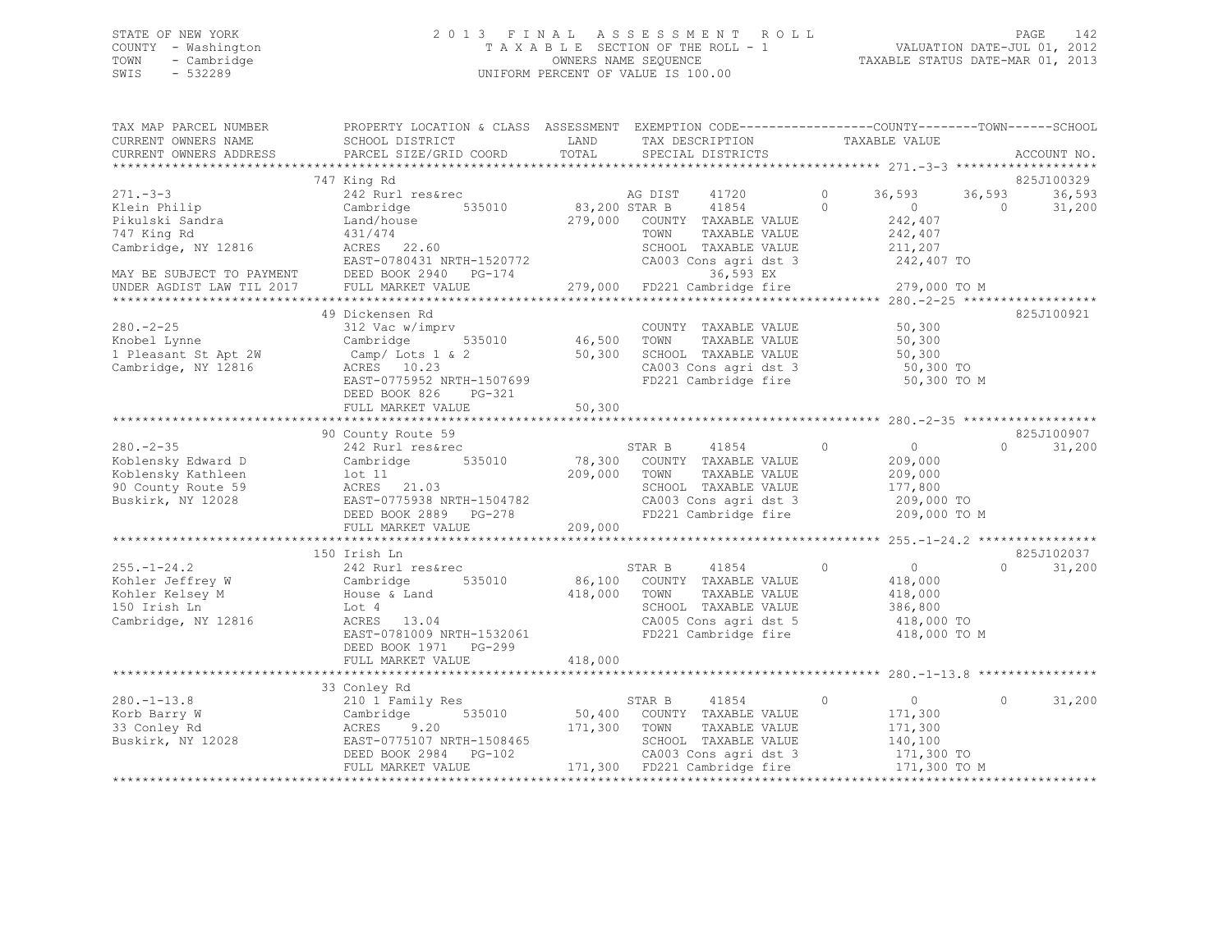### STATE OF NEW YORK 2 0 1 3 F I N A L A S S E S S M E N T R O L L PAGE 142 COUNTY - Washington T A X A B L E SECTION OF THE ROLL - 1 VALUATION DATE-JUL 01, 2012 TOWN - Cambridge OWNERS NAME SEQUENCE TAXABLE STATUS DATE-MAR 01, 2013 SWIS - 532289 UNIFORM PERCENT OF VALUE IS 100.00

| TAX MAP PARCEL NUMBER<br>CURRENT OWNERS NAME                                                           | PROPERTY LOCATION & CLASS ASSESSMENT EXEMPTION CODE----------------COUNTY-------TOWN-----SCHOOL<br>SCHOOL DISTRICT                                                        | LAND                         | TAX DESCRIPTION                                                                                                                                   | TAXABLE VALUE                                                                            |                    |                      |
|--------------------------------------------------------------------------------------------------------|---------------------------------------------------------------------------------------------------------------------------------------------------------------------------|------------------------------|---------------------------------------------------------------------------------------------------------------------------------------------------|------------------------------------------------------------------------------------------|--------------------|----------------------|
| CURRENT OWNERS ADDRESS                                                                                 | PARCEL SIZE/GRID COORD                                                                                                                                                    | TOTAL                        | SPECIAL DISTRICTS                                                                                                                                 |                                                                                          |                    | ACCOUNT NO.          |
|                                                                                                        | 747 King Rd                                                                                                                                                               |                              |                                                                                                                                                   |                                                                                          |                    | 825J100329           |
| $271 - 3 - 3$<br>Klein Philip<br>Pikulski Sandra<br>747 King Rd<br>Cambridge, NY 12816                 | 242 Rurl res&rec<br>Cambridge<br>535010<br>Land/house<br>431/474<br>ACRES 22.60                                                                                           | 83,200 STAR B<br>279,000     | AG DIST<br>41720<br>41854<br>COUNTY TAXABLE VALUE<br>TAXABLE VALUE<br>TOWN<br>SCHOOL TAXABLE VALUE                                                | $\circ$<br>36,593<br>$\Omega$<br>$\circ$<br>242,407<br>242,407<br>211,207                | 36,593<br>$\Omega$ | 36,593<br>31,200     |
| MAY BE SUBJECT TO PAYMENT<br>UNDER AGDIST LAW TIL 2017                                                 | EAST-0780431 NRTH-1520772<br>DEED BOOK 2940 PG-174<br>FULL MARKET VALUE                                                                                                   |                              | CA003 Cons agri dst 3<br>36,593 EX<br>279,000 FD221 Cambridge fire                                                                                | 242,407 TO<br>279,000 TO M                                                               |                    |                      |
|                                                                                                        |                                                                                                                                                                           |                              |                                                                                                                                                   |                                                                                          |                    |                      |
| $280. - 2 - 25$<br>Knobel Lynne<br>1 Pleasant St Apt 2W<br>Cambridge, NY 12816                         | 49 Dickensen Rd<br>312 Vac w/imprv<br>Cambridge<br>535010<br>Camp/ Lots 1 & 2<br>ACRES 10.23<br>EAST-0775952 NRTH-1507699<br>DEED BOOK 826<br>PG-321<br>FULL MARKET VALUE | 46,500<br>50,300<br>50,300   | COUNTY TAXABLE VALUE<br>TOWN<br>TAXABLE VALUE<br>SCHOOL TAXABLE VALUE<br>CA003 Cons agri dst 3<br>FD221 Cambridge fire                            | 50,300<br>50,300<br>50,300<br>50,300 TO<br>50,300 TO M                                   |                    | 825J100921           |
|                                                                                                        |                                                                                                                                                                           |                              |                                                                                                                                                   |                                                                                          |                    |                      |
| $280. - 2 - 35$<br>Koblensky Edward D<br>Koblensky Kathleen<br>90 County Route 59<br>Buskirk, NY 12028 | 90 County Route 59<br>242 Rurl res&rec<br>535010<br>Cambridge<br>$1$ ot $11$<br>ACRES 21.03<br>EAST-0775938 NRTH-1504782<br>DEED BOOK 2889 PG-278<br>FULL MARKET VALUE    | 78,300<br>209,000<br>209,000 | 41854<br>STAR B<br>COUNTY TAXABLE VALUE<br>TOWN<br>TAXABLE VALUE<br>SCHOOL TAXABLE VALUE<br>CA003 Cons agri dst 3<br>FD221 Cambridge fire         | $\Omega$<br>$\Omega$<br>209,000<br>209,000<br>177,800<br>209,000 TO<br>209,000 TO M      | $\cap$             | 825J100907<br>31,200 |
|                                                                                                        | 150 Irish Ln                                                                                                                                                              |                              |                                                                                                                                                   |                                                                                          |                    | 825J102037           |
| $255. - 1 - 24.2$<br>Kohler Jeffrey W<br>Kohler Kelsey M<br>150 Irish Ln<br>Cambridge, NY 12816        | 242 Rurl res&rec<br>535010<br>Cambridge<br>House & Land<br>Lot 4<br>ACRES 13.04<br>EAST-0781009 NRTH-1532061<br>DEED BOOK 1971 PG-299                                     | 418,000                      | 41854<br>STAR B<br>86,100 COUNTY TAXABLE VALUE<br>TOWN<br>TAXABLE VALUE<br>SCHOOL TAXABLE VALUE<br>CA005 Cons agri dst 5<br>FD221 Cambridge fire  | $\overline{0}$<br>$\circ$<br>418,000<br>418,000<br>386,800<br>418,000 TO<br>418,000 TO M | $\Omega$           | 31,200               |
|                                                                                                        | FULL MARKET VALUE                                                                                                                                                         | 418,000                      |                                                                                                                                                   |                                                                                          |                    |                      |
|                                                                                                        |                                                                                                                                                                           |                              |                                                                                                                                                   |                                                                                          |                    |                      |
| $280. - 1 - 13.8$<br>Korb Barry W<br>33 Conley Rd<br>Buskirk, NY 12028                                 | 33 Conley Rd<br>210 1 Family Res<br>535010<br>Cambridge<br>ACRES<br>9.20<br>EAST-0775107 NRTH-1508465<br>DEED BOOK 2984 PG-102<br>FULL MARKET VALUE                       | 50,400<br>171,300            | STAR B<br>41854<br>COUNTY TAXABLE VALUE<br>TOWN<br>TAXABLE VALUE<br>SCHOOL TAXABLE VALUE<br>CA003 Cons agri dst 3<br>171,300 FD221 Cambridge fire | $\overline{0}$<br>$\circ$<br>171,300<br>171,300<br>140,100<br>171,300 TO<br>171,300 TO M | $\circ$            | 31,200               |
|                                                                                                        |                                                                                                                                                                           |                              |                                                                                                                                                   |                                                                                          |                    |                      |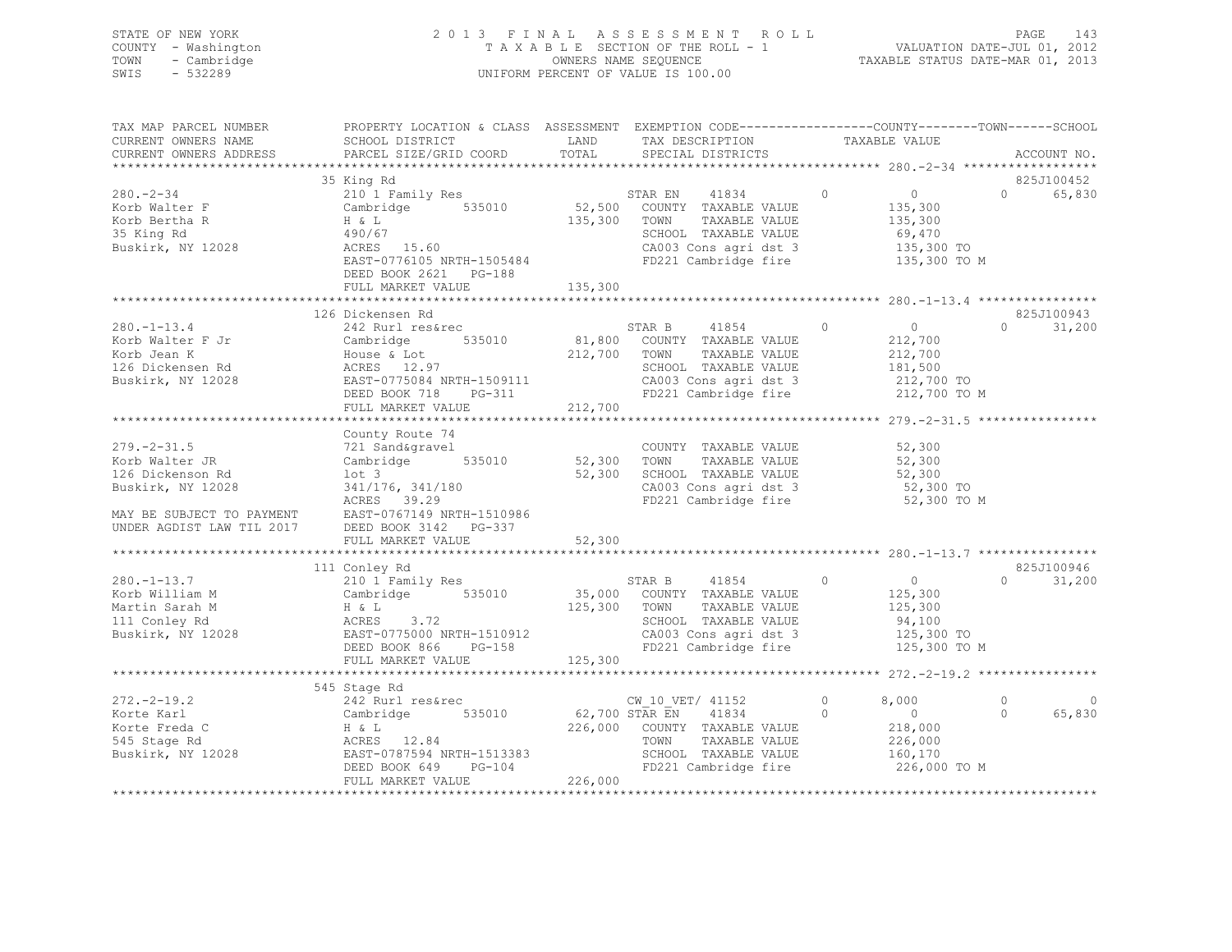|      | STATE OF NEW YORK   | 2013 FINAL ASSESSMENT ROLL         |                                  | PAGE                        | - 143 |
|------|---------------------|------------------------------------|----------------------------------|-----------------------------|-------|
|      | COUNTY - Washington | TAXABLE SECTION OF THE ROLL - 1    |                                  | VALUATION DATE-JUL 01, 2012 |       |
| TOWN | - Cambridge         | OWNERS NAME SEQUENCE               | TAXABLE STATUS DATE-MAR 01, 2013 |                             |       |
| SWIS | - 532289            | UNIFORM PERCENT OF VALUE IS 100.00 |                                  |                             |       |
|      |                     |                                    |                                  |                             |       |

| TAX MAP PARCEL NUMBER                                                                                                                                                                                                                           | PROPERTY LOCATION & CLASS ASSESSMENT EXEMPTION CODE----------------COUNTY-------TOWN-----SCHOOL |         |                                                                                                                                                                                      |                |                      |                       |               |
|-------------------------------------------------------------------------------------------------------------------------------------------------------------------------------------------------------------------------------------------------|-------------------------------------------------------------------------------------------------|---------|--------------------------------------------------------------------------------------------------------------------------------------------------------------------------------------|----------------|----------------------|-----------------------|---------------|
| CURRENT OWNERS NAME                                                                                                                                                                                                                             | SCHOOL DISTRICT                                                                                 | LAND    |                                                                                                                                                                                      |                |                      |                       |               |
| CURRENT OWNERS ADDRESS PARCEL SIZE/GRID COORD                                                                                                                                                                                                   |                                                                                                 | TOTAL   | TAX DESCRIPTION TAXABLE VALUE SPECIAL DISTRICTS                                                                                                                                      |                |                      |                       | ACCOUNT NO.   |
|                                                                                                                                                                                                                                                 |                                                                                                 |         |                                                                                                                                                                                      |                |                      |                       |               |
|                                                                                                                                                                                                                                                 | 35 King Rd                                                                                      |         |                                                                                                                                                                                      |                |                      |                       | 825J100452    |
| $280 - 2 - 34$                                                                                                                                                                                                                                  | 210 1 Family Res                                                                                |         | STAR EN 41834 0 0                                                                                                                                                                    |                |                      | $\bigcap$             | 65,830        |
| Korb Walter F                                                                                                                                                                                                                                   |                                                                                                 |         |                                                                                                                                                                                      |                | 135,300              |                       |               |
| Korb Bertha R                                                                                                                                                                                                                                   |                                                                                                 |         | 135,300 TOWN<br>TAXABLE VALUE                                                                                                                                                        |                | 135,300              |                       |               |
| 35 King Rd                                                                                                                                                                                                                                      | H & L (135,300)<br>490/67<br>ACRES 15.60                                                        |         | SCHOOL TAXABLE VALUE                                                                                                                                                                 |                |                      |                       |               |
| Buskirk, NY 12028                                                                                                                                                                                                                               |                                                                                                 |         |                                                                                                                                                                                      |                | 69,470<br>135,300 TO |                       |               |
|                                                                                                                                                                                                                                                 | EAST-0776105 NRTH-1505484                                                                       |         | CA003 Cons agri dst 3 135,300 TO<br>FD221 Cambridge fire 135,300 TO M                                                                                                                |                |                      |                       |               |
|                                                                                                                                                                                                                                                 | DEED BOOK 2621 PG-188                                                                           |         |                                                                                                                                                                                      |                |                      |                       |               |
|                                                                                                                                                                                                                                                 |                                                                                                 | 135,300 |                                                                                                                                                                                      |                |                      |                       |               |
|                                                                                                                                                                                                                                                 | FULL MARKET VALUE                                                                               |         |                                                                                                                                                                                      |                |                      |                       |               |
|                                                                                                                                                                                                                                                 |                                                                                                 |         |                                                                                                                                                                                      |                |                      |                       |               |
| 126 Dickensen Rd<br>242 Rurl res&rec<br>242 Rurl res&rec<br>242 Rurl res&rec<br>242 Rurl res&rec<br>212,700 RDM TAXABLE VALUE<br>212,700 TOWN TAXABLE VALUE<br>212,700 TOWN TAXABLE VALUE<br>212,700 TOWN TAXABLE VALUE<br>212,700 TOWN TAXABLE | 126 Dickensen Rd                                                                                |         |                                                                                                                                                                                      |                |                      |                       | 825J100943    |
|                                                                                                                                                                                                                                                 |                                                                                                 |         | STAR B 41854 0 0                                                                                                                                                                     |                |                      | $\Omega$ and $\Omega$ | 31,200        |
|                                                                                                                                                                                                                                                 |                                                                                                 |         |                                                                                                                                                                                      |                | 212,700<br>212,700   |                       |               |
|                                                                                                                                                                                                                                                 |                                                                                                 |         |                                                                                                                                                                                      |                |                      |                       |               |
|                                                                                                                                                                                                                                                 |                                                                                                 |         |                                                                                                                                                                                      |                |                      |                       |               |
|                                                                                                                                                                                                                                                 |                                                                                                 |         | SCHOOL TAXABLE VALUE 181,500<br>CA003 Cons agri dst 3 212,700 TO<br>FD221 Cambridge fire 212,700 TO M                                                                                |                |                      |                       |               |
|                                                                                                                                                                                                                                                 | DEED BOOK 718 PG-311                                                                            |         |                                                                                                                                                                                      |                |                      |                       |               |
|                                                                                                                                                                                                                                                 | FULL MARKET VALUE                                                                               | 212,700 |                                                                                                                                                                                      |                |                      |                       |               |
|                                                                                                                                                                                                                                                 |                                                                                                 |         |                                                                                                                                                                                      |                |                      |                       |               |
|                                                                                                                                                                                                                                                 | County Route 74                                                                                 |         |                                                                                                                                                                                      |                |                      |                       |               |
| $279. - 2 - 31.5$                                                                                                                                                                                                                               |                                                                                                 |         | COUNTY TAXABLE VALUE 52,300                                                                                                                                                          |                |                      |                       |               |
| Korb Walter JR                                                                                                                                                                                                                                  | 721 Sand&gravel COUNT<br>Cambridge 535010 52,300 TOWN                                           |         | TAXABLE VALUE 52,300                                                                                                                                                                 |                |                      |                       |               |
| 126 Dickenson Rd                                                                                                                                                                                                                                |                                                                                                 |         | 52,300 SCHOOL TAXABLE VALUE 52,300<br>CALO CONSTRAINE VALUE 52,300<br>The constant of the state of the state of the state of the state of the state of the state of the state of the |                |                      |                       |               |
| Buskirk, NY 12028                                                                                                                                                                                                                               | lot 3<br>341/176, 341/180<br>ACRES 39.29                                                        |         |                                                                                                                                                                                      |                |                      |                       |               |
|                                                                                                                                                                                                                                                 |                                                                                                 |         | FD221 Cambridge fire                                                                                                                                                                 |                | 52,300 TO M          |                       |               |
|                                                                                                                                                                                                                                                 |                                                                                                 |         |                                                                                                                                                                                      |                |                      |                       |               |
| MAY BE SUBJECT TO PAYMENT EAST-0767149 NRTH-1510986<br>UNDER AGDIST LAW TIL 2017 DEED BOOK 3142 PG-337                                                                                                                                          |                                                                                                 |         |                                                                                                                                                                                      |                |                      |                       |               |
|                                                                                                                                                                                                                                                 |                                                                                                 |         |                                                                                                                                                                                      |                |                      |                       |               |
|                                                                                                                                                                                                                                                 |                                                                                                 |         |                                                                                                                                                                                      |                |                      |                       |               |
|                                                                                                                                                                                                                                                 |                                                                                                 |         |                                                                                                                                                                                      |                |                      |                       | 825J100946    |
|                                                                                                                                                                                                                                                 | 111 Conley Rd                                                                                   |         |                                                                                                                                                                                      |                |                      |                       |               |
| $280. - 1 - 13.7$                                                                                                                                                                                                                               |                                                                                                 |         |                                                                                                                                                                                      |                |                      |                       | $0 \t 31,200$ |
|                                                                                                                                                                                                                                                 |                                                                                                 |         |                                                                                                                                                                                      |                |                      |                       |               |
|                                                                                                                                                                                                                                                 |                                                                                                 |         |                                                                                                                                                                                      |                |                      |                       |               |
|                                                                                                                                                                                                                                                 |                                                                                                 |         |                                                                                                                                                                                      |                |                      |                       |               |
| 280.-1-13.7<br>Xorb William M Cambridge 535010 35,000 COUNTY TAXABLE VALUE<br>Martin Sarah M H & L<br>125,300 TOWN TAXABLE VALUE 125,300<br>111 Conley Rd ACRES 3.72<br>Buskirk, NY 12028 EAST-0775000 NRTH-1510912 CA003 Cons agri dst         |                                                                                                 |         |                                                                                                                                                                                      |                |                      |                       |               |
|                                                                                                                                                                                                                                                 |                                                                                                 |         |                                                                                                                                                                                      |                |                      |                       |               |
|                                                                                                                                                                                                                                                 | FULL MARKET VALUE                                                                               | 125,300 |                                                                                                                                                                                      |                |                      |                       |               |
|                                                                                                                                                                                                                                                 |                                                                                                 |         |                                                                                                                                                                                      |                |                      |                       |               |
|                                                                                                                                                                                                                                                 | 545 Stage Rd                                                                                    |         |                                                                                                                                                                                      |                |                      |                       |               |
|                                                                                                                                                                                                                                                 |                                                                                                 |         |                                                                                                                                                                                      | $\overline{0}$ | 8,000                | $\circ$               | $\Omega$      |
|                                                                                                                                                                                                                                                 |                                                                                                 |         |                                                                                                                                                                                      |                | $\overline{0}$       | $\Omega$              | 65,830        |
|                                                                                                                                                                                                                                                 |                                                                                                 |         |                                                                                                                                                                                      |                | 218,000<br>226,000   |                       |               |
|                                                                                                                                                                                                                                                 |                                                                                                 |         |                                                                                                                                                                                      |                |                      |                       |               |
|                                                                                                                                                                                                                                                 |                                                                                                 |         |                                                                                                                                                                                      |                |                      |                       |               |
|                                                                                                                                                                                                                                                 |                                                                                                 |         | SCHOOL TAXABLE VALUE 160,170<br>FD221 Cambridge fire 226,000 TO M                                                                                                                    |                |                      |                       |               |
|                                                                                                                                                                                                                                                 | FULL MARKET VALUE                                                                               | 226,000 |                                                                                                                                                                                      |                |                      |                       |               |
|                                                                                                                                                                                                                                                 |                                                                                                 |         |                                                                                                                                                                                      |                |                      |                       |               |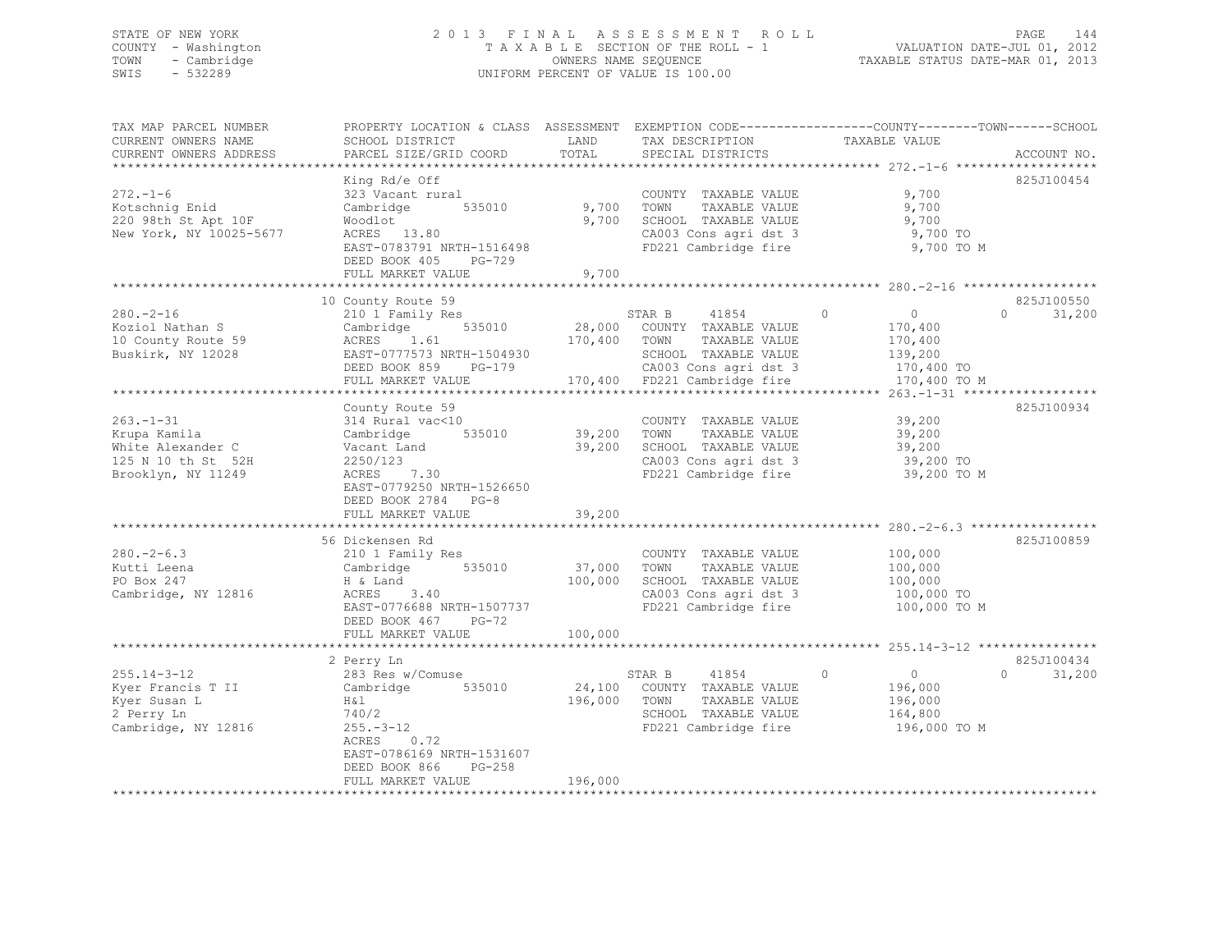### STATE OF NEW YORK 2 0 1 3 F I N A L A S S E S S M E N T R O L L PAGE 144 COUNTY - Washington T A X A B L E SECTION OF THE ROLL - 1 VALUATION DATE-JUL 01, 2012 TOWN - Cambridge OWNERS NAME SEQUENCE TAXABLE STATUS DATE-MAR 01, 2013 SWIS - 532289 UNIFORM PERCENT OF VALUE IS 100.00

| TAX MAP PARCEL NUMBER<br>CURRENT OWNERS NAME<br>CURRENT OWNERS ADDRESS                           | PROPERTY LOCATION & CLASS ASSESSMENT EXEMPTION CODE----------------COUNTY-------TOWN------SCHOOL<br>SCHOOL DISTRICT<br>PARCEL SIZE/GRID COORD                                | LAND<br>TOTAL                | TAX DESCRIPTION<br>SPECIAL DISTRICTS                                                                                                                     | TAXABLE VALUE                                                                                                       | ACCOUNT NO.                      |
|--------------------------------------------------------------------------------------------------|------------------------------------------------------------------------------------------------------------------------------------------------------------------------------|------------------------------|----------------------------------------------------------------------------------------------------------------------------------------------------------|---------------------------------------------------------------------------------------------------------------------|----------------------------------|
|                                                                                                  |                                                                                                                                                                              |                              |                                                                                                                                                          |                                                                                                                     |                                  |
| $272. - 1 - 6$<br>Kotschnig Enid<br>220 98th St Apt 10F<br>New York, NY 10025-5677               | King Rd/e Off<br>323 Vacant rural<br>Cambridge 535010<br>Woodlot<br>ACRES 13.80<br>EAST-0783791 NRTH-1516498<br>DEED BOOK 405 PG-729                                         | 9,700<br>9,700               | COUNTY TAXABLE VALUE<br>TOWN<br>TAXABLE VALUE<br>SCHOOL TAXABLE VALUE<br>CA003 Cons agri dst 3<br>FD221 Cambridge fire                                   | 9,700<br>9,700<br>9,700<br>9,700 TO<br>9,700 TO M                                                                   | 825J100454                       |
|                                                                                                  | FULL MARKET VALUE                                                                                                                                                            | 9,700                        |                                                                                                                                                          |                                                                                                                     |                                  |
| $280 - 2 - 16$<br>Koziol Nathan S<br>10 County Route 59<br>Buskirk, NY 12028                     | 10 County Route 59<br>210 1 Family Res<br>535010<br>Cambridge<br>ACRES 1.61<br>EAST-0777573 NRTH-1504930<br>DEED BOOK 859 PG-179<br>FULL MARKET VALUE                        | 170,400                      | STAR B<br>41854<br>28,000 COUNTY TAXABLE VALUE<br>TOWN<br>TAXABLE VALUE<br>SCHOOL TAXABLE VALUE<br>CA003 Cons agri dst 3<br>170,400 FD221 Cambridge fire | $\Omega$<br>$\begin{array}{ccc} & & 0 & \end{array}$<br>170,400<br>170,400<br>139,200<br>170,400 TO<br>170,400 TO M | 825J100550<br>$\Omega$<br>31,200 |
|                                                                                                  |                                                                                                                                                                              |                              |                                                                                                                                                          |                                                                                                                     |                                  |
| $263. - 1 - 31$<br>Krupa Kamila<br>White Alexander C<br>125 N 10 th St 52H<br>Brooklyn, NY 11249 | County Route 59<br>314 Rural vac<10<br>Cambridge 535010<br>Vacant Land<br>2250/123<br>ACRES<br>7.30<br>EAST-0779250 NRTH-1526650<br>DEED BOOK 2784 PG-8<br>FULL MARKET VALUE | 39,200<br>39,200<br>39,200   | COUNTY TAXABLE VALUE<br>TOWN<br>TAXABLE VALUE<br>SCHOOL TAXABLE VALUE<br>CA003 Cons agri dst 3<br>FD221 Cambridge fire                                   | 39,200<br>39,200<br>39,200<br>39,200 TO<br>39,200 TO M                                                              | 825J100934                       |
|                                                                                                  |                                                                                                                                                                              |                              |                                                                                                                                                          |                                                                                                                     |                                  |
| $280 - 2 - 6.3$<br>Kutti Leena<br>PO Box 247<br>Cambridge, NY 12816                              | 56 Dickensen Rd<br>210 1 Family Res<br>535010<br>Cambridge<br>H & Land<br>3.40<br>ACRES<br>EAST-0776688 NRTH-1507737<br>DEED BOOK 467 PG-72<br>FULL MARKET VALUE             | 37,000<br>100,000<br>100,000 | COUNTY TAXABLE VALUE<br>TOWN<br>TAXABLE VALUE<br>SCHOOL TAXABLE VALUE<br>CA003 Cons agri dst 3<br>FD221 Cambridge fire                                   | 100,000<br>100,000<br>100,000<br>100,000 TO<br>100,000 TO M                                                         | 825J100859                       |
|                                                                                                  | **********************                                                                                                                                                       |                              |                                                                                                                                                          |                                                                                                                     |                                  |
| $255.14 - 3 - 12$<br>Kyer Francis T II<br>Kyer Susan L<br>2 Perry Ln<br>Cambridge, NY 12816      | 2 Perry Ln<br>283 Res w/Comuse<br>Cambridge 535010<br>H & l<br>740/2<br>$255. - 3 - 12$<br>0.72<br>ACRES<br>EAST-0786169 NRTH-1531607<br>DEED BOOK 866<br>PG-258             |                              | 41854<br>STAR B<br>24,100 COUNTY TAXABLE VALUE<br>196,000 TOWN<br>TAXABLE VALUE<br>SCHOOL TAXABLE VALUE<br>FD221 Cambridge fire                          | $\Omega$<br>$\overline{0}$<br>196,000<br>196,000<br>164,800<br>196,000 TO M                                         | 825J100434<br>$\Omega$<br>31,200 |
|                                                                                                  | FULL MARKET VALUE                                                                                                                                                            | 196,000                      |                                                                                                                                                          |                                                                                                                     |                                  |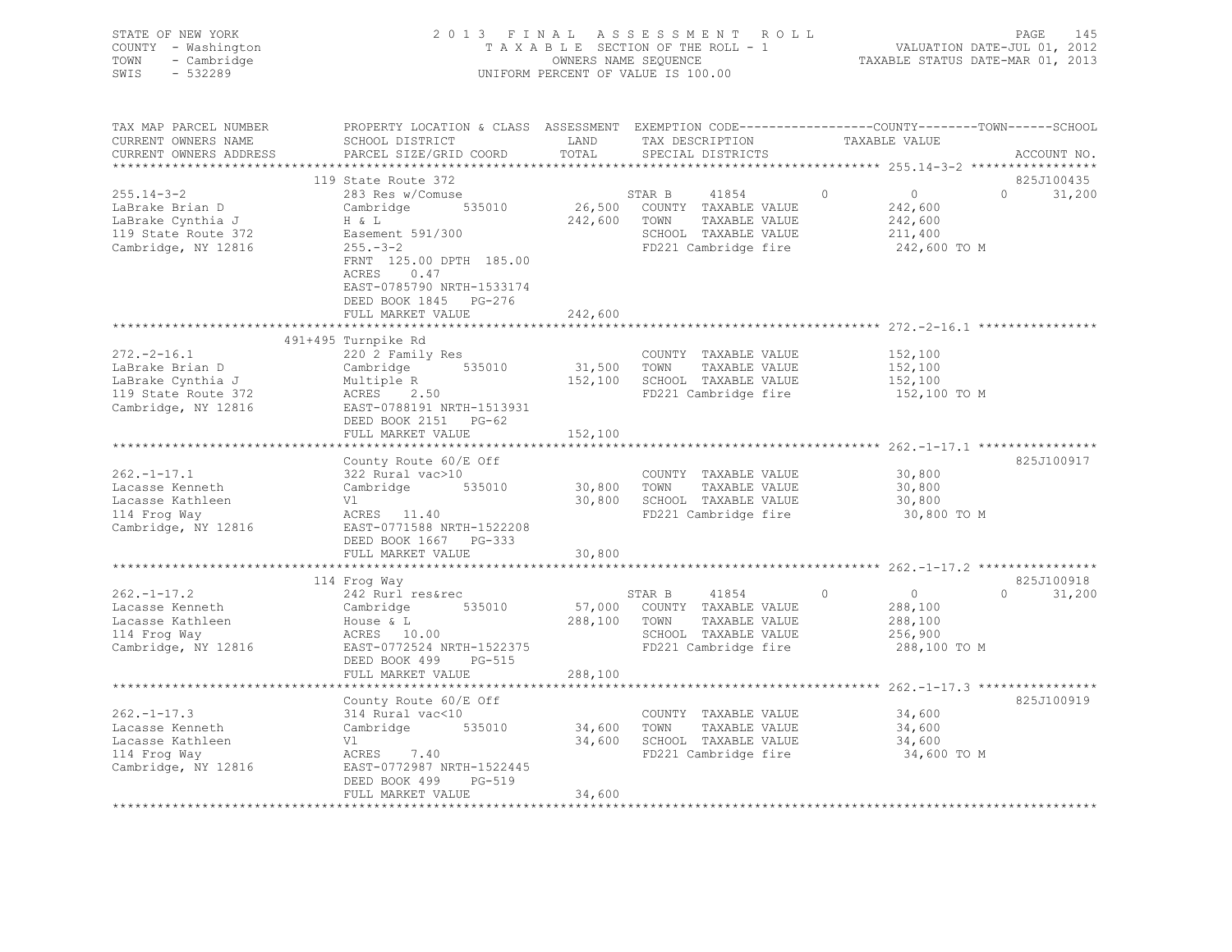| COUNTY - Washington<br>TOWN<br>- Cambridge<br>SWIS<br>$-532289$                                         |                                                                                                                                                                                     |                            | TAXABLE SECTION OF THE ROLL - 1<br>OWNERS NAME SEQUENCE<br>UNIFORM PERCENT OF VALUE IS 100.00                    | VALUATION DATE-JUL 01, 2012<br>TAXABLE STATUS DATE-MAR 01, 2013 |                                                                 |                                  |
|---------------------------------------------------------------------------------------------------------|-------------------------------------------------------------------------------------------------------------------------------------------------------------------------------------|----------------------------|------------------------------------------------------------------------------------------------------------------|-----------------------------------------------------------------|-----------------------------------------------------------------|----------------------------------|
| TAX MAP PARCEL NUMBER<br>CURRENT OWNERS NAME<br>CURRENT OWNERS ADDRESS                                  | PROPERTY LOCATION & CLASS ASSESSMENT EXEMPTION CODE---------------COUNTY-------TOWN-----SCHOOL<br>SCHOOL DISTRICT<br>PARCEL SIZE/GRID COORD                                         | LAND<br>TOTAL              | TAX DESCRIPTION<br>SPECIAL DISTRICTS                                                                             | TAXABLE VALUE                                                   |                                                                 | ACCOUNT NO.                      |
| **********************                                                                                  |                                                                                                                                                                                     |                            |                                                                                                                  |                                                                 |                                                                 |                                  |
| $255.14 - 3 - 2$<br>LaBrake Brian D<br>LaBrake Cynthia J<br>119 State Route 372<br>Cambridge, NY 12816  | 119 State Route 372<br>283 Res w/Comuse<br>535010<br>Cambridge<br>H & L<br>Easement 591/300<br>$255. - 3 - 2$<br>FRNT 125.00 DPTH 185.00<br>ACRES 0.47<br>EAST-0785790 NRTH-1533174 | 242,600 TOWN               | STAR B<br>41854<br>26,500 COUNTY TAXABLE VALUE<br>TAXABLE VALUE<br>SCHOOL TAXABLE VALUE<br>FD221 Cambridge fire  | $\Omega$                                                        | $\overline{0}$<br>242,600<br>242,600<br>211,400<br>242,600 TO M | 825J100435<br>$\Omega$<br>31,200 |
|                                                                                                         | DEED BOOK 1845 PG-276                                                                                                                                                               |                            |                                                                                                                  |                                                                 |                                                                 |                                  |
|                                                                                                         | FULL MARKET VALUE                                                                                                                                                                   | 242,600                    |                                                                                                                  |                                                                 |                                                                 |                                  |
|                                                                                                         | 491+495 Turnpike Rd                                                                                                                                                                 |                            |                                                                                                                  |                                                                 |                                                                 |                                  |
| $272. - 2 - 16.1$<br>LaBrake Brian D<br>LaBrake Cynthia J<br>119 State Route 372<br>Cambridge, NY 12816 | 220 2 Family Res<br>Cambridge 535010<br>Multiple R<br>2.50<br>ACRES<br>EAST-0788191 NRTH-1513931                                                                                    | 31,500 TOWN                | COUNTY TAXABLE VALUE<br>TAXABLE VALUE<br>152,100 SCHOOL TAXABLE VALUE<br>FD221 Cambridge fire                    |                                                                 | 152,100<br>152,100<br>152,100<br>152,100 TO M                   |                                  |
|                                                                                                         | DEED BOOK 2151 PG-62<br>FULL MARKET VALUE                                                                                                                                           | 152,100                    |                                                                                                                  |                                                                 |                                                                 |                                  |
|                                                                                                         | County Route 60/E Off                                                                                                                                                               |                            |                                                                                                                  |                                                                 |                                                                 | 825J100917                       |
| $262. -1 - 17.1$<br>Lacasse Kenneth<br>Lacasse Kathleen<br>114 Frog Way<br>Cambridge, NY 12816          | 322 Rural vac>10<br>535010<br>Cambridge<br>Vl<br>ACRES 11.40<br>EAST-0771588 NRTH-1522208<br>DEED BOOK 1667 PG-333                                                                  | 30,800 TOWN                | COUNTY TAXABLE VALUE<br>TAXABLE VALUE<br>30,800 SCHOOL TAXABLE VALUE<br>FD221 Cambridge fire                     |                                                                 | 30,800<br>30,800<br>30,800<br>30,800 TO M                       |                                  |
|                                                                                                         | FULL MARKET VALUE                                                                                                                                                                   | 30,800                     |                                                                                                                  |                                                                 |                                                                 |                                  |
|                                                                                                         | 114 Froq Way                                                                                                                                                                        | * * * * * * * * * * * * *  |                                                                                                                  |                                                                 |                                                                 | 825J100918                       |
| $262 - 1 - 17.2$<br>Lacasse Kenneth<br>Lacasse Kathleen<br>114 Frog Way<br>Cambridge, NY 12816          | 242 Rurl res&rec<br>535010<br>Cambridge<br>House & L<br>ACRES 10.00<br>EAST-0772524 NRTH-1522375<br>DEED BOOK 499<br>PG-515                                                         | 57,000<br>288,100          | STAR B<br>41854<br>COUNTY TAXABLE VALUE<br>TOWN<br>TAXABLE VALUE<br>SCHOOL TAXABLE VALUE<br>FD221 Cambridge fire | $\Omega$                                                        | $\overline{0}$<br>288,100<br>288,100<br>256,900<br>288,100 TO M | $\Omega$<br>31,200               |
|                                                                                                         | FULL MARKET VALUE                                                                                                                                                                   | 288,100                    |                                                                                                                  |                                                                 |                                                                 |                                  |
|                                                                                                         |                                                                                                                                                                                     |                            |                                                                                                                  |                                                                 |                                                                 |                                  |
| $262. -1 - 17.3$<br>Lacasse Kenneth<br>Lacasse Kathleen<br>114 Frog Way<br>Cambridge, NY 12816          | County Route 60/E Off<br>314 Rural vac<10<br>535010<br>Cambridge<br>Vl<br>ACRES 7.40<br>EAST-0772987 NRTH-1522445                                                                   | 34,600 TOWN                | COUNTY TAXABLE VALUE<br>TAXABLE VALUE<br>34,600 SCHOOL TAXABLE VALUE<br>FD221 Cambridge fire                     |                                                                 | 34,600<br>34,600<br>34,600<br>34,600 TO M                       | 825J100919                       |
| **********************                                                                                  | DEED BOOK 499<br>PG-519<br>FULL MARKET VALUE<br>************************                                                                                                            | 34,600<br>**************** |                                                                                                                  |                                                                 |                                                                 |                                  |

STATE OF NEW YORK 2013 FINAL ASSESSMENT ROLL PAGE 145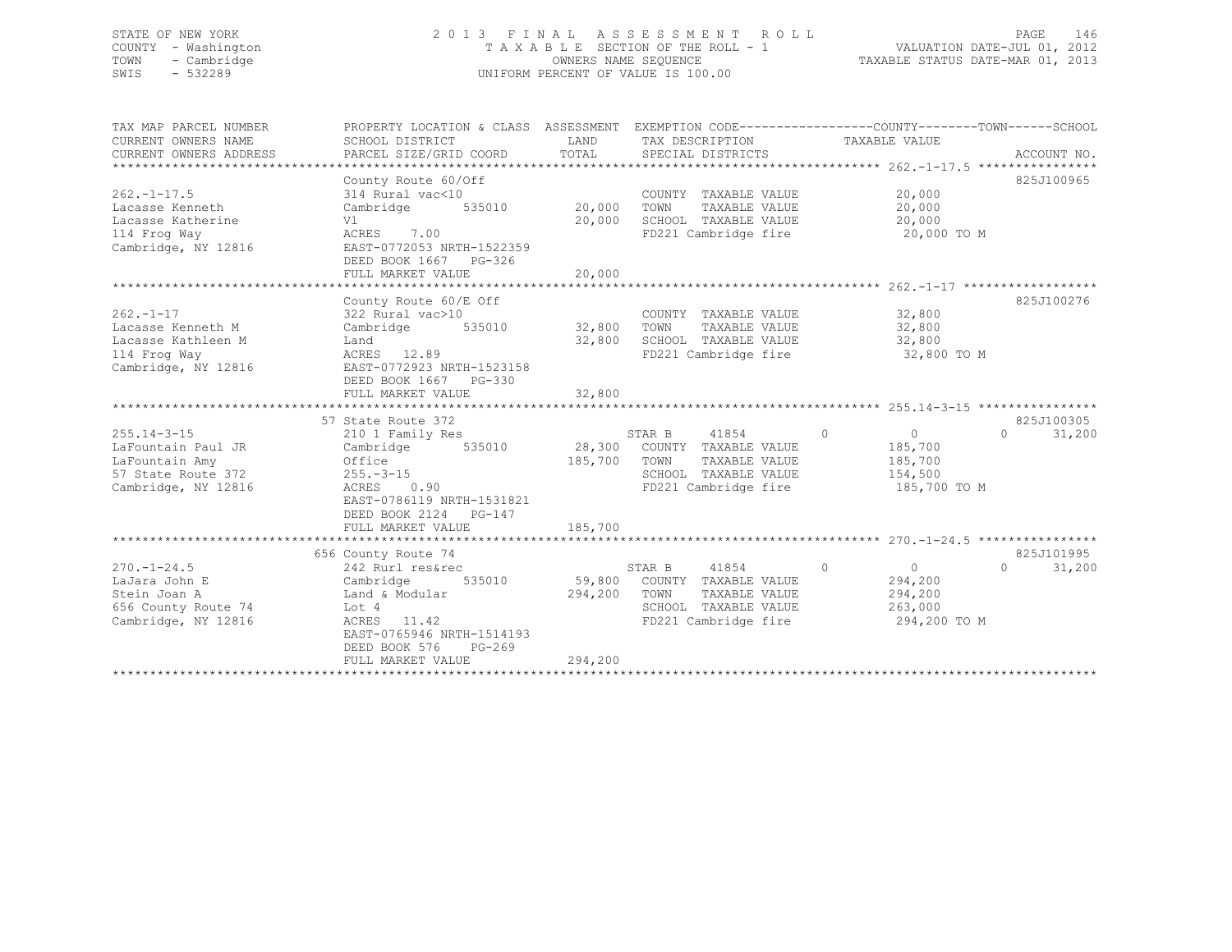## STATE OF NEW YORK 2 0 1 3 F I N A L A S S E S S M E N T R O L L PAGE 146 COUNTY - Washington T A X A B L E SECTION OF THE ROLL - 1 VALUATION DATE-JUL 01, 2012 TOWN - Cambridge OWNERS NAME SEQUENCE TAXABLE STATUS DATE-MAR 01, 2013 SWIS - 532289 UNIFORM PERCENT OF VALUE IS 100.00

| TAX MAP PARCEL NUMBER  | PROPERTY LOCATION & CLASS ASSESSMENT EXEMPTION CODE---------------COUNTY-------TOWN-----SCHOOL |                    |                                            |                           |                    |
|------------------------|------------------------------------------------------------------------------------------------|--------------------|--------------------------------------------|---------------------------|--------------------|
| CURRENT OWNERS NAME    | SCHOOL DISTRICT                                                                                | T AND              | TAX DESCRIPTION                            | TAXABLE VALUE             |                    |
| CURRENT OWNERS ADDRESS | PARCEL SIZE/GRID COORD                                                                         | TOTAL              | SPECIAL DISTRICTS                          |                           | ACCOUNT NO.        |
|                        |                                                                                                |                    |                                            |                           |                    |
|                        | County Route 60/Off                                                                            |                    |                                            |                           | 825J100965         |
| $262. -1 - 17.5$       | 314 Rural vac<10                                                                               |                    | COUNTY TAXABLE VALUE                       | 20,000                    |                    |
| Lacasse Kenneth        | 535010<br>Cambridge                                                                            | 20,000             | TOWN<br>TAXABLE VALUE                      | 20,000                    |                    |
| Lacasse Katherine      | Vl                                                                                             | 20,000             | SCHOOL TAXABLE VALUE                       | 20,000                    |                    |
| 114 Frog Way           | ACRES 7.00                                                                                     |                    | FD221 Cambridge fire                       | 20,000 TO M               |                    |
| Cambridge, NY 12816    | EAST-0772053 NRTH-1522359                                                                      |                    |                                            |                           |                    |
|                        | DEED BOOK 1667 PG-326                                                                          |                    |                                            |                           |                    |
|                        | FULL MARKET VALUE                                                                              | 20,000             |                                            |                           |                    |
|                        |                                                                                                |                    |                                            |                           |                    |
|                        | County Route 60/E Off                                                                          |                    |                                            |                           | 825J100276         |
| $262 - 1 - 17$         | 322 Rural vac>10                                                                               |                    | COUNTY TAXABLE VALUE                       | 32,800                    |                    |
| Lacasse Kenneth M      | Cambridge                                                                                      | 535010 32,800 TOWN | TAXABLE VALUE                              | 32,800                    |                    |
| Lacasse Kathleen M     | Land                                                                                           | 32,800             | SCHOOL TAXABLE VALUE                       | 32,800                    |                    |
| 114 Froq Way           | ACRES 12.89                                                                                    |                    | FD221 Cambridge fire                       | 32,800 TO M               |                    |
| Cambridge, NY 12816    | EAST-0772923 NRTH-1523158                                                                      |                    |                                            |                           |                    |
|                        | DEED BOOK 1667 PG-330                                                                          |                    |                                            |                           |                    |
|                        | FULL MARKET VALUE                                                                              | 32,800             |                                            |                           |                    |
|                        |                                                                                                |                    |                                            |                           |                    |
|                        | 57 State Route 372                                                                             |                    |                                            |                           | 825J100305         |
| $255.14 - 3 - 15$      | 210 1 Family Res                                                                               |                    | 41854<br>STAR B                            | $\circ$<br>$\overline{0}$ | 31,200<br>$\Omega$ |
| LaFountain Paul JR     | Cambridge                                                                                      |                    | 535010 28,300 COUNTY TAXABLE VALUE<br>TOWN | 185,700                   |                    |
| LaFountain Amy         | Office                                                                                         | 185,700            | TAXABLE VALUE<br>SCHOOL TAXABLE VALUE      | 185,700                   |                    |
| 57 State Route 372     | $255. - 3 - 15$<br>$ACRES$ 0.90                                                                |                    | FD221 Cambridge fire                       | 154,500                   |                    |
| Cambridge, NY 12816    | EAST-0786119 NRTH-1531821                                                                      |                    |                                            | 185,700 TO M              |                    |
|                        | DEED BOOK 2124 PG-147                                                                          |                    |                                            |                           |                    |
|                        | FULL MARKET VALUE                                                                              | 185,700            |                                            |                           |                    |
|                        |                                                                                                |                    |                                            |                           |                    |
|                        | 656 County Route 74                                                                            |                    |                                            |                           | 825J101995         |
| $270. - 1 - 24.5$      | 242 Rurl res&rec                                                                               |                    | STAR B<br>41854                            | $\circ$<br>$\overline{0}$ | $\Omega$<br>31,200 |
| LaJara John E          | 535010<br>Cambridge                                                                            |                    | 59,800 COUNTY TAXABLE VALUE                | 294,200                   |                    |
| Stein Joan A           | Land & Modular                                                                                 | 294,200            | TOWN<br>TAXABLE VALUE                      | 294,200                   |                    |
| 656 County Route 74    | Lot 4                                                                                          |                    | SCHOOL TAXABLE VALUE                       | 263,000                   |                    |
| Cambridge, NY 12816    | ACRES 11.42                                                                                    |                    | FD221 Cambridge fire                       | 294,200 TO M              |                    |
|                        | EAST-0765946 NRTH-1514193                                                                      |                    |                                            |                           |                    |
|                        | DEED BOOK 576<br>$PG-269$                                                                      |                    |                                            |                           |                    |
|                        | FULL MARKET VALUE                                                                              | 294,200            |                                            |                           |                    |
|                        |                                                                                                |                    |                                            |                           |                    |
|                        |                                                                                                |                    |                                            |                           |                    |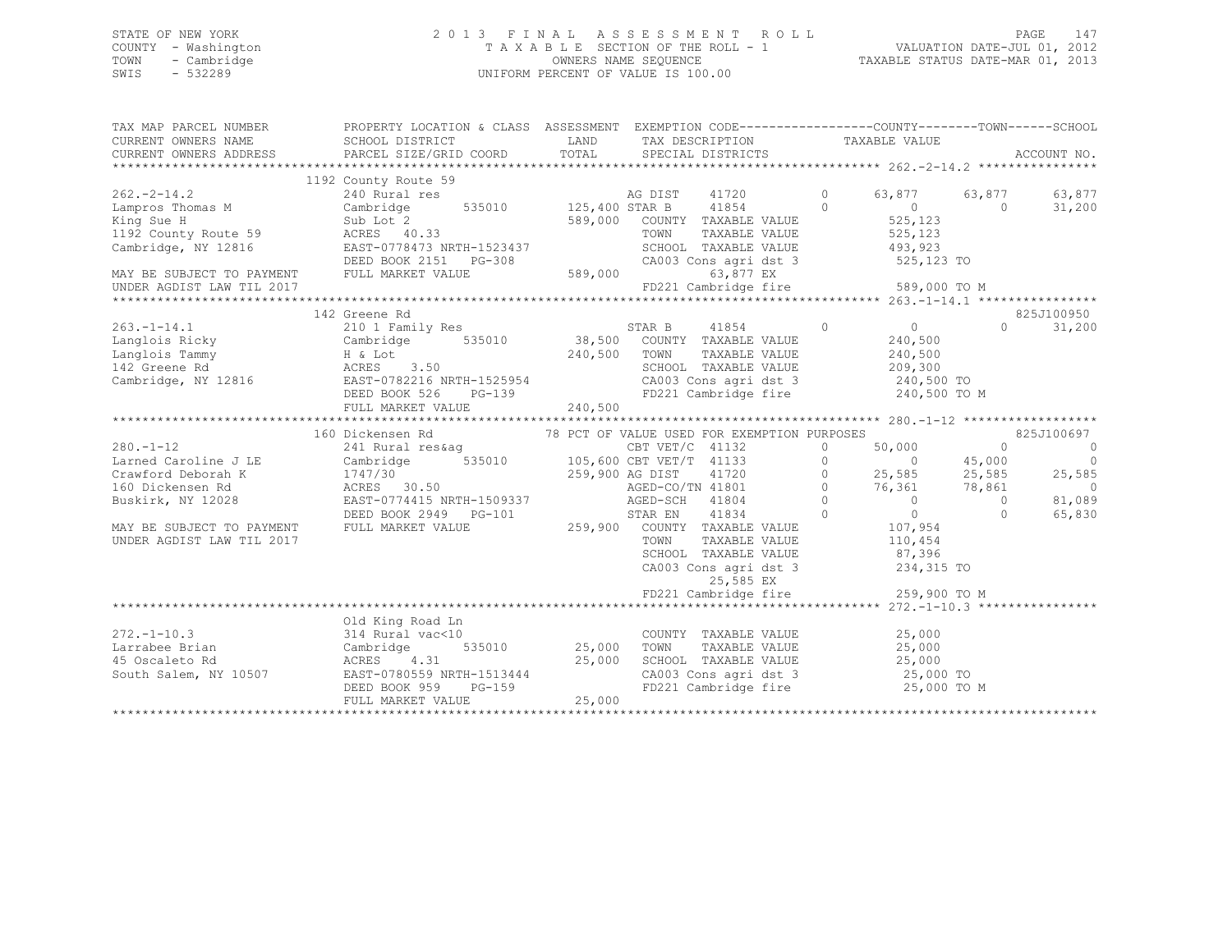## STATE OF NEW YORK 2 0 1 3 F I N A L A S S E S S M E N T R O L L PAGE 147 COUNTY - Washington T A X A B L E SECTION OF THE ROLL - 1 VALUATION DATE-JUL 01, 2012 TOWN - Cambridge OWNERS NAME SEQUENCE TAXABLE STATUS DATE-MAR 01, 2013 SWIS - 532289 UNIFORM PERCENT OF VALUE IS 100.00

| 1192 County Route 59<br>$262 - 2 - 14.2$<br>240 Rural res<br>AG DIST 41720<br>$\circ$<br>63,877<br>63,877<br>63,877<br>535010 125,400 STAR B 41854<br>$\sim$ 0<br>Lampros Thomas M<br>Cambridge<br>$\overline{0}$<br>$\Omega$<br>31,200<br>525,123<br>King Sue H<br>589,000 COUNTY TAXABLE VALUE<br>SUD LOT 2<br>ACRES 40.33<br>525,123<br>1192 County Route 59<br>TOWN<br>TAXABLE VALUE<br>Cambridge, NY 12816<br>EAST-0778473 NRTH-1523437<br>SCHOOL TAXABLE VALUE<br>493,923<br>DEED BOOK 2151 PG-308<br>CA003 Cons agri dst 3<br>525,123 TO<br>589,000<br>MAY BE SUBJECT TO PAYMENT FULL MARKET VALUE<br>63,877 EX<br>FD221 Cambridge fire 589,000 TO M<br>UNDER AGDIST LAW TIL 2017<br>825J100950<br>142 Greene Rd<br>$0$<br>240,500<br>$\sim$ 0<br>$263. -1 - 14.1$<br>STAR B 41854<br>38,500 COUNTY TAXABLE VALUE<br>$\cap$<br>210 1 Family Res<br>31,200<br>Eanglois Ricky<br>Langlois Tammy<br>142 Greene Rd<br>2 Cambridge Manuel Manuel Manuel Manuel Manuel Manuel Manuel Manuel Manuel Manuel Manuel Manuel Manuel Manuel Manuel Manuel Manuel Manuel Manuel Manuel Manuel Manuel Manuel Ma<br>240,500<br>240,500 TOWN<br>TAXABLE VALUE<br>SCHOOL TAXABLE VALUE<br>209,300<br>240,500 ТО<br>240,500 ТО М<br>CA003 Cons agri dst 3<br>FD221 Cambridge fire<br>$PG-139$<br>240,500<br>FULL MARKET VALUE<br>160 Dickensen Rd<br>78 PCT OF VALUE USED FOR EXEMPTION PURPOSES<br>825J100697<br>$280. - 1 - 12$<br>50,000<br>$\sim$ 0<br>CBT VET/C 41132<br>$\circ$<br>0<br>241 Rural res&aq<br>$105,600$ CBT VET/T 41133<br>535010 105,600 CBT VET/T 41720<br>259,900 AG DIST 11720<br>$\circ$<br>Larned Caroline J LE<br>$\circ$<br>$\overline{0}$<br>45,000<br>E Cambridge<br>1747/30<br>ACRES 30.50<br>EAST-0774415 N<br>$\overline{0}$<br>25,585<br>25,585<br>25,585<br>Crawford Deborah K<br>AGED-CO/TN 41801<br>$0$ 76,361<br>78,861<br>160 Dickensen Rd<br>$\overline{\phantom{0}}$<br>$\overline{0}$<br>81,089<br>EAST-0774415 NRTH-1509337<br>$\overline{0}$<br>Buskirk, NY 12028<br>AGED-SCH 41804<br>$\bigcirc$<br>DEED BOOK 2949 PG-101 STAR EN 41834<br>$\overline{0}$<br>$\overline{0}$<br>$\Omega$<br>65,830<br>259,900 COUNTY TAXABLE VALUE<br>107,954<br>FULL MARKET VALUE<br>MAY BE SUBJECT TO PAYMENT<br>UNDER AGDIST LAW TIL 2017<br>TOWN<br>TAXABLE VALUE<br>110,454<br>87,396<br>SCHOOL TAXABLE VALUE<br>234,315 TO<br>CA003 Cons agri dst 3<br>25,585 EX<br>$FD221$ Cambridge fire 259,900 TO M<br>Old King Road Ln<br>COUNTY TAXABLE VALUE 25,000<br>$272, -1 - 10.3$<br>314 Rural vac<10<br>TAXABLE VALUE<br>535010 25,000<br>25,000<br>Larrabee Brian<br>Cambridge<br>TOWN<br>ACRES 4.31 25,000<br>EAST-0780559 NRTH-1513444 25,000<br>45 Oscaleto Rd<br>SCHOOL TAXABLE VALUE $25,000$<br>CA003 Cons agri dst 3 $25,000$ TO<br>FD221 Cambridge fire $25,000$ TO M<br>South Salem, NY 10507<br>$PG-159$<br>DEED BOOK 959<br>25,000<br>FULL MARKET VALUE | TAX MAP PARCEL NUMBER<br>CURRENT OWNERS NAME | PROPERTY LOCATION & CLASS ASSESSMENT EXEMPTION CODE----------------COUNTY-------TOWN------SCHOOL |  |  |  |
|------------------------------------------------------------------------------------------------------------------------------------------------------------------------------------------------------------------------------------------------------------------------------------------------------------------------------------------------------------------------------------------------------------------------------------------------------------------------------------------------------------------------------------------------------------------------------------------------------------------------------------------------------------------------------------------------------------------------------------------------------------------------------------------------------------------------------------------------------------------------------------------------------------------------------------------------------------------------------------------------------------------------------------------------------------------------------------------------------------------------------------------------------------------------------------------------------------------------------------------------------------------------------------------------------------------------------------------------------------------------------------------------------------------------------------------------------------------------------------------------------------------------------------------------------------------------------------------------------------------------------------------------------------------------------------------------------------------------------------------------------------------------------------------------------------------------------------------------------------------------------------------------------------------------------------------------------------------------------------------------------------------------------------------------------------------------------------------------------------------------------------------------------------------------------------------------------------------------------------------------------------------------------------------------------------------------------------------------------------------------------------------------------------------------------------------------------------------------------------------------------------------------------------------------------------------------------------------------------------------------------------------------------------------------------------------------------------------------------------------------------------------------------------------------------------------------------------------------------------------------------------------|----------------------------------------------|--------------------------------------------------------------------------------------------------|--|--|--|
|                                                                                                                                                                                                                                                                                                                                                                                                                                                                                                                                                                                                                                                                                                                                                                                                                                                                                                                                                                                                                                                                                                                                                                                                                                                                                                                                                                                                                                                                                                                                                                                                                                                                                                                                                                                                                                                                                                                                                                                                                                                                                                                                                                                                                                                                                                                                                                                                                                                                                                                                                                                                                                                                                                                                                                                                                                                                                          | CURRENT OWNERS ADDRESS                       |                                                                                                  |  |  |  |
|                                                                                                                                                                                                                                                                                                                                                                                                                                                                                                                                                                                                                                                                                                                                                                                                                                                                                                                                                                                                                                                                                                                                                                                                                                                                                                                                                                                                                                                                                                                                                                                                                                                                                                                                                                                                                                                                                                                                                                                                                                                                                                                                                                                                                                                                                                                                                                                                                                                                                                                                                                                                                                                                                                                                                                                                                                                                                          |                                              |                                                                                                  |  |  |  |
|                                                                                                                                                                                                                                                                                                                                                                                                                                                                                                                                                                                                                                                                                                                                                                                                                                                                                                                                                                                                                                                                                                                                                                                                                                                                                                                                                                                                                                                                                                                                                                                                                                                                                                                                                                                                                                                                                                                                                                                                                                                                                                                                                                                                                                                                                                                                                                                                                                                                                                                                                                                                                                                                                                                                                                                                                                                                                          |                                              |                                                                                                  |  |  |  |
|                                                                                                                                                                                                                                                                                                                                                                                                                                                                                                                                                                                                                                                                                                                                                                                                                                                                                                                                                                                                                                                                                                                                                                                                                                                                                                                                                                                                                                                                                                                                                                                                                                                                                                                                                                                                                                                                                                                                                                                                                                                                                                                                                                                                                                                                                                                                                                                                                                                                                                                                                                                                                                                                                                                                                                                                                                                                                          |                                              |                                                                                                  |  |  |  |
|                                                                                                                                                                                                                                                                                                                                                                                                                                                                                                                                                                                                                                                                                                                                                                                                                                                                                                                                                                                                                                                                                                                                                                                                                                                                                                                                                                                                                                                                                                                                                                                                                                                                                                                                                                                                                                                                                                                                                                                                                                                                                                                                                                                                                                                                                                                                                                                                                                                                                                                                                                                                                                                                                                                                                                                                                                                                                          |                                              |                                                                                                  |  |  |  |
|                                                                                                                                                                                                                                                                                                                                                                                                                                                                                                                                                                                                                                                                                                                                                                                                                                                                                                                                                                                                                                                                                                                                                                                                                                                                                                                                                                                                                                                                                                                                                                                                                                                                                                                                                                                                                                                                                                                                                                                                                                                                                                                                                                                                                                                                                                                                                                                                                                                                                                                                                                                                                                                                                                                                                                                                                                                                                          |                                              |                                                                                                  |  |  |  |
|                                                                                                                                                                                                                                                                                                                                                                                                                                                                                                                                                                                                                                                                                                                                                                                                                                                                                                                                                                                                                                                                                                                                                                                                                                                                                                                                                                                                                                                                                                                                                                                                                                                                                                                                                                                                                                                                                                                                                                                                                                                                                                                                                                                                                                                                                                                                                                                                                                                                                                                                                                                                                                                                                                                                                                                                                                                                                          |                                              |                                                                                                  |  |  |  |
|                                                                                                                                                                                                                                                                                                                                                                                                                                                                                                                                                                                                                                                                                                                                                                                                                                                                                                                                                                                                                                                                                                                                                                                                                                                                                                                                                                                                                                                                                                                                                                                                                                                                                                                                                                                                                                                                                                                                                                                                                                                                                                                                                                                                                                                                                                                                                                                                                                                                                                                                                                                                                                                                                                                                                                                                                                                                                          |                                              |                                                                                                  |  |  |  |
|                                                                                                                                                                                                                                                                                                                                                                                                                                                                                                                                                                                                                                                                                                                                                                                                                                                                                                                                                                                                                                                                                                                                                                                                                                                                                                                                                                                                                                                                                                                                                                                                                                                                                                                                                                                                                                                                                                                                                                                                                                                                                                                                                                                                                                                                                                                                                                                                                                                                                                                                                                                                                                                                                                                                                                                                                                                                                          |                                              |                                                                                                  |  |  |  |
|                                                                                                                                                                                                                                                                                                                                                                                                                                                                                                                                                                                                                                                                                                                                                                                                                                                                                                                                                                                                                                                                                                                                                                                                                                                                                                                                                                                                                                                                                                                                                                                                                                                                                                                                                                                                                                                                                                                                                                                                                                                                                                                                                                                                                                                                                                                                                                                                                                                                                                                                                                                                                                                                                                                                                                                                                                                                                          |                                              |                                                                                                  |  |  |  |
|                                                                                                                                                                                                                                                                                                                                                                                                                                                                                                                                                                                                                                                                                                                                                                                                                                                                                                                                                                                                                                                                                                                                                                                                                                                                                                                                                                                                                                                                                                                                                                                                                                                                                                                                                                                                                                                                                                                                                                                                                                                                                                                                                                                                                                                                                                                                                                                                                                                                                                                                                                                                                                                                                                                                                                                                                                                                                          |                                              |                                                                                                  |  |  |  |
|                                                                                                                                                                                                                                                                                                                                                                                                                                                                                                                                                                                                                                                                                                                                                                                                                                                                                                                                                                                                                                                                                                                                                                                                                                                                                                                                                                                                                                                                                                                                                                                                                                                                                                                                                                                                                                                                                                                                                                                                                                                                                                                                                                                                                                                                                                                                                                                                                                                                                                                                                                                                                                                                                                                                                                                                                                                                                          |                                              |                                                                                                  |  |  |  |
|                                                                                                                                                                                                                                                                                                                                                                                                                                                                                                                                                                                                                                                                                                                                                                                                                                                                                                                                                                                                                                                                                                                                                                                                                                                                                                                                                                                                                                                                                                                                                                                                                                                                                                                                                                                                                                                                                                                                                                                                                                                                                                                                                                                                                                                                                                                                                                                                                                                                                                                                                                                                                                                                                                                                                                                                                                                                                          |                                              |                                                                                                  |  |  |  |
|                                                                                                                                                                                                                                                                                                                                                                                                                                                                                                                                                                                                                                                                                                                                                                                                                                                                                                                                                                                                                                                                                                                                                                                                                                                                                                                                                                                                                                                                                                                                                                                                                                                                                                                                                                                                                                                                                                                                                                                                                                                                                                                                                                                                                                                                                                                                                                                                                                                                                                                                                                                                                                                                                                                                                                                                                                                                                          |                                              |                                                                                                  |  |  |  |
|                                                                                                                                                                                                                                                                                                                                                                                                                                                                                                                                                                                                                                                                                                                                                                                                                                                                                                                                                                                                                                                                                                                                                                                                                                                                                                                                                                                                                                                                                                                                                                                                                                                                                                                                                                                                                                                                                                                                                                                                                                                                                                                                                                                                                                                                                                                                                                                                                                                                                                                                                                                                                                                                                                                                                                                                                                                                                          |                                              |                                                                                                  |  |  |  |
|                                                                                                                                                                                                                                                                                                                                                                                                                                                                                                                                                                                                                                                                                                                                                                                                                                                                                                                                                                                                                                                                                                                                                                                                                                                                                                                                                                                                                                                                                                                                                                                                                                                                                                                                                                                                                                                                                                                                                                                                                                                                                                                                                                                                                                                                                                                                                                                                                                                                                                                                                                                                                                                                                                                                                                                                                                                                                          |                                              |                                                                                                  |  |  |  |
|                                                                                                                                                                                                                                                                                                                                                                                                                                                                                                                                                                                                                                                                                                                                                                                                                                                                                                                                                                                                                                                                                                                                                                                                                                                                                                                                                                                                                                                                                                                                                                                                                                                                                                                                                                                                                                                                                                                                                                                                                                                                                                                                                                                                                                                                                                                                                                                                                                                                                                                                                                                                                                                                                                                                                                                                                                                                                          |                                              |                                                                                                  |  |  |  |
|                                                                                                                                                                                                                                                                                                                                                                                                                                                                                                                                                                                                                                                                                                                                                                                                                                                                                                                                                                                                                                                                                                                                                                                                                                                                                                                                                                                                                                                                                                                                                                                                                                                                                                                                                                                                                                                                                                                                                                                                                                                                                                                                                                                                                                                                                                                                                                                                                                                                                                                                                                                                                                                                                                                                                                                                                                                                                          |                                              |                                                                                                  |  |  |  |
|                                                                                                                                                                                                                                                                                                                                                                                                                                                                                                                                                                                                                                                                                                                                                                                                                                                                                                                                                                                                                                                                                                                                                                                                                                                                                                                                                                                                                                                                                                                                                                                                                                                                                                                                                                                                                                                                                                                                                                                                                                                                                                                                                                                                                                                                                                                                                                                                                                                                                                                                                                                                                                                                                                                                                                                                                                                                                          |                                              |                                                                                                  |  |  |  |
|                                                                                                                                                                                                                                                                                                                                                                                                                                                                                                                                                                                                                                                                                                                                                                                                                                                                                                                                                                                                                                                                                                                                                                                                                                                                                                                                                                                                                                                                                                                                                                                                                                                                                                                                                                                                                                                                                                                                                                                                                                                                                                                                                                                                                                                                                                                                                                                                                                                                                                                                                                                                                                                                                                                                                                                                                                                                                          |                                              |                                                                                                  |  |  |  |
|                                                                                                                                                                                                                                                                                                                                                                                                                                                                                                                                                                                                                                                                                                                                                                                                                                                                                                                                                                                                                                                                                                                                                                                                                                                                                                                                                                                                                                                                                                                                                                                                                                                                                                                                                                                                                                                                                                                                                                                                                                                                                                                                                                                                                                                                                                                                                                                                                                                                                                                                                                                                                                                                                                                                                                                                                                                                                          |                                              |                                                                                                  |  |  |  |
|                                                                                                                                                                                                                                                                                                                                                                                                                                                                                                                                                                                                                                                                                                                                                                                                                                                                                                                                                                                                                                                                                                                                                                                                                                                                                                                                                                                                                                                                                                                                                                                                                                                                                                                                                                                                                                                                                                                                                                                                                                                                                                                                                                                                                                                                                                                                                                                                                                                                                                                                                                                                                                                                                                                                                                                                                                                                                          |                                              |                                                                                                  |  |  |  |
|                                                                                                                                                                                                                                                                                                                                                                                                                                                                                                                                                                                                                                                                                                                                                                                                                                                                                                                                                                                                                                                                                                                                                                                                                                                                                                                                                                                                                                                                                                                                                                                                                                                                                                                                                                                                                                                                                                                                                                                                                                                                                                                                                                                                                                                                                                                                                                                                                                                                                                                                                                                                                                                                                                                                                                                                                                                                                          |                                              |                                                                                                  |  |  |  |
|                                                                                                                                                                                                                                                                                                                                                                                                                                                                                                                                                                                                                                                                                                                                                                                                                                                                                                                                                                                                                                                                                                                                                                                                                                                                                                                                                                                                                                                                                                                                                                                                                                                                                                                                                                                                                                                                                                                                                                                                                                                                                                                                                                                                                                                                                                                                                                                                                                                                                                                                                                                                                                                                                                                                                                                                                                                                                          |                                              |                                                                                                  |  |  |  |
|                                                                                                                                                                                                                                                                                                                                                                                                                                                                                                                                                                                                                                                                                                                                                                                                                                                                                                                                                                                                                                                                                                                                                                                                                                                                                                                                                                                                                                                                                                                                                                                                                                                                                                                                                                                                                                                                                                                                                                                                                                                                                                                                                                                                                                                                                                                                                                                                                                                                                                                                                                                                                                                                                                                                                                                                                                                                                          |                                              |                                                                                                  |  |  |  |
|                                                                                                                                                                                                                                                                                                                                                                                                                                                                                                                                                                                                                                                                                                                                                                                                                                                                                                                                                                                                                                                                                                                                                                                                                                                                                                                                                                                                                                                                                                                                                                                                                                                                                                                                                                                                                                                                                                                                                                                                                                                                                                                                                                                                                                                                                                                                                                                                                                                                                                                                                                                                                                                                                                                                                                                                                                                                                          |                                              |                                                                                                  |  |  |  |
|                                                                                                                                                                                                                                                                                                                                                                                                                                                                                                                                                                                                                                                                                                                                                                                                                                                                                                                                                                                                                                                                                                                                                                                                                                                                                                                                                                                                                                                                                                                                                                                                                                                                                                                                                                                                                                                                                                                                                                                                                                                                                                                                                                                                                                                                                                                                                                                                                                                                                                                                                                                                                                                                                                                                                                                                                                                                                          |                                              |                                                                                                  |  |  |  |
|                                                                                                                                                                                                                                                                                                                                                                                                                                                                                                                                                                                                                                                                                                                                                                                                                                                                                                                                                                                                                                                                                                                                                                                                                                                                                                                                                                                                                                                                                                                                                                                                                                                                                                                                                                                                                                                                                                                                                                                                                                                                                                                                                                                                                                                                                                                                                                                                                                                                                                                                                                                                                                                                                                                                                                                                                                                                                          |                                              |                                                                                                  |  |  |  |
|                                                                                                                                                                                                                                                                                                                                                                                                                                                                                                                                                                                                                                                                                                                                                                                                                                                                                                                                                                                                                                                                                                                                                                                                                                                                                                                                                                                                                                                                                                                                                                                                                                                                                                                                                                                                                                                                                                                                                                                                                                                                                                                                                                                                                                                                                                                                                                                                                                                                                                                                                                                                                                                                                                                                                                                                                                                                                          |                                              |                                                                                                  |  |  |  |
|                                                                                                                                                                                                                                                                                                                                                                                                                                                                                                                                                                                                                                                                                                                                                                                                                                                                                                                                                                                                                                                                                                                                                                                                                                                                                                                                                                                                                                                                                                                                                                                                                                                                                                                                                                                                                                                                                                                                                                                                                                                                                                                                                                                                                                                                                                                                                                                                                                                                                                                                                                                                                                                                                                                                                                                                                                                                                          |                                              |                                                                                                  |  |  |  |
|                                                                                                                                                                                                                                                                                                                                                                                                                                                                                                                                                                                                                                                                                                                                                                                                                                                                                                                                                                                                                                                                                                                                                                                                                                                                                                                                                                                                                                                                                                                                                                                                                                                                                                                                                                                                                                                                                                                                                                                                                                                                                                                                                                                                                                                                                                                                                                                                                                                                                                                                                                                                                                                                                                                                                                                                                                                                                          |                                              |                                                                                                  |  |  |  |
|                                                                                                                                                                                                                                                                                                                                                                                                                                                                                                                                                                                                                                                                                                                                                                                                                                                                                                                                                                                                                                                                                                                                                                                                                                                                                                                                                                                                                                                                                                                                                                                                                                                                                                                                                                                                                                                                                                                                                                                                                                                                                                                                                                                                                                                                                                                                                                                                                                                                                                                                                                                                                                                                                                                                                                                                                                                                                          |                                              |                                                                                                  |  |  |  |
|                                                                                                                                                                                                                                                                                                                                                                                                                                                                                                                                                                                                                                                                                                                                                                                                                                                                                                                                                                                                                                                                                                                                                                                                                                                                                                                                                                                                                                                                                                                                                                                                                                                                                                                                                                                                                                                                                                                                                                                                                                                                                                                                                                                                                                                                                                                                                                                                                                                                                                                                                                                                                                                                                                                                                                                                                                                                                          |                                              |                                                                                                  |  |  |  |
|                                                                                                                                                                                                                                                                                                                                                                                                                                                                                                                                                                                                                                                                                                                                                                                                                                                                                                                                                                                                                                                                                                                                                                                                                                                                                                                                                                                                                                                                                                                                                                                                                                                                                                                                                                                                                                                                                                                                                                                                                                                                                                                                                                                                                                                                                                                                                                                                                                                                                                                                                                                                                                                                                                                                                                                                                                                                                          |                                              |                                                                                                  |  |  |  |
|                                                                                                                                                                                                                                                                                                                                                                                                                                                                                                                                                                                                                                                                                                                                                                                                                                                                                                                                                                                                                                                                                                                                                                                                                                                                                                                                                                                                                                                                                                                                                                                                                                                                                                                                                                                                                                                                                                                                                                                                                                                                                                                                                                                                                                                                                                                                                                                                                                                                                                                                                                                                                                                                                                                                                                                                                                                                                          |                                              |                                                                                                  |  |  |  |
|                                                                                                                                                                                                                                                                                                                                                                                                                                                                                                                                                                                                                                                                                                                                                                                                                                                                                                                                                                                                                                                                                                                                                                                                                                                                                                                                                                                                                                                                                                                                                                                                                                                                                                                                                                                                                                                                                                                                                                                                                                                                                                                                                                                                                                                                                                                                                                                                                                                                                                                                                                                                                                                                                                                                                                                                                                                                                          |                                              |                                                                                                  |  |  |  |
|                                                                                                                                                                                                                                                                                                                                                                                                                                                                                                                                                                                                                                                                                                                                                                                                                                                                                                                                                                                                                                                                                                                                                                                                                                                                                                                                                                                                                                                                                                                                                                                                                                                                                                                                                                                                                                                                                                                                                                                                                                                                                                                                                                                                                                                                                                                                                                                                                                                                                                                                                                                                                                                                                                                                                                                                                                                                                          |                                              |                                                                                                  |  |  |  |
|                                                                                                                                                                                                                                                                                                                                                                                                                                                                                                                                                                                                                                                                                                                                                                                                                                                                                                                                                                                                                                                                                                                                                                                                                                                                                                                                                                                                                                                                                                                                                                                                                                                                                                                                                                                                                                                                                                                                                                                                                                                                                                                                                                                                                                                                                                                                                                                                                                                                                                                                                                                                                                                                                                                                                                                                                                                                                          |                                              |                                                                                                  |  |  |  |
|                                                                                                                                                                                                                                                                                                                                                                                                                                                                                                                                                                                                                                                                                                                                                                                                                                                                                                                                                                                                                                                                                                                                                                                                                                                                                                                                                                                                                                                                                                                                                                                                                                                                                                                                                                                                                                                                                                                                                                                                                                                                                                                                                                                                                                                                                                                                                                                                                                                                                                                                                                                                                                                                                                                                                                                                                                                                                          |                                              |                                                                                                  |  |  |  |
|                                                                                                                                                                                                                                                                                                                                                                                                                                                                                                                                                                                                                                                                                                                                                                                                                                                                                                                                                                                                                                                                                                                                                                                                                                                                                                                                                                                                                                                                                                                                                                                                                                                                                                                                                                                                                                                                                                                                                                                                                                                                                                                                                                                                                                                                                                                                                                                                                                                                                                                                                                                                                                                                                                                                                                                                                                                                                          |                                              |                                                                                                  |  |  |  |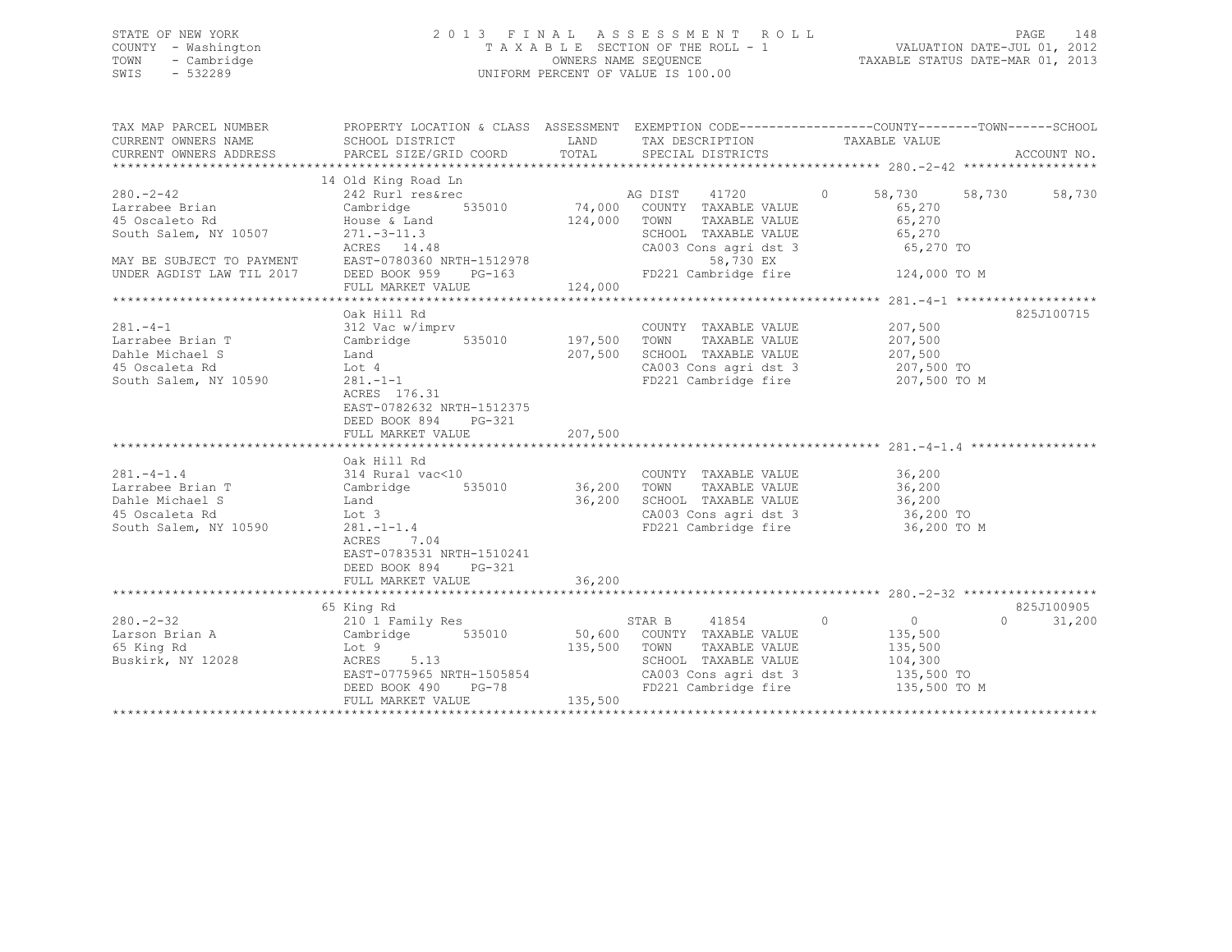## STATE OF NEW YORK 2 0 1 3 F I N A L A S S E S S M E N T R O L L PAGE 148 COUNTY - Washington T A X A B L E SECTION OF THE ROLL - 1 VALUATION DATE-JUL 01, 2012 TOWN - Cambridge OWNERS NAME SEQUENCE TAXABLE STATUS DATE-MAR 01, 2013 SWIS - 532289 UNIFORM PERCENT OF VALUE IS 100.00

| TAX MAP PARCEL NUMBER<br>CURRENT OWNERS NAME<br>CURRENT OWNERS ADDRESS                                                           | PROPERTY LOCATION & CLASS ASSESSMENT EXEMPTION CODE----------------COUNTY-------TOWN-----SCHOOL<br>SCHOOL DISTRICT<br>PARCEL SIZE/GRID COORD                                            | <b>EXAMPLE SERVICE SERVICE SERVICE SERVICE SERVICE SERVICE SERVICE SERVICE SERVICE SERVICE SERVICE SERVICE SERVICE</b><br>TOTAL | TAX DESCRIPTION<br>SPECIAL DISTRICTS                                                                                                                          | TAXABLE VALUE                                                        | ACCOUNT NO.        |
|----------------------------------------------------------------------------------------------------------------------------------|-----------------------------------------------------------------------------------------------------------------------------------------------------------------------------------------|---------------------------------------------------------------------------------------------------------------------------------|---------------------------------------------------------------------------------------------------------------------------------------------------------------|----------------------------------------------------------------------|--------------------|
|                                                                                                                                  |                                                                                                                                                                                         |                                                                                                                                 |                                                                                                                                                               |                                                                      |                    |
| $280 - 2 - 42$<br>Larrabee Brian<br>15 Oscaleto Rd                                                                               | 14 Old King Road Ln<br>242 Rurl res&rec<br>535010<br>ACRES 14.48                                                                                                                        | 74,000<br>124,000                                                                                                               | AG DIST<br>41720<br>COUNTY TAXABLE VALUE<br>TAXABLE VALUE<br>TOWN<br>SCHOOL TAXABLE VALUE<br>CA003 Cons agri dst 3<br>58,730 EX                               | $\Omega$<br>58,730 58,730<br>65,270<br>65,270<br>65,270<br>65,270 TO | 58,730             |
| MAY BE SUBJECT TO PAYMENT<br>UNDER AGDIST LAW TIL 2017 DEED BOOK 959 PG-163                                                      |                                                                                                                                                                                         |                                                                                                                                 | FD221 Cambridge fire 124,000 TO M                                                                                                                             |                                                                      |                    |
| $281 - 4 - 1$                                                                                                                    | Oak Hill Rd                                                                                                                                                                             |                                                                                                                                 | COUNTY TAXABLE VALUE                                                                                                                                          | 207,500                                                              | 825J100715         |
| Larrabee Brian T<br><b>Example 12</b><br>Dahle Michael S<br>45 Oscaleta Rd<br>South Salem, NY 10590                              | Lot 4<br>$281 - 1 - 1$<br>ACRES 176.31<br>EAST-0782632 NRTH-1512375<br>DEED BOOK 894<br>PG-321                                                                                          | 207,500                                                                                                                         | TAXABLE VALUE<br>SCHOOL TAXABLE VALUE 207,500<br>CA003 Cons agri dst 3 207,500 TO<br>FD221 Cambridge fire                                                     | 207,500<br>207,500 TO M                                              |                    |
|                                                                                                                                  | FULL MARKET VALUE                                                                                                                                                                       | 207,500                                                                                                                         |                                                                                                                                                               |                                                                      |                    |
|                                                                                                                                  |                                                                                                                                                                                         |                                                                                                                                 |                                                                                                                                                               |                                                                      |                    |
| $281. -4 - 1.4$<br>Larrabee Brian T<br>Dahle Michael S<br>45 Oscaleta Rd<br>South Salem, NY 10590<br>281.-1-1.4<br>ACRES<br>7.04 | Oak Hill Rd<br>314 Rural vac<10<br>Cambridge 535010 36,200 TOWN TAXABLE VALUE 36,200<br>Land 36,200 SCHOOL TAXABLE VALUE 36,200<br>EAST-0783531 NRTH-1510241<br>DEED BOOK 894<br>PG-321 |                                                                                                                                 | COUNTY TAXABLE VALUE 36,200<br>SCHOOL TAXABLE VALUE 36,200<br>CA003 Cons agri dst 3 36,200 TO<br>FD221 Cambridge fire 36,200 TO M                             |                                                                      |                    |
|                                                                                                                                  | FULL MARKET VALUE                                                                                                                                                                       | 36,200                                                                                                                          |                                                                                                                                                               |                                                                      |                    |
|                                                                                                                                  | 65 King Rd                                                                                                                                                                              |                                                                                                                                 |                                                                                                                                                               |                                                                      | 825J100905         |
| $280. - 2 - 32$<br>Buskirk, NY 12028                                                                                             | 210 1 Family Res<br>ACRES 5.13<br>EAST-0775965 NRTH-1505854<br>DEED BOOK 490<br>PG-78<br>FULL MARKET VALUE                                                                              | 135,500 TOWN<br>135,500                                                                                                         | STAR B 41854 0<br>535010 50,600 COUNTY TAXABLE VALUE<br>SCHOOL TAXABLE VALUE 104,300<br>CA003 Cons agri dst 3 135,500 TO<br>FD221 Cambridge fire 135,500 TO M | $\overline{0}$<br>135,500<br>TAXABLE VALUE 135,500                   | $\Omega$<br>31,200 |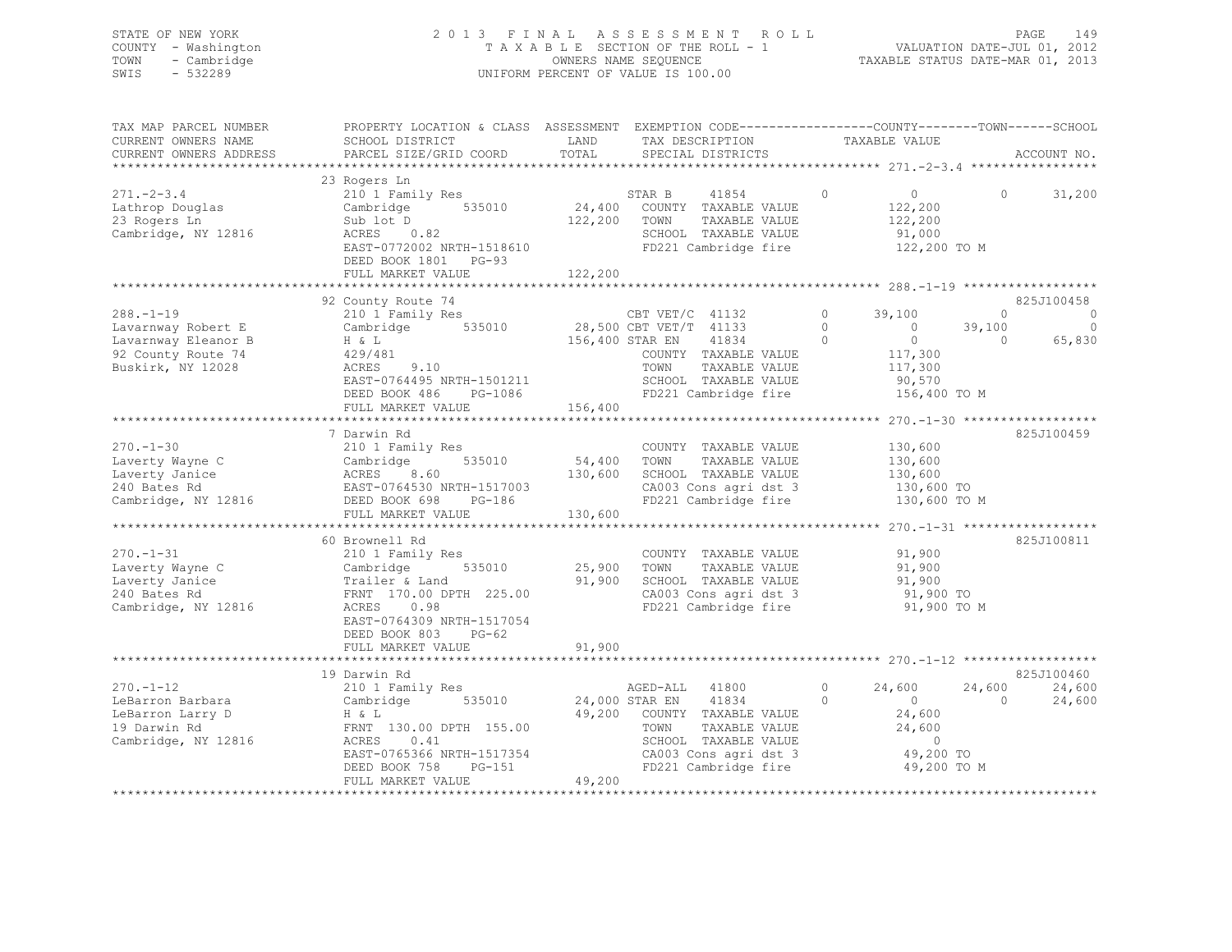## STATE OF NEW YORK 2 0 1 3 F I N A L A S S E S S M E N T R O L L PAGE 149 COUNTY - Washington T A X A B L E SECTION OF THE ROLL - 1 VALUATION DATE-JUL 01, 2012 TOWN - Cambridge OWNERS NAME SEQUENCE TAXABLE STATUS DATE-MAR 01, 2013 SWIS - 532289 UNIFORM PERCENT OF VALUE IS 100.00

| TAX MAP PARCEL NUMBER  | PROPERTY LOCATION & CLASS ASSESSMENT EXEMPTION CODE----------------COUNTY-------TOWN------SCHOOL |                 |                             |          |                                         |                    |              |
|------------------------|--------------------------------------------------------------------------------------------------|-----------------|-----------------------------|----------|-----------------------------------------|--------------------|--------------|
| CURRENT OWNERS NAME    | SCHOOL DISTRICT                                                                                  | LAND<br>TOTAL   | TAX DESCRIPTION             |          | TAXABLE VALUE                           |                    | ACCOUNT NO.  |
| CURRENT OWNERS ADDRESS | PARCEL SIZE/GRID COORD                                                                           |                 | SPECIAL DISTRICTS           |          |                                         |                    |              |
|                        |                                                                                                  |                 |                             |          |                                         |                    |              |
| $271 - 2 - 3.4$        | 23 Rogers Ln                                                                                     |                 |                             | $\circ$  | $\circ$                                 | $\Omega$           | 31,200       |
|                        | 210 1 Family Res                                                                                 | 24,400          | STAR B<br>41854             |          |                                         |                    |              |
| Lathrop Douglas        | 535010<br>Cambridge                                                                              |                 | COUNTY TAXABLE VALUE        |          | 122,200                                 |                    |              |
| 23 Rogers Ln           | Sub lot D                                                                                        | 122,200         | TOWN<br>TAXABLE VALUE       |          | 122,200                                 |                    |              |
| Cambridge, NY 12816    | ACRES<br>0.82                                                                                    |                 | SCHOOL TAXABLE VALUE        |          | 91,000                                  |                    |              |
|                        | EAST-0772002 NRTH-1518610                                                                        |                 | FD221 Cambridge fire        |          | 122,200 TO M                            |                    |              |
|                        | DEED BOOK 1801 PG-93                                                                             |                 |                             |          |                                         |                    |              |
|                        | FULL MARKET VALUE                                                                                | 122,200         |                             |          |                                         |                    |              |
|                        |                                                                                                  |                 |                             |          |                                         |                    |              |
|                        | 92 County Route 74                                                                               |                 |                             |          |                                         |                    | 825J100458   |
| $288. - 1 - 19$        | 210 1 Family Res                                                                                 |                 | CBT VET/C 41132             | $\circ$  | 39,100                                  | $\Omega$           | $\mathbf 0$  |
| Lavarnway Robert E     | Cambridge 535010                                                                                 |                 | 28,500 CBT VET/T 41133      | $\Omega$ | $\bigcirc$                              | 39,100             | $\mathbf{0}$ |
| Lavarnway Eleanor B    | H & L                                                                                            | 156,400 STAR EN | 41834                       | $\Omega$ | $\bigcirc$                              | $\Omega$           | 65,830       |
| 92 County Route 74     | 429/481                                                                                          |                 | COUNTY TAXABLE VALUE        |          | 117,300                                 |                    |              |
| Buskirk, NY 12028      | 9.10<br>ACRES                                                                                    |                 | TAXABLE VALUE<br>TOWN       |          | 117,300                                 |                    |              |
|                        | EAST-0764495 NRTH-1501211                                                                        |                 | SCHOOL TAXABLE VALUE        |          | 90,570                                  |                    |              |
|                        | DEED BOOK 486<br>PG-1086                                                                         |                 | FD221 Cambridge fire        |          | 156,400 TO M                            |                    |              |
|                        | FULL MARKET VALUE                                                                                | 156,400         |                             |          |                                         |                    |              |
|                        |                                                                                                  |                 |                             |          | ********** 270. -1-30 ***************** |                    |              |
|                        | 7 Darwin Rd                                                                                      |                 |                             |          |                                         |                    | 825J100459   |
| $270. - 1 - 30$        | 210 1 Family Res                                                                                 |                 | COUNTY TAXABLE VALUE        |          | 130,600                                 |                    |              |
| Laverty Wayne C        | 535010<br>Cambridge                                                                              | 54,400          | TOWN<br>TAXABLE VALUE       |          | 130,600                                 |                    |              |
| Laverty Janice         | ACRES<br>8.60                                                                                    | 130,600         | SCHOOL TAXABLE VALUE        |          | 130,600                                 |                    |              |
| 240 Bates Rd           | EAST-0764530 NRTH-1517003                                                                        |                 | CA003 Cons agri dst 3       |          | 130,600 TO                              |                    |              |
| Cambridge, NY 12816    | PG-186<br>DEED BOOK 698                                                                          |                 | FD221 Cambridge fire        |          | 130,600 TO M                            |                    |              |
|                        | FULL MARKET VALUE                                                                                | 130,600         |                             |          |                                         |                    |              |
|                        | 60 Brownell Rd                                                                                   |                 |                             |          |                                         |                    | 825J100811   |
| $270. - 1 - 31$        |                                                                                                  |                 |                             |          |                                         |                    |              |
|                        | 210 1 Family Res                                                                                 |                 | COUNTY TAXABLE VALUE        |          | 91,900                                  |                    |              |
| Laverty Wayne C        | Cambridge<br>535010                                                                              | 25,900          | TAXABLE VALUE<br>TOWN       |          | 91,900                                  |                    |              |
| Laverty Janice         | Trailer & Land                                                                                   | 91,900          | SCHOOL TAXABLE VALUE        |          | 91,900                                  |                    |              |
| 240 Bates Rd           | FRNT 170.00 DPTH 225.00                                                                          |                 | CA003 Cons agri dst 3       |          | 91,900 TO                               |                    |              |
| Cambridge, NY 12816    | ACRES<br>0.98                                                                                    |                 | FD221 Cambridge fire        |          | 91,900 TO M                             |                    |              |
|                        | EAST-0764309 NRTH-1517054                                                                        |                 |                             |          |                                         |                    |              |
|                        | DEED BOOK 803<br>$PG-62$                                                                         |                 |                             |          |                                         |                    |              |
|                        | FULL MARKET VALUE                                                                                | 91,900          |                             |          |                                         |                    |              |
|                        |                                                                                                  |                 |                             |          |                                         |                    | 825J100460   |
|                        | 19 Darwin Rd                                                                                     |                 |                             | $\circ$  |                                         |                    |              |
| $270. - 1 - 12$        | 210 1 Family Res                                                                                 |                 | AGED-ALL 41800              | $\Omega$ | 24,600<br>$\overline{0}$                | 24,600<br>$\Omega$ | 24,600       |
| LeBarron Barbara       | 535010<br>Cambridge                                                                              |                 | 24,000 STAR EN<br>41834     |          |                                         |                    | 24,600       |
| LeBarron Larry D       | H & L                                                                                            |                 | 49,200 COUNTY TAXABLE VALUE |          | 24,600                                  |                    |              |
| 19 Darwin Rd           | FRNT 130.00 DPTH 155.00                                                                          |                 | TOWN<br>TAXABLE VALUE       |          | 24,600                                  |                    |              |
| Cambridge, NY 12816    | ACRES<br>0.41                                                                                    |                 | SCHOOL TAXABLE VALUE        |          | $\circ$                                 |                    |              |
|                        | EAST-0765366 NRTH-1517354                                                                        |                 | CA003 Cons agri dst 3       |          | 49,200 TO                               |                    |              |
|                        | DEED BOOK 758<br>PG-151                                                                          |                 | FD221 Cambridge fire        |          | 49,200 TO M                             |                    |              |
|                        | FULL MARKET VALUE                                                                                | 49,200          |                             |          |                                         |                    |              |
|                        |                                                                                                  |                 |                             |          |                                         |                    |              |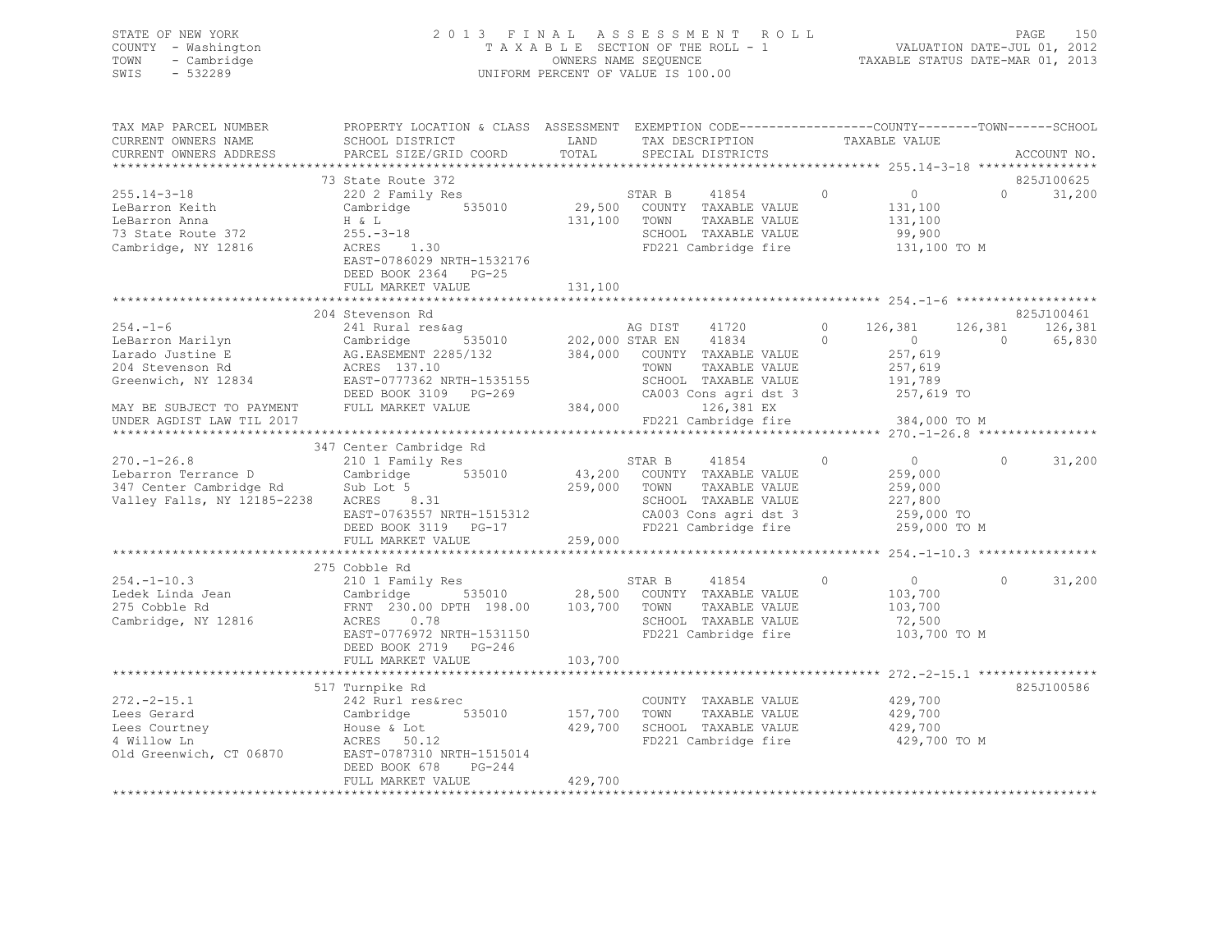| STATE OF NEW YORK<br>COUNTY - Washington | 2013 FINAL ASSESSMENT ROLL<br>TAXABLE SECTION OF THE ROLL - 1 | - 150<br>PAGE<br>VALUATION DATE-JUL 01, 2012 |
|------------------------------------------|---------------------------------------------------------------|----------------------------------------------|
| TOWN - Cambridge                         | OWNERS NAME SEQUENCE                                          | TAXABLE STATUS DATE-MAR 01, 2013             |
| SWIS<br>$-532289$                        | UNIFORM PERCENT OF VALUE IS 100.00                            |                                              |

| TAX MAP PARCEL NUMBER                  | PROPERTY LOCATION & CLASS ASSESSMENT EXEMPTION CODE----------------COUNTY-------TOWN-----SCHOOL                                                                                  |                |                                  |                |                    |                       |        |
|----------------------------------------|----------------------------------------------------------------------------------------------------------------------------------------------------------------------------------|----------------|----------------------------------|----------------|--------------------|-----------------------|--------|
| CURRENT OWNERS NAME                    | SCHOOL DISTRICT                                                                                                                                                                  | LAND           | TAX DESCRIPTION                  | TAXABLE VALUE  |                    |                       |        |
| CURRENT OWNERS ADDRESS                 | PARCEL SIZE/GRID COORD                                                                                                                                                           | TOTAL          | SPECIAL DISTRICTS                |                |                    | ACCOUNT NO.           |        |
|                                        |                                                                                                                                                                                  |                |                                  |                |                    |                       |        |
|                                        | 73 State Route 372                                                                                                                                                               |                |                                  |                |                    | 825J100625            |        |
| $255.14 - 3 - 18$                      | 220 2 Family Res                                                                                                                                                                 |                | 41854<br>STAR B                  | $\bigcirc$     | $\overline{0}$     | $\Omega$ and $\Omega$ | 31,200 |
| LeBarron Keith                         | Cambridge 535010 29,500 COUNTY TAXABLE VALUE                                                                                                                                     |                |                                  |                | 131,100            |                       |        |
| LeBarron Anna                          | H & L                                                                                                                                                                            | 131,100 TOWN   | TAXABLE VALUE                    |                | 131,100            |                       |        |
| 73 State Route 372                     | $255 - 3 - 18$                                                                                                                                                                   |                | SCHOOL TAXABLE VALUE             |                | 99,900             |                       |        |
| Cambridge, NY 12816                    | 1.30<br>ACRES                                                                                                                                                                    |                | FD221 Cambridge fire             |                | 131,100 TO M       |                       |        |
|                                        | EAST-0786029 NRTH-1532176                                                                                                                                                        |                |                                  |                |                    |                       |        |
|                                        | DEED BOOK 2364 PG-25                                                                                                                                                             |                |                                  |                |                    |                       |        |
|                                        | FULL MARKET VALUE                                                                                                                                                                | 131,100        |                                  |                |                    |                       |        |
|                                        |                                                                                                                                                                                  |                |                                  |                |                    |                       |        |
|                                        | 204 Stevenson Rd                                                                                                                                                                 |                |                                  |                |                    | 825J100461            |        |
| $254. - 1 - 6$                         | 241 Rural res&aq                                                                                                                                                                 |                | AG DIST 41720                    | $0 \t 126,381$ |                    | 126,381 126,381       |        |
| LeBarron Marilyn                       | Cambridge 535010 202,000 STAR EN 41834<br>AG.EASEMENT 2285/132 384,000 COUNTY TAXABLE VALUE<br>ACRES 137.10 TOWN TAXABLE VALUE<br>EAST-0777362 NRTH-1535155 SCHOOL TAXABLE VALUE |                |                                  | $\Omega$       | $\overline{0}$     | $\bigcirc$<br>65,830  |        |
| Larado Justine E                       |                                                                                                                                                                                  |                |                                  |                | 257,619            |                       |        |
| 204 Stevenson Rd                       |                                                                                                                                                                                  |                |                                  |                |                    |                       |        |
| Greenwich, NY 12834                    |                                                                                                                                                                                  |                | SCHOOL TAXABLE VALUE             |                | 257,619<br>191,789 |                       |        |
|                                        | DEED BOOK 3109 PG-269                                                                                                                                                            |                | CA003 Cons agri dst 3 257,619 TO |                |                    |                       |        |
| MAY BE SUBJECT TO PAYMENT              | FULL MARKET VALUE                                                                                                                                                                | PG-269 CA003   | 126,381 EX                       |                |                    |                       |        |
| UNDER AGDIST LAW TIL 2017              |                                                                                                                                                                                  |                | FD221 Cambridge fire             |                | 384,000 TO M       |                       |        |
|                                        |                                                                                                                                                                                  |                |                                  |                |                    |                       |        |
|                                        | 347 Center Cambridge Rd                                                                                                                                                          |                |                                  |                |                    |                       |        |
| $270. - 1 - 26.8$                      | 210 1 Family Res                                                                                                                                                                 |                | 41854<br>STAR B                  | $\Omega$       | $\overline{0}$     | $\Omega$              | 31,200 |
| Lebarron Terrance D                    |                                                                                                                                                                                  |                |                                  |                | 259,000            |                       |        |
| 347 Center Cambridge Rd                | Cambridge 535010 43,200 COUNTY TAXABLE VALUE<br>Sub Lot 5 535010 259,000 TOWN TAXABLE VALUE                                                                                      |                | TAXABLE VALUE                    |                | 259,000            |                       |        |
| Valley Falls, NY 12185-2238            | Sub Lot 5<br>ACRES 8.31                                                                                                                                                          |                | SCHOOL TAXABLE VALUE             |                |                    |                       |        |
|                                        |                                                                                                                                                                                  |                |                                  |                | 227,800            |                       |        |
|                                        | EAST-0763557 NRTH-1515312                                                                                                                                                        |                | CA003 Cons agri dst 3            |                | 259,000 TO         |                       |        |
|                                        | DEED BOOK 3119 PG-17                                                                                                                                                             |                | FD221 Cambridge fire             |                | 259,000 TO M       |                       |        |
|                                        | FULL MARKET VALUE                                                                                                                                                                | 259,000        |                                  |                |                    |                       |        |
|                                        |                                                                                                                                                                                  |                |                                  |                |                    |                       |        |
|                                        | 275 Cobble Rd                                                                                                                                                                    |                |                                  |                |                    |                       |        |
| $254. -1 - 10.3$                       | 210 1 Family Res                                                                                                                                                                 |                | 41854 0<br>STAR B                |                | $\overline{0}$     | $\Omega$              | 31,200 |
|                                        |                                                                                                                                                                                  |                |                                  |                | 103,700            |                       |        |
|                                        |                                                                                                                                                                                  |                |                                  |                | 103,700            |                       |        |
| Cambridge, NY 12816                    | ACRES 0.78                                                                                                                                                                       |                | SCHOOL TAXABLE VALUE             |                | 72,500             |                       |        |
|                                        | EAST-0776972 NRTH-1531150                                                                                                                                                        |                | FD221 Cambridge fire             |                | 103,700 TO M       |                       |        |
|                                        | DEED BOOK 2719 PG-246                                                                                                                                                            |                |                                  |                |                    |                       |        |
|                                        | FULL MARKET VALUE                                                                                                                                                                | 103,700        |                                  |                |                    |                       |        |
|                                        |                                                                                                                                                                                  |                |                                  |                |                    |                       |        |
|                                        | 517 Turnpike Rd                                                                                                                                                                  |                |                                  |                |                    | 825J100586            |        |
| $272. - 2 - 15.1$                      | 242 Rurl res&rec                                                                                                                                                                 |                | COUNTY TAXABLE VALUE             |                | 429,700            |                       |        |
| Lees Gerard                            | Cambridge                                                                                                                                                                        | 535010 157,700 | TOWN<br>TAXABLE VALUE            |                | 429,700            |                       |        |
| Lees Courtney                          | House & Lot                                                                                                                                                                      | 429,700        | SCHOOL TAXABLE VALUE             |                | 429,700            |                       |        |
| 4 Willow Ln                            | ACRES 50.12                                                                                                                                                                      |                | FD221 Cambridge fire             |                | 429,700 TO M       |                       |        |
| 4 Willow Ln<br>Old Greenwich, CT 06870 | EAST-0787310 NRTH-1515014                                                                                                                                                        |                |                                  |                |                    |                       |        |
|                                        | DEED BOOK 678<br>PG-244                                                                                                                                                          |                |                                  |                |                    |                       |        |
|                                        | FULL MARKET VALUE                                                                                                                                                                | 429,700        |                                  |                |                    |                       |        |
|                                        |                                                                                                                                                                                  |                |                                  |                |                    |                       |        |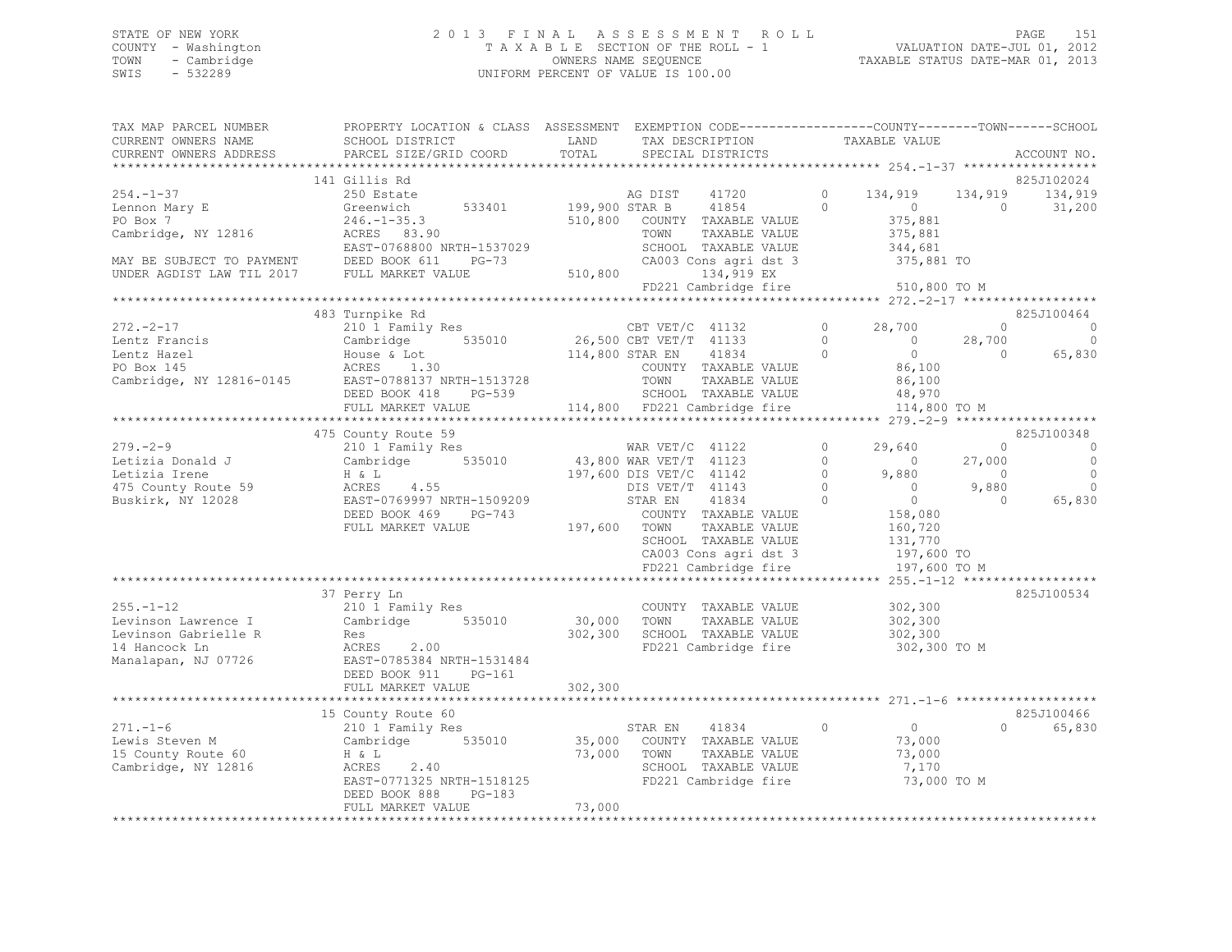## STATE OF NEW YORK 2 0 1 3 F I N A L A S S E S S M E N T R O L L PAGE 151 COUNTY - Washington T A X A B L E SECTION OF THE ROLL - 1 VALUATION DATE-JUL 01, 2012 TOWN - Cambridge OWNERS NAME SEQUENCE TAXABLE STATUS DATE-MAR 01, 2013 SWIS - 532289 UNIFORM PERCENT OF VALUE IS 100.00

| TAX MAP PARCEL NUMBER<br>CURRENT OWNERS NAME                                             | PROPERTY LOCATION & CLASS ASSESSMENT EXEMPTION CODE----------------COUNTY-------TOWN------SCHOOL<br>SCHOOL DISTRICT | LAND           | TAX DESCRIPTION                               |                      | TAXABLE VALUE            |                   |                    |
|------------------------------------------------------------------------------------------|---------------------------------------------------------------------------------------------------------------------|----------------|-----------------------------------------------|----------------------|--------------------------|-------------------|--------------------|
| CURRENT OWNERS ADDRESS                                                                   | PARCEL SIZE/GRID COORD                                                                                              | TOTAL          | SPECIAL DISTRICTS                             |                      |                          |                   | ACCOUNT NO.        |
|                                                                                          | 141 Gillis Rd                                                                                                       |                |                                               |                      |                          |                   | 825J102024         |
| $254. - 1 - 37$                                                                          | 250 Estate                                                                                                          |                | AG DIST<br>41720                              | $\circ$              | 134,919                  | 134,919           | 134,919            |
| Lennon Mary E                                                                            | Greenwich<br>533401                                                                                                 | 199,900 STAR B | 41854                                         | $\Omega$             | $\overline{0}$           | $\Omega$          | 31,200             |
| PO Box 7                                                                                 | $246. - 1 - 35.3$                                                                                                   | 510,800        | COUNTY TAXABLE VALUE                          |                      | 375,881                  |                   |                    |
| Cambridge, NY 12816                                                                      | ACRES 83.90                                                                                                         |                | TOWN<br>TAXABLE VALUE                         |                      | 375,881                  |                   |                    |
|                                                                                          | EAST-0768800 NRTH-1537029                                                                                           |                | SCHOOL TAXABLE VALUE                          |                      | 344,681                  |                   |                    |
| MAY BE SUBJECT TO PAYMENT DEED BOOK 611 I<br>UNDER AGDIST LAW TIL 2017 FULL MARKET VALUE | $PG-73$                                                                                                             |                | CA003 Cons agri dst 3                         |                      | 375,881 TO               |                   |                    |
|                                                                                          |                                                                                                                     | 510,800        | 134,919 EX                                    |                      |                          |                   |                    |
|                                                                                          |                                                                                                                     |                | FD221 Cambridge fire                          |                      | 510,800 TO M             |                   |                    |
|                                                                                          | 483 Turnpike Rd                                                                                                     |                |                                               |                      |                          |                   | 825J100464         |
| $272 - 2 - 17$                                                                           | 210 1 Family Res                                                                                                    |                | CBT VET/C 41132                               | $\Omega$             | 28,700                   | $\Omega$          | 0                  |
| Lentz Francis                                                                            | 535010<br>Cambridge                                                                                                 |                | 26,500 CBT VET/T 41133                        | $\Omega$             | $\overline{0}$           | 28,700            | $\circ$            |
| Lentz Hazel                                                                              | House & Lot                                                                                                         |                | 114,800 STAR EN<br>41834                      | $\circ$              | $\overline{0}$           | $\overline{0}$    | 65,830             |
| PO Box 145                                                                               | ACRES 1.30                                                                                                          |                | COUNTY TAXABLE VALUE                          |                      | 86,100                   |                   |                    |
| Cambridge, NY 12816-0145                                                                 | EAST-0788137 NRTH-1513728                                                                                           |                | TOWN<br>TAXABLE VALUE                         |                      | 86,100                   |                   |                    |
|                                                                                          | DEED BOOK 418<br>PG-539                                                                                             |                | SCHOOL TAXABLE VALUE                          |                      | 48,970                   |                   |                    |
|                                                                                          | FULL MARKET VALUE                                                                                                   |                | 114,800 FD221 Cambridge fire                  |                      | 114,800 TO M             |                   |                    |
|                                                                                          |                                                                                                                     |                |                                               |                      |                          |                   |                    |
|                                                                                          | 475 County Route 59                                                                                                 |                |                                               |                      |                          |                   | 825J100348         |
| $279. - 2 - 9$<br>Letizia Donald J                                                       | 210 1 Family Res<br>535010                                                                                          |                | WAR VET/C 41122<br>43,800 WAR VET/T 41123     | $\Omega$<br>$\Omega$ | 29,640<br>$\overline{0}$ | $\Omega$          | $\circ$<br>$\circ$ |
| Letizia Irene                                                                            | Cambridge<br>$H \& L$                                                                                               |                | 197,600 DIS VET/C 41142                       | $\circ$              | 9,880                    | 27,000<br>$\circ$ | $\circ$            |
| 475 County Route 59                                                                      | 4.55<br>ACRES                                                                                                       |                | DIS VET/T 41143                               | $\Omega$             | $\overline{0}$           | 9,880             | $\Omega$           |
| Buskirk, NY 12028                                                                        | EAST-0769997 NRTH-1509209                                                                                           |                | 41834<br>STAR EN                              | $\Omega$             | $\overline{0}$           | $\Omega$          | 65,830             |
|                                                                                          | DEED BOOK 469<br>PG-743                                                                                             |                | COUNTY TAXABLE VALUE                          |                      | 158,080                  |                   |                    |
|                                                                                          | FULL MARKET VALUE                                                                                                   | 197,600 TOWN   | TAXABLE VALUE                                 |                      | 160,720                  |                   |                    |
|                                                                                          |                                                                                                                     |                | SCHOOL TAXABLE VALUE                          |                      | 131,770                  |                   |                    |
|                                                                                          |                                                                                                                     |                | CA003 Cons agri dst 3                         |                      | 197,600 TO               |                   |                    |
|                                                                                          |                                                                                                                     |                | FD221 Cambridge fire                          |                      | 197,600 TO M             |                   |                    |
|                                                                                          |                                                                                                                     |                |                                               |                      |                          |                   |                    |
|                                                                                          | 37 Perry Ln                                                                                                         |                |                                               |                      |                          |                   | 825J100534         |
| $255. - 1 - 12$<br>Levinson Lawrence I                                                   | 210 1 Family Res<br>535010<br>Cambridge                                                                             | 30,000         | COUNTY TAXABLE VALUE<br>TOWN<br>TAXABLE VALUE |                      | 302,300<br>302,300       |                   |                    |
| Levinson Gabrielle R                                                                     | Res                                                                                                                 | 302,300        | SCHOOL TAXABLE VALUE                          |                      | 302,300                  |                   |                    |
| 14 Hancock Ln                                                                            | ACRES 2.00                                                                                                          |                | FD221 Cambridge fire                          |                      | 302,300 TO M             |                   |                    |
| Manalapan, NJ 07726                                                                      | EAST-0785384 NRTH-1531484                                                                                           |                |                                               |                      |                          |                   |                    |
|                                                                                          | DEED BOOK 911<br>$PG-161$                                                                                           |                |                                               |                      |                          |                   |                    |
|                                                                                          | FULL MARKET VALUE                                                                                                   | 302,300        |                                               |                      |                          |                   |                    |
|                                                                                          |                                                                                                                     |                |                                               |                      |                          |                   |                    |
|                                                                                          | 15 County Route 60                                                                                                  |                |                                               |                      |                          |                   | 825J100466         |
| $271. - 1 - 6$                                                                           | 210 1 Family Res                                                                                                    |                | STAR EN 41834                                 | $\circ$              | $\overline{0}$           | $\Omega$          | 65,830             |
| Lewis Steven M                                                                           | Cambridge 535010                                                                                                    |                | $35,000$ COUNTY TAXABLE VALUE                 |                      | 73,000                   |                   |                    |
| 15 County Route 60<br>Cambridge, NY 12816                                                | $H \& L$<br>2.40<br>ACRES                                                                                           | 73,000 TOWN    | TAXABLE VALUE<br>SCHOOL TAXABLE VALUE         |                      | 73,000<br>7,170          |                   |                    |
|                                                                                          | EAST-0771325 NRTH-1518125                                                                                           |                | FD221 Cambridge fire                          |                      | 73,000 TO M              |                   |                    |
|                                                                                          | DEED BOOK 888<br>$PG-183$                                                                                           |                |                                               |                      |                          |                   |                    |
|                                                                                          | FULL MARKET VALUE                                                                                                   | 73,000         |                                               |                      |                          |                   |                    |
|                                                                                          |                                                                                                                     |                |                                               |                      |                          |                   |                    |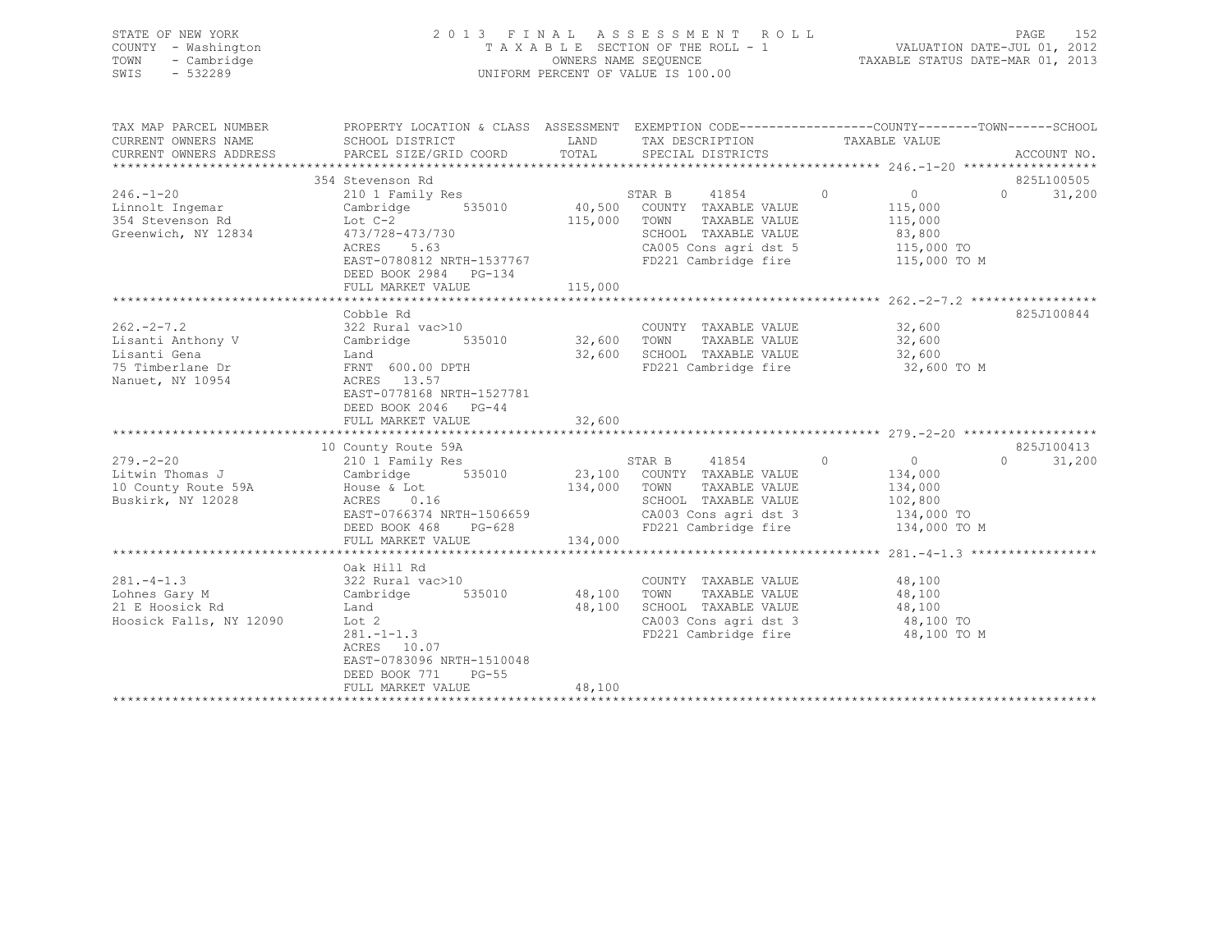|      | STATE OF NEW YORK   | 2013 FINAL ASSESSMENT ROLL         | 152<br>PAGE                      |
|------|---------------------|------------------------------------|----------------------------------|
|      | COUNTY - Washington | TAXABLE SECTION OF THE ROLL - 1    | VALUATION DATE-JUL 01, 2012      |
|      | TOWN - Cambridge    | OWNERS NAME SEQUENCE               | TAXABLE STATUS DATE-MAR 01, 2013 |
| SWIS | - 532289            | UNIFORM PERCENT OF VALUE IS 100.00 |                                  |
|      |                     |                                    |                                  |
|      |                     |                                    |                                  |

| TAX MAP PARCEL NUMBER                                                          | PROPERTY LOCATION & CLASS ASSESSMENT EXEMPTION CODE---------------COUNTY-------TOWN-----SCHOOL                                                                                                                                                                                              |                         | TAX DESCRIPTION TAXABLE VALUE                                                                                                                                                       |              |                                               |
|--------------------------------------------------------------------------------|---------------------------------------------------------------------------------------------------------------------------------------------------------------------------------------------------------------------------------------------------------------------------------------------|-------------------------|-------------------------------------------------------------------------------------------------------------------------------------------------------------------------------------|--------------|-----------------------------------------------|
|                                                                                |                                                                                                                                                                                                                                                                                             |                         |                                                                                                                                                                                     |              |                                               |
| $246. - 1 - 20$<br>Linnolt Ingemar                                             | 354 Stevenson Rd<br>210 1 Family Res<br>Cambridge 535010 40,500 COUNTY TAXABLE VALUE<br>1.1110011 Ingemar<br>354 Stevenson Rd<br>Greenwich, NY 12834<br>273/728-473/730<br>ACRES 5.63<br>27767<br>EAST-0780812 NRTH-1537767<br>DEED BOOK 2984 PG-134                                        | 115,000 TOWN            | STAR B $41854$ 0 0<br>COUNTY TAXABLE VALUE 115,000<br>TAXABLE VALUE 115,000<br>SCHOOL TAXABLE VALUE 83,800<br>CA005 Cons agri dst 5 115,000 TO<br>FD221 Cambridge fire 115,000 TO M |              | 825L100505<br>31,200<br>$\Omega$ and $\Omega$ |
|                                                                                | Cobble Rd                                                                                                                                                                                                                                                                                   |                         |                                                                                                                                                                                     |              | 825J100844                                    |
|                                                                                | COUNTY TAXABLE VALUE<br>Lisanti Anthony V Cambridge 535010 32,600 TOWN TAXABLE VALUE 32,600<br>Lisanti Gena Land Land 32,600 SCHOOL TAXABLE VALUE 32,600<br>75 Timberlane Dr FRNT 600.00 DPTH FD221 Cambridge fire 32,600<br>Nanuet, N<br>EAST-0778168 NRTH-1527781<br>DEED BOOK 2046 PG-44 |                         | FD221 Cambridge fire 32,600 TO M                                                                                                                                                    |              |                                               |
|                                                                                | FULL MARKET VALUE                                                                                                                                                                                                                                                                           | 32,600                  |                                                                                                                                                                                     |              |                                               |
|                                                                                |                                                                                                                                                                                                                                                                                             |                         |                                                                                                                                                                                     |              |                                               |
| $279. - 2 - 20$<br>Litwin Thomas J<br>10 County Route 59A<br>Buskirk, NY 12028 | 10 County Route 59A<br>210 1 Family Res<br>210 1 Family Res (21,100 COUNTY TAXABLE VALUE 134,000)<br>Cambridge 535010 23,100 COUNTY TAXABLE VALUE 134,000<br>ACRES 0.16<br>EAST-0766374 NRTH-1506659<br>DEED BOOK 468<br>$PG-628$<br>FULL MARKET VALUE                                      | 134,000 TOWN<br>134,000 | STAR B 41854 0 0<br>SCHOOL TAXABLE VALUE 102,800<br>CA003 Cons agri dst 3 134,000 TO<br>FD221 Cambridge fire                                                                        | 134,000 TO M | 825J100413<br>31,200<br>$\Omega$              |
|                                                                                |                                                                                                                                                                                                                                                                                             |                         |                                                                                                                                                                                     |              |                                               |
| $281 - 4 - 1.3$<br>Lohnes Gary M<br>21 E Hoosick Rd<br>Hoosick Falls, NY 12090 | Oak Hill Rd<br>322 Rural vac>10<br>Cambridge 535010 48,100 TOWN<br>Land<br>Lot 2<br>$281 - 1 - 1.3$<br>ACRES 10.07<br>EAST-0783096 NRTH-1510048<br>DEED BOOK 771 PG-55                                                                                                                      |                         | COUNTY TAXABLE VALUE 48,100<br>TAXABLE VALUE 48,100<br>48,100 SCHOOL TAXABLE VALUE 48,100<br>CA003 Cons agri dst 3 $\frac{48,100}{1000}$<br>FD221 Cambridge fire                    | 48,100 TO M  |                                               |
|                                                                                | FULL MARKET VALUE                                                                                                                                                                                                                                                                           | 48,100                  |                                                                                                                                                                                     |              |                                               |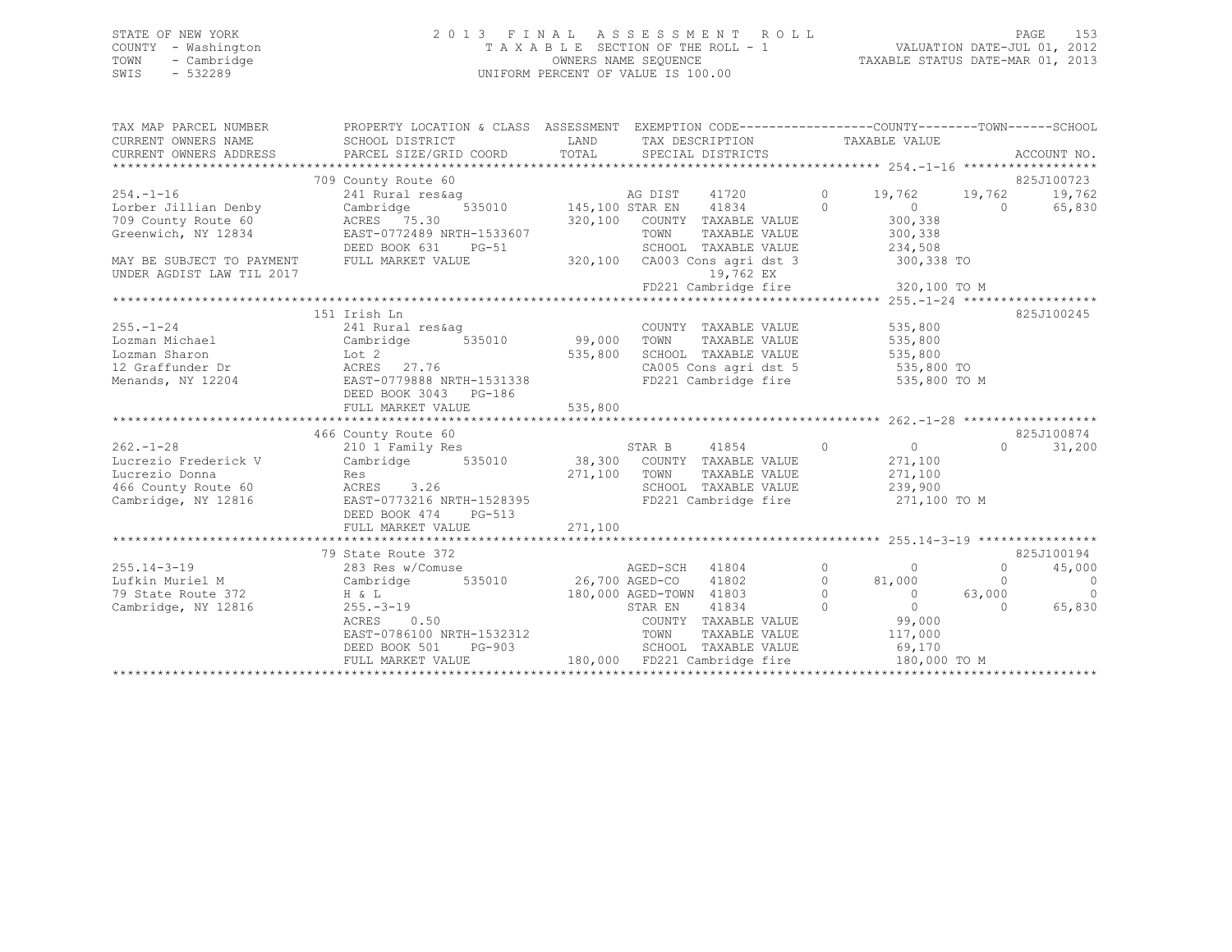## STATE OF NEW YORK 2 0 1 3 F I N A L A S S E S S M E N T R O L L PAGE 153 COUNTY - Washington T A X A B L E SECTION OF THE ROLL - 1 VALUATION DATE-JUL 01, 2012 TOWN - Cambridge OWNERS NAME SEQUENCE TAXABLE STATUS DATE-MAR 01, 2013 SWIS - 532289 UNIFORM PERCENT OF VALUE IS 100.00

| TAX MAP PARCEL NUMBER<br>CURRENT OWNERS NAME<br>CURRENT OWNERS ADDRESS | PROPERTY LOCATION & CLASS ASSESSMENT EXEMPTION CODE----------------COUNTY-------TOWN------SCHOOL<br>SCHOOL DISTRICT<br>PARCEL SIZE/GRID COORD | LAND         | TAX DESCRIPTION TAXABLE VALUE<br>TOTAL SPECIAL DISTRICTS                                                                                                                                                                          |                |                       |            | ACCOUNT NO.    |
|------------------------------------------------------------------------|-----------------------------------------------------------------------------------------------------------------------------------------------|--------------|-----------------------------------------------------------------------------------------------------------------------------------------------------------------------------------------------------------------------------------|----------------|-----------------------|------------|----------------|
|                                                                        | 709 County Route 60                                                                                                                           |              |                                                                                                                                                                                                                                   |                |                       |            | 825J100723     |
| $254. - 1 - 16$                                                        | 241 Rural res&ag                                                                                                                              |              |                                                                                                                                                                                                                                   | $\circ$        | 19,762 19,762         |            | 19,762         |
| Lorber Jillian Denby                                                   | Cambridge                                                                                                                                     |              | Example of the Magnetic Sector of the Magnetic Sector of the Magnetic Sector of the Magnetic Sector of the Magn<br>The Magnetic Sector of the Magnetic Sector of the Magnetic Sector of the Magnetic Sector of the Magnetic Secto | $\bigcirc$     | $\overline{0}$        | $\bigcirc$ | 65,830         |
| 709 County Route 60                                                    | ACRES 75.30                                                                                                                                   |              | 320,100 COUNTY TAXABLE VALUE                                                                                                                                                                                                      |                | 300,338               |            |                |
| Greenwich, NY 12834                                                    | EAST-0772489 NRTH-1533607                                                                                                                     |              | TOWN<br>TAXABLE VALUE                                                                                                                                                                                                             |                | 300, 338              |            |                |
|                                                                        | DEED BOOK 631<br>PG-51                                                                                                                        |              | SCHOOL TAXABLE VALUE                                                                                                                                                                                                              |                | 234,508               |            |                |
| MAY BE SUBJECT TO PAYMENT                                              | FULL MARKET VALUE                                                                                                                             |              | 320,100 CA003 Cons agri dst 3 300,338 TO                                                                                                                                                                                          |                |                       |            |                |
| UNDER AGDIST LAW TIL 2017                                              |                                                                                                                                               |              | 19,762 EX                                                                                                                                                                                                                         |                |                       |            |                |
|                                                                        |                                                                                                                                               |              |                                                                                                                                                                                                                                   |                |                       |            |                |
|                                                                        |                                                                                                                                               |              |                                                                                                                                                                                                                                   |                |                       |            |                |
|                                                                        | 151 Irish Ln                                                                                                                                  |              |                                                                                                                                                                                                                                   |                |                       |            | 825J100245     |
| $255. - 1 - 24$                                                        |                                                                                                                                               |              | COUNTY TAXABLE VALUE                                                                                                                                                                                                              |                | 535,800               |            |                |
| Lozman Michael                                                         |                                                                                                                                               |              | TOWN<br>TAXABLE VALUE                                                                                                                                                                                                             |                | 535,800               |            |                |
| Lozman Sharon                                                          | Lot 2                                                                                                                                         | 535,800      | SCHOOL TAXABLE VALUE 535,800                                                                                                                                                                                                      |                |                       |            |                |
| 12 Graffunder Dr                                                       | ACRES 27.76                                                                                                                                   |              | CA005 Cons agri dst 5 535,800 TO                                                                                                                                                                                                  |                |                       |            |                |
| Menands, NY 12204                                                      | EAST-0779888 NRTH-1531338                                                                                                                     |              | FD221 Cambridge fire 535,800 TO M                                                                                                                                                                                                 |                |                       |            |                |
|                                                                        | DEED BOOK 3043 PG-186                                                                                                                         |              |                                                                                                                                                                                                                                   |                |                       |            |                |
|                                                                        |                                                                                                                                               |              |                                                                                                                                                                                                                                   |                |                       |            |                |
|                                                                        |                                                                                                                                               |              |                                                                                                                                                                                                                                   |                |                       |            |                |
|                                                                        | 466 County Route 60                                                                                                                           |              |                                                                                                                                                                                                                                   |                |                       |            | 825J100874     |
| $262 - 1 - 28$                                                         | 210 1 Family Res                                                                                                                              |              | STAR B 41854<br>38,300 COUNTY TAXABLE VALUE<br>41854 0                                                                                                                                                                            |                | $\overline{0}$        | $\Omega$   | 31,200         |
| Lucrezio Frederick V                                                   | Cambridge 535010                                                                                                                              |              |                                                                                                                                                                                                                                   |                | 271,100               |            |                |
| Lucrezio Donna                                                         | Res                                                                                                                                           | 271,100 TOWN |                                                                                                                                                                                                                                   |                | TAXABLE VALUE 271,100 |            |                |
| 466 County Route 60                                                    | ACRES 3.26                                                                                                                                    |              | SCHOOL TAXABLE VALUE 239,900                                                                                                                                                                                                      |                |                       |            |                |
| Cambridge, NY 12816                                                    | EAST-0773216 NRTH-1528395                                                                                                                     |              | FD221 Cambridge fire 371,100 TO M                                                                                                                                                                                                 |                |                       |            |                |
|                                                                        | DEED BOOK 474 PG-513                                                                                                                          |              |                                                                                                                                                                                                                                   |                |                       |            |                |
|                                                                        |                                                                                                                                               |              |                                                                                                                                                                                                                                   |                |                       |            |                |
|                                                                        |                                                                                                                                               |              |                                                                                                                                                                                                                                   |                |                       |            |                |
|                                                                        | 79 State Route 372                                                                                                                            |              |                                                                                                                                                                                                                                   |                |                       |            | 825J100194     |
| $255.14 - 3 - 19$                                                      | 283 Res w/Comuse                                                                                                                              |              | AGED-SCH 41804<br>010 26,700 AGED-CO 41802                                                                                                                                                                                        | $\overline{0}$ | $\bigcirc$            | $\circ$    | 45,000         |
| Lufkin Muriel M                                                        | Cambridge 535010<br>H & L                                                                                                                     |              |                                                                                                                                                                                                                                   |                | $0$ 81,000<br>0       | $\Omega$   | $\overline{0}$ |
| 79 State Route 372                                                     | H & L                                                                                                                                         |              | 180,000 AGED-TOWN 41803                                                                                                                                                                                                           |                | $\overline{0}$        | 63,000     | $\sim$ 0       |
| Cambridge, NY 12816                                                    | $255. - 3 - 19$                                                                                                                               |              | 41834<br>STAR EN                                                                                                                                                                                                                  | $\Omega$       | $\overline{0}$        | $\Omega$   | 65,830         |
|                                                                        | 0.50<br>ACRES                                                                                                                                 |              | COUNTY TAXABLE VALUE                                                                                                                                                                                                              |                | 99,000                |            |                |
|                                                                        | EAST-0786100 NRTH-1532312<br>DEED BOOK 501 PG-903                                                                                             |              | TAXABLE VALUE<br>TOWN                                                                                                                                                                                                             |                | 117,000               |            |                |
|                                                                        |                                                                                                                                               |              | SCHOOL TAXABLE VALUE                                                                                                                                                                                                              |                | 69,170                |            |                |
|                                                                        | FULL MARKET VALUE                                                                                                                             |              | 180,000 FD221 Cambridge fire                                                                                                                                                                                                      |                | 180,000 TO M          |            |                |
|                                                                        |                                                                                                                                               |              |                                                                                                                                                                                                                                   |                |                       |            |                |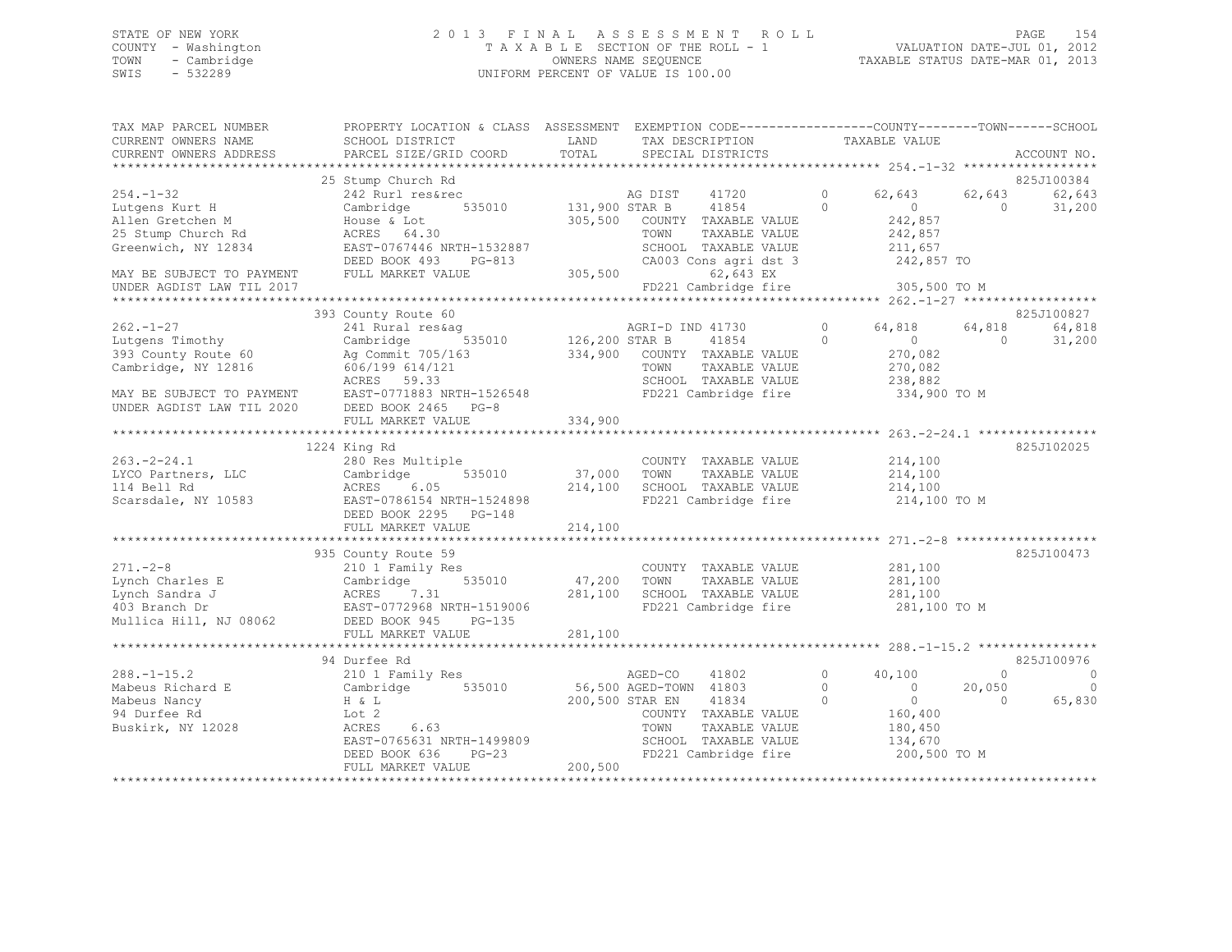# STATE OF NEW YORK PAGE 154<br>COUNTY - Washington 19012<br>2012 - TAXABLE SECTION OF THE ROLL - 1 WALUATION DATE-JUL 01, 2012 COUNTY - Washington  $T A X A B L E$  SECTION OF THE ROLL - 1<br>TOWN - Cambridge  $\sim$  000NERS NAME SEQUENCE TOWN - Cambridge OWNERS NAME SEQUENCE TAXABLE STATUS DATE-MAR 01, 2013 UNIFORM PERCENT OF VALUE IS 100.00

| TAX MAP PARCEL NUMBER     | PROPERTY LOCATION & CLASS ASSESSMENT EXEMPTION CODE----------------COUNTY-------TOWN------SCHOOL |                |                              |                            |          |             |
|---------------------------|--------------------------------------------------------------------------------------------------|----------------|------------------------------|----------------------------|----------|-------------|
| CURRENT OWNERS NAME       | SCHOOL DISTRICT                                                                                  | LAND           | TAX DESCRIPTION              | TAXABLE VALUE              |          |             |
| CURRENT OWNERS ADDRESS    | PARCEL SIZE/GRID COORD                                                                           | TOTAL          | SPECIAL DISTRICTS            |                            |          | ACCOUNT NO. |
|                           |                                                                                                  |                |                              |                            |          |             |
|                           | 25 Stump Church Rd                                                                               |                |                              |                            |          | 825J100384  |
| 254.-1-32                 | 242 Rurl res&rec                                                                                 |                | AG DIST<br>41720             | 62,643<br>$\circ$          | 62,643   | 62,643      |
| Lutgens Kurt H            | Cambridge<br>535010                                                                              | 131,900 STAR B | 41854                        | $\Omega$<br>$\bigcirc$     | $\cap$   | 31,200      |
| Allen Gretchen M          | House & Lot                                                                                      | 305,500        | COUNTY TAXABLE VALUE         | 242,857                    |          |             |
| 25 Stump Church Rd        | ACRES 64.30                                                                                      |                | TOWN<br>TAXABLE VALUE        | 242,857                    |          |             |
| Greenwich, NY 12834       | EAST-0767446 NRTH-1532887                                                                        |                | SCHOOL TAXABLE VALUE         | 211,657                    |          |             |
|                           | DEED BOOK 493<br>PG-813                                                                          |                | CA003 Cons agri dst 3        | 242,857 TO                 |          |             |
| MAY BE SUBJECT TO PAYMENT | FULL MARKET VALUE                                                                                | 305,500        | 62,643 EX                    |                            |          |             |
| UNDER AGDIST LAW TIL 2017 |                                                                                                  |                | FD221 Cambridge fire         | 305,500 TO M               |          |             |
|                           |                                                                                                  |                |                              |                            |          |             |
|                           | 393 County Route 60                                                                              |                |                              |                            |          | 825J100827  |
| $262 - 1 - 27$            | 241 Rural res&ag                                                                                 |                | AGRI-D IND 41730             | $\Omega$<br>64,818         | 64,818   | 64,818      |
| Lutgens Timothy           | 535010<br>Cambridge                                                                              | 126,200 STAR B | 41854                        | $\overline{0}$<br>$\circ$  | $\Omega$ | 31,200      |
| 393 County Route 60       | Ag Commit 705/163                                                                                |                | 334,900 COUNTY TAXABLE VALUE | 270,082                    |          |             |
| Cambridge, NY 12816       | 606/199 614/121                                                                                  |                | TOWN<br>TAXABLE VALUE        | 270,082                    |          |             |
|                           | ACRES 59.33                                                                                      |                | SCHOOL TAXABLE VALUE         | 238,882                    |          |             |
| MAY BE SUBJECT TO PAYMENT | EAST-0771883 NRTH-1526548                                                                        |                | FD221 Cambridge fire         | 334,900 TO M               |          |             |
| UNDER AGDIST LAW TIL 2020 | DEED BOOK 2465 PG-8                                                                              |                |                              |                            |          |             |
|                           | FULL MARKET VALUE                                                                                | 334,900        |                              |                            |          |             |
|                           |                                                                                                  |                |                              |                            |          |             |
|                           | 1224 King Rd                                                                                     |                |                              |                            |          | 825J102025  |
| 263.-2-24.1               | 280 Res Multiple                                                                                 |                | COUNTY TAXABLE VALUE         | 214,100                    |          |             |
| LYCO Partners, LLC        | 535010<br>Cambridge                                                                              | 37,000         | TOWN<br>TAXABLE VALUE        | 214,100                    |          |             |
| 114 Bell Rd               | ACRES 6.05                                                                                       | 214,100        | SCHOOL TAXABLE VALUE         | 214,100                    |          |             |
| Scarsdale, NY 10583       | EAST-0786154 NRTH-1524898                                                                        |                | FD221 Cambridge fire         | 214,100 TO M               |          |             |
|                           | DEED BOOK 2295 PG-148                                                                            |                |                              |                            |          |             |
|                           | FULL MARKET VALUE                                                                                | 214,100        |                              |                            |          |             |
|                           |                                                                                                  |                |                              |                            |          |             |
|                           | 935 County Route 59                                                                              |                |                              |                            |          | 825J100473  |
| $271. - 2 - 8$            | 210 1 Family Res                                                                                 |                | COUNTY TAXABLE VALUE         | 281,100                    |          |             |
| Lynch Charles E           | 535010<br>Cambridge                                                                              | 47,200         | TAXABLE VALUE<br>TOWN        | 281,100                    |          |             |
| Lynch Sandra J            | ACRES<br>7.31                                                                                    | 281,100        | SCHOOL TAXABLE VALUE         | 281,100                    |          |             |
| 403 Branch Dr             | EAST-0772968 NRTH-1519006                                                                        |                | FD221 Cambridge fire         | 281,100 TO M               |          |             |
| Mullica Hill, NJ 08062    | DEED BOOK 945<br>$PG-135$                                                                        |                |                              |                            |          |             |
|                           | FULL MARKET VALUE                                                                                | 281,100        |                              |                            |          |             |
|                           |                                                                                                  |                |                              |                            |          |             |
|                           | 94 Durfee Rd                                                                                     |                |                              |                            |          | 825J100976  |
| $288. - 1 - 15.2$         | 210 1 Family Res                                                                                 |                | 41802<br>AGED-CO             | $\circ$<br>40,100          | $\Omega$ | 0           |
| Mabeus Richard E          | 535010<br>Cambridge                                                                              |                | 56,500 AGED-TOWN 41803       | $\circ$<br>$\overline{0}$  | 20,050   | 0           |
| Mabeus Nancy              | H & L                                                                                            |                | 200,500 STAR EN<br>41834     | $\Omega$<br>$\overline{0}$ | $\Omega$ | 65,830      |
| 94 Durfee Rd              | Lot 2                                                                                            |                | COUNTY TAXABLE VALUE         | 160,400                    |          |             |
| Buskirk, NY 12028         | 6.63<br>ACRES                                                                                    |                | TOWN<br>TAXABLE VALUE        | 180,450                    |          |             |
|                           | EAST-0765631 NRTH-1499809                                                                        |                | SCHOOL TAXABLE VALUE         | 134,670                    |          |             |
|                           | DEED BOOK 636<br>PG-23                                                                           |                | FD221 Cambridge fire         | 200,500 TO M               |          |             |
|                           | FULL MARKET VALUE                                                                                | 200,500        |                              |                            |          |             |
|                           |                                                                                                  |                |                              |                            |          |             |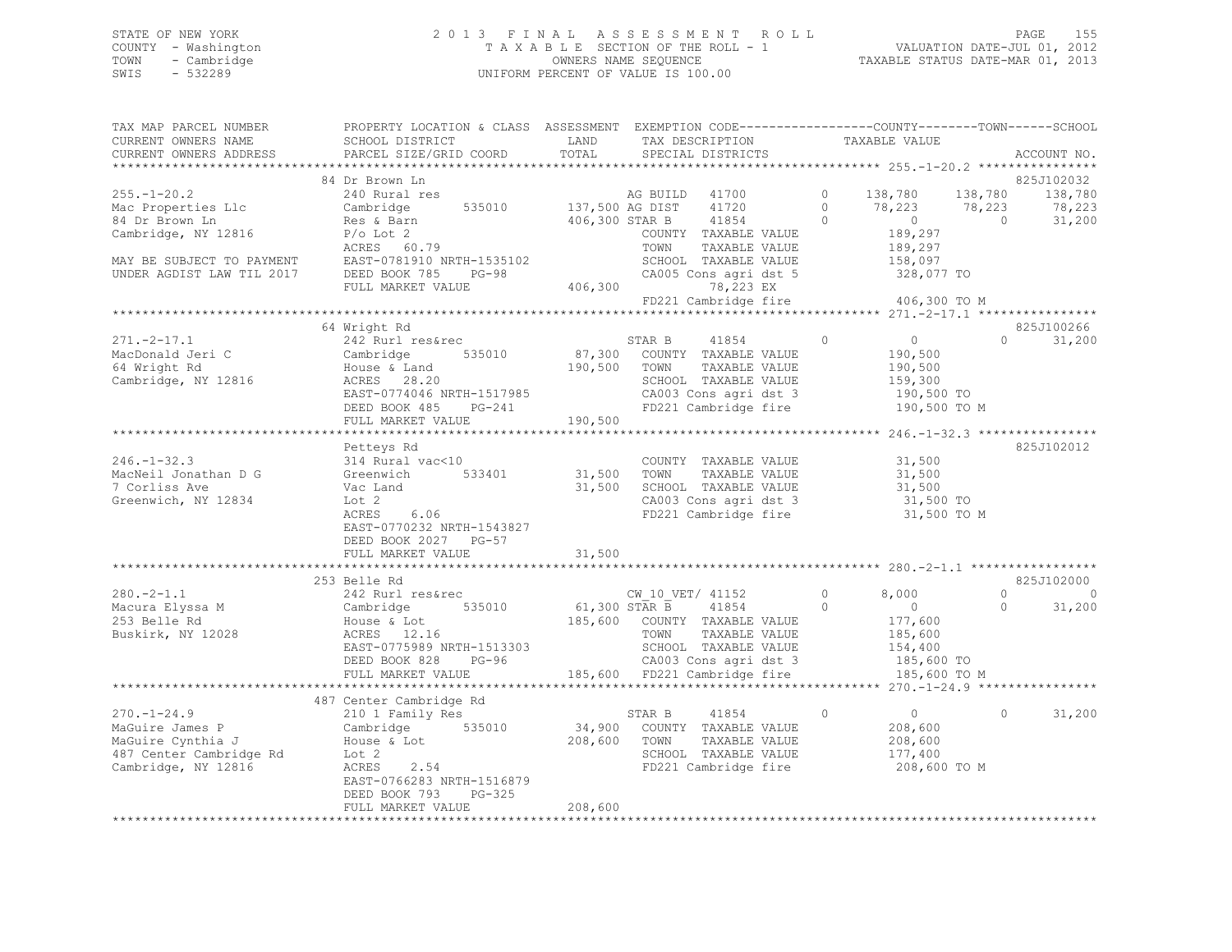## STATE OF NEW YORK 2 0 1 3 F I N A L A S S E S S M E N T R O L L PAGE 155 COUNTY - Washington T A X A B L E SECTION OF THE ROLL - 1 VALUATION DATE-JUL 01, 2012 TOWN - Cambridge OWNERS NAME SEQUENCE TAXABLE STATUS DATE-MAR 01, 2013 SWIS - 532289 UNIFORM PERCENT OF VALUE IS 100.00

| TAX MAP PARCEL NUMBER                                                                                                                                                                                                                             | PROPERTY LOCATION & CLASS ASSESSMENT EXEMPTION CODE---------------COUNTY-------TOWN-----SCHOOL      |                    |      |                                                                                                                                                                                                                 |                   |                                             |            |                                                                                                                                                                                                                                                                                                                                 |
|---------------------------------------------------------------------------------------------------------------------------------------------------------------------------------------------------------------------------------------------------|-----------------------------------------------------------------------------------------------------|--------------------|------|-----------------------------------------------------------------------------------------------------------------------------------------------------------------------------------------------------------------|-------------------|---------------------------------------------|------------|---------------------------------------------------------------------------------------------------------------------------------------------------------------------------------------------------------------------------------------------------------------------------------------------------------------------------------|
| CURRENT OWNERS NAME                                                                                                                                                                                                                               | SCHOOL DISTRICT                                                                                     | LAND               |      | TAX DESCRIPTION                                                                                                                                                                                                 |                   | TAXABLE VALUE                               |            |                                                                                                                                                                                                                                                                                                                                 |
| CURRENT OWNERS ADDRESS                                                                                                                                                                                                                            | PARCEL SIZE/GRID COORD                                                                              | TOTAL              |      | SPECIAL DISTRICTS                                                                                                                                                                                               |                   |                                             |            | ACCOUNT NO.                                                                                                                                                                                                                                                                                                                     |
|                                                                                                                                                                                                                                                   |                                                                                                     |                    |      |                                                                                                                                                                                                                 |                   |                                             |            |                                                                                                                                                                                                                                                                                                                                 |
|                                                                                                                                                                                                                                                   | 84 Dr Brown Ln                                                                                      |                    |      |                                                                                                                                                                                                                 |                   |                                             |            | 825J102032                                                                                                                                                                                                                                                                                                                      |
| $255. - 1 - 20.2$                                                                                                                                                                                                                                 | 240 Rural res                                                                                       |                    |      | AG BUILD 41700 0 138,780 138,780 138,780                                                                                                                                                                        |                   |                                             |            |                                                                                                                                                                                                                                                                                                                                 |
| Mac Properties Llc                                                                                                                                                                                                                                | Cambridge 535010 137,500 AG DIST                                                                    |                    |      |                                                                                                                                                                                                                 | $\overline{0}$    |                                             |            |                                                                                                                                                                                                                                                                                                                                 |
| 84 Dr Brown Ln                                                                                                                                                                                                                                    | Res & Barn<br>P/o Lot 2<br>ACRES 60.79<br>PACE 20011                                                |                    |      | 137,500 AG DIST 41720 0<br>406,300 STAR B 41854 0                                                                                                                                                               |                   | $78,223$<br>0                               |            | 78,223 78,223<br>0 31,200                                                                                                                                                                                                                                                                                                       |
| Cambridge, NY 12816                                                                                                                                                                                                                               |                                                                                                     |                    |      | COUNTY TAXABLE VALUE                                                                                                                                                                                            |                   |                                             |            |                                                                                                                                                                                                                                                                                                                                 |
|                                                                                                                                                                                                                                                   |                                                                                                     |                    | TOWN | TAXABLE VALUE                                                                                                                                                                                                   |                   |                                             |            |                                                                                                                                                                                                                                                                                                                                 |
| MAY BE SUBJECT TO PAYMENT                                                                                                                                                                                                                         | EAST-0781910 NRTH-1535102                                                                           |                    |      | SCHOOL TAXABLE VALUE                                                                                                                                                                                            |                   | 189,297<br>189,297<br>158,097               |            |                                                                                                                                                                                                                                                                                                                                 |
| UNDER AGDIST LAW TIL 2017                                                                                                                                                                                                                         | DEED BOOK 785<br>$PG-98$                                                                            |                    |      | CA005 Cons agri dst 5 328,077 TO                                                                                                                                                                                |                   |                                             |            |                                                                                                                                                                                                                                                                                                                                 |
|                                                                                                                                                                                                                                                   | FULL MARKET VALUE                                                                                   | CA005 C<br>406,300 |      | 78,223 EX                                                                                                                                                                                                       |                   |                                             |            |                                                                                                                                                                                                                                                                                                                                 |
|                                                                                                                                                                                                                                                   |                                                                                                     |                    |      | FD221 Cambridge fire                                                                                                                                                                                            |                   | 406,300 TO M                                |            |                                                                                                                                                                                                                                                                                                                                 |
|                                                                                                                                                                                                                                                   |                                                                                                     |                    |      |                                                                                                                                                                                                                 |                   |                                             |            |                                                                                                                                                                                                                                                                                                                                 |
|                                                                                                                                                                                                                                                   | 64 Wright Rd                                                                                        |                    |      |                                                                                                                                                                                                                 |                   |                                             |            | 825J100266                                                                                                                                                                                                                                                                                                                      |
| MacDonald Jeri C<br>MacDonald Jeri C<br>MacDonald Jeri C<br>Cambridge Cambridge 535010<br>Cambridge, NY 12816<br>Cambridge, NY 12816<br>Cambridge, NY 12816<br>Cambridge, NY 12816<br>Cambridge, NY 12816<br>Cambridge, NY 12816<br>Cambridge, NY |                                                                                                     |                    |      | STAR B 41854                                                                                                                                                                                                    | $\circ$           | $\begin{array}{c} 0 \\ 190,500 \end{array}$ |            | 31,200<br>$0 \qquad \qquad$                                                                                                                                                                                                                                                                                                     |
|                                                                                                                                                                                                                                                   |                                                                                                     |                    |      |                                                                                                                                                                                                                 |                   |                                             |            |                                                                                                                                                                                                                                                                                                                                 |
|                                                                                                                                                                                                                                                   |                                                                                                     |                    |      |                                                                                                                                                                                                                 |                   |                                             |            |                                                                                                                                                                                                                                                                                                                                 |
|                                                                                                                                                                                                                                                   |                                                                                                     |                    |      | SCHOOL TAXABLE VALUE                                                                                                                                                                                            |                   | 190,500<br>159,300<br>190,500 TO            |            |                                                                                                                                                                                                                                                                                                                                 |
|                                                                                                                                                                                                                                                   |                                                                                                     |                    |      | CA003 Cons agri dst 3                                                                                                                                                                                           |                   |                                             |            |                                                                                                                                                                                                                                                                                                                                 |
|                                                                                                                                                                                                                                                   |                                                                                                     |                    |      | FD221 Cambridge fire 190,500 TO M                                                                                                                                                                               |                   |                                             |            |                                                                                                                                                                                                                                                                                                                                 |
|                                                                                                                                                                                                                                                   | DEED BOOK 485 PG-241                                                                                |                    |      |                                                                                                                                                                                                                 |                   |                                             |            |                                                                                                                                                                                                                                                                                                                                 |
|                                                                                                                                                                                                                                                   | FULL MARKET VALUE                                                                                   | 190,500            |      |                                                                                                                                                                                                                 |                   |                                             |            |                                                                                                                                                                                                                                                                                                                                 |
|                                                                                                                                                                                                                                                   |                                                                                                     |                    |      |                                                                                                                                                                                                                 |                   |                                             |            |                                                                                                                                                                                                                                                                                                                                 |
|                                                                                                                                                                                                                                                   | Petteys Rd                                                                                          |                    |      |                                                                                                                                                                                                                 |                   |                                             |            | 825J102012                                                                                                                                                                                                                                                                                                                      |
| $246. - 1 - 32.3$                                                                                                                                                                                                                                 |                                                                                                     |                    |      | COUNTY TAXABLE VALUE                                                                                                                                                                                            |                   | 31,500                                      |            |                                                                                                                                                                                                                                                                                                                                 |
| MacNeil Jonathan D G                                                                                                                                                                                                                              |                                                                                                     |                    |      |                                                                                                                                                                                                                 |                   |                                             |            |                                                                                                                                                                                                                                                                                                                                 |
| 7 Corliss Ave                                                                                                                                                                                                                                     | Vac Land                                                                                            |                    |      |                                                                                                                                                                                                                 |                   |                                             |            |                                                                                                                                                                                                                                                                                                                                 |
| Greenwich, NY 12834                                                                                                                                                                                                                               | nd<br>6.06<br>Lot 2                                                                                 |                    |      | TOWN TAXABLE VALUE 31,500<br>SCHOOL TAXABLE VALUE 31,500<br>CA003 Cons agri dst 3 31,500 TO<br>FD221 Cambridge fire 31,500 TO M<br>31,500 SCHOOL TAXABLE VALUE<br>CA003 Cons agri dst 3<br>FD221 Carbridge fire |                   |                                             |            |                                                                                                                                                                                                                                                                                                                                 |
|                                                                                                                                                                                                                                                   | ACRES                                                                                               |                    |      |                                                                                                                                                                                                                 |                   |                                             |            |                                                                                                                                                                                                                                                                                                                                 |
|                                                                                                                                                                                                                                                   | EAST-0770232 NRTH-1543827                                                                           |                    |      |                                                                                                                                                                                                                 |                   |                                             |            |                                                                                                                                                                                                                                                                                                                                 |
|                                                                                                                                                                                                                                                   | DEED BOOK 2027 PG-57                                                                                |                    |      |                                                                                                                                                                                                                 |                   |                                             |            |                                                                                                                                                                                                                                                                                                                                 |
|                                                                                                                                                                                                                                                   | FULL MARKET VALUE                                                                                   | 31,500             |      |                                                                                                                                                                                                                 |                   |                                             |            |                                                                                                                                                                                                                                                                                                                                 |
|                                                                                                                                                                                                                                                   |                                                                                                     |                    |      |                                                                                                                                                                                                                 |                   |                                             |            |                                                                                                                                                                                                                                                                                                                                 |
|                                                                                                                                                                                                                                                   | 253 Belle Rd                                                                                        |                    |      |                                                                                                                                                                                                                 |                   |                                             |            | 825J102000                                                                                                                                                                                                                                                                                                                      |
| $280 - 2 - 1.1$                                                                                                                                                                                                                                   |                                                                                                     |                    |      |                                                                                                                                                                                                                 | $0 \qquad \qquad$ | 8,000                                       |            | $\begin{matrix} 0 & 0 & 0 \\ 0 & 0 & 0 \\ 0 & 0 & 0 \\ 0 & 0 & 0 \\ 0 & 0 & 0 \\ 0 & 0 & 0 \\ 0 & 0 & 0 \\ 0 & 0 & 0 \\ 0 & 0 & 0 & 0 \\ 0 & 0 & 0 & 0 \\ 0 & 0 & 0 & 0 \\ 0 & 0 & 0 & 0 \\ 0 & 0 & 0 & 0 & 0 \\ 0 & 0 & 0 & 0 & 0 \\ 0 & 0 & 0 & 0 & 0 \\ 0 & 0 & 0 & 0 & 0 & 0 \\ 0 & 0 & 0 & 0 & 0 & 0 \\ 0 & 0 & 0 & 0 & 0$ |
| Macura Elyssa M<br>253 Belle Rd                                                                                                                                                                                                                   |                                                                                                     |                    |      |                                                                                                                                                                                                                 | $\Omega$          | $\overline{0}$                              | $\bigcirc$ | 31,200                                                                                                                                                                                                                                                                                                                          |
| 253 Belle Rd                                                                                                                                                                                                                                      |                                                                                                     |                    |      | 185,600 COUNTY TAXABLE VALUE                                                                                                                                                                                    |                   | 177,600<br>185,600<br>154,400               |            |                                                                                                                                                                                                                                                                                                                                 |
| Buskirk, NY 12028                                                                                                                                                                                                                                 |                                                                                                     |                    |      |                                                                                                                                                                                                                 |                   |                                             |            |                                                                                                                                                                                                                                                                                                                                 |
|                                                                                                                                                                                                                                                   |                                                                                                     |                    |      |                                                                                                                                                                                                                 |                   |                                             |            |                                                                                                                                                                                                                                                                                                                                 |
|                                                                                                                                                                                                                                                   | ACRES 12.16<br>EAST-0775989 NRTH-1513303<br>DERS 12.16<br>DERT POOK 828 PG-96 (A003 Cons agri dst 3 |                    |      | PG-96 			 CA003 Cons agri dst 3 			 185,600 TO<br>185,600 		 FD221 Cambridge fire 		 185,600 TO M                                                                                                               |                   |                                             |            |                                                                                                                                                                                                                                                                                                                                 |
|                                                                                                                                                                                                                                                   | FULL MARKET VALUE                                                                                   |                    |      |                                                                                                                                                                                                                 |                   |                                             |            |                                                                                                                                                                                                                                                                                                                                 |
|                                                                                                                                                                                                                                                   |                                                                                                     |                    |      |                                                                                                                                                                                                                 |                   |                                             |            |                                                                                                                                                                                                                                                                                                                                 |
|                                                                                                                                                                                                                                                   | 487 Center Cambridge Rd                                                                             |                    |      |                                                                                                                                                                                                                 |                   |                                             |            |                                                                                                                                                                                                                                                                                                                                 |
| $270. - 1 - 24.9$                                                                                                                                                                                                                                 | 210 1 Family Res                                                                                    | STAR B             |      | 41854 0                                                                                                                                                                                                         |                   | $\overline{0}$                              |            | $0 \t 31,200$                                                                                                                                                                                                                                                                                                                   |
| MaGuire James P<br>MaGuire Cynthia J<br>487 Center Cambridge Rd<br>Cambridge, NY 12816                                                                                                                                                            | Cambridge 535010                                                                                    |                    |      | 34,900 COUNTY TAXABLE VALUE<br>208,600 TOWN TAXABLE VALUE                                                                                                                                                       |                   | 208,600<br>208,600                          |            |                                                                                                                                                                                                                                                                                                                                 |
|                                                                                                                                                                                                                                                   | House & Lot                                                                                         |                    |      |                                                                                                                                                                                                                 |                   |                                             |            |                                                                                                                                                                                                                                                                                                                                 |
|                                                                                                                                                                                                                                                   | Lot 2                                                                                               |                    |      | SCHOOL TAXABLE VALUE                                                                                                                                                                                            |                   | 177,400                                     |            |                                                                                                                                                                                                                                                                                                                                 |
| Cambridge, NY 12816                                                                                                                                                                                                                               | $\frac{1}{2.54}$<br>ACRES                                                                           |                    |      | FD221 Cambridge fire 208,600 TO M                                                                                                                                                                               |                   |                                             |            |                                                                                                                                                                                                                                                                                                                                 |
|                                                                                                                                                                                                                                                   | EAST-0766283 NRTH-1516879                                                                           |                    |      |                                                                                                                                                                                                                 |                   |                                             |            |                                                                                                                                                                                                                                                                                                                                 |
|                                                                                                                                                                                                                                                   | DEED BOOK 793 PG-325                                                                                |                    |      |                                                                                                                                                                                                                 |                   |                                             |            |                                                                                                                                                                                                                                                                                                                                 |
|                                                                                                                                                                                                                                                   | FULL MARKET VALUE                                                                                   | 208,600            |      |                                                                                                                                                                                                                 |                   |                                             |            |                                                                                                                                                                                                                                                                                                                                 |
|                                                                                                                                                                                                                                                   |                                                                                                     |                    |      |                                                                                                                                                                                                                 |                   |                                             |            |                                                                                                                                                                                                                                                                                                                                 |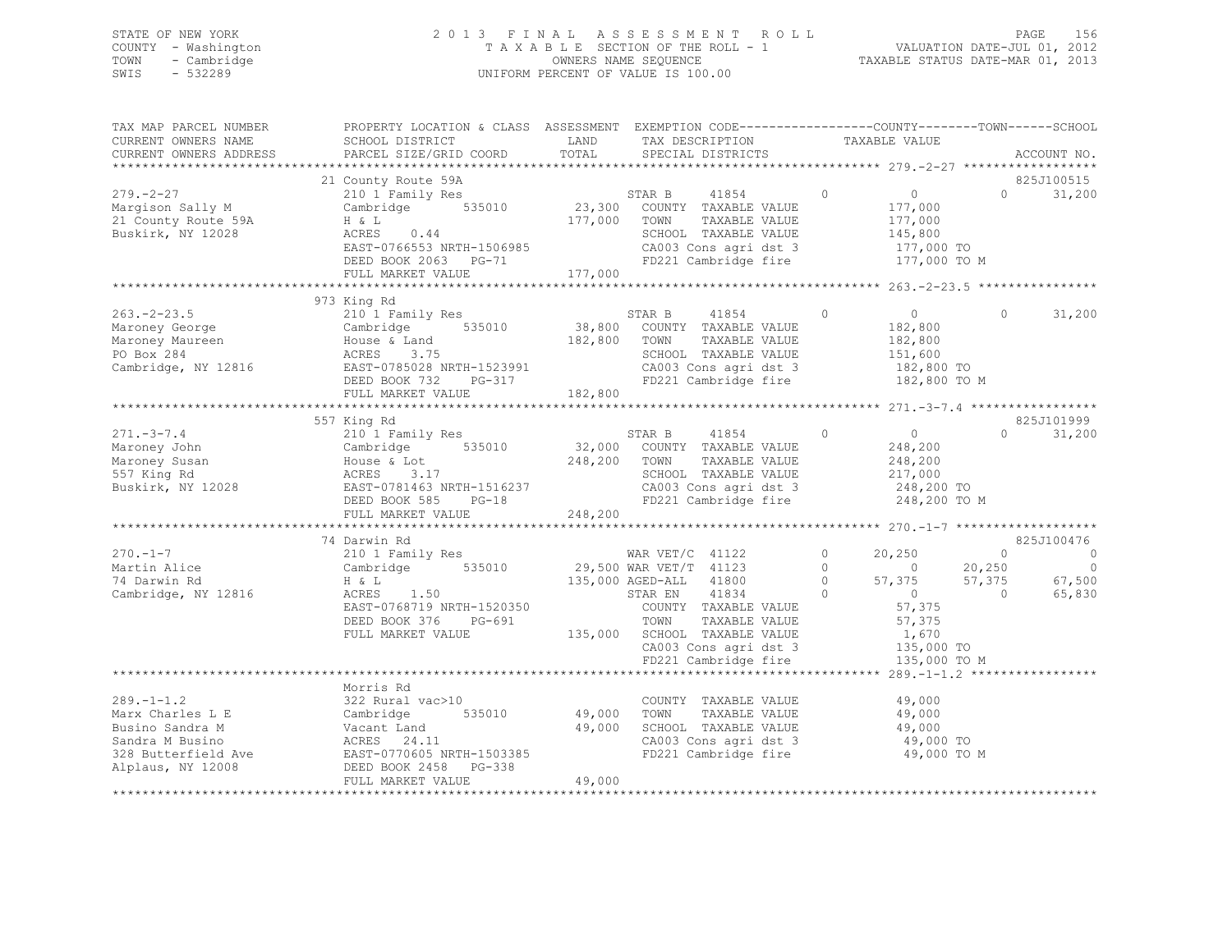## STATE OF NEW YORK 2 0 1 3 F I N A L A S S E S S M E N T R O L L PAGE 156 COUNTY - Washington T A X A B L E SECTION OF THE ROLL - 1 VALUATION DATE-JUL 01, 2012 TOWN - Cambridge OWNERS NAME SEQUENCE TAXABLE STATUS DATE-MAR 01, 2013 SWIS - 532289 UNIFORM PERCENT OF VALUE IS 100.00

| TAX MAP PARCEL NUMBER<br>CURRENT OWNERS NAME<br>CURRENT OWNERS ADDRESS               | PROPERTY LOCATION & CLASS ASSESSMENT EXEMPTION CODE-----------------COUNTY-------TOWN------SCHOOL<br>SCHOOL DISTRICT<br>PARCEL SIZE/GRID COORD                                                                                                          | LAND<br>TOTAL              | TAX DESCRIPTION<br>SPECIAL DISTRICTS                                                                                                                                                                                   | TAXABLE VALUE                                                                                                                                                           |                                      | ACCOUNT NO.                                   |
|--------------------------------------------------------------------------------------|---------------------------------------------------------------------------------------------------------------------------------------------------------------------------------------------------------------------------------------------------------|----------------------------|------------------------------------------------------------------------------------------------------------------------------------------------------------------------------------------------------------------------|-------------------------------------------------------------------------------------------------------------------------------------------------------------------------|--------------------------------------|-----------------------------------------------|
|                                                                                      |                                                                                                                                                                                                                                                         |                            |                                                                                                                                                                                                                        |                                                                                                                                                                         |                                      |                                               |
|                                                                                      | 21 County Route 59A                                                                                                                                                                                                                                     |                            |                                                                                                                                                                                                                        |                                                                                                                                                                         |                                      | 825J100515                                    |
| $279. - 2 - 27$<br>Margison Sally M<br>21 County Route 59A<br>Buskirk, NY 12028      | 210 1 Family Res<br>Cambridge 535010 23,300 COUNTY TAXABLE VALUE<br>H & L<br>ACRES 0.44<br>EAST-0766553 NRTH-1506985<br>DEED BOOK 2063 PG-71<br>FULL MARKET VALUE                                                                                       | 177,000 TOWN               | 41854 0<br>TAXABLE VALUE<br>SCHOOL TAXABLE VALUE<br>CA003 Cons agri dst 3 177,000 TO<br>FD221 Cambridge fire 177,000 TO M<br>FD221 Cambridge fire                                                                      | $\overline{0}$<br>177,000<br>177,000<br>145,800                                                                                                                         | $\Omega$                             | 31,200                                        |
|                                                                                      |                                                                                                                                                                                                                                                         |                            |                                                                                                                                                                                                                        |                                                                                                                                                                         |                                      |                                               |
| 263.-2-23.5<br>Maroney George<br>Maroney Maureen                                     | 973 King Rd<br>210 1 Family Res<br>163.-2-23.5<br>Maroney George Cambridge 535010 38,800<br>Maroney Maureen House & Land 182,800<br>PO Box 284 ACRES 3.75<br>Cambridge, NY 12816 EAST-0785028 NRTH-1523991<br>DEED BOOK 732 PG-317<br>FULL MARKET VALUE | 182,800                    | 41854<br>STAR B<br>535010 38,800 COUNTY TAXABLE VALUE<br>nd 182,800 TOWN TAXABLE VALUE<br>TAXABLE VALUE<br>SCHOOL TAXABLE VALUE<br>CA003 Cons agri dst 3<br>FD221 Comb 4:<br>FD221 Cambridge fire 182,800 TO M         | $\Omega$<br>$\overline{0}$<br>182,800<br>182,800<br>151,600<br>$182,800$ TO                                                                                             | $\Omega$                             | 31,200                                        |
|                                                                                      |                                                                                                                                                                                                                                                         |                            |                                                                                                                                                                                                                        |                                                                                                                                                                         |                                      |                                               |
|                                                                                      | 557 King Rd                                                                                                                                                                                                                                             |                            |                                                                                                                                                                                                                        |                                                                                                                                                                         |                                      | 825J101999                                    |
| $271 - 3 - 7.4$<br>Maroney John<br>Maroney Susan<br>557 King Rd<br>Buskirk, NY 12028 | 210 <sup>1</sup> Family Res<br>Cambridge 535010 32,000 COUNTY TAXABLE VALUE<br>Cambridge<br>House & Lot<br>ACRES 3.17<br>EAST-0781463 NRTH-1516237<br>FEED BOOK 585 PG-18<br>248,200<br>248,200                                                         | 248,200 TOWN               | 41854 0<br>STAR B<br>TAXABLE VALUE<br>SCHOOL TAXABLE VALUE<br>CA003 Cons agri dst 3<br>FD221 Cambridge fire 248,200 TO M                                                                                               | $\overline{0}$<br>248,200<br>248,200<br>217,000<br>248,200 TO                                                                                                           |                                      | $0 \t 31,200$                                 |
|                                                                                      | *****************************                                                                                                                                                                                                                           |                            |                                                                                                                                                                                                                        |                                                                                                                                                                         |                                      |                                               |
|                                                                                      | 74 Darwin Rd                                                                                                                                                                                                                                            |                            |                                                                                                                                                                                                                        |                                                                                                                                                                         |                                      | 825J100476                                    |
| $270. - 1 - 7$<br>Martin Alice<br>74 Darwin Rd<br>Cambridge, NY 12816                | 210 1 Family Res<br>Cambridge 535010<br>$H \& L$<br>$ACRES$ 1.50<br>EAST-0768719 NRTH-1520350<br>DEED BOOK 376 PG-691<br>FULL MARKET VALUE                                                                                                              |                            | WAR VET/C 41122<br>29,500 WAR VET/T 41123<br>135,000 AGED-ALL 41800<br>STAR EN 41834<br>COUNTY TAXABLE VALUE<br>TAXABLE VALUE<br>TOWN<br>135,000 SCHOOL TAXABLE VALUE<br>CA003 Cons agri dst 3<br>FD221 Cambridge fire | 20,250<br>$\circ$<br>$0 \t 20,250$<br>$\Omega$<br>$57,375$<br>0<br>57.375<br>$\circ$<br>57,375<br>$\bigcirc$<br>57,375<br>57,375<br>1,670<br>135,000 TO<br>135,000 TO M | $\overline{0}$<br>57,375<br>$\sim$ 0 | $\circ$<br>$\overline{0}$<br>67,500<br>65,830 |
|                                                                                      |                                                                                                                                                                                                                                                         |                            |                                                                                                                                                                                                                        |                                                                                                                                                                         |                                      |                                               |
| $289. - 1 - 1.2$<br>Marx Charles L E<br>Busino Sandra M                              | Morris Rd<br>322 Rural vac>10<br>Cambridge<br>535010<br>Vacant Land<br>ACRES 24.11<br>328 Butterfield Ave EAST-0770605 NRTH-1503385<br>Alplaus, NY 12008 DEED BOOK 2458 PG-338                                                                          | 49,000<br>49,000<br>49,000 | COUNTY TAXABLE VALUE<br>TOWN<br>TAXABLE VALUE<br>SCHOOL TAXABLE VALUE<br>SCHOOL TAXABLE VALUE 49,000<br>CAOOS CONS agri dst 3 49,000 TO<br>FD221 Cambridge fire                                                        | 49,000<br>49,000<br>49,000 TO M                                                                                                                                         |                                      |                                               |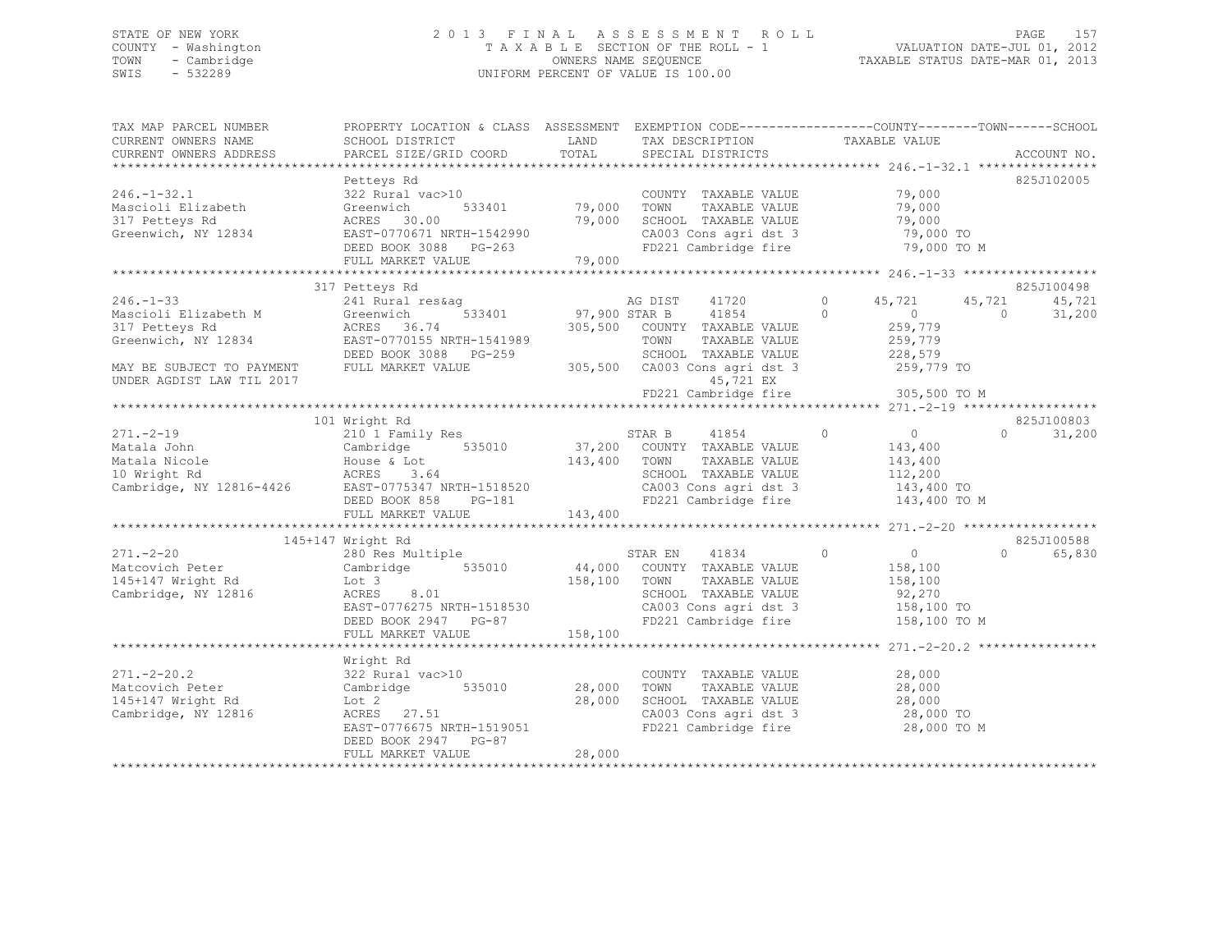## STATE OF NEW YORK 2 0 1 3 F I N A L A S S E S S M E N T R O L L PAGE 157 COUNTY - Washington T A X A B L E SECTION OF THE ROLL - 1 VALUATION DATE-JUL 01, 2012 TOWN - Cambridge OWNERS NAME SEQUENCE TAXABLE STATUS DATE-MAR 01, 2013 SWIS - 532289 UNIFORM PERCENT OF VALUE IS 100.00

| TAX MAP PARCEL NUMBER<br>CURRENT OWNERS NAME<br>CURRENT OWNERS ADDRESS | PROPERTY LOCATION & CLASS ASSESSMENT EXEMPTION CODE---------------COUNTY-------TOWN-----SCHOOL<br>SCHOOL DISTRICT<br>PARCEL SIZE/GRID COORD                                                                                                                                                                                                                                                                                |        | LAND TAX DESCRIPTION TAXABLE VALUE<br>TOTAL SPECIAL DISTRICTS<br>LAND TAX DESCRIPTION                                                                                                                                                       |                       | ACCOUNT NO.                      |
|------------------------------------------------------------------------|----------------------------------------------------------------------------------------------------------------------------------------------------------------------------------------------------------------------------------------------------------------------------------------------------------------------------------------------------------------------------------------------------------------------------|--------|---------------------------------------------------------------------------------------------------------------------------------------------------------------------------------------------------------------------------------------------|-----------------------|----------------------------------|
| $246. - 1 - 32.1$                                                      | Petteys Rd<br>322 Rural vac>10 COUNTY<br>Greenwich 533401 79,000 TOWN<br>ACRES 30.00 COUNTY                                                                                                                                                                                                                                                                                                                                |        | COUNTY TAXABLE VALUE 79,000<br>FD221 Cambridge fire 79,000 TO M                                                                                                                                                                             |                       | 825J102005                       |
|                                                                        |                                                                                                                                                                                                                                                                                                                                                                                                                            |        |                                                                                                                                                                                                                                             |                       |                                  |
|                                                                        | 317 Petteys Rd                                                                                                                                                                                                                                                                                                                                                                                                             |        |                                                                                                                                                                                                                                             |                       | 825J100498                       |
|                                                                        |                                                                                                                                                                                                                                                                                                                                                                                                                            |        |                                                                                                                                                                                                                                             |                       |                                  |
|                                                                        |                                                                                                                                                                                                                                                                                                                                                                                                                            |        |                                                                                                                                                                                                                                             |                       | 825J100803                       |
|                                                                        |                                                                                                                                                                                                                                                                                                                                                                                                                            |        |                                                                                                                                                                                                                                             |                       | $\Omega$<br>31,200               |
|                                                                        |                                                                                                                                                                                                                                                                                                                                                                                                                            |        |                                                                                                                                                                                                                                             |                       |                                  |
|                                                                        |                                                                                                                                                                                                                                                                                                                                                                                                                            |        |                                                                                                                                                                                                                                             |                       |                                  |
| Cambridge, NY 12816                                                    | 145+147 Wright Rd<br>$271.-2-20$<br>$280$ Res Multiple<br>$280$ Res Multiple<br>$280$ Res Multiple<br>$280$ Res Multiple<br>$280$ Res Multiple<br>$280$ Res Multiple<br>$280$ Res Multiple<br>$280$ Res Multiple<br>$280$ Res Multiple<br>$280$ Res Multiple<br>$280$ Res<br>$\frac{1}{158,100}$ COUNII<br>ACRES 8.01 158,100 TOWN<br>ACRES 8.01<br>EAST-0776275 NRTH-1518530<br>DEED BOOK 2947 PG-87<br>FULL MARKER :---- |        | $\begin{tabular}{lllllll} \texttt{STAR EN} & 41834 & 0 & 0 \\ \texttt{COUNTY} & \texttt{TAXABLE VALUE} & & 158,100 \end{tabular}$<br>SCHOOL TAXABLE VALUE $92,270$<br>CA003 Cons agri dst 3 158,100 TO<br>FD221 Cambridge fire 158,100 TO M | TAXABLE VALUE 158,100 | 825J100588<br>$\Omega$<br>65,830 |
|                                                                        |                                                                                                                                                                                                                                                                                                                                                                                                                            |        |                                                                                                                                                                                                                                             |                       |                                  |
| Cambridge, NY 12816                                                    | Wright Rd<br>$271.-2-20.2$<br>Matcovich Peter Cambridge 535010 28,000<br>145+147 Wright Rd Int 2<br>100 2<br>ACRES 27.51 28,000<br>RAST-0776675 NDT: 1516151<br>EAST-0776675 NRTH-1519051<br>DEED BOOK 2947 PG-87<br>FULL MARKET VALUE                                                                                                                                                                                     | 28,000 | COUNTY TAXABLE VALUE 28,000<br>TOWN<br>SCHOOL TAXABLE VALUE 28,000<br>CA003 Cons agri dst 3 28,000 TO<br>FD221 Cambridge fire 28,000 TO M                                                                                                   | TAXABLE VALUE 28,000  |                                  |
|                                                                        |                                                                                                                                                                                                                                                                                                                                                                                                                            |        |                                                                                                                                                                                                                                             |                       |                                  |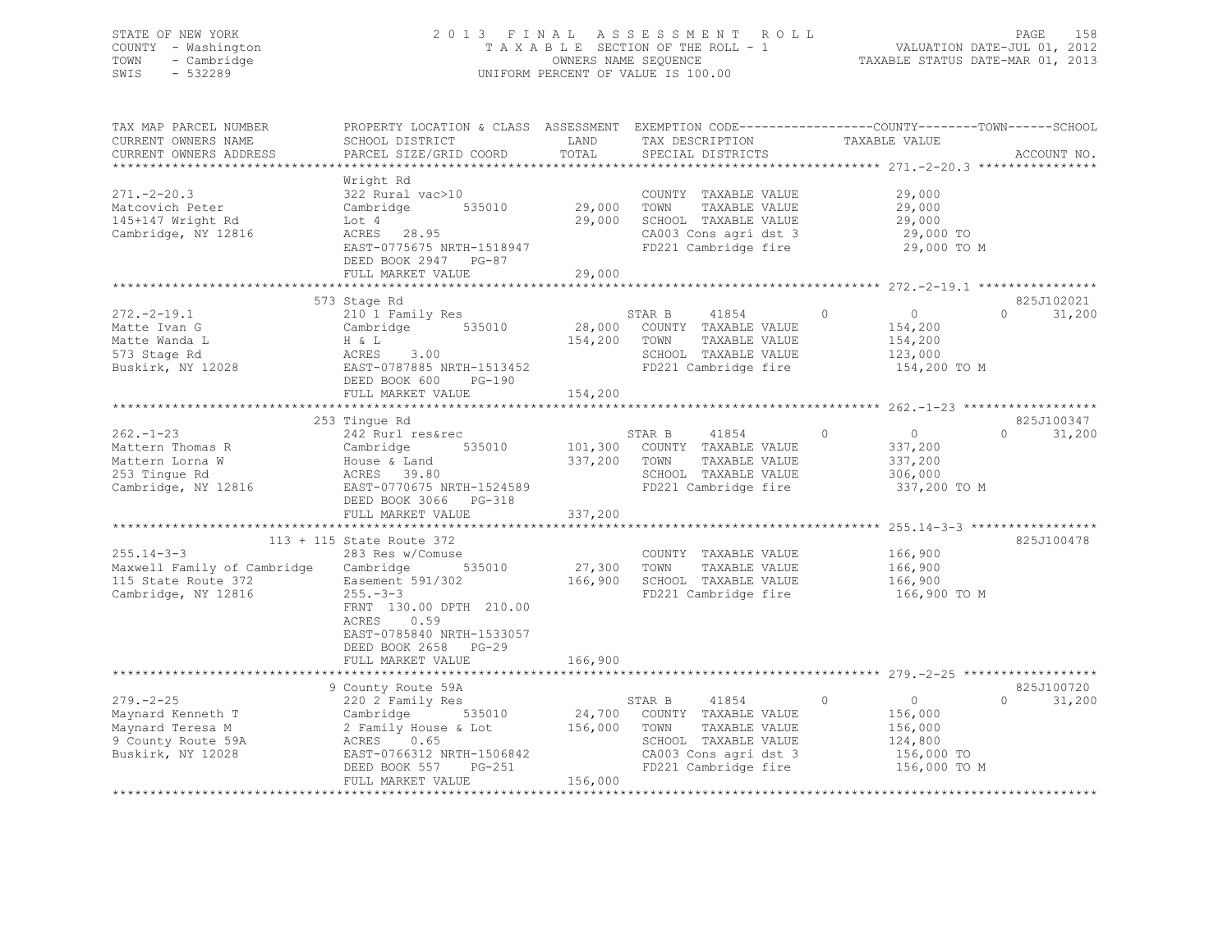## STATE OF NEW YORK 2 0 1 3 F I N A L A S S E S S M E N T R O L L PAGE 158 COUNTY - Washington T A X A B L E SECTION OF THE ROLL - 1 VALUATION DATE-JUL 01, 2012 TOWN - Cambridge OWNERS NAME SEQUENCE TAXABLE STATUS DATE-MAR 01, 2013 SWIS - 532289 UNIFORM PERCENT OF VALUE IS 100.00

| TAX MAP PARCEL NUMBER<br>CURRENT OWNERS NAME<br>CURRENT OWNERS ADDRESS                                  | PROPERTY LOCATION & CLASS ASSESSMENT EXEMPTION CODE---------------COUNTY-------TOWN------SCHOOL<br>SCHOOL DISTRICT<br>PARCEL SIZE/GRID COORD                                  | LAND<br>TOTAL                | TAX DESCRIPTION<br>SPECIAL DISTRICTS                                                                                                             | TAXABLE VALUE                                                                            | ACCOUNT NO.                      |
|---------------------------------------------------------------------------------------------------------|-------------------------------------------------------------------------------------------------------------------------------------------------------------------------------|------------------------------|--------------------------------------------------------------------------------------------------------------------------------------------------|------------------------------------------------------------------------------------------|----------------------------------|
| $271. - 2 - 20.3$<br>Matcovich Peter<br>145+147 Wright Rd<br>Cambridge, NY 12816                        | Wright Rd<br>322 Rural vac>10<br>535010<br>Cambridge<br>Lot 4<br>ACRES 28.95<br>EAST-0775675 NRTH-1518947<br>DEED BOOK 2947 PG-87<br>FULL MARKET VALUE                        | 29,000<br>29,000<br>29,000   | COUNTY TAXABLE VALUE<br>TOWN<br>TAXABLE VALUE<br>SCHOOL TAXABLE VALUE<br>CA003 Cons agri dst 3<br>FD221 Cambridge fire                           | 29,000<br>29,000<br>29,000<br>29,000 TO<br>29,000 TO M                                   |                                  |
|                                                                                                         |                                                                                                                                                                               |                              |                                                                                                                                                  |                                                                                          |                                  |
| $272 - 2 - 19.1$<br>Matte Ivan G<br>Matte Wanda L<br>573 Stage Rd<br>Buskirk, NY 12028                  | 573 Stage Rd<br>210 1 Family Res<br>535010<br>Cambridge<br>H & L<br>ACRES<br>3.00<br>EAST-0787885 NRTH-1513452<br>DEED BOOK 600<br>$PG-190$<br>FULL MARKET VALUE              | 28,000<br>154,200<br>154,200 | 41854<br>STAR B<br>COUNTY TAXABLE VALUE<br>TOWN<br>TAXABLE VALUE<br>SCHOOL TAXABLE VALUE<br>FD221 Cambridge fire                                 | $\Omega$<br>$\overline{0}$<br>154,200<br>154,200<br>123,000<br>154,200 TO M              | 825J102021<br>$\Omega$<br>31,200 |
|                                                                                                         |                                                                                                                                                                               |                              |                                                                                                                                                  |                                                                                          |                                  |
| $262 - 1 - 23$<br>Mattern Thomas R<br>Mattern Lorna W<br>253 Tingue Rd<br>Cambridge, NY 12816           | 253 Tingue Rd<br>242 Rurl res&rec<br>535010<br>Cambridge<br>House & Land<br>ACRES 39.80<br>EAST-0770675 NRTH-1524589<br>DEED BOOK 3066 PG-318                                 | 101,300<br>337,200           | STAR B<br>41854<br>COUNTY TAXABLE VALUE<br>TAXABLE VALUE<br>TOWN<br>SCHOOL TAXABLE VALUE<br>FD221 Cambridge fire                                 | $\circ$<br>$\overline{0}$<br>337,200<br>337,200<br>306,000<br>337,200 TO M               | 825J100347<br>$\cap$<br>31,200   |
|                                                                                                         | FULL MARKET VALUE                                                                                                                                                             | 337,200                      |                                                                                                                                                  |                                                                                          |                                  |
| $255.14 - 3 - 3$<br>Maxwell Family of Cambridge Cambridge<br>115 State Route 372<br>Cambridge, NY 12816 | 113 + 115 State Route 372<br>283 Res w/Comuse<br>535010<br>Easement 591/302<br>$255. - 3 - 3$                                                                                 | 27,300<br>166,900            | COUNTY TAXABLE VALUE<br>TOWN<br>TAXABLE VALUE<br>SCHOOL TAXABLE VALUE<br>FD221 Cambridge fire                                                    | 166,900<br>166,900<br>166,900<br>166,900 TO M                                            | 825J100478                       |
|                                                                                                         | FRNT 130.00 DPTH 210.00<br>ACRES<br>0.59<br>EAST-0785840 NRTH-1533057<br>DEED BOOK 2658 PG-29<br>FULL MARKET VALUE                                                            | 166,900                      |                                                                                                                                                  |                                                                                          |                                  |
|                                                                                                         |                                                                                                                                                                               |                              |                                                                                                                                                  |                                                                                          |                                  |
| $279. - 2 - 25$<br>Maynard Kenneth T<br>Maynard Teresa M<br>9 County Route 59A<br>Buskirk, NY 12028     | 9 County Route 59A<br>220 2 Family Res<br>Cambridge 535010<br>2 Family House & Lot<br>ACRES 0.65<br>EAST-0766312 NRTH-1506842<br>DEED BOOK 557<br>PG-251<br>FULL MARKET VALUE | 156,000<br>156,000           | 41854<br>STAR B<br>24,700 COUNTY TAXABLE VALUE<br>TOWN<br>TAXABLE VALUE<br>SCHOOL TAXABLE VALUE<br>CA003 Cons agri dst 3<br>FD221 Cambridge fire | $\circ$<br>$\overline{0}$<br>156,000<br>156,000<br>124,800<br>156,000 TO<br>156,000 TO M | 825J100720<br>$\Omega$<br>31,200 |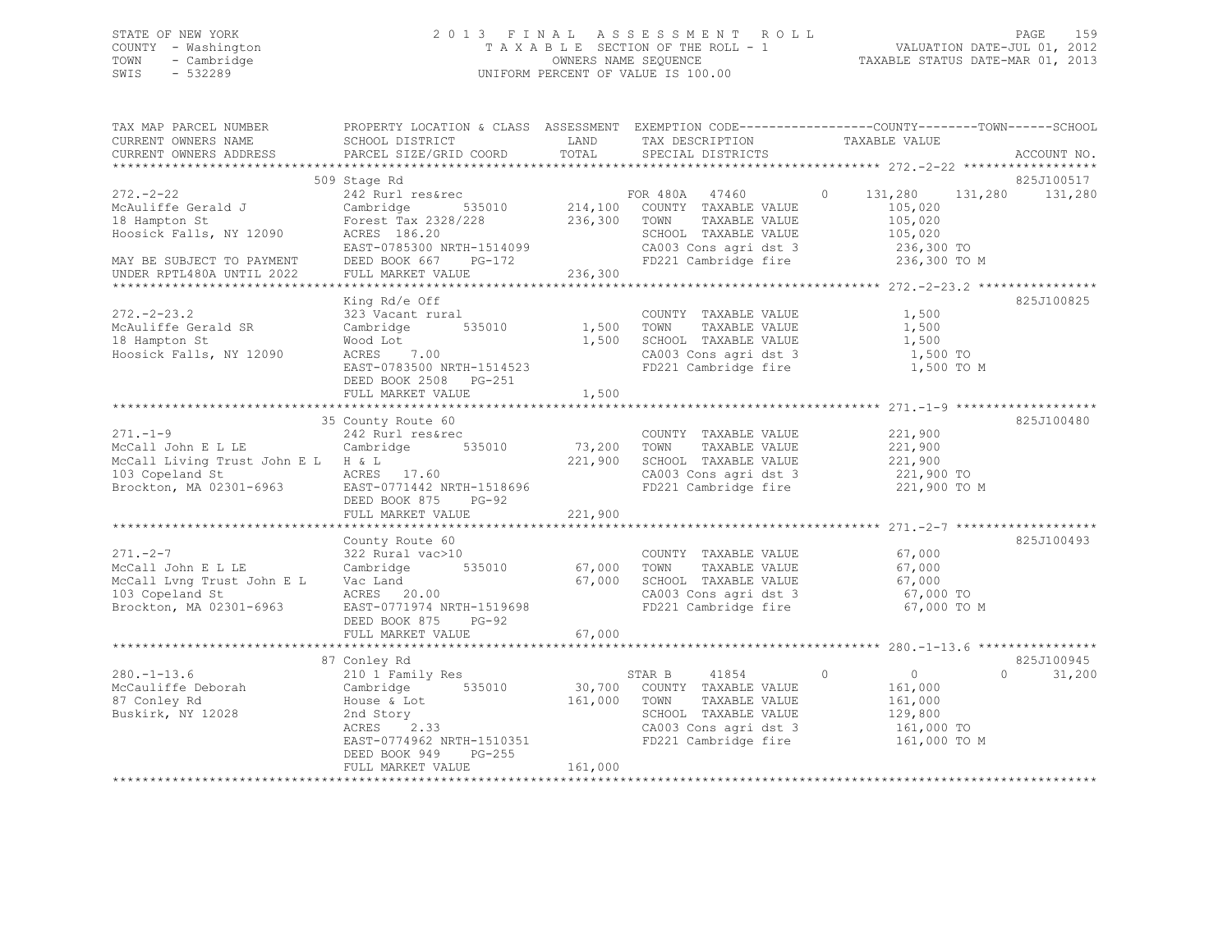## STATE OF NEW YORK 2 0 1 3 F I N A L A S S E S S M E N T R O L L PAGE 159 COUNTY - Washington T A X A B L E SECTION OF THE ROLL - 1 VALUATION DATE-JUL 01, 2012 TOWN - Cambridge OWNERS NAME SEQUENCE TAXABLE STATUS DATE-MAR 01, 2013 SWIS - 532289 UNIFORM PERCENT OF VALUE IS 100.00

| TAX MAP PARCEL NUMBER                                                                                                                                                                                                                                                                                                                                                                     | PROPERTY LOCATION & CLASS ASSESSMENT EXEMPTION CODE---------------COUNTY-------TOWN-----SCHOOL                                                                                                                    |                         |                                                                                                                                                    |                                                                               |          |            |
|-------------------------------------------------------------------------------------------------------------------------------------------------------------------------------------------------------------------------------------------------------------------------------------------------------------------------------------------------------------------------------------------|-------------------------------------------------------------------------------------------------------------------------------------------------------------------------------------------------------------------|-------------------------|----------------------------------------------------------------------------------------------------------------------------------------------------|-------------------------------------------------------------------------------|----------|------------|
| CURRENT OWNERS NAME                                                                                                                                                                                                                                                                                                                                                                       | SCHOOL DISTRICT                                                                                                                                                                                                   |                         | LAND TAX DESCRIPTION TAXABLE VALUE                                                                                                                 |                                                                               |          |            |
|                                                                                                                                                                                                                                                                                                                                                                                           |                                                                                                                                                                                                                   |                         |                                                                                                                                                    |                                                                               |          |            |
|                                                                                                                                                                                                                                                                                                                                                                                           | 509 Stage Rd                                                                                                                                                                                                      |                         |                                                                                                                                                    |                                                                               |          | 825J100517 |
| 272.-2-22<br>McAuliffe Gerald J 242 Rurl res&rec<br>McAuliffe Gerald J Cambridge 535010 214,100 COUNTY TAXABLE VALUE<br>18 Hampton St Forest Tax 2328/228 236,300 TOWN TAXABLE VALUE<br>Hoosick Falls, NY 12090 ACRES 186.20<br>The CHOC                                                                                                                                                  |                                                                                                                                                                                                                   |                         | TAXABLE VALUE                                                                                                                                      | $0 \t 131,280 \t 131,280$<br>105,020<br>105,020                               |          | 131,280    |
| NOUSLICK FAILS, NY 12090 ACRES 186.20<br>MAY BE SUBJECT TO PAYMENT DEED BOOK 667 PG-172 CA003 Cons agri dst 3 236,300 TO<br>EAST-0785300 NRTH-1514099 CA003 Cons agri dst 3 236,300 TO<br>UNDER RPTL480A UNTL 2022 FULL MARKET VALUE                                                                                                                                                      |                                                                                                                                                                                                                   |                         |                                                                                                                                                    |                                                                               |          |            |
|                                                                                                                                                                                                                                                                                                                                                                                           |                                                                                                                                                                                                                   |                         |                                                                                                                                                    |                                                                               |          |            |
| $272 - 2 - 23.2$<br>272.-2-23.2 323 Vacant rural<br>McAuliffe Gerald SR Cambridge<br>18 Hampton St<br>Hoosick Falls, NY 12090                                                                                                                                                                                                                                                             | King Rd/e Off<br>323 Vacant rural<br>Wood Lot<br>ACRES 7.00<br>EAST-0783500 NRTH-1514523<br>EAST-0783500 NRTH-1514523<br>EPER BOOK 2508<br>CAU03 Cons agri dst 3<br>FD221 Cambridge fire<br>DEED BOOK 2508 PG-251 | 535010 1,500 TOWN       | COUNTY TAXABLE VALUE<br>TAXABLE VALUE<br>CA003 Cons agri dst 3 1,500 TO<br>FD221 Cambridge fire                                                    | 1,500<br>1,500<br>1,500<br>1,500 TO M                                         |          | 825J100825 |
|                                                                                                                                                                                                                                                                                                                                                                                           |                                                                                                                                                                                                                   |                         |                                                                                                                                                    |                                                                               |          |            |
| $271. -1 - 9$<br>271.-1-9<br>McCall John E L LE<br>McCall John E L LE<br>McCall Living Trust John E L H & L<br>McCall Living Trust John E L H & L<br>McCall Living Trust John E L H & L<br>McCall Living Trust John E L H & L<br>McCall Living Trust John E L<br>McCall Living Trust John E L $H & L$<br>103 Copeland St ACRES 17.60<br>Brockton, MA 02301-6963 EAST-0771442 NRTH-1518696 | 35 County Route 60<br>DEED BOOK 875 PG-92<br>FULL MARKET VALUE                                                                                                                                                    | 221,900                 | CA003 Cons agri dst 3 221,900 TO<br>FD221 Cambridge fire 221,900 TO M                                                                              | 221,900 TO                                                                    |          | 825J100480 |
|                                                                                                                                                                                                                                                                                                                                                                                           |                                                                                                                                                                                                                   |                         |                                                                                                                                                    |                                                                               |          | 825J100493 |
| $271 - 2 - 7$<br>McCall John E L LE<br>McCall Lyng Trust John E L Vac Land<br>McCall Lyng Trust John E L Vac Land<br>103 Copeland St ACRES 20.00 CA003 Cons agri dst 3 67,000 TO<br>Brockton, MA 02301-6963 EAST-0771974 NRTH-1519698 FD221 Cambridge fire 67,000 TO<br>EXERE                                                                                                             | County Route 60<br>322 Rural vac>10<br>Cambridge 535010 67,000 TOWN<br>DEED BOOK 875<br>$PG-92$                                                                                                                   |                         | COUNTY TAXABLE VALUE<br>TAXABLE VALUE                                                                                                              | 67,000<br>67,000<br>67,000 TO M                                               |          |            |
|                                                                                                                                                                                                                                                                                                                                                                                           | FULL MARKET VALUE                                                                                                                                                                                                 | 67,000                  |                                                                                                                                                    |                                                                               |          |            |
|                                                                                                                                                                                                                                                                                                                                                                                           | 87 Conley Rd                                                                                                                                                                                                      |                         |                                                                                                                                                    |                                                                               |          | 825J100945 |
| $280. - 1 - 13.6$<br>Buskirk, NY 12028                                                                                                                                                                                                                                                                                                                                                    | 210 1 Family Res<br>2nd Story<br>ACRES 2.33<br>EAST-0774962 NRTH-1510351<br>DEED BOOK 949 PG-255<br>FULL MARKET VALUE                                                                                             | 161,000 TOWN<br>161,000 | STAR B<br>30,700 COUNTY TAXABLE VALUE<br>TAXABLE VALUE<br>SCHOOL TAXABLE VALUE 129,800<br>CA003 Cons agri dst 3 161,000 TO<br>FD221 Cambridge fire | $41854 \qquad \qquad 0 \qquad \qquad 0$<br>161,000<br>161,000<br>161,000 TO M | $\Omega$ | 31,200     |
|                                                                                                                                                                                                                                                                                                                                                                                           |                                                                                                                                                                                                                   |                         |                                                                                                                                                    |                                                                               |          |            |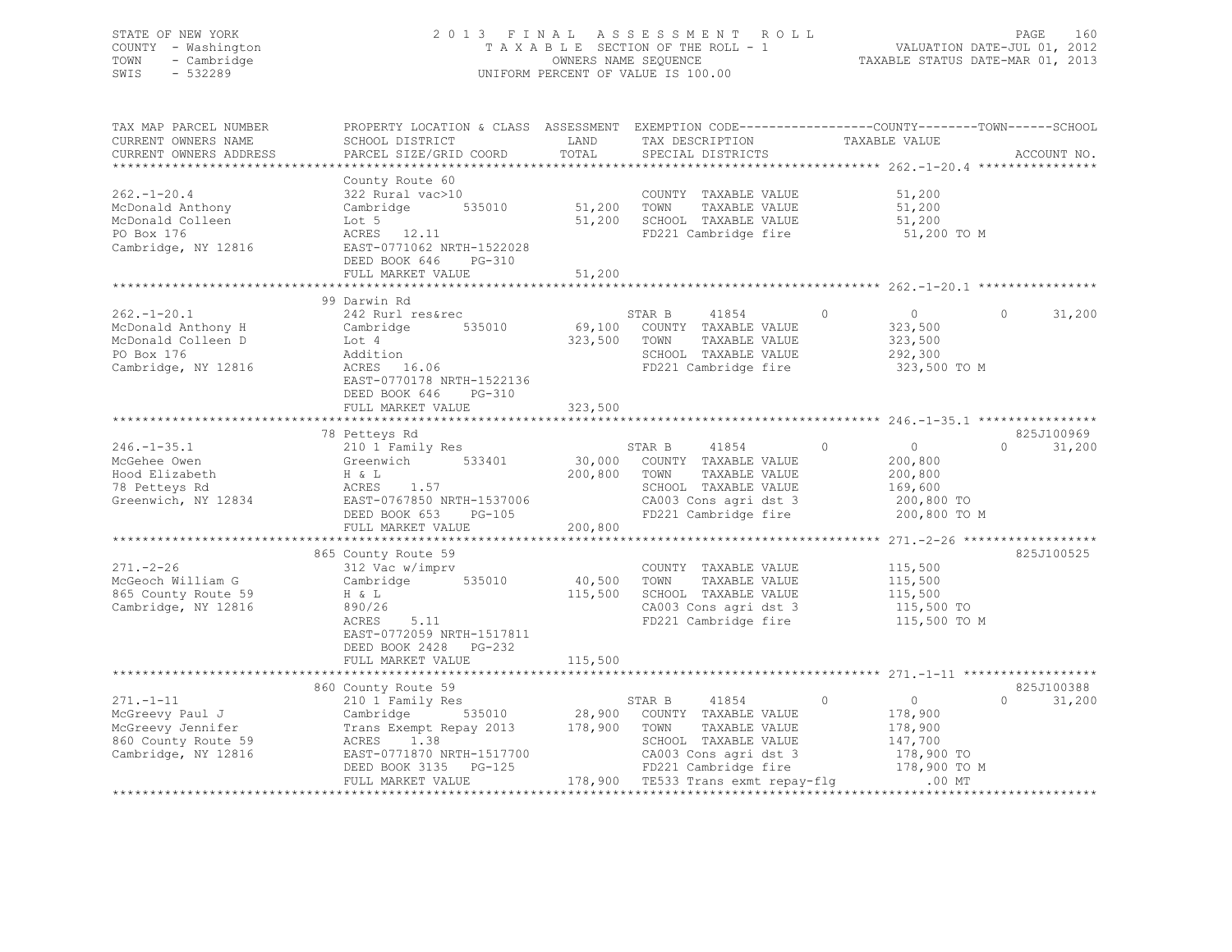## STATE OF NEW YORK 2 0 1 3 F I N A L A S S E S S M E N T R O L L PAGE 160 COUNTY - Washington T A X A B L E SECTION OF THE ROLL - 1 VALUATION DATE-JUL 01, 2012 TOWN - Cambridge OWNERS NAME SEQUENCE TAXABLE STATUS DATE-MAR 01, 2013 SWIS - 532289 UNIFORM PERCENT OF VALUE IS 100.00

| TAX MAP PARCEL NUMBER<br>CURRENT OWNERS NAME<br>CURRENT OWNERS ADDRESS                                | PROPERTY LOCATION & CLASS ASSESSMENT EXEMPTION CODE-----------------COUNTY-------TOWN-----SCHOOL<br>SCHOOL DISTRICT<br>PARCEL SIZE/GRID COORD                                                                   | LAND<br>TOTAL     | TAX DESCRIPTION TAXABLE VALUE SPECIAL DISTRICTS                                                                                                                 |                                                                                           | ACCOUNT NO.        |
|-------------------------------------------------------------------------------------------------------|-----------------------------------------------------------------------------------------------------------------------------------------------------------------------------------------------------------------|-------------------|-----------------------------------------------------------------------------------------------------------------------------------------------------------------|-------------------------------------------------------------------------------------------|--------------------|
| $262. - 1 - 20.4$<br>McDonald Anthony<br>McDonald Colleen<br>PO Box 176<br>Cambridge, NY 12816        | County Route 60<br>322 Rural vac>10<br>Cambridge 535010 51,200 TOWN<br>Cambri<br>Lot 5<br>ACRES 12.11<br>EAST-0771062 NRTH-1522028<br>DEED BOOK 646 PG-310                                                      |                   | COUNTY TAXABLE VALUE<br>TAXABLE VALUE<br>51,200 SCHOOL TAXABLE VALUE<br>FD221 Cambridge fire                                                                    | 51,200<br>51,200<br>51,200<br>51,200 TO M                                                 |                    |
|                                                                                                       | FULL MARKET VALUE                                                                                                                                                                                               | 51,200            |                                                                                                                                                                 |                                                                                           |                    |
|                                                                                                       | 99 Darwin Rd                                                                                                                                                                                                    |                   |                                                                                                                                                                 |                                                                                           |                    |
| $262 - 1 - 20.1$<br>McDonald Anthony H<br>McDonald Colleen D<br>PO Box 176<br>Cambridge, NY 12816     | 242 Rurl res&rec<br>Cambridge 535010<br>Lot 4<br>Addition<br>ACRES 16.06<br>EAST-0770178 NRTH-1522136<br>DEED BOOK 646 PG-310                                                                                   |                   | STAR B<br>41854<br>69,100 COUNTY TAXABLE VALUE<br>323,500 TOWN<br>TAXABLE VALUE<br>SCHOOL TAXABLE VALUE<br>FD221 Cambridge fire                                 | $\circ$<br>$\overline{0}$<br>323,500<br>323,500<br>292,300<br>323,500 TO M                | $\Omega$<br>31,200 |
|                                                                                                       | FULL MARKET VALUE                                                                                                                                                                                               | 323,500           |                                                                                                                                                                 |                                                                                           |                    |
|                                                                                                       | 78 Petteys Rd                                                                                                                                                                                                   |                   |                                                                                                                                                                 |                                                                                           | 825J100969         |
| $246. - 1 - 35.1$<br>McGehee Owen<br>Hood Elizabeth<br>78 Petteys Rd<br>Greenwich, NY 12834           | 210 1 Family Res<br>Greenwich 533401<br>H & L<br>1.57<br>ACRES<br>EAST-0767850 NRTH-1537006<br>DEED BOOK 653<br>PG-105                                                                                          | 200,800 TOWN      | STAR B 41854 0<br>30,000 COUNTY TAXABLE VALUE<br>TAXABLE VALUE<br>SCHOOL TAXABLE VALUE<br>SCHOOL TAXABLE VALUE<br>CA003 Cons agri dst 3<br>FD221 Cambridge fire | $\overline{0}$<br>200,800<br>200,800<br>169,600<br>200,800 TO<br>200,800 TO M             | 31,200<br>$\Omega$ |
|                                                                                                       | FULL MARKET VALUE                                                                                                                                                                                               | 200,800           |                                                                                                                                                                 |                                                                                           |                    |
|                                                                                                       |                                                                                                                                                                                                                 |                   |                                                                                                                                                                 |                                                                                           |                    |
| $271. - 2 - 26$<br>McGeoch William G<br>865 County Route 59<br>Cambridge, NY 12816                    | 865 County Route 59<br>312 Vac w/imprv<br>Cambridge 535010<br>H & L<br>890/26<br>ACRES<br>5.11<br>EAST-0772059 NRTH-1517811<br>DEED BOOK 2428 PG-232                                                            | 40,500<br>115,500 | COUNTY TAXABLE VALUE<br>TOWN<br>TAXABLE VALUE<br>SCHOOL TAXABLE VALUE<br>CA003 Cons agri dst 3<br>FD221 Cambridge fire                                          | 115,500<br>115,500<br>115,500<br>115,500 TO<br>115,500 TO M                               | 825J100525         |
|                                                                                                       | FULL MARKET VALUE                                                                                                                                                                                               | 115,500           |                                                                                                                                                                 |                                                                                           |                    |
|                                                                                                       |                                                                                                                                                                                                                 |                   |                                                                                                                                                                 |                                                                                           |                    |
|                                                                                                       | 860 County Route 59                                                                                                                                                                                             |                   |                                                                                                                                                                 |                                                                                           | 825J100388         |
| $271. - 1 - 11$<br>McGreevy Paul J<br>McGreevy Jennifer<br>860 County Route 59<br>Cambridge, NY 12816 | 210 1 Family Res<br>Cambridge 535010 28,900 COUNTY TAXABLE VALUE<br>Trans Exempt Repay 2013 178,900 TOWN TAXABLE VALUE<br>ACRES 1.38<br>EAST-0771870 NRTH-1517700<br>DEED BOOK 3135 PG-125<br>FULL MARKET VALUE |                   | STAR B 41854 0<br>SCHOOL TAXABLE VALUE<br>CA003 Cons agri dst 3<br>125 FD221 Cambridge fire 178,<br>178,900 TE533 Trans exmt repay-flg                          | $\overline{0}$<br>178,900<br>178,900<br>147,700<br>178,900 TO<br>178,900 TO M<br>$.00$ MT | 31,200<br>$\Omega$ |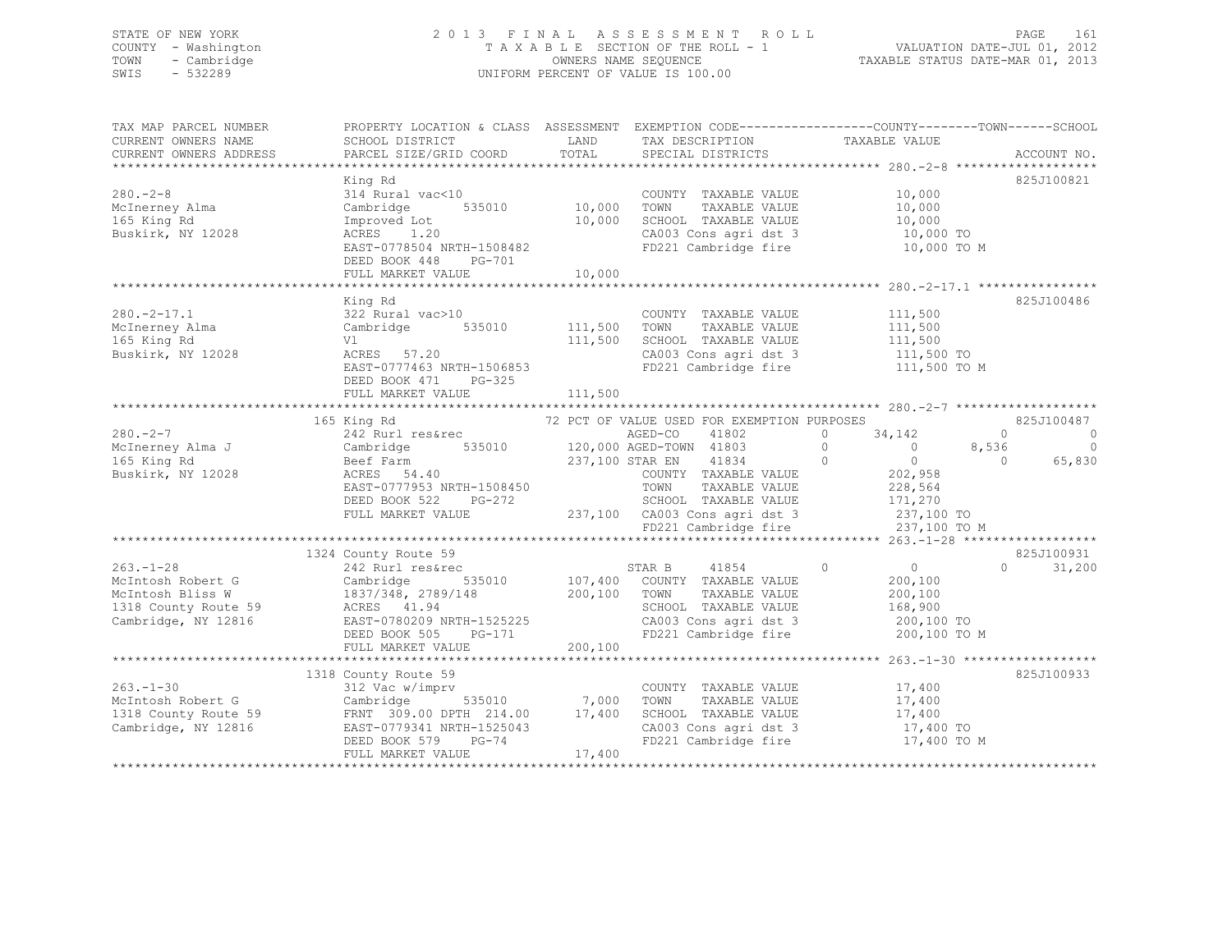## STATE OF NEW YORK 2 0 1 3 F I N A L A S S E S S M E N T R O L L PAGE 161 COUNTY - Washington T A X A B L E SECTION OF THE ROLL - 1 VALUATION DATE-JUL 01, 2012 TOWN - Cambridge OWNERS NAME SEQUENCE TAXABLE STATUS DATE-MAR 01, 2013 SWIS - 532289 UNIFORM PERCENT OF VALUE IS 100.00

| TAX MAP PARCEL NUMBER<br>CURRENT OWNERS NAME<br>CURRENT OWNERS ADDRESS                                  | PROPERTY LOCATION & CLASS ASSESSMENT EXEMPTION CODE----------------COUNTY-------TOWN------SCHOOL<br>SCHOOL DISTRICT<br>PARCEL SIZE/GRID COORD                | LAND<br>TOTAL                     | TAX DESCRIPTION<br>SPECIAL DISTRICTS                                                                                                                       | TAXABLE VALUE                                                                                   | ACCOUNT NO.                                     |
|---------------------------------------------------------------------------------------------------------|--------------------------------------------------------------------------------------------------------------------------------------------------------------|-----------------------------------|------------------------------------------------------------------------------------------------------------------------------------------------------------|-------------------------------------------------------------------------------------------------|-------------------------------------------------|
| $280 - 2 - 8$<br>McInerney Alma<br>165 King Rd<br>Buskirk, NY 12028                                     | King Rd<br>314 Rural vac<10<br>Cambridge<br>Improved Lot<br>ACRES<br>1.20<br>EAST-0778504 NRTH-1508482<br>DEED BOOK 448<br>PG-701<br>FULL MARKET VALUE       | 535010 10,000<br>10,000<br>10,000 | COUNTY TAXABLE VALUE<br>TOWN<br>TAXABLE VALUE<br>SCHOOL TAXABLE VALUE<br>SUHOOL TAXABLE VALUE<br>CA003 Cons agri dst 3<br>FD221 Cambridge fire 10,000 TO M | 10,000<br>10,000<br>10,000<br>10,000 TO                                                         | 825J100821                                      |
| $280. -2 - 17.1$<br>McInerney Alma<br>165 King Rd<br>Buskirk, NY 12028                                  | King Rd<br>322 Rural vac>10<br>535010 111,500<br>Cambridge<br>Vl<br>ACRES 57.20<br>EAST-0777463 NRTH-1506853<br>DEED BOOK 471<br>PG-325<br>FULL MARKET VALUE | 111,500<br>111,500                | COUNTY TAXABLE VALUE<br>TOWN<br>TAXABLE VALUE<br>SCHOOL TAXABLE VALUE<br>CA003 Cons agri dst 3 111,500 TO<br>FD221 Cambridge fire                          | 111,500<br>111,500<br>111,500<br>111,500 TO M                                                   | 825J100486                                      |
|                                                                                                         |                                                                                                                                                              |                                   |                                                                                                                                                            |                                                                                                 |                                                 |
| $280 - 2 - 7$                                                                                           | 165 King Rd<br>242 Rurl res&rec                                                                                                                              |                                   | 72 PCT OF VALUE USED FOR EXEMPTION PURPOSES<br>AGED-CO<br>41802                                                                                            | $\circ$<br>34,142                                                                               | 825J100487<br>$\circ$<br>$\circ$                |
| McInerney Alma J<br>165 King Rd<br>Buskirk, NY 12028                                                    | Cambridge<br>Beef Farm<br>ACRES 54.40<br>EAST-0777953 NRTH-1508450                                                                                           |                                   | 535010 120,000 AGED-TOWN 41803<br>237,100 STAR EN 41834<br>COUNTY TAXABLE VALUE<br>TAXABLE VALUE<br>TOWN                                                   | $\overline{0}$<br>$\overline{0}$<br>$\overline{0}$<br>$\overline{0}$<br>202,958<br>228,564      | $\overline{0}$<br>8,536<br>65,830<br>$\bigcirc$ |
|                                                                                                         | DEED BOOK 522<br>PG-272<br>FULL MARKET VALUE                                                                                                                 |                                   | SCHOOL TAXABLE VALUE<br>$237,100$ $C A003$ Cons agri dst 3<br>FD221 Cambridge fire                                                                         | 171,270<br>237,100 TO<br>237,100 TO M                                                           |                                                 |
|                                                                                                         |                                                                                                                                                              |                                   |                                                                                                                                                            |                                                                                                 | 825J100931                                      |
| $263. - 1 - 28$<br>McIntosh Robert G<br>McIntosh Bliss W<br>1318 County Route 59<br>Cambridge, NY 12816 | 1324 County Route 59<br>242 Rurl res&rec<br>Cambridge<br>1837/348, 2789/148<br>ACRES 41.94<br>EAST-0780209 NRTH-1525225<br>DEED BOOK 505 PG-171              | $\frac{100}{200}$ , 100           | STAR B<br>41854<br>535010 107,400 COUNTY TAXABLE VALUE<br>TOWN<br>TAXABLE VALUE<br>SCHOOL TAXABLE VALUE<br>CA003 Cons agri dst 3<br>FD221 Cambridge fire   | $\overline{0}$<br>$\overline{0}$<br>200,100<br>200,100<br>168,900<br>200,100 TO<br>200,100 TO M | $\Omega$<br>31,200                              |
|                                                                                                         | FULL MARKET VALUE                                                                                                                                            | 200,100                           |                                                                                                                                                            |                                                                                                 |                                                 |
| $263. - 1 - 30$<br>McIntosh Robert G<br>1318 County Route 59                                            | 1318 County Route 59<br>312 Vac w/imprv<br>Cambridge 535010 7,000<br>FRNT 309.00 DPTH 214.00 17,400                                                          |                                   | COUNTY TAXABLE VALUE<br>TOWN<br>TAXABLE VALUE<br>SCHOOL TAXABLE VALUE                                                                                      | 17,400<br>17,400<br>17,400                                                                      | 825J100933                                      |
| Cambridge, NY 12816                                                                                     | EAST-0779341 NRTH-1525043<br>DEED BOOK 579<br>$PG-74$<br>FULL MARKET VALUE                                                                                   | 17,400                            | CA003 Cons agri dst 3<br>FD221 Cambridge fire                                                                                                              | 17,400 TO<br>17,400 TO M                                                                        |                                                 |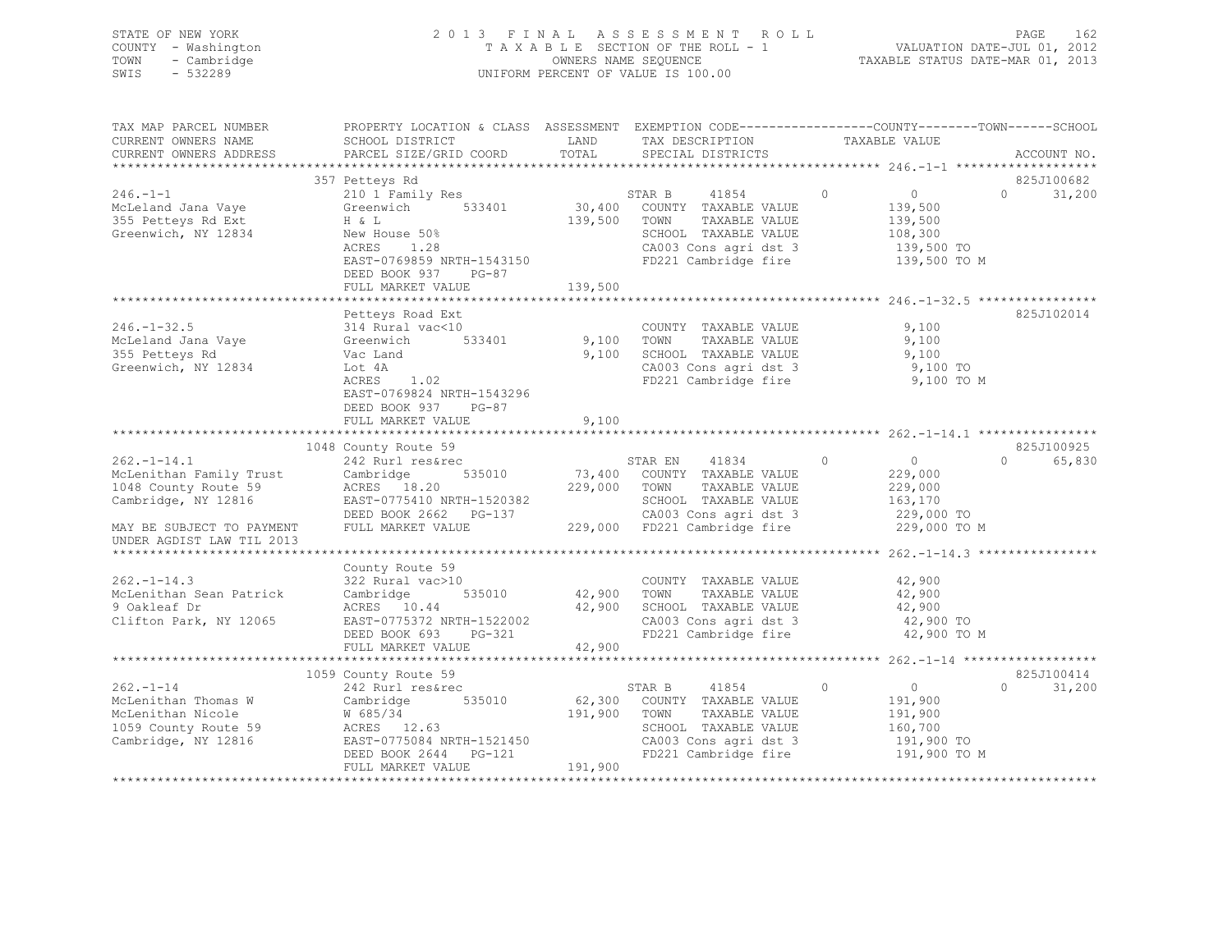STATE OF NEW YORK 2 0 1 3 F I N A L A S S E S S M E N T R O L L PAGE 162 COUNTY - Washington T A X A B L E SECTION OF THE ROLL - 1 VALUATION DATE-JUL 01, 2012 TOWN - Cambridge OWNERS NAME SEQUENCE TAXABLE STATUS DATE-MAR 01, 2013 SWIS - 532289 UNIFORM PERCENT OF VALUE IS 100.00

| TAX MAP PARCEL NUMBER                              | PROPERTY LOCATION & CLASS ASSESSMENT EXEMPTION CODE----------------COUNTY-------TOWN-----SCHOOL |              |                                                            |                              |                    |
|----------------------------------------------------|-------------------------------------------------------------------------------------------------|--------------|------------------------------------------------------------|------------------------------|--------------------|
| CURRENT OWNERS NAME                                | SCHOOL DISTRICT                                                                                 | LAND         | TAX DESCRIPTION                                            | TAXABLE VALUE                |                    |
| CURRENT OWNERS ADDRESS                             | PARCEL SIZE/GRID COORD                                                                          | TOTAL        | SPECIAL DISTRICTS                                          |                              | ACCOUNT NO.        |
|                                                    |                                                                                                 |              |                                                            |                              |                    |
|                                                    | 357 Petteys Rd                                                                                  |              |                                                            |                              | 825J100682         |
| $246. - 1 - 1$                                     | 210 1 Family Res                                                                                |              | STAR B<br>41854                                            | $0 \qquad \qquad$<br>$\circ$ | $\Omega$<br>31,200 |
| McLeland Jana Vaye                                 | Greenwich 533401                                                                                |              | 30,400 COUNTY TAXABLE VALUE<br>30,400 COUNTY TAXABLE VALUE | 139,500                      |                    |
| 355 Petteys Rd Ext                                 | H & L                                                                                           | 139,500      | TOWN<br>TAXABLE VALUE                                      | 139,500                      |                    |
| Greenwich, NY 12834                                | New House 50%                                                                                   |              | SCHOOL TAXABLE VALUE                                       | 108,300                      |                    |
|                                                    | ACRES<br>1.28                                                                                   |              | CA003 Cons agri dst 3                                      | 139,500 TO                   |                    |
|                                                    | EAST-0769859 NRTH-1543150                                                                       |              | FD221 Cambridge fire                                       | 139,500 TO M                 |                    |
|                                                    | DEED BOOK 937 PG-87                                                                             |              |                                                            |                              |                    |
|                                                    | FULL MARKET VALUE                                                                               | 139,500      |                                                            |                              |                    |
|                                                    |                                                                                                 |              |                                                            |                              |                    |
|                                                    | Petteys Road Ext                                                                                |              |                                                            |                              | 825J102014         |
| $246. - 1 - 32.5$                                  | 314 Rural vac<10                                                                                |              | COUNTY TAXABLE VALUE                                       | 9,100                        |                    |
| McLeland Jana Vaye                                 | Greenwich<br>533401                                                                             | 9,100 TOWN   | TAXABLE VALUE                                              | 9,100                        |                    |
| 355 Petteys Rd                                     | Vac Land                                                                                        | 9,100        | SCHOOL TAXABLE VALUE                                       | 9,100                        |                    |
| Greenwich, NY 12834                                | Lot 4A                                                                                          |              | CA003 Cons agri dst 3                                      | 9,100 TO                     |                    |
|                                                    | ACRES<br>1.02                                                                                   |              | FD221 Cambridge fire                                       | 9,100 TO M                   |                    |
|                                                    | EAST-0769824 NRTH-1543296                                                                       |              |                                                            |                              |                    |
|                                                    | DEED BOOK 937 PG-87                                                                             |              |                                                            |                              |                    |
|                                                    | FULL MARKET VALUE                                                                               | 9,100        |                                                            |                              |                    |
|                                                    |                                                                                                 |              |                                                            |                              |                    |
|                                                    | 1048 County Route 59                                                                            |              |                                                            |                              | 825J100925         |
| $262 - 1 - 14.1$                                   | 242 Rurl res&rec                                                                                |              | STAR EN<br>41834                                           | $\Omega$<br>$\overline{0}$   | $\Omega$<br>65,830 |
|                                                    | 535010<br>Cambridge                                                                             |              | 73,400 COUNTY TAXABLE VALUE                                | 229,000                      |                    |
| Accept Change Family Trust<br>1048 County Route 59 | ACRES 18.20                                                                                     |              | 229,000 TOWN<br>TAXABLE VALUE                              | 229,000                      |                    |
| Cambridge, NY 12816                                | EAST-0775410 NRTH-1520382                                                                       |              | SCHOOL TAXABLE VALUE                                       | 163,170                      |                    |
|                                                    | EASI-0773410 NRTH-1520382<br>DEED BOOK 2662 PG-137                                              |              | CA003 Cons agri dst 3                                      | 229,000 TO                   |                    |
|                                                    | FULL MARKET VALUE                                                                               |              | 229,000 FD221 Cambridge fire                               | 229,000 TO M                 |                    |
| MAY BE SUBJECT TO PAYMENT                          |                                                                                                 |              |                                                            |                              |                    |
| UNDER AGDIST LAW TIL 2013                          |                                                                                                 |              |                                                            |                              |                    |
|                                                    |                                                                                                 |              |                                                            |                              |                    |
|                                                    | County Route 59                                                                                 |              |                                                            |                              |                    |
| $262 - 1 - 14.3$                                   | 322 Rural vac>10                                                                                |              | COUNTY TAXABLE VALUE                                       | 42,900                       |                    |
| McLenithan Sean Patrick                            | 535010<br>Cambridge                                                                             |              | TAXABLE VALUE                                              | 42,900                       |                    |
| 9 Oakleaf Dr                                       | ACRES 10.44                                                                                     |              | 42,900 SCHOOL TAXABLE VALUE                                | 42,900                       |                    |
| Clifton Park, NY 12065                             | EAST-0775372 NRTH-1522002                                                                       |              | CA003 Cons agri dst 3                                      | 42,900 TO                    |                    |
|                                                    | PG-321<br>DEED BOOK 693                                                                         |              | FD221 Cambridge fire                                       | 42,900 TO M                  |                    |
|                                                    | FULL MARKET VALUE                                                                               | 42,900       |                                                            |                              |                    |
|                                                    |                                                                                                 |              |                                                            |                              |                    |
|                                                    | 1059 County Route 59                                                                            |              |                                                            |                              | 825J100414         |
| $262 - 1 - 14$                                     | 242 Rurl res&rec                                                                                |              | 41854<br>STAR B                                            | $\circ$<br>$\overline{0}$    | $\Omega$<br>31,200 |
| McLenithan Thomas W                                | Cambridge 535010                                                                                |              | 62,300 COUNTY TAXABLE VALUE                                | 191,900                      |                    |
| McLenithan Nicole                                  | W 685/34                                                                                        | 191,900 TOWN | TAXABLE VALUE                                              | 191,900                      |                    |
| 1059 County Route 59                               | ACRES 12.63                                                                                     |              | SCHOOL TAXABLE VALUE                                       | 160,700                      |                    |
| Cambridge, NY 12816                                | EAST-0775084 NRTH-1521450                                                                       |              | CA003 Cons agri dst 3                                      | 191,900 TO                   |                    |
|                                                    | DEED BOOK 2644 PG-121                                                                           |              | FD221 Cambridge fire                                       | 191,900 TO M                 |                    |
|                                                    | FULL MARKET VALUE                                                                               | 191,900      |                                                            |                              |                    |
|                                                    |                                                                                                 |              |                                                            |                              |                    |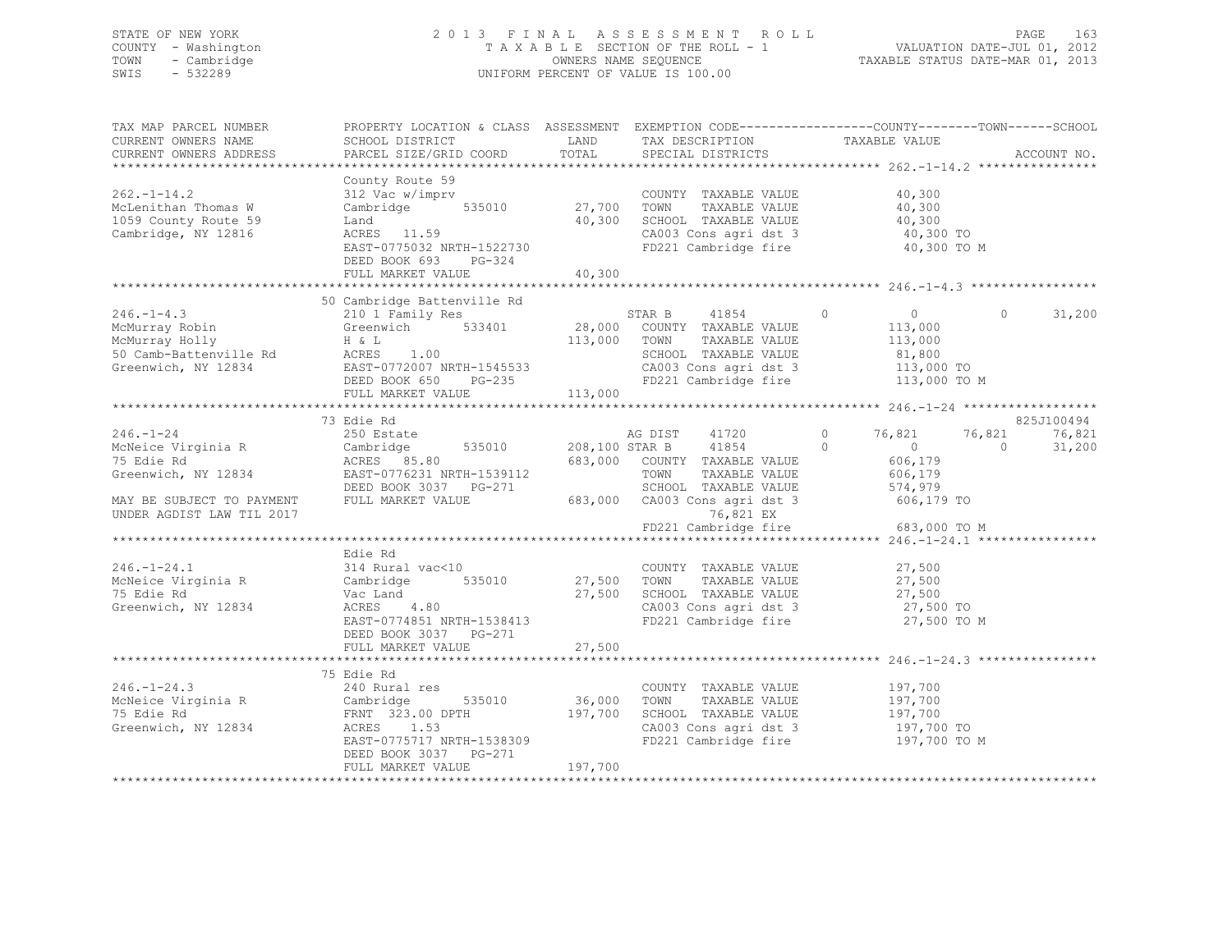## STATE OF NEW YORK 2 0 1 3 F I N A L A S S E S S M E N T R O L L PAGE 163 COUNTY - Washington T A X A B L E SECTION OF THE ROLL - 1 VALUATION DATE-JUL 01, 2012 TOWN - Cambridge OWNERS NAME SEQUENCE TAXABLE STATUS DATE-MAR 01, 2013 SWIS - 532289 UNIFORM PERCENT OF VALUE IS 100.00

| TAX MAP PARCEL NUMBER<br>CURRENT OWNERS NAME<br>CURRENT OWNERS ADDRESS                 | SCHOOL DISTRICT<br>PARCEL SIZE/GRID COORD                                                                                                                                                                                                                          | LAND<br>TOTAL | TAX DESCRIPTION TAXABLE VALUE<br>SPECIAL DISTRICTS                                                                                                                                           | PROPERTY LOCATION & CLASS ASSESSMENT EXEMPTION CODE----------------COUNTY-------TOWN-----SCHOOL    | ACCOUNT NO.                    |
|----------------------------------------------------------------------------------------|--------------------------------------------------------------------------------------------------------------------------------------------------------------------------------------------------------------------------------------------------------------------|---------------|----------------------------------------------------------------------------------------------------------------------------------------------------------------------------------------------|----------------------------------------------------------------------------------------------------|--------------------------------|
| $262. -1 - 14.2$<br>McLenithan Thomas W<br>1059 County Route 59<br>Cambridge, NY 12816 | County Route 59<br>312 Vac w/imprv<br>Cambridge 535010 27,700 TOWN TAXABLE VALUE 40,300<br>Land 40,300 SCHOOL TAXABLE VALUE 40,300<br>Land<br>ACRES 11.59<br>EAST-0775032 NRTH-1522730<br>DEED BOOK 693<br>$PG-324$<br>FULL MARKET VALUE                           | 40,300        | COUNTY TAXABLE VALUE<br>$40,300$ SCHOOL TAXABLE VALUE $40,300$ TO SCHOOL TAXABLE VALUE $40,300$ TO CA003 Cons agri dst 3<br>FD221 Cambridge fire                                             | 40,300<br>40,300 TO M                                                                              |                                |
|                                                                                        | 50 Cambridge Battenville Rd                                                                                                                                                                                                                                        |               |                                                                                                                                                                                              |                                                                                                    |                                |
|                                                                                        | 30 210 1 210 1 210 1 210 1 210 28, 000 200NTY TAXABLE VALUE<br>MCMurray Robin (STAR B 41854 0 28, 000 200NTY TAXABLE VALUE 113, 000<br>MCMurray Holly H & L<br>50 Camb-Battenville Rd ACRES 1.00 50000 200NTY TAXABLE VALUE 113, 000                               |               |                                                                                                                                                                                              | $\overline{0}$<br>$\circ$<br>CA003 Cons agri dst 3 113,000 TO<br>FD221 Cambridge fire 113,000 TO M | 31,200                         |
|                                                                                        |                                                                                                                                                                                                                                                                    |               |                                                                                                                                                                                              |                                                                                                    |                                |
| $246. -1 - 24$                                                                         | 73 Edie Rd<br>250 Estate<br>Notice Virginia R<br>To Cambridge 535010 208,100 STAR B 41854 0<br>75 Edie Rd ACRES 85.80 683,000 COUNTY TAXABLE VALUE<br>Greenwich, NY 12834 EAST-0776231 NRTH-1539112 TOWN TAXABLE VALUE<br>DEED BOOK 3037 PG-271 SCHOOL TAXABLE VAL |               | AG DIST 41720 0<br>TOWN      TAXABLE VALUE<br>SCHOOL   TAXABLE VALUE                                                                                                                         | 76,821<br>76,821<br>$\overline{0}$<br>$\overline{0}$<br>606,179<br>606,179<br>574,979              | 825J100494<br>76,821<br>31,200 |
| MAY BE SUBJECT TO PAYMENT FULL MARKET VALUE<br>UNDER AGDIST LAW TIL 2017               |                                                                                                                                                                                                                                                                    |               | 683,000 CA003 Cons agri dst 3 606,179 TO<br>76,821 EX<br>FD221 Cambridge fire                                                                                                                | 683,000 TO M                                                                                       |                                |
|                                                                                        |                                                                                                                                                                                                                                                                    |               |                                                                                                                                                                                              |                                                                                                    |                                |
| $246. -1 - 24.1$                                                                       | Edie Rd<br>314 Rural vac<10<br>Montant Medicine Cambridge<br>The Same Superior Section 1991<br>The Same School Contract Cambridge<br>Same School Contract Section 1891<br>The Same School NPTH-1538413<br>EAST-0774851 NRTH-1538413<br>DEED BOOK 3037 PG-271       |               | COUNTY TAXABLE VALUE<br>27,500 TOWN TAXABLE VALUE 27,500<br>27,500 SCHOOL TAXABLE VALUE 27,500<br>27,500 CA003 Consistent 4si 2 2005 27,500<br>CA003 Cons agri dst 3<br>FD221 Cambridge fire | 27,500<br>27,500 TO<br>27,500 TO M                                                                 |                                |
|                                                                                        | FULL MARKET VALUE                                                                                                                                                                                                                                                  | 27,500        |                                                                                                                                                                                              |                                                                                                    |                                |
|                                                                                        | 75 Edie Rd                                                                                                                                                                                                                                                         |               |                                                                                                                                                                                              |                                                                                                    |                                |
|                                                                                        | 246.-1-24.3<br>McNeice Virginia R Cambridge 535010 36,000<br>75 Edie Rd FRNT 323.00 DPTH 197,700<br>Greenwich, NY 12834 ACRES 1.53<br>EAST-0775717 NRTH-1538309<br>THE POOK 3037 PG-271                                                                            |               | COUNTY TAXABLE VALUE<br>TOWN<br>SCHOOL TAXABLE VALUE<br>CA003 Cons agri dst 3<br>FD221 Cambridge fire                                                                                        | 197,700<br>TAXABLE VALUE 197,700<br>197,700<br>197,700 TO<br>197,700 TO M                          |                                |
|                                                                                        | FULL MARKET VALUE                                                                                                                                                                                                                                                  | 197,700       |                                                                                                                                                                                              |                                                                                                    |                                |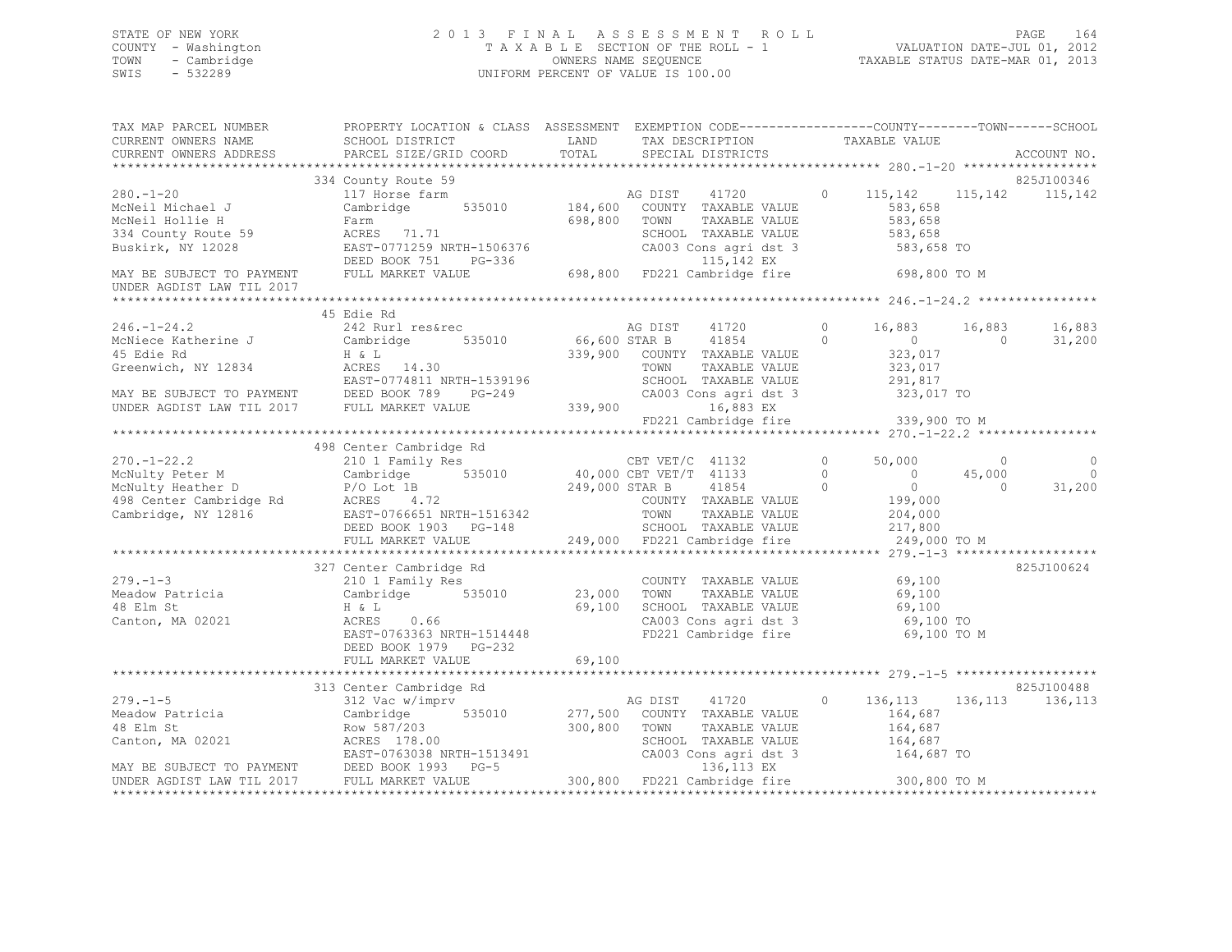## STATE OF NEW YORK 2 0 1 3 F I N A L A S S E S S M E N T R O L L PAGE 164 COUNTY - Washington T A X A B L E SECTION OF THE ROLL - 1 VALUATION DATE-JUL 01, 2012 TOWN - Cambridge OWNERS NAME SEQUENCE TAXABLE STATUS DATE-MAR 01, 2013 SWIS - 532289 UNIFORM PERCENT OF VALUE IS 100.00

| UNDER AGDIST LAW TIL 2017 |                                                                                                                                                                                                                                                                                      |  |  |            |
|---------------------------|--------------------------------------------------------------------------------------------------------------------------------------------------------------------------------------------------------------------------------------------------------------------------------------|--|--|------------|
|                           |                                                                                                                                                                                                                                                                                      |  |  |            |
|                           | 45 Edie Rd                                                                                                                                                                                                                                                                           |  |  | 16,883     |
|                           |                                                                                                                                                                                                                                                                                      |  |  | 31,200     |
|                           |                                                                                                                                                                                                                                                                                      |  |  |            |
|                           |                                                                                                                                                                                                                                                                                      |  |  |            |
|                           | 498 Center Cambridge Rd                                                                                                                                                                                                                                                              |  |  |            |
|                           |                                                                                                                                                                                                                                                                                      |  |  |            |
|                           |                                                                                                                                                                                                                                                                                      |  |  |            |
|                           |                                                                                                                                                                                                                                                                                      |  |  |            |
|                           | 327 Center Cambridge Rd 279.-1-3<br>Meadow Patricia 210 1 Family Res 210 1 Family Res 210 1 Family Res 210 23,000 TOWN TAXABLE VALUE 210 23,000 TOWN TAXABLE VALUE 210 23,000 TOWN TAXABLE VALUE 21 CAMBRIE VALUE 21 CAMBRIE VA<br>DEED BOOK 1979 PG-232<br>FULL MARKET VALUE 69,100 |  |  | 825J100624 |
|                           |                                                                                                                                                                                                                                                                                      |  |  |            |
|                           |                                                                                                                                                                                                                                                                                      |  |  |            |
|                           |                                                                                                                                                                                                                                                                                      |  |  |            |
|                           |                                                                                                                                                                                                                                                                                      |  |  |            |
|                           |                                                                                                                                                                                                                                                                                      |  |  |            |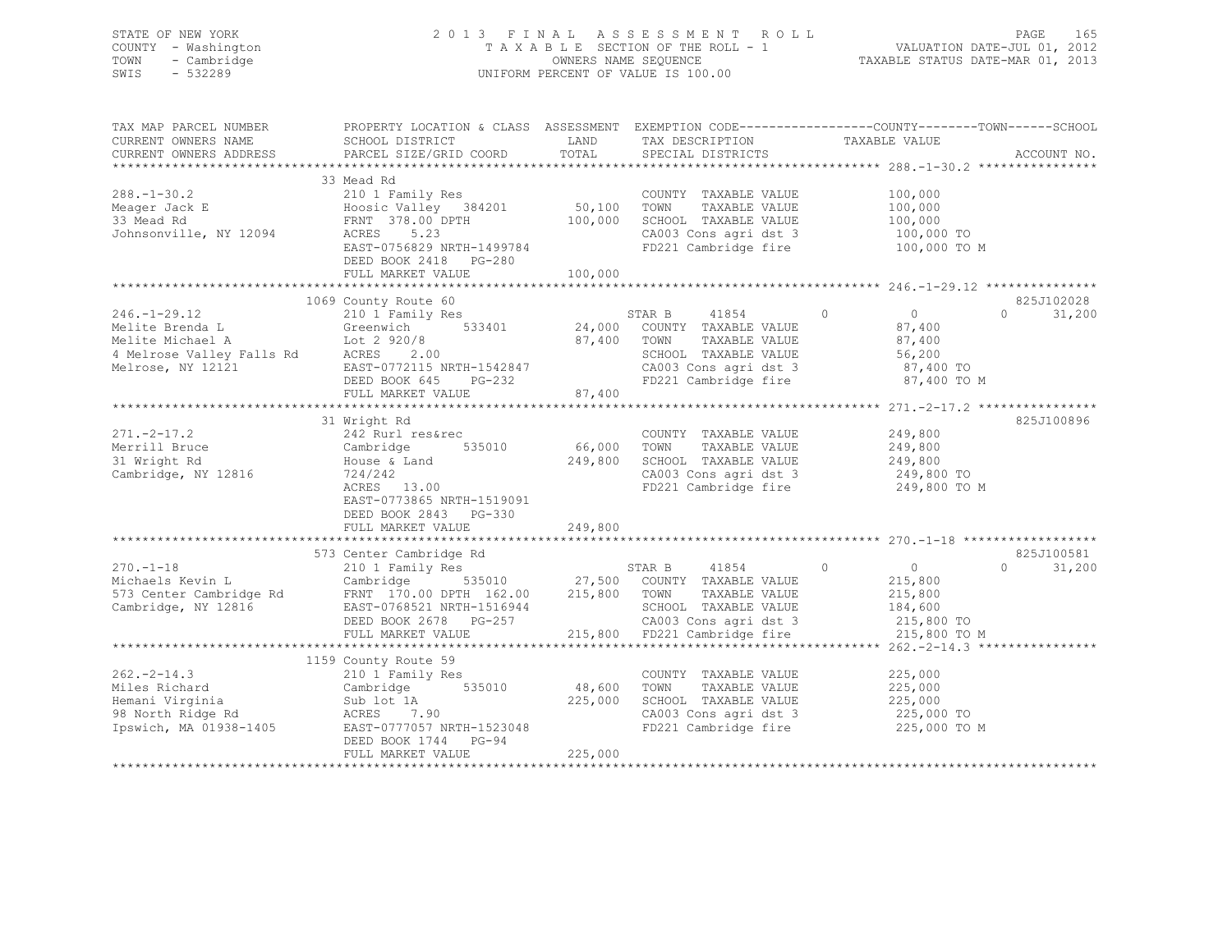STATE OF NEW YORK 2 0 1 3 F I N A L A S S E S S M E N T R O L L PAGE 165 COUNTY - Washington T A X A B L E SECTION OF THE ROLL - 1 VALUATION DATE-JUL 01, 2012 TOWN - Cambridge OWNERS NAME SEQUENCE TAXABLE STATUS DATE-MAR 01, 2013 SWIS - 532289 UNIFORM PERCENT OF VALUE IS 100.00

| TAX MAP PARCEL NUMBER | PROPERTY LOCATION & CLASS ASSESSMENT EXEMPTION CODE----------------COUNTY-------TOWN------SCHOOL                                                                                                                                                                                                                                                                                                          |         |                                                                       |               |                    |             |
|-----------------------|-----------------------------------------------------------------------------------------------------------------------------------------------------------------------------------------------------------------------------------------------------------------------------------------------------------------------------------------------------------------------------------------------------------|---------|-----------------------------------------------------------------------|---------------|--------------------|-------------|
| CURRENT OWNERS NAME   | SCHOOL DISTRICT                                                                                                                                                                                                                                                                                                                                                                                           | LAND    | TAX DESCRIPTION                                                       | TAXABLE VALUE |                    |             |
|                       | CURRENT OWNERS ADDRESS PARCEL SIZE/GRID COORD TOTAL                                                                                                                                                                                                                                                                                                                                                       |         | SPECIAL DISTRICTS                                                     |               |                    | ACCOUNT NO. |
|                       |                                                                                                                                                                                                                                                                                                                                                                                                           |         |                                                                       |               |                    |             |
|                       | 33 Mead Rd                                                                                                                                                                                                                                                                                                                                                                                                |         |                                                                       |               |                    |             |
|                       |                                                                                                                                                                                                                                                                                                                                                                                                           |         |                                                                       |               |                    |             |
|                       |                                                                                                                                                                                                                                                                                                                                                                                                           |         |                                                                       |               |                    |             |
|                       |                                                                                                                                                                                                                                                                                                                                                                                                           |         |                                                                       |               |                    |             |
|                       |                                                                                                                                                                                                                                                                                                                                                                                                           |         |                                                                       |               |                    |             |
|                       | ACRES 5.23<br>EAST-0756829 NRTH-1499784                                                                                                                                                                                                                                                                                                                                                                   |         | FD221 Cambridge fire 100,000 TO M                                     |               |                    |             |
|                       |                                                                                                                                                                                                                                                                                                                                                                                                           |         |                                                                       |               |                    |             |
|                       | DEED BOOK 2418 PG-280                                                                                                                                                                                                                                                                                                                                                                                     |         |                                                                       |               |                    |             |
|                       |                                                                                                                                                                                                                                                                                                                                                                                                           |         |                                                                       |               |                    |             |
|                       |                                                                                                                                                                                                                                                                                                                                                                                                           |         |                                                                       |               |                    |             |
|                       | 1069 County Route 60                                                                                                                                                                                                                                                                                                                                                                                      |         |                                                                       |               |                    | 825J102028  |
|                       |                                                                                                                                                                                                                                                                                                                                                                                                           |         |                                                                       |               |                    |             |
|                       |                                                                                                                                                                                                                                                                                                                                                                                                           |         |                                                                       |               |                    |             |
|                       |                                                                                                                                                                                                                                                                                                                                                                                                           |         |                                                                       |               |                    |             |
|                       |                                                                                                                                                                                                                                                                                                                                                                                                           |         |                                                                       |               |                    |             |
|                       |                                                                                                                                                                                                                                                                                                                                                                                                           |         |                                                                       |               |                    |             |
|                       |                                                                                                                                                                                                                                                                                                                                                                                                           |         |                                                                       |               |                    |             |
|                       |                                                                                                                                                                                                                                                                                                                                                                                                           |         |                                                                       |               |                    |             |
|                       | $\begin{tabular}{lllllllllllll} \multicolumn{3}{c c c c c} \multicolumn{3}{c c c c} \multicolumn{3}{c c c c} \multicolumn{3}{c c c} \multicolumn{3}{c c c} \multicolumn{3}{c c c} \multicolumn{3}{c c c} \multicolumn{3}{c c c} \multicolumn{3}{c c c} \multicolumn{3}{c c c} \multicolumn{3}{c c c} \multicolumn{3}{c c c} \multicolumn{3}{c c c} \multicolumn{3}{c c c} \multicolumn{3}{c c c} \multic$ |         |                                                                       |               |                    |             |
|                       |                                                                                                                                                                                                                                                                                                                                                                                                           |         |                                                                       |               |                    |             |
|                       | 31 Wright Rd                                                                                                                                                                                                                                                                                                                                                                                              |         |                                                                       |               |                    | 825J100896  |
|                       |                                                                                                                                                                                                                                                                                                                                                                                                           |         | COUNTY TAXABLE VALUE 249,800                                          |               |                    |             |
|                       | 535010 66,000 TOWN                                                                                                                                                                                                                                                                                                                                                                                        |         | TAXABLE VALUE 249,800                                                 |               |                    |             |
|                       | 271.-2-17.2<br>Merrill Bruce<br>31 Wright Rd<br>Cambridge, NY 12816<br>22 Rurl res&rec<br>242 Rurl res&rec<br>535010<br>535010<br>724/242<br>22 Rurl res&rec<br>535010<br>724/242<br>22 Rurl res&rec<br>535010                                                                                                                                                                                            |         | 249,800 SCHOOL TAXABLE VALUE                                          |               | 249,800            |             |
|                       |                                                                                                                                                                                                                                                                                                                                                                                                           |         | CA003 Cons agri dst 3 249,800 TO                                      |               |                    |             |
|                       |                                                                                                                                                                                                                                                                                                                                                                                                           |         | FD221 Cambridge fire                                                  |               | 249,800 TO M       |             |
|                       | EAST-0773865 NRTH-1519091                                                                                                                                                                                                                                                                                                                                                                                 |         |                                                                       |               |                    |             |
|                       | DEED BOOK 2843 PG-330                                                                                                                                                                                                                                                                                                                                                                                     |         |                                                                       |               |                    |             |
|                       | FULL MARKET VALUE                                                                                                                                                                                                                                                                                                                                                                                         | 249,800 |                                                                       |               |                    |             |
|                       |                                                                                                                                                                                                                                                                                                                                                                                                           |         |                                                                       |               |                    |             |
|                       |                                                                                                                                                                                                                                                                                                                                                                                                           |         |                                                                       |               |                    |             |
|                       |                                                                                                                                                                                                                                                                                                                                                                                                           |         |                                                                       |               |                    |             |
|                       |                                                                                                                                                                                                                                                                                                                                                                                                           |         |                                                                       |               |                    |             |
|                       |                                                                                                                                                                                                                                                                                                                                                                                                           |         |                                                                       |               |                    |             |
|                       |                                                                                                                                                                                                                                                                                                                                                                                                           |         |                                                                       |               |                    |             |
|                       |                                                                                                                                                                                                                                                                                                                                                                                                           |         |                                                                       |               |                    |             |
|                       |                                                                                                                                                                                                                                                                                                                                                                                                           |         |                                                                       |               |                    |             |
|                       |                                                                                                                                                                                                                                                                                                                                                                                                           |         |                                                                       |               |                    |             |
|                       | 370.-1-18<br>270.-1-18<br>270.-1-18<br>270.-1-18<br>270.-1-18<br>270.-1-18<br>270.-1-18<br>270.-1-18<br>270.-1-18<br>270.-1-18<br>270.-1-18<br>270.-1-18<br>270.-1-18<br>270.-1-18<br>270.-1-18<br>270.-1-18<br>270.-1-18<br>270.-1-18<br>270.-1-18<br>270.-1-19<br>27                                                                                                                                    |         |                                                                       |               |                    |             |
|                       | 1159 County Route 59                                                                                                                                                                                                                                                                                                                                                                                      |         |                                                                       |               |                    |             |
|                       |                                                                                                                                                                                                                                                                                                                                                                                                           |         | COUNTY TAXABLE VALUE                                                  |               | 225,000            |             |
|                       | 262.-2-14.3<br>Miles Richard 210 1 Family Res<br>Memani Virginia Cambridge 535010 48,600 TOWN<br>Hemani Virginia Sub lot 1A 225,000 SCHOOL<br>98 North Ridge Rd ACRES 7.90 CA003 Cc<br>1938-1405 EAST-0777057 NRTH-1523048 FD221 Ca                                                                                                                                                                       |         |                                                                       |               |                    |             |
|                       |                                                                                                                                                                                                                                                                                                                                                                                                           |         | TOWN      TAXABLE VALUE<br>SCHOOL   TAXABLE VALUE                     |               | 225,000<br>225,000 |             |
|                       |                                                                                                                                                                                                                                                                                                                                                                                                           |         |                                                                       |               |                    |             |
|                       |                                                                                                                                                                                                                                                                                                                                                                                                           |         | CA003 Cons agri dst 3 225,000 TO<br>FD221 Cambridge fire 225,000 TO M |               |                    |             |
|                       |                                                                                                                                                                                                                                                                                                                                                                                                           |         |                                                                       |               |                    |             |
|                       | DEED BOOK 1744 PG-94                                                                                                                                                                                                                                                                                                                                                                                      |         |                                                                       |               |                    |             |
|                       | FULL MARKET VALUE                                                                                                                                                                                                                                                                                                                                                                                         | 225,000 |                                                                       |               |                    |             |
|                       |                                                                                                                                                                                                                                                                                                                                                                                                           |         |                                                                       |               |                    |             |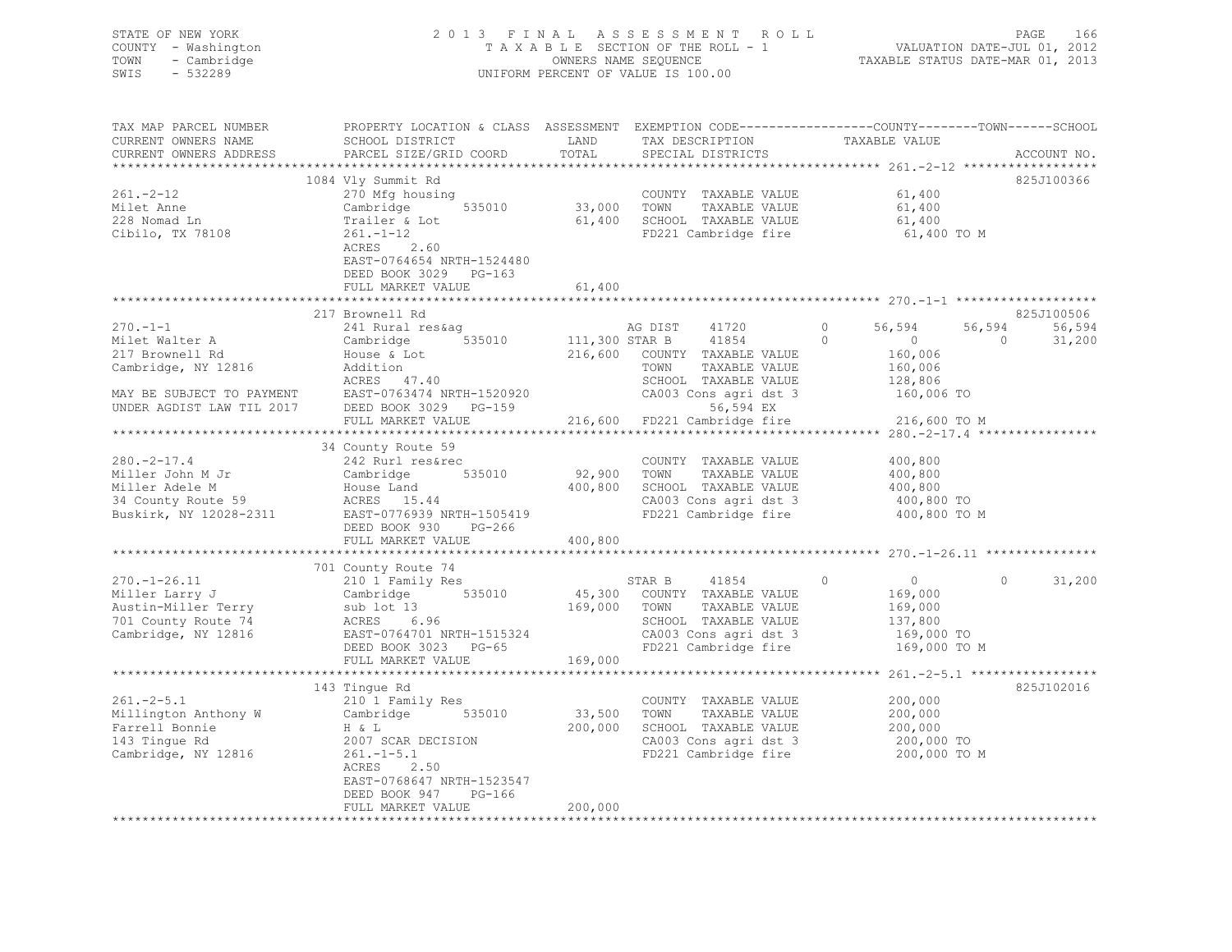## STATE OF NEW YORK 2 0 1 3 F I N A L A S S E S S M E N T R O L L PAGE 166 COUNTY - Washington T A X A B L E SECTION OF THE ROLL - 1 VALUATION DATE-JUL 01, 2012 TOWN - Cambridge OWNERS NAME SEQUENCE TAXABLE STATUS DATE-MAR 01, 2013 SWIS - 532289 UNIFORM PERCENT OF VALUE IS 100.00

| TAX MAP PARCEL NUMBER                                                                                                 | PROPERTY LOCATION & CLASS ASSESSMENT EXEMPTION CODE---------------COUNTY-------TOWN-----SCHOOL |               |                                      |                                                                       |                          |
|-----------------------------------------------------------------------------------------------------------------------|------------------------------------------------------------------------------------------------|---------------|--------------------------------------|-----------------------------------------------------------------------|--------------------------|
| CURRENT OWNERS NAME<br>CURRENT OWNERS ADDRESS                                                                         | SCHOOL DISTRICT<br>PARCEL SIZE/GRID COORD                                                      | LAND<br>TOTAL | TAX DESCRIPTION<br>SPECIAL DISTRICTS | TAXABLE VALUE                                                         | ACCOUNT NO.              |
|                                                                                                                       |                                                                                                |               |                                      |                                                                       |                          |
|                                                                                                                       | 1084 Vly Summit Rd                                                                             |               |                                      |                                                                       | 825J100366               |
| $261 - 2 - 12$                                                                                                        | 270 Mfg housing                                                                                |               | COUNTY TAXABLE VALUE                 | 61,400                                                                |                          |
| Milet Anne                                                                                                            | 535010                                                                                         | 33,000 TOWN   | TAXABLE VALUE                        | 61,400                                                                |                          |
| 228 Nomad Ln                                                                                                          | Cambridge<br>Trailer & Lot                                                                     | 61,400        | SCHOOL TAXABLE VALUE                 | 61,400                                                                |                          |
| Cibilo, TX 78108                                                                                                      | $261. - 1 - 12$                                                                                |               | FD221 Cambridge fire                 | 61,400 TO M                                                           |                          |
|                                                                                                                       | 2.60<br>ACRES                                                                                  |               |                                      |                                                                       |                          |
|                                                                                                                       | EAST-0764654 NRTH-1524480                                                                      |               |                                      |                                                                       |                          |
|                                                                                                                       | DEED BOOK 3029 PG-163                                                                          |               |                                      |                                                                       |                          |
|                                                                                                                       | FULL MARKET VALUE                                                                              | 61,400        |                                      |                                                                       |                          |
|                                                                                                                       | ************************                                                                       | **********    |                                      |                                                                       |                          |
|                                                                                                                       | 217 Brownell Rd                                                                                |               |                                      |                                                                       | 825J100506               |
| $270. -1 - 1$                                                                                                         | 241 Rural res&aq                                                                               |               | AG DIST 41720                        | $\Omega$<br>56,594                                                    | 56,594<br>56,594         |
| Milet Walter A                                                                                                        | Cambridge 535010                                                                               |               | 111,300 STAR B 41854                 | $\Omega$<br>$\sim$ 0 $\sim$                                           | 31,200<br>$\overline{0}$ |
| 217 Brownell Rd                                                                                                       |                                                                                                |               | 216,600 COUNTY TAXABLE VALUE         | 160,006                                                               |                          |
|                                                                                                                       | House & Lot<br>Addition                                                                        |               | TOWN<br>TAXABLE VALUE                |                                                                       |                          |
| Cambridge, NY 12816                                                                                                   | ACRES 47.40                                                                                    |               |                                      | 160,006<br>128,806                                                    |                          |
|                                                                                                                       |                                                                                                |               | SCHOOL TAXABLE VALUE                 |                                                                       |                          |
| MAY BE SUBJECT TO PAYMENT<br>UNDER AGDIST LAW TIL 2017                                                                | EAST-0763474 NRTH-1520920<br>DEED BOOK 3029 PG-159                                             |               |                                      | CA003 Cons agri dst 3 160,006 TO                                      |                          |
|                                                                                                                       |                                                                                                |               | 56,594 EX                            |                                                                       |                          |
|                                                                                                                       | FULL MARKET VALUE                                                                              |               | 216,600 FD221 Cambridge fire         | 216,600 TO M                                                          |                          |
|                                                                                                                       | 34 County Route 59                                                                             |               |                                      |                                                                       |                          |
|                                                                                                                       |                                                                                                |               |                                      |                                                                       |                          |
|                                                                                                                       |                                                                                                |               | COUNTY TAXABLE VALUE                 | 400,800                                                               |                          |
|                                                                                                                       |                                                                                                | 92,900 TOWN   | TAXABLE VALUE                        | 400,800                                                               |                          |
|                                                                                                                       |                                                                                                | 400,800       | SCHOOL TAXABLE VALUE                 | 400,800                                                               |                          |
|                                                                                                                       | ACRES 15.44<br>EAST-0776939 NRTH-1505419                                                       |               | CA003 Cons agri dst 3                | 400,800 TO                                                            |                          |
| Buskirk, NY 12028-2311                                                                                                |                                                                                                |               | FD221 Cambridge fire                 | 400,800 TO M                                                          |                          |
|                                                                                                                       | DEED BOOK 930<br>PG-266                                                                        |               |                                      |                                                                       |                          |
|                                                                                                                       | FULL MARKET VALUE                                                                              | 400,800       |                                      |                                                                       |                          |
|                                                                                                                       |                                                                                                |               |                                      |                                                                       |                          |
|                                                                                                                       | 701 County Route 74<br>County Route 74<br>210 1 Family Res                                     |               |                                      |                                                                       |                          |
| $270. - 1 - 26.11$                                                                                                    |                                                                                                |               | STAR B 41854                         | $\circ$<br>$\overline{0}$                                             | $\bigcirc$<br>31,200     |
| Miller Larry J                                                                                                        | Cambridge 535010                                                                               |               | 45,300 COUNTY TAXABLE VALUE          | 169,000                                                               |                          |
| Austin-Miller Terry                                                                                                   | sub lot 13                                                                                     | 169,000 TOWN  | TAXABLE VALUE                        | 169,000                                                               |                          |
| 701 County Route 74                                                                                                   | ACRES 6.96                                                                                     |               | SCHOOL TAXABLE VALUE                 | 137,800                                                               |                          |
| Cambridge, NY 12816                                                                                                   | EAST-0764701 NRTH-1515324                                                                      |               | CA003 Cons agri dst 3                | 169,000 TO                                                            |                          |
|                                                                                                                       | DEED BOOK 3023 PG-65                                                                           |               | FD221 Cambridge fire                 | 169,000 TO M                                                          |                          |
|                                                                                                                       | FULL MARKET VALUE                                                                              | 169,000       |                                      |                                                                       |                          |
|                                                                                                                       |                                                                                                |               |                                      |                                                                       |                          |
|                                                                                                                       | 143 Tingue Rd                                                                                  |               |                                      |                                                                       | 825J102016               |
| $261 - 2 - 5.1$                                                                                                       | 210 1 Family Res                                                                               |               | COUNTY TAXABLE VALUE                 | 200,000                                                               |                          |
|                                                                                                                       | 535010                                                                                         | 33,500        | TOWN<br>TAXABLE VALUE                | 200,000                                                               |                          |
|                                                                                                                       |                                                                                                | 200,000       | SCHOOL TAXABLE VALUE                 | 200,000                                                               |                          |
|                                                                                                                       | 2007 SCAR DECISION                                                                             |               |                                      | CA003 Cons agri dst 3 200,000 TO<br>FD221 Cambridge fire 200,000 TO M |                          |
| Nillington Anthony W Cambridge<br>Farrell Bonnie H & L<br>143 Tingue Rd 2007 SCAR I<br>Cambridge, NY 12816 261.-1-5.1 |                                                                                                |               |                                      |                                                                       |                          |
|                                                                                                                       | ACRES 2.50                                                                                     |               |                                      |                                                                       |                          |
|                                                                                                                       | EAST-0768647 NRTH-1523547                                                                      |               |                                      |                                                                       |                          |
|                                                                                                                       | DEED BOOK 947<br>PG-166                                                                        |               |                                      |                                                                       |                          |
|                                                                                                                       | FULL MARKET VALUE                                                                              | 200,000       |                                      |                                                                       |                          |
|                                                                                                                       |                                                                                                |               |                                      |                                                                       |                          |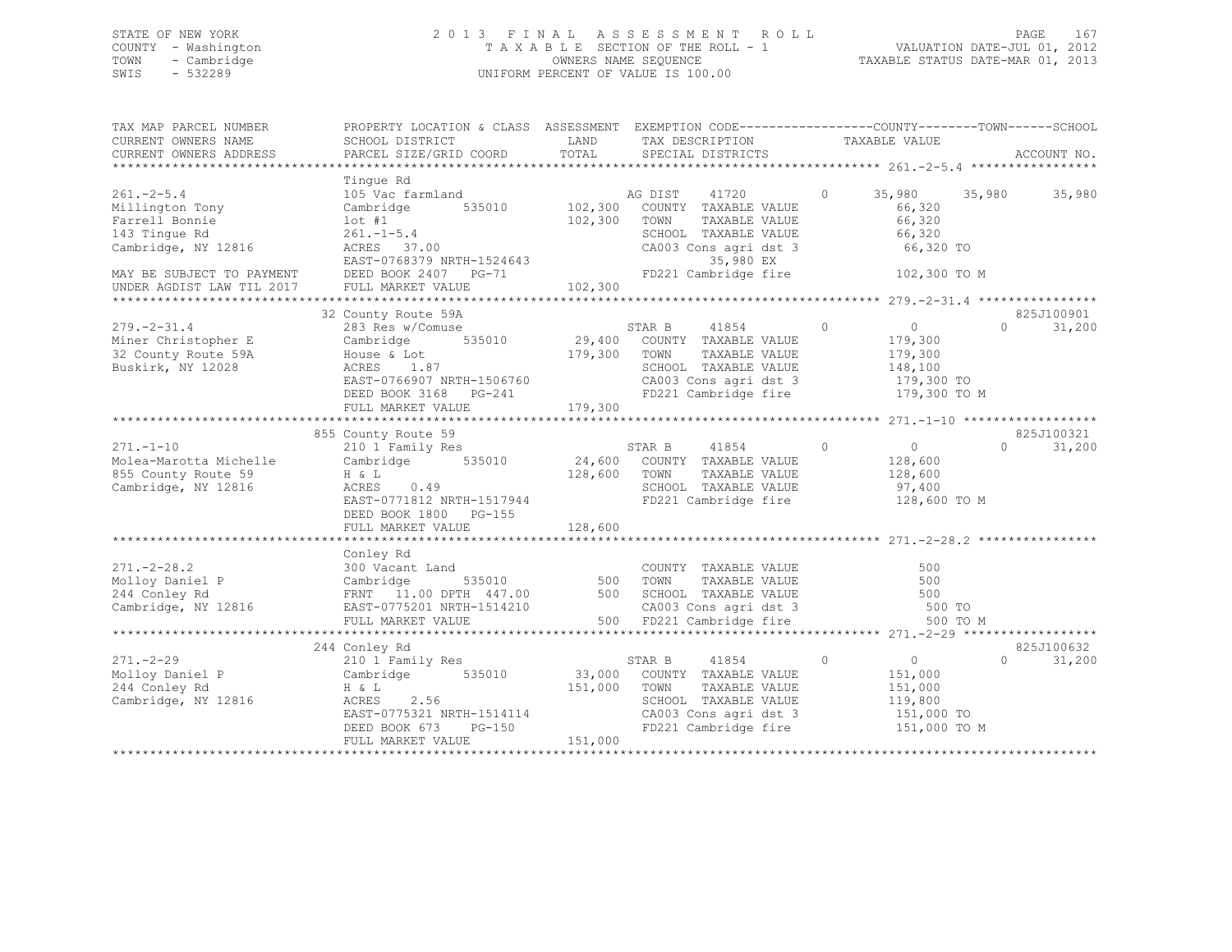## STATE OF NEW YORK 2 0 1 3 F I N A L A S S E S S M E N T R O L L PAGE 167 COUNTY - Washington T A X A B L E SECTION OF THE ROLL - 1 VALUATION DATE-JUL 01, 2012 TOWN - Cambridge OWNERS NAME SEQUENCE TAXABLE STATUS DATE-MAR 01, 2013 SWIS - 532289 UNIFORM PERCENT OF VALUE IS 100.00

| TAX MAP PARCEL NUMBER<br>CURRENT OWNERS NAME<br>CURRENT OWNERS ADDRESS                                                                                  | PROPERTY LOCATION & CLASS ASSESSMENT EXEMPTION CODE----------------COUNTY-------TOWN-----SCHOOL<br>SCHOOL DISTRICT<br>PARCEL SIZE/GRID COORD                                   | LAND<br>TOTAL                 | TAX DESCRIPTION TAXABLE VALUE SPECIAL DISTRICTS                                                                                                                                       |                                                                           | ACCOUNT NO.                      |
|---------------------------------------------------------------------------------------------------------------------------------------------------------|--------------------------------------------------------------------------------------------------------------------------------------------------------------------------------|-------------------------------|---------------------------------------------------------------------------------------------------------------------------------------------------------------------------------------|---------------------------------------------------------------------------|----------------------------------|
| $261. - 2 - 5.4$<br>Millington Tony<br>Farrell Bonnie<br>143 Tingue Rd<br>Cambridge, NY 12816<br>MAY BE SUBJECT TO PAYMENT<br>UNDER AGDIST LAW TIL 2017 | Tinque Rd<br>105 Vac farmland<br>535010<br>Cambridge<br>$1$ ot #1<br>$261, -1 - 5, 4$<br>ACRES 37.00<br>EAST-0768379 NRTH-1524643<br>DEED BOOK 2407 PG-71<br>FULL MARKET VALUE | 102,300<br>102,300<br>102,300 | AG DIST<br>41720<br>COUNTY TAXABLE VALUE<br>TOWN<br>TAXABLE VALUE<br>SCHOOL TAXABLE VALUE 66,320<br>CA003 Cons agri dst 3 66,320 TO<br>35,980 EX<br>FD221 Cambridge fire 102,300 TO M | $\circ$<br>66,320<br>66,320                                               | 35,980 35,980<br>35,980          |
| $279. - 2 - 31.4$<br>Miner Christopher E<br>32 County Route 59A<br>Buskirk, NY 12028                                                                    | 32 County Route 59A<br>283 Res w/Comuse<br>Cambridge 535010<br>House & Lot<br>ACRES 1.87<br>EAST-0766907 NRTH-1506760<br>DEED BOOK 3168 PG-241<br>FULL MARKET VALUE            | 179,300                       | STAR B<br>41854 0<br>29,400 COUNTY TAXABLE VALUE<br>179,300 TOWN TAXABLE VALUE<br>TAXABLE VALUE<br>SCHOOL TAXABLE VALUE<br>CA003 Cons agri dst 3<br>FD221 Cambridge fire 179,300 TO M | $\overline{0}$<br>179,300<br>179,300<br>148,100<br>179,300 TO             | 825J100901<br>31,200<br>$\Omega$ |
| $271. - 1 - 10$<br>Molea-Marotta Michelle<br>855 County Route 59<br>Cambridge, NY 12816                                                                 | 855 County Route 59<br>210 1 Family Res<br>Cambridge 535010<br>H & L<br>ACRES<br>0.49<br>EAST-0771812 NRTH-1517944<br>DEED BOOK 1800 PG-155<br>FULL MARKET VALUE               | 128,600                       | STAR B<br>41854 0<br>24,600 COUNTY TAXABLE VALUE<br>128,600 TOWN TAXABLE VALUE<br>TAXABLE VALUE<br>SCHOOL TAXABLE VALUE<br>FD221 Cambridge fire                                       | $\overline{0}$<br>128,600<br>128,600<br>97,400<br>128,600 TO M            | 825J100321<br>$\Omega$<br>31,200 |
| $271. - 2 - 28.2$<br>Molloy Daniel P<br>244 Conley Rd<br>Cambridge, NY 12816                                                                            | Conley Rd<br>300 Vacant Land<br>Cambridge 535010 500 TOWN<br>FRNT 11.00 DPTH 447.00 500 SCHOOL<br>EAST-0775201 NRTH-1514210<br>FULL MARKET VALUE                               |                               | COUNTY TAXABLE VALUE<br>500 TOWN TAXABLE VALUE<br>500 SCHOOL TAXABLE VALUE<br>CA003 Cons agri dst 3<br>500 FD221 Cambridge fire                                                       | 500<br>500<br>500<br>500 TO                                               | 500 TO M                         |
| $271. - 2 - 29$<br>Molloy Daniel P<br>244 Conley Rd<br>Cambridge, NY 12816                                                                              | 244 Conley Rd<br>210 1 Family Res<br>Cambridge 535010<br>H & L<br>ACRES<br>2.56<br>EAST-0775321 NRTH-1514114<br>$PG-150$<br>DEED BOOK 673<br>FULL MARKET VALUE                 | 151,000<br>151,000            | STAR B<br>41854<br>33,000 COUNTY TAXABLE VALUE<br>TOWN<br>TAXABLE VALUE<br>SCHOOL TAXABLE VALUE<br>SCHOOL TAXABLE VALUE<br>CA003 Cons agri dst 3<br>FD221 Cambridge fire 151,000 TO M | $\Omega$<br>$\overline{0}$<br>151,000<br>151,000<br>119,800<br>151,000 TO | 825J100632<br>$\Omega$<br>31,200 |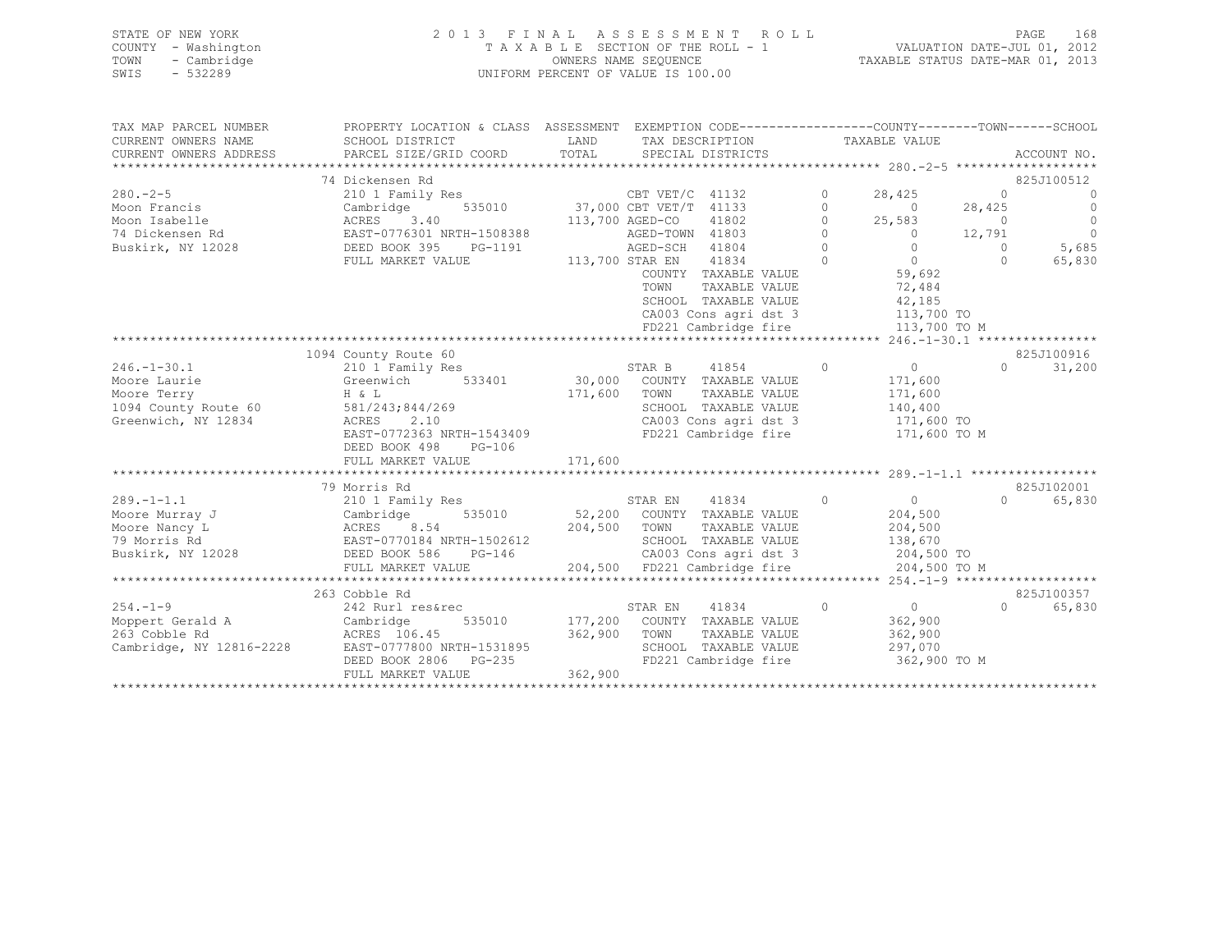| 2013 FINAL ASSESSMENT ROLL<br>STATE OF NEW YORK        | 168<br>PAGE                      |
|--------------------------------------------------------|----------------------------------|
| COUNTY - Washington<br>TAXABLE SECTION OF THE ROLL - 1 | VALUATION DATE-JUL 01, 2012      |
| TOWN<br>- Cambridge<br>OWNERS NAME SEQUENCE            | TAXABLE STATUS DATE-MAR 01, 2013 |
| SWIS<br>- 532289<br>UNIFORM PERCENT OF VALUE IS 100.00 |                                  |

| TAX MAP PARCEL NUMBER    | PROPERTY LOCATION & CLASS ASSESSMENT |         |                              |                            |              |                |
|--------------------------|--------------------------------------|---------|------------------------------|----------------------------|--------------|----------------|
| CURRENT OWNERS NAME      | SCHOOL DISTRICT                      | LAND    | TAX DESCRIPTION              | TAXABLE VALUE              |              |                |
| CURRENT OWNERS ADDRESS   | PARCEL SIZE/GRID COORD               | TOTAL   | SPECIAL DISTRICTS            |                            |              | ACCOUNT NO.    |
|                          |                                      |         |                              |                            |              | *****          |
|                          | 74 Dickensen Rd                      |         |                              |                            |              | 825J100512     |
| $280 - 2 - 5$            | 210 1 Family Res                     |         | CBT VET/C 41132              | $\Omega$<br>28,425         | $\Omega$     | $\bigcirc$     |
| Moon Francis             | Cambridge<br>535010                  |         | 37,000 CBT VET/T 41133       | $\Omega$<br>$\Omega$       | 28,425       | $\bigcirc$     |
| Moon Isabelle            | 3.40<br>ACRES                        |         | 41802<br>113,700 AGED-CO     | $\Omega$<br>25,583         | $\bigcirc$   | $\overline{0}$ |
| 74 Dickensen Rd          | EAST-0776301 NRTH-1508388            |         | AGED-TOWN 41803              | $\Omega$<br>$\overline{0}$ | 12,791       | $\overline{0}$ |
| Buskirk, NY 12028        | DEED BOOK 395<br>PG-1191             |         | AGED-SCH 41804               | $\Omega$<br>$\Omega$       | $\Omega$     | 5,685          |
|                          | FULL MARKET VALUE                    |         | 113,700 STAR EN 41834        | $\Omega$<br>$\bigcirc$     | $\Omega$     | 65,830         |
|                          |                                      |         | COUNTY TAXABLE VALUE         | 59,692                     |              |                |
|                          |                                      |         | TOWN<br>TAXABLE VALUE        | 72,484                     |              |                |
|                          |                                      |         | SCHOOL TAXABLE VALUE         | 42,185                     |              |                |
|                          |                                      |         | CA003 Cons agri dst 3        |                            | 113,700 TO   |                |
|                          |                                      |         | FD221 Cambridge fire         |                            | 113,700 TO M |                |
|                          |                                      |         |                              |                            |              |                |
|                          | 1094 County Route 60                 |         |                              |                            |              | 825J100916     |
| $246. - 1 - 30.1$        | 210 1 Family Res                     |         | 41854<br>STAR B              | $\Omega$<br>$\circ$        | $\Omega$     | 31,200         |
| Moore Laurie             | 533401<br>Greenwich                  |         | 30,000 COUNTY TAXABLE VALUE  | 171,600                    |              |                |
| Moore Terry              | H & L                                | 171,600 | TOWN<br>TAXABLE VALUE        | 171,600                    |              |                |
| 1094 County Route 60     | 581/243;844/269                      |         | SCHOOL TAXABLE VALUE         | 140,400                    |              |                |
| Greenwich, NY 12834      | ACRES<br>2.10                        |         | CA003 Cons agri dst 3        | 171,600 TO                 |              |                |
|                          | EAST-0772363 NRTH-1543409            |         | FD221 Cambridge fire         |                            | 171,600 TO M |                |
|                          | DEED BOOK 498<br>PG-106              |         |                              |                            |              |                |
|                          | FULL MARKET VALUE                    | 171,600 |                              |                            |              |                |
|                          |                                      |         |                              |                            |              |                |
|                          | 79 Morris Rd                         |         |                              |                            |              | 825J102001     |
| $289. -1 - 1.1$          | 210 1 Family Res                     |         | STAR EN<br>41834             | $\circ$<br>$\overline{0}$  | $\cap$       | 65,830         |
| Moore Murray J           | Cambridge<br>535010                  |         | 52,200 COUNTY TAXABLE VALUE  | 204,500                    |              |                |
| Moore Nancy L            | ACRES<br>8.54                        | 204,500 | TOWN<br>TAXABLE VALUE        | 204,500                    |              |                |
| 79 Morris Rd             | EAST-0770184 NRTH-1502612            |         | SCHOOL TAXABLE VALUE         | 138,670                    |              |                |
| Buskirk, NY 12028        | DEED BOOK 586<br>$PG-146$            |         | CA003 Cons agri dst 3        | 204,500 TO                 |              |                |
|                          | FULL MARKET VALUE                    |         | 204,500 FD221 Cambridge fire |                            | 204,500 TO M |                |
|                          |                                      |         |                              |                            |              |                |
|                          | 263 Cobble Rd                        |         |                              |                            |              | 825J100357     |
| $254. - 1 - 9$           | 242 Rurl res&rec                     |         | STAR EN<br>41834             | $\circ$<br>$\overline{0}$  | $\Omega$     | 65,830         |
| Moppert Gerald A         | Cambridge<br>535010                  |         | 177,200 COUNTY TAXABLE VALUE | 362,900                    |              |                |
| 263 Cobble Rd            | ACRES 106.45                         | 362,900 | TOWN<br>TAXABLE VALUE        | 362,900                    |              |                |
| Cambridge, NY 12816-2228 | EAST-0777800 NRTH-1531895            |         | SCHOOL TAXABLE VALUE         | 297,070                    |              |                |
|                          | DEED BOOK 2806<br>PG-235             |         | FD221 Cambridge fire         |                            | 362,900 TO M |                |
|                          | FULL MARKET VALUE                    | 362,900 |                              |                            |              |                |
|                          |                                      |         |                              |                            |              |                |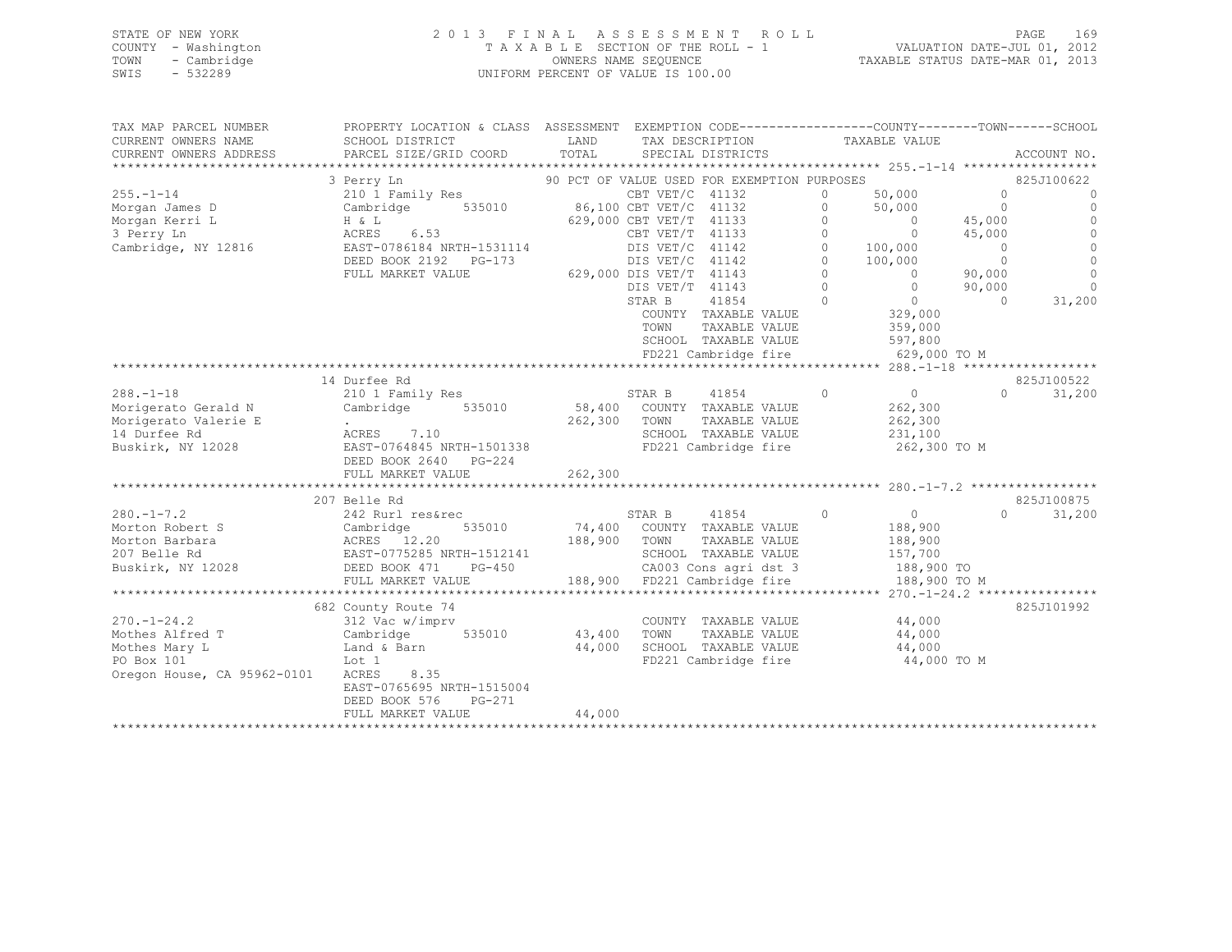| STATE OF NEW YORK   | 2013 FINAL ASSESSMENT ROLL         | 169<br>PAGE                      |
|---------------------|------------------------------------|----------------------------------|
| COUNTY - Washington | TAXABLE SECTION OF THE ROLL - 1    | VALUATION DATE-JUL 01, 2012      |
| TOWN<br>- Cambridge | OWNERS NAME SEQUENCE               | TAXABLE STATUS DATE-MAR 01, 2013 |
| SWIS<br>- 532289    | UNIFORM PERCENT OF VALUE IS 100.00 |                                  |

| TAX MAP PARCEL NUMBER                                                          | PROPERTY LOCATION & CLASS ASSESSMENT EXEMPTION CODE---------------COUNTY-------TOWN-----SCHOOL |                         |                 |                         |                |                                                                   |                |                    |
|--------------------------------------------------------------------------------|------------------------------------------------------------------------------------------------|-------------------------|-----------------|-------------------------|----------------|-------------------------------------------------------------------|----------------|--------------------|
| CURRENT OWNERS NAME                                                            | SCHOOL DISTRICT                                                                                | LAND                    |                 | TAX DESCRIPTION         |                | TAXABLE VALUE                                                     |                |                    |
| CURRENT OWNERS ADDRESS                                                         |                                                                                                |                         |                 |                         |                |                                                                   |                |                    |
|                                                                                |                                                                                                |                         |                 |                         |                |                                                                   |                |                    |
|                                                                                |                                                                                                |                         |                 |                         |                |                                                                   |                | 825J100622         |
| $255. - 1 - 14$                                                                |                                                                                                |                         |                 |                         |                | 50,000<br>50,000                                                  | $\bigcirc$     | $\Omega$           |
| Morgan James D                                                                 |                                                                                                |                         |                 |                         |                |                                                                   | $\Omega$       | $\Omega$           |
| $\begin{array}{cccc}\nH & \& \& \& \end{array}$<br>Morgan Kerri L              |                                                                                                |                         |                 | 629,000 CBT VET/T 41133 | $\Omega$       | $\overline{0}$                                                    | 45,000         |                    |
| 3 Perry Ln                                                                     | ACRES 6.53<br>EAST-0786184 NRTH-1531114                                                        |                         |                 |                         |                | CBT VET/T 41133 0 0 0<br>DIS VET/C 41142 0 100,000                | 45,000         |                    |
| Cambridge, NY 12816                                                            |                                                                                                |                         |                 |                         |                |                                                                   | $\overline{0}$ | $\circ$            |
|                                                                                | DEED BOOK 2192 PG-173                                                                          |                         |                 | DIS VET/C 41142         |                | $0 \t 100,000$                                                    | $\overline{0}$ | $\Omega$           |
|                                                                                | FULL MARKET VALUE                                                                              | 629,000 DIS VET/T 41143 |                 |                         | $\Omega$       | $\sim$ 0                                                          | 90,000         | $\Omega$           |
|                                                                                |                                                                                                |                         | DIS VET/T 41143 |                         | $\overline{0}$ | $\bigcirc$                                                        | 90,000         | $\Omega$           |
|                                                                                |                                                                                                |                         | STAR B          | 41854                   | $\overline{0}$ |                                                                   | $\Omega$       | 31,200             |
|                                                                                |                                                                                                |                         |                 | COUNTY TAXABLE VALUE    |                | $0$<br>329,000                                                    |                |                    |
|                                                                                |                                                                                                |                         | TOWN            | TAXABLE VALUE           |                | 359,000                                                           |                |                    |
|                                                                                |                                                                                                |                         |                 |                         |                |                                                                   |                |                    |
|                                                                                |                                                                                                |                         |                 |                         |                | SCHOOL TAXABLE VALUE 597,800<br>FD221 Cambridge fire 629,000 TO M |                |                    |
|                                                                                |                                                                                                |                         |                 |                         |                |                                                                   |                |                    |
|                                                                                | 14 Durfee Rd                                                                                   |                         |                 |                         |                |                                                                   |                | 825J100522         |
| $288. - 1 - 18$                                                                | 210 1 Family Res                                                                               |                         | STAR B          | 41854                   | $\Omega$       | $\overline{0}$                                                    |                | $\Omega$<br>31,200 |
| Morigerato Gerald N                                                            | Cambridge 535010 58,400 COUNTY TAXABLE VALUE                                                   |                         |                 |                         |                | 262,300                                                           |                |                    |
| Morigerato Valerie E                                                           | . unil D I<br>$\frac{1}{\Delta}$ o =                                                           | 262,300 TOWN            |                 | TAXABLE VALUE           |                | 262,300                                                           |                |                    |
| 14 Durfee Rd                                                                   | ACRES 7.10                                                                                     |                         |                 | SCHOOL TAXABLE VALUE    |                | 231,100                                                           |                |                    |
| Buskirk, NY 12028                                                              | EAST-0764845 NRTH-1501338                                                                      |                         |                 | FD221 Cambridge fire    |                | 262,300 TO M                                                      |                |                    |
|                                                                                | DEED BOOK 2640 PG-224                                                                          |                         |                 |                         |                |                                                                   |                |                    |
|                                                                                | FULL MARKET VALUE                                                                              | 262,300                 |                 |                         |                |                                                                   |                |                    |
|                                                                                |                                                                                                |                         |                 |                         |                |                                                                   |                |                    |
|                                                                                | 207 Belle Rd                                                                                   |                         |                 |                         |                |                                                                   |                | 825J100875         |
|                                                                                |                                                                                                |                         |                 |                         |                |                                                                   | $\Omega$       | 31,200             |
|                                                                                |                                                                                                |                         |                 |                         |                |                                                                   |                |                    |
|                                                                                |                                                                                                |                         |                 |                         |                |                                                                   |                |                    |
|                                                                                |                                                                                                |                         |                 |                         |                |                                                                   |                |                    |
|                                                                                |                                                                                                |                         |                 |                         |                |                                                                   |                |                    |
|                                                                                |                                                                                                |                         |                 |                         |                | 188,900 FD221 Cambridge fire 188,900 TO M                         |                |                    |
|                                                                                |                                                                                                |                         |                 |                         |                |                                                                   |                |                    |
|                                                                                |                                                                                                |                         |                 |                         |                |                                                                   |                |                    |
|                                                                                | 682 County Route 74                                                                            |                         |                 |                         |                |                                                                   |                | 825J101992         |
| $270. - 1 - 24.2$                                                              | 312 Vac w/imprv                                                                                |                         |                 | COUNTY TAXABLE VALUE    |                | 44,000                                                            |                |                    |
| Mothes Alfred T<br>Le vac w/in<br>Cambridge<br>Land & Barn<br>Lot <sup>1</sup> | 535010                                                                                         | 43,400 TOWN             |                 | TAXABLE VALUE           |                | 44,000                                                            |                |                    |
| Mothes Mary L                                                                  |                                                                                                | 44,000                  |                 | SCHOOL TAXABLE VALUE    |                | 44,000                                                            |                |                    |
| PO Box 101                                                                     |                                                                                                |                         |                 |                         |                | FD221 Cambridge fire 44,000 TO M                                  |                |                    |
| Oregon House, CA 95962-0101                                                    | ACRES 8.35                                                                                     |                         |                 |                         |                |                                                                   |                |                    |
|                                                                                | EAST-0765695 NRTH-1515004                                                                      |                         |                 |                         |                |                                                                   |                |                    |
|                                                                                | DEED BOOK 576<br>PG-271                                                                        |                         |                 |                         |                |                                                                   |                |                    |
|                                                                                | FULL MARKET VALUE                                                                              | 44,000                  |                 |                         |                |                                                                   |                |                    |
|                                                                                |                                                                                                |                         |                 |                         |                |                                                                   |                |                    |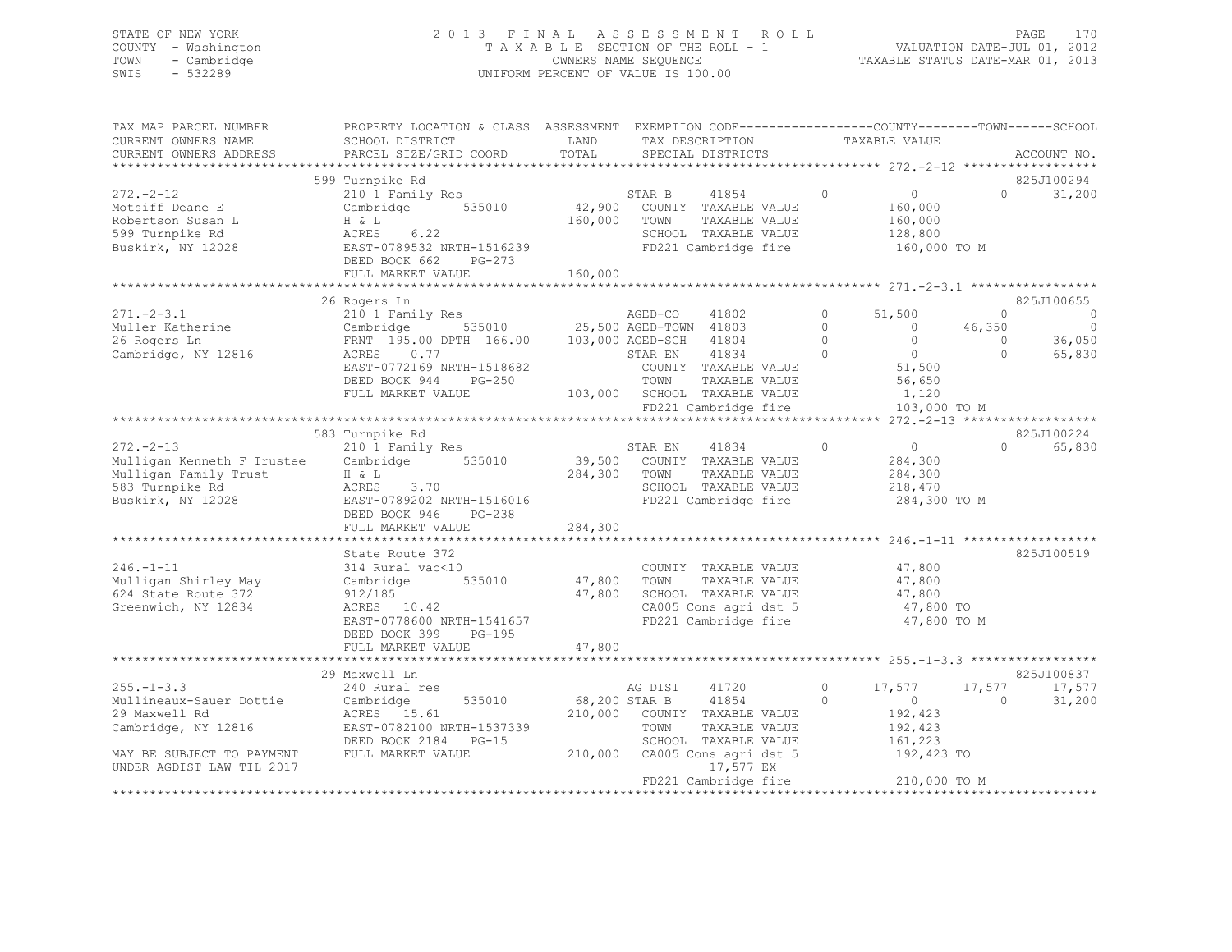## STATE OF NEW YORK 2 0 1 3 F I N A L A S S E S S M E N T R O L L PAGE 170 COUNTY - Washington T A X A B L E SECTION OF THE ROLL - 1 VALUATION DATE-JUL 01, 2012 TOWN - Cambridge OWNERS NAME SEQUENCE TAXABLE STATUS DATE-MAR 01, 2013 UNIFORM PERCENT OF VALUE IS 100.00

| TAX MAP PARCEL NUMBER      | PROPERTY LOCATION & CLASS ASSESSMENT EXEMPTION CODE----------------COUNTY-------TOWN------SCHOOL |               |         |                               |          |                |                    |                |
|----------------------------|--------------------------------------------------------------------------------------------------|---------------|---------|-------------------------------|----------|----------------|--------------------|----------------|
| CURRENT OWNERS NAME        | SCHOOL DISTRICT                                                                                  | LAND          |         | TAX DESCRIPTION               |          | TAXABLE VALUE  |                    |                |
| CURRENT OWNERS ADDRESS     | PARCEL SIZE/GRID COORD                                                                           | TOTAL         |         | SPECIAL DISTRICTS             |          |                |                    | ACCOUNT NO.    |
| ***********************    |                                                                                                  |               |         |                               |          |                |                    |                |
|                            | 599 Turnpike Rd                                                                                  |               |         |                               |          |                |                    | 825J100294     |
| $272. - 2 - 12$            | 210 1 Family Res                                                                                 |               | STAR B  | 41854                         | $\Omega$ | $\Omega$       | $\Omega$           | 31,200         |
| Motsiff Deane E            | Cambridge<br>535010                                                                              |               |         | 42,900 COUNTY TAXABLE VALUE   |          | 160,000        |                    |                |
| Robertson Susan L          | H & L                                                                                            | 160,000       | TOWN    | TAXABLE VALUE                 |          | 160,000        |                    |                |
| 599 Turnpike Rd            | ACRES<br>6.22                                                                                    |               |         | SCHOOL TAXABLE VALUE          |          | 128,800        |                    |                |
| Buskirk, NY 12028          | EAST-0789532 NRTH-1516239                                                                        |               |         | FD221 Cambridge fire          |          | 160,000 TO M   |                    |                |
|                            | DEED BOOK 662<br>PG-273                                                                          |               |         |                               |          |                |                    |                |
|                            | FULL MARKET VALUE                                                                                | 160,000       |         |                               |          |                |                    |                |
|                            |                                                                                                  |               |         |                               |          |                |                    |                |
|                            | 26 Rogers Ln                                                                                     |               |         |                               |          |                |                    | 825J100655     |
| $271 - 2 - 3.1$            |                                                                                                  |               |         |                               | $\Omega$ | 51,500         | $\Omega$           | $\overline{0}$ |
| Muller Katherine           |                                                                                                  |               |         |                               | $\Omega$ | $\overline{0}$ | 46,350             | $\overline{0}$ |
| 26 Rogers Ln               | FRNT 195.00 DPTH 166.00 103,000 AGED-SCH                                                         |               |         | 41804                         | $\circ$  | $\overline{0}$ | $\circ$            | 36,050         |
| Cambridge, NY 12816        | 0.77<br>ACRES                                                                                    |               | STAR EN | 41834                         | $\Omega$ | $\overline{0}$ | $\Omega$           | 65,830         |
|                            | EAST-0772169 NRTH-1518682                                                                        |               |         | COUNTY TAXABLE VALUE          |          | 51,500         |                    |                |
|                            | DEED BOOK 944<br>$PG-250$                                                                        |               | TOWN    | TAXABLE VALUE                 |          | 56,650         |                    |                |
|                            | FULL MARKET VALUE                                                                                |               |         | 103,000 SCHOOL TAXABLE VALUE  |          | 1,120          |                    |                |
|                            |                                                                                                  |               |         | FD221 Cambridge fire          |          | 103,000 TO M   |                    |                |
|                            |                                                                                                  |               |         |                               |          |                |                    |                |
|                            | 583 Turnpike Rd                                                                                  |               |         |                               |          |                |                    | 825J100224     |
| $272 - 2 - 13$             | 210 1 Family Res                                                                                 |               | STAR EN | 41834                         | $\circ$  | 0              | $\Omega$           | 65,830         |
| Mulligan Kenneth F Trustee | Cambridge<br>535010                                                                              |               |         | 39,500 COUNTY TAXABLE VALUE   |          | 284,300        |                    |                |
| Mulligan Family Trust      | H & L                                                                                            | 284,300       | TOWN    | TAXABLE VALUE                 |          | 284,300        |                    |                |
| 583 Turnpike Rd            | ACRES<br>3.70                                                                                    |               |         | SCHOOL TAXABLE VALUE          |          | 218,470        |                    |                |
| Buskirk, NY 12028          | EAST-0789202 NRTH-1516016                                                                        |               |         | FD221 Cambridge fire          |          | 284,300 TO M   |                    |                |
|                            | DEED BOOK 946<br>$PG-238$                                                                        |               |         |                               |          |                |                    |                |
|                            | FULL MARKET VALUE                                                                                | 284,300       |         |                               |          |                |                    |                |
|                            |                                                                                                  |               |         |                               |          |                |                    |                |
|                            | State Route 372                                                                                  |               |         |                               |          |                |                    | 825J100519     |
| $246. - 1 - 11$            | 314 Rural vac<10                                                                                 |               |         | COUNTY TAXABLE VALUE          |          | 47,800         |                    |                |
| Mulligan Shirley May       | Cambridge<br>535010                                                                              | 47,800 TOWN   |         | TAXABLE VALUE                 |          | 47,800         |                    |                |
| 624 State Route 372        | 912/185                                                                                          |               |         | 47,800 SCHOOL TAXABLE VALUE   |          | 47,800         |                    |                |
| Greenwich, NY 12834        | ACRES 10.42                                                                                      |               |         | CA005 Cons agri dst 5         |          | 47,800 TO      |                    |                |
|                            | EAST-0778600 NRTH-1541657                                                                        |               |         | FD221 Cambridge fire          |          | 47,800 TO M    |                    |                |
|                            | DEED BOOK 399<br>$PG-195$                                                                        | 47,800        |         |                               |          |                |                    |                |
|                            | FULL MARKET VALUE                                                                                |               |         |                               |          |                |                    |                |
|                            | 29 Maxwell Ln                                                                                    |               |         |                               |          |                |                    | 825J100837     |
| $255. - 1 - 3.3$           |                                                                                                  |               | AG DIST | 41720                         | $\circ$  | 17,577         |                    | 17,577         |
| Mullineaux-Sauer Dottie    | 240 Rural res<br>535010                                                                          | 68,200 STAR B |         | 41854                         | $\Omega$ | $\Omega$       | 17,577<br>$\Omega$ | 31,200         |
| 29 Maxwell Rd              | Cambridge<br>ACRES 15.61                                                                         |               |         | 210,000 COUNTY TAXABLE VALUE  |          | 192,423        |                    |                |
| Cambridge, NY 12816        | EAST-0782100 NRTH-1537339                                                                        |               | TOWN    | TAXABLE VALUE                 |          | 192,423        |                    |                |
|                            | DEED BOOK 2184 PG-15                                                                             |               |         | SCHOOL TAXABLE VALUE          |          | 161,223        |                    |                |
| MAY BE SUBJECT TO PAYMENT  | FULL MARKET VALUE                                                                                |               |         | 210,000 CA005 Cons agri dst 5 |          | 192,423 TO     |                    |                |
| UNDER AGDIST LAW TIL 2017  |                                                                                                  |               |         | 17,577 EX                     |          |                |                    |                |
|                            |                                                                                                  |               |         | FD221 Cambridge fire          |          | 210,000 TO M   |                    |                |
|                            |                                                                                                  |               |         |                               |          |                |                    |                |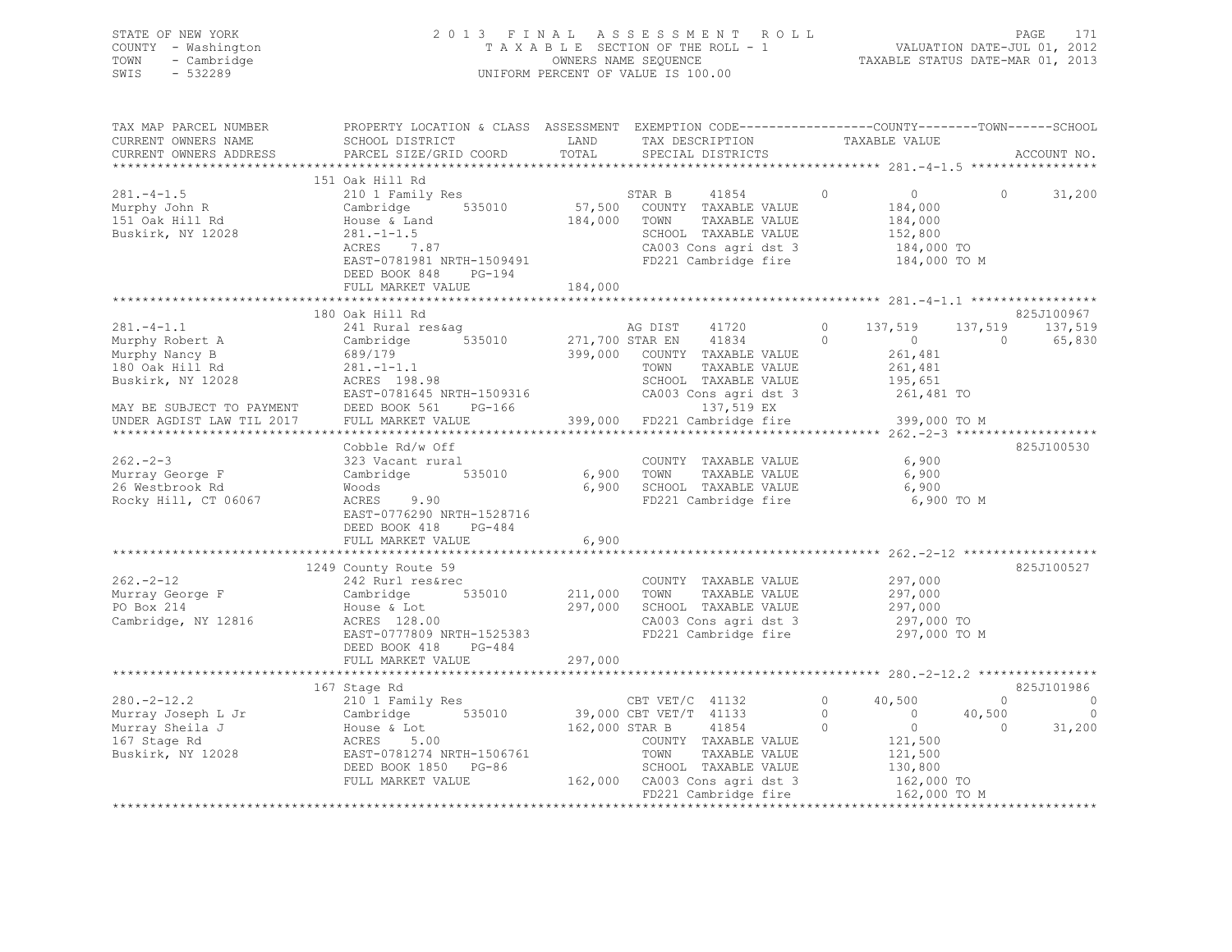| SWIS | STATE OF NEW YORK<br>COUNTY - Washington<br>TOWN - Cambridge<br>- 532289 |                                                                                                                   |      | 2013 FINAL ASSESSMENT ROLL<br>TAXABLE SECTION OF THE ROLL - 1<br>OWNERS NAME SEQUENCE<br>UNIFORM PERCENT OF VALUE IS 100.00 | TAXABLE STATUS DATE-MAR 01, 2013 | VALUATION DATE-JUL 01, 2012 | PAGE 171 |
|------|--------------------------------------------------------------------------|-------------------------------------------------------------------------------------------------------------------|------|-----------------------------------------------------------------------------------------------------------------------------|----------------------------------|-----------------------------|----------|
|      | TAX MAP PARCEL NUMBER<br>CURRENT OWNERS NAME                             | PROPERTY LOCATION & CLASS ASSESSMENT EXEMPTION CODE---------------COUNTY-------TOWN-----SCHOOL<br>SCHOOL DISTRICT | LAND | TAX DESCRIPTION                                                                                                             | TAXABLE VALUE                    |                             |          |

| CURRENT OWNERS ADDRESS                                                                                                                                 | PARCEL SIZE/GRID COORD                                                                                                                                                                    | TOTAL                      | SPECIAL DISTRICTS                                                                                                                                                                      |                               | ********************* 281.-4-1.5 ******************                                                       |                                | ACCOUNT NO.                          |
|--------------------------------------------------------------------------------------------------------------------------------------------------------|-------------------------------------------------------------------------------------------------------------------------------------------------------------------------------------------|----------------------------|----------------------------------------------------------------------------------------------------------------------------------------------------------------------------------------|-------------------------------|-----------------------------------------------------------------------------------------------------------|--------------------------------|--------------------------------------|
|                                                                                                                                                        |                                                                                                                                                                                           |                            |                                                                                                                                                                                        |                               |                                                                                                           |                                |                                      |
| $281 - 4 - 1.5$<br>Murphy John R<br>151 Oak Hill Rd<br>Buskirk, NY 12028                                                                               | 151 Oak Hill Rd<br>210 1 Family Res<br>Cambridge<br>535010<br>House & Land<br>$281 - 1 - 1.5$<br>7.87<br>ACRES<br>EAST-0781981 NRTH-1509491<br>DEED BOOK 848<br>$PG-194$                  | 57,500<br>184,000          | 41854<br>STAR B<br>COUNTY TAXABLE VALUE<br>TOWN<br>TAXABLE VALUE<br>SCHOOL TAXABLE VALUE<br>CA003 Cons agri dst 3<br>FD221 Cambridge fire                                              | $\Omega$                      | $\circ$<br>184,000<br>184,000<br>152,800<br>184,000 TO<br>184,000 TO M                                    | $\Omega$                       | 31,200                               |
|                                                                                                                                                        | FULL MARKET VALUE                                                                                                                                                                         | 184,000                    |                                                                                                                                                                                        |                               |                                                                                                           |                                |                                      |
|                                                                                                                                                        |                                                                                                                                                                                           |                            |                                                                                                                                                                                        |                               |                                                                                                           |                                |                                      |
| $281 - 4 - 1.1$<br>Murphy Robert A<br>Murphy Nancy B<br>180 Oak Hill Rd<br>Buskirk, NY 12028<br>MAY BE SUBJECT TO PAYMENT<br>UNDER AGDIST LAW TIL 2017 | 180 Oak Hill Rd<br>241 Rural res&aq<br>535010<br>Cambridge<br>689/179<br>$281 - 1 - 1.1$<br>ACRES 198.98<br>EAST-0781645 NRTH-1509316<br>DEED BOOK 561 PG-166<br>FULL MARKET VALUE        | 271,700 STAR EN<br>399,000 | AG DIST<br>41720<br>41834<br>COUNTY TAXABLE VALUE<br>TAXABLE VALUE<br>TOWN<br>SCHOOL TAXABLE VALUE<br>CA003 Cons agri dst 3<br>137,519 EX<br>399,000 FD221 Cambridge fire              | $\circ$<br>$\Omega$           | 137,519<br>$\circ$<br>261,481<br>261,481<br>195,651<br>261,481 TO<br>399,000 TO M                         | 137,519<br>$\Omega$            | 825J100967<br>137,519<br>65,830      |
|                                                                                                                                                        | Cobble Rd/w Off                                                                                                                                                                           |                            |                                                                                                                                                                                        |                               |                                                                                                           |                                | 825J100530                           |
| $262 - 2 - 3$<br>Murray George F<br>26 Westbrook Rd<br>Rocky Hill, CT 06067                                                                            | 323 Vacant rural<br>535010<br>Cambridge<br>Woods<br>ACRES<br>9.90<br>EAST-0776290 NRTH-1528716<br>DEED BOOK 418<br>PG-484<br>FULL MARKET VALUE                                            | 6,900<br>6,900<br>6,900    | COUNTY TAXABLE VALUE<br>TAXABLE VALUE<br>TOWN<br>SCHOOL TAXABLE VALUE<br>FD221 Cambridge fire                                                                                          |                               | 6,900<br>6,900<br>6,900<br>6,900 TO M                                                                     |                                |                                      |
|                                                                                                                                                        | 1249 County Route 59                                                                                                                                                                      |                            |                                                                                                                                                                                        |                               |                                                                                                           |                                | 825J100527                           |
| $262 - 2 - 12$<br>Murray George F<br>PO Box 214<br>Cambridge, NY 12816                                                                                 | 242 Rurl res&rec<br>535010<br>Cambridge<br>House & Lot<br>ACRES 128.00<br>EAST-0777809 NRTH-1525383<br>DEED BOOK 418 PG-484                                                               | 211,000<br>297,000         | COUNTY TAXABLE VALUE<br>TAXABLE VALUE<br>TOWN<br>SCHOOL TAXABLE VALUE<br>CA003 Cons agri dst 3<br>FD221 Cambridge fire                                                                 |                               | 297,000<br>297,000<br>297,000<br>297,000 TO<br>297,000 TO M                                               |                                |                                      |
|                                                                                                                                                        | FULL MARKET VALUE                                                                                                                                                                         | 297,000                    |                                                                                                                                                                                        |                               |                                                                                                           |                                |                                      |
|                                                                                                                                                        | 167 Stage Rd                                                                                                                                                                              |                            |                                                                                                                                                                                        |                               |                                                                                                           |                                | 825J101986                           |
| $280. -2 - 12.2$<br>Murray Joseph L Jr<br>Murray Sheila J<br>167 Stage Rd<br>Buskirk, NY 12028                                                         | 210 1 Family Res<br>535010<br>Cambridge<br>House & Lot<br>ACRES<br>5.00<br>EAST-0781274 NRTH-1506761<br>DEED BOOK 1850 PG-86<br>FULL MARKET VALUE<br>************************************ | 162,000 STAR B             | CBT $VET/C$ 41132<br>39,000 CBT VET/T 41133<br>41854<br>COUNTY TAXABLE VALUE<br>TOWN<br>TAXABLE VALUE<br>SCHOOL TAXABLE VALUE<br>162,000 CA003 Cons agri dst 3<br>FD221 Cambridge fire | $\circ$<br>$\circ$<br>$\circ$ | 40,500<br>$\overline{0}$<br>$\overline{0}$<br>121,500<br>121,500<br>130,800<br>162,000 TO<br>162,000 TO M | $\Omega$<br>40,500<br>$\Omega$ | $\overline{0}$<br>$\Omega$<br>31,200 |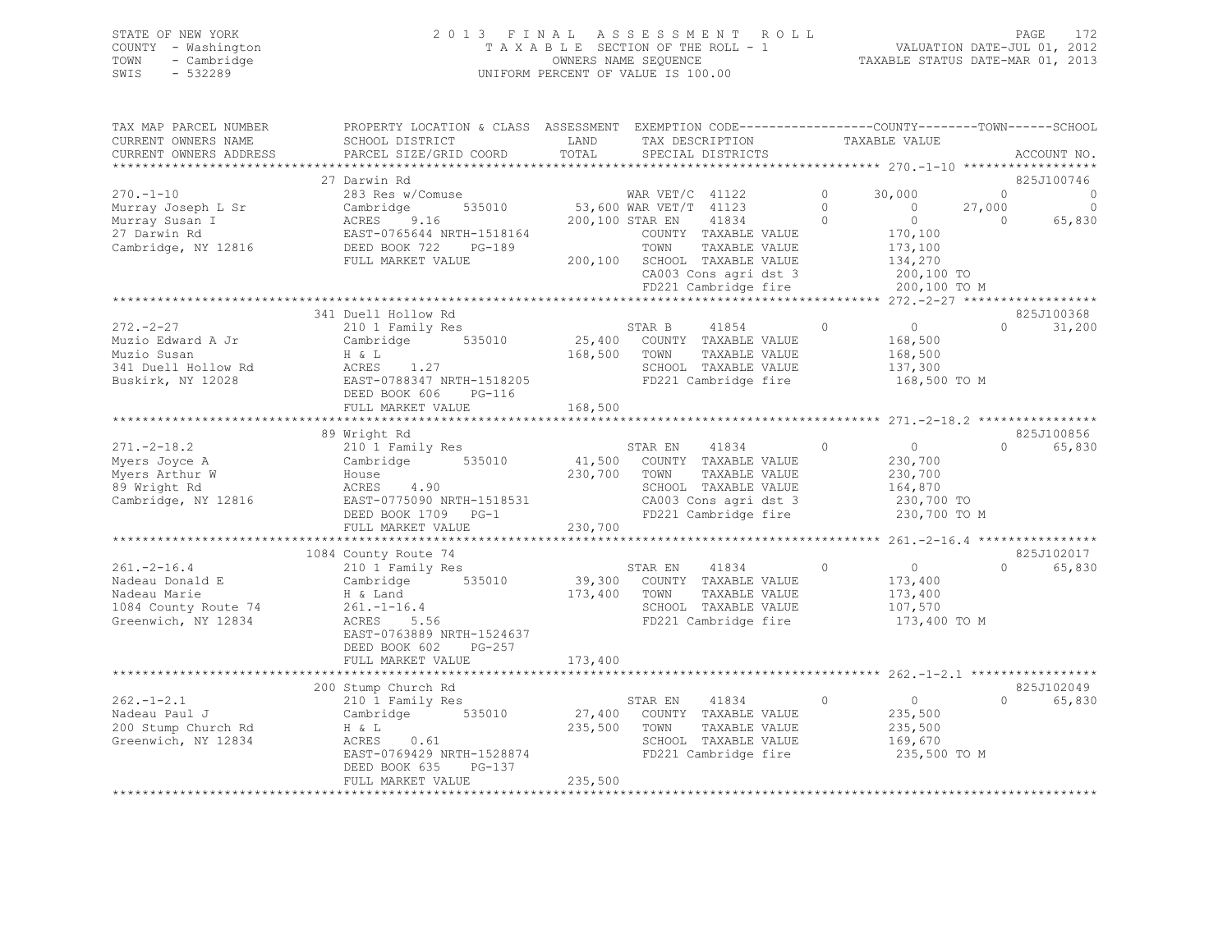## STATE OF NEW YORK 2 0 1 3 F I N A L A S S E S S M E N T R O L L PAGE 172 COUNTY - Washington T A X A B L E SECTION OF THE ROLL - 1 VALUATION DATE-JUL 01, 2012 TOWN - Cambridge OWNERS NAME SEQUENCE TAXABLE STATUS DATE-MAR 01, 2013 SWIS - 532289 UNIFORM PERCENT OF VALUE IS 100.00

| TAX MAP PARCEL NUMBER                      | PROPERTY LOCATION & CLASS ASSESSMENT EXEMPTION CODE---------------COUNTY-------TOWN------SCHOOL |              |                                                                      |                |                |                |                    |
|--------------------------------------------|-------------------------------------------------------------------------------------------------|--------------|----------------------------------------------------------------------|----------------|----------------|----------------|--------------------|
| CURRENT OWNERS NAME                        | SCHOOL DISTRICT                                                                                 | LAND         | TAX DESCRIPTION                                                      |                | TAXABLE VALUE  |                |                    |
| CURRENT OWNERS ADDRESS                     | PARCEL SIZE/GRID COORD                                                                          | TOTAL        | SPECIAL DISTRICTS                                                    |                |                |                | ACCOUNT NO.        |
|                                            |                                                                                                 |              |                                                                      |                |                |                |                    |
|                                            | 27 Darwin Rd                                                                                    |              |                                                                      |                |                |                | 825J100746         |
| $270. - 1 - 10$                            | 283 Res w/Comuse                                                                                |              | WAR VET/C $41122$                                                    | $\circ$        | 30,000         | $\circ$        | 0                  |
| Murray Joseph L Sr                         | 535010<br>Cambridge                                                                             |              | 53,600 WAR VET/T 41123                                               | $\circ$        | $\overline{0}$ | 27,000         | $\circ$            |
| Murray Susan I                             | ACRES 9.16                                                                                      |              | 200,100 STAR EN<br>41834                                             | $\overline{0}$ | $\overline{0}$ | $\overline{0}$ | 65,830             |
| 27 Darwin Rd                               |                                                                                                 |              | COUNTY TAXABLE VALUE                                                 |                | 170, 100       |                |                    |
| Cambridge, NY 12816                        |                                                                                                 |              | TOWN<br>TAXABLE VALUE                                                |                | 173,100        |                |                    |
|                                            | FULL MARKET VALUE                                                                               |              | 200,100 SCHOOL TAXABLE VALUE                                         |                | 134,270        |                |                    |
|                                            |                                                                                                 |              | CA003 Cons agri dst 3                                                |                | 200,100 TO     |                |                    |
|                                            |                                                                                                 |              | FD221 Cambridge fire                                                 |                | 200,100 TO M   |                |                    |
|                                            |                                                                                                 |              |                                                                      |                |                |                |                    |
|                                            | 341 Duell Hollow Rd                                                                             |              |                                                                      |                |                |                | 825J100368         |
| $272 - 2 - 27$                             | 210 1 Family Res                                                                                |              | STAR B<br>41854                                                      | $\circ$        | $\overline{0}$ | $\circ$        | 31,200             |
| Muzio Edward A Jr                          | Cambridge 535010                                                                                |              | 25,400 COUNTY TAXABLE VALUE                                          |                | 168,500        |                |                    |
| Muzio Susan                                | H & L                                                                                           | 168,500 TOWN | TAXABLE VALUE                                                        |                | 168,500        |                |                    |
| 341 Duell Hollow Rd                        | ACRES 1.27<br>EAST-0788347 NRTH-1518205                                                         |              | SCHOOL TAXABLE VALUE<br>SCHOOL TAXABLE VALUE<br>FD221 Cambridge fire |                | 137,300        |                |                    |
| Buskirk, NY 12028                          |                                                                                                 |              |                                                                      |                | 168,500 TO M   |                |                    |
|                                            | DEED BOOK 606<br>PG-116                                                                         |              |                                                                      |                |                |                |                    |
|                                            | FULL MARKET VALUE                                                                               | 168,500      |                                                                      |                |                |                |                    |
|                                            |                                                                                                 |              |                                                                      |                |                |                |                    |
|                                            | 89 Wright Rd                                                                                    |              |                                                                      |                |                |                | 825J100856         |
| $271 - 2 - 18.2$                           | 210 1 Family Res                                                                                |              | STAR EN<br>41834                                                     | $\circ$        | $\overline{0}$ | $\Omega$       | 65,830             |
| Myers Joyce A                              | Cambridge 535010                                                                                |              | 41,500 COUNTY TAXABLE VALUE                                          |                | 230,700        |                |                    |
| Myers Arthur W                             | House                                                                                           | 230,700 TOWN | TAXABLE VALUE                                                        |                | 230,700        |                |                    |
| 89 Wright Rd                               | ACRES 4.90                                                                                      |              | SCHOOL TAXABLE VALUE                                                 |                | 164,870        |                |                    |
| Cambridge, NY 12816                        | EAST-0775090 NRTH-1518531                                                                       |              | CA003 Cons agri dst 3<br>FD221 Cambridge fire                        |                | 230,700 TO     |                |                    |
|                                            | DEED BOOK 1709 PG-1                                                                             |              |                                                                      |                | 230,700 TO M   |                |                    |
|                                            | FULL MARKET VALUE                                                                               | 230,700      |                                                                      |                |                |                |                    |
|                                            |                                                                                                 |              |                                                                      |                |                |                |                    |
|                                            | 1084 County Route 74                                                                            |              |                                                                      |                |                |                | 825J102017         |
| $261. - 2 - 16.4$                          |                                                                                                 |              | 41834<br>STAR EN                                                     | $\Omega$       | $\overline{0}$ |                | $\Omega$<br>65,830 |
| Nadeau Donald E<br><sup>Nadeau</sup> Marie |                                                                                                 |              | 39,300 COUNTY TAXABLE VALUE                                          |                | 173,400        |                |                    |
| Nadeau Marie                               | H & Land                                                                                        | 173,400 TOWN | TAXABLE VALUE                                                        |                | 173,400        |                |                    |
| 1084 County Route 74                       | $261. - 1 - 16.4$                                                                               |              | SCHOOL TAXABLE VALUE                                                 |                | 107,570        |                |                    |
| Greenwich, NY 12834                        | ACRES<br>5.56                                                                                   |              | FD221 Cambridge fire                                                 |                | 173,400 TO M   |                |                    |
|                                            | EAST-0763889 NRTH-1524637                                                                       |              |                                                                      |                |                |                |                    |
|                                            | DEED BOOK 602<br>PG-257                                                                         |              |                                                                      |                |                |                |                    |
|                                            | FULL MARKET VALUE                                                                               | 173,400      |                                                                      |                |                |                |                    |
|                                            |                                                                                                 |              |                                                                      |                |                |                |                    |
|                                            | 200 Stump Church Rd                                                                             |              |                                                                      |                |                |                | 825J102049         |
| $262 - 1 - 2.1$                            | 210 1 Family Res                                                                                |              | STAR EN<br>41834                                                     | $\circ$        | $\overline{0}$ | $\Omega$       | 65,830             |
| Nadeau Paul J                              | Cambridge 535010                                                                                |              | 27,400 COUNTY TAXABLE VALUE                                          |                | 235,500        |                |                    |
| 200 Stump Church Rd                        | H & L                                                                                           | 235,500 TOWN | TAXABLE VALUE                                                        |                | 235,500        |                |                    |
| Greenwich, NY 12834                        | ACRES<br>0.61                                                                                   |              | SCHOOL TAXABLE VALUE                                                 |                | 169,670        |                |                    |
|                                            | EAST-0769429 NRTH-1528874                                                                       |              | FD221 Cambridge fire                                                 |                | 235,500 TO M   |                |                    |
|                                            | PG-137<br>DEED BOOK 635                                                                         |              |                                                                      |                |                |                |                    |
|                                            | FULL MARKET VALUE                                                                               | 235,500      |                                                                      |                |                |                |                    |
|                                            |                                                                                                 |              |                                                                      |                |                |                |                    |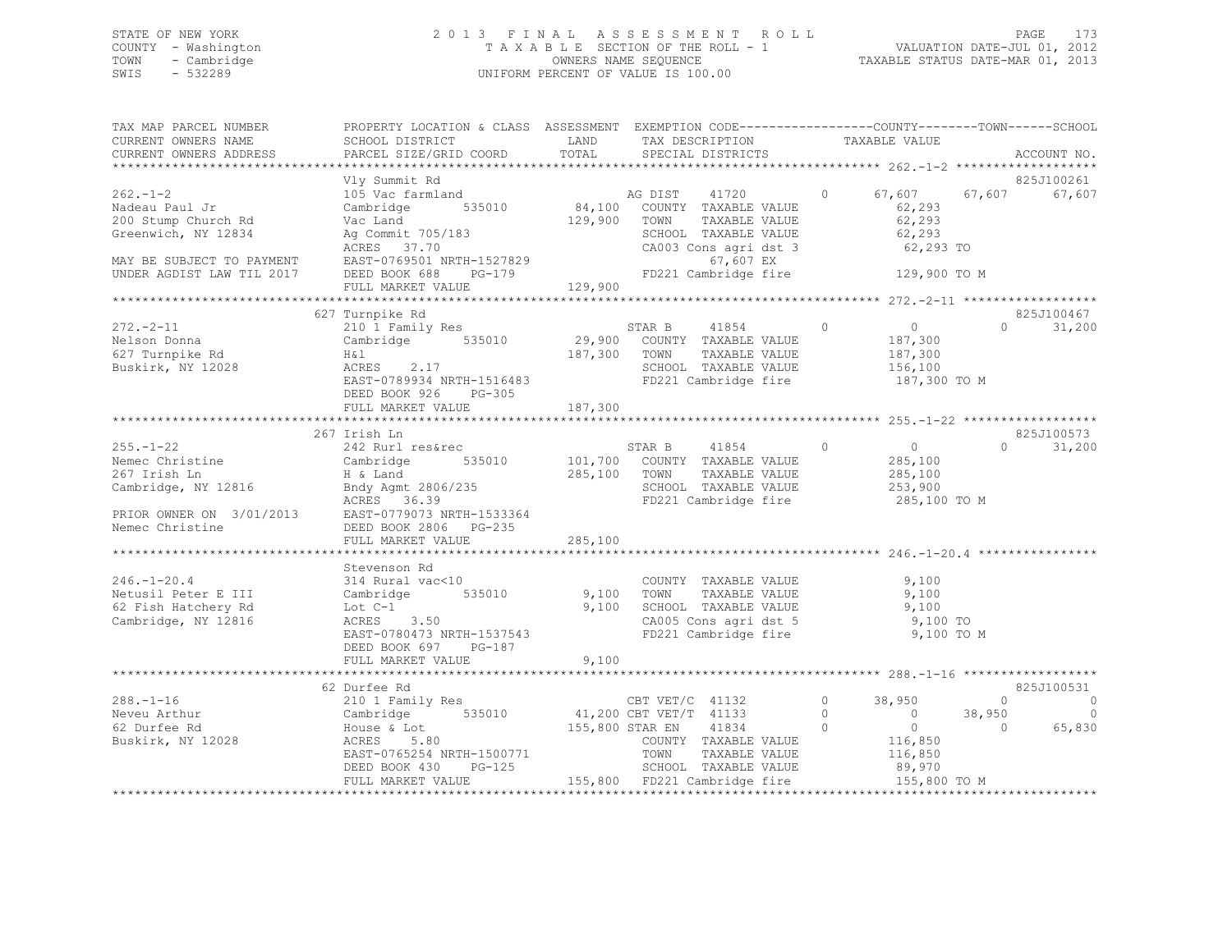## STATE OF NEW YORK 2 0 1 3 F I N A L A S S E S S M E N T R O L L PAGE 173 COUNTY - Washington T A X A B L E SECTION OF THE ROLL - 1 VALUATION DATE-JUL 01, 2012 TOWN - Cambridge OWNERS NAME SEQUENCE TAXABLE STATUS DATE-MAR 01, 2013 SWIS - 532289 UNIFORM PERCENT OF VALUE IS 100.00

| TAX MAP PARCEL NUMBER<br>CURRENT OWNERS NAME<br>CURRENT OWNERS ADDRESS        | PROPERTY LOCATION & CLASS ASSESSMENT EXEMPTION CODE---------------COUNTY-------TOWN-----SCHOOL<br>SCHOOL DISTRICT<br>PARCEL SIZE/GRID COORD                                                                                                                                                                                                                                                                                                   | LAND<br>TOTAL | TAX DESCRIPTION<br>SPECIAL DISTRICTS                                                                                 | TAXABLE VALUE                                                    | ACCOUNT NO.                                                                                                |
|-------------------------------------------------------------------------------|-----------------------------------------------------------------------------------------------------------------------------------------------------------------------------------------------------------------------------------------------------------------------------------------------------------------------------------------------------------------------------------------------------------------------------------------------|---------------|----------------------------------------------------------------------------------------------------------------------|------------------------------------------------------------------|------------------------------------------------------------------------------------------------------------|
|                                                                               |                                                                                                                                                                                                                                                                                                                                                                                                                                               |               |                                                                                                                      |                                                                  |                                                                                                            |
| $262 - 1 - 2$<br>Nadeau Paul Jr<br>200 Stump Church Rd<br>Greenwich, NY 12834 | Vly Summit Rd<br>VIY SUMMILL NU<br>105 Vac farmland<br>Cambridge 535010 84,100 COUNTY TAXABLE VALUE<br>Vac Land 129,900 TOWN TAXABLE VALUE<br>COUNTY TAXABLE VALUE<br>Ag Commit 705/183                                                                                                                                                                                                                                                       |               | TAXABLE VALUE<br>SCHOOL TAXABLE VALUE                                                                                | $\Omega$<br>67,607<br>62,293<br>62,293<br>62,293                 | 825J100261<br>67,607<br>67,607                                                                             |
|                                                                               |                                                                                                                                                                                                                                                                                                                                                                                                                                               |               |                                                                                                                      |                                                                  |                                                                                                            |
| $272 - 2 - 11$                                                                | 627 Turnpike Rd<br>210 1 Family Res<br>Nelson Donna<br>Nelson Donna<br>Cambridge 535010 29,900 COUNTY TAXABLE VALUE<br>627 Turnpike Rd H&1 187,300 TOWN TAXABLE VALUE<br>Buskirk, NY 12028 ACRES 2.17 SCHOOL TAXABLE VALUE<br>ACRES 2.1/<br>EAST-0789934 NRTH-1516483<br>DEED BOOK 926<br>PG-305                                                                                                                                              |               | STAR B 41854 0<br>TAXABLE VALUE<br>SCHOOL TAXABLE VALUE<br>FD221 Cambridge fire                                      | $\overline{0}$<br>187,300<br>187,300<br>156, 100<br>187,300 TO M | 825J100467<br>31,200<br>$0 \qquad \qquad$                                                                  |
|                                                                               | FULL MARKET VALUE                                                                                                                                                                                                                                                                                                                                                                                                                             | 187,300       |                                                                                                                      |                                                                  |                                                                                                            |
|                                                                               | 267 Irish Ln                                                                                                                                                                                                                                                                                                                                                                                                                                  |               |                                                                                                                      |                                                                  | 825J100573                                                                                                 |
|                                                                               | $\begin{tabular}{lllllllllll} \multicolumn{3}{c }{255.-1-22} & $\multicolumn{3}{c }{242~Rurl~res\&tree} & $\multicolumn{3}{c }{35010}$ & $\multicolumn{3}{c }{35010}$ & $\multicolumn{3}{c }{35010}$ & $\multicolumn{3}{c }{35010}$ & $\multicolumn{3}{c }{35010}$ & $\multicolumn{3}{c }{35010}$ & $\multicolumn{3}{c }{35010}$ & $\multicolumn{3}{c }{35010}$ & $\multicolumn{3}{c }{35010}$ & $\multicolumn{3}{c }{3$<br>FULL MARKET VALUE | 285,100       | STAR B 41854 0<br>TAXABLE VALUE<br>FD221 Cambridge fire 285,100 TO M                                                 | $0$<br>285,100<br>285,100<br>253,900                             | $\Omega$<br>31,200                                                                                         |
|                                                                               |                                                                                                                                                                                                                                                                                                                                                                                                                                               |               |                                                                                                                      |                                                                  |                                                                                                            |
| $246. - 1 - 20.4$<br>62 Fish Hatchery Rd<br>Cambridge, NY 12816               | Stevenson Rd<br>$314$ Rural vac< $10$<br>3.50<br>Lot C-1<br>ACRES<br>EAST-0780473 NRTH-1537543<br>DEED BOOK 697 PG-187<br>FULL MARKET VALUE                                                                                                                                                                                                                                                                                                   | 9,100         | COUNTY TAXABLE VALUE<br>TAXABLE VALUE<br>9,100 SCHOOL TAXABLE VALUE<br>CA005 Cons agri dst 5<br>FD221 Cambridge fire | 9,100<br>9,100<br>9,100<br>9,100 TO<br>9,100 TO M                |                                                                                                            |
|                                                                               |                                                                                                                                                                                                                                                                                                                                                                                                                                               |               |                                                                                                                      |                                                                  |                                                                                                            |
| $288. - 1 - 16$<br>Neveu Arthur<br>62 Durfee Rd<br>Buskirk, NY 12028          | 210 1 Family Res<br>210 1 Family Res<br>Cambridge 535010 41,200 CBT VET/T 41133 0 38,950<br>House & Lot<br>ACRES 5.80 5.80 COUNTY TREM 41834 0 0<br>EAST-0765254 NRTH-1500771<br>DEED BOOK 430 PG-125<br>FULL MARKET VALUE                                                                                                                                                                                                                    |               | TOWN<br>TAXABLE VALUE<br>SCHOOL TAXABLE VALUE<br>155,800 FD221 Cambridge fire 155,800 TO M                           | $\overline{0}$<br>$0$<br>116,850<br>116,850<br>89,970            | 825J100531<br>$\Omega$<br>$\overline{0}$<br>$\overline{\phantom{0}}$<br>38,950<br>65,830<br>$\overline{0}$ |
|                                                                               |                                                                                                                                                                                                                                                                                                                                                                                                                                               |               |                                                                                                                      |                                                                  |                                                                                                            |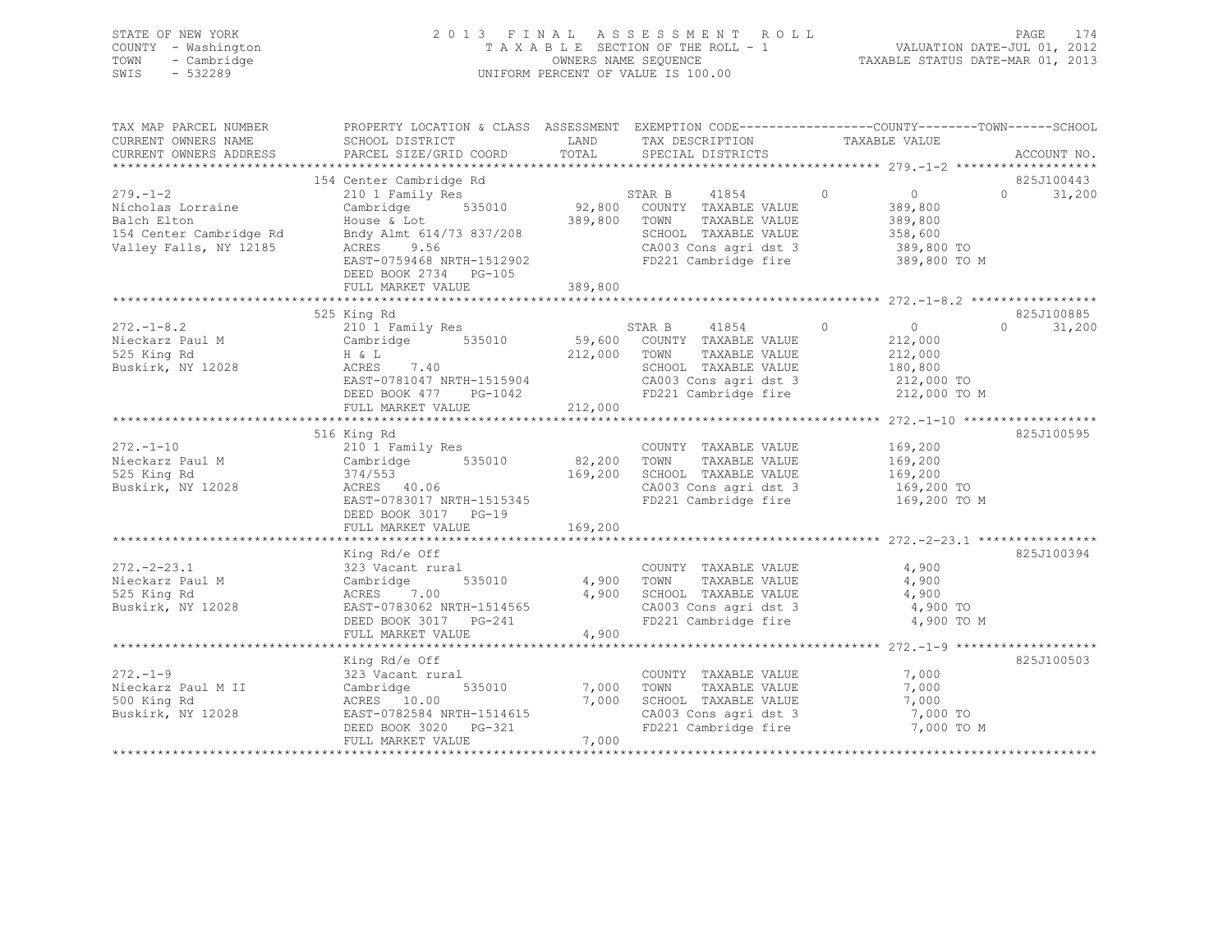|      | STATE OF NEW YORK   | 2013 FINAL ASSESSMENT ROLL            | 174<br>PAGE                      |
|------|---------------------|---------------------------------------|----------------------------------|
|      | COUNTY - Washington | T A X A B L E SECTION OF THE ROLL - 1 | VALUATION DATE-JUL 01, 2012      |
| TOWN | - Cambridge         | OWNERS NAME SEOUENCE                  | TAXABLE STATUS DATE-MAR 01, 2013 |
| SWIS | $-532289$           | UNIFORM PERCENT OF VALUE IS 100.00    |                                  |

| TAX MAP PARCEL NUMBER<br>CURRENT OWNERS NAME<br>CURRENT OWNERS ADDRESS                                  | PROPERTY LOCATION & CLASS ASSESSMENT EXEMPTION CODE----------------COUNTY-------TOWN------SCHOOL<br>SCHOOL DISTRICT<br>PARCEL SIZE/GRID COORD                                                                                                                                                                                                      |                                     | LAND TAX DESCRIPTION<br>TOTAL SPECIAL DISTRICTS                                                                                                                       | TAXABLE VALUE                                                                                | ACCOUNT NO.                      |
|---------------------------------------------------------------------------------------------------------|----------------------------------------------------------------------------------------------------------------------------------------------------------------------------------------------------------------------------------------------------------------------------------------------------------------------------------------------------|-------------------------------------|-----------------------------------------------------------------------------------------------------------------------------------------------------------------------|----------------------------------------------------------------------------------------------|----------------------------------|
|                                                                                                         |                                                                                                                                                                                                                                                                                                                                                    |                                     |                                                                                                                                                                       |                                                                                              |                                  |
| $279. - 1 - 2$<br>Nicholas Lorraine<br>Balch Elton<br>154 Center Cambridge Rd<br>Valley Falls, NY 12185 | 154 Center Cambridge Rd<br>210 1 Family Res<br>210 1 Family Res<br>210 1 Family Res<br>535010 92,800 COUNTY TAXABLE VALUE 389,800<br>$\begin{array}{ll}\n\text{House & Lot} \\ \text{Bndy Almt} & 614/73 & 837/208 \\ \text{ACRES} & 9.56 \\ \end{array}$<br>ACRES 9.56<br>EAST-0759468 NRTH-1512902<br>DEED BOOK 2734 PG-105<br>FULL MARKET VALUE | 389,800                             | SCHOOL TAXABLE VALUE 358,600                                                                                                                                          | 389,800<br>CA003 Cons agri dst 3 389,800 TO<br>FD221 Cambridge fire 389,800 TO M             | 825J100443<br>$0 \t 31,200$      |
| $272 - 1 - 8.2$<br>Nieckarz Paul M<br>525 King Rd<br>525 King Rd<br>Buskirk, NY 12028                   | 210 1 Family Res<br>Cambridge 535010 59,600 COUNTY TAXABLE VALUE<br>H & L<br>212.000 Form Territory Territory<br>$ACRES$ 7.40<br>EAST-0781047 NRTH-1515904<br>DEED BOOK 477 PG-1042<br>FULL MARKET VALUE 212,000                                                                                                                                   | 212,000 TOWN                        | STAR B $41854$ 0 0 0<br>TAXABLE VALUE<br>SCHOOL TAXABLE VALUE 180,800<br>CA003 Cons agri dst 3 12,000 TO                                                              | 212,000<br>212,000<br>FD221 Cambridge fire 212,000 TO M                                      | 825J100885<br>$\Omega$<br>31,200 |
| $272. - 1 - 10$<br>Nieckarz Paul M<br>525 King Rd<br>Buskirk, NY 12028                                  | 516 King Rd<br>210 1 Family Res<br>Cambridge $535010$<br>374/553<br>ACRES 40.06<br>EAST-0783017 NRTH-1515345<br>DEED BOOK 3017 PG-19<br>FULL MARKET VALUE                                                                                                                                                                                          | 169,200                             | COUNTY TAXABLE VALUE 169,200<br>82,200 TOWN TAXABLE VALUE 169,200<br>169,200 SCHOOL TAXABLE VALUE 169,200<br>CA003 Cons agri dst 3 169,200 TO<br>FD221 Cambridge fire | 169,200 TO M                                                                                 | 825J100595                       |
| $272. - 2 - 23.1$<br>Nieckarz Paul M<br>525 King Rd<br>Buskirk, NY 12028                                | King Rd/e Off<br>323 Vacant rural<br>Cambridge 535010 4,900 TOWN TAXABLE VALUE<br>ACRES 7.00 4,900 SCHOOL TAXABLE VALUE<br>ACRES 7.00<br>EAST-0783062 NRTH-1514565<br>FULL MARKET VALUE                                                                                                                                                            | 4,900                               | COUNTY TAXABLE VALUE 4,900<br>CA003 Cons agri dst 3 4,900 TO<br>FD221 Cambridge fire                                                                                  | 4,900<br>4,900<br>4,900 TO M                                                                 | 825J100394                       |
| $272. - 1 - 9$<br>Nieckarz Paul M II<br>500 King Rd<br>Buskirk, NY 12028                                | King Rd/e Off<br>323 Vacant rural<br>JzJ vacant ---.<br>Cambridge<br>ACRES 10.00<br>-------- 10.00<br>EAST-0782584 NRTH-1514615<br>DEED BOOK 3020 PG-321<br>FIILL MARFER VIIII<br>FULL MARKET VALUE                                                                                                                                                | 535010 7,000 TOWN<br>7,000<br>7,000 | COUNTY TAXABLE VALUE<br>TAXABLE VALUE<br>SCHOOL TAXABLE VALUE                                                                                                         | 7,000<br>7,000<br>7,000<br>CA003 Cons agri dst 3 7,000 TO<br>FD221 Cambridge fire 7,000 TO M | 825J100503                       |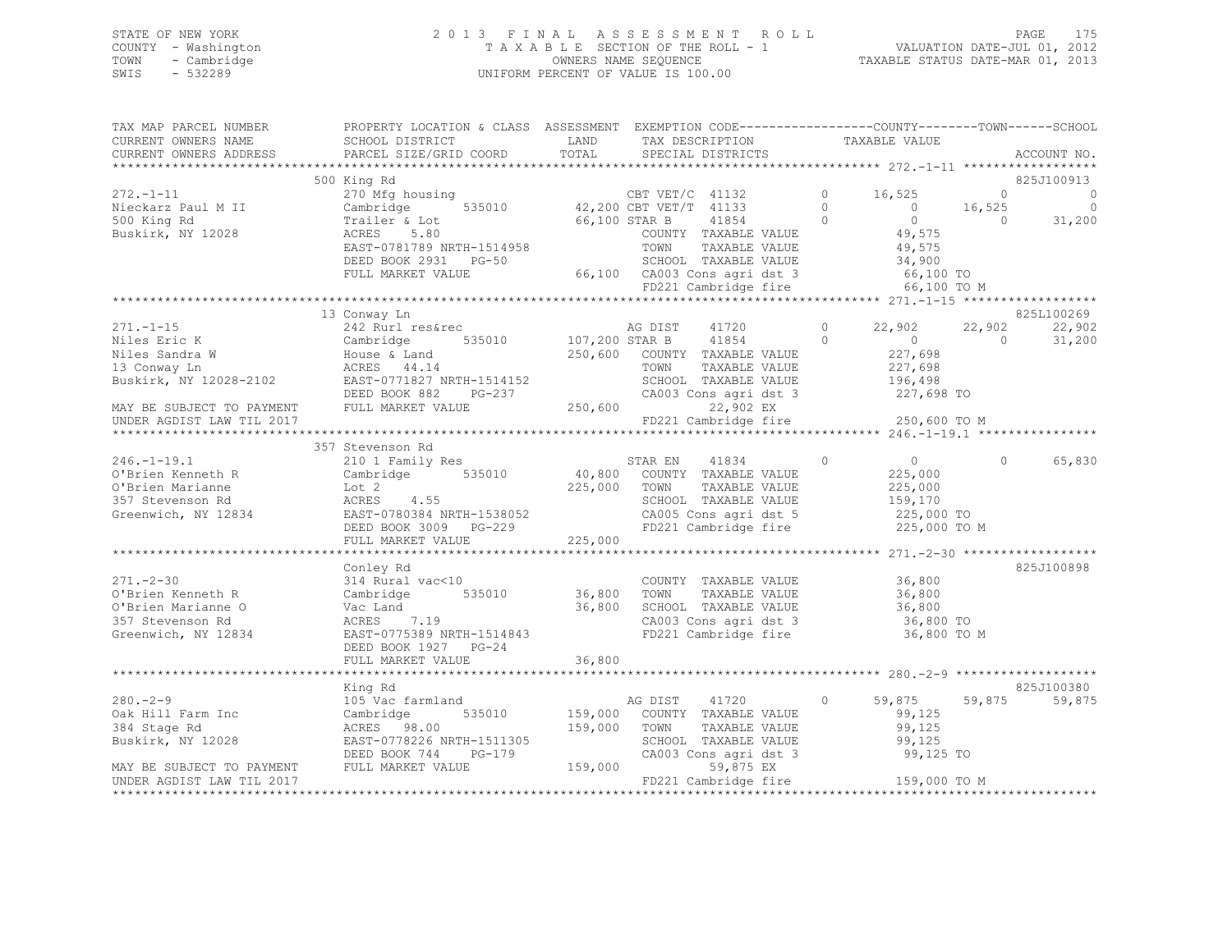### STATE OF NEW YORK 2 0 1 3 F I N A L A S S E S S M E N T R O L L PAGE 175 COUNTY - Washington T A X A B L E SECTION OF THE ROLL - 1 VALUATION DATE-JUL 01, 2012 TOWN - Cambridge OWNERS NAME SEQUENCE TAXABLE STATUS DATE-MAR 01, 2013 SWIS - 532289 UNIFORM PERCENT OF VALUE IS 100.00

TAX MAP PARCEL NUMBER PROPERTY LOCATION & CLASS ASSESSMENT EXEMPTION CODE-----------------------------TOWN------SCHOOL CURRENT OWNERS NAME SCHOOL DISTRICT LAND TAX DESCRIPTION TAXABLE VALUE CURRENT OWNERS ADDRESS PARCEL SIZE/GRID COORD TOTAL SPECIAL DISTRICTS ACCOUNT NO. \*\*\*\*\*\*\*\*\*\*\*\*\*\*\*\*\*\*\*\*\*\*\*\*\*\*\*\*\*\*\*\*\*\*\*\*\*\*\*\*\*\*\*\*\*\*\*\*\*\*\*\*\*\*\*\*\*\*\*\*\*\*\*\*\*\*\*\*\*\*\*\*\*\*\*\*\*\*\*\*\*\*\*\*\*\*\*\*\*\*\*\*\*\*\*\*\*\*\*\*\*\*\* 272.-1-11 \*\*\*\*\*\*\*\*\*\*\*\*\*\*\*\*\*\*825J100913 500 King Rd 825J100913 272.-1-11 270 Mfg housing CBT VET/C 41132 0 16,525 0 0 Nieckarz Paul M II Cambridge 535010 42,200 CBT VET/T 41133 0 0 16,525 0 500 King Rd Trailer & Lot 66,100 STAR B 41854 0 0 0 31,200 Buskirk, NY 12028 ACRES 5.80 COUNTY TAXABLE VALUE 49,575 EAST-0781789 NRTH-1514958 TOWN TAXABLE VALUE 49,575 DEED BOOK 2931 PG-50 SCHOOL TAXABLE VALUE 34,900 FULL MARKET VALUE 66,100 CA003 Cons agri dst 3 66,100 TO FD221 Cambridge fire 66,100 TO M \*\*\*\*\*\*\*\*\*\*\*\*\*\*\*\*\*\*\*\*\*\*\*\*\*\*\*\*\*\*\*\*\*\*\*\*\*\*\*\*\*\*\*\*\*\*\*\*\*\*\*\*\*\*\*\*\*\*\*\*\*\*\*\*\*\*\*\*\*\*\*\*\*\*\*\*\*\*\*\*\*\*\*\*\*\*\*\*\*\*\*\*\*\*\*\*\*\*\*\*\*\*\* 271.-1-15 \*\*\*\*\*\*\*\*\*\*\*\*\*\*\*\*\*\*825L100269 13 Conway Ln 825L100269 271.-1-15 242 Rurl res&rec AG DIST 41720 0 22,902 22,902 22,902 Niles Eric K Cambridge 535010 107,200 STAR B 41854 0 0 0 31,200 Niles Sandra W House & Land 250,600 COUNTY TAXABLE VALUE 227,698 13 Conway Ln ACRES 44.14 TOWN TAXABLE VALUE 227,698 Buskirk, NY 12028-2102 EAST-0771827 NRTH-1514152 SCHOOL TAXABLE VALUE 196,498 DEED BOOK 882 PG-237 CA003 Cons agri dst 3 227,698 TO MAY BE SUBJECT TO PAYMENT FULL MARKET VALUE 250,600 22,902 EX UNDER AGDIST LAW TIL 2017 FD221 Cambridge fire 250,600 TO M \*\*\*\*\*\*\*\*\*\*\*\*\*\*\*\*\*\*\*\*\*\*\*\*\*\*\*\*\*\*\*\*\*\*\*\*\*\*\*\*\*\*\*\*\*\*\*\*\*\*\*\*\*\*\*\*\*\*\*\*\*\*\*\*\*\*\*\*\*\*\*\*\*\*\*\*\*\*\*\*\*\*\*\*\*\*\*\*\*\*\*\*\*\*\*\*\*\*\*\*\*\*\* 246.-1-19.1 \*\*\*\*\*\*\*\*\*\*\*\*\*\*\*\* 357 Stevenson Rd 246.-1-19.1 210 1 Family Res STAR EN 41834 0 0 0 65,830 O'Brien Kenneth R Cambridge 535010 40,800 COUNTY TAXABLE VALUE 225,000 O'Brien Marianne Lot 2 225,000 TOWN TAXABLE VALUE 225,000 357 Stevenson Rd ACRES 4.55 SCHOOL TAXABLE VALUE 159,170 Greenwich, NY 12834 EAST-0780384 NRTH-1538052 CA005 Cons agri dst 5 225,000 TO DEED BOOK 3009 PG-229 FORD FD221 Cambridge fire 225,000 TO M FULL MARKET VALUE 225,000 \*\*\*\*\*\*\*\*\*\*\*\*\*\*\*\*\*\*\*\*\*\*\*\*\*\*\*\*\*\*\*\*\*\*\*\*\*\*\*\*\*\*\*\*\*\*\*\*\*\*\*\*\*\*\*\*\*\*\*\*\*\*\*\*\*\*\*\*\*\*\*\*\*\*\*\*\*\*\*\*\*\*\*\*\*\*\*\*\*\*\*\*\*\*\*\*\*\*\*\*\*\*\* 271.-2-30 \*\*\*\*\*\*\*\*\*\*\*\*\*\*\*\*\*\* Conley Rd 825J100898 271.-2-30 314 Rural vac<10 COUNTY TAXABLE VALUE 36,800 O'Brien Kenneth R Cambridge 535010 36,800 TOWN TAXABLE VALUE 36,800 O'Brien Marianne O Vac Land 36,800 SCHOOL TAXABLE VALUE 36,800 357 Stevenson Rd ACRES 7.19 CA003 Cons agri dst 3 36,800 TO Greenwich, NY 12834 EAST-0775389 NRTH-1514843 FD221 Cambridge fire 36,800 TO M DEED BOOK 1927 PG-24 FULL MARKET VALUE 36,800

\*\*\*\*\*\*\*\*\*\*\*\*\*\*\*\*\*\*\*\*\*\*\*\*\*\*\*\*\*\*\*\*\*\*\*\*\*\*\*\*\*\*\*\*\*\*\*\*\*\*\*\*\*\*\*\*\*\*\*\*\*\*\*\*\*\*\*\*\*\*\*\*\*\*\*\*\*\*\*\*\*\*\*\*\*\*\*\*\*\*\*\*\*\*\*\*\*\*\*\*\*\*\* 280.-2-9 \*\*\*\*\*\*\*\*\*\*\*\*\*\*\*\*\*\*\*825J100380 King Rd 825J100380 280.-2-9 105 Vac farmland AG DIST 41720 0 59,875 59,875 59,875 Oak Hill Farm Inc Cambridge 535010 159,000 COUNTY TAXABLE VALUE 99,125 384 Stage Rd ACRES 98.00 159,000 TOWN TAXABLE VALUE 99,125 Buskirk, NY 12028 EAST-0778226 NRTH-1511305 SCHOOL TAXABLE VALUE 99,125 DEED BOOK 744 PG-179 CA003 Cons agri dst 3 99,125 TO MAY BE SUBJECT TO PAYMENT FULL MARKET VALUE 159,000 59,875 EX UNDER AGDIST LAW TIL 2017 FOLD MARCH VILLE TO THE TED STORE TO THE CONFIDENT AGRICULTURE TO MARCH THE 2017 TO M<br>ISP,000 TO M \*\*\*\*\*\*\*\*\*\*\*\*\*\*\*\*\*\*\*\*\*\*\*\*\*\*\*\*\*\*\*\*\*\*\*\*\*\*\*\*\*\*\*\*\*\*\*\*\*\*\*\*\*\*\*\*\*\*\*\*\*\*\*\*\*\*\*\*\*\*\*\*\*\*\*\*\*\*\*\*\*\*\*\*\*\*\*\*\*\*\*\*\*\*\*\*\*\*\*\*\*\*\*\*\*\*\*\*\*\*\*\*\*\*\*\*\*\*\*\*\*\*\*\*\*\*\*\*\*\*\*\*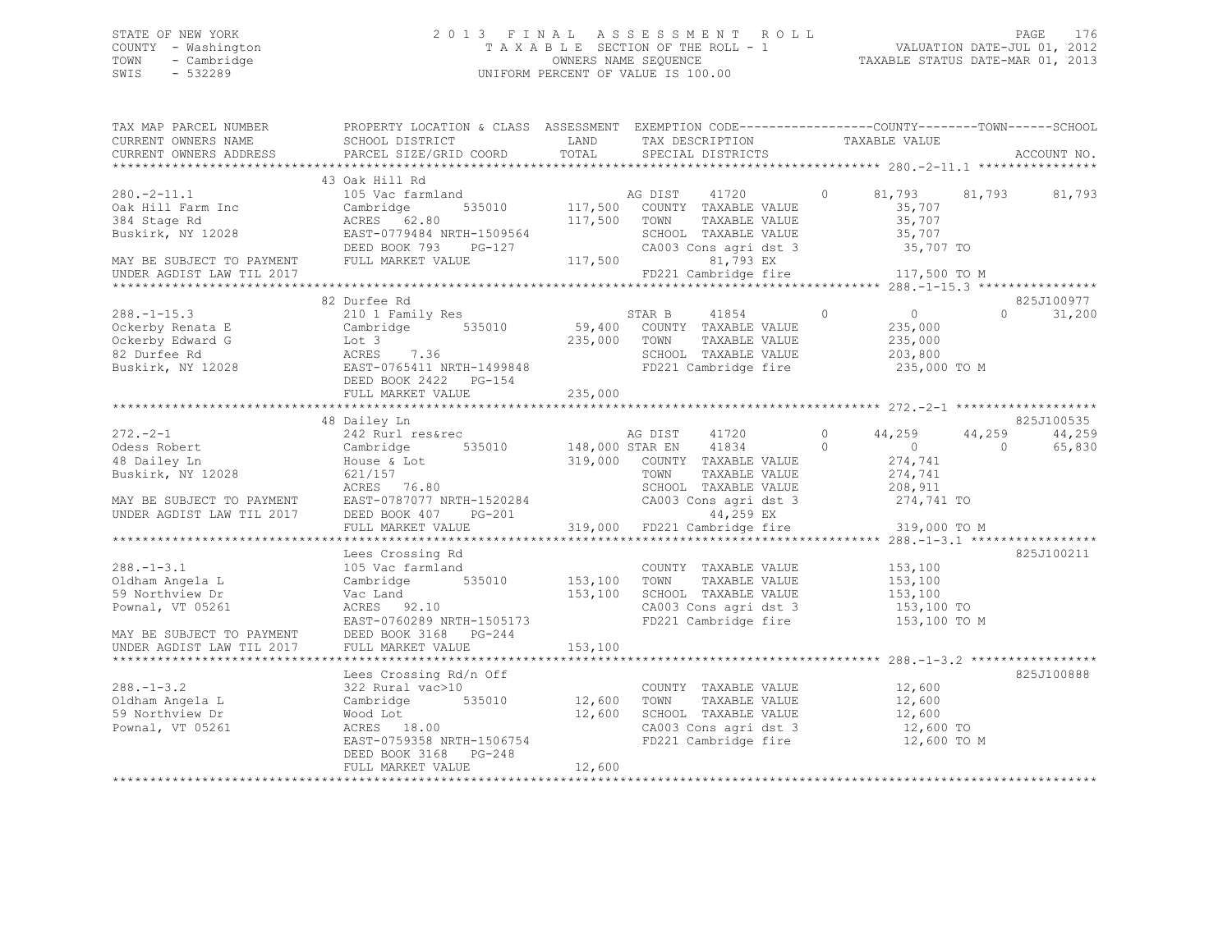## STATE OF NEW YORK 2 0 1 3 F I N A L A S S E S S M E N T R O L L PAGE 176 COUNTY - Washington T A X A B L E SECTION OF THE ROLL - 1 VALUATION DATE-JUL 01, 2012 TOWN - Cambridge OWNERS NAME SEQUENCE TAXABLE STATUS DATE-MAR 01, 2013 SWIS - 532289 UNIFORM PERCENT OF VALUE IS 100.00

| TAX MAP PARCEL NUMBER<br>CURRENT OWNERS NAME           | PROPERTY LOCATION & CLASS ASSESSMENT EXEMPTION CODE---------------COUNTY-------TOWN-----SCHOOL<br>SCHOOL DISTRICT<br><b>LAND</b>                                                                                                                                                                                                                                                                                      |                       | TAX DESCRIPTION                                                                                                                                                                               | TAXABLE VALUE                                  |                          |
|--------------------------------------------------------|-----------------------------------------------------------------------------------------------------------------------------------------------------------------------------------------------------------------------------------------------------------------------------------------------------------------------------------------------------------------------------------------------------------------------|-----------------------|-----------------------------------------------------------------------------------------------------------------------------------------------------------------------------------------------|------------------------------------------------|--------------------------|
|                                                        |                                                                                                                                                                                                                                                                                                                                                                                                                       | TOTAL                 |                                                                                                                                                                                               |                                                |                          |
|                                                        |                                                                                                                                                                                                                                                                                                                                                                                                                       |                       |                                                                                                                                                                                               |                                                |                          |
|                                                        | 43 Oak Hill Rd                                                                                                                                                                                                                                                                                                                                                                                                        |                       |                                                                                                                                                                                               |                                                |                          |
| $280. -2 - 11.1$                                       | 105 Vac farmland 105 Mag AG DIST 41720                                                                                                                                                                                                                                                                                                                                                                                |                       |                                                                                                                                                                                               | $\circ$                                        | 81,793 81,793 81,793     |
| oak Hill Farm Inc<br>384 Stage Rd                      | Cambridge                                                                                                                                                                                                                                                                                                                                                                                                             |                       | 535010 117,500 COUNTY TAXABLE VALUE                                                                                                                                                           | 35,707                                         |                          |
|                                                        | ACRES 62.80                                                                                                                                                                                                                                                                                                                                                                                                           | 117,500 TOWN          | TAXABLE VALUE                                                                                                                                                                                 | 35,707                                         |                          |
| Buskirk, NY 12028                                      | EAST-0779484 NRTH-1509564<br>EAST-0779484 NRTH-1509564<br>DEED BOOK 793 PG-127                                                                                                                                                                                                                                                                                                                                        |                       | SCHOOL TAXABLE VALUE                                                                                                                                                                          | 35,707                                         |                          |
|                                                        |                                                                                                                                                                                                                                                                                                                                                                                                                       |                       | CA003 Cons agri dst 3 35,707 TO                                                                                                                                                               |                                                |                          |
|                                                        | MAY BE SUBJECT TO PAYMENT FULL MARKET VALUE<br>UNDER ACDIST LAW TIL 2017                                                                                                                                                                                                                                                                                                                                              | 117,500               | 81,793 EX                                                                                                                                                                                     |                                                |                          |
| UNDER AGDIST LAW TIL 2017                              |                                                                                                                                                                                                                                                                                                                                                                                                                       |                       | FD221 Cambridge fire 117,500 TO M                                                                                                                                                             |                                                |                          |
|                                                        |                                                                                                                                                                                                                                                                                                                                                                                                                       |                       |                                                                                                                                                                                               |                                                |                          |
|                                                        | 82 Durfee Rd                                                                                                                                                                                                                                                                                                                                                                                                          |                       |                                                                                                                                                                                               |                                                | 825J100977               |
| $288. - 1 - 15.3$                                      | $\begin{tabular}{lllllllllll} \multicolumn{4}{c}{210 & 1 & Family Res & & & \multicolumn{4}{c}{535010} & & \multicolumn{4}{c}{59,400} & & \multicolumn{4}{c}{\textbf{Cambridge}} & \multicolumn{4}{c}{41854} \\ \multicolumn{4}{c}{Cambridge} & & & & \multicolumn{4}{c}{535010} & & & \multicolumn{4}{c}{59,400} & & \multicolumn{4}{c}{\textbf{CouNTY}} & \multicolumn{4}{c}{\textbf{TAXABLE VALUE}} \end{tabular}$ |                       | $\sim$ 0                                                                                                                                                                                      | $\overline{0}$                                 | 31,200<br>$\Omega$       |
| Ockerby Renata E                                       |                                                                                                                                                                                                                                                                                                                                                                                                                       |                       |                                                                                                                                                                                               | 235,000                                        |                          |
| Ockerby Edward G                                       | Lot 3<br>ACRES 7.36                                                                                                                                                                                                                                                                                                                                                                                                   | 235,000 TOWN          | TAXABLE VALUE                                                                                                                                                                                 | 235,000                                        |                          |
| 82 Durfee Rd                                           |                                                                                                                                                                                                                                                                                                                                                                                                                       |                       | SCHOOL TAXABLE VALUE                                                                                                                                                                          | 203,800                                        |                          |
| Buskirk, NY 12028                                      | EAST-0765411 NRTH-1499848<br>DEED BOOK 2422 PG-154                                                                                                                                                                                                                                                                                                                                                                    |                       | FD221 Cambridge fire                                                                                                                                                                          | 235,000 TO M                                   |                          |
|                                                        |                                                                                                                                                                                                                                                                                                                                                                                                                       |                       |                                                                                                                                                                                               |                                                |                          |
|                                                        |                                                                                                                                                                                                                                                                                                                                                                                                                       |                       |                                                                                                                                                                                               |                                                |                          |
|                                                        |                                                                                                                                                                                                                                                                                                                                                                                                                       |                       |                                                                                                                                                                                               |                                                |                          |
|                                                        | 48 Dailey Ln                                                                                                                                                                                                                                                                                                                                                                                                          |                       |                                                                                                                                                                                               |                                                | 825J100535               |
| $272 - 2 - 1$                                          | 242 Rurl res&rec                                                                                                                                                                                                                                                                                                                                                                                                      |                       | AG DIST 41720                                                                                                                                                                                 | $\circ$<br>44,259                              | 44,259<br>44,259         |
| Odess Robert                                           | Cambridge<br>House & Lot                                                                                                                                                                                                                                                                                                                                                                                              |                       | 535010 148,000 STAR EN 41834<br>$\sim$ 0                                                                                                                                                      | $\overline{0}$                                 | $\overline{0}$<br>65,830 |
| 48 Dailey Ln                                           |                                                                                                                                                                                                                                                                                                                                                                                                                       |                       | 319,000 COUNTY TAXABLE VALUE                                                                                                                                                                  | 274,741                                        |                          |
| Buskirk, NY 12028                                      | 621/157                                                                                                                                                                                                                                                                                                                                                                                                               |                       | TOWN<br>TAXABLE VALUE                                                                                                                                                                         | 274,741<br>208,911                             |                          |
|                                                        | ACRES 76.80                                                                                                                                                                                                                                                                                                                                                                                                           |                       | SCHOOL TAXABLE VALUE                                                                                                                                                                          |                                                |                          |
|                                                        |                                                                                                                                                                                                                                                                                                                                                                                                                       |                       | CA003 Cons agri dst 3 274,741 TO                                                                                                                                                              |                                                |                          |
| MAY BE SUBJECT TO PAYMENT<br>UNDER AGDIST LAW TIL 2017 | EAST-0787077 NRTH-1520284 CA003<br>DEED BOOK 407 PG-201                                                                                                                                                                                                                                                                                                                                                               |                       | 44,259 EX                                                                                                                                                                                     |                                                |                          |
|                                                        | FULL MARKET VALUE                                                                                                                                                                                                                                                                                                                                                                                                     |                       | 319,000 FD221 Cambridge fire                                                                                                                                                                  | 319,000 TO M                                   |                          |
|                                                        |                                                                                                                                                                                                                                                                                                                                                                                                                       |                       |                                                                                                                                                                                               |                                                |                          |
|                                                        | Lees Crossing Rd                                                                                                                                                                                                                                                                                                                                                                                                      |                       |                                                                                                                                                                                               |                                                | 825J100211               |
| $288. - 1 - 3.1$                                       | 105 Vac farmland                                                                                                                                                                                                                                                                                                                                                                                                      |                       | COUNTY TAXABLE VALUE 153,100                                                                                                                                                                  |                                                |                          |
| Oldham Angela L                                        | Cambridge 535010 153,100 TOWN                                                                                                                                                                                                                                                                                                                                                                                         |                       |                                                                                                                                                                                               | TAXABLE VALUE 153,100<br>TAXABLE VALUE 153,100 |                          |
| 59 Northview Dr                                        | Vac Land                                                                                                                                                                                                                                                                                                                                                                                                              | 153,100               | SCHOOL TAXABLE VALUE                                                                                                                                                                          |                                                |                          |
| Pownal, VT 05261                                       | ACRES 92.10                                                                                                                                                                                                                                                                                                                                                                                                           |                       | CA003 Cons agri dst 3 153,100 TO                                                                                                                                                              |                                                |                          |
|                                                        | EAST-0760289 NRTH-1505173                                                                                                                                                                                                                                                                                                                                                                                             |                       | FD221 Cambridge fire                                                                                                                                                                          | 153,100 TO M                                   |                          |
|                                                        |                                                                                                                                                                                                                                                                                                                                                                                                                       |                       |                                                                                                                                                                                               |                                                |                          |
|                                                        |                                                                                                                                                                                                                                                                                                                                                                                                                       |                       |                                                                                                                                                                                               |                                                |                          |
|                                                        |                                                                                                                                                                                                                                                                                                                                                                                                                       |                       |                                                                                                                                                                                               |                                                |                          |
|                                                        | Lees Crossing Rd/n Off                                                                                                                                                                                                                                                                                                                                                                                                |                       |                                                                                                                                                                                               |                                                | 825J100888               |
| $288. - 1 - 3.2$                                       | 322 Rural vac>10                                                                                                                                                                                                                                                                                                                                                                                                      | COUNTY<br>12,600 TOWN | $\begin{tabular}{llllll} \multicolumn{2}{c}{\textbf{COUNTY}} & \textbf{TAXABLE VALUE} & & & 12,600 \\ \multicolumn{2}{c}{\textbf{TONN}} & \textbf{TAXABLE VALUE} & & 12,600 \\ \end{tabular}$ |                                                |                          |
| Oldham Angela L                                        | Cambridge 535010                                                                                                                                                                                                                                                                                                                                                                                                      |                       |                                                                                                                                                                                               |                                                |                          |
| 59 Northview Dr                                        |                                                                                                                                                                                                                                                                                                                                                                                                                       | 12,600                |                                                                                                                                                                                               |                                                |                          |
| Pownal, VT 05261                                       | Wood Lot<br>ACRES 18.00                                                                                                                                                                                                                                                                                                                                                                                               |                       | SCHOOL TAXABLE VALUE 12,600<br>CA003 Cons agri dst 3 12,600 TO                                                                                                                                |                                                |                          |
|                                                        | EAST-0759358 NRTH-1506754                                                                                                                                                                                                                                                                                                                                                                                             |                       | FD221 Cambridge fire                                                                                                                                                                          | 12,600 TO M                                    |                          |
|                                                        | DEED BOOK 3168 PG-248                                                                                                                                                                                                                                                                                                                                                                                                 |                       |                                                                                                                                                                                               |                                                |                          |
|                                                        | FULL MARKET VALUE                                                                                                                                                                                                                                                                                                                                                                                                     | 12,600                |                                                                                                                                                                                               |                                                |                          |
|                                                        |                                                                                                                                                                                                                                                                                                                                                                                                                       |                       |                                                                                                                                                                                               |                                                |                          |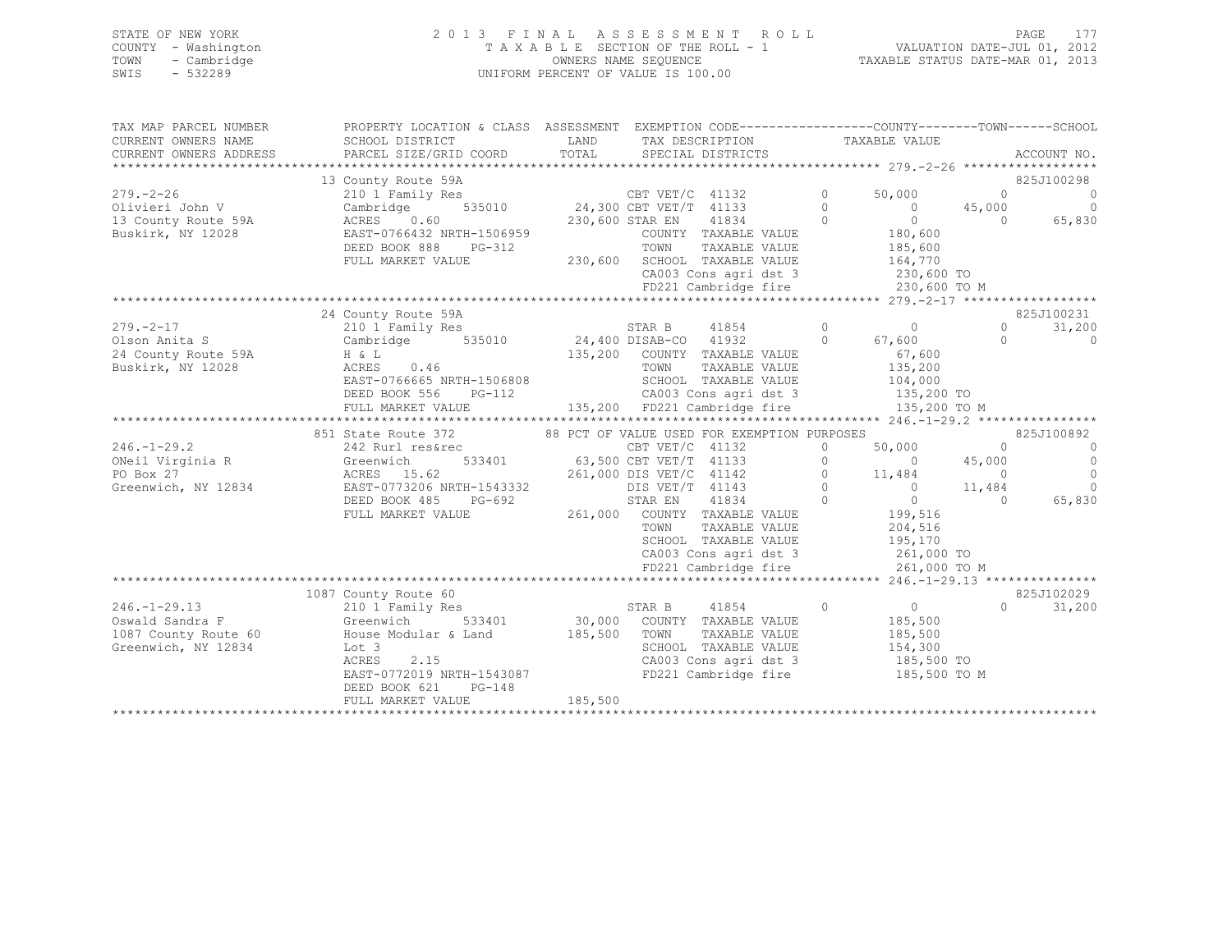|      | STATE OF NEW YORK   | 2013 FINAL ASSESSMENT ROLL                                     | <b>PAGE</b> |  |
|------|---------------------|----------------------------------------------------------------|-------------|--|
|      | COUNTY - Washington | VALUATION DATE-JUL 01, 2012<br>TAXABLE SECTION OF THE ROLL - 1 |             |  |
| TOWN | - Cambridge         | TAXABLE STATUS DATE-MAR 01, 2013<br>OWNERS NAME SEQUENCE       |             |  |
| SWIS | - 532289            | UNIFORM PERCENT OF VALUE IS 100.00                             |             |  |

| TAX MAP PARCEL NUMBER  | PROPERTY LOCATION & CLASS ASSESSMENT EXEMPTION CODE---------------COUNTY-------TOWN-----SCHOOL                                                                                                                             |         |                   |                                                                                                                 |                |                                                                                                 |            |                |
|------------------------|----------------------------------------------------------------------------------------------------------------------------------------------------------------------------------------------------------------------------|---------|-------------------|-----------------------------------------------------------------------------------------------------------------|----------------|-------------------------------------------------------------------------------------------------|------------|----------------|
| CURRENT OWNERS NAME    | SCHOOL DISTRICT                                                                                                                                                                                                            | LAND    | TAX DESCRIPTION   |                                                                                                                 |                | TAXABLE VALUE                                                                                   |            |                |
| CURRENT OWNERS ADDRESS | PARCEL SIZE/GRID COORD                                                                                                                                                                                                     | TOTAL   | SPECIAL DISTRICTS |                                                                                                                 |                |                                                                                                 |            | ACCOUNT NO.    |
|                        | 13 County Route 59A<br>210 1 Family Res<br>Cambridge 535010<br>24,300 CBT VET/T 41133 0<br>24,300 CBT VET/T 41133 0<br>24,300 CBT VET/T 41133 0<br>230,600 STAR EN 41834 0<br>COUNTY TAXABLE VALUE<br>COUNTY TAXABLE VALUE |         |                   |                                                                                                                 |                |                                                                                                 |            | 825J100298     |
| $279. - 2 - 26$        |                                                                                                                                                                                                                            |         |                   |                                                                                                                 |                | 50,000                                                                                          | $\bigcap$  | $\overline{0}$ |
| Olivieri John V        |                                                                                                                                                                                                                            |         |                   |                                                                                                                 |                |                                                                                                 | 45,000     | $\overline{0}$ |
| 13 County Route 59A    |                                                                                                                                                                                                                            |         |                   |                                                                                                                 |                | $\begin{matrix} 0 \\ 0 \end{matrix}$<br>$\overline{0}$                                          | $\bigcirc$ | 65,830         |
| Buskirk, NY 12028      | ACRES 0.00<br>EAST-0766432 NRTH-1506959<br>PC-312                                                                                                                                                                          |         |                   |                                                                                                                 |                |                                                                                                 |            |                |
|                        | DEED BOOK 888 PG-312                                                                                                                                                                                                       |         |                   |                                                                                                                 |                |                                                                                                 |            |                |
|                        | FULL MARKET VALUE                                                                                                                                                                                                          |         |                   | 506959 COUNTY TAXABLE VALUE 180,600<br>5-312 TOWN TAXABLE VALUE 185,600<br>230,600 SCHOOL TAXABLE VALUE 164,770 |                |                                                                                                 |            |                |
|                        |                                                                                                                                                                                                                            |         |                   | CA003 Cons agri dst 3 230,600 TO                                                                                |                |                                                                                                 |            |                |
|                        |                                                                                                                                                                                                                            |         |                   | FD221 Cambridge fire                                                                                            |                | 230,600 TO M                                                                                    |            |                |
|                        |                                                                                                                                                                                                                            |         |                   |                                                                                                                 |                |                                                                                                 |            |                |
|                        | 24 County Route 59A                                                                                                                                                                                                        |         |                   |                                                                                                                 |                |                                                                                                 |            | 825J100231     |
| $279. - 2 - 17$        | 210 1 Family Res                                                                                                                                                                                                           |         | STAR B 41854      |                                                                                                                 | $\overline{0}$ | $0 \qquad \qquad$                                                                               | $\circ$    | 31,200         |
| Olson Anita S          | 210 1 Family Res<br>Cambridge 535010 24,400 DISAB-CO 41932 0<br>הוא המשפחה המשפחה המשפחה המשפחה המשפחה המצאת המודרת המצאת המודרת המצ                                                                                       |         |                   |                                                                                                                 |                | 67,600                                                                                          | $\Omega$   | $\overline{0}$ |
| 24 County Route 59A    | $H \& L$<br>H & L<br>ACRES 0.46                                                                                                                                                                                            |         |                   | 135,200 COUNTY TAXABLE VALUE                                                                                    |                | 67,600                                                                                          |            |                |
| Buskirk, NY 12028      |                                                                                                                                                                                                                            |         | TOWN              | TAXABLE VALUE                                                                                                   |                | 135,200<br>104,000                                                                              |            |                |
|                        | EAST-0766665 NRTH-1506808                                                                                                                                                                                                  |         |                   | SCHOOL TAXABLE VALUE                                                                                            |                |                                                                                                 |            |                |
|                        | $PG-112$<br>DEED BOOK 556                                                                                                                                                                                                  |         |                   | CA003 Cons agri dst 3 135,200 TO                                                                                |                |                                                                                                 |            |                |
|                        | FULL MARKET VALUE                                                                                                                                                                                                          |         |                   | 135,200 FD221 Cambridge fire                                                                                    |                | 135,200 TO M                                                                                    |            |                |
|                        | 851 State Route 372                                                                                                                                                                                                        |         |                   | 88 PCT OF VALUE USED FOR EXEMPTION PURPOSES                                                                     |                |                                                                                                 |            | 825J100892     |
| $246. - 1 - 29.2$      | 242 Rurl res&rec                                                                                                                                                                                                           |         |                   |                                                                                                                 | $\circ$        | 50,000                                                                                          | $\bigcirc$ | $\overline{0}$ |
| ONeil Virginia R       | es&rec CBT VET/C 41132<br>533401 63,500 CBT VET/T 41133<br>Z42 Kuri I<br>Greenwich                                                                                                                                         |         |                   |                                                                                                                 |                | $0 \t 0 \t 45,000$                                                                              |            | $\overline{0}$ |
| PO Box 27              | ACRES 15.62<br>261,000 DIS VET/C 41142                                                                                                                                                                                     |         |                   |                                                                                                                 |                |                                                                                                 |            | $\bigcirc$     |
| Greenwich, NY 12834    |                                                                                                                                                                                                                            |         | DIS VET/T 41143   |                                                                                                                 |                |                                                                                                 |            | $\overline{0}$ |
|                        | EAST-0773206 NRTH-1543332<br>DEED BOOK 485 PG-692                                                                                                                                                                          |         | STAR EN 41834     |                                                                                                                 |                | $\begin{bmatrix} 0 & 11,484 & 0 \\ 0 & 0 & 11,484 \\ 0 & 0 & 11,484 \\ 0 & 0 & 0 \end{bmatrix}$ |            | 65,830         |
|                        | FULL MARKET VALUE                                                                                                                                                                                                          |         |                   | 261,000 COUNTY TAXABLE VALUE                                                                                    |                | 199,516                                                                                         |            |                |
|                        |                                                                                                                                                                                                                            |         | TOWN              | TAXABLE VALUE                                                                                                   |                |                                                                                                 |            |                |
|                        |                                                                                                                                                                                                                            |         |                   | SCHOOL TAXABLE VALUE                                                                                            |                | 204,516<br>195,170                                                                              |            |                |
|                        |                                                                                                                                                                                                                            |         |                   | CA003 Cons agri dst 3 261,000 TO                                                                                |                |                                                                                                 |            |                |
|                        |                                                                                                                                                                                                                            |         |                   | FD221 Cambridge fire 261,000 TO M                                                                               |                |                                                                                                 |            |                |
|                        |                                                                                                                                                                                                                            |         |                   |                                                                                                                 |                |                                                                                                 |            |                |
|                        | 1087 County Route 60                                                                                                                                                                                                       |         |                   |                                                                                                                 |                |                                                                                                 |            | 825J102029     |
| $246. - 1 - 29.13$     | 210 1 Family Res                                                                                                                                                                                                           |         |                   | STAR B 41854 0                                                                                                  |                | $0$<br>185,500                                                                                  | $\Omega$   | 31,200         |
| Oswald Sandra F        | 533401<br>Greenwich                                                                                                                                                                                                        |         |                   | 30,000 COUNTY TAXABLE VALUE                                                                                     |                |                                                                                                 |            |                |
| 1087 County Route 60   | House Modular & Land 185,500 TOWN                                                                                                                                                                                          |         |                   | TAXABLE VALUE                                                                                                   |                | 185,500                                                                                         |            |                |
| Greenwich, NY 12834    | Lot 3                                                                                                                                                                                                                      |         |                   | SCHOOL TAXABLE VALUE                                                                                            |                | 154,300<br>185,500 TO                                                                           |            |                |
|                        | 2.15<br>ACRES                                                                                                                                                                                                              |         |                   | CA003 Cons agri dst 3                                                                                           |                |                                                                                                 |            |                |
|                        | EAST-0772019 NRTH-1543087                                                                                                                                                                                                  |         |                   | FD221 Cambridge fire 185,500 TO M                                                                               |                |                                                                                                 |            |                |
|                        | DEED BOOK 621<br>$PG-148$<br>FULL MARKET VALUE                                                                                                                                                                             | 185,500 |                   |                                                                                                                 |                |                                                                                                 |            |                |
|                        |                                                                                                                                                                                                                            |         |                   |                                                                                                                 |                |                                                                                                 |            |                |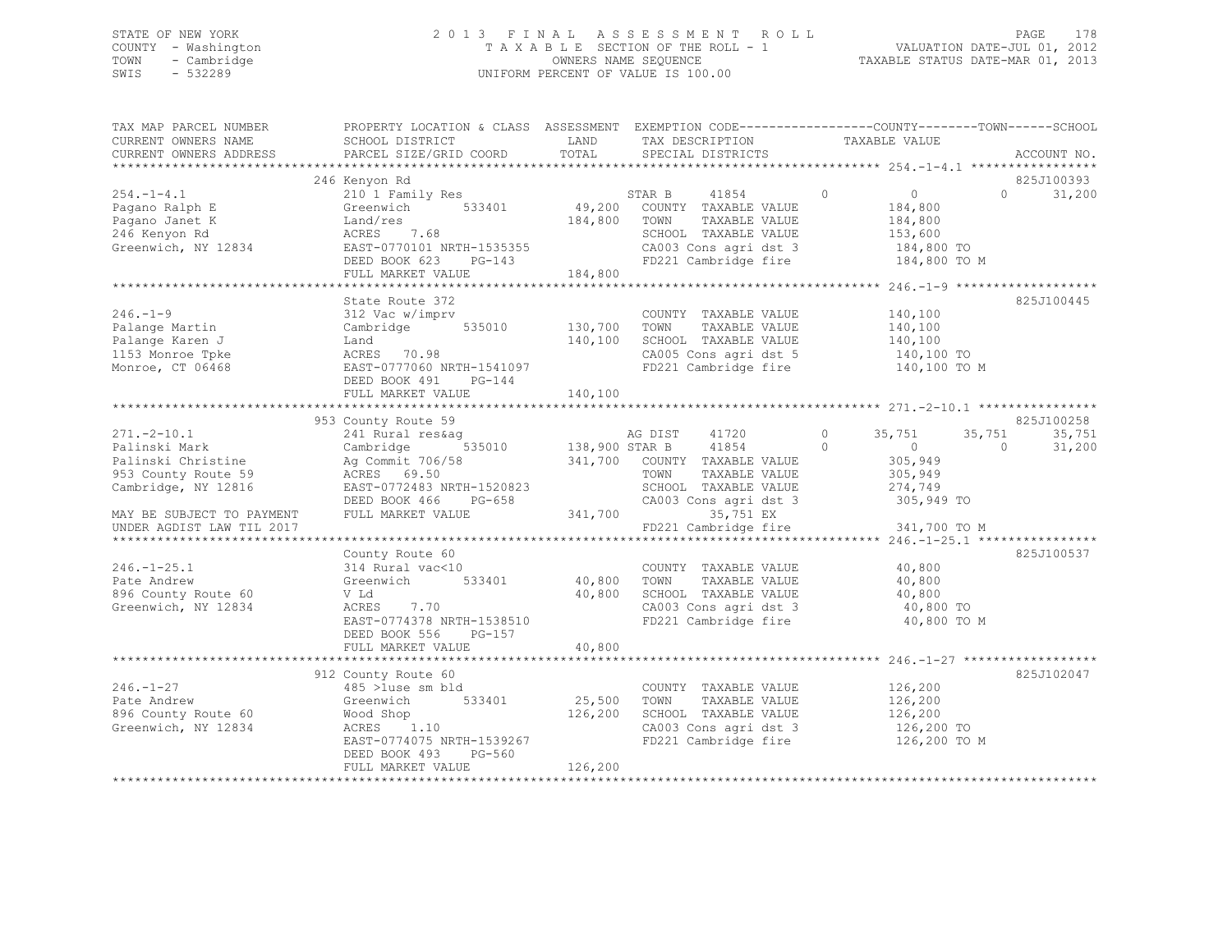# STATE OF NEW YORK<br>COUNTY - Washington 2012 2013 FINAL ASSESSMENT ROLL 2011<br>2012 2013 TAXABLE SECTION OF THE ROLL - 1 COUNTY - Washington T A X A B L E SECTION OF THE ROLL - 1<br>
TOWN - Cambridge T A VALUATION OWNERS NAME SEQUENCE TOWN - Cambridge OWNERS NAME SEQUENCE TAXABLE STATUS DATE-MAR 01, 2013 UNIFORM PERCENT OF VALUE IS 100.00

| TAX MAP PARCEL NUMBER     | PROPERTY LOCATION & CLASS ASSESSMENT EXEMPTION CODE----------------COUNTY-------TOWN------SCHOOL   |         |                                                                       |                           |                |             |
|---------------------------|----------------------------------------------------------------------------------------------------|---------|-----------------------------------------------------------------------|---------------------------|----------------|-------------|
| CURRENT OWNERS NAME       | SCHOOL DISTRICT                                                                                    | LAND    | TAX DESCRIPTION TAXABLE VALUE SPECIAL DISTRICTS                       |                           |                |             |
| CURRENT OWNERS ADDRESS    | PARCEL SIZE/GRID COORD                                                                             | TOTAL   | SPECIAL DISTRICTS                                                     |                           |                | ACCOUNT NO. |
|                           |                                                                                                    |         |                                                                       |                           |                |             |
|                           | 246 Kenyon Rd                                                                                      |         |                                                                       |                           |                | 825J100393  |
| 254.-1-4.1                | 210 1 Family Res                                                                                   |         |                                                                       | $\overline{0}$<br>$\circ$ | $\Omega$       | 31,200      |
| Pagano Ralph E            | 533401<br>Greenwich                                                                                |         | STAR B 41854<br>49,200 COUNTY TAXABLE VALUE                           | 184,800                   |                |             |
| Pagano Janet K            | Land/res                                                                                           | 184,800 | TOWN<br>TAXABLE VALUE                                                 |                           |                |             |
| 246 Kenyon Rd             | ACRES 7.68                                                                                         |         | SCHOOL TAXABLE VALUE                                                  | 184,800<br>153,600        |                |             |
|                           | EAST-0770101 NRTH-1535355<br>DEED BOOK 623 PG-143<br>Greenwich, NY 12834 EAST-0770101 NRTH-1535355 |         |                                                                       |                           |                |             |
|                           |                                                                                                    |         | CA003 Cons agri dst 3 184,800 TO<br>FD221 Cambridge fire 184,800 TO M |                           |                |             |
|                           | FULL MARKET VALUE                                                                                  | 184,800 |                                                                       |                           |                |             |
|                           |                                                                                                    |         |                                                                       |                           |                |             |
|                           | State Route 372                                                                                    |         |                                                                       |                           |                | 825J100445  |
| $246. - 1 - 9$            | 312 Vac w/imprv                                                                                    |         | COUNTY TAXABLE VALUE                                                  | 140,100                   |                |             |
| Palange Martin            | $535010$ $130,700$<br>Cambridge                                                                    |         | TAXABLE VALUE<br>TOWN                                                 | 140,100                   |                |             |
| Palange Karen J           | Land                                                                                               | 140,100 | SCHOOL TAXABLE VALUE                                                  | 140,100                   |                |             |
| 1153 Monroe Tpke          | ACRES 70.98                                                                                        |         | CA005 Cons agri dst 5 140,100 TO                                      |                           |                |             |
| Monroe, CT 06468          | AUKES 70.98<br>EAST-0777060 NRTH-1541097                                                           |         | FD221 Cambridge fire                                                  |                           | 140,100 TO M   |             |
|                           | DEED BOOK 491<br>$PG-144$                                                                          |         |                                                                       |                           |                |             |
|                           |                                                                                                    |         |                                                                       |                           |                |             |
|                           |                                                                                                    |         |                                                                       |                           |                |             |
|                           | 953 County Route 59                                                                                |         |                                                                       |                           |                | 825J100258  |
| $271. - 2 - 10.1$         | 241 Rural res&aq                                                                                   |         |                                                                       | 35,751                    | 35,751         | 35,751      |
| Palinski Mark             | Cambridge                                                                                          |         |                                                                       | $\sim$ 0                  | $\overline{0}$ | 31,200      |
|                           |                                                                                                    |         | 341,700 COUNTY TAXABLE VALUE                                          | 305,949                   |                |             |
|                           |                                                                                                    |         | TOWN<br>TAXABLE VALUE                                                 | 305,949                   |                |             |
|                           |                                                                                                    |         | SCHOOL TAXABLE VALUE                                                  |                           |                |             |
| Cambridge, NY 12816       | EAST-0772483 NRTH-1520823<br>DEED BOOK 466 PG-658                                                  |         |                                                                       | 274,749<br>305,949 TO     |                |             |
| MAY BE SUBJECT TO PAYMENT | FULL MARKET VALUE                                                                                  | 341,700 | CA003 Cons agri dst 3                                                 |                           |                |             |
|                           |                                                                                                    |         | 35,751 EX                                                             |                           |                |             |
| UNDER AGDIST LAW TIL 2017 |                                                                                                    |         | FD221 Cambridge fire                                                  |                           | 341,700 TO M   |             |
|                           |                                                                                                    |         |                                                                       |                           |                |             |
|                           | County Route 60                                                                                    |         |                                                                       |                           |                | 825J100537  |
| $246. - 1 - 25.1$         | 314 Rural vac<10                                                                                   |         | COUNTY TAXABLE VALUE 40,800                                           |                           |                |             |
| Pate Andrew               | Greenwich 533401                                                                                   |         | 40,800 TOWN<br>TAXABLE VALUE                                          | 40,800                    |                |             |
| 896 County Route 60       | V Ld                                                                                               | 40,800  | SCHOOL TAXABLE VALUE 40,800                                           |                           |                |             |
| Greenwich, NY 12834       | ACRES 7.70                                                                                         |         | CA003 Cons agri dst 3<br>FD221 Cambridge fire                         | 40,800 TO                 |                |             |
|                           | EAST-0774378 NRTH-1538510                                                                          |         |                                                                       |                           | 40,800 TO M    |             |
|                           | DEED BOOK 556<br>PG-157                                                                            |         |                                                                       |                           |                |             |
|                           | FULL MARKET VALUE                                                                                  | 40,800  |                                                                       |                           |                |             |
|                           |                                                                                                    |         |                                                                       |                           |                |             |
|                           | 912 County Route 60                                                                                |         |                                                                       |                           |                | 825J102047  |
| $246. - 1 - 27$           | 485 >luse sm bld                                                                                   |         | COUNTY TAXABLE VALUE                                                  | 126,200                   |                |             |
| Pate Andrew               | 533401<br>Greenwich                                                                                | 25,500  | TOWN<br>TAXABLE VALUE                                                 | 126,200                   |                |             |
| 896 County Route 60       | Wood Shop<br>1.10                                                                                  | 126,200 | SCHOOL TAXABLE VALUE<br>CA003 Cons agri dst 3                         | 126,200                   |                |             |
| Greenwich, NY 12834       | ACRES                                                                                              |         |                                                                       | $126,200$ TO              |                |             |
|                           | EAST-0774075 NRTH-1539267                                                                          |         | FD221 Cambridge fire                                                  |                           | 126,200 TO M   |             |
|                           | DEED BOOK 493<br>PG-560                                                                            |         |                                                                       |                           |                |             |
|                           | FULL MARKET VALUE                                                                                  | 126,200 |                                                                       |                           |                |             |
|                           |                                                                                                    |         |                                                                       |                           |                |             |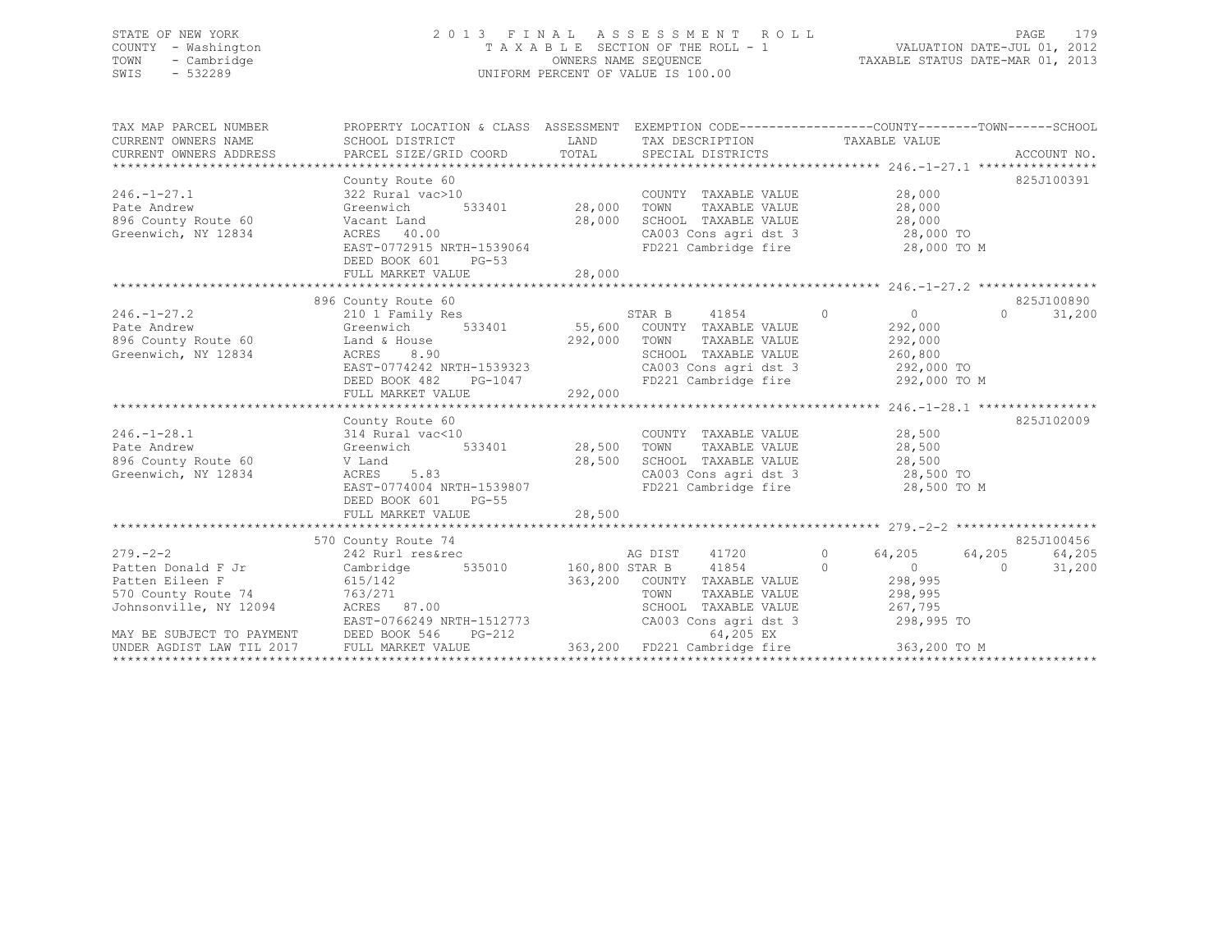## STATE OF NEW YORK 2 0 1 3 F I N A L A S S E S S M E N T R O L L PAGE 179 COUNTY - Washington T A X A B L E SECTION OF THE ROLL - 1 VALUATION DATE-JUL 01, 2012 TOWN - Cambridge OWNERS NAME SEQUENCE TAXABLE STATUS DATE-MAR 01, 2013 SWIS - 532289 UNIFORM PERCENT OF VALUE IS 100.00

| TAX MAP PARCEL NUMBER                                                                                                                                                                                           | PROPERTY LOCATION & CLASS ASSESSMENT EXEMPTION CODE---------------COUNTY-------TOWN-----SCHOOL                                                                                                                                           |        |                                                                                                          |                       |                    |
|-----------------------------------------------------------------------------------------------------------------------------------------------------------------------------------------------------------------|------------------------------------------------------------------------------------------------------------------------------------------------------------------------------------------------------------------------------------------|--------|----------------------------------------------------------------------------------------------------------|-----------------------|--------------------|
|                                                                                                                                                                                                                 |                                                                                                                                                                                                                                          |        |                                                                                                          |                       |                    |
|                                                                                                                                                                                                                 |                                                                                                                                                                                                                                          |        |                                                                                                          |                       |                    |
|                                                                                                                                                                                                                 | County Route 60<br>322 Rural vac>10<br>Greenwich 533401 28,000 TOWN TAXABLE VALUE 28,000<br>Vacant Land 28,000 SCHOOL TAXABLE VALUE 28,000<br>ACRES 40.00 CA003 Cons agri dst 3 28,000 TO<br>TARES 40.00 CA003 Cons agri dst 3 28,000 TO |        |                                                                                                          |                       | 825J100391         |
| $246. - 1 - 27.1$                                                                                                                                                                                               | 322 Rural vac>10                                                                                                                                                                                                                         |        |                                                                                                          |                       |                    |
| Pate Andrew                                                                                                                                                                                                     | Greenwich<br>Vacant Land<br>ACRES 40.0                                                                                                                                                                                                   |        |                                                                                                          |                       |                    |
| 896 County Route 60                                                                                                                                                                                             |                                                                                                                                                                                                                                          |        |                                                                                                          |                       |                    |
| Greenwich, NY 12834                                                                                                                                                                                             |                                                                                                                                                                                                                                          |        |                                                                                                          |                       |                    |
|                                                                                                                                                                                                                 |                                                                                                                                                                                                                                          |        |                                                                                                          |                       |                    |
|                                                                                                                                                                                                                 |                                                                                                                                                                                                                                          |        |                                                                                                          |                       |                    |
|                                                                                                                                                                                                                 |                                                                                                                                                                                                                                          |        |                                                                                                          |                       |                    |
|                                                                                                                                                                                                                 |                                                                                                                                                                                                                                          |        |                                                                                                          |                       |                    |
|                                                                                                                                                                                                                 | 896 County Route 60                                                                                                                                                                                                                      |        |                                                                                                          |                       | 825J100890         |
| $246. - 1 - 27.2$                                                                                                                                                                                               | obo Country Route to the STAR B 41854 (and the STAR B 41854 (and the STAR B 41854 (and the STAR B 292,000 (and STAR B 41854 (and the STAR B 41854 (and the STAR B 41854 (and the STAR B $\sim$ 292,000 (and the STAR B 41854 (an         |        |                                                                                                          |                       | $\Omega$<br>31,200 |
| Pate Andrew                                                                                                                                                                                                     |                                                                                                                                                                                                                                          |        |                                                                                                          |                       |                    |
| 896 County Route 60 Land & House                                                                                                                                                                                |                                                                                                                                                                                                                                          |        | 292,000 TOWN TAXABLE VALUE 292,000                                                                       |                       |                    |
| Greenwich, NY 12834                                                                                                                                                                                             |                                                                                                                                                                                                                                          |        | SCHOOL TAXABLE VALUE 260,800                                                                             |                       |                    |
|                                                                                                                                                                                                                 |                                                                                                                                                                                                                                          |        | CA003 Cons agri dst 3 292,000 TO                                                                         |                       |                    |
|                                                                                                                                                                                                                 | ACRES 8.90<br>EAST-0774242 NRTH-1539323<br>DEED BOOK 482 PG-1047<br>FULL MARKET VALUE 292,000                                                                                                                                            |        | FD221 Cambridge fire                                                                                     | 292,000 TO M          |                    |
|                                                                                                                                                                                                                 |                                                                                                                                                                                                                                          |        |                                                                                                          |                       |                    |
|                                                                                                                                                                                                                 | County Route 60                                                                                                                                                                                                                          |        |                                                                                                          |                       | 825J102009         |
| $246. - 1 - 28.1$                                                                                                                                                                                               | 314 Rural vac<10                                                                                                                                                                                                                         |        | COUNTY TAXABLE VALUE 28,500                                                                              |                       |                    |
| Pate Andrew                                                                                                                                                                                                     | 533401 28,500<br>Greenwich                                                                                                                                                                                                               |        | TOWN                                                                                                     |                       |                    |
| 896 County Route 60                                                                                                                                                                                             | V Land                                                                                                                                                                                                                                   |        |                                                                                                          | TAXABLE VALUE 28,500  |                    |
| Greenwich, NY 12834                                                                                                                                                                                             | ACRES 5.83                                                                                                                                                                                                                               | 28,500 | SCHOOL TAXABLE VALUE $28,500$<br>CA003 Cons agri dst 3 $28,500$ TO<br>FD221 Cambridge fire $28,500$ TO M |                       |                    |
|                                                                                                                                                                                                                 | EAST-0774004 NRTH-1539807                                                                                                                                                                                                                |        |                                                                                                          |                       |                    |
|                                                                                                                                                                                                                 | DEED BOOK 601 PG-55                                                                                                                                                                                                                      |        |                                                                                                          |                       |                    |
|                                                                                                                                                                                                                 |                                                                                                                                                                                                                                          |        |                                                                                                          |                       |                    |
|                                                                                                                                                                                                                 |                                                                                                                                                                                                                                          |        |                                                                                                          |                       |                    |
|                                                                                                                                                                                                                 | 570 County Route 74                                                                                                                                                                                                                      |        |                                                                                                          |                       | 825J100456         |
|                                                                                                                                                                                                                 |                                                                                                                                                                                                                                          |        |                                                                                                          | 64,205 64,205         | 64,205             |
|                                                                                                                                                                                                                 |                                                                                                                                                                                                                                          |        |                                                                                                          |                       | 31,200             |
| Patten Eileen F                                                                                                                                                                                                 | 615/142                                                                                                                                                                                                                                  |        | 363,200 COUNTY TAXABLE VALUE 298,995                                                                     |                       |                    |
| Johnsonville, NY 12094<br>Johnsonville, NY 12094<br>The Consense of the MCRES 87.00                                                                                                                             |                                                                                                                                                                                                                                          |        | TOWN                                                                                                     | TAXABLE VALUE 298,995 |                    |
|                                                                                                                                                                                                                 |                                                                                                                                                                                                                                          |        | SCHOOL TAXABLE VALUE 267,795                                                                             |                       |                    |
|                                                                                                                                                                                                                 |                                                                                                                                                                                                                                          |        | CA003 Cons agri dst 3                                                                                    |                       |                    |
| EAST-0766249 NRTH-1512773 CA003 Cons agri dst 3 298,995 TO<br>MAY BE SUBJECT TO PAYMENT DEED BOOK 546 PG-212 64,205 EX<br>UNDER AGDIST LAW TIL 2017 FULL MARKET VALUE 363,200 FD221 Cambridge fire 363,200 TO M |                                                                                                                                                                                                                                          |        |                                                                                                          |                       |                    |
|                                                                                                                                                                                                                 |                                                                                                                                                                                                                                          |        |                                                                                                          |                       |                    |
|                                                                                                                                                                                                                 |                                                                                                                                                                                                                                          |        |                                                                                                          |                       |                    |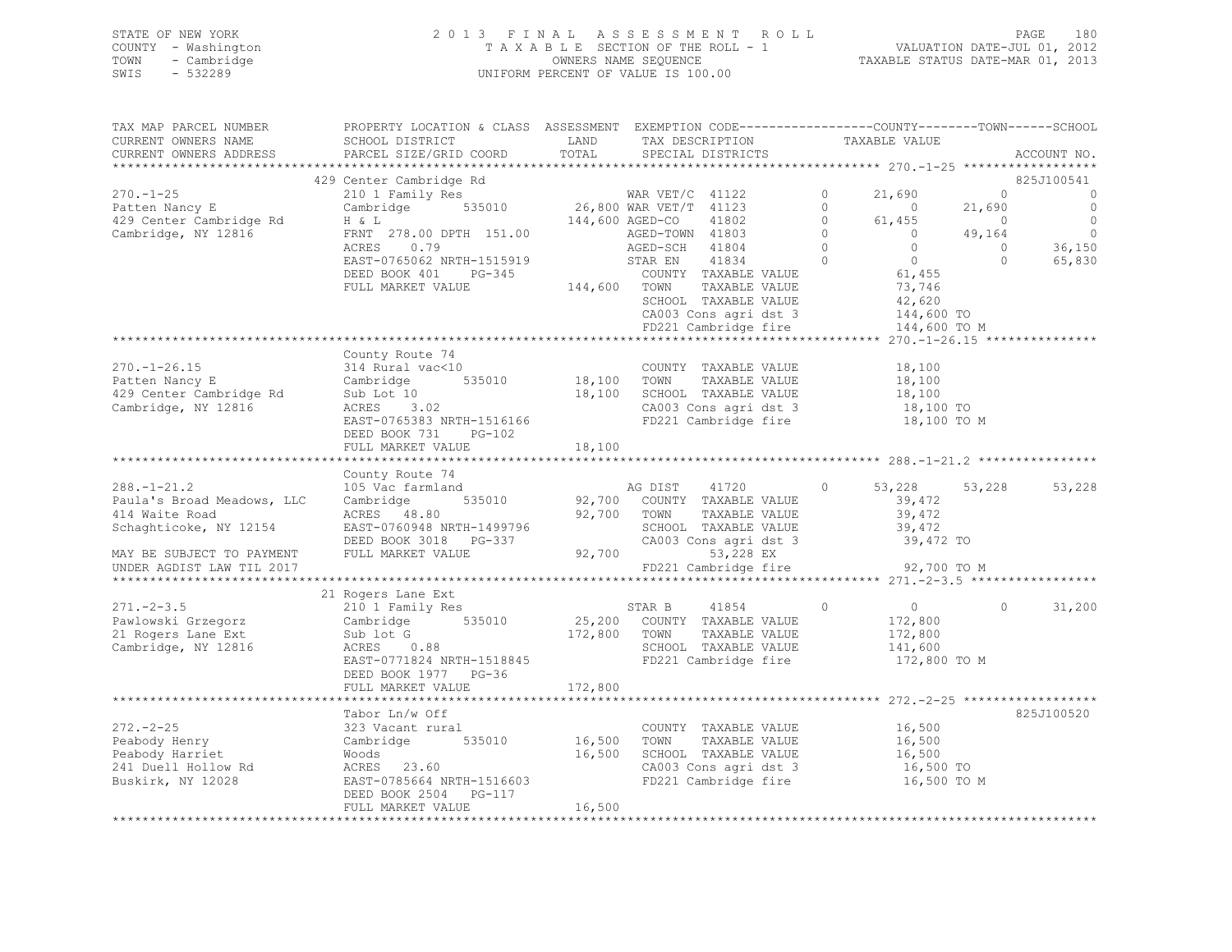## STATE OF NEW YORK 2 0 1 3 F I N A L A S S E S S M E N T R O L L PAGE 180 COUNTY - Washington T A X A B L E SECTION OF THE ROLL - 1 VALUATION DATE-JUL 01, 2012 TOWN - Cambridge OWNERS NAME SEQUENCE TAXABLE STATUS DATE-MAR 01, 2013 SWIS - 532289 UNIFORM PERCENT OF VALUE IS 100.00

| TAX MAP PARCEL NUMBER<br>CURRENT OWNERS NAME<br>CURRENT OWNERS ADDRESS                 | PROPERTY LOCATION & CLASS ASSESSMENT EXEMPTION CODE---------------COUNTY-------TOWN------SCHOOL<br>SCHOOL DISTRICT<br>PARCEL SIZE/GRID COORD                                                                                                                                                                                                                                                                                                                                                                                                                                                                                                                                                             | LAND<br>TOTAL           | TAX DESCRIPTION<br>SPECIAL DISTRICTS                                                                           | TAXABLE VALUE                                                                          |                                                        | ACCOUNT NO.                                              |
|----------------------------------------------------------------------------------------|----------------------------------------------------------------------------------------------------------------------------------------------------------------------------------------------------------------------------------------------------------------------------------------------------------------------------------------------------------------------------------------------------------------------------------------------------------------------------------------------------------------------------------------------------------------------------------------------------------------------------------------------------------------------------------------------------------|-------------------------|----------------------------------------------------------------------------------------------------------------|----------------------------------------------------------------------------------------|--------------------------------------------------------|----------------------------------------------------------|
|                                                                                        |                                                                                                                                                                                                                                                                                                                                                                                                                                                                                                                                                                                                                                                                                                          |                         |                                                                                                                |                                                                                        |                                                        |                                                          |
| $270. - 1 - 25$<br>Patten Nancy E                                                      | 429 Center Cambridge Rd<br>210 1 Family Res MAR VET/C 41122<br>Cambridge 535010 26,800 WAR VET/T 41123<br>H & L 144,600 AGED-CO 41802                                                                                                                                                                                                                                                                                                                                                                                                                                                                                                                                                                    |                         |                                                                                                                | 21,690<br>$\circ$<br>$\Omega$<br>$\sim$ 0                                              | $\circ$<br>21,690                                      | 825J100541<br>$\overline{0}$<br>$\overline{\phantom{0}}$ |
| 429 Center Cambridge Rd<br>Cambridge, NY 12816                                         | FRNT 278.00 DPTH 151.00<br>ACRES 0.79<br>EAST-0765062 NRTH-1515919                                                                                                                                                                                                                                                                                                                                                                                                                                                                                                                                                                                                                                       |                         | AGED-TOWN 41803<br>AGED-SCH 41804<br>STAR EN 41834                                                             | $\Omega$<br>61,455<br>$\Omega$<br>$\overline{0}$<br>$\Omega$<br>$\bigcirc$<br>$\Omega$ | $\overline{0}$<br>49,164<br>$\overline{0}$<br>$\Omega$ | $\overline{0}$<br>$\overline{0}$<br>36,150<br>65,830     |
|                                                                                        | DEED BOOK 401 PG-345<br>FULL MARKET VALUE                                                                                                                                                                                                                                                                                                                                                                                                                                                                                                                                                                                                                                                                | 144,600 TOWN            | COUNTY TAXABLE VALUE<br>TAXABLE VALUE<br>SCHOOL TAXABLE VALUE<br>CA003 Cons agri dst 3<br>FD221 Cambridge fire | $61,455$<br>$-2,746$<br>73,746<br>42,620<br>144,600 TO<br>144,600 TO M                 |                                                        |                                                          |
|                                                                                        |                                                                                                                                                                                                                                                                                                                                                                                                                                                                                                                                                                                                                                                                                                          |                         |                                                                                                                |                                                                                        |                                                        |                                                          |
| $270. - 1 - 26.15$<br>Patten Nancy E<br>429 Center Cambridge Rd<br>Cambridge, NY 12816 | County Route 74<br>314 Rural vac<10<br>Cambridge 535010 18,100 TOWN TAXABLE VALUE<br>Sub Lot 10 18,100 SCHOOL TAXABLE VALUE<br>Sub Lot 10<br>$\begin{array}{ll}\n\text{Juv} & \text{hot} & 10 \\ \text{ACRES} & 3.02 \\ \text{F2CT} & \text{S} & 3\n\end{array}$<br>EAST-0765383 NRTH-1516166<br>DEED BOOK 731 PG-102                                                                                                                                                                                                                                                                                                                                                                                    |                         | COUNTY TAXABLE VALUE<br>SCHOOL TAXABLE VALUE<br>CA003 Cons agri dst 3<br>FD221 Cambridge fire 18,100 TO M      | 18,100<br>18,100<br>18,100<br>18,100 TO                                                |                                                        |                                                          |
|                                                                                        | FULL MARKET VALUE                                                                                                                                                                                                                                                                                                                                                                                                                                                                                                                                                                                                                                                                                        | 18, 100                 |                                                                                                                |                                                                                        |                                                        |                                                          |
|                                                                                        |                                                                                                                                                                                                                                                                                                                                                                                                                                                                                                                                                                                                                                                                                                          |                         |                                                                                                                |                                                                                        |                                                        |                                                          |
| $288. - 1 - 21.2$                                                                      | County Route 74<br>105 Vac farmland                                                                                                                                                                                                                                                                                                                                                                                                                                                                                                                                                                                                                                                                      |                         | AG DIST 41720                                                                                                  | $\Omega$<br>53,228                                                                     | 53,228                                                 | 53,228                                                   |
| Paula's Broad Meadows, LLC<br>414 Waite Road<br>Schaghticoke, NY 12154                 | Cambridge<br>535010<br>ACRES 48.80<br>EAST-0760948 NRTH-1499796<br>DEED BOOK 3018 PG-337 CA003 CC<br>FULL MARKET VALUE 92,700                                                                                                                                                                                                                                                                                                                                                                                                                                                                                                                                                                            |                         | 92,700 COUNTY TAXABLE VALUE<br>TAXABLE VALUE<br>SCHOOL TAXABLE VALUE<br>CA003 Cons agri dst 3                  | 39,472<br>39,472<br>39,472<br>39,472 TO                                                |                                                        |                                                          |
| MAY BE SUBJECT TO PAYMENT                                                              |                                                                                                                                                                                                                                                                                                                                                                                                                                                                                                                                                                                                                                                                                                          |                         | 53,228 EX                                                                                                      |                                                                                        |                                                        |                                                          |
| UNDER AGDIST LAW TIL 2017                                                              |                                                                                                                                                                                                                                                                                                                                                                                                                                                                                                                                                                                                                                                                                                          |                         | FD221 Cambridge fire                                                                                           | 92,700 TO M                                                                            |                                                        |                                                          |
|                                                                                        | 21 Rogers Lane Ext                                                                                                                                                                                                                                                                                                                                                                                                                                                                                                                                                                                                                                                                                       |                         |                                                                                                                |                                                                                        |                                                        |                                                          |
| $271. - 2 - 3.5$<br>Pawlowski Grzegorz<br>21 Rogers Lane Ext<br>Cambridge, NY 12816    | $\begin{tabular}{lllllllllll} 210 & I Family Res & & & \multicolumn{2}{c }{\small\texttt{STAR}} & B & & \multicolumn{2}{c }{\small\texttt{41854}} & & \multicolumn{2}{c }{\small\texttt{Cambridge}} & & \multicolumn{2}{c }{\small\texttt{535010}} & & & \multicolumn{2}{c }{\small\texttt{535010}} & & & \multicolumn{2}{c }{\small\texttt{535010}} & & & \multicolumn{2}{c }{\small\texttt{535010}} & & & \multicolumn{2}{c }{\small\texttt{53501$<br>$\begin{array}{cccc}\n\text{sub} & \text{tot} & \text{COUNT} \\ \text{sub} & \text{tot} & \text{172,800} & \text{TOWN} \\ \text{RRES} & 0.88 & & & & & \\ \end{array}$<br>EAST-0771824 NRTH-1518845<br>DEED BOOK 1977 PG-36<br>FULL MARKET VALUE | 172,800                 | TAXABLE VALUE<br>SCHOOL TAXABLE VALUE<br>FD221 Cambridge fire                                                  | $\circ$<br>$\overline{0}$<br>172,800<br>172,800<br>141,600<br>172,800 TO M             | $\circ$                                                | 31,200                                                   |
|                                                                                        |                                                                                                                                                                                                                                                                                                                                                                                                                                                                                                                                                                                                                                                                                                          |                         |                                                                                                                |                                                                                        |                                                        |                                                          |
|                                                                                        | Tabor Ln/w Off                                                                                                                                                                                                                                                                                                                                                                                                                                                                                                                                                                                                                                                                                           |                         |                                                                                                                |                                                                                        |                                                        | 825J100520                                               |
| $272 - 2 - 25$<br>Peabody Henry<br>Peabody Harriet                                     | 323 Vacant rural<br>szs vacanc rara<br>Cambridge<br>Woods<br>Woods<br>DEED BOOK 2504    PG-117                                                                                                                                                                                                                                                                                                                                                                                                                                                                                                                                                                                                           | 535010 16,500<br>16,500 | COUNTY TAXABLE VALUE<br>TOWN<br>SCHOOL TAXABLE VALUE<br>CA003 Cons agri dst 3<br>FD221 Cambridge fire          | 16,500<br>TAXABLE VALUE 16,500<br>TAXABLE VALUE 16,500<br>16,500 TO<br>16,500 TO M     |                                                        |                                                          |
|                                                                                        | FULL MARKET VALUE                                                                                                                                                                                                                                                                                                                                                                                                                                                                                                                                                                                                                                                                                        | 16,500                  |                                                                                                                |                                                                                        |                                                        |                                                          |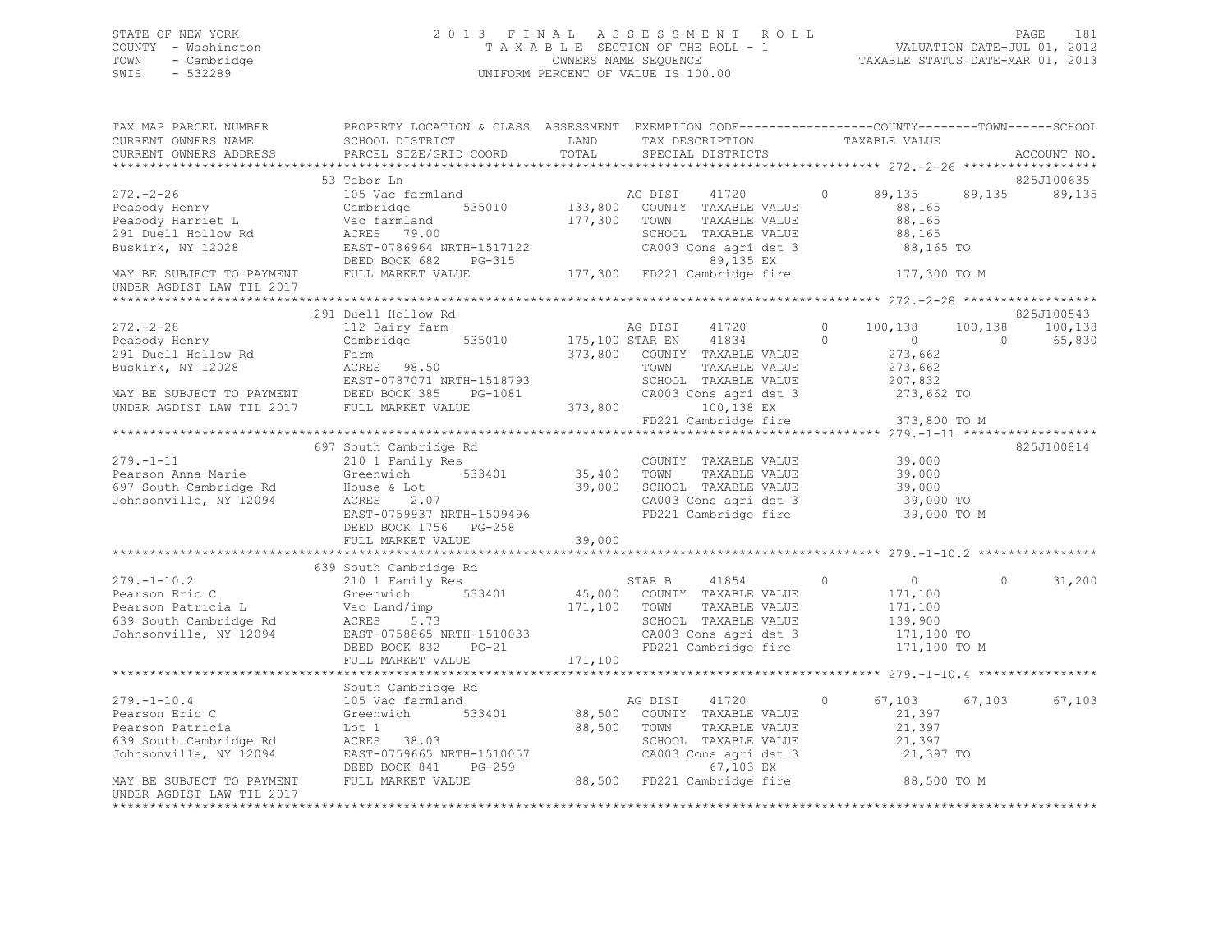## STATE OF NEW YORK 2 0 1 3 F I N A L A S S E S S M E N T R O L L PAGE 181 COUNTY - Washington T A X A B L E SECTION OF THE ROLL - 1 VALUATION DATE-JUL 01, 2012 TOWN - Cambridge OWNERS NAME SEQUENCE TAXABLE STATUS DATE-MAR 01, 2013 SWIS - 532289 UNIFORM PERCENT OF VALUE IS 100.00

| TAX MAP PARCEL NUMBER<br>CURRENT OWNERS NAME<br>CURRENT OWNERS ADDRESS   | PARCEL SIZE/GRID COORD                                                                                                                                                                                                                                                                                                                                                               | TOTAL  | SPECIAL DISTRICTS                |  |        | ACCOUNT NO.          |
|--------------------------------------------------------------------------|--------------------------------------------------------------------------------------------------------------------------------------------------------------------------------------------------------------------------------------------------------------------------------------------------------------------------------------------------------------------------------------|--------|----------------------------------|--|--------|----------------------|
|                                                                          |                                                                                                                                                                                                                                                                                                                                                                                      |        |                                  |  |        |                      |
|                                                                          | 53 Tabor Ln<br>33 Tabor Ln<br>272.-2-26 53 Tabor Ln<br>291 Duell Hollow Rd<br>291 Duell Hollow Rd<br>291 Duell Hollow Rd<br>291 Duell Hollow Rd<br>291 Duell Hollow Rd<br>291 Duell Hollow Rd<br>291 Duell Hollow Rd<br>291 Duell Hollow Rd<br>291 Duell Hollow R                                                                                                                    |        |                                  |  |        | 825J100635<br>89,135 |
| MAY BE SUBJECT TO PAYMENT FULL MARKET VALUE<br>UNDER AGDIST LAW TIL 2017 |                                                                                                                                                                                                                                                                                                                                                                                      |        |                                  |  |        |                      |
|                                                                          |                                                                                                                                                                                                                                                                                                                                                                                      |        |                                  |  |        |                      |
|                                                                          | 291 Duell Hollow Rd                                                                                                                                                                                                                                                                                                                                                                  |        |                                  |  |        | 825J100543           |
|                                                                          |                                                                                                                                                                                                                                                                                                                                                                                      |        |                                  |  |        |                      |
|                                                                          |                                                                                                                                                                                                                                                                                                                                                                                      |        |                                  |  |        |                      |
|                                                                          | 697 South Cambridge Rd<br>279.-1-11 037 SOULH Callbridge Rd<br>210 1 Fearson Anna Marie 210 1 Family Res<br>697 South Cambridge Rd House & Lot<br>39,000 39,000 SCHOOL TAXABLE VALUE 39,000<br>39,000 TOWN TAXABLE VALUE 39,000<br>39,000 TO 21 CA003 Cons agri ds<br>ACKES 2.07<br>EAST-0759937 NRTH-1509496<br>DEED POOK 1756 DG 050<br>DEED BOOK 1756 PG-258<br>FULL MARKET VALUE | 39,000 | FD221 Cambridge fire 39,000 TO M |  |        | 825J100814           |
|                                                                          | 639 South Cambridge Rd                                                                                                                                                                                                                                                                                                                                                               |        |                                  |  |        | 31,200               |
|                                                                          |                                                                                                                                                                                                                                                                                                                                                                                      |        |                                  |  |        |                      |
|                                                                          |                                                                                                                                                                                                                                                                                                                                                                                      |        |                                  |  | 67,103 | 67,103               |
| UNDER AGDIST LAW TIL 2017                                                |                                                                                                                                                                                                                                                                                                                                                                                      |        |                                  |  |        |                      |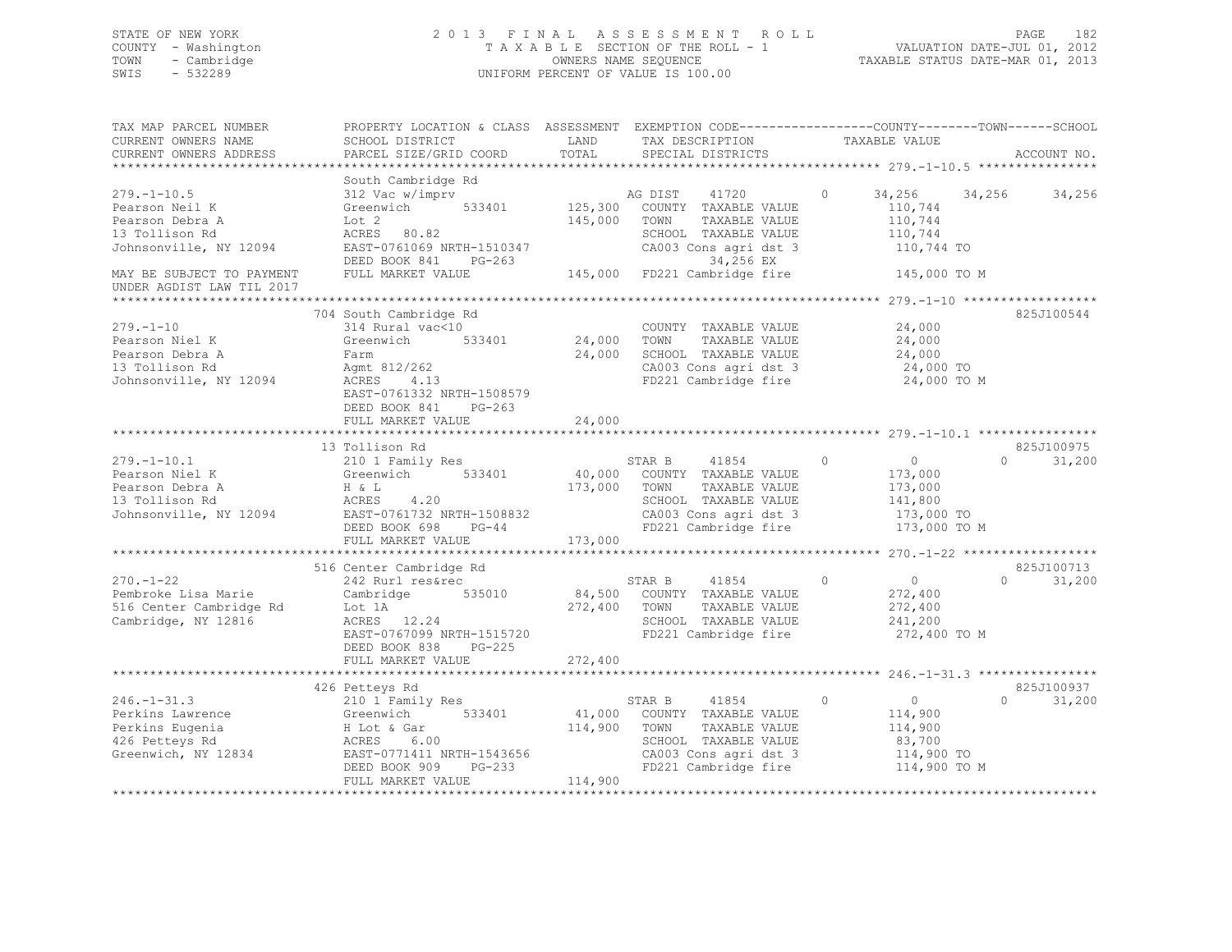## STATE OF NEW YORK 2 0 1 3 F I N A L A S S E S S M E N T R O L L PAGE 182 COUNTY - Washington T A X A B L E SECTION OF THE ROLL - 1 VALUATION DATE-JUL 01, 2012 TOWN - Cambridge OWNERS NAME SEQUENCE TAXABLE STATUS DATE-MAR 01, 2013 SWIS - 532289 UNIFORM PERCENT OF VALUE IS 100.00

| TAX MAP PARCEL NUMBER<br>CURRENT OWNERS NAME<br>CURRENT OWNERS ADDRESS                                                          | PROPERTY LOCATION & CLASS ASSESSMENT EXEMPTION CODE----------------COUNTY-------TOWN------SCHOOL<br>SCHOOL DISTRICT<br>PARCEL SIZE/GRID COORD                                               | LAND<br>TOTAL                | TAX DESCRIPTION<br>SPECIAL DISTRICTS                                                                                                                                         | TAXABLE VALUE                                                                                   | ACCOUNT NO.                      |
|---------------------------------------------------------------------------------------------------------------------------------|---------------------------------------------------------------------------------------------------------------------------------------------------------------------------------------------|------------------------------|------------------------------------------------------------------------------------------------------------------------------------------------------------------------------|-------------------------------------------------------------------------------------------------|----------------------------------|
|                                                                                                                                 |                                                                                                                                                                                             |                              |                                                                                                                                                                              |                                                                                                 |                                  |
| $279. - 1 - 10.5$<br>Pearson Neil K<br>Pearson Debra A<br>13 Tollison Rd<br>Johnsonville, NY 12094<br>MAY BE SUBJECT TO PAYMENT | South Cambridge Rd<br>312 Vac w/imprv<br>533401<br>Greenwich<br>Lot 2<br>ACRES 80.82<br>EAST-0761069 NRTH-1510347<br>DEED BOOK 841<br>$PG-263$<br>FULL MARKET VALUE                         | 125,300<br>145,000           | AG DIST<br>41720<br>COUNTY TAXABLE VALUE<br>TAXABLE VALUE<br>TOWN<br>SCHOOL TAXABLE VALUE<br>CA003 Cons agri dst 3<br>34,256 EX<br>145,000 FD221 Cambridge fire 145,000 TO M | $\circ$<br>34,256<br>110,744<br>110,744<br>110,744<br>110,744 TO                                | 34,256<br>34,256                 |
| UNDER AGDIST LAW TIL 2017                                                                                                       |                                                                                                                                                                                             |                              |                                                                                                                                                                              |                                                                                                 |                                  |
| $279. - 1 - 10$<br>Pearson Niel K<br>Pearson Debra A<br>13 Tollison Rd<br>Johnsonville, NY 12094                                | 704 South Cambridge Rd<br>314 Rural vac<10<br>Greenwich<br>533401<br>Farm<br>Agmt 812/262<br>ACRES 4.13<br>ACRES 4.13<br>EAST-0761332 NRTH-1508579<br>DEED BOOK 841<br>$PG-263$             | 24,000<br>24,000             | COUNTY TAXABLE VALUE<br>TAXABLE VALUE<br>TOWN<br>SCHOOL TAXABLE VALUE<br>CA003 Cons agri dst 3<br>FD221 Cambridge fire                                                       | 24,000<br>24,000<br>24,000<br>24,000 TO<br>24,000 TO M                                          | 825J100544                       |
|                                                                                                                                 | FULL MARKET VALUE                                                                                                                                                                           | 24,000                       |                                                                                                                                                                              |                                                                                                 |                                  |
|                                                                                                                                 |                                                                                                                                                                                             |                              |                                                                                                                                                                              |                                                                                                 |                                  |
| $279. - 1 - 10.1$<br>Pearson Niel K<br>Pearson Debra A<br>13 Tollison Rd<br>Johnsonville, NY 12094                              | 13 Tollison Rd<br>210 1 Family Res<br>Greenwich 533401<br>$H \& L$<br>ACRES 4.20<br>EAST-0761732 NRTH-1508832<br>DEED BOOK 698<br>$PG-44$<br>FULL MARKET VALUE                              | 173,000<br>173,000           | STAR B<br>41854<br>40,000 COUNTY TAXABLE VALUE<br>TOWN<br>TAXABLE VALUE<br>SCHOOL TAXABLE VALUE<br>CA003 Cons agri dst 3<br>FD221 Cambridge fire                             | $\overline{0}$<br>$\overline{0}$<br>173,000<br>173,000<br>141,800<br>173,000 TO<br>173,000 TO M | 825J100975<br>31,200<br>$\cap$   |
|                                                                                                                                 |                                                                                                                                                                                             |                              |                                                                                                                                                                              |                                                                                                 |                                  |
| $270. - 1 - 22$<br>Pembroke Lisa Marie<br>516 Center Cambridge Rd<br>Cambridge, NY 12816                                        | 516 Center Cambridge Rd<br>242 Rurl res&rec<br>Cambridge 535010<br>Lot 1A<br>ACRES 12.24<br>EAST-0767099 NRTH-1515720<br>DEED BOOK 838<br>PG-225<br>FULL MARKET VALUE                       | 272,400 TOWN<br>272,400      | STAR B<br>41854<br>84,500 COUNTY TAXABLE VALUE<br>TAXABLE VALUE<br>SCHOOL TAXABLE VALUE<br>FD221 Cambridge fire                                                              | $\overline{0}$<br>$\circ$<br>272,400<br>272,400<br>241,200<br>272,400 TO M                      | 825J100713<br>31,200<br>$\Omega$ |
|                                                                                                                                 |                                                                                                                                                                                             |                              |                                                                                                                                                                              |                                                                                                 |                                  |
| $246. - 1 - 31.3$<br>Perkins Lawrence<br>Perkins Eugenia<br>426 Petteys Rd                                                      | 426 Petteys Rd<br>210 1 Family Res<br>Greenwich 533401<br>H Lot & Gar<br>ACRES 6.0<br>6.00<br>Greenwich, NY 12834 EAST-0771411 NRTH-1543656<br>DEED BOOK 909<br>PG-233<br>FULL MARKET VALUE | 41,000<br>114,900<br>114,900 | 41854<br>STAR B<br>COUNTY TAXABLE VALUE<br>TOWN<br>TAXABLE VALUE<br>SCHOOL TAXABLE VALUE<br>CA003 Cons agri dst 3<br>FD221 Cambridge fire                                    | $\circ$<br>$\overline{0}$<br>114,900<br>114,900<br>83,700<br>114,900 TO<br>114,900 TO M         | 825J100937<br>$\Omega$<br>31,200 |
|                                                                                                                                 |                                                                                                                                                                                             |                              |                                                                                                                                                                              |                                                                                                 |                                  |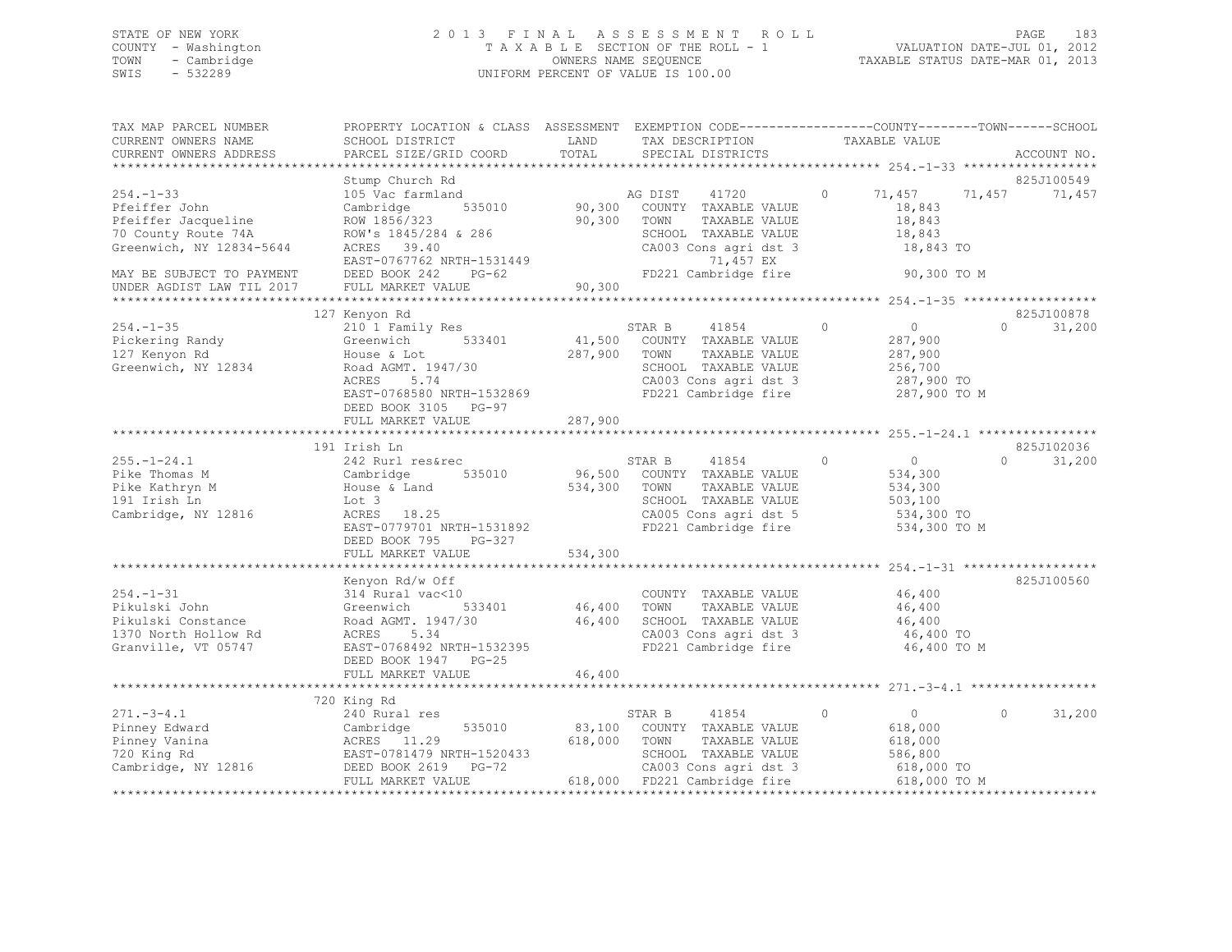## STATE OF NEW YORK 2 0 1 3 F I N A L A S S E S S M E N T R O L L PAGE 183 COUNTY - Washington T A X A B L E SECTION OF THE ROLL - 1 VALUATION DATE-JUL 01, 2012 TOWN - Cambridge OWNERS NAME SEQUENCE TAXABLE STATUS DATE-MAR 01, 2013 SWIS - 532289 UNIFORM PERCENT OF VALUE IS 100.00

| TAX MAP PARCEL NUMBER<br>CURRENT OWNERS NAME<br>CURRENT OWNERS ADDRESS                                                                 | PROPERTY LOCATION & CLASS ASSESSMENT EXEMPTION CODE---------------COUNTY-------TOWN-----SCHOOL<br>SCHOOL DISTRICT<br>PARCEL SIZE/GRID COORD                                              | LAND<br>TOTAL      | TAX DESCRIPTION<br>SPECIAL DISTRICTS                                                                                                                                              | TAXABLE VALUE                                                                            | ACCOUNT NO.                      |
|----------------------------------------------------------------------------------------------------------------------------------------|------------------------------------------------------------------------------------------------------------------------------------------------------------------------------------------|--------------------|-----------------------------------------------------------------------------------------------------------------------------------------------------------------------------------|------------------------------------------------------------------------------------------|----------------------------------|
|                                                                                                                                        |                                                                                                                                                                                          |                    |                                                                                                                                                                                   |                                                                                          |                                  |
| $254. -1 - 33$<br>Pfeiffer John<br>Pfeiffer Jacqueline<br>70 County Route 74A<br>Greenwich, NY 12834-5644<br>MAY BE SUBJECT TO PAYMENT | Stump Church Rd<br>105 Vac farmland<br>535010<br>Cambridge<br>ROW 1856/323<br>ROW's 1845/284 & 286<br>ACRES 39.40<br>EAST-0767762 NRTH-1531449<br>DEED BOOK 242<br>$PG-62$               | 90,300             | AG DIST<br>41720<br>90,300 COUNTY TAXABLE VALUE<br>90,300 TOWN<br>TAXABLE VALUE<br>SCHOOL TAXABLE VALUE<br>CA003 Cons agri dst 3<br>71,457 EX<br>FD221 Cambridge fire 50,300 TO M | $\circ$<br>71,457<br>18,843<br>18,843<br>18,843<br>18,843 TO                             | 825J100549<br>71,457<br>71,457   |
| UNDER AGDIST LAW TIL 2017                                                                                                              | FULL MARKET VALUE                                                                                                                                                                        |                    |                                                                                                                                                                                   |                                                                                          |                                  |
| $254. - 1 - 35$<br>Pickering Randy<br>127 Kenyon Rd<br>Greenwich, NY 12834                                                             | 127 Kenyon Rd<br>210 1 Family Res<br>533401<br>Greenwich<br>House & Lot<br>Road AGMT. 1947/30<br>5.74<br>ACRES<br>EAST-0768580 NRTH-1532869<br>DEED BOOK 3105 PG-97<br>FULL MARKET VALUE | 287,900<br>287,900 | STAR B<br>41854<br>41,500 COUNTY TAXABLE VALUE<br>TOWN<br>TAXABLE VALUE<br>SCHOOL TAXABLE VALUE<br>CA003 Cons agri dst 3<br>FD221 Cambridge fire                                  | $\circ$<br>$\overline{0}$<br>287,900<br>287,900<br>256,700<br>287,900 TO<br>287,900 TO M | 825J100878<br>$\Omega$<br>31,200 |
|                                                                                                                                        |                                                                                                                                                                                          |                    |                                                                                                                                                                                   |                                                                                          |                                  |
|                                                                                                                                        | 191 Irish Ln                                                                                                                                                                             |                    |                                                                                                                                                                                   |                                                                                          | 825J102036                       |
| $255. - 1 - 24.1$<br>Pike Thomas M<br>Pike Kathryn M<br>191 Irish Ln<br>Cambridge, NY 12816                                            | 242 Rurl res&rec<br>535010<br>Cambridge<br>House & Land<br>Lot 3<br>ACRES 18.25<br>EAST-0779701 NRTH-1531892<br>DEED BOOK 795 PG-327                                                     | 534,300 TOWN       | 41854<br>STAR B<br>96,500 COUNTY TAXABLE VALUE<br>TAXABLE VALUE<br>SCHOOL TAXABLE VALUE<br>CA005 Cons agri dst 5<br>FD221 Cambridge fire                                          | $\circ$<br>$\overline{0}$<br>534,300<br>534,300<br>503,100<br>534,300 TO<br>534,300 TO M | $\Omega$<br>31,200               |
|                                                                                                                                        | FULL MARKET VALUE                                                                                                                                                                        | 534,300            |                                                                                                                                                                                   |                                                                                          |                                  |
| $254. - 1 - 31$<br>Pikulski John<br>Pikulski Constance<br>1370 North Hollow Rd<br>Granville, VT 05747                                  | Kenyon Rd/w Off<br>314 Rural vac<10<br>Greenwich 533401<br>Road AGMT. 1947/30<br>ACRES 5.34<br>EAST-0768492 NRTH-1532395<br>DEED BOOK 1947 PG-25                                         |                    | COUNTY TAXABLE VALUE<br>46,400 TOWN TAXABLE VALUE<br>46,400 SCHOOL TAXABLE VALUE<br>CA003 Cons agri dst 3<br>FD221 Cambridge fire                                                 | 46,400<br>46,400<br>46,400<br>46,400 TO<br>46,400 TO M                                   | 825J100560                       |
|                                                                                                                                        | FULL MARKET VALUE                                                                                                                                                                        | 46,400             |                                                                                                                                                                                   |                                                                                          |                                  |
|                                                                                                                                        | 720 King Rd                                                                                                                                                                              |                    |                                                                                                                                                                                   |                                                                                          |                                  |
| $271. - 3 - 4.1$<br>Pinney Edward<br>Pinney Vanina<br>720 King Rd<br>Cambridge, NY 12816                                               | 240 Rural res<br>535010<br>Cambridge<br>ACRES 11.29<br>EAST-0781479 NRTH-1520433<br>DEED BOOK 2619 PG-72<br>TILE MARKET VALUE                                                            | 618,000            | STAR B<br>41854<br>83,100 COUNTY TAXABLE VALUE<br>TOWN<br>TAXABLE VALUE<br>SCHOOL TAXABLE VALUE<br>CA003 Cons agri dst 3<br>618,000 FD221 Cambridge fire 618,000 TO M             | $\circ$<br>$\overline{0}$<br>618,000<br>618,000<br>586,800<br>618,000 TO                 | $\circ$<br>31,200                |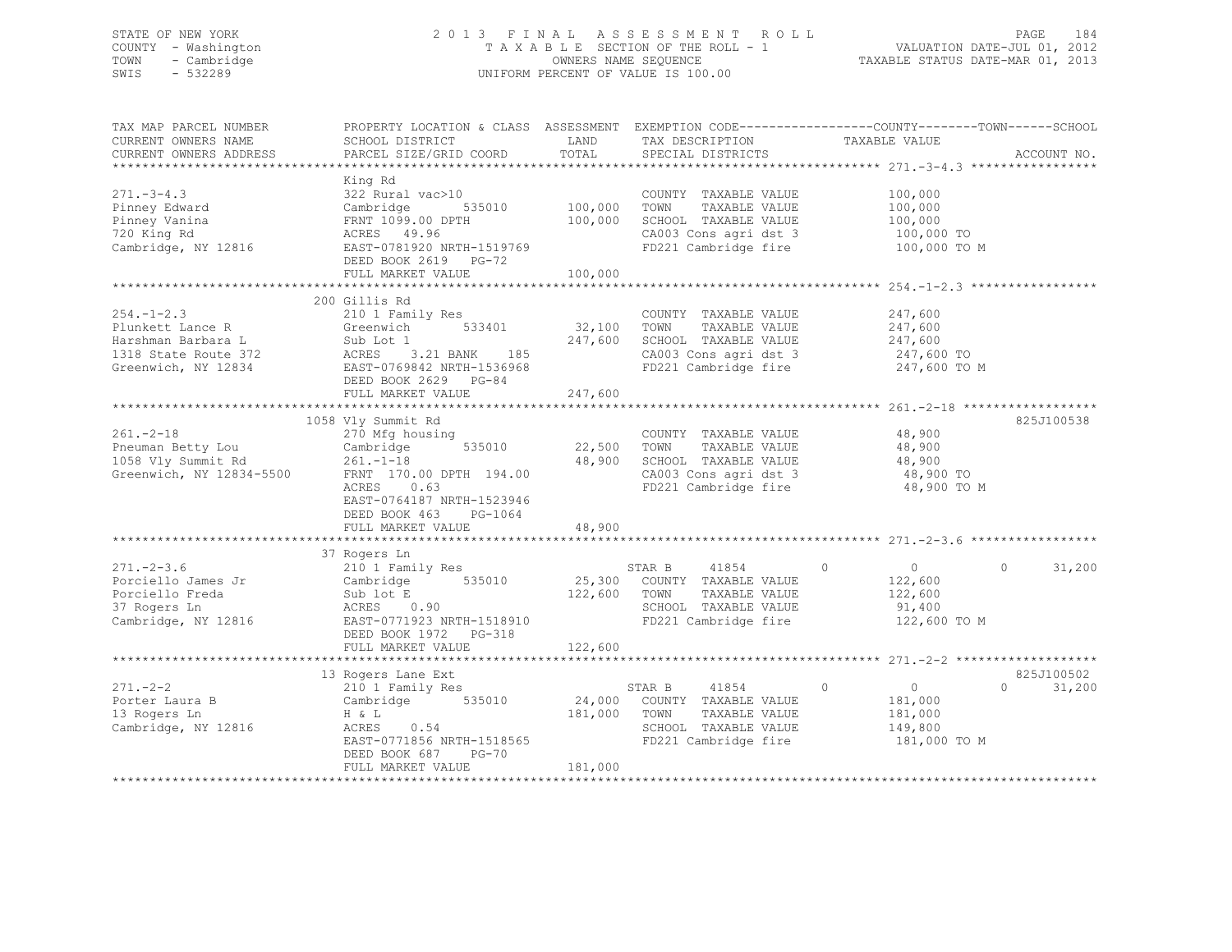## STATE OF NEW YORK 2 0 1 3 F I N A L A S S E S S M E N T R O L L PAGE 184 COUNTY - Washington T A X A B L E SECTION OF THE ROLL - 1 VALUATION DATE-JUL 01, 2012 TOWN - Cambridge OWNERS NAME SEQUENCE TAXABLE STATUS DATE-MAR 01, 2013 SWIS - 532289 UNIFORM PERCENT OF VALUE IS 100.00

| TAX MAP PARCEL NUMBER<br>CURRENT OWNERS NAME<br>CURRENT OWNERS ADDRESS                           | PROPERTY LOCATION & CLASS ASSESSMENT EXEMPTION CODE-----------------COUNTY-------TOWN-----SCHOOL<br>SCHOOL DISTRICT<br>PARCEL SIZE/GRID COORD                                                          | LAND<br>TOTAL                     | TAX DESCRIPTION<br>SPECIAL DISTRICTS<br>SPECIAL DISTRICTS                                                                 |                                                                                                       | ACCOUNT NO.                      |
|--------------------------------------------------------------------------------------------------|--------------------------------------------------------------------------------------------------------------------------------------------------------------------------------------------------------|-----------------------------------|---------------------------------------------------------------------------------------------------------------------------|-------------------------------------------------------------------------------------------------------|----------------------------------|
| $271 - 3 - 4.3$<br>Pinney Edward<br>Pinney Vanina<br>720 King Rd<br>Cambridge, NY 12816          | King Rd<br>322 Rural vac>10<br>535010 100,000<br>Cambridge<br>FRNT 1099.00 DPTH<br>ACRES 49.96<br>EAST-0781920 NRTH-1519769<br>DEED BOOK 2619 PG-72<br>FULL MARKET VALUE<br>*************************  | 100,000<br>100,000<br>*********** | COUNTY TAXABLE VALUE<br>TOWN<br>TAXABLE VALUE<br>SCHOOL TAXABLE VALUE<br>CA003 Cons agri dst 3<br>FD221 Cambridge fire    | 100,000<br>100,000<br>100,000<br>100,000 TO<br>100,000 TO M<br>*********************** 254.-1-2.3 *** |                                  |
| $254. - 1 - 2.3$<br>Plunkett Lance R<br>Greenwich, NY 12834                                      | 200 Gillis Rd<br>210 1 Family Res<br>533401<br>Greenwich<br>EAST-0769842 NRTH-1536968<br>DEED BOOK 2629 PG-84<br>FULL MARKET VALUE                                                                     | 32,100<br>247,600<br>247,600      | COUNTY TAXABLE VALUE<br>TOWN<br>TAXABLE VALUE<br>SCHOOL TAXABLE VALUE<br>CA003 Cons agri dst 3                            | 247,600<br>247,600<br>247,600<br>247,600 TO<br>FD221 Cambridge fire 247,600 TO M                      |                                  |
| $261. - 2 - 18$<br>Pneuman Betty Lou<br>1058 Vly Summit Rd<br>Greenwich, NY 12834-5500           | 1058 Vly Summit Rd<br>270 Mfg housing<br>535010<br>Cambridge<br>$261. - 1 - 18$<br>FRNT 170.00 DPTH 194.00<br>ACRES 0.63<br>EAST-0764187 NRTH-1523946<br>DEED BOOK 463<br>PG-1064<br>FULL MARKET VALUE | 22,500<br>48,900<br>48,900        | COUNTY TAXABLE VALUE<br>TOWN<br>TAXABLE VALUE<br>SCHOOL TAXABLE VALUE<br>CA003 Cons agri dst 3<br>FD221 Cambridge fire    | 48,900<br>48,900<br>48,900<br>48,900 TO<br>48,900 TO M                                                | 825J100538                       |
| $271. - 2 - 3.6$<br>Porciello James Jr<br>Porciello Freda<br>37 Rogers Ln<br>Cambridge, NY 12816 | 37 Rogers Ln<br>210 1 Family Res<br>Cambridge 535010<br>Cambridge<br>Sub lot E<br>ACRES 0.90<br>EAST-0771923 NRTH-1518910<br>DEED BOOK 1972<br>PG-318<br>FULL MARKET VALUE                             | 122,600<br>122,600                | 41854 0<br>STAR B<br>25,300 COUNTY TAXABLE VALUE<br>TOWN<br>TAXABLE VALUE<br>SCHOOL TAXABLE VALUE<br>FD221 Cambridge fire | $\overline{0}$<br>122,600<br>122,600<br>91,400<br>122,600 TO M                                        | 31,200<br>$\Omega$               |
| $271. - 2 - 2$<br>Porter Laura B<br>13 Rogers Ln<br>Cambridge, NY 12816                          | 13 Rogers Lane Ext<br>210 1 Family Res<br>Cambridge 535010<br>H & L<br>ACRES<br>0.54<br>EAST-0771856 NRTH-1518565<br>DEED BOOK 687<br>$PG-70$<br>FULL MARKET VALUE                                     | 24,000<br>181,000<br>181,000      | STAR B<br>41854<br>COUNTY TAXABLE VALUE<br>TOWN<br>TAXABLE VALUE<br>SCHOOL TAXABLE VALUE<br>FD221 Cambridge fire          | $\circ$<br>$\overline{0}$<br>181,000<br>181,000<br>149,800<br>181,000 TO M                            | 825J100502<br>$\Omega$<br>31,200 |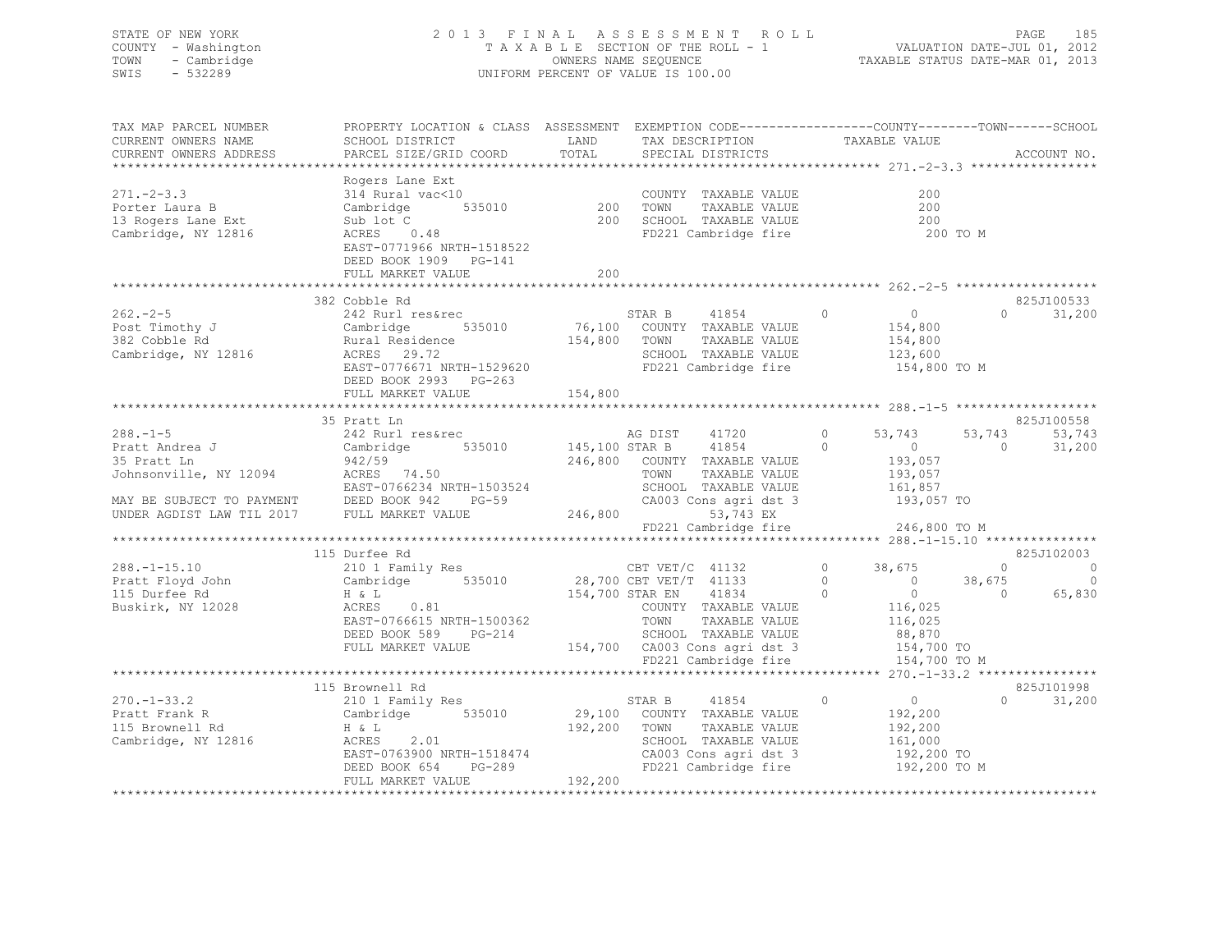## STATE OF NEW YORK 2 0 1 3 F I N A L A S S E S S M E N T R O L L PAGE 185 COUNTY - Washington T A X A B L E SECTION OF THE ROLL - 1 VALUATION DATE-JUL 01, 2012 TOWN - Cambridge OWNERS NAME SEQUENCE TAXABLE STATUS DATE-MAR 01, 2013 SWIS - 532289 UNIFORM PERCENT OF VALUE IS 100.00

| TAX MAP PARCEL NUMBER<br>CURRENT OWNERS NAME<br>CURRENT OWNERS ADDRESS | PROPERTY LOCATION & CLASS ASSESSMENT EXEMPTION CODE---------------COUNTY-------TOWN------SCHOOL<br>SCHOOL DISTRICT<br>PARCEL SIZE/GRID COORD | LAND<br>TOTAL | TAX DESCRIPTION<br>SPECIAL DISTRICTS                  | TAXABLE VALUE                |                | ACCOUNT NO.    |
|------------------------------------------------------------------------|----------------------------------------------------------------------------------------------------------------------------------------------|---------------|-------------------------------------------------------|------------------------------|----------------|----------------|
|                                                                        |                                                                                                                                              |               |                                                       |                              |                |                |
| $271. - 2 - 3.3$                                                       | Rogers Lane Ext<br>314 Rural vac<10                                                                                                          |               | COUNTY TAXABLE VALUE                                  | 200                          |                |                |
| Porter Laura B                                                         | 535010<br>Cambridge                                                                                                                          | 200           | TOWN<br>TAXABLE VALUE                                 | 200                          |                |                |
| 13 Rogers Lane Ext                                                     | Sub lot C                                                                                                                                    | 200           | SCHOOL TAXABLE VALUE                                  | 200                          |                |                |
| Cambridge, NY 12816                                                    | ACRES 0.48                                                                                                                                   |               | FD221 Cambridge fire                                  | 200 TO M                     |                |                |
|                                                                        | EAST-0771966 NRTH-1518522                                                                                                                    |               |                                                       |                              |                |                |
|                                                                        | DEED BOOK 1909 PG-141                                                                                                                        |               |                                                       |                              |                |                |
|                                                                        | FULL MARKET VALUE                                                                                                                            | 200           |                                                       |                              |                |                |
|                                                                        |                                                                                                                                              |               |                                                       |                              |                |                |
|                                                                        | 382 Cobble Rd                                                                                                                                |               |                                                       |                              |                | 825J100533     |
| $262 - 2 - 5$                                                          | 242 Rurl res&rec                                                                                                                             |               | STAR B<br>41854<br>76,100 COUNTY TAXABLE VALUE        | $\circ$<br>$\overline{0}$    | $\Omega$       | 31,200         |
| Post Timothy J<br>382 Cobble Rd<br>382 Cobble Rd                       |                                                                                                                                              | 154,800 TOWN  | TAXABLE VALUE                                         | 154,800                      |                |                |
| Cambridge, NY 12816                                                    | Cambridge<br>Rural Residence<br>Acpre 29.72                                                                                                  |               | SCHOOL TAXABLE VALUE                                  | 154,800<br>123,600           |                |                |
|                                                                        | EAST-0776671 NRTH-1529620                                                                                                                    |               | FD221 Cambridge fire                                  | 154,800 TO M                 |                |                |
|                                                                        | DEED BOOK 2993 PG-263                                                                                                                        |               |                                                       |                              |                |                |
|                                                                        | FULL MARKET VALUE                                                                                                                            | 154,800       |                                                       |                              |                |                |
|                                                                        |                                                                                                                                              |               |                                                       |                              |                |                |
|                                                                        | 35 Pratt Ln                                                                                                                                  |               |                                                       |                              |                | 825J100558     |
| $288. - 1 - 5$                                                         | 242 Rurl res&rec                                                                                                                             |               | 41720<br>AG DIST                                      | $\circ$<br>53,743            | 53,743         | 53,743         |
| Pratt Andrea J                                                         | 535010 145,100 STAR B<br>Cambridge                                                                                                           |               | 41854                                                 | $\Omega$<br>$\Omega$         | $\Omega$       | 31,200         |
|                                                                        |                                                                                                                                              |               | 246,800 COUNTY TAXABLE VALUE                          | 193,057                      |                |                |
|                                                                        | y 42/59<br>Johnsonville, NY 12094 ACRES 74.50                                                                                                |               | TOWN<br>TAXABLE VALUE                                 | 193,057                      |                |                |
|                                                                        | EAST-0766234 NRTH-1503524<br>$PG-59$                                                                                                         |               | SCHOOL TAXABLE VALUE<br>CA003 Cons agri dst 3         | 161,857<br>193,057 TO        |                |                |
| MAY BE SUBJECT TO PAYMENT DEED BOOK 942                                |                                                                                                                                              | 246,800       | 53,743 EX                                             |                              |                |                |
|                                                                        |                                                                                                                                              |               | FD221 Cambridge fire                                  | 246,800 TO M                 |                |                |
|                                                                        |                                                                                                                                              |               |                                                       |                              |                |                |
|                                                                        | 115 Durfee Rd                                                                                                                                |               |                                                       |                              |                | 825J102003     |
| $288. - 1 - 15.10$                                                     | 210 1 Family Res                                                                                                                             |               | CBT VET/C 41132                                       | $0 \qquad \qquad$<br>38,675  | $\Omega$       | $\overline{0}$ |
| Pratt Floyd John                                                       | Cambridge 535010                                                                                                                             |               | 28,700 CBT VET/T 41133                                | $\circ$<br>$\overline{0}$    | 38,675         | $\Omega$       |
| 115 Durfee Rd                                                          | H & L                                                                                                                                        |               | 154,700 STAR EN<br>41834                              | $\overline{0}$<br>$\bigcirc$ | $\overline{0}$ | 65,830         |
| Buskirk, NY 12028                                                      | ACRES<br>0.81                                                                                                                                |               | COUNTY TAXABLE VALUE                                  | 116,025                      |                |                |
|                                                                        | EAST-0766615 NRTH-1500362                                                                                                                    |               | TAXABLE VALUE<br>TOWN                                 | 116,025                      |                |                |
|                                                                        | DEED BOOK 589<br>PG-214<br>FULL MARKET VALUE                                                                                                 |               | SCHOOL TAXABLE VALUE<br>154,700 CA003 Cons agri dst 3 | 88,870<br>154,700 TO         |                |                |
|                                                                        |                                                                                                                                              |               | FD221 Cambridge fire                                  | 154,700 TO M                 |                |                |
|                                                                        |                                                                                                                                              |               |                                                       |                              |                |                |
|                                                                        | 115 Brownell Rd                                                                                                                              |               |                                                       |                              |                | 825J101998     |
| $270. - 1 - 33.2$                                                      | 210 1 Family Res                                                                                                                             |               | 41854<br>STAR B                                       | $\overline{0}$<br>$\circ$    | $\Omega$       | 31,200         |
| Pratt Frank R                                                          | Cambridge 535010                                                                                                                             |               | 29,100 COUNTY TAXABLE VALUE                           | 192,200                      |                |                |
| 115 Brownell Rd                                                        | $H \& L$                                                                                                                                     | 192,200       | TAXABLE VALUE<br>TOWN                                 | 192,200                      |                |                |
| Cambridge, NY 12816                                                    | 2.01<br>ACRES                                                                                                                                |               | SCHOOL TAXABLE VALUE                                  | 161,000                      |                |                |
|                                                                        | EAST-0763900 NRTH-1518474                                                                                                                    |               | CA003 Cons agri dst 3                                 | 192,200 TO                   |                |                |
|                                                                        | DEED BOOK 654<br>PG-289                                                                                                                      |               | FD221 Cambridge fire                                  | 192,200 TO M                 |                |                |
|                                                                        | FULL MARKET VALUE                                                                                                                            | 192,200       |                                                       |                              |                |                |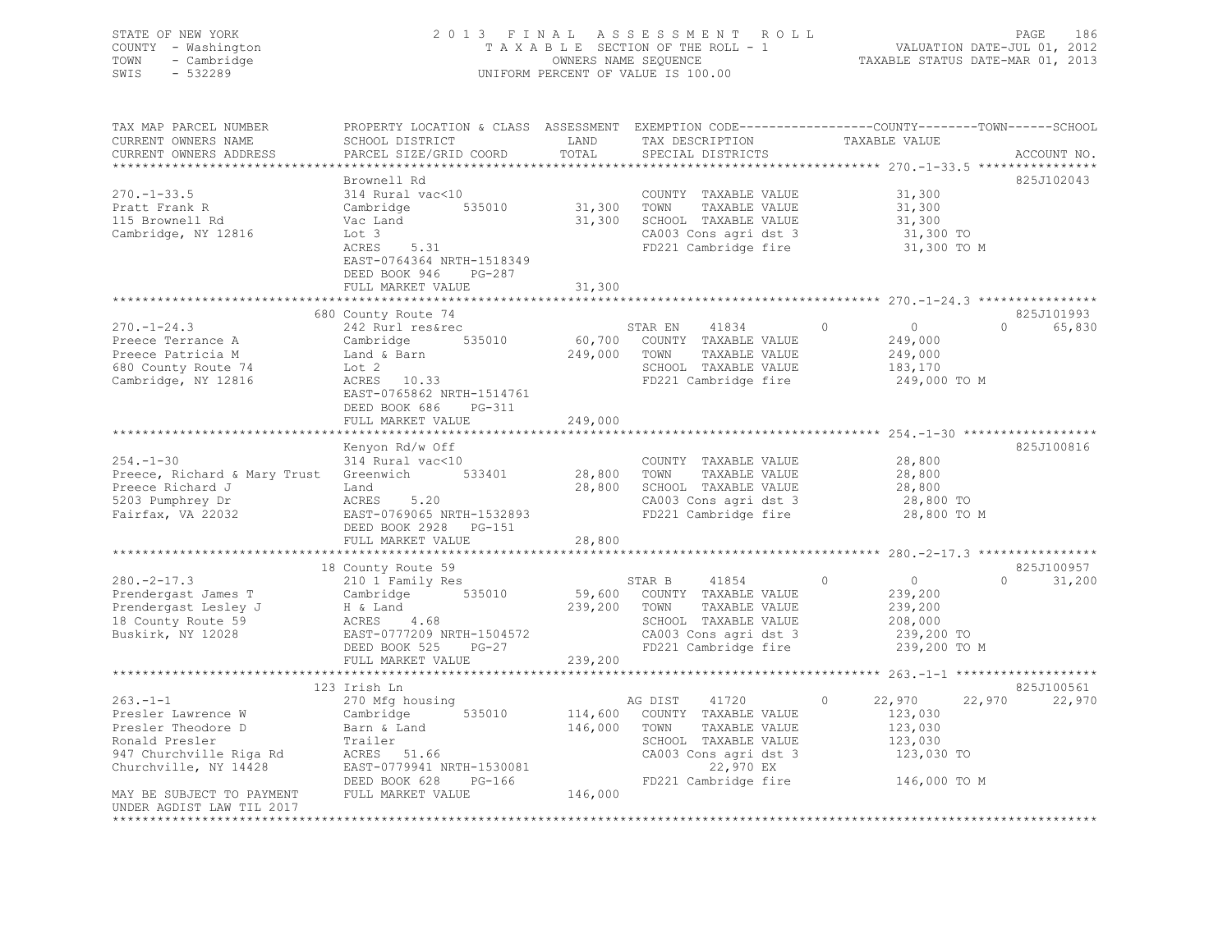## STATE OF NEW YORK 2 0 1 3 F I N A L A S S E S S M E N T R O L L PAGE 186 COUNTY - Washington T A X A B L E SECTION OF THE ROLL - 1 VALUATION DATE-JUL 01, 2012 TOWN - Cambridge OWNERS NAME SEQUENCE TAXABLE STATUS DATE-MAR 01, 2013 SWIS - 532289 UNIFORM PERCENT OF VALUE IS 100.00

| SCHOOL DISTRICT<br>PARCEL SIZE/GRID COORD                                                                                                                                                | LAND<br>TOTAL                      | TAX DESCRIPTION<br>SPECIAL DISTRICTS                                                                                 | TAXABLE VALUE                                                                                                              | ACCOUNT NO.                                                                                                                                                                                                                                                                                        |
|------------------------------------------------------------------------------------------------------------------------------------------------------------------------------------------|------------------------------------|----------------------------------------------------------------------------------------------------------------------|----------------------------------------------------------------------------------------------------------------------------|----------------------------------------------------------------------------------------------------------------------------------------------------------------------------------------------------------------------------------------------------------------------------------------------------|
| Brownell Rd<br>314 Rural vac<10<br>Cambridge<br>535010<br>Vac Land<br>Lot 3<br>ACRES<br>5.31<br>EAST-0764364 NRTH-1518349<br>DEED BOOK 946<br>$PG-287$<br>FULL MARKET VALUE              | 31,300<br>31,300                   | COUNTY TAXABLE VALUE<br>TOWN<br>TAXABLE VALUE<br>SCHOOL TAXABLE VALUE                                                | 31,300<br>31,300<br>31,300<br>31,300 TO<br>31,300 TO M                                                                     | 825J102043                                                                                                                                                                                                                                                                                         |
| 680 County Route 74<br>242 Rurl res&rec<br>535010<br>Cambridge<br>Land & Barn<br>Lot 2<br>ACRES 10.33<br>EAST-0765862 NRTH-1514761<br>DEED BOOK 686<br>PG-311<br>FULL MARKET VALUE       | 249,000<br>249,000                 | STAR EN<br>41834<br>COUNTY TAXABLE VALUE<br>TAXABLE VALUE<br>TOWN                                                    | 0<br>$\overline{0}$<br>249,000<br>249,000<br>183,170<br>249,000 TO M                                                       | 825J101993<br>$\Omega$<br>65,830                                                                                                                                                                                                                                                                   |
| Kenyon Rd/w Off<br>314 Rural vac<10<br>Preece, Richard & Mary Trust Greenwich 533401<br>Land<br>5.20<br>ACRES<br>EAST-0769065 NRTH-1532893<br>DEED BOOK 2928 PG-151<br>FULL MARKET VALUE | 28,800                             | COUNTY TAXABLE VALUE<br>TAXABLE VALUE<br>TOWN<br>SCHOOL TAXABLE VALUE<br>FD221 Cambridge fire                        | 28,800<br>28,800<br>28,800<br>28,800 TO<br>28,800 TO M                                                                     | 825J100816                                                                                                                                                                                                                                                                                         |
|                                                                                                                                                                                          |                                    |                                                                                                                      |                                                                                                                            |                                                                                                                                                                                                                                                                                                    |
| 210 1 Family Res<br>Cambridge 535010<br>H & Land<br>ACRES<br>4.68<br>EAST-0777209 NRTH-1504572<br>DEED BOOK 525<br>PG-27<br>FULL MARKET VALUE                                            |                                    | 41854<br>STAR B<br>TOWN<br>TAXABLE VALUE<br>SCHOOL TAXABLE VALUE                                                     | $\circ$<br>$\overline{0}$<br>239,200<br>239,200<br>208,000<br>239,200 TO<br>239,200 TO M                                   | 825J100957<br>$\Omega$<br>31,200                                                                                                                                                                                                                                                                   |
|                                                                                                                                                                                          |                                    |                                                                                                                      |                                                                                                                            |                                                                                                                                                                                                                                                                                                    |
| 270 Mfg housing<br>535010<br>Cambridge<br>Barn & Land<br>Trailer<br>ACRES 51.66<br>EAST-0779941 NRTH-1530081<br>DEED BOOK 628<br>PG-166<br>FULL MARKET VALUE                             | 114,600<br>146,000<br>146,000      | 41720<br>COUNTY TAXABLE VALUE<br>TOWN<br>TAXABLE VALUE<br>SCHOOL TAXABLE VALUE<br>CA003 Cons agri dst 3<br>22,970 EX | 0<br>22,970<br>123,030<br>123,030<br>123,030<br>123,030 TO<br>146,000 TO M                                                 | 825J100561<br>22,970<br>22,970                                                                                                                                                                                                                                                                     |
|                                                                                                                                                                                          | 18 County Route 59<br>123 Irish Ln |                                                                                                                      | ******************<br>31,300<br>60,700<br>28,800<br>28,800<br>59,600 COUNTY TAXABLE VALUE<br>239,200<br>239,200<br>AG DIST | PROPERTY LOCATION & CLASS ASSESSMENT EXEMPTION CODE----------------COUNTY-------TOWN-----SCHOOL<br>CA003 Cons agri dst 3<br>FD221 Cambridge fire<br>SCHOOL TAXABLE VALUE<br>FD221 Cambridge fire<br>CA003 Cons agri dst 3<br>CA003 Cons agri dst 3<br>FD221 Cambridge fire<br>FD221 Cambridge fire |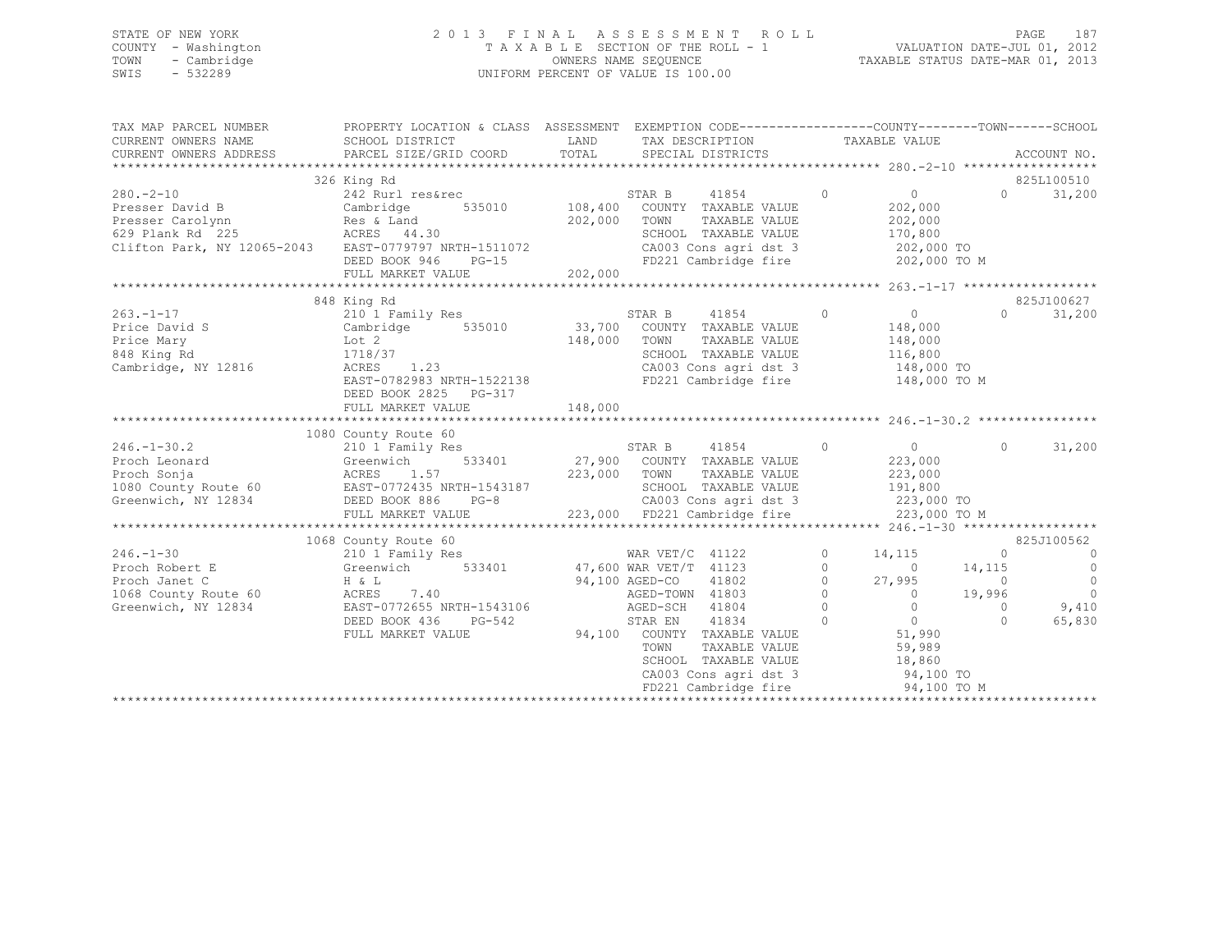## STATE OF NEW YORK 2 0 1 3 F I N A L A S S E S S M E N T R O L L PAGE 187 COUNTY - Washington T A X A B L E SECTION OF THE ROLL - 1 VALUATION DATE-JUL 01, 2012 TOWN - Cambridge OWNERS NAME SEQUENCE TAXABLE STATUS DATE-MAR 01, 2013 SWIS - 532289 UNIFORM PERCENT OF VALUE IS 100.00

| TAX MAP PARCEL NUMBER<br>CURRENT OWNERS NAME<br>CURRENT OWNERS ADDRESS                          | PROPERTY LOCATION & CLASS ASSESSMENT EXEMPTION CODE---------------COUNTY-------TOWN-----SCHOOL<br>SCHOOL DISTRICT<br>PARCEL SIZE/GRID COORD | LAND<br>TOTAL | TAX DESCRIPTION TAXABLE VALUE<br>SPECIAL DISTRICTS                    |               |          |                                            |                   | ACCOUNT NO.    |
|-------------------------------------------------------------------------------------------------|---------------------------------------------------------------------------------------------------------------------------------------------|---------------|-----------------------------------------------------------------------|---------------|----------|--------------------------------------------|-------------------|----------------|
|                                                                                                 |                                                                                                                                             |               |                                                                       |               |          |                                            |                   |                |
|                                                                                                 | 326 King Rd                                                                                                                                 |               |                                                                       |               |          |                                            |                   | 825L100510     |
| $280 - 2 - 10$                                                                                  | 242 Rurl res&rec                                                                                                                            |               | STAR B<br>41854                                                       |               | $\circ$  | $\overline{0}$                             | $0 \qquad \qquad$ | 31,200         |
| Presser David B Cambridge                                                                       | 535010 108,400                                                                                                                              |               | COUNTY TAXABLE VALUE                                                  |               |          | 202,000                                    |                   |                |
|                                                                                                 |                                                                                                                                             | 202,000       | TOWN                                                                  | TAXABLE VALUE |          | 202,000                                    |                   |                |
|                                                                                                 |                                                                                                                                             |               | SCHOOL TAXABLE VALUE                                                  |               |          | 170,800                                    |                   |                |
| Clifton Park, NY 12065-2043 EAST-0779797 NRTH-1511072                                           |                                                                                                                                             |               | CA003 Cons agri dst 3 202,000 TO                                      |               |          |                                            |                   |                |
|                                                                                                 | DEED BOOK 946<br>$PG-15$                                                                                                                    | 202,000       | FD221 Cambridge fire 202,000 TO M                                     |               |          |                                            |                   |                |
|                                                                                                 | FULL MARKET VALUE                                                                                                                           |               |                                                                       |               |          |                                            |                   |                |
|                                                                                                 |                                                                                                                                             |               |                                                                       |               |          |                                            |                   |                |
|                                                                                                 | 848 King Rd                                                                                                                                 |               |                                                                       |               |          |                                            |                   | 825J100627     |
| $263 - 1 - 17$                                                                                  | 210 1 Family Res                                                                                                                            |               | STAR B 41854 0                                                        |               |          | $\overline{0}$                             | $\Omega$          | 31,200         |
| Price David S                                                                                   | Cambridge 535010 33,700 COUNTY TAXABLE VALUE                                                                                                |               |                                                                       |               |          | 148,000                                    |                   |                |
| Price Mary                                                                                      | Lot 2                                                                                                                                       | 148,000 TOWN  |                                                                       | TAXABLE VALUE |          | 148,000                                    |                   |                |
| 848 King Rd                                                                                     | Lot 2<br>1718/37<br>ACRES 1.23<br>1718/37                                                                                                   |               | SCHOOL TAXABLE VALUE<br>SCHOOL TAXABLE VALUE<br>CA003 Cons agri dst 3 |               |          | 116,800<br>148,000 TO                      |                   |                |
| Cambridge, NY 12816                                                                             |                                                                                                                                             |               |                                                                       |               |          |                                            |                   |                |
|                                                                                                 | EAST-0782983 NRTH-1522138                                                                                                                   |               | FD221 Cambridge fire 148,000 TO M                                     |               |          |                                            |                   |                |
|                                                                                                 | DEED BOOK 2825 PG-317                                                                                                                       |               |                                                                       |               |          |                                            |                   |                |
|                                                                                                 |                                                                                                                                             |               |                                                                       |               |          |                                            |                   |                |
|                                                                                                 |                                                                                                                                             |               |                                                                       |               |          |                                            |                   |                |
|                                                                                                 | 1080 County Route 60                                                                                                                        |               |                                                                       |               |          |                                            |                   |                |
| $246. - 1 - 30.2$                                                                               | 210 1 Family Res                                                                                                                            |               |                                                                       | $\sim$ 0      |          | $\overline{0}$                             | $\Omega$          | 31,200         |
| Proch Leonard                                                                                   | Greenwich                                                                                                                                   |               |                                                                       |               |          | 223,000                                    |                   |                |
|                                                                                                 |                                                                                                                                             | 223,000 TOWN  |                                                                       | TAXABLE VALUE |          | 223,000                                    |                   |                |
| Proch Sonja<br>Proch Sonja<br>1080 County Route 60<br>Greenwich, NY 12834<br>DEED BOOK 886 PG-8 | NRTH-1543187<br>PG-8                                                                                                                        |               | SCHOOL TAXABLE VALUE 191,800<br>CA003 Cons agri dst 3 1223,000 TO     |               |          |                                            |                   |                |
|                                                                                                 |                                                                                                                                             |               |                                                                       |               |          |                                            |                   |                |
|                                                                                                 | FULL MARKET VALUE                                                                                                                           |               | 223,000 FD221 Cambridge fire 223,000 TO M                             |               |          |                                            |                   |                |
|                                                                                                 | 1068 County Route 60                                                                                                                        |               |                                                                       |               |          |                                            |                   | 825J100562     |
| $246. - 1 - 30$                                                                                 | 210 1 Family Res                                                                                                                            |               | WAR VET/C 41122                                                       |               | $\circ$  | 14,115                                     | $\circ$           | $\overline{0}$ |
| Proch Robert E $G$ Greenwich 533401 47,600 WAR VET/T 41123                                      |                                                                                                                                             |               |                                                                       |               | $\Omega$ | $\overline{0}$                             | 14,115            | $\overline{0}$ |
| Proch Janet C                                                                                   | $H \& L$                                                                                                                                    |               | 41802<br>94,100 AGED-CO                                               |               | $\circ$  | 27,995                                     | $\overline{0}$    | $\overline{0}$ |
| 1068 County Route 60                                                                            | 7.40<br>ACRES                                                                                                                               |               | AGED-TOWN 41803                                                       |               | $\circ$  | $\overline{0}$                             | 19,996            | $\overline{0}$ |
| Greenwich, NY 12834                                                                             | EAST-0772655 NRTH-1543106    AGED-SCH    41804                                                                                              |               |                                                                       |               | $\Omega$ | $\bigcirc$                                 | $\Omega$          | 9,410          |
|                                                                                                 | DEED BOOK 436<br>PG-542                                                                                                                     |               | STAR EN 41834                                                         |               | $\circ$  |                                            | $\Omega$          | 65,830         |
|                                                                                                 | FULL MARKET VALUE                                                                                                                           |               | 94,100 COUNTY TAXABLE VALUE                                           |               |          | $\begin{array}{c} 0 \\ 51,990 \end{array}$ |                   |                |
|                                                                                                 |                                                                                                                                             |               | TOWN                                                                  | TAXABLE VALUE |          | 59,989                                     |                   |                |
|                                                                                                 |                                                                                                                                             |               | SCHOOL TAXABLE VALUE                                                  |               |          |                                            |                   |                |
|                                                                                                 |                                                                                                                                             |               |                                                                       |               |          | 18,860<br>94,100 TO                        |                   |                |
|                                                                                                 |                                                                                                                                             |               | SCHOOL TAXABLE VALUE<br>CA003 Cons agri dst 3<br>FD221 Cambridge fire |               |          |                                            |                   |                |
|                                                                                                 |                                                                                                                                             |               |                                                                       |               |          |                                            |                   |                |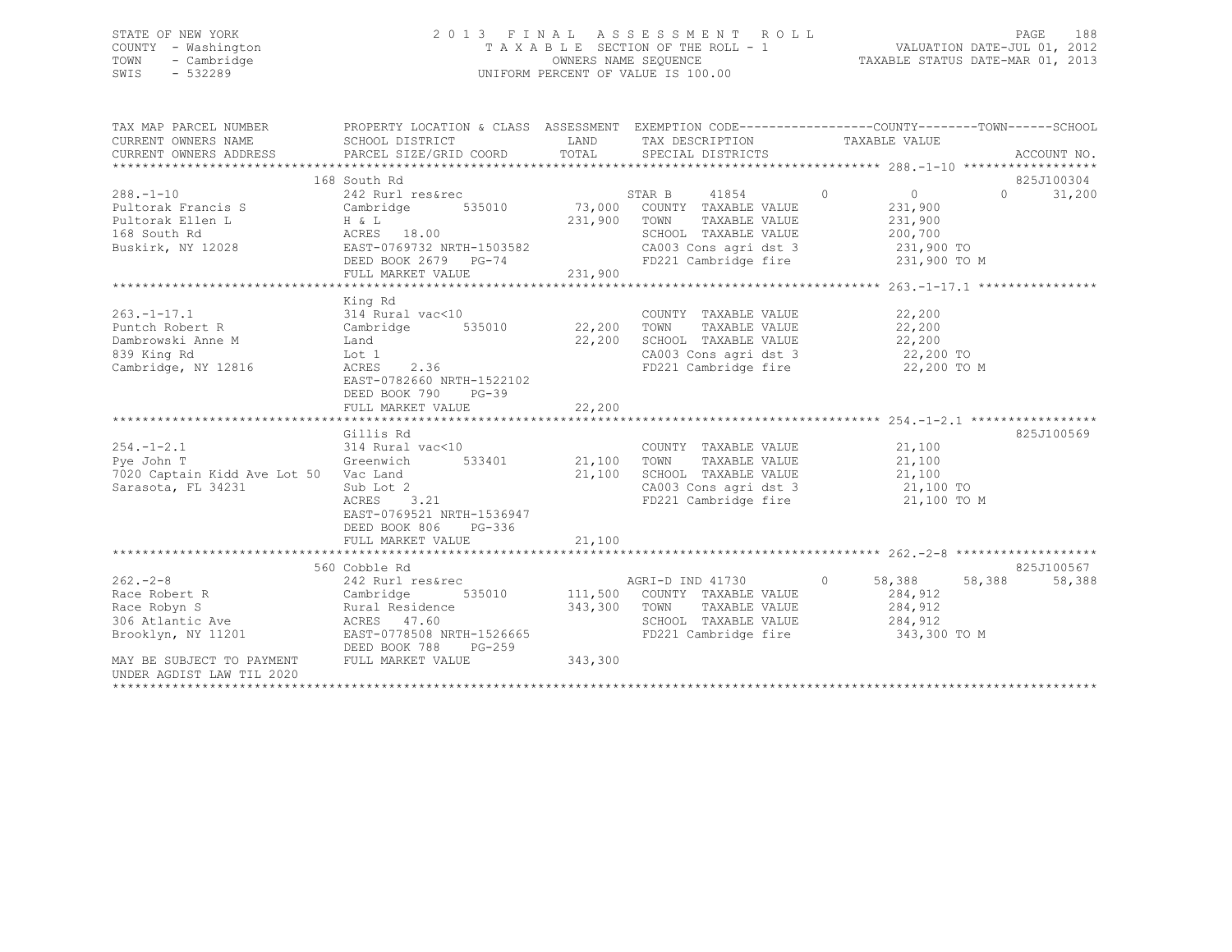## STATE OF NEW YORK 2 0 1 3 F I N A L A S S E S S M E N T R O L L PAGE 188 COUNTY - Washington T A X A B L E SECTION OF THE ROLL - 1 VALUATION DATE-JUL 01, 2012 TOWN - Cambridge OWNERS NAME SEQUENCE TAXABLE STATUS DATE-MAR 01, 2013 SWIS - 532289 UNIFORM PERCENT OF VALUE IS 100.00

| TAX MAP PARCEL NUMBER                                                                                                                                                                     | PROPERTY LOCATION & CLASS ASSESSMENT EXEMPTION CODE----------------COUNTY-------TOWN------SCHOOL<br>PARCEL SIZE/GRID COORD                        | LAND<br>TOTAL                   | TAX DESCRIPTION TAXABLE VALUE<br>SPECIAL DISTRICTS                                                                                                                                                                                          |                           |          | ACCOUNT NO.          |
|-------------------------------------------------------------------------------------------------------------------------------------------------------------------------------------------|---------------------------------------------------------------------------------------------------------------------------------------------------|---------------------------------|---------------------------------------------------------------------------------------------------------------------------------------------------------------------------------------------------------------------------------------------|---------------------------|----------|----------------------|
| $288. - 1 - 10$<br>288.-1-10 242 Rurl res&rec<br>Pultorak Francis S Cambridge 535010<br>Pultorak Ellen L H & L<br>168 South Rd ACRES 18.00<br>Buskirk, NY 12028 EAST-0769732 NRTH-1503582 | 168 South Rd<br>242 Rurl res&rec<br>EAST-0769732 NRTH-1503582<br>DEED BOOK 2679 PG-74<br>FULL MARKET VALUE                                        | 231,900                         | STAR B 41854 0<br>STAR B 41854<br>73,000 COUNTY TAXABLE VALUE<br>TAXABLE VALUE 231,900<br>231,900 TOWN<br>SCHOOL TAXABLE VALUE 200,700<br>CA003 Cons agri dst 3 and 231,900 TO<br>FD221 Cambridge fire 231,900 TO M<br>FD221 Cambridge fire | $\overline{0}$<br>231,900 | $\Omega$ | 825J100304<br>31,200 |
| Dambrowski Anne M Land<br>839 King Rd<br>Cambridge, NY 12816                                                                                                                              | King Rd<br>Lot 1<br>$ACRES$ 2.36<br>EAST-0782660 NRTH-1522102<br>DEED BOOK 790<br>$PG-39$<br>FULL MARKET VALUE                                    | 22,200<br>22,200                | COUNTY TAXABLE VALUE<br>TAXABLE VALUE 22,200<br>SCHOOL TAXABLE VALUE $22,200$<br>CA003 Cons agri dst 3 $22,200$ TO<br>FD221 Cambridge fire $22,200$ TO M                                                                                    | 22,200                    |          |                      |
| $254. -1 - 2.1$<br>314 Rural<br>Greenwich<br>Pye John T<br>7020 Captain Kidd Ave Lot 50 Vac Land<br>Sarasota, FL 34231                                                                    | Gillis Rd<br>314 Rural vac<10<br>533401<br>Sub Lot 2<br>ACRES 3.21<br>EAST-0769521 NRTH-1536947<br>DEED BOOK 806<br>$PG-336$<br>FULL MARKET VALUE | 21,100 TOWN<br>21,100<br>21,100 | COUNTY TAXABLE VALUE $21,100$<br>TOWN TAXABLE VALUE $21,100$<br>SCHOOL TAXABLE VALUE $21,100$<br>CA003 Cons agri dst 3 21,100 TO<br>FD221 Cambridge fire                                                                                    | 21,100 TO M               |          | 825J100569           |
| $262 - 2 - 8$<br>Brooklyn, NY 11201 EAST-0778508 NRTH-1526665<br>DEED BOOK 788 INAY BE SUBJECT TO PAYMENT FULL MARKET VALUE<br>UNDER AGDIST LAW TIL 2020                                  | 560 Cobble Rd<br>242 Rurl res&rec<br>PG-259                                                                                                       | 343,300                         | AGRI-D IND 41730 0 58,388 58,388<br>535010 111,500 COUNTY TAXABLE VALUE 284,912<br>343,300 TOWN TAXABLE VALUE<br>SCHOOL TAXABLE VALUE<br>FD221 Cambridge fire 343,300 TO M                                                                  | 284,912<br>284,912        |          | 825J100567<br>58,388 |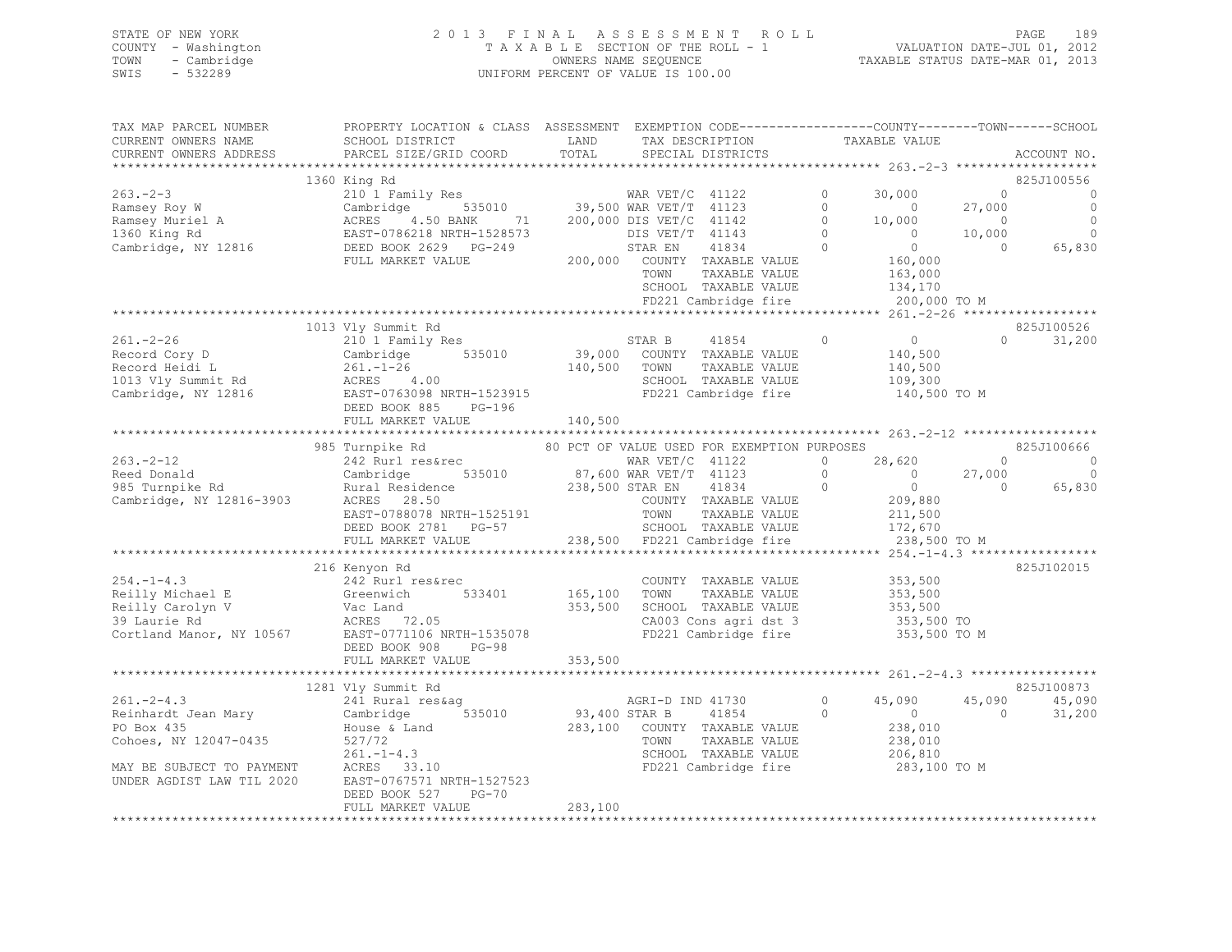| STATE OF NEW YORK   | 2013 FINAL ASSESSMENT ROLL         | 189<br>PAGE                      |
|---------------------|------------------------------------|----------------------------------|
| COUNTY - Washington | TAXABLE SECTION OF THE ROLL - 1    | VALUATION DATE-JUL 01, 2012      |
| - Cambridge<br>TOWN | OWNERS NAME SEQUENCE               | TAXABLE STATUS DATE-MAR 01, 2013 |
| SWIS - 532289       | UNIFORM PERCENT OF VALUE IS 100.00 |                                  |

| TAX MAP PARCEL NUMBER | PROPERTY LOCATION & CLASS ASSESSMENT EXEMPTION CODE-----------------COUNTY-------TOWN------SCHOOL                                                                                                                                                                                                                                                                                           |         |                                                                                              |                |                |               |
|-----------------------|---------------------------------------------------------------------------------------------------------------------------------------------------------------------------------------------------------------------------------------------------------------------------------------------------------------------------------------------------------------------------------------------|---------|----------------------------------------------------------------------------------------------|----------------|----------------|---------------|
| CURRENT OWNERS NAME   | SCHOOL DISTRICT<br><b>EXAMPLE EXAMPLE EXAMPLE EXAMPLE EXAMPLE EXAMPLE EXAMPLE EXAMPLE EXAMPLE EXAMPLE EXAMPLE EXAMPLE EXAMPLE EXAMPLE EXAMPLE EXAMPLE EXAMPLE EXAMPLE EXAMPLE EXAMPLE EXAMPLE EXAMPLE EXAMPLE E</b>                                                                                                                                                                         |         | TAX DESCRIPTION TAXABLE VALUE SPECIAL DISTRICTS                                              |                |                |               |
|                       |                                                                                                                                                                                                                                                                                                                                                                                             |         |                                                                                              |                |                |               |
|                       |                                                                                                                                                                                                                                                                                                                                                                                             |         |                                                                                              |                |                |               |
|                       |                                                                                                                                                                                                                                                                                                                                                                                             |         |                                                                                              |                |                |               |
|                       |                                                                                                                                                                                                                                                                                                                                                                                             |         |                                                                                              |                |                |               |
|                       |                                                                                                                                                                                                                                                                                                                                                                                             |         |                                                                                              |                |                |               |
|                       |                                                                                                                                                                                                                                                                                                                                                                                             |         |                                                                                              |                |                |               |
|                       |                                                                                                                                                                                                                                                                                                                                                                                             |         |                                                                                              |                |                |               |
|                       |                                                                                                                                                                                                                                                                                                                                                                                             |         |                                                                                              |                |                |               |
|                       |                                                                                                                                                                                                                                                                                                                                                                                             |         |                                                                                              |                |                |               |
|                       |                                                                                                                                                                                                                                                                                                                                                                                             |         |                                                                                              |                |                |               |
|                       |                                                                                                                                                                                                                                                                                                                                                                                             |         |                                                                                              |                |                |               |
|                       |                                                                                                                                                                                                                                                                                                                                                                                             |         |                                                                                              |                |                |               |
|                       |                                                                                                                                                                                                                                                                                                                                                                                             |         |                                                                                              |                |                |               |
|                       |                                                                                                                                                                                                                                                                                                                                                                                             |         |                                                                                              |                |                |               |
|                       | 1013 Vly Summit Rd                                                                                                                                                                                                                                                                                                                                                                          |         |                                                                                              |                |                | 825J100526    |
|                       | 261.-2-26<br>Record Cory D<br>Cambridge 140,500<br>Record Heidi L<br>261.-1-26 535010 39,000 COUNTY TAXABLE VALUE<br>261.-1-26 140,500 TOWN TAXABLE VALUE<br>261.-1-26 140,500 TOWN TAXABLE VALUE<br>261.-1-26 140,500 TOWN TAXABLE VALUE<br>                                                                                                                                               |         |                                                                                              | $0$<br>140,500 |                | $0 \t 31,200$ |
|                       |                                                                                                                                                                                                                                                                                                                                                                                             |         |                                                                                              |                |                |               |
|                       |                                                                                                                                                                                                                                                                                                                                                                                             |         |                                                                                              |                |                |               |
|                       |                                                                                                                                                                                                                                                                                                                                                                                             |         |                                                                                              |                |                |               |
|                       |                                                                                                                                                                                                                                                                                                                                                                                             |         |                                                                                              |                |                |               |
|                       |                                                                                                                                                                                                                                                                                                                                                                                             |         |                                                                                              |                |                |               |
|                       | FULL MARKET VALUE                                                                                                                                                                                                                                                                                                                                                                           | 140,500 |                                                                                              |                |                |               |
|                       |                                                                                                                                                                                                                                                                                                                                                                                             |         |                                                                                              |                |                |               |
|                       |                                                                                                                                                                                                                                                                                                                                                                                             |         |                                                                                              |                |                |               |
|                       |                                                                                                                                                                                                                                                                                                                                                                                             |         |                                                                                              |                |                |               |
|                       |                                                                                                                                                                                                                                                                                                                                                                                             |         |                                                                                              |                |                |               |
|                       |                                                                                                                                                                                                                                                                                                                                                                                             |         |                                                                                              |                |                |               |
|                       |                                                                                                                                                                                                                                                                                                                                                                                             |         |                                                                                              |                |                |               |
|                       |                                                                                                                                                                                                                                                                                                                                                                                             |         |                                                                                              |                |                |               |
|                       |                                                                                                                                                                                                                                                                                                                                                                                             |         |                                                                                              |                |                |               |
|                       |                                                                                                                                                                                                                                                                                                                                                                                             |         |                                                                                              |                |                |               |
|                       |                                                                                                                                                                                                                                                                                                                                                                                             |         |                                                                                              |                |                |               |
|                       |                                                                                                                                                                                                                                                                                                                                                                                             |         |                                                                                              |                |                |               |
|                       | 216 Kenyon Rd                                                                                                                                                                                                                                                                                                                                                                               |         |                                                                                              |                |                | 825J102015    |
|                       |                                                                                                                                                                                                                                                                                                                                                                                             |         |                                                                                              |                |                |               |
|                       |                                                                                                                                                                                                                                                                                                                                                                                             |         |                                                                                              |                |                |               |
|                       |                                                                                                                                                                                                                                                                                                                                                                                             |         |                                                                                              |                |                |               |
|                       |                                                                                                                                                                                                                                                                                                                                                                                             |         |                                                                                              |                |                |               |
|                       | $\begin{tabular}{lllllllllllllllllllllll} \hline \multicolumn{3}{c}{254.-1-4.3} & 242 \text{ Rurl res\&rec} & 533401 & 165,100 & TONABLE VALUE & 353,500 \\ \text{Reilly drichae1 E} & 61 & 533401 & 165,100 & TONN & TAXABLE VALUE & 353,500 \\ \text{Reilly Carolyn V} & \text{Vac Land} & 353,500 & 353,500 & 353,500 \\ \text{Neilly drolyn V} & \text{Vac Land} & 353,500 & 353,500 &$ |         |                                                                                              |                |                |               |
|                       |                                                                                                                                                                                                                                                                                                                                                                                             |         |                                                                                              |                |                |               |
|                       | FULL MARKET VALUE                                                                                                                                                                                                                                                                                                                                                                           | 353,500 |                                                                                              |                |                |               |
|                       |                                                                                                                                                                                                                                                                                                                                                                                             |         |                                                                                              |                |                |               |
|                       | 1281 Vly Summit Rd                                                                                                                                                                                                                                                                                                                                                                          |         |                                                                                              |                |                | 825J100873    |
|                       |                                                                                                                                                                                                                                                                                                                                                                                             |         |                                                                                              | 0 $45,090$     |                |               |
|                       |                                                                                                                                                                                                                                                                                                                                                                                             |         |                                                                                              |                |                | 45,090 45,090 |
|                       | 261.-2-4.3<br>Reinhardt Jean Mary 241 Rural res&ag<br>Reinhardt Jean Mary Cambridge 535010<br>261.-1-4.3<br>Cohoes, NY 12047-0435<br>261.-1-4.3<br>MAY BE SUBJECT TO PAYMENT ACRES 33.10<br>UNDER AGDIST LAW TIL 2020<br>261.-1-4.3<br>261.-1-4                                                                                                                                             |         | 93,400 STAR B 41854 0 $\overline{0}$ 0 $\overline{0}$ 0 283,100 COUNTY TAXABLE VALUE 238,010 |                | $\overline{0}$ | 31,200        |
|                       |                                                                                                                                                                                                                                                                                                                                                                                             |         |                                                                                              |                |                |               |
|                       |                                                                                                                                                                                                                                                                                                                                                                                             |         | TOWN TAXABLE VALUE 238,010<br>SCHOOL TAXABLE VALUE 206,810                                   |                |                |               |
|                       |                                                                                                                                                                                                                                                                                                                                                                                             |         |                                                                                              |                |                |               |
|                       |                                                                                                                                                                                                                                                                                                                                                                                             |         | FD221 Cambridge fire 283,100 TO M                                                            |                |                |               |
|                       |                                                                                                                                                                                                                                                                                                                                                                                             |         |                                                                                              |                |                |               |
|                       | DEED BOOK 527<br>PG-70                                                                                                                                                                                                                                                                                                                                                                      |         |                                                                                              |                |                |               |
|                       | FULL MARKET VALUE                                                                                                                                                                                                                                                                                                                                                                           | 283,100 |                                                                                              |                |                |               |
|                       |                                                                                                                                                                                                                                                                                                                                                                                             |         |                                                                                              |                |                |               |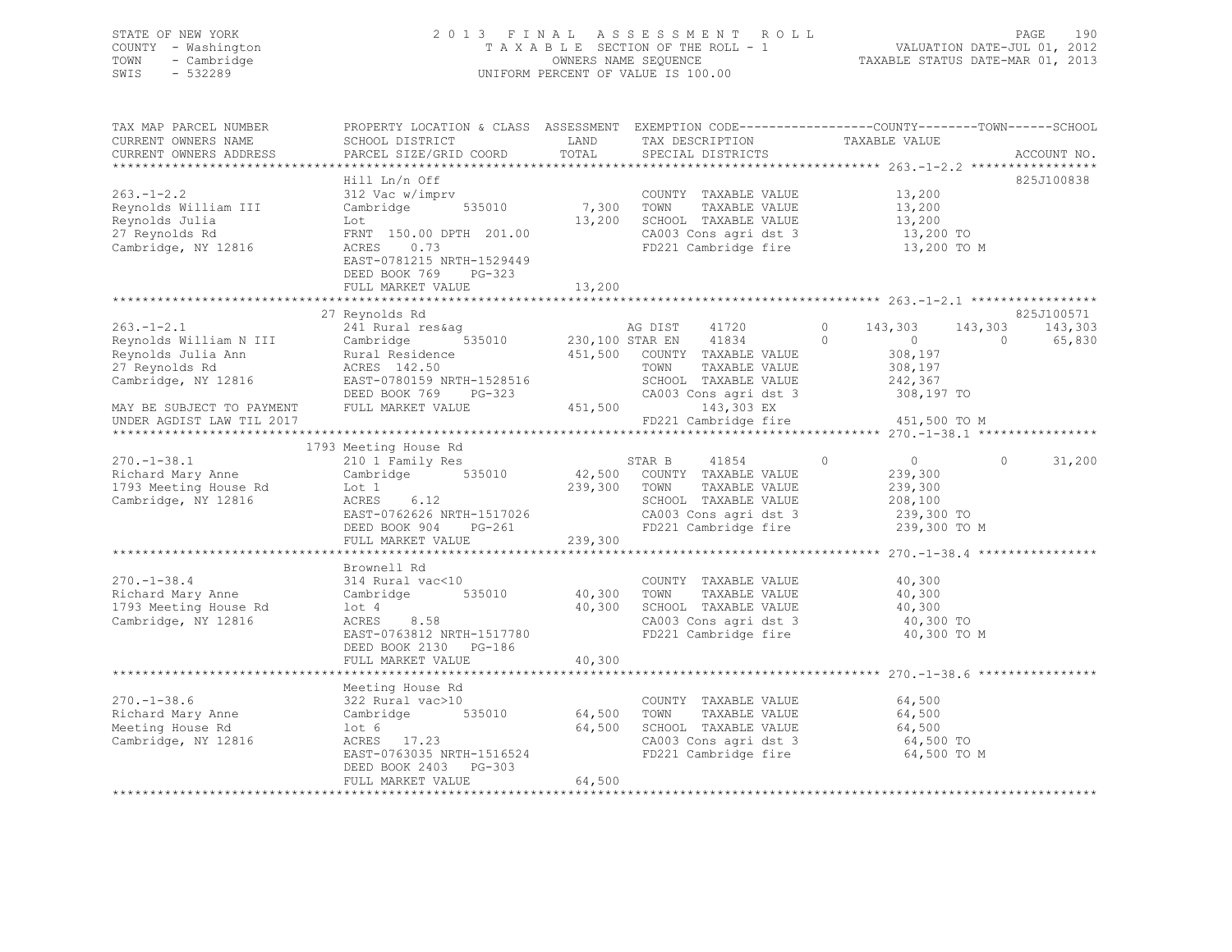## STATE OF NEW YORK 2 0 1 3 F I N A L A S S E S S M E N T R O L L PAGE 190 COUNTY - Washington T A X A B L E SECTION OF THE ROLL - 1 VALUATION DATE-JUL 01, 2012 TOWN - Cambridge OWNERS NAME SEQUENCE TAXABLE STATUS DATE-MAR 01, 2013 SWIS - 532289 UNIFORM PERCENT OF VALUE IS 100.00

| TAX MAP PARCEL NUMBER<br>CURRENT OWNERS NAME<br>CURRENT OWNERS ADDRESS                                    | PROPERTY LOCATION & CLASS ASSESSMENT EXEMPTION CODE----------------COUNTY-------TOWN-----SCHOOL<br>SCHOOL DISTRICT<br>PARCEL SIZE/GRID COORD                                            | LAND<br>TOTAL              | TAX DESCRIPTION<br>SPECIAL DISTRICTS                                                                                                                                  | TAXABLE VALUE                                                                                  | ACCOUNT NO.                                           |
|-----------------------------------------------------------------------------------------------------------|-----------------------------------------------------------------------------------------------------------------------------------------------------------------------------------------|----------------------------|-----------------------------------------------------------------------------------------------------------------------------------------------------------------------|------------------------------------------------------------------------------------------------|-------------------------------------------------------|
|                                                                                                           |                                                                                                                                                                                         |                            |                                                                                                                                                                       |                                                                                                |                                                       |
| $263. -1 - 2.2$<br>Reynolds William III<br>Reynolds Julia<br>27 Reynolds Rd<br>Cambridge, NY 12816        | Hill Ln/n Off<br>312 Vac w/imprv<br>Cambridge<br>535010<br>Lot<br>FRNT 150.00 DPTH 201.00<br>ACRES<br>0.73<br>EAST-0781215 NRTH-1529449<br>DEED BOOK 769<br>PG-323<br>FULL MARKET VALUE | 7,300<br>13,200<br>13,200  | COUNTY TAXABLE VALUE<br>TOWN<br>TAXABLE VALUE<br>SCHOOL TAXABLE VALUE<br>CA003 Cons agri dst 3<br>FD221 Cambridge fire                                                | 13,200<br>13,200<br>13,200<br>13,200 TO<br>13,200 TO M                                         | 825J100838                                            |
|                                                                                                           |                                                                                                                                                                                         |                            |                                                                                                                                                                       |                                                                                                |                                                       |
| $263. - 1 - 2.1$<br>Reynolds William N III<br>Reynolds Julia Ann<br>27 Reynolds Rd<br>Cambridge, NY 12816 | 27 Reynolds Rd<br>241 Rural res&ag<br>$535010$ 230,100 STAR EN<br>Cambridge<br>Rural Residence<br>ACRES 142.50<br>EAST-0780159 NRTH-1528516<br>DEED BOOK 769<br>PG-323                  |                            | 41720<br>AG DIST<br>41834<br>451,500 COUNTY TAXABLE VALUE<br>TOWN<br>TAXABLE VALUE<br>SCHOOL TAXABLE VALUE<br>CA003 Cons agri dst 3                                   | 143,303<br>$\circ$<br>$\circ$<br>$\overline{0}$<br>308,197<br>308,197<br>242,367<br>308,197 TO | 825J100571<br>143,303<br>143,303<br>65,830<br>$\circ$ |
| MAY BE SUBJECT TO PAYMENT<br>UNDER AGDIST LAW TIL 2017                                                    | FULL MARKET VALUE                                                                                                                                                                       | 451,500                    | 143,303 EX<br>FD221 Cambridge fire 451,500 TO M                                                                                                                       |                                                                                                |                                                       |
|                                                                                                           | 1793 Meeting House Rd                                                                                                                                                                   |                            |                                                                                                                                                                       |                                                                                                |                                                       |
| $270. - 1 - 38.1$<br>Richard Mary Anne<br>1793 Meeting House Rd<br>Cambridge, NY 12816                    | 210 1 Family Res<br>535010<br>Cambridge<br>Lot 1<br>ACRES 6.12<br>EAST-0762626 NRTH-1517026<br>DEED BOOK 904<br>$PG-261$<br>FULL MARKET VALUE                                           | 239,300                    | STAR B<br>41854<br>42,500 COUNTY TAXABLE VALUE<br>239,300 TOWN<br>TAXABLE VALUE<br>SCHOOL TAXABLE VALUE<br>CA003 Cons agri dst 3<br>FD221 Cambridge fire 239,300 TO M | $\circ$<br>$\overline{0}$<br>239,300<br>239,300<br>208,100<br>239,300 TO                       | $\circ$<br>31,200                                     |
|                                                                                                           |                                                                                                                                                                                         |                            |                                                                                                                                                                       |                                                                                                |                                                       |
| $270. - 1 - 38.4$<br>Richard Mary Anne<br>1793 Meeting House Rd<br>Cambridge, NY 12816                    | Brownell Rd<br>314 Rural vac<10<br>Cambridge<br>535010<br>lot 4<br>8.58<br>ACRES<br>EAST-0763812 NRTH-1517780<br>DEED BOOK 2130 PG-186<br>FULL MARKET VALUE                             | 40,300<br>40,300<br>40,300 | COUNTY TAXABLE VALUE<br>TOWN<br>TAXABLE VALUE<br>SCHOOL TAXABLE VALUE<br>CA003 Cons agri dst 3<br>FD221 Cambridge fire                                                | 40,300<br>40,300<br>40,300<br>40,300 TO<br>40,300 TO M                                         |                                                       |
|                                                                                                           |                                                                                                                                                                                         |                            |                                                                                                                                                                       |                                                                                                |                                                       |
| $270. - 1 - 38.6$<br>Richard Mary Anne<br>Meeting House Rd<br>Cambridge, NY 12816                         | Meeting House Rd<br>322 Rural vac>10<br>Cambridge 535010<br>lot 6<br>ACRES 17.23<br>EAST-0763035 NRTH-1516524<br>DEED BOOK 2403 PG-303<br>FULL MARKET VALUE                             | 64,500<br>64,500<br>64,500 | COUNTY TAXABLE VALUE<br>TOWN<br>TAXABLE VALUE<br>SCHOOL TAXABLE VALUE<br>CA003 Cons agri dst 3<br>FD221 Cambridge fire                                                | 64,500<br>64,500<br>64,500<br>64,500 TO<br>64,500 TO M                                         |                                                       |
|                                                                                                           |                                                                                                                                                                                         |                            |                                                                                                                                                                       |                                                                                                |                                                       |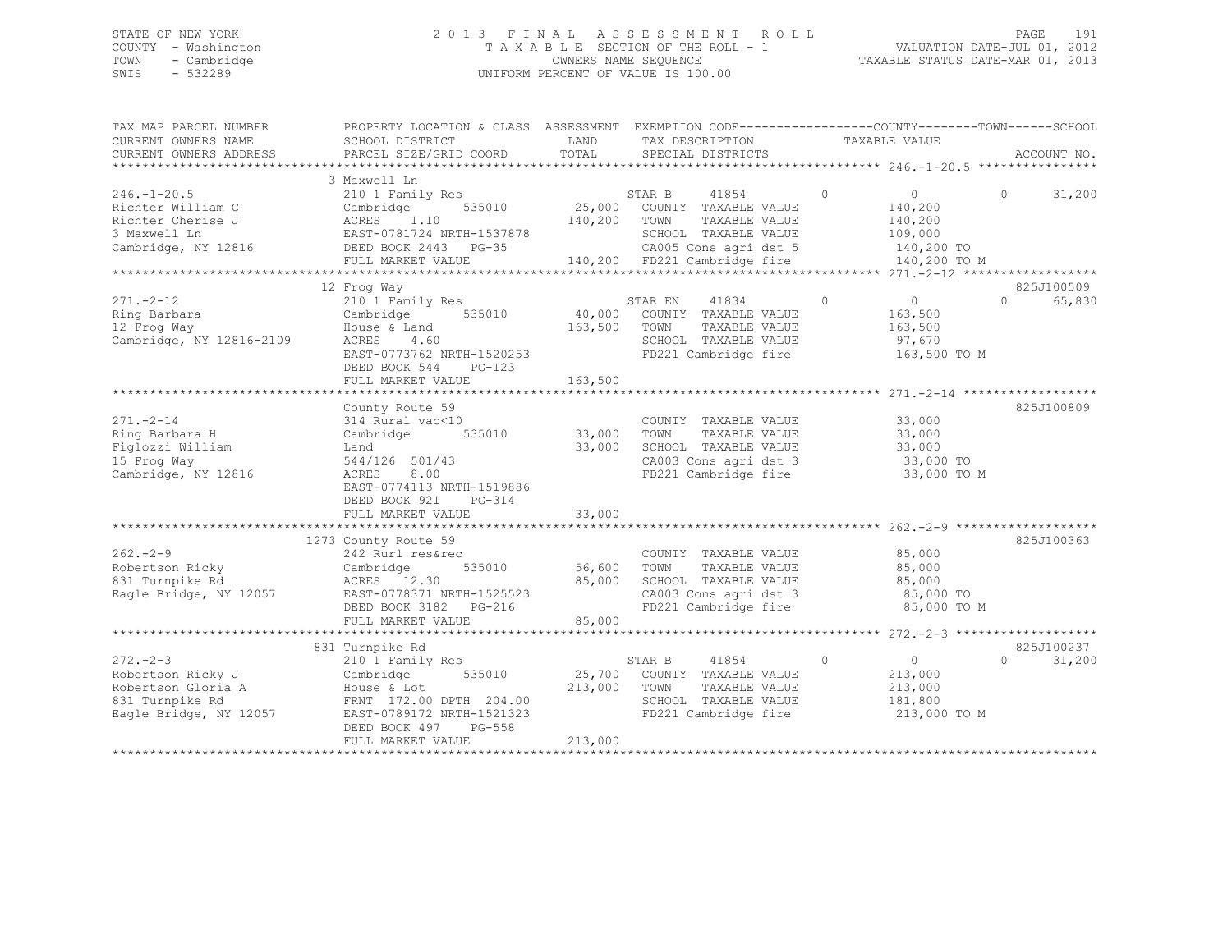## STATE OF NEW YORK 2 0 1 3 F I N A L A S S E S S M E N T R O L L PAGE 191 COUNTY - Washington T A X A B L E SECTION OF THE ROLL - 1 VALUATION DATE-JUL 01, 2012 TOWN - Cambridge OWNERS NAME SEQUENCE TAXABLE STATUS DATE-MAR 01, 2013 SWIS - 532289 UNIFORM PERCENT OF VALUE IS 100.00

| TAX MAP PARCEL NUMBER<br>CURRENT OWNERS NAME<br>CURRENT OWNERS ADDRESS                                | PROPERTY LOCATION & CLASS ASSESSMENT EXEMPTION CODE---------------COUNTY-------TOWN------SCHOOL<br>SCHOOL DISTRICT<br>PARCEL SIZE/GRID COORD                                       | LAND<br>TOTAL                | TAX DESCRIPTION<br>SPECIAL DISTRICTS                                                                                                              | TAXABLE VALUE                                                                             | ACCOUNT NO.                      |
|-------------------------------------------------------------------------------------------------------|------------------------------------------------------------------------------------------------------------------------------------------------------------------------------------|------------------------------|---------------------------------------------------------------------------------------------------------------------------------------------------|-------------------------------------------------------------------------------------------|----------------------------------|
|                                                                                                       |                                                                                                                                                                                    |                              |                                                                                                                                                   |                                                                                           |                                  |
| $246. - 1 - 20.5$<br>Richter William C<br>Richter Cherise J<br>3 Maxwell Ln<br>Cambridge, NY 12816    | 3 Maxwell Ln<br>210 1 Family Res<br>Cambridge<br>535010<br>1,10<br>ACRES<br>EAST-0781724 NRTH-1537878<br>DEED BOOK 2443 PG-35<br>FULL MARKET VALUE                                 | 25,000<br>140,200            | STAR B<br>41854<br>COUNTY TAXABLE VALUE<br>TOWN<br>TAXABLE VALUE<br>SCHOOL TAXABLE VALUE<br>CA005 Cons agri dst 5<br>140,200 FD221 Cambridge fire | $\Omega$<br>$\overline{0}$<br>140,200<br>140,200<br>109,000<br>140,200 TO<br>140,200 TO M | 31,200<br>$\Omega$               |
|                                                                                                       |                                                                                                                                                                                    |                              |                                                                                                                                                   |                                                                                           |                                  |
| $271. - 2 - 12$<br>Ring Barbara<br>12 Frog Way<br>Cambridge, NY 12816-2109                            | 12 Frog Way<br>210 1 Family Res<br>Cambridge<br>535010<br>House & Land<br>ACRES<br>4.60<br>EAST-0773762 NRTH-1520253<br>DEED BOOK 544<br>$PG-123$<br>FULL MARKET VALUE             | 40,000<br>163,500<br>163,500 | 41834<br>STAR EN<br>COUNTY TAXABLE VALUE<br>TOWN<br>TAXABLE VALUE<br>SCHOOL TAXABLE VALUE<br>FD221 Cambridge fire                                 | $\Omega$<br>$\overline{0}$<br>163,500<br>163,500<br>97,670<br>163,500 TO M                | 825J100509<br>$\Omega$<br>65,830 |
|                                                                                                       |                                                                                                                                                                                    |                              |                                                                                                                                                   |                                                                                           |                                  |
| $271. - 2 - 14$<br>Ring Barbara H<br>Figlozzi William<br>15 Froq Way<br>Cambridge, NY 12816           | County Route 59<br>314 Rural vac<10<br>535010<br>Cambridge<br>Land<br>544/126 501/43<br>ACRES<br>8.00<br>EAST-0774113 NRTH-1519886<br>DEED BOOK 921<br>PG-314<br>FULL MARKET VALUE | 33,000<br>33,000<br>33,000   | COUNTY TAXABLE VALUE<br>TOWN<br>TAXABLE VALUE<br>SCHOOL TAXABLE VALUE<br>CA003 Cons agri dst 3<br>FD221 Cambridge fire                            | 33,000<br>33,000<br>33,000<br>33,000 TO<br>33,000 TO M                                    | 825J100809                       |
|                                                                                                       |                                                                                                                                                                                    |                              |                                                                                                                                                   |                                                                                           |                                  |
| $262 - 2 - 9$<br>Robertson Ricky<br>831 Turnpike Rd<br>Eagle Bridge, NY 12057                         | 1273 County Route 59<br>242 Rurl res&rec<br>Cambridge<br>535010<br>ACRES 12.30<br>EAST-0778371 NRTH-1525523<br>DEED BOOK 3182 PG-216<br>FULL MARKET VALUE                          | 56,600<br>85,000<br>85,000   | COUNTY TAXABLE VALUE<br>TOWN<br>TAXABLE VALUE<br>SCHOOL TAXABLE VALUE<br>CA003 Cons agri dst 3<br>FD221 Cambridge fire                            | 85,000<br>85,000<br>85,000<br>85,000 TO<br>85,000 TO M                                    | 825J100363                       |
|                                                                                                       |                                                                                                                                                                                    |                              |                                                                                                                                                   |                                                                                           |                                  |
| $272 - 2 - 3$<br>Robertson Ricky J<br>Robertson Gloria A<br>831 Turnpike Rd<br>Eagle Bridge, NY 12057 | 831 Turnpike Rd<br>210 1 Family Res<br>Cambridge<br>535010<br>House & Lot<br>FRNT 172.00 DPTH 204.00<br>EAST-0789172 NRTH-1521323<br>DEED BOOK 497<br>PG-558<br>FULL MARKET VALUE  | 25,700<br>213,000<br>213,000 | 41854<br>STAR B<br>COUNTY TAXABLE VALUE<br>TAXABLE VALUE<br>TOWN<br>SCHOOL TAXABLE VALUE<br>FD221 Cambridge fire                                  | $\Omega$<br>$\overline{0}$<br>213,000<br>213,000<br>181,800<br>213,000 TO M               | 825J100237<br>$\cap$<br>31,200   |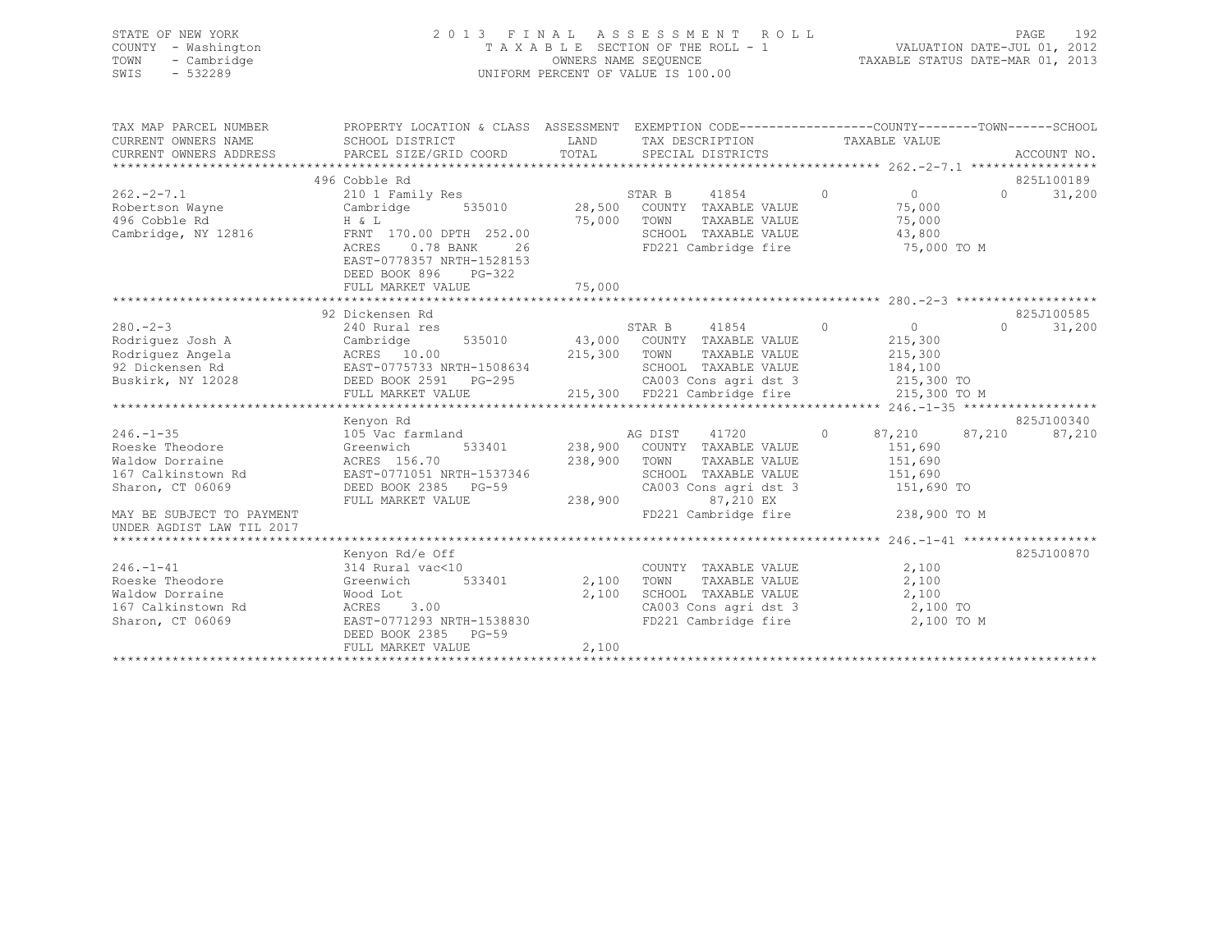| STATE OF NEW YORK                                       |                                                                                                 |              | 2013 FINAL ASSESSMENT ROLL                                                                           |               |                             | 192<br>PAGE                 |
|---------------------------------------------------------|-------------------------------------------------------------------------------------------------|--------------|------------------------------------------------------------------------------------------------------|---------------|-----------------------------|-----------------------------|
| COUNTY - Washington                                     |                                                                                                 |              | TAXABLE SECTION OF THE ROLL - 1                                                                      |               | VALUATION DATE-JUL 01, 2012 |                             |
| TOWN<br>- Cambridge                                     |                                                                                                 |              | TAXABLE STATUS DATE-MAR 01, 2013                                                                     |               |                             |                             |
| $-532289$<br>SWIS                                       |                                                                                                 |              | UNIFORM PERCENT OF VALUE IS 100.00                                                                   |               |                             |                             |
|                                                         |                                                                                                 |              |                                                                                                      |               |                             |                             |
|                                                         |                                                                                                 |              |                                                                                                      |               |                             |                             |
|                                                         |                                                                                                 |              |                                                                                                      |               |                             |                             |
| TAX MAP PARCEL NUMBER                                   | PROPERTY LOCATION & CLASS ASSESSMENT EXEMPTION CODE----------------COUNTY-------TOWN-----SCHOOI |              |                                                                                                      |               |                             |                             |
| CURRENT OWNERS NAME                                     | SCHOOL DISTRICT                                                                                 |              | LAND TAX DESCRIPTION                                                                                 | TAXABLE VALUE |                             |                             |
| CURRENT OWNERS ADDRESS                                  | PARCEL SIZE/GRID COORD                                                                          | TOTAL        | SPECIAL DISTRICTS                                                                                    |               |                             | ACCOUNT NO.                 |
|                                                         |                                                                                                 |              |                                                                                                      |               |                             |                             |
|                                                         | 496 Cobble Rd                                                                                   |              |                                                                                                      |               |                             | 825L100189                  |
| $262 - 2 - 7.1$                                         | 210 1 Family Res                                                                                |              | 41854<br>STAR B                                                                                      | $\circ$       | $\overline{0}$              | 31,200<br>$0 \qquad \qquad$ |
| Robertson Wayne                                         | Cambridge                                                                                       |              | 535010 28,500 COUNTY TAXABLE VALUE                                                                   |               | 75,000                      |                             |
| 496 Cobble Rd                                           | $H & \& L$                                                                                      | 75,000 TOWN  | TAXABLE VALUE                                                                                        |               | 75,000                      |                             |
| Cambridge, NY 12816                                     | FRNT 170.00 DPTH 252.00                                                                         |              | SCHOOL TAXABLE VALUE                                                                                 |               | 43,800                      |                             |
|                                                         | ACRES<br>$0.78$ BANK<br>26                                                                      |              | FD221 Cambridge fire                                                                                 |               | 75,000 TO M                 |                             |
|                                                         | EAST-0778357 NRTH-1528153                                                                       |              |                                                                                                      |               |                             |                             |
|                                                         | DEED BOOK 896<br>$PG-322$                                                                       |              |                                                                                                      |               |                             |                             |
|                                                         | FULL MARKET VALUE                                                                               | 75,000       |                                                                                                      |               |                             |                             |
|                                                         |                                                                                                 |              |                                                                                                      |               |                             |                             |
|                                                         | 92 Dickensen Rd                                                                                 |              |                                                                                                      |               |                             | 825J100585                  |
| $280 - 2 - 3$                                           | 240 Rural res                                                                                   |              | STAR B<br>41854                                                                                      | $\Omega$      | $\circ$                     | $\Omega$<br>31,200          |
| Rodriquez Josh A                                        | Cambridge<br>535010                                                                             |              | 43,000 COUNTY TAXABLE VALUE                                                                          |               | 215,300                     |                             |
| Rodriguez Josh A<br>Rodriguez Angela<br>92 Dickensen Rd | ACRES 10.00                                                                                     |              | 215,300 TOWN<br>TAXABLE VALUE                                                                        |               | 215,300                     |                             |
|                                                         | EAST-0775733 NRTH-1508634                                                                       |              | SCHOOL TAXABLE VALUE                                                                                 |               | 184,100                     |                             |
| Buskirk, NY 12028                                       | DEED BOOK 2591    PG-295                                                                        |              | CA003 Cons agri dst 3                                                                                | 215,300 TO    |                             |                             |
|                                                         | FULL MARKET VALUE                                                                               |              | $\frac{1}{3}$ °G-295 CAUUS CONS ay il was componently $\frac{215,300}{215,300}$ FD221 Cambridge fire |               | 215,300 TO M                |                             |
|                                                         |                                                                                                 |              |                                                                                                      |               |                             |                             |
|                                                         | Kenyon Rd                                                                                       |              |                                                                                                      |               |                             | 825J100340                  |
| $246. - 1 - 35$                                         | 105 Vac farmland                                                                                |              | AG DIST<br>41720                                                                                     | $\circ$       | 87,210<br>87,210            | 87,210                      |
| Roeske Theodore                                         | Greenwich                                                                                       |              | 533401 238,900 COUNTY TAXABLE VALUE                                                                  |               | 151,690                     |                             |
| Waldow Dorraine                                         | ACRES 156.70                                                                                    | 238,900 TOWN | TAXABLE VALUE                                                                                        |               | 151,690                     |                             |
| 167 Calkinstown Rd                                      | EAST-0771051 NRTH-1537346                                                                       |              | SCHOOL TAXABLE VALUE                                                                                 |               | 151,690                     |                             |
| Sharon, CT 06069                                        | DEED BOOK 2385 PG-59                                                                            |              | CA003 Cons agri dst 3                                                                                |               | 151,690 TO                  |                             |
|                                                         | FULL MARKET VALUE                                                                               | 238,900      | 87,210 EX                                                                                            |               |                             |                             |
| MAY BE SUBJECT TO PAYMENT                               |                                                                                                 |              | FD221 Cambridge fire                                                                                 |               | 238,900 TO M                |                             |
| UNDER AGDIST LAW TIL 2017                               |                                                                                                 |              |                                                                                                      |               |                             |                             |
|                                                         |                                                                                                 |              |                                                                                                      |               |                             |                             |
|                                                         | Kenyon Rd/e Off                                                                                 |              |                                                                                                      |               |                             | 825J100870                  |
| $246. - 1 - 41$                                         | 314 Rural vac<10                                                                                |              | COUNTY TAXABLE VALUE                                                                                 |               | 2,100                       |                             |
| Roeske Theodore                                         | Greenwich<br>533401                                                                             |              | 2,100 TOWN<br>TAXABLE VALUE                                                                          |               | 2,100                       |                             |
| Waldow Dorraine                                         | Wood Lot                                                                                        | 2,100        | SCHOOL TAXABLE VALUE                                                                                 |               | 2,100                       |                             |
| 167 Calkinstown Rd                                      | ACRES<br>3.00                                                                                   |              | CA003 Cons agri dst 3                                                                                |               | 2,100 TO                    |                             |
|                                                         |                                                                                                 |              |                                                                                                      |               |                             |                             |

167 Calkinstown Rd  $ACRES$  3.00 CA003 Cons agri dst 3 2,100 TO<br>
Sharon, CT 06069 CAST-0771293 NRTH-1538830 FD221 Cambridge fire 2,100 TO M

\*\*\*\*\*\*\*\*\*\*\*\*\*\*\*\*\*\*\*\*\*\*\*\*\*\*\*\*\*\*\*\*\*\*\*\*\*\*\*\*\*\*\*\*\*\*\*\*\*\*\*\*\*\*\*\*\*\*\*\*\*\*\*\*\*\*\*\*\*\*\*\*\*\*\*\*\*\*\*\*\*\*\*\*\*\*\*\*\*\*\*\*\*\*\*\*\*\*\*\*\*\*\*\*\*\*\*\*\*\*\*\*\*\*\*\*\*\*\*\*\*\*\*\*\*\*\*\*\*\*\*\*

EAST-0771293 NRTH-1538830 DEED BOOK 2385 PG-59

FULL MARKET VALUE 2,100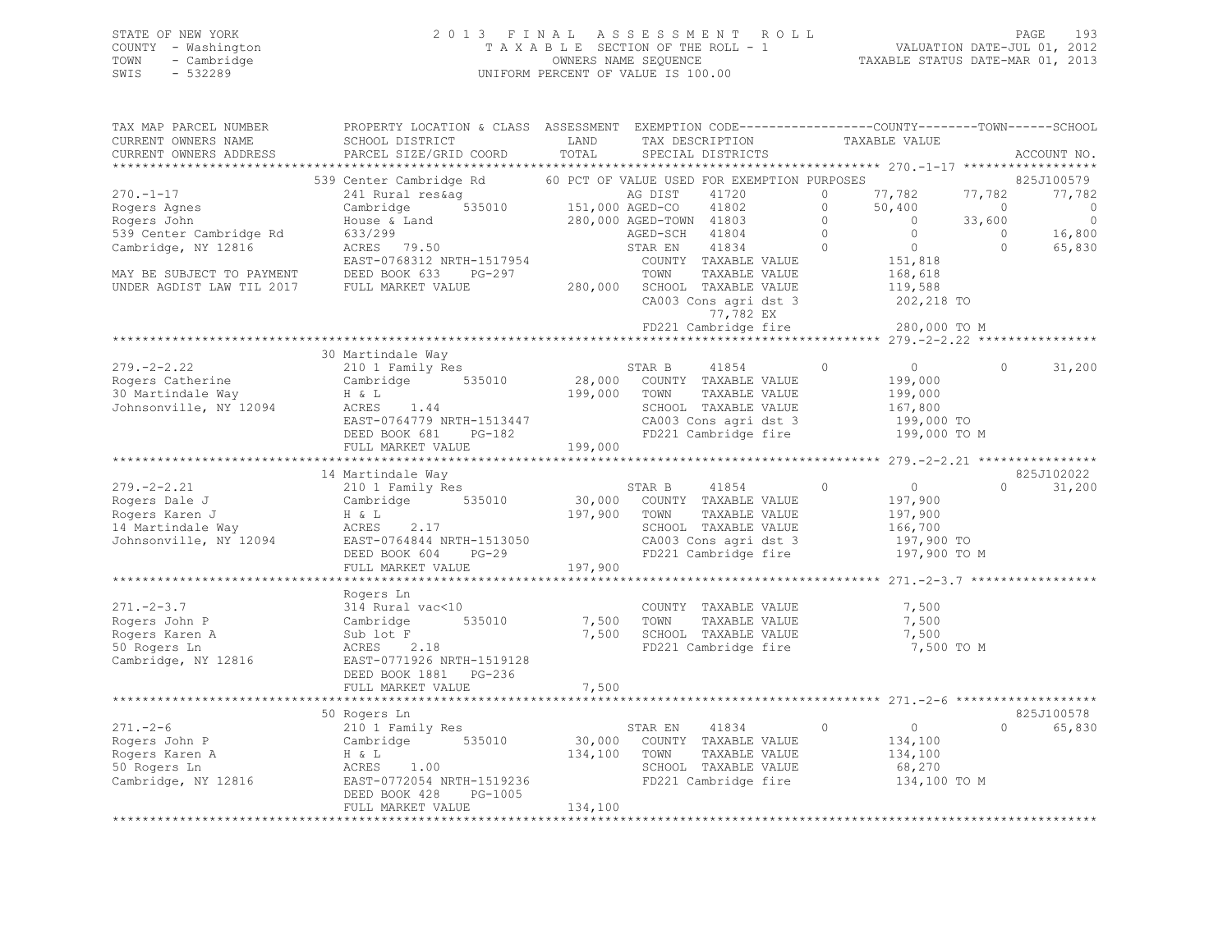## STATE OF NEW YORK 2 0 1 3 F I N A L A S S E S S M E N T R O L L PAGE 193 COUNTY - Washington T A X A B L E SECTION OF THE ROLL - 1 VALUATION DATE-JUL 01, 2012 TOWN - Cambridge OWNERS NAME SEQUENCE TAXABLE STATUS DATE-MAR 01, 2013 SWIS - 532289 UNIFORM PERCENT OF VALUE IS 100.00

| TAX MAP PARCEL NUMBER<br>CURRENT OWNERS NAME         | PROPERTY LOCATION & CLASS ASSESSMENT EXEMPTION CODE---------------COUNTY-------TOWN-----SCHOOL<br>SCHOOL DISTRICT | LAND                   | TAX DESCRIPTION                                      | TAXABLE VALUE                    |                |             |
|------------------------------------------------------|-------------------------------------------------------------------------------------------------------------------|------------------------|------------------------------------------------------|----------------------------------|----------------|-------------|
| CURRENT OWNERS ADDRESS                               | PARCEL SIZE/GRID COORD                                                                                            | TOTAL                  | SPECIAL DISTRICTS                                    |                                  |                | ACCOUNT NO. |
|                                                      | 539 Center Cambridge Rd                                                                                           |                        | 60 PCT OF VALUE USED FOR EXEMPTION PURPOSES          |                                  |                | 825J100579  |
| $270. - 1 - 17$                                      | 241 Rural res&ag                                                                                                  |                        | AG DIST<br>41720                                     | 77,782<br>$\circ$                | 77,782         | 77,782      |
| Rogers Agnes                                         | Cambridge                                                                                                         | 535010 151,000 AGED-CO | 41802                                                | $\circ$<br>50,400                | $\overline{0}$ | $\circ$     |
| Rogers John                                          | House & Land                                                                                                      |                        | 280,000 AGED-TOWN 41803                              | $\circ$<br>$\overline{0}$        | 33,600         | $\circ$     |
| 539 Center Cambridge Rd                              | 633/299                                                                                                           |                        | 41804<br>AGED-SCH                                    | $\overline{0}$<br>$\bigcirc$     | $\Omega$       | 16,800      |
| Cambridge, NY 12816                                  | ACRES 79.50                                                                                                       |                        | 41834<br>STAR EN                                     | $\overline{0}$<br>$\overline{0}$ | $\circ$        | 65,830      |
|                                                      | EAST-0768312 NRTH-1517954                                                                                         |                        | COUNTY TAXABLE VALUE                                 | 151,818                          |                |             |
| MAY BE SUBJECT TO PAYMENT                            | DEED BOOK 633<br>PG-297                                                                                           |                        | TOWN<br>TAXABLE VALUE                                | 168,618                          |                |             |
| UNDER AGDIST LAW TIL 2017 FULL MARKET VALUE          |                                                                                                                   |                        | 280,000 SCHOOL TAXABLE VALUE                         | 119,588                          |                |             |
|                                                      |                                                                                                                   |                        | CA003 Cons agri dst 3                                | 202,218 TO                       |                |             |
|                                                      |                                                                                                                   |                        | 77,782 EX                                            |                                  |                |             |
|                                                      |                                                                                                                   |                        | FD221 Cambridge fire 280,000 TO M                    |                                  |                |             |
|                                                      |                                                                                                                   |                        |                                                      |                                  |                |             |
|                                                      | 30 Martindale Way                                                                                                 |                        |                                                      |                                  |                |             |
| $279. - 2 - 2.22$                                    | 210 1 Family Res                                                                                                  |                        | 41854<br>STAR B                                      | $\circ$<br>$\overline{0}$        | $\Omega$       | 31,200      |
| Rogers Catherine                                     | Cambridge 535010                                                                                                  |                        | 28,000 COUNTY TAXABLE VALUE                          | 199,000                          |                |             |
| 30 Martindale Way                                    | H & L                                                                                                             | 199,000                | TOWN<br>TAXABLE VALUE                                | 199,000                          |                |             |
| Johnsonville, NY 12094                               |                                                                                                                   |                        | SCHOOL TAXABLE VALUE                                 | 167,800                          |                |             |
|                                                      | ACKES 1.44<br>EAST-0764779 NRTH-1513447<br>DEED BOOK 681 PG-182<br>PHIL MARTING 1                                 |                        | CA003 Cons agri dst 3                                | 199,000 TO<br>199,000 TO M       |                |             |
|                                                      | FULL MARKET VALUE                                                                                                 | 199,000                | FD221 Cambridge fire                                 |                                  |                |             |
|                                                      |                                                                                                                   |                        |                                                      |                                  |                |             |
|                                                      | 14 Martindale Way                                                                                                 |                        |                                                      |                                  |                | 825J102022  |
| $279. - 2 - 2.21$                                    | 210 1 Family Res                                                                                                  |                        | STAR B<br>41854                                      | $\circ$<br>$\sim$ 0              | $\cap$         | 31,200      |
| Rogers Dale J                                        | Cambridge 535010                                                                                                  | 30,000                 | COUNTY TAXABLE VALUE                                 | 197,900                          |                |             |
| Rogers Dale J<br>Rogers Karen J<br>14 Martindale Way | $H \& L$                                                                                                          | 197,900                | TOWN<br>TAXABLE VALUE                                | 197,900                          |                |             |
|                                                      | ACRES<br>2.17                                                                                                     |                        | SCHOOL TAXABLE VALUE                                 | 166,700                          |                |             |
| Johnsonville, NY 12094                               | EAST-0764844 NRTH-1513050                                                                                         |                        | CA003 Cons agri dst 3                                | 197,900 TO                       |                |             |
|                                                      | DEED BOOK 604<br>$PG-29$                                                                                          |                        | FD221 Cambridge fire                                 | 197,900 TO M                     |                |             |
|                                                      | FULL MARKET VALUE                                                                                                 | 197,900                |                                                      |                                  |                |             |
|                                                      |                                                                                                                   |                        |                                                      |                                  |                |             |
|                                                      | Rogers Ln                                                                                                         |                        |                                                      |                                  |                |             |
| $271 - 2 - 3.7$                                      | 314 Rural vac<10                                                                                                  |                        | COUNTY TAXABLE VALUE                                 | 7,500                            |                |             |
| Rogers John P                                        | Cambridge<br>535010                                                                                               | 7,500                  | TOWN<br>TAXABLE VALUE                                | 7,500                            |                |             |
| Rogers Karen A                                       | Sub lot F                                                                                                         | 7,500                  | SCHOOL TAXABLE VALUE                                 | 7,500                            |                |             |
| 50 Rogers Ln                                         | ACRES 2.18                                                                                                        |                        | FD221 Cambridge fire                                 | 7,500 TO M                       |                |             |
| Cambridge, NY 12816                                  | EAST-0771926 NRTH-1519128                                                                                         |                        |                                                      |                                  |                |             |
|                                                      | DEED BOOK 1881 PG-236                                                                                             |                        |                                                      |                                  |                |             |
|                                                      | FULL MARKET VALUE                                                                                                 | 7,500                  |                                                      |                                  |                |             |
|                                                      |                                                                                                                   |                        |                                                      |                                  |                |             |
|                                                      | 50 Rogers Ln<br>210 1 Family Res                                                                                  |                        |                                                      |                                  |                | 825J100578  |
| $271. - 2 - 6$                                       |                                                                                                                   |                        | 41834<br>STAR EN                                     | $\circ$<br>$\overline{0}$        | $\cap$         | 65,830      |
| Rogers John P                                        | Cambridge 535010                                                                                                  | 134,100                | 30,000 COUNTY TAXABLE VALUE<br>TOWN<br>TAXABLE VALUE | 134,100                          |                |             |
| Rogers Karen A<br>50 Rogers Ln                       | H & L<br>ACRES<br>1.00                                                                                            |                        | SCHOOL TAXABLE VALUE                                 | 134,100<br>68,270                |                |             |
| Cambridge, NY 12816                                  | EAST-0772054 NRTH-1519236                                                                                         |                        | FD221 Cambridge fire                                 | 134,100 TO M                     |                |             |
|                                                      | DEED BOOK 428<br>PG-1005                                                                                          |                        |                                                      |                                  |                |             |
|                                                      | FULL MARKET VALUE                                                                                                 | 134,100                |                                                      |                                  |                |             |
|                                                      |                                                                                                                   |                        |                                                      |                                  |                |             |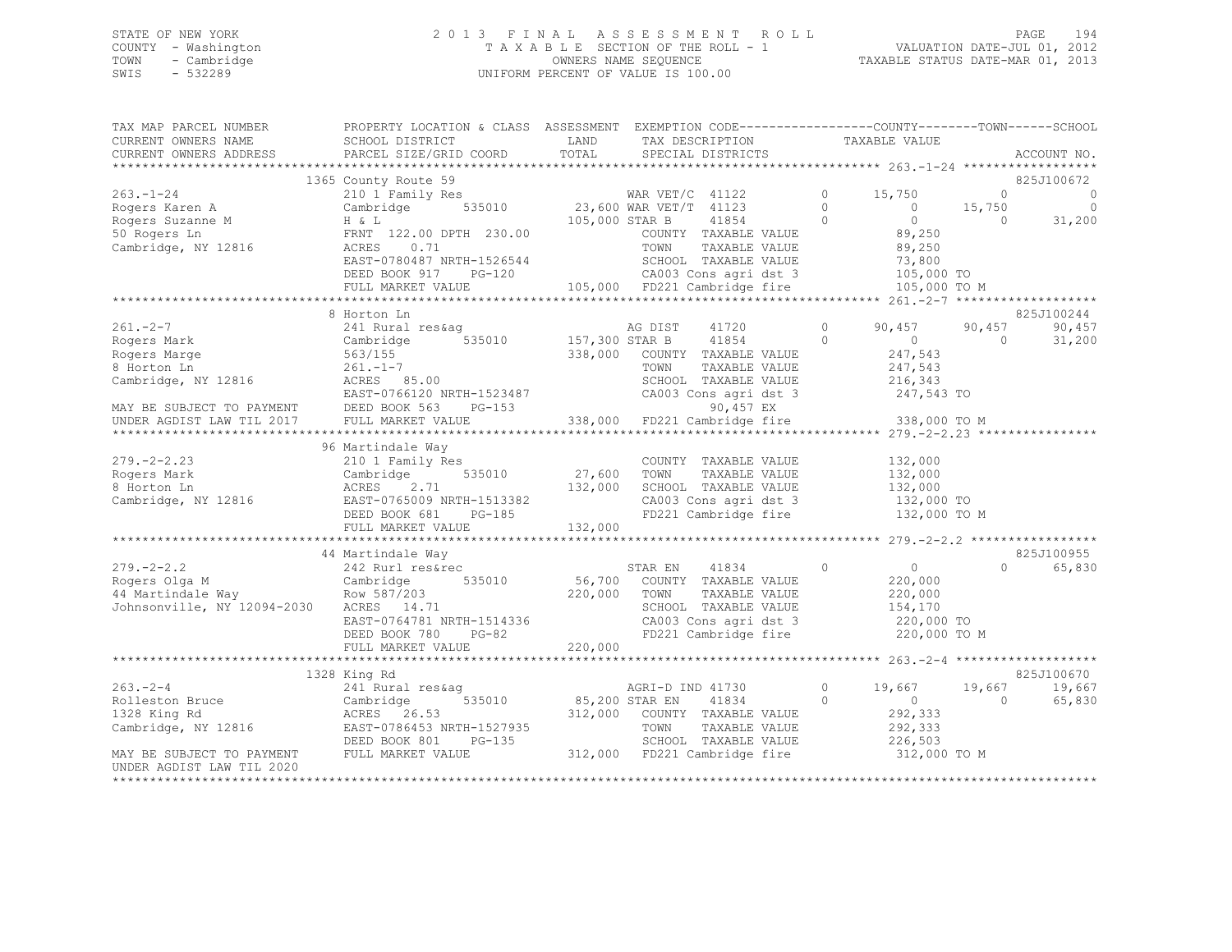## STATE OF NEW YORK 2 0 1 3 F I N A L A S S E S S M E N T R O L L PAGE 194 COUNTY - Washington T A X A B L E SECTION OF THE ROLL - 1 VALUATION DATE-JUL 01, 2012 TOWN - Cambridge OWNERS NAME SEQUENCE TAXABLE STATUS DATE-MAR 01, 2013 SWIS - 532289 UNIFORM PERCENT OF VALUE IS 100.00

| TAX MAP PARCEL NUMBER<br>CURRENT OWNERS NAME | PROPERTY LOCATION & CLASS ASSESSMENT EXEMPTION CODE-----------------COUNTY-------TOWN------SCHOOL | LAND           |                                           |                     | TAXABLE VALUE                                |          |             |
|----------------------------------------------|---------------------------------------------------------------------------------------------------|----------------|-------------------------------------------|---------------------|----------------------------------------------|----------|-------------|
| CURRENT OWNERS ADDRESS                       | SCHOOL DISTRICT<br>PARCEL SIZE/GRID COORD                                                         | TOTAL          | TAX DESCRIPTION<br>SPECIAL DISTRICTS      |                     |                                              |          | ACCOUNT NO. |
|                                              |                                                                                                   |                |                                           |                     |                                              |          |             |
|                                              | 1365 County Route 59                                                                              |                |                                           |                     |                                              |          | 825J100672  |
| $263. - 1 - 24$                              | 210 1 Family Res                                                                                  |                | WAR VET/C 41122<br>23,600 WAR VET/T 41123 | $\circ$             | 15,750                                       | $\circ$  | 0           |
| Rogers Karen A                               | 535010<br>Cambridge                                                                               |                |                                           | $\circ$<br>$\Omega$ | $\overline{0}$<br>$\overline{0}$             | 15,750   | $\circ$     |
| Rogers Suzanne M                             | H & L<br>FRNT 122.00 DPTH 230.00                                                                  | 105,000 STAR B | 41854<br>COUNTY TAXABLE VALUE             |                     | 89,250                                       | $\circ$  | 31,200      |
| 50 Rogers Ln<br>Cambridge, NY 12816          | ACRES<br>0.71                                                                                     |                | TOWN<br>TAXABLE VALUE                     |                     | 89,250                                       |          |             |
|                                              | EAST-0780487 NRTH-1526544                                                                         |                | SCHOOL TAXABLE VALUE                      |                     | 73,800                                       |          |             |
|                                              | DEED BOOK 917<br>PG-120                                                                           |                | CA003 Cons agri dst 3                     |                     | 105,000 TO                                   |          |             |
|                                              | FULL MARKET VALUE                                                                                 |                | 105,000 FD221 Cambridge fire              |                     | 105,000 TO M                                 |          |             |
|                                              |                                                                                                   |                |                                           |                     |                                              |          |             |
|                                              | 8 Horton Ln                                                                                       |                |                                           |                     |                                              |          | 825J100244  |
| $261 - 2 - 7$                                | 241 Rural res&aq                                                                                  |                | 41720<br>AG DIST                          | $\circ$             | 90,457                                       | 90,457   | 90,457      |
| Rogers Mark                                  | 535010<br>Cambridge                                                                               | 157,300 STAR B | 41854                                     | $\circ$             | $\circ$                                      | $\Omega$ | 31,200      |
| Rogers Marge                                 | 563/155                                                                                           | 338,000        | COUNTY TAXABLE VALUE                      |                     | 247,543                                      |          |             |
| 8 Horton Ln                                  | $261 - 1 - 7$                                                                                     |                | TOWN<br>TAXABLE VALUE                     |                     | 247,543                                      |          |             |
| Cambridge, NY 12816                          | ACRES 85.00                                                                                       |                | SCHOOL TAXABLE VALUE                      |                     | 216,343                                      |          |             |
|                                              | EAST-0766120 NRTH-1523487                                                                         |                | CA003 Cons agri dst 3                     |                     | 247,543 TO                                   |          |             |
| MAY BE SUBJECT TO PAYMENT                    | DEED BOOK 563<br>$PG-153$                                                                         |                | 90,457 EX                                 |                     |                                              |          |             |
| UNDER AGDIST LAW TIL 2017                    | FULL MARKET VALUE                                                                                 |                | 338,000 FD221 Cambridge fire              |                     | 338,000 TO M                                 |          |             |
|                                              |                                                                                                   |                |                                           |                     |                                              |          |             |
|                                              | 96 Martindale Way                                                                                 |                |                                           |                     |                                              |          |             |
| $279. - 2 - 2.23$                            | 210 1 Family Res                                                                                  |                | COUNTY TAXABLE VALUE                      |                     | 132,000                                      |          |             |
| Rogers Mark                                  | 535010<br>Cambridge                                                                               | 27,600         | TOWN<br>TAXABLE VALUE                     |                     | 132,000                                      |          |             |
| 8 Horton Ln                                  | 2.71<br>ACRES                                                                                     | 132,000        | SCHOOL TAXABLE VALUE                      |                     | 132,000                                      |          |             |
| Cambridge, NY 12816                          | EAST-0765009 NRTH-1513382                                                                         |                | CA003 Cons agri dst 3                     |                     | 132,000 TO                                   |          |             |
|                                              | DEED BOOK 681<br>PG-185                                                                           |                | FD221 Cambridge fire                      |                     | 132,000 TO M                                 |          |             |
|                                              | FULL MARKET VALUE                                                                                 | 132,000        |                                           |                     |                                              |          |             |
|                                              |                                                                                                   |                |                                           |                     |                                              |          |             |
|                                              | 44 Martindale Way                                                                                 |                |                                           |                     |                                              |          | 825J100955  |
| $279. - 2 - 2.2$                             | 242 Rurl res&rec                                                                                  |                | STAR EN<br>41834                          | $\circ$             | $\overline{0}$                               | $\Omega$ | 65,830      |
| Rogers Olga M                                | 535010<br>Cambridge                                                                               |                | 56,700 COUNTY TAXABLE VALUE               |                     | 220,000                                      |          |             |
| 44 Martindale Way 687/203                    |                                                                                                   | 220,000        | TOWN<br>TAXABLE VALUE                     |                     | 220,000                                      |          |             |
| Johnsonville, NY 12094-2030                  | ACRES 14.71                                                                                       |                | SCHOOL TAXABLE VALUE                      |                     | 154,170                                      |          |             |
|                                              | EAST-0764781 NRTH-1514336                                                                         |                | CA003 Cons agri dst 3                     |                     | 220,000 TO                                   |          |             |
|                                              | DEED BOOK 780<br>$PG-82$<br>FULL MARKET VALUE                                                     | 220,000        | FD221 Cambridge fire                      |                     | 220,000 TO M                                 |          |             |
|                                              | ************************                                                                          |                |                                           |                     | ************** 263.-2-4 ******************** |          |             |
|                                              | 1328 King Rd                                                                                      |                |                                           |                     |                                              |          | 825J100670  |
| $263 - 2 - 4$                                | 241 Rural res&aq                                                                                  |                | AGRI-D IND 41730                          | 0                   | 19,667                                       | 19,667   | 19,667      |
| Rolleston Bruce                              | 535010<br>Cambridge                                                                               | 85,200 STAR EN | 41834                                     | $\circ$             | $\overline{0}$                               | $\circ$  | 65,830      |
| 1328 King Rd                                 | ACRES 26.53                                                                                       | 312,000        | COUNTY TAXABLE VALUE                      |                     | 292,333                                      |          |             |
| Cambridge, NY 12816                          | EAST-0786453 NRTH-1527935                                                                         |                | TOWN<br>TAXABLE VALUE                     |                     | 292,333                                      |          |             |
|                                              | DEED BOOK 801<br>PG-135                                                                           |                | SCHOOL TAXABLE VALUE                      |                     | 226,503                                      |          |             |
| MAY BE SUBJECT TO PAYMENT                    | FULL MARKET VALUE                                                                                 |                | 312,000 FD221 Cambridge fire              |                     | 312,000 TO M                                 |          |             |
| UNDER AGDIST LAW TIL 2020                    |                                                                                                   |                |                                           |                     |                                              |          |             |
|                                              |                                                                                                   |                |                                           |                     |                                              |          |             |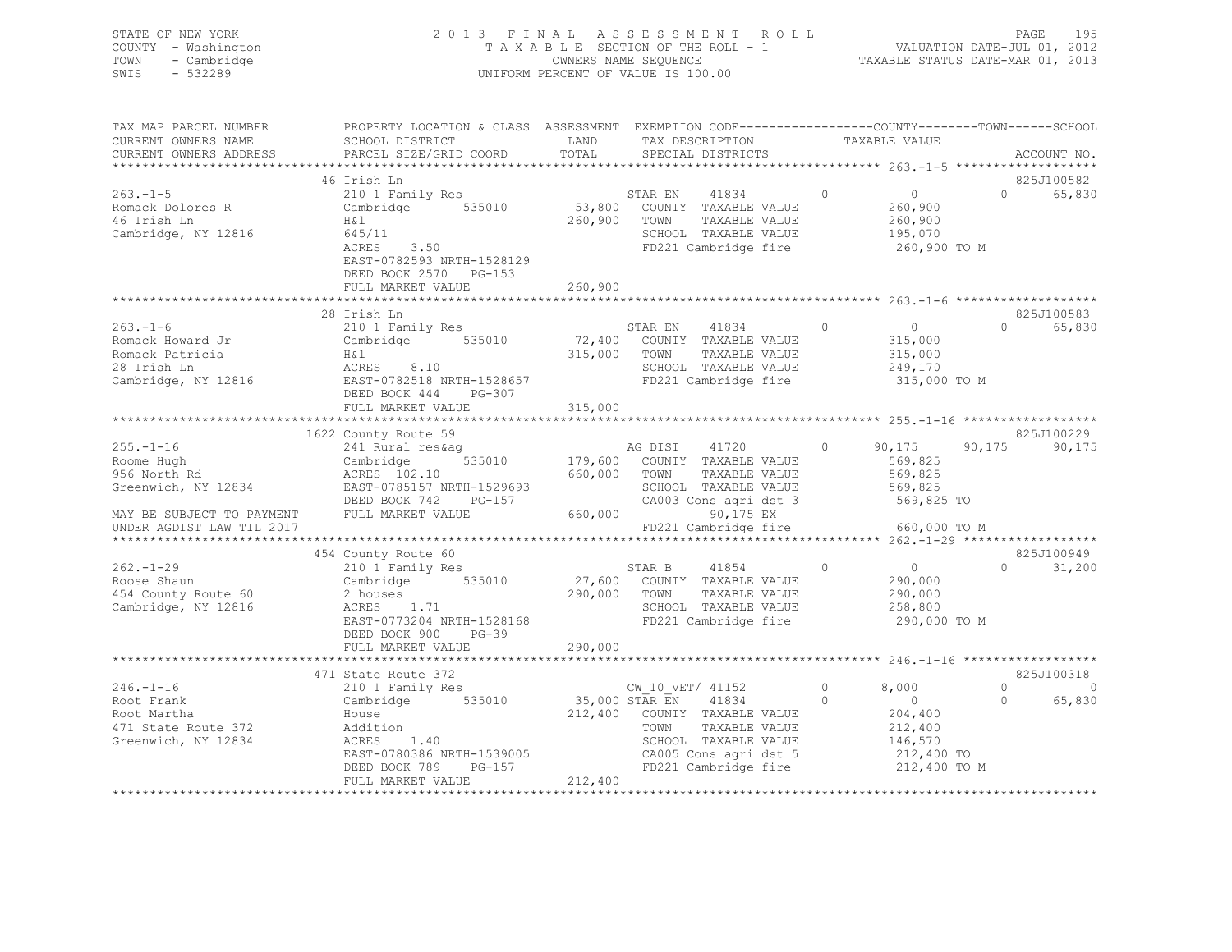## STATE OF NEW YORK 2 0 1 3 F I N A L A S S E S S M E N T R O L L PAGE 195 COUNTY - Washington T A X A B L E SECTION OF THE ROLL - 1 VALUATION DATE-JUL 01, 2012 TOWN - Cambridge OWNERS NAME SEQUENCE TAXABLE STATUS DATE-MAR 01, 2013 SWIS - 532289 UNIFORM PERCENT OF VALUE IS 100.00

| TAX MAP PARCEL NUMBER<br>CURRENT OWNERS NAME<br>CURRENT OWNERS ADDRESS<br>************************** | PROPERTY LOCATION & CLASS ASSESSMENT<br>SCHOOL DISTRICT<br>PARCEL SIZE/GRID COORD                                                                          | LAND<br>TOTAL                        | EXEMPTION CODE-----------------COUNTY-------TOWN------SCHOOL<br>TAX DESCRIPTION<br>SPECIAL DISTRICTS                                                |               | TAXABLE VALUE                                                                          |                      | ACCOUNT NO.          |
|------------------------------------------------------------------------------------------------------|------------------------------------------------------------------------------------------------------------------------------------------------------------|--------------------------------------|-----------------------------------------------------------------------------------------------------------------------------------------------------|---------------|----------------------------------------------------------------------------------------|----------------------|----------------------|
|                                                                                                      | 46 Irish Ln                                                                                                                                                |                                      |                                                                                                                                                     |               |                                                                                        |                      | 825J100582           |
| $263 - 1 - 5$<br>Romack Dolores R<br>46 Irish Ln<br>Cambridge, NY 12816                              | 210 1 Family Res<br>535010<br>Cambridge<br>H&l<br>645/11<br>ACRES<br>3.50<br>EAST-0782593 NRTH-1528129<br>DEED BOOK 2570 PG-153                            | 53,800<br>260,900                    | STAR EN<br>41834<br>COUNTY TAXABLE VALUE<br>TOWN<br>TAXABLE VALUE<br>SCHOOL TAXABLE VALUE<br>FD221 Cambridge fire                                   | $\circ$       | $\overline{0}$<br>260,900<br>260,900<br>195,070<br>260,900 то м                        | $\Omega$             | 65,830               |
|                                                                                                      | FULL MARKET VALUE                                                                                                                                          | 260,900                              |                                                                                                                                                     |               |                                                                                        |                      |                      |
|                                                                                                      |                                                                                                                                                            |                                      |                                                                                                                                                     |               |                                                                                        |                      |                      |
| $263. - 1 - 6$<br>Romack Howard Jr<br>Romack Patricia<br>28 Irish Ln<br>Cambridge, NY 12816          | 28 Irish Ln<br>210 1 Family Res<br>Cambridge 535010<br>H&l<br>ACRES<br>8.10<br>EAST-0782518 NRTH-1528657<br>DEED BOOK 444<br>PG-307<br>FULL MARKET VALUE   | 72,400<br>315,000<br>315,000         | STAR EN<br>41834<br>COUNTY TAXABLE VALUE<br>TOWN<br>TAXABLE VALUE<br>SCHOOL TAXABLE VALUE<br>FD221 Cambridge fire                                   | $\circ$       | $\overline{0}$<br>315,000<br>315,000<br>249,170<br>315,000 TO M                        | $\Omega$             | 825J100583<br>65,830 |
|                                                                                                      |                                                                                                                                                            |                                      |                                                                                                                                                     |               |                                                                                        |                      |                      |
|                                                                                                      | 1622 County Route 59                                                                                                                                       |                                      |                                                                                                                                                     |               |                                                                                        |                      | 825J100229           |
| $255. - 1 - 16$<br>Roome Hugh<br>956 North Rd<br>Greenwich, NY 12834                                 | 241 Rural res&aq<br>535010<br>Cambridge<br>ACRES 102.10<br>EAST-0785157 NRTH-1529693<br>DEED BOOK 742<br>PG-157                                            | 179,600<br>660,000                   | AG DIST<br>41720<br>COUNTY TAXABLE VALUE<br>TAXABLE VALUE<br>TOWN<br>SCHOOL TAXABLE VALUE<br>CA003 Cons agri dst 3                                  | 0             | 90,175<br>569,825<br>569,825<br>569,825<br>569,825 TO                                  | 90, 175              | 90,175               |
| MAY BE SUBJECT TO PAYMENT                                                                            | FULL MARKET VALUE                                                                                                                                          | 660,000                              | 90,175 EX                                                                                                                                           |               |                                                                                        |                      |                      |
| UNDER AGDIST LAW TIL 2017                                                                            |                                                                                                                                                            |                                      | FD221 Cambridge fire                                                                                                                                |               | 660,000 TO M                                                                           |                      |                      |
|                                                                                                      |                                                                                                                                                            |                                      |                                                                                                                                                     |               |                                                                                        |                      |                      |
| $262. -1 - 29$<br>Roose Shaun<br>454 County Route 60<br>Cambridge, NY 12816                          | 454 County Route 60<br>210 1 Family Res<br>535010<br>Cambridge<br>2 houses<br>ACRES 1.71<br>EAST-0773204 NRTH-1528168<br>DEED BOOK 900<br>$PG-39$          | 27,600<br>290,000                    | 41854<br>STAR B<br>COUNTY TAXABLE VALUE<br>TOWN<br>TAXABLE VALUE<br>SCHOOL TAXABLE VALUE<br>FD221 Cambridge fire                                    | $\Omega$      | $\overline{0}$<br>290,000<br>290,000<br>258,800<br>290,000 TO M                        | $\cap$               | 825J100949<br>31,200 |
|                                                                                                      | FULL MARKET VALUE                                                                                                                                          | 290,000                              |                                                                                                                                                     |               |                                                                                        |                      |                      |
|                                                                                                      |                                                                                                                                                            |                                      |                                                                                                                                                     |               |                                                                                        |                      |                      |
|                                                                                                      | 471 State Route 372                                                                                                                                        |                                      |                                                                                                                                                     |               |                                                                                        |                      | 825J100318           |
| $246. - 1 - 16$<br>Root Frank<br>Root Martha<br>471 State Route 372<br>Greenwich, NY 12834           | 210 1 Family Res<br>535010<br>Cambridge<br>House<br>Addition<br>ACRES<br>1.40<br>EAST-0780386 NRTH-1539005<br>PG-157<br>DEED BOOK 789<br>FULL MARKET VALUE | 35,000 STAR EN<br>212,400<br>212,400 | CW 10 VET/ 41152<br>41834<br>COUNTY TAXABLE VALUE<br>TOWN<br>TAXABLE VALUE<br>SCHOOL TAXABLE VALUE<br>CA005 Cons agri dst 5<br>FD221 Cambridge fire | 0<br>$\Omega$ | 8,000<br>$\overline{0}$<br>204,400<br>212,400<br>146,570<br>212,400 TO<br>212,400 TO M | $\Omega$<br>$\Omega$ | $\Omega$<br>65,830   |
|                                                                                                      |                                                                                                                                                            |                                      |                                                                                                                                                     |               |                                                                                        |                      |                      |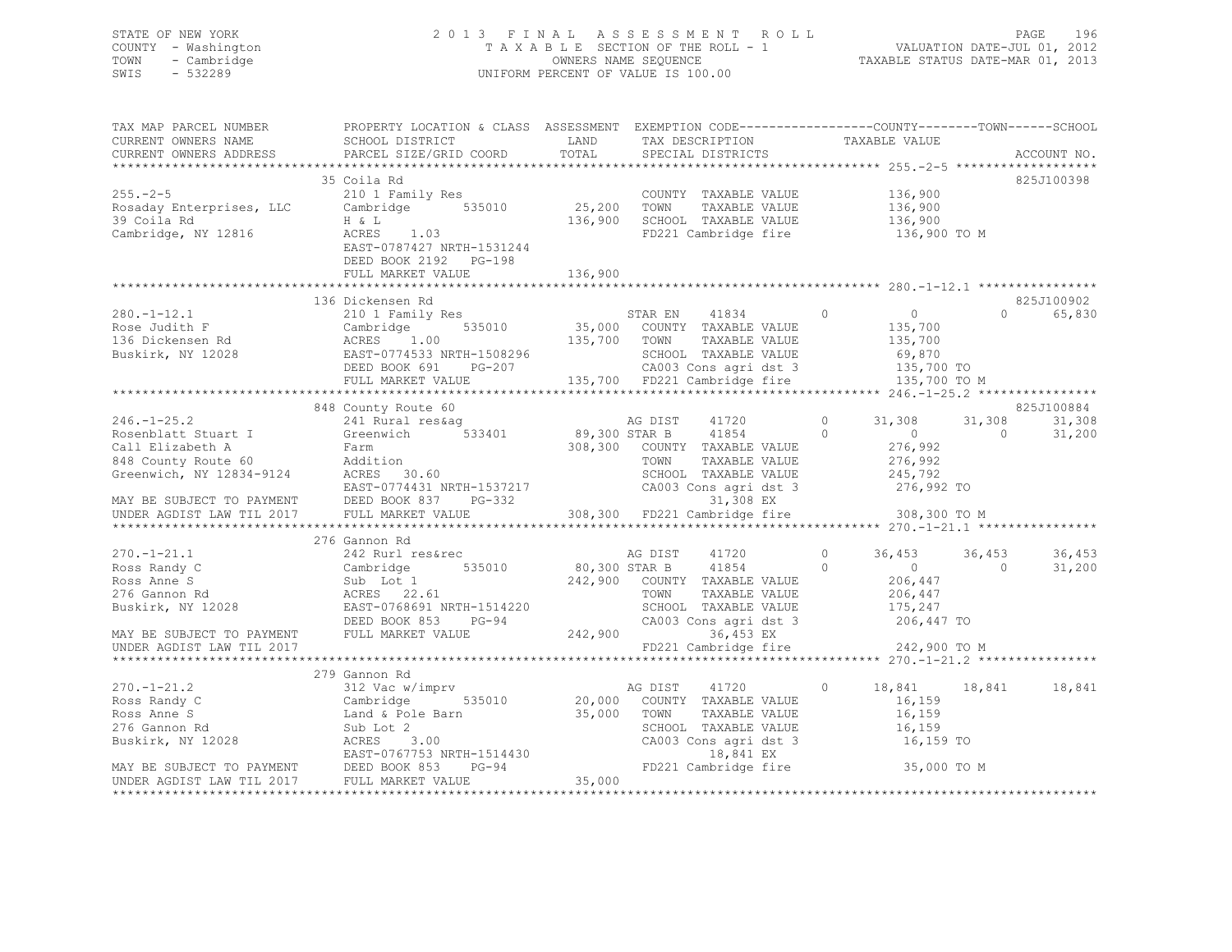## STATE OF NEW YORK 2 0 1 3 F I N A L A S S E S S M E N T R O L L PAGE 196 COUNTY - Washington T A X A B L E SECTION OF THE ROLL - 1 VALUATION DATE-JUL 01, 2012 TOWN - Cambridge OWNERS NAME SEQUENCE TAXABLE STATUS DATE-MAR 01, 2013 SWIS - 532289 UNIFORM PERCENT OF VALUE IS 100.00

| TAX MAP PARCEL NUMBER<br>CURRENT OWNERS NAME                                                                                   | PROPERTY LOCATION & CLASS ASSESSMENT EXEMPTION CODE---------------COUNTY-------TOWN------SCHOOL<br>SCHOOL DISTRICT                   | LAND          | TAX DESCRIPTION                           | TAXABLE VALUE              |                      |
|--------------------------------------------------------------------------------------------------------------------------------|--------------------------------------------------------------------------------------------------------------------------------------|---------------|-------------------------------------------|----------------------------|----------------------|
| CURRENT OWNERS ADDRESS                                                                                                         | PARCEL SIZE/GRID COORD                                                                                                               | TOTAL         | SPECIAL DISTRICTS                         |                            | ACCOUNT NO.          |
|                                                                                                                                | 35 Coila Rd                                                                                                                          |               |                                           |                            | 825J100398           |
| $255 - 2 - 5$                                                                                                                  | 210 1 Family Res                                                                                                                     |               | COUNTY TAXABLE VALUE 136,900              |                            |                      |
| Rosaday Enterprises, LLC                                                                                                       | Cambridge 535010                                                                                                                     | 25,200        | TOWN<br>TAXABLE VALUE                     | 136,900                    |                      |
| 39 Coila Rd                                                                                                                    | H & L                                                                                                                                | 136,900       | SCHOOL TAXABLE VALUE                      | 136,900<br>136,900         |                      |
| Cambridge, NY 12816                                                                                                            | ACRES 1.03<br>EAST-0787427 NRTH-1531244<br>DEED BOOK 2192 PG-198                                                                     |               | FD221 Cambridge fire                      | 136,900 TO M               |                      |
|                                                                                                                                | FULL MARKET VALUE                                                                                                                    | 136,900       |                                           |                            |                      |
|                                                                                                                                | 136 Dickensen Rd                                                                                                                     |               |                                           |                            | 825J100902           |
| $280. -1 - 12.1$                                                                                                               | 210 1 Family Res                                                                                                                     |               | STAR EN<br>41834                          | $\Omega$<br>$\overline{0}$ | 65,830<br>$\Omega$   |
| Rose Judith F                                                                                                                  | 535010                                                                                                                               |               | 35,000 COUNTY TAXABLE VALUE               | 135,700                    |                      |
| 136 Dickensen Rd                                                                                                               | Cambridge<br>ACRES 1<br>1.00                                                                                                         | 135,700 TOWN  | TAXABLE VALUE                             | 135,700                    |                      |
|                                                                                                                                | Buskirk, NY 12028 EAST-0774533 NRTH-1508296                                                                                          |               | SCHOOL TAXABLE VALUE                      |                            |                      |
|                                                                                                                                | IRTH-1508296<br>PG-207<br>DEED BOOK 691                                                                                              |               | CA003 Cons agri dst 3                     | 69,870<br>135,700 TO       |                      |
|                                                                                                                                | FULL MARKET VALUE                                                                                                                    |               | 135,700 FD221 Cambridge fire              | 135,700 TO M               |                      |
|                                                                                                                                |                                                                                                                                      |               |                                           |                            |                      |
|                                                                                                                                | 848 County Route 60                                                                                                                  |               |                                           |                            | 825J100884           |
| $246. - 1 - 25.2$                                                                                                              | 241 Rural res&ag                                                                                                                     |               | 41720<br>AG DIST                          | $\Omega$<br>31,308         | 31,308<br>31,308     |
|                                                                                                                                | 533401                                                                                                                               | 89,300 STAR B | 41854                                     | $\circ$<br>$\overline{0}$  | $\Omega$<br>31,200   |
| Rosenblatt Stuart I Greenwich<br>Call Elizabeth A Farm<br>848 County Route 60 Addition<br>Greenwich, NY 12834-9124 ACRES 30.60 |                                                                                                                                      |               | 308,300 COUNTY TAXABLE VALUE              | 276,992                    |                      |
|                                                                                                                                |                                                                                                                                      |               | TOWN<br>TAXABLE VALUE                     | 276,992                    |                      |
|                                                                                                                                | ACKES 30.00<br>EAST-0774431 NRTH-1537217<br>DEED BOOK 837 PG-332                                                                     |               | SCHOOL TAXABLE VALUE                      | 245,792                    |                      |
|                                                                                                                                |                                                                                                                                      |               | CA003 Cons agri dst 3                     | 276,992 TO                 |                      |
| MAY BE SUBJECT TO PAYMENT DEED BOOK 837<br>UNDER AGDIST LAW TIL 2017 FULL MARKET V                                             |                                                                                                                                      |               | 31,308 EX<br>308,300 FD221 Cambridge fire | 308,300 TO M               |                      |
|                                                                                                                                | FULL MARKET VALUE                                                                                                                    |               |                                           |                            |                      |
|                                                                                                                                | 276 Gannon Rd                                                                                                                        |               |                                           |                            |                      |
| $270. - 1 - 21.1$                                                                                                              | 242 Rurl res&rec                                                                                                                     |               | AG DIST<br>41720                          | $\circ$<br>36,453          | 36,453<br>36,453     |
| Ross Randy C                                                                                                                   | 535010<br>Cambridge                                                                                                                  |               | 80,300 STAR B<br>41854                    | $\overline{0}$<br>$\Omega$ | $\bigcirc$<br>31,200 |
| Ross Anne S                                                                                                                    | Sub Lot 1                                                                                                                            |               | 242,900 COUNTY TAXABLE VALUE              | 206,447                    |                      |
| 276 Gannon Rd                                                                                                                  | ACRES 22.61                                                                                                                          |               | TOWN<br>TAXABLE VALUE                     | 206,447                    |                      |
| Buskirk, NY 12028                                                                                                              | EAST-0768691 NRTH-1514220                                                                                                            |               | SCHOOL TAXABLE VALUE                      | 175,247                    |                      |
|                                                                                                                                | DEED BOOK 853<br>PG-94                                                                                                               |               | CA003 Cons agri dst 3                     | 206,447 TO                 |                      |
| MAY BE SUBJECT TO PAYMENT<br>UNDER ACDIST LAW TIL 2017                                                                         | FULL MARKET VALUE                                                                                                                    | 242,900       | 36,453 EX                                 |                            |                      |
| UNDER AGDIST LAW TIL 2017                                                                                                      |                                                                                                                                      |               | FD221 Cambridge fire 242,900 TO M         |                            |                      |
|                                                                                                                                |                                                                                                                                      |               |                                           |                            |                      |
|                                                                                                                                | 279 Gannon Rd                                                                                                                        |               |                                           |                            |                      |
| $270. - 1 - 21.2$                                                                                                              | 312 Vac w/imprv                                                                                                                      |               | AG DIST 41720                             | $\circ$                    | 18,841 18,841 18,841 |
| Ross Randy C                                                                                                                   | 535010<br>Cambridge                                                                                                                  |               | 20,000 COUNTY TAXABLE VALUE               | 16,159                     |                      |
| Ross Anne S                                                                                                                    | Land & Pole Barn                                                                                                                     | 35,000 TOWN   | TAXABLE VALUE                             | 16,159                     |                      |
| 276 Gannon Rd                                                                                                                  | Sub Lot 2                                                                                                                            |               | SCHOOL TAXABLE VALUE                      | 16,159                     |                      |
|                                                                                                                                |                                                                                                                                      |               | CA003 Cons agri dst 3                     | 16,159 TO                  |                      |
|                                                                                                                                | Exponent National Market 2001<br>Buskirk, NY 12028<br>MAY BE SUBJECT TO PAYMENT<br>UNDER AGDIST LAW TIL 2017 FULL MARKET VALUE 35,00 |               | 18,841 EX<br>FD221 Cambridge fire         | 35,000 TO M                |                      |
|                                                                                                                                |                                                                                                                                      | 35,000        |                                           |                            |                      |
|                                                                                                                                |                                                                                                                                      |               |                                           |                            |                      |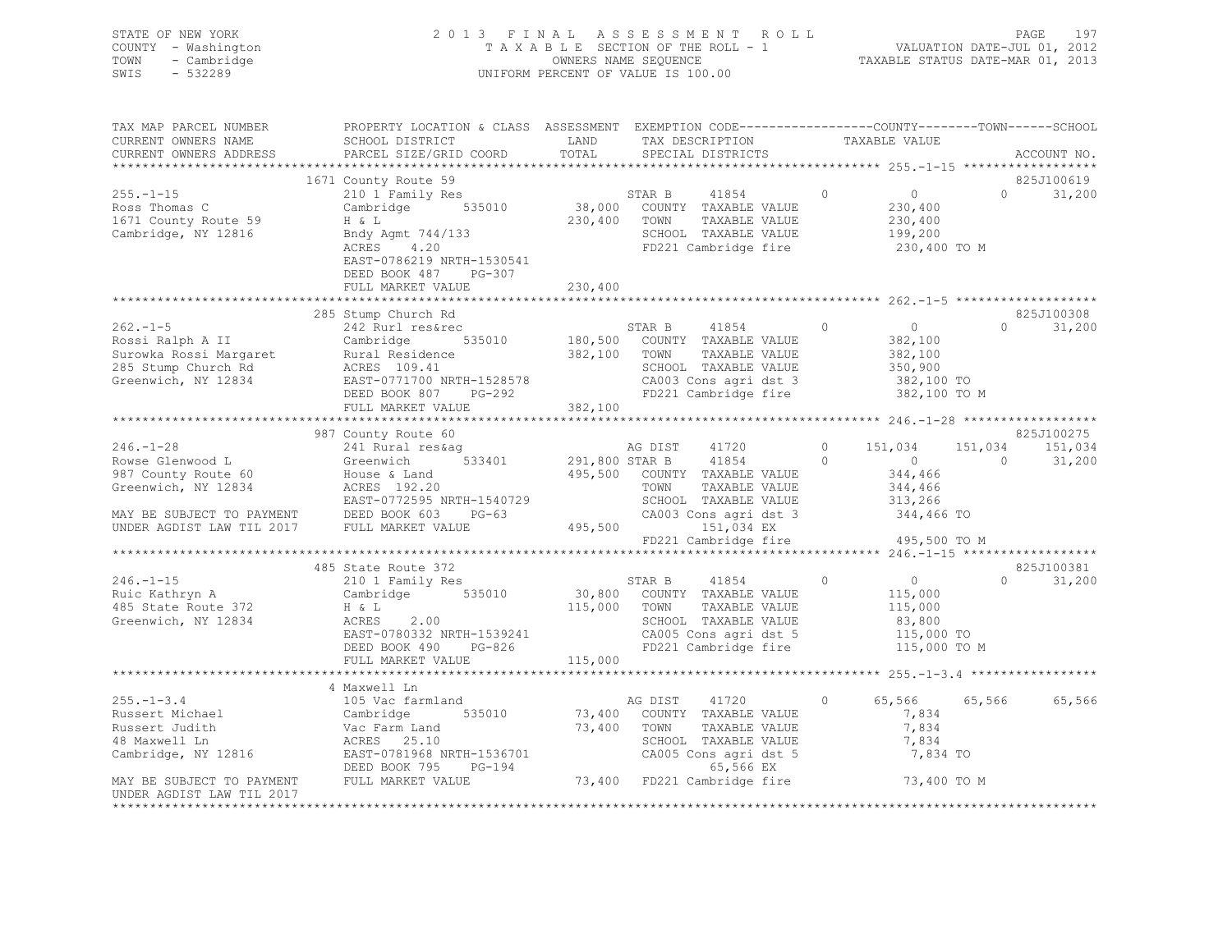| STATE OF NEW YORK   | 2013 FINAL ASSESSMENT ROLL         | 197<br>PAGE                      |
|---------------------|------------------------------------|----------------------------------|
| COUNTY - Washington | TAXABLE SECTION OF THE ROLL - 1    | VALUATION DATE-JUL 01, 2012      |
| TOWN - Cambridge    | OWNERS NAME SEQUENCE               | TAXABLE STATUS DATE-MAR 01, 2013 |
| SWIS<br>- 532289    | UNIFORM PERCENT OF VALUE IS 100.00 |                                  |
|                     |                                    |                                  |

| TAX MAP PARCEL NUMBER                                                                                                                                                                                                                            | PROPERTY LOCATION & CLASS ASSESSMENT EXEMPTION CODE----------------COUNTY-------TOWN------SCHOOL                                                                                                                  |         |                                                                                  |                                                                                                                                                                                                                                                                                                                                 |                                               |                    |
|--------------------------------------------------------------------------------------------------------------------------------------------------------------------------------------------------------------------------------------------------|-------------------------------------------------------------------------------------------------------------------------------------------------------------------------------------------------------------------|---------|----------------------------------------------------------------------------------|---------------------------------------------------------------------------------------------------------------------------------------------------------------------------------------------------------------------------------------------------------------------------------------------------------------------------------|-----------------------------------------------|--------------------|
| CURRENT OWNERS NAME                                                                                                                                                                                                                              | SCHOOL DISTRICT                                                                                                                                                                                                   | LAND    | TAX DESCRIPTION                                                                  | TAXABLE VALUE                                                                                                                                                                                                                                                                                                                   |                                               |                    |
| CURRENT OWNERS ADDRESS                                                                                                                                                                                                                           | PARCEL SIZE/GRID COORD                                                                                                                                                                                            | TOTAL   | SPECIAL DISTRICTS                                                                |                                                                                                                                                                                                                                                                                                                                 |                                               | ACCOUNT NO.        |
|                                                                                                                                                                                                                                                  |                                                                                                                                                                                                                   |         |                                                                                  |                                                                                                                                                                                                                                                                                                                                 |                                               |                    |
|                                                                                                                                                                                                                                                  | 1671 County Route 59                                                                                                                                                                                              |         |                                                                                  |                                                                                                                                                                                                                                                                                                                                 |                                               | 825J100619         |
| $255. - 1 - 15$<br>Ross Thomas C<br>1671 County Route 59<br>Cambridge, NY 12816                                                                                                                                                                  | 210 1 Family Res<br>Cambridge 535010 38,000 COUNTY TAXABLE VALUE<br>H & L 230,400 TOWN TAXABLE VALUE<br>H & L 230,400 TOWN TAXABLE VALUE<br>H & L<br>Bndy Agmt 744/133<br>ACRES 4.20<br>EAST-0786219 NRTH-1530541 |         | STAR B<br>41854<br>TAXABLE VALUE<br>SCHOOL TAXABLE VALUE<br>FD221 Cambridge fire | $\overline{0}$ 0                                                                                                                                                                                                                                                                                                                | 230,400<br>230,400<br>199,200<br>230,400 TO M | $\Omega$<br>31,200 |
|                                                                                                                                                                                                                                                  | DEED BOOK 487<br>PG-307                                                                                                                                                                                           |         |                                                                                  |                                                                                                                                                                                                                                                                                                                                 |                                               |                    |
|                                                                                                                                                                                                                                                  | FULL MARKET VALUE                                                                                                                                                                                                 | 230,400 |                                                                                  |                                                                                                                                                                                                                                                                                                                                 |                                               |                    |
|                                                                                                                                                                                                                                                  |                                                                                                                                                                                                                   |         |                                                                                  |                                                                                                                                                                                                                                                                                                                                 |                                               |                    |
|                                                                                                                                                                                                                                                  | 285 Stump Church Rd                                                                                                                                                                                               |         |                                                                                  |                                                                                                                                                                                                                                                                                                                                 |                                               | 825J100308         |
| 262.-1-5<br>285 Stump Church Rossi Ralph A II<br>285 Stump Church Rossi Nargaret<br>285 Stump Church Rd<br>285 Stump Church Rd<br>285 Stump Church Rd<br>285 Stump Church Rd<br>285 Stump Church Rd<br>285 Stump Church Rd<br>285 Stump Church R |                                                                                                                                                                                                                   |         |                                                                                  |                                                                                                                                                                                                                                                                                                                                 |                                               |                    |
|                                                                                                                                                                                                                                                  |                                                                                                                                                                                                                   |         |                                                                                  |                                                                                                                                                                                                                                                                                                                                 |                                               |                    |
|                                                                                                                                                                                                                                                  |                                                                                                                                                                                                                   |         |                                                                                  |                                                                                                                                                                                                                                                                                                                                 |                                               |                    |
|                                                                                                                                                                                                                                                  | 987 County Route 60                                                                                                                                                                                               |         |                                                                                  |                                                                                                                                                                                                                                                                                                                                 |                                               | 825J100275         |
| $246. - 1 - 28$                                                                                                                                                                                                                                  |                                                                                                                                                                                                                   |         |                                                                                  |                                                                                                                                                                                                                                                                                                                                 |                                               | 151,034            |
| Rowse Glenwood L                                                                                                                                                                                                                                 | 241 Rural res&ag 67<br>Greenwich 533401 291,800 STAR B 41854                                                                                                                                                      |         |                                                                                  |                                                                                                                                                                                                                                                                                                                                 | $41720$ 0 $151,034$ 151,034<br>41854 0 0 0    | 31,200             |
|                                                                                                                                                                                                                                                  |                                                                                                                                                                                                                   |         |                                                                                  |                                                                                                                                                                                                                                                                                                                                 | 344,466<br>344,466                            |                    |
|                                                                                                                                                                                                                                                  |                                                                                                                                                                                                                   |         |                                                                                  |                                                                                                                                                                                                                                                                                                                                 |                                               |                    |
|                                                                                                                                                                                                                                                  |                                                                                                                                                                                                                   |         |                                                                                  |                                                                                                                                                                                                                                                                                                                                 |                                               |                    |
| POWER RESS 192.20<br>MAY BE SUBJECT TO PAYMENT DEED BOOK 603 PG-63<br>UNDER AGDIST LAW TIL 2017 FULL MARKET VALUE<br>EAST-0772595 NRTH-1540729 SCHOOL TAXABLE VALUE 313,266<br>UNDER AGDIST LAW TIL 2017 FULL MARKET VALUE 495,500 COU           |                                                                                                                                                                                                                   |         |                                                                                  |                                                                                                                                                                                                                                                                                                                                 |                                               |                    |
|                                                                                                                                                                                                                                                  |                                                                                                                                                                                                                   |         |                                                                                  |                                                                                                                                                                                                                                                                                                                                 |                                               |                    |
|                                                                                                                                                                                                                                                  |                                                                                                                                                                                                                   |         | FD221 Cambridge fire 495,500 TO M                                                |                                                                                                                                                                                                                                                                                                                                 |                                               |                    |
|                                                                                                                                                                                                                                                  |                                                                                                                                                                                                                   |         |                                                                                  |                                                                                                                                                                                                                                                                                                                                 |                                               |                    |
|                                                                                                                                                                                                                                                  | 485 State Route 372                                                                                                                                                                                               |         |                                                                                  |                                                                                                                                                                                                                                                                                                                                 |                                               | 825J100381         |
| $246. -1 - 15$                                                                                                                                                                                                                                   |                                                                                                                                                                                                                   |         |                                                                                  | $\begin{matrix} 0 & 0 & 0 \\ 0 & 0 & 0 \\ 0 & 0 & 0 \\ 0 & 0 & 0 \\ 0 & 0 & 0 \\ 0 & 0 & 0 \\ 0 & 0 & 0 \\ 0 & 0 & 0 \\ 0 & 0 & 0 & 0 \\ 0 & 0 & 0 & 0 \\ 0 & 0 & 0 & 0 \\ 0 & 0 & 0 & 0 \\ 0 & 0 & 0 & 0 & 0 \\ 0 & 0 & 0 & 0 & 0 \\ 0 & 0 & 0 & 0 & 0 \\ 0 & 0 & 0 & 0 & 0 & 0 \\ 0 & 0 & 0 & 0 & 0 & 0 \\ 0 & 0 & 0 & 0 & 0$ |                                               | $\Omega$<br>31,200 |
| Ruic Kathryn A                                                                                                                                                                                                                                   | 210 1 Family Res<br>Cambridge 535010 30,800 COUNTY TAXABLE VALUE<br>H & L 30,800 COUNTY TAXABLE VALUE                                                                                                             |         |                                                                                  | 115,000<br>115,000                                                                                                                                                                                                                                                                                                              |                                               |                    |
| 485 State Route 372                                                                                                                                                                                                                              | H & L<br>ACRES 2.00                                                                                                                                                                                               |         | TAXABLE VALUE                                                                    |                                                                                                                                                                                                                                                                                                                                 |                                               |                    |
| Greenwich, NY 12834                                                                                                                                                                                                                              |                                                                                                                                                                                                                   |         | SCHOOL TAXABLE VALUE<br>CA005 Cons agri dst 5                                    |                                                                                                                                                                                                                                                                                                                                 |                                               |                    |
|                                                                                                                                                                                                                                                  | ACRES 2.00<br>EAST-0780332 NRTH-1539241<br>DEED BOOK 490 PG-826                                                                                                                                                   |         |                                                                                  |                                                                                                                                                                                                                                                                                                                                 | 83,800<br>115,000 TO<br>115,000 TO M          |                    |
|                                                                                                                                                                                                                                                  | DEED BOOK 490 PG-826                                                                                                                                                                                              |         | FD221 Cambridge fire                                                             |                                                                                                                                                                                                                                                                                                                                 |                                               |                    |
|                                                                                                                                                                                                                                                  | FULL MARKET VALUE                                                                                                                                                                                                 | 115,000 |                                                                                  |                                                                                                                                                                                                                                                                                                                                 |                                               |                    |
|                                                                                                                                                                                                                                                  |                                                                                                                                                                                                                   |         |                                                                                  |                                                                                                                                                                                                                                                                                                                                 |                                               |                    |
|                                                                                                                                                                                                                                                  | 4 Maxwell Ln                                                                                                                                                                                                      |         |                                                                                  |                                                                                                                                                                                                                                                                                                                                 |                                               |                    |
| $255. - 1 - 3.4$                                                                                                                                                                                                                                 | 105 Vac farmland                                                                                                                                                                                                  |         | AG DIST 41720                                                                    | $\circ$                                                                                                                                                                                                                                                                                                                         | 65,566 65,566 65,566                          |                    |
|                                                                                                                                                                                                                                                  |                                                                                                                                                                                                                   |         |                                                                                  |                                                                                                                                                                                                                                                                                                                                 | 7,834                                         |                    |
|                                                                                                                                                                                                                                                  |                                                                                                                                                                                                                   |         |                                                                                  |                                                                                                                                                                                                                                                                                                                                 | 7,834                                         |                    |
|                                                                                                                                                                                                                                                  |                                                                                                                                                                                                                   |         |                                                                                  |                                                                                                                                                                                                                                                                                                                                 |                                               |                    |
|                                                                                                                                                                                                                                                  |                                                                                                                                                                                                                   |         |                                                                                  |                                                                                                                                                                                                                                                                                                                                 |                                               |                    |
| 48 Maxwell Ln<br>Cambridge, NY 12816 EAST-0781968 NRTH-1536701 SCHOOL TAXABLE VALUE 7,834<br>DEED BOOK 795 PG-194 65,566 EX<br>THE SUBJECT TO PAYMENT FULL MARKET VALUE 73,400 FD221 Cambridge fire 73,400 TO M<br>UNDER AGDIST LAW TIL 2017     |                                                                                                                                                                                                                   |         |                                                                                  |                                                                                                                                                                                                                                                                                                                                 |                                               |                    |
|                                                                                                                                                                                                                                                  |                                                                                                                                                                                                                   |         |                                                                                  |                                                                                                                                                                                                                                                                                                                                 |                                               |                    |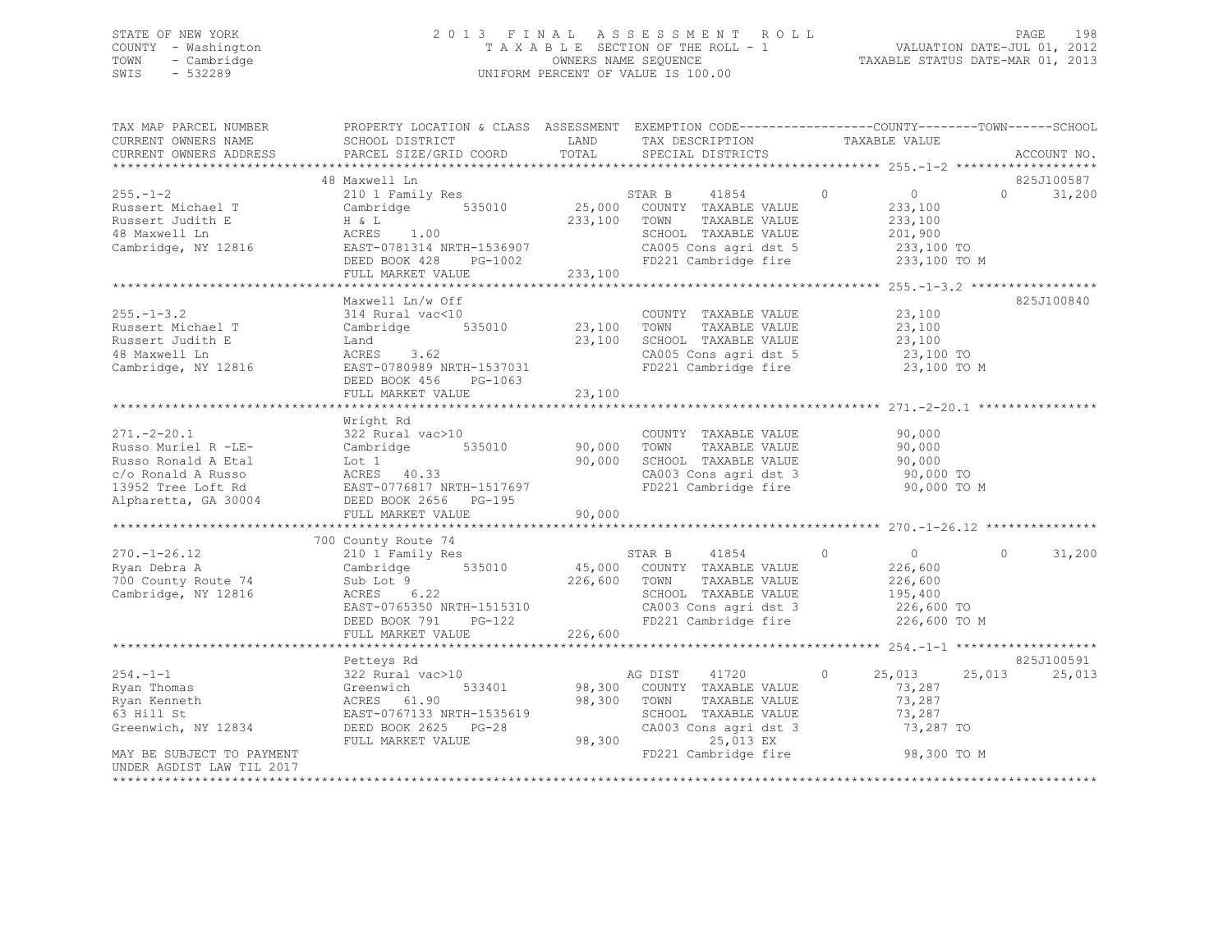## STATE OF NEW YORK 2 0 1 3 F I N A L A S S E S S M E N T R O L L PAGE 198 COUNTY - Washington T A X A B L E SECTION OF THE ROLL - 1 VALUATION DATE-JUL 01, 2012 TOWN - Cambridge OWNERS NAME SEQUENCE TAXABLE STATUS DATE-MAR 01, 2013 SWIS - 532289 UNIFORM PERCENT OF VALUE IS 100.00

| TAX MAP PARCEL NUMBER<br>CURRENT OWNERS NAME                                                                                                                  | PROPERTY LOCATION & CLASS ASSESSMENT EXEMPTION CODE----------------COUNTY-------TOWN------SCHOOL<br>SCHOOL DISTRICT                                                                                 | LAND                       | TAX DESCRIPTION                                                                                                                                                      | TAXABLE VALUE                                                                            |                                |
|---------------------------------------------------------------------------------------------------------------------------------------------------------------|-----------------------------------------------------------------------------------------------------------------------------------------------------------------------------------------------------|----------------------------|----------------------------------------------------------------------------------------------------------------------------------------------------------------------|------------------------------------------------------------------------------------------|--------------------------------|
| CURRENT OWNERS ADDRESS                                                                                                                                        | PARCEL SIZE/GRID COORD                                                                                                                                                                              | TOTAL                      | SPECIAL DISTRICTS                                                                                                                                                    |                                                                                          | ACCOUNT NO.                    |
|                                                                                                                                                               | 48 Maxwell Ln                                                                                                                                                                                       |                            |                                                                                                                                                                      |                                                                                          | 825J100587                     |
| $255 - 1 - 2$<br>Russert Michael T<br>Russert Judith E<br>48 Maxwell Ln<br>Cambridge, NY 12816                                                                | 210 1 Family Res<br>Cambridge 535010<br>ACRES 1.00<br>EAST-0701011<br>EAST-0781314 NRTH-1536907<br>DEED BOOK 428 PG-1002<br>FULL MARKET VALUE                                                       | 233,100                    | 41854<br>$\sim$ 0<br>STAR B<br>25,000 COUNTY TAXABLE VALUE<br>233,100 TOWN<br>TAXABLE VALUE<br>SCHOOL TAXABLE VALUE<br>CA005 Cons agri dst 5<br>FD221 Cambridge fire | $\overline{0}$<br>233,100<br>233,100<br>201,900<br>233,100 TO<br>233,100 TO M            | $0 \qquad \qquad$<br>31,200    |
|                                                                                                                                                               |                                                                                                                                                                                                     |                            |                                                                                                                                                                      |                                                                                          |                                |
| $255. - 1 - 3.2$<br>Russert Michael T<br>Russert Judith E<br>48 Maxwell Ln<br>Cambridge, NY 12816                                                             | Maxwell Ln/w Off<br>314 Rural vac<10<br>314 Rural vac<10 (COUNT)<br>Cambridge 535010 (23,100 TOWN)<br>Land<br>ACRES 3.62<br>EAST-0780989 NRTH-1537031<br>DEED BOOK 456 PG-1063<br>FULL MARKET VALUE | 23,100<br>23,100           | COUNTY TAXABLE VALUE<br>TAXABLE VALUE<br>SCHOOL TAXABLE VALUE<br>SCHOOL TAXABLE VALUE 23,100<br>CA005 Cons agri dst 5 23,100 TO<br>FD221 Cambridge fire              | 23,100<br>23,100<br>23,100<br>23,100 TO M                                                | 825J100840                     |
|                                                                                                                                                               |                                                                                                                                                                                                     |                            |                                                                                                                                                                      |                                                                                          |                                |
| $271. - 2 - 20.1$<br>Russo Muriel R -LE-<br>Russo Ronald A Etal<br>c/o Ronald A Russo<br>13952 Tree Loft Rd<br>Alpharetta, GA 30004<br>********************** | Wright Rd<br>322 Rural vac>10<br>535010<br>Cambridge<br>Lot 1<br>ACRES 40.33<br>EAST-0776817 NRTH-1517697<br>DEED BOOK 2656 PG-195<br>FULL MARKET VALUE                                             | 90,000<br>90,000<br>90,000 | COUNTY TAXABLE VALUE<br>TOWN<br>TAXABLE VALUE<br>SCHOOL TAXABLE VALUE<br>CA003 Cons agri dst 3<br>FD221 Cambridge fire                                               | 90,000<br>90,000<br>90,000<br>90,000 TO<br>90,000 TO M                                   |                                |
|                                                                                                                                                               | 700 County Route 74                                                                                                                                                                                 |                            |                                                                                                                                                                      |                                                                                          |                                |
| $270. - 1 - 26.12$<br>Ryan Debra A<br>700 County Route 74<br>Cambridge, NY 12816                                                                              | 210 1 Family Res<br>Cambridge 535010 45,000 COUNTY TAXABLE VALUE<br>Sub Lot 9<br>ACRES 6.22<br>EAST-0765350 NRTH-1515310<br>DEED BOOK 791 PG-122                                                    | 226,600 TOWN               | STAR B 41854<br>TAAAPPE VALUE<br>TAXABLE VALUE<br>TAMARE VALUE<br>SCHOOL TAXABLE VALUE<br>CA003 Cons agri dst 3<br>FD221 Cambridge fire                              | $\circ$<br>$\overline{0}$<br>226,600<br>226,600<br>195,400<br>226,600 TO<br>226,600 TO M | $\Omega$<br>31,200             |
|                                                                                                                                                               | FULL MARKET VALUE                                                                                                                                                                                   | 226,600                    |                                                                                                                                                                      |                                                                                          |                                |
| $254. -1 - 1$<br>Ryan Thomas                                                                                                                                  | Petteys Rd<br>322 Rural vac>10<br>533401<br>Greenwich                                                                                                                                               |                            | 41720<br>AG DIST<br>98,300 COUNTY TAXABLE VALUE                                                                                                                      | $\circ$<br>25,013<br>73,287                                                              | 825J100591<br>25,013<br>25,013 |
| Ryan Kenneth<br>63 Hill St<br>Greenwich, NY 12834                                                                                                             | ACRES 61.90<br>EAST-0767133 NRTH-1535619<br>DEED BOOK 2625 PG-28<br>FULL MARKET VALUE                                                                                                               |                            | 98,300 TOWN<br>TAXABLE VALUE<br>SCHOOL TAXABLE VALUE<br>SCHOOL TAXABLE VALUE<br>CA003 Cons agri dst 3<br>98,300<br>25,013 EX                                         | 73,287<br>73,287<br>73,287 TO                                                            |                                |
| MAY BE SUBJECT TO PAYMENT<br>UNDER AGDIST LAW TIL 2017                                                                                                        |                                                                                                                                                                                                     |                            | FD221 Cambridge fire                                                                                                                                                 | 98,300 TO M                                                                              |                                |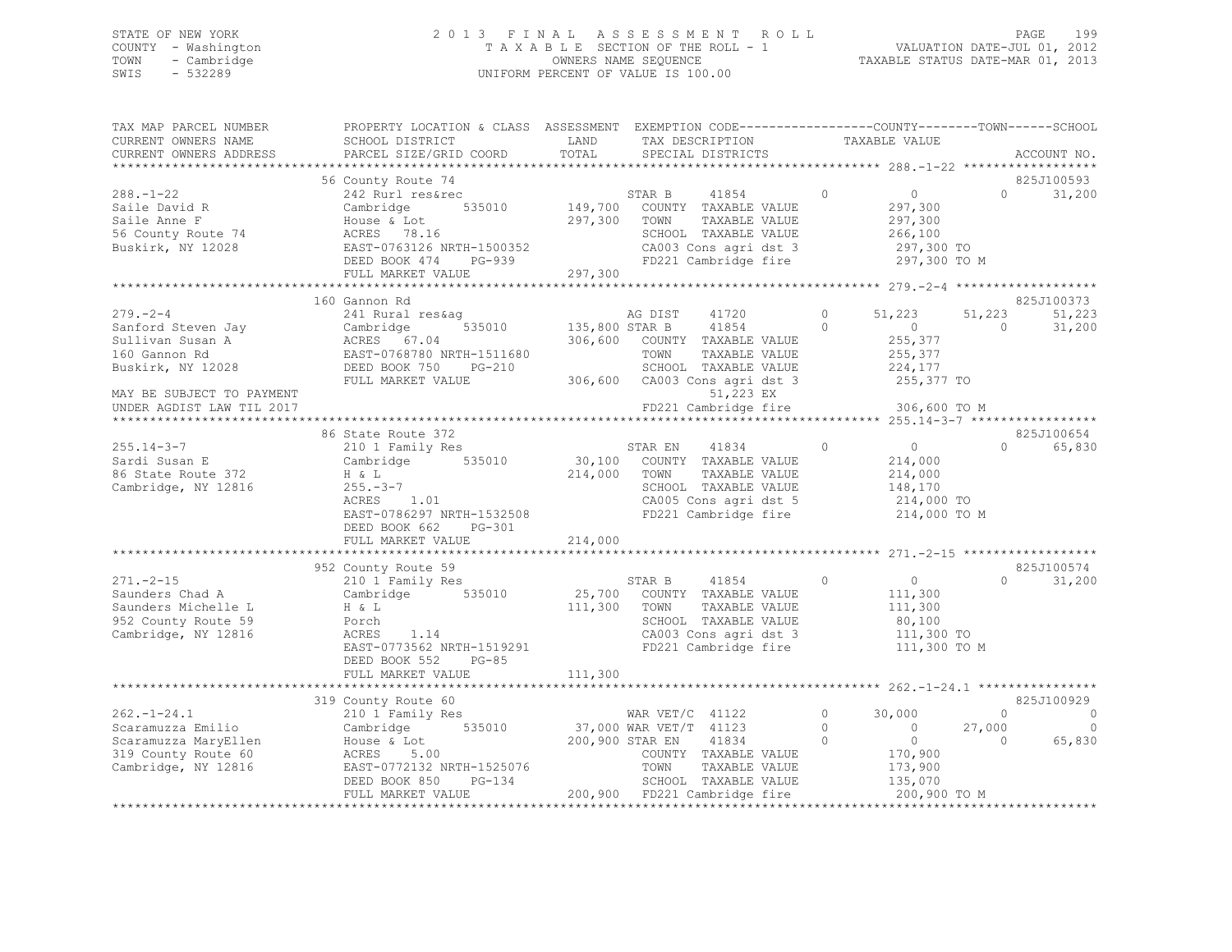## STATE OF NEW YORK 2 0 1 3 F I N A L A S S E S S M E N T R O L L PAGE 199 COUNTY - Washington T A X A B L E SECTION OF THE ROLL - 1 VALUATION DATE-JUL 01, 2012 TOWN - Cambridge OWNERS NAME SEQUENCE TAXABLE STATUS DATE-MAR 01, 2013 SWIS - 532289 UNIFORM PERCENT OF VALUE IS 100.00

| TAX MAP PARCEL NUMBER<br>CURRENT OWNERS NAME<br>CURRENT OWNERS ADDRESS                                                                                   | PROPERTY LOCATION & CLASS ASSESSMENT EXEMPTION CODE-----------------COUNTY-------TOWN------SCHOOL<br>SCHOOL DISTRICT<br>PARCEL SIZE/GRID COORD          | LAND<br>TOTAL                 | TAX DESCRIPTION<br>SPECIAL DISTRICTS                                                                                                                                             |                    | TAXABLE VALUE                                                                           |                   | ACCOUNT NO.              |
|----------------------------------------------------------------------------------------------------------------------------------------------------------|---------------------------------------------------------------------------------------------------------------------------------------------------------|-------------------------------|----------------------------------------------------------------------------------------------------------------------------------------------------------------------------------|--------------------|-----------------------------------------------------------------------------------------|-------------------|--------------------------|
|                                                                                                                                                          |                                                                                                                                                         |                               |                                                                                                                                                                                  |                    |                                                                                         |                   |                          |
| $288. - 1 - 22$                                                                                                                                          | 56 County Route 74<br>242 Rurl res&rec                                                                                                                  |                               | STAR B<br>41854                                                                                                                                                                  | $\circ$            | 0                                                                                       | $\Omega$          | 825J100593<br>31,200     |
| Saile David R<br>Saile Anne F<br>56 County Route 74<br>Buskirk, NY 12028                                                                                 | 535010<br>Cambridge<br>House & Lot<br>ACRES 78.16<br>EAST-0763126 NRTH-1500352<br>DEED BOOK 474<br>PG-939<br>FULL MARKET VALUE                          | 149,700<br>297,300<br>297,300 | COUNTY TAXABLE VALUE<br>TAXABLE VALUE<br>TOWN<br>SCHOOL TAXABLE VALUE<br>CA003 Cons agri dst 3<br>FD221 Cambridge fire                                                           |                    | 297,300<br>297,300<br>266,100<br>297,300 TO<br>297,300 TO M                             |                   |                          |
|                                                                                                                                                          |                                                                                                                                                         |                               |                                                                                                                                                                                  |                    |                                                                                         |                   | 825J100373               |
| $279. - 2 - 4$<br>Sanford Steven Jay<br>Sullivan Susan A<br>160 Gannon Rd<br>Buskirk, NY 12028<br>MAY BE SUBJECT TO PAYMENT<br>UNDER AGDIST LAW TIL 2017 | 160 Gannon Rd<br>241 Rural res&aq<br>535010<br>Cambridge<br>ACRES 67.04<br>EAST-0768780 NRTH-1511680<br>DEED BOOK 750<br>$PG-210$<br>FULL MARKET VALUE  | 135,800 STAR B                | AG DIST<br>41720<br>41854<br>306,600 COUNTY TAXABLE VALUE<br>TOWN<br>TAXABLE VALUE<br>SCHOOL TAXABLE VALUE<br>306,600 CA003 Cons agri dst 3<br>51,223 EX<br>FD221 Cambridge fire | $\circ$<br>$\circ$ | 51,223<br>$\overline{0}$<br>255,377<br>255,377<br>224,177<br>255,377 TO<br>306,600 TO M | 51,223<br>$\circ$ | 51,223<br>31,200         |
|                                                                                                                                                          | 86 State Route 372                                                                                                                                      |                               |                                                                                                                                                                                  |                    |                                                                                         |                   | 825J100654               |
| $255.14 - 3 - 7$<br>Sardi Susan E<br>86 State Route 372<br>Cambridge, NY 12816                                                                           | 210 1 Family Res<br>535010<br>Cambridge<br>H & L<br>$255. - 3 - 7$<br>1.01<br>ACRES<br>EAST-0786297 NRTH-1532508<br>DEED BOOK 662<br>PG-301             | 30,100<br>214,000             | 41834<br>STAR EN<br>COUNTY TAXABLE VALUE<br>TOWN<br>TAXABLE VALUE<br>SCHOOL TAXABLE VALUE<br>CA005 Cons agri dst 5<br>FD221 Cambridge fire                                       | $\circ$            | $\overline{0}$<br>214,000<br>214,000<br>148,170<br>214,000 TO<br>214,000 TO M           | $\Omega$          | 65,830                   |
|                                                                                                                                                          | FULL MARKET VALUE                                                                                                                                       | 214,000                       |                                                                                                                                                                                  |                    |                                                                                         |                   |                          |
| $271. - 2 - 15$<br>Saunders Chad A<br>Saunders Michelle L<br>952 County Route 59<br>Cambridge, NY 12816                                                  | 952 County Route 59<br>210 1 Family Res<br>Cambridge 535010<br>H & L<br>Porch<br>ACRES<br>1.14<br>EAST-0773562 NRTH-1519291<br>DEED BOOK 552<br>$PG-85$ | 111,300                       | 41854<br>STAR B<br>25,700 COUNTY TAXABLE VALUE<br>TOWN<br>TAXABLE VALUE<br>SCHOOL TAXABLE VALUE<br>CA003 Cons agri dst 3<br>FD221 Cambridge fire                                 | $\circ$            | 0<br>111,300<br>111,300<br>80,100<br>111,300 TO<br>111,300 TO M                         | $\Omega$          | 825J100574<br>31,200     |
|                                                                                                                                                          | FULL MARKET VALUE                                                                                                                                       | 111,300                       |                                                                                                                                                                                  |                    |                                                                                         |                   |                          |
|                                                                                                                                                          |                                                                                                                                                         |                               |                                                                                                                                                                                  |                    |                                                                                         |                   |                          |
| $262. - 1 - 24.1$                                                                                                                                        | 319 County Route 60<br>210 1 Family Res                                                                                                                 |                               |                                                                                                                                                                                  | $\circ$            | 30,000                                                                                  | $\circ$           | 825J100929<br>- 0        |
| Scaramuzza Emilio                                                                                                                                        | Cambridge 535010                                                                                                                                        |                               |                                                                                                                                                                                  | $\circ$            | $\overline{0}$                                                                          | 27,000            | $\overline{\phantom{0}}$ |
| Scaramuzza MaryEllen<br>319 County Route 60<br>Cambridge, NY 12816                                                                                       | House & Lot<br>ACRES 5.00<br>EAST-0772132 NRTH-1525076<br>DEED BOOK 850<br>PG-134<br>FULL MARKET VALUE                                                  | 200,900 STAR EN               | WAR VET/C 41122<br>37,000 WAR VET/T 41123<br>200.900 STAR TY<br>COUNTY TAXABLE VALUE<br>TOWN<br>TAXABLE VALUE<br>SCHOOL TAXABLE VALUE<br>200,900 FD221 Cambridge fire            | $\Omega$           | $\overline{0}$<br>170,900<br>173,900<br>135,070<br>200,900 TO M                         | $\overline{0}$    | 65,830                   |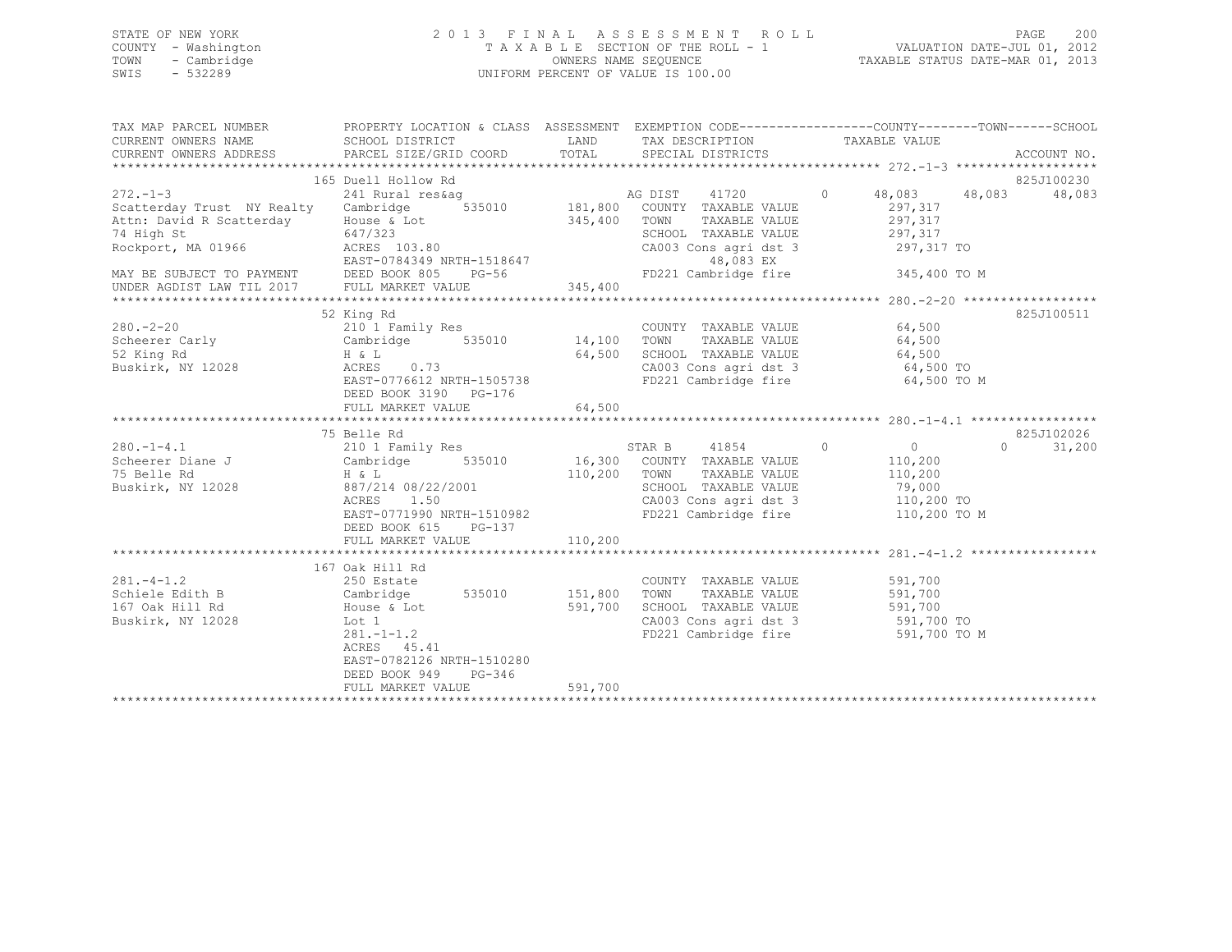## STATE OF NEW YORK 2 0 1 3 F I N A L A S S E S S M E N T R O L L PAGE 200 COUNTY - Washington T A X A B L E SECTION OF THE ROLL - 1 VALUATION DATE-JUL 01, 2012 TOWN - Cambridge OWNERS NAME SEQUENCE TAXABLE STATUS DATE-MAR 01, 2013 SWIS - 532289 UNIFORM PERCENT OF VALUE IS 100.00

| TAX MAP PARCEL NUMBER<br>CURRENT OWNERS NAME<br>CURRENT OWNERS ADDRESS PARCEL SIZE/GRID COORD<br>- CURRENT OWNERS ADDRESS - PARCEL SIZE/GRID COORD - TOTAL - SPECIAL DISTRICTS - ACCOUNT NO .<br>- ALCOUNT NO ARCEL SIZE/GRID COORD - TOTAL - SPECIAL DISTRICTS - ACCOUNT NO ACCOUNT NO . AND A SPECIAL DISTRICTS | PROPERTY LOCATION & CLASS ASSESSMENT EXEMPTION CODE---------------COUNTY-------TOWN-----SCHOOL<br>SCHOOL DISTRICT | <b>EXAMPLE SERVICE SERVICE SERVICE SERVICE SERVICE SERVICE SERVICE SERVICE SERVICE SERVICE SERVICE SERVICE SERVICE</b> | TAX DESCRIPTION                                                                                    | TAXABLE VALUE              |                    |
|-------------------------------------------------------------------------------------------------------------------------------------------------------------------------------------------------------------------------------------------------------------------------------------------------------------------|-------------------------------------------------------------------------------------------------------------------|------------------------------------------------------------------------------------------------------------------------|----------------------------------------------------------------------------------------------------|----------------------------|--------------------|
|                                                                                                                                                                                                                                                                                                                   |                                                                                                                   |                                                                                                                        |                                                                                                    |                            | 825J100230         |
|                                                                                                                                                                                                                                                                                                                   | 165 Duell Hollow Rd                                                                                               |                                                                                                                        |                                                                                                    | 0 $48,083$ $48,083$        | 48,083             |
|                                                                                                                                                                                                                                                                                                                   |                                                                                                                   |                                                                                                                        |                                                                                                    | 297,317                    |                    |
| Attn: David R Scatterday House & Lot<br>74 High St 647/323                                                                                                                                                                                                                                                        |                                                                                                                   | 345,400 TOWN                                                                                                           | TAXABLE VALUE                                                                                      | 297,317                    |                    |
| 74 High St<br>Rockport, MA 01966 ACRES 103.80                                                                                                                                                                                                                                                                     | 647/323                                                                                                           |                                                                                                                        | SCHOOL TAXABLE VALUE<br>CA003 Cons agri dst 3 297,317 TO                                           | 297,317                    |                    |
| -<br>MAY BE SUBJECT TO PAYMENT DEED BOOK 805 PG-56<br>UNDER AGDIST LAW TIL 2017 FULL MARKET VALUE 345,400                                                                                                                                                                                                         |                                                                                                                   |                                                                                                                        | 48,083 EX                                                                                          |                            |                    |
|                                                                                                                                                                                                                                                                                                                   |                                                                                                                   |                                                                                                                        | FD221 Cambridge fire                                                                               | 345,400 TO M               |                    |
|                                                                                                                                                                                                                                                                                                                   |                                                                                                                   |                                                                                                                        |                                                                                                    |                            |                    |
|                                                                                                                                                                                                                                                                                                                   |                                                                                                                   |                                                                                                                        |                                                                                                    |                            |                    |
|                                                                                                                                                                                                                                                                                                                   | 52 King Rd                                                                                                        |                                                                                                                        |                                                                                                    |                            | 825J100511         |
| $280 - 2 - 20$                                                                                                                                                                                                                                                                                                    | 210 1 Family Res                                                                                                  |                                                                                                                        | COUNTY TAXABLE VALUE 64,500                                                                        |                            |                    |
| Scheerer Carly Cambridge 535010 14,100 TOWN TAXABLE VALUE 64,500                                                                                                                                                                                                                                                  |                                                                                                                   |                                                                                                                        |                                                                                                    |                            |                    |
| 52 King Rd                                                                                                                                                                                                                                                                                                        | $H$ & $L$<br>0.73                                                                                                 | 64,500                                                                                                                 |                                                                                                    |                            |                    |
| Buskirk, NY 12028                                                                                                                                                                                                                                                                                                 | ACRES 0.73                                                                                                        |                                                                                                                        | SCHOOL TAXABLE VALUE 64,500<br>CA003 Cons agri dst 3 64,500 TO<br>FD221 Cambridge fire 64,500 TO M |                            |                    |
|                                                                                                                                                                                                                                                                                                                   | EAST-0776612 NRTH-1505738<br>DEED BOOK 3190 PG-176                                                                |                                                                                                                        |                                                                                                    |                            |                    |
|                                                                                                                                                                                                                                                                                                                   |                                                                                                                   |                                                                                                                        |                                                                                                    |                            |                    |
|                                                                                                                                                                                                                                                                                                                   | 75 Belle Rd                                                                                                       |                                                                                                                        |                                                                                                    |                            | 825J102026         |
| $280 - 1 - 4.1$                                                                                                                                                                                                                                                                                                   |                                                                                                                   |                                                                                                                        | STAR B 41854 0                                                                                     |                            | $\Omega$<br>31,200 |
|                                                                                                                                                                                                                                                                                                                   | 210 1 Family Res<br>Cambridge 535010<br>H & L                                                                     |                                                                                                                        | STAR B 41854 0<br>16,300 COUNTY TAXABLE VALUE                                                      | $0$<br>110,200             |                    |
| Scheerer Diane J<br>75 Belle Rd                                                                                                                                                                                                                                                                                   |                                                                                                                   | 110,200 TOWN                                                                                                           |                                                                                                    | TAXABLE VALUE 110,200      |                    |
| Buskirk, NY 12028 887/214 08/22/2001                                                                                                                                                                                                                                                                              |                                                                                                                   |                                                                                                                        | SCHOOL TAXABLE VALUE 79,000                                                                        |                            |                    |
|                                                                                                                                                                                                                                                                                                                   | 1.50<br>ACRES                                                                                                     |                                                                                                                        |                                                                                                    |                            |                    |
|                                                                                                                                                                                                                                                                                                                   | EAST-0771990 NRTH-1510982<br>DEED BOOK 615<br>PG-137                                                              |                                                                                                                        | CA003 Cons agri dst 3<br>FD221 Cambridge fire                                                      | 110,200 TO<br>110,200 TO M |                    |
|                                                                                                                                                                                                                                                                                                                   | FULL MARKET VALUE                                                                                                 | 110,200                                                                                                                |                                                                                                    |                            |                    |
|                                                                                                                                                                                                                                                                                                                   |                                                                                                                   |                                                                                                                        |                                                                                                    |                            |                    |
|                                                                                                                                                                                                                                                                                                                   | 167 Oak Hill Rd                                                                                                   |                                                                                                                        |                                                                                                    |                            |                    |
| $281 - 4 - 1.2$                                                                                                                                                                                                                                                                                                   | 250 Estate                                                                                                        |                                                                                                                        | COUNTY TAXABLE VALUE                                                                               | 591,700                    |                    |
| Schiele Edith B<br>167 Oak Hill Rd                                                                                                                                                                                                                                                                                |                                                                                                                   |                                                                                                                        | TOWN<br>TAXABLE VALUE                                                                              | 591,700                    |                    |
| 167 Oak Hill Rd                                                                                                                                                                                                                                                                                                   |                                                                                                                   |                                                                                                                        | SCHOOL TAXABLE VALUE 591,700                                                                       |                            |                    |
| Buskirk, NY 12028                                                                                                                                                                                                                                                                                                 |                                                                                                                   |                                                                                                                        | CA003 Cons agri dst 3 591,700 TO                                                                   |                            |                    |
|                                                                                                                                                                                                                                                                                                                   | Cambridge 535010 151,800<br>House & Lot 591,700<br>Lot 1 281.-1-1.2<br>ACRES 45.41<br>ACRES 45.41                 |                                                                                                                        | FD221 Cambridge fire                                                                               | 591,700 TO M               |                    |
|                                                                                                                                                                                                                                                                                                                   | EAST-0782126 NRTH-1510280                                                                                         |                                                                                                                        |                                                                                                    |                            |                    |
|                                                                                                                                                                                                                                                                                                                   | DEED BOOK 949<br>PG-346                                                                                           |                                                                                                                        |                                                                                                    |                            |                    |
|                                                                                                                                                                                                                                                                                                                   | FULL MARKET VALUE                                                                                                 | 591,700                                                                                                                |                                                                                                    |                            |                    |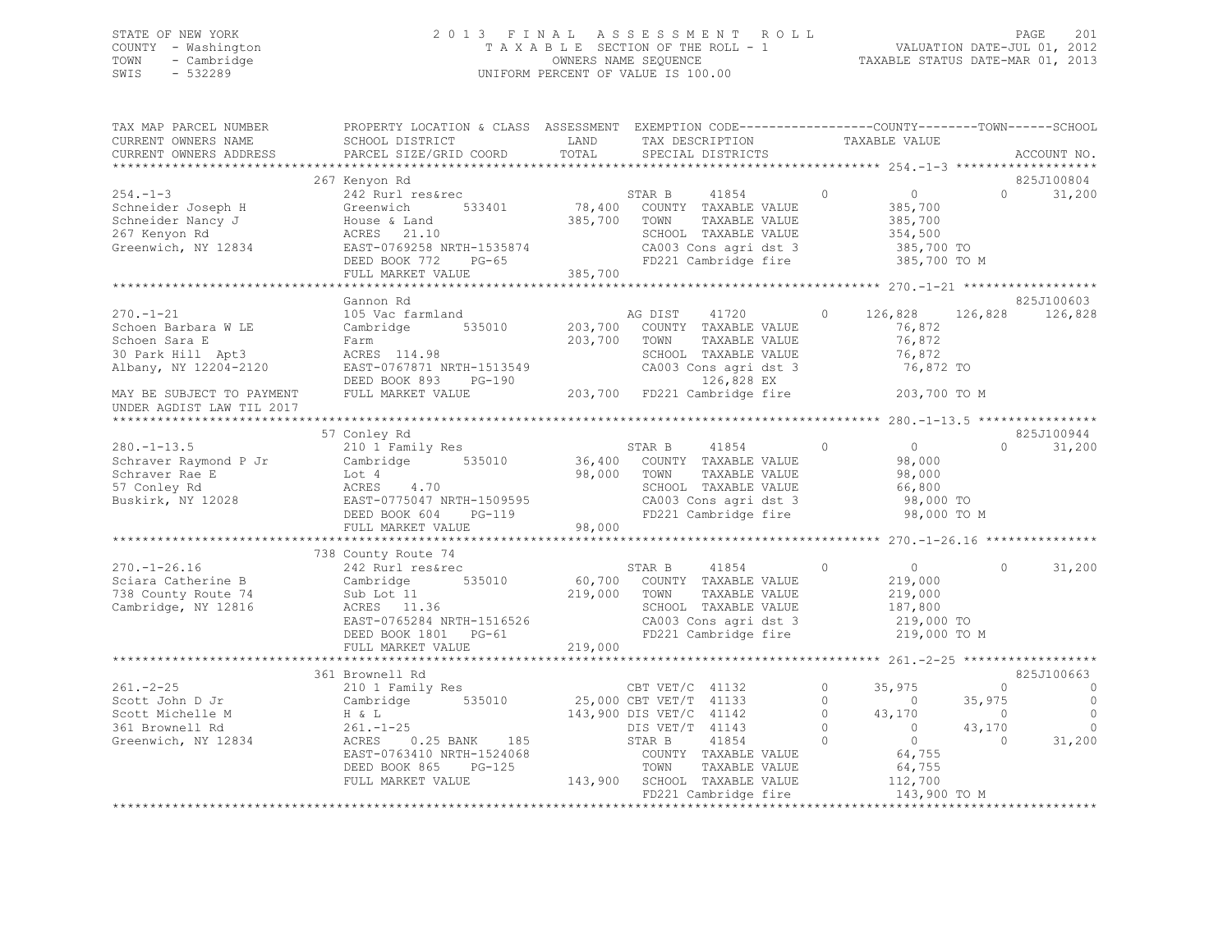## STATE OF NEW YORK 2 0 1 3 F I N A L A S S E S S M E N T R O L L PAGE 201 COUNTY - Washington T A X A B L E SECTION OF THE ROLL - 1 VALUATION DATE-JUL 01, 2012 TOWN - Cambridge OWNERS NAME SEQUENCE TAXABLE STATUS DATE-MAR 01, 2013 SWIS - 532289 UNIFORM PERCENT OF VALUE IS 100.00

| ACCOUNT NO.                                                              |                                                           | TAXABLE VALUE                                                                                   |                                                         | TAX DESCRIPTION<br>SPECIAL DISTRICTS                                                                                                              |                                                                                                           | LAND<br>TOTAL | PROPERTY LOCATION & CLASS ASSESSMENT EXEMPTION CODE----------------COUNTY-------TOWN-----SCHOOL<br>SCHOOL DISTRICT<br>PARCEL SIZE/GRID COORD                                    | TAX MAP PARCEL NUMBER<br>CURRENT OWNERS NAME<br>CURRENT OWNERS ADDRESS                                                             |
|--------------------------------------------------------------------------|-----------------------------------------------------------|-------------------------------------------------------------------------------------------------|---------------------------------------------------------|---------------------------------------------------------------------------------------------------------------------------------------------------|-----------------------------------------------------------------------------------------------------------|---------------|---------------------------------------------------------------------------------------------------------------------------------------------------------------------------------|------------------------------------------------------------------------------------------------------------------------------------|
|                                                                          |                                                           |                                                                                                 |                                                         |                                                                                                                                                   |                                                                                                           |               |                                                                                                                                                                                 |                                                                                                                                    |
| 825J100804<br>31,200                                                     | $\Omega$                                                  | $\overline{0}$<br>385,700<br>385,700<br>354,500<br>385,700 TO<br>385,700 TO M                   |                                                         | STAR B 41854<br>78,400 COUNTY TAXABLE VALUE<br>$\sim$ 0<br>TAXABLE VALUE<br>SCHOOL TAXABLE VALUE<br>CA003 Cons agri dst 3<br>FD221 Cambridge fire | 385,700 TOWN                                                                                              | 385,700       | 267 Kenyon Rd<br>242 Rurl res&rec<br>Greenwich<br>533401<br>House & Land<br>ACRES 21.10<br>ACRES 21.10<br>EAST-0769258 NRTH-1535874<br>DEED BOOK 772 PG-65<br>FULL MARKET VALUE | $254. -1 - 3$<br>Schneider Joseph H<br>Schneider Nancy J<br>267 Kenyon Rd<br>Greenwich, NY 12834                                   |
|                                                                          |                                                           |                                                                                                 |                                                         |                                                                                                                                                   |                                                                                                           |               |                                                                                                                                                                                 |                                                                                                                                    |
| 825J100603<br>126,828                                                    | 126,828                                                   | 126,828<br>76,872<br>76,872<br>76,872<br>76,872 TO<br>203,700 TO M                              | $\circ$                                                 | 41720<br>COUNTY TAXABLE VALUE<br>TAXABLE VALUE<br>SCHOOL TAXABLE VALUE<br>CA003 Cons agri dst 3<br>126,828 EX<br>203,700 FD221 Cambridge fire     | AG DIST<br>203,700 TOWN                                                                                   | 203,700       | Gannon Rd<br>105 Vac farmland<br>Cambridge<br>535010<br>Farm<br>ACRES 114.98<br>EAST-0767871 NRTH-1513549<br>DEED BOOK 893 PG-190<br>FULL MARKET VALUE                          | $270. - 1 - 21$<br>Schoen Barbara W LE<br>Schoen Sara E<br>30 Park Hill Apt3<br>Albany, NY 12204-2120<br>MAY BE SUBJECT TO PAYMENT |
|                                                                          |                                                           |                                                                                                 |                                                         |                                                                                                                                                   |                                                                                                           |               |                                                                                                                                                                                 | UNDER AGDIST LAW TIL 2017                                                                                                          |
|                                                                          |                                                           |                                                                                                 |                                                         |                                                                                                                                                   |                                                                                                           |               |                                                                                                                                                                                 |                                                                                                                                    |
| 825J100944<br>31,200                                                     | $\Omega$                                                  | $\overline{0}$<br>98,000<br>98,000<br>66,800<br>98,000 TO<br>98,000 TO M                        | $\Omega$                                                | 41854<br>36,400 COUNTY TAXABLE VALUE<br>TAXABLE VALUE<br>SCHOOL TAXABLE VALUE<br>CA003 Cons agri dst 3<br>FD221 Cambridge fire                    | STAR B<br>98,000 TOWN                                                                                     | 98,000        | 57 Conley Rd<br>210 1 Family Res<br>Cambridge 535010<br>Lot 4<br>ACRES 4.70<br>EAST-0775047 NRTH-1509595<br>DEED BOOK 604<br>$PG-119$<br>FULL MARKET VALUE                      | $280. -1 - 13.5$<br>Schraver Raymond P Jr<br>Schraver Rae E<br>57 Conley Rd<br>Buskirk, NY 12028                                   |
|                                                                          |                                                           |                                                                                                 |                                                         |                                                                                                                                                   |                                                                                                           |               | 738 County Route 74                                                                                                                                                             |                                                                                                                                    |
| 31,200                                                                   | $\Omega$                                                  | $\overline{0}$<br>219,000<br>219,000<br>187,800<br>219,000 TO<br>219,000 TO M                   | $\circ$                                                 | 41854<br>535010 60,700 COUNTY TAXABLE VALUE<br>TAXABLE VALUE<br>SCHOOL TAXABLE VALUE<br>CA003 Cons agri dst 3<br>FD221 Cambridge fire             | STAR B<br>219,000 TOWN                                                                                    | 219,000       | Councy Route 74<br>242 Rurl res&rec<br>Cambridge<br>Sub Lot 11<br>ACRES 11.36<br>EAST-0765284 NRTH-1516526<br>DEED BOOK 1801 PG-61<br>FULL MARKET VALUE                         | $270. - 1 - 26.16$<br>Sciara Catherine B<br>738 County Route 74<br>Cambridge, NY 12816                                             |
|                                                                          |                                                           |                                                                                                 |                                                         |                                                                                                                                                   |                                                                                                           |               |                                                                                                                                                                                 |                                                                                                                                    |
| 825J100663<br>$\overline{0}$<br>$\circ$<br>$\circ$<br>$\Omega$<br>31,200 | $\circ$<br>35,975<br>$\sim$ 0<br>43,170<br>$\overline{0}$ | 35,975<br>$\sim$ 0<br>43,170<br>$\overline{0}$<br>$\overline{0}$<br>64,755<br>64,755<br>112,700 | $\circ$<br>$\Omega$<br>$\Omega$<br>$\Omega$<br>$\Omega$ | 41854<br>COUNTY TAXABLE VALUE<br>TAXABLE VALUE<br>143,900 SCHOOL TAXABLE VALUE<br>FD221 Cambridge fire                                            | CBT VET/C 41132<br>25,000 CBT VET/T 41133<br>143,900 DIS VET/C 41142<br>DIS VET/T 41143<br>STAR B<br>TOWN |               | 210 1 Family Res<br>Cambridge 535010<br>H & L<br>$261. - 1 - 25$<br>0.25 BANK 185<br>ACRES<br>EAST-0763410 NRTH-1524068<br>DEED BOOK 865 PG-125<br>FULL MARKET VALUE            | $261 - 2 - 25$<br>Scott John D Jr<br>Scott Michelle M<br>361 Brownell Rd<br>Greenwich, NY 12834                                    |
|                                                                          |                                                           | 143,900 TO M                                                                                    |                                                         |                                                                                                                                                   |                                                                                                           |               | 361 Brownell Rd                                                                                                                                                                 |                                                                                                                                    |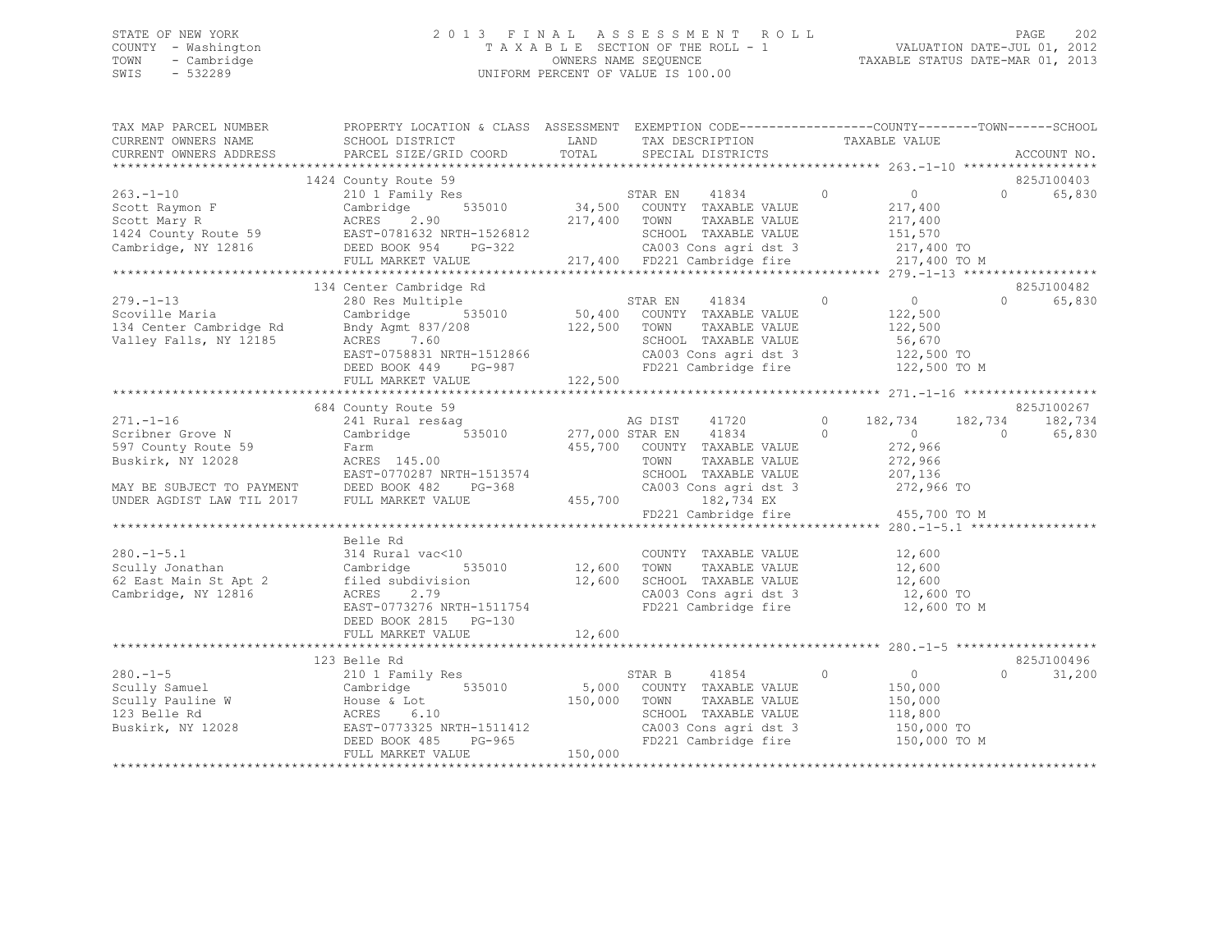## STATE OF NEW YORK 2 0 1 3 F I N A L A S S E S S M E N T R O L L PAGE 202 COUNTY - Washington T A X A B L E SECTION OF THE ROLL - 1 VALUATION DATE-JUL 01, 2012 TOWN - Cambridge OWNERS NAME SEQUENCE TAXABLE STATUS DATE-MAR 01, 2013 SWIS - 532289 UNIFORM PERCENT OF VALUE IS 100.00

| TAX MAP PARCEL NUMBER                                                                                                                                                                                                                                                                                                                                                               | PROPERTY LOCATION & CLASS ASSESSMENT EXEMPTION CODE----------------COUNTY-------TOWN------SCHOOL                                                                                                                                       |              |                                                                       |                                                   |                    |
|-------------------------------------------------------------------------------------------------------------------------------------------------------------------------------------------------------------------------------------------------------------------------------------------------------------------------------------------------------------------------------------|----------------------------------------------------------------------------------------------------------------------------------------------------------------------------------------------------------------------------------------|--------------|-----------------------------------------------------------------------|---------------------------------------------------|--------------------|
| CURRENT OWNERS NAME<br>CURRENT OWNERS ADDRESS                                                                                                                                                                                                                                                                                                                                       | SCHOOL DISTRICT<br>PARCEL SIZE/GRID COORD                                                                                                                                                                                              | LAND         | TAX DESCRIPTION<br>TOTAL SPECIAL DISTRICTS                            | TAXABLE VALUE                                     | ACCOUNT NO.        |
|                                                                                                                                                                                                                                                                                                                                                                                     |                                                                                                                                                                                                                                        |              |                                                                       |                                                   |                    |
|                                                                                                                                                                                                                                                                                                                                                                                     | 1424 County Route 59                                                                                                                                                                                                                   |              |                                                                       |                                                   | 825J100403         |
| $263 - 1 - 10$                                                                                                                                                                                                                                                                                                                                                                      | County Route 33<br>210 1 Family Res 535010 34,500 COUNTY TAXABLE VALUE<br>Cambridge 535010 34,500 COUNTY TAXABLE VALUE                                                                                                                 |              |                                                                       | $\sim$ 0 $\sim$ 0 $\sim$ 0 $\sim$ 0 $\sim$        | $\Omega$<br>65,830 |
| Scott Raymon F<br>Scott Marv R                                                                                                                                                                                                                                                                                                                                                      |                                                                                                                                                                                                                                        |              |                                                                       | $217, -22$<br>$217, 400$<br>$-57, -570$           |                    |
|                                                                                                                                                                                                                                                                                                                                                                                     |                                                                                                                                                                                                                                        | 217,400 TOWN |                                                                       |                                                   |                    |
|                                                                                                                                                                                                                                                                                                                                                                                     |                                                                                                                                                                                                                                        |              |                                                                       |                                                   |                    |
|                                                                                                                                                                                                                                                                                                                                                                                     |                                                                                                                                                                                                                                        |              |                                                                       |                                                   |                    |
|                                                                                                                                                                                                                                                                                                                                                                                     | Scott Mary R<br>1424 County Route 59 EAST-0781632 NRTH-1526812 SCHOOL TAXABLE VALUE<br>Cambridge, NY 12816 DEED BOOK 954 PG-322 CA003 Cons agri dst 3 217,400 TO<br>FULL MARKET VALUE 217,400 FD221 Cambridge fire 217,400 TO M<br>FUL |              |                                                                       |                                                   |                    |
|                                                                                                                                                                                                                                                                                                                                                                                     | 280 Res Multiple<br>Cambridge 535010 50,400 COUNTY TAXABLE VALUE<br>May Agmt 837/208 122,500 TOWN TAXABLE VALUE<br>ACRES 7.60 EAST-0758831 NPTY 1511                                                                                   |              |                                                                       |                                                   |                    |
|                                                                                                                                                                                                                                                                                                                                                                                     | 134 Center Cambridge Rd                                                                                                                                                                                                                |              |                                                                       |                                                   | 825J100482         |
| $279. - 1 - 13$                                                                                                                                                                                                                                                                                                                                                                     |                                                                                                                                                                                                                                        |              |                                                                       |                                                   | 65,830<br>$\Omega$ |
|                                                                                                                                                                                                                                                                                                                                                                                     |                                                                                                                                                                                                                                        |              |                                                                       |                                                   |                    |
| 279. 1 15<br>Scoville Maria<br>134 Center Cambridge Rd<br>Valley Falls, NY 12185                                                                                                                                                                                                                                                                                                    |                                                                                                                                                                                                                                        |              |                                                                       |                                                   |                    |
|                                                                                                                                                                                                                                                                                                                                                                                     |                                                                                                                                                                                                                                        |              |                                                                       | 56,670<br>122,500 TO<br>122,500 TO M              |                    |
|                                                                                                                                                                                                                                                                                                                                                                                     |                                                                                                                                                                                                                                        |              | CA003 Cons agri dst 3<br>FD221 Cambridge fire                         |                                                   |                    |
|                                                                                                                                                                                                                                                                                                                                                                                     | EAST-0758831 NRTH-1512866<br>DEED BOOK 449 PG-987<br>FIILL MAPKET WAITS                                                                                                                                                                |              |                                                                       |                                                   |                    |
|                                                                                                                                                                                                                                                                                                                                                                                     | FULL MARKET VALUE                                                                                                                                                                                                                      | 122,500      |                                                                       |                                                   |                    |
|                                                                                                                                                                                                                                                                                                                                                                                     |                                                                                                                                                                                                                                        |              |                                                                       |                                                   |                    |
|                                                                                                                                                                                                                                                                                                                                                                                     | 684 County Route 59                                                                                                                                                                                                                    |              |                                                                       |                                                   | 825J100267         |
| $271. - 1 - 16$                                                                                                                                                                                                                                                                                                                                                                     |                                                                                                                                                                                                                                        |              |                                                                       |                                                   |                    |
| $\frac{1}{2} \sum_{i=1}^{n} \frac{1}{i} \sum_{j=1}^{n} \frac{1}{j} \sum_{j=1}^{n} \frac{1}{j} \sum_{j=1}^{n} \frac{1}{j} \sum_{j=1}^{n} \frac{1}{j} \sum_{j=1}^{n} \frac{1}{j} \sum_{j=1}^{n} \frac{1}{j} \sum_{j=1}^{n} \frac{1}{j} \sum_{j=1}^{n} \frac{1}{j} \sum_{j=1}^{n} \frac{1}{j} \sum_{j=1}^{n} \frac{1}{j} \sum_{j=1}^{n} \frac{1}{j} \sum_{j=1}^{n$<br>Scribner Grove N | Cambridge 535010 277,000 STAR EN 41834 0                                                                                                                                                                                               |              |                                                                       | $\begin{matrix}0&&&&0\\&272,966&&&&0\end{matrix}$ | 65,830             |
| 597 County Route 59                                                                                                                                                                                                                                                                                                                                                                 | $ACRES$ 145.00<br>$ACRES$ 145.00                                                                                                                                                                                                       |              | 455,700 COUNTY TAXABLE VALUE                                          |                                                   |                    |
| Buskirk, NY 12028                                                                                                                                                                                                                                                                                                                                                                   |                                                                                                                                                                                                                                        |              | TOWN<br>TAXABLE VALUE                                                 | 272,966                                           |                    |
|                                                                                                                                                                                                                                                                                                                                                                                     | ACRES 145.00<br>EAST-0770287 NRTH-1513574<br>EAST-0770287 NRTH-1513574                                                                                                                                                                 |              | SCHOOL TAXABLE VALUE                                                  | 207,136                                           |                    |
|                                                                                                                                                                                                                                                                                                                                                                                     | MAY BE SUBJECT TO PAYMENT DEED BOOK 482 PG-368 CA003 Cons agridst 3<br>UNDER AGDIST LAW TIL 2017 FULL MARKET VALUE 455,700 182,734 EX                                                                                                  |              | CA003 Cons agri dst 3 272,966 TO                                      |                                                   |                    |
|                                                                                                                                                                                                                                                                                                                                                                                     |                                                                                                                                                                                                                                        |              |                                                                       |                                                   |                    |
|                                                                                                                                                                                                                                                                                                                                                                                     |                                                                                                                                                                                                                                        |              | FD221 Cambridge fire 455,700 TO M                                     |                                                   |                    |
|                                                                                                                                                                                                                                                                                                                                                                                     |                                                                                                                                                                                                                                        |              |                                                                       |                                                   |                    |
|                                                                                                                                                                                                                                                                                                                                                                                     | Belle Rd                                                                                                                                                                                                                               |              |                                                                       |                                                   |                    |
| $280. -1 - 5.1$                                                                                                                                                                                                                                                                                                                                                                     | 314 Rural vac<10                                                                                                                                                                                                                       |              | COUNTY TAXABLE VALUE                                                  | 12,600                                            |                    |
| scully Jonathan                                                                                                                                                                                                                                                                                                                                                                     | Cambridge                                                                                                                                                                                                                              |              |                                                                       | TAXABLE VALUE 12,600                              |                    |
|                                                                                                                                                                                                                                                                                                                                                                                     | 62 East Main St Apt 2 filed subdivision 12,600<br>Cambridge, NY 12816 2.79                                                                                                                                                             |              | SCHOOL TAXABLE VALUE 12,600<br>CA003 Cons agri dst 3 12,600 TO        |                                                   |                    |
|                                                                                                                                                                                                                                                                                                                                                                                     |                                                                                                                                                                                                                                        |              |                                                                       |                                                   |                    |
|                                                                                                                                                                                                                                                                                                                                                                                     | EAST-0773276 NRTH-1511754                                                                                                                                                                                                              |              | FD221 Cambridge fire                                                  | 12,600 TO M                                       |                    |
|                                                                                                                                                                                                                                                                                                                                                                                     | DEED BOOK 2815 PG-130                                                                                                                                                                                                                  |              |                                                                       |                                                   |                    |
|                                                                                                                                                                                                                                                                                                                                                                                     |                                                                                                                                                                                                                                        |              |                                                                       |                                                   |                    |
|                                                                                                                                                                                                                                                                                                                                                                                     |                                                                                                                                                                                                                                        |              |                                                                       |                                                   |                    |
|                                                                                                                                                                                                                                                                                                                                                                                     | 123 Belle Rd                                                                                                                                                                                                                           |              |                                                                       |                                                   | 825J100496         |
| $280 - 1 - 5$                                                                                                                                                                                                                                                                                                                                                                       | 210 1 Family Res                                                                                                                                                                                                                       |              | STAR B<br>41854                                                       | $\overline{0}$<br>$\overline{0}$                  | 31,200<br>$\cap$   |
|                                                                                                                                                                                                                                                                                                                                                                                     |                                                                                                                                                                                                                                        |              | 535010 5,000 COUNTY TAXABLE VALUE                                     | 150,000                                           |                    |
|                                                                                                                                                                                                                                                                                                                                                                                     |                                                                                                                                                                                                                                        | 150,000 TOWN | TAXABLE VALUE                                                         | 150,000                                           |                    |
|                                                                                                                                                                                                                                                                                                                                                                                     |                                                                                                                                                                                                                                        |              | SCHOOL TAXABLE VALUE                                                  | 118,800                                           |                    |
|                                                                                                                                                                                                                                                                                                                                                                                     |                                                                                                                                                                                                                                        |              | CA003 Cons agri dst 3 150,000 TO<br>FD221 Cambridge fire 150,000 TO M |                                                   |                    |
|                                                                                                                                                                                                                                                                                                                                                                                     | 280.-1-5<br>Scully Samuel Cambridge 535010 5,000<br>Scully Pauline W House & Lot<br>123 Belle Rd ACRES 6.10<br>Buskirk, NY 12028 EAST-0773325 NRTH-1511412<br>DEED BOOK 485 PG-965<br>THE DEED BOOK 485 PG-965<br>THE CONG AST PG-965  |              |                                                                       |                                                   |                    |
|                                                                                                                                                                                                                                                                                                                                                                                     | FULL MARKET VALUE                                                                                                                                                                                                                      | 150,000      |                                                                       |                                                   |                    |
|                                                                                                                                                                                                                                                                                                                                                                                     |                                                                                                                                                                                                                                        |              |                                                                       |                                                   |                    |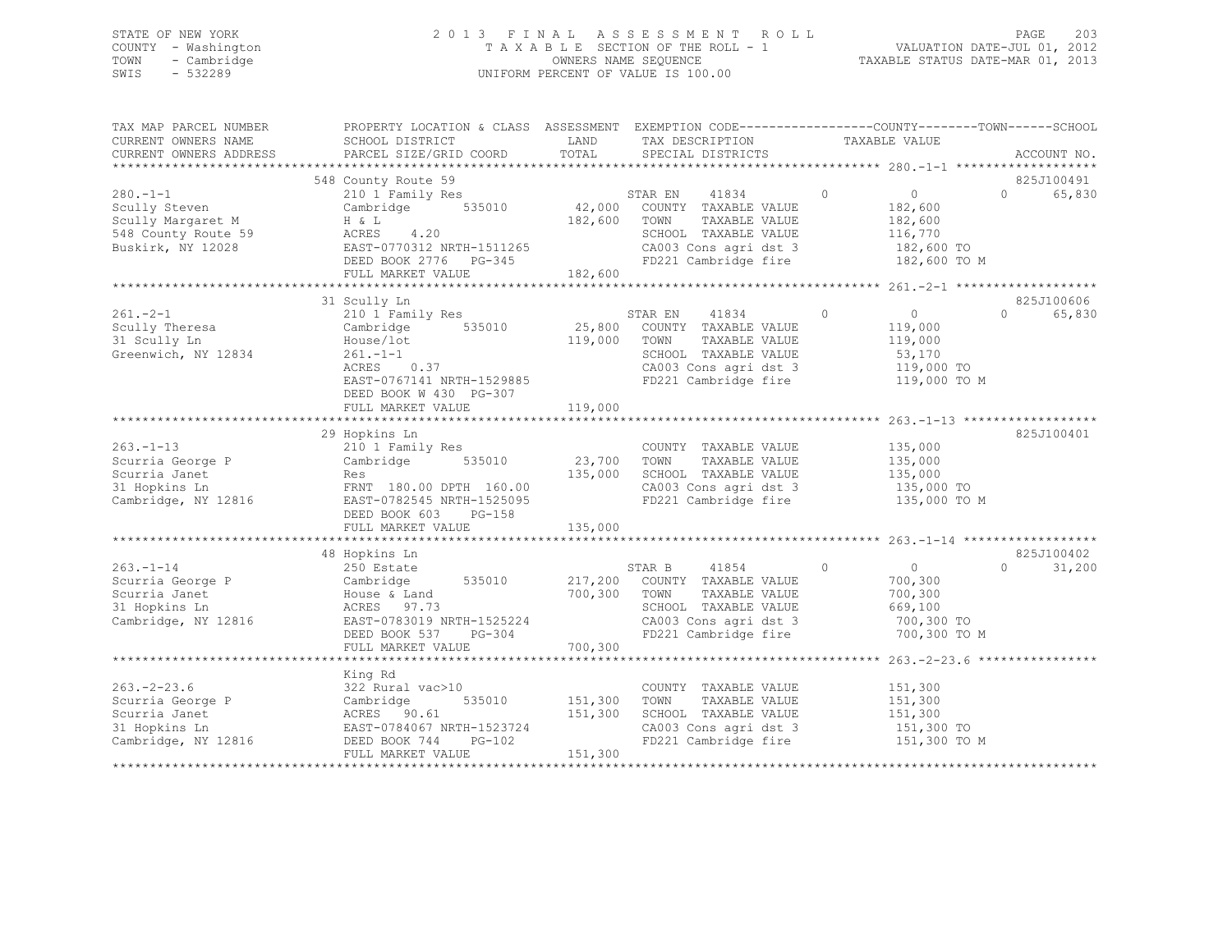## STATE OF NEW YORK 2 0 1 3 F I N A L A S S E S S M E N T R O L L PAGE 203 COUNTY - Washington T A X A B L E SECTION OF THE ROLL - 1 VALUATION DATE-JUL 01, 2012 TOWN - Cambridge OWNERS NAME SEQUENCE TAXABLE STATUS DATE-MAR 01, 2013 SWIS - 532289 UNIFORM PERCENT OF VALUE IS 100.00

| TAX MAP PARCEL NUMBER<br>CURRENT OWNERS NAME                                                    | PROPERTY LOCATION & CLASS ASSESSMENT EXEMPTION CODE-----------------COUNTY-------TOWN------SCHOOL<br>SCHOOL DISTRICT                                                     | LAND                      | TAX DESCRIPTION                                                                                                                                                   | TAXABLE VALUE                                                                            |                                  |
|-------------------------------------------------------------------------------------------------|--------------------------------------------------------------------------------------------------------------------------------------------------------------------------|---------------------------|-------------------------------------------------------------------------------------------------------------------------------------------------------------------|------------------------------------------------------------------------------------------|----------------------------------|
| CURRENT OWNERS ADDRESS                                                                          | PARCEL SIZE/GRID COORD                                                                                                                                                   | TOTAL                     | SPECIAL DISTRICTS                                                                                                                                                 |                                                                                          | ACCOUNT NO.                      |
|                                                                                                 | 548 County Route 59                                                                                                                                                      |                           |                                                                                                                                                                   |                                                                                          | 825J100491                       |
| $280 - 1 - 1$<br>Scully Steven<br>Scully Margaret M<br>548 County Route 59<br>Buskirk, NY 12028 | 210 1 Family Res<br>Cambridge 535010<br>H & L<br>ACRES<br>4.20<br>EAST-0770312 NRTH-1511265<br>DEED BOOK 2776 PG-345<br>FULL MARKET VALUE                                | 182,600 TOWN<br>182,600   | 41834<br>STAR EN<br>42,000 COUNTY TAXABLE VALUE<br>TAXABLE VALUE<br>SCHOOL TAXABLE VALUE<br>CA003 Cons agri dst 3<br>FD221 Cambridge fire 182,600 TO M            | $\overline{0}$<br>$\overline{0}$<br>182,600<br>182,600<br>116,770<br>182,600 TO          | 65,830<br>$\Omega$               |
|                                                                                                 | 31 Scully Ln                                                                                                                                                             |                           |                                                                                                                                                                   |                                                                                          | 825J100606                       |
| $261 - 2 - 1$<br>Scully Theresa<br>31 Scully Ln<br>Greenwich, NY 12834                          | 210 1 Family Res<br>Cambridge 535010<br>House/lot<br>$261 - 1 - 1$<br>$ACRES$ 0.37<br>EAST-0767141 NRTH-1529885<br>DEED BOOK W 430 PG-307                                | 119,000 TOWN              | STAR EN<br>41834<br>25,800 COUNTY TAXABLE VALUE<br>TAXABLE VALUE<br>SCHOOL TAXABLE VALUE<br>SCHOOL TAXABLE VALUE<br>CA003 Cons agri dst 3<br>FD221 Cambridge fire | $\circ$<br>$\overline{0}$<br>119,000<br>119,000<br>53,170<br>119,000 TO<br>119,000 TO M  | $\bigcap$<br>65,830              |
|                                                                                                 | FULL MARKET VALUE                                                                                                                                                        | 119,000                   |                                                                                                                                                                   |                                                                                          |                                  |
|                                                                                                 |                                                                                                                                                                          |                           |                                                                                                                                                                   |                                                                                          |                                  |
| $263 - 1 - 13$<br>Scurria George P<br>Scurria Janet<br>31 Hopkins Ln<br>Cambridge, NY 12816     | 29 Hopkins Ln<br>210 1 Family Res<br>Cambridge 535010 23,700<br>Res<br>FRNT 180.00 DPTH 160.00<br>EAST-0782545 NRTH-1525095<br>DEED BOOK 603 PG-158<br>FULL MARKET VALUE | 135,000<br>135,000        | COUNTY TAXABLE VALUE<br>TOWN<br>TAXABLE VALUE<br>SCHOOL TAXABLE VALUE<br>CA003 Cons agri dst $3$<br>FD221 Cambridge fire                                          | 135,000<br>135,000<br>135,000<br>135,000 TO<br>135,000 TO M                              | 825J100401                       |
|                                                                                                 |                                                                                                                                                                          |                           |                                                                                                                                                                   |                                                                                          |                                  |
| $263. - 1 - 14$<br>Scurria George P<br>Scurria Janet<br>31 Hopkins Ln<br>Cambridge, NY 12816    | 48 Hopkins Ln<br>250 Estate<br>535010<br>Cambridge<br>House & Land<br>ACRES 97.73<br>EAST-0783019 NRTH-1525224<br>DEED BOOK 537 PG-304<br>FULL MARKET VALUE              | 700,300<br>700,300        | 41854<br>STAR B<br>217,200 COUNTY TAXABLE VALUE<br>TOWN<br>TAXABLE VALUE<br>SCHOOL TAXABLE VALUE<br>CA003 Cons agri dst 3<br>FD221 Cambridge fire                 | $\circ$<br>$\overline{0}$<br>700,300<br>700,300<br>669,100<br>700,300 TO<br>700,300 TO M | 825J100402<br>31,200<br>$\Omega$ |
|                                                                                                 |                                                                                                                                                                          |                           |                                                                                                                                                                   |                                                                                          |                                  |
| $263. - 2 - 23.6$<br>Scurria George P<br>Scurria Janet<br>31 Hopkins Ln<br>Cambridge, NY 12816  | King Rd<br>322 Rural vac>10<br>Cambridge<br>ACRES 90.61<br>EAST-0784067 NRTH-1523724<br>DEED BOOK 744 PG-102                                                             | 535010 151,300<br>151,300 | COUNTY TAXABLE VALUE<br>TOWN<br>TAXABLE VALUE<br>SCHOOL TAXABLE VALUE<br>CA003 Cons agri dst 3<br>FD221 Cambridge fire                                            | 151,300<br>151,300<br>151,300<br>151,300 TO<br>151,300 TO M                              |                                  |
|                                                                                                 | FULL MARKET VALUE                                                                                                                                                        | 151,300                   |                                                                                                                                                                   |                                                                                          |                                  |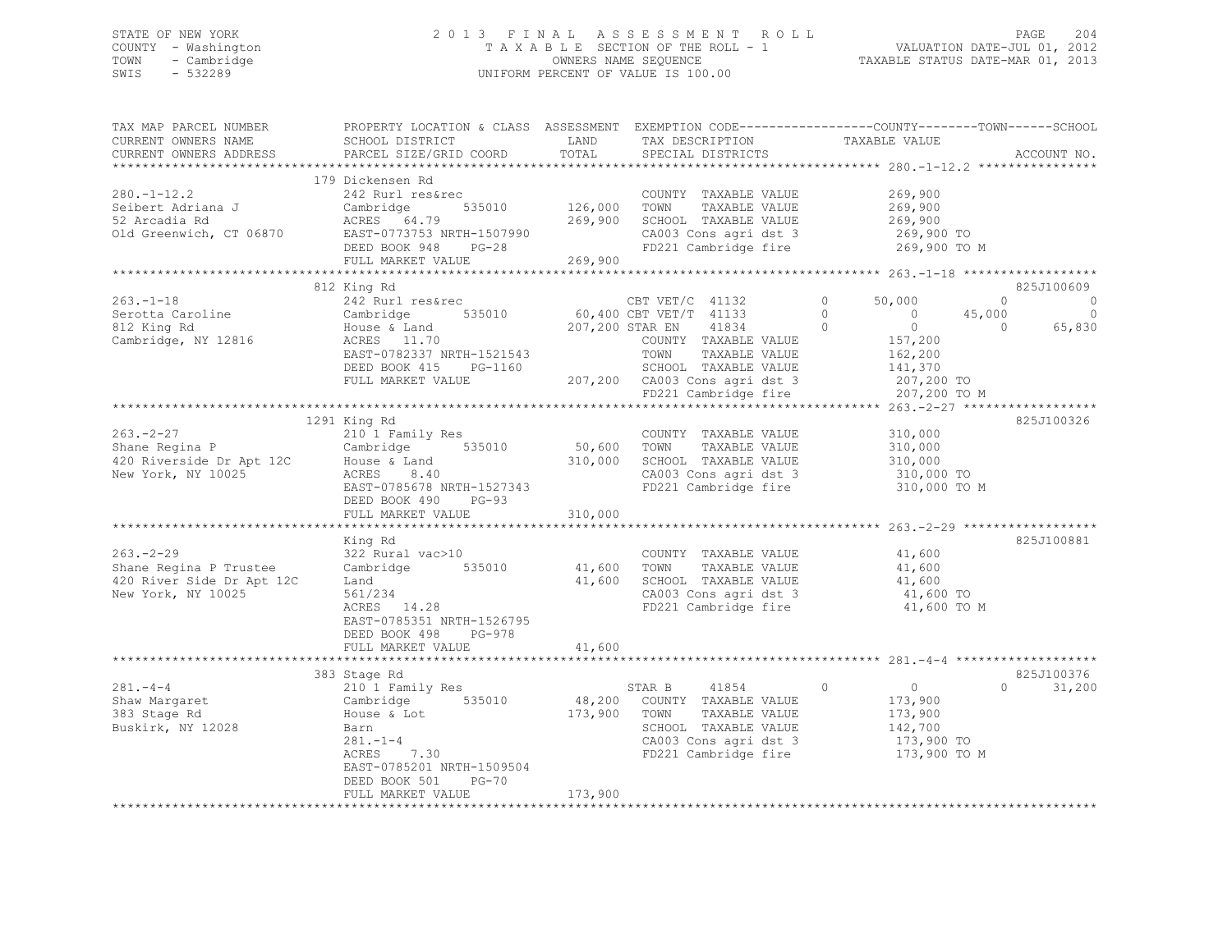## STATE OF NEW YORK 2 0 1 3 F I N A L A S S E S S M E N T R O L L PAGE 204 COUNTY - Washington T A X A B L E SECTION OF THE ROLL - 1 VALUATION DATE-JUL 01, 2012 TOWN - Cambridge OWNERS NAME SEQUENCE TAXABLE STATUS DATE-MAR 01, 2013 SWIS - 532289 UNIFORM PERCENT OF VALUE IS 100.00

| TAX MAP PARCEL NUMBER<br>CURRENT OWNERS NAME<br>CURRENT OWNERS ADDRESS                                 | PROPERTY LOCATION & CLASS ASSESSMENT EXEMPTION CODE----------------COUNTY-------TOWN-----SCHOOL<br>SCHOOL DISTRICT<br>PARCEL SIZE/GRID COORD                                                | LAND<br>TOTAL           | TAX DESCRIPTION<br>SPECIAL DISTRICTS                                                                                                                 | TAXABLE VALUE                                                                                                                        | ACCOUNT NO.                                                             |
|--------------------------------------------------------------------------------------------------------|---------------------------------------------------------------------------------------------------------------------------------------------------------------------------------------------|-------------------------|------------------------------------------------------------------------------------------------------------------------------------------------------|--------------------------------------------------------------------------------------------------------------------------------------|-------------------------------------------------------------------------|
| $280. -1 - 12.2$<br>Seibert Adriana J                                                                  | 179 Dickensen Rd<br>242 Rurl res&rec<br>Cambridge<br>535010                                                                                                                                 | 126,000                 | COUNTY TAXABLE VALUE<br>TOWN<br>TAXABLE VALUE                                                                                                        | 269,900<br>269,900                                                                                                                   |                                                                         |
| 52 Arcadia Rd<br>Old Greenwich, CT 06870                                                               | ACRES 64.79<br>EAST-0773753 NRTH-1507990<br>DEED BOOK 948 PG-28<br>FULL MARKET VALUE                                                                                                        | 269,900<br>269,900      | SCHOOL TAXABLE VALUE<br>SCHOOL TAXABLE VALUE<br>CA003 Cons agri dst 3                                                                                | 269,900<br>269,900 TO<br>FD221 Cambridge fire 269,900 TO M                                                                           |                                                                         |
|                                                                                                        |                                                                                                                                                                                             |                         |                                                                                                                                                      |                                                                                                                                      |                                                                         |
| $263. - 1 - 18$<br>Serotta Caroline<br>812 King Rd<br>812 King Rd<br>Cambridge, NY 12816               | 812 King Rd<br>242 Rurl res&rec<br>Cambridge<br>House & Land<br>535010<br>ACRES 11.70<br>ACRES 11.70<br>EAST-0782337 NRTH-1521543<br>DEED BOOK 415 PG-1160                                  |                         | CBT VET/C 41132<br>60,400 CBT VET/T 41133<br>207,200 STAR EN 41834<br>41834<br>COUNTY TAXABLE VALUE<br>TOWN<br>TAXABLE VALUE<br>SCHOOL TAXABLE VALUE | $\circ$<br>50,000<br>$\overline{0}$<br>$\overline{0}$<br>45,000<br>$\overline{0}$<br>$\overline{0}$<br>157,200<br>162,200<br>141,370 | 825J100609<br>$\circ$<br>$\circ$<br>$\circ$<br>$\overline{0}$<br>65,830 |
|                                                                                                        | FULL MARKET VALUE                                                                                                                                                                           |                         | 207,200 CA003 Cons agri dst 3<br>FD221 Cambridge fire                                                                                                | 207,200 TO<br>207,200 TO M                                                                                                           |                                                                         |
|                                                                                                        | 1291 King Rd                                                                                                                                                                                |                         |                                                                                                                                                      |                                                                                                                                      | 825J100326                                                              |
| $263 - 2 - 27$<br>Shane Regina P                                                                       | 210 1 Family Res<br>Cambridge<br>535010<br>8.40<br>EAST-0785678 NRTH-1527343<br>DEED BOOK 490 PG-93                                                                                         | 50,600 TOWN<br>310,000  | COUNTY TAXABLE VALUE<br>TAXABLE VALUE<br>SCHOOL TAXABLE VALUE<br>FD221 Cambridge fire                                                                | 310,000<br>310,000<br>310,000<br>CA003 Cons agri dst 3 310,000 TO<br>310,000 TO M                                                    |                                                                         |
|                                                                                                        | FULL MARKET VALUE                                                                                                                                                                           | 310,000                 |                                                                                                                                                      |                                                                                                                                      |                                                                         |
|                                                                                                        |                                                                                                                                                                                             |                         |                                                                                                                                                      |                                                                                                                                      |                                                                         |
| $263. - 2 - 29$<br>Shane Regina P Trustee Cambridge<br>420 River Side Dr Apt 12C<br>New York, NY 10025 | King Rd<br>322 Rural vac>10<br>$\frac{561/234}{2561/234}$<br>$\frac{28}{256}$ 14.28<br>EAST-0785351 NRTH-1526795<br>DEED BOOK 498 PG-978                                                    | 535010 41,600<br>41,600 | COUNTY TAXABLE VALUE<br>TOWN<br>TAXABLE VALUE<br>SCHOOL TAXABLE VALUE<br>CA003 Cons agri dst 3<br>FD221 Cambridge fire                               | 41,600<br>41,600<br>41,600<br>41,600 TO<br>41,600 TO M                                                                               | 825J100881                                                              |
|                                                                                                        | FULL MARKET VALUE                                                                                                                                                                           | 41,600                  |                                                                                                                                                      |                                                                                                                                      |                                                                         |
|                                                                                                        |                                                                                                                                                                                             |                         |                                                                                                                                                      |                                                                                                                                      |                                                                         |
| $281 - 4 - 4$<br>Shaw Margaret<br>383 Stage Rd<br>Buskirk, NY 12028                                    | 383 Stage Rd<br>210 1 Family Res<br>Cambridge 535010<br>House & Lot<br>Barn<br>7.30<br>$281 - 1 - 4$<br>ACRES<br>EAST-0785201 NRTH-1509504<br>DEED BOOK 501<br>$PG-70$<br>FULL MARKET VALUE | 173,900<br>173,900      | 41854<br>STAR B<br>48,200 COUNTY TAXABLE VALUE<br>TOWN<br>TAXABLE VALUE<br>SCHOOL TAXABLE VALUE<br>CA003 Cons agri dst 3<br>FD221 Cambridge fire     | $\overline{0}$<br>$\Omega$<br>173,900<br>173,900<br>142,700<br>173,900 TO<br>173,900 TO M                                            | 825J100376<br>$\Omega$<br>31,200                                        |
|                                                                                                        |                                                                                                                                                                                             |                         |                                                                                                                                                      |                                                                                                                                      |                                                                         |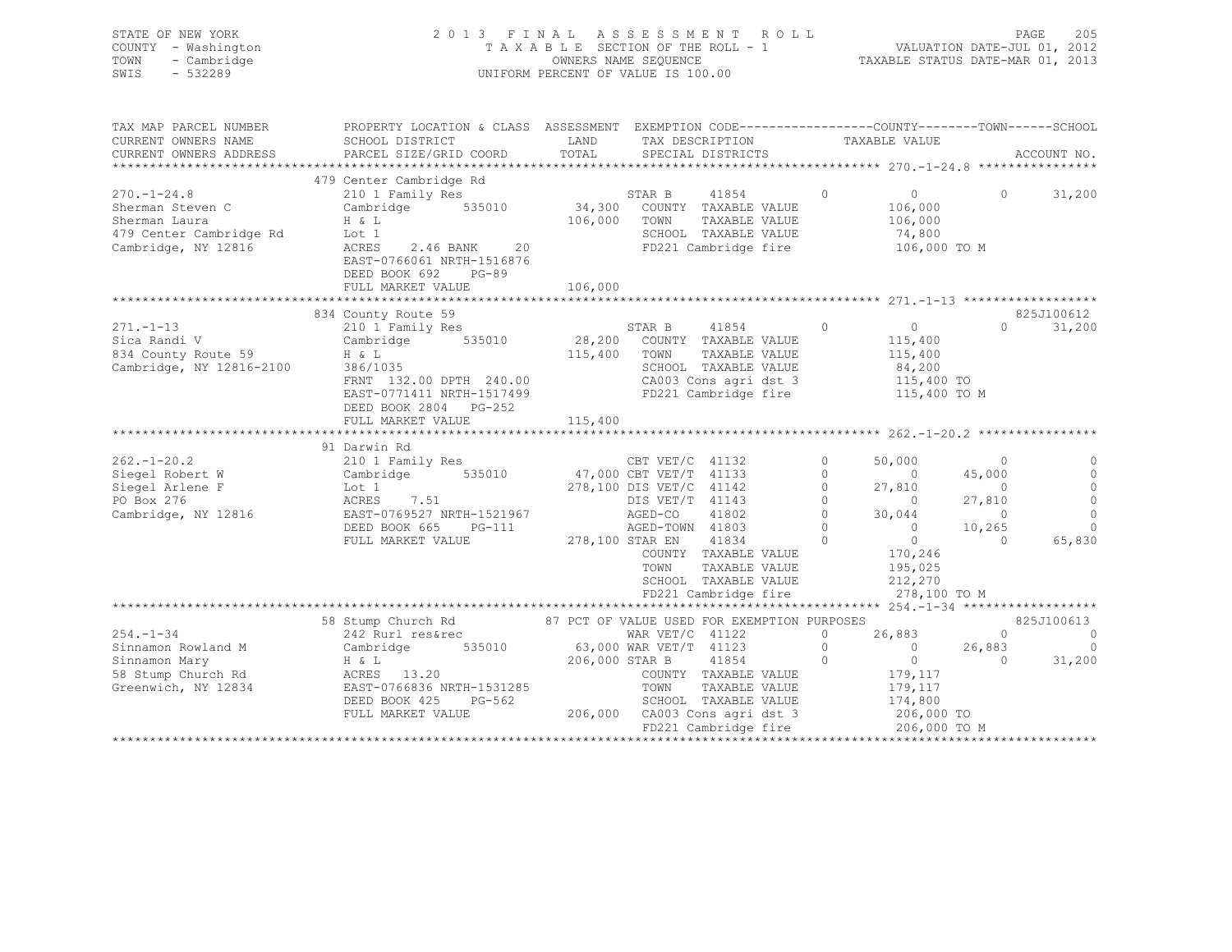|      | STATE OF NEW YORK   | 2013 FINAL ASSESSMENT ROLL                                     | PAGE | - 205 |
|------|---------------------|----------------------------------------------------------------|------|-------|
|      | COUNTY - Washington | VALUATION DATE-JUL 01, 2012<br>TAXABLE SECTION OF THE ROLL - 1 |      |       |
|      | TOWN - Cambridge    | TAXABLE STATUS DATE-MAR 01, 2013<br>OWNERS NAME SEQUENCE       |      |       |
| SWIS | - 532289            | UNIFORM PERCENT OF VALUE IS 100.00                             |      |       |

| TAX MAP PARCEL NUMBER                                     | PROPERTY LOCATION & CLASS ASSESSMENT EXEMPTION CODE----------------COUNTY-------TOWN-----SCHOOL                         |                 |                                                                               |                                                    |                |            |
|-----------------------------------------------------------|-------------------------------------------------------------------------------------------------------------------------|-----------------|-------------------------------------------------------------------------------|----------------------------------------------------|----------------|------------|
| CURRENT OWNERS NAME                                       | SCHOOL DISTRICT                                                                                                         | LAND            | TAX DESCRIPTION                                                               | TAXABLE VALUE                                      |                |            |
|                                                           |                                                                                                                         |                 |                                                                               |                                                    |                |            |
|                                                           |                                                                                                                         |                 |                                                                               |                                                    |                |            |
|                                                           | 479 Center Cambridge Rd                                                                                                 |                 |                                                                               |                                                    |                |            |
| $270. - 1 - 24.8$                                         | 210 1 Family Res                                                                                                        |                 | STAR B 41854 0                                                                | $\overline{0}$                                     | $\overline{0}$ | 31,200     |
| Sherman Steven C                                          | Cambridge 535010 34,300 COUNTY TAXABLE VALUE                                                                            |                 |                                                                               | 106,000                                            |                |            |
| Sherman Laura                                             | H & L                                                                                                                   | 106,000 TOWN    | TAXABLE VALUE                                                                 | 106,000                                            |                |            |
| 479 Center Cambridge Rd                                   | Lot 1                                                                                                                   |                 | SCHOOL TAXABLE VALUE                                                          | 74,800                                             |                |            |
| Cambridge, NY 12816                                       | 2.46 BANK 20<br>ACRES                                                                                                   |                 | FD221 Cambridge fire 106,000 TO M                                             |                                                    |                |            |
|                                                           | EAST-0766061 NRTH-1516876                                                                                               |                 |                                                                               |                                                    |                |            |
|                                                           | DEED BOOK 692<br>PG-89                                                                                                  |                 |                                                                               |                                                    |                |            |
|                                                           | FULL MARKET VALUE                                                                                                       | 106,000         |                                                                               |                                                    |                |            |
|                                                           |                                                                                                                         |                 |                                                                               |                                                    |                |            |
|                                                           |                                                                                                                         |                 |                                                                               |                                                    |                |            |
|                                                           | 834 County Route 59<br>County Route 59<br>210 1 Family Res                                                              |                 |                                                                               |                                                    |                | 825J100612 |
| $271. - 1 - 13$                                           |                                                                                                                         |                 | STAR B 41854 0                                                                | $\overline{0}$                                     | $\Omega$       | 31,200     |
| Sica Randi V<br>834 County Route 59<br>Cambridge Williams | Cambridge 535010 28,200 COUNTY TAXABLE VALUE                                                                            |                 |                                                                               | 115,400                                            |                |            |
|                                                           | $H \& L$                                                                                                                | 115,400 TOWN    | TAXABLE VALUE                                                                 | 115,400                                            |                |            |
| Cambridge, NY 12816-2100                                  | 386/1035                                                                                                                |                 | SCHOOL TAXABLE VALUE                                                          | 84,200                                             |                |            |
|                                                           | FRNT 132.00 DPTH 240.00<br>EAST-0771411 NRTH-1517499                                                                    |                 | CA003 Cons agri dst 3 115,400 TO<br>FD221 Cambridge fire 115,400 TO M         |                                                    |                |            |
|                                                           |                                                                                                                         |                 |                                                                               |                                                    |                |            |
|                                                           | DEED BOOK 2804 PG-252                                                                                                   |                 |                                                                               |                                                    |                |            |
|                                                           | FULL MARKET VALUE                                                                                                       | 115,400         |                                                                               |                                                    |                |            |
|                                                           |                                                                                                                         |                 |                                                                               |                                                    |                |            |
|                                                           | 91 Darwin Rd                                                                                                            |                 |                                                                               |                                                    |                |            |
| $262. - 1 - 20.2$                                         | 210 1 Family Res CBT VET/C 41132                                                                                        |                 |                                                                               | $\Omega$<br>50,000                                 | $\sim$ 0       |            |
| Siegel Robert W                                           |                                                                                                                         |                 |                                                                               | $\Omega$<br>$\overline{0}$                         | 45,000         |            |
| Siegel Arlene F                                           | Cambridge 535010 47,000 CBT VET/T 41133<br>Lot 1 278,100 DIS VET/C 41142<br>ACRES 7.51 DIS VET/T 41143                  |                 |                                                                               | $\circ$<br>27,810                                  | $\circ$        | $\circ$    |
| PO Box 276                                                | 7.51                                                                                                                    |                 |                                                                               | $\Omega$<br>$\sim$ 0                               | 27,810         | $\circ$    |
| Cambridge, NY 12816                                       | EAST-0769527 NRTH-1521967                                                                                               |                 |                                                                               | $\Omega$<br>30,044                                 | $\overline{0}$ | $\Omega$   |
|                                                           | DEED BOOK 665 PG-111                                                                                                    |                 | AGED-CO 41802<br>AGED-TOWN 41803                                              | $\bigcirc$                                         | $0 \t 10,265$  | $\Omega$   |
|                                                           | FULL MARKET VALUE                                                                                                       | 278,100 STAR EN | $\sim$ 0<br>41834                                                             |                                                    | $\Omega$       | 65,830     |
|                                                           |                                                                                                                         |                 | COUNTY TAXABLE VALUE                                                          | $\begin{smallmatrix}&&0\\170,246\end{smallmatrix}$ |                |            |
|                                                           |                                                                                                                         |                 | TOWN<br>TAXABLE VALUE                                                         | 195,025                                            |                |            |
|                                                           |                                                                                                                         |                 | SCHOOL TAXABLE VALUE                                                          | 212,270                                            |                |            |
|                                                           |                                                                                                                         |                 | FD221 Cambridge fire                                                          |                                                    | 278,100 TO M   |            |
|                                                           |                                                                                                                         |                 |                                                                               |                                                    |                |            |
|                                                           | 58 Stump Church Rd 67 PCT OF VALUE USED FOR EXEMPTION PURPOSES                                                          |                 |                                                                               |                                                    |                | 825J100613 |
|                                                           |                                                                                                                         |                 |                                                                               | 26,883<br>$\circ$                                  | $\overline{0}$ | $\circ$    |
|                                                           |                                                                                                                         |                 |                                                                               |                                                    | $0 \t 26,883$  | $\Omega$   |
|                                                           | $242$ Rurl res&rec WAR VET/C 41122<br>Sinnamon Rowland M Cambridge 535010 63,000 WAR VET/T 41123<br>Sinnamon Mary H & L |                 |                                                                               | $\circ$                                            | $\bigcirc$     |            |
|                                                           |                                                                                                                         |                 |                                                                               | $\overline{0}$<br>$\overline{0}$                   |                | 31,200     |
| 58 Stump Church Rd ACRES 13.20                            |                                                                                                                         |                 | COUNTY TAXABLE VALUE                                                          | 179,117                                            |                |            |
| Greenwich, NY 12834                                       | EAST-0766836 NRTH-1531285                                                                                               |                 | TOWN<br>TAXABLE VALUE                                                         | 179,117                                            |                |            |
|                                                           | $PG-562$<br>DEED BOOK 425                                                                                               |                 | SCHOOL TAXABLE VALUE                                                          | 174,800                                            |                |            |
|                                                           | FULL MARKET VALUE                                                                                                       |                 | 206,000 CA003 Cons agri dst 3 206,000 TO<br>FD221 Cambridge fire 206,000 TO M |                                                    |                |            |
|                                                           |                                                                                                                         |                 |                                                                               |                                                    |                |            |
|                                                           |                                                                                                                         |                 |                                                                               |                                                    |                |            |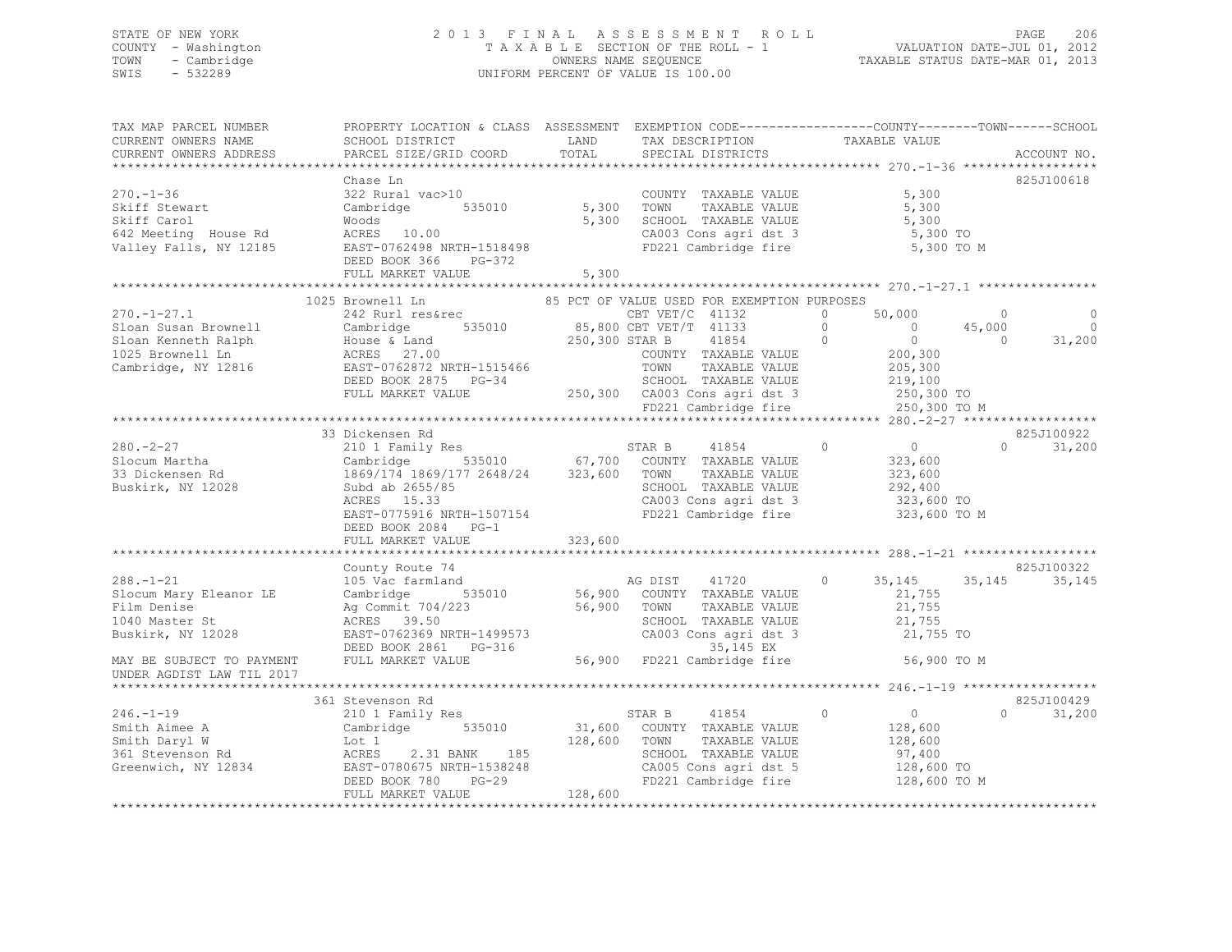## STATE OF NEW YORK 2 0 1 3 F I N A L A S S E S S M E N T R O L L PAGE 206 COUNTY - Washington T A X A B L E SECTION OF THE ROLL - 1 VALUATION DATE-JUL 01, 2012 TOWN - Cambridge OWNERS NAME SEQUENCE TAXABLE STATUS DATE-MAR 01, 2013 SWIS - 532289 UNIFORM PERCENT OF VALUE IS 100.00

| TAX MAP PARCEL NUMBER<br>CURRENT OWNERS NAME  | PROPERTY LOCATION & CLASS ASSESSMENT EXEMPTION CODE-----------------COUNTY-------TOWN------SCHOOL<br>SCHOOL DISTRICT                                                                                                                                                                                                                                                                            | LAND              | TAX DESCRIPTION                                                       | TAXABLE VALUE              |                |             |
|-----------------------------------------------|-------------------------------------------------------------------------------------------------------------------------------------------------------------------------------------------------------------------------------------------------------------------------------------------------------------------------------------------------------------------------------------------------|-------------------|-----------------------------------------------------------------------|----------------------------|----------------|-------------|
| CURRENT OWNERS ADDRESS                        | PARCEL SIZE/GRID COORD                                                                                                                                                                                                                                                                                                                                                                          | TOTAL             | SPECIAL DISTRICTS                                                     |                            |                | ACCOUNT NO. |
|                                               |                                                                                                                                                                                                                                                                                                                                                                                                 |                   |                                                                       |                            |                |             |
|                                               | Chase Ln                                                                                                                                                                                                                                                                                                                                                                                        |                   |                                                                       |                            |                | 825J100618  |
| $270. - 1 - 36$                               | 322 Rural vac>10                                                                                                                                                                                                                                                                                                                                                                                |                   | COUNTY TAXABLE VALUE                                                  | 5,300                      |                |             |
| Skiff Stewart<br>skiff Stewart<br>skiff Carol | Cambridge<br>Woods                                                                                                                                                                                                                                                                                                                                                                              | 535010 5,300 TOWN | TAXABLE VALUE                                                         | 5,300                      |                |             |
|                                               |                                                                                                                                                                                                                                                                                                                                                                                                 |                   | 5,300 SCHOOL TAXABLE VALUE                                            | 5,300                      |                |             |
|                                               |                                                                                                                                                                                                                                                                                                                                                                                                 |                   | CA003 Cons agri dst 3 5,300 TO                                        |                            |                |             |
|                                               |                                                                                                                                                                                                                                                                                                                                                                                                 |                   | FD221 Cambridge fire                                                  | 5,300 TO M                 |                |             |
|                                               | DEED BOOK 366 PG-372                                                                                                                                                                                                                                                                                                                                                                            |                   |                                                                       |                            |                |             |
|                                               | FULL MARKET VALUE                                                                                                                                                                                                                                                                                                                                                                               | 5,300             |                                                                       |                            |                |             |
|                                               |                                                                                                                                                                                                                                                                                                                                                                                                 |                   |                                                                       |                            |                |             |
|                                               | $\begin{tabular}{l c c c c c c c} \multicolumn{3}{c c c c} \multicolumn{3}{c c c} \multicolumn{3}{c c c} \multicolumn{3}{c c c} \multicolumn{3}{c c c} \multicolumn{3}{c c c} \multicolumn{3}{c c c} \multicolumn{3}{c c c} \multicolumn{3}{c c c} \multicolumn{3}{c c c} \multicolumn{3}{c c c} \multicolumn{3}{c c c} \multicolumn{3}{c c c} \multicolumn{3}{c c c} \multicolumn{3}{c c c} \$ |                   |                                                                       |                            |                |             |
|                                               |                                                                                                                                                                                                                                                                                                                                                                                                 |                   |                                                                       |                            | $\sim$ 0       | $\circ$     |
|                                               |                                                                                                                                                                                                                                                                                                                                                                                                 |                   |                                                                       |                            | 45,000         | $\sim$ 0    |
|                                               |                                                                                                                                                                                                                                                                                                                                                                                                 |                   |                                                                       |                            | $\overline{0}$ | 31,200      |
|                                               |                                                                                                                                                                                                                                                                                                                                                                                                 |                   |                                                                       |                            |                |             |
|                                               |                                                                                                                                                                                                                                                                                                                                                                                                 |                   |                                                                       |                            |                |             |
|                                               |                                                                                                                                                                                                                                                                                                                                                                                                 |                   |                                                                       |                            |                |             |
|                                               |                                                                                                                                                                                                                                                                                                                                                                                                 |                   |                                                                       |                            |                |             |
|                                               |                                                                                                                                                                                                                                                                                                                                                                                                 |                   |                                                                       |                            |                |             |
|                                               |                                                                                                                                                                                                                                                                                                                                                                                                 |                   |                                                                       |                            |                |             |
|                                               | 33 Dickensen Rd                                                                                                                                                                                                                                                                                                                                                                                 |                   |                                                                       |                            |                | 825J100922  |
| $280 - 2 - 27$                                |                                                                                                                                                                                                                                                                                                                                                                                                 |                   |                                                                       | $0$<br>323,600             | $\Omega$       | 31,200      |
|                                               |                                                                                                                                                                                                                                                                                                                                                                                                 |                   |                                                                       |                            |                |             |
| Slocum Martha<br>33 Dickensen Rd              | 210 1 Family Res<br>Cambridge 535010 67,700 COUNTY TAXABLE VALUE<br>1869/174 1869/177 2648/24 323,600 TOWN TAXABLE VALUE<br>Subd ab 2655/85 SCHOOL TAXABLE VALUE<br>ACRES 15.33 CA003 Cons agri dst 3                                                                                                                                                                                           |                   |                                                                       | $323,600$<br>$292,400$     |                |             |
| Buskirk, NY 12028                             |                                                                                                                                                                                                                                                                                                                                                                                                 |                   |                                                                       |                            |                |             |
|                                               |                                                                                                                                                                                                                                                                                                                                                                                                 |                   | SCHOOL TAXABLE VALUE<br>CA003 Cons agri dst 3<br>FD221 Cambridge fire | 323,600 ТО<br>323,600 ТО М |                |             |
|                                               | EAST-0775916 NRTH-1507154                                                                                                                                                                                                                                                                                                                                                                       |                   |                                                                       |                            |                |             |
|                                               | DEED BOOK 2084 PG-1                                                                                                                                                                                                                                                                                                                                                                             |                   |                                                                       |                            |                |             |
|                                               | FULL MARKET VALUE                                                                                                                                                                                                                                                                                                                                                                               | 323,600           |                                                                       |                            |                |             |
|                                               |                                                                                                                                                                                                                                                                                                                                                                                                 |                   |                                                                       |                            |                |             |
|                                               | County Route 74                                                                                                                                                                                                                                                                                                                                                                                 |                   |                                                                       |                            |                | 825J100322  |
| $288. - 1 - 21$                               |                                                                                                                                                                                                                                                                                                                                                                                                 |                   |                                                                       | 0 35, 145 35, 145          |                | 35,145      |
| Slocum Mary Eleanor LE                        |                                                                                                                                                                                                                                                                                                                                                                                                 |                   |                                                                       |                            |                |             |
| Film Denise                                   |                                                                                                                                                                                                                                                                                                                                                                                                 |                   |                                                                       |                            |                |             |
| 1040 Master St                                |                                                                                                                                                                                                                                                                                                                                                                                                 |                   |                                                                       |                            |                |             |
| Buskirk, NY 12028                             |                                                                                                                                                                                                                                                                                                                                                                                                 |                   |                                                                       |                            |                |             |
|                                               |                                                                                                                                                                                                                                                                                                                                                                                                 |                   |                                                                       |                            |                |             |
| MAY BE SUBJECT TO PAYMENT                     | Commit Not denote the Magnetic Cambridge 535010<br>Cambridge 535010 56,900 COUNTY TAXABLE VALUE 21,755<br>Ag Commit 704/223 56,900 TOWN TAXABLE VALUE 21,755<br>ACRES 39.50 SCHOOL TAXABLE VALUE 21,755<br>EAST-0762369 NRTH-1499573 C                                                                                                                                                          |                   |                                                                       |                            |                |             |
| UNDER AGDIST LAW TIL 2017                     |                                                                                                                                                                                                                                                                                                                                                                                                 |                   |                                                                       |                            |                |             |
|                                               |                                                                                                                                                                                                                                                                                                                                                                                                 |                   |                                                                       |                            |                |             |
|                                               | 361 Stevenson Rd                                                                                                                                                                                                                                                                                                                                                                                |                   |                                                                       |                            |                | 825J100429  |
|                                               |                                                                                                                                                                                                                                                                                                                                                                                                 |                   |                                                                       |                            | $\cap$         | 31,200      |
|                                               |                                                                                                                                                                                                                                                                                                                                                                                                 |                   |                                                                       |                            |                |             |
|                                               |                                                                                                                                                                                                                                                                                                                                                                                                 |                   |                                                                       |                            |                |             |
|                                               |                                                                                                                                                                                                                                                                                                                                                                                                 |                   |                                                                       |                            |                |             |
|                                               |                                                                                                                                                                                                                                                                                                                                                                                                 |                   |                                                                       |                            |                |             |
|                                               | 361 Sevenson Rd 361 Sevenson Rd 361 Sevenson Rd 361 Sevenson Rd 361 Sevenson Rd 361 Sevenson Rd 361 Sevenson Rd 361 Sevenson Rd 361 Sevenson Rd 361 Sevenson Rd 361 Sevenson Rd 361 Sevenson Rd 361 Sevenson Rd 361 Sevenson R                                                                                                                                                                  | 128,600           |                                                                       |                            |                |             |
|                                               | FULL MARKET VALUE                                                                                                                                                                                                                                                                                                                                                                               |                   |                                                                       |                            |                |             |
|                                               |                                                                                                                                                                                                                                                                                                                                                                                                 |                   |                                                                       |                            |                |             |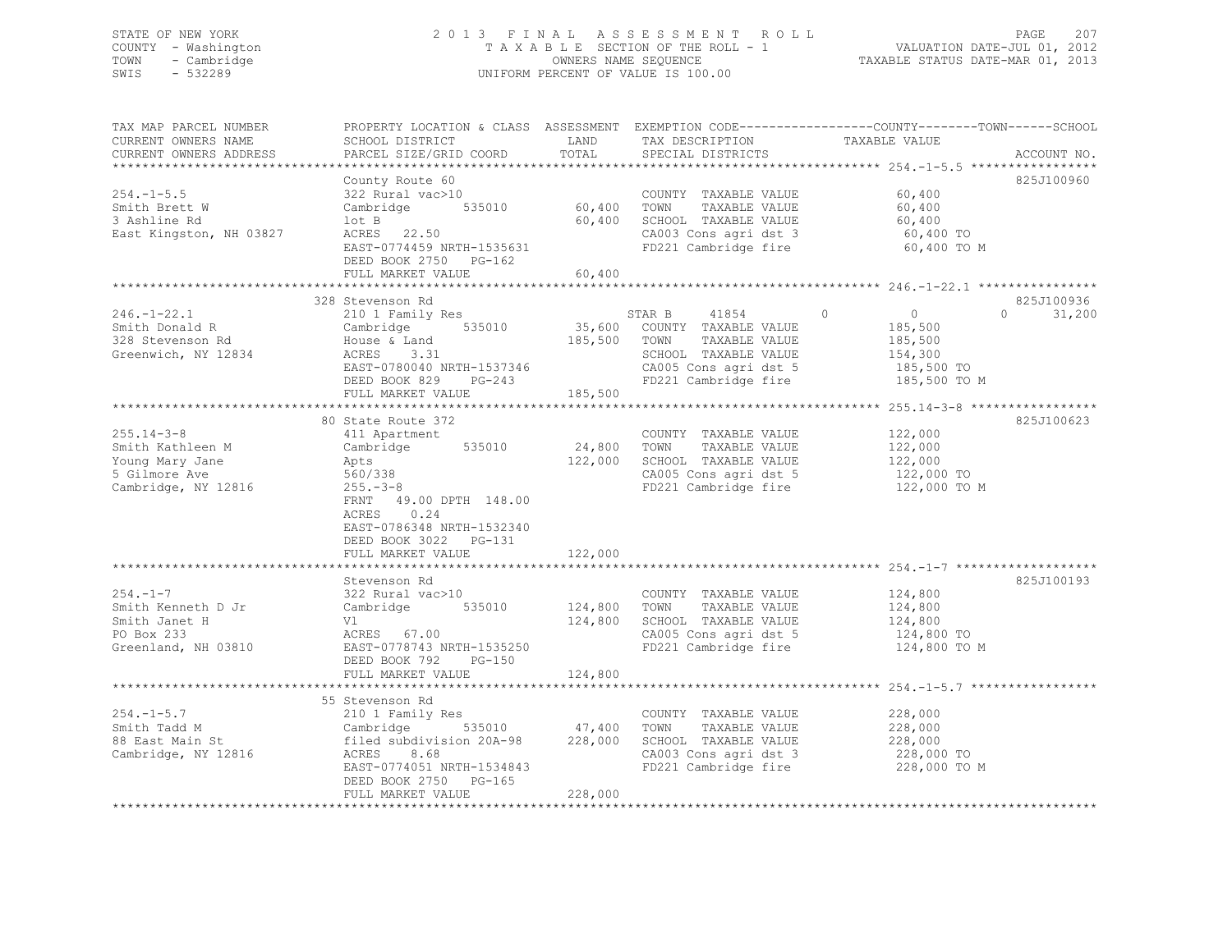## STATE OF NEW YORK 2 0 1 3 F I N A L A S S E S S M E N T R O L L PAGE 207 COUNTY - Washington T A X A B L E SECTION OF THE ROLL - 1 VALUATION DATE-JUL 01, 2012 TOWN - Cambridge OWNERS NAME SEQUENCE TAXABLE STATUS DATE-MAR 01, 2013 SWIS - 532289 UNIFORM PERCENT OF VALUE IS 100.00

| TAX MAP PARCEL NUMBER<br>CURRENT OWNERS NAME<br>CURRENT OWNERS ADDRESS                          | SCHOOL DISTRICT<br>PARCEL SIZE/GRID COORD                                                                                                                                                        | LAND<br>TOTAL                 | TAX DESCRIPTION<br>SPECIAL DISTRICTS                                                                                                             | PROPERTY LOCATION & CLASS ASSESSMENT EXEMPTION CODE----------------COUNTY-------TOWN------SCHOOL<br>TAXABLE VALUE<br>ACCOUNT NO. |
|-------------------------------------------------------------------------------------------------|--------------------------------------------------------------------------------------------------------------------------------------------------------------------------------------------------|-------------------------------|--------------------------------------------------------------------------------------------------------------------------------------------------|----------------------------------------------------------------------------------------------------------------------------------|
| $254. - 1 - 5.5$<br>Smith Brett W<br>3 Ashline Rd<br>East Kingston, NH 03827                    | County Route 60<br>322 Rural vac>10<br>Cambridge 535010<br>lot B<br>ACRES 22.50<br>EAST-0774459 NRTH-1535631<br>DEED BOOK 2750 PG-162<br>FULL MARKET VALUE                                       | 60,400<br>60,400<br>60,400    | COUNTY TAXABLE VALUE<br>TOWN<br>TAXABLE VALUE<br>SCHOOL TAXABLE VALUE<br>CA003 Cons agri dst 3<br>FD221 Cambridge fire                           | 825J100960<br>60,400<br>60,400<br>60,400<br>60,400 TO<br>60,400 TO M                                                             |
|                                                                                                 |                                                                                                                                                                                                  |                               |                                                                                                                                                  |                                                                                                                                  |
| $246. - 1 - 22.1$<br>Smith Donald R<br>328 Stevenson Rd<br>Greenwich, NY 12834                  | 328 Stevenson Rd<br>210 1 Family Res<br>535010<br>Cambridge<br>House & Land<br>ACRES<br>3.31<br>EAST-0780040 NRTH-1537346<br>DEED BOOK 829<br>PG-243<br>FULL MARKET VALUE                        | 185,500<br>185,500            | 41854<br>STAR B<br>35,600 COUNTY TAXABLE VALUE<br>TOWN<br>TAXABLE VALUE<br>SCHOOL TAXABLE VALUE<br>CA005 Cons agri dst 5<br>FD221 Cambridge fire | 825J100936<br>$\Omega$<br>$\circ$<br>31,200<br>$\Omega$<br>185,500<br>185,500<br>154,300<br>185,500 TO<br>185,500 TO M           |
|                                                                                                 | **************************                                                                                                                                                                       |                               |                                                                                                                                                  |                                                                                                                                  |
| $255.14 - 3 - 8$<br>Smith Kathleen M<br>Young Mary Jane<br>5 Gilmore Ave<br>Cambridge, NY 12816 | 80 State Route 372<br>411 Apartment<br>535010<br>Cambridge<br>Apts<br>560/338<br>$255. - 3 - 8$<br>FRNT 49.00 DPTH 148.00<br>0.24<br>ACRES<br>EAST-0786348 NRTH-1532340<br>DEED BOOK 3022 PG-131 | 24,800<br>122,000             | COUNTY TAXABLE VALUE<br>TOWN<br>TAXABLE VALUE<br>SCHOOL TAXABLE VALUE<br>CA005 Cons agri dst 5<br>FD221 Cambridge fire                           | 825J100623<br>122,000<br>122,000<br>122,000<br>122,000 TO<br>122,000 TO M                                                        |
|                                                                                                 | FULL MARKET VALUE                                                                                                                                                                                | 122,000                       |                                                                                                                                                  |                                                                                                                                  |
| $254. - 1 - 7$<br>Smith Kenneth D Jr<br>Smith Janet H<br>PO Box 233<br>Greenland, NH 03810      | Stevenson Rd<br>322 Rural vac>10<br>535010<br>Cambridge<br>Vl<br>ACRES 67.00<br>EAST-0778743 NRTH-1535250<br>DEED BOOK 792<br>PG-150<br>FULL MARKET VALUE                                        | 124,800<br>124,800<br>124,800 | COUNTY TAXABLE VALUE<br>TAXABLE VALUE<br>TOWN<br>SCHOOL TAXABLE VALUE<br>CA005 Cons agri dst 5<br>FD221 Cambridge fire                           | 825J100193<br>124,800<br>124,800<br>124,800<br>124,800 TO<br>124,800 TO M                                                        |
|                                                                                                 |                                                                                                                                                                                                  |                               |                                                                                                                                                  |                                                                                                                                  |
|                                                                                                 | 55 Stevenson Rd                                                                                                                                                                                  |                               |                                                                                                                                                  |                                                                                                                                  |
| $254. -1 - 5.7$<br>Smith Tadd M<br>88 East Main St<br>Cambridge, NY 12816                       | 210 1 Family Res<br>Cambridge 535010<br>filed subdivision 20A-98<br>ACRES<br>8.68<br>EAST-0774051 NRTH-1534843<br>DEED BOOK 2750<br>PG-165<br>FULL MARKET VALUE                                  | 47,400<br>228,000<br>228,000  | COUNTY TAXABLE VALUE<br>TOWN<br>TAXABLE VALUE<br>SCHOOL TAXABLE VALUE<br>CA003 Cons agri dst 3<br>FD221 Cambridge fire                           | 228,000<br>228,000<br>228,000<br>228,000 TO<br>228,000 TO M                                                                      |
|                                                                                                 |                                                                                                                                                                                                  |                               |                                                                                                                                                  |                                                                                                                                  |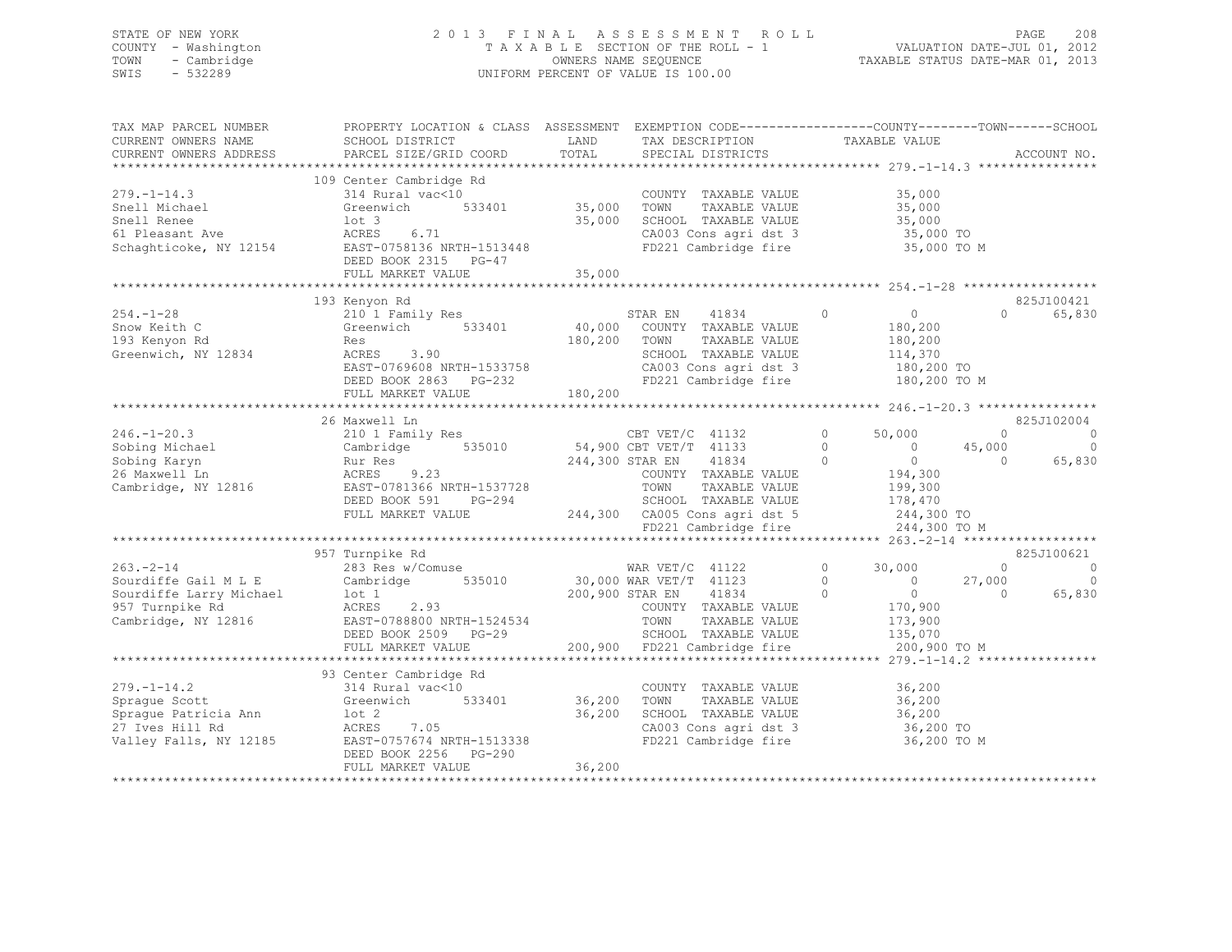## STATE OF NEW YORK 2 0 1 3 F I N A L A S S E S S M E N T R O L L PAGE 208 COUNTY - Washington T A X A B L E SECTION OF THE ROLL - 1 VALUATION DATE-JUL 01, 2012 TOWN - Cambridge OWNERS NAME SEQUENCE TAXABLE STATUS DATE-MAR 01, 2013 SWIS - 532289 UNIFORM PERCENT OF VALUE IS 100.00

| TAX MAP PARCEL NUMBER<br>CURRENT OWNERS NAME<br>CURRENT OWNERS ADDRESS                                                                                                                                                                                | PROPERTY LOCATION & CLASS ASSESSMENT EXEMPTION CODE----------------COUNTY-------TOWN-----SCHOOL<br>SCHOOL DISTRICT<br>PARCEL SIZE/GRID COORD           | TOTAL        | LAND TAX DESCRIPTION<br>SPECIAL DISTRICTS                                                                                                                                         | TAXABLE VALUE                                                          |                       | ACCOUNT NO. |
|-------------------------------------------------------------------------------------------------------------------------------------------------------------------------------------------------------------------------------------------------------|--------------------------------------------------------------------------------------------------------------------------------------------------------|--------------|-----------------------------------------------------------------------------------------------------------------------------------------------------------------------------------|------------------------------------------------------------------------|-----------------------|-------------|
|                                                                                                                                                                                                                                                       |                                                                                                                                                        |              |                                                                                                                                                                                   |                                                                        |                       |             |
| $279. - 1 - 14.3$                                                                                                                                                                                                                                     | 109 Center Cambridge Rd<br>314 Rural vac<10<br>Greenwich 533401 35,000 TOWN<br>Steel 314 35,000 TOWN                                                   |              |                                                                                                                                                                                   |                                                                        |                       |             |
| Snell Michael                                                                                                                                                                                                                                         |                                                                                                                                                        |              | 35,000 TOWN TAXABLE VALUE 35,000<br>35,000 SCHOOL TAXABLE VALUE 35,000<br>CA003 Cons agri dst 3                                                                                   |                                                                        |                       |             |
|                                                                                                                                                                                                                                                       | DEED BOOK 2315 PG-47                                                                                                                                   |              | CA003 Cons agri dst 3 35,000 TO<br>FD221 Cambridge fire 35,000 TO M                                                                                                               |                                                                        |                       |             |
|                                                                                                                                                                                                                                                       |                                                                                                                                                        |              |                                                                                                                                                                                   |                                                                        |                       |             |
|                                                                                                                                                                                                                                                       | 193 Kenyon Rd                                                                                                                                          |              |                                                                                                                                                                                   |                                                                        |                       | 825J100421  |
| $254. - 1 - 28$<br>Snow Keith C<br>193 Kenyon Rd<br>Greenwich, NY 12834                                                                                                                                                                               | 210 <sup>1</sup> Family Res<br>Greenwich 533401<br>Res<br>ACRES 3.90<br>ACKES 3.90<br>EAST-0769608 NRTH-1533758<br>DEED BOOK 2863 PG-232<br>THI MORT-1 | 180,200 TOWN | STAR EN 41834<br>40,000 COUNTY TAXABLE VALUE<br>STAR EN 41834 0<br>TAXABLE VALUE<br>SCHOOL TAXABLE VALUE<br>CA003 Cons agri dst 3 180,200 TO<br>FD221 Cambridge fire 180,200 TO M | $\overline{0}$<br>180,200<br>180,200<br>114,370                        | $\cap$                | 65,830      |
|                                                                                                                                                                                                                                                       |                                                                                                                                                        |              |                                                                                                                                                                                   |                                                                        |                       |             |
|                                                                                                                                                                                                                                                       |                                                                                                                                                        |              |                                                                                                                                                                                   |                                                                        |                       |             |
|                                                                                                                                                                                                                                                       | 26 Maxwell Ln                                                                                                                                          |              |                                                                                                                                                                                   |                                                                        |                       | 825J102004  |
| 246.-1-20.3<br>Sobing Michael 210 1 Family Res<br>Sobing Karyn Rur Res<br>26 Maxwell Ln<br>26 Maxwell Ln<br>26 Maxwell Ln<br>26 Maxwell Ln<br>26 Maxwell Ln<br>244,300 STAR EN<br>244,300 STAR EN<br>244,300 STAR EN<br>244,300 STAR EN<br>244,300 ST |                                                                                                                                                        |              |                                                                                                                                                                                   | $\overline{0}$<br>50,000                                               | $\circ$               | $\circ$     |
|                                                                                                                                                                                                                                                       |                                                                                                                                                        |              |                                                                                                                                                                                   | $\begin{array}{c} 0 \\ 0 \end{array}$<br>$\overline{0}$                | 45,000                | $\Omega$    |
|                                                                                                                                                                                                                                                       |                                                                                                                                                        |              |                                                                                                                                                                                   | $\overline{0}$<br>$\overline{0}$                                       | $\frac{1}{2}$ 000,000 | 65,830      |
|                                                                                                                                                                                                                                                       |                                                                                                                                                        |              |                                                                                                                                                                                   | 194,300<br>199,300                                                     |                       |             |
|                                                                                                                                                                                                                                                       |                                                                                                                                                        |              |                                                                                                                                                                                   |                                                                        |                       |             |
|                                                                                                                                                                                                                                                       |                                                                                                                                                        |              |                                                                                                                                                                                   |                                                                        |                       |             |
|                                                                                                                                                                                                                                                       |                                                                                                                                                        |              | SCHOOL TAXABLE VALUE 178,470<br>CA005 Cons agri dst 5 1244,300 TO                                                                                                                 |                                                                        |                       |             |
|                                                                                                                                                                                                                                                       |                                                                                                                                                        |              | FD221 Cambridge fire                                                                                                                                                              | 244,300 TO M                                                           |                       |             |
|                                                                                                                                                                                                                                                       |                                                                                                                                                        |              |                                                                                                                                                                                   |                                                                        |                       |             |
|                                                                                                                                                                                                                                                       | 957 Turnpike Rd                                                                                                                                        |              |                                                                                                                                                                                   |                                                                        |                       | 825J100621  |
| $263 - 2 - 14$                                                                                                                                                                                                                                        | 283 Res w/Comuse 283 Res w/Comuse 283 Res w/Comuse                                                                                                     |              |                                                                                                                                                                                   | $\overline{0}$<br>30,000                                               | $\sim$ 0 $\sim$       | $\sim$ 0    |
| Condities Cambridge 535010 30,000 WAR VET/T 41123<br>Sourdiffe Gail M L E Cambridge 535010 30,000 WAR VET/T 41123<br>Sourdiffe Larry Michael 10t 1 200,900 STAR EN 41834<br>957 Turnpike Rd ACRES 2.93 COUNTY TAXABLE<br>Cambridge, NY                |                                                                                                                                                        |              |                                                                                                                                                                                   | $\begin{array}{ccc} 0 & 27,000 \\ 0 & 0 \end{array}$<br>$\overline{0}$ |                       | $\sim$ 0    |
|                                                                                                                                                                                                                                                       |                                                                                                                                                        |              |                                                                                                                                                                                   | $\overline{0}$                                                         |                       | 65,830      |
|                                                                                                                                                                                                                                                       |                                                                                                                                                        |              | COUNTY TAXABLE VALUE                                                                                                                                                              | 170,900<br>173,900                                                     |                       |             |
|                                                                                                                                                                                                                                                       |                                                                                                                                                        |              | TAXABLE VALUE                                                                                                                                                                     |                                                                        |                       |             |
|                                                                                                                                                                                                                                                       | DEED BOOK 2509 PG-29                                                                                                                                   |              | SCHOOL TAXABLE VALUE 135,070<br>200,900 FD221 Cambridge fire 200,900 TO M                                                                                                         |                                                                        |                       |             |
|                                                                                                                                                                                                                                                       | FULL MARKET VALUE                                                                                                                                      |              |                                                                                                                                                                                   |                                                                        |                       |             |
|                                                                                                                                                                                                                                                       |                                                                                                                                                        |              |                                                                                                                                                                                   |                                                                        |                       |             |
|                                                                                                                                                                                                                                                       | 93 Center Cambridge Rd                                                                                                                                 |              |                                                                                                                                                                                   |                                                                        |                       |             |
| $279. - 1 - 14.2$                                                                                                                                                                                                                                     | 314 Rural vac<10<br>Greenwich 533401 36,200 TOWN TAXABLE VALUE<br>Greenwich 533401 36,200 TOWN TAXABLE VALUE                                           |              | COUNTY TAXABLE VALUE                                                                                                                                                              | 36,200<br>36,200                                                       |                       |             |
| Spraque Scott                                                                                                                                                                                                                                         | Greenwich 533401                                                                                                                                       |              |                                                                                                                                                                                   |                                                                        |                       |             |
| Sprague Patricia Ann 10t 2<br>27 Twes Hill Rd 2<br>27 Twes Hill Rd 2                                                                                                                                                                                  | lot 2<br>ACRES 7.05                                                                                                                                    |              | 36,200 1900 1000 1000 1000 1000<br>36,200 SCHOOL TAXABLE VALUE 36,200<br>CA003 Cons agri dst 3 36,200 TO                                                                          |                                                                        |                       |             |
|                                                                                                                                                                                                                                                       |                                                                                                                                                        |              |                                                                                                                                                                                   |                                                                        |                       |             |
| Valley Falls, NY 12185 EAST-0757674 NRTH-1513338                                                                                                                                                                                                      | DEED BOOK 2256 PG-290                                                                                                                                  |              | FD221 Cambridge fire 36,200 TO M                                                                                                                                                  |                                                                        |                       |             |
|                                                                                                                                                                                                                                                       | FULL MARKET VALUE                                                                                                                                      | 36,200       |                                                                                                                                                                                   |                                                                        |                       |             |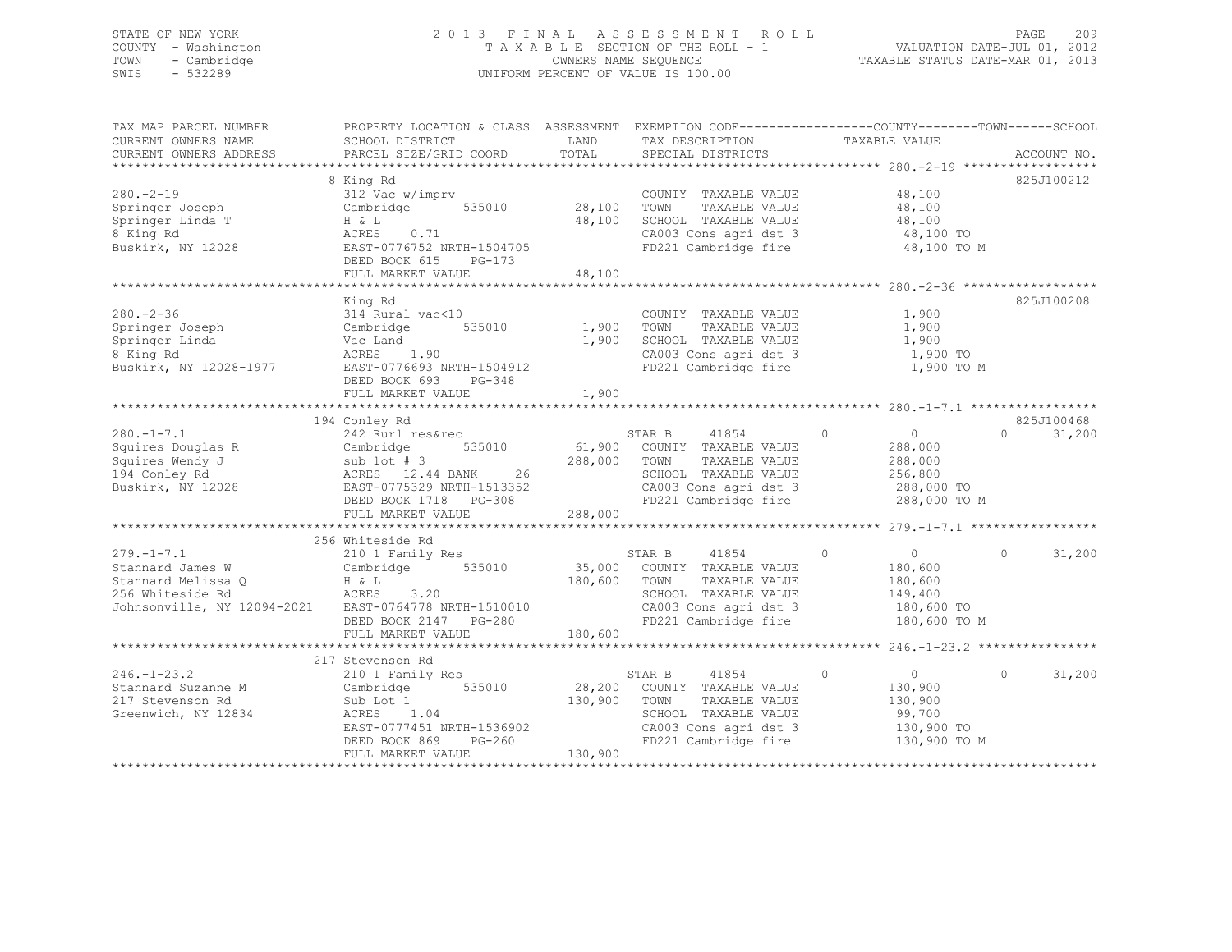## STATE OF NEW YORK 2 0 1 3 F I N A L A S S E S S M E N T R O L L PAGE 209 COUNTY - Washington T A X A B L E SECTION OF THE ROLL - 1 VALUATION DATE-JUL 01, 2012 TOWN - Cambridge OWNERS NAME SEQUENCE TAXABLE STATUS DATE-MAR 01, 2013 SWIS - 532289 UNIFORM PERCENT OF VALUE IS 100.00

| TAX MAP PARCEL NUMBER<br>CURRENT OWNERS NAME<br>CURRENT OWNERS ADDRESS                                                                                                                                                                                     | PROPERTY LOCATION & CLASS ASSESSMENT EXEMPTION CODE---------------COUNTY-------TOWN-----SCHOOL<br>SCHOOL DISTRICT<br>PARCEL SIZE/GRID COORD                                                                   | LAND<br>TOTAL    | TAX DESCRIPTION TAXABLE VALUE<br>SERCIAL DISTRICTS<br>SPECIAL DISTRICTS                                              |                                                                                         | ACCOUNT NO.        |
|------------------------------------------------------------------------------------------------------------------------------------------------------------------------------------------------------------------------------------------------------------|---------------------------------------------------------------------------------------------------------------------------------------------------------------------------------------------------------------|------------------|----------------------------------------------------------------------------------------------------------------------|-----------------------------------------------------------------------------------------|--------------------|
| $280 - 2 - 19$<br>Springer Joseph<br>Springer Linda T<br>8 King Rd<br>Buskirk, NY 12028                                                                                                                                                                    | 8 King Rd<br>312 Vac w/imprv<br>Cambridge 535010 28,100<br>H & L<br>ACRES<br>0.71<br>EAST-0776752 NRTH-1504705<br>DEED BOOK 615<br>PG-173<br>FULL MARKET VALUE                                                | 48,100<br>48,100 | COUNTY TAXABLE VALUE<br>TAXABLE VALUE<br>TOWN<br>SCHOOL TAXABLE VALUE 48,100<br>CA003 Cons agri dst 3 48,100 TO      | 48,100<br>48,100<br>FD221 Cambridge fire 48,100 TO M                                    | 825J100212         |
| $280 - 2 - 36$<br>zou.<br>Springer Joseph<br>Springer Linda<br>A King Rd<br>Springer Linda<br>8 King Rd<br>Buskirk, NY 12028-1977<br>EAST-0776693 NRTH-1504912                                                                                             | King Rd<br>314 Rural vac<10<br>Cambridge 535010 1,900 TOWN<br>DEED BOOK 693<br>PG-348<br>FULL MARKET VALUE                                                                                                    | 1,900            | COUNTY TAXABLE VALUE<br>TAXABLE VALUE<br>1,900 SCHOOL TAXABLE VALUE<br>CA003 Cons agri dst 3<br>FD221 Cambridge fire | 1,900<br>1,900<br>1,900<br>1,900 TO<br>1,900 TO M                                       | 825J100208         |
|                                                                                                                                                                                                                                                            | 194 Conley Rd                                                                                                                                                                                                 |                  |                                                                                                                      |                                                                                         | 825J100468         |
| 280.-1-7.1<br>242 Kuri resarect<br>242 Kuri resarect<br>242 Kuri resarect<br>260.000 COUNT<br>288,000 COUNT<br>288,000 TOWN<br>288,000 TOWN<br>288,000 TOWN<br>288,000 TOWN<br>288,000 TOWN<br>288,000 TOWN<br>288,000 TOWN<br>288,000 TOWN<br>288,000 TOW | 242 Rurl res&rec<br>FULL MARKET VALUE                                                                                                                                                                         | 288,000          | STAR B 41854 (61,900 COUNTY TAXABLE VALUE<br>STAR B 41854 0<br>TAXABLE VALUE<br>FD221 Cambridge fire                 | $\overline{0}$<br>288,000<br>288,000<br>288,000 TO M                                    | $\Omega$<br>31,200 |
|                                                                                                                                                                                                                                                            |                                                                                                                                                                                                               |                  |                                                                                                                      |                                                                                         |                    |
| Johnsonville, NY 12094-2021 EAST-0764778 NRTH-1510010<br>DEED BOOK 2147 PG-280                                                                                                                                                                             | 256 Whiteside Rd                                                                                                                                                                                              | 180,600 TOWN     | TAXABLE VALUE<br>SCHOOL TAXABLE VALUE<br>CA003 Cons agri dst 3 180,600 TO<br>FD221 Cambridge fire                    | $\overline{0}$<br>180,600<br>180,600<br>149,400<br>180,600 TO M                         | $\Omega$<br>31,200 |
|                                                                                                                                                                                                                                                            |                                                                                                                                                                                                               |                  |                                                                                                                      |                                                                                         |                    |
|                                                                                                                                                                                                                                                            |                                                                                                                                                                                                               |                  |                                                                                                                      |                                                                                         |                    |
| $246. - 1 - 23.2$<br>Stannard Suzanne M Cambridge 535010 28,200 COUNTY TAXABLE VALUE<br>217 Stevenson Rd<br>Greenwich, NY 12834                                                                                                                            | 217 Stevenson Rd<br>210 1 Family Res<br>Sub Lot 1<br>1.04<br>ACRES<br>ACRES 1.04<br>EAST-0777451 NRTH-1536902 CA003 Cons agri dst 3<br>DEED BOOK 869 PG-260 FD221 Cambridge fire<br>FULL MARKET VALUE 130,900 | 130,900 TOWN     | STAR B<br>41854<br>TAXABLE VALUE<br>SCHOOL TAXABLE VALUE                                                             | $\circ$<br>$\overline{0}$<br>130,900<br>130,900<br>99,700<br>130,900 TO<br>130,900 TO M | $\circ$<br>31,200  |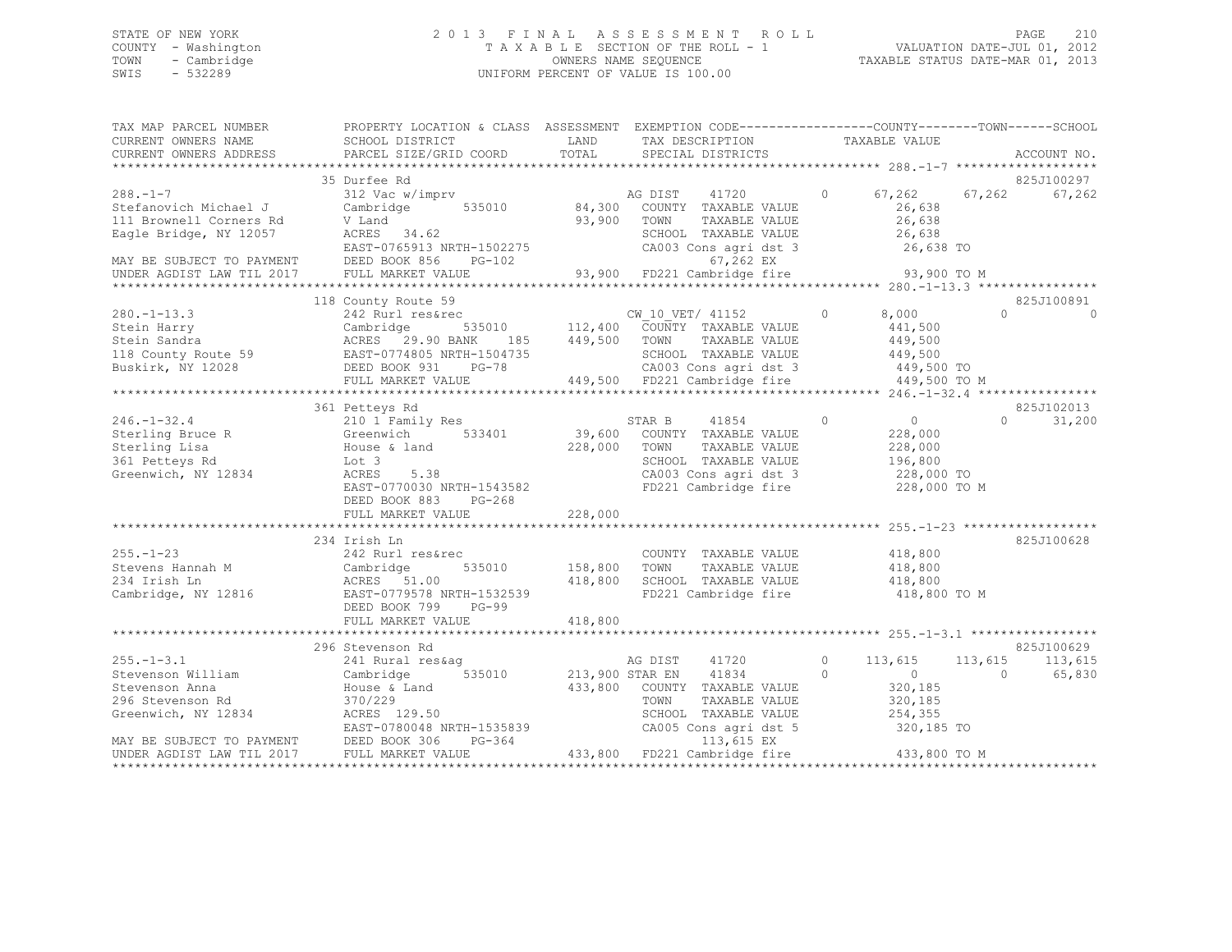## STATE OF NEW YORK 2 0 1 3 F I N A L A S S E S S M E N T R O L L PAGE 210 COUNTY - Washington T A X A B L E SECTION OF THE ROLL - 1 VALUATION DATE-JUL 01, 2012 TOWN - Cambridge OWNERS NAME SEQUENCE TAXABLE STATUS DATE-MAR 01, 2013 SWIS - 532289 UNIFORM PERCENT OF VALUE IS 100.00

| TAX MAP PARCEL NUMBER         | PROPERTY LOCATION & CLASS ASSESSMENT EXEMPTION CODE----------------COUNTY-------TOWN------SCHOOL                                                                                                                                                       |                              |                                                                                                                                                                          |                                  |                    |
|-------------------------------|--------------------------------------------------------------------------------------------------------------------------------------------------------------------------------------------------------------------------------------------------------|------------------------------|--------------------------------------------------------------------------------------------------------------------------------------------------------------------------|----------------------------------|--------------------|
| CURRENT OWNERS NAME           | SCHOOL DISTRICT                                                                                                                                                                                                                                        | LAND                         | TAX DESCRIPTION                                                                                                                                                          | TAXABLE VALUE                    |                    |
| CURRENT OWNERS ADDRESS        | PARCEL SIZE/GRID COORD                                                                                                                                                                                                                                 | TOTAL                        | SPECIAL DISTRICTS                                                                                                                                                        |                                  | ACCOUNT NO.        |
|                               |                                                                                                                                                                                                                                                        |                              |                                                                                                                                                                          |                                  |                    |
|                               | 35 Durfee Rd                                                                                                                                                                                                                                           |                              |                                                                                                                                                                          |                                  | 825J100297         |
| $288. - 1 - 7$                | 312 Vac w/imprv                                                                                                                                                                                                                                        |                              | 41720 0<br>AG DIST                                                                                                                                                       | $67,262$ $67,262$                | 67,262             |
| Stefanovich Michael J         |                                                                                                                                                                                                                                                        |                              | 84,300 COUNTY TAXABLE VALUE                                                                                                                                              | 26,638                           |                    |
| 111 Brownell Corners Rd       |                                                                                                                                                                                                                                                        | 93,900 TOWN                  | TAXABLE VALUE                                                                                                                                                            | 26,638                           |                    |
| Eagle Bridge, NY 12057        |                                                                                                                                                                                                                                                        |                              | SCHOOL TAXABLE VALUE<br>CA003 Cons agri dst 3                                                                                                                            | 26,638                           |                    |
|                               | Cambridge<br>V Land<br>ACRES 34.62<br>EAST-0765913 NRTH-1502275<br>PEED BOOK 856 PG-102                                                                                                                                                                |                              |                                                                                                                                                                          | $26,638$ TO                      |                    |
|                               |                                                                                                                                                                                                                                                        |                              |                                                                                                                                                                          |                                  |                    |
|                               |                                                                                                                                                                                                                                                        |                              |                                                                                                                                                                          |                                  |                    |
|                               |                                                                                                                                                                                                                                                        |                              |                                                                                                                                                                          |                                  |                    |
|                               | 118 County Route 59                                                                                                                                                                                                                                    |                              |                                                                                                                                                                          |                                  | 825J100891         |
|                               | 280.-1-13.3<br>242 Rurl resserc<br>242 Rurl resserc<br>242 Rurl resserc<br>242 Rurl resserc<br>242 Rurl resserc<br>242 Rurl resserc<br>242 Rurl resserc<br>29.90 BANK 185<br>29.90 BANK 185<br>29.90 BANK 185<br>29.90 BANK 185<br>249,500 TOWN TAXABL |                              |                                                                                                                                                                          |                                  | $\cap$<br>$\Omega$ |
|                               |                                                                                                                                                                                                                                                        |                              |                                                                                                                                                                          |                                  |                    |
|                               |                                                                                                                                                                                                                                                        |                              |                                                                                                                                                                          |                                  |                    |
|                               |                                                                                                                                                                                                                                                        |                              |                                                                                                                                                                          |                                  |                    |
|                               |                                                                                                                                                                                                                                                        |                              |                                                                                                                                                                          |                                  |                    |
|                               | FULL MARKET VALUE                                                                                                                                                                                                                                      |                              | 449,500 FD221 Cambridge fire                                                                                                                                             | 449,500 TO M                     |                    |
|                               |                                                                                                                                                                                                                                                        |                              |                                                                                                                                                                          |                                  |                    |
|                               | 361 Petteys Rd                                                                                                                                                                                                                                         |                              |                                                                                                                                                                          |                                  | 825J102013         |
| $246. - 1 - 32.4$             | 210 1 Family Res                                                                                                                                                                                                                                       |                              | 41854<br>STAR B                                                                                                                                                          | $\overline{0}$<br>$\overline{0}$ | $\Omega$<br>31,200 |
|                               | Sterling Bruce R Greenwich 533401                                                                                                                                                                                                                      |                              | 39,600 COUNTY TAXABLE VALUE                                                                                                                                              | 228,000                          |                    |
| Sterling Lisa                 | House & land<br>Lot 3                                                                                                                                                                                                                                  | 228,000                      | TOWN<br>TAXABLE VALUE                                                                                                                                                    | 228,000                          |                    |
| 361 Petteys Rd                |                                                                                                                                                                                                                                                        |                              |                                                                                                                                                                          |                                  |                    |
| Greenwich, NY 12834           | ACRES<br>5.38                                                                                                                                                                                                                                          |                              | SCHOOL TAXABLE VALUE 196,800<br>CAOOL TAXABLE VALUE 196,800<br>CAOO3 Cons agri dst 3 228,000 TO<br>CA003 Cons agri dst 3 228,000 TO<br>FD221 Cambridge fire 228,000 TO M |                                  |                    |
|                               | EAST-0770030 NRTH-1543582                                                                                                                                                                                                                              |                              |                                                                                                                                                                          |                                  |                    |
|                               | DEED BOOK 883<br>PG-268                                                                                                                                                                                                                                |                              |                                                                                                                                                                          |                                  |                    |
|                               | FULL MARKET VALUE                                                                                                                                                                                                                                      | 228,000                      |                                                                                                                                                                          |                                  |                    |
|                               |                                                                                                                                                                                                                                                        |                              |                                                                                                                                                                          |                                  |                    |
|                               | 234 Irish Ln                                                                                                                                                                                                                                           |                              |                                                                                                                                                                          |                                  | 825J100628         |
|                               | 242 Rurl res&rec                                                                                                                                                                                                                                       | COUNT<br>535010 158,800 TOWN | COUNTY TAXABLE VALUE                                                                                                                                                     | 418,800<br>418,800               |                    |
|                               |                                                                                                                                                                                                                                                        |                              | TAXABLE VALUE                                                                                                                                                            |                                  |                    |
| 255.-1-23<br>Stevens Hannah M |                                                                                                                                                                                                                                                        |                              | 418,800 SCHOOL TAXABLE VALUE 418,800                                                                                                                                     |                                  |                    |
|                               | XAN CHERE 242 Rurl res&rec<br>Stevens Hannah M<br>234 Irish Ln<br>Cambridge, NY 12816<br>236 EAST-0779578 NRTH-1532539<br>236 EAST-0779578 NRTH-1532539                                                                                                |                              | FD221 Cambridge fire                                                                                                                                                     | 418,800 TO M                     |                    |
|                               | DEED BOOK 799<br>$PG-99$                                                                                                                                                                                                                               |                              |                                                                                                                                                                          |                                  |                    |
|                               | FULL MARKET VALUE                                                                                                                                                                                                                                      | 418,800                      |                                                                                                                                                                          |                                  |                    |
|                               |                                                                                                                                                                                                                                                        |                              |                                                                                                                                                                          |                                  |                    |
|                               | 296 Stevenson Rd                                                                                                                                                                                                                                       |                              |                                                                                                                                                                          |                                  | 825J100629         |
| $255. - 1 - 3.1$              | 241 Rural res&ag                                                                                                                                                                                                                                       |                              | AG DIST 41720                                                                                                                                                            | 0 $113,615$                      | 113,615 113,615    |
| Stevenson William             |                                                                                                                                                                                                                                                        |                              | 213,900 STAR EN 41834                                                                                                                                                    | $\circ$<br>$\overline{0}$        | $\Omega$<br>65,830 |
| Stevenson Anna                |                                                                                                                                                                                                                                                        |                              | 433,800 COUNTY TAXABLE VALUE                                                                                                                                             | 320,185                          |                    |
|                               |                                                                                                                                                                                                                                                        |                              | TAXABLE VALUE<br>TOWN                                                                                                                                                    |                                  |                    |
|                               |                                                                                                                                                                                                                                                        |                              |                                                                                                                                                                          | 320,185<br>254,355               |                    |
|                               |                                                                                                                                                                                                                                                        |                              | SCHOOL TAXABLE VALUE 254,355<br>CA005 Cons agri dst 5 320,185 TO                                                                                                         |                                  |                    |
|                               | 296 Stevenson Rd<br>Greenwich, NY 12834<br>MAY BE SUBJECT TO PAYMENT<br>MAY BE SUBJECT TO PAYMENT<br>DEED BOOK 306 PG-364<br>CERED BOOK 306 PG-364                                                                                                     |                              | 113,615 EX                                                                                                                                                               |                                  |                    |
| UNDER AGDIST LAW TIL 2017     | FULL MARKET VALUE                                                                                                                                                                                                                                      |                              | 433,800 FD221 Cambridge fire 433,800 TO M                                                                                                                                |                                  |                    |
|                               |                                                                                                                                                                                                                                                        |                              |                                                                                                                                                                          |                                  |                    |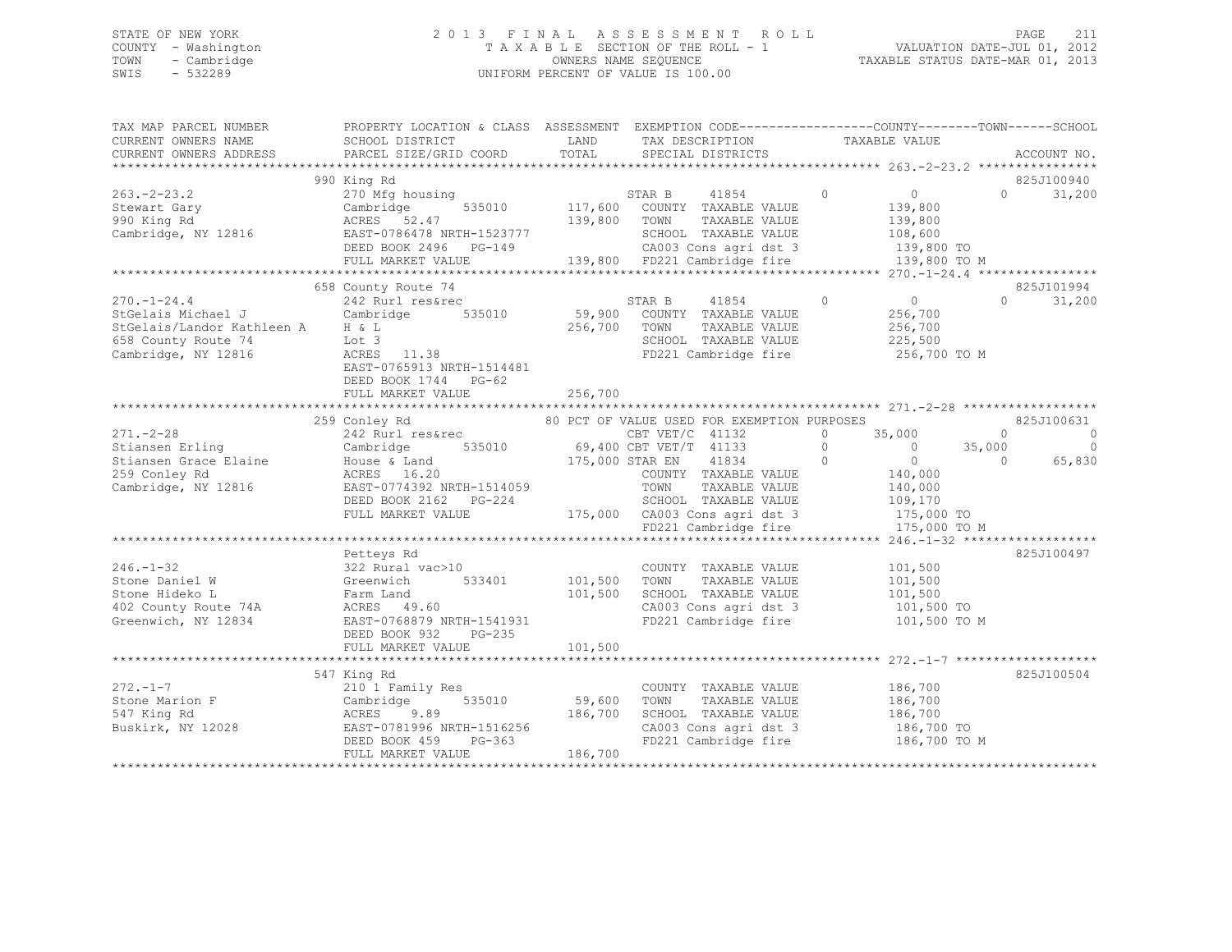## STATE OF NEW YORK 2 0 1 3 F I N A L A S S E S S M E N T R O L L PAGE 211 COUNTY - Washington T A X A B L E SECTION OF THE ROLL - 1 VALUATION DATE-JUL 01, 2012 TOWN - Cambridge OWNERS NAME SEQUENCE TAXABLE STATUS DATE-MAR 01, 2013 SWIS - 532289 UNIFORM PERCENT OF VALUE IS 100.00

| TAX MAP PARCEL NUMBER<br>CURRENT OWNERS NAME<br>CURRENT OWNERS ADDRESS    | PROPERTY LOCATION & CLASS ASSESSMENT EXEMPTION CODE---------------COUNTY-------TOWN------SCHOOL<br>SCHOOL DISTRICT<br>PARCEL SIZE/GRID COORD | LAND<br>TOTAL       | TAX DESCRIPTION<br>SPECIAL DISTRICTS                  | TAXABLE VALUE                    | ACCOUNT NO.                    |
|---------------------------------------------------------------------------|----------------------------------------------------------------------------------------------------------------------------------------------|---------------------|-------------------------------------------------------|----------------------------------|--------------------------------|
|                                                                           |                                                                                                                                              |                     |                                                       |                                  |                                |
| $263 - 2 - 23.2$                                                          | 990 King Rd<br>270 Mfg housing                                                                                                               |                     | STAR B<br>41854                                       | $\overline{0}$<br>$\overline{0}$ | 825J100940<br>$\cap$<br>31,200 |
|                                                                           | 535010                                                                                                                                       |                     | 117,600 COUNTY TAXABLE VALUE                          | 139,800                          |                                |
| Stewart Gary<br>990 King Rd                                               | Cambridge<br>ACRES 52.47                                                                                                                     | 139,800 TOWN        | TAXABLE VALUE                                         | 139,800                          |                                |
| Cambridge, NY 12816                                                       | EAST-0786478 NRTH-1523777                                                                                                                    |                     | SCHOOL TAXABLE VALUE                                  | 108,600                          |                                |
|                                                                           | DEED BOOK 2496 PG-149                                                                                                                        |                     |                                                       | 139,800 TO                       |                                |
|                                                                           | FULL MARKET VALUE                                                                                                                            |                     |                                                       | 139,800 TO M                     |                                |
|                                                                           |                                                                                                                                              |                     |                                                       |                                  |                                |
|                                                                           | 658 County Route 74                                                                                                                          |                     |                                                       |                                  | 825J101994                     |
| $270. - 1 - 24.4$                                                         | 242 Rurl res&rec                                                                                                                             |                     | STAR B<br>41854                                       | $\overline{0}$<br>$\overline{0}$ | $\Omega$<br>31,200             |
| StGelais Michael J                                                        | Cambridge<br>535010                                                                                                                          | 59,900              | COUNTY TAXABLE VALUE                                  | 256,700                          |                                |
| StGelais/Landor Kathleen A H & L                                          |                                                                                                                                              | 256,700             | TOWN<br>TAXABLE VALUE                                 | 256,700                          |                                |
| 658 County Route 74                                                       | Lot 3                                                                                                                                        |                     | SCHOOL TAXABLE VALUE                                  | 225,500                          |                                |
| Cambridge, NY 12816                                                       | ACRES 11.38                                                                                                                                  |                     | FD221 Cambridge fire                                  | 256,700 TO M                     |                                |
|                                                                           | EAST-0765913 NRTH-1514481                                                                                                                    |                     |                                                       |                                  |                                |
|                                                                           | DEED BOOK 1744 PG-62                                                                                                                         |                     |                                                       |                                  |                                |
|                                                                           | FULL MARKET VALUE                                                                                                                            | 256,700             |                                                       |                                  |                                |
|                                                                           |                                                                                                                                              |                     |                                                       |                                  |                                |
|                                                                           | 259 Conley Rd                                                                                                                                |                     | 80 PCT OF VALUE USED FOR EXEMPTION PURPOSES           |                                  | 825J100631                     |
| $271. - 2 - 28$                                                           | 242 Rurl res&rec                                                                                                                             | and a strong of the | CBT $VET/C$ 41132                                     | 35,000<br>$\Omega$               | $\Omega$<br>$\overline{0}$     |
| Stiansen Erling<br>Stiansen Briting<br>Stiansen Grace Elaine Mouse & Land | Cambridge 535010 69,400 CBT VET/T 41133                                                                                                      | 175,000 STAR EN     |                                                       | $\overline{0}$<br>$\circ$        | $\overline{0}$<br>35,000       |
|                                                                           |                                                                                                                                              |                     | $\overline{0}$<br>41834                               | $\overline{0}$                   | 65,830<br>$\bigcirc$           |
| 259 Conley Rd                                                             | ACRES 16.20                                                                                                                                  |                     | COUNTY TAXABLE VALUE<br>TOWN                          | 140,000                          |                                |
| Cambridge, NY 12816                                                       | EAST-0774392 NRTH-1514059                                                                                                                    |                     | TAXABLE VALUE                                         | 140,000                          |                                |
|                                                                           | DEED BOOK 2162 PG-224<br>FULL MARKET VALUE                                                                                                   |                     | SCHOOL TAXABLE VALUE<br>175,000 CA003 Cons agri dst 3 | 109,170<br>175,000 TO            |                                |
|                                                                           |                                                                                                                                              |                     | FD221 Cambridge fire                                  | 175,000 TO M                     |                                |
|                                                                           |                                                                                                                                              |                     |                                                       |                                  |                                |
|                                                                           | Petteys Rd                                                                                                                                   |                     |                                                       |                                  | 825J100497                     |
| $246. - 1 - 32$                                                           | 322 Rural vac>10                                                                                                                             |                     | COUNTY TAXABLE VALUE                                  | 101,500                          |                                |
| Stone Daniel W                                                            | 533401<br>Greenwich                                                                                                                          | 101,500             | TOWN<br>TAXABLE VALUE                                 | 101,500                          |                                |
| Stone Hideko L                                                            | Farm Land                                                                                                                                    | 101,500             | SCHOOL TAXABLE VALUE                                  | 101,500                          |                                |
| 402 County Route 74A                                                      | ACRES 49.60                                                                                                                                  |                     | CA003 Cons agri dst 3                                 | 101,500 TO                       |                                |
| Greenwich, NY 12834                                                       | EAST-0768879 NRTH-1541931                                                                                                                    |                     | FD221 Cambridge fire                                  | 101,500 TO M                     |                                |
|                                                                           | DEED BOOK 932<br>PG-235                                                                                                                      |                     |                                                       |                                  |                                |
|                                                                           | FULL MARKET VALUE                                                                                                                            | 101,500             |                                                       |                                  |                                |
|                                                                           |                                                                                                                                              |                     |                                                       |                                  |                                |
|                                                                           | 547 King Rd                                                                                                                                  |                     |                                                       |                                  | 825J100504                     |
| $272 - 1 - 7$                                                             | 210 1 Family Res                                                                                                                             |                     | COUNTY TAXABLE VALUE                                  | 186,700                          |                                |
| Stone Marion F                                                            | 535010<br>Cambridge                                                                                                                          | 59,600              | TAXABLE VALUE<br>TOWN                                 | 186,700                          |                                |
| 547 King Rd                                                               | 9.89<br>ACRES                                                                                                                                | 186,700             | SCHOOL TAXABLE VALUE                                  | 186,700                          |                                |
| Buskirk, NY 12028                                                         | EAST-0781996 NRTH-1516256                                                                                                                    |                     | CA003 Cons agri dst 3                                 | 186,700 TO                       |                                |
|                                                                           | DEED BOOK 459<br>$PG-363$                                                                                                                    |                     | FD221 Cambridge fire                                  | 186,700 TO M                     |                                |
|                                                                           | FULL MARKET VALUE                                                                                                                            | 186,700             |                                                       |                                  |                                |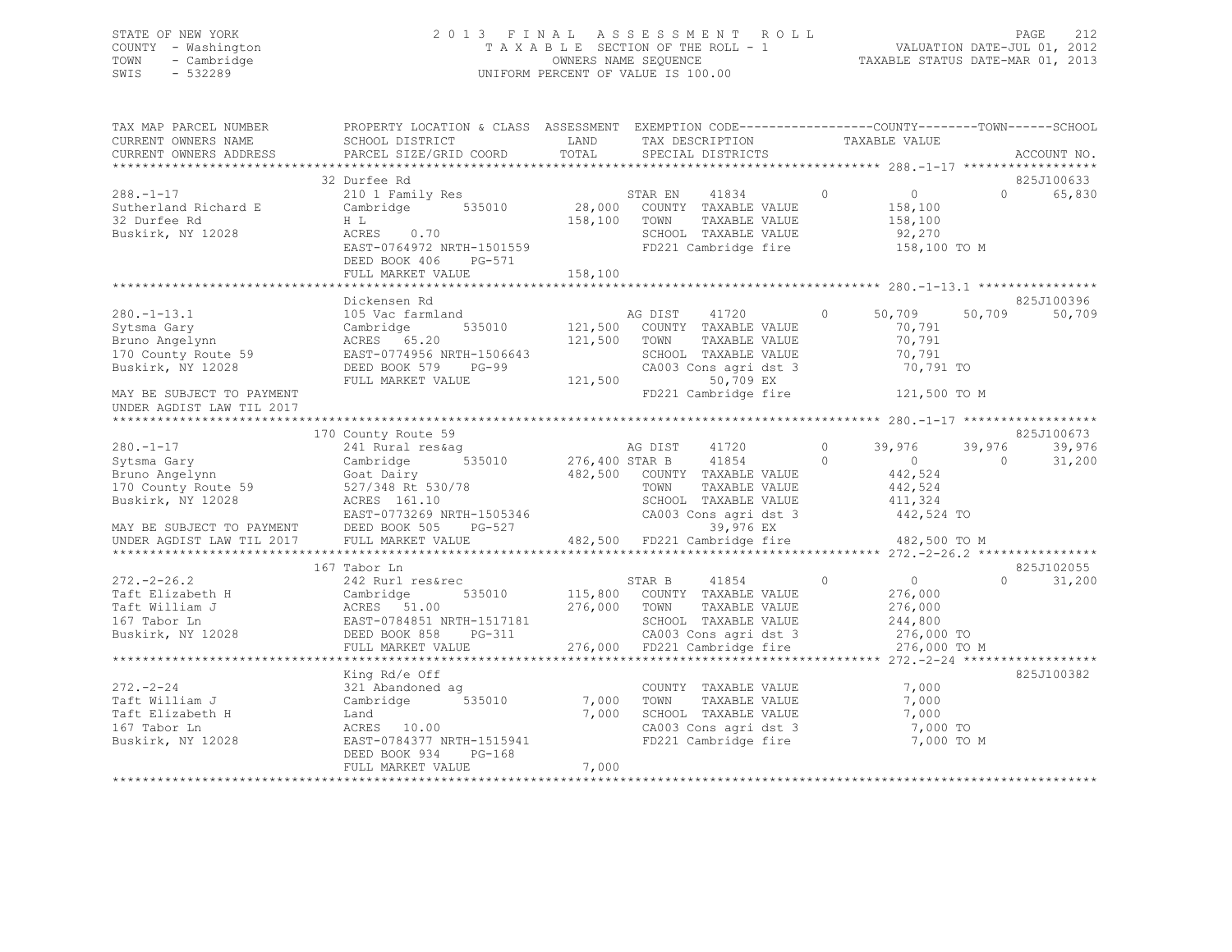## STATE OF NEW YORK 2 0 1 3 F I N A L A S S E S S M E N T R O L L PAGE 212 COUNTY - Washington T A X A B L E SECTION OF THE ROLL - 1 VALUATION DATE-JUL 01, 2012 TOWN - Cambridge OWNERS NAME SEQUENCE TAXABLE STATUS DATE-MAR 01, 2013 SWIS - 532289 UNIFORM PERCENT OF VALUE IS 100.00

| TAX MAP PARCEL NUMBER<br>CURRENT OWNERS NAME<br>CURRENT OWNERS ADDRESS                                                                                   | PROPERTY LOCATION & CLASS ASSESSMENT EXEMPTION CODE---------------COUNTY-------TOWN------SCHOOI<br>SCHOOL DISTRICT<br>PARCEL SIZE/GRID COORD                              | LAND<br>TOTAL                 | TAX DESCRIPTION<br>SPECIAL DISTRICTS                                                                                                                      | TAXABLE VALUE                                                                            | ACCOUNT NO.                                            |
|----------------------------------------------------------------------------------------------------------------------------------------------------------|---------------------------------------------------------------------------------------------------------------------------------------------------------------------------|-------------------------------|-----------------------------------------------------------------------------------------------------------------------------------------------------------|------------------------------------------------------------------------------------------|--------------------------------------------------------|
|                                                                                                                                                          |                                                                                                                                                                           |                               |                                                                                                                                                           |                                                                                          |                                                        |
| $288. - 1 - 17$<br>Sutherland Richard E<br>32 Durfee Rd<br>Buskirk, NY 12028                                                                             | 32 Durfee Rd<br>210 1 Family Res<br>535010<br>Cambridge<br>HL.<br>ACRES 0.70<br>EAST-0764972 NRTH-1501559                                                                 | 158,100                       | 41834<br>STAR EN<br>28,000 COUNTY TAXABLE VALUE<br>TAXABLE VALUE<br>TOWN<br>SCHOOL TAXABLE VALUE<br>FD221 Cambridge fire                                  | $\circ$<br>$\overline{0}$<br>158,100<br>158,100<br>92,270<br>158,100 TO M                | 825J100633<br>$\Omega$<br>65,830                       |
|                                                                                                                                                          | DEED BOOK 406<br>PG-571<br>FULL MARKET VALUE                                                                                                                              | 158,100                       |                                                                                                                                                           |                                                                                          |                                                        |
|                                                                                                                                                          |                                                                                                                                                                           |                               |                                                                                                                                                           |                                                                                          |                                                        |
| $280. - 1 - 13.1$<br>Sytsma Gary<br>Bruno Angelynn<br>170 County Route 59<br>Buskirk, NY 12028<br>MAY BE SUBJECT TO PAYMENT<br>UNDER AGDIST LAW TIL 2017 | Dickensen Rd<br>105 Vac farmland<br>535010<br>Cambridge<br>ACRES 65.20<br>EAST-0774956 NRTH-1506643<br>DEED BOOK 579<br>$PG-99$<br>FULL MARKET VALUE                      | 121,500<br>121,500<br>121,500 | AG DIST<br>41720<br>COUNTY TAXABLE VALUE<br>TOWN<br>TAXABLE VALUE<br>SCHOOL TAXABLE VALUE<br>CA003 Cons agri dst 3<br>50,709 EX<br>FD221 Cambridge fire   | 50,709<br>$\circ$<br>70,791<br>70,791<br>70,791<br>70,791 TO<br>121,500 TO M             | 825J100396<br>50,709<br>50,709                         |
|                                                                                                                                                          |                                                                                                                                                                           |                               |                                                                                                                                                           |                                                                                          |                                                        |
| $280. - 1 - 17$<br>Sytsma Gary<br>Bruno Angelynn<br>170 County Route 59<br>Buskirk, NY 12028<br>MAY BE SUBJECT TO PAYMENT<br>UNDER AGDIST LAW TIL 2017   | 170 County Route 59<br>241 Rural res&aq<br>535010<br>Cambridge<br>Goat Dairy<br>527/348 Rt 530/78<br>ACRES 161.10<br>EAST-0773269 NRTH-1505346<br>DEED BOOK 505<br>PG-527 | 276,400 STAR B                | 41720<br>AG DIST<br>41854<br>482,500 COUNTY TAXABLE VALUE<br>TAXABLE VALUE<br>TOWN<br>SCHOOL TAXABLE VALUE<br>CA003 Cons agri dst 3<br>39,976 EX          | $\circ$<br>39,976<br>$\circ$<br>$\sim$ 0<br>442,524<br>442,524<br>411,324<br>442,524 TO  | 825J100673<br>39,976<br>39,976<br>$\bigcirc$<br>31,200 |
|                                                                                                                                                          | FULL MARKET VALUE                                                                                                                                                         |                               | 482,500 FD221 Cambridge fire                                                                                                                              | 482,500 TO M                                                                             |                                                        |
|                                                                                                                                                          | 167 Tabor Ln                                                                                                                                                              |                               |                                                                                                                                                           |                                                                                          | 825J102055                                             |
| $272 - 2 - 26.2$<br>Taft Elizabeth H<br>Taft William J<br>167 Tabor Ln<br>Buskirk, NY 12028                                                              | 242 Rurl res&rec<br>535010<br>Cambridge<br>ACRES 51.00<br>EAST-0784851 NRTH-1517181<br>DEED BOOK 858<br>PG-311<br>FULL MARKET VALUE                                       | 276,000                       | STAR B<br>41854<br>115,800 COUNTY TAXABLE VALUE<br>TOWN<br>TAXABLE VALUE<br>SCHOOL TAXABLE VALUE<br>CA003 Cons agri dst 3<br>276,000 FD221 Cambridge fire | $\circ$<br>$\overline{0}$<br>276,000<br>276,000<br>244,800<br>276,000 TO<br>276,000 TO M | $\Omega$<br>31,200                                     |
|                                                                                                                                                          |                                                                                                                                                                           |                               |                                                                                                                                                           |                                                                                          |                                                        |
| $272 - 2 - 24$<br>Taft William J<br>Taft Elizabeth H<br>167 Tabor Ln<br>Buskirk, NY 12028                                                                | King Rd/e Off<br>321 Abandoned ag<br>535010<br>Cambridge<br>Land<br>ACRES 10.00<br>EAST-0784377 NRTH-1515941<br>DEED BOOK 934<br>$PG-168$                                 | 7,000<br>7,000                | COUNTY TAXABLE VALUE<br>TAXABLE VALUE<br>TOWN<br>SCHOOL TAXABLE VALUE<br>CA003 Cons agri dst 3<br>FD221 Cambridge fire                                    | 7,000<br>7,000<br>7,000<br>7,000 TO<br>7,000 TO M                                        | 825J100382                                             |
|                                                                                                                                                          | FULL MARKET VALUE                                                                                                                                                         | 7,000                         |                                                                                                                                                           |                                                                                          |                                                        |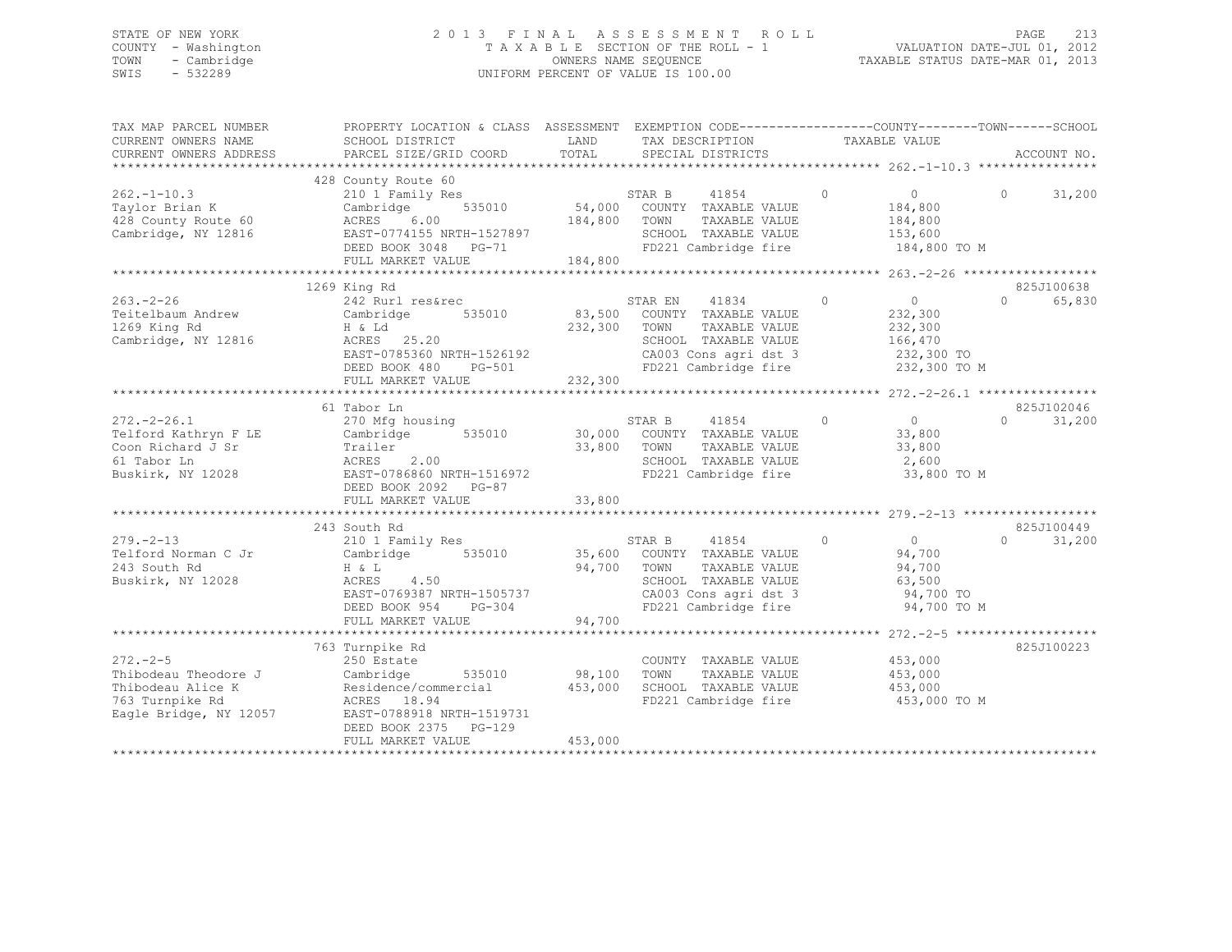## STATE OF NEW YORK 2 0 1 3 F I N A L A S S E S S M E N T R O L L PAGE 213 COUNTY - Washington T A X A B L E SECTION OF THE ROLL - 1 VALUATION DATE-JUL 01, 2012 TOWN - Cambridge OWNERS NAME SEQUENCE TAXABLE STATUS DATE-MAR 01, 2013 SWIS - 532289 UNIFORM PERCENT OF VALUE IS 100.00

| TAX MAP PARCEL NUMBER<br>CURRENT OWNERS NAME<br>CURRENT OWNERS ADDRESS                                   | PROPERTY LOCATION & CLASS ASSESSMENT<br>SCHOOL DISTRICT<br>PARCEL SIZE/GRID COORD                                                                                        | LAND<br>TOTAL                | TAX DESCRIPTION<br>SERCIAI DISTRICTS<br>SPECIAL DISTRICTS                                                                                        | EXEMPTION CODE-----------------COUNTY-------TOWN------SCHOOL                                                                         | ACCOUNT NO.                               |
|----------------------------------------------------------------------------------------------------------|--------------------------------------------------------------------------------------------------------------------------------------------------------------------------|------------------------------|--------------------------------------------------------------------------------------------------------------------------------------------------|--------------------------------------------------------------------------------------------------------------------------------------|-------------------------------------------|
| $262. -1 - 10.3$<br>Taylor Brian K<br>428 County Route 60<br>Cambridge, NY 12816                         | 428 County Route 60<br>210 1 Family Res<br>535010<br>Cambridge<br>ACRES<br>6.00<br>ACRES<br>EAST-0774155 NRTH-1527897<br>2005 ROOF 3048 PG-71<br>FULL MARKET VALUE       | 184,800<br>184,800           | STAR B 41854<br>54,000 COUNTY TAXABLE VALUE<br>TOWN<br>TAXABLE VALUE<br>SCHOOL TAXABLE VALUE<br>FD221 Cambridge fire                             | $\circ$<br>$\overline{0}$<br>184,800<br>184,800<br>153,600<br>184,800 TO M                                                           | $\Omega$<br>31,200                        |
| $263. - 2 - 26$<br>Teitelbaum Andrew<br>1269 King Rd<br>Cambridge, NY 12816                              | 1269 King Rd<br>242 Rurl res&rec<br>535010<br>Cambridge<br>H & Ld<br>ACRES 25.20<br>EAST-0785360 NRTH-1526192<br>$PG-501$<br>DEED BOOK 480<br>FULL MARKET VALUE          | 83,500<br>232,300<br>232,300 | 41834<br>STAR EN<br>COUNTY TAXABLE VALUE<br>TOWN<br>TAXABLE VALUE<br>SCHOOL TAXABLE VALUE                                                        | $\overline{0}$<br>$\Omega$<br>232,300<br>232,300<br>166,470<br>CA003 Cons agri dst 3 232,300 TO<br>FD221 Cambridge fire 232,300 TO M | 825J100638<br>$\Omega$<br>65,830          |
| $272 - 2 - 26.1$<br>Telford Kathryn F LE<br>Coon Richard J Sr<br>61 Tabor Ln<br>Buskirk, NY 12028        | 61 Tabor Ln<br>270 Mfg housing<br>535010<br>Cambridge<br>Trailer<br>ACRES<br>2.00<br>EAST-0786860 NRTH-1516972<br>DEED BOOK 2092 PG-87<br>FULL MARKET VALUE              | 30,000<br>33,800<br>33,800   | 41854<br>STAR B<br>COUNTY TAXABLE VALUE<br>TOWN<br>TAXABLE VALUE<br>SCHOOL TAXABLE VALUE<br>FD221 Cambridge fire                                 | $\circ$<br>$\overline{0}$<br>33,800<br>33,800<br>2,600<br>33,800 TO M                                                                | 825J102046<br>31,200<br>$0 \qquad \qquad$ |
| $279. - 2 - 13$<br>Telford Norman C Jr<br>243 South Rd<br>Buskirk, NY 12028                              | 243 South Rd<br>210 1 Family Res<br>535010<br>Cambridge<br>H & L<br>ACRES<br>4.50<br>EAST-0769387 NRTH-1505737<br>$PG-304$<br>DEED BOOK 954<br>FULL MARKET VALUE         | 94,700<br>94,700             | STAR B<br>41854<br>35,600 COUNTY TAXABLE VALUE<br>TOWN<br>TAXABLE VALUE<br>SCHOOL TAXABLE VALUE<br>CA003 Cons agri dst 3<br>FD221 Cambridge fire | $\Omega$<br>$\Omega$<br>94,700<br>94,700<br>63,500<br>94,700 TO<br>94,700 TO M                                                       | 825J100449<br>$\Omega$<br>31,200          |
| $272. - 2 - 5$<br>Thibodeau Theodore J<br>Thibodeau Alice K<br>763 Turnpike Rd<br>Eagle Bridge, NY 12057 | 763 Turnpike Rd<br>250 Estate<br>Cambridge<br>Residence/commercial<br>10.04<br>ACRES 18.94<br>EAST-0788918 NRTH-1519731<br>DEED BOOK 2375<br>PG-129<br>FULL MARKET VALUE | 98,100<br>453,000<br>453,000 | COUNTY TAXABLE VALUE<br>TOWN<br>TAXABLE VALUE<br>SCHOOL TAXABLE VALUE                                                                            | 453,000<br>453,000<br>453,000<br>FD221 Cambridge fire 453,000 TO M                                                                   | 825J100223                                |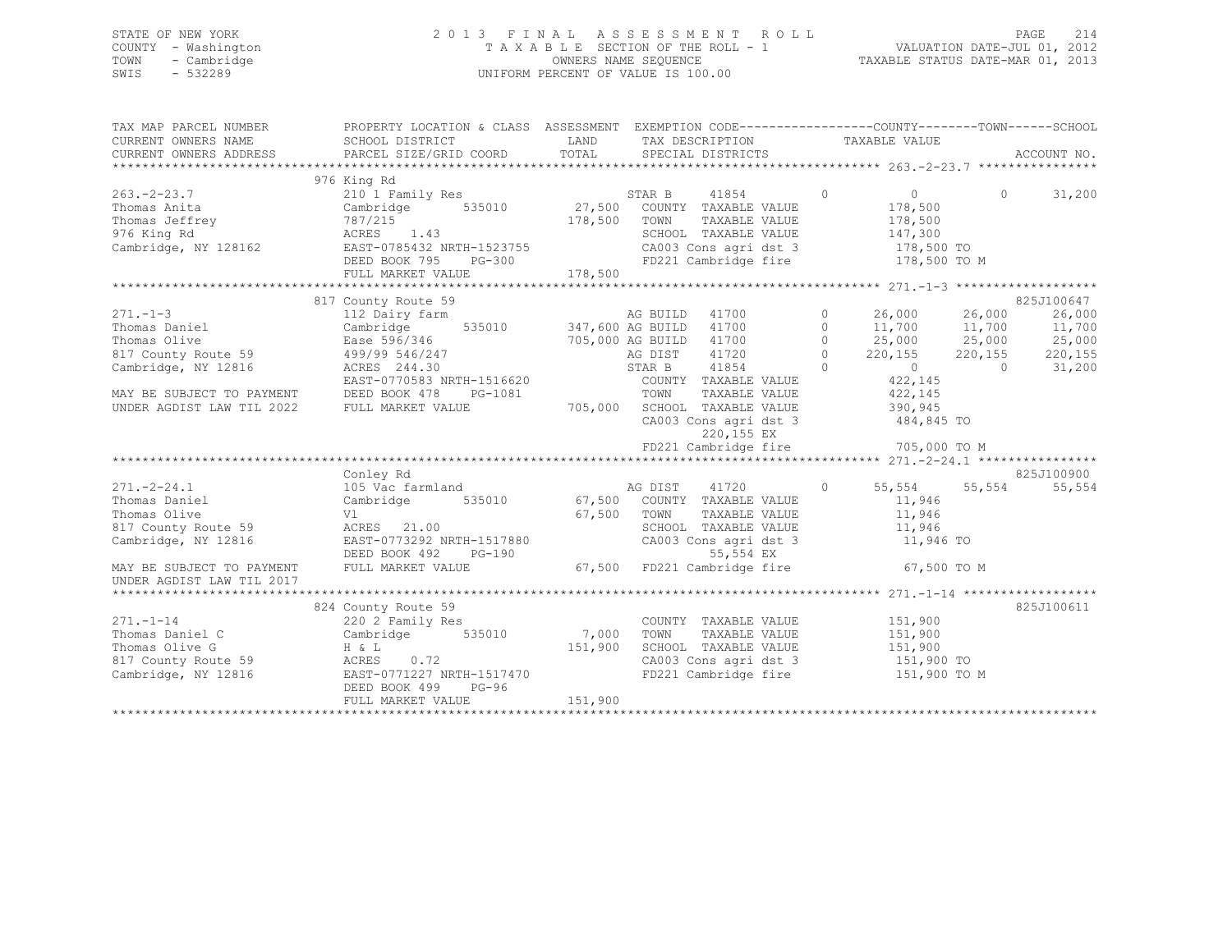## STATE OF NEW YORK 2 0 1 3 F I N A L A S S E S S M E N T R O L L PAGE 214 COUNTY - Washington T A X A B L E SECTION OF THE ROLL - 1 VALUATION DATE-JUL 01, 2012 TOWN - Cambridge OWNERS NAME SEQUENCE TAXABLE STATUS DATE-MAR 01, 2013 SWIS - 532289 UNIFORM PERCENT OF VALUE IS 100.00

| TAX MAP PARCEL NUMBER                       | PROPERTY LOCATION & CLASS ASSESSMENT EXEMPTION CODE-----------------COUNTY-------TOWN------SCHOOL                                                                                                                                                    |             |                                                                             |  |                        |                |            |
|---------------------------------------------|------------------------------------------------------------------------------------------------------------------------------------------------------------------------------------------------------------------------------------------------------|-------------|-----------------------------------------------------------------------------|--|------------------------|----------------|------------|
| CURRENT OWNERS NAME                         | SCHOOL DISTRICT                                                                                                                                                                                                                                      |             | LAND TAX DESCRIPTION TAXABLE VALUE                                          |  |                        |                |            |
| CURRENT OWNERS ADDRESS                      |                                                                                                                                                                                                                                                      |             |                                                                             |  |                        |                |            |
|                                             |                                                                                                                                                                                                                                                      |             |                                                                             |  |                        |                |            |
|                                             | 128162<br>128162<br>2101 Family Res<br>2101 Family Res<br>27,500 COUNTY TAXABLE VALUE<br>27,500 COUNTY TAXABLE VALUE<br>27,500 TOWN TAXABLE VALUE<br>27,500 TOWN TAXABLE VALUE<br>27,500 TOWN TAXABLE VALUE<br>27,500 TOWN TAXABLE VALUE<br>27,500   |             |                                                                             |  |                        |                |            |
| $263 - 2 - 23.7$                            |                                                                                                                                                                                                                                                      |             | 41854 0                                                                     |  | $\overline{0}$         | $\Omega$       | 31,200     |
| Thomas Anita                                |                                                                                                                                                                                                                                                      |             | TAXABLE VALUE<br>TAXABLE VALUE                                              |  | 178,500<br>178,500     |                |            |
| Thomas Jeffrey                              |                                                                                                                                                                                                                                                      |             |                                                                             |  |                        |                |            |
| 976 King Rd                                 | ACKES 1.43<br>EAST-0785432 NRTH-1523755<br>DEED BOOK 795 PG-300                                                                                                                                                                                      |             | SCHOOL TAXABLE VALUE 147,300                                                |  |                        |                |            |
| Cambridge, NY 128162                        |                                                                                                                                                                                                                                                      |             | CA003 Cons agri dst 3 178,500 TO<br>FD221 Cambridge fire 178,500 TO M       |  |                        |                |            |
|                                             |                                                                                                                                                                                                                                                      |             |                                                                             |  |                        |                |            |
|                                             |                                                                                                                                                                                                                                                      |             |                                                                             |  |                        |                |            |
|                                             |                                                                                                                                                                                                                                                      |             |                                                                             |  |                        |                | 825J100647 |
| $271. - 1 - 3$                              | 817 County Route 59                                                                                                                                                                                                                                  |             |                                                                             |  |                        |                |            |
| Thomas Daniel                               | 112 Dairy farm<br>Cambridge 535010 347,600 AG BUILD 41700 0 26,000 26,000 26,000<br>Cambridge 535010 347,600 AG BUILD 41700 0 11,700 11,700 11,700<br>Ease 596/346 705,000 AG BUILD 41700 0 25,000 25,000 25,000 25,000<br>499/99 546/               |             |                                                                             |  |                        |                |            |
| Thomas Olive                                | Cambridge<br>Ease 596/346                                                                                                                                                                                                                            |             |                                                                             |  |                        |                |            |
|                                             |                                                                                                                                                                                                                                                      |             | AG DIST 41720 0                                                             |  |                        |                |            |
| Cambridge, NY 12816                         |                                                                                                                                                                                                                                                      |             |                                                                             |  |                        | $\overline{0}$ | 31,200     |
|                                             | ACRES 244.30<br>EAST-0770583 NRTH-1516620                                                                                                                                                                                                            |             | STAR B 41854 0 0<br>COUNTY TAXABLE VALUE 422,145<br>COUNTY TAXABLE VALUE    |  |                        |                |            |
| MAY BE SUBJECT TO PAYMENT DEED BOOK 478     | PG-1081                                                                                                                                                                                                                                              |             | TOWN                                                                        |  | TAXABLE VALUE 422, 145 |                |            |
| UNDER AGDIST LAW TIL 2022 FULL MARKET VALUE |                                                                                                                                                                                                                                                      |             |                                                                             |  |                        |                |            |
|                                             |                                                                                                                                                                                                                                                      |             | 705,000 SCHOOL TAXABLE VALUE 390,945                                        |  | 484,845 TO             |                |            |
|                                             |                                                                                                                                                                                                                                                      |             | CA003 Cons agri dst 3<br>220.155 EX<br>220,155 EX                           |  |                        |                |            |
|                                             |                                                                                                                                                                                                                                                      |             | FD221 Cambridge fire 705,000 TO M                                           |  |                        |                |            |
|                                             |                                                                                                                                                                                                                                                      |             |                                                                             |  |                        |                |            |
|                                             | Conley Rd                                                                                                                                                                                                                                            |             |                                                                             |  |                        |                | 825J100900 |
| $271. -2 - 24.1$                            |                                                                                                                                                                                                                                                      |             |                                                                             |  | 55, 554 55, 554        |                | 55,554     |
| Thomas Daniel                               |                                                                                                                                                                                                                                                      |             |                                                                             |  | 11,946                 |                |            |
| Thomas Olive                                | V1 v                                                                                                                                                                                                                                                 | 67,500 TOWN |                                                                             |  | TAXABLE VALUE 11,946   |                |            |
|                                             |                                                                                                                                                                                                                                                      |             |                                                                             |  |                        |                |            |
|                                             | 817 County Route 59<br>Cambridge, NY 12816<br>EAST-0773292 NRTH-1517880                                                                                                                                                                              |             | SCHOOL TAXABLE VALUE 11,946<br>CA003 Cons agri dst 3 11,946 TO              |  |                        |                |            |
|                                             | RTH-1517880<br>PG-190<br>DEED BOOK 492                                                                                                                                                                                                               |             | 55,554 EX                                                                   |  |                        |                |            |
| MAY BE SUBJECT TO PAYMENT FULL MARKET VALUE |                                                                                                                                                                                                                                                      |             | 67,500 FD221 Cambridge fire 67,500 TO M                                     |  |                        |                |            |
| UNDER AGDIST LAW TIL 2017                   |                                                                                                                                                                                                                                                      |             |                                                                             |  |                        |                |            |
|                                             |                                                                                                                                                                                                                                                      |             |                                                                             |  |                        |                |            |
|                                             | 824 County Route 59                                                                                                                                                                                                                                  |             |                                                                             |  |                        |                | 825J100611 |
| $271. -1 - 14$                              | 220 2 Family Res                                                                                                                                                                                                                                     |             |                                                                             |  |                        |                |            |
|                                             |                                                                                                                                                                                                                                                      |             | COUNTY TAXABLE VALUE 151,900<br>TOWN TAXABLE VALUE 151,900<br>TAXABLE VALUE |  |                        |                |            |
|                                             | 171.-1-14<br>Thomas Daniel C<br>Thomas Olive G<br>Thomas Olive G<br>B17 County Route 59<br>Canbridge, NY 12816<br>Canbridge, NY 12816<br>Canbridge, NY 12816<br>Canbridge, NY 12816<br>Canbridge, NY 12816<br>Canbridge, NY 12816<br>Canbridge, NY 1 |             | SCHOOL TAXABLE VALUE 151,900                                                |  |                        |                |            |
|                                             |                                                                                                                                                                                                                                                      |             |                                                                             |  | 151,900 TO             |                |            |
|                                             |                                                                                                                                                                                                                                                      |             | CA003 Cons agri dst 3<br>FD221 Cambridge fire                               |  | 151,900 TO M           |                |            |
|                                             | DEED BOOK 499<br>$PG-96$                                                                                                                                                                                                                             |             |                                                                             |  |                        |                |            |
|                                             | FULL MARKET VALUE                                                                                                                                                                                                                                    | 151,900     |                                                                             |  |                        |                |            |
|                                             |                                                                                                                                                                                                                                                      |             |                                                                             |  |                        |                |            |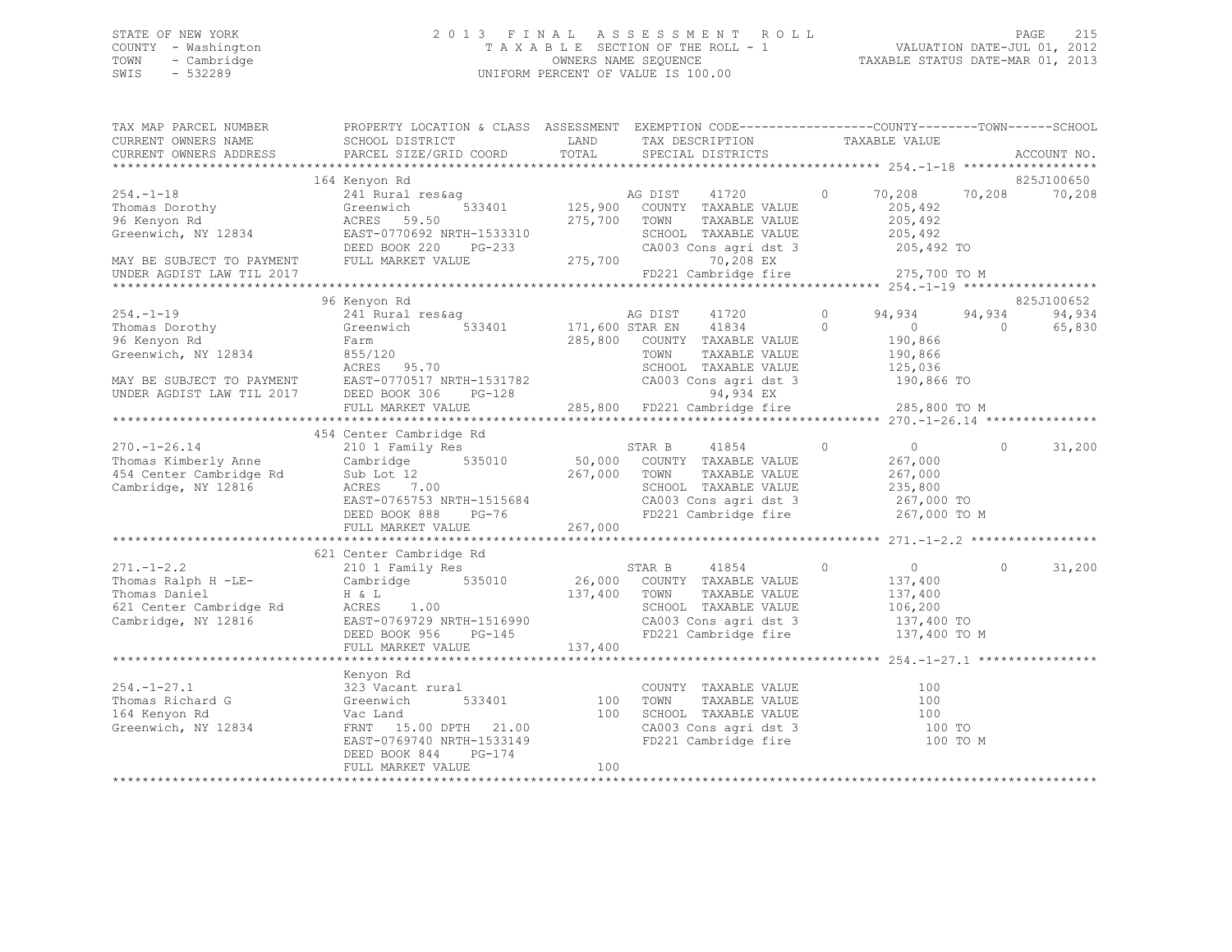# STATE OF NEW YORK PAGE 215<br>COUNTY - Washington 1 2013 FINAL ASSESSMENT ROLL - 1 VALUATION DATE-JUL 01, 2012<br>2013 - 2013 PAGE 212 2013 PAGE 212 2013 COUNTY - Washington T A X A B L E SECTION OF THE ROLL - 1 TOWN - Cambridge OWNERS NAME SEQUENCE TAXABLE STATUS DATE-MAR 01, 2013 UNIFORM PERCENT OF VALUE IS 100.00

| TAX MAP PARCEL NUMBER | PROPERTY LOCATION & CLASS ASSESSMENT EXEMPTION CODE----------------COUNTY-------TOWN-----SCHOOL                                                                                                                                                                                                                                                                                                                   |                 |                                                                                                                                |                                                                                                                                                                                                   |                    |
|-----------------------|-------------------------------------------------------------------------------------------------------------------------------------------------------------------------------------------------------------------------------------------------------------------------------------------------------------------------------------------------------------------------------------------------------------------|-----------------|--------------------------------------------------------------------------------------------------------------------------------|---------------------------------------------------------------------------------------------------------------------------------------------------------------------------------------------------|--------------------|
|                       |                                                                                                                                                                                                                                                                                                                                                                                                                   |                 | TAX DESCRIPTION TAXABLE VALUE                                                                                                  |                                                                                                                                                                                                   |                    |
|                       |                                                                                                                                                                                                                                                                                                                                                                                                                   |                 |                                                                                                                                |                                                                                                                                                                                                   | ACCOUNT NO.        |
|                       |                                                                                                                                                                                                                                                                                                                                                                                                                   |                 |                                                                                                                                |                                                                                                                                                                                                   |                    |
|                       | 164 Kenyon Rd                                                                                                                                                                                                                                                                                                                                                                                                     |                 |                                                                                                                                |                                                                                                                                                                                                   | 825J100650         |
|                       | 241 Rural res&ag MG DIST 41720 0 70,208 70,208 70,208<br>Greenwich 533401 125,900 COUNTY TAXABLE VALUE 205,492                                                                                                                                                                                                                                                                                                    |                 |                                                                                                                                |                                                                                                                                                                                                   |                    |
|                       |                                                                                                                                                                                                                                                                                                                                                                                                                   |                 |                                                                                                                                |                                                                                                                                                                                                   |                    |
|                       |                                                                                                                                                                                                                                                                                                                                                                                                                   |                 | TAXABLE VALUE                                                                                                                  | 205,492<br>205,492                                                                                                                                                                                |                    |
|                       |                                                                                                                                                                                                                                                                                                                                                                                                                   |                 |                                                                                                                                |                                                                                                                                                                                                   |                    |
|                       |                                                                                                                                                                                                                                                                                                                                                                                                                   |                 | SCHOOL TAXABLE VALUE 205,492<br>CA003 Cons agri dst 3 205,492 TO                                                               |                                                                                                                                                                                                   |                    |
|                       |                                                                                                                                                                                                                                                                                                                                                                                                                   |                 | 70,208 EX                                                                                                                      |                                                                                                                                                                                                   |                    |
|                       |                                                                                                                                                                                                                                                                                                                                                                                                                   |                 | FD221 Cambridge fire 275,700 TO M                                                                                              |                                                                                                                                                                                                   |                    |
|                       |                                                                                                                                                                                                                                                                                                                                                                                                                   |                 |                                                                                                                                |                                                                                                                                                                                                   |                    |
|                       | 96 Kenyon Rd                                                                                                                                                                                                                                                                                                                                                                                                      |                 |                                                                                                                                | $\begin{array}{cccc} 41720 & 0 & 94,934 & 94,934 \\ 41834 & 0 & 0 & 0 \\ \texttt{TAXABLE VALUE} & 190,866 \\ \texttt{TAXABLE VALUE} & 190,866 \\ \texttt{TAXABLE VALUE} & 125,036 \\ \end{array}$ | 825J100652         |
|                       |                                                                                                                                                                                                                                                                                                                                                                                                                   |                 |                                                                                                                                |                                                                                                                                                                                                   | 94,934 94,934      |
|                       |                                                                                                                                                                                                                                                                                                                                                                                                                   |                 |                                                                                                                                |                                                                                                                                                                                                   | 65,830             |
|                       |                                                                                                                                                                                                                                                                                                                                                                                                                   |                 |                                                                                                                                |                                                                                                                                                                                                   |                    |
|                       |                                                                                                                                                                                                                                                                                                                                                                                                                   |                 |                                                                                                                                |                                                                                                                                                                                                   |                    |
|                       |                                                                                                                                                                                                                                                                                                                                                                                                                   |                 |                                                                                                                                |                                                                                                                                                                                                   |                    |
|                       |                                                                                                                                                                                                                                                                                                                                                                                                                   |                 |                                                                                                                                |                                                                                                                                                                                                   |                    |
|                       |                                                                                                                                                                                                                                                                                                                                                                                                                   |                 |                                                                                                                                |                                                                                                                                                                                                   |                    |
|                       |                                                                                                                                                                                                                                                                                                                                                                                                                   |                 |                                                                                                                                |                                                                                                                                                                                                   |                    |
|                       |                                                                                                                                                                                                                                                                                                                                                                                                                   |                 |                                                                                                                                |                                                                                                                                                                                                   |                    |
|                       |                                                                                                                                                                                                                                                                                                                                                                                                                   |                 |                                                                                                                                |                                                                                                                                                                                                   |                    |
|                       |                                                                                                                                                                                                                                                                                                                                                                                                                   |                 |                                                                                                                                |                                                                                                                                                                                                   | $0 \t 31,200$      |
|                       |                                                                                                                                                                                                                                                                                                                                                                                                                   |                 |                                                                                                                                |                                                                                                                                                                                                   |                    |
|                       |                                                                                                                                                                                                                                                                                                                                                                                                                   |                 |                                                                                                                                |                                                                                                                                                                                                   |                    |
|                       |                                                                                                                                                                                                                                                                                                                                                                                                                   |                 |                                                                                                                                |                                                                                                                                                                                                   |                    |
|                       |                                                                                                                                                                                                                                                                                                                                                                                                                   |                 | CA003 Cons agri dst 3 267,000 TO<br>FD221 Cambridge fire 267,000 TO M                                                          |                                                                                                                                                                                                   |                    |
|                       |                                                                                                                                                                                                                                                                                                                                                                                                                   |                 |                                                                                                                                |                                                                                                                                                                                                   |                    |
|                       |                                                                                                                                                                                                                                                                                                                                                                                                                   |                 |                                                                                                                                |                                                                                                                                                                                                   |                    |
|                       |                                                                                                                                                                                                                                                                                                                                                                                                                   |                 |                                                                                                                                |                                                                                                                                                                                                   |                    |
|                       |                                                                                                                                                                                                                                                                                                                                                                                                                   |                 |                                                                                                                                | $\overline{0}$                                                                                                                                                                                    | $\Omega$<br>31,200 |
|                       |                                                                                                                                                                                                                                                                                                                                                                                                                   |                 |                                                                                                                                |                                                                                                                                                                                                   |                    |
|                       |                                                                                                                                                                                                                                                                                                                                                                                                                   |                 |                                                                                                                                |                                                                                                                                                                                                   |                    |
|                       |                                                                                                                                                                                                                                                                                                                                                                                                                   |                 |                                                                                                                                |                                                                                                                                                                                                   |                    |
|                       |                                                                                                                                                                                                                                                                                                                                                                                                                   |                 | COUNTY TAXABLE VALUE 137,400<br>TOWN TAXABLE VALUE 137,400<br>SCHOOL TAXABLE VALUE 106,200<br>CA003 Cons agri dst 3 137,400 TO |                                                                                                                                                                                                   |                    |
|                       |                                                                                                                                                                                                                                                                                                                                                                                                                   |                 | FD221 Cambridge fire 137,400 TO M                                                                                              |                                                                                                                                                                                                   |                    |
|                       | $\begin{tabular}{c c c c} \multicolumn{3}{c }{\textbf{521}} \multicolumn{3}{c }{\textbf{C}211.-1-2.2} & \multicolumn{3}{c }{\textbf{521}} \multicolumn{3}{c }{\textbf{C}211.-1-2.2} & \multicolumn{3}{c }{\textbf{210}} & \multicolumn{3}{c }{\textbf{Family Res}} & \multicolumn{3}{c }{\textbf{S}21} & \multicolumn{3}{c }{\textbf{S}21} & \multicolumn{3}{c }{\textbf{S}21} & \multicolumn{3}{c }{\textbf{S}2$ |                 |                                                                                                                                |                                                                                                                                                                                                   |                    |
|                       |                                                                                                                                                                                                                                                                                                                                                                                                                   |                 |                                                                                                                                |                                                                                                                                                                                                   |                    |
|                       |                                                                                                                                                                                                                                                                                                                                                                                                                   |                 |                                                                                                                                |                                                                                                                                                                                                   |                    |
|                       |                                                                                                                                                                                                                                                                                                                                                                                                                   |                 |                                                                                                                                |                                                                                                                                                                                                   |                    |
|                       |                                                                                                                                                                                                                                                                                                                                                                                                                   | l<br>533401 100 | COUNTY TAXABLE VALUE 100<br>TOWN TAXABLE VALUE 100                                                                             |                                                                                                                                                                                                   |                    |
|                       |                                                                                                                                                                                                                                                                                                                                                                                                                   |                 |                                                                                                                                |                                                                                                                                                                                                   |                    |
|                       | Example 1974<br>254.-1-27.1 Momas Richard G<br>254.-1-27.1 323 Vacant rural<br>233 Vacant rural<br>233401 100<br>21.00<br>21.00<br>21.00<br>21.00<br>21.00<br>21.00                                                                                                                                                                                                                                               |                 | 100 SCHOOL TAXABLE VALUE 100<br>CA003 Cons agri dst 3 100 TO                                                                   |                                                                                                                                                                                                   |                    |
|                       | EAST-0769740 NRTH-1533149                                                                                                                                                                                                                                                                                                                                                                                         |                 | FD221 Cambridge fire                                                                                                           | 100 TO M                                                                                                                                                                                          |                    |
|                       | DEED BOOK 844<br>PG-174                                                                                                                                                                                                                                                                                                                                                                                           |                 |                                                                                                                                |                                                                                                                                                                                                   |                    |
|                       | FULL MARKET VALUE                                                                                                                                                                                                                                                                                                                                                                                                 | 100             |                                                                                                                                |                                                                                                                                                                                                   |                    |
|                       |                                                                                                                                                                                                                                                                                                                                                                                                                   |                 |                                                                                                                                |                                                                                                                                                                                                   |                    |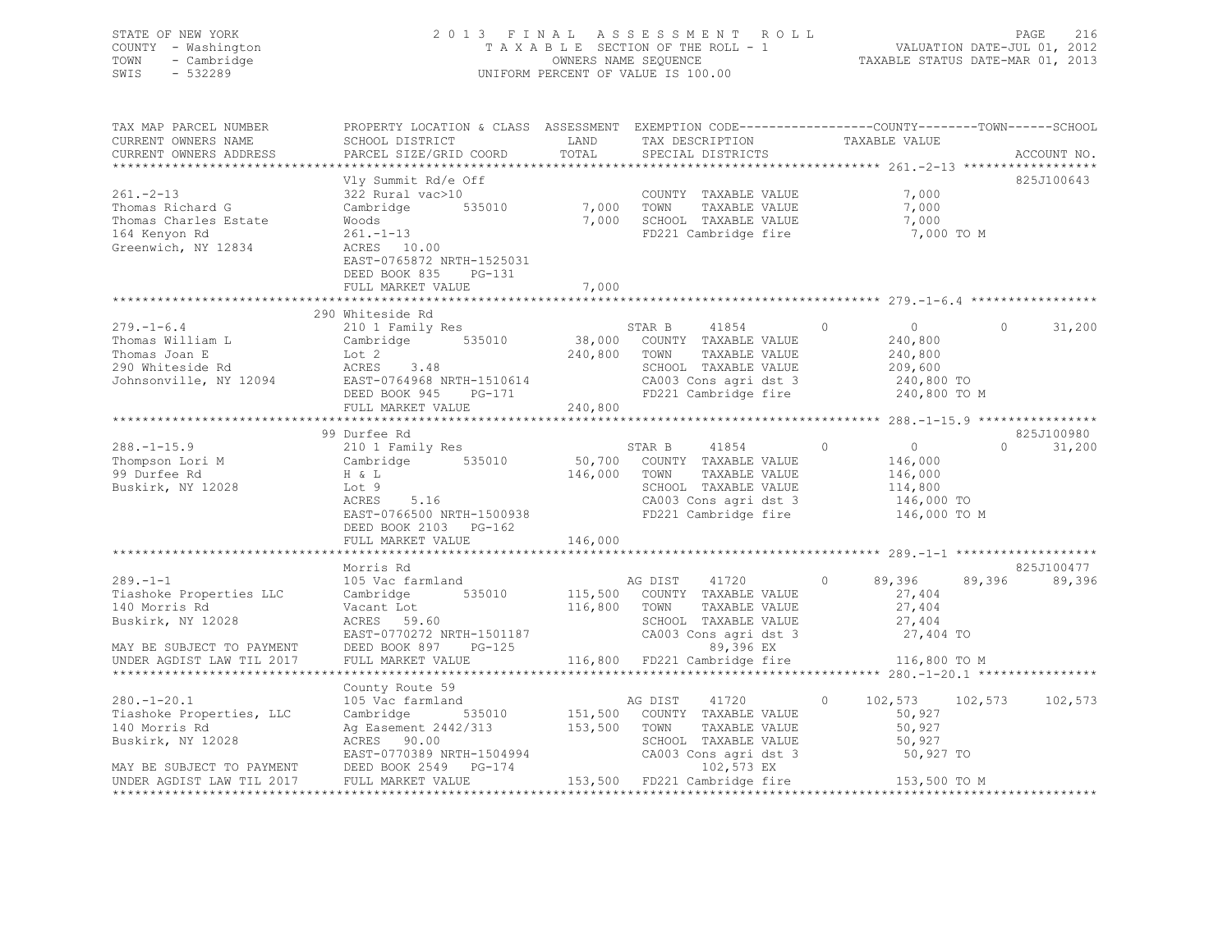## STATE OF NEW YORK 2 0 1 3 F I N A L A S S E S S M E N T R O L L PAGE 216 COUNTY - Washington T A X A B L E SECTION OF THE ROLL - 1 VALUATION DATE-JUL 01, 2012 TOWN - Cambridge OWNERS NAME SEQUENCE TAXABLE STATUS DATE-MAR 01, 2013 SWIS - 532289 UNIFORM PERCENT OF VALUE IS 100.00

| TAX MAP PARCEL NUMBER<br>CURRENT OWNERS NAME                                                                                                                                                                                        | PROPERTY LOCATION & CLASS ASSESSMENT EXEMPTION CODE----------------COUNTY-------TOWN-----SCHOOL<br>SCHOOL DISTRICT                                                                         | LAND           | TAX DESCRIPTION                                                                                | TAXABLE VALUE                         |                          |
|-------------------------------------------------------------------------------------------------------------------------------------------------------------------------------------------------------------------------------------|--------------------------------------------------------------------------------------------------------------------------------------------------------------------------------------------|----------------|------------------------------------------------------------------------------------------------|---------------------------------------|--------------------------|
| CURRENT OWNERS ADDRESS                                                                                                                                                                                                              | PARCEL SIZE/GRID COORD                                                                                                                                                                     | TOTAL          | SPECIAL DISTRICTS                                                                              |                                       | ACCOUNT NO.              |
|                                                                                                                                                                                                                                     |                                                                                                                                                                                            |                |                                                                                                |                                       |                          |
| $261 - 2 - 13$<br>Thomas Richard G<br>Thomas Charles Estate<br>164 Kenyon Rd<br>Greenwich, NY 12834                                                                                                                                 | Vly Summit Rd/e Off<br>322 Rural vac>10<br>Cambridge 535010 7,000 TOWN<br>Woods<br>$261. -1 - 13$<br>ACRES 10.00<br>EAST-0765872 NRTH-1525031<br>DEED BOOK 835 PG-131<br>FULL MARKET VALUE | 7,000<br>7,000 | COUNTY TAXABLE VALUE<br>TOWN     TAXABLE VALUE<br>SCHOOL TAXABLE VALUE<br>FD221 Cambridge fire | 7,000<br>7,000<br>7,000<br>7,000 TO M | 825J100643               |
|                                                                                                                                                                                                                                     |                                                                                                                                                                                            |                |                                                                                                |                                       |                          |
|                                                                                                                                                                                                                                     | 290 Whiteside Rd                                                                                                                                                                           |                |                                                                                                |                                       |                          |
| $279. - 1 - 6.4$                                                                                                                                                                                                                    | 210 1 Family Res                                                                                                                                                                           |                | STAR B 41854 0                                                                                 | $\sim$ 0                              | 31,200<br>$\overline{0}$ |
| Thomas William L                                                                                                                                                                                                                    | Cambridge 535010 38,000 COUNTY TAXABLE VALUE                                                                                                                                               |                |                                                                                                | 240,800                               |                          |
| Thomas Joan E<br>290 Whiteside Rd<br>Johnsonville, NY 12094<br>EAST-0764968 NRTH-1510614                                                                                                                                            |                                                                                                                                                                                            | 240,800 TOWN   | TAXABLE VALUE                                                                                  | 240,800                               |                          |
|                                                                                                                                                                                                                                     |                                                                                                                                                                                            |                | SCHOOL TAXABLE VALUE                                                                           | 209,600<br>240,800 TO                 |                          |
|                                                                                                                                                                                                                                     |                                                                                                                                                                                            |                | SCHOOL TAXABLE VALUE<br>CA003 Cons agri dst 3<br>FD221 Cambridge fire                          |                                       |                          |
|                                                                                                                                                                                                                                     | DEED BOOK 945 PG-171                                                                                                                                                                       |                | FD221 Cambridge fire 240,800 TO M                                                              |                                       |                          |
|                                                                                                                                                                                                                                     | FULL MARKET VALUE                                                                                                                                                                          | 240,800        |                                                                                                |                                       |                          |
|                                                                                                                                                                                                                                     |                                                                                                                                                                                            |                |                                                                                                |                                       |                          |
|                                                                                                                                                                                                                                     | 99 Durfee Rd                                                                                                                                                                               |                |                                                                                                |                                       | 825J100980               |
| $288. - 1 - 15.9$                                                                                                                                                                                                                   | 210 1 Family Res                                                                                                                                                                           |                | STAR B 41854<br>50,700 COUNTY TAXABLE VALUE                                                    | $\overline{0}$<br>$\circ$             | 31,200<br>$\cap$         |
| Thompson Lori M<br>99 Durfee Rd                                                                                                                                                                                                     | Cambridge 535010                                                                                                                                                                           |                |                                                                                                | 146,000                               |                          |
| 99 Durfee Rd                                                                                                                                                                                                                        | $H \& L$<br>5.16                                                                                                                                                                           |                | 146,000 TOWN<br>TAXABLE VALUE                                                                  | 146,000                               |                          |
| Buskirk, NY 12028                                                                                                                                                                                                                   | Lot 9                                                                                                                                                                                      |                | SCHOOL TAXABLE VALUE                                                                           | 114,800                               |                          |
|                                                                                                                                                                                                                                     | ACRES                                                                                                                                                                                      |                | CA003 Cons agri dst 3<br>FD221 Cambridge fire                                                  | 146,000 TO                            |                          |
|                                                                                                                                                                                                                                     | EAST-0766500 NRTH-1500938                                                                                                                                                                  |                |                                                                                                | 146,000 TO M                          |                          |
|                                                                                                                                                                                                                                     | DEED BOOK 2103 PG-162                                                                                                                                                                      |                |                                                                                                |                                       |                          |
|                                                                                                                                                                                                                                     | FULL MARKET VALUE                                                                                                                                                                          | 146,000        |                                                                                                |                                       |                          |
|                                                                                                                                                                                                                                     |                                                                                                                                                                                            |                |                                                                                                |                                       |                          |
|                                                                                                                                                                                                                                     | Morris Rd                                                                                                                                                                                  |                |                                                                                                |                                       | 825J100477               |
| $289. - 1 - 1$                                                                                                                                                                                                                      | 105 Vac farmland                                                                                                                                                                           |                | AG DIST 41720                                                                                  | $0 \t 89,396 \t 89,396$               | 89,396                   |
| Tiashoke Properties LLC                                                                                                                                                                                                             | Cambridge 535010 115,500 COUNTY TAXABLE VALUE                                                                                                                                              |                |                                                                                                | 27,404                                |                          |
| 140 Morris Rd                                                                                                                                                                                                                       | Vacant Lot                                                                                                                                                                                 | 116,800 TOWN   | TAXABLE VALUE                                                                                  | 27,404                                |                          |
| Buskirk, NY 12028                                                                                                                                                                                                                   | ACRES 59.60                                                                                                                                                                                |                | SCHOOL TAXABLE VALUE                                                                           | 27,404<br>27,404 TO                   |                          |
|                                                                                                                                                                                                                                     | EAST-0770272 NRTH-1501187<br>EAST-0770272 NRTH-1501187<br>DEED BOOK 897 PG-125 69,396 EX                                                                                                   |                |                                                                                                |                                       |                          |
| MAY BE SUBJECT TO PAYMENT DEED BOOK 897 PG-125<br>UNDER AGDIST LAW TIL 2017 FULL MARKET VALUE                                                                                                                                       |                                                                                                                                                                                            |                |                                                                                                |                                       |                          |
|                                                                                                                                                                                                                                     |                                                                                                                                                                                            |                | 116,800 FD221 Cambridge fire 116,800 TO M                                                      |                                       |                          |
|                                                                                                                                                                                                                                     |                                                                                                                                                                                            |                |                                                                                                |                                       |                          |
|                                                                                                                                                                                                                                     | County Route 59                                                                                                                                                                            |                |                                                                                                |                                       |                          |
| $280. - 1 - 20.1$                                                                                                                                                                                                                   | 105 Vac farmland                                                                                                                                                                           | AG DIST        | 41720                                                                                          | $\circ$<br>102,573 102,573            | 102,573                  |
| Tiashoke Properties, LLC Cambridge 535010                                                                                                                                                                                           |                                                                                                                                                                                            |                | 151,500 COUNTY TAXABLE VALUE                                                                   | 50,927                                |                          |
| 140 Morris Rd                                                                                                                                                                                                                       | Ag Easement 2442/313 153,500 TOWN<br>ACRES 90.00 SCHOO                                                                                                                                     |                | TOWN      TAXABLE VALUE<br>SCHOOL   TAXABLE VALUE                                              | 50,927                                |                          |
| Buskirk, NY 12028                                                                                                                                                                                                                   | ACRES 90.00                                                                                                                                                                                |                |                                                                                                | 50,927                                |                          |
|                                                                                                                                                                                                                                     |                                                                                                                                                                                            |                |                                                                                                |                                       |                          |
| Buskirk, NY 12028<br>EAST-0770389 NRTH-1504994 CA003 Cons agri dst 3 50,927 TO<br>MAY BE SUBJECT TO PAYMENT DEED BOOK 2549 PG-174 102,573 EX<br>UNDER AGDIST LAW TIL 2017 FULL MARKET VALUE 153,500 FD221 Cambridge fire 153,500 TO |                                                                                                                                                                                            |                |                                                                                                |                                       |                          |
|                                                                                                                                                                                                                                     |                                                                                                                                                                                            |                |                                                                                                |                                       |                          |
|                                                                                                                                                                                                                                     |                                                                                                                                                                                            |                |                                                                                                |                                       |                          |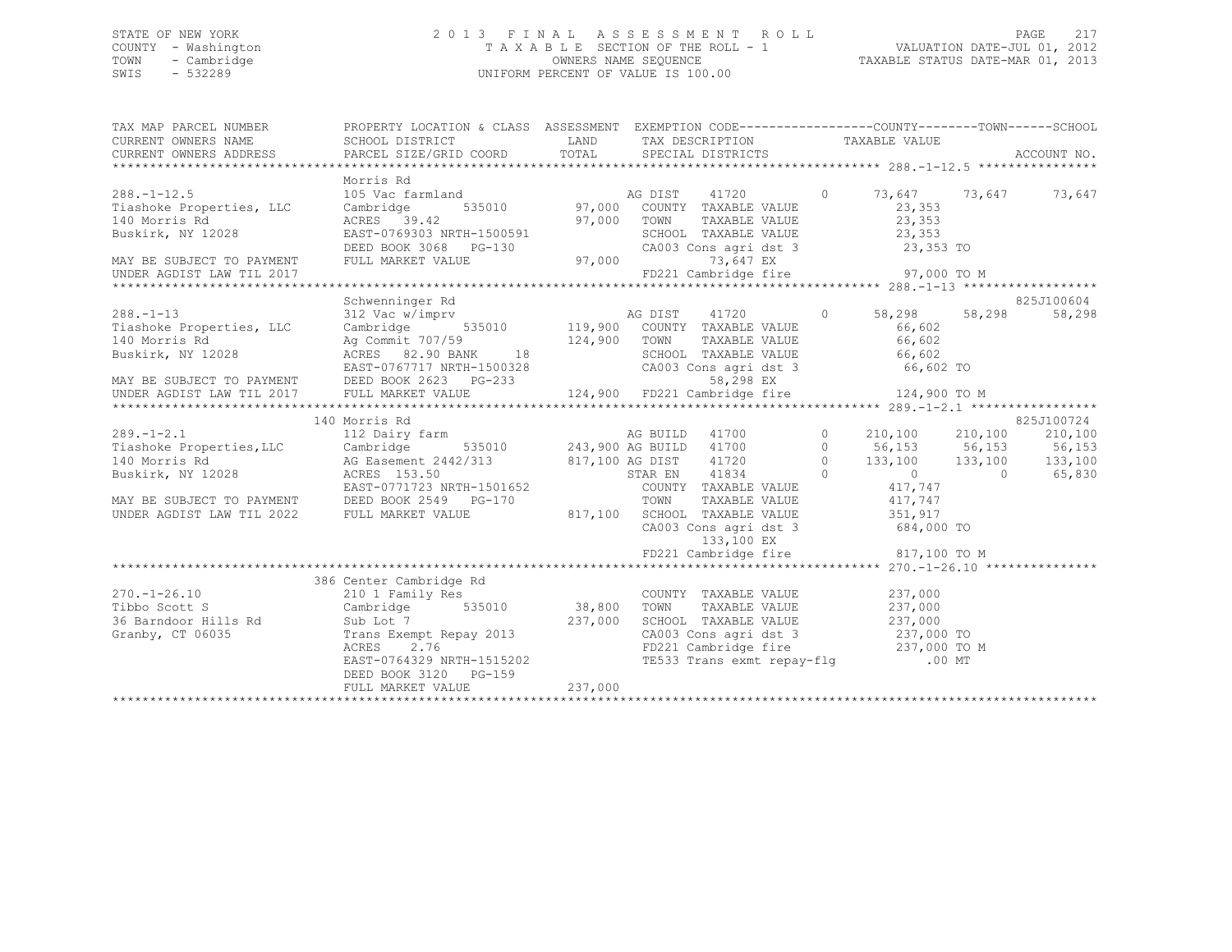## STATE OF NEW YORK 2 0 1 3 F I N A L A S S E S S M E N T R O L L PAGE 217 COUNTY - Washington T A X A B L E SECTION OF THE ROLL - 1 VALUATION DATE-JUL 01, 2012 TOWN - Cambridge OWNERS NAME SEQUENCE TAXABLE STATUS DATE-MAR 01, 2013 SWIS - 532289 UNIFORM PERCENT OF VALUE IS 100.00

| TAX MAP PARCEL NUMBER                                                           | PROPERTY LOCATION & CLASS ASSESSMENT EXEMPTION CODE-----------------COUNTY-------TOWN------SCHOOL                                                                                                                                                                                          |                                                                                                                                                                     |  |                      |
|---------------------------------------------------------------------------------|--------------------------------------------------------------------------------------------------------------------------------------------------------------------------------------------------------------------------------------------------------------------------------------------|---------------------------------------------------------------------------------------------------------------------------------------------------------------------|--|----------------------|
|                                                                                 |                                                                                                                                                                                                                                                                                            |                                                                                                                                                                     |  |                      |
|                                                                                 |                                                                                                                                                                                                                                                                                            |                                                                                                                                                                     |  |                      |
|                                                                                 | Morris Rd<br>140 Morris Rd (1997,000 COUNTY TAXABLE VALUE)<br>140 Morris Rd (1997,000 COUNTY TAXABLE VALUE)<br>140 Morris Rd (1997,000 COUNTY TAXABLE VALUE)<br>140 Morris Rd (1997,000 COUNTY TAXABLE VALUE)<br>140 Morris Rd (1997,000 TOWN TAXAB                                        |                                                                                                                                                                     |  |                      |
|                                                                                 |                                                                                                                                                                                                                                                                                            |                                                                                                                                                                     |  |                      |
|                                                                                 |                                                                                                                                                                                                                                                                                            |                                                                                                                                                                     |  |                      |
|                                                                                 | Schwenninger Rd<br>140 Morris Rd and Agriculture 124,900 TOM TAXABLE VALUE 66,602<br>Buskirk, NY 12028 ACRES 82.90 BANK 18<br>MAY BE SUBJECT TO PAYMENT DEED BOOK 2623 PG-233 58,298 EX<br>UNDER AGDIST LAW TIL 2017 FULL MARKET VALUE 124,900 FD221 Ca                                    |                                                                                                                                                                     |  | 825J100604<br>58,298 |
|                                                                                 |                                                                                                                                                                                                                                                                                            |                                                                                                                                                                     |  |                      |
|                                                                                 |                                                                                                                                                                                                                                                                                            |                                                                                                                                                                     |  |                      |
|                                                                                 | 140 Morris Rd<br>140 Morris Rd<br>140 Morris Rd<br>112 Dairy farm<br>112 Dairy farm<br>140 Morris Rd<br>140 Morris Rd<br>26 Easement 2442/313<br>243,900 AG BUILD<br>243,900 AG BUILD<br>243,900 AG BUILD<br>41700<br>210,100<br>210,100<br>210,100<br>210,100<br>210,100<br>21            | CA003 Cons agri dst 3 684,000 TO                                                                                                                                    |  | 825J100724           |
| $270. - 1 - 26.10$<br>Tibbo Scott S<br>36 Barndoor Hills Rd<br>Granby, CT 06035 | Rd Sub Lot 7<br>Trans Exempt Repay 2013<br>Trans Exempt Repay 2013<br>ACRES 2.76<br>EAST-0764329 NRTH-1515202<br>EAST-0764329 NRTH-1515202<br>CAO03 Consagridst 3<br>EAST-0764329 NRTH-1515202<br>TE533 Trans exmt repay-flg<br>(00<br>DEED BOOK 3120 PG-159<br>THIT MADKET VALUE (237,000 | COUNTY TAXABLE VALUE 237,000<br>TAXABLE VALUE 237,000<br>CA003 Cons agri dst 3 237,000 TO<br>FD221 Cambridge fire 237,000 TO M<br>TE533 Trans exmt repay-flg .00 MT |  |                      |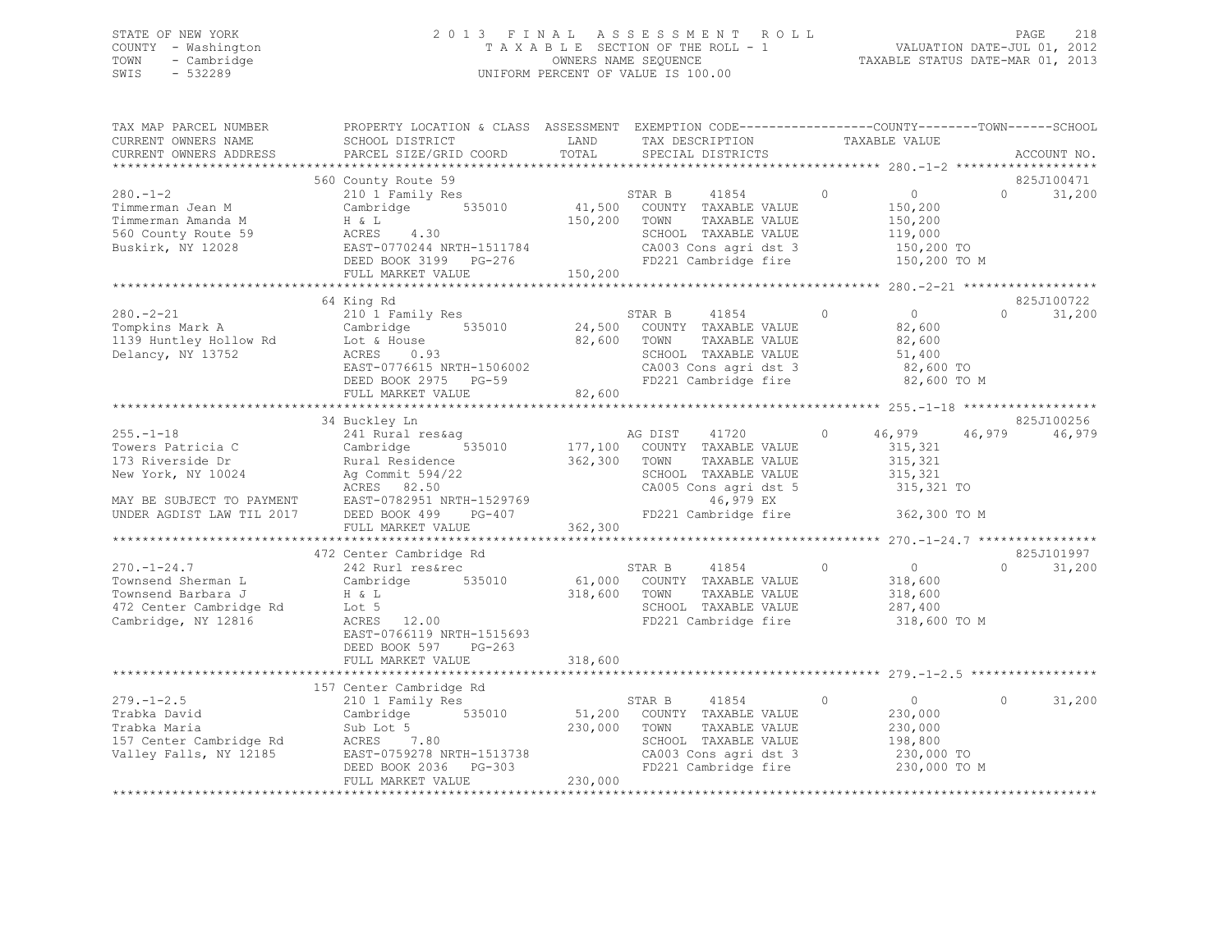## STATE OF NEW YORK 2 0 1 3 F I N A L A S S E S S M E N T R O L L PAGE 218 COUNTY - Washington T A X A B L E SECTION OF THE ROLL - 1 VALUATION DATE-JUL 01, 2012 TOWN - Cambridge OWNERS NAME SEQUENCE TAXABLE STATUS DATE-MAR 01, 2013 SWIS - 532289 UNIFORM PERCENT OF VALUE IS 100.00

| TAX MAP PARCEL NUMBER<br>CURRENT OWNERS NAME<br>CURRENT OWNERS ADDRESS                                          | PROPERTY LOCATION & CLASS ASSESSMENT EXEMPTION CODE----------------COUNTY-------TOWN-----SCHOOL<br>SCHOOL DISTRICT<br>PARCEL SIZE/GRID COORD                                                                         | LAND<br>TOTAL           | TAX DESCRIPTION<br>SPECIAL DISTRICTS                                                                                                                          | TAXABLE VALUE                                                                            | ACCOUNT NO.                      |
|-----------------------------------------------------------------------------------------------------------------|----------------------------------------------------------------------------------------------------------------------------------------------------------------------------------------------------------------------|-------------------------|---------------------------------------------------------------------------------------------------------------------------------------------------------------|------------------------------------------------------------------------------------------|----------------------------------|
|                                                                                                                 |                                                                                                                                                                                                                      |                         |                                                                                                                                                               |                                                                                          |                                  |
| $280 - 1 - 2$<br>Timmerman Jean M<br>Timmerman Amanda M<br>560 County Route 59<br>Buskirk, NY 12028             | 560 County Route 59<br>210 1 Family Res<br>Cambridge 535010<br>$ACRES$ 4.30<br>EAST-0770244 NRTH-1511784<br>DEED BOOK 3199 PG-276<br>FULL MARKET VALUE                                                               | 150,200 TOWN<br>150,200 | 41854 0<br>STAR B<br>41,500 COUNTY TAXABLE VALUE<br>TAXABLE VALUE<br>SCHOOL TAXABLE VALUE<br>CA003 Cons agri dst 3<br>FD221 Cambridge fire                    | $\overline{0}$<br>150,200<br>150,200<br>119,000<br>150,200 TO<br>150,200 TO M            | 825J100471<br>$\cap$<br>31,200   |
|                                                                                                                 |                                                                                                                                                                                                                      |                         |                                                                                                                                                               |                                                                                          |                                  |
| $280. - 2 - 21$<br>Tompkins Mark A<br>1139 Huntley Hollow Rd<br>Delancy, NY 13752                               | 64 King Rd<br>210 <sup>1</sup> Family Res<br>Cambridge 535010<br>Lot & House 535010<br>$House$<br>$0.93$<br>ACRES 0.93<br>EAST-0776615 NRTH-1506002<br>-- DAOM 2075 PG-59<br>FULL MARKET VALUE                       | 82,600<br>82,600        | STAR B<br>41854<br>24,500 COUNTY TAXABLE VALUE<br>TOWN<br>TAXABLE VALUE<br>SCHOOL TAXABLE VALUE<br>CA003 Cons agri dst 3<br>FD221 Cambridge fire              | $\overline{0}$<br>$\Omega$<br>82,600<br>82,600<br>51,400<br>82,600 TO<br>82,600 TO M     | 825J100722<br>31,200<br>$\Omega$ |
|                                                                                                                 | 34 Buckley Ln                                                                                                                                                                                                        |                         |                                                                                                                                                               |                                                                                          | 825J100256                       |
| $255. -1 - 18$<br>Towers Patricia C<br>173 Riverside Dr<br>New York, NY 10024 Ag Commit 594/22                  | 241 Rural res&aq<br>Cambridge<br>Rural Residence<br>ACRES 82.50<br>FULL MARKET VALUE                                                                                                                                 | 362,300 TOWN<br>362,300 | AG DIST 41720 0<br>535010 177,100 COUNTY TAXABLE VALUE<br>TAXABLE VALUE<br>SCHOOL TAXABLE VALUE<br>CA005 Cons agri dst 5<br>46,979 EX<br>FD221 Cambridge fire | 46,979 46,979<br>315,321<br>315,321<br>315,321<br>315,321 TO<br>362,300 TO M             | 46,979                           |
|                                                                                                                 |                                                                                                                                                                                                                      |                         |                                                                                                                                                               |                                                                                          | 825J101997                       |
| $270. - 1 - 24.7$<br>Townsend Sherman L<br>Townsend Barbara J<br>472 Center Cambridge Rd<br>Cambridge, NY 12816 | 472 Center Cambridge Rd<br>242 Rurl res&rec<br>Cambridge 535010<br>H & L<br>Lot 5<br>ACRES 12.00<br>EAST-0766119 NRTH-1515693<br>DEED BOOK 597<br>$PG-263$<br>FULL MARKET VALUE                                      | 318,600<br>318,600      | 41854<br>STAR B<br>61,000 COUNTY TAXABLE VALUE<br>TOWN<br>TAXABLE VALUE<br>SCHOOL TAXABLE VALUE<br>FD221 Cambridge fire                                       | $\circ$<br>$\overline{0}$<br>318,600<br>318,600<br>287,400<br>318,600 TO M               | 31,200<br>$\Omega$               |
|                                                                                                                 |                                                                                                                                                                                                                      |                         |                                                                                                                                                               |                                                                                          |                                  |
| $279. - 1 - 2.5$<br>Trabka David<br>Trabka Maria                                                                | 157 Center Cambridge Rd<br>210 1 Family Res<br>Cambridge 535010<br>Sub Lot 5<br>ACRES 7.80 230,000<br>RURDS /.80<br>EAST-0759278 NRTH-1513738<br>DEED BOOK 2036 PG-303<br>PHIL WOOK 2036 PG-303<br>FULL MARKET VALUE | 230,000                 | STAR B<br>41854<br>51,200 COUNTY TAXABLE VALUE<br>TAXABLE VALUE<br>TOWN<br>SCHOOL TAXABLE VALUE<br>CA003 Cons agri dst 3<br>FD221 Cambridge fire              | $\circ$<br>$\overline{0}$<br>230,000<br>230,000<br>198,800<br>230,000 TO<br>230,000 TO M | 31,200<br>$\Omega$               |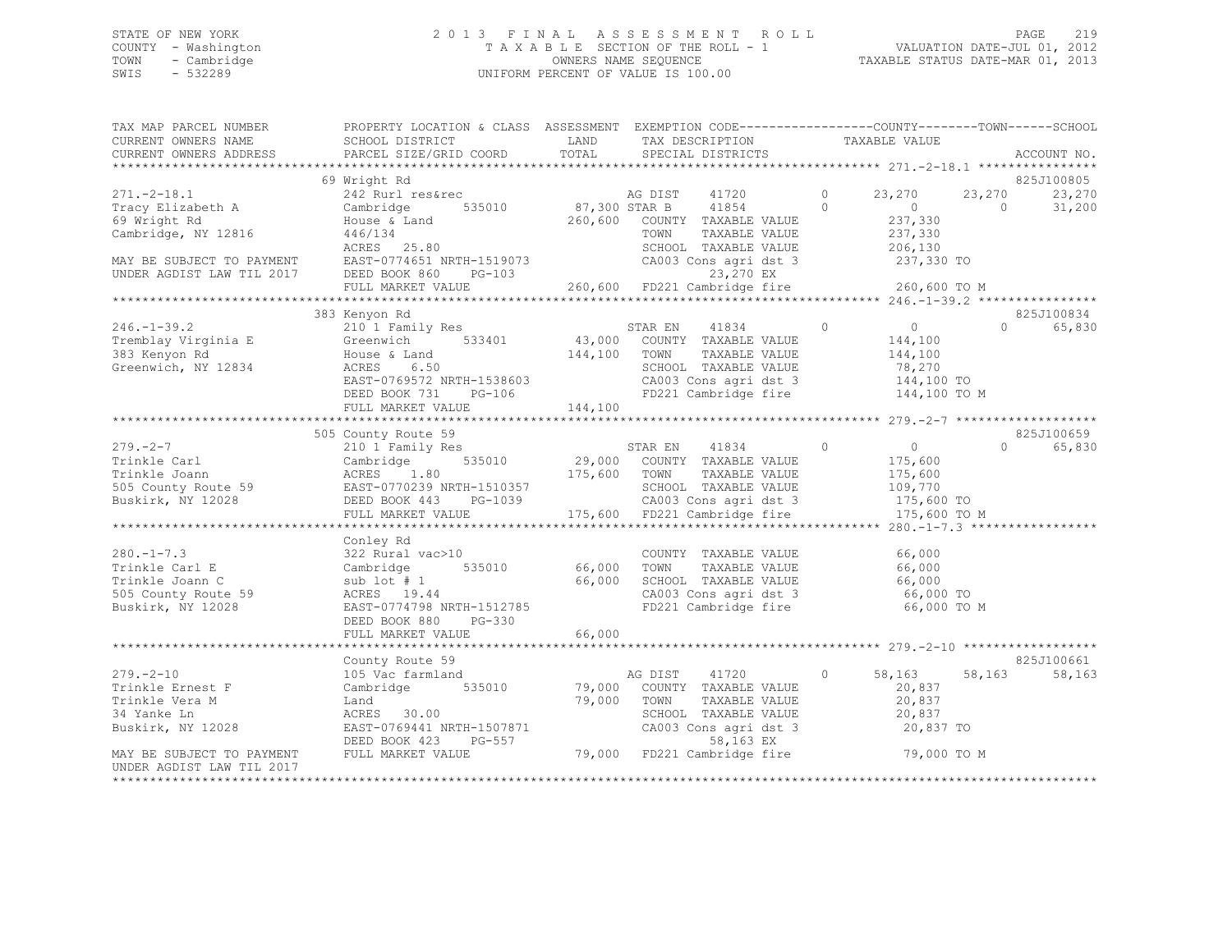### STATE OF NEW YORK 2 0 1 3 F I N A L A S S E S S M E N T R O L L PAGE 219 COUNTY - Washington T A X A B L E SECTION OF THE ROLL - 1 VALUATION DATE-JUL 01, 2012 TOWN - Cambridge OWNERS NAME SEQUENCE TAXABLE STATUS DATE-MAR 01, 2013 SWIS - 532289 UNIFORM PERCENT OF VALUE IS 100.00

TAX MAP PARCEL NUMBER PROPERTY LOCATION & CLASS ASSESSMENT EXEMPTION CODE------------------------------TOWN-------SCHOOL

| CURRENT OWNERS NAME                         | SCHOOL DISTRICT                                                                                                                                          | LAND                  | TAX DESCRIPTION                                                                                    |                                                                                                                                                                                                                                                                                                                                    | TAXABLE VALUE  |                |             |
|---------------------------------------------|----------------------------------------------------------------------------------------------------------------------------------------------------------|-----------------------|----------------------------------------------------------------------------------------------------|------------------------------------------------------------------------------------------------------------------------------------------------------------------------------------------------------------------------------------------------------------------------------------------------------------------------------------|----------------|----------------|-------------|
| CURRENT OWNERS ADDRESS                      | PARCEL SIZE/GRID COORD                                                                                                                                   | TOTAL                 | SPECIAL DISTRICTS                                                                                  |                                                                                                                                                                                                                                                                                                                                    |                |                | ACCOUNT NO. |
|                                             |                                                                                                                                                          |                       |                                                                                                    |                                                                                                                                                                                                                                                                                                                                    |                |                |             |
|                                             | 69 Wright Rd                                                                                                                                             |                       |                                                                                                    |                                                                                                                                                                                                                                                                                                                                    |                |                | 825J100805  |
| $271. -2 - 18.1$                            | $242$ Rurl res&rec and AG DIST 41720<br>Cambridge 535010 87,300 STAR B 41854                                                                             |                       |                                                                                                    | $\overline{0}$ and $\overline{0}$ and $\overline{0}$ and $\overline{0}$ and $\overline{0}$ and $\overline{0}$ and $\overline{0}$ and $\overline{0}$ and $\overline{0}$ and $\overline{0}$ and $\overline{0}$ and $\overline{0}$ and $\overline{0}$ and $\overline{0}$ and $\overline{0}$ and $\overline{0}$ and $\overline{0}$ and | 23,270         | 23,270         | 23,270      |
| Tracy Elizabeth A                           |                                                                                                                                                          |                       |                                                                                                    | $\Omega$                                                                                                                                                                                                                                                                                                                           | $\overline{0}$ | $\overline{0}$ | 31,200      |
| 69 Wright Rd                                | House & Land                                                                                                                                             |                       | 260,600 COUNTY TAXABLE VALUE                                                                       |                                                                                                                                                                                                                                                                                                                                    | 237,330        |                |             |
| Cambridge, NY 12816                         | 446/134                                                                                                                                                  |                       | TOWN<br>TAXABLE VALUE                                                                              |                                                                                                                                                                                                                                                                                                                                    | 237,330        |                |             |
|                                             | ACRES 25.80                                                                                                                                              |                       | SCHOOL TAXABLE VALUE                                                                               |                                                                                                                                                                                                                                                                                                                                    | 206,130        |                |             |
|                                             | MAY BE SUBJECT TO PAYMENT EAST-0774651 NRTH-1519073                                                                                                      |                       | CA003 Cons agri dst 3                                                                              |                                                                                                                                                                                                                                                                                                                                    | 237,330 TO     |                |             |
| UNDER AGDIST LAW TIL 2017                   | DEED BOOK 860 PG-103                                                                                                                                     |                       | 23,270 EX                                                                                          |                                                                                                                                                                                                                                                                                                                                    |                |                |             |
|                                             | FULL MARKET VALUE                                                                                                                                        |                       | 23,270 EX<br>260,600    FD221 Cambridge fire                                                       |                                                                                                                                                                                                                                                                                                                                    | 260,600 TO M   |                |             |
|                                             |                                                                                                                                                          |                       |                                                                                                    |                                                                                                                                                                                                                                                                                                                                    |                |                |             |
|                                             | 383 Kenyon Rd                                                                                                                                            |                       |                                                                                                    |                                                                                                                                                                                                                                                                                                                                    |                |                | 825J100834  |
| $246. - 1 - 39.2$                           | 210 1 Family Res                                                                                                                                         |                       | STAR EN 41834<br>43,000 COUNTY TAXABLE VALUE                                                       | $\sim$ 0                                                                                                                                                                                                                                                                                                                           | $\overline{0}$ | $\Omega$       | 65,830      |
| Tremblay Virginia E                         |                                                                                                                                                          |                       |                                                                                                    |                                                                                                                                                                                                                                                                                                                                    | 144,100        |                |             |
| 383 Kenyon Rd                               | House & Land                                                                                                                                             | 144,100 TOWN          | TAXABLE VALUE                                                                                      |                                                                                                                                                                                                                                                                                                                                    | 144,100        |                |             |
| Greenwich, NY 12834                         | ACRES 6.50                                                                                                                                               |                       |                                                                                                    |                                                                                                                                                                                                                                                                                                                                    |                |                |             |
|                                             | EAST-0769572 NRTH-1538603                                                                                                                                |                       | SCHOOL TAXABLE VALUE 78,270<br>CA003 Cons agri dst 3 144,100 TO<br>FD221 Cambridge fire 144,100 TO |                                                                                                                                                                                                                                                                                                                                    |                |                |             |
|                                             | DEED BOOK 731 PG-106                                                                                                                                     |                       |                                                                                                    |                                                                                                                                                                                                                                                                                                                                    | 144,100 TO M   |                |             |
|                                             | FULL MARKET VALUE                                                                                                                                        | 144,100               |                                                                                                    |                                                                                                                                                                                                                                                                                                                                    |                |                |             |
|                                             |                                                                                                                                                          |                       |                                                                                                    |                                                                                                                                                                                                                                                                                                                                    |                |                |             |
|                                             | 505 County Route 59                                                                                                                                      |                       |                                                                                                    |                                                                                                                                                                                                                                                                                                                                    |                |                | 825J100659  |
|                                             |                                                                                                                                                          |                       |                                                                                                    |                                                                                                                                                                                                                                                                                                                                    |                | $\Omega$       | 65,830      |
|                                             |                                                                                                                                                          |                       |                                                                                                    |                                                                                                                                                                                                                                                                                                                                    |                |                |             |
|                                             |                                                                                                                                                          |                       |                                                                                                    |                                                                                                                                                                                                                                                                                                                                    |                |                |             |
|                                             |                                                                                                                                                          |                       |                                                                                                    |                                                                                                                                                                                                                                                                                                                                    |                |                |             |
|                                             |                                                                                                                                                          |                       |                                                                                                    |                                                                                                                                                                                                                                                                                                                                    |                |                |             |
|                                             |                                                                                                                                                          |                       |                                                                                                    |                                                                                                                                                                                                                                                                                                                                    | 175,600 TO M   |                |             |
|                                             |                                                                                                                                                          |                       |                                                                                                    |                                                                                                                                                                                                                                                                                                                                    |                |                |             |
|                                             | Conley Rd                                                                                                                                                |                       |                                                                                                    |                                                                                                                                                                                                                                                                                                                                    |                |                |             |
| $280. -1 - 7.3$                             | 322 Rural vac>10                                                                                                                                         |                       | COUNTY TAXABLE VALUE                                                                               |                                                                                                                                                                                                                                                                                                                                    | 66,000         |                |             |
| Trinkle Carl E                              | 535010<br>Cambridge                                                                                                                                      | COUNTY<br>66,000 TOWN | TAXABLE VALUE                                                                                      |                                                                                                                                                                                                                                                                                                                                    | 66,000         |                |             |
| Trinkle Joann C                             | sub lot # 1                                                                                                                                              |                       | 66,000 SCHOOL TAXABLE VALUE 66,000                                                                 |                                                                                                                                                                                                                                                                                                                                    |                |                |             |
| 505 County Route 59                         | ACRES 19.44                                                                                                                                              |                       |                                                                                                    |                                                                                                                                                                                                                                                                                                                                    | 66,000 TO      |                |             |
|                                             |                                                                                                                                                          |                       | CA003 Cons agri dst 3<br>FD221 Cambridge fire                                                      |                                                                                                                                                                                                                                                                                                                                    |                |                |             |
| Buskirk, NY 12028                           | EAST-0774798 NRTH-1512785                                                                                                                                |                       |                                                                                                    |                                                                                                                                                                                                                                                                                                                                    | 66,000 TO M    |                |             |
|                                             | DEED BOOK 880<br>PG-330                                                                                                                                  |                       |                                                                                                    |                                                                                                                                                                                                                                                                                                                                    |                |                |             |
|                                             | FULL MARKET VALUE                                                                                                                                        | 66,000                |                                                                                                    |                                                                                                                                                                                                                                                                                                                                    |                |                |             |
|                                             |                                                                                                                                                          |                       |                                                                                                    |                                                                                                                                                                                                                                                                                                                                    |                |                | 825J100661  |
|                                             | County Route 59                                                                                                                                          |                       |                                                                                                    |                                                                                                                                                                                                                                                                                                                                    |                |                |             |
| $279. - 2 - 10$                             | 105 Vac farmland                                                                                                                                         |                       | AG DIST 41720<br>79,000 COUNTY TAXABLE VALUE                                                       | $\circ$                                                                                                                                                                                                                                                                                                                            | 58,163         | 58,163         | 58,163      |
| Trinkle Ernest F                            | Cambridge 535010                                                                                                                                         |                       |                                                                                                    |                                                                                                                                                                                                                                                                                                                                    | 20,837         |                |             |
| Trinkle Vera M                              | Land                                                                                                                                                     | 79,000 TOWN           | TAXABLE VALUE                                                                                      |                                                                                                                                                                                                                                                                                                                                    | 20,837         |                |             |
| 34 Yanke Ln                                 | ACRES 30.00                                                                                                                                              |                       | SCHOOL TAXABLE VALUE                                                                               |                                                                                                                                                                                                                                                                                                                                    | 20,837         |                |             |
| Buskirk, NY 12028                           |                                                                                                                                                          |                       |                                                                                                    |                                                                                                                                                                                                                                                                                                                                    |                |                |             |
|                                             | EAST-0769441 NRTH-1507871 CA003 Cons agri dst 3 20,837 TO<br>DEED BOOK 423 PG-557 58,163 EX<br>FULL MARKET VALUE 79,000 FD221 Cambridge fire 79,000 TO M |                       |                                                                                                    |                                                                                                                                                                                                                                                                                                                                    |                |                |             |
| MAY BE SUBJECT TO PAYMENT FULL MARKET VALUE |                                                                                                                                                          |                       |                                                                                                    |                                                                                                                                                                                                                                                                                                                                    |                |                |             |
| UNDER AGDIST LAW TIL 2017                   |                                                                                                                                                          |                       |                                                                                                    |                                                                                                                                                                                                                                                                                                                                    |                |                |             |
| *********************                       |                                                                                                                                                          |                       |                                                                                                    |                                                                                                                                                                                                                                                                                                                                    |                |                |             |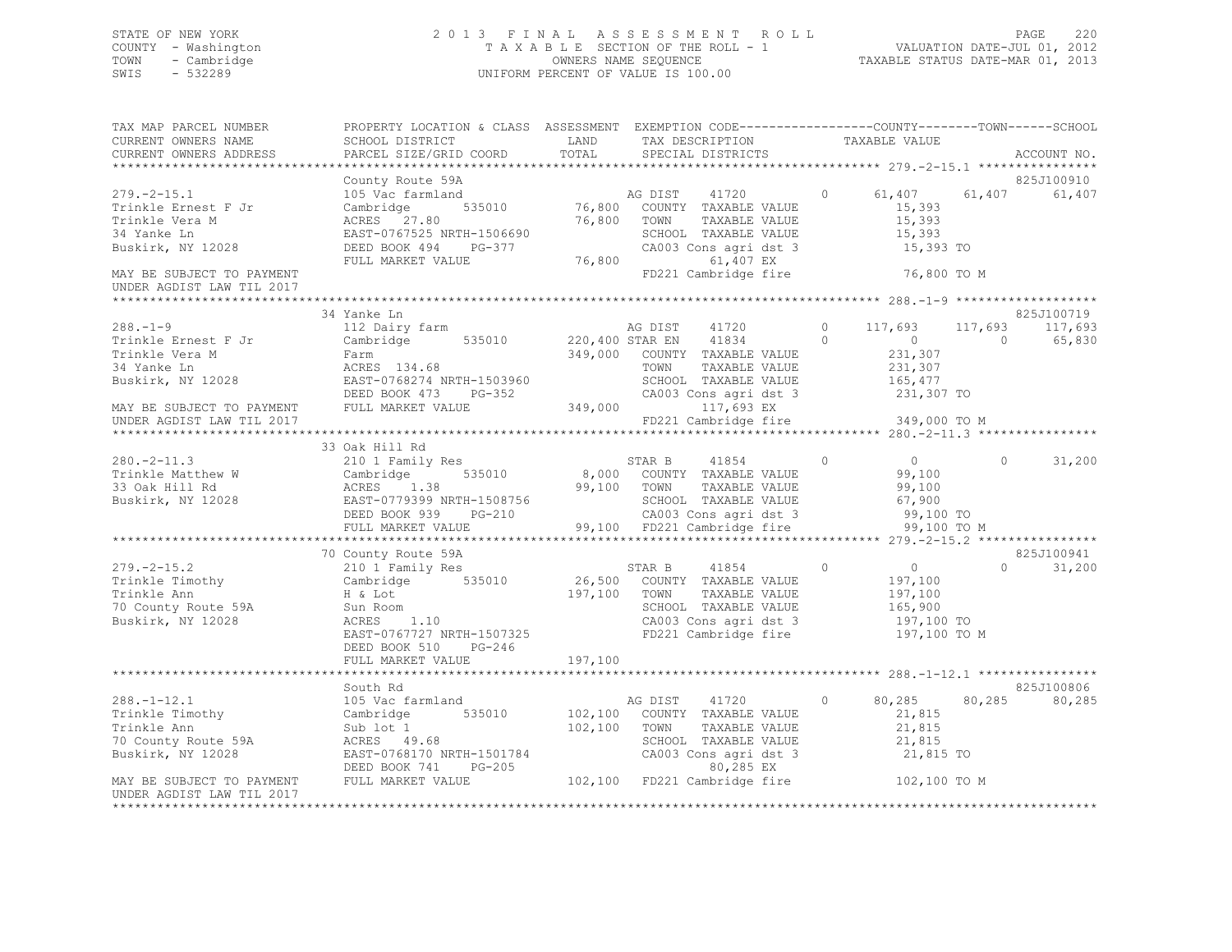## STATE OF NEW YORK 2 0 1 3 F I N A L A S S E S S M E N T R O L L PAGE 220 COUNTY - Washington T A X A B L E SECTION OF THE ROLL - 1 VALUATION DATE-JUL 01, 2012 TOWN - Cambridge OWNERS NAME SEQUENCE TAXABLE STATUS DATE-MAR 01, 2013 SWIS - 532289 UNIFORM PERCENT OF VALUE IS 100.00

| TAX MAP PARCEL NUMBER     | PROPERTY LOCATION & CLASS ASSESSMENT EXEMPTION CODE-----------------COUNTY-------TOWN------SCHOOL<br>CURRENT OWNERS NAME (SCHOOL DISTRICT THE SAND TAX DESCRIPTION TAXABLE VALUE CURRENT OWNERS ADDRESS (THE PARCEL SIZE COORD TOTAL SPECIAL DISTRICTS |  |                 |                    |
|---------------------------|--------------------------------------------------------------------------------------------------------------------------------------------------------------------------------------------------------------------------------------------------------|--|-----------------|--------------------|
|                           |                                                                                                                                                                                                                                                        |  |                 |                    |
|                           |                                                                                                                                                                                                                                                        |  |                 | 825J100910         |
|                           |                                                                                                                                                                                                                                                        |  |                 | 61,407             |
| UNDER AGDIST LAW TIL 2017 |                                                                                                                                                                                                                                                        |  |                 |                    |
|                           |                                                                                                                                                                                                                                                        |  |                 |                    |
|                           | 34 Yanke Ln                                                                                                                                                                                                                                            |  |                 | 825J100719         |
|                           |                                                                                                                                                                                                                                                        |  |                 |                    |
|                           |                                                                                                                                                                                                                                                        |  |                 |                    |
|                           |                                                                                                                                                                                                                                                        |  |                 |                    |
|                           | 33 Oak Hill Rd                                                                                                                                                                                                                                         |  |                 |                    |
|                           |                                                                                                                                                                                                                                                        |  |                 |                    |
|                           |                                                                                                                                                                                                                                                        |  |                 |                    |
|                           |                                                                                                                                                                                                                                                        |  |                 | 825J100941         |
|                           | 379.-2-15.2<br>279.-2-15.2<br>279.-2-15.2<br>210 1 Family Res<br>210 1 Family Res<br>26,500 COUNTY TAXABLE VALUE<br>26,500 COUNTY TAXABLE VALUE<br>26,500 COUNTY TAXABLE VALUE<br>26,500 COUNTY TAXABLE VALUE<br>26,500 COUNTY TAXABLE VALUE<br>26     |  | 197,100 TO M    | $\Omega$<br>31,200 |
|                           |                                                                                                                                                                                                                                                        |  |                 |                    |
|                           | South Rd                                                                                                                                                                                                                                               |  |                 | 825J100806         |
|                           |                                                                                                                                                                                                                                                        |  | 0 80,285 80,285 | 80,285             |
|                           |                                                                                                                                                                                                                                                        |  |                 |                    |
|                           | 288.-1-12.1<br>Trinkle Timothy 105 Vac farmland<br>Trinkle Ann Sub lot 1 102,100 COUNTY TAXABLE VALUE 21,815<br>To County Route 59A ACRES 49.68<br>Buskirk, NY 12028 EAST-0768170 NRTH-1501784 CA003 Cons agri dst 3 21,815<br>MAY BE                  |  |                 |                    |
| UNDER AGDIST LAW TIL 2017 |                                                                                                                                                                                                                                                        |  |                 |                    |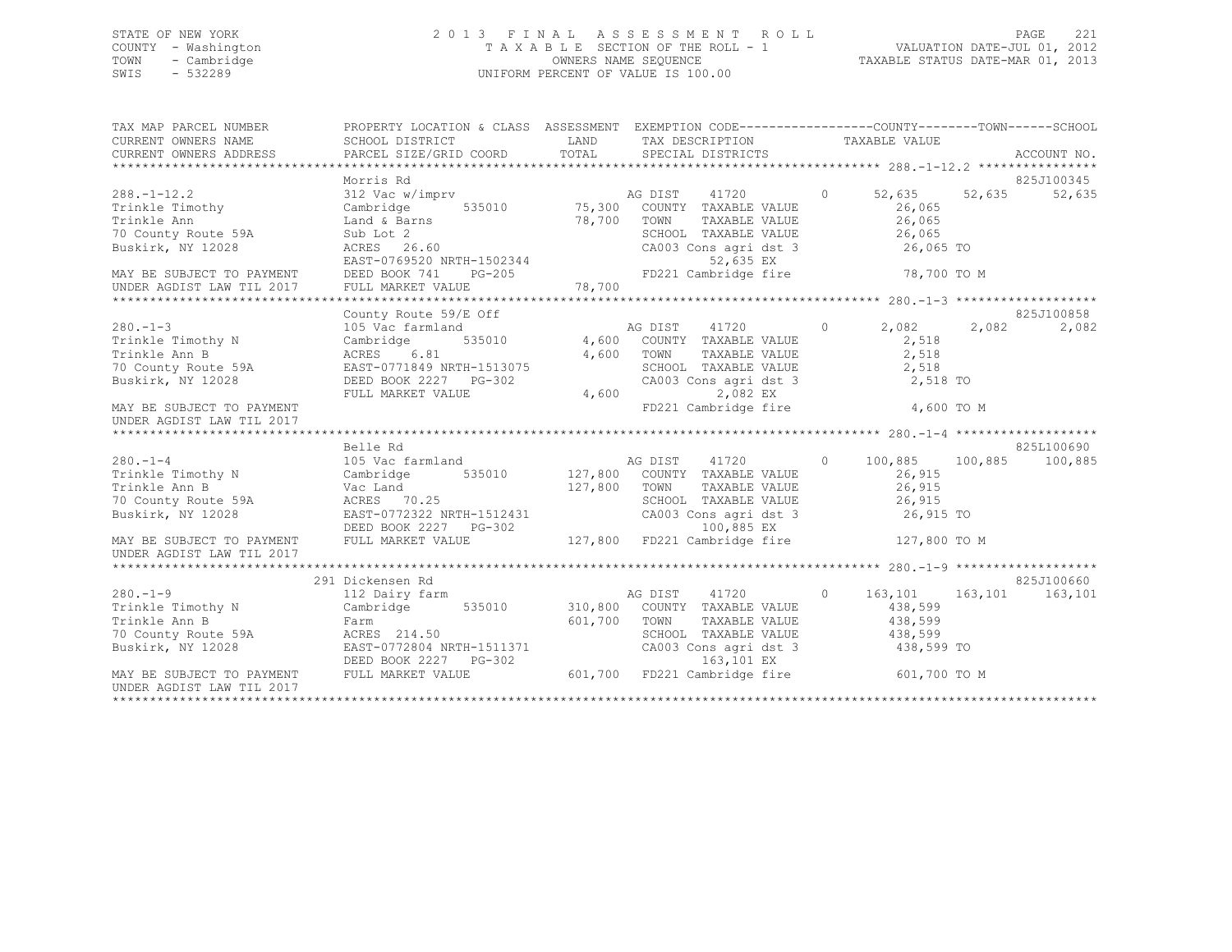## STATE OF NEW YORK 2 0 1 3 F I N A L A S S E S S M E N T R O L L PAGE 221 COUNTY - Washington T A X A B L E SECTION OF THE ROLL - 1 VALUATION DATE-JUL 01, 2012 TOWN - Cambridge OWNERS NAME SEQUENCE TAXABLE STATUS DATE-MAR 01, 2013 SWIS - 532289 UNIFORM PERCENT OF VALUE IS 100.00

| TAX MAP PARCEL NUMBER<br>CURRENT OWNERS NAME           | PROPERTY LOCATION & CLASS ASSESSMENT EXEMPTION CODE---------------COUNTY-------TOWN-----SCHOOL<br>SCHOOL DISTRICT | LAND    | TAX DESCRIPTION TAXABLE VALUE                              |                    |             |             |
|--------------------------------------------------------|-------------------------------------------------------------------------------------------------------------------|---------|------------------------------------------------------------|--------------------|-------------|-------------|
| CURRENT OWNERS ADDRESS                                 | PARCEL SIZE/GRID COORD                                                                                            | TOTAL   | SPECIAL DISTRICTS                                          |                    |             | ACCOUNT NO. |
|                                                        | Morris Rd                                                                                                         |         |                                                            |                    |             | 825J100345  |
| $288. - 1 - 12.2$                                      | 312 Vac w/imprv                                                                                                   |         | 41720                                                      | $\circ$<br>52,635  | 52,635      | 52,635      |
| Trinkle Timothy                                        | 535010<br>Cambridge                                                                                               |         | 75,300 COUNTY TAXABLE VALUE<br>75,300 COUNTY TAXABLE VALUE | 26,065             |             |             |
| Trinkle Ann                                            | Land & Barns                                                                                                      | 78,700  | TAXABLE VALUE                                              | 26,065             |             |             |
| 70 County Route 59A                                    | Sub Lot 2                                                                                                         |         | SCHOOL TAXABLE VALUE                                       | 26,065             |             |             |
| Buskirk, NY 12028                                      | ACRES 26.60                                                                                                       |         | CA003 Cons agri dst 3                                      | 26,065 TO          |             |             |
|                                                        | EAST-0769520 NRTH-1502344                                                                                         |         | 52,635 EX                                                  |                    |             |             |
|                                                        | DEED BOOK 741<br>$PG-205$                                                                                         |         | FD221 Cambridge fire                                       |                    | 78,700 TO M |             |
| MAY BE SUBJECT TO PAYMENT<br>UNDER AGDIST LAW TIL 2017 | FULL MARKET VALUE                                                                                                 | 78,700  |                                                            |                    |             |             |
|                                                        |                                                                                                                   |         |                                                            |                    |             |             |
|                                                        | County Route 59/E Off                                                                                             |         |                                                            |                    |             | 825J100858  |
| $280 - 1 - 3$                                          | 105 Vac farmland                                                                                                  |         |                                                            | $\circ$<br>2,082   | 2,082       | 2,082       |
| Trinkle Timothy N                                      | Cambridge                                                                                                         |         |                                                            | 2,518              |             |             |
| Trinkle Ann B                                          | 6.81<br>ACRES                                                                                                     |         | 4,600 TOWN<br>TAXABLE VALUE                                | 2,518              |             |             |
| 70 County Route 59A                                    | EAST-0771849 NRTH-1513075                                                                                         |         | SCHOOL TAXABLE VALUE                                       | 2,518              |             |             |
| Buskirk, NY 12028                                      | DEED BOOK 2227 PG-302                                                                                             |         | CA003 Cons agri dst 3                                      |                    | 2,518 TO    |             |
|                                                        | FULL MARKET VALUE                                                                                                 | 4,600   | 2,082 EX                                                   |                    |             |             |
| MAY BE SUBJECT TO PAYMENT                              |                                                                                                                   |         | FD221 Cambridge fire                                       |                    | 4,600 TO M  |             |
| UNDER AGDIST LAW TIL 2017                              |                                                                                                                   |         |                                                            |                    |             |             |
|                                                        |                                                                                                                   |         |                                                            |                    |             |             |
|                                                        | Belle Rd                                                                                                          |         |                                                            |                    |             | 825L100690  |
| $280 - 1 - 4$                                          | 105 Vac farmland                                                                                                  |         |                                                            | $\circ$<br>100,885 | 100,885     | 100,885     |
| Trinkle Timothy N                                      | 535010<br>Cambridge                                                                                               |         | AG DIST 41720<br>127,800 COUNTY TAXABLE VALUE              | 26,915             |             |             |
| Trinkle Ann B                                          | Vac Land                                                                                                          | 127,800 | TOWN<br>TAXABLE VALUE                                      | 26,915             |             |             |
| 70 County Route 59A                                    | ACRES 70.25                                                                                                       |         | SCHOOL TAXABLE VALUE                                       | 26,915             |             |             |
| Buskirk, NY 12028                                      | EAST-0772322 NRTH-1512431                                                                                         |         | CA003 Cons agri dst 3                                      | 26,915 TO          |             |             |
|                                                        | DEED BOOK 2227 PG-302                                                                                             |         | 100,885 EX                                                 |                    |             |             |
| MAY BE SUBJECT TO PAYMENT<br>UNDER AGDIST LAW TIL 2017 | FULL MARKET VALUE                                                                                                 |         | 127,800 FD221 Cambridge fire                               | 127,800 TO M       |             |             |
|                                                        |                                                                                                                   |         |                                                            |                    |             |             |
|                                                        | 291 Dickensen Rd                                                                                                  |         |                                                            |                    |             | 825J100660  |
| $280 - 1 - 9$                                          | 112 Dairy farm                                                                                                    |         | AG DIST<br>41720                                           | $\circ$<br>163,101 | 163,101     | 163,101     |
| Trinkle Timothy N                                      | Cambridge<br>535010                                                                                               |         | 310,800 COUNTY TAXABLE VALUE                               | 438,599            |             |             |
| Trinkle Ann B                                          | Farm                                                                                                              | 601,700 | TOWN<br>TAXABLE VALUE                                      | 438,599            |             |             |
| 70 County Route 59A                                    | ACRES 214.50                                                                                                      |         | SCHOOL TAXABLE VALUE                                       | 438,599            |             |             |
| Buskirk, NY 12028                                      | EAST-0772804 NRTH-1511371                                                                                         |         | CA003 Cons agri dst 3                                      | 438,599 TO         |             |             |
|                                                        | DEED BOOK 2227 PG-302                                                                                             |         | 163,101 EX                                                 |                    |             |             |
| MAY BE SUBJECT TO PAYMENT                              | FULL MARKET VALUE                                                                                                 |         | 601,700 FD221 Cambridge fire 601,700 TO M                  |                    |             |             |
| UNDER AGDIST LAW TIL 2017                              |                                                                                                                   |         |                                                            |                    |             |             |
|                                                        |                                                                                                                   |         |                                                            |                    |             |             |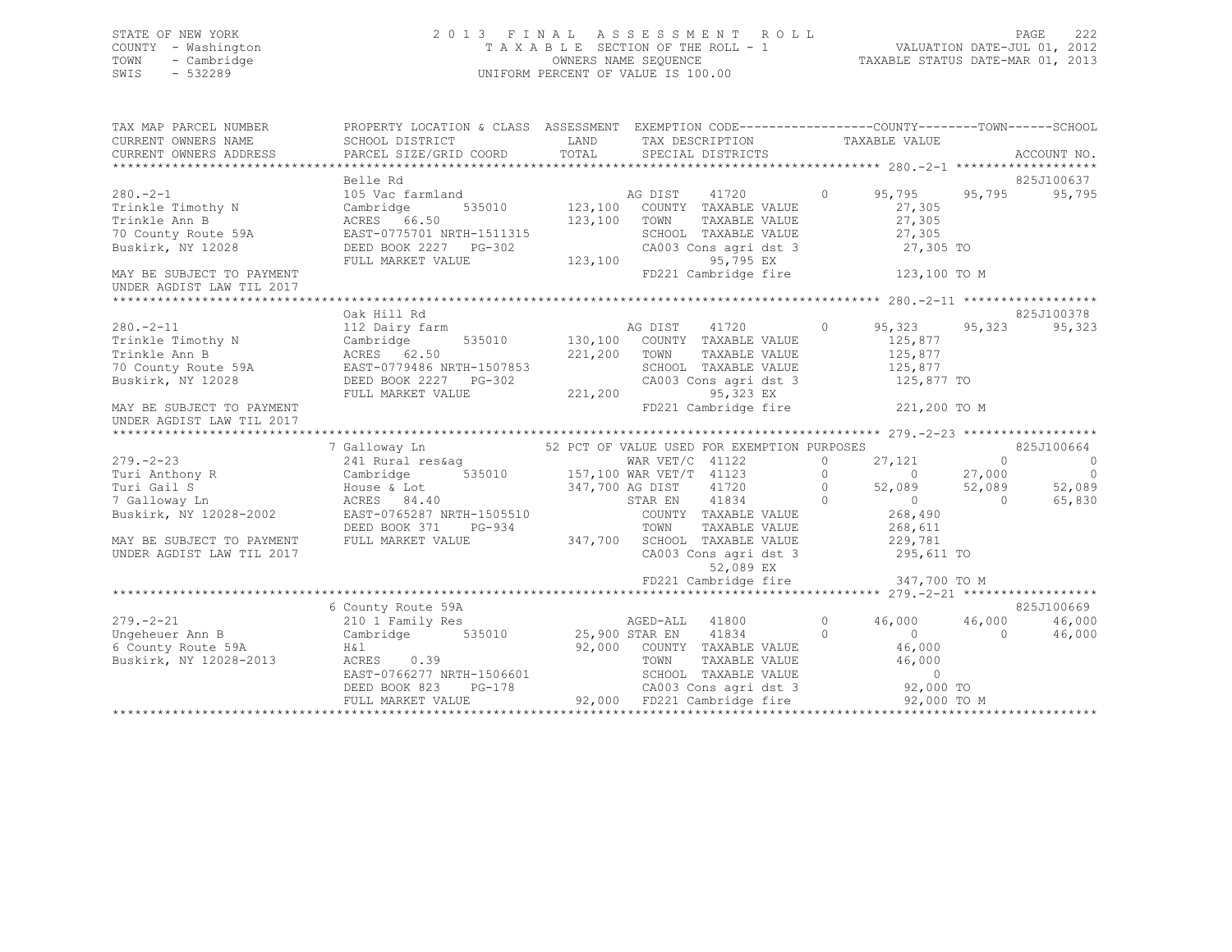## STATE OF NEW YORK 2 0 1 3 F I N A L A S S E S S M E N T R O L L PAGE 222 COUNTY - Washington T A X A B L E SECTION OF THE ROLL - 1 VALUATION DATE-JUL 01, 2012 TOWN - Cambridge OWNERS NAME SEQUENCE TAXABLE STATUS DATE-MAR 01, 2013 SWIS - 532289 UNIFORM PERCENT OF VALUE IS 100.00

| TAX MAP PARCEL NUMBER<br>CURRENT OWNERS NAME<br>CURRENT OWNERS ADDRESS                                                                                                                                                                                           | PROPERTY LOCATION & CLASS ASSESSMENT EXEMPTION CODE-----------------COUNTY-------TOWN------SCHOOL<br>SCHOOL DISTRICT<br>PARCEL SIZE/GRID COORD                                                                                                                                                                                                                                                      | TOTAL                                                 | LAND TAX DESCRIPTION<br>SPECIAL DISTRICTS                                                                                                                                                                                    |                    | TAXABLE VALUE                                                                                                                           |                     | ACCOUNT NO.                                                        |
|------------------------------------------------------------------------------------------------------------------------------------------------------------------------------------------------------------------------------------------------------------------|-----------------------------------------------------------------------------------------------------------------------------------------------------------------------------------------------------------------------------------------------------------------------------------------------------------------------------------------------------------------------------------------------------|-------------------------------------------------------|------------------------------------------------------------------------------------------------------------------------------------------------------------------------------------------------------------------------------|--------------------|-----------------------------------------------------------------------------------------------------------------------------------------|---------------------|--------------------------------------------------------------------|
| $280 - 2 - 1$<br>Trinkle Timothy N<br>Trinkle Ann B<br>Trinkle Ann B<br>70 County Route 59A<br>Buskirk, NY 12028                                                                                                                                                 | Belle Rd<br>105 Vac farmland<br>535010 123,100<br>Cambridge<br>ACRES 66.50<br>EAST-0775701 NRTH-1511315<br>DEED BOOK 2227 PG-302<br>FULL MARKET VALUE                                                                                                                                                                                                                                               | 123,100 TOWN<br>1511315 SCH(<br>G-302 CAOC<br>123,100 | 41720<br>AG DIST<br>COUNTY TAXABLE VALUE<br>TAXABLE VALUE<br>SCHOOL TAXABLE VALUE<br>CA003 Cons agri dst 3 27,305 TO<br>95,795 EX<br>FD221 Cambridge fire 123,100 TO M                                                       | $\circ$            | 95,795<br>27,305<br>27,305<br>27,305                                                                                                    | 95,795              | 825J100637<br>95,795                                               |
| MAY BE SUBJECT TO PAYMENT<br>UNDER AGDIST LAW TIL 2017                                                                                                                                                                                                           |                                                                                                                                                                                                                                                                                                                                                                                                     |                                                       |                                                                                                                                                                                                                              |                    |                                                                                                                                         |                     |                                                                    |
| 112 Dairy farm<br>Trinkle Timothy N Cambridge 535010 130,100 COUNTY TAXABLE VALUE<br>Trinkle Ann B ACRES 62.50 221.200 TOUNTY TAXABLE VALUE<br>70 County Boute 502<br>70 County Route 59A<br>Buskirk, NY 12028<br>Buskirk, NY 12028<br>MAY BE SUBJECT TO PAYMENT | Oak Hill Rd<br>EAST-0779486 NRTH-1507853<br>DEED BOOK 2227 PG-302<br>FULL MARKET VALUE                                                                                                                                                                                                                                                                                                              | 221,200                                               | SCHOOL TAXABLE VALUE<br>CA003 Cons agri dst 3<br>95,323 EX<br>FD221 Cambridge fire 221,200 TO M                                                                                                                              | $\circ$            | 95,323<br>125,877<br>125,877<br>125,877<br>125,877 TO                                                                                   | 95,323              | 825J100378<br>95,323                                               |
| UNDER AGDIST LAW TIL 2017                                                                                                                                                                                                                                        |                                                                                                                                                                                                                                                                                                                                                                                                     |                                                       |                                                                                                                                                                                                                              |                    |                                                                                                                                         |                     |                                                                    |
| $279. - 2 - 23$<br>Turi Anthony R<br>Turi Gail S<br>7 Galloway Ln<br>Buskirk, NY 12028-2002<br>MAY BE SUBJECT TO PAYMENT<br>UNDER AGDIST LAW TIL 2017                                                                                                            | 7 Galloway Ln<br>241 Rural res&aq<br>Cambridge 535010 157,100 WAR VET/T 41123<br>$\begin{tabular}{lllllllll} \textsc{House & \textsc{Tot} & \textsc{347,700 AG DIST} & \textsc{41720} \\ \textsc{ACRES & \textsc{84.40} & \textsc{347,700 AG DIST} & \textsc{41834} \\ \textsc{ESST}-0765287 NRTH-1505510 & & \textsc{COUNTY TAXABLE VALUE} \\ \end{tabular}$<br>DEED BOOK 371<br>FULL MARKET VALUE |                                                       | 52 PCT OF VALUE USED FOR EXEMPTION PURPOSES<br>WAR VET/C 41122<br>$\sim$ 0<br>$\overline{0}$<br>PG-934 TOWN TAXABLE VALUE<br>LUE 1947,700 SCHOOL TAXABLE VALUE<br>CA003 Cons agri dst 3<br>52,089 EX<br>FD221 Cambridge fire | $\overline{0}$     | $27,121$ 0<br>0 0 27,000<br>52,089 52,089<br>$\overline{0}$<br>268,490<br>268,611<br>229,781<br>$229,781$<br>295,611 TO<br>347,700 TO M | $\bigcirc$          | 825J100664<br>$\overline{0}$<br>$\overline{0}$<br>52,089<br>65,830 |
|                                                                                                                                                                                                                                                                  |                                                                                                                                                                                                                                                                                                                                                                                                     |                                                       |                                                                                                                                                                                                                              |                    |                                                                                                                                         |                     |                                                                    |
| $279. - 2 - 21$<br>Ungeheuer Ann B<br>6 County Route 59A<br>Buskirk, NY 12028-2013                                                                                                                                                                               | 6 County Route 59A<br>210 1 Family Res<br>Cambridge 535010 25,900 STAR EN<br>H & l<br>ACRES 0.39<br>EAST-0766277 NRTH-1506601<br>DEED BOOK 823<br>FULL MARKET VALUE                                                                                                                                                                                                                                 |                                                       | AGED-ALL 41800<br>41834<br>92,000 COUNTY TAXABLE VALUE<br>TOWN<br>TAXABLE VALUE<br>SCHOOL TAXABLE VALUE<br>CA003 Cons agri dst 3 92,000 TO<br>PG-178 CA003 Cons agri dst 3<br>UE 92,000 FD221 Cambridge fire                 | $\circ$<br>$\circ$ | 46,000<br>$\overline{0}$<br>46,000<br>46,000<br>92,000 TO M                                                                             | 46,000<br>$\bigcap$ | 825J100669<br>46,000<br>46,000                                     |
|                                                                                                                                                                                                                                                                  |                                                                                                                                                                                                                                                                                                                                                                                                     |                                                       |                                                                                                                                                                                                                              |                    |                                                                                                                                         |                     |                                                                    |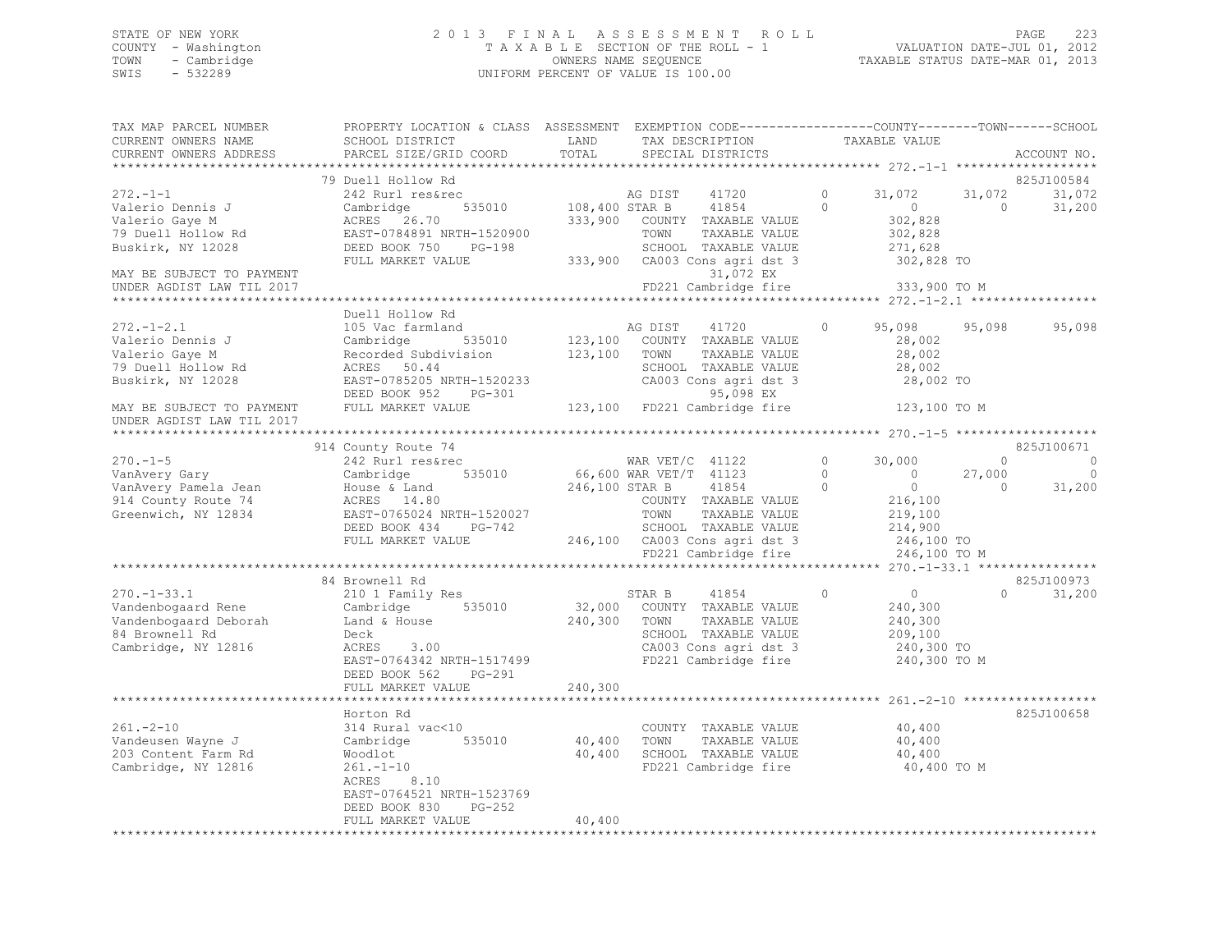## STATE OF NEW YORK 2 0 1 3 F I N A L A S S E S S M E N T R O L L PAGE 223 COUNTY - Washington T A X A B L E SECTION OF THE ROLL - 1 VALUATION DATE-JUL 01, 2012 TOWN - Cambridge OWNERS NAME SEQUENCE TAXABLE STATUS DATE-MAR 01, 2013 SWIS - 532289 UNIFORM PERCENT OF VALUE IS 100.00

| TAX MAP PARCEL NUMBER<br>CURRENT OWNERS NAME              | PROPERTY LOCATION & CLASS ASSESSMENT EXEMPTION CODE----------------COUNTY-------TOWN-----SCHOOL<br>SCHOOL DISTRICT       | LAND           | TAX DESCRIPTION                                                               | TAXABLE VALUE                                     |                                             |
|-----------------------------------------------------------|--------------------------------------------------------------------------------------------------------------------------|----------------|-------------------------------------------------------------------------------|---------------------------------------------------|---------------------------------------------|
| CURRENT OWNERS ADDRESS                                    | PARCEL SIZE/GRID COORD                                                                                                   | TOTAL          | SPECIAL DISTRICTS                                                             |                                                   | ACCOUNT NO.                                 |
|                                                           | 79 Duell Hollow Rd                                                                                                       |                |                                                                               |                                                   | 825J100584                                  |
| $272 - 1 - 1$<br>Valerio Dennis J                         | 242 Rurl res&rec<br>Cambridge                                                                                            |                | AG DIST<br>41720<br>535010 108,400 STAR B 41854                               | $\Omega$<br>31,072<br>$\Omega$<br>$\overline{0}$  | 31,072<br>31,072<br>$\bigcirc$<br>31,200    |
| Valerio Gaye M<br>79 Duell Hollow Rd<br>Buskirk, NY 12028 | ACRES 26.70<br>EAST-0784891 NRTH-1520900<br>DEED BOOK 750 PG-198                                                         |                | 333,900 COUNTY TAXABLE VALUE<br>TOWN<br>TAXABLE VALUE<br>SCHOOL TAXABLE VALUE | 302,828<br>302,828<br>271,628                     |                                             |
| MAY BE SUBJECT TO PAYMENT                                 | FULL MARKET VALUE                                                                                                        |                | 333,900 CA003 Cons agri dst 3<br>31,072 EX                                    | 302,828 TO                                        |                                             |
| UNDER AGDIST LAW TIL 2017                                 |                                                                                                                          |                | FD221 Cambridge fire                                                          | 333,900 TO M                                      |                                             |
|                                                           | Duell Hollow Rd                                                                                                          |                |                                                                               |                                                   |                                             |
| $272 - 1 - 2.1$<br>Valerio Dennis J<br>Valerio Gaye M     | 105 Vac farmland<br>Cambridge<br>535010<br>Recorded Subdivision                                                          | 123,100 TOWN   | AG DIST 41720<br>123,100 COUNTY TAXABLE VALUE<br>TAXABLE VALUE                | 95,098<br>$\circ$<br>28,002<br>28,002             | 95,098<br>95,098                            |
| 79 Duell Hollow Rd<br>Buskirk, NY 12028                   | ACRES 50.44<br>EAST-0785205 NRTH-1520233                                                                                 |                | SCHOOL TAXABLE VALUE<br>CA003 Cons agri dst 3                                 | 28,002<br>28,002 TO                               |                                             |
| MAY BE SUBJECT TO PAYMENT                                 | DEED BOOK 952 PG-301<br>FULL MARKET VALUE                                                                                |                | 95,098 EX<br>123,100 FD221 Cambridge fire 123,100 TO M                        |                                                   |                                             |
| UNDER AGDIST LAW TIL 2017                                 |                                                                                                                          |                |                                                                               |                                                   |                                             |
|                                                           | 914 County Route 74                                                                                                      |                |                                                                               |                                                   | 825J100671                                  |
| $270. - 1 - 5$                                            | 242 Rurl res&rec                                                                                                         |                | WAR VET/C 41122<br>66,600 WAR VET/T 41123                                     | $\Omega$<br>30,000                                | $\Omega$<br>$\circ$                         |
| VanAvery Gary<br>VanAvery Pamela Jean                     | 535010<br>Cambridge<br>House & Land                                                                                      | 246,100 STAR B | 41854                                                                         | $\circ$<br>$\sim$ 0<br>$\overline{0}$<br>$\Omega$ | $\mathbf 0$<br>27,000<br>$\Omega$<br>31,200 |
| 914 County Route 74                                       | ACRES 14.80                                                                                                              |                | COUNTY TAXABLE VALUE                                                          | 216,100                                           |                                             |
| Greenwich, NY 12834                                       | EAST-0765024 NRTH-1520027                                                                                                |                | TAXABLE VALUE<br>TOWN                                                         | 219,100                                           |                                             |
|                                                           | DEED BOOK 434 PG-742                                                                                                     |                | SCHOOL TAXABLE VALUE                                                          | 214,900                                           |                                             |
|                                                           | FULL MARKET VALUE                                                                                                        |                | 246,100 CA003 Cons agri dst 3                                                 | 246,100 TO                                        |                                             |
|                                                           |                                                                                                                          |                | FD221 Cambridge fire                                                          | 246,100 TO M                                      |                                             |
|                                                           |                                                                                                                          |                |                                                                               |                                                   |                                             |
|                                                           | 84 Brownell Rd                                                                                                           |                |                                                                               |                                                   | 825J100973                                  |
|                                                           |                                                                                                                          |                | STAR B 41854                                                                  | $\overline{0}$<br>$\Omega$                        | 31,200<br>$\cap$                            |
|                                                           |                                                                                                                          |                | 32,000 COUNTY TAXABLE VALUE                                                   | 240,300                                           |                                             |
|                                                           | 270.-1-33.1 210 1 Family Res<br>Vandenbogaard Rene Cambridge 535010<br>Vandenbogaard Deborah Land & House 84 Browns11 Pd |                | 240,300 TOWN<br>TAXABLE VALUE                                                 | 240,300                                           |                                             |
| 84 Brownell Rd                                            | Deck                                                                                                                     |                | SCHOOL TAXABLE VALUE                                                          | 209,100                                           |                                             |
| Cambridge, NY 12816                                       | 3.00<br>ACRES<br>EAST-0764342 NRTH-1517499<br>DEED BOOK 562<br>PG-291                                                    |                | CA003 Cons agri dst 3<br>FD221 Cambridge fire                                 | 240,300 TO<br>240,300 TO M                        |                                             |
|                                                           | FULL MARKET VALUE                                                                                                        | 240,300        |                                                                               |                                                   |                                             |
|                                                           |                                                                                                                          |                |                                                                               |                                                   |                                             |
|                                                           | Horton Rd                                                                                                                |                |                                                                               |                                                   | 825J100658                                  |
| $261 - 2 - 10$                                            | 314 Rural vac<10                                                                                                         |                | COUNTY TAXABLE VALUE                                                          | 40,400                                            |                                             |
| Vandeusen Wayne J                                         | 535010<br>Cambridge                                                                                                      | 40,400 TOWN    | TAXABLE VALUE                                                                 | 40,400                                            |                                             |
| 203 Content Farm Rd                                       | Woodlot                                                                                                                  |                | 40,400 SCHOOL TAXABLE VALUE                                                   | 40,400                                            |                                             |
| Cambridge, NY 12816                                       | $261 - 1 - 10$<br>ACRES 8.10<br>EAST-0764521 NRTH-1523769                                                                |                | FD221 Cambridge fire                                                          | 40,400 TO M                                       |                                             |
|                                                           | DEED BOOK 830<br>PG-252                                                                                                  |                |                                                                               |                                                   |                                             |
|                                                           | FULL MARKET VALUE                                                                                                        | 40,400         |                                                                               |                                                   |                                             |
|                                                           |                                                                                                                          |                |                                                                               |                                                   |                                             |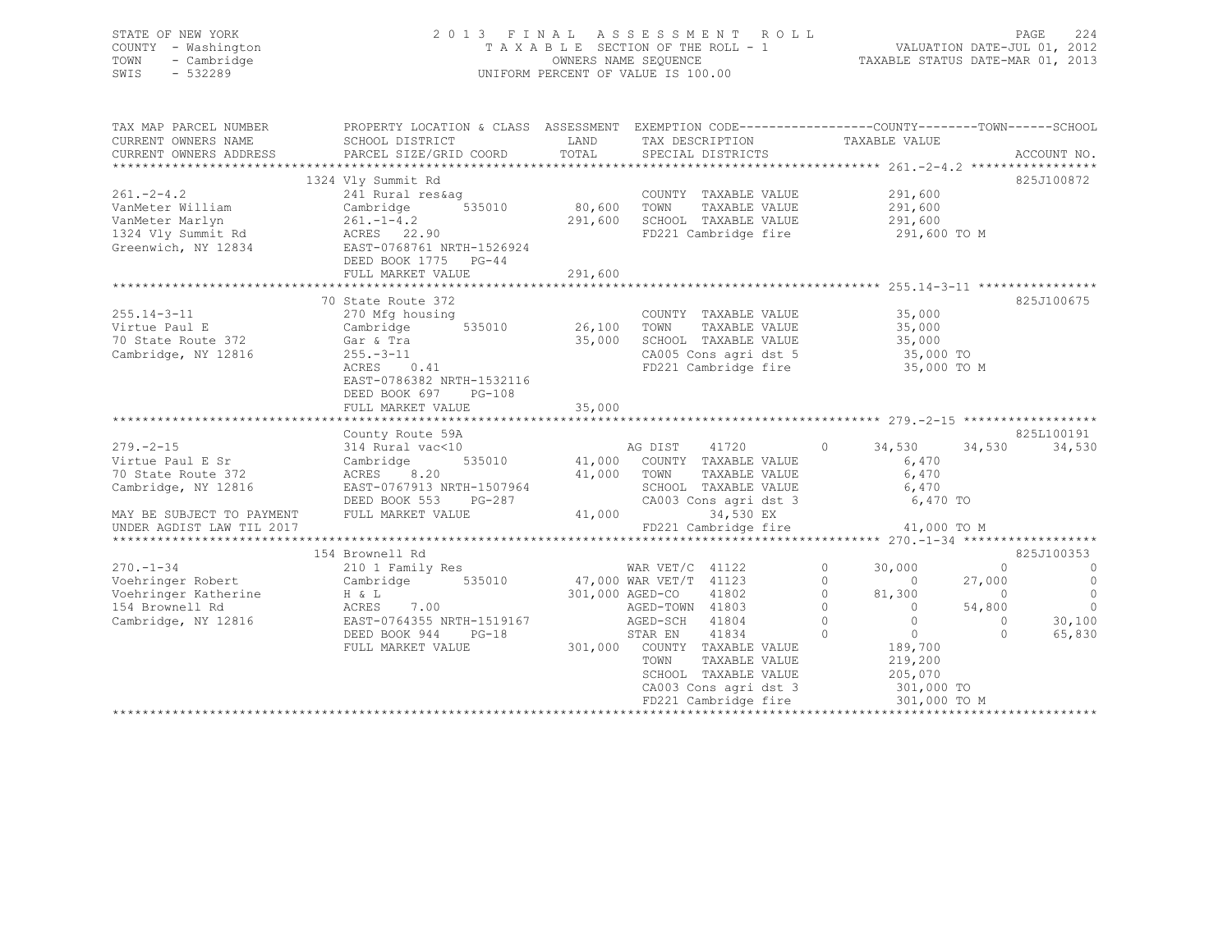## STATE OF NEW YORK 2 0 1 3 F I N A L A S S E S S M E N T R O L L PAGE 224 COUNTY - Washington T A X A B L E SECTION OF THE ROLL - 1<br>
TOWN - Cambridge T A VALUATION DATE-SEQUENCE TOWN - Cambridge OWNERS NAME SEQUENCE TAXABLE STATUS DATE-MAR 01, 2013 UNIFORM PERCENT OF VALUE IS 100.00

| TAX MAP PARCEL NUMBER        | PROPERTY LOCATION & CLASS ASSESSMENT EXEMPTION CODE---------------COUNTY-------TOWN------SCHOOL |                      |                                                              |                   |                                  |                |                                      |
|------------------------------|-------------------------------------------------------------------------------------------------|----------------------|--------------------------------------------------------------|-------------------|----------------------------------|----------------|--------------------------------------|
| CURRENT OWNERS NAME          | SCHOOL DISTRICT                                                                                 | LAND                 | TAX DESCRIPTION TAXABLE VALUE                                |                   |                                  |                |                                      |
| CURRENT OWNERS ADDRESS       | PARCEL SIZE/GRID COORD                                                                          | TOTAL                | SPECIAL DISTRICTS                                            |                   |                                  |                | ACCOUNT NO.                          |
|                              |                                                                                                 |                      |                                                              |                   |                                  |                |                                      |
|                              | 1324 Vly Summit Rd                                                                              |                      |                                                              |                   |                                  |                | 825J100872                           |
| $261 - 2 - 4.2$              | 241 Rural res&ag                                                                                | COUNT<br>80,600 TOWN | COUNTY TAXABLE VALUE 291,600<br>TOWN TAXARLE VALUE 291,600   |                   |                                  |                |                                      |
| VanMeter William             | $241$ Kurai Isosis<br>Cambridge 535010                                                          |                      |                                                              |                   |                                  |                |                                      |
| VanMeter Marlyn              |                                                                                                 |                      | 291,600 SCHOOL TAXABLE VALUE 291,600                         |                   |                                  |                |                                      |
| 1324 Vly Summit Rd           | $261. -1 - 4.2$<br>ACRES 22.90                                                                  |                      | FD221 Cambridge fire 291,600 TO M                            |                   |                                  |                |                                      |
| Greenwich, NY 12834          | ACRES 22.50<br>EAST-0768761 NRTH-1526924<br>CHILITIC PG-44                                      |                      |                                                              |                   |                                  |                |                                      |
|                              | DEED BOOK 1775 PG-44                                                                            |                      |                                                              |                   |                                  |                |                                      |
|                              |                                                                                                 |                      |                                                              |                   |                                  |                |                                      |
|                              |                                                                                                 |                      |                                                              |                   |                                  |                |                                      |
|                              | 70 State Route 372                                                                              |                      |                                                              |                   |                                  |                | 825J100675                           |
| $255.14 - 3 - 11$            | 270 Mfg housing                                                                                 |                      | COUNTY TAXABLE VALUE                                         |                   |                                  |                |                                      |
| Virtue Paul E                |                                                                                                 |                      | TAXABLE VALUE<br>TAXABLE VALUE                               |                   | 35,000<br>35,000                 |                |                                      |
| 70 State Route 372 Gar & Tra |                                                                                                 |                      | 35,000 SCHOOL TAXABLE VALUE 35,000                           |                   |                                  |                |                                      |
| Cambridge, NY 12816          |                                                                                                 |                      |                                                              |                   |                                  |                |                                      |
|                              | 255.-3-11<br>ACRES 0.41                                                                         |                      | CA005 Cons agri dst 5 35,000 TO<br>FD221 Cambridge fire      |                   | 35,000 TO M                      |                |                                      |
|                              | EAST-0786382 NRTH-1532116                                                                       |                      |                                                              |                   |                                  |                |                                      |
|                              | DEED BOOK 697                                                                                   |                      |                                                              |                   |                                  |                |                                      |
|                              | PG-108                                                                                          | 35,000               |                                                              |                   |                                  |                |                                      |
|                              | FULL MARKET VALUE                                                                               |                      |                                                              |                   |                                  |                |                                      |
|                              | County Route 59A                                                                                |                      |                                                              |                   |                                  |                | 825L100191                           |
| $279. - 2 - 15$              | 314 Rural vac<10                                                                                |                      | AG DIST 41720 0 34,530 34,530                                |                   |                                  |                | 34,530                               |
|                              | Cambridge 535010 41,000 COUNTY TAXABLE VALUE                                                    |                      |                                                              |                   | 6,470                            |                |                                      |
| Virtue Paul E Sr             |                                                                                                 |                      |                                                              |                   |                                  |                |                                      |
| 70 State Route 372           |                                                                                                 |                      |                                                              |                   | TAXABLE VALUE 6,470              |                |                                      |
| Cambridge, NY 12816          | ACRES 8.20 41,000 TOWN<br>EAST-0767913 NRTH-1507964 5CHOO<br>DEED BOOK 553 PG-287 CA003         |                      | SCHOOL TAXABLE VALUE 6,470<br>CA003 Cons agri dst 3 6,470 TO |                   |                                  |                |                                      |
|                              |                                                                                                 |                      |                                                              |                   |                                  |                |                                      |
| MAY BE SUBJECT TO PAYMENT    | FULL MARKET VALUE                                                                               | 41,000               | 34,530 EX                                                    |                   |                                  |                |                                      |
| UNDER AGDIST LAW TIL 2017    |                                                                                                 |                      | FD221 Cambridge fire                                         |                   | 41,000 TO M                      |                |                                      |
|                              |                                                                                                 |                      |                                                              |                   |                                  |                |                                      |
|                              | 154 Brownell Rd                                                                                 |                      |                                                              |                   |                                  |                | 825J100353                           |
|                              | 270.-1-34 WAR VET/C 41122<br>Voehringer Robert Cambridge 535010 47,000 WAR VET/T 41123          |                      |                                                              | $\circ$           | 30,000                           | $\bigcirc$     | $\overline{0}$                       |
|                              |                                                                                                 |                      |                                                              | $0 \qquad \qquad$ | $\begin{array}{c} 0 \end{array}$ | 27,000         | $\overline{0}$                       |
| Voehringer Katherine H & L   |                                                                                                 | 301,000 AGED-CO      | 41802                                                        | $\overline{0}$    | 81,300                           | $\overline{0}$ | $\begin{matrix} 0 \\ 0 \end{matrix}$ |
| 154 Brownell Rd              | ACRES 7.00<br>EAST-0764355 NRTH-1519167                                                         |                      | AGED-TOWN 41803                                              | $\overline{0}$    | $\overline{0}$                   | 54,800         |                                      |
| Cambridge, NY 12816          |                                                                                                 |                      | AGED-SCH 41804                                               | $\overline{0}$    | $\overline{0}$                   | $\bigcirc$     | 30,100                               |
|                              | DEED BOOK 944<br>$PG-18$                                                                        |                      | STAR EN<br>41834                                             | $\Omega$          | $\overline{0}$                   | $\Omega$       | 65,830                               |
|                              | FULL MARKET VALUE                                                                               |                      | 301,000 COUNTY TAXABLE VALUE                                 |                   | 189,700<br>219,200               |                |                                      |
|                              |                                                                                                 |                      | TOWN<br>TAXABLE VALUE                                        |                   |                                  |                |                                      |
|                              |                                                                                                 |                      | SCHOOL TAXABLE VALUE                                         |                   | 205,070                          |                |                                      |
|                              |                                                                                                 |                      | CA003 Cons agri dst 3                                        |                   | 301,000 TO                       |                |                                      |
|                              |                                                                                                 |                      | FD221 Cambridge fire                                         |                   | 301,000 TO M                     |                |                                      |
|                              |                                                                                                 |                      |                                                              |                   |                                  |                |                                      |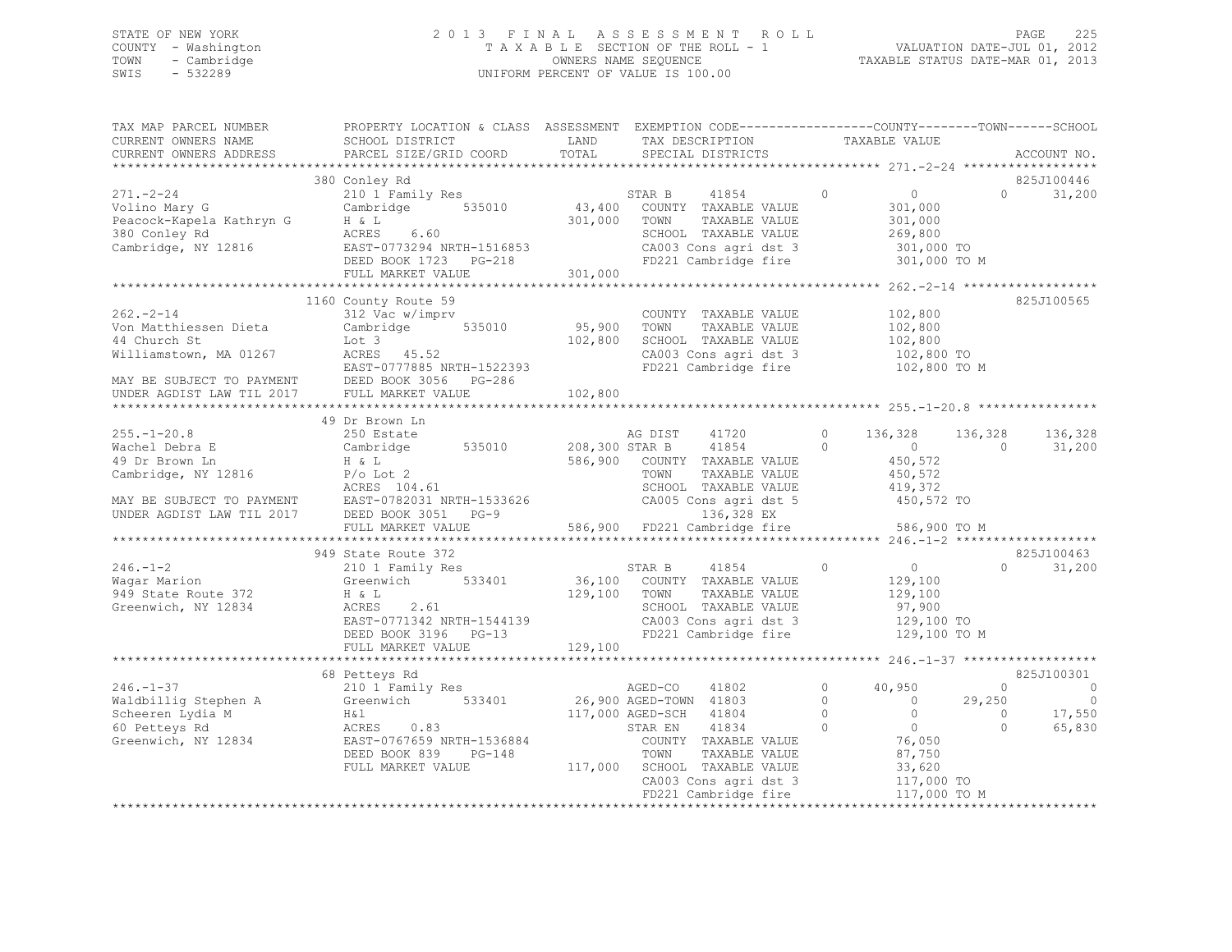## STATE OF NEW YORK 2 0 1 3 F I N A L A S S E S S M E N T R O L L PAGE 225 COUNTY - Washington T A X A B L E SECTION OF THE ROLL - 1 VALUATION DATE-JUL 01, 2012 TOWN - Cambridge OWNERS NAME SEQUENCE TAXABLE STATUS DATE-MAR 01, 2013 SWIS - 532289 UNIFORM PERCENT OF VALUE IS 100.00

| TAX MAP PARCEL NUMBER<br>CURRENT OWNERS NAME<br>CURRENT OWNERS ADDRESS                                                                                                                    | PROPERTY LOCATION & CLASS ASSESSMENT EXEMPTION CODE---------------COUNTY-------TOWN------SCHOOL<br>SCHOOL DISTRICT<br>PARCEL SIZE/GRID COORD                                                                                                                                                                                                                                                                                                                          | LAND<br>TOTAL                                                  | TAX DESCRIPTION<br>SPECIAL DISTRICTS                                                                                                                                                                      | TAXABLE VALUE                                                                                                                                                                                                                                         |                                                 | ACCOUNT NO.                                                     |
|-------------------------------------------------------------------------------------------------------------------------------------------------------------------------------------------|-----------------------------------------------------------------------------------------------------------------------------------------------------------------------------------------------------------------------------------------------------------------------------------------------------------------------------------------------------------------------------------------------------------------------------------------------------------------------|----------------------------------------------------------------|-----------------------------------------------------------------------------------------------------------------------------------------------------------------------------------------------------------|-------------------------------------------------------------------------------------------------------------------------------------------------------------------------------------------------------------------------------------------------------|-------------------------------------------------|-----------------------------------------------------------------|
|                                                                                                                                                                                           |                                                                                                                                                                                                                                                                                                                                                                                                                                                                       |                                                                |                                                                                                                                                                                                           |                                                                                                                                                                                                                                                       |                                                 |                                                                 |
| $271 - 2 - 24$<br>Volino Mary G<br>Peacock-Kapela Kathryn G<br>380 Conley Rd<br>Cambridge, NY 12816                                                                                       | 380 Conley Rd<br>210 1 Family Res<br>Cambridge 535010<br>H & L<br>ACRES<br>$ACRES$ 6.60<br>AURES 6.60<br>EAST-0773294 NRTH-1516853<br>DEED BOOK 1723 PG-218<br>FULL MARKET VALUE 301,000                                                                                                                                                                                                                                                                              | 301,000 TOWN                                                   | STAR B 41854<br>43,400 COUNTY TAXABLE VALUE<br>TAXABLE VALUE<br>SCHOOL TAXABLE VALUE<br>CA003 Cons agri dst 3<br>FD221 Cambridge fire                                                                     | $\circ$<br>$\overline{0}$<br>301,000<br>301,000<br>269,800<br>$301,000$ TO<br>301,000 TO M                                                                                                                                                            | $\Omega$                                        | 825J100446<br>31,200                                            |
|                                                                                                                                                                                           |                                                                                                                                                                                                                                                                                                                                                                                                                                                                       |                                                                |                                                                                                                                                                                                           |                                                                                                                                                                                                                                                       |                                                 |                                                                 |
| $262 - 2 - 14$<br>Von Matthiessen Dieta<br>44 Church St<br>Williamstown, MA 01267                                                                                                         | 1160 County Route 59<br>312 Vac w/imprv<br>Cambridge 535010<br>Lot 3<br>ACRES 45.52<br>EAST-0777885 NRTH-1522393<br>MAY BE SUBJECT TO PAYMENT DEED BOOK 3056 PG-286                                                                                                                                                                                                                                                                                                   | 95,900 TOWN                                                    | COUNTY TAXABLE VALUE<br>TAXABLE VALUE<br>102,800 SCHOOL TAXABLE VALUE                                                                                                                                     | 102,800<br>102,800<br>102,800<br>CA003 Cons agri dst 3 102,800 TO<br>FD221 Cambridge fire 102,800 TO M                                                                                                                                                |                                                 | 825J100565                                                      |
| UNDER AGDIST LAW TIL 2017                                                                                                                                                                 | FULL MARKET VALUE                                                                                                                                                                                                                                                                                                                                                                                                                                                     | 102,800                                                        |                                                                                                                                                                                                           |                                                                                                                                                                                                                                                       |                                                 |                                                                 |
| $255. - 1 - 20.8$<br>Wachel Debra E<br>49 Dr Brown Ln<br>Cambridge, NY 12816<br>UNDER AGDIST LAW TIL 2017<br>$246. - 1 - 2$<br>Wagar Marion<br>949 State Route 372<br>Greenwich, NY 12834 | 49 Dr Brown Ln<br>250 Estate<br>250 Estate<br>Cambridge 535010<br>H & L<br>$P/O$ Lot $2$<br>ACRES 104.61<br>AURES 104.61<br>MAY BE SUBJECT TO PAYMENT EAST-0782031 NRTH-1533626 (CA005 Cons agri dst 5<br>INDER AGDIST LAW THE 2017<br>DEED BOOK 3051 PG-9<br>FULL MARKET VALUE<br>949 State Route 372<br>state koute 372<br>210 1 Family Res<br>Greenwich 533401<br>H & L<br>2.61<br>ACRES<br>EAST-0771342 NRTH-1544139<br>DEED BOOK 3196 PG-13<br>FULL MARKET VALUE | AG DIST<br>208,300 STAR B<br>STAR B<br>129,100 TOWN<br>129,100 | 41720<br>41854<br>586,900 COUNTY TAXABLE VALUE<br>TOWN<br>TAXABLE VALUE<br>41854<br>36,100 COUNTY TAXABLE VALUE<br>TAXABLE VALUE<br>SCHOOL TAXABLE VALUE<br>CA003 Cons agri dst 3<br>FD221 Cambridge fire | $\circ$<br>136,328<br>$\circ$<br>$\overline{0}$<br>450,572<br>450,572<br>419,372<br>450,572 TO<br>$3-9$<br>586,900 FD221 Cambridge fire 586,900 TO M<br>$\begin{matrix}0&0\end{matrix}$<br>129,100<br>129,100<br>97,900<br>129,100 TO<br>129,100 TO M | $\sim$ 0                                        | 136, 328 136, 328<br>31,200<br>825J100463<br>$\Omega$<br>31,200 |
|                                                                                                                                                                                           | 68 Petteys Rd                                                                                                                                                                                                                                                                                                                                                                                                                                                         |                                                                |                                                                                                                                                                                                           |                                                                                                                                                                                                                                                       |                                                 | 825J100301                                                      |
| $246. - 1 - 37$<br>Waldbillig Stephen A<br>Scheeren Lydia M<br>60 Petteys Rd<br>Greenwich, NY 12834                                                                                       | 210 1 Family Res<br>Greenwich 533401<br>H&l<br>ACRES 0.83<br>EAST-0767659 NRTH-1536884<br>DEED BOOK 839<br>$PG-148$<br>FULL MARKET VALUE                                                                                                                                                                                                                                                                                                                              | 26,900 AGED-TOWN 41803<br>117,000 AGED-SCH 41804               | 41802<br>AGED-CO<br>41834<br>STAR EN<br>COUNTY TAXABLE VALUE<br>TOWN<br>TAXABLE VALUE<br>117,000 SCHOOL TAXABLE VALUE<br>CA003 Cons agri dst 3<br>FD221 Cambridge fire                                    | $\circ$<br>40,950<br>$\overline{0}$<br>$\overline{0}$<br>$\overline{0}$<br>$\overline{0}$<br>$\Omega$<br>$\overline{0}$<br>76,050<br>87,750<br>33,620<br>117,000 TO<br>117,000 TO M                                                                   | $\circ$<br>29,250<br>$\overline{0}$<br>$\Omega$ | 0<br>$\circ$<br>17,550<br>65,830                                |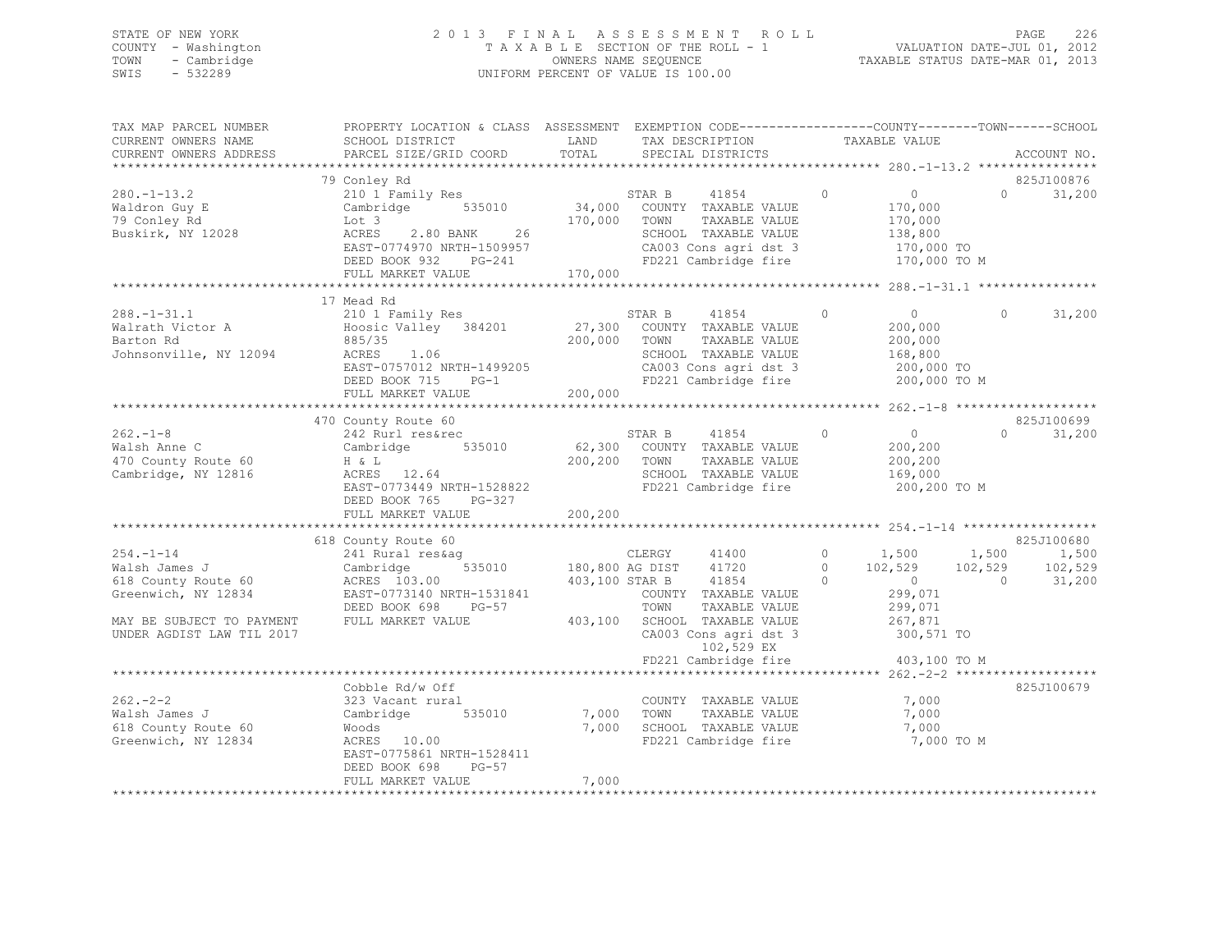## STATE OF NEW YORK 2 0 1 3 F I N A L A S S E S S M E N T R O L L PAGE 226 COUNTY - Washington T A X A B L E SECTION OF THE ROLL - 1 VALUATION DATE-JUL 01, 2012 TOWN - Cambridge OWNERS NAME SEQUENCE TAXABLE STATUS DATE-MAR 01, 2013 SWIS - 532289 UNIFORM PERCENT OF VALUE IS 100.00

| TAX MAP PARCEL NUMBER<br>CURRENT OWNERS NAME<br>CURRENT OWNERS ADDRESS                                                                   | PROPERTY LOCATION & CLASS ASSESSMENT EXEMPTION CODE-----------------COUNTY-------TOWN-----SCHOOL<br>SCHOOL DISTRICT<br>PARCEL SIZE/GRID COORD                              | LAND<br>TOTAL           | TAX DESCRIPTION<br>SPECIAL DISTRICTS                                                                                                                                              |                                 | TAXABLE VALUE                                                                    | ACCOUNT NO.                                                                  |
|------------------------------------------------------------------------------------------------------------------------------------------|----------------------------------------------------------------------------------------------------------------------------------------------------------------------------|-------------------------|-----------------------------------------------------------------------------------------------------------------------------------------------------------------------------------|---------------------------------|----------------------------------------------------------------------------------|------------------------------------------------------------------------------|
|                                                                                                                                          |                                                                                                                                                                            |                         |                                                                                                                                                                                   |                                 |                                                                                  |                                                                              |
|                                                                                                                                          | 79 Conley Rd                                                                                                                                                               |                         |                                                                                                                                                                                   |                                 |                                                                                  | 825J100876                                                                   |
| $280. - 1 - 13.2$<br>Waldron Guy E<br>79 Conley Rd<br>Buskirk, NY 12028                                                                  | 210 1 Family Res<br>Cambridge 535010<br>Lot 3<br>2.80 BANK 26<br>ACRES<br>EAST-0774970 NRTH-1509957                                                                        | 170,000 TOWN            | 41854<br>STAR B<br>34,000 COUNTY TAXABLE VALUE<br>TAXABLE VALUE<br>SCHOOL TAXABLE VALUE<br>CA003 Cons agri dst 3                                                                  | $\circ$                         | $\overline{0}$<br>170,000<br>170,000<br>138,800<br>170,000 TO                    | $0 \qquad \qquad$<br>31,200                                                  |
|                                                                                                                                          | DEED BOOK 932 PG-241                                                                                                                                                       |                         | FD221 Cambridge fire                                                                                                                                                              |                                 | 170,000 TO M                                                                     |                                                                              |
|                                                                                                                                          | FULL MARKET VALUE                                                                                                                                                          | 170,000                 |                                                                                                                                                                                   |                                 |                                                                                  |                                                                              |
|                                                                                                                                          |                                                                                                                                                                            |                         |                                                                                                                                                                                   |                                 |                                                                                  |                                                                              |
| $288. - 1 - 31.1$<br>Walrath Victor A<br>Barton Rd<br>Johnsonville, NY 12094                                                             | 17 Mead Rd<br>210 1 Family Res<br>Hoosic Valley 384201<br>885/35<br>1.06<br>ACRES<br>EAST-0757012 NRTH-1499205<br>DEED BOOK 715<br>$PG-1$<br>FULL MARKET VALUE             | 200,000<br>200,000      | 41854<br>STAR B<br>27,300 COUNTY TAXABLE VALUE<br>TOWN<br>TAXABLE VALUE<br>SCHOOL TAXABLE VALUE<br>CA003 Cons agri dst 3<br>FD221 Cambridge fire                                  | $\Omega$                        | $\overline{0}$<br>200,000<br>200,000<br>168,800<br>200,000 TO<br>200,000 TO M    | $\Omega$<br>31,200                                                           |
|                                                                                                                                          |                                                                                                                                                                            |                         |                                                                                                                                                                                   |                                 |                                                                                  |                                                                              |
| $262 - 1 - 8$<br>Walsh Anne C<br>470 County Route 60<br>Cambridge, NY 12816                                                              | 470 County Route 60<br>242 Rurl res&rec<br>Cambridge 535010 62,300 COUNTY TAXABLE VALUE<br>$H \& L$<br>ACRES 12.64<br>EAST-0773449 NRTH-1528822<br>DEED BOOK 765<br>PG-327 | 200,200 TOWN            | 41854 0<br>STAR B<br>TAXABLE VALUE<br>SCHOOL TAXABLE VALUE<br>FD221 Cambridge fire                                                                                                |                                 | $\bigcirc$<br>200,200<br>200,200<br>169,000<br>200,200 TO M                      | 825J100699<br>$\Omega$<br>31,200                                             |
|                                                                                                                                          | FULL MARKET VALUE                                                                                                                                                          | 200,200                 |                                                                                                                                                                                   |                                 |                                                                                  |                                                                              |
|                                                                                                                                          | *************************                                                                                                                                                  |                         |                                                                                                                                                                                   |                                 |                                                                                  |                                                                              |
|                                                                                                                                          | 618 County Route 60                                                                                                                                                        |                         |                                                                                                                                                                                   |                                 |                                                                                  | 825J100680                                                                   |
| $254. - 1 - 14$<br>Walsh James J<br>618 County Route 60<br>Greenwich, NY 12834<br>MAY BE SUBJECT TO PAYMENT<br>UNDER AGDIST LAW TIL 2017 | 241 Rural res&aq<br>Cambridge<br>ACRES 103.00<br>EAST-0773140 NRTH-1531841<br>DEED BOOK 698<br>PG-57<br>FULL MARKET VALUE                                                  | 403,100 STAR B          | CLERGY 41400<br>y CLERGY 41400<br>535010 180,800 AG DIST 41720<br>41854<br>COUNTY TAXABLE VALUE<br>TOWN<br>TAXABLE VALUE<br>403,100 SCHOOL TAXABLE VALUE<br>CA003 Cons agri dst 3 | $\circ$<br>$\Omega$<br>$\Omega$ | $\sim$ 0 $\sim$<br>$\overline{0}$<br>299,071<br>299,071<br>267,871<br>300,571 TO | $1,500$ $1,500$ $1,500$ $1,500$<br>$102,529$ $102,529$ $102$ $529$<br>31,200 |
|                                                                                                                                          |                                                                                                                                                                            |                         | 102,529 EX                                                                                                                                                                        |                                 |                                                                                  |                                                                              |
|                                                                                                                                          |                                                                                                                                                                            |                         | FD221 Cambridge fire                                                                                                                                                              |                                 | 403,100 TO M                                                                     |                                                                              |
|                                                                                                                                          |                                                                                                                                                                            |                         |                                                                                                                                                                                   |                                 |                                                                                  |                                                                              |
| $262 - 2 - 2$<br>Walsh James J<br>618 County Route 60<br>Greenwich, NY 12834                                                             | Cobble Rd/w Off<br>323 Vacant rural<br>Cambridge 535010<br>Woods<br>ACRES 10.00<br>EAST-0775861 NRTH-1528411<br>DEED BOOK 698<br>$PG-57$<br>FULL MARKET VALUE              | 7,000<br>7,000<br>7,000 | COUNTY TAXABLE VALUE<br>TOWN<br>TAXABLE VALUE<br>SCHOOL TAXABLE VALUE<br>FD221 Cambridge fire                                                                                     |                                 | 7,000<br>7,000<br>7,000<br>7,000 TO M                                            | 825J100679                                                                   |
|                                                                                                                                          |                                                                                                                                                                            |                         |                                                                                                                                                                                   |                                 |                                                                                  |                                                                              |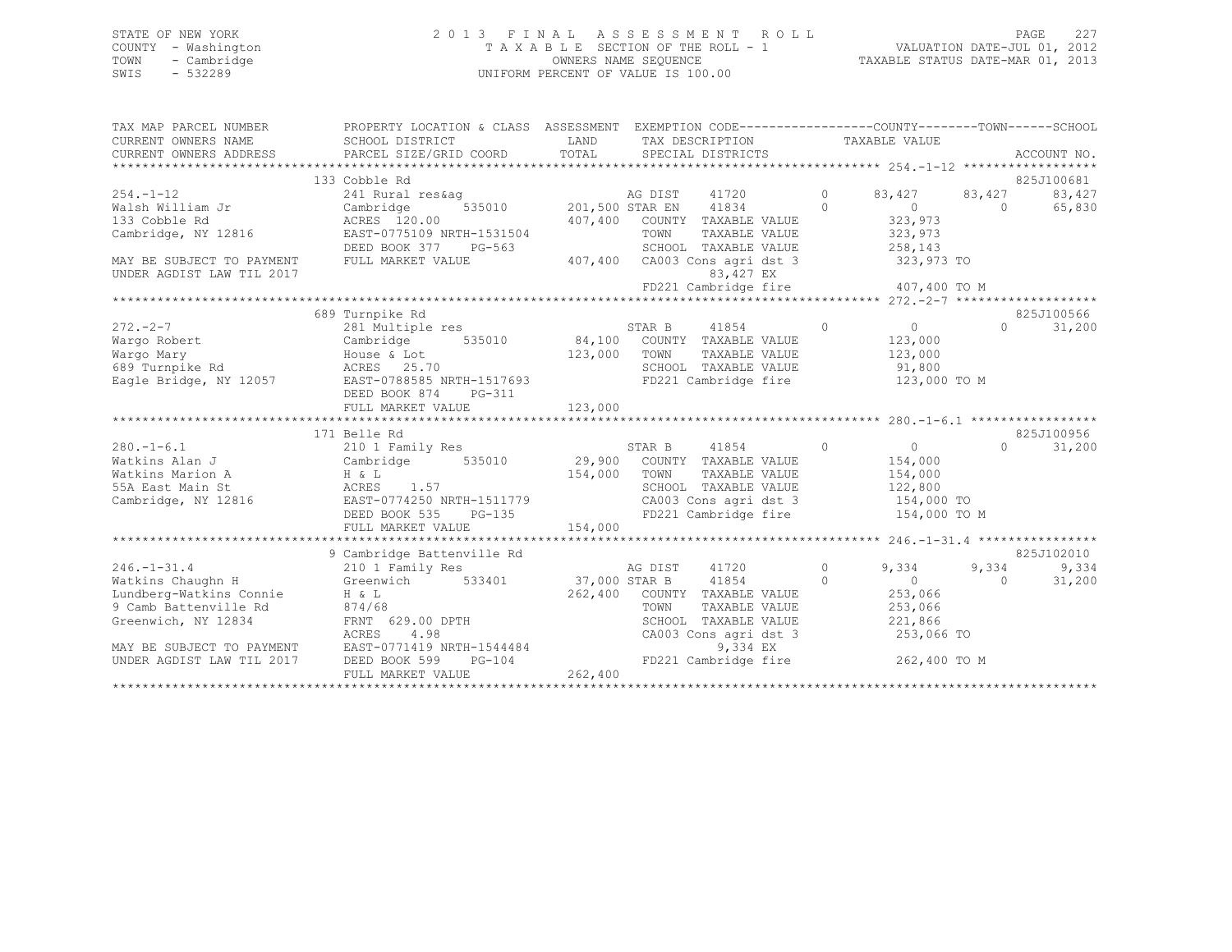### STATE OF NEW YORK 2 0 1 3 F I N A L A S S E S S M E N T R O L L PAGE 227 COUNTY - Washington T A X A B L E SECTION OF THE ROLL - 1 VALUATION DATE-JUL 01, 2012 TOWN - Cambridge OWNERS NAME SEQUENCE TAXABLE STATUS DATE-MAR 01, 2013 UNIFORM PERCENT OF VALUE IS 100.00

| TAX MAP PARCEL NUMBER<br>CURRENT OWNERS NAME<br>CURRENT OWNERS ADDRESS | PROPERTY LOCATION & CLASS ASSESSMENT<br>SCHOOL DISTRICT<br>PARCEL SIZE/GRID COORD | LAND<br>TOTAL            | EXEMPTION CODE-----------------COUNTY-------TOWN------SCHOOL<br>TAX DESCRIPTION<br>SPECIAL DISTRICTS |          | TAXABLE VALUE  |          | ACCOUNT NO.         |
|------------------------------------------------------------------------|-----------------------------------------------------------------------------------|--------------------------|------------------------------------------------------------------------------------------------------|----------|----------------|----------|---------------------|
|                                                                        |                                                                                   |                          |                                                                                                      |          |                |          |                     |
|                                                                        | 133 Cobble Rd                                                                     |                          |                                                                                                      |          |                |          | 825J100681          |
| $254. -1 - 12$                                                         | 241 Rural res&ag                                                                  |                          | AG DIST<br>41720                                                                                     | $\circ$  | 83,427         | 83,427   | 83,427              |
| Walsh William Jr                                                       | Cambridge<br>535010                                                               |                          | 201,500 STAR EN<br>41834                                                                             | $\Omega$ | $\bigcirc$     | $\Omega$ | 65,830              |
| 133 Cobble Rd                                                          | ACRES 120.00                                                                      | 407,400                  | COUNTY TAXABLE VALUE                                                                                 |          | 323,973        |          |                     |
| Cambridge, NY 12816                                                    | EAST-0775109 NRTH-1531504                                                         |                          | TOWN<br>TAXABLE VALUE                                                                                |          | 323,973        |          |                     |
|                                                                        | DEED BOOK 377<br>PG-563                                                           |                          | SCHOOL TAXABLE VALUE                                                                                 |          | 258,143        |          |                     |
| MAY BE SUBJECT TO PAYMENT                                              | FULL MARKET VALUE                                                                 | 407,400                  | CA003 Cons agri dst 3                                                                                |          | 323,973 TO     |          |                     |
| UNDER AGDIST LAW TIL 2017                                              |                                                                                   |                          | 83,427 EX                                                                                            |          |                |          |                     |
|                                                                        |                                                                                   |                          | FD221 Cambridge fire                                                                                 |          | 407,400 TO M   |          |                     |
|                                                                        |                                                                                   |                          |                                                                                                      |          |                |          |                     |
|                                                                        | 689 Turnpike Rd                                                                   |                          |                                                                                                      |          |                |          | 825J100566          |
| $272 - 2 - 7$                                                          | 281 Multiple res                                                                  |                          | STAR B<br>41854                                                                                      | $\Omega$ | $\overline{0}$ | $\Omega$ | 31,200              |
| Wargo Robert                                                           | 535010 84,100<br>Cambridge                                                        |                          | COUNTY TAXABLE VALUE                                                                                 |          | 123,000        |          |                     |
| Wargo Mary                                                             | House & Lot                                                                       | 123,000                  | TOWN<br>TAXABLE VALUE                                                                                |          | 123,000        |          |                     |
| 689 Turnpike Rd                                                        | ACRES 25.70                                                                       |                          | SCHOOL TAXABLE VALUE                                                                                 |          | 91,800         |          |                     |
| Eagle Bridge, NY 12057                                                 | EAST-0788585 NRTH-1517693                                                         |                          | FD221 Cambridge fire                                                                                 |          | 123,000 TO M   |          |                     |
|                                                                        | DEED BOOK 874<br>PG-311                                                           |                          |                                                                                                      |          |                |          |                     |
|                                                                        | FULL MARKET VALUE                                                                 | 123,000                  |                                                                                                      |          |                |          |                     |
|                                                                        |                                                                                   |                          |                                                                                                      |          |                |          |                     |
|                                                                        | 171 Belle Rd                                                                      |                          |                                                                                                      |          |                |          | 825J100956          |
| $280. -1 - 6.1$                                                        | 210 1 Family Res                                                                  |                          | $\sim$ 0<br>STAR B<br>41854                                                                          |          | $\overline{0}$ | $\Omega$ | 31,200              |
| Watkins Alan J                                                         | Cambridge<br>535010                                                               | 29,900                   | COUNTY TAXABLE VALUE                                                                                 |          | 154,000        |          |                     |
| Watkins Marion A                                                       | H & L                                                                             | 154,000                  | TOWN<br>TAXABLE VALUE                                                                                |          | 154,000        |          |                     |
| 55A East Main St                                                       | ACRES<br>1.57                                                                     |                          | SCHOOL TAXABLE VALUE                                                                                 |          | 122,800        |          |                     |
| Cambridge, NY 12816                                                    |                                                                                   |                          | CA003 Cons agri dst 3                                                                                |          | 154,000 TO     |          |                     |
|                                                                        | DEED BOOK 535<br>$PG-135$                                                         |                          |                                                                                                      |          | 154,000 TO M   |          |                     |
|                                                                        | FULL MARKET VALUE                                                                 | 154,000                  |                                                                                                      |          |                |          |                     |
|                                                                        |                                                                                   |                          |                                                                                                      |          |                |          |                     |
|                                                                        |                                                                                   |                          |                                                                                                      |          |                |          |                     |
|                                                                        | 210 1 Family Res                                                                  |                          | AG DIST                                                                                              | $\circ$  | 9,334          |          |                     |
|                                                                        |                                                                                   |                          |                                                                                                      | $\Omega$ |                | $\Omega$ | 31,200              |
| Lundberg-Watkins Connie                                                | $H & \& L$                                                                        | 262,400                  |                                                                                                      |          | 253,066        |          |                     |
| 9 Camb Battenville Rd                                                  | 874/68                                                                            |                          | TOWN<br>TAXABLE VALUE                                                                                |          | 253,066        |          |                     |
| Greenwich, NY 12834                                                    | FRNT 629.00 DPTH                                                                  |                          | SCHOOL TAXABLE VALUE                                                                                 |          | 221,866        |          |                     |
|                                                                        | 4.98<br>ACRES                                                                     |                          | CA003 Cons agri dst 3                                                                                |          | 253,066 TO     |          |                     |
| MAY BE SUBJECT TO PAYMENT                                              | EAST-0771419 NRTH-1544484                                                         |                          | 9,334 EX                                                                                             |          |                |          |                     |
| UNDER AGDIST LAW TIL 2017                                              | DEED BOOK 599<br>$PG-104$                                                         |                          |                                                                                                      |          | 262,400 TO M   |          |                     |
|                                                                        | FULL MARKET VALUE                                                                 |                          |                                                                                                      |          |                |          |                     |
| $246. - 1 - 31.4$<br>Watkins Chaughn H                                 | EAST-0774250 NRTH-1511779<br>9 Cambridge Battenville Rd<br>Greenwich 533401       | 37,000 STAR B<br>262,400 | FD221 Cambridge fire<br>41720<br>41854<br>COUNTY TAXABLE VALUE<br>FD221 Cambridge fire               |          | $\overline{0}$ | 9,334    | 825J102010<br>9,334 |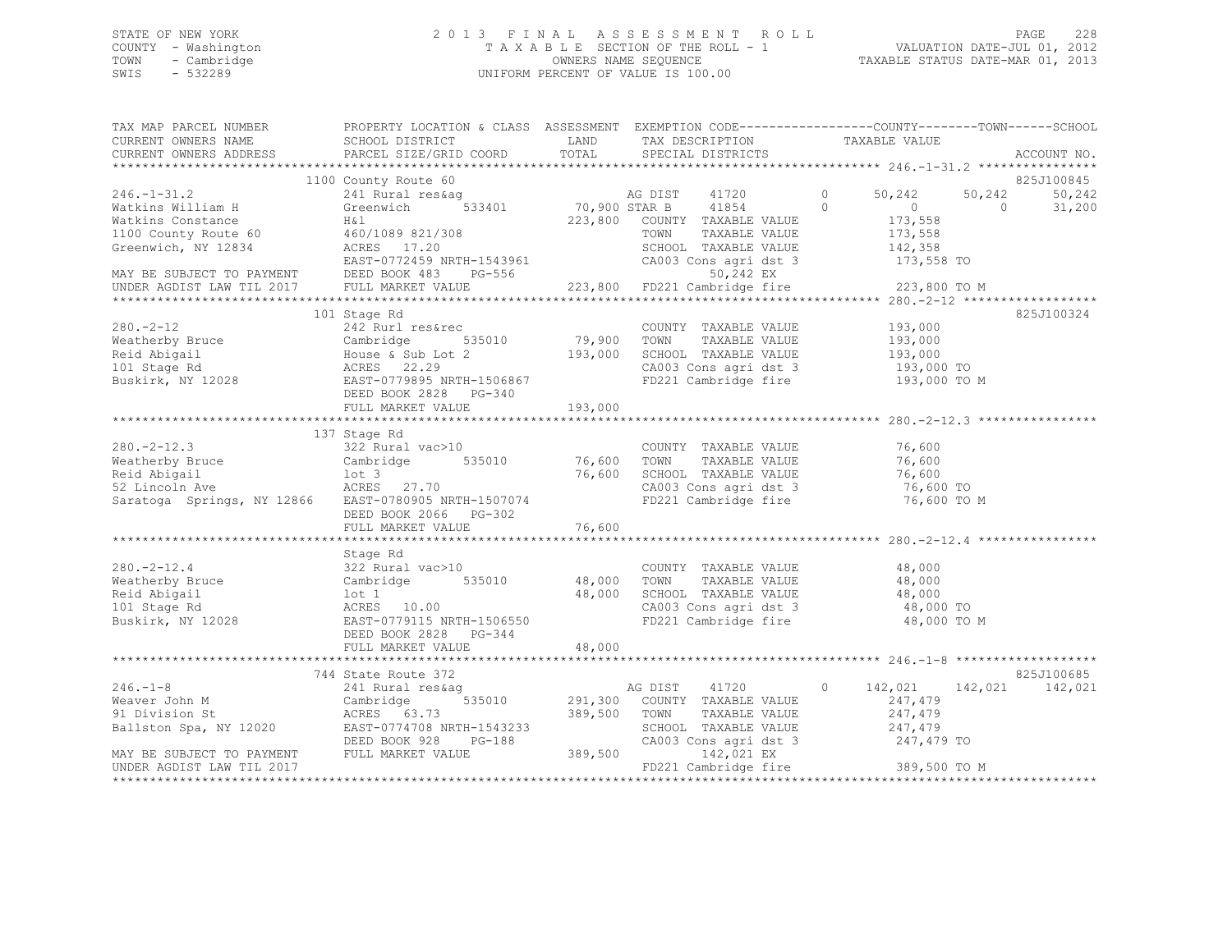## STATE OF NEW YORK 2 0 1 3 F I N A L A S S E S S M E N T R O L L PAGE 228 COUNTY - Washington T A X A B L E SECTION OF THE ROLL - 1 VALUATION DATE-JUL 01, 2012 TOWN - Cambridge OWNERS NAME SEQUENCE TAXABLE STATUS DATE-MAR 01, 2013 SWIS - 532289 UNIFORM PERCENT OF VALUE IS 100.00

| TAX MAP PARCEL NUMBER<br>CURRENT OWNERS NAME<br>CURRENT OWNERS ADDRESS                                                                                                                                                                                                                                                                                                                                                              | PROPERTY LOCATION & CLASS ASSESSMENT EXEMPTION CODE----------------COUNTY-------TOWN------SCHOOL<br>SCHOOL DISTRICT |              |                                                                                                            |                                                    | ACCOUNT NO.      |
|-------------------------------------------------------------------------------------------------------------------------------------------------------------------------------------------------------------------------------------------------------------------------------------------------------------------------------------------------------------------------------------------------------------------------------------|---------------------------------------------------------------------------------------------------------------------|--------------|------------------------------------------------------------------------------------------------------------|----------------------------------------------------|------------------|
|                                                                                                                                                                                                                                                                                                                                                                                                                                     | 1100 County Route 60                                                                                                |              |                                                                                                            |                                                    | 825J100845       |
| $246. - 1 - 31.2$                                                                                                                                                                                                                                                                                                                                                                                                                   |                                                                                                                     |              |                                                                                                            | 0 $50,242$                                         | 50,242<br>50,242 |
|                                                                                                                                                                                                                                                                                                                                                                                                                                     |                                                                                                                     |              |                                                                                                            | $\begin{array}{ccc} & & 0 & \quad & 0 \end{array}$ | 31,200           |
|                                                                                                                                                                                                                                                                                                                                                                                                                                     |                                                                                                                     |              |                                                                                                            |                                                    |                  |
|                                                                                                                                                                                                                                                                                                                                                                                                                                     |                                                                                                                     |              |                                                                                                            |                                                    |                  |
|                                                                                                                                                                                                                                                                                                                                                                                                                                     |                                                                                                                     |              |                                                                                                            |                                                    |                  |
|                                                                                                                                                                                                                                                                                                                                                                                                                                     |                                                                                                                     |              |                                                                                                            |                                                    |                  |
|                                                                                                                                                                                                                                                                                                                                                                                                                                     |                                                                                                                     |              |                                                                                                            |                                                    |                  |
|                                                                                                                                                                                                                                                                                                                                                                                                                                     |                                                                                                                     |              |                                                                                                            |                                                    |                  |
|                                                                                                                                                                                                                                                                                                                                                                                                                                     |                                                                                                                     |              |                                                                                                            |                                                    |                  |
|                                                                                                                                                                                                                                                                                                                                                                                                                                     | 101 Stage Rd                                                                                                        |              |                                                                                                            |                                                    | 825J100324       |
| $280 - 2 - 12$                                                                                                                                                                                                                                                                                                                                                                                                                      | 242 Rurl res&rec                                                                                                    |              | COUNTY TAXABLE VALUE 193,000                                                                               |                                                    |                  |
| COUNT<br>Weatherby Bruce Cambridge 535010 79,900 TOWN<br>Reid Abigail House & Sub Lot 2 193,000 SCHOO:<br>101 Stage Rd ACRES 22.29 CA003<br>Buskirk, NY 12028 EAST-0779895 NRTH-1506867 FD221<br>DEED BOOK 2823 PG-340<br>DEED BOOK 2823 P                                                                                                                                                                                          |                                                                                                                     |              |                                                                                                            | TAXABLE VALUE 193,000                              |                  |
|                                                                                                                                                                                                                                                                                                                                                                                                                                     |                                                                                                                     |              | SCHOOL TAXABLE VALUE                                                                                       | 193,000                                            |                  |
|                                                                                                                                                                                                                                                                                                                                                                                                                                     |                                                                                                                     |              | CA003 (CONSTRUCTED MANUSCRIPS)<br>CA003 Constagri dst 3 (193,000 TO M<br>FD221 Cambridge fire 193,000 TO M |                                                    |                  |
|                                                                                                                                                                                                                                                                                                                                                                                                                                     |                                                                                                                     |              | FD221 Cambridge fire                                                                                       |                                                    |                  |
|                                                                                                                                                                                                                                                                                                                                                                                                                                     |                                                                                                                     |              |                                                                                                            |                                                    |                  |
|                                                                                                                                                                                                                                                                                                                                                                                                                                     |                                                                                                                     |              |                                                                                                            |                                                    |                  |
|                                                                                                                                                                                                                                                                                                                                                                                                                                     |                                                                                                                     |              |                                                                                                            |                                                    |                  |
|                                                                                                                                                                                                                                                                                                                                                                                                                                     | 137 Stage Rd                                                                                                        |              |                                                                                                            |                                                    |                  |
|                                                                                                                                                                                                                                                                                                                                                                                                                                     |                                                                                                                     |              |                                                                                                            |                                                    |                  |
| 280.-2-12.3<br>Weatherby Bruce 322 Rural vac>10<br>Neatherby Bruce Cambridge 535010<br>Reid Abigail 10t 3<br>52 Lincoln Ave 27.70<br>52 Lincoln Ave ACRES 27.70<br>Saratoga Springs, NY 12866 EAST-0780905 NRTH-1507074<br>FD221 Cambridge f                                                                                                                                                                                        |                                                                                                                     |              |                                                                                                            |                                                    |                  |
|                                                                                                                                                                                                                                                                                                                                                                                                                                     |                                                                                                                     |              |                                                                                                            |                                                    |                  |
|                                                                                                                                                                                                                                                                                                                                                                                                                                     |                                                                                                                     |              | CA003 Cons agri dst 3 76,600 TO<br>FD221 Cambridge fire 76,600 TO M                                        |                                                    |                  |
|                                                                                                                                                                                                                                                                                                                                                                                                                                     | DEED BOOK 2066 PG-302                                                                                               |              |                                                                                                            |                                                    |                  |
|                                                                                                                                                                                                                                                                                                                                                                                                                                     |                                                                                                                     |              |                                                                                                            |                                                    |                  |
|                                                                                                                                                                                                                                                                                                                                                                                                                                     |                                                                                                                     |              |                                                                                                            |                                                    |                  |
|                                                                                                                                                                                                                                                                                                                                                                                                                                     | Stage Rd                                                                                                            |              |                                                                                                            |                                                    |                  |
| $280. -2 - 12.4$                                                                                                                                                                                                                                                                                                                                                                                                                    | $322$ Rural vac $>10$                                                                                               |              | COUNTY TAXABLE VALUE 48,000                                                                                |                                                    |                  |
|                                                                                                                                                                                                                                                                                                                                                                                                                                     |                                                                                                                     |              |                                                                                                            |                                                    |                  |
|                                                                                                                                                                                                                                                                                                                                                                                                                                     |                                                                                                                     |              |                                                                                                            |                                                    |                  |
|                                                                                                                                                                                                                                                                                                                                                                                                                                     |                                                                                                                     |              |                                                                                                            |                                                    |                  |
| er and the cambridge of the control of the control of the control of the control of the control of the control of the control of the control of the control of the control of the control of the control of the control of the                                                                                                                                                                                                      |                                                                                                                     |              |                                                                                                            | 48,000 TO M                                        |                  |
|                                                                                                                                                                                                                                                                                                                                                                                                                                     | DEED BOOK 2828 PG-344                                                                                               |              |                                                                                                            |                                                    |                  |
|                                                                                                                                                                                                                                                                                                                                                                                                                                     |                                                                                                                     |              |                                                                                                            |                                                    |                  |
|                                                                                                                                                                                                                                                                                                                                                                                                                                     |                                                                                                                     |              |                                                                                                            |                                                    |                  |
|                                                                                                                                                                                                                                                                                                                                                                                                                                     | 744 State Route 372                                                                                                 |              |                                                                                                            |                                                    | 825J100685       |
| $246. -1 - 8$                                                                                                                                                                                                                                                                                                                                                                                                                       | 241 Rural reskag and an and a between the Magnetic Cambridge 535010 291,300 COUNTY TAXABLE VALUE 247,479            |              |                                                                                                            |                                                    | 142,021          |
|                                                                                                                                                                                                                                                                                                                                                                                                                                     |                                                                                                                     |              |                                                                                                            |                                                    |                  |
|                                                                                                                                                                                                                                                                                                                                                                                                                                     |                                                                                                                     | 389,500 TOWN | TAXABLE VALUE                                                                                              | 247,479                                            |                  |
|                                                                                                                                                                                                                                                                                                                                                                                                                                     |                                                                                                                     |              | SCHOOL TAXABLE VALUE 247,479<br>CA003 Cons agri dst 3 247,479 TO                                           |                                                    |                  |
| $\begin{tabular}{lllllllllllllllllllll} \hline 246.-1-8 & 241 Rural res\&aq & AG DIST \\ \hline \texttt{Weaver John M} & Cambridge & 535010 & 291,300 COUN1 \\ \hline \texttt{91 Division St} & ACRES & 63.73 & 389,500 TOWN \\ \texttt{Ballston Spa, NY 12020} & EAST-0774708 NRFH-1543233 & SCHOC \\ \texttt{MAX BE SUBJECT TO PAYMENT & FULL MARKET VALUE & 389,500 & 389,500 \\ \texttt{INPTD NORTCH IN THE 2017} & TIL & MARK$ |                                                                                                                     |              |                                                                                                            |                                                    |                  |
| UNDER AGDIST LAW TIL 2017                                                                                                                                                                                                                                                                                                                                                                                                           |                                                                                                                     |              | 142,021 EX<br>FD221 Cambridge fire 389,500 TO M                                                            |                                                    |                  |
|                                                                                                                                                                                                                                                                                                                                                                                                                                     |                                                                                                                     |              |                                                                                                            |                                                    |                  |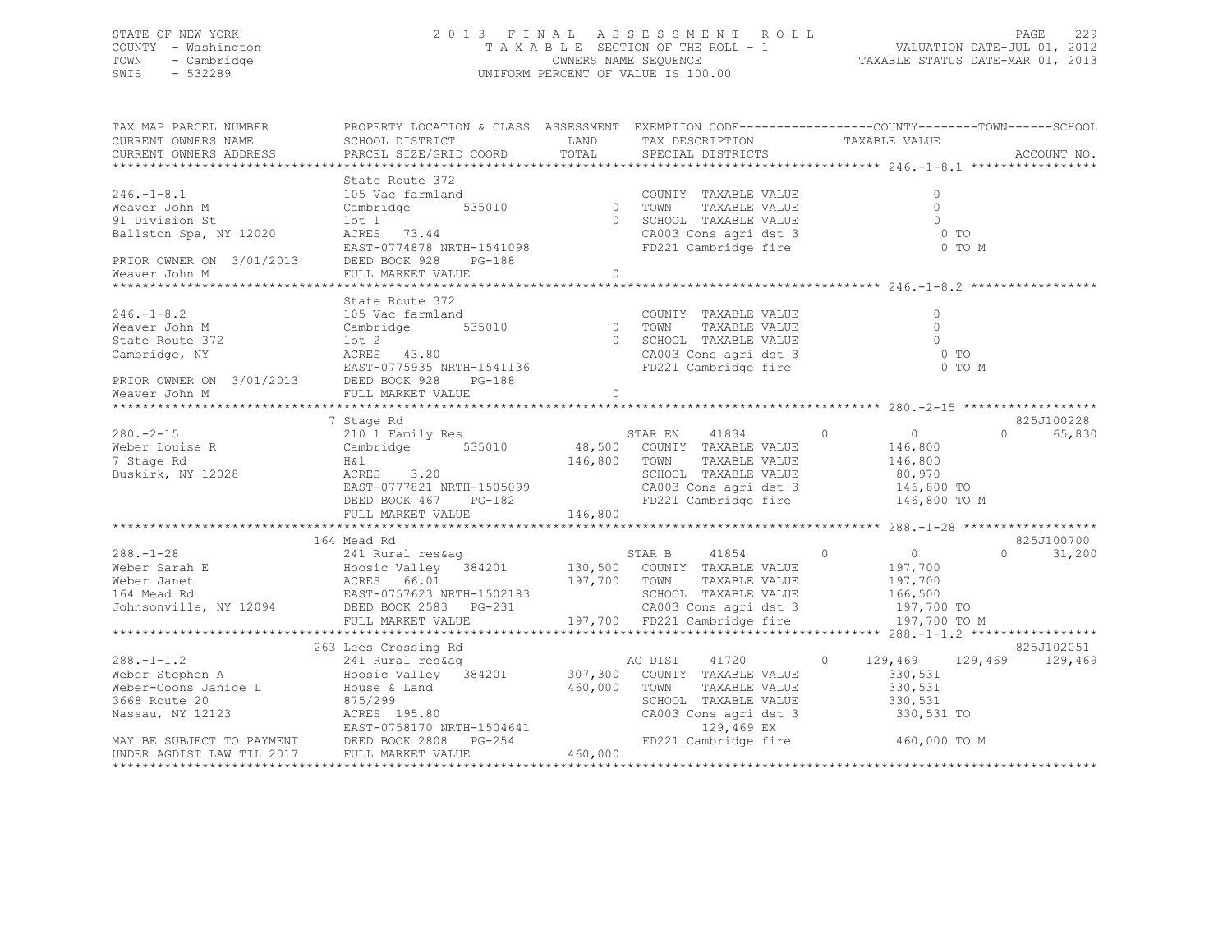## STATE OF NEW YORK 2 0 1 3 F I N A L A S S E S S M E N T R O L L PAGE 229 COUNTY - Washington T A X A B L E SECTION OF THE ROLL - 1 VALUATION DATE-JUL 01, 2012 TOWN - Cambridge OWNERS NAME SEQUENCE TAXABLE STATUS DATE-MAR 01, 2013 SWIS - 532289 UNIFORM PERCENT OF VALUE IS 100.00

| TAX MAP PARCEL NUMBER<br>CURRENT OWNERS NAME<br>CURRENT OWNERS ADDRESS                                                                              | SCHOOL DISTRICT<br>PARCEL SIZE/GRID COORD                                                                                                         | LAND<br>TOTAL                    | TAX DESCRIPTION<br>SPECIAL DISTRICTS                                                                                                     | PROPERTY LOCATION & CLASS ASSESSMENT EXEMPTION CODE---------------COUNTY-------TOWN-----SCHOOL<br>TAXABLE VALUE<br>ACCOUNT NO.                                                        |  |
|-----------------------------------------------------------------------------------------------------------------------------------------------------|---------------------------------------------------------------------------------------------------------------------------------------------------|----------------------------------|------------------------------------------------------------------------------------------------------------------------------------------|---------------------------------------------------------------------------------------------------------------------------------------------------------------------------------------|--|
| $246. - 1 - 8.1$<br>Weaver John M<br>91 Division St<br>Ballston Spa, NY 12020<br>PRIOR OWNER ON 3/01/2013 DEED BOOK 928<br>Weaver John M            | State Route 372<br>105 Vac farmland<br>Cambridge<br>lot 1<br>ACRES 73.44<br>EAST-0774878 NRTH-1541098<br>PG-188                                   | $\frac{1}{2}$ 535010 0           | COUNTY TAXABLE VALUE<br>TOWN<br>TAXABLE VALUE<br>0 SCHOOL TAXABLE VALUE<br>CA003 Cons agri dst 3<br>FD221 Cambridge fire                 | $\Omega$<br>$\Omega$<br>$\Omega$<br>0 <sub>T</sub><br>0 TO M                                                                                                                          |  |
| $246. - 1 - 8.2$<br>Weaver John M<br>State Route 372<br>State Route 372<br>Cambridge, NY<br>PRIOR OWNER ON 3/01/2013 DEED BOOK 928<br>Weaver John M | State Route 372<br>105 Vac farmland<br>Cambridge<br>lot 2<br>ACRES 43.80<br>EAST-0775935 NRTH-1541136<br>PG-188<br>FULL MARKET VALUE              | $\frac{d}{535010}$ 0<br>$\Omega$ | COUNTY TAXABLE VALUE<br>$0$ TOWN<br>U TOWN TAXABLE VALUE<br>0 SCHOOL TAXABLE VALUE<br>CA003 Cons agri dst 3<br>FD221 Cambridge fire      | $\circ$<br>$\Omega$<br>$\bigcirc$<br>$0$ TO<br>0 TO M                                                                                                                                 |  |
| $280 - 2 - 15$<br>$\frac{200}{\text{Weber}}$ Louise R<br>7 Stage Rd<br>Buskirk, NY 12028                                                            | 7 Stage Rd<br>210 1 Family Res<br>Cambridge 535010<br>H&l<br>ACRES 3.20<br>EAST-0777821 NRTH-1505099<br>DEED BOOK 467 PG-182<br>FULL MARKET VALUE | 146,800 TOWN<br>146,800          | STAR EN 41834 0<br>48,500 COUNTY TAXABLE VALUE<br>TAXABLE VALUE<br>SCHOOL TAXABLE VALUE<br>CA003 Cons agri dst 3<br>FD221 Cambridge fire | 825J100228<br>$\overline{0}$<br>$\bigcap$<br>65,830<br>146,800<br>146,800<br>80,970<br>146,800 TO<br>146,800 TO M                                                                     |  |
|                                                                                                                                                     | 164 Mead Rd<br>FULL MARKET VALUE                                                                                                                  | 197,700 TOWN                     | STAR B 41854<br>130,500 COUNTY TAXABLE VALUE<br>STAR B 41854 0<br>TAXABLE VALUE<br>SCHOOL TAXABLE VALUE<br>197,700 FD221 Cambridge fire  | 825J100700<br>$\overline{0}$<br>$\Omega$<br>31,200<br>197,700<br>197,700<br>166,500<br>CA003 Cons agri dst 3 197,700 TO<br>197,700 TO M                                               |  |
| $288. - 1 - 1.2$<br>UNDER AGDIST LAW TIL 2017                                                                                                       | 263 Lees Crossing Rd<br>241 Rural res&aq<br>FULL MARKET VALUE                                                                                     | 460,000<br>460,000               | 41720<br>$\overline{0}$<br>AG DIST<br>307,300 COUNTY TAXABLE VALUE<br>TOWN<br>TAXABLE VALUE<br>SCHOOL TAXABLE VALUE                      | 825J102051<br>129,469<br>129,469 129,469<br>330,531<br>330,531<br>SCHOOL TAXABLE VALUE 330,531<br>CA003 Cons agri dst 3 330,531 TO<br>129,469 EX<br>FD221 Cambridge fire 460,000 TO M |  |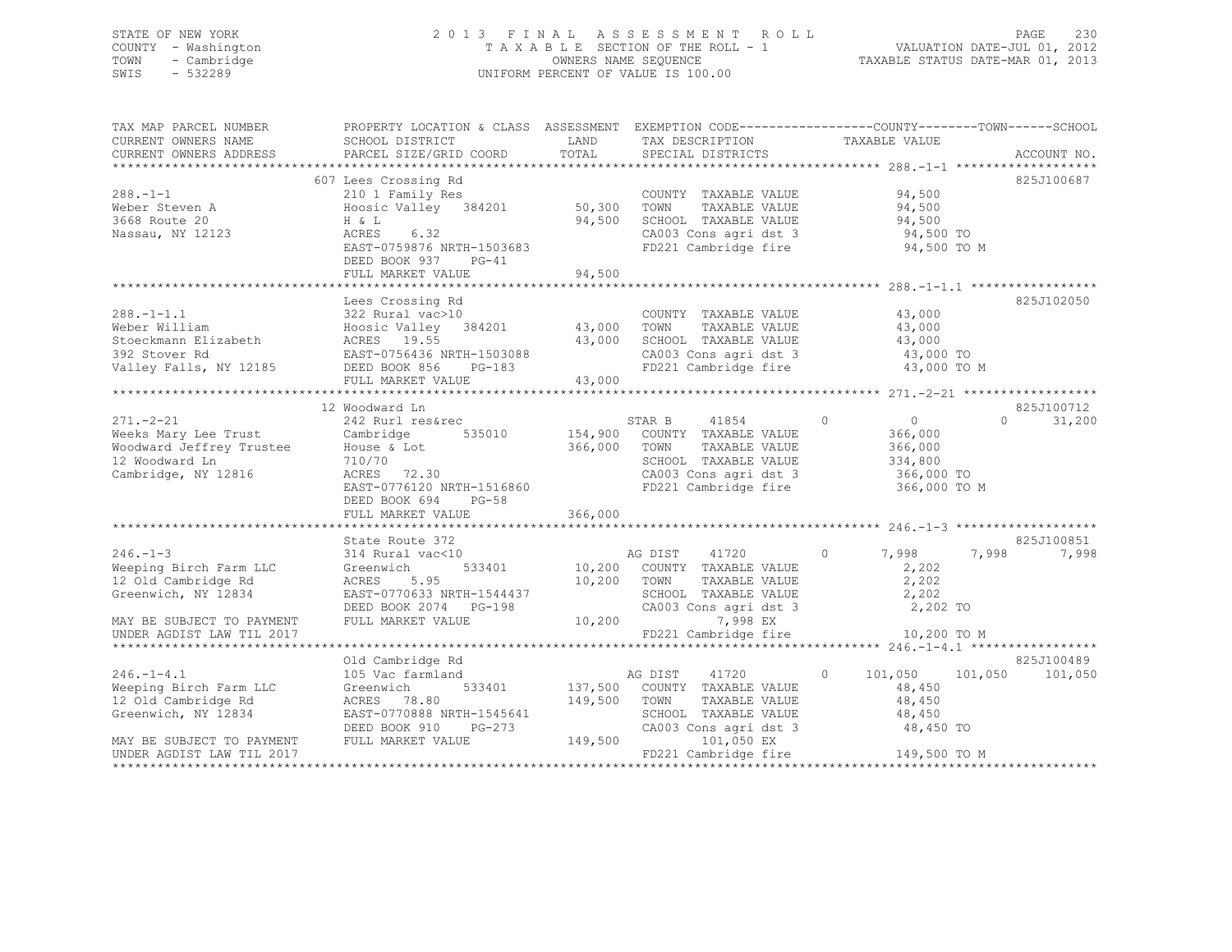## STATE OF NEW YORK 2 0 1 3 F I N A L A S S E S S M E N T R O L L PAGE 230 COUNTY - Washington T A X A B L E SECTION OF THE ROLL - 1 VALUATION DATE-JUL 01, 2012 TOWN - Cambridge OWNERS NAME SEQUENCE TAXABLE STATUS DATE-MAR 01, 2013 SWIS - 532289 UNIFORM PERCENT OF VALUE IS 100.00

| TAX MAP PARCEL NUMBER<br>CURRENT OWNERS NAME<br>CURRENT OWNERS ADDRESS                                                                  | PROPERTY LOCATION & CLASS ASSESSMENT EXEMPTION CODE---------------COUNTY-------TOWN-----SCHOOL<br>SCHOOL DISTRICT<br>PARCEL SIZE/GRID COORD                              | LAND<br>TOTAL                        | TAX DESCRIPTION<br>SPECIAL DISTRICTS                                                                                                      | TAXABLE VALUE                                                                            | ACCOUNT NO.                      |
|-----------------------------------------------------------------------------------------------------------------------------------------|--------------------------------------------------------------------------------------------------------------------------------------------------------------------------|--------------------------------------|-------------------------------------------------------------------------------------------------------------------------------------------|------------------------------------------------------------------------------------------|----------------------------------|
| $288. - 1 - 1$<br>Weber Steven A<br>3668 Route 20<br>Nassau, NY 12123                                                                   | 607 Lees Crossing Rd<br>210 1 Family Res<br>Hoosic Valley 384201<br>H & L<br>ACRES<br>6.32<br>EAST-0759876 NRTH-1503683<br>DEED BOOK 937<br>$PG-41$<br>FULL MARKET VALUE | 50,300<br>94,500<br>94,500           | COUNTY TAXABLE VALUE<br>TOWN<br>TAXABLE VALUE<br>SCHOOL TAXABLE VALUE<br>CA003 Cons agri dst 3<br>FD221 Cambridge fire                    | 94,500<br>94,500<br>94,500<br>94,500 TO<br>94,500 TO M                                   | 825J100687                       |
| $288. - 1 - 1.1$<br>Weber William<br>Stoeckmann Elizabeth<br>392 Stover Rd<br>Valley Falls, NY 12185 DEED BOOK 856 PG-183               | Lees Crossing Rd<br>322 Rural vac>10<br>Hoosic Valley 384201<br>ACRES 19.55<br>EAST-0756436 NRTH-1503088<br>FULL MARKET VALUE                                            | 43,000<br>43,000<br>43,000           | COUNTY TAXABLE VALUE<br>TOWN<br>TAXABLE VALUE<br>SCHOOL TAXABLE VALUE<br>CA003 Cons agri dst 3<br>FD221 Cambridge fire                    | 43,000<br>43,000<br>43,000<br>43,000 TO<br>43,000 TO M                                   | 825J102050                       |
| $271 - 2 - 21$<br>Weeks Mary Lee Trust Cambridge<br>Woodward Jeffrey Trustee<br>12 Waadward Is<br>12 Woodward Ln<br>Cambridge, NY 12816 | 12 Woodward Ln<br>242 Rurl res&rec<br>House & Lot<br>710/70<br>ACRES 72.30<br>EAST-0776120 NRTH-1516860<br>DEED BOOK 694<br>$PG-58$<br>FULL MARKET VALUE                 | 535010 154,900<br>366,000<br>366,000 | STAR B<br>41854<br>COUNTY TAXABLE VALUE<br>TOWN<br>TAXABLE VALUE<br>SCHOOL TAXABLE VALUE<br>CA003 Cons agri dst 3<br>FD221 Cambridge fire | $\circ$<br>$\overline{0}$<br>366,000<br>366,000<br>334,800<br>366,000 TO<br>366,000 TO M | 825J100712<br>31,200<br>$\Omega$ |
|                                                                                                                                         |                                                                                                                                                                          |                                      |                                                                                                                                           |                                                                                          |                                  |
| $246. - 1 - 3$<br>Weeping Birch Farm LLC<br>12 Old Cambridge Rd<br>Greenwich, NY 12834<br>MAY BE SUBJECT TO PAYMENT                     | State Route 372<br>314 Rural vac<10<br>533401<br>Greenwich<br>ACRES<br>5.95<br>EAST-0770633 NRTH-1544437<br>DEED BOOK 2074 PG-198<br>FULL MARKET VALUE                   | 10,200 TOWN<br>10,200                | AG DIST<br>41720<br>10,200 COUNTY TAXABLE VALUE<br>TAXABLE VALUE<br>SCHOOL TAXABLE VALUE<br>CA003 Cons agri dst 3<br>7,998 EX             | 7,998<br>$\circ$<br>2,202<br>2,202<br>2,202<br>2,202 TO                                  | 825J100851<br>7,998<br>7,998     |
| UNDER AGDIST LAW TIL 2017                                                                                                               |                                                                                                                                                                          |                                      | FD221 Cambridge fire                                                                                                                      | 10,200 TO M                                                                              |                                  |
| $246. - 1 - 4.1$<br>Weeping Birch Farm LLC<br>12 Old Cambridge Rd<br>Greenwich, NY 12834<br>MAY BE SUBJECT TO PAYMENT                   | Old Cambridge Rd<br>105 Vac farmland<br>Greenwich<br>533401<br>ACRES 78.80<br>EAST-0770888 NRTH-1545641<br>DEED BOOK 910<br>PG-273<br>FULL MARKET VALUE                  | 137,500<br>149,500<br>149,500        | AG DIST<br>41720<br>COUNTY TAXABLE VALUE<br>TOWN<br>TAXABLE VALUE<br>SCHOOL TAXABLE VALUE<br>CA003 Cons agri dst 3<br>101,050 EX          | $\circ$<br>101,050<br>101,050<br>48,450<br>48,450<br>48,450<br>48,450 TO                 | 825J100489<br>101,050            |
| UNDER AGDIST LAW TIL 2017                                                                                                               |                                                                                                                                                                          |                                      | FD221 Cambridge fire                                                                                                                      | 149,500 TO M                                                                             |                                  |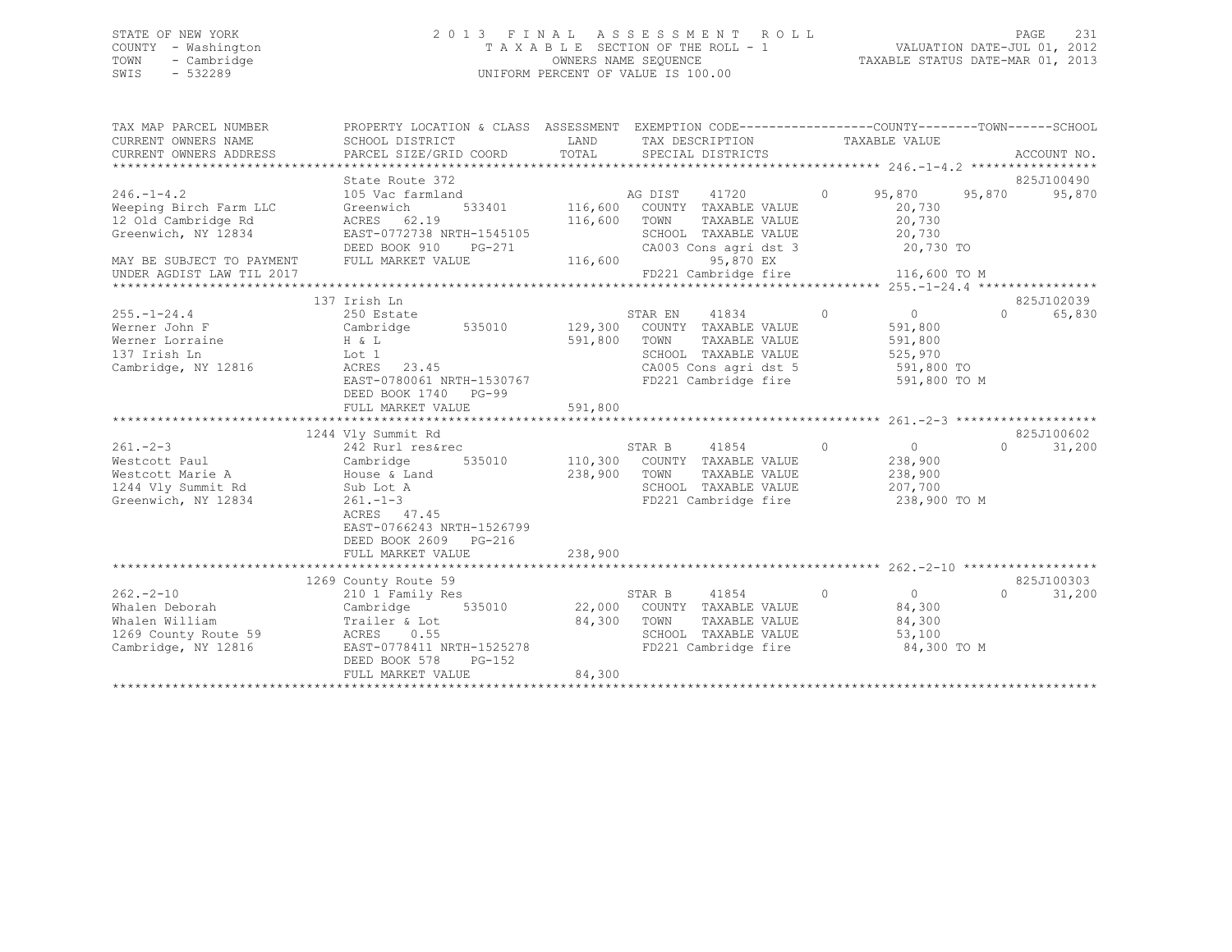## STATE OF NEW YORK 2 0 1 3 F I N A L A S S E S S M E N T R O L L PAGE 231 COUNTY - Washington T A X A B L E SECTION OF THE ROLL - 1 VALUATION DATE-JUL 01, 2012 TOWN - Cambridge OWNERS NAME SEQUENCE TAXABLE STATUS DATE-MAR 01, 2013 SWIS - 532289 UNIFORM PERCENT OF VALUE IS 100.00

| TAX MAP PARCEL NUMBER                                                                                                                                                                                                                                                                                                                                                                                                                                                                                                                                                           | PROPERTY LOCATION & CLASS ASSESSMENT EXEMPTION CODE---------------COUNTY-------TOWN-----SCHOOL<br>SCHOOL DISTRICT | LAND         |                                                                  |                         |                   |            |
|---------------------------------------------------------------------------------------------------------------------------------------------------------------------------------------------------------------------------------------------------------------------------------------------------------------------------------------------------------------------------------------------------------------------------------------------------------------------------------------------------------------------------------------------------------------------------------|-------------------------------------------------------------------------------------------------------------------|--------------|------------------------------------------------------------------|-------------------------|-------------------|------------|
| CURRENT OWNERS NAME<br>CURRENT OWNERS ADDRESS                                                                                                                                                                                                                                                                                                                                                                                                                                                                                                                                   |                                                                                                                   |              | TAX DESCRIPTION TAXABLE VALUE                                    |                         |                   |            |
| - CURRENT OWNERS ADDRESS - PARCEL SIZE/GRID COORD - TOTAL - SPECIAL DISTRICTS - ACCOUNT NO .<br>- ALCOUNT NO ARCEL SIZE/GRID COORD - TOTAL - SPECIAL DISTRICTS - ACCOUNT NO ACCOUNT NO .                                                                                                                                                                                                                                                                                                                                                                                        |                                                                                                                   |              |                                                                  |                         |                   |            |
|                                                                                                                                                                                                                                                                                                                                                                                                                                                                                                                                                                                 | State Route 372                                                                                                   |              |                                                                  |                         |                   | 825J100490 |
| $246. - 1 - 4.2$                                                                                                                                                                                                                                                                                                                                                                                                                                                                                                                                                                | 105 Vac farmland                                                                                                  |              |                                                                  | 0 95,870 95,870         |                   | 95,870     |
| Weeping Birch Farm LLC                                                                                                                                                                                                                                                                                                                                                                                                                                                                                                                                                          | Greenwich                                                                                                         |              | d<br>533401 116,600 COUNTY TAXABLE VALUE                         | 20,730                  |                   |            |
| 12 Old Cambridge Rd                                                                                                                                                                                                                                                                                                                                                                                                                                                                                                                                                             | ACRES 62.19                                                                                                       | 116,600 TOWN |                                                                  | TAXABLE VALUE 20,730    |                   |            |
| Greenwich, NY 12834                                                                                                                                                                                                                                                                                                                                                                                                                                                                                                                                                             | EAST-0772738 NRTH-1545105                                                                                         |              |                                                                  |                         |                   |            |
|                                                                                                                                                                                                                                                                                                                                                                                                                                                                                                                                                                                 | DEED BOOK 910 PG-271                                                                                              |              | SCHOOL TAXABLE VALUE 20,730<br>CA003 Cons agri dst 3 20,730 TO   |                         |                   |            |
| MAY BE SUBJECT TO PAYMENT FULL MARKET VALUE                                                                                                                                                                                                                                                                                                                                                                                                                                                                                                                                     |                                                                                                                   | 116,600      | 95,870 EX                                                        |                         |                   |            |
|                                                                                                                                                                                                                                                                                                                                                                                                                                                                                                                                                                                 |                                                                                                                   |              |                                                                  |                         |                   |            |
|                                                                                                                                                                                                                                                                                                                                                                                                                                                                                                                                                                                 |                                                                                                                   |              |                                                                  |                         |                   |            |
|                                                                                                                                                                                                                                                                                                                                                                                                                                                                                                                                                                                 | 137 Irish Ln                                                                                                      |              |                                                                  |                         |                   | 825J102039 |
| $255. -1 - 24.4$                                                                                                                                                                                                                                                                                                                                                                                                                                                                                                                                                                | 250 Estate                                                                                                        |              | STAR EN 41834                                                    | $\overline{0}$ 0        | $0 \qquad \qquad$ | 65,830     |
| Werner John F                             Cambridge         535010          129,300   COUNTY TAXABLE VALUE                                                                                                                                                                                                                                                                                                                                                                                                                                                                      |                                                                                                                   |              |                                                                  | 591,800                 |                   |            |
|                                                                                                                                                                                                                                                                                                                                                                                                                                                                                                                                                                                 |                                                                                                                   | 591,800 TOWN | TAXABLE VALUE                                                    | 591,800                 |                   |            |
|                                                                                                                                                                                                                                                                                                                                                                                                                                                                                                                                                                                 |                                                                                                                   |              | SCHOOL TAXABLE VALUE 525,970<br>CA005 Cons agri dst 5 591,800 TO |                         |                   |            |
|                                                                                                                                                                                                                                                                                                                                                                                                                                                                                                                                                                                 |                                                                                                                   |              |                                                                  |                         |                   |            |
|                                                                                                                                                                                                                                                                                                                                                                                                                                                                                                                                                                                 | EAST-0780061 NRTH-1530767                                                                                         |              | FD221 Cambridge fire 591,800 TO M                                |                         |                   |            |
|                                                                                                                                                                                                                                                                                                                                                                                                                                                                                                                                                                                 | DEED BOOK 1740 PG-99                                                                                              |              |                                                                  |                         |                   |            |
|                                                                                                                                                                                                                                                                                                                                                                                                                                                                                                                                                                                 | FULL MARKET VALUE                                                                                                 | 591,800      |                                                                  |                         |                   |            |
|                                                                                                                                                                                                                                                                                                                                                                                                                                                                                                                                                                                 | 1244 Vly Summit Rd                                                                                                |              |                                                                  |                         |                   | 825J100602 |
| $261 - 2 - 3$                                                                                                                                                                                                                                                                                                                                                                                                                                                                                                                                                                   |                                                                                                                   |              | STAR B 41854 0                                                   |                         | $\Omega$          | 31,200     |
|                                                                                                                                                                                                                                                                                                                                                                                                                                                                                                                                                                                 | 242 Rurl res&rec<br>Cambridge 535010 110,300 COUNTY TAXABLE VALUE                                                 |              |                                                                  | 0<br>238,900<br>238,900 |                   |            |
| Westcott Paul<br>Westcott Marie A                                                                                                                                                                                                                                                                                                                                                                                                                                                                                                                                               |                                                                                                                   | 238,900      | TAXABLE VALUE<br>TOWN                                            |                         |                   |            |
| 1244 Vly Summit Rd                                                                                                                                                                                                                                                                                                                                                                                                                                                                                                                                                              |                                                                                                                   |              | SCHOOL TAXABLE VALUE 207,700                                     |                         |                   |            |
| Greenwich, NY 12834                                                                                                                                                                                                                                                                                                                                                                                                                                                                                                                                                             | 242 Kull<br>Cambridge 530011<br>House & Land<br>2 16 Lot A<br>$261 - 1 - 3$                                       |              | FD221 Cambridge fire 238,900 TO M                                |                         |                   |            |
|                                                                                                                                                                                                                                                                                                                                                                                                                                                                                                                                                                                 | ACRES 47.45                                                                                                       |              |                                                                  |                         |                   |            |
|                                                                                                                                                                                                                                                                                                                                                                                                                                                                                                                                                                                 | EAST-0766243 NRTH-1526799                                                                                         |              |                                                                  |                         |                   |            |
|                                                                                                                                                                                                                                                                                                                                                                                                                                                                                                                                                                                 | DEED BOOK 2609 PG-216                                                                                             |              |                                                                  |                         |                   |            |
|                                                                                                                                                                                                                                                                                                                                                                                                                                                                                                                                                                                 | FULL MARKET VALUE                                                                                                 | 238,900      |                                                                  |                         |                   |            |
|                                                                                                                                                                                                                                                                                                                                                                                                                                                                                                                                                                                 |                                                                                                                   |              |                                                                  |                         |                   |            |
|                                                                                                                                                                                                                                                                                                                                                                                                                                                                                                                                                                                 | 1269 County Route 59                                                                                              |              |                                                                  |                         |                   | 825J100303 |
| $262 - 2 - 10$                                                                                                                                                                                                                                                                                                                                                                                                                                                                                                                                                                  | 210 1 Family Res                                                                                                  |              | STAR B 41854                                                     |                         | $\Omega$          | 31,200     |
| Whalen Deborah                                                                                                                                                                                                                                                                                                                                                                                                                                                                                                                                                                  | Cambridge                                                                                                         |              | 535010 22,000 COUNTY TAXABLE VALUE 84,300                        |                         |                   |            |
|                                                                                                                                                                                                                                                                                                                                                                                                                                                                                                                                                                                 |                                                                                                                   |              |                                                                  | 84,300                  |                   |            |
|                                                                                                                                                                                                                                                                                                                                                                                                                                                                                                                                                                                 |                                                                                                                   |              |                                                                  |                         |                   |            |
| Whalen William $\begin{array}{lll} \text{What one} & \text{What one} \\ \text{What one} & \text{What one} \\ \text{What one} & \text{What one} \\ \text{What one} & \text{What one} \\ \text{What one} & \text{What one} \\ \text{What one} & \text{What one} \\ \text{What one} & \text{What one} \\ \text{What one} & \text{What one} \\ \text{What one} & \text{What one} \\ \text{What one} & \text{What one} \\ \text{What one} & \text{What one} \\ \text{What one} & \text{What one} \\ \text{What one} & \text{What one} \\ \text{What one} & \text{What one} \\ \text$ |                                                                                                                   |              |                                                                  | 84,300 TO M             |                   |            |
|                                                                                                                                                                                                                                                                                                                                                                                                                                                                                                                                                                                 | DEED BOOK 578<br>$PG-152$                                                                                         |              |                                                                  |                         |                   |            |
|                                                                                                                                                                                                                                                                                                                                                                                                                                                                                                                                                                                 | FULL MARKET VALUE                                                                                                 | 84,300       |                                                                  |                         |                   |            |
|                                                                                                                                                                                                                                                                                                                                                                                                                                                                                                                                                                                 |                                                                                                                   |              |                                                                  |                         |                   |            |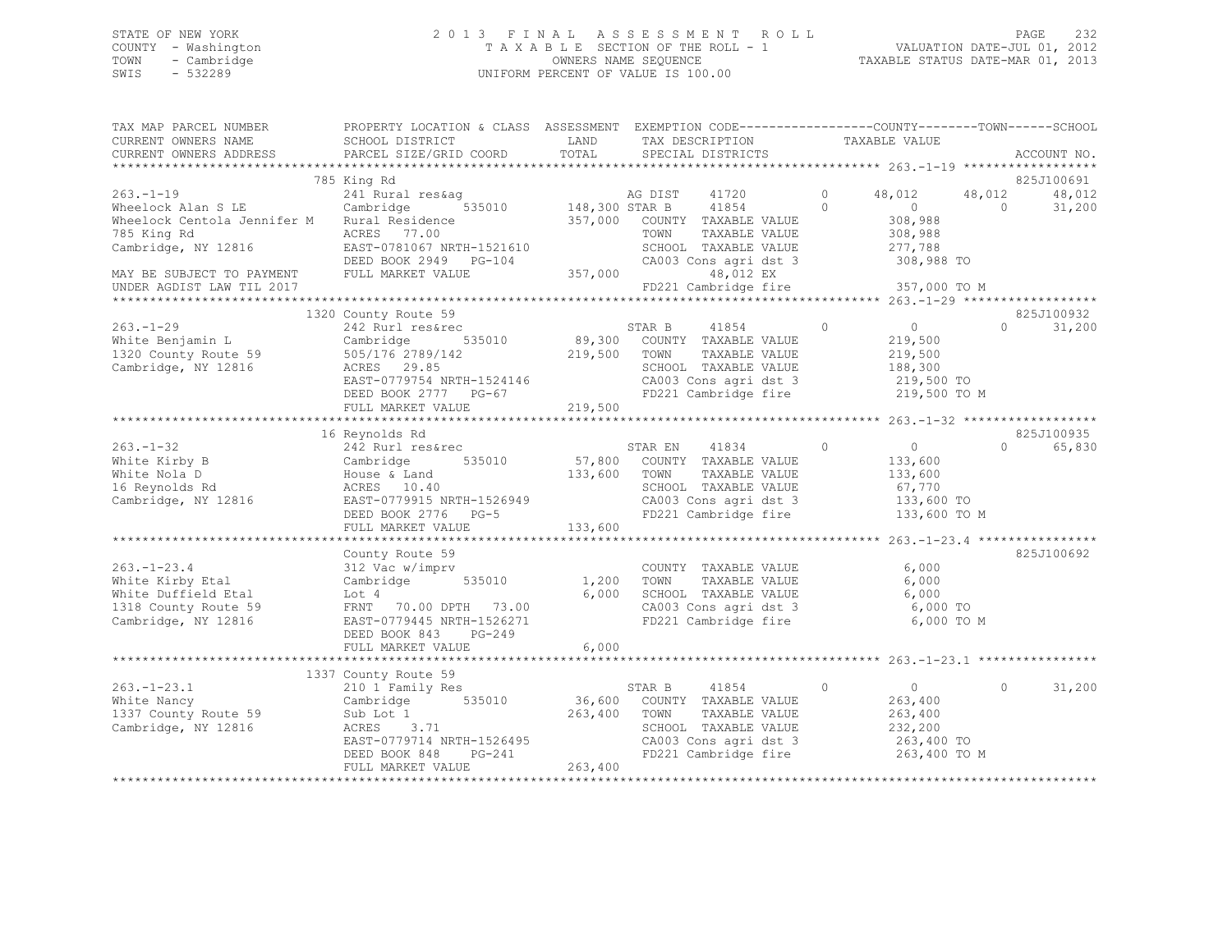## STATE OF NEW YORK 2 0 1 3 F I N A L A S S E S S M E N T R O L L PAGE 232 COUNTY - Washington T A X A B L E SECTION OF THE ROLL - 1 VALUATION DATE-JUL 01, 2012 TOWN - Cambridge OWNERS NAME SEQUENCE TAXABLE STATUS DATE-MAR 01, 2013 SWIS - 532289 UNIFORM PERCENT OF VALUE IS 100.00

| TAX MAP PARCEL NUMBER<br>CURRENT OWNERS NAME<br>CURRENT OWNERS ADDRESS                                                    | PROPERTY LOCATION & CLASS ASSESSMENT EXEMPTION CODE----------------COUNTY-------TOWN------SCHOOL<br>SCHOOL DISTRICT<br>PARCEL SIZE/GRID COORD                            | LAND<br>TOTAL           | TAX DESCRIPTION<br>SPECIAL DISTRICTS                                                                                                                          | TAXABLE VALUE       |                                                                              | ACCOUNT NO.                            |
|---------------------------------------------------------------------------------------------------------------------------|--------------------------------------------------------------------------------------------------------------------------------------------------------------------------|-------------------------|---------------------------------------------------------------------------------------------------------------------------------------------------------------|---------------------|------------------------------------------------------------------------------|----------------------------------------|
|                                                                                                                           |                                                                                                                                                                          |                         |                                                                                                                                                               |                     |                                                                              |                                        |
|                                                                                                                           | 785 King Rd                                                                                                                                                              |                         |                                                                                                                                                               |                     |                                                                              | 825J100691                             |
| $263 - 1 - 19$<br>Wheelock Alan S LE<br>Wheelock Centola Jennifer M Rural Residence<br>785 King Rd<br>Cambridge, NY 12816 | 241 Rural res&aq<br>535010 148,300 STAR B<br>Cambridge<br>ACRES 77.00<br>EAST-0781067 NRTH-1521610<br>DEED BOOK 2949 PG-104                                              |                         | AG DIST<br>41720<br>41854<br>357,000 COUNTY TAXABLE VALUE<br>TOWN<br>TAXABLE VALUE<br>SCHOOL TAXABLE VALUE<br>CA003 Cons agri dst 3                           | $\circ$<br>$\Omega$ | 48,012<br>$\overline{0}$<br>308,988<br>308,988<br>277,788<br>308,988 TO      | 48,012<br>48,012<br>$\Omega$<br>31,200 |
| MAY BE SUBJECT TO PAYMENT<br>UNDER AGDIST LAW TIL 2017                                                                    | FULL MARKET VALUE                                                                                                                                                        | 357,000                 | 48,012 EX<br>FD221 Cambridge fire 357,000 TO M                                                                                                                |                     |                                                                              |                                        |
|                                                                                                                           |                                                                                                                                                                          |                         |                                                                                                                                                               |                     |                                                                              |                                        |
|                                                                                                                           | 1320 County Route 59                                                                                                                                                     |                         |                                                                                                                                                               |                     |                                                                              | 825J100932                             |
| $263. - 1 - 29$<br>White Benjamin L<br>1320 County Route 59<br>Cambridge, NY 12816                                        | 242 Rurl res&rec<br>535010<br>Cambridge<br>505/176 2789/142<br>ACRES 29.85<br>EAST-0779754 NRTH-1524146<br>DEED BOOK 2777 PG-67                                          | 219,500                 | STAR B<br>41854<br>89,300 COUNTY TAXABLE VALUE<br>TOWN<br>TAXABLE VALUE<br>SCHOOL TAXABLE VALUE<br>CA003 Cons agri dst 3<br>FD221 Cambridge fire 219,500 TO M | $\Omega$            | $\overline{0}$<br>219,500<br>219,500<br>188,300<br>219,500 TO                | 31,200<br>$\Omega$                     |
|                                                                                                                           | FULL MARKET VALUE                                                                                                                                                        | 219,500                 |                                                                                                                                                               |                     |                                                                              |                                        |
|                                                                                                                           | 16 Reynolds Rd                                                                                                                                                           |                         |                                                                                                                                                               |                     |                                                                              | 825J100935                             |
| $263. -1 - 32$<br>White Kirby B<br>White Nola D<br>16 Reynolds Rd<br>Cambridge, NY 12816                                  | 242 Rurl res&rec<br>535010<br>Cambridge<br>133,600 TOWN<br>House & Land<br>ACRES 10.40<br>EAST-0779915 NRTH-1526949<br>DEED BOOK 2776 PG-5                               |                         | STAR EN<br>41834<br>57,800 COUNTY TAXABLE VALUE<br>TAXABLE VALUE<br>SCHOOL TAXABLE VALUE<br>CA003 Cons agri dst 3<br>FD221 Cambridge fire                     | $\circ$             | $\overline{0}$<br>133,600<br>133,600<br>67,770<br>133,600 TO<br>133,600 TO M | 65,830<br>$\cap$                       |
|                                                                                                                           | FULL MARKET VALUE                                                                                                                                                        | 133,600                 |                                                                                                                                                               |                     |                                                                              |                                        |
| $263. - 1 - 23.4$<br>White Kirby Etal<br>White Duffield Etal<br>1318 County Route 59<br>Cambridge, NY 12816               | County Route 59<br>312 Vac w/imprv<br>Cambridge<br>535010<br>Lot 4<br>FRNT 70.00 DPTH 73.00<br>EAST-0779445 NRTH-1526271<br>DEED BOOK 843<br>PG-249<br>FULL MARKET VALUE | 1,200<br>6,000<br>6,000 | COUNTY TAXABLE VALUE<br>TOWN<br>TAXABLE VALUE<br>SCHOOL TAXABLE VALUE<br>CA003 Cons agri dst 3<br>FD221 Cambridge fire                                        |                     | 6,000<br>6,000<br>6,000<br>6,000 TO<br>6,000 TO M                            | 825J100692                             |
|                                                                                                                           | ******************************                                                                                                                                           |                         |                                                                                                                                                               |                     | ********************** 263.-1-23.1 ***                                       |                                        |
| $263. - 1 - 23.1$<br>White Nancy<br>1337 County Route 59<br>Cambridge, NY 12816                                           | 1337 County Route 59<br>210 1 Family Res<br>Cambridge 535010<br>Sub Lot 1<br>ACRES 3.71                                                                                  | 263,400                 | STAR B<br>41854<br>36,600 COUNTY TAXABLE VALUE<br>TOWN<br>TAXABLE VALUE<br>SCHOOL TAXABLE VALUE                                                               | $\circ$             | $\overline{0}$<br>263,400<br>263,400<br>232,200                              | $\circ$<br>31,200                      |
|                                                                                                                           | EAST-0779714 NRTH-1526495<br>DEED BOOK 848<br>$PG-241$<br>FULL MARKET VALUE                                                                                              | 263,400                 | CA003 Cons agri dst 3<br>FD221 Cambridge fire                                                                                                                 |                     | 263,400 TO<br>263,400 TO M                                                   |                                        |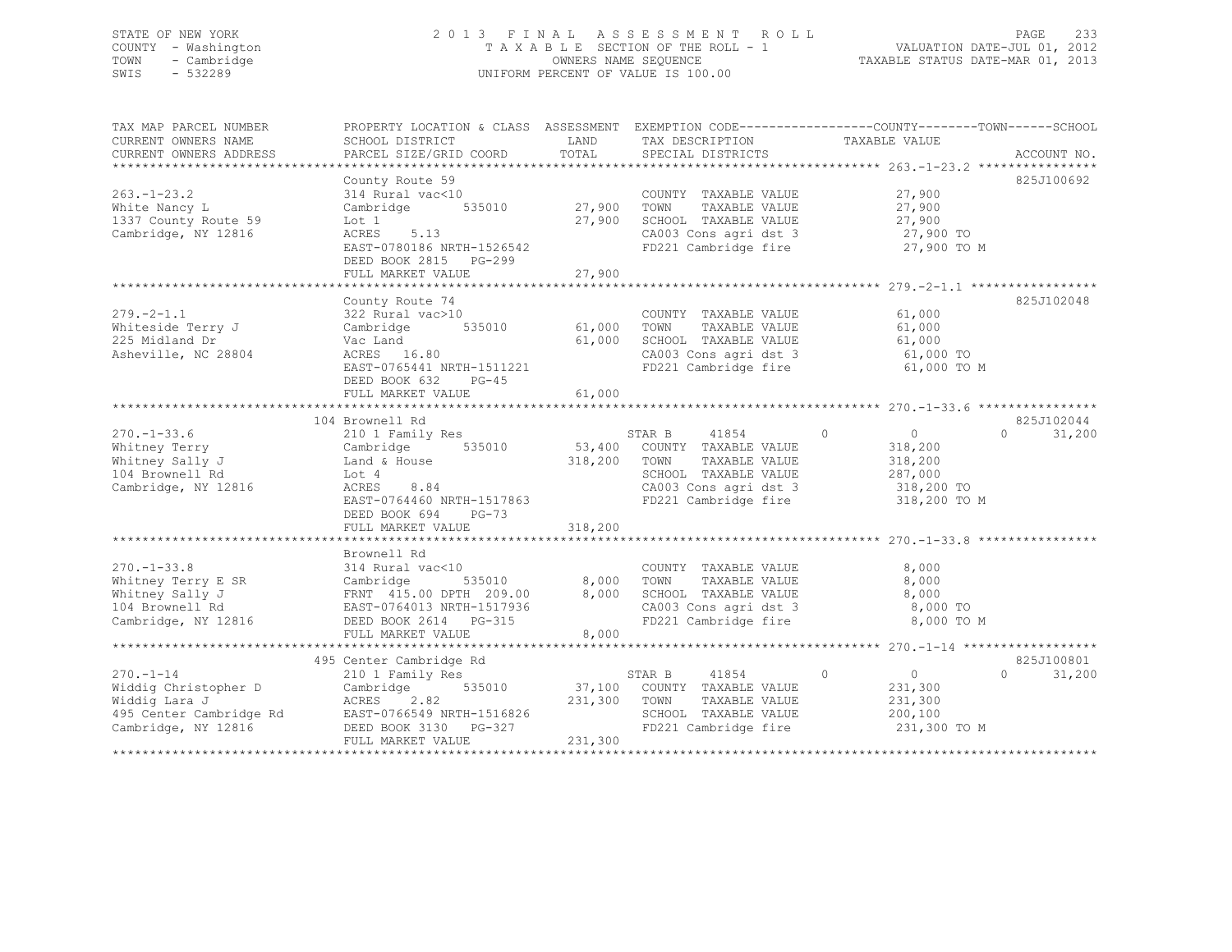## STATE OF NEW YORK 2 0 1 3 F I N A L A S S E S S M E N T R O L L PAGE 233 COUNTY - Washington T A X A B L E SECTION OF THE ROLL - 1 VALUATION DATE-JUL 01, 2012 TOWN - Cambridge OWNERS NAME SEQUENCE TAXABLE STATUS DATE-MAR 01, 2013 SWIS - 532289 UNIFORM PERCENT OF VALUE IS 100.00

| TAX MAP PARCEL NUMBER<br>CURRENT OWNERS NAME                                                                                        | PROPERTY LOCATION & CLASS ASSESSMENT EXEMPTION CODE----------------COUNTY-------TOWN------SCHOOL<br>SCHOOL DISTRICT                                            | LAND                         | TAX DESCRIPTION                                                                                                                           | TAXABLE VALUE                                                                     |                                  |
|-------------------------------------------------------------------------------------------------------------------------------------|----------------------------------------------------------------------------------------------------------------------------------------------------------------|------------------------------|-------------------------------------------------------------------------------------------------------------------------------------------|-----------------------------------------------------------------------------------|----------------------------------|
| CURRENT OWNERS ADDRESS                                                                                                              | PARCEL SIZE/GRID COORD                                                                                                                                         | TOTAL                        | SPECIAL DISTRICTS                                                                                                                         |                                                                                   | ACCOUNT NO.                      |
|                                                                                                                                     |                                                                                                                                                                |                              |                                                                                                                                           |                                                                                   |                                  |
| $263. - 1 - 23.2$<br>White Nancy L<br>1337 County Route 59<br>Cambridge, NY 12816                                                   | County Route 59<br>314 Rural vac<10<br>535010<br>Cambridge<br>Lot 1<br>5.13<br>ACRES<br>EAST-0780186 NRTH-1526542<br>DEED BOOK 2815 PG-299                     | 27,900<br>27,900             | COUNTY TAXABLE VALUE<br>TAXABLE VALUE<br>TOWN<br>SCHOOL TAXABLE VALUE<br>CA003 Cons agri dst 3<br>FD221 Cambridge fire                    | 27,900<br>27,900<br>27,900<br>27,900 TO<br>27,900 TO M                            | 825J100692                       |
|                                                                                                                                     | FULL MARKET VALUE                                                                                                                                              | 27,900                       |                                                                                                                                           |                                                                                   |                                  |
| $279. - 2 - 1.1$<br>Whiteside Terry J<br>225 Midland Dr<br>Asheville, NC 28804                                                      | County Route 74<br>322 Rural vac>10<br>535010<br>Cambridge<br>Vac Land<br>ACRES 16.80<br>EAST-0765441 NRTH-1511221<br>DEED BOOK 632 PG-45                      | 61,000<br>61,000             | COUNTY TAXABLE VALUE<br>TOWN<br>TAXABLE VALUE<br>SCHOOL TAXABLE VALUE<br>CA003 Cons agri dst 3<br>FD221 Cambridge fire                    | 61,000<br>61,000<br>61,000<br>61,000 TO<br>61,000 TO M                            | 825J102048                       |
|                                                                                                                                     | FULL MARKET VALUE                                                                                                                                              | 61,000                       |                                                                                                                                           |                                                                                   |                                  |
|                                                                                                                                     |                                                                                                                                                                |                              |                                                                                                                                           |                                                                                   |                                  |
| $270. - 1 - 33.6$<br>Whitney Terry<br>Whitney Sally J<br>104 Brownell Rd<br>Cambridge, NY 12816                                     | 104 Brownell Rd<br>210 1 Family Res<br>535010<br>Cambridge<br>Land & House<br>Lot 4<br>8.84<br>ACRES<br>EAST-0764460 NRTH-1517863<br>DEED BOOK 694<br>$PG-73$  | 53,400<br>318,200            | STAR B<br>41854<br>COUNTY TAXABLE VALUE<br>TOWN<br>TAXABLE VALUE<br>SCHOOL TAXABLE VALUE<br>CA003 Cons agri dst 3<br>FD221 Cambridge fire | $\circ$<br>$\circ$<br>318,200<br>318,200<br>287,000<br>318,200 TO<br>318,200 TO M | 825J102044<br>$\cap$<br>31,200   |
|                                                                                                                                     | FULL MARKET VALUE                                                                                                                                              | 318,200                      |                                                                                                                                           |                                                                                   |                                  |
| $270. - 1 - 33.8$<br>Whitney Terry E SR<br>Whitney Sally J<br>104 Brownell Rd<br>Cambridge, NY 12816                                | Brownell Rd<br>314 Rural vac<10<br>Cambridge<br>535010<br>FRNT 415.00 DPTH 209.00<br>EAST-0764013 NRTH-1517936<br>DEED BOOK 2614 PG-315<br>FULL MARKET VALUE   | 8,000<br>8,000<br>8,000      | COUNTY TAXABLE VALUE<br>TOWN<br>TAXABLE VALUE<br>SCHOOL TAXABLE VALUE<br>CA003 Cons agri dst 3<br>FD221 Cambridge fire                    | 8,000<br>8,000<br>8,000<br>8,000 TO<br>8,000 TO M                                 |                                  |
|                                                                                                                                     |                                                                                                                                                                |                              |                                                                                                                                           |                                                                                   |                                  |
| $270. - 1 - 14$<br>Widdig Christopher D<br>Widdig Lara J<br>495 Center Cambridge Rd<br>Cambridge, NY 12816<br>********************* | 495 Center Cambridge Rd<br>210 1 Family Res<br>535010<br>Cambridge<br>2.82<br>ACRES<br>EAST-0766549 NRTH-1516826<br>DEED BOOK 3130 PG-327<br>FULL MARKET VALUE | 37,100<br>231,300<br>231,300 | STAR B<br>41854<br>COUNTY TAXABLE VALUE<br>TOWN<br>TAXABLE VALUE<br>SCHOOL TAXABLE VALUE<br>FD221 Cambridge fire                          | $\circ$<br>$\Omega$<br>231,300<br>231,300<br>200,100<br>231,300 TO M              | 825J100801<br>$\Omega$<br>31,200 |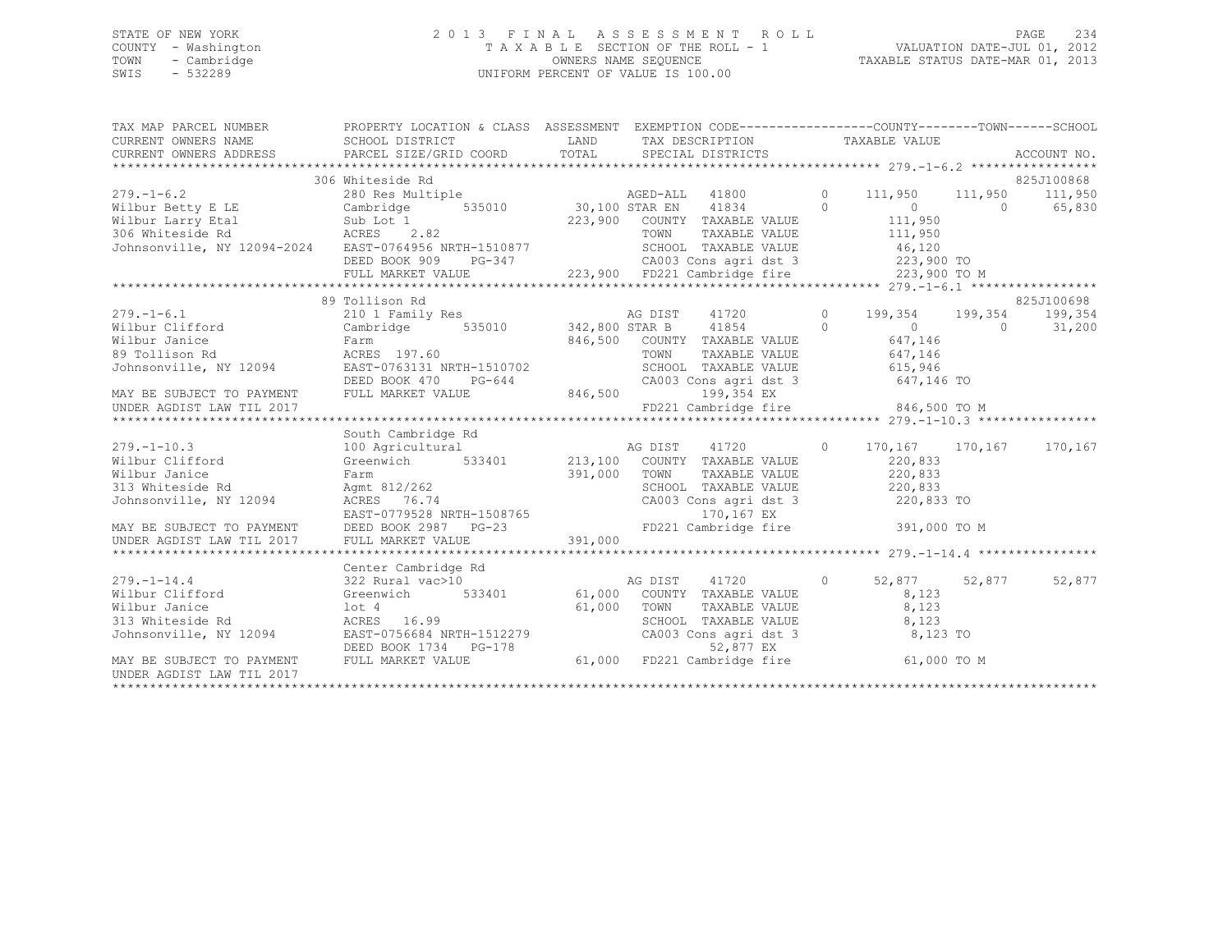### STATE OF NEW YORK 2 0 1 3 F I N A L A S S E S S M E N T R O L L PAGE 234 COUNTY - Washington T A X A B L E SECTION OF THE ROLL - 1 VALUATION DATE-JUL 01, 2012 TOWN - Cambridge OWNERS NAME SEQUENCE TAXABLE STATUS DATE-MAR 01, 2013 SWIS - 532289 UNIFORM PERCENT OF VALUE IS 100.00

TAX MAP PARCEL NUMBER PROPERTY LOCATION & CLASS ASSESSMENT EXEMPTION CODE------------------------------TOWN-------SCHOOL

| CURRENT OWNERS NAME                           | SCHOOL DISTRICT                                                                                                                                                                                                                                  | LAND         | TAX DESCRIPTION                                    |         | TAXABLE VALUE   |            |             |
|-----------------------------------------------|--------------------------------------------------------------------------------------------------------------------------------------------------------------------------------------------------------------------------------------------------|--------------|----------------------------------------------------|---------|-----------------|------------|-------------|
| CURRENT OWNERS ADDRESS PARCEL SIZE/GRID COORD |                                                                                                                                                                                                                                                  | TOTAL        | SPECIAL DISTRICTS                                  |         |                 |            | ACCOUNT NO. |
|                                               |                                                                                                                                                                                                                                                  |              |                                                    |         |                 |            |             |
|                                               | 306 Whiteside Rd                                                                                                                                                                                                                                 |              |                                                    |         |                 |            | 825J100868  |
| $279. - 1 - 6.2$                              | 280 Res Multiple                                                                                                                                                                                                                                 |              |                                                    | $\circ$ | 111,950 111,950 |            | 111,950     |
|                                               |                                                                                                                                                                                                                                                  |              | AGED-ALL 41800<br>30,100 STAR EN 41834             | $\circ$ | $\overline{0}$  | $\bigcirc$ | 65,830      |
|                                               |                                                                                                                                                                                                                                                  |              | 223,900 COUNTY TAXABLE VALUE                       |         | 111,950         |            |             |
|                                               |                                                                                                                                                                                                                                                  |              | TAXABLE VALUE<br>TOWN                              |         | 111,950         |            |             |
|                                               | Johnsonville, NY 12094-2024 EAST-0764956 NRTH-1510877                                                                                                                                                                                            |              | SCHOOL TAXABLE VALUE                               |         | 46,120          |            |             |
|                                               |                                                                                                                                                                                                                                                  |              |                                                    |         |                 |            |             |
|                                               |                                                                                                                                                                                                                                                  |              |                                                    |         |                 |            |             |
|                                               |                                                                                                                                                                                                                                                  |              |                                                    |         |                 |            |             |
|                                               | 89 Tollison Rd                                                                                                                                                                                                                                   |              |                                                    |         |                 |            | 825J100698  |
| $279. - 1 - 6.1$                              | 210 1 Family Res                                                                                                                                                                                                                                 |              | AG DIST<br>41720                                   | $\circ$ | 199,354         | 199,354    | 199,354     |
| Wilbur Clifford                               | Cambridge 535010 342,800 STAR B 41854                                                                                                                                                                                                            |              |                                                    | $\circ$ | $\overline{0}$  | $\circ$    | 31,200      |
| Wilbur Janice                                 | Farm                                                                                                                                                                                                                                             |              |                                                    |         | 647,146         |            |             |
|                                               |                                                                                                                                                                                                                                                  |              | 846,500 COUNTY TAXABLE VALUE<br>TOWN TAXABLE VALUE |         | 647,146         |            |             |
|                                               |                                                                                                                                                                                                                                                  |              | SCHOOL TAXABLE VALUE                               |         | 615,946         |            |             |
|                                               |                                                                                                                                                                                                                                                  |              |                                                    |         |                 |            |             |
|                                               |                                                                                                                                                                                                                                                  |              |                                                    |         |                 |            |             |
|                                               |                                                                                                                                                                                                                                                  |              |                                                    |         |                 |            |             |
|                                               |                                                                                                                                                                                                                                                  |              |                                                    |         |                 |            |             |
|                                               | South Cambridge Rd                                                                                                                                                                                                                               |              |                                                    |         |                 |            |             |
| $279. - 1 - 10.3$                             | 100 Agricultural                                                                                                                                                                                                                                 |              | AG DIST<br>41720                                   | $\circ$ | 170,167 170,167 |            | 170,167     |
| Wilbur Clifford                               | Greenwich 533401                                                                                                                                                                                                                                 |              | 213,100 COUNTY TAXABLE VALUE                       |         | 220,833         |            |             |
| Wilbur Janice                                 |                                                                                                                                                                                                                                                  | 391,000 TOWN |                                                    |         | 220,833         |            |             |
| 313 Whiteside Rd                              | Farm<br>Agmt 812/262<br>ACRES 76.74                                                                                                                                                                                                              |              | TOWN     TAXABLE VALUE<br>SCHOOL   TAXABLE VALUE   |         | 220,833         |            |             |
| Johnsonville, NY 12094 ACRES 76.74            |                                                                                                                                                                                                                                                  |              | CA003 Cons agri dst 3                              |         | 220,833 TO      |            |             |
|                                               |                                                                                                                                                                                                                                                  |              |                                                    |         |                 |            |             |
|                                               |                                                                                                                                                                                                                                                  |              |                                                    |         |                 |            |             |
|                                               |                                                                                                                                                                                                                                                  |              |                                                    |         |                 |            |             |
|                                               | EXECT TO PAYMENT<br>EXECT TO PAYMENT<br>EXECT TO PAYMENT BEED BOOK 2987 PG-23<br>TD221 Cambridge fire 391,000 TO M<br>TO,167 EX<br>TD221 Cambridge fire 391,000 TO M<br>TO,167 EX<br>TD221 Cambridge fire 391,000 TO M<br>TO,167 EX<br>TD221 Cam |              |                                                    |         |                 |            |             |
|                                               | Center Cambridge Rd                                                                                                                                                                                                                              |              |                                                    |         |                 |            |             |
| $279. - 1 - 14.4$                             |                                                                                                                                                                                                                                                  |              | AG DIST<br>41720                                   | $\circ$ | 52,877 52,877   |            | 52,877      |
|                                               | 322 Rural vac>10                                                                                                                                                                                                                                 |              |                                                    |         |                 |            |             |
| wilbur Clifford                               | Greenwich<br>533401                                                                                                                                                                                                                              |              | 61,000 COUNTY TAXABLE VALUE                        |         | 8,123           |            |             |
| Wilbur Janice                                 | lot 4                                                                                                                                                                                                                                            | 61,000       | TOWN<br>TOWN TAXABLE VALUE<br>SCHOOL TAXABLE VALUE |         | 8,123           |            |             |
| 313 Whiteside Rd                              | $ACRES$ 16.99                                                                                                                                                                                                                                    |              |                                                    |         | 8,123           |            |             |
|                                               | Johnsonville, NY 12094 EAST-0756684 NRTH-1512279                                                                                                                                                                                                 |              | CA003 Cons agri dst 3                              |         | 8,123 TO        |            |             |
|                                               |                                                                                                                                                                                                                                                  |              |                                                    |         |                 |            |             |
|                                               | DEED BOOK 1734 PG-178<br>MAY BE SUBJECT TO PAYMENT FULL MARKET VALUE 61,000 FD221 Cambridge fire                                                                                                                                                 |              |                                                    |         | 61,000 TO M     |            |             |
| UNDER AGDIST LAW TIL 2017                     |                                                                                                                                                                                                                                                  |              |                                                    |         |                 |            |             |
|                                               |                                                                                                                                                                                                                                                  |              |                                                    |         |                 |            |             |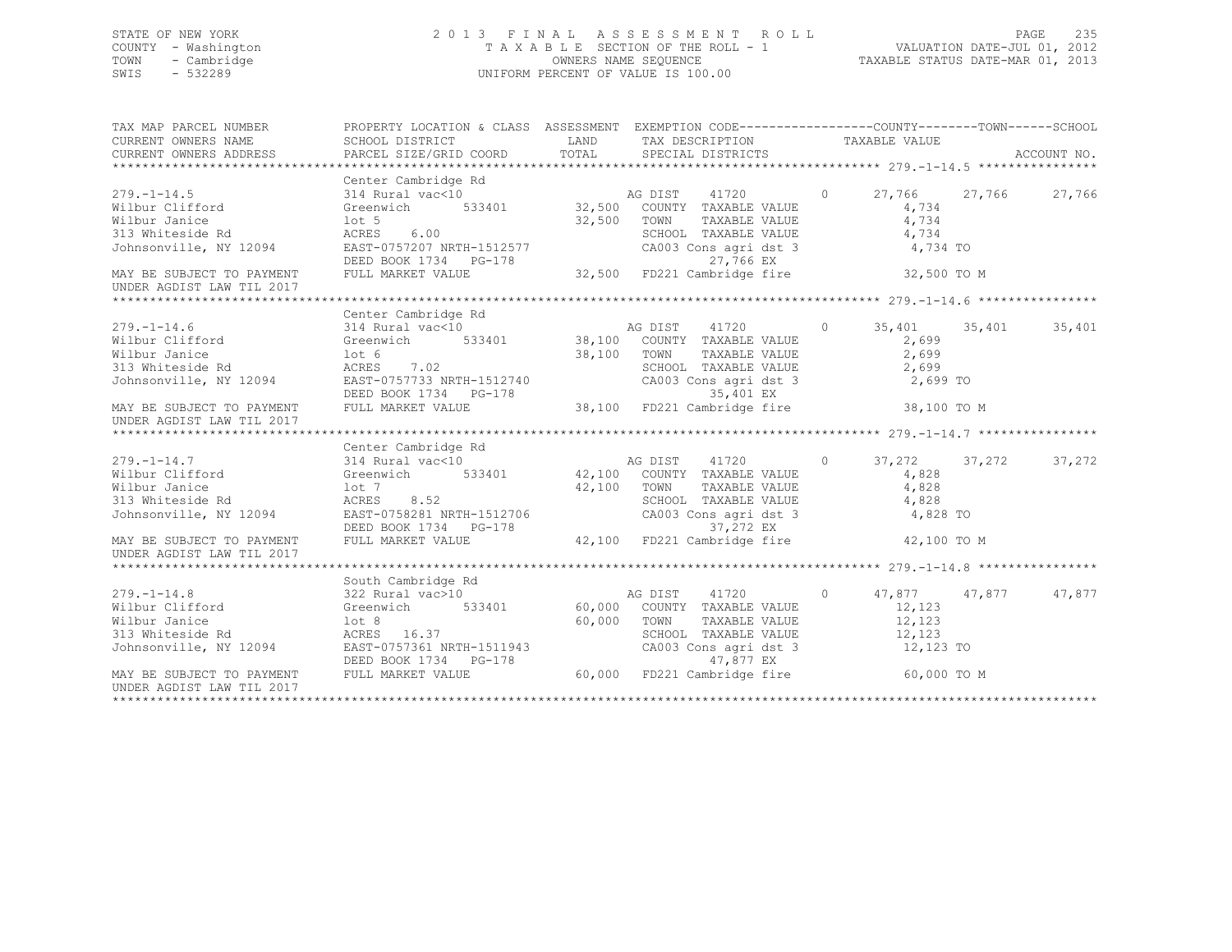## STATE OF NEW YORK 2 0 1 3 F I N A L A S S E S S M E N T R O L L PAGE 235 COUNTY - Washington T A X A B L E SECTION OF THE ROLL - 1 VALUATION DATE-JUL 01, 2012 TOWN - Cambridge OWNERS NAME SEQUENCE TAXABLE STATUS DATE-MAR 01, 2013 SWIS - 532289 UNIFORM PERCENT OF VALUE IS 100.00

| TAX MAP PARCEL NUMBER<br>CURRENT OWNERS NAME<br>CURRENT OWNERS NAME<br>CURRENT OWNERS ADDRESS                                                                                                                                                                                            | PROPERTY LOCATION & CLASS ASSESSMENT EXEMPTION CODE---------------COUNTY-------TOWN------SCHOOL |                                                              |       |        |
|------------------------------------------------------------------------------------------------------------------------------------------------------------------------------------------------------------------------------------------------------------------------------------------|-------------------------------------------------------------------------------------------------|--------------------------------------------------------------|-------|--------|
|                                                                                                                                                                                                                                                                                          | Center Cambridge Rd                                                                             |                                                              |       |        |
|                                                                                                                                                                                                                                                                                          |                                                                                                 |                                                              |       |        |
|                                                                                                                                                                                                                                                                                          |                                                                                                 |                                                              |       |        |
|                                                                                                                                                                                                                                                                                          |                                                                                                 | TAXABLE VALUE                                                | 4,734 |        |
| Wilbur Janice $10t$ 5 $32,500$ TOWN 313 Whiteside Rd ACRES 6.00 SCHOC<br>Johnsonville, NY 12094 EAST-0757207 NRTH-1512577 CA003                                                                                                                                                          |                                                                                                 |                                                              |       |        |
|                                                                                                                                                                                                                                                                                          |                                                                                                 | SCHOOL TAXABLE VALUE 4,734<br>CA003 Cons agri dst 3 4,734 TO |       |        |
| MAY BE SUBJECT TO PAYMENT<br>MAY BE SUBJECT TO PAYMENT FULL MARKET VALUE 32,500 FD221 Cambridge fire 32,500 TO M                                                                                                                                                                         |                                                                                                 |                                                              |       |        |
|                                                                                                                                                                                                                                                                                          |                                                                                                 |                                                              |       |        |
| UNDER AGDIST LAW TIL 2017                                                                                                                                                                                                                                                                |                                                                                                 |                                                              |       |        |
|                                                                                                                                                                                                                                                                                          |                                                                                                 |                                                              |       |        |
|                                                                                                                                                                                                                                                                                          |                                                                                                 |                                                              |       |        |
|                                                                                                                                                                                                                                                                                          |                                                                                                 |                                                              |       |        |
|                                                                                                                                                                                                                                                                                          |                                                                                                 |                                                              |       |        |
|                                                                                                                                                                                                                                                                                          |                                                                                                 |                                                              |       |        |
|                                                                                                                                                                                                                                                                                          |                                                                                                 |                                                              |       |        |
|                                                                                                                                                                                                                                                                                          |                                                                                                 |                                                              |       |        |
|                                                                                                                                                                                                                                                                                          |                                                                                                 |                                                              |       |        |
| Wilbur Janice<br>Wilbur Janice<br>38,100 TOWN TAXABLE VALUE<br>38,100 TOWN TAXABLE VALUE<br>38,100 TOWN TAXABLE VALUE<br>2,699<br>SCHOOL TAXABLE VALUE<br>2,699<br>2,699<br>2,699<br>2,699<br>2,699<br>2,699<br>2,699<br>DEED BOOK 1734 PG-178<br>BEED BOOK<br>UNDER AGDIST LAW TIL 2017 |                                                                                                 |                                                              |       |        |
|                                                                                                                                                                                                                                                                                          |                                                                                                 |                                                              |       |        |
|                                                                                                                                                                                                                                                                                          | Center Cambridge Rd                                                                             |                                                              |       |        |
|                                                                                                                                                                                                                                                                                          |                                                                                                 |                                                              |       | 37,272 |
|                                                                                                                                                                                                                                                                                          |                                                                                                 |                                                              |       |        |
|                                                                                                                                                                                                                                                                                          |                                                                                                 |                                                              |       |        |
|                                                                                                                                                                                                                                                                                          |                                                                                                 |                                                              |       |        |
|                                                                                                                                                                                                                                                                                          |                                                                                                 |                                                              |       |        |
|                                                                                                                                                                                                                                                                                          |                                                                                                 |                                                              |       |        |
| 279.-1-14.7 Center Cambridge Rd<br>Wilbur Clifford 314 Rural vac<10<br>Wilbur Clifford Greenwich 533401 42,100 COUNTY TAXABLE VALUE 4,828<br>Wilbur Janice 10t 7<br>313 Whiteside Rd ACRES 8.52<br>Johnsonville, NY 12094 EAST-0758281 N<br>UNDER AGDIST LAW TIL 2017                    |                                                                                                 |                                                              |       |        |
|                                                                                                                                                                                                                                                                                          |                                                                                                 |                                                              |       |        |
|                                                                                                                                                                                                                                                                                          |                                                                                                 |                                                              |       |        |
|                                                                                                                                                                                                                                                                                          |                                                                                                 |                                                              |       |        |
|                                                                                                                                                                                                                                                                                          |                                                                                                 |                                                              |       |        |
|                                                                                                                                                                                                                                                                                          |                                                                                                 |                                                              |       |        |
|                                                                                                                                                                                                                                                                                          |                                                                                                 |                                                              |       |        |
|                                                                                                                                                                                                                                                                                          |                                                                                                 |                                                              |       |        |
|                                                                                                                                                                                                                                                                                          |                                                                                                 |                                                              |       |        |
| Wilbur Janice<br>Wilbur Janice<br>2,123<br>313 Whiteside Rd<br>313 Whiteside Rd<br>313 Whiteside Rd<br>313 Whiteside Rd<br>313 Whiteside Rd<br>313 Whiteside Rd<br>313 Whiteside Rd<br>313 Whiteside Rd<br>313 Whiteside Rd<br>32,123<br>32,123<br>32,123<br>                            |                                                                                                 |                                                              |       |        |
| UNDER AGDIST LAW TIL 2017                                                                                                                                                                                                                                                                |                                                                                                 |                                                              |       |        |
|                                                                                                                                                                                                                                                                                          |                                                                                                 |                                                              |       |        |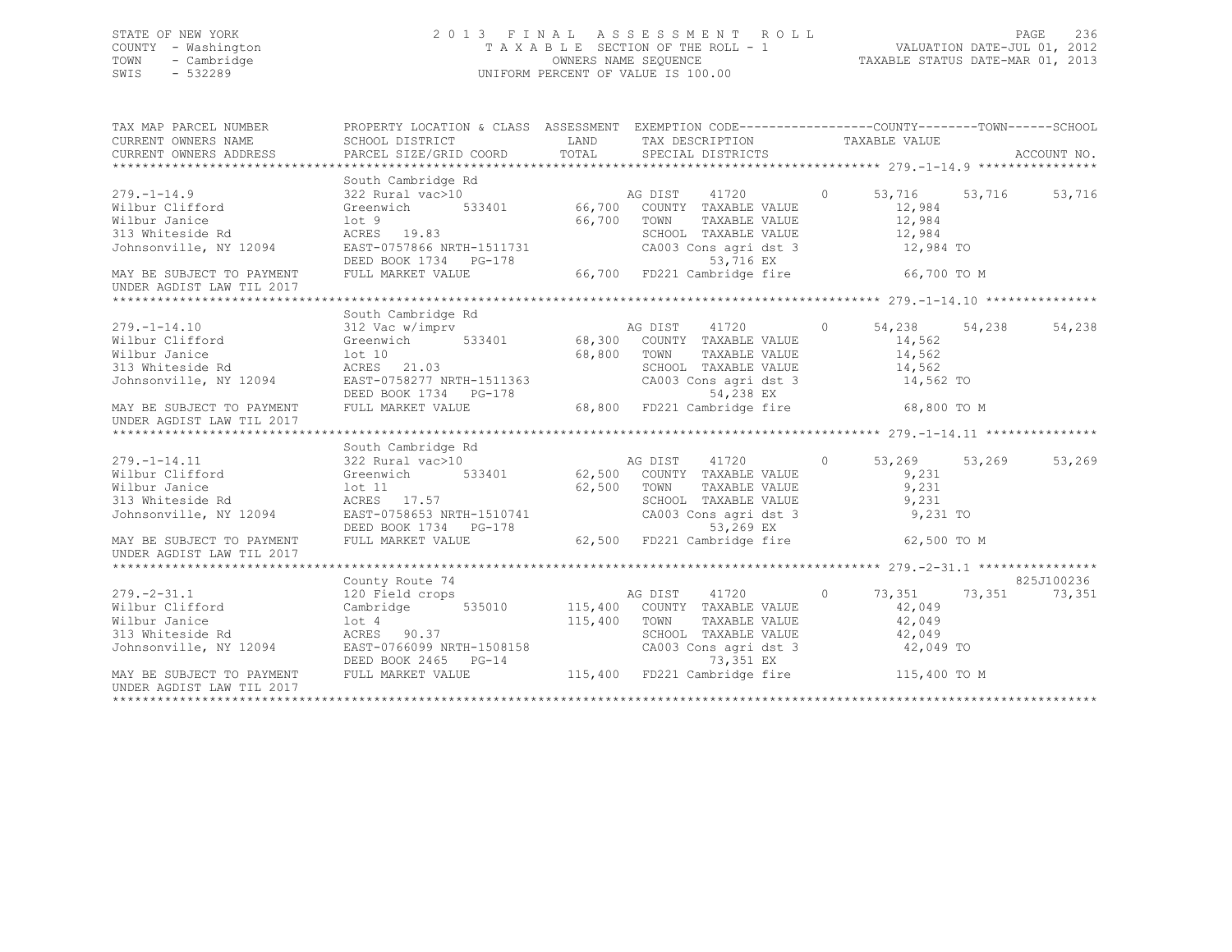## STATE OF NEW YORK 2 0 1 3 F I N A L A S S E S S M E N T R O L L PAGE 236 COUNTY - Washington T A X A B L E SECTION OF THE ROLL - 1 VALUATION DATE-JUL 01, 2012 TOWN - Cambridge OWNERS NAME SEQUENCE TAXABLE STATUS DATE-MAR 01, 2013 SWIS - 532289 UNIFORM PERCENT OF VALUE IS 100.00

| TAX MAP PARCEL NUMBER<br>CURRENT OWNERS NAME | PROPERTY LOCATION & CLASS ASSESSMENT EXEMPTION CODE----------------COUNTY-------TOWN------SCHOOL<br>SCHOOL DISTRICT                                                               | LAND    | TAX DESCRIPTION TAXABLE VALUE                             |         |               |             |
|----------------------------------------------|-----------------------------------------------------------------------------------------------------------------------------------------------------------------------------------|---------|-----------------------------------------------------------|---------|---------------|-------------|
| CURRENT OWNERS ADDRESS                       | PARCEL SIZE/GRID COORD                                                                                                                                                            | TOTAL   | SPECIAL DISTRICTS                                         |         |               | ACCOUNT NO. |
|                                              |                                                                                                                                                                                   |         |                                                           |         |               |             |
|                                              | South Cambridge Rd                                                                                                                                                                |         |                                                           |         |               |             |
| $279. - 1 - 14.9$                            | 322 Rural vac>10                                                                                                                                                                  |         | AG DIST 41720                                             | $\circ$ | 53,716 53,716 | 53,716      |
| Wilbur Clifford                              |                                                                                                                                                                                   |         |                                                           |         | 12,984        |             |
| Wilbur Janice                                | lot 9                                                                                                                                                                             | 66,700  | TOWN<br>TAXABLE VALUE                                     |         | 12,984        |             |
| 313 Whiteside Rd                             | ACRES 19.83                                                                                                                                                                       |         | SCHOOL TAXABLE VALUE                                      |         | 12,984        |             |
| Johnsonville, NY 12094                       | EAST-0757866 NRTH-1511731<br>DEED BOOK 1734 PG-178                                                                                                                                |         | CA003 Cons agri dst 3<br>53,716 EX                        |         | 12,984 TO     |             |
| MAY BE SUBJECT TO PAYMENT                    | FULL MARKET VALUE                                                                                                                                                                 |         | 66,700 FD221 Cambridge fire                               |         | 66,700 TO M   |             |
| UNDER AGDIST LAW TIL 2017                    |                                                                                                                                                                                   |         |                                                           |         |               |             |
|                                              |                                                                                                                                                                                   |         |                                                           |         |               |             |
|                                              | South Cambridge Rd                                                                                                                                                                |         |                                                           |         |               |             |
| $279. - 1 - 14.10$                           |                                                                                                                                                                                   |         |                                                           |         | 54,238 54,238 | 54,238      |
| Wilbur Clifford                              |                                                                                                                                                                                   |         |                                                           |         | 14,562        |             |
| Wilbur Janice                                | lot 10                                                                                                                                                                            | 68,800  | TAXABLE VALUE<br>TOWN                                     |         | 14,562        |             |
|                                              |                                                                                                                                                                                   |         | SCHOOL TAXABLE VALUE                                      |         |               |             |
| 313 Whiteside Rd<br>Johnsonville, NY 12094   |                                                                                                                                                                                   |         |                                                           |         |               |             |
|                                              |                                                                                                                                                                                   |         |                                                           |         |               |             |
| MAY BE SUBJECT TO PAYMENT                    | ACRES 21.03<br>EAST-0758277 NRTH-1511363<br>DEED BOOK 1734 PG-178 68,800 FD221 Cambridge fire 68,800 TO MARKET VALUE<br>FULL MARKET VALUE 68,800 FD221 Cambridge fire 68,800 TO M |         |                                                           |         |               |             |
| UNDER AGDIST LAW TIL 2017                    |                                                                                                                                                                                   |         |                                                           |         |               |             |
|                                              |                                                                                                                                                                                   |         |                                                           |         |               |             |
|                                              | South Cambridge Rd                                                                                                                                                                |         |                                                           |         |               |             |
| $279. - 1 - 14.11$                           |                                                                                                                                                                                   |         |                                                           | $\circ$ | 53,269 53,269 | 53,269      |
| Wilbur Clifford                              | $322 \text{ Rural vac} > 10$ $322 \text{ Rural vac} > 10$ $333401$ $62,500 \text{ COUNTY} \text{ TaxABLE VALUE}$                                                                  |         |                                                           |         | 9,231         |             |
| Wilbur Janice                                | $1$ ot $11$                                                                                                                                                                       | 62,500  | TAXABLE VALUE<br>TOWN                                     |         | 9,231         |             |
| 313 Whiteside Rd                             | ACRES 17.57                                                                                                                                                                       |         |                                                           |         |               |             |
| Johnsonville, NY 12094                       | EAST-0758653 NRTH-1510741                                                                                                                                                         |         | SCHOOL TAXABLE VALUE 9,231<br>CA003 Cons_agri dst 3 9,231 |         | 9,231 TO      |             |
|                                              | DEED BOOK 1734 PG-178                                                                                                                                                             |         | 53,269 EX                                                 |         |               |             |
| MAY BE SUBJECT TO PAYMENT                    | FULL MARKET VALUE                                                                                                                                                                 |         | 62,500 FD221 Cambridge fire                               |         | 62,500 TO M   |             |
| UNDER AGDIST LAW TIL 2017                    |                                                                                                                                                                                   |         |                                                           |         |               |             |
|                                              |                                                                                                                                                                                   |         |                                                           |         |               |             |
|                                              | County Route 74                                                                                                                                                                   |         |                                                           |         |               | 825J100236  |
| $279. - 2 - 31.1$                            | 120 Field crops                                                                                                                                                                   |         | AG DIST 41720 0                                           |         | 73,351 73,351 | 73,351      |
| Wilbur Clifford                              | Cambridge<br>535010                                                                                                                                                               |         | 115,400 COUNTY TAXABLE VALUE                              |         | 42,049        |             |
| Wilbur Janice                                | $1$ ot $4$                                                                                                                                                                        | 115,400 | TAXABLE VALUE<br>TOWN                                     |         | 42,049        |             |
| 313 Whiteside Rd                             |                                                                                                                                                                                   |         | SCHOOL TAXABLE VALUE                                      |         |               |             |
| Johnsonville, NY 12094                       |                                                                                                                                                                                   |         |                                                           |         | 42,049        |             |
|                                              |                                                                                                                                                                                   |         |                                                           |         |               |             |
| MAY BE SUBJECT TO PAYMENT                    | ACRES 90.37<br>EAST-0766099 NRTH-1508158<br>DEED BOOK 2465 PG-14<br>FULL MARKET VALUE 115,400 FD221 Cambridge fire 115,400 TO M                                                   |         |                                                           |         |               |             |
| UNDER AGDIST LAW TIL 2017                    |                                                                                                                                                                                   |         |                                                           |         |               |             |
|                                              |                                                                                                                                                                                   |         |                                                           |         |               |             |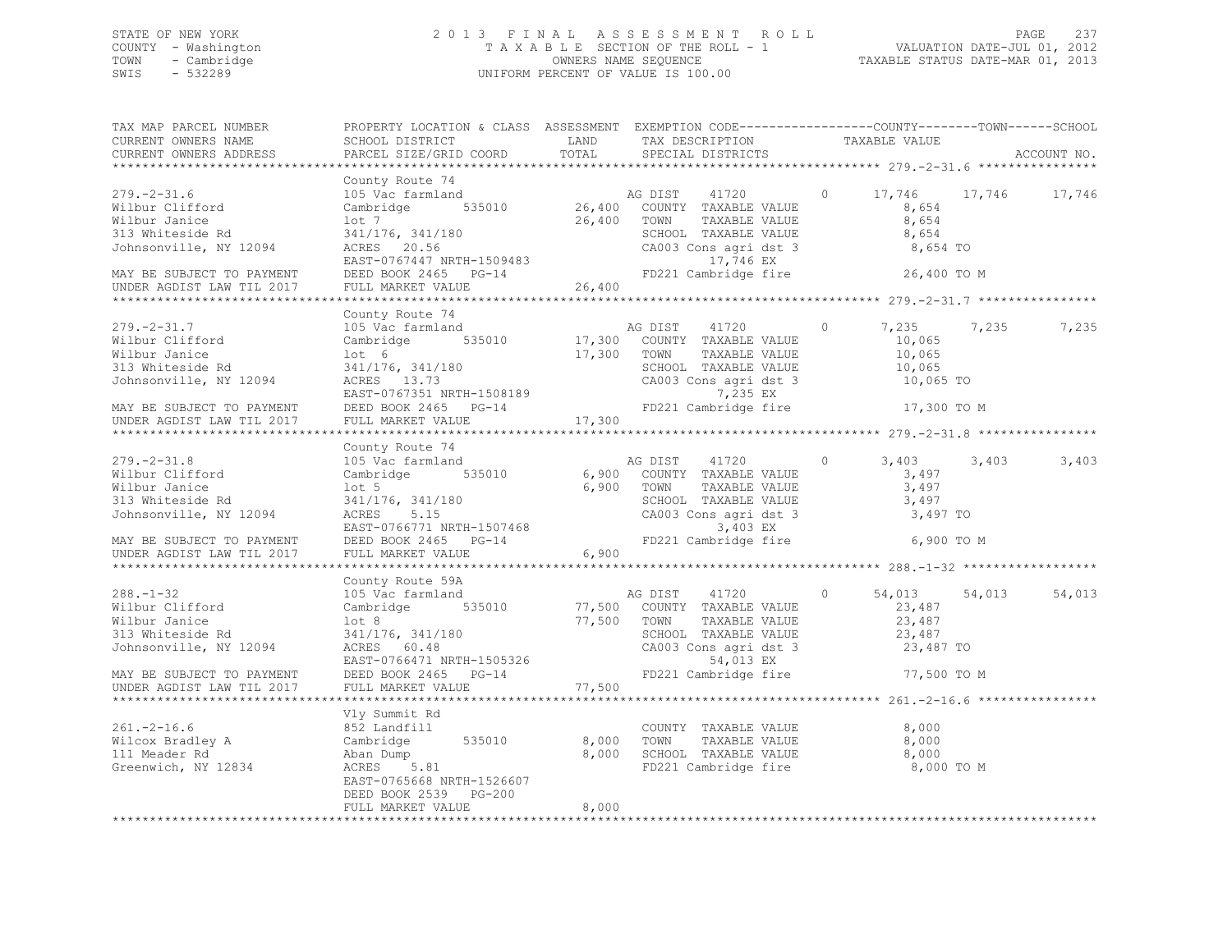## STATE OF NEW YORK 2 0 1 3 F I N A L A S S E S S M E N T R O L L PAGE 237 COUNTY - Washington T A X A B L E SECTION OF THE ROLL - 1 VALUATION DATE-JUL 01, 2012 TOWN - Cambridge OWNERS NAME SEQUENCE TAXABLE STATUS DATE-MAR 01, 2013 SWIS - 532289 UNIFORM PERCENT OF VALUE IS 100.00

| TAX MAP PARCEL NUMBER<br>CURRENT OWNERS NAME<br>CURRENT OWNERS ADDRESS                                                                                        |                                                                                                                                                                                                                                                                                  |                     |                                                                                                                                                                                 |                                                                                       |       |        |
|---------------------------------------------------------------------------------------------------------------------------------------------------------------|----------------------------------------------------------------------------------------------------------------------------------------------------------------------------------------------------------------------------------------------------------------------------------|---------------------|---------------------------------------------------------------------------------------------------------------------------------------------------------------------------------|---------------------------------------------------------------------------------------|-------|--------|
|                                                                                                                                                               |                                                                                                                                                                                                                                                                                  |                     |                                                                                                                                                                                 |                                                                                       |       |        |
| $279. - 2 - 31.6$<br>Wilbur Clifford<br>Wilbur Janice<br>313 Whiteside Rd<br>Johnsonville, NY 12094<br>MAY BE SUBJECT TO PAYMENT                              | County Route 74<br>County Route 74<br>105 Vac farmland Mag DIST 41720<br>Cambridge 535010 26,400 COUNTY TAXABLE VALUE                                                                                                                                                            |                     |                                                                                                                                                                                 | 17,746 17,746 17,746<br>$\circ$<br>8,654<br>8,654<br>8,654<br>8,654 TO<br>26,400 TO M |       |        |
| UNDER AGDIST LAW TIL 2017                                                                                                                                     | FULL MARKET VALUE                                                                                                                                                                                                                                                                | 26,400              |                                                                                                                                                                                 |                                                                                       |       |        |
|                                                                                                                                                               |                                                                                                                                                                                                                                                                                  |                     |                                                                                                                                                                                 |                                                                                       |       |        |
| $279. - 2 - 31.7$<br>Wilbur Clifford<br>Wilbur Janice<br>313 Whiteside Rd<br>Johnsonville, NY 12094<br>MAY BE SUBJECT TO PAYMENT<br>UNDER AGDIST LAW TIL 2017 | County Route 74<br>105 Vac farmland<br>Cambridge 535010 17,300 COUNTY TAXABLE VALUE<br>lot <sub>6</sub><br>341/176, 341/180<br>ACRES 13.73<br>DEED BOOK 2465 PG-14<br>FULL MARKET VALUE                                                                                          | 17,300              | AG DIST 41720<br>17,300 COOKNI IMMEDIE VALUE<br>SCHOOL TAXABLE VALUE<br>SCHOOL TAXABLE VALUE<br>CA003 Cons agri dst 3 10,065 TO<br>7,235 EX<br>FD221 Cambridge fire 17,300 TO M | $\circ$<br>7,235<br>10,065                                                            | 7,235 | 7,235  |
|                                                                                                                                                               | County Route 74                                                                                                                                                                                                                                                                  |                     |                                                                                                                                                                                 |                                                                                       |       |        |
| $279. - 2 - 31.8$<br>Wilbur Clifford<br>Wilbur Janice<br>313 Whiteside Rd<br>Johnsonville, NY 12094<br>MAY BE SUBJECT TO PAYMENT<br>UNDER AGDIST LAW TIL 2017 | 105 Vac farmland<br>Cambridge 535010<br>$1$ ot 5<br>10t 5<br>341/176, 341/180<br>ACRES 5.15<br>EAST-0766771 NRTH-1507468<br>--- 2007 2465 PG-14<br>PED221 C<br>FULL MARKET VALUE                                                                                                 | 6,900 TOWN<br>6,900 | AG DIST 41720<br>6,900 COUNTY TAXABLE VALUE<br>TAXABLE VALUE<br>SCHOOL TAXABLE VALUE<br>CA003 Cons agri dst 3 3,497 TO<br>3,403 EX<br>FD221 Cambridge fire 6,900 TO M           | $\circ$<br>3,403<br>3,497<br>3,497<br>3,497                                           | 3,403 | 3,403  |
|                                                                                                                                                               |                                                                                                                                                                                                                                                                                  |                     |                                                                                                                                                                                 |                                                                                       |       |        |
| $288. - 1 - 32$<br>Wilbur Clifford<br>Wilbur Janice<br>313 Whiteside Rd<br>Johnsonville, NY 12094<br>MAY BE SUBJECT TO PAYMENT<br>UNDER AGDIST LAW TIL 2017   | County Route 59A<br>105 Vac farmland<br>Carminiana As $11/20$<br>Carminiana 535010 77,500 COUNTY TAXABLE VALUE<br>1018 101/176, 341/180 77,500 TOWN TAXABLE VALUE<br>241/176, 341/180 57,500 TOWN TAXABLE VALUE<br>26 ACRES 60.48 CA003 Cons agri dst 3<br>EAST-0766471 NRTH-150 |                     | AG DIST 41720<br>TAXABLE VALUE<br>SCHOOL TAXABLE VALUE 23,487<br>CA003 Cons agri dst 3 23,487 TO<br>54,013 EX<br>FD221 Cambridge fire 77,500 TO M                               | $\circ$<br>54,013 54,013<br>23,487<br>23,487                                          |       | 54,013 |
|                                                                                                                                                               |                                                                                                                                                                                                                                                                                  |                     |                                                                                                                                                                                 |                                                                                       |       |        |
|                                                                                                                                                               | Vly Summit Rd                                                                                                                                                                                                                                                                    |                     |                                                                                                                                                                                 |                                                                                       |       |        |
| $261. -2 - 16.6$<br>Voltaire and the Cambridge<br>11 Meader Rd Aban Dump<br>Greenwich, NY 12834 ACRES 5.81                                                    | 852 Landfill<br>535010 8,000<br>EAST-0765668 NRTH-1526607<br>DEED BOOK 2539 PG-200                                                                                                                                                                                               |                     | COUNTY TAXABLE VALUE<br>TAXABLE VALUE<br>TOWN<br>8,000 SCHOOL TAXABLE VALUE<br>FD221 Cambridge fire 8,000 TO M                                                                  | 8,000<br>8,000<br>8,000                                                               |       |        |
|                                                                                                                                                               | FULL MARKET VALUE                                                                                                                                                                                                                                                                | 8,000               |                                                                                                                                                                                 |                                                                                       |       |        |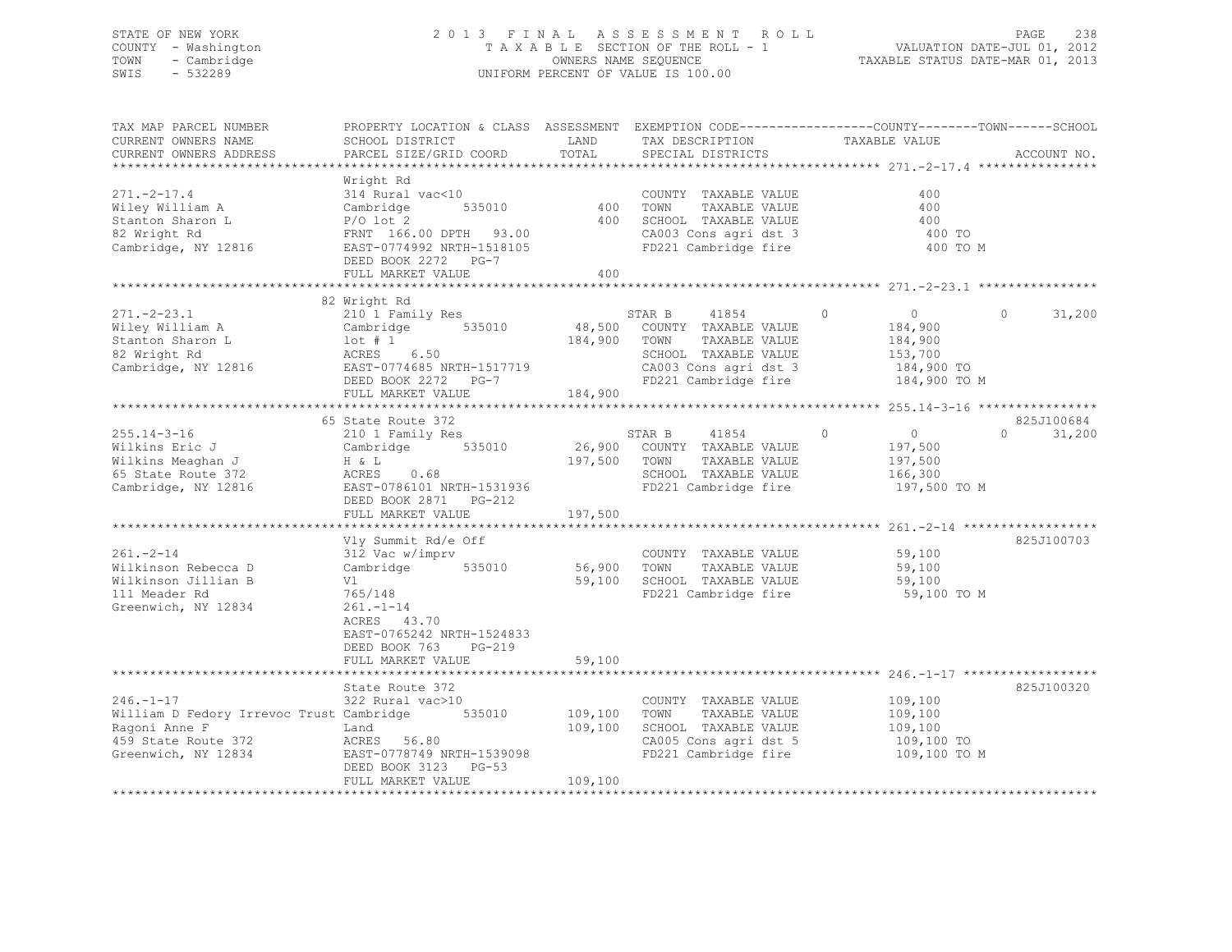## STATE OF NEW YORK 2 0 1 3 F I N A L A S S E S S M E N T R O L L PAGE 238 COUNTY - Washington T A X A B L E SECTION OF THE ROLL - 1 VALUATION DATE-JUL 01, 2012 TOWN - Cambridge OWNERS NAME SEQUENCE TAXABLE STATUS DATE-MAR 01, 2013 SWIS - 532289 UNIFORM PERCENT OF VALUE IS 100.00

| TAX MAP PARCEL NUMBER<br>CURRENT OWNERS NAME<br>CURRENT OWNERS ADDRESS                                                     | PROPERTY LOCATION & CLASS ASSESSMENT EXEMPTION CODE----------------COUNTY-------TOWN------SCHOOL<br>SCHOOL DISTRICT<br>PARCEL SIZE/GRID COORD                          | LAND<br>TOTAL                 | TAX DESCRIPTION<br>SPECIAL DISTRICTS                                                                                                      | TAXABLE VALUE                                                                            | ACCOUNT NO.                    |
|----------------------------------------------------------------------------------------------------------------------------|------------------------------------------------------------------------------------------------------------------------------------------------------------------------|-------------------------------|-------------------------------------------------------------------------------------------------------------------------------------------|------------------------------------------------------------------------------------------|--------------------------------|
| $271. - 2 - 17.4$<br>Wiley William A<br>Stanton Sharon L<br>82 Wright Rd<br>Cambridge, NY 12816                            | Wright Rd<br>314 Rural vac<10<br>535010<br>Cambridge<br>$P/O$ lot 2<br>FRNT 166.00 DPTH 93.00<br>EAST-0774992 NRTH-1518105<br>DEED BOOK 2272 PG-7<br>FULL MARKET VALUE | 400<br>400<br>400             | COUNTY TAXABLE VALUE<br>TOWN<br>TAXABLE VALUE<br>SCHOOL TAXABLE VALUE<br>CA003 Cons agri dst 3<br>FD221 Cambridge fire                    | 400<br>400<br>400<br>400 TO<br>400 TO M                                                  |                                |
|                                                                                                                            |                                                                                                                                                                        |                               |                                                                                                                                           |                                                                                          |                                |
| $271 - 2 - 23.1$<br>Wiley William A<br>Stanton Sharon L<br>82 Wright Rd<br>Cambridge, NY 12816                             | 82 Wright Rd<br>210 1 Family Res<br>535010<br>Cambridge<br>$1$ ot # 1<br>ACRES<br>6.50<br>EAST-0774685 NRTH-1517719<br>DEED BOOK 2272 PG-7<br>FULL MARKET VALUE        | 48,500<br>184,900<br>184,900  | STAR B<br>41854<br>COUNTY TAXABLE VALUE<br>TOWN<br>TAXABLE VALUE<br>SCHOOL TAXABLE VALUE<br>CA003 Cons agri dst 3<br>FD221 Cambridge fire | $\circ$<br>$\overline{0}$<br>184,900<br>184,900<br>153,700<br>184,900 TO<br>184,900 TO M | $\Omega$<br>31,200             |
|                                                                                                                            |                                                                                                                                                                        |                               |                                                                                                                                           |                                                                                          |                                |
| $255.14 - 3 - 16$<br>Wilkins Eric J<br>Wilkins Meaghan J<br>65 State Route 372<br>Cambridge, NY 12816                      | 65 State Route 372<br>210 1 Family Res<br>535010<br>Cambridge<br>H & L<br>ACRES<br>0.68<br>EAST-0786101 NRTH-1531936<br>DEED BOOK 2871 PG-212<br>FULL MARKET VALUE     | 26,900<br>197,500<br>197,500  | STAR B<br>41854<br>COUNTY TAXABLE VALUE<br>TOWN<br>TAXABLE VALUE<br>SCHOOL TAXABLE VALUE<br>FD221 Cambridge fire                          | $\circ$<br>$\overline{0}$<br>197,500<br>197,500<br>166,300<br>197,500 TO M               | 825J100684<br>31,200<br>$\cap$ |
|                                                                                                                            |                                                                                                                                                                        |                               |                                                                                                                                           |                                                                                          |                                |
| $261 - 2 - 14$<br>Wilkinson Rebecca D<br>Wilkinson Jillian B<br>111 Meader Rd<br>Greenwich, NY 12834                       | Vly Summit Rd/e Off<br>312 Vac w/imprv<br>Cambridge<br>535010<br>Vl<br>765/148<br>$261 - 1 - 14$<br>ACRES 43.70<br>EAST-0765242 NRTH-1524833                           | 56,900<br>59,100              | COUNTY TAXABLE VALUE<br>TOWN<br>TAXABLE VALUE<br>SCHOOL TAXABLE VALUE<br>FD221 Cambridge fire                                             | 59,100<br>59,100<br>59,100<br>59,100 TO M                                                | 825J100703                     |
|                                                                                                                            | DEED BOOK 763<br>PG-219                                                                                                                                                |                               |                                                                                                                                           |                                                                                          |                                |
|                                                                                                                            | FULL MARKET VALUE                                                                                                                                                      | 59,100                        |                                                                                                                                           |                                                                                          |                                |
|                                                                                                                            | State Route 372                                                                                                                                                        |                               |                                                                                                                                           |                                                                                          | 825J100320                     |
| $246. - 1 - 17$<br>William D Fedory Irrevoc Trust Cambridge<br>Ragoni Anne F<br>459 State Route 372<br>Greenwich, NY 12834 | 322 Rural vac>10<br>535010<br>Land<br>ACRES 56.80<br>EAST-0778749 NRTH-1539098<br>DEED BOOK 3123 PG-53<br>FULL MARKET VALUE                                            | 109,100<br>109,100<br>109,100 | COUNTY TAXABLE VALUE<br>TOWN<br>TAXABLE VALUE<br>SCHOOL TAXABLE VALUE<br>CA005 Cons agri dst 5<br>FD221 Cambridge fire                    | 109,100<br>109,100<br>109,100<br>109,100 TO<br>109,100 TO M                              |                                |
|                                                                                                                            |                                                                                                                                                                        |                               |                                                                                                                                           |                                                                                          |                                |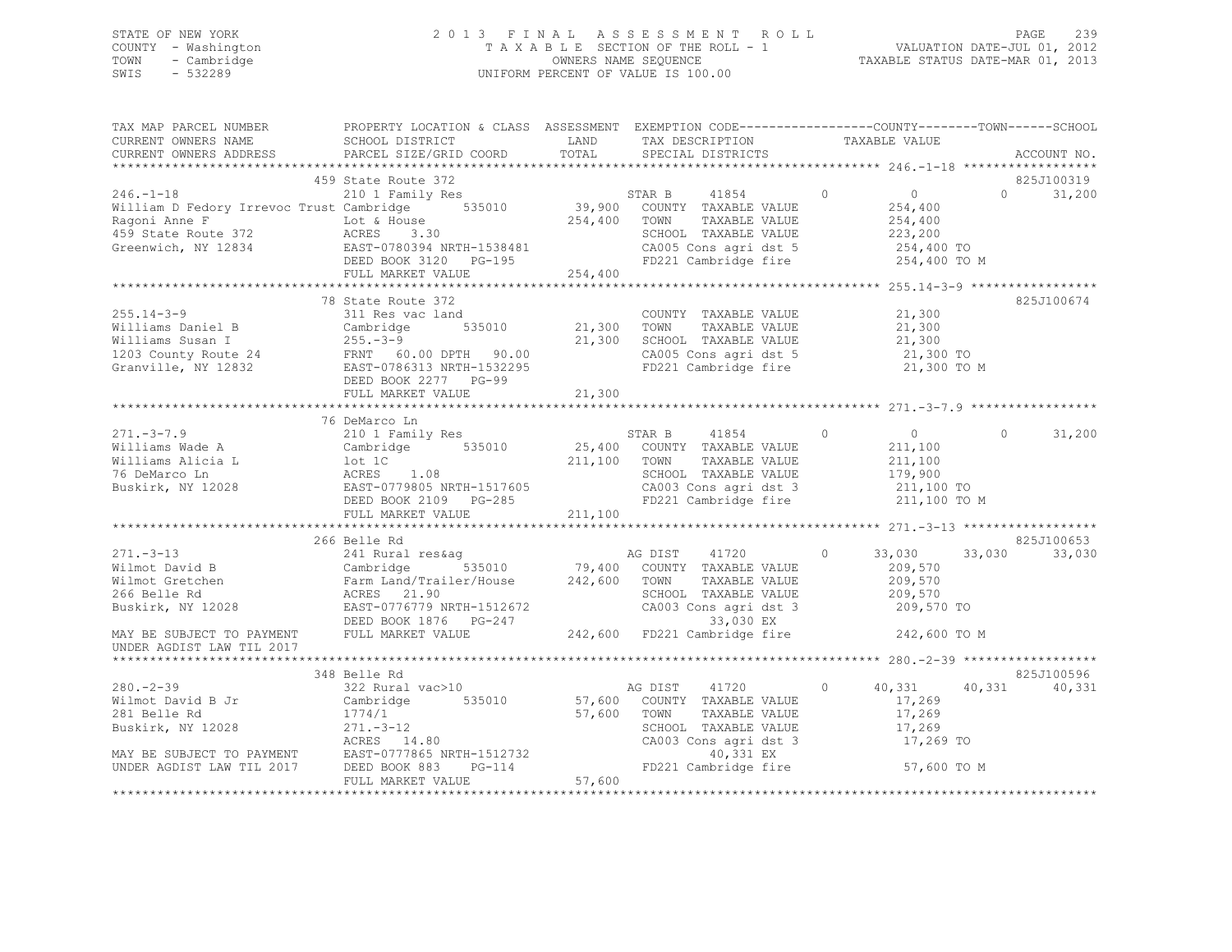## STATE OF NEW YORK 2 0 1 3 F I N A L A S S E S S M E N T R O L L PAGE 239 COUNTY - Washington T A X A B L E SECTION OF THE ROLL - 1 VALUATION DATE-JUL 01, 2012 TOWN - Cambridge OWNERS NAME SEQUENCE TAXABLE STATUS DATE-MAR 01, 2013 SWIS - 532289 UNIFORM PERCENT OF VALUE IS 100.00

| TAX MAP PARCEL NUMBER<br>CURRENT OWNERS NAME<br>CURRENT OWNERS NAME<br>CURRENT OWNERS ADDRESS ON DARCEL SIZE/GRID COORD TOTAL SPECIAL DISTRICTS                                                                                                                                                                                         | PROPERTY LOCATION & CLASS ASSESSMENT EXEMPTION CODE----------------COUNTY-------TOWN------SCHOOL |                                                                                                                           |         |                                      |                      |
|-----------------------------------------------------------------------------------------------------------------------------------------------------------------------------------------------------------------------------------------------------------------------------------------------------------------------------------------|--------------------------------------------------------------------------------------------------|---------------------------------------------------------------------------------------------------------------------------|---------|--------------------------------------|----------------------|
| CURRENT OWNERS ADDRESS                                                                                                                                                                                                                                                                                                                  | PARCEL SIZE/GRID COORD TOTAL SPECIAL DISTRICTS                                                   |                                                                                                                           |         |                                      | ACCOUNT NO.          |
|                                                                                                                                                                                                                                                                                                                                         |                                                                                                  |                                                                                                                           |         |                                      |                      |
| 46.-1-18<br>William D Fedory Irrevoc Trust Canbridge S35010<br>Milliam D Fedory Irrevoc Trust Canbridge 535010<br>EAGON IRABLE VALUE<br>Agoni Anne F<br>160 Lot & House<br>160 Lot & House<br>254,400<br>254,400<br>254,400<br>254,400<br>254,400<br>2                                                                                  |                                                                                                  |                                                                                                                           |         |                                      |                      |
|                                                                                                                                                                                                                                                                                                                                         |                                                                                                  |                                                                                                                           |         |                                      |                      |
| $255.14 - 3 - 9$<br>255.14-3-9<br>Williams Daniel B<br>Williams Susan I 255.14-300<br>Williams Susan I 255.1300<br>255.14-3-9<br>21,300<br>255.14-3-9<br>21,300<br>21,300<br>21,300<br>21,300<br>21,300<br>21,300<br>21,300<br>21,300<br>21,300<br>21,300<br>21,300<br>21,300<br>21,300<br>                                             | 78 State Route 372<br>DEED BOOK 2277 PG-99                                                       |                                                                                                                           |         |                                      | 825J100674           |
|                                                                                                                                                                                                                                                                                                                                         |                                                                                                  |                                                                                                                           |         |                                      |                      |
| $271 - 3 - 7.9$                                                                                                                                                                                                                                                                                                                         | 76 DeMarco Ln                                                                                    |                                                                                                                           |         | $\sim$ 0                             | $\Omega$<br>31,200   |
|                                                                                                                                                                                                                                                                                                                                         | 266 Belle Rd                                                                                     |                                                                                                                           |         | $0 \t 33,030 \t 33,030$              | 825J100653<br>33,030 |
| UNDER AGDIST LAW TIL 2017                                                                                                                                                                                                                                                                                                               |                                                                                                  |                                                                                                                           |         |                                      |                      |
|                                                                                                                                                                                                                                                                                                                                         | 348 Belle Rd                                                                                     |                                                                                                                           |         |                                      | 825J100596           |
| $280 - 2 - 39$<br>Wilmot David B Jr<br>Cambridge 535010 57,600 COUNTY TAXABLE VALUE<br>281 Belle Rd<br>Buskirk, NY 12028<br>MAY BE SUBJECT TO PAYMENT<br>MAY BE SUBJECT TO PAYMENT<br>MAY BE SUBJECT TO PAYMENT<br>MAY BE SUBJECT TO PAYMENT<br>EAST-0777865 NRTH-1512732<br>MAY BE SUBJECT TO PAYMENT<br>EAST-0777865 NRTH-1512732<br> | 322 Rural vac>10                                                                                 | AG DIST 41720<br>TOWN TAXABLE VALUE 17,269<br>SCHOOL TAXABLE VALUE 17,269<br>17,269<br>CA003 Cons agri dst 3<br>40,331 EX | $\circ$ | 40,331 40,331<br>17,269<br>17,269 TO | 40,331               |
|                                                                                                                                                                                                                                                                                                                                         |                                                                                                  | FD221 Cambridge fire 57,600 TO M                                                                                          |         |                                      |                      |
|                                                                                                                                                                                                                                                                                                                                         |                                                                                                  |                                                                                                                           |         |                                      |                      |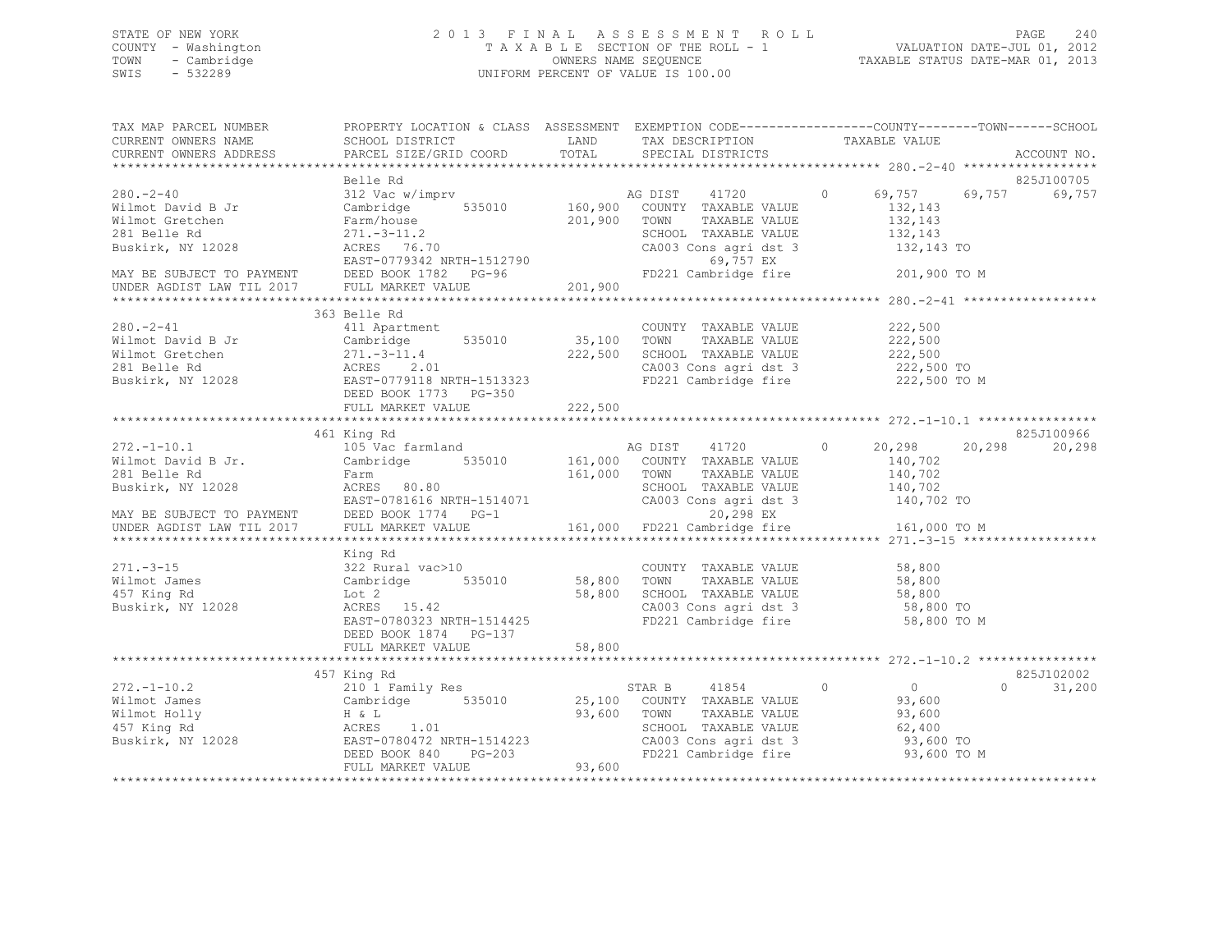## STATE OF NEW YORK 2 0 1 3 F I N A L A S S E S S M E N T R O L L PAGE 240 COUNTY - Washington T A X A B L E SECTION OF THE ROLL - 1 VALUATION DATE-JUL 01, 2012 TOWN - Cambridge OWNERS NAME SEQUENCE TAXABLE STATUS DATE-MAR 01, 2013 SWIS - 532289 UNIFORM PERCENT OF VALUE IS 100.00

| TAX MAP PARCEL NUMBER<br>CURRENT OWNERS NAME<br>CURRENT OWNERS ADDRESS                                                                                   | PROPERTY LOCATION & CLASS ASSESSMENT EXEMPTION CODE---------------COUNTY-------TOWN-----SCHOOL<br>SCHOOL DISTRICT<br>PARCEL SIZE/GRID COORD | LAND<br>TOTAL              | TAX DESCRIPTION<br>SPECIAL DISTRICTS                                                                                                     | TAXABLE VALUE                                                                                    | ACCOUNT NO.          |
|----------------------------------------------------------------------------------------------------------------------------------------------------------|---------------------------------------------------------------------------------------------------------------------------------------------|----------------------------|------------------------------------------------------------------------------------------------------------------------------------------|--------------------------------------------------------------------------------------------------|----------------------|
|                                                                                                                                                          |                                                                                                                                             |                            |                                                                                                                                          |                                                                                                  |                      |
| $280 - 2 - 40$<br>Wilmot David B Jr<br>Wilmot Gretchen<br>281 Belle Rd<br>Buskirk, NY 12028                                                              | Belle Rd<br>312 Vac w/imprv<br>Cambridge 535010 160,900 COUNTY TAXABLE VALUE<br>Farm/house<br>$271.-3-11.2$<br>ACRES 76.70                  | 201,900                    | TOWN<br>TAXABLE VALUE<br>SCHOOL TAXABLE VALUE<br>CA003 Cons agri dst 3                                                                   | AG DIST 41720 0 69,757 69,757<br>132,143<br>132,143<br>132,143<br>132,143 TO                     | 825J100705<br>69,757 |
|                                                                                                                                                          | EAST-0779342 NRTH-1512790<br>MAY BE SUBJECT TO PAYMENT<br>UNDER AGDIST LAW TIL 2017 FULL MARKET VALUE                                       | 201,900                    | 69,757 EX<br>FD221 Cambridge fire                                                                                                        | 201,900 TO M                                                                                     |                      |
|                                                                                                                                                          |                                                                                                                                             |                            |                                                                                                                                          |                                                                                                  |                      |
| $280. - 2 - 41$                                                                                                                                          | 363 Belle Rd<br>411 Apartment<br>DEED BOOK 1773 PG-350                                                                                      | 35,100<br>222,500          | COUNTY TAXABLE VALUE<br>TOWN<br>TAXABLE VALUE<br>SCHOOL TAXABLE VALUE<br>CA003 Cons agri dst 3<br>FD221 Cambridge fire                   | 222,500<br>222,500<br>222,500<br>222,500 TO<br>222,500 TO M                                      |                      |
|                                                                                                                                                          |                                                                                                                                             |                            |                                                                                                                                          |                                                                                                  |                      |
|                                                                                                                                                          |                                                                                                                                             |                            |                                                                                                                                          |                                                                                                  | 825J100966           |
| $272. - 1 - 10.1$<br>Wilmot David B Jr.<br>281 Belle Rd<br>Buskirk, NY 12028<br>MAY BE SUBJECT TO PAYMENT<br>UNDER AGDIST LAW TIL 2017 FULL MARKET VALUE | 461 King Rd<br>105 Vac farmland<br>Cambridge<br>535010<br>Farm<br>ACRES 80.80<br>EAST-0781616 NRTH-1514071                                  | 161,000 TOWN               | AG DIST 41720<br>161,000 COUNTY TAXABLE VALUE<br>TAXABLE VALUE<br>SCHOOL TAXABLE VALUE<br>20,298 EX                                      | 20,298<br>$\circ$<br>20,298<br>140,702<br>140,702<br>140,702<br>CA003 Cons agri dst 3 140,702 TO | 20,298               |
|                                                                                                                                                          |                                                                                                                                             |                            | 161,000 FD221 Cambridge fire                                                                                                             | 161,000 TO M                                                                                     |                      |
| $271. - 3 - 15$<br>Wilmot James<br>457 King Rd<br>Buskirk, NY 12028                                                                                      | King Rd<br>322 Rural vac>10<br>Cambridge 535010<br>Lot 2<br>ACRES 15.42<br>EAST-0780323 NRTH-1514425                                        | 58,800<br>58,800           | COUNTY TAXABLE VALUE 58,800<br>TOWN     TAXABLE VALUE<br>SCHOOL   TAXABLE VALUE<br>CA003 Cons agri dst 3<br>FD221 Cambridge fire         | 58,800<br>58,800<br>58,800 TO<br>58,800 TO M                                                     |                      |
|                                                                                                                                                          | DEED BOOK 1874 PG-137<br>FULL MARKET VALUE                                                                                                  | 58,800                     |                                                                                                                                          |                                                                                                  |                      |
|                                                                                                                                                          | 457 King Rd                                                                                                                                 |                            |                                                                                                                                          |                                                                                                  | 825J102002           |
| $272. - 1 - 10.2$                                                                                                                                        | 210 1 Family Res<br>FULL MARKET VALUE<br>******************                                                                                 | 25,100<br>93,600<br>93,600 | STAR B 41854 0<br>COUNTY TAXABLE VALUE<br>TOWN<br>TAXABLE VALUE<br>SCHOOL TAXABLE VALUE<br>CA003 Cons agri dst 3<br>FD221 Cambridge fire | $\overline{0}$<br>93,600<br>93,600<br>62,400<br>93,600 TO<br>93,600 TO M                         | $\Omega$<br>31,200   |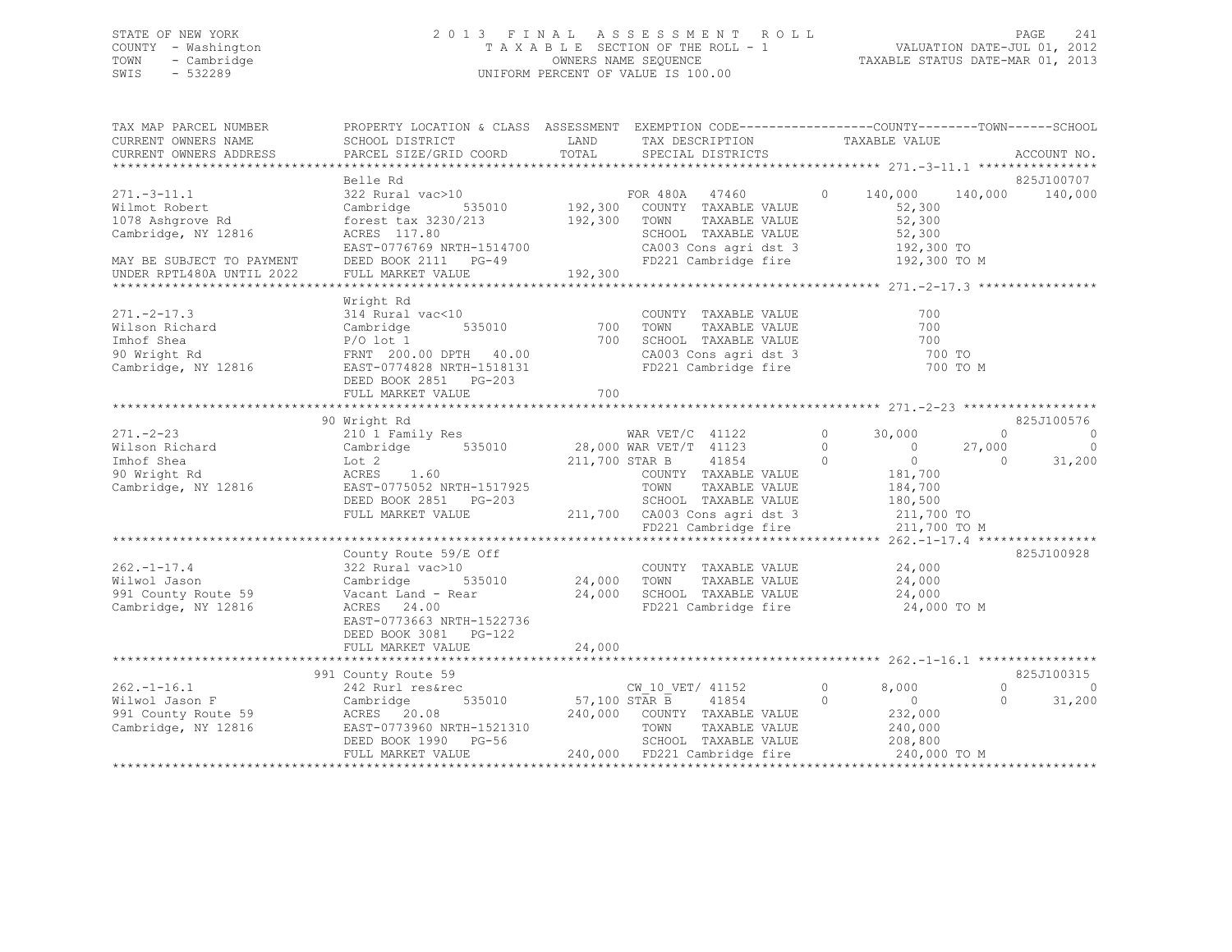## STATE OF NEW YORK 2 0 1 3 F I N A L A S S E S S M E N T R O L L PAGE 241 COUNTY - Washington T A X A B L E SECTION OF THE ROLL - 1 VALUATION DATE-JUL 01, 2012 TOWN - Cambridge OWNERS NAME SEQUENCE TAXABLE STATUS DATE-MAR 01, 2013 SWIS - 532289 UNIFORM PERCENT OF VALUE IS 100.00

| TAX MAP PARCEL NUMBER<br>CURRENT OWNERS NAME<br>CURRENT OWNERS ADDRESS                                                              | PROPERTY LOCATION & CLASS ASSESSMENT EXEMPTION CODE----------------COUNTY-------TOWN------SCHOOL<br>SCHOOL DISTRICT<br>PARCEL SIZE/GRID COORD                            | LAND<br>TOTAL        | TAX DESCRIPTION TAXABLE VALUE<br>SPECIAL DISTRICTS                                                                                         |                                                                                                       | ACCOUNT NO.                                                                   |
|-------------------------------------------------------------------------------------------------------------------------------------|--------------------------------------------------------------------------------------------------------------------------------------------------------------------------|----------------------|--------------------------------------------------------------------------------------------------------------------------------------------|-------------------------------------------------------------------------------------------------------|-------------------------------------------------------------------------------|
| $271.-3-11.1$<br>Wilmot Robert<br>1078 Ashqrove Rd<br>Cambridge, NY 12816<br>MAY BE SUBJECT TO PAYMENT<br>UNDER RPTL480A UNTIL 2022 | Belle Rd<br>forest tax 3230/213<br>ACRES 117.80<br>EAST-0776769 NRTH-1514700<br>DEED BOOK 2111 PG-49<br>FULL MARKET VALUE                                                | 192,300<br>192,300   | $\overline{0}$<br>TOWN<br>TOWN      TAXABLE VALUE<br>SCHOOL   TAXABLE VALUE<br>CA003 Cons agri dst 3<br>FD221 Cambridge fire               | 52,300<br>52,300<br>52,300<br>192,300 TO<br>192,300 TO M                                              | 825J100707<br>140,000 140,000 140,000                                         |
| $271. - 2 - 17.3$<br>Wilson Richard<br>Imhof Shea<br>90 Wright Rd<br>Cambridge, NY 12816                                            | Wright Rd<br>314 Rural vac<10<br>535010<br>Cambridge<br>$P/O$ lot 1<br>FRNT 200.00 DPTH 40.00<br>EAST-0774828 NRTH-1518131<br>DEED BOOK 2851 PG-203<br>FULL MARKET VALUE | 700<br>700<br>700    | COUNTY TAXABLE VALUE<br>TOWN<br>TAXABLE VALUE<br>SCHOOL TAXABLE VALUE<br>CA003 Cons agri dst 3<br>FD221 Cambridge fire                     | 700<br>700<br>700<br>700 TO                                                                           | 700 TO M                                                                      |
|                                                                                                                                     | 90 Wright Rd                                                                                                                                                             |                      |                                                                                                                                            |                                                                                                       | 825J100576                                                                    |
| $271. - 2 - 23$<br>Wilson Richard<br>Imhof Shea<br>90 Wright Rd<br>Cambridge, NY 12816                                              | 210 1 Family Res<br>Cambridge 535010<br>Lot 2<br>ACRES<br>1.60<br>EAST-0775052 NRTH-1517925                                                                              |                      | WAR $VET/C$ 41122<br>28,000 WAR VET/T 41123<br>211,700 STAR B<br>41854<br>COUNTY TAXABLE VALUE<br>TOWN<br>TAXABLE VALUE                    | $\circ$<br>30,000<br>$\circ$<br>$\overline{0}$<br>$\overline{0}$<br>$\bigcirc$<br>181,700<br>184,700  | $\overline{0}$<br>$\circ$<br>$\overline{0}$<br>27,000<br>31,200<br>$\bigcirc$ |
|                                                                                                                                     | DEED BOOK 2851 PG-203<br>FULL MARKET VALUE                                                                                                                               |                      | SCHOOL TAXABLE VALUE<br>211,700 CA003 Cons agri dst 3<br>FD221 Cambridge fire                                                              | 180,500<br>211,700 TO<br>211,700 TO M                                                                 |                                                                               |
|                                                                                                                                     |                                                                                                                                                                          |                      |                                                                                                                                            |                                                                                                       |                                                                               |
| $262. -1 - 17.4$<br>Wilwol Jason<br>991 County Route 59<br>Cambridge, NY 12816                                                      | County Route 59/E Off<br>322 Rural vac>10<br>535010<br>Cambridge<br>Vacant Land - Rear<br>ACRES 24.00<br>EAST-0773663 NRTH-1522736<br>DEED BOOK 3081 PG-122              | 24,000<br>24,000     | COUNTY TAXABLE VALUE<br>TOWN<br>TAXABLE VALUE<br>SCHOOL TAXABLE VALUE<br>FD221 Cambridge fire                                              | 24,000<br>24,000<br>24,000<br>24,000 TO M                                                             | 825J100928                                                                    |
|                                                                                                                                     | FULL MARKET VALUE                                                                                                                                                        | 24,000               |                                                                                                                                            |                                                                                                       |                                                                               |
|                                                                                                                                     |                                                                                                                                                                          |                      |                                                                                                                                            |                                                                                                       | 825J100315                                                                    |
| $262. - 1 - 16.1$<br>Wilwol Jason F<br>991 County Route 59<br>Cambridge, NY 12816                                                   | 991 County Route 59<br>242 Rurl res&rec<br>Cambridge<br>ACRES 20.08<br>EAST-0773960 NRTH-1521310<br>DEED BOOK 1990 PG-56<br>FULL MARKET VALUE                            | 535010 57,100 STAR B | CW 10 VET/ 41152<br>41854<br>240,000 COUNTY TAXABLE VALUE<br>TOWN<br>TAXABLE VALUE<br>SCHOOL TAXABLE VALUE<br>240,000 FD221 Cambridge fire | $\circ$<br>8,000<br>$\overline{0}$<br>$\overline{0}$<br>232,000<br>240,000<br>208,800<br>240,000 TO M | $\circ$<br>$\circ$<br>31,200<br>$\Omega$                                      |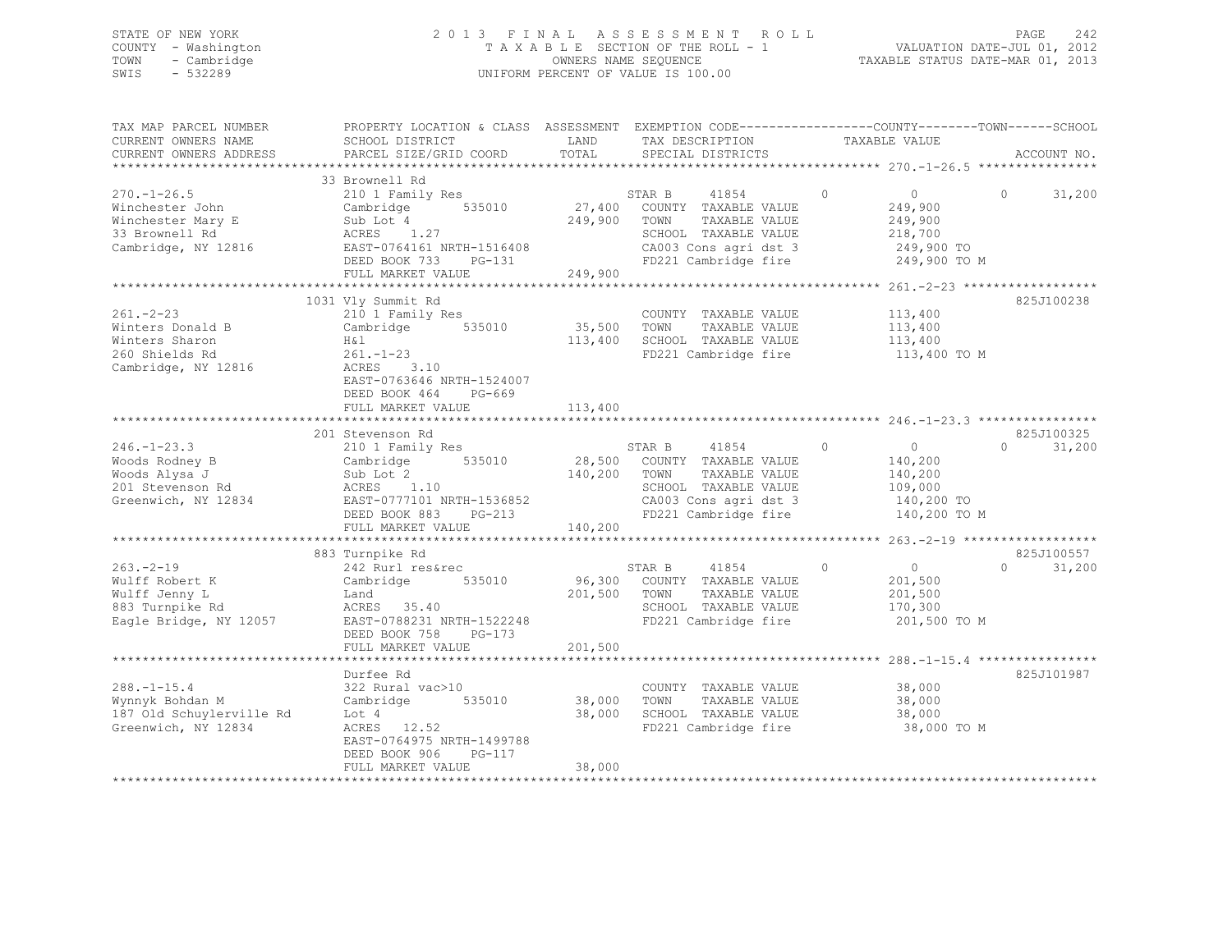## STATE OF NEW YORK 2 0 1 3 F I N A L A S S E S S M E N T R O L L PAGE 242 COUNTY - Washington T A X A B L E SECTION OF THE ROLL - 1 VALUATION DATE-JUL 01, 2012 TOWN - Cambridge OWNERS NAME SEQUENCE TAXABLE STATUS DATE-MAR 01, 2013 SWIS - 532289 UNIFORM PERCENT OF VALUE IS 100.00

| TAX MAP PARCEL NUMBER<br>CURRENT OWNERS NAME<br>CURRENT OWNERS ADDRESS<br>************************** | PROPERTY LOCATION & CLASS ASSESSMENT<br>SCHOOL DISTRICT<br>PARCEL SIZE/GRID COORD                                                                                                            | LAND<br>TOTAL                                 | TAX DESCRIPTION<br>SPECIAL DISTRICTS                                                                                                      | EXEMPTION CODE-----------------COUNTY-------TOWN------SCHOOL<br>TAXABLE VALUE                                                            | ACCOUNT NO.                      |
|------------------------------------------------------------------------------------------------------|----------------------------------------------------------------------------------------------------------------------------------------------------------------------------------------------|-----------------------------------------------|-------------------------------------------------------------------------------------------------------------------------------------------|------------------------------------------------------------------------------------------------------------------------------------------|----------------------------------|
| $270. - 1 - 26.5$<br>Winchester John<br>Winchester Mary E<br>33 Brownell Rd<br>Cambridge, NY 12816   | 33 Brownell Rd<br>210 1 Family Res<br>535010<br>Cambridge<br>Sub Lot 4<br>ACRES 1.27<br>EAST-0764161 NRTH-1516408<br>DEED BOOK 733<br>PG-131<br>FULL MARKET VALUE<br>*********************** | 27,400<br>249,900<br>249,900<br>************* | STAR B<br>41854<br>COUNTY TAXABLE VALUE<br>TOWN<br>TAXABLE VALUE<br>SCHOOL TAXABLE VALUE<br>CA003 Cons agri dst 3<br>FD221 Cambridge fire | $\circ$<br>$\overline{0}$<br>249,900<br>249,900<br>218,700<br>249,900 TO<br>249,900 TO M<br>*************** 261.-2-23 ****************** | 31,200<br>$\Omega$               |
| $261. - 2 - 23$<br>Winters Donald B<br>Winters Sharon<br>260 Shields Rd<br>Cambridge, NY 12816       | 1031 Vly Summit Rd<br>210 1 Family Res<br>535010<br>Cambridge<br>H&l<br>$261. - 1 - 23$<br>ACRES<br>3.10<br>EAST-0763646 NRTH-1524007<br>DEED BOOK 464<br>PG-669<br>FULL MARKET VALUE        | 35,500<br>113,400<br>113,400                  | COUNTY TAXABLE VALUE<br>TOWN<br>TAXABLE VALUE<br>SCHOOL TAXABLE VALUE<br>FD221 Cambridge fire                                             | 113,400<br>113,400<br>113,400<br>113,400 TO M                                                                                            | 825J100238                       |
| $246. - 1 - 23.3$<br>Woods Rodney B<br>Woods Alysa J<br>201 Stevenson Rd<br>Greenwich, NY 12834      | 201 Stevenson Rd<br>210 1 Family Res<br>Cambridge<br>535010<br>Sub Lot 2<br>ACRES<br>1.10<br>EAST-0777101 NRTH-1536852<br>DEED BOOK 883<br>$PG-213$<br>FULL MARKET VALUE                     | 28,500<br>140,200<br>140,200                  | 41854<br>STAR B<br>COUNTY TAXABLE VALUE<br>TOWN<br>TAXABLE VALUE<br>SCHOOL TAXABLE VALUE<br>CA003 Cons agri dst 3<br>FD221 Cambridge fire | $\circ$<br>$\overline{0}$<br>140,200<br>140,200<br>109,000<br>140,200 TO<br>140,200 TO M                                                 | 825J100325<br>$\Omega$<br>31,200 |
| $263 - 2 - 19$<br>Wulff Robert K<br>Wulff Jenny L<br>883 Turnpike Rd<br>Eagle Bridge, NY 12057       | 883 Turnpike Rd<br>242 Rurl res&rec<br>Cambridge<br>535010<br>Land<br>ACRES 35.40<br>EAST-0788231 NRTH-1522248<br>DEED BOOK 758<br>$PG-173$<br>FULL MARKET VALUE<br>***********************  | 96,300<br>201,500<br>201,500<br>************  | 41854<br>STAR B<br>COUNTY TAXABLE VALUE<br>TOWN<br>TAXABLE VALUE<br>SCHOOL TAXABLE VALUE<br>FD221 Cambridge fire                          | $\circ$<br>$\circ$<br>201,500<br>201,500<br>170,300<br>201,500 TO M                                                                      | 825J100557<br>31,200<br>$\Omega$ |
| $288. - 1 - 15.4$<br>Wynnyk Bohdan M<br>187 Old Schuylerville Rd<br>Greenwich, NY 12834              | Durfee Rd<br>322 Rural vac>10<br>Cambridge<br>535010<br>Lot 4<br>ACRES 12.52<br>EAST-0764975 NRTH-1499788<br>DEED BOOK 906<br>PG-117<br>FULL MARKET VALUE                                    | 38,000<br>38,000<br>38,000                    | COUNTY TAXABLE VALUE<br>TOWN<br>TAXABLE VALUE<br>SCHOOL TAXABLE VALUE<br>FD221 Cambridge fire                                             | 38,000<br>38,000<br>38,000<br>38,000 TO M                                                                                                | 825J101987                       |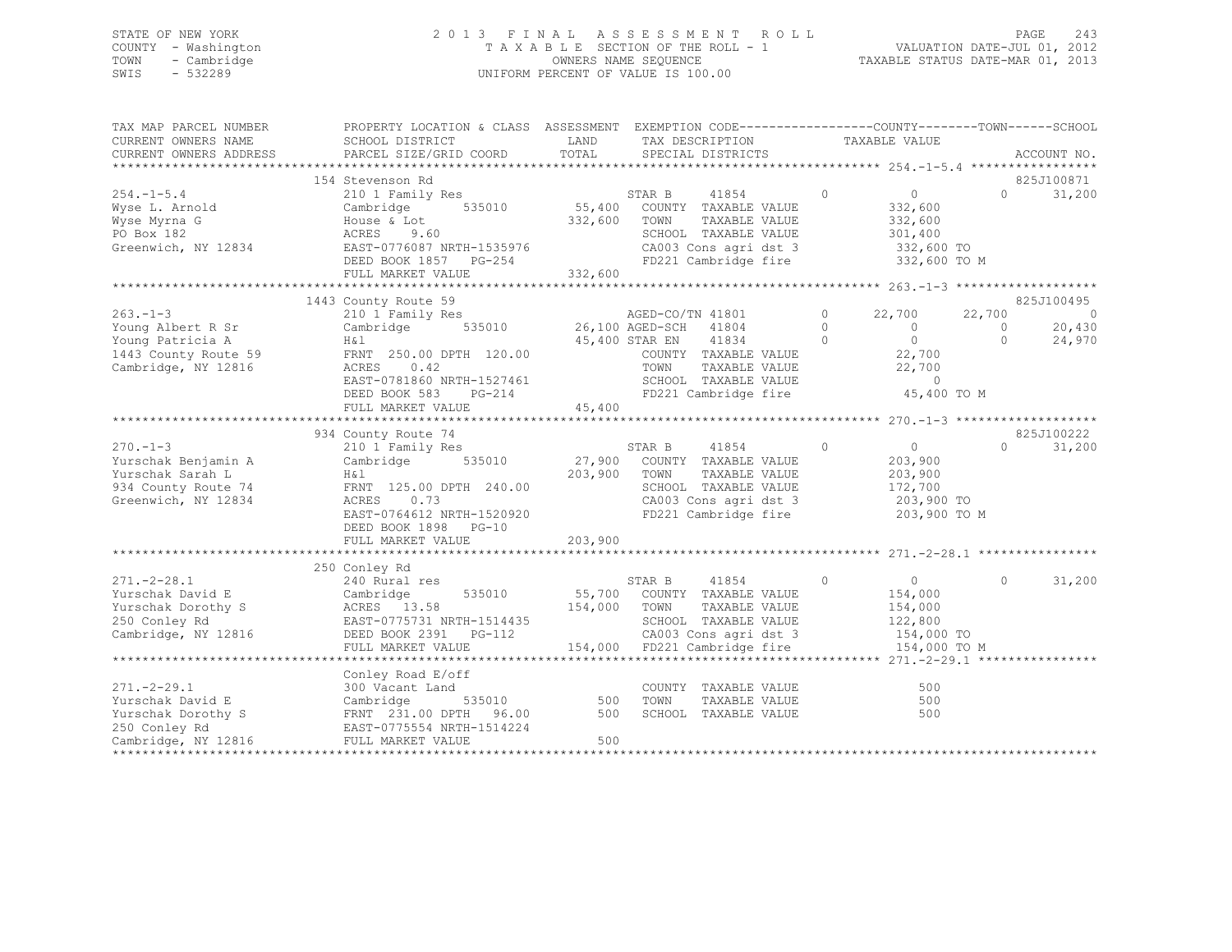## STATE OF NEW YORK 2 0 1 3 F I N A L A S S E S S M E N T R O L L PAGE 243 COUNTY - Washington T A X A B L E SECTION OF THE ROLL - 1 VALUATION DATE-JUL 01, 2012 TOWN - Cambridge OWNERS NAME SEQUENCE TAXABLE STATUS DATE-MAR 01, 2013 SWIS - 532289 UNIFORM PERCENT OF VALUE IS 100.00

| PARCEL SIZE/GRID COORD<br>SPECIAL DISTRICTS<br>CURRENT OWNERS ADDRESS<br>ACCOUNT NO.<br>825J100871<br>154 Stevenson Rd<br>$\circ$<br>31,200<br>$254. -1 - 5.4$<br>210 1 Family Res<br>STAR B<br>41854<br>$\overline{0}$<br>$\cap$<br>55,400 COUNTY TAXABLE VALUE<br>Cambridge 535010<br>332,600<br>Wyse L. Arnold<br>332,600 TOWN<br>TAXABLE VALUE<br>332,600<br>Wyse Myrna G<br>House & Lot<br>301,400<br>PO Box 182<br>ACRES 9.60<br>SCHOOL TAXABLE VALUE<br>CA003 Cons agri dst 3<br>Greenwich, NY 12834<br>EAST-0776087 NRTH-1535976<br>332,600 TO<br>FD221 Cambridge fire<br>DEED BOOK 1857 PG-254<br>332,600 TO M<br>332,600<br>FULL MARKET VALUE<br>825J100495<br>1443 County Route 59<br>County Route 59<br>210 1 Family Res<br>Cambridge 535010 26,100 AGED-SCH 41804<br>$263 - 1 - 3$<br>$\circ$<br>22,700<br>22,700<br>$\bigcirc$<br>$\Omega$<br>$\overline{0}$<br>$\Omega$<br>20,430<br>Young Albert R Sr<br>$\begin{array}{c}0\\22.700\end{array}$<br>$\bigcirc$<br>24,970<br>Young Patricia A<br>H&l<br>45,400 STAR EN 41834<br>$\Omega$<br>H <sub>&amp;1</sub><br>FRNT 250.00 DPTH 120.00<br>COUNTY TAXABLE VALUE<br>22,700<br>1443 County Route 59<br>22,700<br>Cambridge, NY 12816<br>ACRES<br>0.42<br>TOWN<br>TAXABLE VALUE<br>EAST-0781860 NRTH-1527461<br>SCHOOL TAXABLE VALUE<br>$\Omega$<br>DUNUUL TAXABLE VALUE<br>FD221 Cambridge fire<br>45,400 TO M<br>DEED BOOK 583<br>PG-214<br>45,400<br>FULL MARKET VALUE<br>934 County Route 74<br>825J100222<br>$270. - 1 - 3$<br>$\circ$<br>210 1 Family Res<br>STAR B<br>41854<br>$\overline{0}$<br>$\Omega$<br>31,200<br>535010 27,900 COUNTY TAXABLE VALUE<br>Cambridge<br>203,900<br>Yurschak Benjamin A<br>203,900 TOWN<br>TAXABLE VALUE<br>Yurschak Sarah L<br>H & l<br>203,900<br>172,700<br>934 County Route 74<br>FRNT 125.00 DPTH 240.00<br>SCHOOL TAXABLE VALUE<br>ACRES<br>0.73<br>CA003 Cons agri dst 3<br>FD221 Cambridge fire<br>203,900 TO<br>EAST-0764612 NRTH-1520920<br>203,900 TO M<br>DEED BOOK 1898 PG-10<br>203,900<br>FULL MARKET VALUE<br>************************************ 271.-2-28.1 ****<br>******************************<br>**************<br>250 Conley Rd<br>240 Rural res<br>$\overline{0}$<br>31,200<br>$271 - 2 - 28.1$<br>STAR B<br>41854<br>$\sim$ 0<br>$\circ$<br>55,700 COUNTY TAXABLE VALUE<br>Yurschak David E<br>535010<br>154,000<br>Cambridge<br>ACRES 13.58<br>154,000 TOWN<br>TAXABLE VALUE<br>154,000<br>Yurschak Dorothy S<br>EAST-0775731 NRTH-1514435<br>DEED BOOK 2391 PG-112<br>250 Conley Rd<br>SCHOOL TAXABLE VALUE<br>122,800<br>154,000 TO<br>112 CA003 Cons agri dst 3 154,000 TO<br>154,000 FD221 Cambridge fire 154,000 TO M<br>DEED BOOK 2391 PG-112<br>FULL MARKET VALUE<br>Conley Road E/off<br>$271. - 2 - 29.1$<br>300 Vacant Land<br>COUNTY TAXABLE VALUE<br>500<br>535010 500<br>Cambridge<br>Yurschak David E<br>TOWN<br>TAXABLE VALUE<br>500<br>FRNT 231.00 DPTH 96.00 500<br>EAST-0775554 NRTH-1514224<br>SCHOOL TAXABLE VALUE<br>500<br>Cambridge, NY 12816<br>FULL MARKET VALUE<br>500 | TAX MAP PARCEL NUMBER<br>CURRENT OWNERS NAME | PROPERTY LOCATION & CLASS ASSESSMENT EXEMPTION CODE---------------COUNTY-------TOWN-----SCHOOL<br>SCHOOL DISTRICT | LAND<br>TOTAL | TAX DESCRIPTION | TAXABLE VALUE |  |
|------------------------------------------------------------------------------------------------------------------------------------------------------------------------------------------------------------------------------------------------------------------------------------------------------------------------------------------------------------------------------------------------------------------------------------------------------------------------------------------------------------------------------------------------------------------------------------------------------------------------------------------------------------------------------------------------------------------------------------------------------------------------------------------------------------------------------------------------------------------------------------------------------------------------------------------------------------------------------------------------------------------------------------------------------------------------------------------------------------------------------------------------------------------------------------------------------------------------------------------------------------------------------------------------------------------------------------------------------------------------------------------------------------------------------------------------------------------------------------------------------------------------------------------------------------------------------------------------------------------------------------------------------------------------------------------------------------------------------------------------------------------------------------------------------------------------------------------------------------------------------------------------------------------------------------------------------------------------------------------------------------------------------------------------------------------------------------------------------------------------------------------------------------------------------------------------------------------------------------------------------------------------------------------------------------------------------------------------------------------------------------------------------------------------------------------------------------------------------------------------------------------------------------------------------------------------------------------------------------------------------------------------------------------------------------------------------------------------------------------------------------------------------------------------------------------------------------------------------------------------------------------------------------------------------------------------------------------------------------------------------------------------------------|----------------------------------------------|-------------------------------------------------------------------------------------------------------------------|---------------|-----------------|---------------|--|
|                                                                                                                                                                                                                                                                                                                                                                                                                                                                                                                                                                                                                                                                                                                                                                                                                                                                                                                                                                                                                                                                                                                                                                                                                                                                                                                                                                                                                                                                                                                                                                                                                                                                                                                                                                                                                                                                                                                                                                                                                                                                                                                                                                                                                                                                                                                                                                                                                                                                                                                                                                                                                                                                                                                                                                                                                                                                                                                                                                                                                                    |                                              |                                                                                                                   |               |                 |               |  |
|                                                                                                                                                                                                                                                                                                                                                                                                                                                                                                                                                                                                                                                                                                                                                                                                                                                                                                                                                                                                                                                                                                                                                                                                                                                                                                                                                                                                                                                                                                                                                                                                                                                                                                                                                                                                                                                                                                                                                                                                                                                                                                                                                                                                                                                                                                                                                                                                                                                                                                                                                                                                                                                                                                                                                                                                                                                                                                                                                                                                                                    |                                              |                                                                                                                   |               |                 |               |  |
|                                                                                                                                                                                                                                                                                                                                                                                                                                                                                                                                                                                                                                                                                                                                                                                                                                                                                                                                                                                                                                                                                                                                                                                                                                                                                                                                                                                                                                                                                                                                                                                                                                                                                                                                                                                                                                                                                                                                                                                                                                                                                                                                                                                                                                                                                                                                                                                                                                                                                                                                                                                                                                                                                                                                                                                                                                                                                                                                                                                                                                    |                                              |                                                                                                                   |               |                 |               |  |
|                                                                                                                                                                                                                                                                                                                                                                                                                                                                                                                                                                                                                                                                                                                                                                                                                                                                                                                                                                                                                                                                                                                                                                                                                                                                                                                                                                                                                                                                                                                                                                                                                                                                                                                                                                                                                                                                                                                                                                                                                                                                                                                                                                                                                                                                                                                                                                                                                                                                                                                                                                                                                                                                                                                                                                                                                                                                                                                                                                                                                                    |                                              |                                                                                                                   |               |                 |               |  |
|                                                                                                                                                                                                                                                                                                                                                                                                                                                                                                                                                                                                                                                                                                                                                                                                                                                                                                                                                                                                                                                                                                                                                                                                                                                                                                                                                                                                                                                                                                                                                                                                                                                                                                                                                                                                                                                                                                                                                                                                                                                                                                                                                                                                                                                                                                                                                                                                                                                                                                                                                                                                                                                                                                                                                                                                                                                                                                                                                                                                                                    |                                              |                                                                                                                   |               |                 |               |  |
|                                                                                                                                                                                                                                                                                                                                                                                                                                                                                                                                                                                                                                                                                                                                                                                                                                                                                                                                                                                                                                                                                                                                                                                                                                                                                                                                                                                                                                                                                                                                                                                                                                                                                                                                                                                                                                                                                                                                                                                                                                                                                                                                                                                                                                                                                                                                                                                                                                                                                                                                                                                                                                                                                                                                                                                                                                                                                                                                                                                                                                    |                                              |                                                                                                                   |               |                 |               |  |
|                                                                                                                                                                                                                                                                                                                                                                                                                                                                                                                                                                                                                                                                                                                                                                                                                                                                                                                                                                                                                                                                                                                                                                                                                                                                                                                                                                                                                                                                                                                                                                                                                                                                                                                                                                                                                                                                                                                                                                                                                                                                                                                                                                                                                                                                                                                                                                                                                                                                                                                                                                                                                                                                                                                                                                                                                                                                                                                                                                                                                                    |                                              |                                                                                                                   |               |                 |               |  |
|                                                                                                                                                                                                                                                                                                                                                                                                                                                                                                                                                                                                                                                                                                                                                                                                                                                                                                                                                                                                                                                                                                                                                                                                                                                                                                                                                                                                                                                                                                                                                                                                                                                                                                                                                                                                                                                                                                                                                                                                                                                                                                                                                                                                                                                                                                                                                                                                                                                                                                                                                                                                                                                                                                                                                                                                                                                                                                                                                                                                                                    |                                              |                                                                                                                   |               |                 |               |  |
|                                                                                                                                                                                                                                                                                                                                                                                                                                                                                                                                                                                                                                                                                                                                                                                                                                                                                                                                                                                                                                                                                                                                                                                                                                                                                                                                                                                                                                                                                                                                                                                                                                                                                                                                                                                                                                                                                                                                                                                                                                                                                                                                                                                                                                                                                                                                                                                                                                                                                                                                                                                                                                                                                                                                                                                                                                                                                                                                                                                                                                    |                                              |                                                                                                                   |               |                 |               |  |
|                                                                                                                                                                                                                                                                                                                                                                                                                                                                                                                                                                                                                                                                                                                                                                                                                                                                                                                                                                                                                                                                                                                                                                                                                                                                                                                                                                                                                                                                                                                                                                                                                                                                                                                                                                                                                                                                                                                                                                                                                                                                                                                                                                                                                                                                                                                                                                                                                                                                                                                                                                                                                                                                                                                                                                                                                                                                                                                                                                                                                                    |                                              |                                                                                                                   |               |                 |               |  |
|                                                                                                                                                                                                                                                                                                                                                                                                                                                                                                                                                                                                                                                                                                                                                                                                                                                                                                                                                                                                                                                                                                                                                                                                                                                                                                                                                                                                                                                                                                                                                                                                                                                                                                                                                                                                                                                                                                                                                                                                                                                                                                                                                                                                                                                                                                                                                                                                                                                                                                                                                                                                                                                                                                                                                                                                                                                                                                                                                                                                                                    |                                              |                                                                                                                   |               |                 |               |  |
|                                                                                                                                                                                                                                                                                                                                                                                                                                                                                                                                                                                                                                                                                                                                                                                                                                                                                                                                                                                                                                                                                                                                                                                                                                                                                                                                                                                                                                                                                                                                                                                                                                                                                                                                                                                                                                                                                                                                                                                                                                                                                                                                                                                                                                                                                                                                                                                                                                                                                                                                                                                                                                                                                                                                                                                                                                                                                                                                                                                                                                    |                                              |                                                                                                                   |               |                 |               |  |
|                                                                                                                                                                                                                                                                                                                                                                                                                                                                                                                                                                                                                                                                                                                                                                                                                                                                                                                                                                                                                                                                                                                                                                                                                                                                                                                                                                                                                                                                                                                                                                                                                                                                                                                                                                                                                                                                                                                                                                                                                                                                                                                                                                                                                                                                                                                                                                                                                                                                                                                                                                                                                                                                                                                                                                                                                                                                                                                                                                                                                                    |                                              |                                                                                                                   |               |                 |               |  |
|                                                                                                                                                                                                                                                                                                                                                                                                                                                                                                                                                                                                                                                                                                                                                                                                                                                                                                                                                                                                                                                                                                                                                                                                                                                                                                                                                                                                                                                                                                                                                                                                                                                                                                                                                                                                                                                                                                                                                                                                                                                                                                                                                                                                                                                                                                                                                                                                                                                                                                                                                                                                                                                                                                                                                                                                                                                                                                                                                                                                                                    |                                              |                                                                                                                   |               |                 |               |  |
|                                                                                                                                                                                                                                                                                                                                                                                                                                                                                                                                                                                                                                                                                                                                                                                                                                                                                                                                                                                                                                                                                                                                                                                                                                                                                                                                                                                                                                                                                                                                                                                                                                                                                                                                                                                                                                                                                                                                                                                                                                                                                                                                                                                                                                                                                                                                                                                                                                                                                                                                                                                                                                                                                                                                                                                                                                                                                                                                                                                                                                    |                                              |                                                                                                                   |               |                 |               |  |
|                                                                                                                                                                                                                                                                                                                                                                                                                                                                                                                                                                                                                                                                                                                                                                                                                                                                                                                                                                                                                                                                                                                                                                                                                                                                                                                                                                                                                                                                                                                                                                                                                                                                                                                                                                                                                                                                                                                                                                                                                                                                                                                                                                                                                                                                                                                                                                                                                                                                                                                                                                                                                                                                                                                                                                                                                                                                                                                                                                                                                                    |                                              |                                                                                                                   |               |                 |               |  |
|                                                                                                                                                                                                                                                                                                                                                                                                                                                                                                                                                                                                                                                                                                                                                                                                                                                                                                                                                                                                                                                                                                                                                                                                                                                                                                                                                                                                                                                                                                                                                                                                                                                                                                                                                                                                                                                                                                                                                                                                                                                                                                                                                                                                                                                                                                                                                                                                                                                                                                                                                                                                                                                                                                                                                                                                                                                                                                                                                                                                                                    |                                              |                                                                                                                   |               |                 |               |  |
|                                                                                                                                                                                                                                                                                                                                                                                                                                                                                                                                                                                                                                                                                                                                                                                                                                                                                                                                                                                                                                                                                                                                                                                                                                                                                                                                                                                                                                                                                                                                                                                                                                                                                                                                                                                                                                                                                                                                                                                                                                                                                                                                                                                                                                                                                                                                                                                                                                                                                                                                                                                                                                                                                                                                                                                                                                                                                                                                                                                                                                    |                                              |                                                                                                                   |               |                 |               |  |
|                                                                                                                                                                                                                                                                                                                                                                                                                                                                                                                                                                                                                                                                                                                                                                                                                                                                                                                                                                                                                                                                                                                                                                                                                                                                                                                                                                                                                                                                                                                                                                                                                                                                                                                                                                                                                                                                                                                                                                                                                                                                                                                                                                                                                                                                                                                                                                                                                                                                                                                                                                                                                                                                                                                                                                                                                                                                                                                                                                                                                                    |                                              |                                                                                                                   |               |                 |               |  |
|                                                                                                                                                                                                                                                                                                                                                                                                                                                                                                                                                                                                                                                                                                                                                                                                                                                                                                                                                                                                                                                                                                                                                                                                                                                                                                                                                                                                                                                                                                                                                                                                                                                                                                                                                                                                                                                                                                                                                                                                                                                                                                                                                                                                                                                                                                                                                                                                                                                                                                                                                                                                                                                                                                                                                                                                                                                                                                                                                                                                                                    |                                              |                                                                                                                   |               |                 |               |  |
|                                                                                                                                                                                                                                                                                                                                                                                                                                                                                                                                                                                                                                                                                                                                                                                                                                                                                                                                                                                                                                                                                                                                                                                                                                                                                                                                                                                                                                                                                                                                                                                                                                                                                                                                                                                                                                                                                                                                                                                                                                                                                                                                                                                                                                                                                                                                                                                                                                                                                                                                                                                                                                                                                                                                                                                                                                                                                                                                                                                                                                    |                                              |                                                                                                                   |               |                 |               |  |
|                                                                                                                                                                                                                                                                                                                                                                                                                                                                                                                                                                                                                                                                                                                                                                                                                                                                                                                                                                                                                                                                                                                                                                                                                                                                                                                                                                                                                                                                                                                                                                                                                                                                                                                                                                                                                                                                                                                                                                                                                                                                                                                                                                                                                                                                                                                                                                                                                                                                                                                                                                                                                                                                                                                                                                                                                                                                                                                                                                                                                                    |                                              |                                                                                                                   |               |                 |               |  |
|                                                                                                                                                                                                                                                                                                                                                                                                                                                                                                                                                                                                                                                                                                                                                                                                                                                                                                                                                                                                                                                                                                                                                                                                                                                                                                                                                                                                                                                                                                                                                                                                                                                                                                                                                                                                                                                                                                                                                                                                                                                                                                                                                                                                                                                                                                                                                                                                                                                                                                                                                                                                                                                                                                                                                                                                                                                                                                                                                                                                                                    |                                              |                                                                                                                   |               |                 |               |  |
|                                                                                                                                                                                                                                                                                                                                                                                                                                                                                                                                                                                                                                                                                                                                                                                                                                                                                                                                                                                                                                                                                                                                                                                                                                                                                                                                                                                                                                                                                                                                                                                                                                                                                                                                                                                                                                                                                                                                                                                                                                                                                                                                                                                                                                                                                                                                                                                                                                                                                                                                                                                                                                                                                                                                                                                                                                                                                                                                                                                                                                    |                                              |                                                                                                                   |               |                 |               |  |
|                                                                                                                                                                                                                                                                                                                                                                                                                                                                                                                                                                                                                                                                                                                                                                                                                                                                                                                                                                                                                                                                                                                                                                                                                                                                                                                                                                                                                                                                                                                                                                                                                                                                                                                                                                                                                                                                                                                                                                                                                                                                                                                                                                                                                                                                                                                                                                                                                                                                                                                                                                                                                                                                                                                                                                                                                                                                                                                                                                                                                                    |                                              |                                                                                                                   |               |                 |               |  |
|                                                                                                                                                                                                                                                                                                                                                                                                                                                                                                                                                                                                                                                                                                                                                                                                                                                                                                                                                                                                                                                                                                                                                                                                                                                                                                                                                                                                                                                                                                                                                                                                                                                                                                                                                                                                                                                                                                                                                                                                                                                                                                                                                                                                                                                                                                                                                                                                                                                                                                                                                                                                                                                                                                                                                                                                                                                                                                                                                                                                                                    | Greenwich, NY 12834                          |                                                                                                                   |               |                 |               |  |
|                                                                                                                                                                                                                                                                                                                                                                                                                                                                                                                                                                                                                                                                                                                                                                                                                                                                                                                                                                                                                                                                                                                                                                                                                                                                                                                                                                                                                                                                                                                                                                                                                                                                                                                                                                                                                                                                                                                                                                                                                                                                                                                                                                                                                                                                                                                                                                                                                                                                                                                                                                                                                                                                                                                                                                                                                                                                                                                                                                                                                                    |                                              |                                                                                                                   |               |                 |               |  |
|                                                                                                                                                                                                                                                                                                                                                                                                                                                                                                                                                                                                                                                                                                                                                                                                                                                                                                                                                                                                                                                                                                                                                                                                                                                                                                                                                                                                                                                                                                                                                                                                                                                                                                                                                                                                                                                                                                                                                                                                                                                                                                                                                                                                                                                                                                                                                                                                                                                                                                                                                                                                                                                                                                                                                                                                                                                                                                                                                                                                                                    |                                              |                                                                                                                   |               |                 |               |  |
|                                                                                                                                                                                                                                                                                                                                                                                                                                                                                                                                                                                                                                                                                                                                                                                                                                                                                                                                                                                                                                                                                                                                                                                                                                                                                                                                                                                                                                                                                                                                                                                                                                                                                                                                                                                                                                                                                                                                                                                                                                                                                                                                                                                                                                                                                                                                                                                                                                                                                                                                                                                                                                                                                                                                                                                                                                                                                                                                                                                                                                    |                                              |                                                                                                                   |               |                 |               |  |
|                                                                                                                                                                                                                                                                                                                                                                                                                                                                                                                                                                                                                                                                                                                                                                                                                                                                                                                                                                                                                                                                                                                                                                                                                                                                                                                                                                                                                                                                                                                                                                                                                                                                                                                                                                                                                                                                                                                                                                                                                                                                                                                                                                                                                                                                                                                                                                                                                                                                                                                                                                                                                                                                                                                                                                                                                                                                                                                                                                                                                                    |                                              |                                                                                                                   |               |                 |               |  |
|                                                                                                                                                                                                                                                                                                                                                                                                                                                                                                                                                                                                                                                                                                                                                                                                                                                                                                                                                                                                                                                                                                                                                                                                                                                                                                                                                                                                                                                                                                                                                                                                                                                                                                                                                                                                                                                                                                                                                                                                                                                                                                                                                                                                                                                                                                                                                                                                                                                                                                                                                                                                                                                                                                                                                                                                                                                                                                                                                                                                                                    |                                              |                                                                                                                   |               |                 |               |  |
|                                                                                                                                                                                                                                                                                                                                                                                                                                                                                                                                                                                                                                                                                                                                                                                                                                                                                                                                                                                                                                                                                                                                                                                                                                                                                                                                                                                                                                                                                                                                                                                                                                                                                                                                                                                                                                                                                                                                                                                                                                                                                                                                                                                                                                                                                                                                                                                                                                                                                                                                                                                                                                                                                                                                                                                                                                                                                                                                                                                                                                    |                                              |                                                                                                                   |               |                 |               |  |
|                                                                                                                                                                                                                                                                                                                                                                                                                                                                                                                                                                                                                                                                                                                                                                                                                                                                                                                                                                                                                                                                                                                                                                                                                                                                                                                                                                                                                                                                                                                                                                                                                                                                                                                                                                                                                                                                                                                                                                                                                                                                                                                                                                                                                                                                                                                                                                                                                                                                                                                                                                                                                                                                                                                                                                                                                                                                                                                                                                                                                                    |                                              |                                                                                                                   |               |                 |               |  |
|                                                                                                                                                                                                                                                                                                                                                                                                                                                                                                                                                                                                                                                                                                                                                                                                                                                                                                                                                                                                                                                                                                                                                                                                                                                                                                                                                                                                                                                                                                                                                                                                                                                                                                                                                                                                                                                                                                                                                                                                                                                                                                                                                                                                                                                                                                                                                                                                                                                                                                                                                                                                                                                                                                                                                                                                                                                                                                                                                                                                                                    |                                              |                                                                                                                   |               |                 |               |  |
|                                                                                                                                                                                                                                                                                                                                                                                                                                                                                                                                                                                                                                                                                                                                                                                                                                                                                                                                                                                                                                                                                                                                                                                                                                                                                                                                                                                                                                                                                                                                                                                                                                                                                                                                                                                                                                                                                                                                                                                                                                                                                                                                                                                                                                                                                                                                                                                                                                                                                                                                                                                                                                                                                                                                                                                                                                                                                                                                                                                                                                    |                                              |                                                                                                                   |               |                 |               |  |
|                                                                                                                                                                                                                                                                                                                                                                                                                                                                                                                                                                                                                                                                                                                                                                                                                                                                                                                                                                                                                                                                                                                                                                                                                                                                                                                                                                                                                                                                                                                                                                                                                                                                                                                                                                                                                                                                                                                                                                                                                                                                                                                                                                                                                                                                                                                                                                                                                                                                                                                                                                                                                                                                                                                                                                                                                                                                                                                                                                                                                                    | Cambridge, NY 12816                          |                                                                                                                   |               |                 |               |  |
|                                                                                                                                                                                                                                                                                                                                                                                                                                                                                                                                                                                                                                                                                                                                                                                                                                                                                                                                                                                                                                                                                                                                                                                                                                                                                                                                                                                                                                                                                                                                                                                                                                                                                                                                                                                                                                                                                                                                                                                                                                                                                                                                                                                                                                                                                                                                                                                                                                                                                                                                                                                                                                                                                                                                                                                                                                                                                                                                                                                                                                    |                                              |                                                                                                                   |               |                 |               |  |
|                                                                                                                                                                                                                                                                                                                                                                                                                                                                                                                                                                                                                                                                                                                                                                                                                                                                                                                                                                                                                                                                                                                                                                                                                                                                                                                                                                                                                                                                                                                                                                                                                                                                                                                                                                                                                                                                                                                                                                                                                                                                                                                                                                                                                                                                                                                                                                                                                                                                                                                                                                                                                                                                                                                                                                                                                                                                                                                                                                                                                                    |                                              |                                                                                                                   |               |                 |               |  |
|                                                                                                                                                                                                                                                                                                                                                                                                                                                                                                                                                                                                                                                                                                                                                                                                                                                                                                                                                                                                                                                                                                                                                                                                                                                                                                                                                                                                                                                                                                                                                                                                                                                                                                                                                                                                                                                                                                                                                                                                                                                                                                                                                                                                                                                                                                                                                                                                                                                                                                                                                                                                                                                                                                                                                                                                                                                                                                                                                                                                                                    |                                              |                                                                                                                   |               |                 |               |  |
|                                                                                                                                                                                                                                                                                                                                                                                                                                                                                                                                                                                                                                                                                                                                                                                                                                                                                                                                                                                                                                                                                                                                                                                                                                                                                                                                                                                                                                                                                                                                                                                                                                                                                                                                                                                                                                                                                                                                                                                                                                                                                                                                                                                                                                                                                                                                                                                                                                                                                                                                                                                                                                                                                                                                                                                                                                                                                                                                                                                                                                    |                                              |                                                                                                                   |               |                 |               |  |
|                                                                                                                                                                                                                                                                                                                                                                                                                                                                                                                                                                                                                                                                                                                                                                                                                                                                                                                                                                                                                                                                                                                                                                                                                                                                                                                                                                                                                                                                                                                                                                                                                                                                                                                                                                                                                                                                                                                                                                                                                                                                                                                                                                                                                                                                                                                                                                                                                                                                                                                                                                                                                                                                                                                                                                                                                                                                                                                                                                                                                                    |                                              |                                                                                                                   |               |                 |               |  |
|                                                                                                                                                                                                                                                                                                                                                                                                                                                                                                                                                                                                                                                                                                                                                                                                                                                                                                                                                                                                                                                                                                                                                                                                                                                                                                                                                                                                                                                                                                                                                                                                                                                                                                                                                                                                                                                                                                                                                                                                                                                                                                                                                                                                                                                                                                                                                                                                                                                                                                                                                                                                                                                                                                                                                                                                                                                                                                                                                                                                                                    | Yurschak Dorothy S                           |                                                                                                                   |               |                 |               |  |
|                                                                                                                                                                                                                                                                                                                                                                                                                                                                                                                                                                                                                                                                                                                                                                                                                                                                                                                                                                                                                                                                                                                                                                                                                                                                                                                                                                                                                                                                                                                                                                                                                                                                                                                                                                                                                                                                                                                                                                                                                                                                                                                                                                                                                                                                                                                                                                                                                                                                                                                                                                                                                                                                                                                                                                                                                                                                                                                                                                                                                                    | 250 Conley Rd                                |                                                                                                                   |               |                 |               |  |
|                                                                                                                                                                                                                                                                                                                                                                                                                                                                                                                                                                                                                                                                                                                                                                                                                                                                                                                                                                                                                                                                                                                                                                                                                                                                                                                                                                                                                                                                                                                                                                                                                                                                                                                                                                                                                                                                                                                                                                                                                                                                                                                                                                                                                                                                                                                                                                                                                                                                                                                                                                                                                                                                                                                                                                                                                                                                                                                                                                                                                                    |                                              |                                                                                                                   |               |                 |               |  |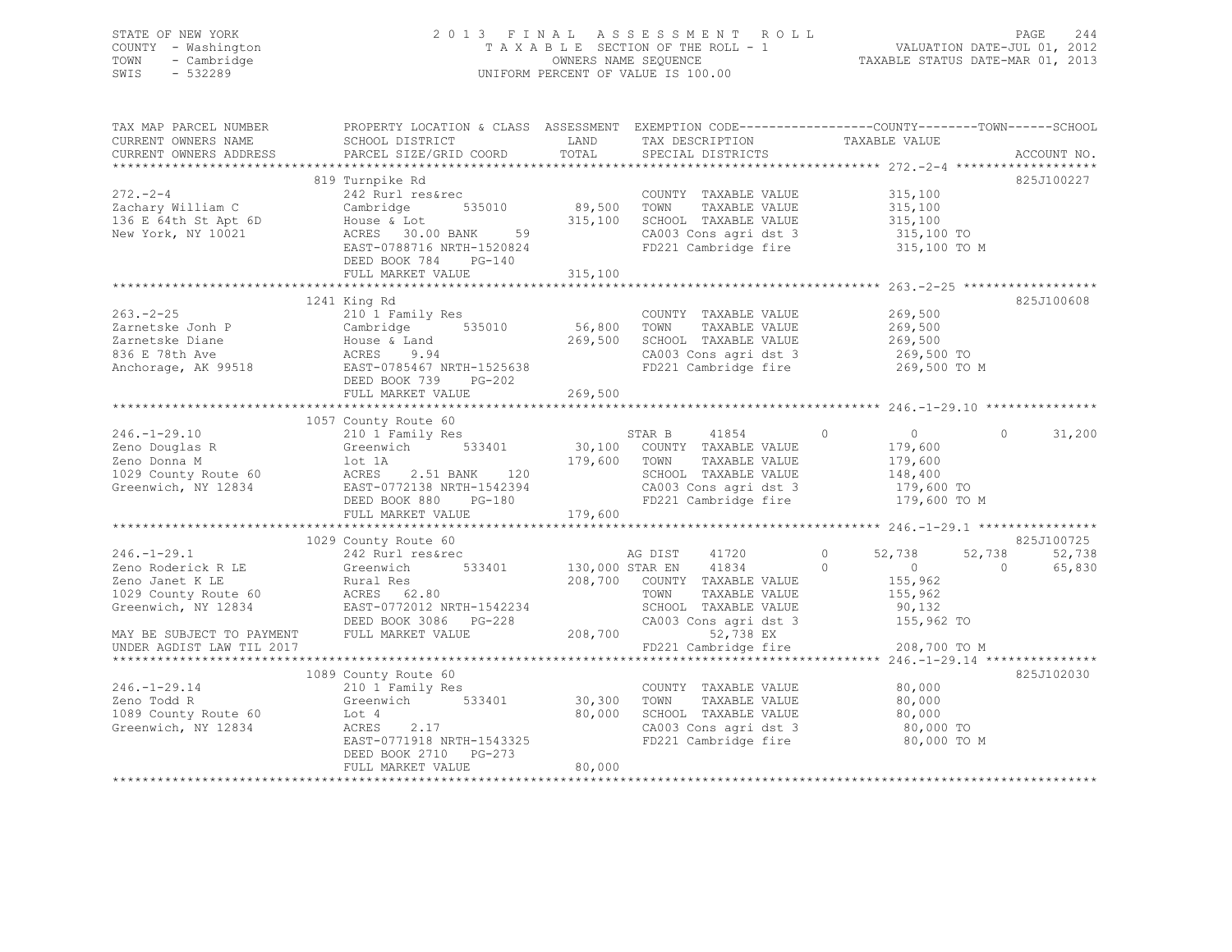## STATE OF NEW YORK 2 0 1 3 F I N A L A S S E S S M E N T R O L L PAGE 244 COUNTY - Washington T A X A B L E SECTION OF THE ROLL - 1 VALUATION DATE-JUL 01, 2012 TOWN - Cambridge OWNERS NAME SEQUENCE TAXABLE STATUS DATE-MAR 01, 2013 SWIS - 532289 UNIFORM PERCENT OF VALUE IS 100.00

| TAX MAP PARCEL NUMBER<br>CURRENT OWNERS NAME<br>CURRENT OWNERS ADDRESS           | PROPERTY LOCATION & CLASS ASSESSMENT EXEMPTION CODE---------------COUNTY-------TOWN------SCHOOL<br>SCHOOL DISTRICT<br>PARCEL SIZE/GRID COORD                                                                                      | LAND<br>TOTAL    | TAX DESCRIPTION<br>SPECIAL DISTRICTS                                                                           | TAXABLE VALUE                                                                                                  | ACCOUNT NO.                    |
|----------------------------------------------------------------------------------|-----------------------------------------------------------------------------------------------------------------------------------------------------------------------------------------------------------------------------------|------------------|----------------------------------------------------------------------------------------------------------------|----------------------------------------------------------------------------------------------------------------|--------------------------------|
|                                                                                  |                                                                                                                                                                                                                                   |                  |                                                                                                                |                                                                                                                |                                |
| $272 - 2 - 4$<br>Zachary William C<br>136 E 64th St Apt 6D<br>New York, NY 10021 | 819 Turnpike Rd<br>242 Rurl res&rec<br>Cambridge 535010 89,500<br>House & Lot 315,100<br>ACRES 30.00 BANK 59<br>EAST-0788716 NRTH-1520824<br>DEED BOOK 784 PG-140<br>FULL MARKET VALUE                                            | 315,100          | COUNTY TAXABLE VALUE 315,100<br>TAXABLE VALUE<br>TOWN<br>SCHOOL TAXABLE VALUE                                  | 315,100<br>315,100<br>CA003 Cons agri dst 3 315,100 TO<br>FD221 Cambridge fire 315,100 TO M                    | 825J100227                     |
|                                                                                  | 1241 King Rd                                                                                                                                                                                                                      |                  |                                                                                                                |                                                                                                                | 825J100608                     |
|                                                                                  |                                                                                                                                                                                                                                   |                  | COUNTY TAXABLE VALUE<br>TAXABLE VALUE<br>SCHOOL TAXABLE VALUE 269,500<br>CA003 Cons agri dst 3 269,500 TO      | 269,500<br>269,500<br>FD221 Cambridge fire 269,500 TO M                                                        |                                |
|                                                                                  |                                                                                                                                                                                                                                   |                  |                                                                                                                |                                                                                                                |                                |
|                                                                                  | 1057 County Route 60<br>FULL MARKET VALUE                                                                                                                                                                                         | 179,600          | 41854<br>TAXABLE VALUE<br>SCHOOL TAXABLE VALUE<br>SCHOOL TAXABLE VALUE<br>CA003 Cons agri dst 3                | $\sim$ 0 $\sim$<br>$\circ$<br>179,600<br>179,600<br>148,400<br>179,600 TO<br>FD221 Cambridge fire 179,600 TO M | $\Omega$<br>31,200             |
|                                                                                  | 1029 County Route 60                                                                                                                                                                                                              |                  |                                                                                                                |                                                                                                                | 825J100725                     |
| $246. - 1 - 29.1$<br>Zeno Roderick R LE Greenwich                                | 242 Rurl res&rec<br>533401 130,000 STAR EN<br>Zeno Janet K LE                         Rural Res<br>1029 County Route 60                 ACRES     62.80<br>Greenwich, NY 12834 EAST-0772012 NRTH-1542234<br>DEED BOOK 3086 PG-228 |                  | AG DIST 41720<br>41834<br>208,700 COUNTY TAXABLE VALUE<br>208,700 COUNTY TAXABLE VALUE<br>SCHOOL TAXABLE VALUE | $\circ$<br>52,738<br>52,738<br>$\overline{0}$<br>$\Omega$<br>155,962<br>155,962<br>90,132                      | 52,738<br>$\bigcirc$<br>65,830 |
| UNDER AGDIST LAW TIL 2017                                                        | MAY BE SUBJECT TO PAYMENT FULL MARKET VALUE                                                                                                                                                                                       | 208,700          | 52,738 EX<br>FD221 Cambridge fire                                                                              | 208,700 TO M                                                                                                   |                                |
|                                                                                  |                                                                                                                                                                                                                                   |                  |                                                                                                                |                                                                                                                |                                |
| $246. - 1 - 29.14$<br>Zeno Todd R<br>1089 County Route 60<br>Greenwich, NY 12834 | 1089 County Route 60<br>210 1 Family Res<br>Greenwich 533401 30,300<br>Lot 4<br>2.17<br>ACRES 2.17<br>EAST-0771918 NRTH-1543325<br>DEED BOOK 2710 PG-273<br>FULL MARKET VALUE                                                     | 80,000<br>80,000 | COUNTY TAXABLE VALUE<br>TOWN<br>TAXABLE VALUE<br>SCHOOL TAXABLE VALUE<br>FD221 Cambridge fire                  | 80,000<br>80,000<br>80,000<br>80,000 TO M                                                                      | 825J102030                     |
|                                                                                  |                                                                                                                                                                                                                                   |                  |                                                                                                                |                                                                                                                |                                |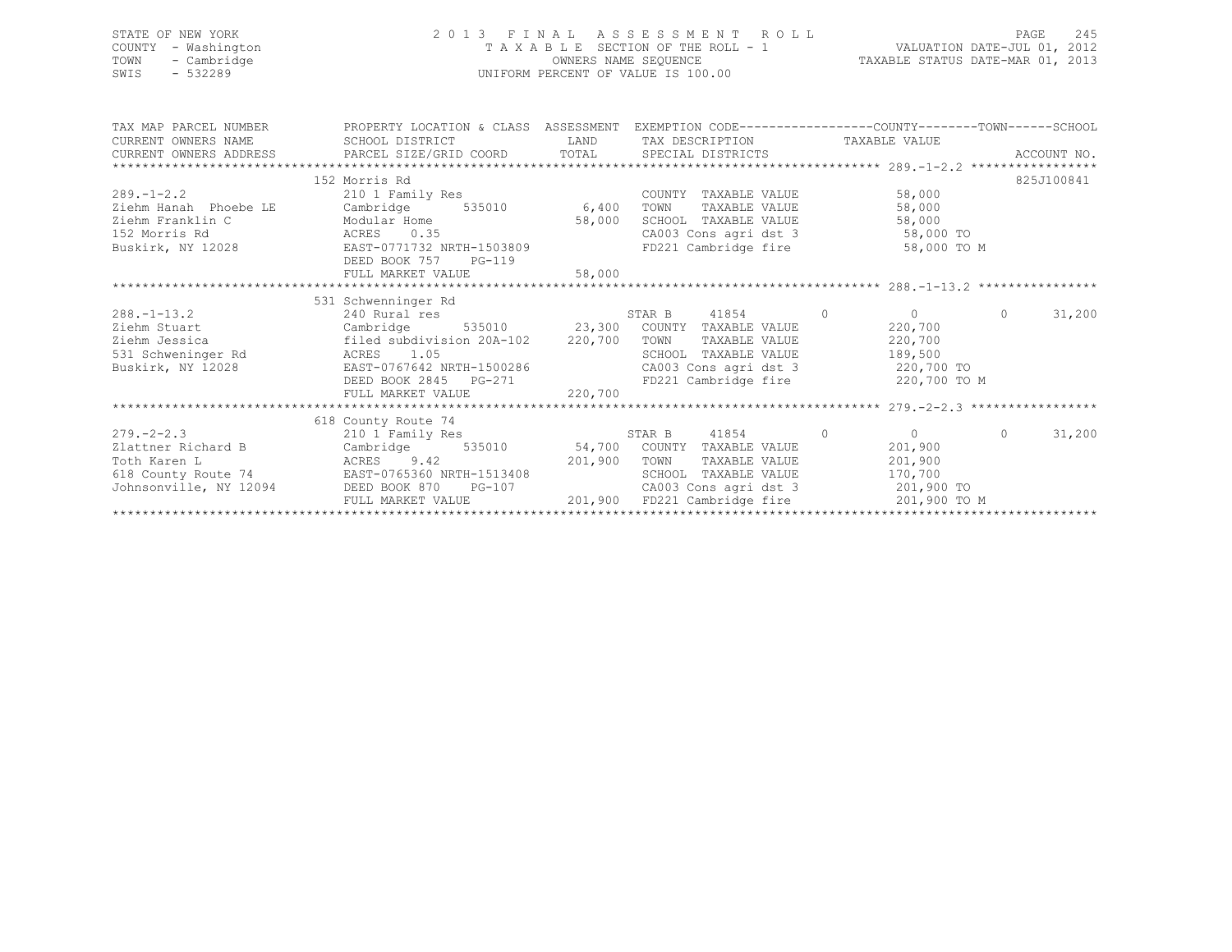| STATE OF NEW YORK<br>COUNTY - Washington<br>TOWN<br>- Cambridge<br>$-532289$<br>SWIS                               |                                                                                                                                                                                                                                                                                                                                                        | PAGE 245 RABLE SECTION OF THE ROLL - 1 TAXABLE SECTION OF THE ROLL - 1 CONNERS NAME SEQUENCE TAXABLE STATUS DATE-MAR 01, 2013<br>UNIFORM PERCENT OF VALUE IS 100.00 |                                                                                                                         |                                             |          |            |  |
|--------------------------------------------------------------------------------------------------------------------|--------------------------------------------------------------------------------------------------------------------------------------------------------------------------------------------------------------------------------------------------------------------------------------------------------------------------------------------------------|---------------------------------------------------------------------------------------------------------------------------------------------------------------------|-------------------------------------------------------------------------------------------------------------------------|---------------------------------------------|----------|------------|--|
|                                                                                                                    |                                                                                                                                                                                                                                                                                                                                                        |                                                                                                                                                                     |                                                                                                                         |                                             |          |            |  |
| TAX MAP PARCEL NUMBER<br>CURRENT OWNERS NAME                                                                       | PROPERTY LOCATION & CLASS ASSESSMENT EXEMPTION CODE-----------------COUNTY-------TOWN------SCHOOI<br>SCHOOL DISTRICT                                                                                                                                                                                                                                   |                                                                                                                                                                     | LAND TAX DESCRIPTION TAXABLE VALUE                                                                                      |                                             |          |            |  |
|                                                                                                                    |                                                                                                                                                                                                                                                                                                                                                        |                                                                                                                                                                     |                                                                                                                         |                                             |          |            |  |
|                                                                                                                    | 152 Morris Rd                                                                                                                                                                                                                                                                                                                                          |                                                                                                                                                                     |                                                                                                                         |                                             |          | 825J100841 |  |
| $289. -1 - 2.2$<br>Ziehm Hanah Phoebe LE<br>Ziehm Franklin C<br>152 Morris Rd<br><b>ACRES</b><br>Buskirk, NY 12028 | 210 1 Family Res COUNT<br>Cambridge 535010 6,400 TOWN<br>EAST-0771732 NRTH-1503809 FD221 Cambridge fire<br>DEED BOOK 757 PG-119                                                                                                                                                                                                                        |                                                                                                                                                                     | COUNTY TAXABLE VALUE<br>TAXABLE VALUE                                                                                   | 58,000<br>58,000<br>58,000 TO M             |          |            |  |
|                                                                                                                    | FULL MARKET VALUE                                                                                                                                                                                                                                                                                                                                      | 58,000                                                                                                                                                              |                                                                                                                         |                                             |          |            |  |
|                                                                                                                    | 531 Schwenninger Rd                                                                                                                                                                                                                                                                                                                                    |                                                                                                                                                                     |                                                                                                                         |                                             |          |            |  |
| Ziehm Jessica                                                                                                      | 288.-1-13.2 240 Rural res 535010 23,300 COUNTY TAXABLE VALUE 220,700<br>filed subdivision 20A-102 220,700 TOWN<br>Ziehm Jessica (1993)<br>SCHOOL TAXABLE VALUE<br>Buskirk, NY 12028 EAST 10006 2845 PG-271 (220,700 EDEED BOOK 2845 PG-271 220,700 EDEED BOOK 2845 PG-271 220,700<br>FULL MARKET VALUE 220,700 220,700 220,700 220,700 220,700 220,700 |                                                                                                                                                                     |                                                                                                                         | TAXABLE VALUE 220,700                       | $\Omega$ | 31,200     |  |
|                                                                                                                    |                                                                                                                                                                                                                                                                                                                                                        |                                                                                                                                                                     |                                                                                                                         |                                             |          |            |  |
|                                                                                                                    | 618 County Route 74                                                                                                                                                                                                                                                                                                                                    |                                                                                                                                                                     |                                                                                                                         |                                             |          |            |  |
| $279. - 2 - 2.3$<br>Zlattner Richard B                                                                             | County Route 74<br>210 1 Family Res<br>Cambridge<br>Poth Karen L<br>Toth Karen L<br>Foth Karen L<br>SCHOO BOOK 870 PG-107 CA003<br>Johnsonville, NY 12094 DEED BOOK 870 PG-107 CA003                                                                                                                                                                   |                                                                                                                                                                     | 41854<br>STAR B<br>535010 54,700 COUNTY TAXABLE VALUE<br>TAXABLE VALUE<br>SCHOOL TAXABLE VALUE<br>CA003 Cons agri dst 3 | 201,900<br>201,900<br>170,700<br>201,900 TO | $\Omega$ | 31,200     |  |

FULL MARKET VALUE 201,900 FD221 Cambridge fire 201,900 TO M \*\*\*\*\*\*\*\*\*\*\*\*\*\*\*\*\*\*\*\*\*\*\*\*\*\*\*\*\*\*\*\*\*\*\*\*\*\*\*\*\*\*\*\*\*\*\*\*\*\*\*\*\*\*\*\*\*\*\*\*\*\*\*\*\*\*\*\*\*\*\*\*\*\*\*\*\*\*\*\*\*\*\*\*\*\*\*\*\*\*\*\*\*\*\*\*\*\*\*\*\*\*\*\*\*\*\*\*\*\*\*\*\*\*\*\*\*\*\*\*\*\*\*\*\*\*\*\*\*\*\*\*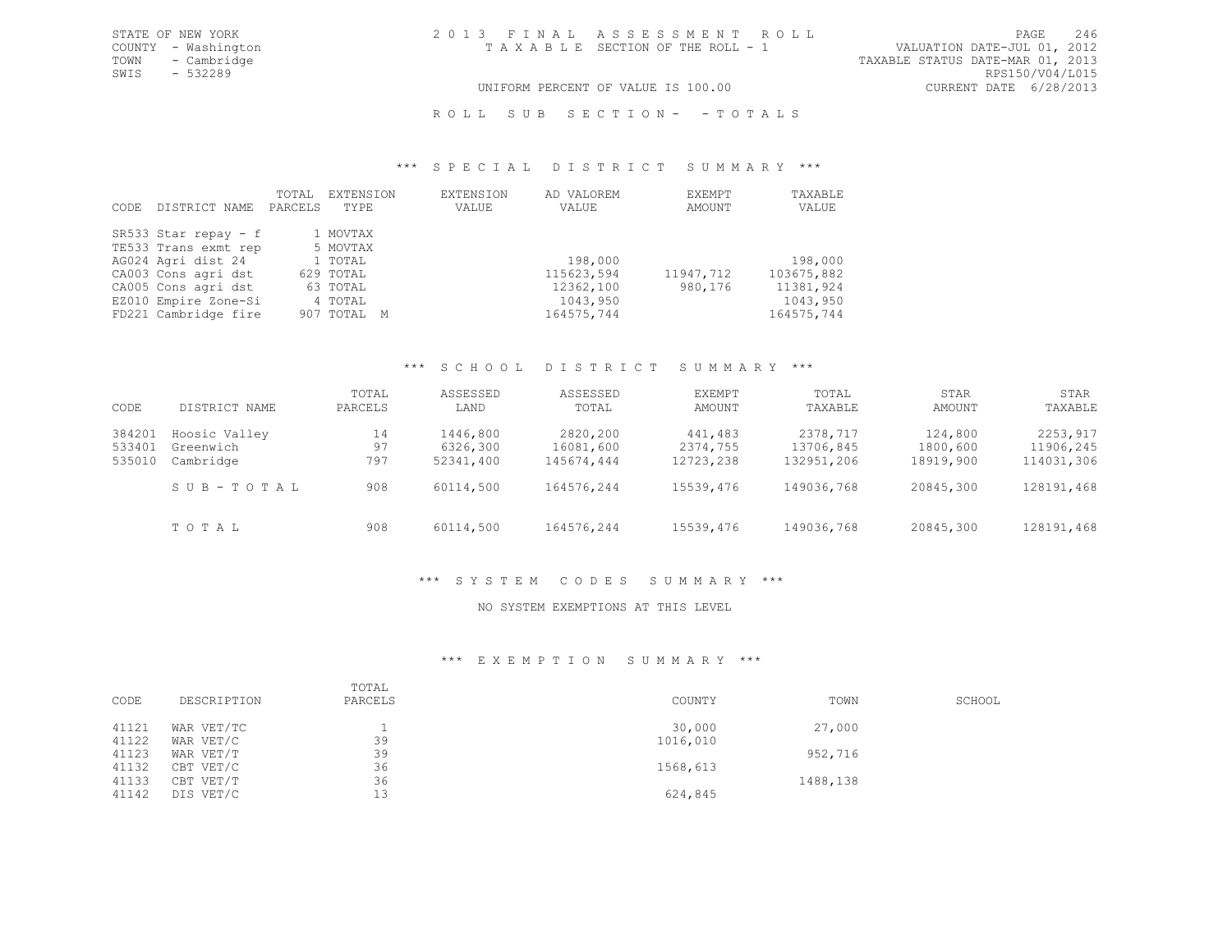TOWN - Cambridge TAXABLE STATUS DATE-MAR 01, 2013<br>SWIS - 532289 RPS150/V04/L015 SWIS - 532289<br>UNIFORM PERCENT OF VALUE IS 100.00

## UNIFORM PERCENT OF VALUE IS 100.00

## ROLL SUB SECTION- - TOTALS

#### \*\*\* S P E C I A L D I S T R I C T S U M M A R Y \*\*\*

| CODE | DISTRICT NAME          | TOTAL<br>PARCELS | EXTENSION<br>TYPE | EXTENSION<br>VALUE | AD VALOREM<br>VALUE | EXEMPT<br>AMOUNT | TAXABLE<br>VALUE |
|------|------------------------|------------------|-------------------|--------------------|---------------------|------------------|------------------|
|      | SR533 Star repay - $f$ |                  | 1 MOVTAX          |                    |                     |                  |                  |
|      | TE533 Trans exmt rep   |                  | 5 MOVTAX          |                    |                     |                  |                  |
|      | AG024 Agri dist 24     |                  | 1 TOTAL           |                    | 198,000             |                  | 198,000          |
|      | CA003 Cons agri dst    |                  | 629 TOTAL         |                    | 115623,594          | 11947,712        | 103675,882       |
|      | CA005 Cons agri dst    |                  | 63 TOTAL          |                    | 12362,100           | 980,176          | 11381,924        |
|      | EZ010 Empire Zone-Si   |                  | 4 TOTAL           |                    | 1043,950            |                  | 1043,950         |
|      | FD221 Cambridge fire   |                  | 907 TOTAL M       |                    | 164575,744          |                  | 164575,744       |

#### \*\*\* S C H O O L D I S T R I C T S U M M A R Y \*\*\*

| CODE   | DISTRICT NAME | TOTAL<br>PARCELS | ASSESSED<br>LAND | ASSESSED<br>TOTAL | EXEMPT<br>AMOUNT | TOTAL<br>TAXABLE | STAR<br>AMOUNT | STAR<br>TAXABLE |
|--------|---------------|------------------|------------------|-------------------|------------------|------------------|----------------|-----------------|
| 384201 | Hoosic Valley | 14               | 1446,800         | 2820,200          | 441,483          | 2378,717         | 124,800        | 2253,917        |
| 533401 | Greenwich     | 97               | 6326,300         | 16081,600         | 2374,755         | 13706,845        | 1800,600       | 11906,245       |
| 535010 | Cambridge     | 797              | 52341,400        | 145674,444        | 12723,238        | 132951,206       | 18919,900      | 114031,306      |
|        | SUB-TOTAL     | 908              | 60114,500        | 164576,244        | 15539,476        | 149036,768       | 20845,300      | 128191,468      |
|        | TOTAL         | 908              | 60114,500        | 164576,244        | 15539,476        | 149036,768       | 20845,300      | 128191,468      |

## \*\*\* S Y S T E M C O D E S S U M M A R Y \*\*\*

## NO SYSTEM EXEMPTIONS AT THIS LEVEL

## \*\*\* E X E M P T I O N S U M M A R Y \*\*\*

| CODE  | DESCRIPTION | TOTAL<br>PARCELS | COUNTY   | TOWN     | SCHOOL |
|-------|-------------|------------------|----------|----------|--------|
| 41121 | WAR VET/TC  |                  | 30,000   | 27,000   |        |
| 41122 | WAR VET/C   | 39               | 1016,010 |          |        |
| 41123 | WAR VET/T   | 39               |          | 952,716  |        |
| 41132 | CBT VET/C   | 36               | 1568,613 |          |        |
| 41133 | CBT VET/T   | 36               |          | 1488,138 |        |
| 41142 | DIS VET/C   | 13               | 624,845  |          |        |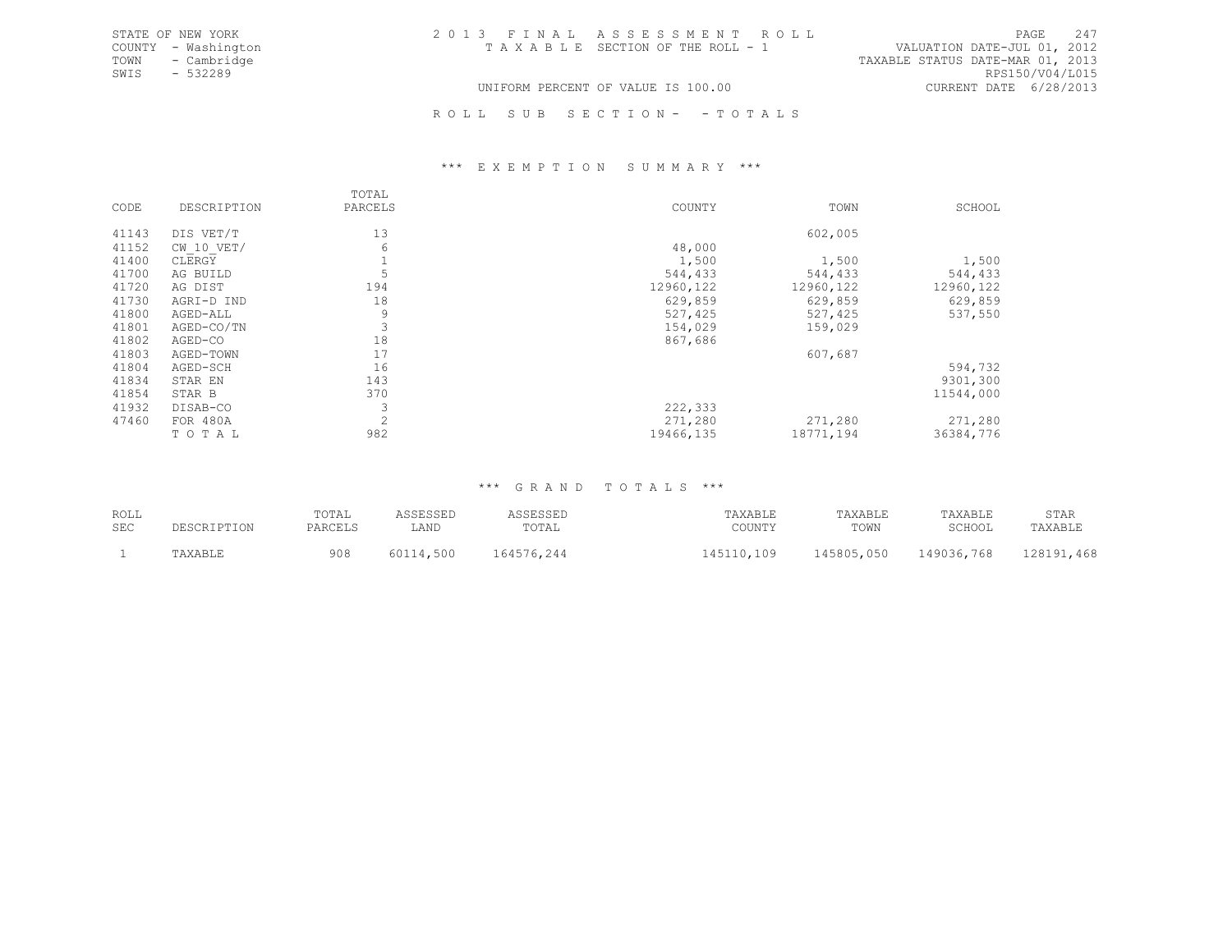|      | STATE OF NEW YORK   | 2013 FINAL ASSESSMENT ROLL            | 2.47<br>PAGE                     |
|------|---------------------|---------------------------------------|----------------------------------|
|      | COUNTY - Washington | T A X A B L E SECTION OF THE ROLL - 1 | VALUATION DATE-JUL 01, 2012      |
| TOWN | - Cambridge         |                                       | TAXABLE STATUS DATE-MAR 01, 2013 |
| SWIS | - 532289            |                                       | RPS150/V04/L015                  |
|      |                     | UNIFORM PERCENT OF VALUE IS 100.00    | CURRENT DATE 6/28/2013           |

R O L L S U B S E C T I O N - - T O T A L S

### \*\*\* E X E M P T I O N S U M M A R Y \*\*\*

|       |                | TOTAL   |            |           |            |
|-------|----------------|---------|------------|-----------|------------|
| CODE  | DESCRIPTION    | PARCELS | COUNTY     | TOWN      | SCHOOL     |
| 41143 |                | 13      |            | 602,005   |            |
|       | DIS VET/T      |         |            |           |            |
| 41152 | $CW$ 10 $VET/$ | 6       | 48,000     |           |            |
| 41400 | CLERGY         |         | 1,500      | 1,500     | 1,500      |
| 41700 | AG BUILD       |         | 544,433    | 544,433   | 544,433    |
| 41720 | AG DIST        | 194     | 12960, 122 | 12960,122 | 12960, 122 |
| 41730 | AGRI-D IND     | 18      | 629,859    | 629,859   | 629,859    |
| 41800 | AGED-ALL       | 9       | 527,425    | 527,425   | 537,550    |
| 41801 | AGED-CO/TN     | 3       | 154,029    | 159,029   |            |
| 41802 | AGED-CO        | 18      | 867,686    |           |            |
| 41803 | AGED-TOWN      | 17      |            | 607,687   |            |
| 41804 | AGED-SCH       | 16      |            |           | 594,732    |
| 41834 | STAR EN        | 143     |            |           | 9301,300   |
| 41854 | STAR B         | 370     |            |           | 11544,000  |
| 41932 | DISAB-CO       |         | 222,333    |           |            |
| 47460 | FOR 480A       | 2       | 271,280    | 271,280   | 271,280    |
|       | TOTAL          | 982     | 19466,135  | 18771,194 | 36384,776  |
|       |                |         |            |           |            |

## \*\*\* G R A N D T O T A L S \*\*\*

| ROLL<br>SEC | DESCRIPTION | TOTAL<br>PARCELS | LAND | ு பலவம<br>TOTAL | TAXABLE<br>COUNTY | TAXABLE<br>TOWN | TAXABLE<br><b>SCHOOL</b> | STAR<br>'AXABLE |
|-------------|-------------|------------------|------|-----------------|-------------------|-----------------|--------------------------|-----------------|
|             |             | 908              | 500  | 164576,244      | $1 \cap Q$        | 145805,050      | 149036,768               | ,468<br>.00101  |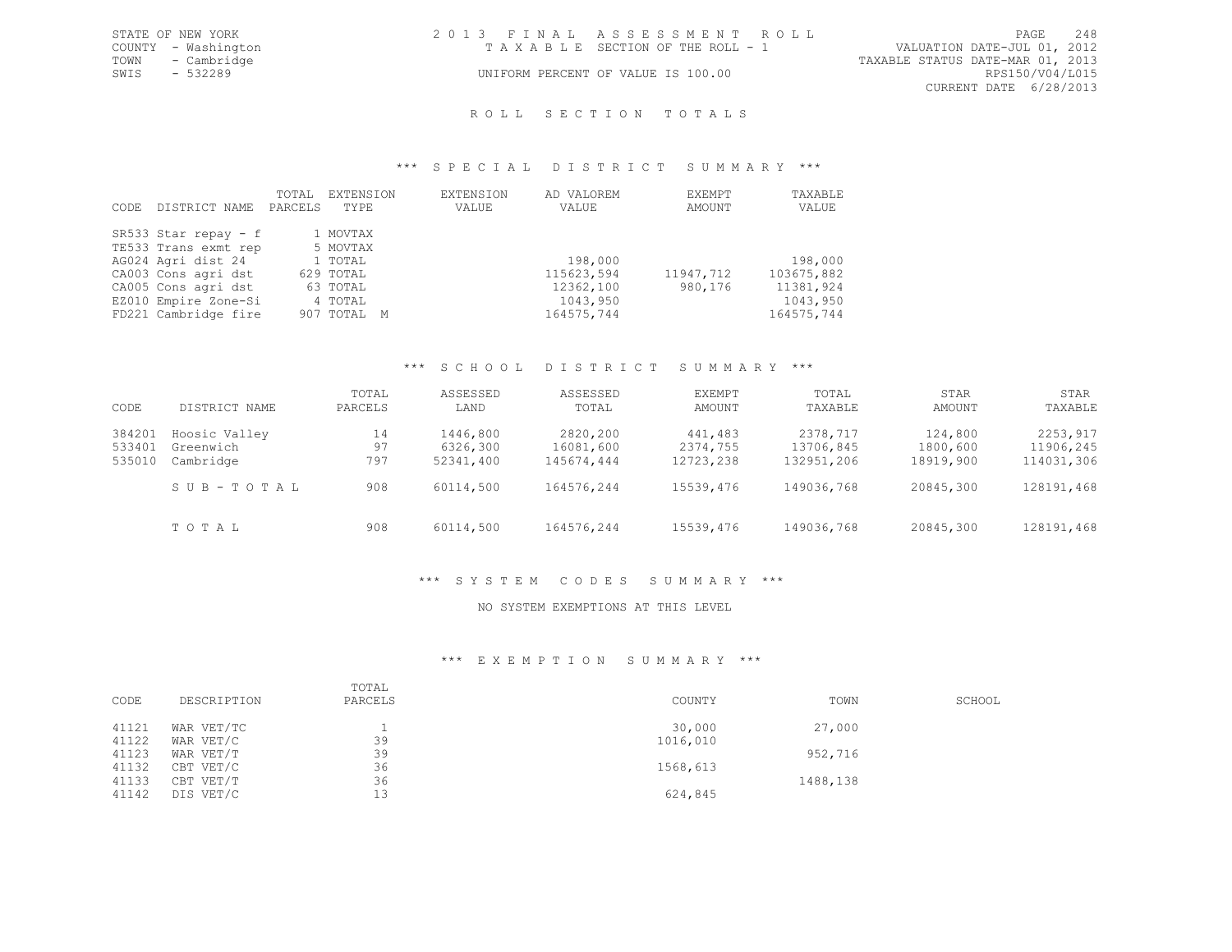|      | STATE OF NEW YORK   | 2013 FINAL ASSESSMENT ROLL         |                                  |                        | PAGE | 248 |
|------|---------------------|------------------------------------|----------------------------------|------------------------|------|-----|
|      | COUNTY - Washington | TAXABLE SECTION OF THE ROLL - 1    | VALUATION DATE-JUL 01, 2012      |                        |      |     |
|      | TOWN - Cambridge    |                                    | TAXABLE STATUS DATE-MAR 01, 2013 |                        |      |     |
| SWIS | - 532289            | UNIFORM PERCENT OF VALUE IS 100.00 |                                  | RPS150/V04/L015        |      |     |
|      |                     |                                    |                                  | CURRENT DATE 6/28/2013 |      |     |

# ROLL SECTION TOTALS

### \*\*\* S P E C I A L D I S T R I C T S U M M A R Y \*\*\*

|      |                      | TOTAL   | EXTENSION   | EXTENSION | AD VALOREM | EXEMPT    | TAXABLE    |
|------|----------------------|---------|-------------|-----------|------------|-----------|------------|
| CODE | DISTRICT NAME        | PARCELS | TYPE        | VALUE     | VALUE      | AMOUNT    | VALUE      |
|      |                      |         |             |           |            |           |            |
|      | SR533 Star repay - f |         | 1 MOVTAX    |           |            |           |            |
|      | TE533 Trans exmt rep |         | 5 MOVTAX    |           |            |           |            |
|      | AG024 Agri dist 24   |         | 1 TOTAL     |           | 198,000    |           | 198,000    |
|      | CA003 Cons agri dst  |         | 629 TOTAL   |           | 115623,594 | 11947,712 | 103675,882 |
|      | CA005 Cons agri dst  |         | 63 TOTAL    |           | 12362,100  | 980,176   | 11381,924  |
|      | EZ010 Empire Zone-Si |         | 4 TOTAL     |           | 1043,950   |           | 1043,950   |
|      | FD221 Cambridge fire |         | 907 TOTAL M |           | 164575,744 |           | 164575,744 |

#### \*\*\* S C H O O L D I S T R I C T S U M M A R Y \*\*\*

| CODE   | DISTRICT NAME | TOTAL<br>PARCELS | ASSESSED<br>LAND | ASSESSED<br>TOTAL | EXEMPT<br>AMOUNT | TOTAL<br>TAXABLE | STAR<br>AMOUNT | STAR<br>TAXABLE |
|--------|---------------|------------------|------------------|-------------------|------------------|------------------|----------------|-----------------|
| 384201 | Hoosic Valley | 14               | 1446,800         | 2820,200          | 441,483          | 2378,717         | 124,800        | 2253,917        |
| 533401 | Greenwich     | 97               | 6326,300         | 16081,600         | 2374,755         | 13706,845        | 1800,600       | 11906,245       |
| 535010 | Cambridge     | 797              | 52341,400        | 145674,444        | 12723,238        | 132951,206       | 18919,900      | 114031,306      |
|        | SUB-TOTAL     | 908              | 60114,500        | 164576,244        | 15539,476        | 149036,768       | 20845,300      | 128191,468      |
|        | TOTAL         | 908              | 60114,500        | 164576,244        | 15539,476        | 149036,768       | 20845,300      | 128191,468      |

# \*\*\* S Y S T E M C O D E S S U M M A R Y \*\*\*

### NO SYSTEM EXEMPTIONS AT THIS LEVEL

## \*\*\* E X E M P T I O N S U M M A R Y \*\*\*

| CODE  | DESCRIPTION | TOTAL<br>PARCELS | COUNTY   | TOWN     | SCHOOL |
|-------|-------------|------------------|----------|----------|--------|
| 41121 | WAR VET/TC  |                  | 30,000   | 27,000   |        |
| 41122 | WAR VET/C   | 39               | 1016,010 |          |        |
| 41123 | WAR VET/T   | 39               |          | 952,716  |        |
| 41132 | CBT VET/C   | 36               | 1568,613 |          |        |
| 41133 | CBT VET/T   | 36               |          | 1488,138 |        |
| 41142 | DIS VET/C   | 13               | 624,845  |          |        |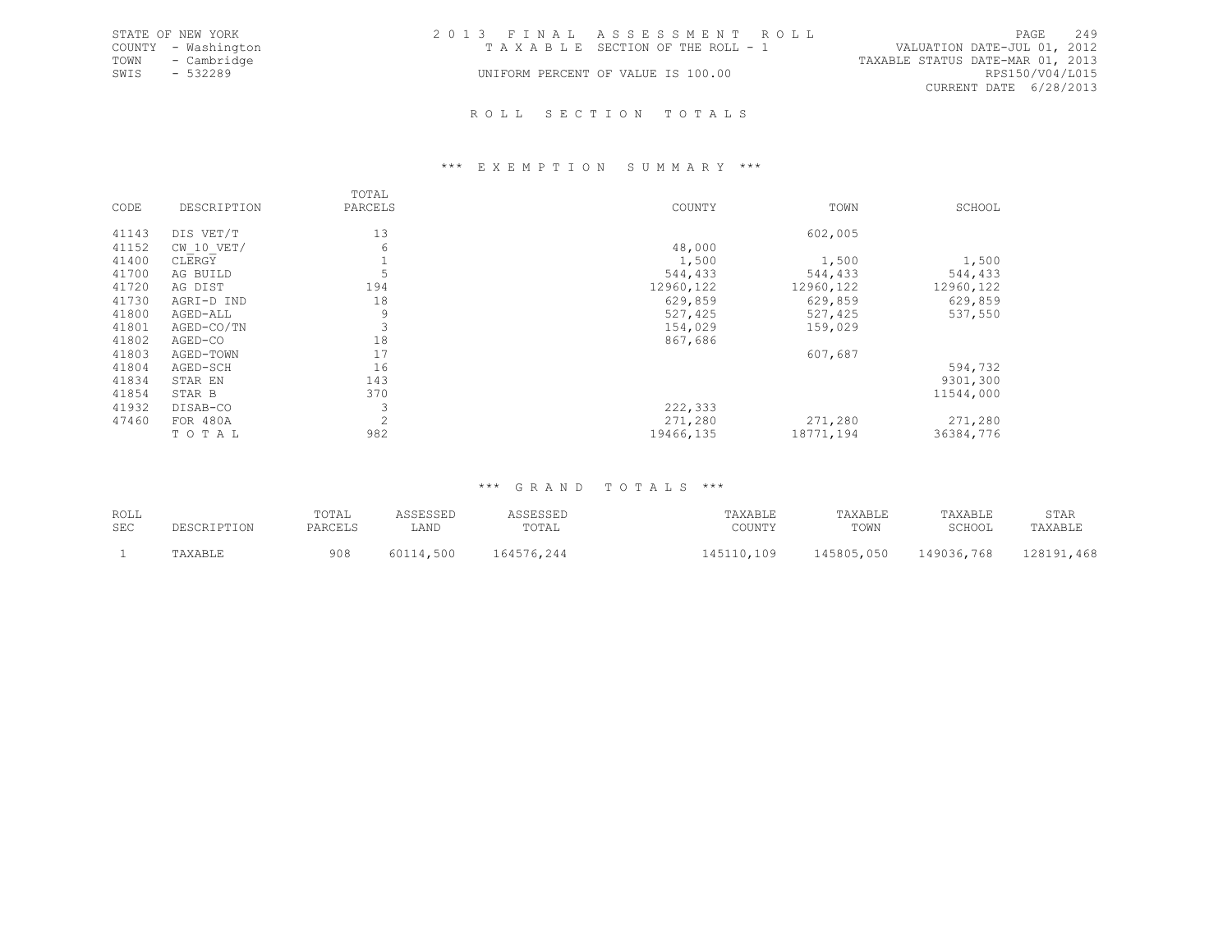|      | STATE OF NEW YORK   | 2013 FINAL ASSESSMENT ROLL |                                    |                                  |                        | PAGE | 2.49 |
|------|---------------------|----------------------------|------------------------------------|----------------------------------|------------------------|------|------|
|      | COUNTY - Washington |                            | TAXABLE SECTION OF THE ROLL - 1    | VALUATION DATE-JUL 01, 2012      |                        |      |      |
|      | TOWN - Cambridge    |                            |                                    | TAXABLE STATUS DATE-MAR 01, 2013 |                        |      |      |
| SWIS | - 532289            |                            | UNIFORM PERCENT OF VALUE IS 100.00 |                                  | RPS150/V04/L015        |      |      |
|      |                     |                            |                                    |                                  | CURRENT DATE 6/28/2013 |      |      |
|      |                     |                            |                                    |                                  |                        |      |      |

### R O L L S E C T I O N T O T A L S

### \*\*\* E X E M P T I O N S U M M A R Y \*\*\*

|       |              | TOTAL          |            |           |            |
|-------|--------------|----------------|------------|-----------|------------|
| CODE  | DESCRIPTION  | PARCELS        | COUNTY     | TOWN      | SCHOOL     |
| 41143 | DIS VET/T    | 13             |            | 602,005   |            |
| 41152 | $CW$ 10 VET/ | 6              | 48,000     |           |            |
| 41400 | CLERGY       |                | 1,500      | 1,500     | 1,500      |
| 41700 | AG BUILD     |                | 544,433    | 544,433   | 544,433    |
| 41720 | AG DIST      | 194            | 12960, 122 | 12960,122 | 12960, 122 |
| 41730 | AGRI-D IND   | 18             | 629,859    | 629,859   | 629,859    |
| 41800 | AGED-ALL     | 9              | 527,425    | 527,425   | 537,550    |
| 41801 | AGED-CO/TN   | 3              | 154,029    | 159,029   |            |
| 41802 | AGED-CO      | 18             | 867,686    |           |            |
| 41803 | AGED-TOWN    | 17             |            | 607,687   |            |
| 41804 | AGED-SCH     | 16             |            |           | 594,732    |
| 41834 | STAR EN      | 143            |            |           | 9301,300   |
| 41854 | STAR B       | 370            |            |           | 11544,000  |
| 41932 | DISAB-CO     | 3              | 222,333    |           |            |
| 47460 | FOR 480A     | $\overline{2}$ | 271,280    | 271,280   | 271,280    |
|       | TOTAL        | 982            | 19466,135  | 18771,194 | 36384,776  |

## \*\*\* G R A N D T O T A L S \*\*\*

| ROLL<br>SEC | DESCRIPTION | TOTAL<br>PARCELS | LAND | ـ سىدىسى<br>TOTAL | TAXABLE<br>COUNTY | TAXABLE<br>TOWN | TAXABLE<br><b>SCHOOL</b> | STAR<br>'AXABLF |
|-------------|-------------|------------------|------|-------------------|-------------------|-----------------|--------------------------|-----------------|
|             |             | 908              | 500  | 164576,244        | $1 \cap Q$        | 145805,050      | 149036,768               | ,468<br>.00101  |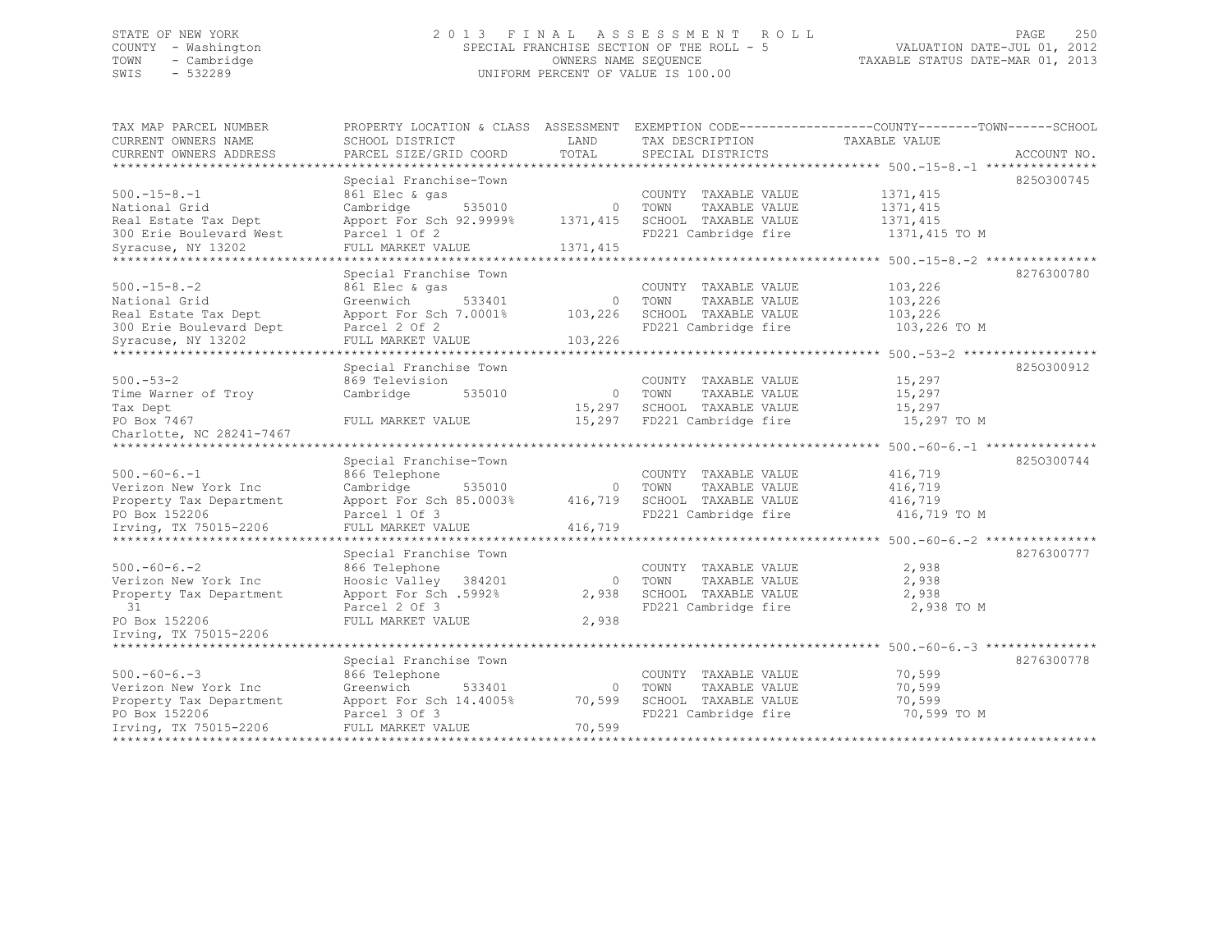## STATE OF NEW YORK 2 0 1 3 F I N A L A S S E S S M E N T R O L L PAGE 250 COUNTY - Washington SPECIAL FRANCHISE SECTION OF THE ROLL - 5 VALUATION DATE-JUL 01, 2012 TOWN - Cambridge OWNERS NAME SEQUENCE TAXABLE STATUS DATE-MAR 01, 2013 SWIS - 532289 UNIFORM PERCENT OF VALUE IS 100.00

| CURRENT OWNERS NAME<br>SCHOOL DISTRICT<br>LAND<br>TAX DESCRIPTION<br>TAXABLE VALUE<br>TOTAL<br>PARCEL SIZE/GRID COORD<br>CURRENT OWNERS ADDRESS<br>SPECIAL DISTRICTS<br>ACCOUNT NO.<br>************************<br>Special Franchise-Town<br>8250300745<br>$500. - 15 - 8. - 1$<br>861 Elec & gas<br>1371, 415<br>COUNTY TAXABLE VALUE<br>National Grid<br>Cambridge<br>535010<br>$\mathbf{0}$<br>TAXABLE VALUE<br>1371, 415<br>TOWN<br>1371, 415<br>1371, 415<br>Real Estate Tax Dept<br>Apport For Sch 92.9999%<br>SCHOOL TAXABLE VALUE<br>300 Erie Boulevard West<br>Parcel 1 Of 2<br>FD221 Cambridge fire<br>1371,415 TO M<br>1371, 415<br>Syracuse, NY 13202<br>FULL MARKET VALUE<br>*****************<br>******** 500.-15-8.-2 ********<br>8276300780<br>Special Franchise Town<br>$500 - 15 - 8 - 2$<br>103,226<br>861 Elec & gas<br>COUNTY TAXABLE VALUE<br>National Grid<br>Greenwich<br>TAXABLE VALUE<br>103,226<br>533401<br>$\mathbf{0}$<br>TOWN<br>Real Estate Tax Dept<br>Apport For Sch 7.0001%<br>103,226<br>SCHOOL TAXABLE VALUE<br>103,226<br>300 Erie Boulevard Dept<br>Parcel 2 Of 2<br>FD221 Cambridge fire<br>103,226 TO M<br>103,226<br>Syracuse, NY 13202<br>FULL MARKET VALUE<br>************************ 500. -53-2 ******<br>***************************<br>Special Franchise Town<br>8250300912<br>$500 - 53 - 2$<br>869 Television<br>15,297<br>COUNTY TAXABLE VALUE<br>Time Warner of Troy<br>Cambridge<br>15,297<br>535010<br>$\circ$<br>TOWN<br>TAXABLE VALUE<br>SCHOOL TAXABLE VALUE<br>15,297<br>Tax Dept<br>15,297<br>15,297 TO M<br>PO Box 7467<br>15,297<br>FD221 Cambridge fire<br>FULL MARKET VALUE<br>Charlotte, NC 28241-7467<br>***********************<br>8250300744<br>Special Franchise-Town<br>$500. -60 - 6. -1$<br>866 Telephone<br>416,719<br>COUNTY TAXABLE VALUE<br>Cambridge<br>535010<br>TOWN<br>TAXABLE VALUE<br>416,719<br>Verizon New York Inc<br>$\circ$<br>416,719<br>SCHOOL TAXABLE VALUE<br>416,719<br>Property Tax Department<br>Apport For Sch 85.0003%<br>FD221 Cambridge fire<br>416,719 TO M<br>PO Box 152206<br>Parcel 1 Of 3 |
|-------------------------------------------------------------------------------------------------------------------------------------------------------------------------------------------------------------------------------------------------------------------------------------------------------------------------------------------------------------------------------------------------------------------------------------------------------------------------------------------------------------------------------------------------------------------------------------------------------------------------------------------------------------------------------------------------------------------------------------------------------------------------------------------------------------------------------------------------------------------------------------------------------------------------------------------------------------------------------------------------------------------------------------------------------------------------------------------------------------------------------------------------------------------------------------------------------------------------------------------------------------------------------------------------------------------------------------------------------------------------------------------------------------------------------------------------------------------------------------------------------------------------------------------------------------------------------------------------------------------------------------------------------------------------------------------------------------------------------------------------------------------------------------------------------------------------------------------------------------------------------------------------------------------------------------------------------------------------------------------------------------------------------------------------------------------------------------------------|
|                                                                                                                                                                                                                                                                                                                                                                                                                                                                                                                                                                                                                                                                                                                                                                                                                                                                                                                                                                                                                                                                                                                                                                                                                                                                                                                                                                                                                                                                                                                                                                                                                                                                                                                                                                                                                                                                                                                                                                                                                                                                                                 |
|                                                                                                                                                                                                                                                                                                                                                                                                                                                                                                                                                                                                                                                                                                                                                                                                                                                                                                                                                                                                                                                                                                                                                                                                                                                                                                                                                                                                                                                                                                                                                                                                                                                                                                                                                                                                                                                                                                                                                                                                                                                                                                 |
|                                                                                                                                                                                                                                                                                                                                                                                                                                                                                                                                                                                                                                                                                                                                                                                                                                                                                                                                                                                                                                                                                                                                                                                                                                                                                                                                                                                                                                                                                                                                                                                                                                                                                                                                                                                                                                                                                                                                                                                                                                                                                                 |
|                                                                                                                                                                                                                                                                                                                                                                                                                                                                                                                                                                                                                                                                                                                                                                                                                                                                                                                                                                                                                                                                                                                                                                                                                                                                                                                                                                                                                                                                                                                                                                                                                                                                                                                                                                                                                                                                                                                                                                                                                                                                                                 |
|                                                                                                                                                                                                                                                                                                                                                                                                                                                                                                                                                                                                                                                                                                                                                                                                                                                                                                                                                                                                                                                                                                                                                                                                                                                                                                                                                                                                                                                                                                                                                                                                                                                                                                                                                                                                                                                                                                                                                                                                                                                                                                 |
|                                                                                                                                                                                                                                                                                                                                                                                                                                                                                                                                                                                                                                                                                                                                                                                                                                                                                                                                                                                                                                                                                                                                                                                                                                                                                                                                                                                                                                                                                                                                                                                                                                                                                                                                                                                                                                                                                                                                                                                                                                                                                                 |
|                                                                                                                                                                                                                                                                                                                                                                                                                                                                                                                                                                                                                                                                                                                                                                                                                                                                                                                                                                                                                                                                                                                                                                                                                                                                                                                                                                                                                                                                                                                                                                                                                                                                                                                                                                                                                                                                                                                                                                                                                                                                                                 |
|                                                                                                                                                                                                                                                                                                                                                                                                                                                                                                                                                                                                                                                                                                                                                                                                                                                                                                                                                                                                                                                                                                                                                                                                                                                                                                                                                                                                                                                                                                                                                                                                                                                                                                                                                                                                                                                                                                                                                                                                                                                                                                 |
|                                                                                                                                                                                                                                                                                                                                                                                                                                                                                                                                                                                                                                                                                                                                                                                                                                                                                                                                                                                                                                                                                                                                                                                                                                                                                                                                                                                                                                                                                                                                                                                                                                                                                                                                                                                                                                                                                                                                                                                                                                                                                                 |
|                                                                                                                                                                                                                                                                                                                                                                                                                                                                                                                                                                                                                                                                                                                                                                                                                                                                                                                                                                                                                                                                                                                                                                                                                                                                                                                                                                                                                                                                                                                                                                                                                                                                                                                                                                                                                                                                                                                                                                                                                                                                                                 |
|                                                                                                                                                                                                                                                                                                                                                                                                                                                                                                                                                                                                                                                                                                                                                                                                                                                                                                                                                                                                                                                                                                                                                                                                                                                                                                                                                                                                                                                                                                                                                                                                                                                                                                                                                                                                                                                                                                                                                                                                                                                                                                 |
|                                                                                                                                                                                                                                                                                                                                                                                                                                                                                                                                                                                                                                                                                                                                                                                                                                                                                                                                                                                                                                                                                                                                                                                                                                                                                                                                                                                                                                                                                                                                                                                                                                                                                                                                                                                                                                                                                                                                                                                                                                                                                                 |
|                                                                                                                                                                                                                                                                                                                                                                                                                                                                                                                                                                                                                                                                                                                                                                                                                                                                                                                                                                                                                                                                                                                                                                                                                                                                                                                                                                                                                                                                                                                                                                                                                                                                                                                                                                                                                                                                                                                                                                                                                                                                                                 |
|                                                                                                                                                                                                                                                                                                                                                                                                                                                                                                                                                                                                                                                                                                                                                                                                                                                                                                                                                                                                                                                                                                                                                                                                                                                                                                                                                                                                                                                                                                                                                                                                                                                                                                                                                                                                                                                                                                                                                                                                                                                                                                 |
|                                                                                                                                                                                                                                                                                                                                                                                                                                                                                                                                                                                                                                                                                                                                                                                                                                                                                                                                                                                                                                                                                                                                                                                                                                                                                                                                                                                                                                                                                                                                                                                                                                                                                                                                                                                                                                                                                                                                                                                                                                                                                                 |
|                                                                                                                                                                                                                                                                                                                                                                                                                                                                                                                                                                                                                                                                                                                                                                                                                                                                                                                                                                                                                                                                                                                                                                                                                                                                                                                                                                                                                                                                                                                                                                                                                                                                                                                                                                                                                                                                                                                                                                                                                                                                                                 |
|                                                                                                                                                                                                                                                                                                                                                                                                                                                                                                                                                                                                                                                                                                                                                                                                                                                                                                                                                                                                                                                                                                                                                                                                                                                                                                                                                                                                                                                                                                                                                                                                                                                                                                                                                                                                                                                                                                                                                                                                                                                                                                 |
|                                                                                                                                                                                                                                                                                                                                                                                                                                                                                                                                                                                                                                                                                                                                                                                                                                                                                                                                                                                                                                                                                                                                                                                                                                                                                                                                                                                                                                                                                                                                                                                                                                                                                                                                                                                                                                                                                                                                                                                                                                                                                                 |
|                                                                                                                                                                                                                                                                                                                                                                                                                                                                                                                                                                                                                                                                                                                                                                                                                                                                                                                                                                                                                                                                                                                                                                                                                                                                                                                                                                                                                                                                                                                                                                                                                                                                                                                                                                                                                                                                                                                                                                                                                                                                                                 |
|                                                                                                                                                                                                                                                                                                                                                                                                                                                                                                                                                                                                                                                                                                                                                                                                                                                                                                                                                                                                                                                                                                                                                                                                                                                                                                                                                                                                                                                                                                                                                                                                                                                                                                                                                                                                                                                                                                                                                                                                                                                                                                 |
|                                                                                                                                                                                                                                                                                                                                                                                                                                                                                                                                                                                                                                                                                                                                                                                                                                                                                                                                                                                                                                                                                                                                                                                                                                                                                                                                                                                                                                                                                                                                                                                                                                                                                                                                                                                                                                                                                                                                                                                                                                                                                                 |
|                                                                                                                                                                                                                                                                                                                                                                                                                                                                                                                                                                                                                                                                                                                                                                                                                                                                                                                                                                                                                                                                                                                                                                                                                                                                                                                                                                                                                                                                                                                                                                                                                                                                                                                                                                                                                                                                                                                                                                                                                                                                                                 |
|                                                                                                                                                                                                                                                                                                                                                                                                                                                                                                                                                                                                                                                                                                                                                                                                                                                                                                                                                                                                                                                                                                                                                                                                                                                                                                                                                                                                                                                                                                                                                                                                                                                                                                                                                                                                                                                                                                                                                                                                                                                                                                 |
|                                                                                                                                                                                                                                                                                                                                                                                                                                                                                                                                                                                                                                                                                                                                                                                                                                                                                                                                                                                                                                                                                                                                                                                                                                                                                                                                                                                                                                                                                                                                                                                                                                                                                                                                                                                                                                                                                                                                                                                                                                                                                                 |
|                                                                                                                                                                                                                                                                                                                                                                                                                                                                                                                                                                                                                                                                                                                                                                                                                                                                                                                                                                                                                                                                                                                                                                                                                                                                                                                                                                                                                                                                                                                                                                                                                                                                                                                                                                                                                                                                                                                                                                                                                                                                                                 |
|                                                                                                                                                                                                                                                                                                                                                                                                                                                                                                                                                                                                                                                                                                                                                                                                                                                                                                                                                                                                                                                                                                                                                                                                                                                                                                                                                                                                                                                                                                                                                                                                                                                                                                                                                                                                                                                                                                                                                                                                                                                                                                 |
|                                                                                                                                                                                                                                                                                                                                                                                                                                                                                                                                                                                                                                                                                                                                                                                                                                                                                                                                                                                                                                                                                                                                                                                                                                                                                                                                                                                                                                                                                                                                                                                                                                                                                                                                                                                                                                                                                                                                                                                                                                                                                                 |
|                                                                                                                                                                                                                                                                                                                                                                                                                                                                                                                                                                                                                                                                                                                                                                                                                                                                                                                                                                                                                                                                                                                                                                                                                                                                                                                                                                                                                                                                                                                                                                                                                                                                                                                                                                                                                                                                                                                                                                                                                                                                                                 |
| 416,719<br>Irving, TX 75015-2206<br>FULL MARKET VALUE                                                                                                                                                                                                                                                                                                                                                                                                                                                                                                                                                                                                                                                                                                                                                                                                                                                                                                                                                                                                                                                                                                                                                                                                                                                                                                                                                                                                                                                                                                                                                                                                                                                                                                                                                                                                                                                                                                                                                                                                                                           |
| *****************************<br>********** 500.-60-6.-2 **                                                                                                                                                                                                                                                                                                                                                                                                                                                                                                                                                                                                                                                                                                                                                                                                                                                                                                                                                                                                                                                                                                                                                                                                                                                                                                                                                                                                                                                                                                                                                                                                                                                                                                                                                                                                                                                                                                                                                                                                                                     |
| 8276300777<br>Special Franchise Town                                                                                                                                                                                                                                                                                                                                                                                                                                                                                                                                                                                                                                                                                                                                                                                                                                                                                                                                                                                                                                                                                                                                                                                                                                                                                                                                                                                                                                                                                                                                                                                                                                                                                                                                                                                                                                                                                                                                                                                                                                                            |
| $500. -60 - 6. -2$<br>2,938<br>866 Telephone<br>COUNTY TAXABLE VALUE                                                                                                                                                                                                                                                                                                                                                                                                                                                                                                                                                                                                                                                                                                                                                                                                                                                                                                                                                                                                                                                                                                                                                                                                                                                                                                                                                                                                                                                                                                                                                                                                                                                                                                                                                                                                                                                                                                                                                                                                                            |
| Hoosic Valley 384201<br>TAXABLE VALUE<br>2,938<br>Verizon New York Inc<br>$\Omega$<br>TOWN                                                                                                                                                                                                                                                                                                                                                                                                                                                                                                                                                                                                                                                                                                                                                                                                                                                                                                                                                                                                                                                                                                                                                                                                                                                                                                                                                                                                                                                                                                                                                                                                                                                                                                                                                                                                                                                                                                                                                                                                      |
| Apport For Sch .5992%<br>2,938<br>SCHOOL TAXABLE VALUE<br>2,938<br>Property Tax Department                                                                                                                                                                                                                                                                                                                                                                                                                                                                                                                                                                                                                                                                                                                                                                                                                                                                                                                                                                                                                                                                                                                                                                                                                                                                                                                                                                                                                                                                                                                                                                                                                                                                                                                                                                                                                                                                                                                                                                                                      |
| 31<br>Parcel 2 Of 3<br>FD221 Cambridge fire<br>2,938 TO M                                                                                                                                                                                                                                                                                                                                                                                                                                                                                                                                                                                                                                                                                                                                                                                                                                                                                                                                                                                                                                                                                                                                                                                                                                                                                                                                                                                                                                                                                                                                                                                                                                                                                                                                                                                                                                                                                                                                                                                                                                       |
| PO Box 152206<br>FULL MARKET VALUE<br>2,938                                                                                                                                                                                                                                                                                                                                                                                                                                                                                                                                                                                                                                                                                                                                                                                                                                                                                                                                                                                                                                                                                                                                                                                                                                                                                                                                                                                                                                                                                                                                                                                                                                                                                                                                                                                                                                                                                                                                                                                                                                                     |
| Irving, TX 75015-2206                                                                                                                                                                                                                                                                                                                                                                                                                                                                                                                                                                                                                                                                                                                                                                                                                                                                                                                                                                                                                                                                                                                                                                                                                                                                                                                                                                                                                                                                                                                                                                                                                                                                                                                                                                                                                                                                                                                                                                                                                                                                           |
| ********************************* 500.-60-6.-3 ************                                                                                                                                                                                                                                                                                                                                                                                                                                                                                                                                                                                                                                                                                                                                                                                                                                                                                                                                                                                                                                                                                                                                                                                                                                                                                                                                                                                                                                                                                                                                                                                                                                                                                                                                                                                                                                                                                                                                                                                                                                     |
| Special Franchise Town<br>8276300778                                                                                                                                                                                                                                                                                                                                                                                                                                                                                                                                                                                                                                                                                                                                                                                                                                                                                                                                                                                                                                                                                                                                                                                                                                                                                                                                                                                                                                                                                                                                                                                                                                                                                                                                                                                                                                                                                                                                                                                                                                                            |
| $500. -60 - 6. -3$<br>866 Telephone<br>70,599<br>COUNTY TAXABLE VALUE                                                                                                                                                                                                                                                                                                                                                                                                                                                                                                                                                                                                                                                                                                                                                                                                                                                                                                                                                                                                                                                                                                                                                                                                                                                                                                                                                                                                                                                                                                                                                                                                                                                                                                                                                                                                                                                                                                                                                                                                                           |
| Verizon New York Inc<br>70,599<br>Greenwich<br>533401<br>$\mathbf 0$<br>TOWN<br>TAXABLE VALUE                                                                                                                                                                                                                                                                                                                                                                                                                                                                                                                                                                                                                                                                                                                                                                                                                                                                                                                                                                                                                                                                                                                                                                                                                                                                                                                                                                                                                                                                                                                                                                                                                                                                                                                                                                                                                                                                                                                                                                                                   |
| 70,599<br>Apport For Sch 14.4005%<br>70,599<br>SCHOOL TAXABLE VALUE<br>Property Tax Department                                                                                                                                                                                                                                                                                                                                                                                                                                                                                                                                                                                                                                                                                                                                                                                                                                                                                                                                                                                                                                                                                                                                                                                                                                                                                                                                                                                                                                                                                                                                                                                                                                                                                                                                                                                                                                                                                                                                                                                                  |
| PO Box 152206<br>Parcel 3 Of 3<br>FD221 Cambridge fire<br>70,599 TO M                                                                                                                                                                                                                                                                                                                                                                                                                                                                                                                                                                                                                                                                                                                                                                                                                                                                                                                                                                                                                                                                                                                                                                                                                                                                                                                                                                                                                                                                                                                                                                                                                                                                                                                                                                                                                                                                                                                                                                                                                           |
| 70,599<br>Irving, TX 75015-2206<br>FULL MARKET VALUE<br>******************<br>***************************                                                                                                                                                                                                                                                                                                                                                                                                                                                                                                                                                                                                                                                                                                                                                                                                                                                                                                                                                                                                                                                                                                                                                                                                                                                                                                                                                                                                                                                                                                                                                                                                                                                                                                                                                                                                                                                                                                                                                                                       |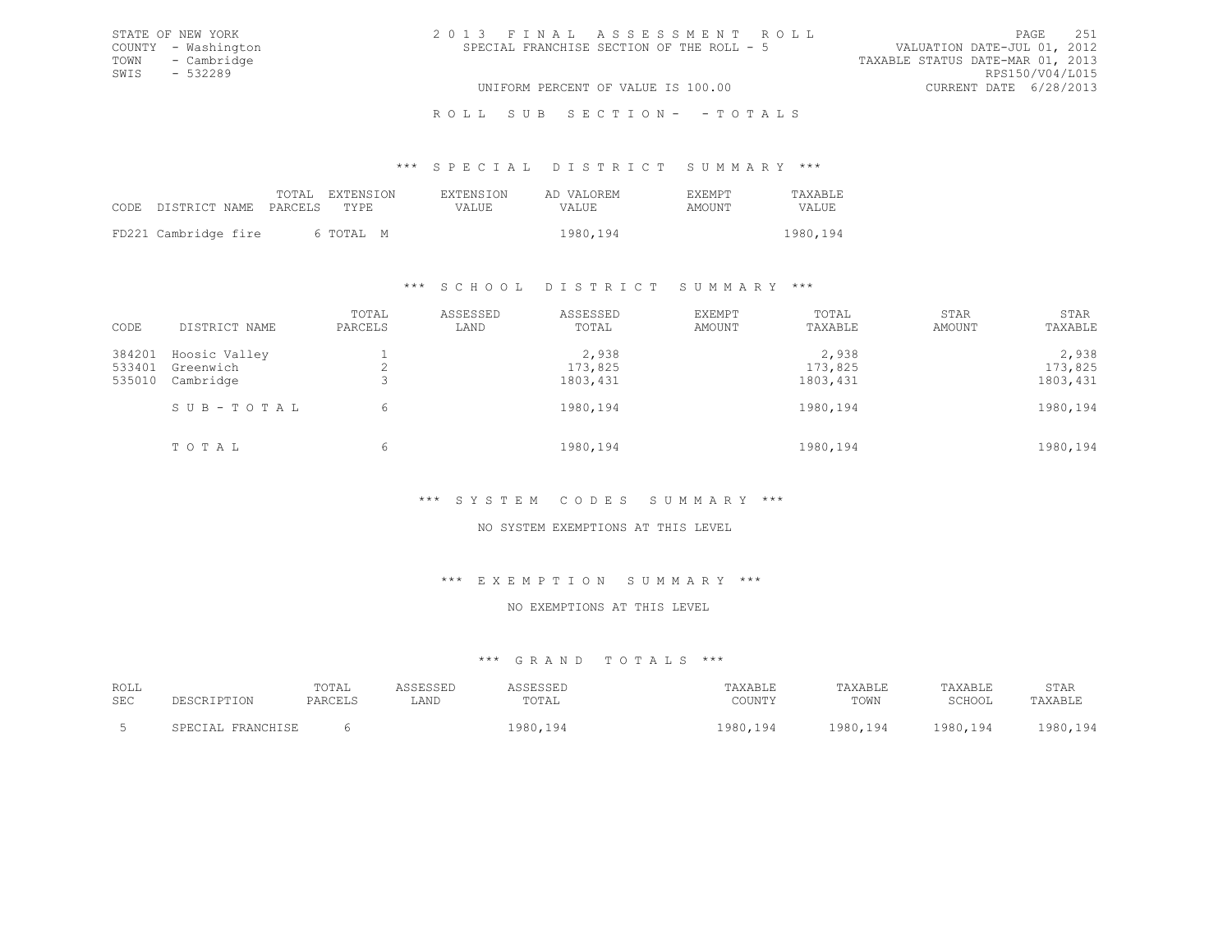| 2013 FINAL ASSESSMENT ROLL                | 2.51<br>PAGE.                    |
|-------------------------------------------|----------------------------------|
| SPECIAL FRANCHISE SECTION OF THE ROLL - 5 | VALUATION DATE-JUL 01, 2012      |
|                                           | TAXABLE STATUS DATE-MAR 01, 2013 |
|                                           | RPS150/V04/L015                  |
| UNIFORM PERCENT OF VALUE IS 100.00        | CURRENT DATE 6/28/2013           |

\*\*\* S P E C I A L D I S T R I C T S U M M A R Y \*\*\*

|                                 | TOTAL EXTENSION | <b>EXTENSION</b> | AD VALOREM | <b>EXEMPT</b> | TAXABLE  |
|---------------------------------|-----------------|------------------|------------|---------------|----------|
| CODE DISTRICT NAME PARCELS TYPE |                 | VALUE.           | VALUE      | AMOUNT        | VALUE.   |
| FD221 Cambridge fire            | 6 ТОТАІ, М      |                  | 1980,194   |               | 1980,194 |

STATE OF NEW YORK COUNTY - Washington TOWN - Cambridge  $SWIS$  - 532289

### \*\*\* S C H O O L D I S T R I C T S U M M A R Y \*\*\*

| CODE                       | DISTRICT NAME                           | TOTAL<br>PARCELS | ASSESSED<br>LAND | ASSESSED<br>TOTAL             | EXEMPT<br>AMOUNT | TOTAL<br>TAXABLE              | STAR<br>AMOUNT | STAR<br>TAXABLE               |
|----------------------------|-----------------------------------------|------------------|------------------|-------------------------------|------------------|-------------------------------|----------------|-------------------------------|
| 384201<br>533401<br>535010 | Hoosic Valley<br>Greenwich<br>Cambridge |                  |                  | 2,938<br>173,825<br>1803, 431 |                  | 2,938<br>173,825<br>1803, 431 |                | 2,938<br>173,825<br>1803, 431 |
|                            | SUB-TOTAL                               | 6                |                  | 1980,194                      |                  | 1980,194                      |                | 1980,194                      |
|                            | TOTAL                                   | 6                |                  | 1980,194                      |                  | 1980,194                      |                | 1980, 194                     |

## \*\*\* S Y S T E M C O D E S S U M M A R Y \*\*\*

### NO SYSTEM EXEMPTIONS AT THIS LEVEL

#### \*\*\* E X E M P T I O N S U M M A R Y \*\*\*

## NO EXEMPTIONS AT THIS LEVEL

## \*\*\* G R A N D T O T A L S \*\*\*

| ROLL       |                       | TOTAL   | <i>L</i> C C D C C D T | `SSESSED        | <b>TAXABLE</b> | <b>TAXABLE</b>  | TAXABLE  | STAR      |
|------------|-----------------------|---------|------------------------|-----------------|----------------|-----------------|----------|-----------|
| <b>SEC</b> | <b>DE SCRIPTON</b>    | PARCELS | LAND                   | TOTAL           | COUNTY         | TOWN            | SCHOOL   | TAXABLF   |
|            | FRANCHISF<br>SPECIAL. |         |                        | 1980,194<br>194 | 1980,194       | 1980,194<br>194 | 1980,194 | 1980, 194 |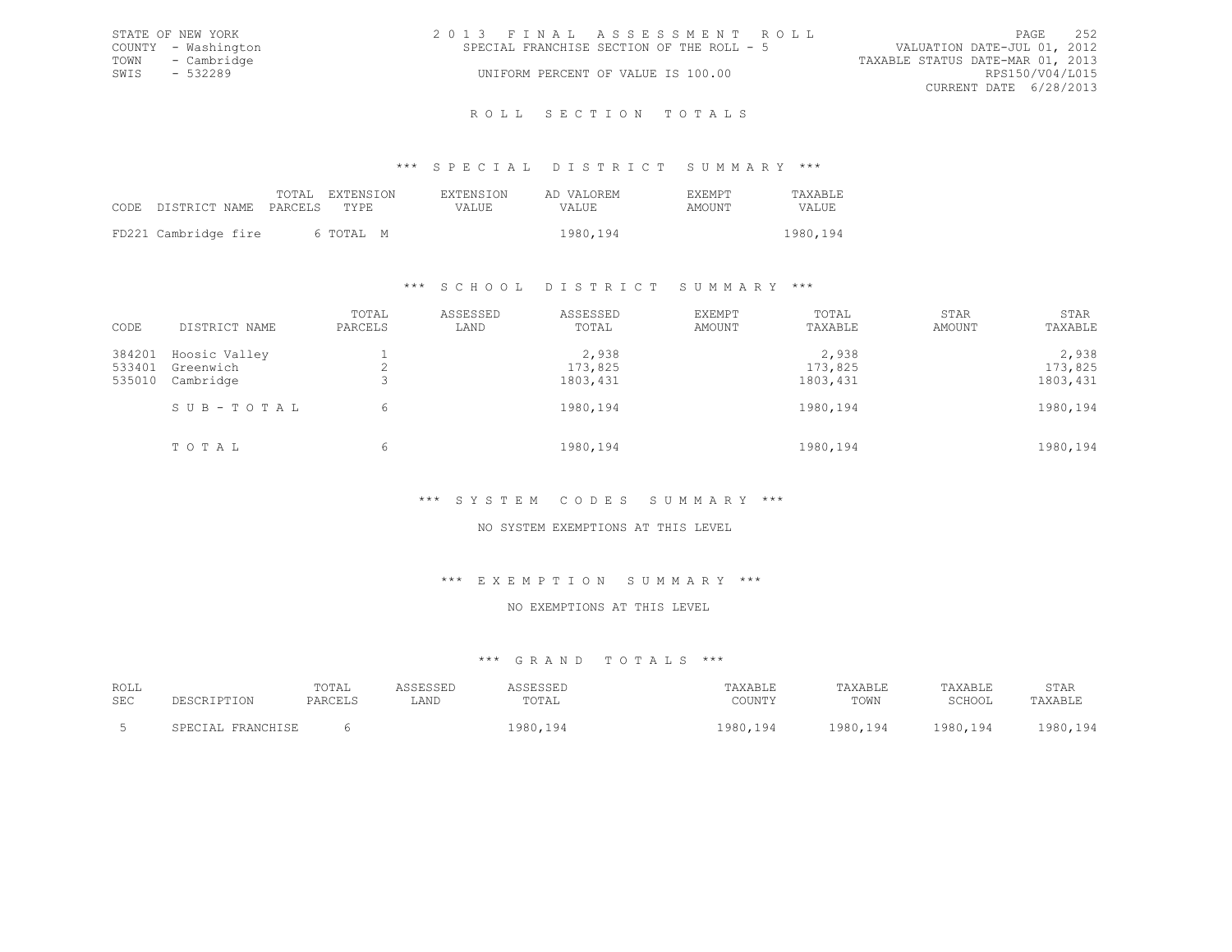|      | STATE OF NEW YORK   | 2013 FINAL ASSESSMENT ROLL                |                                  | PAGE            | 2.52 |
|------|---------------------|-------------------------------------------|----------------------------------|-----------------|------|
|      | COUNTY - Washington | SPECIAL FRANCHISE SECTION OF THE ROLL - 5 | VALUATION DATE-JUL 01, 2012      |                 |      |
|      | TOWN - Cambridge    |                                           | TAXABLE STATUS DATE-MAR 01, 2013 |                 |      |
| SWTS | - 532289            | UNIFORM PERCENT OF VALUE IS 100.00        |                                  | RPS150/V04/L015 |      |
|      |                     |                                           | CURRENT DATE 6/28/2013           |                 |      |
|      |                     |                                           |                                  |                 |      |

#### R O L L S E C T I O N T O T A L S

### \*\*\* S P E C I A L D I S T R I C T S U M M A R Y \*\*\*

|                            | TOTAL EXTENSION | <b>EXTENSION</b> | AD VALOREM | <b>EXEMPT</b> | <b>TAXABLE</b> |
|----------------------------|-----------------|------------------|------------|---------------|----------------|
| CODE DISTRICT NAME PARCELS | TYPR.           | VALUE            | VALUE.     | AMOUNT        | VALUE          |
| FD221 Cambridge fire       | 6 TOTAL M       |                  | 1980,194   |               | 1980,194       |

### \*\*\* S C H O O L D I S T R I C T S U M M A R Y \*\*\*

| CODE                       | DISTRICT NAME                           | TOTAL<br>PARCELS | ASSESSED<br>LAND | ASSESSED<br>TOTAL             | EXEMPT<br>AMOUNT | TOTAL<br>TAXABLE              | STAR<br>AMOUNT | STAR<br>TAXABLE               |
|----------------------------|-----------------------------------------|------------------|------------------|-------------------------------|------------------|-------------------------------|----------------|-------------------------------|
| 384201<br>533401<br>535010 | Hoosic Valley<br>Greenwich<br>Cambridge |                  |                  | 2,938<br>173,825<br>1803, 431 |                  | 2,938<br>173,825<br>1803, 431 |                | 2,938<br>173,825<br>1803, 431 |
|                            | SUB-TOTAL                               | 6                |                  | 1980,194                      |                  | 1980,194                      |                | 1980,194                      |
|                            | TOTAL                                   | 6                |                  | 1980,194                      |                  | 1980,194                      |                | 1980, 194                     |

## \*\*\* S Y S T E M C O D E S S U M M A R Y \*\*\*

### NO SYSTEM EXEMPTIONS AT THIS LEVEL

#### \*\*\* E X E M P T I O N S U M M A R Y \*\*\*

### NO EXEMPTIONS AT THIS LEVEL

## \*\*\* G R A N D T O T A L S \*\*\*

| ROLL<br><b>SEC</b> | ----             | TOTAL<br>PARCELS | LAND | -----<br>ى تا تا ب ب ب ب<br>TOTAL | TAXABLE<br>COUNTY | TAXABLE<br>TOWN            | TAXABLE<br>SCHOOL | STAR<br>TAXABLE                       |
|--------------------|------------------|------------------|------|-----------------------------------|-------------------|----------------------------|-------------------|---------------------------------------|
|                    | <b>FRANCHISE</b> |                  |      | $QQ \cap$<br>エフロリテエンユ             | 0.00<br>1 Q 4     | non<br>194<br>. <i>.</i> . | 0.001<br>.94      | 1QA<br>0.00<br>- - - - <i>- - -</i> - |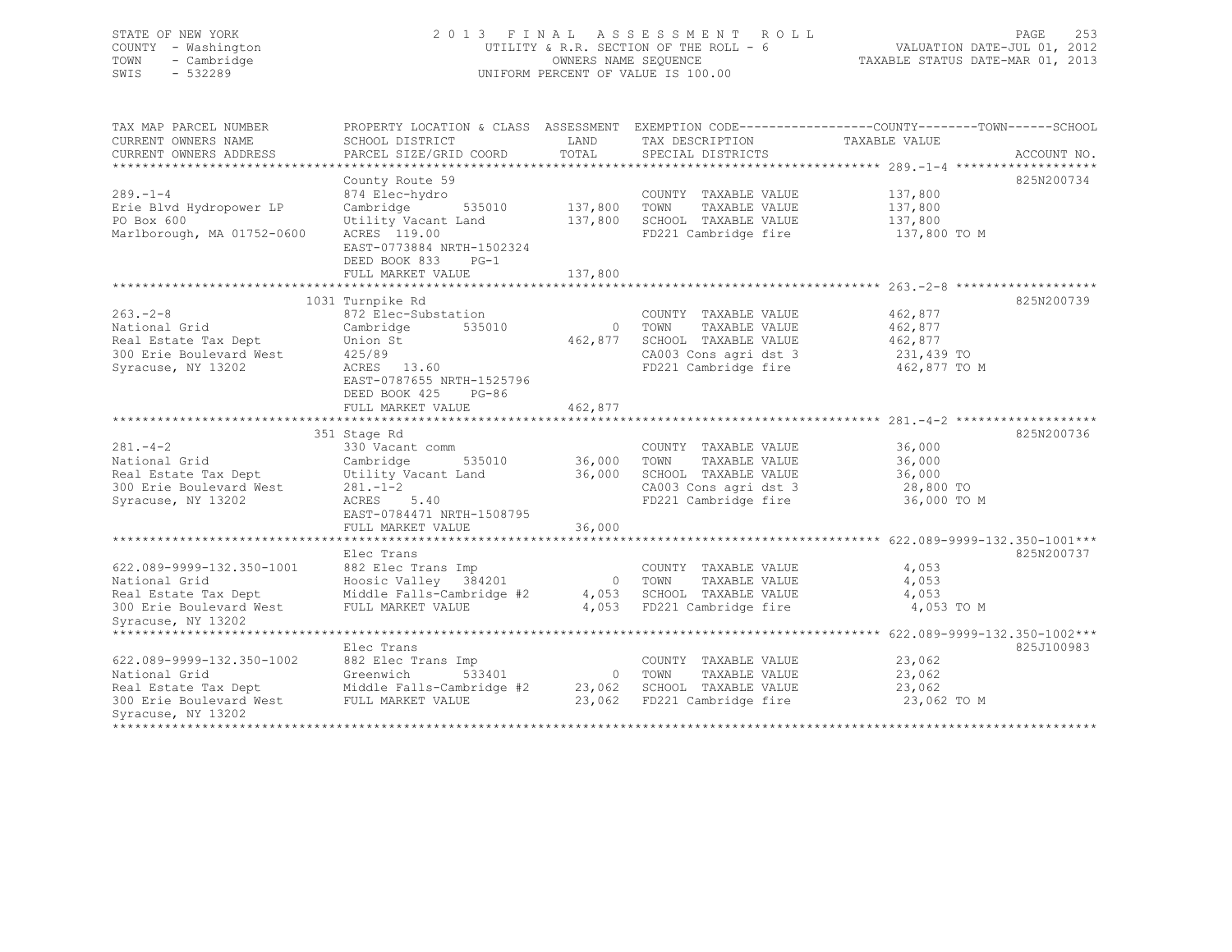## STATE OF NEW YORK 2 0 1 3 F I N A L A S S E S S M E N T R O L L PAGE 253 COUNTY - Washington UTILITY & R.R. SECTION OF THE ROLL - 6 VALUATION DATE-JUL 01, 2012 TOWN - Cambridge OWNERS NAME SEQUENCE TAXABLE STATUS DATE-MAR 01, 2013 SWIS - 532289 UNIFORM PERCENT OF VALUE IS 100.00

| TAX MAP PARCEL NUMBER<br>CURRENT OWNERS NAME<br>CURRENT OWNERS ADDRESS                                                                        | PROPERTY LOCATION & CLASS ASSESSMENT EXEMPTION CODE-----------------COUNTY-------TOWN------SCHOOL<br>SCHOOL DISTRICT<br>PARCEL SIZE/GRID COORD                                  | LAND<br>TOTAL      | TAX DESCRIPTION TAXABLE VALUE<br>SPECIAL DISTRICTS                                                                       |                                                             | ACCOUNT NO. |
|-----------------------------------------------------------------------------------------------------------------------------------------------|---------------------------------------------------------------------------------------------------------------------------------------------------------------------------------|--------------------|--------------------------------------------------------------------------------------------------------------------------|-------------------------------------------------------------|-------------|
| $289. - 1 - 4$<br>Erie Blvd Hydropower LP<br>PO Box 600<br>Marlborough, MA 01752-0600                                                         | County Route 59<br>874 Elec-hydro<br>Cambridge<br>535010<br>Utility Vacant Land<br>ACRES 119.00<br>EAST-0773884 NRTH-1502324<br>DEED BOOK 833 PG-1                              | 137,800<br>137,800 | COUNTY TAXABLE VALUE<br>TOWN<br>TAXABLE VALUE<br>SCHOOL TAXABLE VALUE<br>FD221 Cambridge fire                            | 137,800<br>137,800<br>137,800<br>137,800 TO M               | 825N200734  |
|                                                                                                                                               | FULL MARKET VALUE                                                                                                                                                               | 137,800            |                                                                                                                          |                                                             |             |
|                                                                                                                                               |                                                                                                                                                                                 |                    |                                                                                                                          |                                                             |             |
| $263 - 2 - 8$<br>National Grid<br>Real Estate Tax Dept<br>300 Erie Boulevard West<br>Syracuse, NY 13202                                       | 1031 Turnpike Rd<br>872 Elec-Substation<br>Cambridge<br>535010<br>Union St<br>425/89<br>ACRES 13.60<br>EAST-0787655 NRTH-1525796<br>DEED BOOK 425<br>PG-86<br>FULL MARKET VALUE | 462,877<br>462,877 | COUNTY TAXABLE VALUE<br>0 TOWN<br>TAXABLE VALUE<br>SCHOOL TAXABLE VALUE<br>CA003 Cons agri dst 3<br>FD221 Cambridge fire | 462,877<br>462,877<br>462,877<br>231,439 TO<br>462,877 TO M | 825N200739  |
|                                                                                                                                               | ****************************                                                                                                                                                    | **********         |                                                                                                                          |                                                             |             |
| $281 - 4 - 2$<br>National Grid<br>Real Estate Tax Dept<br>300 Erie Boulevard West<br>Syracuse, NY 13202                                       | 351 Stage Rd<br>330 Vacant comm<br>Cambridge<br>535010<br>Utility Vacant Land<br>$281 - 1 - 2$<br>ACRES 5.40<br>EAST-0784471 NRTH-1508795                                       | 36,000<br>36,000   | COUNTY TAXABLE VALUE<br>TOWN<br>TAXABLE VALUE<br>SCHOOL TAXABLE VALUE<br>CA003 Cons agri dst 3<br>FD221 Cambridge fire   | 36,000<br>36,000<br>36,000<br>28,800 TO<br>36,000 TO M      | 825N200736  |
|                                                                                                                                               | FULL MARKET VALUE                                                                                                                                                               | 36,000             |                                                                                                                          |                                                             |             |
| 622.089-9999-132.350-1001<br>National Grid<br>Real Estate Tax Dept<br>300 Erie Boulevard West<br>Syracuse, NY 13202                           | Elec Trans<br>882 Elec Trans Imp<br>Hoosic Valley 384201<br>Middle Falls-Cambridge #2<br>FULL MARKET VALUE                                                                      |                    | COUNTY TAXABLE VALUE<br>0 TOWN<br>TAXABLE VALUE<br>4,053 SCHOOL TAXABLE VALUE<br>4,053 FD221 Cambridge fire              | 4,053<br>4,053<br>4,053<br>4,053 TO M                       | 825N200737  |
| ******************************                                                                                                                | Elec Trans                                                                                                                                                                      |                    |                                                                                                                          |                                                             | 825J100983  |
| 622.089-9999-132.350-1002<br>National Grid<br>Real Estate Tax Dept Middle Falls-Cambridge #2<br>300 Erie Boulevard West<br>Syracuse, NY 13202 | 882 Elec Trans Imp<br>533401<br>Greenwich<br>FULL MARKET VALUE                                                                                                                  | 23,062             | COUNTY TAXABLE VALUE<br>0 TOWN<br>TAXABLE VALUE<br>23,062 SCHOOL TAXABLE VALUE<br>FD221 Cambridge fire                   | 23,062<br>23,062<br>23,062<br>23,062 TO M                   |             |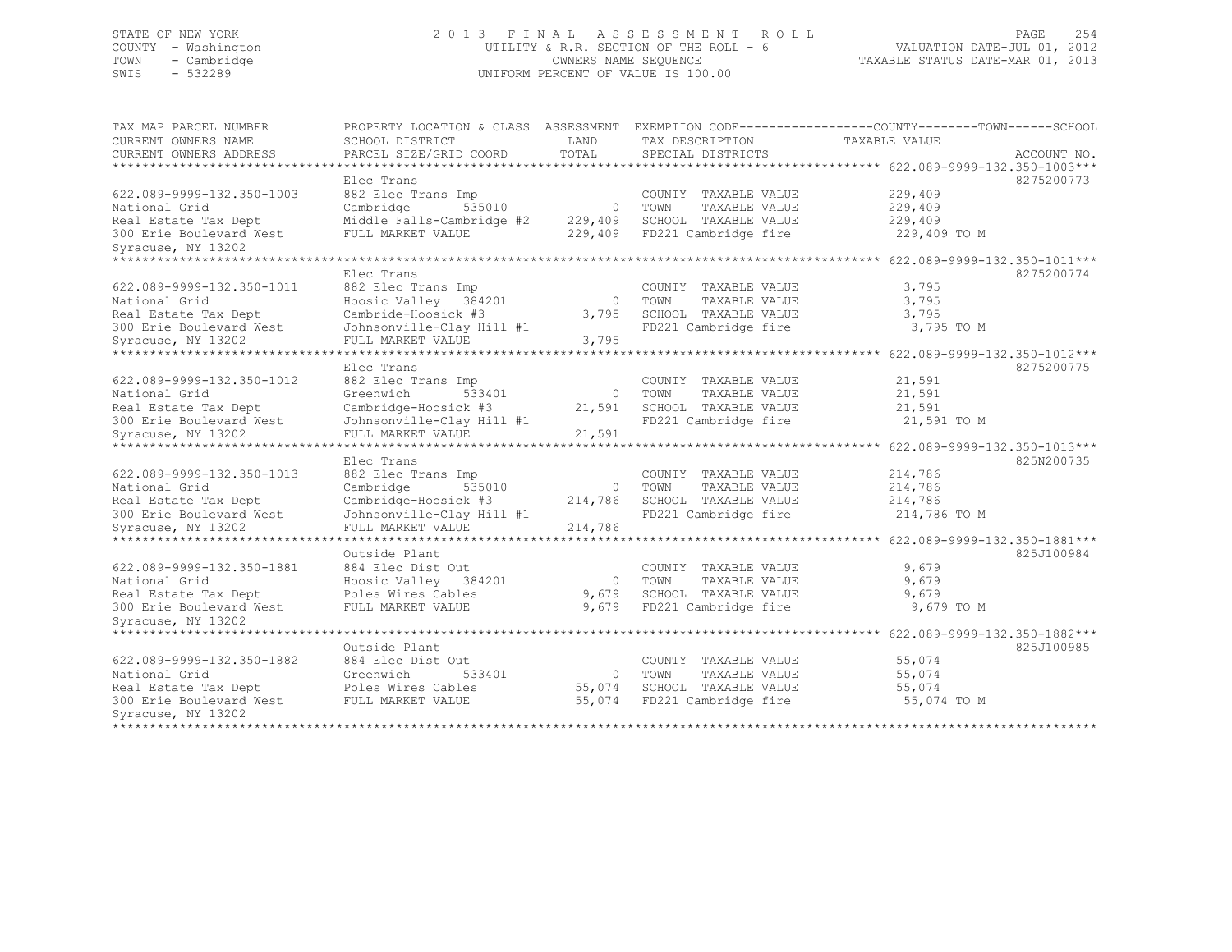## STATE OF NEW YORK 2 0 1 3 F I N A L A S S E S S M E N T R O L L PAGE 254 COUNTY - Washington UTILITY & R.R. SECTION OF THE ROLL - 6 VALUATION DATE-JUL 01, 2012 TOWN - Cambridge OWNERS NAME SEQUENCE TAXABLE STATUS DATE-MAR 01, 2013 SWIS - 532289 UNIFORM PERCENT OF VALUE IS 100.00

| TAX MAP PARCEL NUMBER<br>CURRENT OWNERS NAME | PROPERTY LOCATION & CLASS ASSESSMENT<br>SCHOOL DISTRICT | LAND           | EXEMPTION CODE----------------COUNTY-------TOWN------SCHOOL<br>TAX DESCRIPTION | TAXABLE VALUE                           |             |
|----------------------------------------------|---------------------------------------------------------|----------------|--------------------------------------------------------------------------------|-----------------------------------------|-------------|
| CURRENT OWNERS ADDRESS                       | PARCEL SIZE/GRID COORD                                  | TOTAL          | SPECIAL DISTRICTS                                                              |                                         | ACCOUNT NO. |
|                                              |                                                         |                |                                                                                |                                         |             |
|                                              | Elec Trans                                              |                |                                                                                |                                         | 8275200773  |
| 622.089-9999-132.350-1003                    | 882 Elec Trans Imp                                      |                | COUNTY TAXABLE VALUE                                                           | 229,409                                 |             |
| National Grid                                | Cambridge<br>535010                                     | $\overline{0}$ | TAXABLE VALUE<br>TOWN                                                          | 229,409                                 |             |
| Real Estate Tax Dept                         | Middle Falls-Cambridge #2                               | 229,409        | SCHOOL TAXABLE VALUE                                                           | 229,409                                 |             |
| 300 Erie Boulevard West                      | FULL MARKET VALUE                                       | 229,409        | FD221 Cambridge fire                                                           | 229,409 TO M                            |             |
| Syracuse, NY 13202                           |                                                         |                |                                                                                |                                         |             |
|                                              |                                                         |                |                                                                                | 622.089-9999-132.350-1011***            |             |
|                                              | Elec Trans                                              |                |                                                                                |                                         | 8275200774  |
| 622.089-9999-132.350-1011                    | 882 Elec Trans Imp                                      |                | COUNTY TAXABLE VALUE                                                           | 3,795                                   |             |
| National Grid                                | Hoosic Valley<br>384201                                 | $\Omega$       | TOWN<br>TAXABLE VALUE                                                          | 3,795                                   |             |
| Real Estate Tax Dept                         | Cambride-Hoosick #3                                     | 3,795          | SCHOOL TAXABLE VALUE                                                           | 3,795                                   |             |
| 300 Erie Boulevard West                      | Johnsonville-Clay Hill #1                               |                | FD221 Cambridge fire                                                           | 3,795 TO M                              |             |
| Syracuse, NY 13202                           | FULL MARKET VALUE                                       | 3,795          |                                                                                |                                         |             |
| ***************                              |                                                         |                |                                                                                | $******$ 622.089-9999-132.350-1012***   |             |
|                                              | Elec Trans                                              |                |                                                                                |                                         | 8275200775  |
| 622.089-9999-132.350-1012                    | 882 Elec Trans Imp                                      |                | COUNTY TAXABLE VALUE                                                           | 21,591                                  |             |
| National Grid                                | Greenwich<br>533401                                     | $\circ$        | TOWN<br>TAXABLE VALUE                                                          | 21,591                                  |             |
| Real Estate Tax Dept                         | Cambridge-Hoosick #3                                    | 21,591         | SCHOOL TAXABLE VALUE                                                           | 21,591                                  |             |
| 300 Erie Boulevard West                      | Johnsonville-Clay Hill #1                               |                | FD221 Cambridge fire                                                           | 21,591 TO M                             |             |
| Syracuse, NY 13202                           | FULL MARKET VALUE                                       | 21,591         |                                                                                |                                         |             |
|                                              | ******************                                      |                |                                                                                | ********** 622.089-9999-132.350-1013*** |             |
|                                              | Elec Trans                                              |                |                                                                                |                                         | 825N200735  |
| 622.089-9999-132.350-1013                    | 882 Elec Trans Imp                                      |                | COUNTY TAXABLE VALUE                                                           | 214,786                                 |             |
| National Grid                                | Cambridge<br>535010                                     | $\circ$        | TOWN<br>TAXABLE VALUE                                                          | 214,786                                 |             |
| Real Estate Tax Dept                         | Cambridge-Hoosick #3                                    | 214,786        | SCHOOL TAXABLE VALUE                                                           | 214,786                                 |             |
| 300 Erie Boulevard West                      | Johnsonville-Clay Hill #1                               |                | FD221 Cambridge fire                                                           | 214,786 TO M                            |             |
| Syracuse, NY 13202                           | FULL MARKET VALUE                                       | 214,786        |                                                                                |                                         |             |
|                                              |                                                         |                |                                                                                | 622.089-9999-132.350-1881***            |             |
|                                              | Outside Plant                                           |                |                                                                                |                                         | 825J100984  |
| 622.089-9999-132.350-1881                    | 884 Elec Dist Out                                       |                | COUNTY TAXABLE VALUE                                                           | 9,679                                   |             |
| National Grid                                | Hoosic Valley 384201                                    | $\circ$        | TAXABLE VALUE<br>TOWN                                                          | 9,679                                   |             |
| Real Estate Tax Dept                         | Poles Wires Cables                                      | 9,679          | SCHOOL TAXABLE VALUE                                                           | 9,679                                   |             |
| 300 Erie Boulevard West                      | FULL MARKET VALUE                                       | 9,679          | FD221 Cambridge fire                                                           | 9,679 TO M                              |             |
| Syracuse, NY 13202                           |                                                         |                |                                                                                |                                         |             |
| *********************                        |                                                         |                |                                                                                |                                         |             |
|                                              | Outside Plant                                           |                |                                                                                |                                         | 825J100985  |
| 622.089-9999-132.350-1882                    | 884 Elec Dist Out                                       |                | COUNTY TAXABLE VALUE                                                           | 55,074                                  |             |
| National Grid                                | Greenwich<br>533401                                     | $\circ$        | TOWN<br>TAXABLE VALUE                                                          | 55,074                                  |             |
| Real Estate Tax Dept                         | Poles Wires Cables                                      | 55,074         | SCHOOL TAXABLE VALUE                                                           | 55,074                                  |             |
| 300 Erie Boulevard West                      | FULL MARKET VALUE                                       | 55,074         | FD221 Cambridge fire                                                           | 55,074 TO M                             |             |
| Syracuse, NY 13202                           |                                                         |                |                                                                                |                                         |             |
| **************                               |                                                         |                |                                                                                |                                         |             |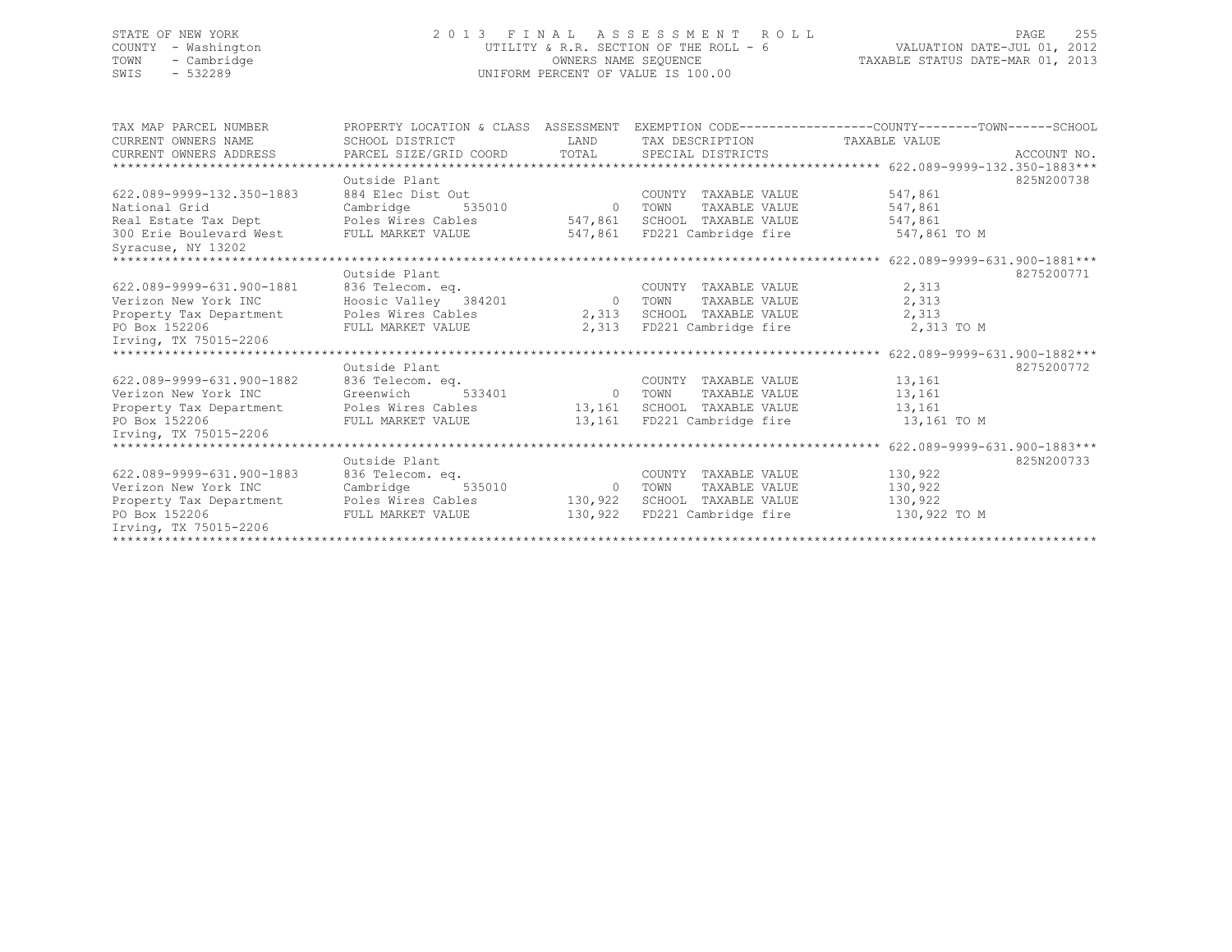## STATE OF NEW YORK 2 0 1 3 F I N A L A S S E S S M E N T R O L L PAGE 255 COUNTY - Washington UTILITY & R.R. SECTION OF THE ROLL - 6 VALUATION DATE-JUL 01, 2012 TOWN - Cambridge OWNERS NAME SEQUENCE TAXABLE STATUS DATE-MAR 01, 2013 UNIFORM PERCENT OF VALUE IS 100.00

| TAX MAP PARCEL NUMBER                     | PROPERTY LOCATION & CLASS ASSESSMENT EXEMPTION CODE----------------COUNTY-------TOWN------SCHOOL |          |                              |               |             |
|-------------------------------------------|--------------------------------------------------------------------------------------------------|----------|------------------------------|---------------|-------------|
| CURRENT OWNERS NAME                       | SCHOOL DISTRICT                                                                                  | LAND     | TAX DESCRIPTION              | TAXABLE VALUE |             |
|                                           | CURRENT OWNERS ADDRESS 6 PARCEL SIZE/GRID COORD TOTAL SPECIAL DISTRICTS                          |          |                              |               | ACCOUNT NO. |
|                                           |                                                                                                  |          |                              |               |             |
|                                           | Outside Plant                                                                                    |          |                              |               | 825N200738  |
| 622.089-9999-132.350-1883                 | 884 Elec Dist Out                                                                                |          | COUNTY TAXABLE VALUE         | 547,861       |             |
| National Grid                             | Cambridge                                                                                        | 535010 0 | TAXABLE VALUE<br>TOWN        | 547,861       |             |
| Real Estate Tax Dept Poles Wires Cables   |                                                                                                  |          | 547,861 SCHOOL TAXABLE VALUE | 547,861       |             |
| 300 Erie Boulevard West FULL MARKET VALUE |                                                                                                  |          | 547,861 FD221 Cambridge fire | 547,861 TO M  |             |
| Syracuse, NY 13202                        |                                                                                                  |          |                              |               |             |
|                                           |                                                                                                  |          |                              |               |             |
|                                           | Outside Plant                                                                                    |          |                              |               | 8275200771  |
| 622.089-9999-631.900-1881                 | 836 Telecom. eq.                                                                                 |          | COUNTY TAXABLE VALUE         | 2,313         |             |
| Verizon New York INC                      | Hoosic Valley 384201 0 TOWN                                                                      |          | TAXABLE VALUE                | 2,313         |             |
|                                           | Property Tax Department Poles Wires Cables                                                       |          | 2,313 SCHOOL TAXABLE VALUE   | 2,313         |             |
| PO Box 152206                             | FULL MARKET VALUE                                                                                |          | 2,313 FD221 Cambridge fire   | 2,313 TO M    |             |
| Irving, TX 75015-2206                     |                                                                                                  |          |                              |               |             |
|                                           |                                                                                                  |          |                              |               |             |
|                                           | Outside Plant                                                                                    |          |                              |               | 8275200772  |
| 622.089-9999-631.900-1882                 | 836 Telecom. eq.                                                                                 |          | COUNTY TAXABLE VALUE         | 13,161        |             |
| Verizon New York INC                      | Greenwich                                                                                        |          | TAXABLE VALUE                | 13,161        |             |
|                                           | Property Tax Department Poles Wires Cables 13,161 SCHOOL TAXABLE VALUE                           |          |                              | 13,161        |             |
| PO Box 152206                             | FULL MARKET VALUE                                                                                |          | 13,161 FD221 Cambridge fire  | 13,161 TO M   |             |
| Irving, TX 75015-2206                     |                                                                                                  |          |                              |               |             |
|                                           |                                                                                                  |          |                              |               |             |
|                                           | Outside Plant                                                                                    |          |                              |               | 825N200733  |
| 622.089-9999-631.900-1883                 | 836 Telecom. eq.                                                                                 |          | COUNTY TAXABLE VALUE         | 130,922       |             |
| Verizon New York INC                      | Cambridge 535010 0 TOWN                                                                          |          | TAXABLE VALUE                | 130,922       |             |
| Property Tax Department                   | Poles Wires Cables 130,922                                                                       |          | SCHOOL TAXABLE VALUE         | 130,922       |             |
| PO Box 152206                             | FULL MARKET VALUE                                                                                | 130,922  | FD221 Cambridge fire         | 130,922 TO M  |             |
| Irving, TX 75015-2206                     |                                                                                                  |          |                              |               |             |
|                                           |                                                                                                  |          |                              |               |             |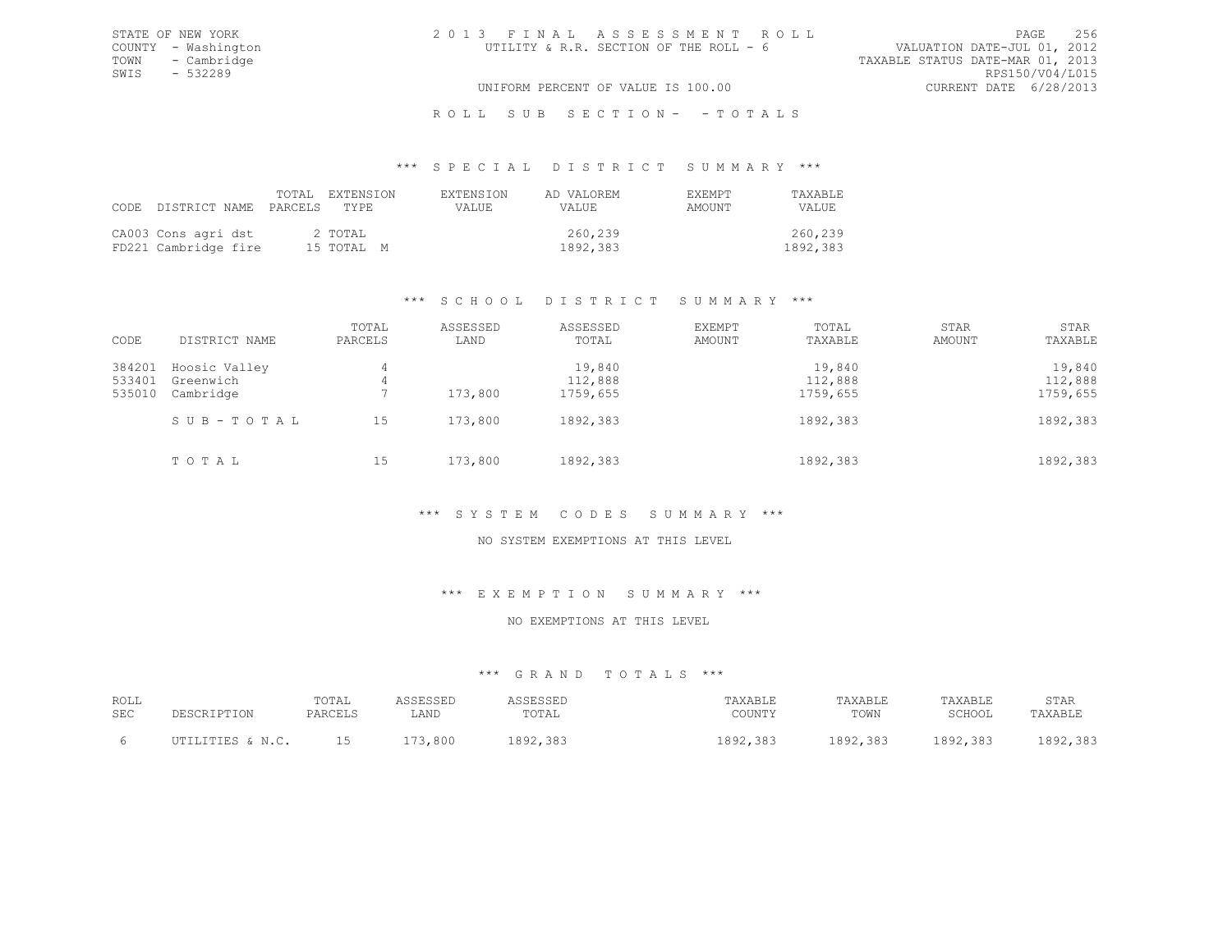ROLL SUB SECTION- - TOTALS

#### \*\*\* S P E C I A L D I S T R I C T S U M M A R Y \*\*\*

| CODE DISTRICT NAME PARCELS TYPE             |  | TOTAL EXTENSION       | <b>EXTENSION</b><br>VALUE. | AD VALOREM<br>VALUE. | EXEMPT<br>AMOUNT | TAXABLE<br>VALUE.   |
|---------------------------------------------|--|-----------------------|----------------------------|----------------------|------------------|---------------------|
| CA003 Cons agri dst<br>FD221 Cambridge fire |  | 2 TOTAL<br>15 TOTAL M |                            | 260,239<br>1892,383  |                  | 260,239<br>1892,383 |

## \*\*\* S C H O O L D I S T R I C T S U M M A R Y \*\*\*

| CODE                       | DISTRICT NAME                           | TOTAL<br>PARCELS | ASSESSED<br>LAND | ASSESSED<br>TOTAL             | EXEMPT<br>AMOUNT | TOTAL<br>TAXABLE              | STAR<br>AMOUNT | STAR<br>TAXABLE               |
|----------------------------|-----------------------------------------|------------------|------------------|-------------------------------|------------------|-------------------------------|----------------|-------------------------------|
| 384201<br>533401<br>535010 | Hoosic Valley<br>Greenwich<br>Cambridge | 4<br>4           | 173,800          | 19,840<br>112,888<br>1759,655 |                  | 19,840<br>112,888<br>1759,655 |                | 19,840<br>112,888<br>1759,655 |
|                            | SUB-TOTAL                               | 15               | 173,800          | 1892,383                      |                  | 1892,383                      |                | 1892,383                      |
|                            | TOTAL                                   | 15               | 173,800          | 1892,383                      |                  | 1892,383                      |                | 1892,383                      |

## \*\*\* S Y S T E M C O D E S S U M M A R Y \*\*\*

## NO SYSTEM EXEMPTIONS AT THIS LEVEL

#### \*\*\* E X E M P T I O N S U M M A R Y \*\*\*

#### NO EXEMPTIONS AT THIS LEVEL

| ROLL<br><b>SEC</b> | DESCRIPTION      | TOTAL<br>PARCELS | LAND                 | SESSED<br>TOTAL | TAXABLE<br>COUNTY              | TAXABLE<br>TOWN | TAXABLE<br>SCHOOL | STAR<br>TAXABLE                 |
|--------------------|------------------|------------------|----------------------|-----------------|--------------------------------|-----------------|-------------------|---------------------------------|
|                    | TTTES & N C<br>. | ∸∽               | $-1$<br>3,800<br>- 1 | 38<br>. 892     | 383<br>1000<br>10 <i>01000</i> | 1892,383        | 1892,383          | 383<br>002<br>10 <i>12,</i> 000 |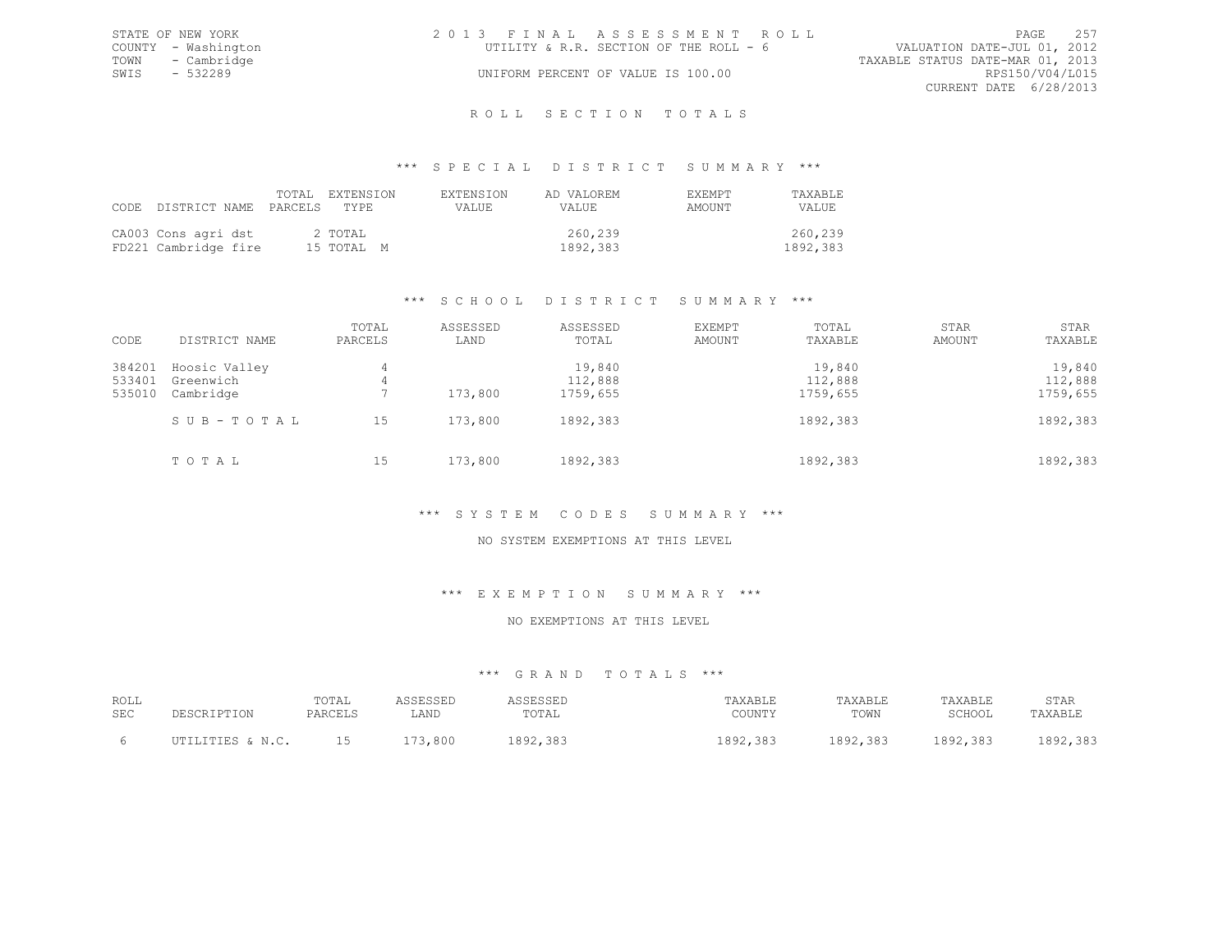|      | STATE OF NEW YORK   | 2013 FINAL ASSESSMENT ROLL             |                                  |                        | PAGE 257 |
|------|---------------------|----------------------------------------|----------------------------------|------------------------|----------|
|      | COUNTY - Washington | UTILITY & R.R. SECTION OF THE ROLL - 6 | VALUATION DATE-JUL 01, 2012      |                        |          |
|      | TOWN - Cambridge    |                                        | TAXABLE STATUS DATE-MAR 01, 2013 |                        |          |
| SWIS | - 532289            | UNIFORM PERCENT OF VALUE IS 100.00     |                                  | RPS150/V04/L015        |          |
|      |                     |                                        |                                  | CURRENT DATE 6/28/2013 |          |
|      |                     |                                        |                                  |                        |          |

#### R O L L S E C T I O N T O T A L S

#### \*\*\* S P E C I A L D I S T R I C T S U M M A R Y \*\*\*

| CODE DISTRICT NAME PARCELS TYPE             |  | TOTAL EXTENSION       | EXTENSION<br>VALUE. | AD VALOREM<br>VALUE | <b>FXEMPT</b><br>AMOUNT | TAXABLE<br>VALUE.   |
|---------------------------------------------|--|-----------------------|---------------------|---------------------|-------------------------|---------------------|
| CA003 Cons agri dst<br>FD221 Cambridge fire |  | 2 TOTAL<br>15 TOTAL M |                     | 260,239<br>1892,383 |                         | 260,239<br>1892,383 |

# \*\*\* S C H O O L D I S T R I C T S U M M A R Y \*\*\*

| CODE                       | DISTRICT NAME                           | TOTAL<br>PARCELS | ASSESSED<br>LAND | ASSESSED<br>TOTAL             | EXEMPT<br>AMOUNT | TOTAL<br>TAXABLE              | STAR<br>AMOUNT | STAR<br>TAXABLE               |
|----------------------------|-----------------------------------------|------------------|------------------|-------------------------------|------------------|-------------------------------|----------------|-------------------------------|
| 384201<br>533401<br>535010 | Hoosic Valley<br>Greenwich<br>Cambridge | 4<br>4           | 173,800          | 19,840<br>112,888<br>1759,655 |                  | 19,840<br>112,888<br>1759,655 |                | 19,840<br>112,888<br>1759,655 |
|                            | SUB-TOTAL                               | 15               | 173,800          | 1892,383                      |                  | 1892,383                      |                | 1892,383                      |
|                            | TOTAL                                   | 15               | 173,800          | 1892,383                      |                  | 1892,383                      |                | 1892,383                      |

## \*\*\* S Y S T E M C O D E S S U M M A R Y \*\*\*

## NO SYSTEM EXEMPTIONS AT THIS LEVEL

#### \*\*\* E X E M P T I O N S U M M A R Y \*\*\*

#### NO EXEMPTIONS AT THIS LEVEL

| ROLL<br><b>SEC</b> | DESCRIPTION       | TOTAL<br>PARCELS | LAND               | SESSEL<br>TOTAL | TAXABLE<br>COUNTY                 | TAXABLE<br>TOWN | TAXABLE<br>SCHOOL | STAR<br>TAXABLE           |
|--------------------|-------------------|------------------|--------------------|-----------------|-----------------------------------|-----------------|-------------------|---------------------------|
|                    | TTTTES & N C<br>. | ∸∽               | $-1$<br>800<br>- 1 | . മേറ           | $-397$<br>1000<br>10 <i>01000</i> | 1892,383        | 1892,383          | 303<br>, 000.<br>エロンムテンロン |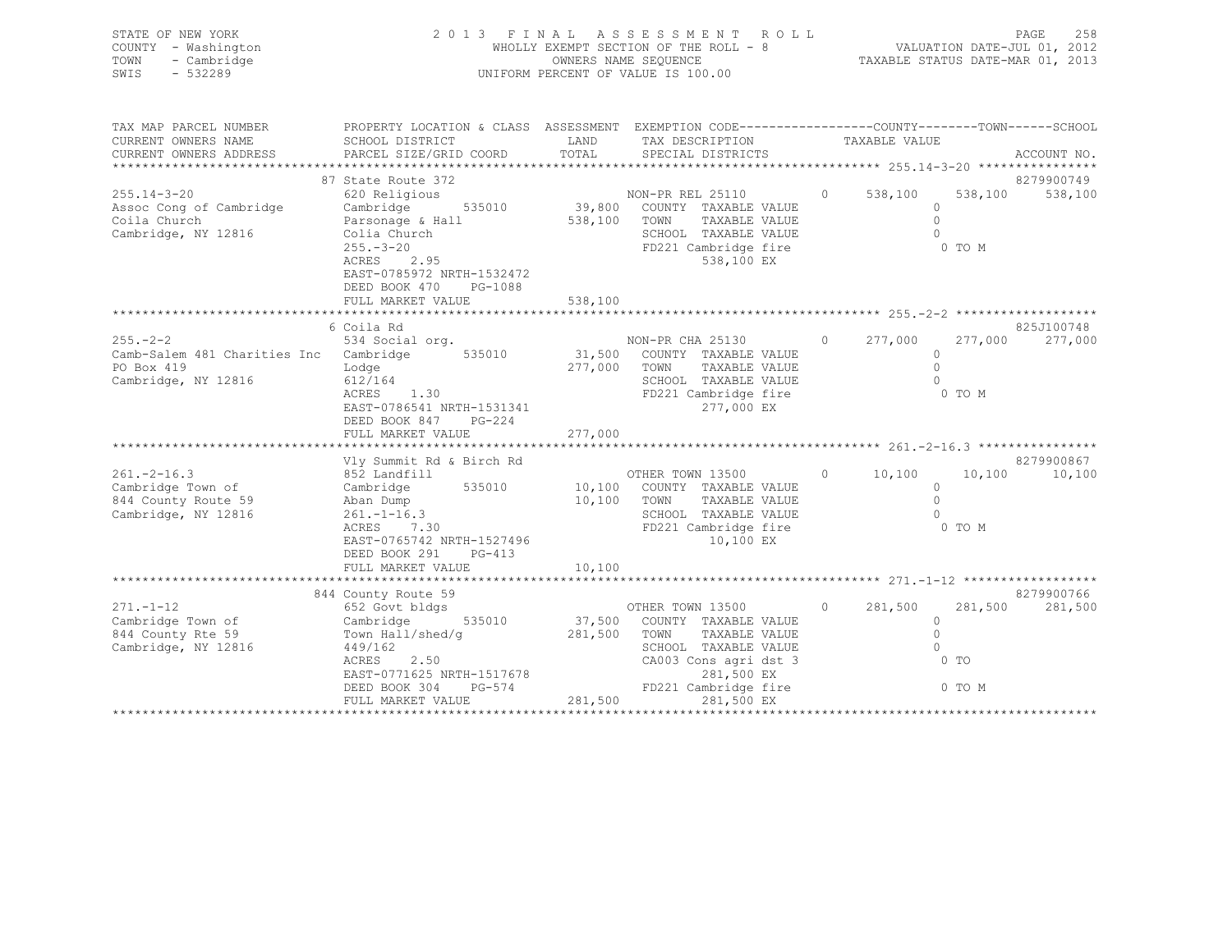| STATE OF NEW YORK<br>COUNTY - Washington<br>TOWN<br>- Cambridge<br>SWIS - 532289                                                                                                                  | OWNERS NAME SEQUENCE<br>UNIFORM PERCENT OF VALUE IS 100.00                                                         |         | 2013 FINAL ASSESSMENT ROLL<br>WHOLLY EXEMPT SECTION OF THE ROLL - 8 VALUATION DATE-JUL 01, 2012<br>OWNERS NAME SEQUENCE TAXABLE STATUS DATE-MAR 01, 2013 |          |          | 258<br>PAGE |
|---------------------------------------------------------------------------------------------------------------------------------------------------------------------------------------------------|--------------------------------------------------------------------------------------------------------------------|---------|----------------------------------------------------------------------------------------------------------------------------------------------------------|----------|----------|-------------|
| TAX MAP PARCEL NUMBER<br>CURRENT OWNERS NAME                                                                                                                                                      | PROPERTY LOCATION & CLASS ASSESSMENT EXEMPTION CODE----------------COUNTY-------TOWN-----SCHOOI<br>SCHOOL DISTRICT |         | LAND TAX DESCRIPTION TAXABLE VALUE                                                                                                                       |          |          |             |
|                                                                                                                                                                                                   |                                                                                                                    |         |                                                                                                                                                          |          |          |             |
|                                                                                                                                                                                                   | 87 State Route 372                                                                                                 |         |                                                                                                                                                          |          |          | 8279900749  |
|                                                                                                                                                                                                   |                                                                                                                    |         | NON-PR REL 25110 0 538,100 538,100 538,100                                                                                                               |          |          |             |
| 255.14-3-20 Cambridge 620 Religious (200 Religious Resoc Cong of Cambridge Cambridge 535010 19,800 COUNTY TAXABLE VALUE<br>Coila Church (2015) Parsonage & Hall (2016) 538,100 TOWN TAXABLE VALUE |                                                                                                                    |         |                                                                                                                                                          | $\circ$  |          |             |
|                                                                                                                                                                                                   |                                                                                                                    |         |                                                                                                                                                          |          |          |             |
| Cambridge, NY 12816                                                                                                                                                                               |                                                                                                                    |         |                                                                                                                                                          |          |          |             |
|                                                                                                                                                                                                   |                                                                                                                    |         |                                                                                                                                                          |          | 0 TO M   |             |
|                                                                                                                                                                                                   |                                                                                                                    |         |                                                                                                                                                          |          |          |             |
|                                                                                                                                                                                                   | EAST-0785972 NRTH-1532472<br>DEED BOOK 470 PG-1088                                                                 |         |                                                                                                                                                          |          |          |             |
|                                                                                                                                                                                                   | FULL MARKET VALUE                                                                                                  | 538,100 |                                                                                                                                                          |          |          |             |
|                                                                                                                                                                                                   |                                                                                                                    |         |                                                                                                                                                          |          |          |             |
|                                                                                                                                                                                                   | 6 Coila Rd                                                                                                         |         |                                                                                                                                                          |          |          | 825J100748  |
| 255.-2-2 255.-2-2 534 Social org. NON-PR CHA 25130 0 277,000 277,000 277,000                                                                                                                      |                                                                                                                    |         |                                                                                                                                                          |          |          |             |
| Camb-Salem 481 Charities Inc                                                                                                                                                                      | Cambridge 535010 31,500 COUNTY TAXABLE VALUE                                                                       |         |                                                                                                                                                          | $\Omega$ |          |             |
| PO Box 419                                                                                                                                                                                        | 1.0dge<br>6 612/164 5277,000 TOWN<br>8CRES 1.30 600 FD221                                                          |         | TAXABLE VALUE                                                                                                                                            |          |          |             |
| Cambridge, NY 12816                                                                                                                                                                               |                                                                                                                    |         | SCHOOL TAXABLE VALUE                                                                                                                                     |          |          |             |
|                                                                                                                                                                                                   |                                                                                                                    |         | FD221 Cambridge fire                                                                                                                                     |          | $0$ TO M |             |

| EAST-0786541 NRTH-1531341<br>277,000 EX<br>DEED BOOK 847<br>$PG-224$<br>277,000<br>FULL MARKET VALUE<br>8279900867<br>Vly Summit Rd & Birch Rd<br>$261 - 2 - 16.3$<br>OTHER TOWN 13500<br>10,100<br>10,100<br>852 Landfill<br>$\circ$<br>535010<br>Cambridge Town of<br>Cambridge<br>10,100<br>COUNTY TAXABLE VALUE<br>844 County Route 59<br>10,100<br>Aban Dump<br>TOWN<br>TAXABLE VALUE<br>$261. - 1 - 16.3$<br>Cambridge, NY 12816<br>SCHOOL<br>TAXABLE VALUE<br>7.30<br>FD221 Cambridge fire<br>0 TO M<br>ACRES<br>EAST-0765742 NRTH-1527496<br>10,100 EX<br>DEED BOOK 291<br>$PG-413$<br>10,100<br>FULL MARKET VALUE<br>8279900766<br>844 County Route 59<br>$271 - 1 - 12$<br>281,500<br>652 Govt bldgs<br>OTHER TOWN 13500<br>281,500<br>$\Omega$<br>Cambridge Town of<br>Cambridge<br>535010<br>37,500<br>COUNTY TAXABLE VALUE<br>844 County Rte 59<br>Town Hall/shed/q<br>281,500<br>TOWN<br>TAXABLE VALUE<br>Cambridge, NY 12816<br>449/162<br>TAXABLE VALUE<br>SCHOOL<br>ACRES<br>2.50<br>CA003 Cons agri dst 3<br>$0$ TO<br>EAST-0771625 NRTH-1517678<br>281,500 EX<br>FD221 Cambridge fire<br>0 TO M<br>DEED BOOK 304<br>PG-574<br>281,500<br>281,500 EX<br>FULL MARKET VALUE | ACRES 1.30 | FD221 Cambridge fire | U TOM |         |
|---------------------------------------------------------------------------------------------------------------------------------------------------------------------------------------------------------------------------------------------------------------------------------------------------------------------------------------------------------------------------------------------------------------------------------------------------------------------------------------------------------------------------------------------------------------------------------------------------------------------------------------------------------------------------------------------------------------------------------------------------------------------------------------------------------------------------------------------------------------------------------------------------------------------------------------------------------------------------------------------------------------------------------------------------------------------------------------------------------------------------------------------------------------------------------------------|------------|----------------------|-------|---------|
|                                                                                                                                                                                                                                                                                                                                                                                                                                                                                                                                                                                                                                                                                                                                                                                                                                                                                                                                                                                                                                                                                                                                                                                             |            |                      |       |         |
|                                                                                                                                                                                                                                                                                                                                                                                                                                                                                                                                                                                                                                                                                                                                                                                                                                                                                                                                                                                                                                                                                                                                                                                             |            |                      |       |         |
|                                                                                                                                                                                                                                                                                                                                                                                                                                                                                                                                                                                                                                                                                                                                                                                                                                                                                                                                                                                                                                                                                                                                                                                             |            |                      |       |         |
|                                                                                                                                                                                                                                                                                                                                                                                                                                                                                                                                                                                                                                                                                                                                                                                                                                                                                                                                                                                                                                                                                                                                                                                             |            |                      |       |         |
|                                                                                                                                                                                                                                                                                                                                                                                                                                                                                                                                                                                                                                                                                                                                                                                                                                                                                                                                                                                                                                                                                                                                                                                             |            |                      |       |         |
|                                                                                                                                                                                                                                                                                                                                                                                                                                                                                                                                                                                                                                                                                                                                                                                                                                                                                                                                                                                                                                                                                                                                                                                             |            |                      |       | 10,100  |
|                                                                                                                                                                                                                                                                                                                                                                                                                                                                                                                                                                                                                                                                                                                                                                                                                                                                                                                                                                                                                                                                                                                                                                                             |            |                      |       |         |
|                                                                                                                                                                                                                                                                                                                                                                                                                                                                                                                                                                                                                                                                                                                                                                                                                                                                                                                                                                                                                                                                                                                                                                                             |            |                      |       |         |
|                                                                                                                                                                                                                                                                                                                                                                                                                                                                                                                                                                                                                                                                                                                                                                                                                                                                                                                                                                                                                                                                                                                                                                                             |            |                      |       |         |
|                                                                                                                                                                                                                                                                                                                                                                                                                                                                                                                                                                                                                                                                                                                                                                                                                                                                                                                                                                                                                                                                                                                                                                                             |            |                      |       |         |
|                                                                                                                                                                                                                                                                                                                                                                                                                                                                                                                                                                                                                                                                                                                                                                                                                                                                                                                                                                                                                                                                                                                                                                                             |            |                      |       |         |
|                                                                                                                                                                                                                                                                                                                                                                                                                                                                                                                                                                                                                                                                                                                                                                                                                                                                                                                                                                                                                                                                                                                                                                                             |            |                      |       |         |
|                                                                                                                                                                                                                                                                                                                                                                                                                                                                                                                                                                                                                                                                                                                                                                                                                                                                                                                                                                                                                                                                                                                                                                                             |            |                      |       |         |
|                                                                                                                                                                                                                                                                                                                                                                                                                                                                                                                                                                                                                                                                                                                                                                                                                                                                                                                                                                                                                                                                                                                                                                                             |            |                      |       |         |
|                                                                                                                                                                                                                                                                                                                                                                                                                                                                                                                                                                                                                                                                                                                                                                                                                                                                                                                                                                                                                                                                                                                                                                                             |            |                      |       |         |
|                                                                                                                                                                                                                                                                                                                                                                                                                                                                                                                                                                                                                                                                                                                                                                                                                                                                                                                                                                                                                                                                                                                                                                                             |            |                      |       | 281,500 |
|                                                                                                                                                                                                                                                                                                                                                                                                                                                                                                                                                                                                                                                                                                                                                                                                                                                                                                                                                                                                                                                                                                                                                                                             |            |                      |       |         |
|                                                                                                                                                                                                                                                                                                                                                                                                                                                                                                                                                                                                                                                                                                                                                                                                                                                                                                                                                                                                                                                                                                                                                                                             |            |                      |       |         |
|                                                                                                                                                                                                                                                                                                                                                                                                                                                                                                                                                                                                                                                                                                                                                                                                                                                                                                                                                                                                                                                                                                                                                                                             |            |                      |       |         |
|                                                                                                                                                                                                                                                                                                                                                                                                                                                                                                                                                                                                                                                                                                                                                                                                                                                                                                                                                                                                                                                                                                                                                                                             |            |                      |       |         |
|                                                                                                                                                                                                                                                                                                                                                                                                                                                                                                                                                                                                                                                                                                                                                                                                                                                                                                                                                                                                                                                                                                                                                                                             |            |                      |       |         |
|                                                                                                                                                                                                                                                                                                                                                                                                                                                                                                                                                                                                                                                                                                                                                                                                                                                                                                                                                                                                                                                                                                                                                                                             |            |                      |       |         |
|                                                                                                                                                                                                                                                                                                                                                                                                                                                                                                                                                                                                                                                                                                                                                                                                                                                                                                                                                                                                                                                                                                                                                                                             |            |                      |       |         |
|                                                                                                                                                                                                                                                                                                                                                                                                                                                                                                                                                                                                                                                                                                                                                                                                                                                                                                                                                                                                                                                                                                                                                                                             |            |                      |       |         |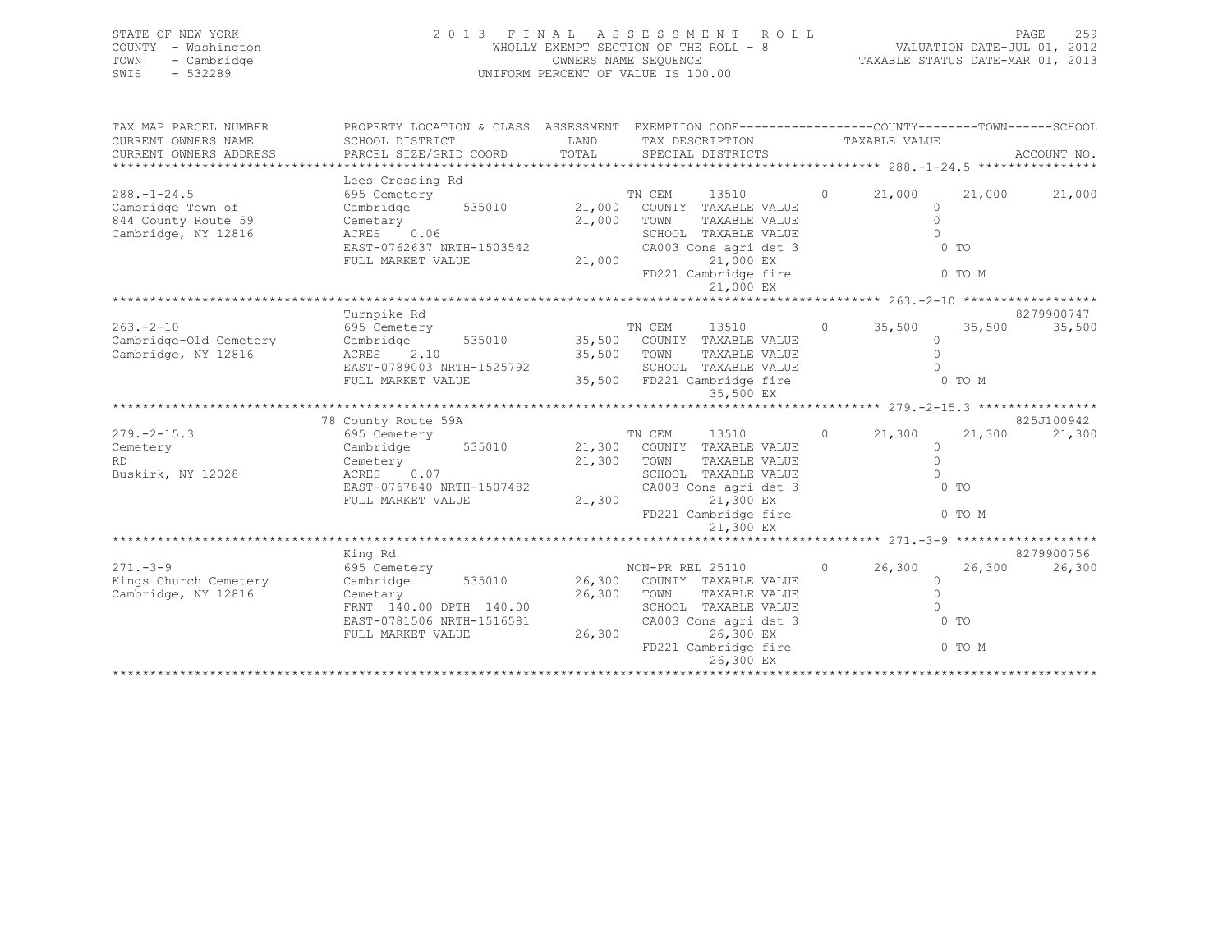| STATE OF NEW YORK   | 2013 FINAL ASSESSMENT ROLL            | 259<br>PAGE                      |
|---------------------|---------------------------------------|----------------------------------|
| COUNTY - Washington | WHOLLY EXEMPT SECTION OF THE ROLL - 8 | VALUATION DATE-JUL 01, 2012      |
| TOWN - Cambridge    | OWNERS NAME SEQUENCE                  | TAXABLE STATUS DATE-MAR 01, 2013 |
| SWIS<br>- 532289    | UNIFORM PERCENT OF VALUE IS 100.00    |                                  |
|                     |                                       |                                  |

| TAX MAP PARCEL NUMBER                                               | PROPERTY LOCATION & CLASS ASSESSMENT EXEMPTION CODE---------------COUNTY-------TOWN-----SCHOOL |                      |                                          |                     |                |               |
|---------------------------------------------------------------------|------------------------------------------------------------------------------------------------|----------------------|------------------------------------------|---------------------|----------------|---------------|
| CURRENT OWNERS NAME                                                 | SCHOOL DISTRICT<br>LAND                                                                        |                      | TAX DESCRIPTION TAXABLE VALUE            |                     |                |               |
| CURRENT OWNERS ADDRESS                                              |                                                                                                |                      |                                          |                     |                |               |
|                                                                     |                                                                                                |                      |                                          |                     |                |               |
| $288. - 1 - 24.5$                                                   |                                                                                                |                      |                                          | $0 \t 21,000$       |                | 21,000 21,000 |
| Cambridge Town of                                                   |                                                                                                |                      |                                          | $\Omega$            |                |               |
| 844 County Route 59                                                 |                                                                                                |                      | TAXABLE VALUE                            | $\bigcirc$          |                |               |
| Cambridge, NY 12816                                                 | Cemetary 21,000 TOWN<br>ACRES 0.06 21,000 TOWN<br>EAST-0762637 NRTH-1503542 CA003              |                      | SCHOOL TAXABLE VALUE                     | $\bigcirc$          |                |               |
|                                                                     |                                                                                                |                      | CA003 Cons agri dst 3                    | $0$ TO              |                |               |
|                                                                     | FULL MARKET VALUE                                                                              | 21,000               | 21,000 EX                                |                     |                |               |
|                                                                     |                                                                                                |                      | FD221 Cambridge fire 0 TO M              |                     |                |               |
|                                                                     |                                                                                                |                      | 21,000 EX                                |                     |                |               |
|                                                                     |                                                                                                |                      |                                          |                     |                |               |
|                                                                     | Turnpike Rd                                                                                    |                      |                                          |                     |                | 8279900747    |
| $263. - 2 - 10$                                                     | 695 Cemetery                                                                                   |                      | TN CEM 13510                             | 0 $35,500$ $35,500$ |                | 35,500        |
| Cambridge-Old Cemetery Cambridge 535010 35,500 COUNTY TAXABLE VALUE |                                                                                                |                      |                                          | $\Omega$            |                |               |
| Cambridge, NY 12816                                                 | ACRES 2.10                                                                                     | 35,500 TOWN<br>SCHOC | TAXABLE VALUE                            | $\bigcirc$          |                |               |
|                                                                     | EAST-0789003 NRTH-1525792                                                                      |                      |                                          |                     |                |               |
|                                                                     |                                                                                                |                      |                                          |                     |                |               |
|                                                                     |                                                                                                |                      |                                          |                     |                |               |
|                                                                     |                                                                                                |                      |                                          |                     |                |               |
|                                                                     | 78 County Route 59A                                                                            |                      |                                          |                     |                | 825J100942    |
| $279. - 2 - 15.3$                                                   |                                                                                                |                      | 13510                                    | $0 \t 21,300$       | 21,300         | 21,300        |
| Cemetery                                                            |                                                                                                |                      |                                          | $\circ$             |                |               |
| RD.                                                                 |                                                                                                |                      | TAXABLE VALUE                            | $\bigcirc$          |                |               |
| Buskirk, NY 12028                                                   | Cemetery 21,300 TOWN<br>ACRES 0.07 SCHOO EAST-0767840 NRTH-1507482 CA003                       |                      | SCHOOL TAXABLE VALUE                     | $\bigcap$           |                |               |
|                                                                     |                                                                                                | 21,300               | CA003 Cons agri dst 3                    | $0$ TO              |                |               |
|                                                                     | FULL MARKET VALUE                                                                              |                      | 21,300 EX<br>FD221 Cambridge fire 0 TO M |                     |                |               |
|                                                                     |                                                                                                |                      |                                          |                     |                |               |
|                                                                     |                                                                                                |                      | 21,300 EX                                |                     |                |               |
|                                                                     | King Rd                                                                                        |                      |                                          |                     |                | 8279900756    |
| $271. - 3 - 9$                                                      | 695 Cemetery                                                                                   |                      |                                          | $0 \t 26,300$       | 26,300         | 26,300        |
| Kings Church Cemetery                                               |                                                                                                |                      |                                          | $\Omega$            |                |               |
| Cambridge, NY 12816                                                 | Cemetary                                                                                       | 26,300 TOWN          | TAXABLE VALUE                            | $\overline{0}$      |                |               |
|                                                                     | FRNT 140.00 DPTH 140.00                                                                        |                      | SCHOOL TAXABLE VALUE                     | $\bigcirc$          |                |               |
|                                                                     | EAST-0781506 NRTH-1516581                                                                      |                      | CA003 Cons agri dst 3                    |                     | 0 <sub>T</sub> |               |
|                                                                     | FULL MARKET VALUE                                                                              | 26,300               | 26,300 EX                                |                     |                |               |
|                                                                     |                                                                                                |                      | FD221 Cambridge fire                     |                     | 0 TO M         |               |
|                                                                     |                                                                                                |                      | 26,300 EX                                |                     |                |               |
|                                                                     |                                                                                                |                      |                                          |                     |                |               |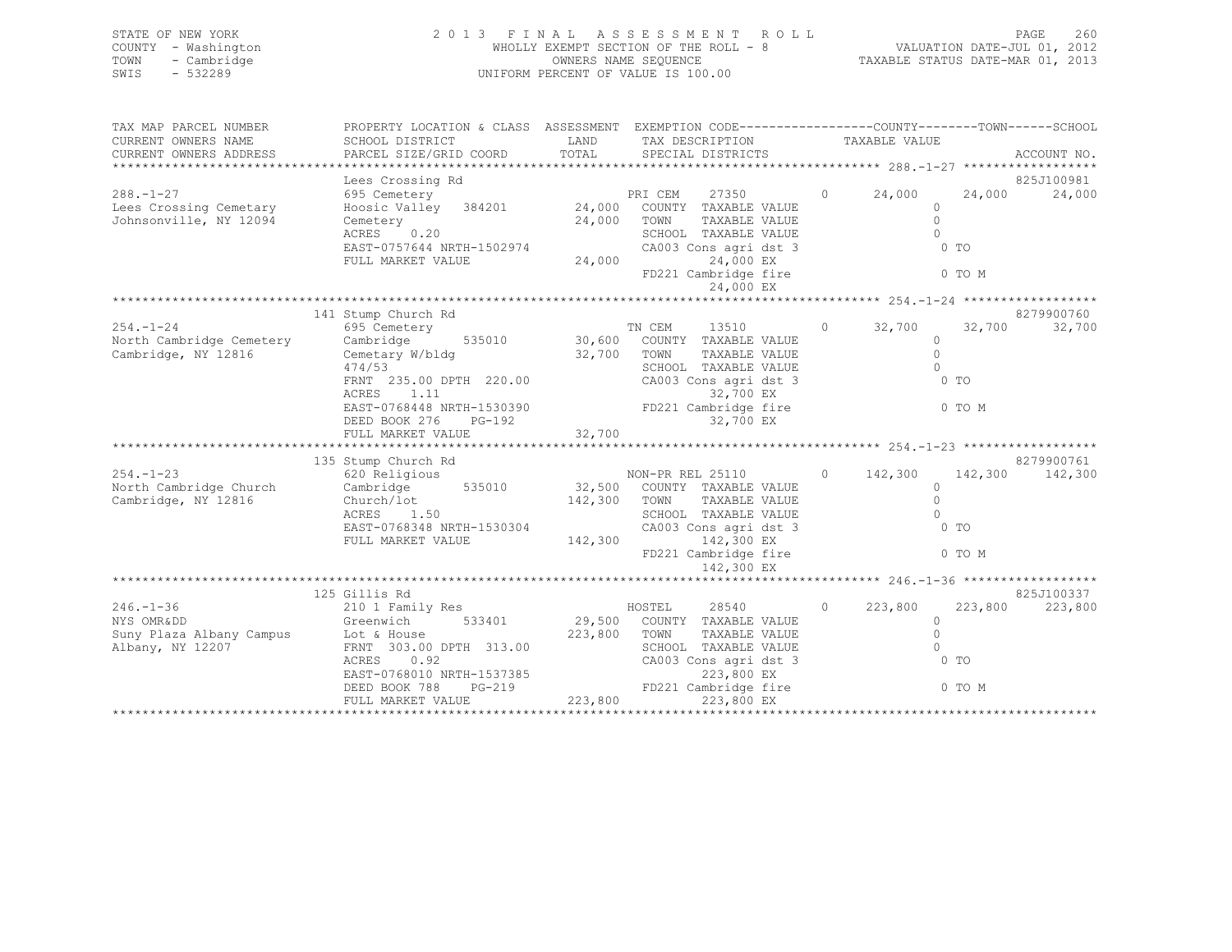| STATE OF NEW YORK   | 2013 FINAL ASSESSMENT ROLL            | 260<br><b>PAGE</b>               |
|---------------------|---------------------------------------|----------------------------------|
| COUNTY - Washington | WHOLLY EXEMPT SECTION OF THE ROLL - 8 | VALUATION DATE-JUL 01, 2012      |
| TOWN - Cambridge    | OWNERS NAME SEQUENCE                  | TAXABLE STATUS DATE-MAR 01, 2013 |
| $-532289$<br>SWIS   | UNIFORM PERCENT OF VALUE IS 100.00    |                                  |
|                     |                                       |                                  |

| TAX MAP PARCEL NUMBER  | PROPERTY LOCATION & CLASS ASSESSMENT EXEMPTION CODE----------------COUNTY-------TOWN------SCHOOL                                                                                                                                     |                                               |                                       |                |                 |
|------------------------|--------------------------------------------------------------------------------------------------------------------------------------------------------------------------------------------------------------------------------------|-----------------------------------------------|---------------------------------------|----------------|-----------------|
| CURRENT OWNERS NAME    | SCHOOL DISTRICT                                                                                                                                                                                                                      | LAND TAX DESCRIPTION TAXABLE VALUE            |                                       |                |                 |
|                        |                                                                                                                                                                                                                                      |                                               |                                       |                |                 |
|                        |                                                                                                                                                                                                                                      |                                               |                                       |                |                 |
|                        |                                                                                                                                                                                                                                      |                                               |                                       |                |                 |
| $288. -1 - 27$         |                                                                                                                                                                                                                                      |                                               |                                       |                |                 |
| Lees Crossing Cemetary |                                                                                                                                                                                                                                      |                                               |                                       |                |                 |
| Johnsonville, NY 12094 |                                                                                                                                                                                                                                      |                                               |                                       |                |                 |
|                        |                                                                                                                                                                                                                                      |                                               |                                       |                |                 |
|                        |                                                                                                                                                                                                                                      |                                               | 0 <sub>T</sub>                        |                |                 |
|                        | ACRES 0.20<br>EAST-0757644 NRTH-1502974<br>FULL MARKET VALUE 24,000<br>24,000<br>24,000<br>EX                                                                                                                                        |                                               |                                       |                |                 |
|                        |                                                                                                                                                                                                                                      | FD221 Cambridge fire 6 0 TO M                 |                                       |                |                 |
|                        |                                                                                                                                                                                                                                      |                                               |                                       |                |                 |
|                        |                                                                                                                                                                                                                                      |                                               |                                       |                |                 |
|                        | 141 Stump Church Rd                                                                                                                                                                                                                  |                                               |                                       |                | 8279900760      |
|                        | 254.-1-24 695 Cemetery 695 Cemetery 71 CEM 13510 0 32,700<br>North Cambridge Cemetery Cambridge 535010 30,600 COUNTY TAXABLE VALUE                                                                                                   |                                               |                                       |                | 32,700 32,700   |
|                        |                                                                                                                                                                                                                                      |                                               |                                       |                |                 |
| Cambridge, NY 12816    | Cemetary W/bldg 32,700 TOWN                                                                                                                                                                                                          | TAXABLE VALUE                                 | $\begin{array}{c} 0 \\ 0 \end{array}$ |                |                 |
|                        | 474/53                                                                                                                                                                                                                               | SCHOOL TAXABLE VALUE                          |                                       |                |                 |
|                        | FRNT 235.00 DPTH 220.00<br>ACRES 1 11                                                                                                                                                                                                |                                               | 0 <sub>T</sub>                        |                |                 |
|                        |                                                                                                                                                                                                                                      |                                               |                                       |                |                 |
|                        |                                                                                                                                                                                                                                      |                                               |                                       |                |                 |
|                        |                                                                                                                                                                                                                                      |                                               |                                       |                |                 |
|                        |                                                                                                                                                                                                                                      |                                               |                                       |                |                 |
|                        | 135 Stump Church Rd                                                                                                                                                                                                                  |                                               |                                       |                | 8279900761      |
|                        |                                                                                                                                                                                                                                      |                                               |                                       |                |                 |
|                        |                                                                                                                                                                                                                                      |                                               |                                       |                |                 |
|                        | 354.-1-23 620 Religious<br>Non-PR REL 25110 0 142,300 142,300 142,300 142,300<br>Cambridge, NY 12816 Church/lot Church/lot 142,300 TOWN TAXABLE VALUE<br>ACRES 1.50 1620 2000 142,300 2000 142,300 12816 2010 1500 2010 142,300 142, |                                               |                                       |                |                 |
|                        |                                                                                                                                                                                                                                      |                                               |                                       |                |                 |
|                        | ACRES 1.50 SCHOOL TAXABLE VALUE EAST-0768348 NRTH-1530304 CA003 Cons agri dst 3<br>FULL MARKET VALUE 142,300 142,300 EX                                                                                                              |                                               |                                       | 0 <sub>T</sub> |                 |
|                        |                                                                                                                                                                                                                                      |                                               |                                       |                |                 |
|                        |                                                                                                                                                                                                                                      | FD221 Cambridge fire 0 TO M                   |                                       |                |                 |
|                        |                                                                                                                                                                                                                                      | 142,300 EX                                    |                                       |                |                 |
|                        |                                                                                                                                                                                                                                      |                                               |                                       |                |                 |
|                        | 125 Gillis Rd                                                                                                                                                                                                                        |                                               |                                       |                | 825J100337      |
|                        | OIIIIS KQ<br>210 1 Family Res<br>246.-1-36 210 1 Family Res<br>NYS OMRⅅ COUNTY TAXABLE VALUE<br>Greenwich 533401 29,500 COUNTY TAXABLE VALUE                                                                                         | $HOSTEL$ 28540 0 223,800                      |                                       |                | 223,800 223,800 |
|                        |                                                                                                                                                                                                                                      |                                               |                                       | $\Omega$       |                 |
|                        | NYS OMRⅅ<br>Suny Plaza Albany Campus<br>Albany, NY 12207 FORM TOWN<br>RERNT 303.00 DPTH 313.00 SCHOO SCHOO CA003<br>CA003                                                                                                            | TAXABLE VALUE                                 | $\Omega$                              |                |                 |
|                        |                                                                                                                                                                                                                                      | SCHOOL TAXABLE VALUE<br>CA003 Cons agri dst 3 | $\bigcirc$                            |                |                 |
|                        | ACRES 0.92                                                                                                                                                                                                                           |                                               | 0 <sub>T</sub>                        |                |                 |
|                        |                                                                                                                                                                                                                                      |                                               |                                       |                |                 |
|                        |                                                                                                                                                                                                                                      |                                               |                                       |                |                 |
|                        |                                                                                                                                                                                                                                      |                                               |                                       |                |                 |
|                        |                                                                                                                                                                                                                                      |                                               |                                       |                |                 |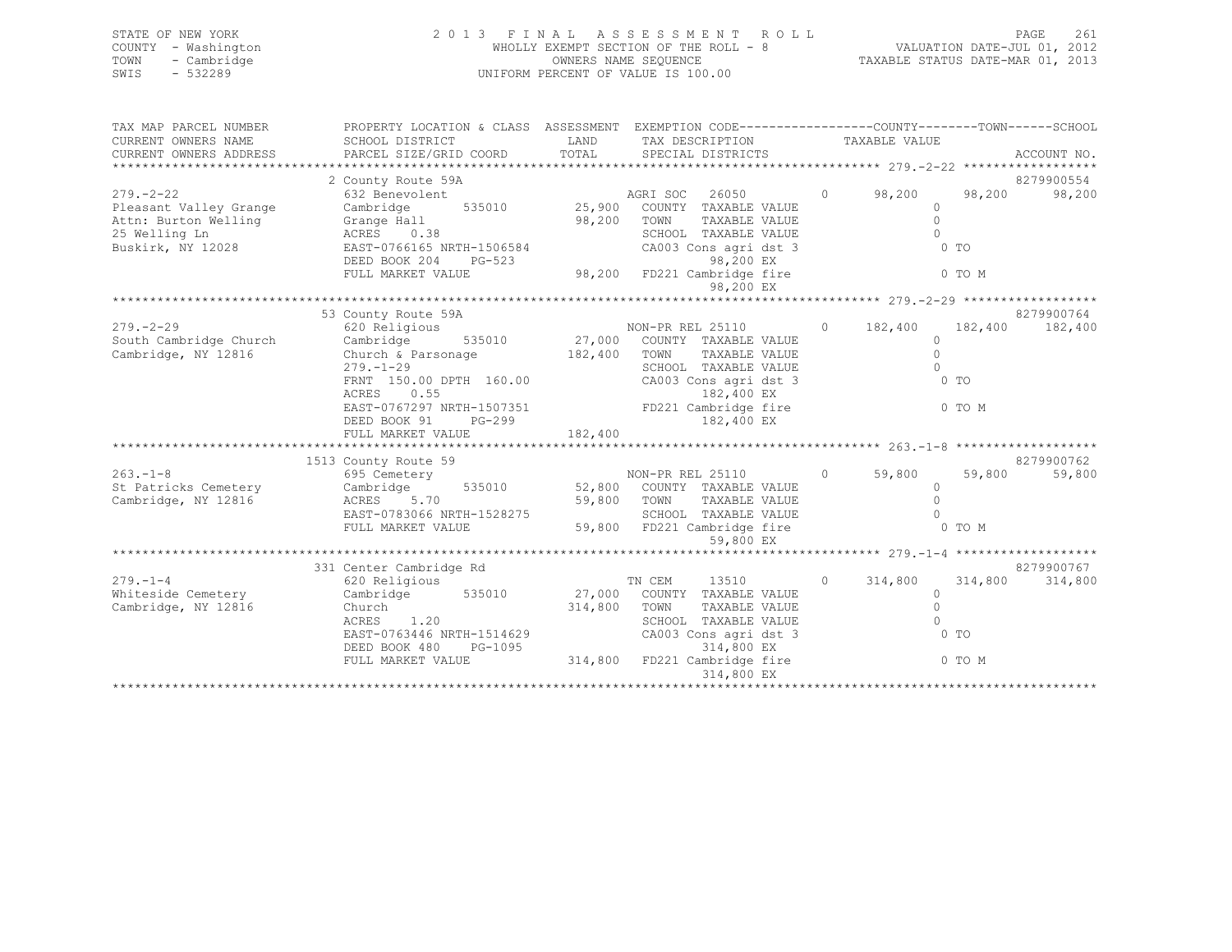| STATE OF NEW YORK   | 2013 FINAL ASSESSMENT ROLL            | 261<br><b>PAGE</b>               |
|---------------------|---------------------------------------|----------------------------------|
| COUNTY - Washington | WHOLLY EXEMPT SECTION OF THE ROLL - 8 | VALUATION DATE-JUL 01, 2012      |
| - Cambridge<br>TOWN | OWNERS NAME SEOUENCE                  | TAXABLE STATUS DATE-MAR 01, 2013 |
| $-532289$<br>SWIS   | UNIFORM PERCENT OF VALUE IS 100.00    |                                  |
|                     |                                       |                                  |
|                     |                                       |                                  |

| TAX MAP PARCEL NUMBER  | PROPERTY LOCATION & CLASS ASSESSMENT EXEMPTION CODE----------------COUNTY-------TOWN-----SCHOOL                                                                                                                                                |             |                                                     |                           |        |            |
|------------------------|------------------------------------------------------------------------------------------------------------------------------------------------------------------------------------------------------------------------------------------------|-------------|-----------------------------------------------------|---------------------------|--------|------------|
| CURRENT OWNERS NAME    | SCHOOL DISTRICT                                                                                                                                                                                                                                |             | LAND TAX DESCRIPTION TAXABLE VALUE                  |                           |        |            |
| CURRENT OWNERS ADDRESS |                                                                                                                                                                                                                                                |             |                                                     |                           |        |            |
|                        |                                                                                                                                                                                                                                                |             |                                                     |                           |        |            |
|                        | 2 County Route 59A                                                                                                                                                                                                                             |             |                                                     |                           |        | 8279900554 |
| $279. - 2 - 22$        | 632 Benevolent                                                                                                                                                                                                                                 |             | AGRI SOC 26050                                      | $0 \t 98,200$             | 98,200 | 98,200     |
| Pleasant Valley Grange | Cambridge                                                                                                                                                                                                                                      |             | 535010 25,900 COUNTY TAXABLE VALUE<br>TAXABLE VALUE | $\Omega$<br>$\circ$       |        |            |
|                        |                                                                                                                                                                                                                                                | 98,200 TOWN | SCHOOL TAXABLE VALUE                                | $\bigcap$                 |        |            |
|                        | Attn: Burton Welling (Crange Hall 198,200<br>25 Welling Ln (ACRES 1998)<br>Buskirk, NY 12028 (EAST-0766165 NRTH-1506584                                                                                                                        |             | CA003 Cons agri dst 3                               | $0$ TO                    |        |            |
|                        | DEED BOOK 204                                                                                                                                                                                                                                  |             |                                                     |                           |        |            |
|                        | FULL MARKET VALUE                                                                                                                                                                                                                              |             | PG-523 98,200 EX<br>LUE 98,200 FD221 Cambridge fire | 0 TO M                    |        |            |
|                        |                                                                                                                                                                                                                                                |             | 98,200 EX                                           |                           |        |            |
|                        |                                                                                                                                                                                                                                                |             |                                                     |                           |        |            |
|                        |                                                                                                                                                                                                                                                |             |                                                     |                           |        |            |
|                        | 279.-2-29<br>279900764<br>27,000 COUNTY TAXABLE VALUE<br>27,000 COUNTY TAXABLE VALUE<br>27,000 COUNTY TAXABLE VALUE<br>27,000 COUNTY TAXABLE VALUE<br>27,000 COUNTY TAXABLE VALUE<br>27,000 COUNTY TAXABLE VALUE<br>27,000 COUNTY TAXABLE VALU |             |                                                     |                           |        |            |
|                        |                                                                                                                                                                                                                                                |             |                                                     |                           |        |            |
|                        | Church & Parsonage 182,400 TOWN<br>279.-1-29 SCHOOL                                                                                                                                                                                            |             |                                                     |                           |        |            |
|                        |                                                                                                                                                                                                                                                |             | SCHOOL TAXABLE VALUE                                | $\Omega$                  |        |            |
|                        | FRNT 150.00 DPTH 160.00 CA003 Cons agri dst 3                                                                                                                                                                                                  |             |                                                     | $0$ TO                    |        |            |
|                        |                                                                                                                                                                                                                                                |             |                                                     |                           |        |            |
|                        | ACRES 0.55 182,400 EX<br>EAST-0767297 NRTH-1507351 FD221 Cambridge fire                                                                                                                                                                        |             |                                                     |                           | 0 TO M |            |
|                        |                                                                                                                                                                                                                                                |             |                                                     |                           |        |            |
|                        |                                                                                                                                                                                                                                                |             |                                                     |                           |        |            |
|                        | 1513 County Route 59                                                                                                                                                                                                                           |             |                                                     |                           |        | 8279900762 |
|                        |                                                                                                                                                                                                                                                |             |                                                     |                           |        | 59,800     |
|                        | 1513 County Route 59<br>1513 County Route 59<br>1513 County Route 59<br>1513 County Route 59<br>1513 County Route 59<br>1513 County RAVABLE VALUE<br>1513 County RAVABLE VALUE<br>152,800 COUNTY TAXABLE VALUE<br>152,800 COUNTY TAXABLE VALUE |             |                                                     |                           |        |            |
| Cambridge, NY 12816    | ACRES 5.70 59,800 TOWN TAXABLE VALUE (1997)<br>EAST-0783066 NRTH-1528275 SCHOOL TAXABLE VALUE (2008)<br>FULL MARKET VALUE 59,800 FD221 Cambridge fire (2009) 0 TO M                                                                            |             |                                                     |                           |        |            |
|                        |                                                                                                                                                                                                                                                |             |                                                     |                           |        |            |
|                        |                                                                                                                                                                                                                                                |             |                                                     |                           |        |            |
|                        |                                                                                                                                                                                                                                                |             | 59,800 EX                                           |                           |        |            |
|                        |                                                                                                                                                                                                                                                |             |                                                     |                           |        |            |
|                        | 331 Center Cambridge Rd                                                                                                                                                                                                                        |             |                                                     |                           |        | 8279900767 |
| $279. - 1 - 4$         | 620 Religious                                                                                                                                                                                                                                  |             | TN CEM<br>13510                                     | $0 \t 314,800 \t 314,800$ |        | 314,800    |
| Whiteside Cemetery     | Cambridge 535010 27,000 COUNTY TAXABLE VALUE                                                                                                                                                                                                   |             |                                                     | $\circ$                   |        |            |
| Cambridge, NY 12816    | Church<br>ACRES 1.20                                                                                                                                                                                                                           |             | 314,800 TOWN<br>TAXABLE VALUE                       | $\circ$                   |        |            |
|                        | ACRES 1.20                                                                                                                                                                                                                                     |             | SCHOOL TAXABLE VALUE                                | $\Omega$                  |        |            |
|                        | EAST-0763446 NRTH-1514629                                                                                                                                                                                                                      |             | CA003 Cons agri dst 3                               | $\sim$ 0 TO               |        |            |
|                        |                                                                                                                                                                                                                                                |             |                                                     |                           |        |            |
|                        | DEED BOOK 480 PG-1095<br>FULL MARKET VALUE 314,800 FD221 Cambridge fire 0 TO M<br>314,800 FD221 Cambridge fire 0 TO M                                                                                                                          |             |                                                     |                           |        |            |
|                        |                                                                                                                                                                                                                                                |             | 314,800 EX                                          |                           |        |            |
|                        |                                                                                                                                                                                                                                                |             |                                                     |                           |        |            |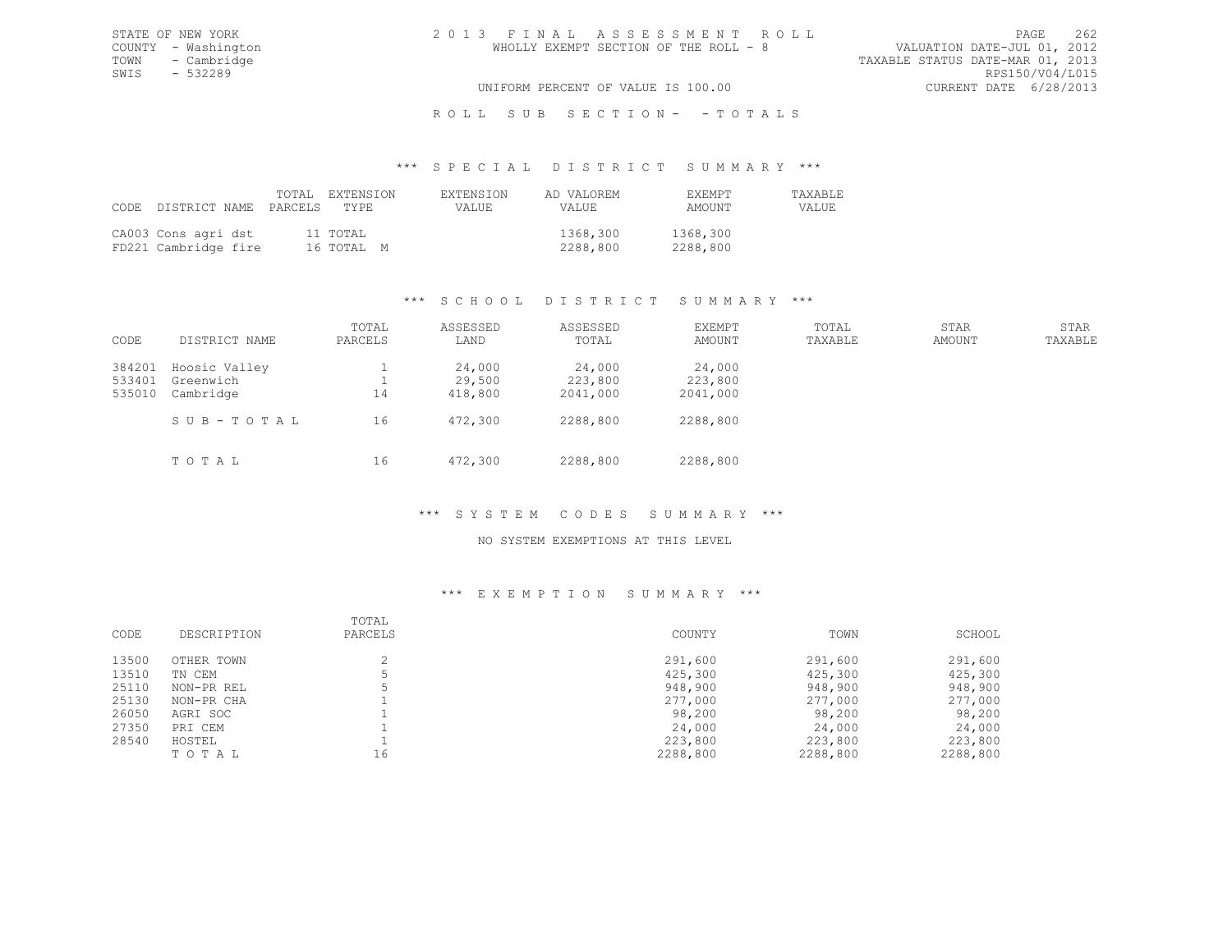TOWN - Cambridge TAXABLE STATUS DATE-MAR 01, 2013 SWIS - 532289<br>UNIFORM PERCENT OF VALUE IS 100.00

# UNIFORM PERCENT OF VALUE IS 100.00

## R O L L S U B S E C T I O N - - T O T A L S

#### \*\*\* S P E C I A L D I S T R I C T S U M M A R Y \*\*\*

|                                             | CODE DISTRICT NAME PARCELS TYPE | TOTAL EXTENSION        | <b>EXTENSION</b><br>VALUE | AD VALOREM<br>VALUE. | <b>FXFMPT</b><br>AMOUNT | <b>TAXABLE</b><br>VALUE |
|---------------------------------------------|---------------------------------|------------------------|---------------------------|----------------------|-------------------------|-------------------------|
| CA003 Cons agri dst<br>FD221 Cambridge fire |                                 | 11 TOTAL<br>16 ТОТАЬ М |                           | 1368,300<br>2288,800 | 1368,300<br>2288,800    |                         |

## \*\*\* S C H O O L D I S T R I C T S U M M A R Y \*\*\*

| CODE                       | DISTRICT NAME                           | TOTAL<br>PARCELS | ASSESSED<br>LAND            | ASSESSED<br>TOTAL             | <b>EXEMPT</b><br>AMOUNT       | TOTAL<br>TAXABLE | STAR<br>AMOUNT | STAR<br>TAXABLE |
|----------------------------|-----------------------------------------|------------------|-----------------------------|-------------------------------|-------------------------------|------------------|----------------|-----------------|
| 384201<br>533401<br>535010 | Hoosic Valley<br>Greenwich<br>Cambridge | 14               | 24,000<br>29,500<br>418,800 | 24,000<br>223,800<br>2041,000 | 24,000<br>223,800<br>2041,000 |                  |                |                 |
|                            | SUB-TOTAL                               | 16               | 472,300                     | 2288,800                      | 2288,800                      |                  |                |                 |
|                            | TOTAL                                   | 16               | 472,300                     | 2288,800                      | 2288,800                      |                  |                |                 |

## \*\*\* S Y S T E M C O D E S S U M M A R Y \*\*\*

## NO SYSTEM EXEMPTIONS AT THIS LEVEL

| CODE  | DESCRIPTION | TOTAL<br>PARCELS | COUNTY   | TOWN     | SCHOOL   |
|-------|-------------|------------------|----------|----------|----------|
| 13500 | OTHER TOWN  |                  | 291,600  | 291,600  | 291,600  |
| 13510 | TN CEM      |                  | 425,300  | 425,300  | 425,300  |
| 25110 | NON-PR REL  |                  | 948,900  | 948,900  | 948,900  |
| 25130 | NON-PR CHA  |                  | 277,000  | 277,000  | 277,000  |
| 26050 | AGRI SOC    |                  | 98,200   | 98,200   | 98,200   |
| 27350 | PRI CEM     |                  | 24,000   | 24,000   | 24,000   |
| 28540 | HOSTEL      |                  | 223,800  | 223,800  | 223,800  |
|       | TOTAL       | 16               | 2288,800 | 2288,800 | 2288,800 |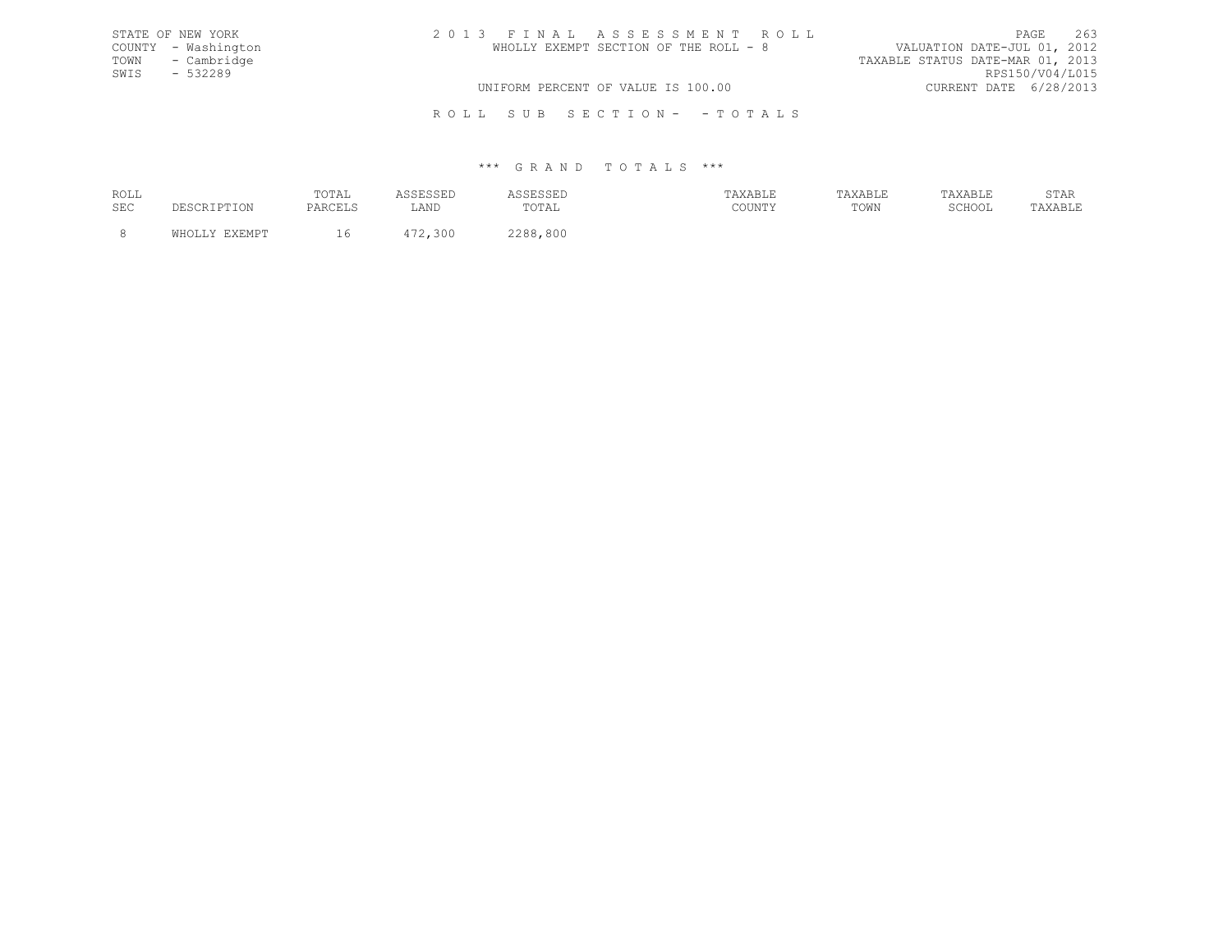| STATE OF NEW YORK   | 2013 FINAL ASSESSMENT ROLL            | 263<br>PAGE                      |
|---------------------|---------------------------------------|----------------------------------|
| COUNTY - Washington | WHOLLY EXEMPT SECTION OF THE ROLL - 8 | VALUATION DATE-JUL 01, 2012      |
| TOWN - Cambridge    |                                       | TAXABLE STATUS DATE-MAR 01, 2013 |
| SWIS - 532289       |                                       | RPS150/V04/L015                  |
|                     | UNIFORM PERCENT OF VALUE IS 100.00    | CURRENT DATE 6/28/2013           |
|                     |                                       |                                  |

R O L L S U B S E C T I O N - - T O T A L S

| ROLL       | TOTAT<br>101111<br>the contract of the contract of the |               |                              | --------- | --------- | $\cap$ m $\geq$ n<br>STAK |
|------------|--------------------------------------------------------|---------------|------------------------------|-----------|-----------|---------------------------|
| <b>SEC</b> |                                                        | 7.37T<br>படிப | TOTA<br>-- 0 - 1 - 1 - 1 - 1 | TOWN      | 101100    |                           |
|            |                                                        |               | 800                          |           |           |                           |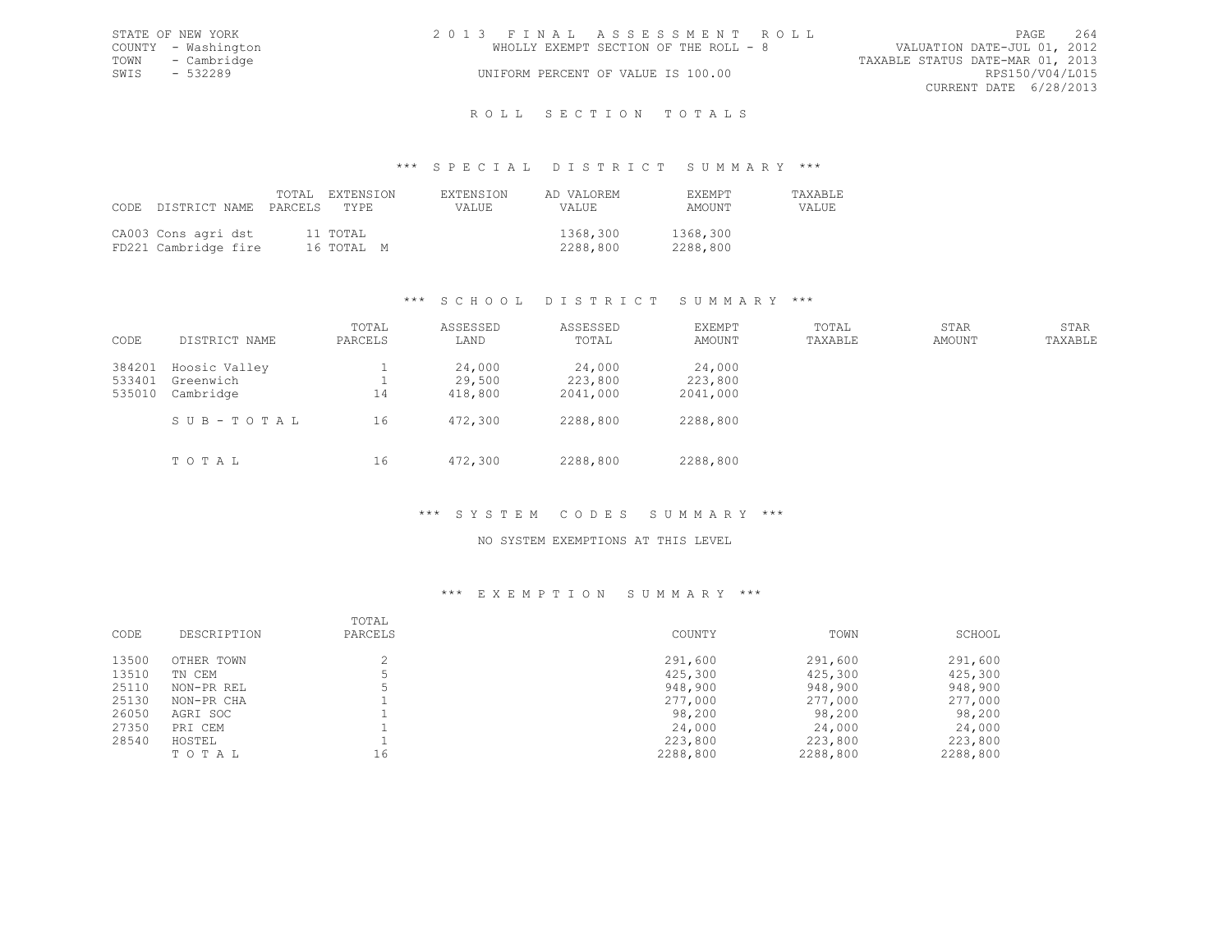|      | STATE OF NEW YORK   | 2013 FINAL ASSESSMENT ROLL |                                       |                                  | PAGE                   | 264 |
|------|---------------------|----------------------------|---------------------------------------|----------------------------------|------------------------|-----|
|      | COUNTY - Washington |                            | WHOLLY EXEMPT SECTION OF THE ROLL - 8 | VALUATION DATE-JUL 01, 2012      |                        |     |
|      | TOWN - Cambridge    |                            |                                       | TAXABLE STATUS DATE-MAR 01, 2013 |                        |     |
| SWIS | $-532289$           |                            | UNIFORM PERCENT OF VALUE IS 100.00    |                                  | RPS150/V04/L015        |     |
|      |                     |                            |                                       |                                  | CURRENT DATE 6/28/2013 |     |
|      |                     |                            |                                       |                                  |                        |     |

# ROLL SECTION TOTALS

#### \*\*\* S P E C I A L D I S T R I C T S U M M A R Y \*\*\*

| CODE DISTRICT NAME PARCELS                  | TOTAL EXTENSION<br>TYPE | <b>EXTENSION</b><br>VALUE | AD VALOREM<br>VALUE  | <b>FXEMPT</b><br>AMOUNT | <b>TAXABLE</b><br>VALUE |
|---------------------------------------------|-------------------------|---------------------------|----------------------|-------------------------|-------------------------|
| CA003 Cons agri dst<br>FD221 Cambridge fire | 11 TOTAL<br>16 TOTAL M  |                           | 1368,300<br>2288,800 | 1368,300<br>2288,800    |                         |

# \*\*\* S C H O O L D I S T R I C T S U M M A R Y \*\*\*

| CODE                       | DISTRICT NAME                           | TOTAL<br>PARCELS | ASSESSED<br>LAND            | ASSESSED<br>TOTAL             | <b>EXEMPT</b><br>AMOUNT       | TOTAL<br>TAXABLE | STAR<br>AMOUNT | STAR<br>TAXABLE |
|----------------------------|-----------------------------------------|------------------|-----------------------------|-------------------------------|-------------------------------|------------------|----------------|-----------------|
| 384201<br>533401<br>535010 | Hoosic Valley<br>Greenwich<br>Cambridge | 14               | 24,000<br>29,500<br>418,800 | 24,000<br>223,800<br>2041,000 | 24,000<br>223,800<br>2041,000 |                  |                |                 |
|                            | SUB-TOTAL<br>TOTAL                      | 16<br>16         | 472,300<br>472,300          | 2288,800<br>2288,800          | 2288,800<br>2288,800          |                  |                |                 |

## \*\*\* S Y S T E M C O D E S S U M M A R Y \*\*\*

#### NO SYSTEM EXEMPTIONS AT THIS LEVEL

|       |             | TOTAL   |          |          |          |
|-------|-------------|---------|----------|----------|----------|
| CODE  | DESCRIPTION | PARCELS | COUNTY   | TOWN     | SCHOOL   |
| 13500 | OTHER TOWN  |         | 291,600  | 291,600  | 291,600  |
| 13510 | TN CEM      |         | 425,300  | 425,300  | 425,300  |
| 25110 | NON-PR REL  |         | 948,900  | 948,900  | 948,900  |
| 25130 | NON-PR CHA  |         | 277,000  | 277,000  | 277,000  |
| 26050 | AGRI SOC    |         | 98,200   | 98,200   | 98,200   |
| 27350 | PRI CEM     |         | 24,000   | 24,000   | 24,000   |
| 28540 | HOSTEL      |         | 223,800  | 223,800  | 223,800  |
|       | TOTAL       | 16      | 2288,800 | 2288,800 | 2288,800 |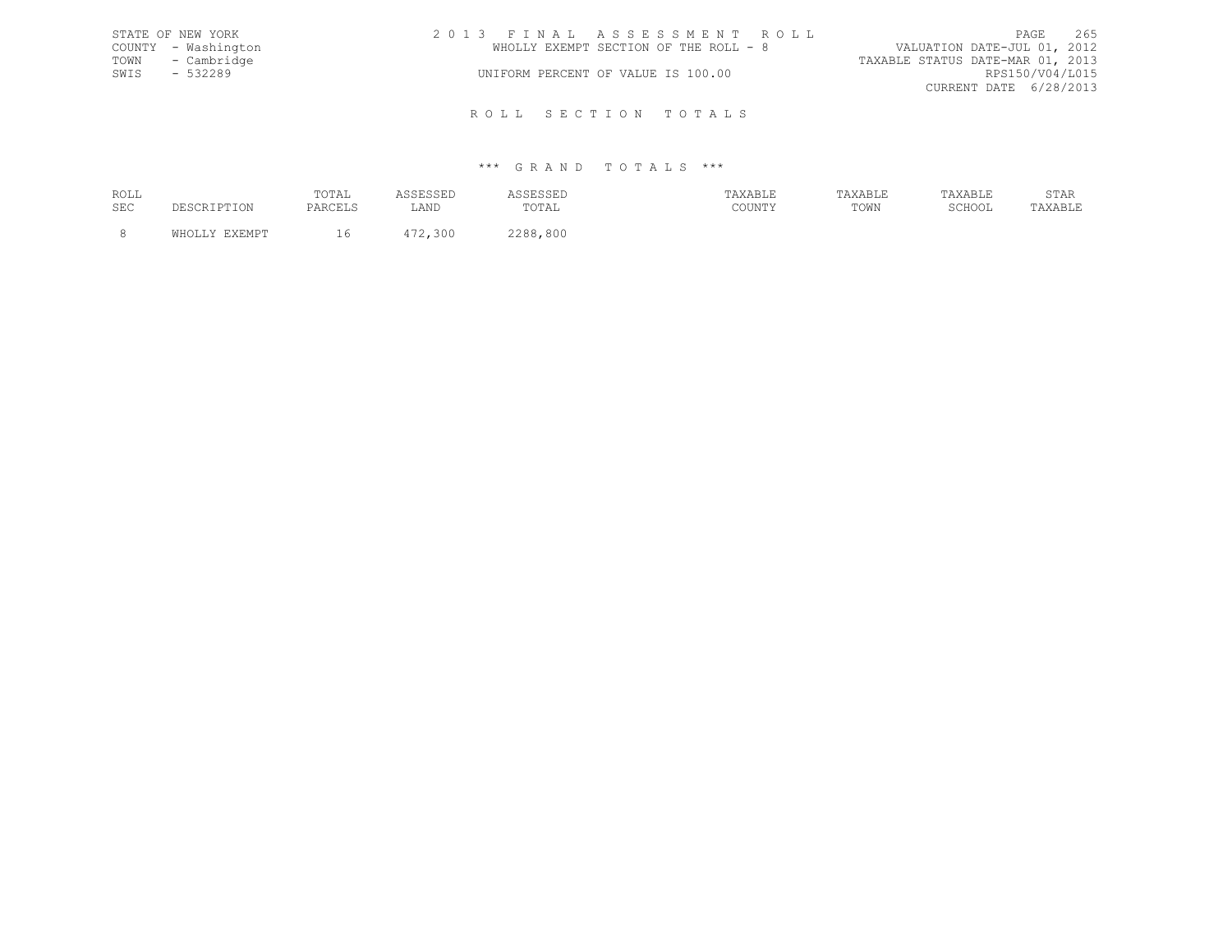|      | STATE OF NEW YORK   | 2013 FINAL ASSESSMENT ROLL            | 265<br>PAGE                      |
|------|---------------------|---------------------------------------|----------------------------------|
|      | COUNTY - Washington | WHOLLY EXEMPT SECTION OF THE ROLL - 8 | VALUATION DATE-JUL 01, 2012      |
|      | TOWN - Cambridge    |                                       | TAXABLE STATUS DATE-MAR 01, 2013 |
| SWIS | $-532289$           | UNIFORM PERCENT OF VALUE IS 100.00    | RPS150/V04/L015                  |
|      |                     |                                       | CURRENT DATE 6/28/2013           |
|      |                     |                                       |                                  |

R O L L S E C T I O N T O T A L S

| ROLL | TOTAL |      |             | $\cdots$ $\cdots$<br>хавьь          |      |        | U 111  |
|------|-------|------|-------------|-------------------------------------|------|--------|--------|
| SEC  |       | ∴AND | ∵¶∩∏<br>◡⊥◚ | $C$ $C$ $T$ $T$ $T$ $T$ $T$ $T$ $T$ | TOWN | SCHOOL | .AD LI |
|      |       |      | 800<br>ס מר |                                     |      |        |        |
|      |       |      |             |                                     |      |        |        |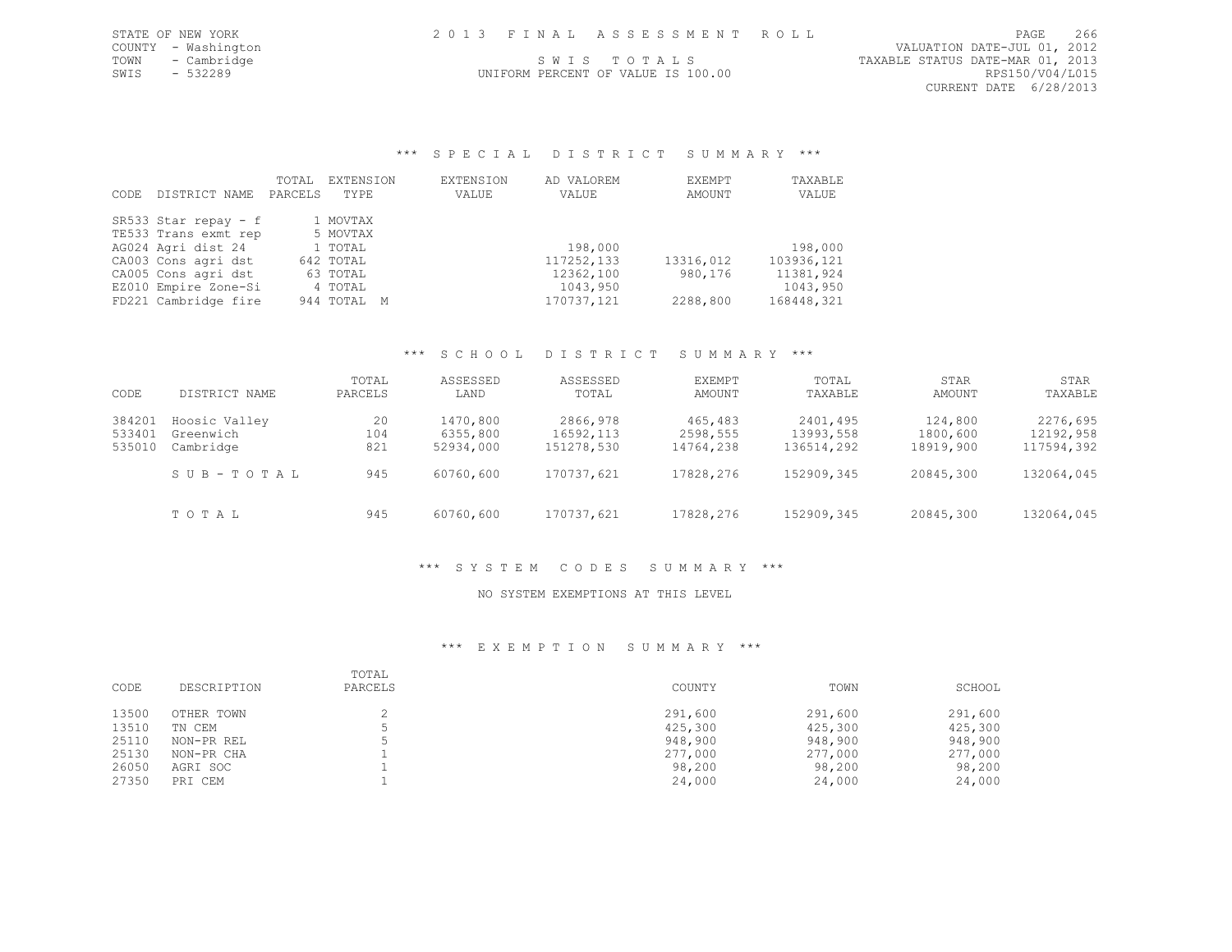UNIFORM PERCENT OF VALUE IS 100.00

\*\*\* S P E C I A L D I S T R I C T S U M M A R Y \*\*\*

|      |                      | TOTAL   | EXTENSION   | EXTENSION | AD VALOREM | EXEMPT    | TAXABLE    |
|------|----------------------|---------|-------------|-----------|------------|-----------|------------|
| CODE | DISTRICT NAME        | PARCELS | TYPE        | VALUE     | VALUE      | AMOUNT    | VALUE      |
|      |                      |         |             |           |            |           |            |
|      | SR533 Star repay - f |         | 1 MOVTAX    |           |            |           |            |
|      | TE533 Trans exmt rep |         | 5 MOVTAX    |           |            |           |            |
|      | AG024 Agri dist 24   |         | 1 TOTAL     |           | 198,000    |           | 198,000    |
|      | CA003 Cons agri dst  |         | 642 TOTAL   |           | 117252,133 | 13316,012 | 103936,121 |
|      | CA005 Cons agri dst  |         | 63 TOTAL    |           | 12362,100  | 980,176   | 11381,924  |
|      | EZ010 Empire Zone-Si |         | 4 TOTAL     |           | 1043,950   |           | 1043,950   |
|      | FD221 Cambridge fire |         | 944 TOTAL M |           | 170737,121 | 2288,800  | 168448,321 |

# \*\*\* S C H O O L D I S T R I C T S U M M A R Y \*\*\*

| CODE             | DISTRICT NAME          | TOTAL<br>PARCELS | ASSESSED<br>LAND      | ASSESSED<br>TOTAL       | <b>EXEMPT</b><br>AMOUNT | TOTAL<br>TAXABLE        | STAR<br>AMOUNT        | STAR<br>TAXABLE         |
|------------------|------------------------|------------------|-----------------------|-------------------------|-------------------------|-------------------------|-----------------------|-------------------------|
| 384201           | Hoosic Valley          | 20               | 1470,800              | 2866,978                | 465,483                 | 2401,495                | 124,800               | 2276,695                |
| 533401<br>535010 | Greenwich<br>Cambridge | 104<br>821       | 6355,800<br>52934,000 | 16592,113<br>151278,530 | 2598,555<br>14764,238   | 13993,558<br>136514,292 | 1800,600<br>18919,900 | 12192,958<br>117594,392 |
|                  | SUB-TOTAL              |                  |                       |                         | 17828,276               |                         |                       | 132064,045              |
|                  |                        | 945              | 60760,600             | 170737,621              |                         | 152909,345              | 20845,300             |                         |
|                  | TOTAL                  | 945              | 60760,600             | 170737,621              | 17828,276               | 152909,345              | 20845,300             | 132064,045              |

### \*\*\* S Y S T E M C O D E S S U M M A R Y \*\*\*

#### NO SYSTEM EXEMPTIONS AT THIS LEVEL

| CODE  | DESCRIPTION | TOTAL<br>PARCELS | COUNTY  | TOWN    | SCHOOL  |
|-------|-------------|------------------|---------|---------|---------|
| 13500 | OTHER TOWN  |                  | 291,600 | 291,600 | 291,600 |
| 13510 | TN CEM      |                  | 425,300 | 425,300 | 425,300 |
| 25110 | NON-PR REL  |                  | 948,900 | 948,900 | 948,900 |
| 25130 | NON-PR CHA  |                  | 277,000 | 277,000 | 277,000 |
| 26050 | AGRI SOC    |                  | 98,200  | 98,200  | 98,200  |
| 27350 | PRI CEM     |                  | 24,000  | 24,000  | 24,000  |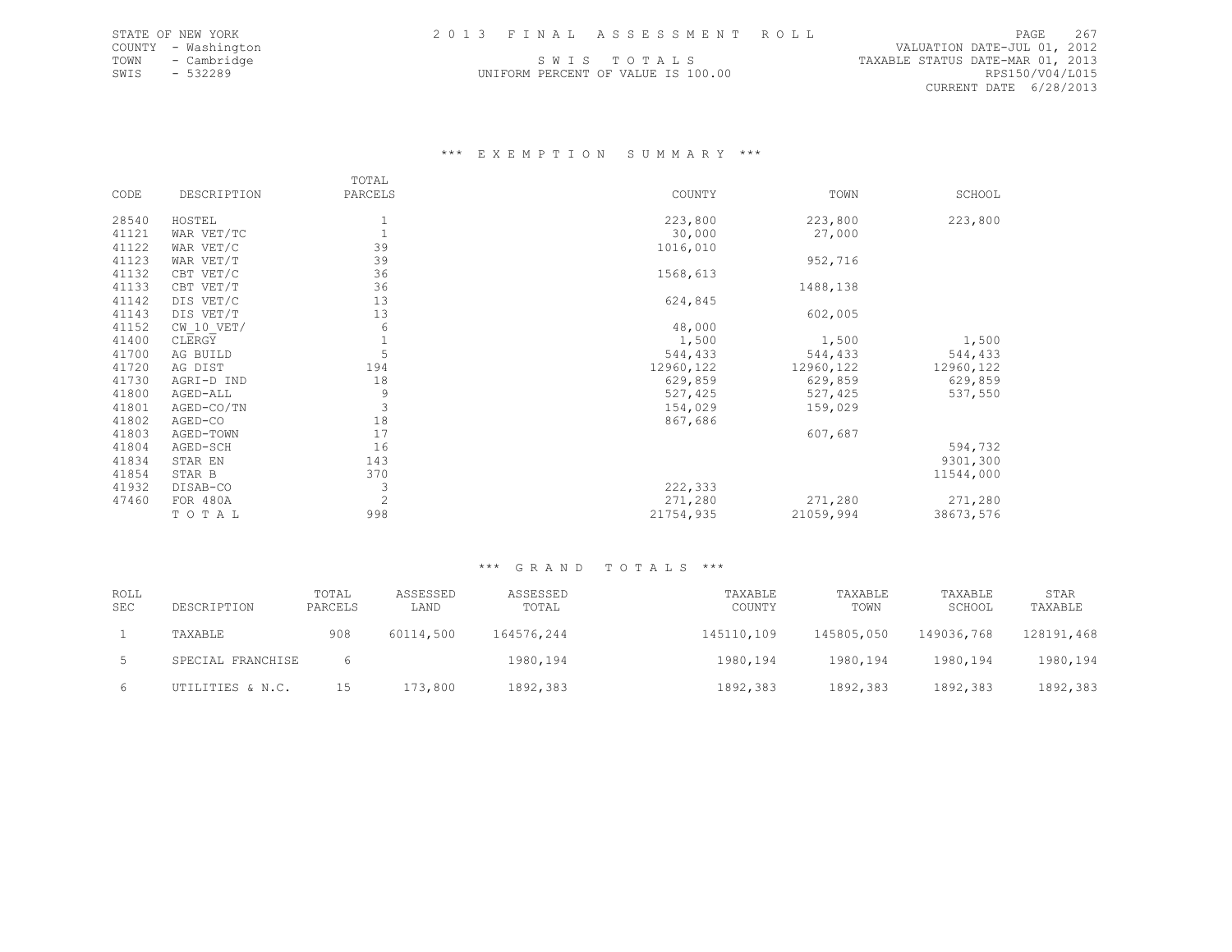UNIFORM PERCENT OF VALUE IS 100.00

COUNTY - WASHINGTON DATE-JUL 01, 2013 FINAL ASSESSMENT ROLL (VALUATION DATE-JUL 01, 2012<br>COUNTY - Washington 1.2012<br>COWN - Cambridge 1.2013 SWIS TOTALS (SANDE STATUS DATE-MAR 01, 2013 TOWN - Cambridge  $\begin{array}{ccc} 5.2013 \\ 5.2013 \\ -5.32289 \end{array}$  SW I S T O T A L S T O T A L S TAXABLE STATUS DATE-MAR 01, 2013 CURRENT DATE 6/28/2013

### \*\*\* E X E M P T I O N S U M M A R Y \*\*\*

|       |                | TOTAL   |            |            |            |
|-------|----------------|---------|------------|------------|------------|
| CODE  | DESCRIPTION    | PARCELS | COUNTY     | TOWN       | SCHOOL     |
|       |                |         |            |            |            |
| 28540 | HOSTEL         |         | 223,800    | 223,800    | 223,800    |
| 41121 | WAR VET/TC     |         | 30,000     | 27,000     |            |
| 41122 | WAR VET/C      | 39      | 1016,010   |            |            |
| 41123 | WAR VET/T      | 39      |            | 952,716    |            |
| 41132 | CBT VET/C      | 36      | 1568,613   |            |            |
| 41133 | CBT VET/T      | 36      |            | 1488,138   |            |
| 41142 | DIS VET/C      | 13      | 624,845    |            |            |
| 41143 | DIS VET/T      | 13      |            | 602,005    |            |
| 41152 | $CW$ 10 $VET/$ | 6       | 48,000     |            |            |
| 41400 | CLERGY         |         | 1,500      | 1,500      | 1,500      |
| 41700 | AG BUILD       | 5       | 544,433    | 544,433    | 544,433    |
| 41720 | AG DIST        | 194     | 12960, 122 | 12960, 122 | 12960, 122 |
| 41730 | AGRI-D IND     | 18      | 629,859    | 629,859    | 629,859    |
| 41800 | AGED-ALL       | 9       | 527,425    | 527,425    | 537,550    |
| 41801 | AGED-CO/TN     | 3       | 154,029    | 159,029    |            |
| 41802 | AGED-CO        | 18      | 867,686    |            |            |
| 41803 | AGED-TOWN      | 17      |            | 607,687    |            |
| 41804 | AGED-SCH       | 16      |            |            | 594,732    |
| 41834 | STAR EN        | 143     |            |            | 9301,300   |
| 41854 | STAR B         | 370     |            |            | 11544,000  |
| 41932 | DISAB-CO       | 3       | 222,333    |            |            |
| 47460 | FOR 480A       | 2       | 271,280    | 271,280    | 271,280    |
|       | TOTAL          | 998     | 21754,935  | 21059,994  | 38673,576  |

| <b>ROLL</b><br><b>SEC</b> | DESCRIPTION       | TOTAL<br>PARCELS | ASSESSED<br>LAND | ASSESSED<br>TOTAL | TAXABLE<br>COUNTY | TAXABLE<br>TOWN | TAXABLE<br>SCHOOL | STAR<br>TAXABLE |
|---------------------------|-------------------|------------------|------------------|-------------------|-------------------|-----------------|-------------------|-----------------|
|                           | TAXABLE           | 908              | 60114,500        | 164576,244        | 145110,109        | 145805,050      | 149036,768        | 128191,468      |
|                           | SPECIAL FRANCHISE |                  |                  | 1980,194          | 1980, 194         | 1980,194        | 1980,194          | 1980,194        |
| 6                         | UTILITIES & N.C.  | 15               | 173,800          | 1892,383          | 1892,383          | 1892,383        | 1892,383          | 1892,383        |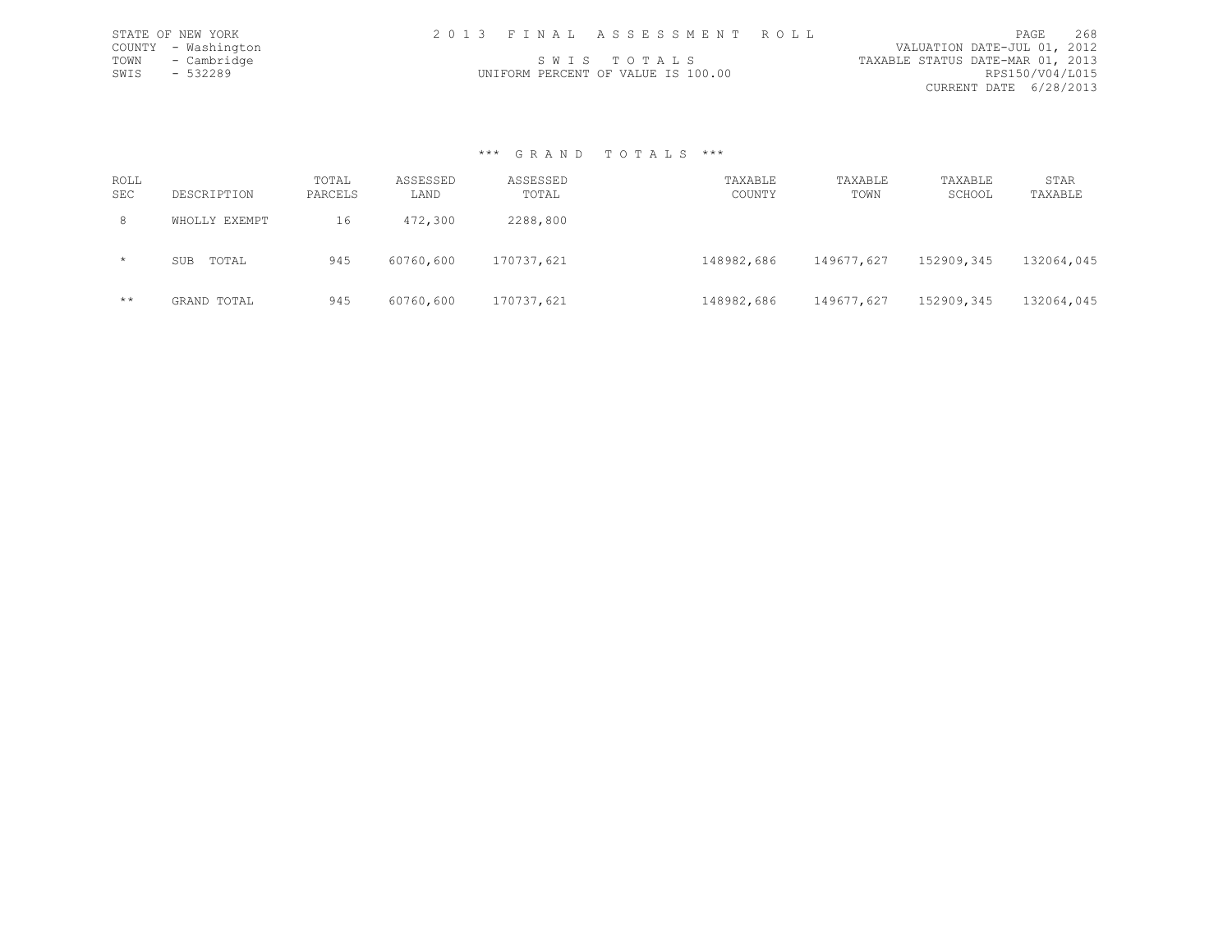|      | STATE OF NEW YORK   | 2013 FINAL ASSESSMENT ROLL         |                                  | PAGE                   | 268 |
|------|---------------------|------------------------------------|----------------------------------|------------------------|-----|
|      | COUNTY - Washington |                                    | VALUATION DATE-JUL 01, 2012      |                        |     |
| TOWN | - Cambridge         | SWIS TOTALS                        | TAXABLE STATUS DATE-MAR 01, 2013 |                        |     |
| SWIS | $-532289$           | UNIFORM PERCENT OF VALUE IS 100.00 |                                  | RPS150/V04/L015        |     |
|      |                     |                                    |                                  | CURRENT DATE 6/28/2013 |     |

#### \*\*\* G R A N D T O T A L S \*\*\*

| ROLL<br><b>SEC</b> | DESCRIPTION         | TOTAL<br>PARCELS | ASSESSED<br>LAND | ASSESSED<br>TOTAL | TAXABLE<br>COUNTY | TAXABLE<br>TOWN | TAXABLE<br>SCHOOL | STAR<br>TAXABLE |
|--------------------|---------------------|------------------|------------------|-------------------|-------------------|-----------------|-------------------|-----------------|
| 8                  | WHOLLY EXEMPT       | 16               | 472,300          | 2288,800          |                   |                 |                   |                 |
| $\star$            | TOTAL<br><b>SUB</b> | 945              | 60760,600        | 170737,621        | 148982,686        | 149677,627      | 152909,345        | 132064,045      |
| $***$              | GRAND TOTAL         | 945              | 60760,600        | 170737,621        | 148982,686        | 149677,627      | 152909,345        | 132064,045      |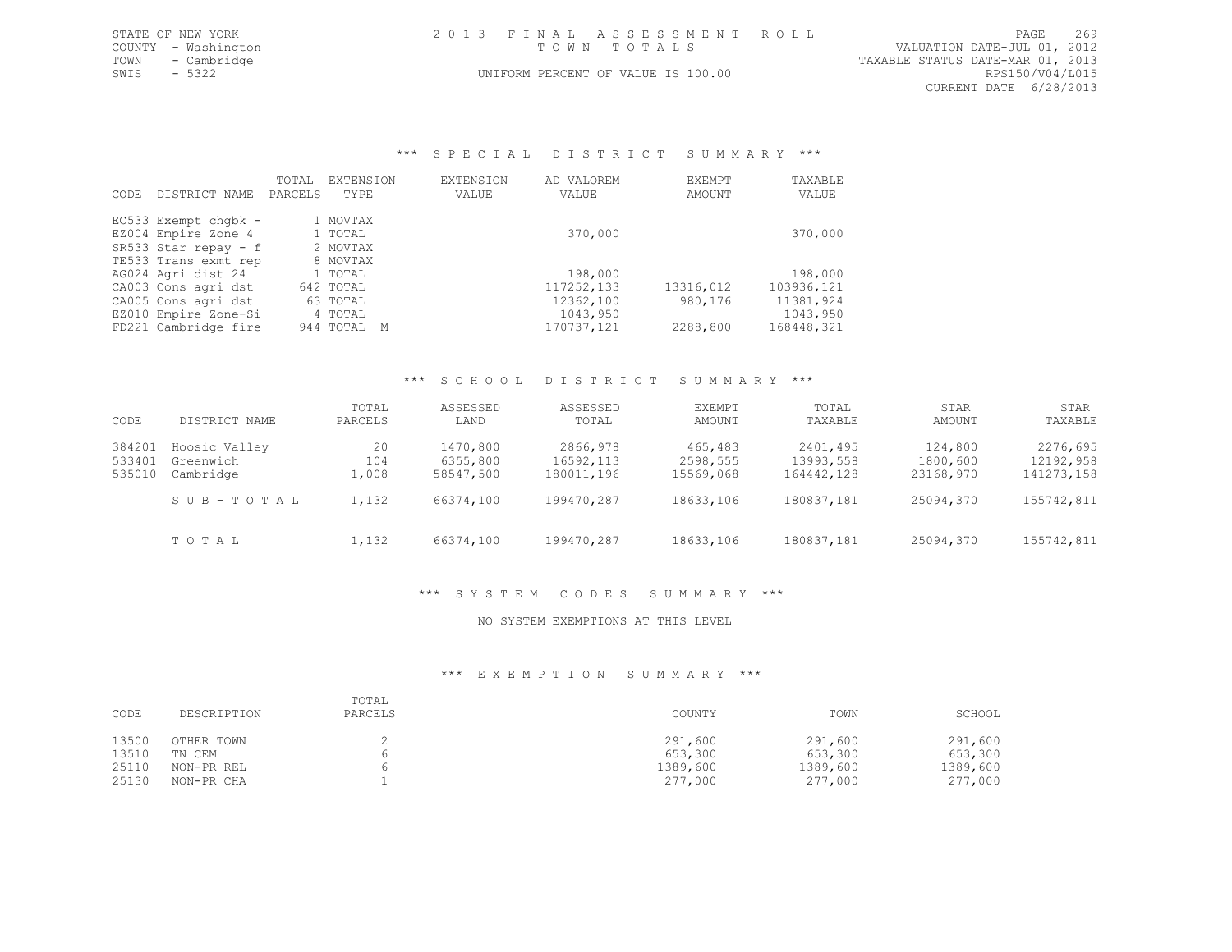|             | STATE OF NEW YORK   | 2013 FINAL ASSESSMENT ROLL         | 269<br>PAGE                      |
|-------------|---------------------|------------------------------------|----------------------------------|
|             | COUNTY - Washington | TOWN TOTALS                        | VALUATION DATE-JUL 01, 2012      |
|             | TOWN - Cambridge    |                                    | TAXABLE STATUS DATE-MAR 01, 2013 |
| SWIS - 5322 |                     | UNIFORM PERCENT OF VALUE IS 100.00 | RPS150/V04/L015                  |
|             |                     |                                    | CURRENT DATE 6/28/2013           |

### \*\*\* S P E C I A L D I S T R I C T S U M M A R Y \*\*\*

| CODE. | DISTRICT NAME          | TOTAL<br>PARCELS | EXTENSION<br>TYPE | EXTENSION<br>VALUE | AD VALOREM<br>VALUE | EXEMPT<br>AMOUNT | TAXABLE<br>VALUE |
|-------|------------------------|------------------|-------------------|--------------------|---------------------|------------------|------------------|
|       | EC533 Exempt chqbk -   |                  | 1 MOVTAX          |                    |                     |                  |                  |
|       | EZ004 Empire Zone 4    |                  | 1 TOTAL           |                    | 370,000             |                  | 370,000          |
|       | SR533 Star repay $-$ f |                  | 2 MOVTAX          |                    |                     |                  |                  |
|       | TE533 Trans exmt rep   |                  | 8 MOVTAX          |                    |                     |                  |                  |
|       | AG024 Agri dist 24     |                  | 1 TOTAL           |                    | 198,000             |                  | 198,000          |
|       | CA003 Cons agri dst    |                  | 642 TOTAL         |                    | 117252,133          | 13316,012        | 103936,121       |
|       | CA005 Cons agri dst    |                  | 63 TOTAL          |                    | 12362,100           | 980,176          | 11381,924        |
|       | EZ010 Empire Zone-Si   |                  | 4 TOTAL           |                    | 1043,950            |                  | 1043,950         |
|       | FD221 Cambridge fire   |                  | 944 TOTAL         | M                  | 170737,121          | 2288,800         | 168448,321       |

#### \*\*\* S C H O O L D I S T R I C T S U M M A R Y \*\*\*

| CODE                       | DISTRICT NAME                           | TOTAL<br>PARCELS           | ASSESSED<br>LAND                  | ASSESSED<br>TOTAL                   | EXEMPT<br>AMOUNT                 | TOTAL<br>TAXABLE                    | STAR<br>AMOUNT                   | STAR<br>TAXABLE                     |
|----------------------------|-----------------------------------------|----------------------------|-----------------------------------|-------------------------------------|----------------------------------|-------------------------------------|----------------------------------|-------------------------------------|
| 384201<br>533401<br>535010 | Hoosic Valley<br>Greenwich<br>Cambridge | 20<br>104<br>$\perp$ , 008 | 1470,800<br>6355,800<br>58547,500 | 2866,978<br>16592,113<br>180011,196 | 465,483<br>2598,555<br>15569,068 | 2401,495<br>13993,558<br>164442,128 | 124,800<br>1800,600<br>23168,970 | 2276,695<br>12192,958<br>141273,158 |
|                            | SUB-TOTAL                               | 1,132                      | 66374,100                         | 199470,287                          | 18633,106                        | 180837,181                          | 25094,370                        | 155742,811                          |
|                            | TOTAL                                   | 1,132                      | 66374,100                         | 199470,287                          | 18633,106                        | 180837,181                          | 25094,370                        | 155742,811                          |

# \*\*\* S Y S T E M C O D E S S U M M A R Y \*\*\*

#### NO SYSTEM EXEMPTIONS AT THIS LEVEL

| CODE  | DESCRIPTION | TOTAL<br>PARCELS | COUNTY   | TOWN     | SCHOOL   |
|-------|-------------|------------------|----------|----------|----------|
| 13500 | OTHER TOWN  |                  | 291,600  | 291,600  | 291,600  |
| 13510 | TN CEM      |                  | 653,300  | 653,300  | 653,300  |
| 25110 | NON-PR REL  |                  | 1389,600 | 1389,600 | 1389,600 |
| 25130 | NON-PR CHA  |                  | 277,000  | 277,000  | 277,000  |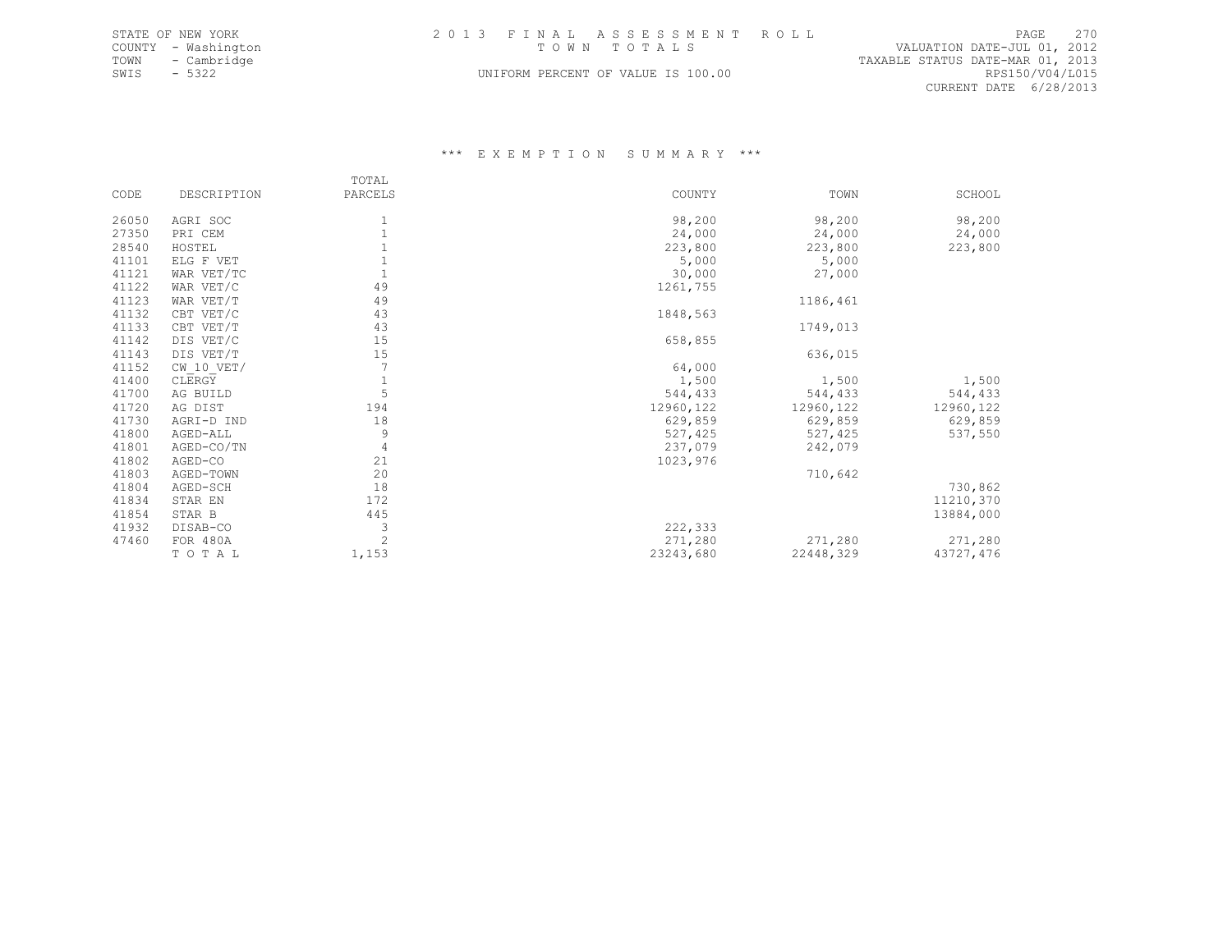| STATE OF NEW YORK   | 2013 FINAL ASSESSMENT ROLL         | PAGE 270                         |
|---------------------|------------------------------------|----------------------------------|
| COUNTY - Washington | TOWN TOTALS                        | VALUATION DATE-JUL 01, 2012      |
| TOWN<br>- Cambridge |                                    | TAXABLE STATUS DATE-MAR 01, 2013 |
| SWIS - 5322         | UNIFORM PERCENT OF VALUE IS 100.00 | RPS150/V04/L015                  |
|                     |                                    | .                                |

CURRENT DATE 6/28/2013

|       |                | TOTAL          |            |            |           |
|-------|----------------|----------------|------------|------------|-----------|
| CODE  | DESCRIPTION    | PARCELS        | COUNTY     | TOWN       | SCHOOL    |
|       |                |                |            |            |           |
| 26050 | AGRI SOC       |                | 98,200     | 98,200     | 98,200    |
| 27350 | PRI CEM        |                | 24,000     | 24,000     | 24,000    |
| 28540 | HOSTEL         |                | 223,800    | 223,800    | 223,800   |
| 41101 | ELG F VET      |                | 5,000      | 5,000      |           |
| 41121 | WAR VET/TC     |                | 30,000     | 27,000     |           |
| 41122 | WAR VET/C      | 49             | 1261,755   |            |           |
| 41123 | WAR VET/T      | 49             |            | 1186,461   |           |
| 41132 | CBT VET/C      | 43             | 1848,563   |            |           |
| 41133 | CBT VET/T      | 43             |            | 1749,013   |           |
| 41142 | DIS VET/C      | 15             | 658,855    |            |           |
| 41143 | DIS VET/T      | 15             |            | 636,015    |           |
| 41152 | $CW$ 10 $VET/$ | 7              | 64,000     |            |           |
| 41400 | CLERGY         |                | 1,500      | 1,500      | 1,500     |
| 41700 | AG BUILD       | 5              | 544,433    | 544,433    | 544,433   |
| 41720 | AG DIST        | 194            | 12960, 122 | 12960, 122 | 12960,122 |
| 41730 | AGRI-D IND     | 18             | 629,859    | 629,859    | 629,859   |
| 41800 | AGED-ALL       | 9              | 527,425    | 527,425    | 537,550   |
| 41801 | AGED-CO/TN     | 4              | 237,079    | 242,079    |           |
| 41802 | AGED-CO        | 21             | 1023,976   |            |           |
| 41803 | AGED-TOWN      | 20             |            | 710,642    |           |
| 41804 | AGED-SCH       | 18             |            |            | 730,862   |
| 41834 | STAR EN        | 172            |            |            | 11210,370 |
| 41854 | STAR B         | 445            |            |            | 13884,000 |
| 41932 | DISAB-CO       | 3              | 222,333    |            |           |
| 47460 | FOR 480A       | $\mathfrak{D}$ | 271,280    | 271,280    | 271,280   |
|       | TOTAL          | 1,153          | 23243,680  | 22448,329  | 43727,476 |